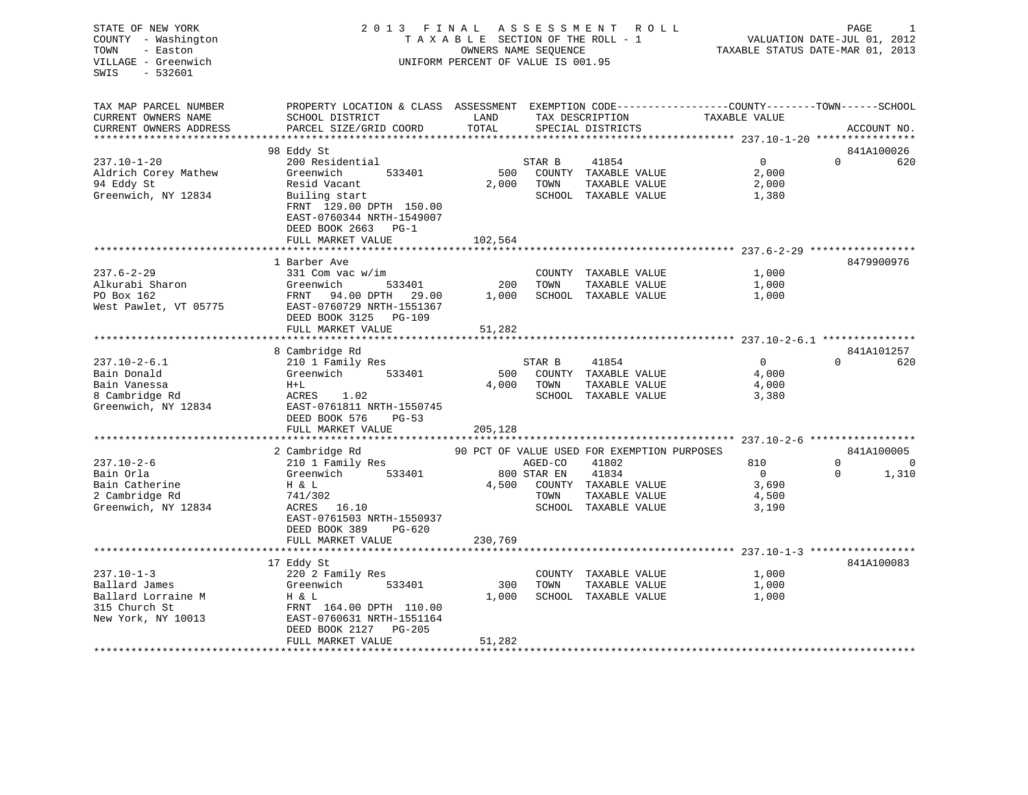| STATE OF NEW YORK      | 2 0 1 3                                                                                         | FINAL                              | ASSESSMENT  | R O L L                                     |                                  | PAGE                        | 1           |
|------------------------|-------------------------------------------------------------------------------------------------|------------------------------------|-------------|---------------------------------------------|----------------------------------|-----------------------------|-------------|
| COUNTY - Washington    |                                                                                                 | TAXABLE SECTION OF THE ROLL - 1    |             |                                             |                                  | VALUATION DATE-JUL 01, 2012 |             |
| TOWN<br>- Easton       |                                                                                                 | OWNERS NAME SEQUENCE               |             |                                             | TAXABLE STATUS DATE-MAR 01, 2013 |                             |             |
| VILLAGE - Greenwich    |                                                                                                 | UNIFORM PERCENT OF VALUE IS 001.95 |             |                                             |                                  |                             |             |
| SWIS<br>- 532601       |                                                                                                 |                                    |             |                                             |                                  |                             |             |
|                        |                                                                                                 |                                    |             |                                             |                                  |                             |             |
|                        |                                                                                                 |                                    |             |                                             |                                  |                             |             |
| TAX MAP PARCEL NUMBER  | PROPERTY LOCATION & CLASS ASSESSMENT EXEMPTION CODE----------------COUNTY-------TOWN-----SCHOOL |                                    |             |                                             |                                  |                             |             |
| CURRENT OWNERS NAME    | SCHOOL DISTRICT                                                                                 | LAND                               |             | TAX DESCRIPTION                             | TAXABLE VALUE                    |                             |             |
| CURRENT OWNERS ADDRESS | PARCEL SIZE/GRID COORD                                                                          | TOTAL                              |             | SPECIAL DISTRICTS                           |                                  |                             | ACCOUNT NO. |
|                        |                                                                                                 |                                    |             |                                             |                                  |                             |             |
|                        | 98 Eddy St                                                                                      |                                    |             |                                             |                                  |                             | 841A100026  |
| $237.10 - 1 - 20$      | 200 Residential                                                                                 |                                    | STAR B      | 41854                                       | $\mathbf 0$                      | $\Omega$                    | 620         |
| Aldrich Corey Mathew   | Greenwich<br>533401                                                                             | 500                                |             | COUNTY TAXABLE VALUE                        | 2,000                            |                             |             |
| 94 Eddy St             | Resid Vacant                                                                                    | 2,000                              | TOWN        | TAXABLE VALUE                               | 2,000                            |                             |             |
| Greenwich, NY 12834    | Builing start                                                                                   |                                    |             | SCHOOL TAXABLE VALUE                        | 1,380                            |                             |             |
|                        | FRNT 129.00 DPTH 150.00                                                                         |                                    |             |                                             |                                  |                             |             |
|                        | EAST-0760344 NRTH-1549007                                                                       |                                    |             |                                             |                                  |                             |             |
|                        | DEED BOOK 2663 PG-1                                                                             |                                    |             |                                             |                                  |                             |             |
|                        | FULL MARKET VALUE                                                                               | 102,564                            |             |                                             |                                  |                             |             |
|                        |                                                                                                 |                                    |             |                                             |                                  |                             |             |
|                        | 1 Barber Ave                                                                                    |                                    |             |                                             |                                  |                             | 8479900976  |
| $237.6 - 2 - 29$       | 331 Com vac w/im                                                                                |                                    |             | COUNTY TAXABLE VALUE                        | 1,000                            |                             |             |
| Alkurabi Sharon        | 533401<br>Greenwich                                                                             | 200                                | TOWN        | TAXABLE VALUE                               | 1,000                            |                             |             |
| PO Box 162             | FRNT<br>94.00 DPTH 29.00                                                                        | 1,000                              |             | SCHOOL TAXABLE VALUE                        | 1,000                            |                             |             |
| West Pawlet, VT 05775  | EAST-0760729 NRTH-1551367                                                                       |                                    |             |                                             |                                  |                             |             |
|                        | DEED BOOK 3125<br>PG-109                                                                        |                                    |             |                                             |                                  |                             |             |
|                        | FULL MARKET VALUE                                                                               | 51,282                             |             |                                             |                                  |                             |             |
|                        | *****************************                                                                   |                                    |             |                                             |                                  |                             |             |
|                        | 8 Cambridge Rd                                                                                  |                                    |             |                                             |                                  |                             | 841A101257  |
| $237.10 - 2 - 6.1$     | 210 1 Family Res                                                                                |                                    | STAR B      | 41854                                       | 0                                | $\Omega$                    | 620         |
| Bain Donald            | Greenwich<br>533401                                                                             | 500                                |             | COUNTY TAXABLE VALUE                        | 4,000                            |                             |             |
| Bain Vanessa           | $H+L$                                                                                           | 4,000                              | TOWN        | TAXABLE VALUE                               | 4,000                            |                             |             |
| 8 Cambridge Rd         | ACRES 1.02                                                                                      |                                    |             | SCHOOL TAXABLE VALUE                        | 3,380                            |                             |             |
| Greenwich, NY 12834    | EAST-0761811 NRTH-1550745                                                                       |                                    |             |                                             |                                  |                             |             |
|                        | DEED BOOK 576<br>$PG-53$                                                                        |                                    |             |                                             |                                  |                             |             |
|                        | FULL MARKET VALUE                                                                               | 205,128                            |             |                                             |                                  |                             |             |
|                        | **************************                                                                      |                                    |             |                                             |                                  |                             |             |
|                        | 2 Cambridge Rd                                                                                  |                                    |             | 90 PCT OF VALUE USED FOR EXEMPTION PURPOSES |                                  |                             | 841A100005  |
| $237.10 - 2 - 6$       | 210 1 Family Res                                                                                |                                    | AGED-CO     | 41802                                       | 810                              | $\Omega$                    | $\Omega$    |
| Bain Orla              | Greenwich<br>533401                                                                             |                                    | 800 STAR EN | 41834                                       | $\overline{0}$                   | $\Omega$                    | 1,310       |
| Bain Catherine         | H & L                                                                                           | 4,500                              |             | COUNTY TAXABLE VALUE                        | 3,690                            |                             |             |
| 2 Cambridge Rd         | 741/302                                                                                         |                                    | TOWN        | TAXABLE VALUE                               | 4,500                            |                             |             |
| Greenwich, NY 12834    | ACRES<br>16.10                                                                                  |                                    |             | SCHOOL TAXABLE VALUE                        | 3,190                            |                             |             |
|                        | EAST-0761503 NRTH-1550937                                                                       |                                    |             |                                             |                                  |                             |             |
|                        | $PG-620$                                                                                        |                                    |             |                                             |                                  |                             |             |
|                        | DEED BOOK 389<br>FULL MARKET VALUE                                                              | 230,769                            |             |                                             |                                  |                             |             |
|                        |                                                                                                 |                                    |             |                                             |                                  |                             |             |
|                        |                                                                                                 |                                    |             |                                             |                                  |                             |             |
| $237.10 - 1 - 3$       | 17 Eddy St                                                                                      |                                    |             |                                             |                                  |                             | 841A100083  |
|                        | 220 2 Family Res                                                                                |                                    |             | COUNTY TAXABLE VALUE                        | 1,000                            |                             |             |
| Ballard James          | Greenwich<br>533401                                                                             | 300                                | TOWN        | TAXABLE VALUE                               | 1,000                            |                             |             |
| Ballard Lorraine M     | H & L                                                                                           | 1,000                              |             | SCHOOL TAXABLE VALUE                        | 1,000                            |                             |             |
| 315 Church St          | FRNT 164.00 DPTH 110.00                                                                         |                                    |             |                                             |                                  |                             |             |
| New York, NY 10013     | EAST-0760631 NRTH-1551164                                                                       |                                    |             |                                             |                                  |                             |             |
|                        | DEED BOOK 2127<br>$PG-205$                                                                      |                                    |             |                                             |                                  |                             |             |
|                        | FULL MARKET VALUE                                                                               | 51,282                             |             |                                             |                                  |                             |             |
|                        |                                                                                                 |                                    |             |                                             |                                  |                             |             |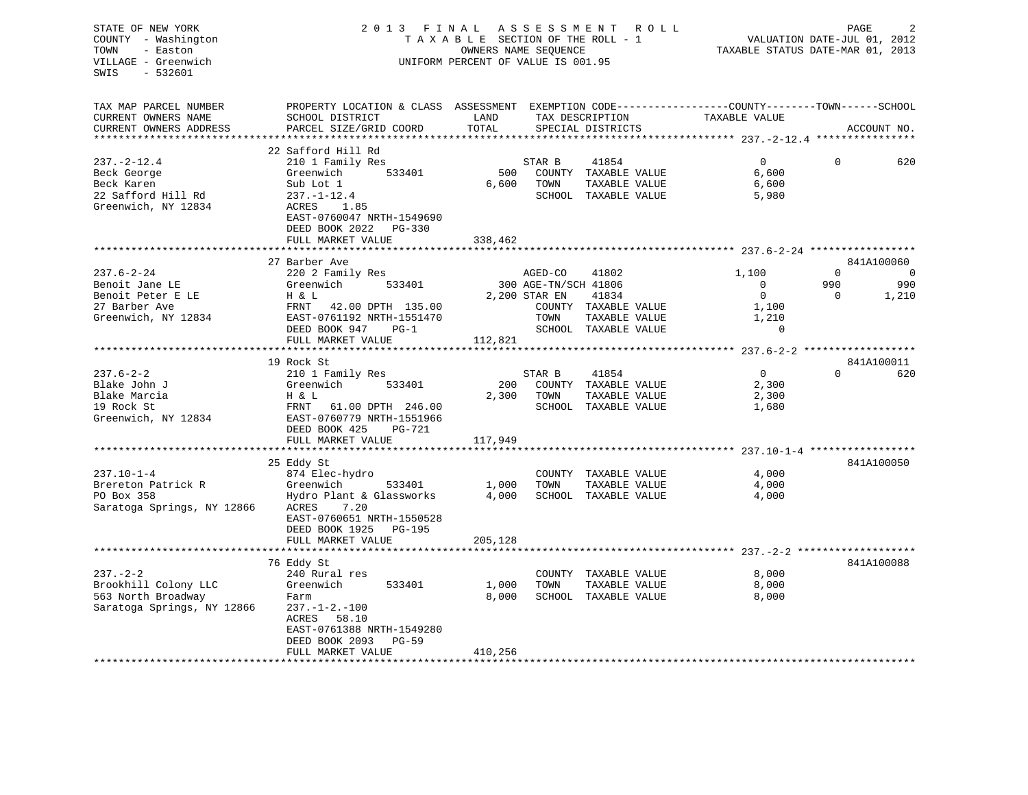## STATE OF NEW YORK 2 0 1 3 F I N A L A S S E S S M E N T R O L L PAGE 2 COUNTY - Washington T A X A B L E SECTION OF THE ROLL - 1 VALUATION DATE-JUL 01, 2012 TOWN - Easton OWNERS NAME SEQUENCE TAXABLE STATUS DATE-MAR 01, 2013 VILLAGE - Greenwich UNIFORM PERCENT OF VALUE IS 001.95

| TAX MAP PARCEL NUMBER      | PROPERTY LOCATION & CLASS ASSESSMENT EXEMPTION CODE----------------COUNTY-------TOWN------SCHOOL |         |                      |                      |                |          |             |
|----------------------------|--------------------------------------------------------------------------------------------------|---------|----------------------|----------------------|----------------|----------|-------------|
| CURRENT OWNERS NAME        | SCHOOL DISTRICT                                                                                  | LAND    |                      | TAX DESCRIPTION      | TAXABLE VALUE  |          |             |
| CURRENT OWNERS ADDRESS     | PARCEL SIZE/GRID COORD                                                                           | TOTAL   |                      | SPECIAL DISTRICTS    |                |          | ACCOUNT NO. |
|                            |                                                                                                  |         |                      |                      |                |          |             |
|                            | 22 Safford Hill Rd                                                                               |         |                      |                      |                |          |             |
| $237. - 2 - 12.4$          | 210 1 Family Res                                                                                 |         | STAR B               | 41854                | $\overline{0}$ | $\Omega$ | 620         |
| Beck George                | Greenwich<br>533401                                                                              | 500     |                      | COUNTY TAXABLE VALUE | 6,600          |          |             |
|                            |                                                                                                  |         |                      |                      |                |          |             |
| Beck Karen                 | Sub Lot 1                                                                                        | 6,600   | TOWN                 | TAXABLE VALUE        | 6,600          |          |             |
| 22 Safford Hill Rd         | $237. - 1 - 12.4$                                                                                |         |                      | SCHOOL TAXABLE VALUE | 5,980          |          |             |
| Greenwich, NY 12834        | ACRES 1.85                                                                                       |         |                      |                      |                |          |             |
|                            | EAST-0760047 NRTH-1549690                                                                        |         |                      |                      |                |          |             |
|                            | DEED BOOK 2022<br>PG-330                                                                         |         |                      |                      |                |          |             |
|                            | FULL MARKET VALUE                                                                                | 338,462 |                      |                      |                |          |             |
|                            |                                                                                                  |         |                      |                      |                |          |             |
|                            | 27 Barber Ave                                                                                    |         |                      |                      |                |          | 841A100060  |
| $237.6 - 2 - 24$           | 220 2 Family Res                                                                                 |         | AGED-CO              | 41802                | 1,100          | $\Omega$ | - 0         |
| Benoit Jane LE             | Greenwich<br>533401                                                                              |         | 300 AGE-TN/SCH 41806 |                      | $\overline{0}$ | 990      | 990         |
| Benoit Peter E LE          | H & L                                                                                            |         | 2,200 STAR EN        | 41834                | $\Omega$       | $\Omega$ | 1,210       |
| 27 Barber Ave              | FRNT 42.00 DPTH 135.00                                                                           |         |                      | COUNTY TAXABLE VALUE | 1,100          |          |             |
| Greenwich, NY 12834        | EAST-0761192 NRTH-1551470                                                                        |         | TOWN                 | TAXABLE VALUE        | 1,210          |          |             |
|                            | DEED BOOK 947<br>$PG-1$                                                                          |         |                      | SCHOOL TAXABLE VALUE | $\mathbf 0$    |          |             |
|                            | FULL MARKET VALUE                                                                                | 112,821 |                      |                      |                |          |             |
|                            |                                                                                                  |         |                      |                      |                |          |             |
|                            | 19 Rock St                                                                                       |         |                      |                      |                |          | 841A100011  |
| $237.6 - 2 - 2$            | 210 1 Family Res                                                                                 |         | STAR B               | 41854                | $\overline{0}$ | $\Omega$ | 620         |
| Blake John J               | 533401<br>Greenwich                                                                              | 200     |                      | COUNTY TAXABLE VALUE | 2,300          |          |             |
| Blake Marcia               |                                                                                                  | 2,300   | TOWN                 |                      | 2,300          |          |             |
|                            | H & L                                                                                            |         |                      | TAXABLE VALUE        |                |          |             |
| 19 Rock St                 | FRNT 61.00 DPTH 246.00                                                                           |         |                      | SCHOOL TAXABLE VALUE | 1,680          |          |             |
| Greenwich, NY 12834        | EAST-0760779 NRTH-1551966                                                                        |         |                      |                      |                |          |             |
|                            | DEED BOOK 425<br>PG-721                                                                          |         |                      |                      |                |          |             |
|                            | FULL MARKET VALUE                                                                                | 117,949 |                      |                      |                |          |             |
|                            |                                                                                                  |         |                      |                      |                |          |             |
|                            | 25 Eddy St                                                                                       |         |                      |                      |                |          | 841A100050  |
| $237.10 - 1 - 4$           | 874 Elec-hydro                                                                                   |         |                      | COUNTY TAXABLE VALUE | 4,000          |          |             |
| Brereton Patrick R         | Greenwich<br>533401                                                                              | 1,000   | TOWN                 | TAXABLE VALUE        | 4,000          |          |             |
| PO Box 358                 | Hydro Plant & Glassworks                                                                         | 4,000   |                      | SCHOOL TAXABLE VALUE | 4,000          |          |             |
| Saratoga Springs, NY 12866 | 7.20<br>ACRES                                                                                    |         |                      |                      |                |          |             |
|                            | EAST-0760651 NRTH-1550528                                                                        |         |                      |                      |                |          |             |
|                            | DEED BOOK 1925<br>PG-195                                                                         |         |                      |                      |                |          |             |
|                            | FULL MARKET VALUE                                                                                | 205,128 |                      |                      |                |          |             |
|                            |                                                                                                  |         |                      |                      |                |          |             |
|                            | 76 Eddy St                                                                                       |         |                      |                      |                |          | 841A100088  |
| $237. - 2 - 2$             | 240 Rural res                                                                                    |         |                      | COUNTY TAXABLE VALUE | 8,000          |          |             |
| Brookhill Colony LLC       | Greenwich<br>533401                                                                              | 1,000   | TOWN                 | TAXABLE VALUE        | 8,000          |          |             |
| 563 North Broadway         | Farm                                                                                             | 8,000   |                      | SCHOOL TAXABLE VALUE | 8,000          |          |             |
| Saratoga Springs, NY 12866 | $237. -1 - 2. -100$                                                                              |         |                      |                      |                |          |             |
|                            | ACRES<br>58.10                                                                                   |         |                      |                      |                |          |             |
|                            | EAST-0761388 NRTH-1549280                                                                        |         |                      |                      |                |          |             |
|                            |                                                                                                  |         |                      |                      |                |          |             |
|                            | DEED BOOK 2093<br>$PG-59$                                                                        |         |                      |                      |                |          |             |
|                            | FULL MARKET VALUE                                                                                | 410,256 |                      |                      |                |          |             |
|                            |                                                                                                  |         |                      |                      |                |          |             |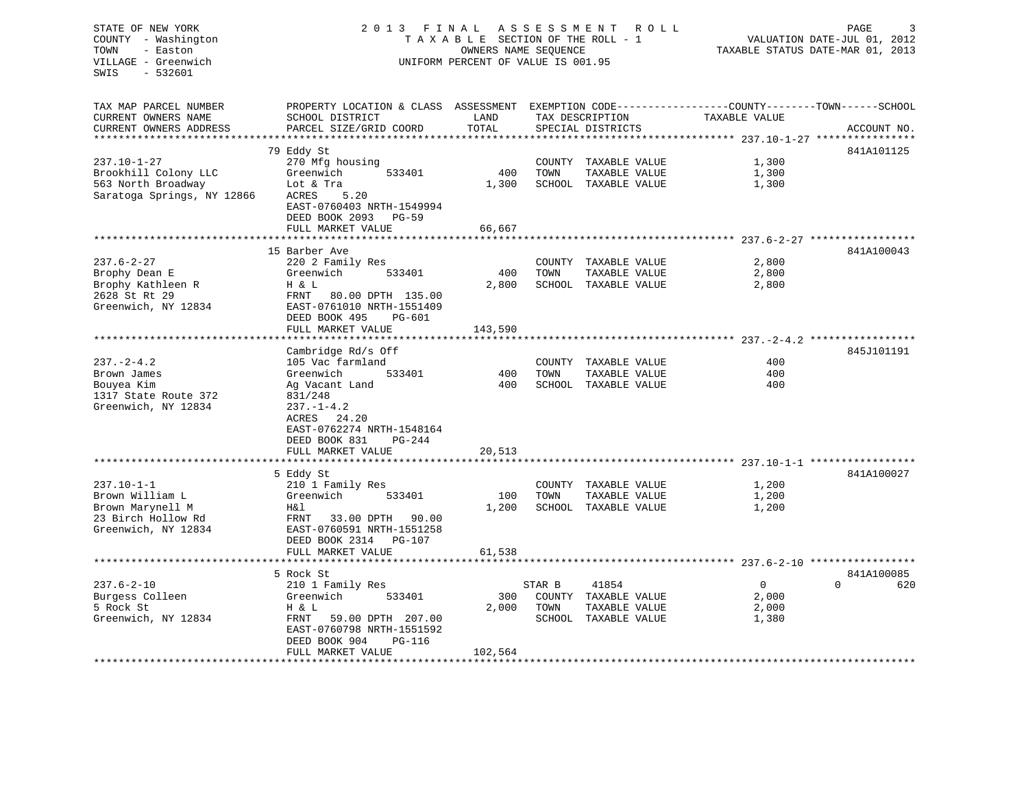STATE OF NEW YORK 2 0 1 3 F I N A L A S S E S S M E N T R O L L PAGE 3 COUNTY - Washington T A X A B L E SECTION OF THE ROLL - 1 VALUATION DATE-JUL 01, 2012 TOWN - Easton OWNERS NAME SEQUENCE TAXABLE STATUS DATE-MAR 01, 2013 VILLAGE - Greenwich UNIFORM PERCENT OF VALUE IS 001.95 SWIS - 532601TAX MAP PARCEL NUMBER PROPERTY LOCATION & CLASS ASSESSMENT EXEMPTION CODE------------------COUNTY--------TOWN------SCHOOL CURRENT OWNERS NAME SCHOOL DISTRICT THE LAND TAX DESCRIPTION TAXABLE VALUE CURRENT OWNERS ADDRESS PARCEL SIZE/GRID COORD TOTAL SPECIAL DISTRICTS ACCOUNT NO. \*\*\*\*\*\*\*\*\*\*\*\*\*\*\*\*\*\*\*\*\*\*\*\*\*\*\*\*\*\*\*\*\*\*\*\*\*\*\*\*\*\*\*\*\*\*\*\*\*\*\*\*\*\*\*\*\*\*\*\*\*\*\*\*\*\*\*\*\*\*\*\*\*\*\*\*\*\*\*\*\*\*\*\*\*\*\*\*\*\*\*\*\*\*\*\*\*\*\*\*\*\*\* 237.10-1-27 \*\*\*\*\*\*\*\*\*\*\*\*\*\*\*\* 79 Eddy St 841A101125 237.10-1-27 270 Mfg housing COUNTY TAXABLE VALUE 1,300 Brookhill Colony LLC Greenwich 533401 400 TOWN TAXABLE VALUE 1,300 563 North Broadway Lot & Tra 1,300 SCHOOL TAXABLE VALUE 1,300 SCHOOL TAXABLE VALUE 1,300 Saratoga Springs, NY 12866 ACRES 5.20 EAST-0760403 NRTH-1549994 DEED BOOK 2093 PG-59FULL MARKET VALUE 66,667 \*\*\*\*\*\*\*\*\*\*\*\*\*\*\*\*\*\*\*\*\*\*\*\*\*\*\*\*\*\*\*\*\*\*\*\*\*\*\*\*\*\*\*\*\*\*\*\*\*\*\*\*\*\*\*\*\*\*\*\*\*\*\*\*\*\*\*\*\*\*\*\*\*\*\*\*\*\*\*\*\*\*\*\*\*\*\*\*\*\*\*\*\*\*\*\*\*\*\*\*\*\*\* 237.6-2-27 \*\*\*\*\*\*\*\*\*\*\*\*\*\*\*\*\*15 Barber Ave 841A100043 237.6-2-27 220 2 Family Res COUNTY TAXABLE VALUE 2,800 Brophy Dean E Greenwich 533401 400 TOWN TAXABLE VALUE 2,800 Brophy Kathleen R M B H & L 2,800 SCHOOL TAXABLE VALUE 2,800 2,800 2628 St Rt 29 FRNT 80.00 DPTH 135.00Greenwich, NY 12834 EAST-0761010 NRTH-1551409 DEED BOOK 495 PG-601FULL MARKET VALUE 143,590 \*\*\*\*\*\*\*\*\*\*\*\*\*\*\*\*\*\*\*\*\*\*\*\*\*\*\*\*\*\*\*\*\*\*\*\*\*\*\*\*\*\*\*\*\*\*\*\*\*\*\*\*\*\*\*\*\*\*\*\*\*\*\*\*\*\*\*\*\*\*\*\*\*\*\*\*\*\*\*\*\*\*\*\*\*\*\*\*\*\*\*\*\*\*\*\*\*\*\*\*\*\*\* 237.-2-4.2 \*\*\*\*\*\*\*\*\*\*\*\*\*\*\*\*\*Cambridge Rd/s Off 845J101191 237.-2-4.2 105 Vac farmland COUNTY TAXABLE VALUE 400Brown James Greenwich 533401 400 TOWN TAXABLE VALUE 400Bouyea Kim Ag Vacant Land 400 SCHOOL TAXABLE VALUE 400 1317 State Route 372 Greenwich, NY 12834 237.-1-4.2 ACRES 24.20 EAST-0762274 NRTH-1548164 DEED BOOK 831 PG-244FULL MARKET VALUE 20,513 \*\*\*\*\*\*\*\*\*\*\*\*\*\*\*\*\*\*\*\*\*\*\*\*\*\*\*\*\*\*\*\*\*\*\*\*\*\*\*\*\*\*\*\*\*\*\*\*\*\*\*\*\*\*\*\*\*\*\*\*\*\*\*\*\*\*\*\*\*\*\*\*\*\*\*\*\*\*\*\*\*\*\*\*\*\*\*\*\*\*\*\*\*\*\*\*\*\*\*\*\*\*\* 237.10-1-1 \*\*\*\*\*\*\*\*\*\*\*\*\*\*\*\*\* 5 Eddy St 841A100027 237.10-1-1 210 1 Family Res COUNTY TAXABLE VALUE 1,200 Brown William L Greenwich 533401 100 TOWN TAXABLE VALUE 1,200 Brown Marynell M **H&l** 1,200 SCHOOL TAXABLE VALUE 1,200 1,200 23 Birch Hollow Rd FRNT 33.00 DPTH 90.00Greenwich, NY 12834 EAST-0760591 NRTH-1551258 DEED BOOK 2314 PG-107FULL MARKET VALUE 61,538 \*\*\*\*\*\*\*\*\*\*\*\*\*\*\*\*\*\*\*\*\*\*\*\*\*\*\*\*\*\*\*\*\*\*\*\*\*\*\*\*\*\*\*\*\*\*\*\*\*\*\*\*\*\*\*\*\*\*\*\*\*\*\*\*\*\*\*\*\*\*\*\*\*\*\*\*\*\*\*\*\*\*\*\*\*\*\*\*\*\*\*\*\*\*\*\*\*\*\*\*\*\*\* 237.6-2-10 \*\*\*\*\*\*\*\*\*\*\*\*\*\*\*\*\* 5 Rock St 841A100085 $0$  620 237.6-2-10 210 1 Family Res STAR B 41854 0<br>
200 1 Family Res STAR B 41854 0<br>
2,000 2,000 2,000 0 6200 0 6200 0 0 6200 0 6200 0 6200 0 6200 0 6200 0 6200 0 6200 0 6200 0 6200 0 6200 0 62 Burgess Colleen 2, 2000 COUNTY CONTROLLER BURGES Colleen 2, 2000 COUNTY TAXABLE VALUE 5 Rock St H & L 2,000 TOWN TAXABLE VALUE 2,000 Greenwich, NY 12834 FRNT 59.00 DPTH 207.00 SCHOOL TAXABLE VALUE 1,380 EAST-0760798 NRTH-1551592 DEED BOOK 904 PG-116FULL MARKET VALUE 102,564 \*\*\*\*\*\*\*\*\*\*\*\*\*\*\*\*\*\*\*\*\*\*\*\*\*\*\*\*\*\*\*\*\*\*\*\*\*\*\*\*\*\*\*\*\*\*\*\*\*\*\*\*\*\*\*\*\*\*\*\*\*\*\*\*\*\*\*\*\*\*\*\*\*\*\*\*\*\*\*\*\*\*\*\*\*\*\*\*\*\*\*\*\*\*\*\*\*\*\*\*\*\*\*\*\*\*\*\*\*\*\*\*\*\*\*\*\*\*\*\*\*\*\*\*\*\*\*\*\*\*\*\*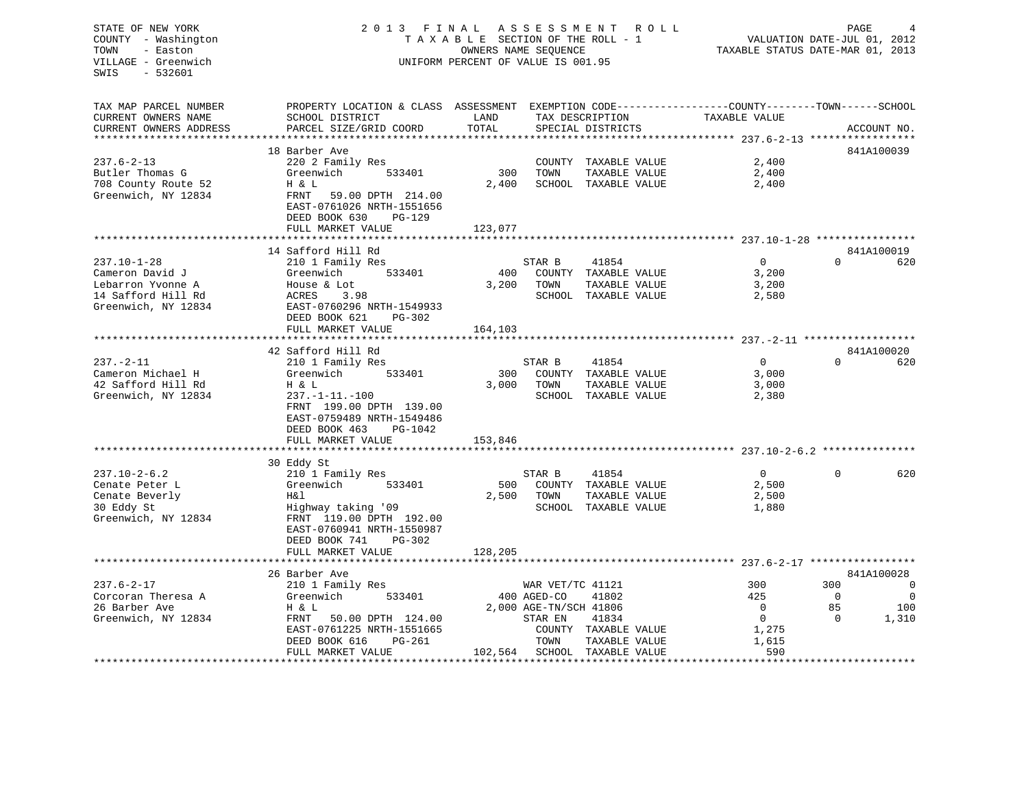# COUNTY - Washington  $T A X A B L E$  SECTION OF THE ROLL - 1<br>TOWN - Easton DATE-JUL 000NERS NAME SEQUENCE VILLAGE - Greenwich UNIFORM PERCENT OF VALUE IS 001.95

TAXABLE STATUS DATE-MAR 01, 2013

| CURRENT OWNERS NAME<br>SCHOOL DISTRICT<br>PARCEL SIZE/GRID COORD<br>CURRENT OWNERS ADDRESS<br>************************** | LAND     |                        |                      |               |             | PROPERTY LOCATION & CLASS ASSESSMENT EXEMPTION CODE---------------COUNTY-------TOWN------SCHOOL |
|--------------------------------------------------------------------------------------------------------------------------|----------|------------------------|----------------------|---------------|-------------|-------------------------------------------------------------------------------------------------|
|                                                                                                                          | TOTAL    | TAX DESCRIPTION        |                      | TAXABLE VALUE |             |                                                                                                 |
|                                                                                                                          |          |                        | SPECIAL DISTRICTS    |               |             | ACCOUNT NO.                                                                                     |
| 18 Barber Ave                                                                                                            |          |                        |                      |               |             | 841A100039                                                                                      |
| $237.6 - 2 - 13$<br>220 2 Family Res                                                                                     |          | COUNTY                 | TAXABLE VALUE        | 2,400         |             |                                                                                                 |
| Butler Thomas G<br>Greenwich<br>533401                                                                                   | 300      | TOWN                   | TAXABLE VALUE        | 2,400         |             |                                                                                                 |
| 708 County Route 52<br>H & L                                                                                             | 2,400    |                        | SCHOOL TAXABLE VALUE | 2,400         |             |                                                                                                 |
| Greenwich, NY 12834<br>59.00 DPTH 214.00<br>FRNT                                                                         |          |                        |                      |               |             |                                                                                                 |
| EAST-0761026 NRTH-1551656                                                                                                |          |                        |                      |               |             |                                                                                                 |
| DEED BOOK 630                                                                                                            | $PG-129$ |                        |                      |               |             |                                                                                                 |
| FULL MARKET VALUE                                                                                                        | 123,077  |                        |                      |               |             |                                                                                                 |
| ***********************                                                                                                  |          |                        |                      |               |             |                                                                                                 |
| 14 Safford Hill Rd                                                                                                       |          |                        |                      |               |             | 841A100019                                                                                      |
| $237.10 - 1 - 28$<br>210 1 Family Res                                                                                    |          | STAR B                 | 41854                | $\Omega$      | $\Omega$    | 620                                                                                             |
| Cameron David J<br>533401<br>Greenwich                                                                                   | 400      |                        | COUNTY TAXABLE VALUE | 3,200         |             |                                                                                                 |
| Lebarron Yvonne A<br>House & Lot                                                                                         | 3,200    | TOWN                   | TAXABLE VALUE        | 3,200         |             |                                                                                                 |
| 14 Safford Hill Rd<br>ACRES<br>3.98                                                                                      |          |                        | SCHOOL TAXABLE VALUE | 2,580         |             |                                                                                                 |
| Greenwich, NY 12834<br>EAST-0760296 NRTH-1549933                                                                         |          |                        |                      |               |             |                                                                                                 |
| DEED BOOK 621                                                                                                            | PG-302   |                        |                      |               |             |                                                                                                 |
| FULL MARKET VALUE                                                                                                        | 164,103  |                        |                      |               |             |                                                                                                 |
|                                                                                                                          |          |                        |                      |               |             |                                                                                                 |
| 42 Safford Hill Rd                                                                                                       |          |                        |                      |               |             | 841A100020                                                                                      |
| $237. - 2 - 11$<br>210 1 Family Res                                                                                      |          | STAR B                 | 41854                | $\Omega$      | $\Omega$    | 620                                                                                             |
| 533401<br>Cameron Michael H<br>Greenwich                                                                                 | 300      |                        | COUNTY TAXABLE VALUE | 3,000         |             |                                                                                                 |
| 42 Safford Hill Rd<br>H & L                                                                                              | 3,000    | TOWN                   | TAXABLE VALUE        | 3,000         |             |                                                                                                 |
| Greenwich, NY 12834<br>$237. -1 - 11. -100$                                                                              |          |                        | SCHOOL TAXABLE VALUE | 2,380         |             |                                                                                                 |
| FRNT 199.00 DPTH 139.00                                                                                                  |          |                        |                      |               |             |                                                                                                 |
| EAST-0759489 NRTH-1549486                                                                                                |          |                        |                      |               |             |                                                                                                 |
| DEED BOOK 463                                                                                                            | PG-1042  |                        |                      |               |             |                                                                                                 |
| FULL MARKET VALUE                                                                                                        | 153,846  |                        |                      |               |             |                                                                                                 |
|                                                                                                                          |          |                        |                      |               |             |                                                                                                 |
| 30 Eddy St                                                                                                               |          |                        |                      |               |             |                                                                                                 |
| $237.10 - 2 - 6.2$<br>210 1 Family Res                                                                                   |          | STAR B                 | 41854                | $\Omega$      | $\Omega$    | 620                                                                                             |
| Greenwich<br>533401<br>Cenate Peter L                                                                                    | 500      | COUNTY                 | TAXABLE VALUE        | 2,500         |             |                                                                                                 |
| Cenate Beverly<br>H&l                                                                                                    | 2,500    | TOWN                   | TAXABLE VALUE        | 2,500         |             |                                                                                                 |
| 30 Eddy St<br>Highway taking '09                                                                                         |          |                        | SCHOOL TAXABLE VALUE | 1,880         |             |                                                                                                 |
| Greenwich, NY 12834<br>FRNT 119.00 DPTH 192.00<br>EAST-0760941 NRTH-1550987                                              |          |                        |                      |               |             |                                                                                                 |
|                                                                                                                          | $PG-302$ |                        |                      |               |             |                                                                                                 |
| DEED BOOK 741<br>FULL MARKET VALUE                                                                                       | 128,205  |                        |                      |               |             |                                                                                                 |
|                                                                                                                          |          |                        |                      |               |             |                                                                                                 |
| 26 Barber Ave                                                                                                            |          |                        |                      |               |             | 841A100028                                                                                      |
| $237.6 - 2 - 17$<br>210 1 Family Res                                                                                     |          | WAR VET/TC 41121       |                      | 300           | 300         | 0                                                                                               |
| Corcoran Theresa A<br>Greenwich<br>533401                                                                                |          | 400 AGED-CO            | 41802                | 425           | $\mathbf 0$ | $\mathbf 0$                                                                                     |
| 26 Barber Ave<br>H & L                                                                                                   |          | 2,000 AGE-TN/SCH 41806 |                      | $\Omega$      | 85          | 100                                                                                             |
| Greenwich, NY 12834<br>FRNT<br>50.00 DPTH 124.00                                                                         |          | STAR EN                | 41834                | $\Omega$      | $\Omega$    | 1,310                                                                                           |
| EAST-0761225 NRTH-1551665                                                                                                |          |                        | COUNTY TAXABLE VALUE | 1,275         |             |                                                                                                 |
| DEED BOOK 616                                                                                                            | $PG-261$ | TOWN                   | TAXABLE VALUE        | 1,615         |             |                                                                                                 |
| FULL MARKET VALUE                                                                                                        | 102,564  |                        | SCHOOL TAXABLE VALUE | 590           |             |                                                                                                 |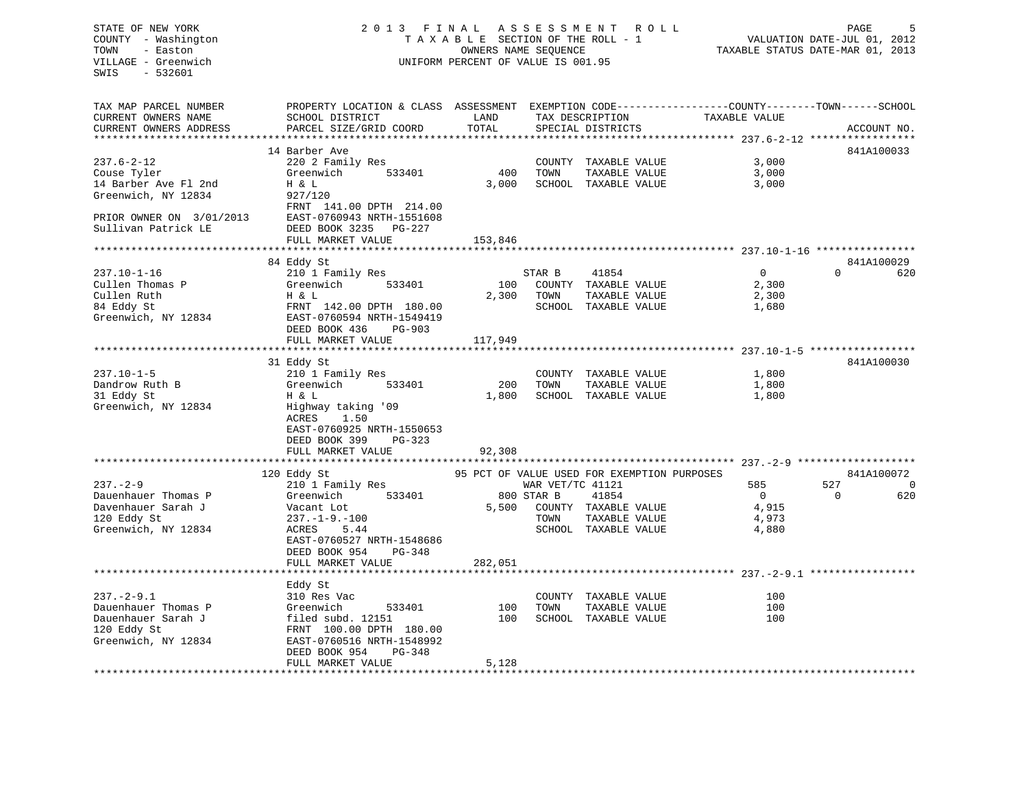## STATE OF NEW YORK 2 0 1 3 F I N A L A S S E S S M E N T R O L L PAGE 5 COUNTY - Washington T A X A B L E SECTION OF THE ROLL - 1 VALUATION DATE-JUL 01, 2012 TOWN - Easton **CONNERS NAME SEQUENCE** TAXABLE STATUS DATE-MAR 01, 2013 VILLAGE - Greenwich UNIFORM PERCENT OF VALUE IS 001.95

| TAX MAP PARCEL NUMBER    | PROPERTY LOCATION & CLASS ASSESSMENT EXEMPTION CODE---------------COUNTY-------TOWN-----SCHOOL |         |                  |                                             |                |                 |
|--------------------------|------------------------------------------------------------------------------------------------|---------|------------------|---------------------------------------------|----------------|-----------------|
| CURRENT OWNERS NAME      | SCHOOL DISTRICT                                                                                | LAND    |                  | TAX DESCRIPTION                             | TAXABLE VALUE  |                 |
| CURRENT OWNERS ADDRESS   | PARCEL SIZE/GRID COORD                                                                         | TOTAL   |                  | SPECIAL DISTRICTS                           |                | ACCOUNT NO.     |
|                          |                                                                                                |         |                  |                                             |                |                 |
|                          | 14 Barber Ave                                                                                  |         |                  |                                             |                | 841A100033      |
| $237.6 - 2 - 12$         | 220 2 Family Res                                                                               |         |                  | COUNTY TAXABLE VALUE                        | 3,000          |                 |
| Couse Tyler              | Greenwich<br>533401                                                                            | 400     | TOWN             | TAXABLE VALUE                               | 3,000          |                 |
| 14 Barber Ave Fl 2nd     | H & L                                                                                          | 3,000   |                  | SCHOOL TAXABLE VALUE                        | 3,000          |                 |
| Greenwich, NY 12834      | 927/120                                                                                        |         |                  |                                             |                |                 |
|                          | FRNT 141.00 DPTH 214.00                                                                        |         |                  |                                             |                |                 |
| PRIOR OWNER ON 3/01/2013 | EAST-0760943 NRTH-1551608                                                                      |         |                  |                                             |                |                 |
| Sullivan Patrick LE      | DEED BOOK 3235 PG-227                                                                          |         |                  |                                             |                |                 |
|                          | FULL MARKET VALUE                                                                              | 153,846 |                  |                                             |                |                 |
|                          |                                                                                                |         |                  |                                             |                | 841A100029      |
| $237.10 - 1 - 16$        | 84 Eddy St<br>210 1 Family Res                                                                 |         | STAR B           | 41854                                       | $\overline{0}$ | $\Omega$<br>620 |
| Cullen Thomas P          | Greenwich<br>533401                                                                            | 100     |                  | COUNTY TAXABLE VALUE                        | 2,300          |                 |
| Cullen Ruth              | H & L                                                                                          | 2,300   | TOWN             | TAXABLE VALUE                               | 2,300          |                 |
| 84 Eddy St               | FRNT 142.00 DPTH 180.00                                                                        |         |                  | SCHOOL TAXABLE VALUE                        | 1,680          |                 |
| Greenwich, NY 12834      | EAST-0760594 NRTH-1549419                                                                      |         |                  |                                             |                |                 |
|                          | DEED BOOK 436<br>$PG-903$                                                                      |         |                  |                                             |                |                 |
|                          | FULL MARKET VALUE                                                                              | 117,949 |                  |                                             |                |                 |
|                          |                                                                                                |         |                  |                                             |                |                 |
|                          | 31 Eddy St                                                                                     |         |                  |                                             |                | 841A100030      |
| $237.10 - 1 - 5$         | 210 1 Family Res                                                                               |         |                  | COUNTY TAXABLE VALUE                        | 1,800          |                 |
| Dandrow Ruth B           | Greenwich<br>533401                                                                            | 200     | TOWN             | TAXABLE VALUE                               | 1,800          |                 |
| 31 Eddy St               | H & L                                                                                          | 1,800   |                  | SCHOOL TAXABLE VALUE                        | 1,800          |                 |
| Greenwich, NY 12834      | Highway taking '09                                                                             |         |                  |                                             |                |                 |
|                          | 1.50<br>ACRES                                                                                  |         |                  |                                             |                |                 |
|                          | EAST-0760925 NRTH-1550653                                                                      |         |                  |                                             |                |                 |
|                          | DEED BOOK 399<br>$PG-323$                                                                      |         |                  |                                             |                |                 |
|                          | FULL MARKET VALUE                                                                              | 92,308  |                  |                                             |                |                 |
|                          |                                                                                                |         |                  |                                             |                |                 |
|                          | 120 Eddy St                                                                                    |         |                  | 95 PCT OF VALUE USED FOR EXEMPTION PURPOSES |                | 841A100072      |
| $237. - 2 - 9$           | 210 1 Family Res                                                                               |         | WAR VET/TC 41121 |                                             | 585            | 527<br>0        |
| Dauenhauer Thomas P      | 533401<br>Greenwich                                                                            |         | 800 STAR B       | 41854                                       | $\overline{0}$ | 620<br>$\Omega$ |
| Davenhauer Sarah J       | Vacant Lot                                                                                     | 5,500   |                  | COUNTY TAXABLE VALUE                        | 4,915          |                 |
| 120 Eddy St              | $237. -1 - 9. -100$                                                                            |         | TOWN             | TAXABLE VALUE                               | 4,973          |                 |
| Greenwich, NY 12834      | ACRES<br>5.44                                                                                  |         |                  | SCHOOL TAXABLE VALUE                        | 4,880          |                 |
|                          | EAST-0760527 NRTH-1548686                                                                      |         |                  |                                             |                |                 |
|                          | DEED BOOK 954<br>PG-348                                                                        |         |                  |                                             |                |                 |
|                          | FULL MARKET VALUE                                                                              | 282,051 |                  |                                             |                |                 |
|                          |                                                                                                |         |                  |                                             |                |                 |
|                          | Eddy St                                                                                        |         |                  |                                             |                |                 |
| $237. - 2 - 9.1$         | 310 Res Vac                                                                                    |         |                  | COUNTY TAXABLE VALUE                        | 100            |                 |
| Dauenhauer Thomas P      | 533401<br>Greenwich                                                                            | 100     | TOWN             | TAXABLE VALUE                               | 100            |                 |
| Dauenhauer Sarah J       | filed subd. 12151                                                                              | 100     |                  | SCHOOL TAXABLE VALUE                        | 100            |                 |
| 120 Eddy St              | FRNT 100.00 DPTH 180.00                                                                        |         |                  |                                             |                |                 |
| Greenwich, NY 12834      | EAST-0760516 NRTH-1548992                                                                      |         |                  |                                             |                |                 |
|                          | DEED BOOK 954<br>$PG-348$                                                                      |         |                  |                                             |                |                 |
|                          | FULL MARKET VALUE                                                                              | 5,128   |                  |                                             |                |                 |
|                          |                                                                                                |         |                  |                                             |                |                 |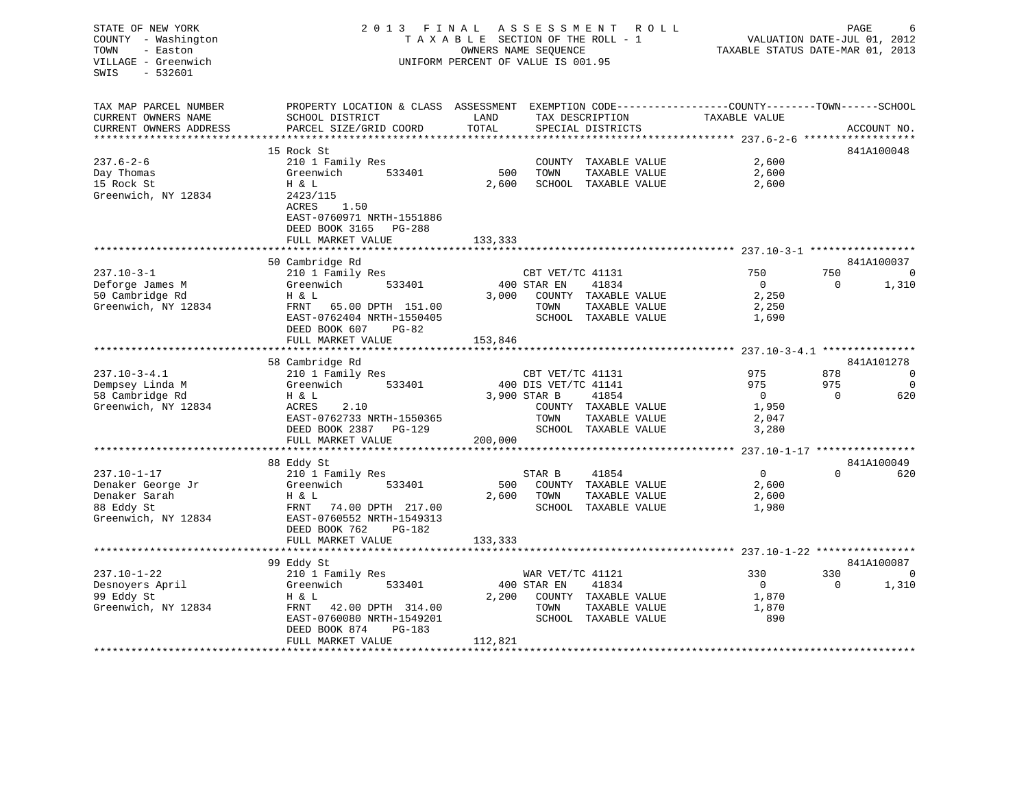| STATE OF NEW YORK<br>COUNTY - Washington<br>- Easton<br>TOWN<br>VILLAGE - Greenwich<br>SWIS<br>$-532601$ | 2 0 1 3                                                                                                                                       | FINAL<br>TAXABLE SECTION OF THE ROLL - 1<br>OWNERS NAME SEQUENCE<br>UNIFORM PERCENT OF VALUE IS 001.95 |                      | ASSESSMENT ROLL                       |                | PAGE<br>6<br>VALUATION DATE-JUL 01, 2012<br>TAXABLE STATUS DATE-MAR 01, 2013 |                |  |  |
|----------------------------------------------------------------------------------------------------------|-----------------------------------------------------------------------------------------------------------------------------------------------|--------------------------------------------------------------------------------------------------------|----------------------|---------------------------------------|----------------|------------------------------------------------------------------------------|----------------|--|--|
| TAX MAP PARCEL NUMBER<br>CURRENT OWNERS NAME<br>CURRENT OWNERS ADDRESS                                   | PROPERTY LOCATION & CLASS ASSESSMENT EXEMPTION CODE----------------COUNTY-------TOWN------SCHOOL<br>SCHOOL DISTRICT<br>PARCEL SIZE/GRID COORD | LAND<br>TOTAL                                                                                          |                      | TAX DESCRIPTION<br>SPECIAL DISTRICTS  | TAXABLE VALUE  |                                                                              | ACCOUNT NO.    |  |  |
|                                                                                                          |                                                                                                                                               |                                                                                                        |                      |                                       |                |                                                                              |                |  |  |
|                                                                                                          | 15 Rock St                                                                                                                                    |                                                                                                        |                      |                                       |                |                                                                              | 841A100048     |  |  |
| $237.6 - 2 - 6$<br>Day Thomas                                                                            | 210 1 Family Res<br>Greenwich<br>533401                                                                                                       | 500                                                                                                    | TOWN                 | COUNTY TAXABLE VALUE<br>TAXABLE VALUE | 2,600<br>2,600 |                                                                              |                |  |  |
| 15 Rock St                                                                                               | H & L                                                                                                                                         | 2,600                                                                                                  |                      | SCHOOL TAXABLE VALUE                  | 2,600          |                                                                              |                |  |  |
| Greenwich, NY 12834                                                                                      | 2423/115                                                                                                                                      |                                                                                                        |                      |                                       |                |                                                                              |                |  |  |
|                                                                                                          | ACRES<br>1.50                                                                                                                                 |                                                                                                        |                      |                                       |                |                                                                              |                |  |  |
|                                                                                                          | EAST-0760971 NRTH-1551886                                                                                                                     |                                                                                                        |                      |                                       |                |                                                                              |                |  |  |
|                                                                                                          | DEED BOOK 3165 PG-288                                                                                                                         |                                                                                                        |                      |                                       |                |                                                                              |                |  |  |
|                                                                                                          | FULL MARKET VALUE                                                                                                                             | 133,333                                                                                                |                      |                                       |                |                                                                              |                |  |  |
|                                                                                                          |                                                                                                                                               |                                                                                                        |                      |                                       |                |                                                                              |                |  |  |
|                                                                                                          | 50 Cambridge Rd                                                                                                                               |                                                                                                        |                      |                                       |                |                                                                              | 841A100037     |  |  |
| $237.10 - 3 - 1$                                                                                         | 210 1 Family Res                                                                                                                              |                                                                                                        | CBT VET/TC 41131     |                                       | 750            | 750                                                                          | 0              |  |  |
| Deforge James M                                                                                          | Greenwich<br>533401                                                                                                                           |                                                                                                        | 400 STAR EN          | 41834                                 | $\overline{0}$ | $\Omega$                                                                     | 1,310          |  |  |
| 50 Cambridge Rd                                                                                          | H & L                                                                                                                                         |                                                                                                        |                      | 3,000 COUNTY TAXABLE VALUE            | 2,250          |                                                                              |                |  |  |
| Greenwich, NY 12834                                                                                      | FRNT 65.00 DPTH 151.00                                                                                                                        |                                                                                                        | TOWN                 | TAXABLE VALUE                         | 2,250          |                                                                              |                |  |  |
|                                                                                                          | EAST-0762404 NRTH-1550405                                                                                                                     |                                                                                                        |                      | SCHOOL TAXABLE VALUE                  | 1,690          |                                                                              |                |  |  |
|                                                                                                          | DEED BOOK 607<br>PG-82                                                                                                                        |                                                                                                        |                      |                                       |                |                                                                              |                |  |  |
|                                                                                                          | FULL MARKET VALUE                                                                                                                             | 153,846                                                                                                |                      |                                       |                |                                                                              |                |  |  |
|                                                                                                          |                                                                                                                                               |                                                                                                        |                      |                                       |                |                                                                              | 841A101278     |  |  |
| $237.10 - 3 - 4.1$                                                                                       | 58 Cambridge Rd<br>210 1 Family Res                                                                                                           |                                                                                                        | CBT VET/TC 41131     |                                       | 975            | 878                                                                          | $\mathbf 0$    |  |  |
| Dempsey Linda M                                                                                          | Greenwich 533401                                                                                                                              |                                                                                                        | 400 DIS VET/TC 41141 |                                       | 975            | 975                                                                          | $\overline{0}$ |  |  |
| 58 Cambridge Rd                                                                                          | H & L                                                                                                                                         | 3,900 STAR B                                                                                           |                      | 41854                                 | $\overline{0}$ | $\Omega$                                                                     | 620            |  |  |
| Greenwich, NY 12834                                                                                      | 2.10<br>ACRES                                                                                                                                 |                                                                                                        |                      | COUNTY TAXABLE VALUE                  | 1,950          |                                                                              |                |  |  |
|                                                                                                          | EAST-0762733 NRTH-1550365                                                                                                                     |                                                                                                        | TOWN                 | TAXABLE VALUE                         | 2,047          |                                                                              |                |  |  |
|                                                                                                          | DEED BOOK 2387 PG-129                                                                                                                         |                                                                                                        |                      | SCHOOL TAXABLE VALUE                  | 3,280          |                                                                              |                |  |  |
|                                                                                                          | FULL MARKET VALUE                                                                                                                             | 200,000                                                                                                |                      |                                       |                |                                                                              |                |  |  |
|                                                                                                          |                                                                                                                                               |                                                                                                        |                      |                                       |                |                                                                              |                |  |  |
|                                                                                                          | 88 Eddy St                                                                                                                                    |                                                                                                        |                      |                                       |                |                                                                              | 841A100049     |  |  |
| $237.10 - 1 - 17$                                                                                        | 210 1 Family Res                                                                                                                              |                                                                                                        | STAR B               | 41854                                 | $\overline{0}$ | $\Omega$                                                                     | 620            |  |  |
| Denaker George Jr                                                                                        | Greenwich<br>533401                                                                                                                           | 500                                                                                                    |                      | COUNTY TAXABLE VALUE                  | 2,600          |                                                                              |                |  |  |
| Denaker Sarah                                                                                            | H & L                                                                                                                                         | 2,600 TOWN                                                                                             |                      | TAXABLE VALUE                         | 2,600          |                                                                              |                |  |  |
| 88 Eddy St                                                                                               | FRNT 74.00 DPTH 217.00                                                                                                                        |                                                                                                        |                      | SCHOOL TAXABLE VALUE                  | 1,980          |                                                                              |                |  |  |
| Greenwich, NY 12834                                                                                      | EAST-0760552 NRTH-1549313                                                                                                                     |                                                                                                        |                      |                                       |                |                                                                              |                |  |  |
|                                                                                                          | DEED BOOK 762<br>PG-182                                                                                                                       |                                                                                                        |                      |                                       |                |                                                                              |                |  |  |
|                                                                                                          | FULL MARKET VALUE                                                                                                                             | 133,333                                                                                                |                      |                                       |                |                                                                              |                |  |  |
|                                                                                                          |                                                                                                                                               |                                                                                                        |                      |                                       |                |                                                                              |                |  |  |
|                                                                                                          | 99 Eddy St                                                                                                                                    |                                                                                                        |                      |                                       |                |                                                                              | 841A100087     |  |  |
| $237.10 - 1 - 22$                                                                                        | 210 1 Family Res                                                                                                                              |                                                                                                        | WAR VET/TC 41121     |                                       | 330            | 330                                                                          | 0              |  |  |
| Desnoyers April                                                                                          | Greenwich<br>533401                                                                                                                           |                                                                                                        | 400 STAR EN          | 41834                                 | $\overline{0}$ | $\Omega$                                                                     | 1,310          |  |  |
| 99 Eddy St                                                                                               | H & L                                                                                                                                         |                                                                                                        |                      | 2,200 COUNTY TAXABLE VALUE            | 1,870          |                                                                              |                |  |  |
| Greenwich, NY 12834                                                                                      | FRNT 42.00 DPTH 314.00                                                                                                                        |                                                                                                        | TOWN                 | TAXABLE VALUE                         | 1,870          |                                                                              |                |  |  |
|                                                                                                          | EAST-0760080 NRTH-1549201                                                                                                                     |                                                                                                        |                      | SCHOOL TAXABLE VALUE                  | 890            |                                                                              |                |  |  |
|                                                                                                          |                                                                                                                                               |                                                                                                        |                      |                                       |                |                                                                              |                |  |  |
|                                                                                                          | DEED BOOK 874<br>PG-183<br>FULL MARKET VALUE                                                                                                  | 112,821                                                                                                |                      |                                       |                |                                                                              |                |  |  |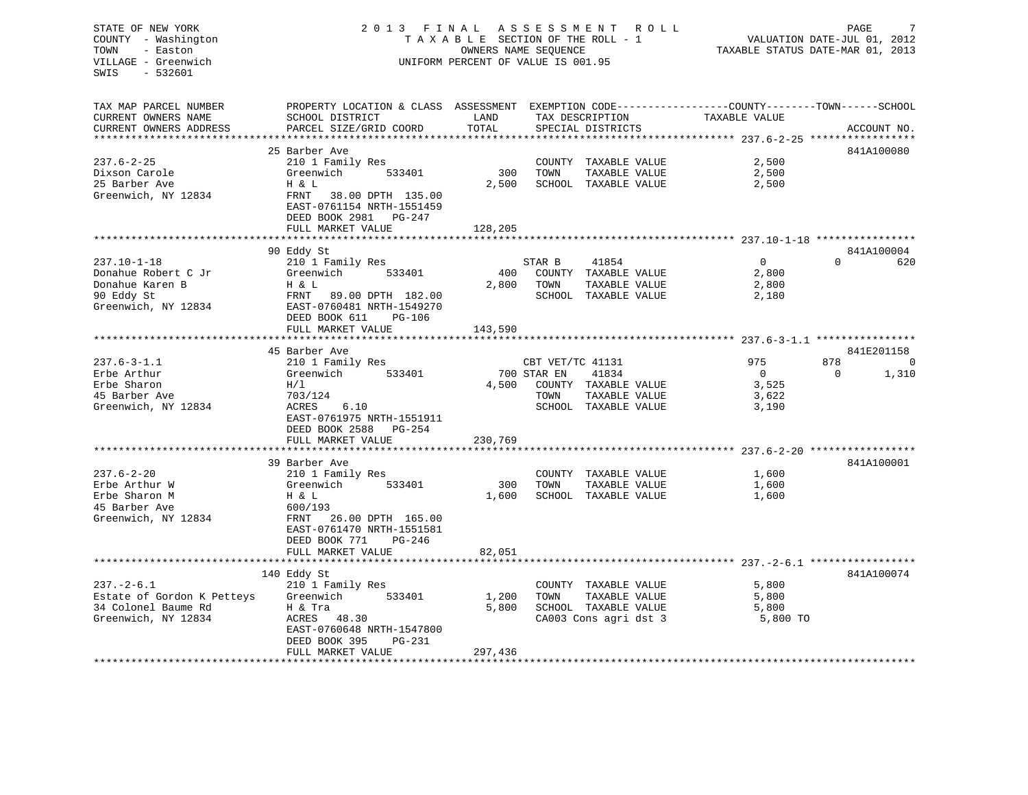## STATE OF NEW YORK 2013 FINAL ASSESSMENT ROLL PAGE 7 COUNTY - Washington  $\begin{array}{ccc} 1 & 0 & 0 \\ -1 & 0 & 0 \end{array}$  T A X A B L E SECTION OF THE ROLL - 1 VILLAGE - Greenwich UNIFORM PERCENT OF VALUE IS 001.95

TAXABLE STATUS DATE-MAR 01, 2013

| TAX MAP PARCEL NUMBER<br>CURRENT OWNERS NAME | PROPERTY LOCATION & CLASS ASSESSMENT EXEMPTION CODE----------------COUNTY-------TOWN------SCHOOL<br>SCHOOL DISTRICT | LAND            | TAX DESCRIPTION       | TAXABLE VALUE  |                 |
|----------------------------------------------|---------------------------------------------------------------------------------------------------------------------|-----------------|-----------------------|----------------|-----------------|
| CURRENT OWNERS ADDRESS                       | PARCEL SIZE/GRID COORD                                                                                              | TOTAL           | SPECIAL DISTRICTS     |                | ACCOUNT NO.     |
|                                              |                                                                                                                     |                 |                       |                |                 |
|                                              | 25 Barber Ave                                                                                                       |                 |                       |                | 841A100080      |
| $237.6 - 2 - 25$                             | 210 1 Family Res                                                                                                    |                 | COUNTY TAXABLE VALUE  | 2,500          |                 |
| Dixson Carole                                | Greenwich<br>533401                                                                                                 | 300             | TAXABLE VALUE<br>TOWN | 2,500          |                 |
| 25 Barber Ave                                | Η & L                                                                                                               | 2,500           | SCHOOL TAXABLE VALUE  | 2,500          |                 |
| Greenwich, NY 12834                          | FRNT<br>38.00 DPTH 135.00                                                                                           |                 |                       |                |                 |
|                                              | EAST-0761154 NRTH-1551459                                                                                           |                 |                       |                |                 |
|                                              | DEED BOOK 2981 PG-247                                                                                               |                 |                       |                |                 |
|                                              | FULL MARKET VALUE                                                                                                   | 128,205         |                       |                |                 |
|                                              | *****************************                                                                                       | *************** |                       |                |                 |
|                                              | 90 Eddy St                                                                                                          |                 |                       |                | 841A100004      |
| $237.10 - 1 - 18$                            | 210 1 Family Res                                                                                                    |                 | STAR B<br>41854       | $\overline{0}$ | $\Omega$<br>620 |
| Donahue Robert C Jr                          | Greenwich<br>533401                                                                                                 | 400             | COUNTY TAXABLE VALUE  | 2,800          |                 |
| Donahue Karen B                              | H & L                                                                                                               | 2,800           | TAXABLE VALUE<br>TOWN | 2,800          |                 |
| 90 Eddy St                                   | FRNT<br>89.00 DPTH 182.00                                                                                           |                 | SCHOOL TAXABLE VALUE  | 2,180          |                 |
| Greenwich, NY 12834                          | EAST-0760481 NRTH-1549270                                                                                           |                 |                       |                |                 |
|                                              | DEED BOOK 611<br>$PG-106$                                                                                           |                 |                       |                |                 |
|                                              | FULL MARKET VALUE                                                                                                   | 143,590         |                       |                |                 |
|                                              | 45 Barber Ave                                                                                                       |                 |                       |                | 841E201158      |
| $237.6 - 3 - 1.1$                            | 210 1 Family Res                                                                                                    |                 | CBT VET/TC 41131      | 975            | 878<br>0        |
| Erbe Arthur                                  | Greenwich<br>533401                                                                                                 |                 | 41834<br>700 STAR EN  | $\overline{0}$ | 1,310<br>0      |
| Erbe Sharon                                  | H/1                                                                                                                 | 4,500           | COUNTY TAXABLE VALUE  | 3,525          |                 |
| 45 Barber Ave                                | 703/124                                                                                                             |                 | TOWN<br>TAXABLE VALUE | 3,622          |                 |
| Greenwich, NY 12834                          | 6.10<br>ACRES                                                                                                       |                 | SCHOOL TAXABLE VALUE  | 3,190          |                 |
|                                              | EAST-0761975 NRTH-1551911                                                                                           |                 |                       |                |                 |
|                                              | DEED BOOK 2588<br>PG-254                                                                                            |                 |                       |                |                 |
|                                              | FULL MARKET VALUE                                                                                                   | 230,769         |                       |                |                 |
|                                              |                                                                                                                     |                 |                       |                |                 |
|                                              | 39 Barber Ave                                                                                                       |                 |                       |                | 841A100001      |
| $237.6 - 2 - 20$                             | 210 1 Family Res                                                                                                    |                 | COUNTY TAXABLE VALUE  | 1,600          |                 |
| Erbe Arthur W                                | Greenwich<br>533401                                                                                                 | 300             | TOWN<br>TAXABLE VALUE | 1,600          |                 |
| Erbe Sharon M                                | H & L                                                                                                               | 1,600           | SCHOOL TAXABLE VALUE  | 1,600          |                 |
| 45 Barber Ave                                | 600/193                                                                                                             |                 |                       |                |                 |
| Greenwich, NY 12834                          | 26.00 DPTH 165.00<br>FRNT                                                                                           |                 |                       |                |                 |
|                                              | EAST-0761470 NRTH-1551581                                                                                           |                 |                       |                |                 |
|                                              | DEED BOOK 771<br>$PG - 246$                                                                                         |                 |                       |                |                 |
|                                              | FULL MARKET VALUE                                                                                                   | 82,051          |                       |                |                 |
|                                              |                                                                                                                     |                 |                       |                |                 |
|                                              | 140 Eddy St                                                                                                         |                 |                       |                | 841A100074      |
| $237. - 2 - 6.1$                             | 210 1 Family Res                                                                                                    |                 | COUNTY TAXABLE VALUE  | 5,800          |                 |
| Estate of Gordon K Petteys                   | Greenwich<br>533401                                                                                                 | 1,200           | TOWN<br>TAXABLE VALUE | 5,800          |                 |
| 34 Colonel Baume Rd                          | H & Tra                                                                                                             | 5,800           | SCHOOL TAXABLE VALUE  | 5,800          |                 |
| Greenwich, NY 12834                          | ACRES 48.30                                                                                                         |                 | CA003 Cons agri dst 3 | 5,800 TO       |                 |
|                                              | EAST-0760648 NRTH-1547800<br>$PG-231$                                                                               |                 |                       |                |                 |
|                                              | DEED BOOK 395<br>FULL MARKET VALUE                                                                                  | 297,436         |                       |                |                 |
|                                              |                                                                                                                     |                 |                       |                |                 |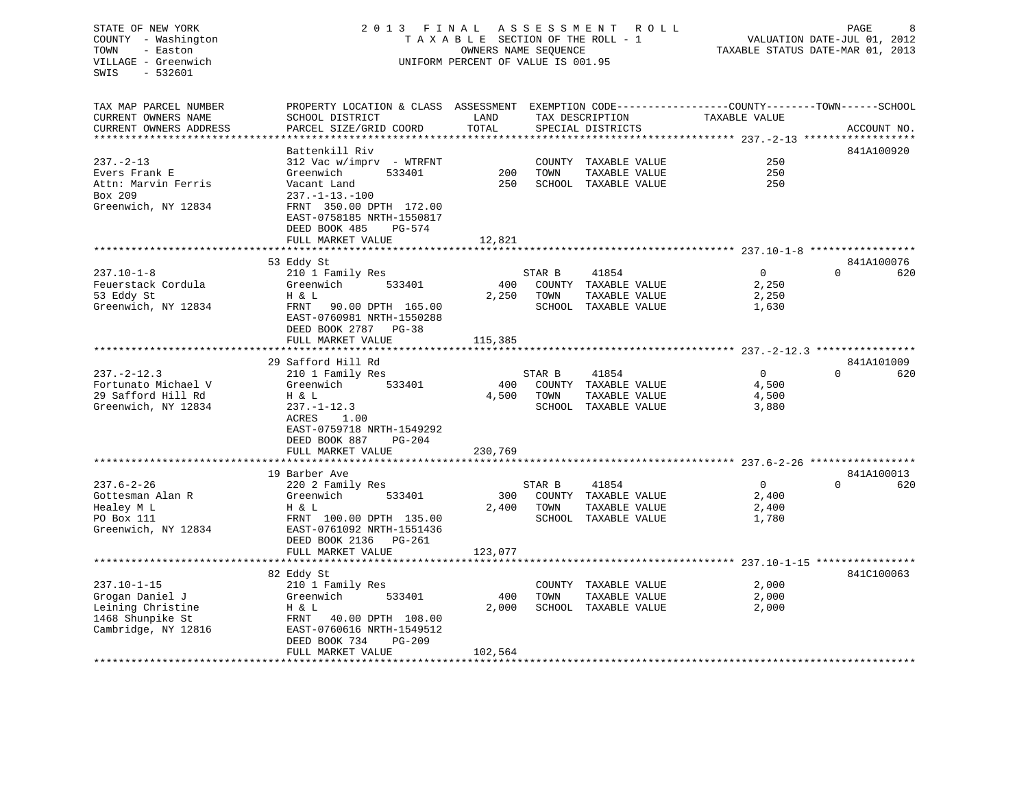## STATE OF NEW YORK 2 0 1 3 F I N A L A S S E S S M E N T R O L L PAGE 8 COUNTY - Washington T A X A B L E SECTION OF THE ROLL - 1 VALUATION DATE-JUL 01, 2012 TOWN - Easton OWNERS NAME SEQUENCE TAXABLE STATUS DATE-MAR 01, 2013 VILLAGE - Greenwich UNIFORM PERCENT OF VALUE IS 001.95

| PROPERTY LOCATION & CLASS ASSESSMENT EXEMPTION CODE----------------COUNTY-------TOWN------SCHOOL<br>TAX MAP PARCEL NUMBER<br>CURRENT OWNERS NAME<br>SCHOOL DISTRICT<br>LAND<br>TAX DESCRIPTION<br>TAXABLE VALUE<br>TOTAL<br>PARCEL SIZE/GRID COORD<br>CURRENT OWNERS ADDRESS<br>SPECIAL DISTRICTS | ACCOUNT NO.     |
|---------------------------------------------------------------------------------------------------------------------------------------------------------------------------------------------------------------------------------------------------------------------------------------------------|-----------------|
|                                                                                                                                                                                                                                                                                                   |                 |
| Battenkill Riv                                                                                                                                                                                                                                                                                    | 841A100920      |
| 250<br>$237. - 2 - 13$<br>312 Vac w/imprv - WTRFNT<br>COUNTY TAXABLE VALUE                                                                                                                                                                                                                        |                 |
| 200<br>TOWN<br>TAXABLE VALUE<br>250<br>Evers Frank E<br>Greenwich<br>533401<br>Attn: Marvin Ferris<br>250<br>SCHOOL TAXABLE VALUE<br>250<br>Vacant Land                                                                                                                                           |                 |
| Box 209<br>$237. - 1 - 13. - 100$                                                                                                                                                                                                                                                                 |                 |
| Greenwich, NY 12834<br>FRNT 350.00 DPTH 172.00                                                                                                                                                                                                                                                    |                 |
| EAST-0758185 NRTH-1550817<br>DEED BOOK 485<br>PG-574                                                                                                                                                                                                                                              |                 |
| 12,821<br>FULL MARKET VALUE                                                                                                                                                                                                                                                                       |                 |
|                                                                                                                                                                                                                                                                                                   |                 |
| 53 Eddy St                                                                                                                                                                                                                                                                                        | 841A100076      |
| $\overline{0}$<br>$237.10 - 1 - 8$<br>210 1 Family Res<br>STAR B<br>41854                                                                                                                                                                                                                         | $\Omega$<br>620 |
| Feuerstack Cordula<br>COUNTY TAXABLE VALUE<br>2,250<br>Greenwich<br>533401<br>400                                                                                                                                                                                                                 |                 |
| 53 Eddy St<br>2,250<br>TOWN<br>TAXABLE VALUE<br>2,250<br>H & L                                                                                                                                                                                                                                    |                 |
| Greenwich, NY 12834<br>FRNT<br>90.00 DPTH 165.00<br>SCHOOL TAXABLE VALUE<br>1,630<br>EAST-0760981 NRTH-1550288<br>DEED BOOK 2787<br>$PG-38$                                                                                                                                                       |                 |
| FULL MARKET VALUE<br>115,385                                                                                                                                                                                                                                                                      |                 |
|                                                                                                                                                                                                                                                                                                   |                 |
| 29 Safford Hill Rd                                                                                                                                                                                                                                                                                | 841A101009      |
| $237. - 2 - 12.3$<br>STAR B<br>41854<br>$\overline{0}$<br>210 1 Family Res                                                                                                                                                                                                                        | $\Omega$<br>620 |
| Fortunato Michael V<br>Greenwich<br>533401<br>400<br>COUNTY TAXABLE VALUE<br>4,500                                                                                                                                                                                                                |                 |
| 29 Safford Hill Rd<br>4,500<br>4,500<br>H & L<br>TOWN<br>TAXABLE VALUE                                                                                                                                                                                                                            |                 |
| Greenwich, NY 12834<br>$237. - 1 - 12.3$<br>SCHOOL TAXABLE VALUE<br>3,880                                                                                                                                                                                                                         |                 |
| ACRES<br>1.00                                                                                                                                                                                                                                                                                     |                 |
| EAST-0759718 NRTH-1549292                                                                                                                                                                                                                                                                         |                 |
| DEED BOOK 887<br>$PG-204$                                                                                                                                                                                                                                                                         |                 |
| 230,769<br>FULL MARKET VALUE                                                                                                                                                                                                                                                                      |                 |
| 19 Barber Ave                                                                                                                                                                                                                                                                                     | 841A100013      |
| $\Omega$<br>$237.6 - 2 - 26$<br>220 2 Family Res<br>STAR B<br>41854                                                                                                                                                                                                                               | $\cap$<br>620   |
| Gottesman Alan R<br>COUNTY TAXABLE VALUE<br>2,400<br>Greenwich<br>533401<br>300                                                                                                                                                                                                                   |                 |
| 2,400<br>TOWN<br>TAXABLE VALUE<br>Healey M L<br>H & L<br>2,400                                                                                                                                                                                                                                    |                 |
| PO Box 111<br>FRNT 100.00 DPTH 135.00<br>SCHOOL TAXABLE VALUE<br>1,780                                                                                                                                                                                                                            |                 |
| Greenwich, NY 12834<br>EAST-0761092 NRTH-1551436                                                                                                                                                                                                                                                  |                 |
| DEED BOOK 2136 PG-261                                                                                                                                                                                                                                                                             |                 |
| FULL MARKET VALUE<br>123,077                                                                                                                                                                                                                                                                      |                 |
| ***************************                                                                                                                                                                                                                                                                       |                 |
| 82 Eddy St                                                                                                                                                                                                                                                                                        | 841C100063      |
| $237.10 - 1 - 15$<br>2,000<br>210 1 Family Res<br>COUNTY TAXABLE VALUE                                                                                                                                                                                                                            |                 |
| 400<br>Grogan Daniel J<br>Greenwich<br>533401<br>TOWN<br>TAXABLE VALUE<br>2,000                                                                                                                                                                                                                   |                 |
| Leining Christine<br>2,000<br>SCHOOL TAXABLE VALUE<br>H & L<br>2,000                                                                                                                                                                                                                              |                 |
| 1468 Shunpike St<br>40.00 DPTH 108.00<br>FRNT                                                                                                                                                                                                                                                     |                 |
| Cambridge, NY 12816<br>EAST-0760616 NRTH-1549512                                                                                                                                                                                                                                                  |                 |
| DEED BOOK 734<br>PG-209                                                                                                                                                                                                                                                                           |                 |
| FULL MARKET VALUE<br>102,564                                                                                                                                                                                                                                                                      |                 |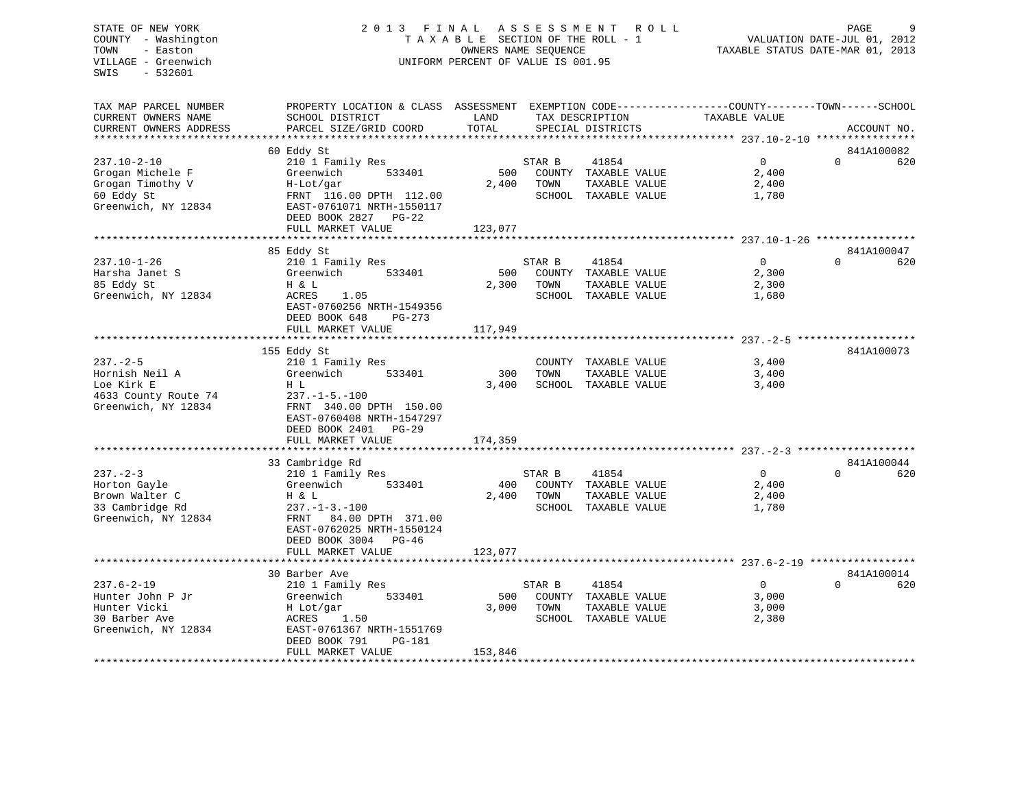## STATE OF NEW YORK 2 0 1 3 F I N A L A S S E S S M E N T R O L L PAGE 9 COUNTY - Washington T A X A B L E SECTION OF THE ROLL - 1 VALUATION DATE-JUL 01, 2012 TOWN - Easton OWNERS NAME SEQUENCE TAXABLE STATUS DATE-MAR 01, 2013 VILLAGE - Greenwich UNIFORM PERCENT OF VALUE IS 001.95

| TAX MAP PARCEL NUMBER<br>CURRENT OWNERS NAME | PROPERTY LOCATION & CLASS ASSESSMENT EXEMPTION CODE----------------COUNTY-------TOWN------SCHOOL<br>SCHOOL DISTRICT | LAND    |        | TAX DESCRIPTION      | TAXABLE VALUE  |          |             |
|----------------------------------------------|---------------------------------------------------------------------------------------------------------------------|---------|--------|----------------------|----------------|----------|-------------|
| CURRENT OWNERS ADDRESS                       | PARCEL SIZE/GRID COORD                                                                                              | TOTAL   |        | SPECIAL DISTRICTS    |                |          | ACCOUNT NO. |
| ********************                         | **************************                                                                                          |         |        |                      |                |          |             |
|                                              | 60 Eddy St                                                                                                          |         |        |                      |                |          | 841A100082  |
| $237.10 - 2 - 10$                            | 210 1 Family Res                                                                                                    |         | STAR B | 41854                | $\overline{0}$ | $\Omega$ | 620         |
| Grogan Michele F                             | Greenwich<br>533401                                                                                                 | 500     |        | COUNTY TAXABLE VALUE | 2,400          |          |             |
| Grogan Timothy V                             | H-Lot/gar                                                                                                           | 2,400   | TOWN   | TAXABLE VALUE        | 2,400          |          |             |
| 60 Eddy St                                   | FRNT 116.00 DPTH 112.00                                                                                             |         |        | SCHOOL TAXABLE VALUE | 1,780          |          |             |
| Greenwich, NY 12834                          | EAST-0761071 NRTH-1550117                                                                                           |         |        |                      |                |          |             |
|                                              | DEED BOOK 2827 PG-22                                                                                                |         |        |                      |                |          |             |
|                                              | FULL MARKET VALUE                                                                                                   | 123,077 |        |                      |                |          |             |
|                                              |                                                                                                                     |         |        |                      |                |          |             |
|                                              | 85 Eddy St                                                                                                          |         |        |                      |                |          | 841A100047  |
| $237.10 - 1 - 26$                            | 210 1 Family Res                                                                                                    |         | STAR B | 41854                | $\Omega$       | $\cap$   | 620         |
| Harsha Janet S                               | 533401<br>Greenwich                                                                                                 | 500     |        | COUNTY TAXABLE VALUE | 2,300          |          |             |
| 85 Eddy St                                   | H & L                                                                                                               | 2,300   | TOWN   | TAXABLE VALUE        | 2,300          |          |             |
| Greenwich, NY 12834                          | ACRES<br>1.05                                                                                                       |         |        | SCHOOL TAXABLE VALUE | 1,680          |          |             |
|                                              | EAST-0760256 NRTH-1549356                                                                                           |         |        |                      |                |          |             |
|                                              | DEED BOOK 648<br>$PG-273$                                                                                           |         |        |                      |                |          |             |
|                                              | FULL MARKET VALUE                                                                                                   | 117,949 |        |                      |                |          |             |
|                                              |                                                                                                                     |         |        |                      |                |          |             |
|                                              | 155 Eddy St                                                                                                         |         |        |                      |                |          | 841A100073  |
| $237 - 2 - 5$                                | 210 1 Family Res                                                                                                    |         |        | COUNTY TAXABLE VALUE | 3,400          |          |             |
| Hornish Neil A                               | 533401<br>Greenwich                                                                                                 | 300     | TOWN   | TAXABLE VALUE        | 3,400          |          |             |
| Loe Kirk E                                   | H L                                                                                                                 | 3,400   |        | SCHOOL TAXABLE VALUE | 3,400          |          |             |
| 4633 County Route 74                         | $237. - 1 - 5. - 100$                                                                                               |         |        |                      |                |          |             |
| Greenwich, NY 12834                          | FRNT 340.00 DPTH 150.00                                                                                             |         |        |                      |                |          |             |
|                                              | EAST-0760408 NRTH-1547297                                                                                           |         |        |                      |                |          |             |
|                                              | DEED BOOK 2401 PG-29                                                                                                |         |        |                      |                |          |             |
|                                              | FULL MARKET VALUE                                                                                                   | 174,359 |        |                      |                |          |             |
|                                              |                                                                                                                     |         |        |                      |                |          |             |
|                                              | 33 Cambridge Rd                                                                                                     |         |        |                      |                |          | 841A100044  |
| $237 - 2 - 3$                                | 210 1 Family Res                                                                                                    |         | STAR B | 41854                | $\Omega$       | $\Omega$ | 620         |
| Horton Gayle                                 | Greenwich<br>533401                                                                                                 | 400     |        | COUNTY TAXABLE VALUE | 2,400          |          |             |
| Brown Walter C                               | H & L                                                                                                               | 2,400   | TOWN   | TAXABLE VALUE        | 2,400          |          |             |
| 33 Cambridge Rd                              | $237. - 1 - 3. - 100$                                                                                               |         |        | SCHOOL TAXABLE VALUE | 1,780          |          |             |
| Greenwich, NY 12834                          | 84.00 DPTH 371.00<br>FRNT                                                                                           |         |        |                      |                |          |             |
|                                              | EAST-0762025 NRTH-1550124                                                                                           |         |        |                      |                |          |             |
|                                              | DEED BOOK 3004 PG-46                                                                                                |         |        |                      |                |          |             |
|                                              | FULL MARKET VALUE                                                                                                   | 123,077 |        |                      |                |          |             |
|                                              |                                                                                                                     |         |        |                      |                |          |             |
|                                              | 30 Barber Ave                                                                                                       |         |        |                      |                |          | 841A100014  |
| $237.6 - 2 - 19$                             | 210 1 Family Res                                                                                                    |         | STAR B | 41854                | 0              | $\Omega$ | 620         |
| Hunter John P Jr                             | Greenwich<br>533401                                                                                                 | 500     |        | COUNTY TAXABLE VALUE | 3,000          |          |             |
| Hunter Vicki                                 | H Lot/gar                                                                                                           | 3,000   | TOWN   | TAXABLE VALUE        | 3,000          |          |             |
| 30 Barber Ave                                | 1.50<br>ACRES                                                                                                       |         |        | SCHOOL TAXABLE VALUE | 2,380          |          |             |
| Greenwich, NY 12834                          | EAST-0761367 NRTH-1551769                                                                                           |         |        |                      |                |          |             |
|                                              | DEED BOOK 791<br><b>PG-181</b>                                                                                      |         |        |                      |                |          |             |
|                                              | FULL MARKET VALUE<br>********************************                                                               | 153,846 |        |                      |                |          |             |
|                                              |                                                                                                                     |         |        |                      |                |          |             |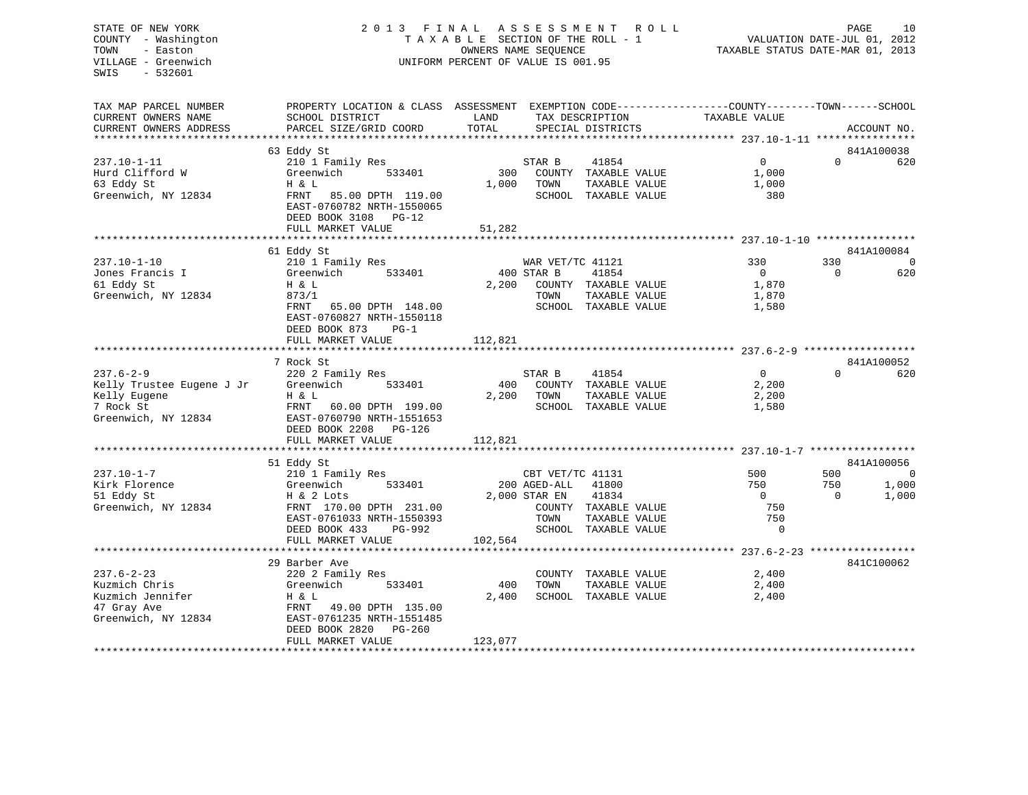## STATE OF NEW YORK 2 0 1 3 F I N A L A S S E S S M E N T R O L L PAGE 10 COUNTY - Washington T A X A B L E SECTION OF THE ROLL - 1 VALUATION DATE-JUL 01, 2012 TOWN - Easton OWNERS NAME SEQUENCE TAXABLE STATUS DATE-MAR 01, 2013 VILLAGE - Greenwich UNIFORM PERCENT OF VALUE IS 001.95

| SCHOOL DISTRICT<br>PARCEL SIZE/GRID COORD                                                                                                                                      | LAND<br>TOTAL                                                                                                                  | TAX DESCRIPTION<br>SPECIAL DISTRICTS            | TAXABLE VALUE                                                         |                                                                                                                                                                                                                                                                                                                                   | ACCOUNT NO.                                                  |
|--------------------------------------------------------------------------------------------------------------------------------------------------------------------------------|--------------------------------------------------------------------------------------------------------------------------------|-------------------------------------------------|-----------------------------------------------------------------------|-----------------------------------------------------------------------------------------------------------------------------------------------------------------------------------------------------------------------------------------------------------------------------------------------------------------------------------|--------------------------------------------------------------|
|                                                                                                                                                                                |                                                                                                                                |                                                 |                                                                       |                                                                                                                                                                                                                                                                                                                                   | 841A100038                                                   |
| 210 1 Family Res<br>Greenwich<br>533401<br>H & L<br>FRNT<br>85.00 DPTH 119.00<br>EAST-0760782 NRTH-1550065<br>DEED BOOK 3108 PG-12                                             | 300<br>1,000                                                                                                                   | 41854<br>STAR B<br>TOWN                         | $\overline{0}$<br>1,000<br>1,000<br>380                               | $\Omega$                                                                                                                                                                                                                                                                                                                          | 620                                                          |
| FULL MARKET VALUE                                                                                                                                                              | 51,282                                                                                                                         |                                                 |                                                                       |                                                                                                                                                                                                                                                                                                                                   |                                                              |
|                                                                                                                                                                                |                                                                                                                                |                                                 |                                                                       |                                                                                                                                                                                                                                                                                                                                   |                                                              |
| 210 1 Family Res<br>Greenwich<br>533401<br>H & L<br>873/1<br>FRNT<br>65.00 DPTH 148.00<br>EAST-0760827 NRTH-1550118<br>DEED BOOK 873<br>$PG-1$<br>FULL MARKET VALUE            | 2,200<br>112,821                                                                                                               | WAR VET/TC 41121<br>41854<br>TOWN               | 330<br>$\overline{0}$<br>1,870<br>1,870<br>1,580                      | 330<br>$\Omega$                                                                                                                                                                                                                                                                                                                   | 841A100084<br>$\Omega$<br>620                                |
|                                                                                                                                                                                |                                                                                                                                |                                                 |                                                                       |                                                                                                                                                                                                                                                                                                                                   |                                                              |
| 220 2 Family Res<br>Greenwich<br>533401<br>H & L<br>FRNT<br>60.00 DPTH 199.00<br>EAST-0760790 NRTH-1551653<br>DEED BOOK 2208 PG-126<br>FULL MARKET VALUE                       | 400<br>2,200<br>112,821                                                                                                        | STAR B<br>41854<br>TOWN                         | $\overline{0}$<br>2,200<br>2,200<br>1,580                             | $\cap$                                                                                                                                                                                                                                                                                                                            | 841A100052<br>620                                            |
|                                                                                                                                                                                |                                                                                                                                |                                                 |                                                                       |                                                                                                                                                                                                                                                                                                                                   | 841A100056                                                   |
| 210 1 Family Res<br>Greenwich<br>533401<br>H & 2 Lots<br>FRNT 170.00 DPTH 231.00<br>EAST-0761033 NRTH-1550393<br>DEED BOOK 433<br>PG-992                                       |                                                                                                                                | CBT VET/TC 41131<br>41800<br>41834<br>TOWN      | 500<br>750<br>$\Omega$<br>750<br>750<br>$\mathbf 0$                   | 500<br>750<br>$\Omega$                                                                                                                                                                                                                                                                                                            | $\overline{0}$<br>1,000<br>1,000                             |
| *************************                                                                                                                                                      |                                                                                                                                |                                                 |                                                                       |                                                                                                                                                                                                                                                                                                                                   |                                                              |
| 29 Barber Ave<br>220 2 Family Res<br>Greenwich<br>533401<br>H & L<br>49.00 DPTH 135.00<br>FRNT<br>EAST-0761235 NRTH-1551485<br>DEED BOOK 2820<br>$PG-260$<br>FULL MARKET VALUE | 400<br>2,400                                                                                                                   | TOWN                                            | 2,400<br>2,400<br>2,400                                               |                                                                                                                                                                                                                                                                                                                                   | 841C100062                                                   |
|                                                                                                                                                                                | 63 Eddy St<br>**********************<br>61 Eddy St<br>7 Rock St<br>************************<br>51 Eddy St<br>FULL MARKET VALUE | PROPERTY LOCATION & CLASS ASSESSMENT<br>123,077 | ***********<br>400 STAR B<br>200 AGED-ALL<br>2,000 STAR EN<br>102,564 | COUNTY TAXABLE VALUE<br>TAXABLE VALUE<br>SCHOOL TAXABLE VALUE<br>COUNTY TAXABLE VALUE<br>TAXABLE VALUE<br>SCHOOL TAXABLE VALUE<br>COUNTY TAXABLE VALUE<br>TAXABLE VALUE<br>SCHOOL TAXABLE VALUE<br>COUNTY TAXABLE VALUE<br>TAXABLE VALUE<br>SCHOOL TAXABLE VALUE<br>COUNTY TAXABLE VALUE<br>TAXABLE VALUE<br>SCHOOL TAXABLE VALUE | EXEMPTION CODE-----------------COUNTY-------TOWN------SCHOOL |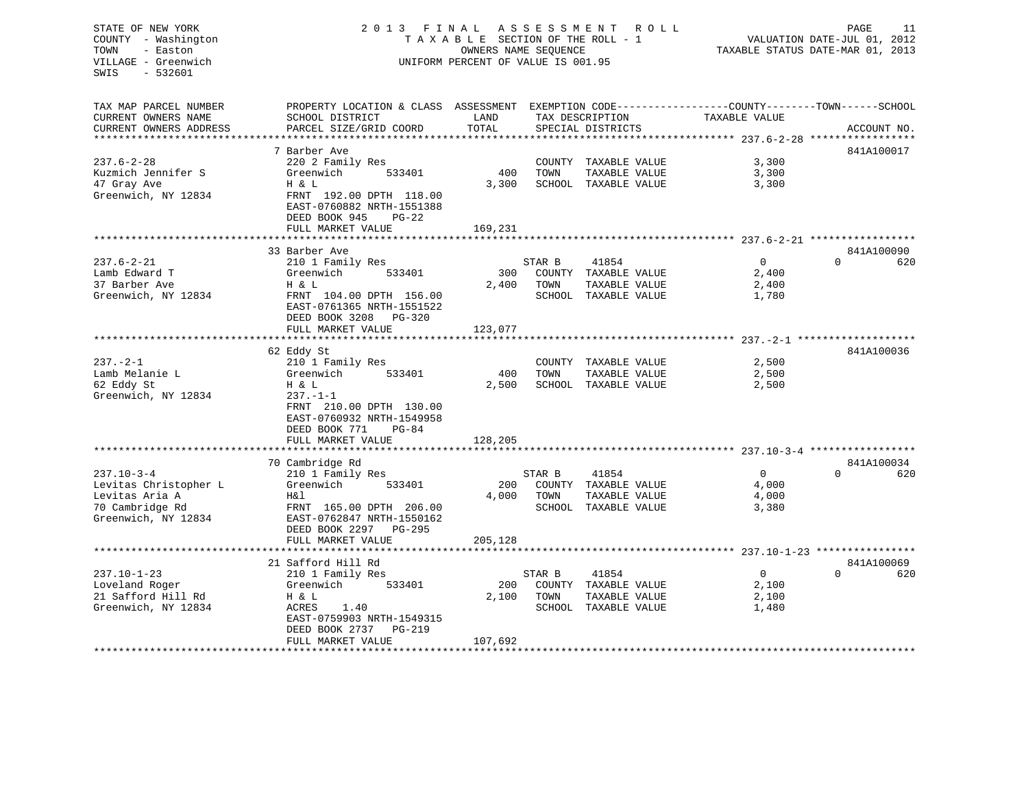## STATE OF NEW YORK 2 0 1 3 F I N A L A S S E S S M E N T R O L L PAGE 11 COUNTY - Washington T A X A B L E SECTION OF THE ROLL - 1 VALUATION DATE-JUL 01, 2012 TOWN - Easton **CONNERS NAME SEQUENCE** TAXABLE STATUS DATE-MAR 01, 2013 VILLAGE - Greenwich UNIFORM PERCENT OF VALUE IS 001.95

| TAX MAP PARCEL NUMBER<br>CURRENT OWNERS NAME<br>CURRENT OWNERS ADDRESS                                | PROPERTY LOCATION & CLASS ASSESSMENT EXEMPTION CODE----------------COUNTY-------TOWN------SCHOOL<br>SCHOOL DISTRICT<br>PARCEL SIZE/GRID COORD                             | LAND<br>TOTAL           | TAX DESCRIPTION | SPECIAL DISTRICTS                                                      | TAXABLE VALUE                             | ACCOUNT NO.                   |
|-------------------------------------------------------------------------------------------------------|---------------------------------------------------------------------------------------------------------------------------------------------------------------------------|-------------------------|-----------------|------------------------------------------------------------------------|-------------------------------------------|-------------------------------|
|                                                                                                       |                                                                                                                                                                           |                         |                 |                                                                        |                                           |                               |
| $237.6 - 2 - 28$<br>Kuzmich Jennifer S<br>47 Gray Ave<br>Greenwich, NY 12834                          | 7 Barber Ave<br>220 2 Family Res<br>Greenwich<br>533401<br>H & L<br>FRNT 192.00 DPTH 118.00<br>EAST-0760882 NRTH-1551388<br>DEED BOOK 945<br>$PG-22$<br>FULL MARKET VALUE | 400<br>3,300<br>169,231 | TOWN            | COUNTY TAXABLE VALUE<br>TAXABLE VALUE<br>SCHOOL TAXABLE VALUE          | 3,300<br>3,300<br>3,300                   | 841A100017                    |
|                                                                                                       |                                                                                                                                                                           |                         |                 |                                                                        |                                           |                               |
| $237.6 - 2 - 21$<br>Lamb Edward T<br>37 Barber Ave<br>Greenwich, NY 12834                             | 33 Barber Ave<br>210 1 Family Res<br>533401<br>Greenwich<br>H & L<br>FRNT 104.00 DPTH 156.00<br>EAST-0761365 NRTH-1551522<br>DEED BOOK 3208<br>PG-320                     | 300<br>2,400            | STAR B<br>TOWN  | 41854<br>COUNTY TAXABLE VALUE<br>TAXABLE VALUE<br>SCHOOL TAXABLE VALUE | $\overline{0}$<br>2,400<br>2,400<br>1,780 | 841A100090<br>$\Omega$<br>620 |
|                                                                                                       | FULL MARKET VALUE                                                                                                                                                         | 123,077                 |                 |                                                                        |                                           |                               |
| $237. - 2 - 1$<br>Lamb Melanie L<br>62 Eddy St                                                        | 62 Eddy St<br>210 1 Family Res<br>Greenwich<br>533401<br>H & L                                                                                                            | 400<br>2,500            | TOWN            | COUNTY TAXABLE VALUE<br>TAXABLE VALUE<br>SCHOOL TAXABLE VALUE          | 2,500<br>2,500<br>2,500                   | 841A100036                    |
| Greenwich, NY 12834                                                                                   | $237. - 1 - 1$<br>FRNT 210.00 DPTH 130.00<br>EAST-0760932 NRTH-1549958<br>DEED BOOK 771<br>$PG-84$<br>FULL MARKET VALUE                                                   | 128,205                 |                 |                                                                        |                                           |                               |
|                                                                                                       | *********************                                                                                                                                                     |                         |                 |                                                                        |                                           |                               |
|                                                                                                       | 70 Cambridge Rd                                                                                                                                                           |                         |                 |                                                                        |                                           | 841A100034                    |
| $237.10 - 3 - 4$<br>Levitas Christopher L<br>Levitas Aria A<br>70 Cambridge Rd<br>Greenwich, NY 12834 | 210 1 Family Res<br>Greenwich<br>533401<br>H&l<br>FRNT 165.00 DPTH 206.00<br>EAST-0762847 NRTH-1550162<br>DEED BOOK 2297<br>PG-295                                        | 200<br>4,000            | STAR B<br>TOWN  | 41854<br>COUNTY TAXABLE VALUE<br>TAXABLE VALUE<br>SCHOOL TAXABLE VALUE | $\overline{0}$<br>4,000<br>4,000<br>3,380 | $\Omega$<br>620               |
|                                                                                                       | FULL MARKET VALUE<br>***********************                                                                                                                              | 205,128                 |                 |                                                                        |                                           |                               |
|                                                                                                       | 21 Safford Hill Rd                                                                                                                                                        |                         |                 |                                                                        |                                           | 841A100069                    |
| $237.10 - 1 - 23$<br>Loveland Roger<br>21 Safford Hill Rd<br>Greenwich, NY 12834                      | 210 1 Family Res<br>Greenwich<br>533401<br>H & L<br>1.40<br>ACRES<br>EAST-0759903 NRTH-1549315<br>DEED BOOK 2737<br>PG-219                                                | 200<br>2,100            | STAR B<br>TOWN  | 41854<br>COUNTY TAXABLE VALUE<br>TAXABLE VALUE<br>SCHOOL TAXABLE VALUE | $\overline{0}$<br>2,100<br>2,100<br>1,480 | $\Omega$<br>620               |
|                                                                                                       | FULL MARKET VALUE                                                                                                                                                         | 107,692                 |                 |                                                                        |                                           |                               |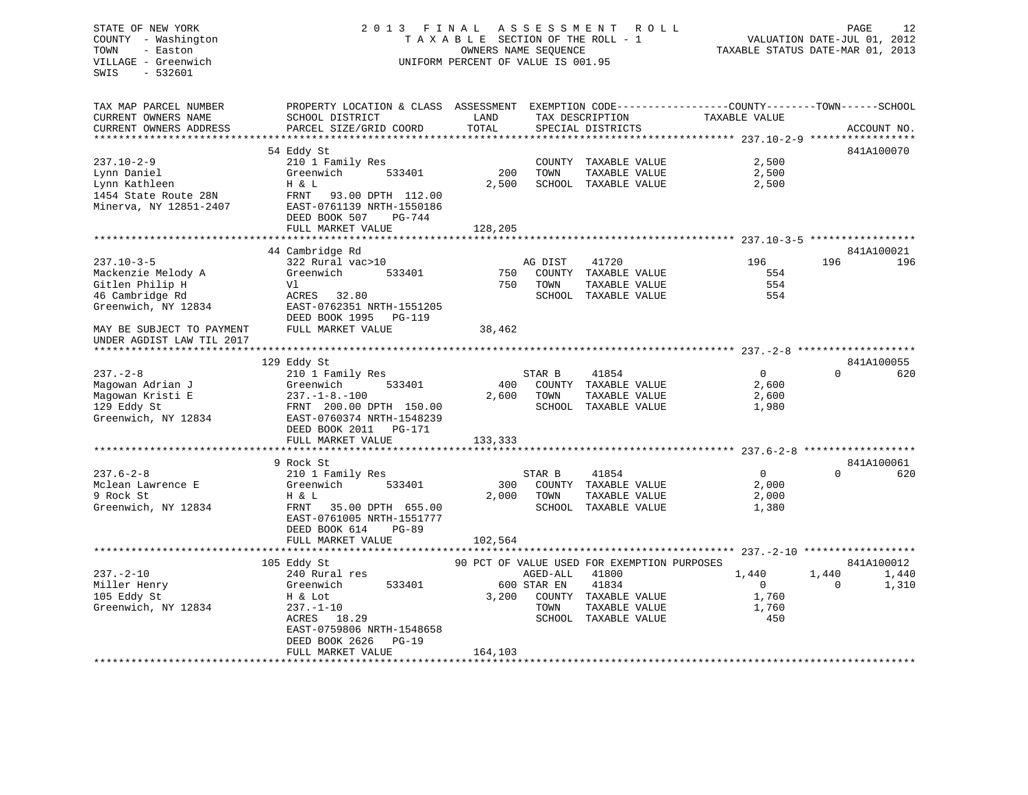## STATE OF NEW YORK 2 0 1 3 F I N A L A S S E S S M E N T R O L L PAGE 12 COUNTY - Washington T A X A B L E SECTION OF THE ROLL - 1 VALUATION DATE-JUL 01, 2012 TOWN - Easton **CONNERS NAME SEQUENCE** TAXABLE STATUS DATE-MAR 01, 2013 VILLAGE - Greenwich UNIFORM PERCENT OF VALUE IS 001.95

| TAX MAP PARCEL NUMBER                         | PROPERTY LOCATION & CLASS ASSESSMENT EXEMPTION CODE---------------COUNTY-------TOWN------SCHOOL |               |                                               |                |                            |
|-----------------------------------------------|-------------------------------------------------------------------------------------------------|---------------|-----------------------------------------------|----------------|----------------------------|
| CURRENT OWNERS NAME<br>CURRENT OWNERS ADDRESS | SCHOOL DISTRICT<br>PARCEL SIZE/GRID COORD                                                       | LAND<br>TOTAL | TAX DESCRIPTION                               | TAXABLE VALUE  | ACCOUNT NO.                |
|                                               |                                                                                                 |               | SPECIAL DISTRICTS                             |                |                            |
|                                               |                                                                                                 |               |                                               |                | 841A100070                 |
| $237.10 - 2 - 9$                              | 54 Eddy St<br>210 1 Family Res                                                                  |               | COUNTY TAXABLE VALUE                          | 2,500          |                            |
|                                               | Greenwich<br>533401                                                                             | 200           | TOWN                                          |                |                            |
| Lynn Daniel<br>Lynn Kathleen                  | H & L                                                                                           | 2,500         | TAXABLE VALUE<br>SCHOOL TAXABLE VALUE         | 2,500<br>2,500 |                            |
| 1454 State Route 28N                          | FRNT<br>93.00 DPTH 112.00                                                                       |               |                                               |                |                            |
| Minerva, NY 12851-2407                        | EAST-0761139 NRTH-1550186                                                                       |               |                                               |                |                            |
|                                               | DEED BOOK 507<br>$PG-744$                                                                       |               |                                               |                |                            |
|                                               | FULL MARKET VALUE                                                                               | 128,205       |                                               |                |                            |
|                                               |                                                                                                 |               |                                               |                |                            |
|                                               | 44 Cambridge Rd                                                                                 |               |                                               |                | 841A100021                 |
| $237.10 - 3 - 5$                              | 322 Rural vac>10                                                                                |               | AG DIST<br>41720                              | 196            | 196<br>196                 |
| Mackenzie Melody A                            | Greenwich<br>533401                                                                             | 750           | COUNTY TAXABLE VALUE                          | 554            |                            |
| Gitlen Philip H                               | Vl                                                                                              | 750           | TOWN<br>TAXABLE VALUE                         | 554            |                            |
| 46 Cambridge Rd                               | ACRES 32.80                                                                                     |               | SCHOOL TAXABLE VALUE                          | 554            |                            |
| Greenwich, NY 12834                           | EAST-0762351 NRTH-1551205                                                                       |               |                                               |                |                            |
|                                               | DEED BOOK 1995<br>PG-119                                                                        |               |                                               |                |                            |
| MAY BE SUBJECT TO PAYMENT                     | FULL MARKET VALUE                                                                               | 38,462        |                                               |                |                            |
| UNDER AGDIST LAW TIL 2017                     |                                                                                                 |               |                                               |                |                            |
|                                               |                                                                                                 |               |                                               |                |                            |
|                                               | 129 Eddy St                                                                                     |               |                                               |                | 841A100055                 |
| $237. - 2 - 8$                                | 210 1 Family Res                                                                                |               | STAR B<br>41854                               | $\overline{0}$ | 620<br>$\Omega$            |
| Magowan Adrian J                              | 533401<br>Greenwich                                                                             | 400           | COUNTY TAXABLE VALUE                          | 2,600          |                            |
| Magowan Kristi E                              | $237. - 1 - 8. - 100$                                                                           | 2,600         | TOWN<br>TAXABLE VALUE                         | 2,600          |                            |
| 129 Eddy St                                   | FRNT 200.00 DPTH 150.00                                                                         |               | SCHOOL TAXABLE VALUE                          | 1,980          |                            |
| Greenwich, NY 12834                           | EAST-0760374 NRTH-1548239                                                                       |               |                                               |                |                            |
|                                               | DEED BOOK 2011<br>PG-171                                                                        |               |                                               |                |                            |
|                                               | FULL MARKET VALUE                                                                               | 133,333       |                                               |                |                            |
|                                               |                                                                                                 |               |                                               |                |                            |
|                                               | 9 Rock St                                                                                       |               |                                               |                | 841A100061                 |
| $237.6 - 2 - 8$                               | 210 1 Family Res                                                                                |               | STAR B<br>41854                               | $\mathbf{0}$   | $\Omega$<br>620            |
| Mclean Lawrence E                             | Greenwich<br>533401                                                                             | 300           | COUNTY TAXABLE VALUE                          | 2,000          |                            |
| 9 Rock St                                     | H & L                                                                                           | 2,000         | TOWN<br>TAXABLE VALUE                         | 2,000          |                            |
| Greenwich, NY 12834                           | FRNT<br>35.00 DPTH 655.00                                                                       |               | SCHOOL TAXABLE VALUE                          | 1,380          |                            |
|                                               | EAST-0761005 NRTH-1551777                                                                       |               |                                               |                |                            |
|                                               | DEED BOOK 614<br>$PG-89$                                                                        |               |                                               |                |                            |
|                                               | FULL MARKET VALUE                                                                               | 102,564       |                                               |                |                            |
|                                               |                                                                                                 |               |                                               |                |                            |
|                                               | 105 Eddy St                                                                                     |               | 90 PCT OF VALUE USED FOR EXEMPTION PURPOSES   |                | 841A100012                 |
| $237. - 2 - 10$                               | 240 Rural res                                                                                   |               | AGED-ALL<br>41800                             | 1,440          | 1,440<br>1,440<br>$\Omega$ |
| Miller Henry                                  | 533401<br>Greenwich                                                                             |               | 600 STAR EN<br>41834                          | $\overline{0}$ | 1,310                      |
| 105 Eddy St                                   | H & Lot                                                                                         | 3,200         | COUNTY TAXABLE VALUE                          | 1,760          |                            |
| Greenwich, NY 12834                           | $237. - 1 - 10$<br>18.29<br>ACRES                                                               |               | TOWN<br>TAXABLE VALUE<br>SCHOOL TAXABLE VALUE | 1,760<br>450   |                            |
|                                               | EAST-0759806 NRTH-1548658                                                                       |               |                                               |                |                            |
|                                               | DEED BOOK 2626<br>$PG-19$                                                                       |               |                                               |                |                            |
|                                               | FULL MARKET VALUE                                                                               | 164,103       |                                               |                |                            |
|                                               |                                                                                                 |               |                                               |                |                            |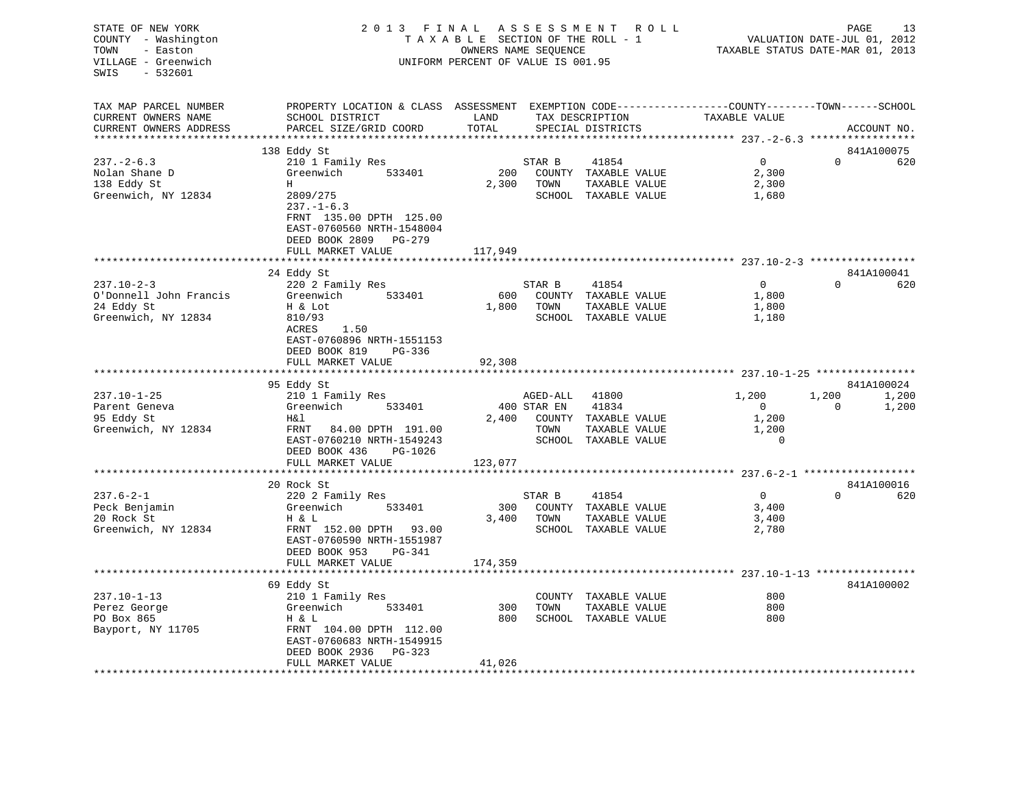| STATE OF NEW YORK<br>COUNTY - Washington<br>TOWN<br>- Easton<br>VILLAGE - Greenwich<br>$-532601$<br>SWIS                 | 2 0 1 3<br>FINAL                                        | TAXABLE SECTION OF THE ROLL - 1<br>OWNERS NAME SEQUENCE<br>UNIFORM PERCENT OF VALUE IS 001.95 | A S S E S S M E N T | R O L L                               | TAXABLE STATUS DATE-MAR 01, 2013                                              | PAGE<br>VALUATION DATE-JUL 01, 2012 | 13          |
|--------------------------------------------------------------------------------------------------------------------------|---------------------------------------------------------|-----------------------------------------------------------------------------------------------|---------------------|---------------------------------------|-------------------------------------------------------------------------------|-------------------------------------|-------------|
| TAX MAP PARCEL NUMBER<br>CURRENT OWNERS NAME                                                                             | PROPERTY LOCATION & CLASS ASSESSMENT<br>SCHOOL DISTRICT | LAND                                                                                          |                     | TAX DESCRIPTION                       | EXEMPTION CODE-----------------COUNTY-------TOWN------SCHOOL<br>TAXABLE VALUE |                                     |             |
| CURRENT OWNERS ADDRESS                                                                                                   | PARCEL SIZE/GRID COORD                                  | TOTAL                                                                                         |                     | SPECIAL DISTRICTS                     |                                                                               |                                     | ACCOUNT NO. |
|                                                                                                                          |                                                         | ******                                                                                        |                     |                                       | ********* 237.-2-6.3 *****************                                        |                                     |             |
|                                                                                                                          | 138 Eddy St                                             |                                                                                               |                     |                                       |                                                                               |                                     | 841A100075  |
| $237 - 2 - 6.3$                                                                                                          | 210 1 Family Res                                        |                                                                                               | STAR B              | 41854                                 | $\mathbf 0$                                                                   | $\mathbf 0$                         | 620         |
| Nolan Shane D<br>138 Eddy St                                                                                             | Greenwich<br>533401<br>Н                                | 200<br>2,300                                                                                  | TOWN                | COUNTY TAXABLE VALUE                  | 2,300<br>2,300                                                                |                                     |             |
| Greenwich, NY 12834                                                                                                      | 2809/275                                                |                                                                                               |                     | TAXABLE VALUE<br>SCHOOL TAXABLE VALUE | 1,680                                                                         |                                     |             |
|                                                                                                                          | $237. - 1 - 6.3$                                        |                                                                                               |                     |                                       |                                                                               |                                     |             |
|                                                                                                                          | FRNT 135.00 DPTH 125.00                                 |                                                                                               |                     |                                       |                                                                               |                                     |             |
|                                                                                                                          | EAST-0760560 NRTH-1548004                               |                                                                                               |                     |                                       |                                                                               |                                     |             |
|                                                                                                                          | DEED BOOK 2809 PG-279                                   |                                                                                               |                     |                                       |                                                                               |                                     |             |
|                                                                                                                          | FULL MARKET VALUE                                       | 117,949                                                                                       |                     |                                       |                                                                               |                                     |             |
|                                                                                                                          |                                                         | ********                                                                                      |                     |                                       | ***************************** 237.10-2-3 *****************                    |                                     |             |
|                                                                                                                          | 24 Eddy St                                              |                                                                                               |                     |                                       |                                                                               |                                     | 841A100041  |
| $237.10 - 2 - 3$                                                                                                         | 220 2 Family Res                                        |                                                                                               | STAR B              | 41854                                 | 0                                                                             | $\Omega$                            | 620         |
| O'Donnell John Francis                                                                                                   | Greenwich<br>533401                                     | 600                                                                                           |                     | COUNTY TAXABLE VALUE                  | 1,800                                                                         |                                     |             |
| 24 Eddy St                                                                                                               | H & Lot                                                 | 1,800                                                                                         | TOWN                | TAXABLE VALUE                         | 1,800                                                                         |                                     |             |
| Greenwich, NY 12834                                                                                                      | 810/93                                                  |                                                                                               |                     | SCHOOL TAXABLE VALUE                  | 1,180                                                                         |                                     |             |
|                                                                                                                          | 1.50<br>ACRES                                           |                                                                                               |                     |                                       |                                                                               |                                     |             |
|                                                                                                                          | EAST-0760896 NRTH-1551153                               |                                                                                               |                     |                                       |                                                                               |                                     |             |
|                                                                                                                          | DEED BOOK 819<br>PG-336                                 |                                                                                               |                     |                                       |                                                                               |                                     |             |
|                                                                                                                          | FULL MARKET VALUE<br>*******************                | 92,308<br>***********                                                                         |                     |                                       |                                                                               |                                     |             |
|                                                                                                                          |                                                         |                                                                                               |                     |                                       |                                                                               |                                     | 841A100024  |
| $237.10 - 1 - 25$                                                                                                        | 95 Eddy St<br>210 1 Family Res                          |                                                                                               | AGED-ALL            | 41800                                 | 1,200                                                                         | 1,200                               | 1,200       |
| Parent Geneva                                                                                                            | Greenwich<br>533401                                     |                                                                                               | 400 STAR EN         | 41834                                 | $\mathbf 0$                                                                   | $\mathbf 0$                         | 1,200       |
| 95 Eddy St                                                                                                               | H&l                                                     | 2,400                                                                                         | COUNTY              | TAXABLE VALUE                         | 1,200                                                                         |                                     |             |
| Greenwich, NY 12834                                                                                                      |                                                         |                                                                                               |                     |                                       |                                                                               |                                     |             |
|                                                                                                                          |                                                         |                                                                                               |                     |                                       |                                                                               |                                     |             |
|                                                                                                                          | 84.00 DPTH 191.00<br>FRNT                               |                                                                                               | TOWN                | TAXABLE VALUE                         | 1,200                                                                         |                                     |             |
|                                                                                                                          | EAST-0760210 NRTH-1549243                               |                                                                                               | SCHOOL              | TAXABLE VALUE                         | $\mathbf 0$                                                                   |                                     |             |
|                                                                                                                          | DEED BOOK 436<br>PG-1026                                |                                                                                               |                     |                                       |                                                                               |                                     |             |
|                                                                                                                          | FULL MARKET VALUE                                       | 123,077                                                                                       |                     |                                       |                                                                               | $237.6 - 2 - 1$ ******************* |             |
|                                                                                                                          | 20 Rock St                                              |                                                                                               |                     |                                       |                                                                               |                                     | 841A100016  |
|                                                                                                                          | 220 2 Family Res                                        |                                                                                               | STAR B              | 41854                                 | 0                                                                             | $\mathbf 0$                         | 620         |
|                                                                                                                          | Greenwich<br>533401                                     | 300                                                                                           |                     | COUNTY TAXABLE VALUE                  | 3,400                                                                         |                                     |             |
|                                                                                                                          | H & L                                                   | 3,400                                                                                         | TOWN                | TAXABLE VALUE                         | 3,400                                                                         |                                     |             |
|                                                                                                                          | FRNT 152.00 DPTH<br>93.00                               |                                                                                               |                     | SCHOOL TAXABLE VALUE                  | 2,780                                                                         |                                     |             |
|                                                                                                                          | EAST-0760590 NRTH-1551987                               |                                                                                               |                     |                                       |                                                                               |                                     |             |
|                                                                                                                          | DEED BOOK 953<br>PG-341                                 |                                                                                               |                     |                                       |                                                                               |                                     |             |
|                                                                                                                          | FULL MARKET VALUE                                       | 174,359                                                                                       |                     |                                       |                                                                               |                                     |             |
|                                                                                                                          |                                                         |                                                                                               |                     |                                       |                                                                               | $237.10 - 1 - 13$ ****************  |             |
|                                                                                                                          | 69 Eddy St                                              |                                                                                               |                     |                                       |                                                                               |                                     | 841A100002  |
|                                                                                                                          | 210 1 Family Res                                        |                                                                                               |                     | COUNTY TAXABLE VALUE                  | 800                                                                           |                                     |             |
|                                                                                                                          | Greenwich<br>533401                                     | 300                                                                                           | TOWN                | TAXABLE VALUE                         | 800                                                                           |                                     |             |
| $237.6 - 2 - 1$<br>Peck Benjamin<br>20 Rock St<br>Greenwich, NY 12834<br>$237.10 - 1 - 13$<br>Perez George<br>PO Box 865 | H & L                                                   | 800                                                                                           |                     | SCHOOL TAXABLE VALUE                  | 800                                                                           |                                     |             |
| Bayport, NY 11705                                                                                                        | FRNT 104.00 DPTH 112.00                                 |                                                                                               |                     |                                       |                                                                               |                                     |             |
|                                                                                                                          | EAST-0760683 NRTH-1549915                               |                                                                                               |                     |                                       |                                                                               |                                     |             |
|                                                                                                                          | DEED BOOK 2936<br>PG-323<br>FULL MARKET VALUE           | 41,026                                                                                        |                     |                                       |                                                                               |                                     |             |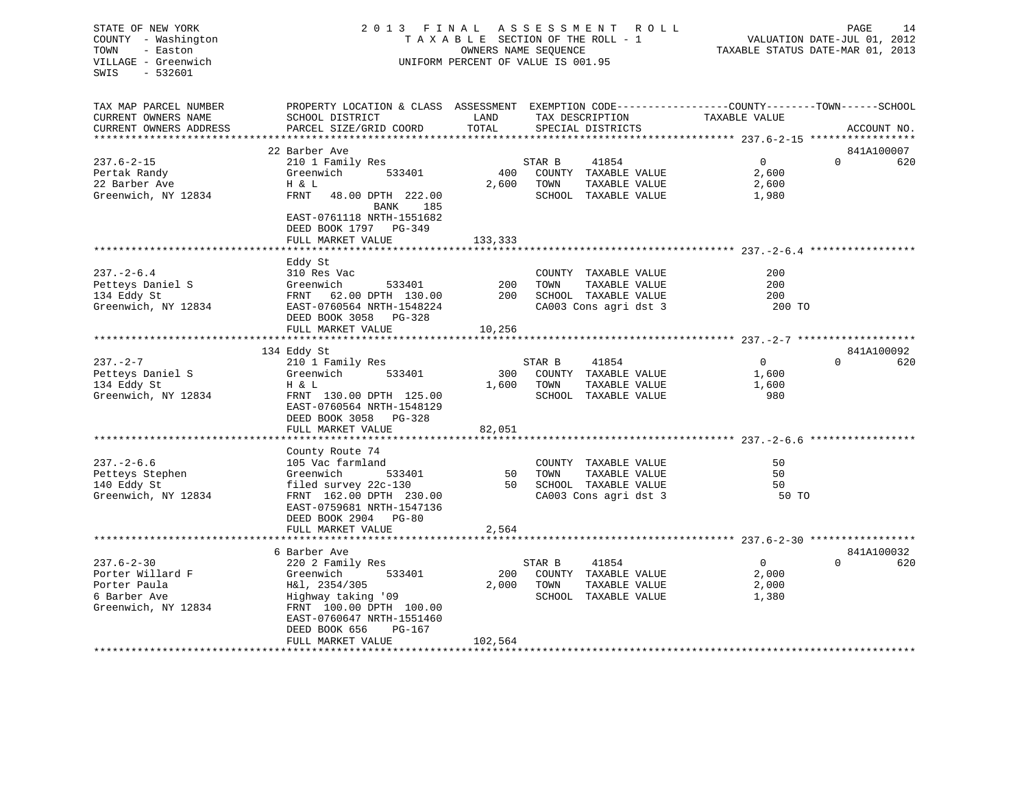## STATE OF NEW YORK 2 0 1 3 F I N A L A S S E S S M E N T R O L L PAGE 14 COUNTY - Washington T A X A B L E SECTION OF THE ROLL - 1 VALUATION DATE-JUL 01, 2012 TOWN - Easton OWNERS NAME SEQUENCE TAXABLE STATUS DATE-MAR 01, 2013 VILLAGE - Greenwich UNIFORM PERCENT OF VALUE IS 001.95

| TAX MAP PARCEL NUMBER  | PROPERTY LOCATION & CLASS ASSESSMENT EXEMPTION CODE----------------COUNTY-------TOWN------SCHOOL |         |                       |                |                 |
|------------------------|--------------------------------------------------------------------------------------------------|---------|-----------------------|----------------|-----------------|
| CURRENT OWNERS NAME    | SCHOOL DISTRICT                                                                                  | LAND    | TAX DESCRIPTION       | TAXABLE VALUE  |                 |
| CURRENT OWNERS ADDRESS | PARCEL SIZE/GRID COORD                                                                           | TOTAL   | SPECIAL DISTRICTS     |                | ACCOUNT NO.     |
|                        |                                                                                                  |         |                       |                |                 |
|                        | 22 Barber Ave                                                                                    |         |                       |                | 841A100007      |
| $237.6 - 2 - 15$       |                                                                                                  |         |                       | $\Omega$       | $\Omega$<br>620 |
|                        | 210 1 Family Res                                                                                 |         | STAR B<br>41854       |                |                 |
| Pertak Randy           | 533401<br>Greenwich                                                                              | 400     | COUNTY TAXABLE VALUE  | 2,600          |                 |
| 22 Barber Ave          | H & L                                                                                            | 2,600   | TOWN<br>TAXABLE VALUE | 2,600          |                 |
| Greenwich, NY 12834    | FRNT<br>48.00 DPTH 222.00                                                                        |         | SCHOOL TAXABLE VALUE  | 1,980          |                 |
|                        | BANK<br>185                                                                                      |         |                       |                |                 |
|                        | EAST-0761118 NRTH-1551682                                                                        |         |                       |                |                 |
|                        | DEED BOOK 1797 PG-349                                                                            |         |                       |                |                 |
|                        | FULL MARKET VALUE                                                                                | 133,333 |                       |                |                 |
|                        |                                                                                                  |         |                       |                |                 |
|                        | Eddy St                                                                                          |         |                       |                |                 |
| $237. - 2 - 6.4$       |                                                                                                  |         |                       | 200            |                 |
|                        | 310 Res Vac                                                                                      |         | COUNTY TAXABLE VALUE  |                |                 |
| Petteys Daniel S       | Greenwich<br>533401                                                                              | 200     | TAXABLE VALUE<br>TOWN | 200            |                 |
| 134 Eddy St            | FRNT 62.00 DPTH 130.00                                                                           | 200     | SCHOOL TAXABLE VALUE  | 200            |                 |
| Greenwich, NY 12834    | EAST-0760564 NRTH-1548224                                                                        |         | CA003 Cons agri dst 3 | 200 TO         |                 |
|                        | DEED BOOK 3058 PG-328                                                                            |         |                       |                |                 |
|                        | FULL MARKET VALUE                                                                                | 10,256  |                       |                |                 |
|                        |                                                                                                  |         |                       |                |                 |
|                        | 134 Eddy St                                                                                      |         |                       |                | 841A100092      |
| $237. - 2 - 7$         | 210 1 Family Res                                                                                 |         | 41854<br>STAR B       | $\overline{0}$ | $\Omega$<br>620 |
| Petteys Daniel S       | Greenwich<br>533401                                                                              | 300     | COUNTY TAXABLE VALUE  | 1,600          |                 |
| 134 Eddy St            | H & L                                                                                            | 1,600   | TOWN<br>TAXABLE VALUE |                |                 |
|                        |                                                                                                  |         |                       | 1,600          |                 |
| Greenwich, NY 12834    | FRNT 130.00 DPTH 125.00                                                                          |         | SCHOOL TAXABLE VALUE  | 980            |                 |
|                        | EAST-0760564 NRTH-1548129                                                                        |         |                       |                |                 |
|                        | DEED BOOK 3058<br>PG-328                                                                         |         |                       |                |                 |
|                        | FULL MARKET VALUE                                                                                | 82,051  |                       |                |                 |
|                        |                                                                                                  |         |                       |                |                 |
|                        | County Route 74                                                                                  |         |                       |                |                 |
| $237. - 2 - 6.6$       | 105 Vac farmland                                                                                 |         | COUNTY TAXABLE VALUE  | 50             |                 |
| Petteys Stephen        | Greenwich<br>533401                                                                              | 50      | TOWN<br>TAXABLE VALUE | 50             |                 |
| 140 Eddy St            | filed survey 22c-130                                                                             | 50      | SCHOOL TAXABLE VALUE  | 50             |                 |
| Greenwich, NY 12834    | FRNT 162.00 DPTH 230.00                                                                          |         | CA003 Cons agri dst 3 | 50 TO          |                 |
|                        |                                                                                                  |         |                       |                |                 |
|                        | EAST-0759681 NRTH-1547136                                                                        |         |                       |                |                 |
|                        | DEED BOOK 2904 PG-80                                                                             |         |                       |                |                 |
|                        | FULL MARKET VALUE                                                                                | 2,564   |                       |                |                 |
|                        | *******************************                                                                  |         |                       |                |                 |
|                        | 6 Barber Ave                                                                                     |         |                       |                | 841A100032      |
| $237.6 - 2 - 30$       | 220 2 Family Res                                                                                 |         | STAR B<br>41854       | $\overline{0}$ | $\Omega$<br>620 |
| Porter Willard F       | Greenwich<br>533401                                                                              | 200     | COUNTY TAXABLE VALUE  | 2,000          |                 |
| Porter Paula           | H&l, 2354/305                                                                                    | 2,000   | TOWN<br>TAXABLE VALUE | 2,000          |                 |
| 6 Barber Ave           | Highway taking '09                                                                               |         | SCHOOL TAXABLE VALUE  | 1,380          |                 |
| Greenwich, NY 12834    | FRNT 100.00 DPTH 100.00                                                                          |         |                       |                |                 |
|                        | EAST-0760647 NRTH-1551460                                                                        |         |                       |                |                 |
|                        | DEED BOOK 656<br>PG-167                                                                          |         |                       |                |                 |
|                        |                                                                                                  |         |                       |                |                 |
|                        | FULL MARKET VALUE                                                                                | 102,564 |                       |                |                 |
|                        |                                                                                                  |         |                       |                |                 |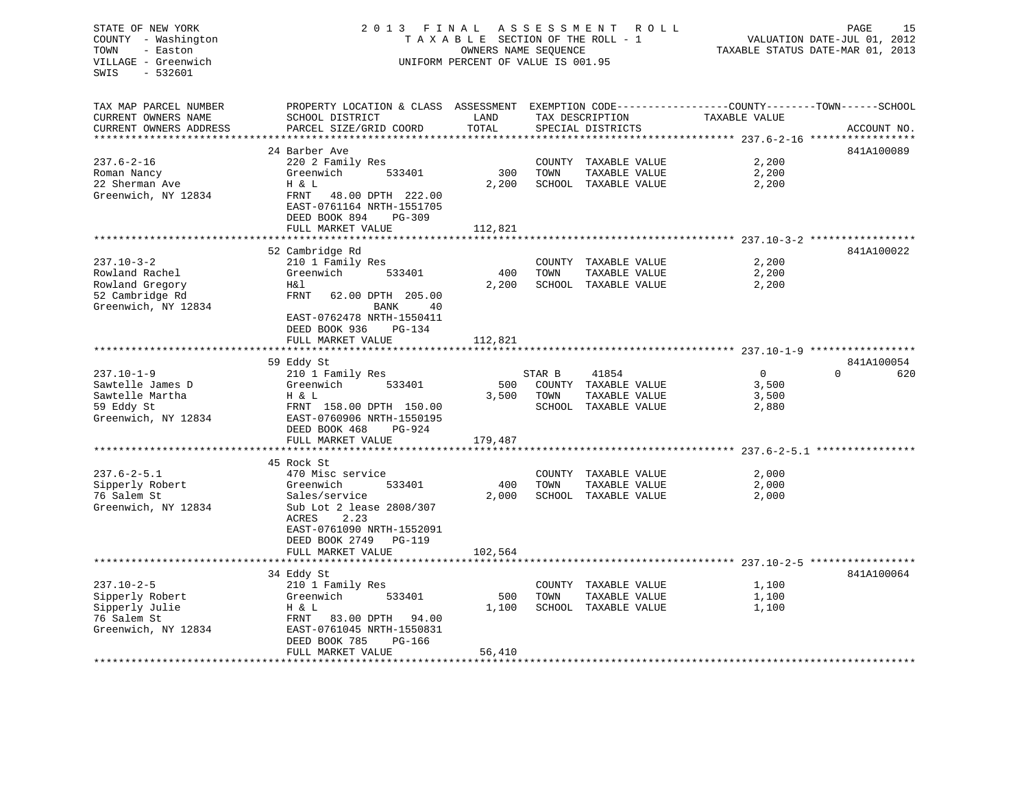## STATE OF NEW YORK 2 0 1 3 F I N A L A S S E S S M E N T R O L L PAGE 15COUNTY - Washington  $T A X A B L E$  SECTION OF THE ROLL - 1<br>TOWN - Easton 000NERS NAME SEQUENCE VILLAGE - Greenwich UNIFORM PERCENT OF VALUE IS 001.95

TAXABLE STATUS DATE-MAR 01, 2013

| TAX MAP PARCEL NUMBER                  | PROPERTY LOCATION & CLASS ASSESSMENT                                              |         |        |                      | EXEMPTION CODE-----------------COUNTY-------TOWN------SCHOOL |                 |
|----------------------------------------|-----------------------------------------------------------------------------------|---------|--------|----------------------|--------------------------------------------------------------|-----------------|
| CURRENT OWNERS NAME                    | SCHOOL DISTRICT                                                                   | LAND    |        | TAX DESCRIPTION      | TAXABLE VALUE                                                |                 |
| CURRENT OWNERS ADDRESS                 | PARCEL SIZE/GRID COORD                                                            | TOTAL   |        | SPECIAL DISTRICTS    |                                                              | ACCOUNT NO.     |
|                                        |                                                                                   |         |        |                      |                                                              |                 |
|                                        | 24 Barber Ave                                                                     |         |        |                      |                                                              | 841A100089      |
| $237.6 - 2 - 16$                       | 220 2 Family Res                                                                  |         |        | COUNTY TAXABLE VALUE | 2,200                                                        |                 |
| Roman Nancy                            | Greenwich<br>533401                                                               | 300     | TOWN   | TAXABLE VALUE        | 2,200                                                        |                 |
| 22 Sherman Ave                         | H & L                                                                             | 2,200   |        | SCHOOL TAXABLE VALUE | 2,200                                                        |                 |
| Greenwich, NY 12834                    | FRNT<br>48.00 DPTH 222.00<br>EAST-0761164 NRTH-1551705<br>DEED BOOK 894<br>PG-309 |         |        |                      |                                                              |                 |
|                                        | FULL MARKET VALUE                                                                 | 112,821 |        |                      |                                                              |                 |
|                                        |                                                                                   |         |        |                      |                                                              |                 |
|                                        | 52 Cambridge Rd                                                                   |         |        |                      |                                                              | 841A100022      |
| $237.10 - 3 - 2$                       | 210 1 Family Res                                                                  |         | COUNTY | TAXABLE VALUE        | 2,200                                                        |                 |
| Rowland Rachel                         | Greenwich<br>533401                                                               | 400     | TOWN   | TAXABLE VALUE        | 2,200                                                        |                 |
| Rowland Gregory                        | H&l                                                                               | 2,200   | SCHOOL | TAXABLE VALUE        | 2,200                                                        |                 |
| 52 Cambridge Rd<br>Greenwich, NY 12834 | <b>FRNT</b><br>62.00 DPTH 205.00<br><b>BANK</b><br>40                             |         |        |                      |                                                              |                 |
|                                        | EAST-0762478 NRTH-1550411<br>DEED BOOK 936<br>PG-134                              |         |        |                      |                                                              |                 |
|                                        | FULL MARKET VALUE                                                                 | 112,821 |        |                      |                                                              |                 |
|                                        | ******************************                                                    |         |        |                      |                                                              |                 |
|                                        | 59 Eddy St                                                                        |         |        |                      |                                                              | 841A100054      |
| $237.10 - 1 - 9$                       | 210 1 Family Res                                                                  |         | STAR B | 41854                | $\overline{0}$                                               | $\Omega$<br>620 |
| Sawtelle James D                       | Greenwich<br>533401                                                               | 500     |        | COUNTY TAXABLE VALUE | 3,500                                                        |                 |
| Sawtelle Martha                        | H & L                                                                             | 3,500   | TOWN   | TAXABLE VALUE        | 3,500                                                        |                 |
| 59 Eddy St                             | FRNT 158.00 DPTH 150.00                                                           |         |        | SCHOOL TAXABLE VALUE | 2,880                                                        |                 |
| Greenwich, NY 12834                    | EAST-0760906 NRTH-1550195                                                         |         |        |                      |                                                              |                 |
|                                        | DEED BOOK 468<br>$PG-924$                                                         |         |        |                      |                                                              |                 |
|                                        | FULL MARKET VALUE                                                                 | 179,487 |        |                      |                                                              |                 |
|                                        |                                                                                   |         |        |                      |                                                              |                 |
|                                        | 45 Rock St                                                                        |         |        |                      |                                                              |                 |
| $237.6 - 2 - 5.1$                      | 470 Misc service                                                                  |         | COUNTY | TAXABLE VALUE        | 2,000                                                        |                 |
| Sipperly Robert                        | Greenwich<br>533401                                                               | 400     | TOWN   | TAXABLE VALUE        | 2,000                                                        |                 |
| 76 Salem St                            | Sales/service                                                                     | 2,000   |        | SCHOOL TAXABLE VALUE | 2,000                                                        |                 |
| Greenwich, NY 12834                    | Sub Lot 2 lease 2808/307<br>2.23<br>ACRES                                         |         |        |                      |                                                              |                 |
|                                        | EAST-0761090 NRTH-1552091                                                         |         |        |                      |                                                              |                 |
|                                        | DEED BOOK 2749<br>$PG-119$                                                        |         |        |                      |                                                              |                 |
|                                        | FULL MARKET VALUE                                                                 | 102,564 |        |                      |                                                              |                 |
|                                        |                                                                                   |         |        |                      |                                                              |                 |
|                                        | 34 Eddy St                                                                        |         |        |                      |                                                              | 841A100064      |
| $237.10 - 2 - 5$                       | 210 1 Family Res                                                                  |         |        | COUNTY TAXABLE VALUE | 1,100                                                        |                 |
| Sipperly Robert                        | Greenwich<br>533401                                                               | 500     | TOWN   | TAXABLE VALUE        | 1,100                                                        |                 |
| Sipperly Julie                         | H & L                                                                             | 1,100   |        | SCHOOL TAXABLE VALUE | 1,100                                                        |                 |
| 76 Salem St                            | FRNT<br>83.00 DPTH<br>94.00                                                       |         |        |                      |                                                              |                 |
| Greenwich, NY 12834                    | EAST-0761045 NRTH-1550831                                                         |         |        |                      |                                                              |                 |
|                                        | DEED BOOK 785<br>PG-166                                                           |         |        |                      |                                                              |                 |
|                                        | FULL MARKET VALUE                                                                 | 56,410  |        |                      |                                                              |                 |
| **********************                 |                                                                                   |         |        |                      |                                                              |                 |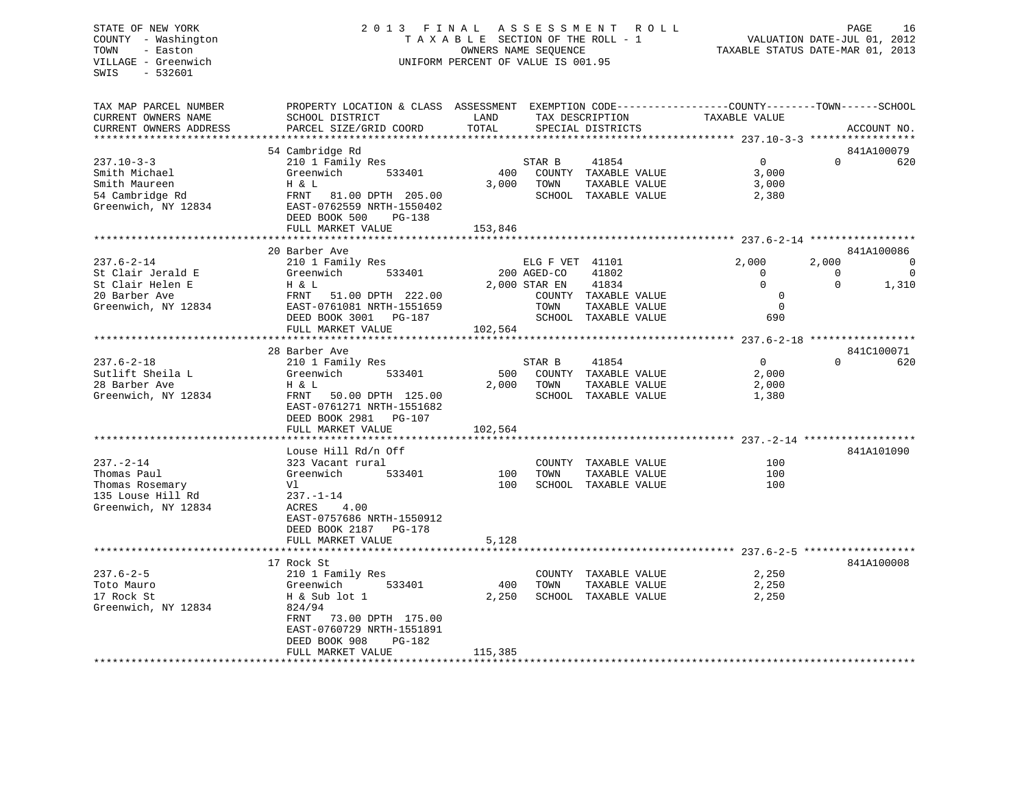## STATE OF NEW YORK 2 0 1 3 F I N A L A S S E S S M E N T R O L L PAGE 16 COUNTY - Washington T A X A B L E SECTION OF THE ROLL - 1 VALUATION DATE-JUL 01, 2012 TOWN - Easton OWNERS NAME SEQUENCE TAXABLE STATUS DATE-MAR 01, 2013 VILLAGE - Greenwich UNIFORM PERCENT OF VALUE IS 001.95

| TAX MAP PARCEL NUMBER<br>CURRENT OWNERS NAME<br>CURRENT OWNERS ADDRESS                            | PROPERTY LOCATION & CLASS ASSESSMENT EXEMPTION CODE----------------COUNTY-------TOWN-----SCHOOL<br>SCHOOL DISTRICT<br>PARCEL SIZE/GRID COORD                                      | LAND<br>TOTAL           |                                                         | TAX DESCRIPTION<br>SPECIAL DISTRICTS                                            | TAXABLE VALUE                                                          |                               | ACCOUNT NO.                                    |
|---------------------------------------------------------------------------------------------------|-----------------------------------------------------------------------------------------------------------------------------------------------------------------------------------|-------------------------|---------------------------------------------------------|---------------------------------------------------------------------------------|------------------------------------------------------------------------|-------------------------------|------------------------------------------------|
|                                                                                                   |                                                                                                                                                                                   |                         |                                                         |                                                                                 |                                                                        |                               |                                                |
| $237.10 - 3 - 3$<br>Smith Michael<br>Smith Maureen<br>54 Cambridge Rd<br>Greenwich, NY 12834      | 54 Cambridge Rd<br>210 1 Family Res<br>Greenwich<br>533401<br>H & L<br>FRNT 81.00 DPTH 205.00<br>EAST-0762559 NRTH-1550402<br>DEED BOOK 500<br><b>PG-138</b><br>FULL MARKET VALUE | 400<br>3,000<br>153,846 | STAR B<br>TOWN                                          | 41854<br>COUNTY TAXABLE VALUE<br>TAXABLE VALUE<br>SCHOOL TAXABLE VALUE          | $\overline{0}$<br>3,000<br>3,000<br>2,380                              | $\Omega$                      | 841A100079<br>620                              |
|                                                                                                   |                                                                                                                                                                                   |                         |                                                         |                                                                                 |                                                                        |                               |                                                |
| $237.6 - 2 - 14$<br>St Clair Jerald E<br>St Clair Helen E<br>20 Barber Ave<br>Greenwich, NY 12834 | 20 Barber Ave<br>210 1 Family Res<br>533401<br>Greenwich<br>H & L<br>FRNT<br>51.00 DPTH 222.00<br>EAST-0761081 NRTH-1551659<br>DEED BOOK 3001 PG-187<br>FULL MARKET VALUE         | 102,564                 | ELG F VET 41101<br>200 AGED-CO<br>2,000 STAR EN<br>TOWN | 41802<br>41834<br>COUNTY TAXABLE VALUE<br>TAXABLE VALUE<br>SCHOOL TAXABLE VALUE | 2,000<br>$\mathbf{0}$<br>$\Omega$<br>$\mathbf 0$<br>$\mathbf 0$<br>690 | 2,000<br>$\Omega$<br>$\Omega$ | 841A100086<br>$\mathbf 0$<br>$\Omega$<br>1,310 |
|                                                                                                   | 28 Barber Ave                                                                                                                                                                     |                         |                                                         |                                                                                 |                                                                        |                               | 841C100071                                     |
| $237.6 - 2 - 18$<br>Sutlift Sheila L<br>28 Barber Ave<br>Greenwich, NY 12834                      | 210 1 Family Res<br>533401<br>Greenwich<br>H & L<br>FRNT<br>50.00 DPTH 125.00<br>EAST-0761271 NRTH-1551682<br>DEED BOOK 2981 PG-107<br>FULL MARKET VALUE                          | 500<br>2,000<br>102,564 | STAR B<br>TOWN                                          | 41854<br>COUNTY TAXABLE VALUE<br>TAXABLE VALUE<br>SCHOOL TAXABLE VALUE          | $\Omega$<br>2,000<br>2,000<br>1,380                                    | $\Omega$                      | 620                                            |
|                                                                                                   | Louse Hill Rd/n Off                                                                                                                                                               |                         |                                                         |                                                                                 |                                                                        |                               | 841A101090                                     |
| $237. - 2 - 14$<br>Thomas Paul<br>Thomas Rosemary<br>135 Louse Hill Rd<br>Greenwich, NY 12834     | 323 Vacant rural<br>533401<br>Greenwich<br>Vl<br>$237. - 1 - 14$<br>ACRES<br>4.00<br>EAST-0757686 NRTH-1550912<br>DEED BOOK 2187 PG-178                                           | 100<br>100              | TOWN                                                    | COUNTY TAXABLE VALUE<br>TAXABLE VALUE<br>SCHOOL TAXABLE VALUE                   | 100<br>100<br>100                                                      |                               |                                                |
|                                                                                                   | FULL MARKET VALUE                                                                                                                                                                 | 5,128                   |                                                         |                                                                                 |                                                                        |                               |                                                |
|                                                                                                   | 17 Rock St                                                                                                                                                                        |                         |                                                         |                                                                                 |                                                                        |                               | 841A100008                                     |
| $237.6 - 2 - 5$<br>Toto Mauro<br>17 Rock St<br>Greenwich, NY 12834                                | 210 1 Family Res<br>533401<br>Greenwich<br>H & Sub lot 1<br>824/94<br>73.00 DPTH 175.00<br>FRNT<br>EAST-0760729 NRTH-1551891<br>DEED BOOK 908<br>$PG-182$<br>FULL MARKET VALUE    | 400<br>2,250<br>115,385 | TOWN                                                    | COUNTY TAXABLE VALUE<br>TAXABLE VALUE<br>SCHOOL TAXABLE VALUE                   | 2,250<br>2,250<br>2,250                                                |                               |                                                |
|                                                                                                   |                                                                                                                                                                                   |                         |                                                         |                                                                                 |                                                                        |                               |                                                |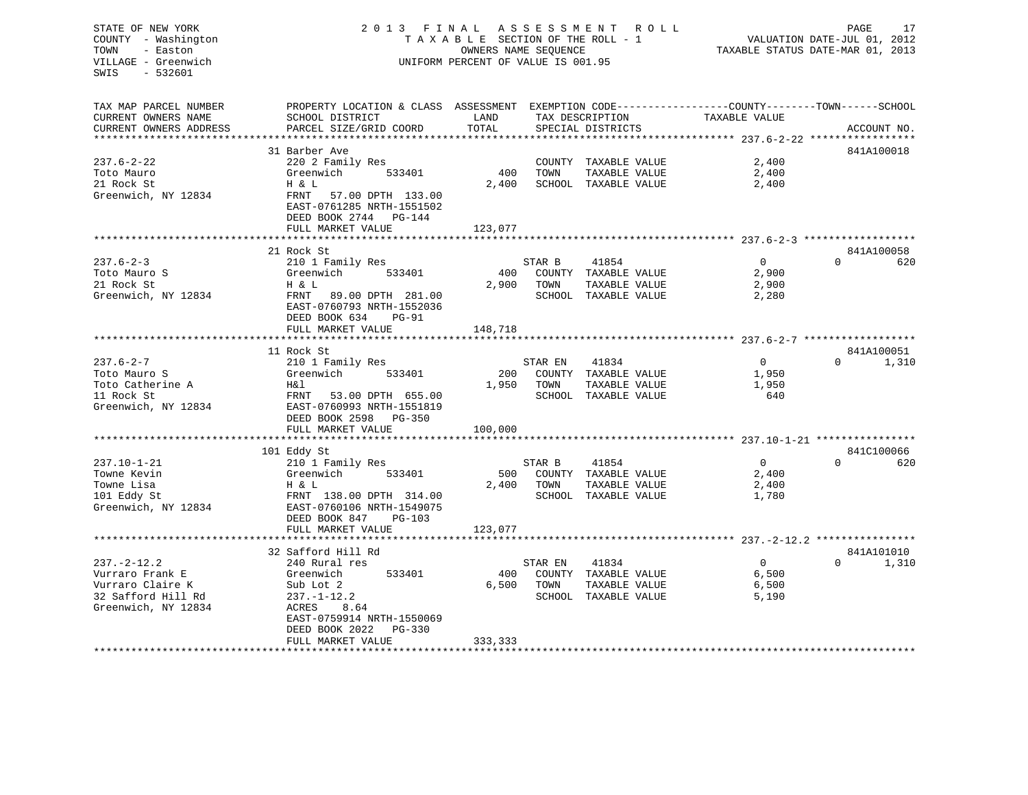## STATE OF NEW YORK 2 0 1 3 F I N A L A S S E S S M E N T R O L L PAGE 17 COUNTY - Washington T A X A B L E SECTION OF THE ROLL - 1 VALUATION DATE-JUL 01, 2012 TOWN - Easton **CONNERS NAME SEQUENCE** TAXABLE STATUS DATE-MAR 01, 2013 VILLAGE - Greenwich UNIFORM PERCENT OF VALUE IS 001.95

| TAX MAP PARCEL NUMBER  | PROPERTY LOCATION & CLASS ASSESSMENT                                                                    |         |         |                      | EXEMPTION CODE-----------------COUNTY-------TOWN------SCHOOL |                   |
|------------------------|---------------------------------------------------------------------------------------------------------|---------|---------|----------------------|--------------------------------------------------------------|-------------------|
| CURRENT OWNERS NAME    | SCHOOL DISTRICT                                                                                         | LAND    |         | TAX DESCRIPTION      | TAXABLE VALUE                                                |                   |
| CURRENT OWNERS ADDRESS | PARCEL SIZE/GRID COORD                                                                                  | TOTAL   |         | SPECIAL DISTRICTS    |                                                              | ACCOUNT NO.       |
|                        | 31 Barber Ave                                                                                           |         |         |                      |                                                              | 841A100018        |
| $237.6 - 2 - 22$       | 220 2 Family Res                                                                                        |         |         | COUNTY TAXABLE VALUE | 2,400                                                        |                   |
| Toto Mauro             | 533401<br>Greenwich                                                                                     | 400     | TOWN    | TAXABLE VALUE        | 2,400                                                        |                   |
| 21 Rock St             | H & L                                                                                                   | 2,400   |         | SCHOOL TAXABLE VALUE | 2,400                                                        |                   |
| Greenwich, NY 12834    | 57.00 DPTH 133.00<br>FRNT<br>EAST-0761285 NRTH-1551502<br>DEED BOOK 2744<br>PG-144<br>FULL MARKET VALUE | 123,077 |         |                      |                                                              |                   |
|                        |                                                                                                         |         |         |                      |                                                              |                   |
|                        | 21 Rock St                                                                                              |         |         |                      |                                                              | 841A100058        |
| $237.6 - 2 - 3$        | 210 1 Family Res                                                                                        |         | STAR B  | 41854                | $\Omega$                                                     | $\Omega$<br>620   |
| Toto Mauro S           | Greenwich<br>533401                                                                                     | 400     |         | COUNTY TAXABLE VALUE | 2,900                                                        |                   |
| 21 Rock St             | H & L                                                                                                   | 2,900   | TOWN    | TAXABLE VALUE        | 2,900                                                        |                   |
| Greenwich, NY 12834    | FRNT<br>89.00 DPTH 281.00                                                                               |         |         | SCHOOL TAXABLE VALUE | 2,280                                                        |                   |
|                        | EAST-0760793 NRTH-1552036<br>DEED BOOK 634<br><b>PG-91</b>                                              |         |         |                      |                                                              |                   |
|                        | FULL MARKET VALUE                                                                                       | 148,718 |         |                      |                                                              |                   |
|                        | 11 Rock St                                                                                              |         |         |                      |                                                              | 841A100051        |
| $237.6 - 2 - 7$        | 210 1 Family Res                                                                                        |         | STAR EN | 41834                | $\overline{0}$                                               | $\Omega$<br>1,310 |
| Toto Mauro S           | 533401<br>Greenwich                                                                                     | 200     |         | COUNTY TAXABLE VALUE | 1,950                                                        |                   |
| Toto Catherine A       | H&l                                                                                                     | 1,950   | TOWN    | TAXABLE VALUE        | 1,950                                                        |                   |
| 11 Rock St             | FRNT<br>53.00 DPTH 655.00                                                                               |         |         | SCHOOL TAXABLE VALUE | 640                                                          |                   |
| Greenwich, NY 12834    | EAST-0760993 NRTH-1551819<br>DEED BOOK 2598<br>$PG-350$                                                 |         |         |                      |                                                              |                   |
|                        | FULL MARKET VALUE                                                                                       | 100,000 |         |                      |                                                              |                   |
|                        | 101 Eddy St                                                                                             |         |         |                      |                                                              | 841C100066        |
| $237.10 - 1 - 21$      | 210 1 Family Res                                                                                        |         | STAR B  | 41854                | $\Omega$                                                     | $\Omega$<br>620   |
| Towne Kevin            | Greenwich<br>533401                                                                                     | 500     |         | COUNTY TAXABLE VALUE | 2,400                                                        |                   |
| Towne Lisa             | H & L                                                                                                   | 2,400   | TOWN    | TAXABLE VALUE        | 2,400                                                        |                   |
| 101 Eddy St            | FRNT 138.00 DPTH 314.00                                                                                 |         |         | SCHOOL TAXABLE VALUE | 1,780                                                        |                   |
| Greenwich, NY 12834    | EAST-0760106 NRTH-1549075                                                                               |         |         |                      |                                                              |                   |
|                        | DEED BOOK 847<br>$PG-103$                                                                               |         |         |                      |                                                              |                   |
|                        | FULL MARKET VALUE                                                                                       | 123,077 |         |                      |                                                              |                   |
|                        | **************************                                                                              |         |         |                      |                                                              |                   |
|                        | 32 Safford Hill Rd                                                                                      |         |         |                      |                                                              | 841A101010        |
| $237. - 2 - 12.2$      | 240 Rural res                                                                                           |         | STAR EN | 41834                | $\overline{0}$                                               | 1,310<br>$\Omega$ |
| Vurraro Frank E        | Greenwich<br>533401                                                                                     | 400     |         | COUNTY TAXABLE VALUE | 6,500                                                        |                   |
| Vurraro Claire K       | Sub Lot 2                                                                                               | 6.500   | TOWN    | TAXABLE VALUE        | 6,500                                                        |                   |
| 32 Safford Hill Rd     | $237. - 1 - 12.2$                                                                                       |         | SCHOOL  | TAXABLE VALUE        | 5,190                                                        |                   |
| Greenwich, NY 12834    | ACRES<br>8.64                                                                                           |         |         |                      |                                                              |                   |
|                        | EAST-0759914 NRTH-1550069                                                                               |         |         |                      |                                                              |                   |
|                        | DEED BOOK 2022<br>$PG-330$                                                                              |         |         |                      |                                                              |                   |
|                        | FULL MARKET VALUE                                                                                       | 333,333 |         |                      |                                                              |                   |
|                        |                                                                                                         |         |         |                      |                                                              |                   |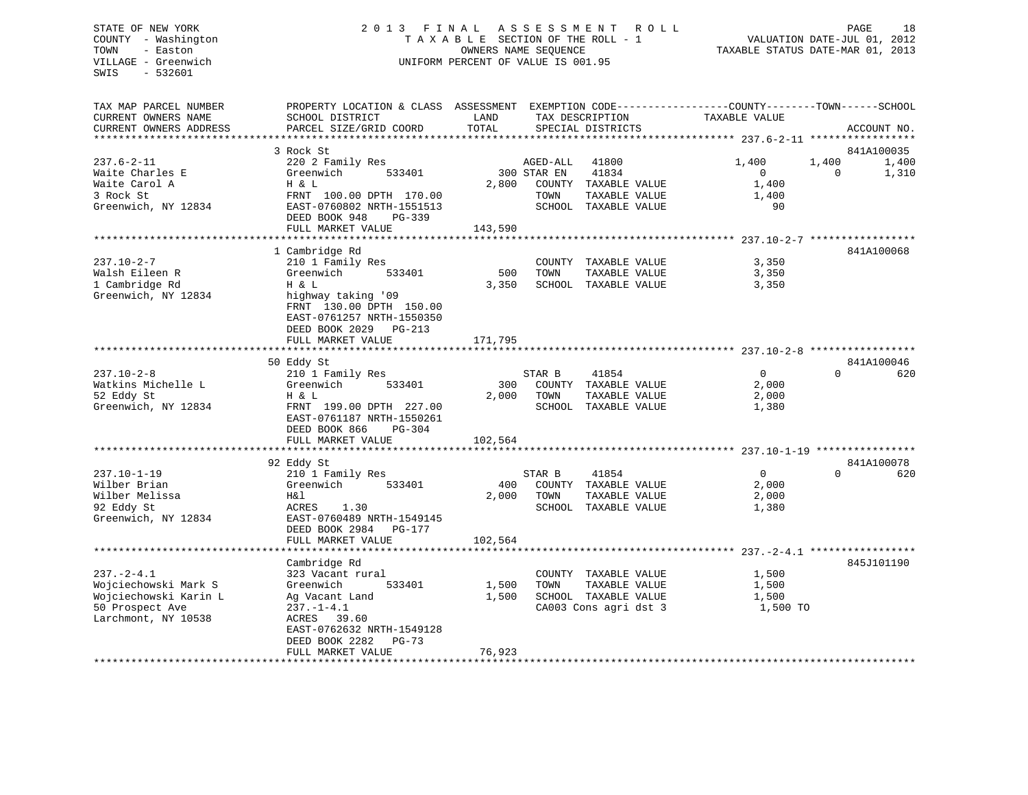## STATE OF NEW YORK 2 0 1 3 F I N A L A S S E S S M E N T R O L L PAGE 18 COUNTY - Washington T A X A B L E SECTION OF THE ROLL - 1 VALUATION DATE-JUL 01, 2012 TOWN - Easton OWNERS NAME SEQUENCE TAXABLE STATUS DATE-MAR 01, 2013 VILLAGE - Greenwich UNIFORM PERCENT OF VALUE IS 001.95

| TAX MAP PARCEL NUMBER      | PROPERTY LOCATION & CLASS ASSESSMENT |         |             |                       | EXEMPTION CODE-----------------COUNTY-------TOWN------SCHOOL |                   |
|----------------------------|--------------------------------------|---------|-------------|-----------------------|--------------------------------------------------------------|-------------------|
| CURRENT OWNERS NAME        | SCHOOL DISTRICT                      | LAND    |             | TAX DESCRIPTION       | TAXABLE VALUE                                                |                   |
| CURRENT OWNERS ADDRESS     | PARCEL SIZE/GRID COORD               | TOTAL   |             | SPECIAL DISTRICTS     |                                                              | ACCOUNT NO.       |
| ************************** |                                      |         |             |                       |                                                              |                   |
|                            | 3 Rock St                            |         |             |                       |                                                              | 841A100035        |
| $237.6 - 2 - 11$           | 220 2 Family Res                     |         | AGED-ALL    | 41800                 | 1,400                                                        | 1,400<br>1,400    |
| Waite Charles E            | Greenwich<br>533401                  |         | 300 STAR EN | 41834                 | $\Omega$                                                     | 1,310<br>$\Omega$ |
| Waite Carol A              | Η & L                                | 2,800   |             | COUNTY TAXABLE VALUE  | 1,400                                                        |                   |
| 3 Rock St                  |                                      |         |             |                       |                                                              |                   |
|                            | FRNT 100.00 DPTH 170.00              |         | TOWN        | TAXABLE VALUE         | 1,400                                                        |                   |
| Greenwich, NY 12834        | EAST-0760802 NRTH-1551513            |         |             | SCHOOL TAXABLE VALUE  | 90                                                           |                   |
|                            | DEED BOOK 948<br>PG-339              |         |             |                       |                                                              |                   |
|                            | FULL MARKET VALUE                    | 143,590 |             |                       |                                                              |                   |
|                            |                                      |         |             |                       |                                                              |                   |
|                            | 1 Cambridge Rd                       |         |             |                       |                                                              | 841A100068        |
| $237.10 - 2 - 7$           | 210 1 Family Res                     |         |             | COUNTY TAXABLE VALUE  | 3,350                                                        |                   |
| Walsh Eileen R             | Greenwich<br>533401                  | 500     | TOWN        | TAXABLE VALUE         | 3,350                                                        |                   |
| 1 Cambridge Rd             | H & L                                | 3,350   |             | SCHOOL TAXABLE VALUE  | 3,350                                                        |                   |
| Greenwich, NY 12834        | highway taking '09                   |         |             |                       |                                                              |                   |
|                            | FRNT 130.00 DPTH 150.00              |         |             |                       |                                                              |                   |
|                            | EAST-0761257 NRTH-1550350            |         |             |                       |                                                              |                   |
|                            | DEED BOOK 2029 PG-213                |         |             |                       |                                                              |                   |
|                            | FULL MARKET VALUE                    | 171,795 |             |                       |                                                              |                   |
|                            | **************                       |         |             |                       |                                                              |                   |
|                            | 50 Eddy St                           |         |             |                       |                                                              | 841A100046        |
| $237.10 - 2 - 8$           | 210 1 Family Res                     |         | STAR B      | 41854                 | $\overline{0}$                                               | 620<br>$\Omega$   |
| Watkins Michelle L         | 533401<br>Greenwich                  | 300     |             | COUNTY TAXABLE VALUE  | 2,000                                                        |                   |
| 52 Eddy St                 | H & L                                | 2,000   | TOWN        | TAXABLE VALUE         | 2,000                                                        |                   |
| Greenwich, NY 12834        | FRNT 199.00 DPTH 227.00              |         |             | SCHOOL TAXABLE VALUE  | 1,380                                                        |                   |
|                            | EAST-0761187 NRTH-1550261            |         |             |                       |                                                              |                   |
|                            | DEED BOOK 866<br>PG-304              |         |             |                       |                                                              |                   |
|                            | FULL MARKET VALUE                    | 102,564 |             |                       |                                                              |                   |
|                            |                                      |         |             |                       |                                                              |                   |
|                            | 92 Eddy St                           |         |             |                       |                                                              | 841A100078        |
| $237.10 - 1 - 19$          |                                      |         |             | 41854                 | $\mathbf{0}$                                                 | $\Omega$<br>620   |
|                            | 210 1 Family Res                     |         | STAR B      |                       |                                                              |                   |
| Wilber Brian               | Greenwich<br>533401                  | 400     |             | COUNTY TAXABLE VALUE  | 2,000                                                        |                   |
| Wilber Melissa             | H&l                                  | 2,000   | TOWN        | TAXABLE VALUE         | 2,000                                                        |                   |
| 92 Eddy St                 | ACRES<br>1.30                        |         |             | SCHOOL TAXABLE VALUE  | 1,380                                                        |                   |
| Greenwich, NY 12834        | EAST-0760489 NRTH-1549145            |         |             |                       |                                                              |                   |
|                            | DEED BOOK 2984<br>PG-177             |         |             |                       |                                                              |                   |
|                            | FULL MARKET VALUE                    | 102,564 |             |                       |                                                              |                   |
|                            | ************************             |         |             |                       |                                                              |                   |
|                            | Cambridge Rd                         |         |             |                       |                                                              | 845J101190        |
| $237. - 2 - 4.1$           | 323 Vacant rural                     |         |             | COUNTY TAXABLE VALUE  | 1,500                                                        |                   |
| Wojciechowski Mark S       | Greenwich<br>533401                  | 1,500   | TOWN        | TAXABLE VALUE         | 1,500                                                        |                   |
| Wojciechowski Karin L      | Ag Vacant Land                       | 1,500   |             | SCHOOL TAXABLE VALUE  | 1,500                                                        |                   |
| 50 Prospect Ave            | $237. - 1 - 4.1$                     |         |             | CA003 Cons agri dst 3 | 1,500 TO                                                     |                   |
| Larchmont, NY 10538        | ACRES 39.60                          |         |             |                       |                                                              |                   |
|                            | EAST-0762632 NRTH-1549128            |         |             |                       |                                                              |                   |
|                            | DEED BOOK 2282<br>$PG-73$            |         |             |                       |                                                              |                   |
|                            | FULL MARKET VALUE                    | 76,923  |             |                       |                                                              |                   |
|                            |                                      |         |             |                       |                                                              |                   |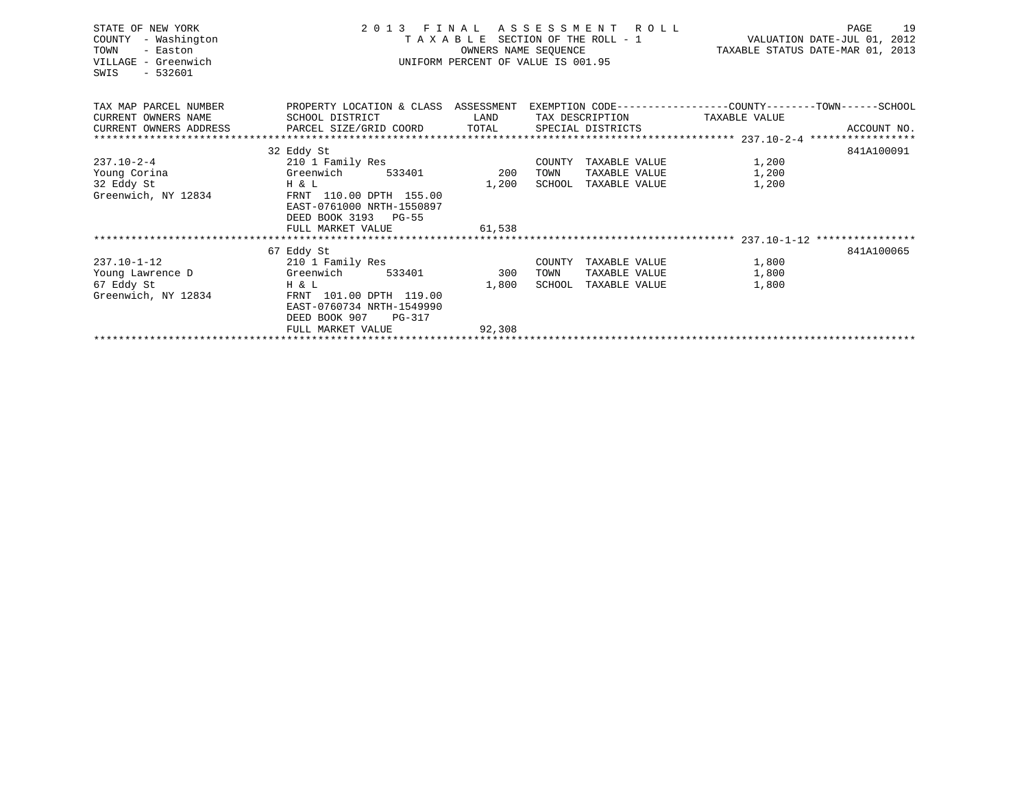| STATE OF NEW YORK<br>COUNTY<br>- Washington<br>TOWN<br>- Easton<br>VILLAGE - Greenwich<br>$-532601$<br>SWIS | 2 0 1 3<br>F I N A L<br>ASSESSMENT ROLL<br>TAXABLE SECTION OF THE ROLL - 1<br>OWNERS NAME SEQUENCE<br>UNIFORM PERCENT OF VALUE IS 001.95 |        |                         |               | 19<br>PAGE<br>VALUATION DATE-JUL 01, 2012<br>TAXABLE STATUS DATE-MAR 01, 2013 |
|-------------------------------------------------------------------------------------------------------------|------------------------------------------------------------------------------------------------------------------------------------------|--------|-------------------------|---------------|-------------------------------------------------------------------------------|
| TAX MAP PARCEL NUMBER                                                                                       | PROPERTY LOCATION & CLASS ASSESSMENT EXEMPTION CODE----------------COUNTY-------TOWN------SCHOOL                                         |        |                         |               |                                                                               |
| CURRENT OWNERS NAME                                                                                         | SCHOOL DISTRICT                                                                                                                          | LAND   | TAX DESCRIPTION         | TAXABLE VALUE |                                                                               |
| CURRENT OWNERS ADDRESS PARCEL SIZE/GRID COORD TOTAL                                                         |                                                                                                                                          |        | SPECIAL DISTRICTS       |               | ACCOUNT NO.                                                                   |
|                                                                                                             |                                                                                                                                          |        |                         |               |                                                                               |
|                                                                                                             | 32 Eddy St                                                                                                                               |        |                         |               | 841A100091                                                                    |
| $237.10 - 2 - 4$                                                                                            | 210 1 Family Res                                                                                                                         |        | COUNTY<br>TAXABLE VALUE | 1,200         |                                                                               |
| Young Corina                                                                                                | Greenwich<br>533401                                                                                                                      | 200    | TOWN<br>TAXABLE VALUE   | 1,200         |                                                                               |
| 32 Eddy St<br>Greenwich, NY 12834                                                                           | H & L<br>FRNT 110.00 DPTH 155.00<br>EAST-0761000 NRTH-1550897<br>DEED BOOK 3193 PG-55                                                    | 1,200  | SCHOOL<br>TAXABLE VALUE | 1,200         |                                                                               |
|                                                                                                             | FULL MARKET VALUE                                                                                                                        | 61,538 |                         |               |                                                                               |
|                                                                                                             |                                                                                                                                          |        |                         |               |                                                                               |
|                                                                                                             | 67 Eddy St                                                                                                                               |        |                         |               | 841A100065                                                                    |
| $237.10 - 1 - 12$                                                                                           | 210 1 Family Res                                                                                                                         |        | COUNTY<br>TAXABLE VALUE | 1,800         |                                                                               |
| Young Lawrence D                                                                                            | Greenwich<br>533401                                                                                                                      | 300    | TOWN<br>TAXABLE VALUE   | 1,800         |                                                                               |
| 67 Eddy St                                                                                                  | Η & L                                                                                                                                    | 1,800  | TAXABLE VALUE<br>SCHOOL | 1,800         |                                                                               |
| Greenwich, NY 12834                                                                                         | FRNT 101.00 DPTH 119.00<br>EAST-0760734 NRTH-1549990<br>DEED BOOK 907<br>PG-317                                                          |        |                         |               |                                                                               |
|                                                                                                             | FULL MARKET VALUE                                                                                                                        | 92,308 |                         |               |                                                                               |
|                                                                                                             |                                                                                                                                          |        |                         |               |                                                                               |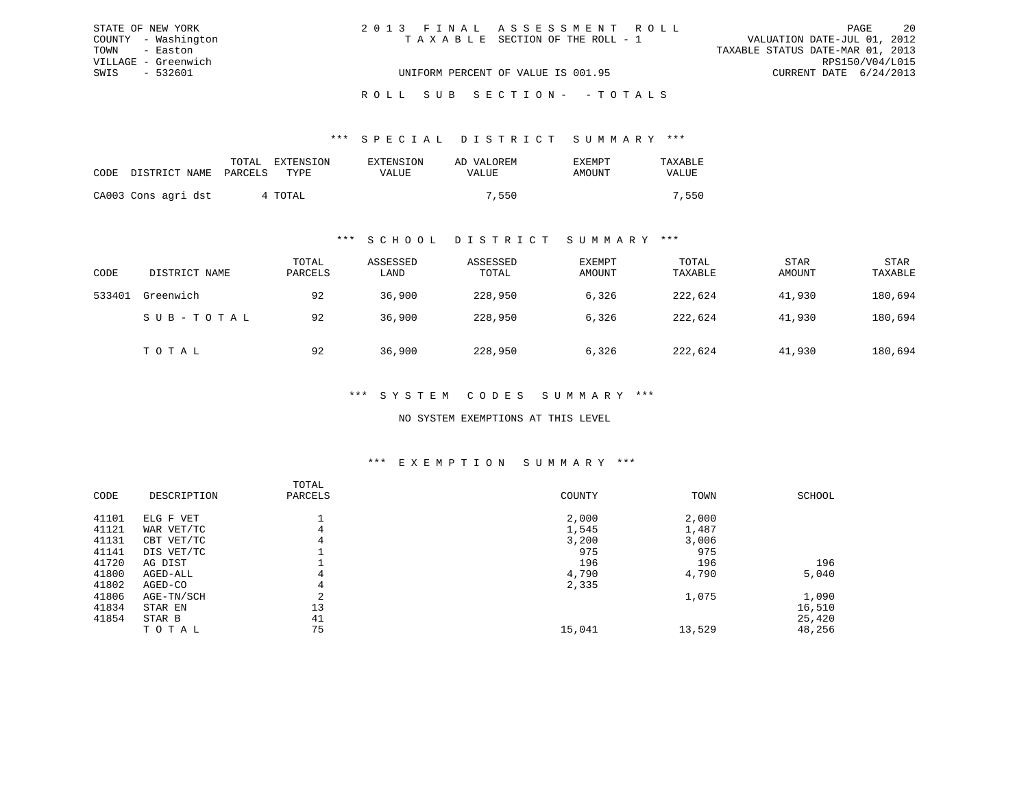| STATE OF NEW YORK   | 2013 FINAL ASSESSMENT ROLL         | 20<br>PAGE                       |
|---------------------|------------------------------------|----------------------------------|
| COUNTY - Washington | TAXABLE SECTION OF THE ROLL - 1    | VALUATION DATE-JUL 01, 2012      |
| TOWN - Easton       |                                    | TAXABLE STATUS DATE-MAR 01, 2013 |
| VILLAGE - Greenwich |                                    | RPS150/V04/L015                  |
| SWIS - 532601       | UNIFORM PERCENT OF VALUE IS 001.95 | CURRENT DATE 6/24/2013           |
|                     |                                    |                                  |

ROLL SUB SECTION - - TOTALS

#### \*\*\* S P E C I A L D I S T R I C T S U M M A R Y \*\*\*

|                            | EXTENSION<br>TOTAL | EXTENSION    | AD VALOREM   | <b>EXEMPT</b> | TAXABLE      |
|----------------------------|--------------------|--------------|--------------|---------------|--------------|
| CODE DISTRICT NAME PARCELS | TYPR.              | <b>VALUE</b> | <b>VALUE</b> | AMOUNT        | <b>VALUE</b> |
| CA003 Cons agri dst        | 4 TOTAL            |              | 7,550        |               | 7,550        |

#### \*\*\* S C H O O L D I S T R I C T S U M M A R Y \*\*\*

| CODE   | DISTRICT NAME | TOTAL<br>PARCELS | ASSESSED<br>LAND | ASSESSED<br>TOTAL | EXEMPT<br>AMOUNT | TOTAL<br>TAXABLE | <b>STAR</b><br>AMOUNT | <b>STAR</b><br>TAXABLE |
|--------|---------------|------------------|------------------|-------------------|------------------|------------------|-----------------------|------------------------|
| 533401 | Greenwich     | 92               | 36,900           | 228,950           | 6,326            | 222,624          | 41,930                | 180,694                |
|        | SUB-TOTAL     | 92               | 36,900           | 228,950           | 6,326            | 222,624          | 41,930                | 180,694                |
|        | TOTAL         | 92               | 36,900           | 228,950           | 6,326            | 222,624          | 41,930                | 180,694                |

#### \*\*\* S Y S T E M C O D E S S U M M A R Y \*\*\*

#### NO SYSTEM EXEMPTIONS AT THIS LEVEL

#### \*\*\* E X E M P T I O N S U M M A R Y \*\*\*

| CODE  | DESCRIPTION | TOTAL<br>PARCELS | COUNTY | TOWN   | SCHOOL |
|-------|-------------|------------------|--------|--------|--------|
| 41101 | ELG F VET   |                  | 2,000  | 2,000  |        |
| 41121 | WAR VET/TC  | 4                | 1,545  | 1,487  |        |
| 41131 | CBT VET/TC  | 4                | 3,200  | 3,006  |        |
| 41141 | DIS VET/TC  |                  | 975    | 975    |        |
| 41720 | AG DIST     |                  | 196    | 196    | 196    |
| 41800 | AGED-ALL    | 4                | 4,790  | 4,790  | 5,040  |
| 41802 | AGED-CO     | 4                | 2,335  |        |        |
| 41806 | AGE-TN/SCH  | $\sim$<br>z.     |        | 1,075  | 1,090  |
| 41834 | STAR EN     | 13               |        |        | 16,510 |
| 41854 | STAR B      | 41               |        |        | 25,420 |
|       | TOTAL       | 75               | 15,041 | 13,529 | 48,256 |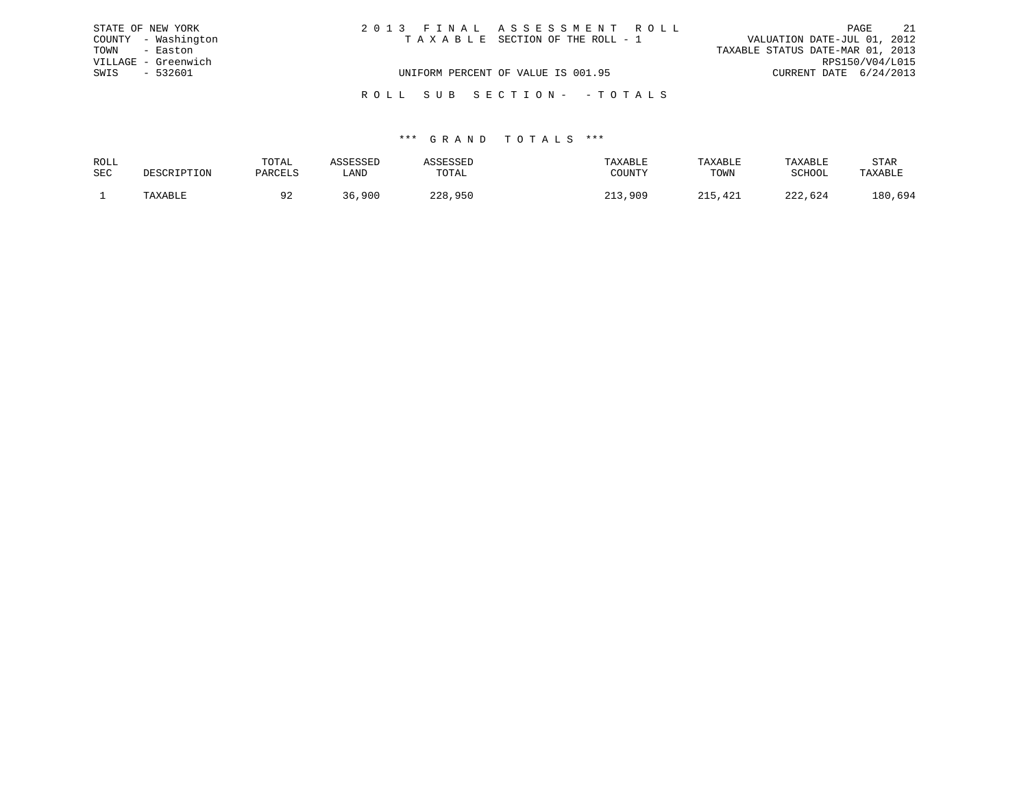|      | STATE OF NEW YORK   | 2013 FINAL ASSESSMENT ROLL         | PAGE                             | 21 |
|------|---------------------|------------------------------------|----------------------------------|----|
|      | COUNTY - Washington | TAXABLE SECTION OF THE ROLL - 1    | VALUATION DATE-JUL 01, 2012      |    |
| TOWN | - Easton            |                                    | TAXABLE STATUS DATE-MAR 01, 2013 |    |
|      | VILLAGE - Greenwich |                                    | RPS150/V04/L015                  |    |
| SWIS | - 532601            | UNIFORM PERCENT OF VALUE IS 001.95 | CURRENT DATE 6/24/2013           |    |
|      |                     |                                    |                                  |    |
|      |                     | ROLL SUB SECTION- - TOTALS         |                                  |    |

| ROLL |             | TOTAL   | ASSESSED | ASSESSED | TAXABLE | TAXABLE | TAXABLE | STAR    |
|------|-------------|---------|----------|----------|---------|---------|---------|---------|
| SEC  | DESCRIPTION | PARCELS | LAND     | TOTAL    | COUNTY  | TOWN    | SCHOOL  | TAXABLE |
|      | TAXABLE     |         | 36,900   | 228,950  | 213,909 | 215,421 | 222,624 | 180,694 |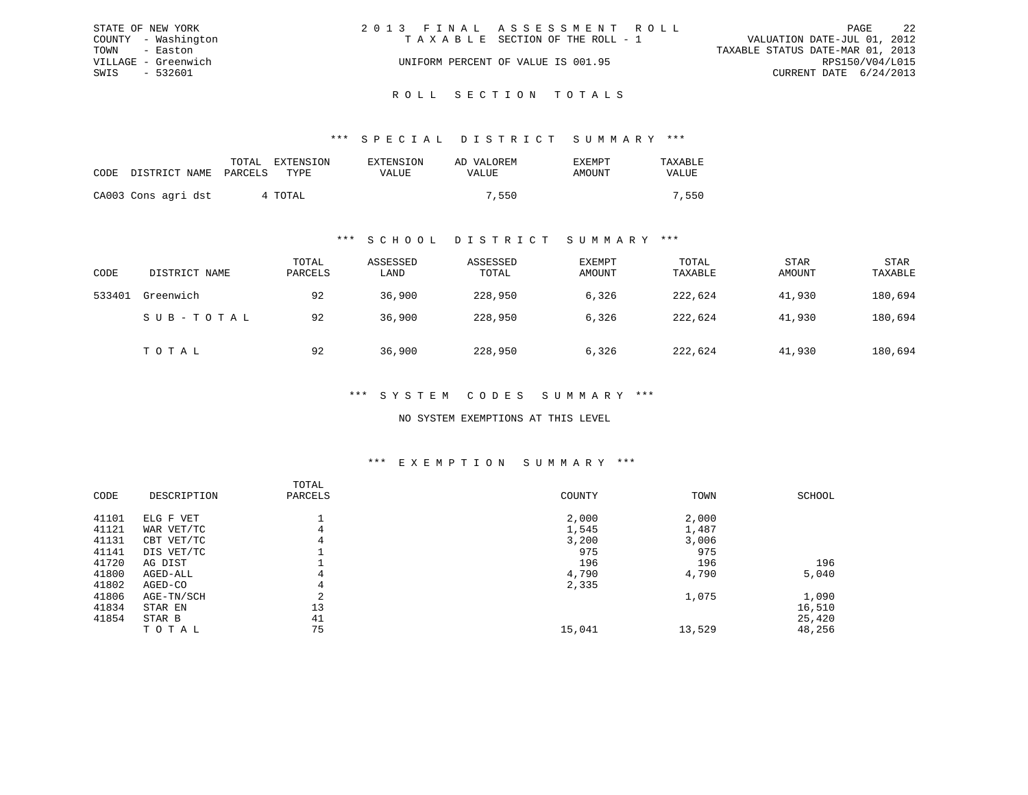|      | STATE OF NEW YORK   | 2013 FINAL ASSESSMENT ROLL         |                                  |                        | PAGE | 2.2 |
|------|---------------------|------------------------------------|----------------------------------|------------------------|------|-----|
|      | COUNTY - Washington | TAXABLE SECTION OF THE ROLL - 1    | VALUATION DATE-JUL 01, 2012      |                        |      |     |
|      | TOWN - Easton       |                                    | TAXABLE STATUS DATE-MAR 01, 2013 |                        |      |     |
|      | VILLAGE - Greenwich | UNIFORM PERCENT OF VALUE IS 001.95 |                                  | RPS150/V04/L015        |      |     |
| SWIS | - 532601            |                                    |                                  | CURRENT DATE 6/24/2013 |      |     |
|      |                     |                                    |                                  |                        |      |     |

## ROLL SECTION TOTALS

#### \*\*\* S P E C I A L D I S T R I C T S U M M A R Y \*\*\*

|                            | TOTAL   | EXTENSION | EXTENSION | AD VALOREM | <b>EXEMPT</b> | TAXABLE |
|----------------------------|---------|-----------|-----------|------------|---------------|---------|
| CODE DISTRICT NAME PARCELS |         | TYPE      | VALUE     | VALUE      | AMOUNT        | VALUE   |
| CA003 Cons agri dst        | 4 TOTAL |           |           | 7,550      |               | 7,550   |

#### \*\*\* S C H O O L D I S T R I C T S U M M A R Y \*\*\*

| CODE   | DISTRICT NAME | TOTAL<br>PARCELS | ASSESSED<br>LAND | ASSESSED<br>TOTAL | EXEMPT<br>AMOUNT | TOTAL<br>TAXABLE | <b>STAR</b><br>AMOUNT | <b>STAR</b><br>TAXABLE |
|--------|---------------|------------------|------------------|-------------------|------------------|------------------|-----------------------|------------------------|
| 533401 | Greenwich     | 92               | 36,900           | 228,950           | 6,326            | 222,624          | 41,930                | 180,694                |
|        | SUB-TOTAL     | 92               | 36,900           | 228,950           | 6,326            | 222,624          | 41,930                | 180,694                |
|        | TOTAL         | 92               | 36,900           | 228,950           | 6,326            | 222,624          | 41,930                | 180,694                |

#### \*\*\* S Y S T E M C O D E S S U M M A R Y \*\*\*

#### NO SYSTEM EXEMPTIONS AT THIS LEVEL

#### \*\*\* E X E M P T I O N S U M M A R Y \*\*\*

| CODE  | DESCRIPTION | TOTAL<br>PARCELS | COUNTY | TOWN   | <b>SCHOOL</b> |
|-------|-------------|------------------|--------|--------|---------------|
| 41101 | ELG F VET   |                  | 2,000  | 2,000  |               |
| 41121 | WAR VET/TC  | $\overline{4}$   | 1,545  | 1,487  |               |
| 41131 | CBT VET/TC  | 4                | 3,200  | 3,006  |               |
| 41141 | DIS VET/TC  |                  | 975    | 975    |               |
| 41720 | AG DIST     |                  | 196    | 196    | 196           |
| 41800 | AGED-ALL    | 4                | 4,790  | 4,790  | 5,040         |
| 41802 | AGED-CO     | 4                | 2,335  |        |               |
| 41806 | AGE-TN/SCH  | $\sim$<br>∠      |        | 1,075  | 1,090         |
| 41834 | STAR EN     | 13               |        |        | 16,510        |
| 41854 | STAR B      | 41               |        |        | 25,420        |
|       | TOTAL       | 75               | 15,041 | 13,529 | 48,256        |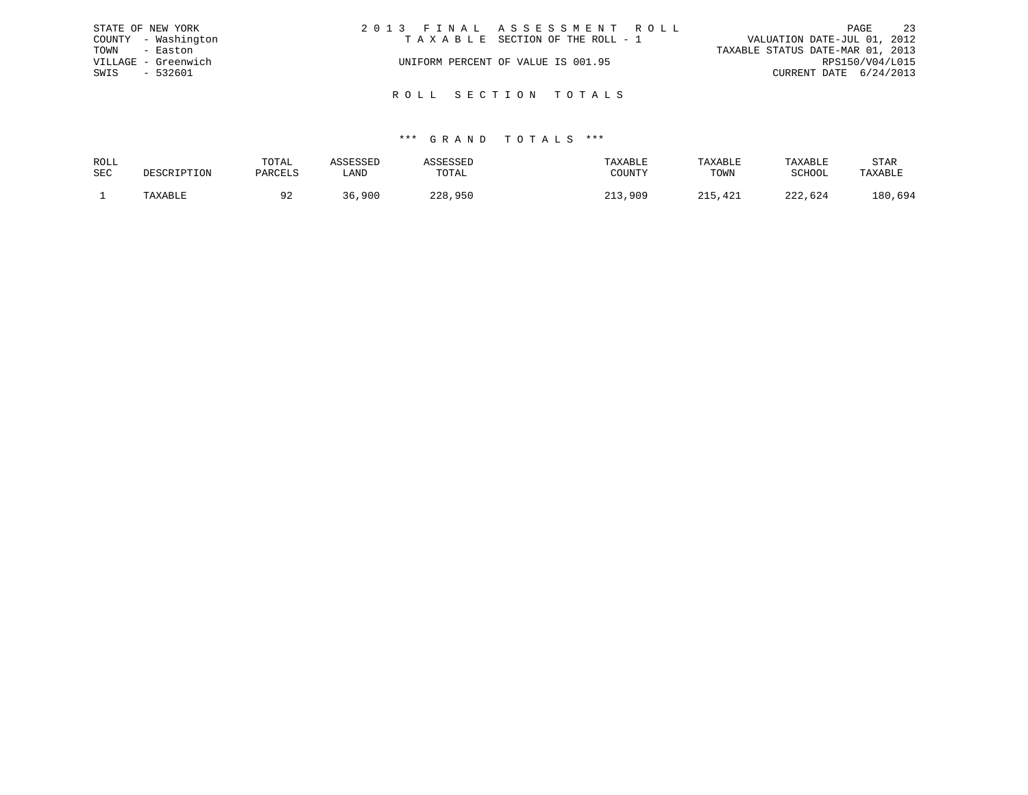| STATE OF NEW YORK   |                     | 2013 FINAL ASSESSMENT ROLL |                                    |                                  | PAGE | 23 |
|---------------------|---------------------|----------------------------|------------------------------------|----------------------------------|------|----|
|                     | COUNTY - Washington |                            | TAXABLE SECTION OF THE ROLL - 1    | VALUATION DATE-JUL 01, 2012      |      |    |
| TOWN                | - Easton            |                            |                                    | TAXABLE STATUS DATE-MAR 01, 2013 |      |    |
| VILLAGE - Greenwich |                     |                            | UNIFORM PERCENT OF VALUE IS 001.95 | RPS150/V04/L015                  |      |    |
| SWIS                | - 532601            |                            |                                    | CURRENT DATE 6/24/2013           |      |    |
|                     |                     |                            |                                    |                                  |      |    |
|                     |                     |                            | ROLL SECTION TOTALS                |                                  |      |    |

| ROLL       |         | TOTAL   |      |         | TAXABLE | TAXABLE | TAXABLE | STAR    |
|------------|---------|---------|------|---------|---------|---------|---------|---------|
| <b>SEC</b> |         | PARCELS | LAND | TOTAL   | COUNTY  | TOWN    | SCHOOL  | TAXABLE |
|            | TAXABLE |         | ,900 | 228,950 | ,909    | 15,421  | 222,624 | 180,694 |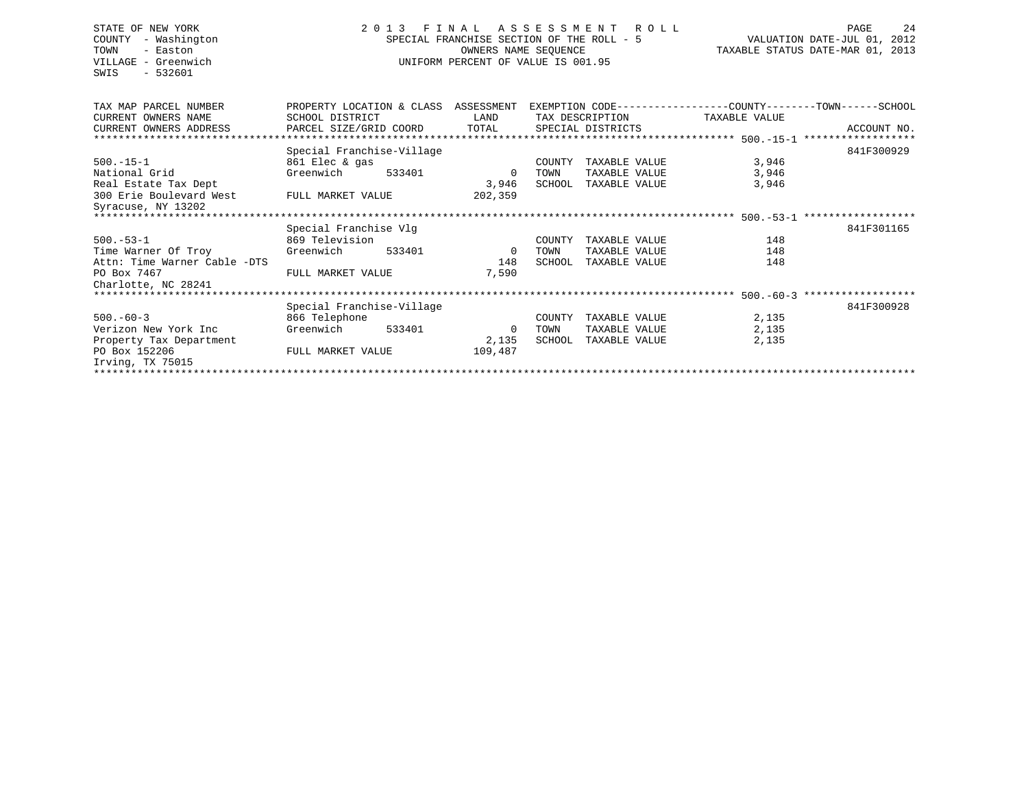## STATE OF NEW YORK 2 0 1 3 F I N A L A S S E S S M E N T R O L L PAGE 24 COUNTY - Washington SPECIAL FRANCHISE SECTION OF THE ROLL - 5 VALUATION DATE-JUL 01, 2012 TOWN - Easton OWNERS NAME SEQUENCE TAXABLE STATUS DATE-MAR 01, 2013 VILLAGE - Greenwich UNIFORM PERCENT OF VALUE IS 001.95

| TAX MAP PARCEL NUMBER        | PROPERTY LOCATION & CLASS ASSESSMENT |                |        |                   |               |             |
|------------------------------|--------------------------------------|----------------|--------|-------------------|---------------|-------------|
| CURRENT OWNERS NAME          | SCHOOL DISTRICT                      | LAND           |        | TAX DESCRIPTION   | TAXABLE VALUE |             |
| CURRENT OWNERS ADDRESS       | PARCEL SIZE/GRID COORD               | TOTAL          |        | SPECIAL DISTRICTS |               | ACCOUNT NO. |
|                              |                                      |                |        |                   |               |             |
|                              | Special Franchise-Village            |                |        |                   |               | 841F300929  |
| $500. -15 - 1$               | 861 Elec & gas                       |                | COUNTY | TAXABLE VALUE     | 3,946         |             |
| National Grid                | Greenwich<br>533401                  | $\mathbf 0$    | TOWN   | TAXABLE VALUE     | 3,946         |             |
| Real Estate Tax Dept         |                                      | 3,946          | SCHOOL | TAXABLE VALUE     | 3,946         |             |
| 300 Erie Boulevard West      | FULL MARKET VALUE                    | 202,359        |        |                   |               |             |
| Syracuse, NY 13202           |                                      |                |        |                   |               |             |
|                              |                                      |                |        |                   |               |             |
|                              | Special Franchise Vlg                |                |        |                   |               | 841F301165  |
| $500.-53-1$                  | 869 Television                       |                | COUNTY | TAXABLE VALUE     | 148           |             |
| Time Warner Of Troy          | 533401<br>Greenwich                  | $\overline{0}$ | TOWN   | TAXABLE VALUE     | 148           |             |
| Attn: Time Warner Cable -DTS |                                      | 148            | SCHOOL | TAXABLE VALUE     | 148           |             |
| PO Box 7467                  | FULL MARKET VALUE                    | 7,590          |        |                   |               |             |
| Charlotte, NC 28241          |                                      |                |        |                   |               |             |
|                              |                                      |                |        |                   |               |             |
|                              |                                      |                |        |                   |               |             |
|                              | Special Franchise-Village            |                |        |                   |               | 841F300928  |
| $500. -60 - 3$               | 866 Telephone                        |                | COUNTY | TAXABLE VALUE     | 2,135         |             |
| Verizon New York Inc         | Greenwich<br>533401                  | 0              | TOWN   | TAXABLE VALUE     | 2,135         |             |
| Property Tax Department      |                                      | 2,135          | SCHOOL | TAXABLE VALUE     | 2,135         |             |
| PO Box 152206                | FULL MARKET VALUE                    | 109,487        |        |                   |               |             |
| Irving, TX 75015             |                                      |                |        |                   |               |             |
|                              |                                      |                |        |                   |               |             |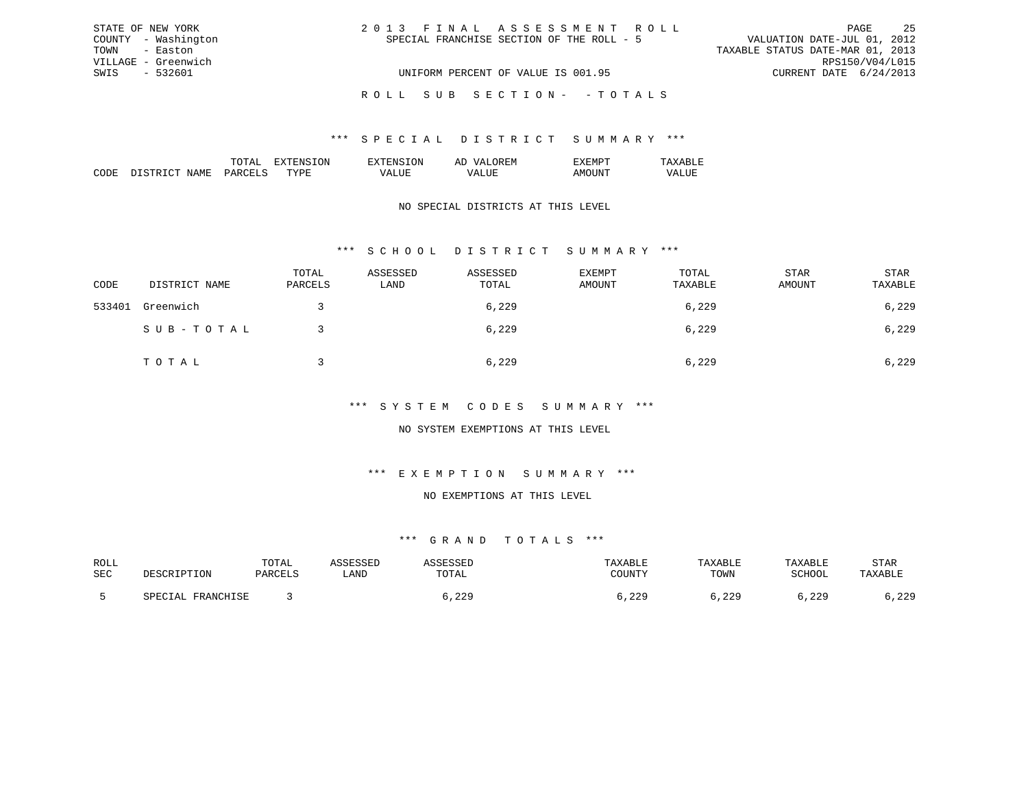| STATE OF NEW YORK   | 2013 FINAL ASSESSMENT ROLL                | -25<br>PAGE                      |
|---------------------|-------------------------------------------|----------------------------------|
| COUNTY - Washington | SPECIAL FRANCHISE SECTION OF THE ROLL - 5 | VALUATION DATE-JUL 01, 2012      |
| TOWN - Easton       |                                           | TAXABLE STATUS DATE-MAR 01, 2013 |
| VILLAGE - Greenwich |                                           | RPS150/V04/L015                  |
| SWIS - 532601       | UNIFORM PERCENT OF VALUE IS 001.95        | CURRENT DATE 6/24/2013           |
|                     | ROLL SUB SECTION- -TOTALS                 |                                  |

|                 |     | ON. | 51 |  |
|-----------------|-----|-----|----|--|
| יחי<br>л п<br>w | m v | ш   |    |  |

### NO SPECIAL DISTRICTS AT THIS LEVEL

### \*\*\* S C H O O L D I S T R I C T S U M M A R Y \*\*\*

| CODE   | DISTRICT NAME | TOTAL<br>PARCELS | ASSESSED<br>LAND | ASSESSED<br>TOTAL | EXEMPT<br>AMOUNT | TOTAL<br>TAXABLE | STAR<br>AMOUNT | STAR<br>TAXABLE |
|--------|---------------|------------------|------------------|-------------------|------------------|------------------|----------------|-----------------|
| 533401 | Greenwich     |                  |                  | 6,229             |                  | 6,229            |                | 6,229           |
|        | SUB-TOTAL     |                  |                  | 6,229             |                  | 6,229            |                | 6,229           |
|        | TOTAL         |                  |                  | 6,229             |                  | 6,229            |                | 6,229           |

### \*\*\* S Y S T E M C O D E S S U M M A R Y \*\*\*

### NO SYSTEM EXEMPTIONS AT THIS LEVEL

## \*\*\* E X E M P T I O N S U M M A R Y \*\*\*

#### NO EXEMPTIONS AT THIS LEVEL

| ROLL |                                          | $m \wedge m \wedge r$<br>UTAL |             |             |       | XABLF        | TAXABLE        | STAR            |
|------|------------------------------------------|-------------------------------|-------------|-------------|-------|--------------|----------------|-----------------|
| SEC  |                                          | . דים חס גם                   | <b>LAND</b> | TOTAL       |       | TOWN         | C∩∐∩∩T<br>LUUL | <b>TAVADIE</b>  |
|      | <b>ED ANOUT CE</b><br>– ∆ ∣<br>FRANCHIOL |                               |             | ററ<br>. 44. | , 229 | 229<br>. 443 | 229<br>ر ہے د  | റാവ<br>د ۲۰ د ۱ |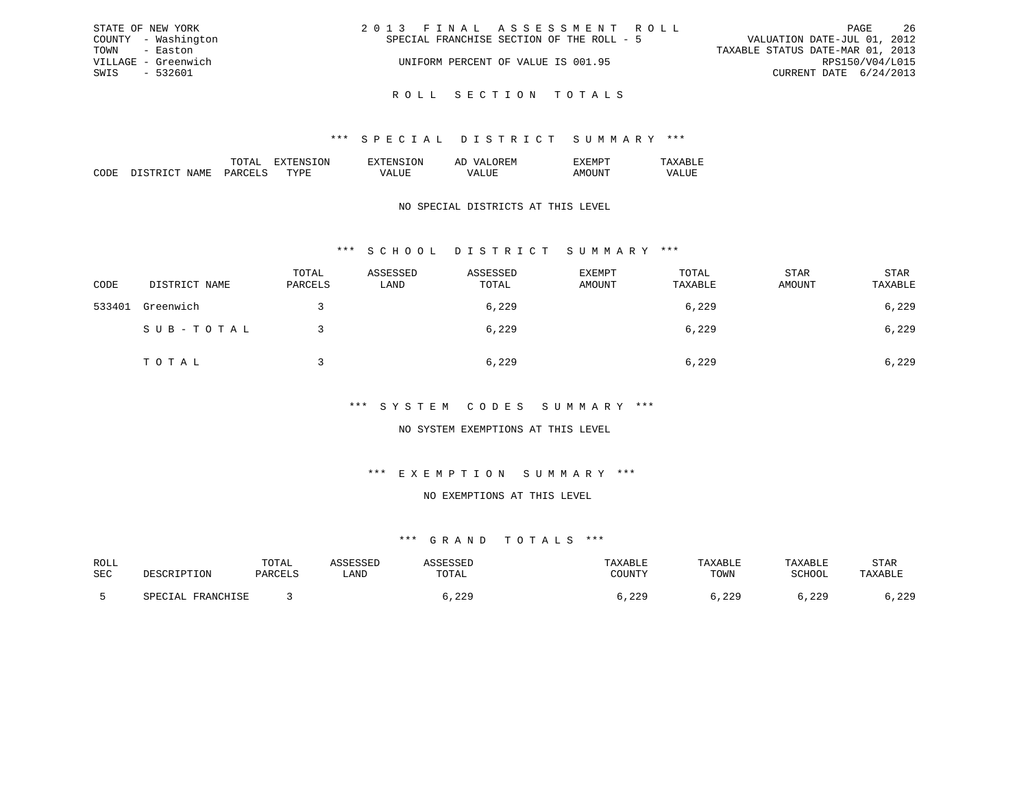| STATE OF NEW YORK   | 2013 FINAL ASSESSMENT ROLL                | -26<br>PAGE                      |
|---------------------|-------------------------------------------|----------------------------------|
| COUNTY - Washington | SPECIAL FRANCHISE SECTION OF THE ROLL - 5 | VALUATION DATE-JUL 01, 2012      |
| TOWN - Easton       |                                           | TAXABLE STATUS DATE-MAR 01, 2013 |
| VILLAGE - Greenwich | UNIFORM PERCENT OF VALUE IS 001.95        | RPS150/V04/L015                  |
| SWIS - 532601       |                                           | CURRENT DATE 6/24/2013           |
|                     |                                           |                                  |

R O L L S E C T I O N T O T A L S

|  | 'NN | : IVI |  |
|--|-----|-------|--|
|  |     |       |  |

### NO SPECIAL DISTRICTS AT THIS LEVEL

### \*\*\* S C H O O L D I S T R I C T S U M M A R Y \*\*\*

| CODE   | DISTRICT NAME | TOTAL<br>PARCELS | ASSESSED<br>LAND | ASSESSED<br>TOTAL | EXEMPT<br>AMOUNT | TOTAL<br>TAXABLE | STAR<br>AMOUNT | STAR<br>TAXABLE |
|--------|---------------|------------------|------------------|-------------------|------------------|------------------|----------------|-----------------|
| 533401 | Greenwich     |                  |                  | 6,229             |                  | 6,229            |                | 6,229           |
|        | SUB-TOTAL     |                  |                  | 6,229             |                  | 6,229            |                | 6,229           |
|        | TOTAL         |                  |                  | 6,229             |                  | 6,229            |                | 6,229           |

### \*\*\* S Y S T E M C O D E S S U M M A R Y \*\*\*

### NO SYSTEM EXEMPTIONS AT THIS LEVEL

## \*\*\* E X E M P T I O N S U M M A R Y \*\*\*

#### NO EXEMPTIONS AT THIS LEVEL

| ROLL |                           | T <sub>0</sub><br>TATAT |      |               |                                  | AXABLF | <b>TAXABLE</b> | STAR         |
|------|---------------------------|-------------------------|------|---------------|----------------------------------|--------|----------------|--------------|
| SEC  | 'ION                      | ם זקחים תפ              | LAND | .UIAL         | $\cap$ ot tnitely<br>. U U 1 1 1 | TOWN   | $CCLLOC^*$     | TAXABLE      |
|      | <b>FDANCUTCF</b><br>----- |                         |      | റി<br>د ک ک ر | , 229                            | .229   | າາດ<br>. 44.   | റാവ<br>ر ے ہ |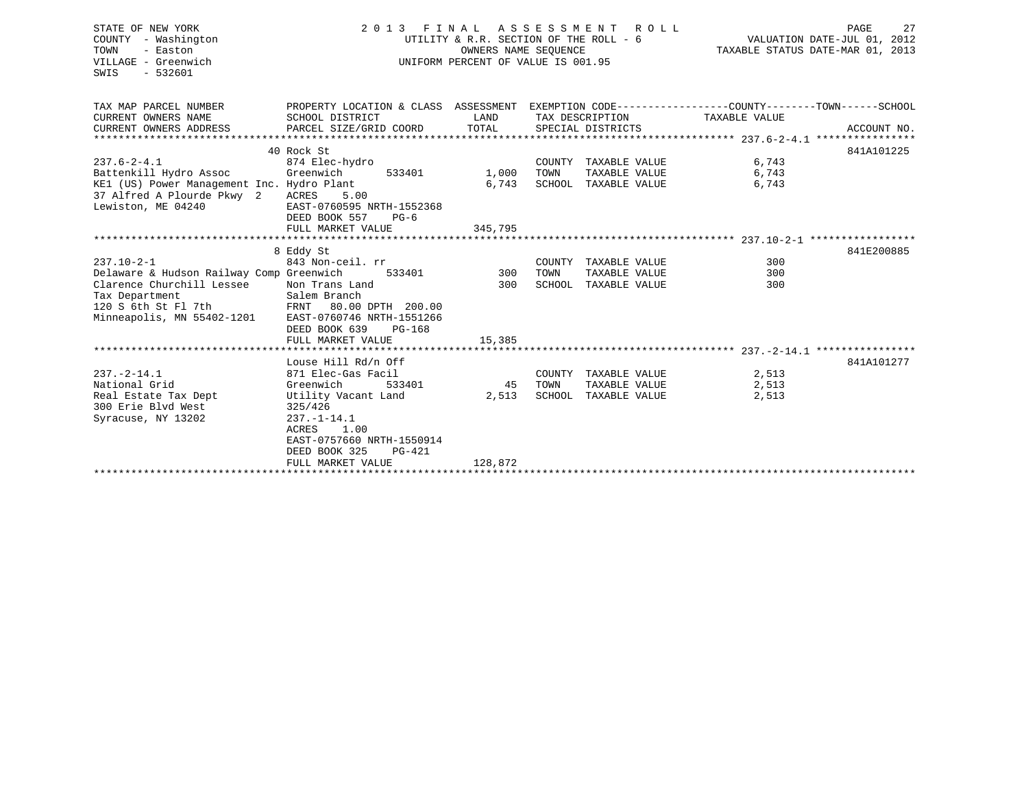| STATE OF NEW YORK<br>COUNTY - Washington<br>TOWN<br>- Easton<br>VILLAGE - Greenwich<br>SWIS<br>$-532601$                                                         | 2013 FINAL<br>UTILITY & R.R. SECTION OF THE ROLL - 6<br>UNIFORM PERCENT OF VALUE IS 001.95                                                                                                         | TAXABLE STATUS DATE-MAR 01, 2013 | PAGE<br>VALUATION DATE-JUL 01, 2012                  | 27                                                            |                         |             |  |
|------------------------------------------------------------------------------------------------------------------------------------------------------------------|----------------------------------------------------------------------------------------------------------------------------------------------------------------------------------------------------|----------------------------------|------------------------------------------------------|---------------------------------------------------------------|-------------------------|-------------|--|
| TAX MAP PARCEL NUMBER<br>CURRENT OWNERS NAME<br>CURRENT OWNERS ADDRESS                                                                                           | PROPERTY LOCATION & CLASS ASSESSMENT EXEMPTION CODE---------------COUNTY-------TOWN------SCHOOL<br>SCHOOL DISTRICT<br>PARCEL SIZE/GRID COORD                                                       | LAND<br>TOTAL                    | TAX DESCRIPTION<br>SPECIAL DISTRICTS                 |                                                               | TAXABLE VALUE           | ACCOUNT NO. |  |
|                                                                                                                                                                  |                                                                                                                                                                                                    |                                  |                                                      |                                                               |                         |             |  |
| $237.6 - 2 - 4.1$<br>Battenkill Hydro Assoc<br>KE1 (US) Power Management Inc. Hydro Plant<br>37 Alfred A Plourde Pkwy 2 ACRES<br>Lewiston, ME 04240              | 40 Rock St<br>874 Elec-hydro<br>Greenwich<br>533401<br>5.00<br>EAST-0760595 NRTH-1552368<br>DEED BOOK 557<br>$PG-6$                                                                                | 1,000<br>6,743                   | TOWN                                                 | COUNTY TAXABLE VALUE<br>TAXABLE VALUE<br>SCHOOL TAXABLE VALUE | 6,743<br>6,743<br>6,743 | 841A101225  |  |
|                                                                                                                                                                  | FULL MARKET VALUE                                                                                                                                                                                  | 345,795                          |                                                      |                                                               |                         |             |  |
|                                                                                                                                                                  |                                                                                                                                                                                                    |                                  |                                                      |                                                               |                         |             |  |
| $237.10 - 2 - 1$<br>Delaware & Hudson Railway Comp Greenwich<br>Clarence Churchill Lessee<br>Tax Department<br>120 S 6th St Fl 7th<br>Minneapolis, MN 55402-1201 | 8 Eddy St<br>843 Non-ceil. rr<br>Non Trans Land<br>Salem Branch<br>FRNT 80.00 DPTH 200.00<br>EAST-0760746 NRTH-1551266<br>DEED BOOK 639<br>PG-168                                                  | 533401 300<br>300                | COUNTY TAXABLE VALUE<br>TOWN<br>SCHOOL TAXABLE VALUE | TAXABLE VALUE                                                 | 300<br>300<br>300       | 841E200885  |  |
|                                                                                                                                                                  | FULL MARKET VALUE                                                                                                                                                                                  | 15,385                           |                                                      |                                                               |                         |             |  |
| $237. - 2 - 14.1$<br>National Grid<br>Real Estate Tax Dept<br>300 Erie Blvd West<br>Syracuse, NY 13202                                                           | Louse Hill Rd/n Off<br>871 Elec-Gas Facil<br>Greenwich<br>533401<br>Utility Vacant Land<br>325/426<br>$237. - 1 - 14.1$<br>ACRES<br>1.00<br>EAST-0757660 NRTH-1550914<br>DEED BOOK 325<br>$PG-421$ | 45 TOWN<br>2,513                 | SCHOOL TAXABLE VALUE                                 | COUNTY TAXABLE VALUE<br>TAXABLE VALUE                         | 2,513<br>2,513<br>2,513 | 841A101277  |  |
|                                                                                                                                                                  | FULL MARKET VALUE                                                                                                                                                                                  | 128,872                          |                                                      |                                                               |                         |             |  |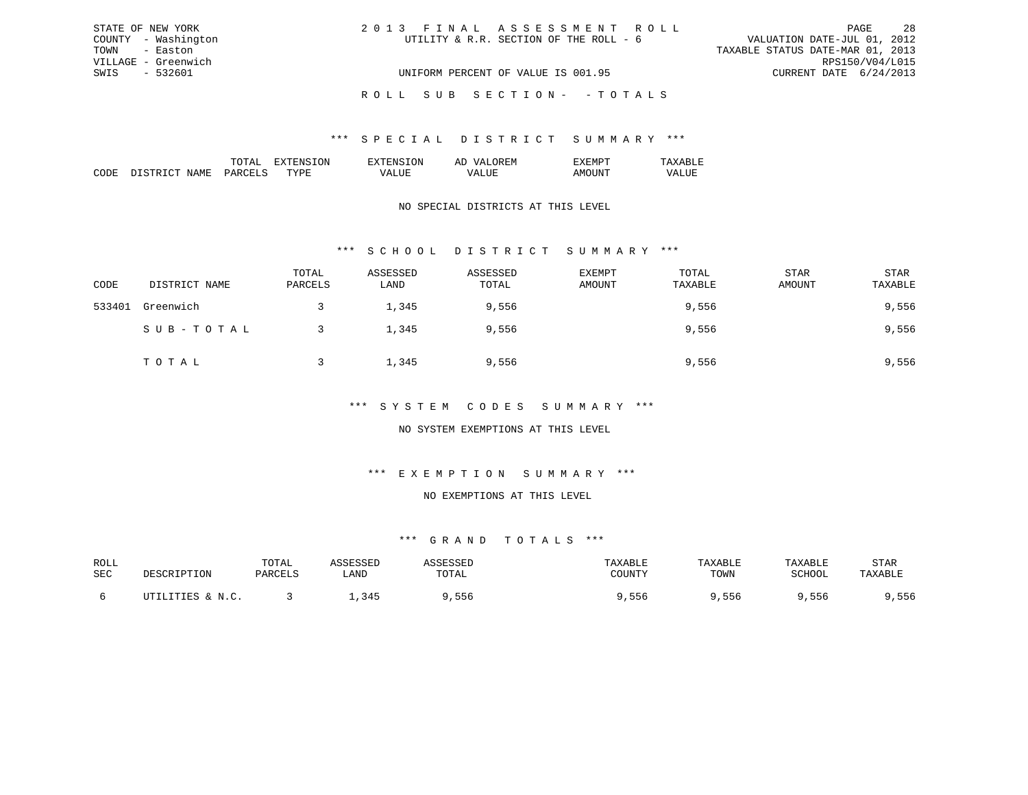| STATE OF NEW YORK   | 2013 FINAL ASSESSMENT ROLL             | 28<br>PAGE                       |
|---------------------|----------------------------------------|----------------------------------|
| COUNTY - Washington | UTILITY & R.R. SECTION OF THE ROLL - 6 | VALUATION DATE-JUL 01, 2012      |
| TOWN - Easton       |                                        | TAXABLE STATUS DATE-MAR 01, 2013 |
| VILLAGE - Greenwich |                                        | RPS150/V04/L015                  |
| SWIS - 532601       | UNIFORM PERCENT OF VALUE IS 001.95     | CURRENT DATE 6/24/2013           |
|                     | ROLL SUB SECTION- - TOTALS             |                                  |

|                       |    | . IN . | cν. |  |
|-----------------------|----|--------|-----|--|
| . <del>. .</del><br>. | ᠇᠇ | .      |     |  |

### NO SPECIAL DISTRICTS AT THIS LEVEL

## \*\*\* S C H O O L D I S T R I C T S U M M A R Y \*\*\*

| CODE   | DISTRICT NAME | TOTAL<br>PARCELS | ASSESSED<br>LAND | ASSESSED<br>TOTAL | <b>EXEMPT</b><br>AMOUNT | TOTAL<br>TAXABLE | <b>STAR</b><br>AMOUNT | STAR<br>TAXABLE |
|--------|---------------|------------------|------------------|-------------------|-------------------------|------------------|-----------------------|-----------------|
| 533401 | Greenwich     |                  | 1,345            | 9,556             |                         | 9,556            |                       | 9,556           |
|        | SUB-TOTAL     |                  | 1,345            | 9,556             |                         | 9,556            |                       | 9,556           |
|        | TOTAL         |                  | 1,345            | 9,556             |                         | 9,556            |                       | 9,556           |

#### \*\*\* S Y S T E M C O D E S S U M M A R Y \*\*\*

### NO SYSTEM EXEMPTIONS AT THIS LEVEL

#### \*\*\* E X E M P T I O N S U M M A R Y \*\*\*

#### NO EXEMPTIONS AT THIS LEVEL

| ROLL |                                      | TOTAL    |                 |        |        | <b><i>LAXABLE</i></b> | TAXABLE | STAR |
|------|--------------------------------------|----------|-----------------|--------|--------|-----------------------|---------|------|
| SEC  | <b>TDTTON</b>                        | D∆R∩FT.⊂ | LAND            | UTAL   | ∩UINTV | TOWN                  | SCHOOL  |      |
|      | TTTPC .<br>$\mathbf{M}$ $\mathbf{C}$ |          | 24I<br><u>.</u> | h<br>. | っっと    | סכל                   | っっぺ     | 6 לכ |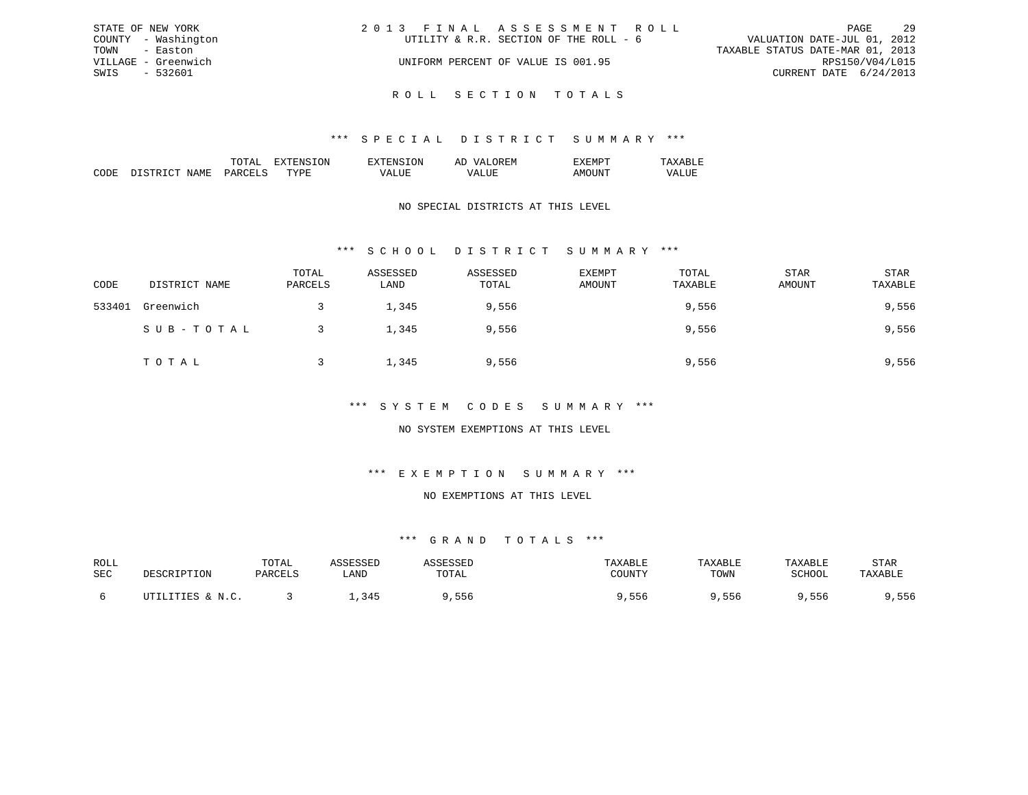|      | STATE OF NEW YORK   | 2013 FINAL ASSESSMENT ROLL             | PAGE                             | 2.9 |
|------|---------------------|----------------------------------------|----------------------------------|-----|
|      | COUNTY - Washington | UTILITY & R.R. SECTION OF THE ROLL - 6 | VALUATION DATE-JUL 01, 2012      |     |
| TOWN | - Easton            |                                        | TAXABLE STATUS DATE-MAR 01, 2013 |     |
|      | VILLAGE - Greenwich | UNIFORM PERCENT OF VALUE IS 001.95     | RPS150/V04/L015                  |     |
| SWIS | - 532601            |                                        | CURRENT DATE 6/24/2013           |     |
|      |                     |                                        |                                  |     |

R O L L S E C T I O N T O T A L S

|  | ж | I. IVI |  |
|--|---|--------|--|
|  |   |        |  |
|  |   |        |  |

### NO SPECIAL DISTRICTS AT THIS LEVEL

## \*\*\* S C H O O L D I S T R I C T S U M M A R Y \*\*\*

| CODE   | DISTRICT NAME | TOTAL<br>PARCELS | ASSESSED<br>LAND | ASSESSED<br>TOTAL | <b>EXEMPT</b><br>AMOUNT | TOTAL<br>TAXABLE | <b>STAR</b><br>AMOUNT | STAR<br>TAXABLE |
|--------|---------------|------------------|------------------|-------------------|-------------------------|------------------|-----------------------|-----------------|
| 533401 | Greenwich     |                  | 1,345            | 9,556             |                         | 9,556            |                       | 9,556           |
|        | SUB-TOTAL     |                  | 1,345            | 9,556             |                         | 9,556            |                       | 9,556           |
|        | TOTAL         |                  | 1,345            | 9,556             |                         | 9,556            |                       | 9,556           |

### \*\*\* S Y S T E M C O D E S S U M M A R Y \*\*\*

### NO SYSTEM EXEMPTIONS AT THIS LEVEL

## \*\*\* E X E M P T I O N S U M M A R Y \*\*\*

#### NO EXEMPTIONS AT THIS LEVEL

| ROLL | TOTAl  |                                       |       |                  | ART.F | ART.   | STAR |
|------|--------|---------------------------------------|-------|------------------|-------|--------|------|
| SEC  | דסומתח | ∟AND                                  | 'I Al | CCTINTEM         | TOWN  | COUOOT |      |
|      |        | $\Lambda$<br>$\overline{\phantom{a}}$ |       | $ -$<br>551<br>. | 556   | 556    | 556  |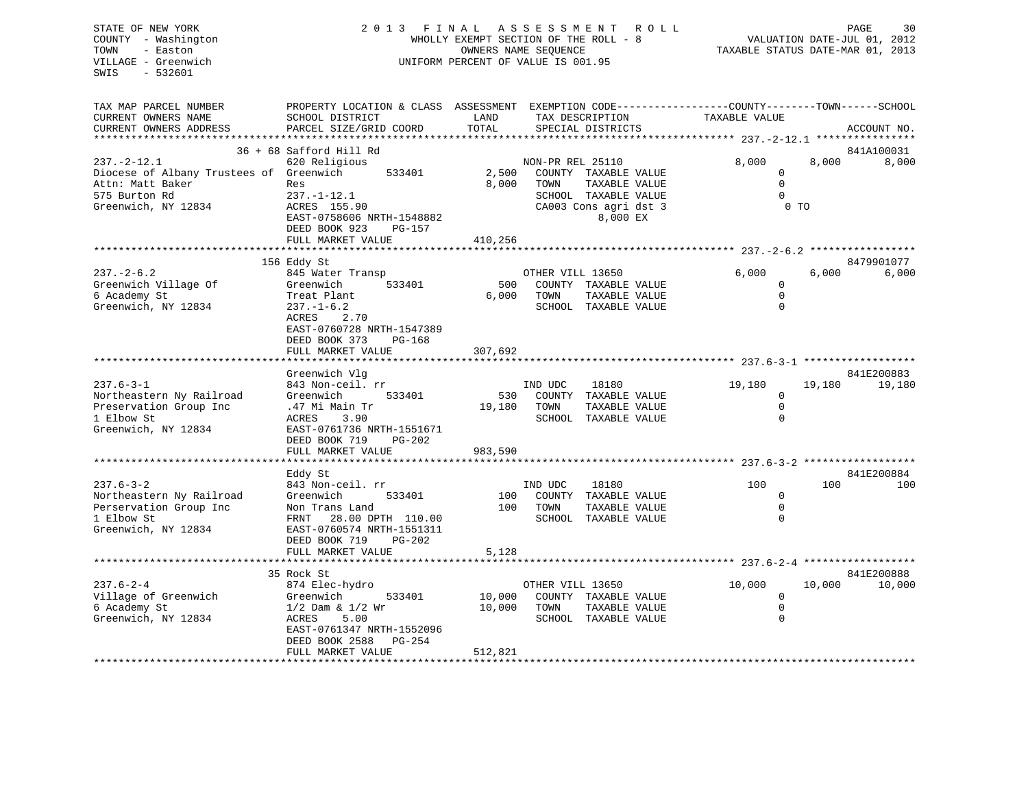| STATE OF NEW YORK<br>COUNTY - Washington<br>- Easton<br>TOWN<br>VILLAGE - Greenwich<br>$-532601$<br>SWIS | 2013 FINAL ASSESSMENT<br>ROLL<br>WHOLLY EXEMPT SECTION OF THE ROLL - 8<br>OWNERS NAME SEQUENCE<br>UNIFORM PERCENT OF VALUE IS 001.95         |                |                  | 30<br>PAGE<br>VALUATION DATE-JUL 01, 2012<br>TAXABLE STATUS DATE-MAR 01, 2013 |                                             |                |             |
|----------------------------------------------------------------------------------------------------------|----------------------------------------------------------------------------------------------------------------------------------------------|----------------|------------------|-------------------------------------------------------------------------------|---------------------------------------------|----------------|-------------|
| TAX MAP PARCEL NUMBER<br>CURRENT OWNERS NAME<br>CURRENT OWNERS ADDRESS                                   | PROPERTY LOCATION & CLASS ASSESSMENT EXEMPTION CODE----------------COUNTY-------TOWN-----SCHOOL<br>SCHOOL DISTRICT<br>PARCEL SIZE/GRID COORD | LAND<br>TOTAL  | TAX DESCRIPTION  | SPECIAL DISTRICTS                                                             | TAXABLE VALUE                               |                | ACCOUNT NO. |
|                                                                                                          | ******************                                                                                                                           | *********      |                  |                                                                               | ********* 237. - 2 - 12.1 ***************** |                |             |
|                                                                                                          | 36 + 68 Safford Hill Rd                                                                                                                      |                |                  |                                                                               |                                             |                | 841A100031  |
| $237. - 2 - 12.1$                                                                                        | 620 Religious                                                                                                                                |                | NON-PR REL 25110 |                                                                               | 8,000                                       | 8,000          | 8,000       |
| Diocese of Albany Trustees of Greenwich<br>Attn: Matt Baker                                              | 533401<br>Res                                                                                                                                | 2,500<br>8,000 | TOWN             | COUNTY TAXABLE VALUE                                                          | $\mathbf 0$<br>$\mathsf{O}\xspace$          |                |             |
| 575 Burton Rd                                                                                            | $237. - 1 - 12.1$                                                                                                                            |                |                  | TAXABLE VALUE<br>SCHOOL TAXABLE VALUE                                         | $\mathbf 0$                                 |                |             |
| Greenwich, NY 12834                                                                                      | ACRES 155.90                                                                                                                                 |                |                  | CA003 Cons agri dst 3                                                         |                                             | 0 <sub>T</sub> |             |
|                                                                                                          | EAST-0758606 NRTH-1548882<br>PG-157<br>DEED BOOK 923                                                                                         |                |                  | 8,000 EX                                                                      |                                             |                |             |
|                                                                                                          | FULL MARKET VALUE                                                                                                                            | 410,256        |                  |                                                                               |                                             |                |             |
|                                                                                                          |                                                                                                                                              |                |                  |                                                                               |                                             |                |             |
|                                                                                                          | 156 Eddy St                                                                                                                                  |                |                  |                                                                               |                                             |                | 8479901077  |
| $237. - 2 - 6.2$<br>Greenwich Village Of                                                                 | 845 Water Transp<br>533401<br>Greenwich                                                                                                      | 500            | OTHER VILL 13650 | COUNTY TAXABLE VALUE                                                          | 6,000<br>0                                  | 6,000          | 6,000       |
| 6 Academy St                                                                                             | Treat Plant                                                                                                                                  | 6,000          | TOWN             | TAXABLE VALUE                                                                 | $\mathbf 0$                                 |                |             |
| Greenwich, NY 12834                                                                                      | $237. - 1 - 6.2$                                                                                                                             |                |                  | SCHOOL TAXABLE VALUE                                                          | $\Omega$                                    |                |             |
|                                                                                                          | 2.70<br>ACRES                                                                                                                                |                |                  |                                                                               |                                             |                |             |
|                                                                                                          | EAST-0760728 NRTH-1547389                                                                                                                    |                |                  |                                                                               |                                             |                |             |
|                                                                                                          | DEED BOOK 373<br>PG-168                                                                                                                      |                |                  |                                                                               |                                             |                |             |
|                                                                                                          | FULL MARKET VALUE                                                                                                                            | 307,692        |                  |                                                                               |                                             |                |             |
|                                                                                                          |                                                                                                                                              |                |                  |                                                                               |                                             |                |             |
|                                                                                                          | Greenwich Vlg                                                                                                                                |                |                  |                                                                               |                                             |                | 841E200883  |
| $237.6 - 3 - 1$                                                                                          | 843 Non-ceil. rr                                                                                                                             |                | IND UDC          | 18180                                                                         | 19,180                                      | 19,180         | 19,180      |
| Northeastern Ny Railroad                                                                                 | Greenwich<br>533401                                                                                                                          | 530            |                  | COUNTY TAXABLE VALUE                                                          | $\mathbf 0$                                 |                |             |
| Preservation Group Inc                                                                                   | .47 Mi Main Tr                                                                                                                               | 19,180         | TOWN             | TAXABLE VALUE                                                                 | $\mathbf 0$                                 |                |             |
| 1 Elbow St                                                                                               | 3.90<br>ACRES                                                                                                                                |                |                  | SCHOOL TAXABLE VALUE                                                          | $\mathbf{0}$                                |                |             |
| Greenwich, NY 12834                                                                                      | EAST-0761736 NRTH-1551671                                                                                                                    |                |                  |                                                                               |                                             |                |             |
|                                                                                                          | DEED BOOK 719<br>PG-202                                                                                                                      |                |                  |                                                                               |                                             |                |             |
|                                                                                                          | FULL MARKET VALUE                                                                                                                            | 983,590        |                  |                                                                               |                                             |                |             |
|                                                                                                          | Eddy St                                                                                                                                      |                |                  |                                                                               |                                             |                | 841E200884  |
| $237.6 - 3 - 2$                                                                                          | 843 Non-ceil. rr                                                                                                                             |                | IND UDC          | 18180                                                                         | 100                                         | 100            | 100         |
| Northeastern Ny Railroad                                                                                 | Greenwich<br>533401                                                                                                                          | 100            |                  | COUNTY TAXABLE VALUE                                                          | 0                                           |                |             |
| Perservation Group Inc                                                                                   | Non Trans Land                                                                                                                               | 100            | TOWN             | TAXABLE VALUE                                                                 | $\mathbf 0$                                 |                |             |
| 1 Elbow St                                                                                               | 28.00 DPTH 110.00<br>FRNT                                                                                                                    |                |                  | SCHOOL TAXABLE VALUE                                                          | $\mathbf{0}$                                |                |             |
| Greenwich, NY 12834                                                                                      | EAST-0760574 NRTH-1551311                                                                                                                    |                |                  |                                                                               |                                             |                |             |
|                                                                                                          | DEED BOOK 719<br>$PG-202$                                                                                                                    |                |                  |                                                                               |                                             |                |             |
|                                                                                                          | FULL MARKET VALUE                                                                                                                            | 5,128          |                  |                                                                               |                                             |                |             |
|                                                                                                          | ******************************                                                                                                               |                |                  |                                                                               |                                             |                |             |
|                                                                                                          | 35 Rock St                                                                                                                                   |                |                  |                                                                               |                                             |                | 841E200888  |
| $237.6 - 2 - 4$                                                                                          | 874 Elec-hydro                                                                                                                               |                | OTHER VILL 13650 |                                                                               | 10,000                                      | 10,000         | 10,000      |
| Village of Greenwich                                                                                     | 533401<br>Greenwich                                                                                                                          | 10,000         |                  | COUNTY TAXABLE VALUE                                                          | $\mathbf 0$                                 |                |             |
| 6 Academy St                                                                                             | $1/2$ Dam & $1/2$ Wr                                                                                                                         | 10,000         | TOWN             | TAXABLE VALUE                                                                 | $\mathsf{O}\xspace$                         |                |             |
| Greenwich, NY 12834                                                                                      | ACRES<br>5.00                                                                                                                                |                |                  | SCHOOL TAXABLE VALUE                                                          | $\mathbf{0}$                                |                |             |
|                                                                                                          | EAST-0761347 NRTH-1552096                                                                                                                    |                |                  |                                                                               |                                             |                |             |
|                                                                                                          | DEED BOOK 2588<br>PG-254<br>FULL MARKET VALUE                                                                                                | 512,821        |                  |                                                                               |                                             |                |             |
|                                                                                                          |                                                                                                                                              |                |                  |                                                                               |                                             |                |             |
|                                                                                                          |                                                                                                                                              |                |                  |                                                                               |                                             |                |             |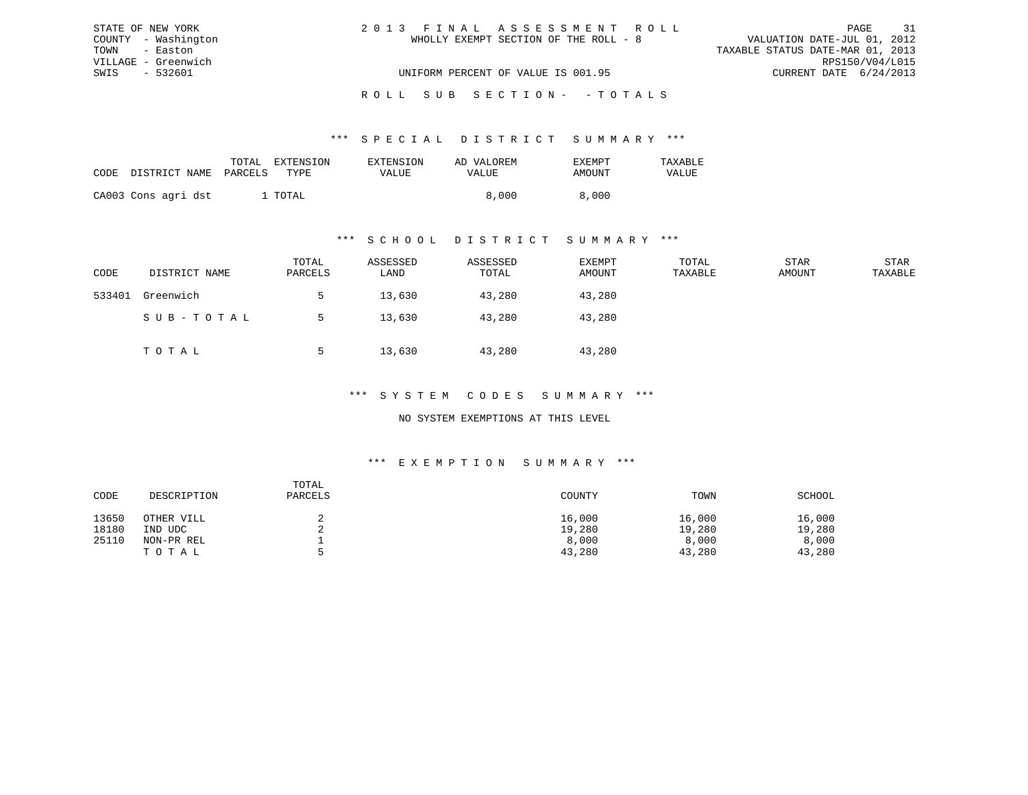| STATE OF NEW YORK   | 2013 FINAL ASSESSMENT ROLL            | 31<br>PAGE                       |
|---------------------|---------------------------------------|----------------------------------|
| COUNTY - Washington | WHOLLY EXEMPT SECTION OF THE ROLL - 8 | VALUATION DATE-JUL 01, 2012      |
| TOWN - Easton       |                                       | TAXABLE STATUS DATE-MAR 01, 2013 |
| VILLAGE - Greenwich |                                       | RPS150/V04/L015                  |
| SWIS - 532601       | UNIFORM PERCENT OF VALUE IS 001.95    | CURRENT DATE 6/24/2013           |
|                     |                                       |                                  |

### ROLL SUB SECTION - - TOTALS

#### \*\*\* S P E C I A L D I S T R I C T S U M M A R Y \*\*\*

|      |                       | TOTAL | EXTENSION | EXTENSION | AD VALOREM | <b>EXEMPT</b> | <b>TAXARLF</b> |
|------|-----------------------|-------|-----------|-----------|------------|---------------|----------------|
| CODE | DISTRICT NAME PARCELS |       | TYPE      | VALUE     | VALUE      | AMOUNT        | VALUE          |
|      | CA003 Cons agri dst   |       | TOTAL     |           | 8,000      | 8,000         |                |

#### \*\*\* S C H O O L D I S T R I C T S U M M A R Y \*\*\*

| CODE   | DISTRICT NAME | TOTAL<br>PARCELS | ASSESSED<br>LAND | ASSESSED<br>TOTAL | EXEMPT<br>AMOUNT | TOTAL<br>TAXABLE | STAR<br>AMOUNT | STAR<br>TAXABLE |
|--------|---------------|------------------|------------------|-------------------|------------------|------------------|----------------|-----------------|
| 533401 | Greenwich     |                  | 13,630           | 43,280            | 43,280           |                  |                |                 |
|        | SUB-TOTAL     |                  | 13,630           | 43,280            | 43,280           |                  |                |                 |
|        | TOTAL         |                  | 13,630           | 43,280            | 43,280           |                  |                |                 |

#### \*\*\* S Y S T E M C O D E S S U M M A R Y \*\*\*

#### NO SYSTEM EXEMPTIONS AT THIS LEVEL

#### \*\*\* E X E M P T I O N S U M M A R Y \*\*\*

| CODE  | DESCRIPTION | TOTAL<br>PARCELS | COUNTY | TOWN   | SCHOOL |
|-------|-------------|------------------|--------|--------|--------|
| 13650 | OTHER VILL  | ▵                | 16,000 | 16,000 | 16,000 |
| 18180 | IND UDC     |                  | 19,280 | 19,280 | 19,280 |
| 25110 | NON-PR REL  |                  | 8,000  | 8,000  | 8,000  |
|       | TOTAL       |                  | 43,280 | 43,280 | 43,280 |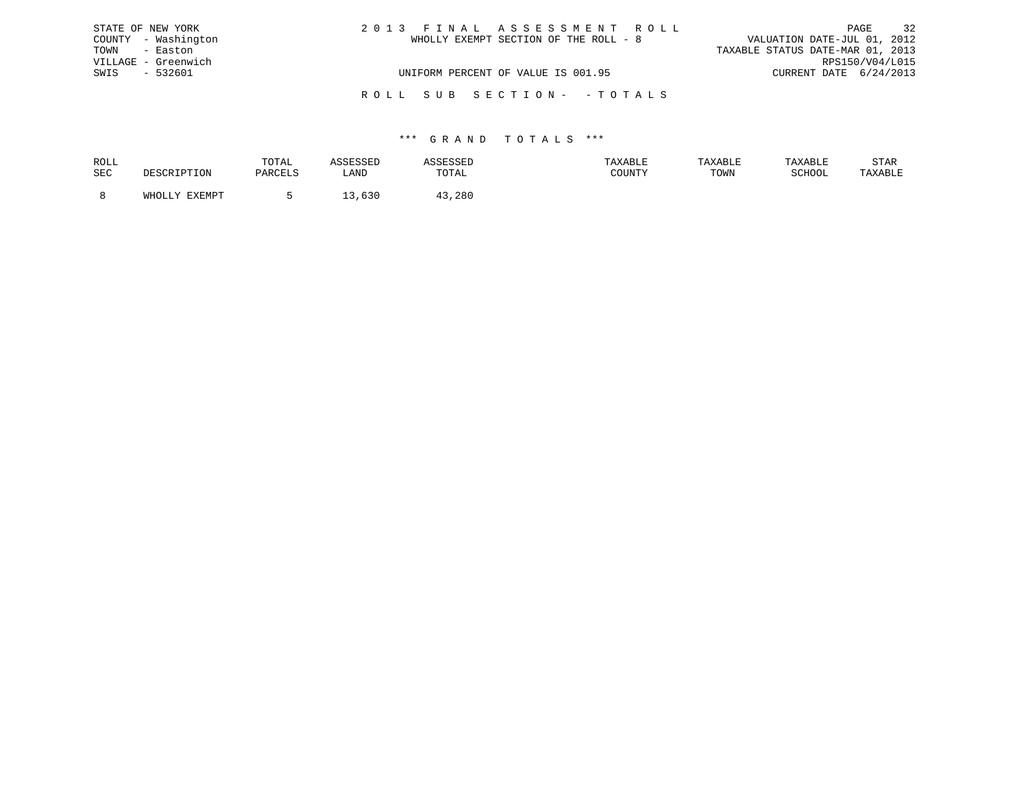| STATE OF NEW YORK   | 2013 FINAL ASSESSMENT ROLL            | 32<br>PAGE                       |
|---------------------|---------------------------------------|----------------------------------|
| COUNTY - Washington | WHOLLY EXEMPT SECTION OF THE ROLL - 8 | VALUATION DATE-JUL 01, 2012      |
| TOWN - Easton       |                                       | TAXABLE STATUS DATE-MAR 01, 2013 |
| VILLAGE - Greenwich |                                       | RPS150/V04/L015                  |
| SWIS<br>- 532601    | UNIFORM PERCENT OF VALUE IS 001.95    | CURRENT DATE 6/24/2013           |
|                     | ROLL SUB SECTION- -TOTALS             |                                  |

| ROLL |        | TOTAL |            | .                         | <b>AXABLF</b> |      |        | STAR    |
|------|--------|-------|------------|---------------------------|---------------|------|--------|---------|
| SEC  |        |       | ∴AND       | TOTA <sup>-</sup><br>◡⊥љ⊥ | CCTNTM        | TOWN | SCHOOL | 'AXABLE |
|      |        |       |            |                           |               |      |        |         |
|      | FYFMDT |       | <b>UJV</b> | 280                       |               |      |        |         |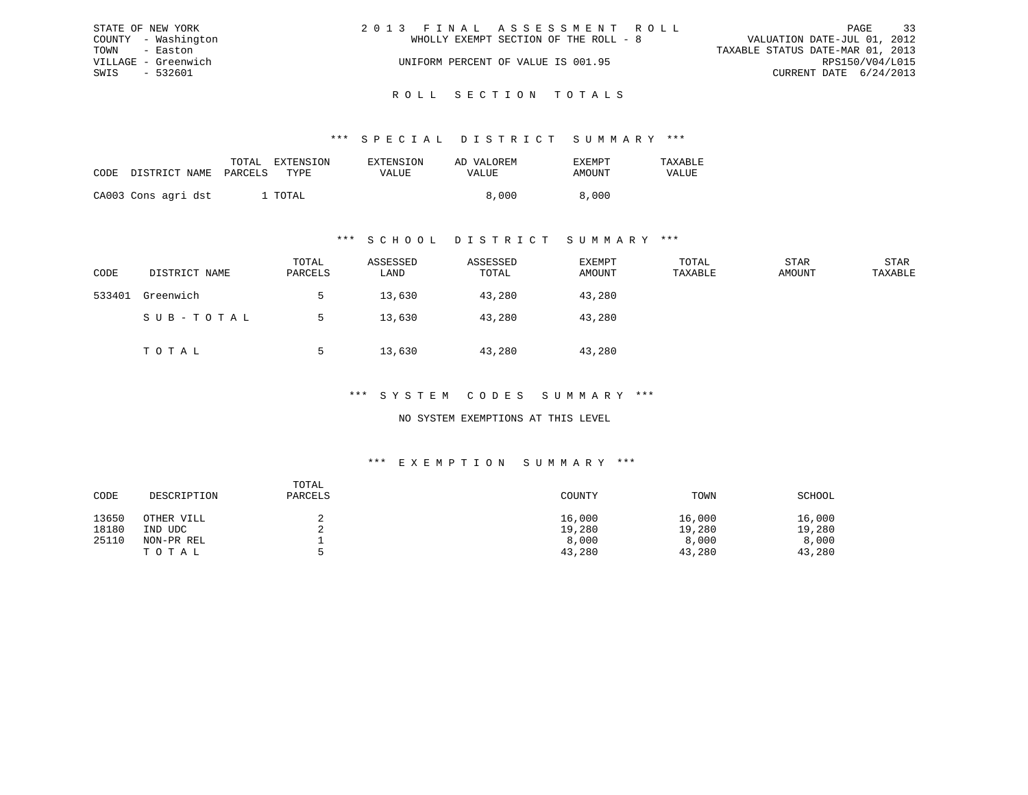|               | STATE OF NEW YORK   | 2013 FINAL ASSESSMENT ROLL            | - 33<br>PAGE                     |
|---------------|---------------------|---------------------------------------|----------------------------------|
|               | COUNTY - Washington | WHOLLY EXEMPT SECTION OF THE ROLL - 8 | VALUATION DATE-JUL 01, 2012      |
| TOWN - Easton |                     |                                       | TAXABLE STATUS DATE-MAR 01, 2013 |
|               | VILLAGE - Greenwich | UNIFORM PERCENT OF VALUE IS 001.95    | RPS150/V04/L015                  |
| SWIS          | - 532601            |                                       | CURRENT DATE 6/24/2013           |
|               |                     |                                       |                                  |

## ROLL SECTION TOTALS

#### \*\*\* S P E C I A L D I S T R I C T S U M M A R Y \*\*\*

| CODE | DISTRICT NAME PARCELS | TOTAL EXTENSION<br>TYPE | <b>EXTENSION</b><br>VALUE | AD VALOREM<br>VALUE | EXEMPT<br>AMOUNT | TAXABLE<br>VALUE |
|------|-----------------------|-------------------------|---------------------------|---------------------|------------------|------------------|
|      | CA003 Cons agri dst   | . TOTAL                 |                           | 8,000               | 8,000            |                  |

#### \*\*\* S C H O O L D I S T R I C T S U M M A R Y \*\*\*

| CODE   | DISTRICT NAME | TOTAL<br>PARCELS | ASSESSED<br>LAND | ASSESSED<br>TOTAL | EXEMPT<br>AMOUNT | TOTAL<br>TAXABLE | STAR<br>AMOUNT | STAR<br>TAXABLE |
|--------|---------------|------------------|------------------|-------------------|------------------|------------------|----------------|-----------------|
| 533401 | Greenwich     |                  | 13,630           | 43,280            | 43,280           |                  |                |                 |
|        | SUB-TOTAL     |                  | 13,630           | 43,280            | 43,280           |                  |                |                 |
|        | TOTAL         |                  | 13,630           | 43,280            | 43,280           |                  |                |                 |

#### \*\*\* S Y S T E M C O D E S S U M M A R Y \*\*\*

#### NO SYSTEM EXEMPTIONS AT THIS LEVEL

#### \*\*\* E X E M P T I O N S U M M A R Y \*\*\*

| CODE  | DESCRIPTION | TOTAL<br>PARCELS | COUNTY | TOWN   | SCHOOL |
|-------|-------------|------------------|--------|--------|--------|
| 13650 | OTHER VILL  |                  | 16,000 | 16,000 | 16,000 |
| 18180 | IND UDC     |                  | 19,280 | 19,280 | 19,280 |
| 25110 | NON-PR REL  |                  | 8,000  | 8,000  | 8,000  |
|       | TOTAL       | ь.               | 43,280 | 43,280 | 43,280 |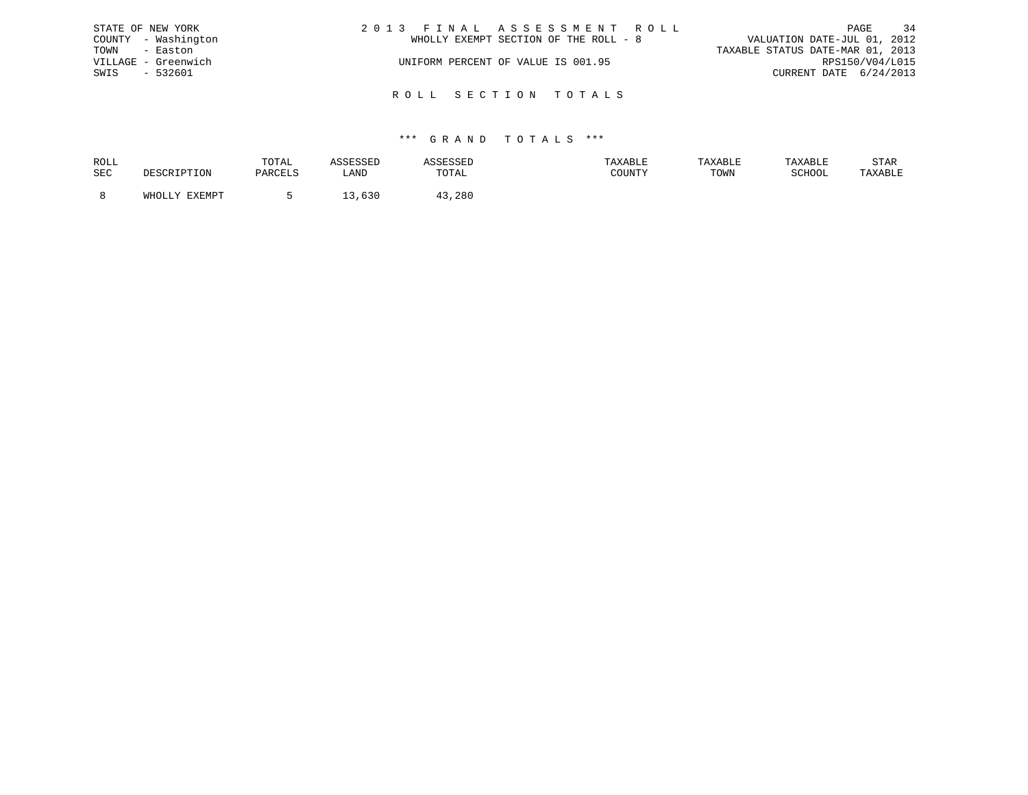|               | STATE OF NEW YORK   | 2013 FINAL ASSESSMENT ROLL            | PAGE                             | 34 |
|---------------|---------------------|---------------------------------------|----------------------------------|----|
|               | COUNTY - Washington | WHOLLY EXEMPT SECTION OF THE ROLL - 8 | VALUATION DATE-JUL 01, 2012      |    |
| TOWN - Easton |                     |                                       | TAXABLE STATUS DATE-MAR 01, 2013 |    |
|               | VILLAGE - Greenwich | UNIFORM PERCENT OF VALUE IS 001.95    | RPS150/V04/L015                  |    |
| SWIS          | - 532601            |                                       | CURRENT DATE 6/24/2013           |    |
|               |                     |                                       |                                  |    |
|               |                     | ROLL SECTION TOTALS                   |                                  |    |

| ROLL |                        | TOTAL   |      |        | TAXABLE | TAXABLE | TAYARI.R | STAR    |
|------|------------------------|---------|------|--------|---------|---------|----------|---------|
| SEC  |                        | PARCELS | LANI | TOTAL  | COUNTY  | TOWN    | SCHOOL   | TAXABLE |
|      |                        |         |      |        |         |         |          |         |
|      | <b>EXEMPT</b><br>WHOLL |         | ししぃ  | l3,28C |         |         |          |         |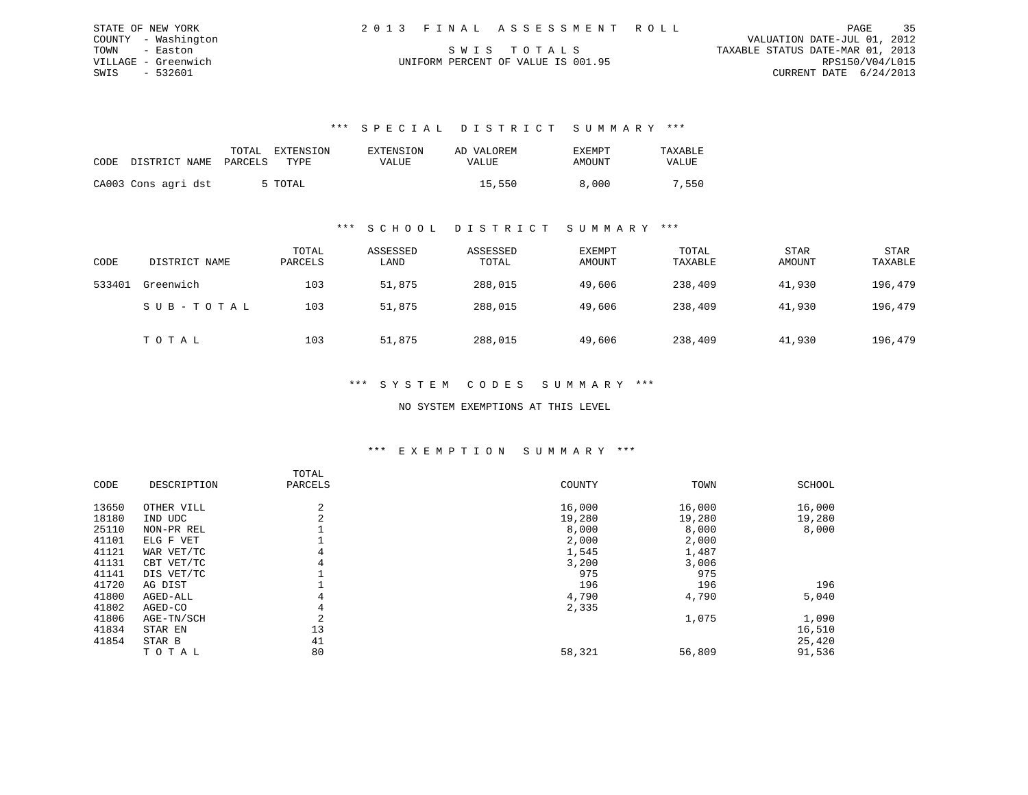| STATE OF NEW YORK   | 2013 FINAL ASSESSMENT ROLL         | 35<br>PAGE                       |
|---------------------|------------------------------------|----------------------------------|
| COUNTY - Washington |                                    | VALUATION DATE-JUL 01, 2012      |
| TOWN - Easton       | SWIS TOTALS                        | TAXABLE STATUS DATE-MAR 01, 2013 |
| VILLAGE - Greenwich | UNIFORM PERCENT OF VALUE IS 001.95 | RPS150/V04/L015                  |
| SWIS<br>- 532601    |                                    | CURRENT DATE 6/24/2013           |

| CODE DISTRICT NAME PARCELS | TOTAL | EXTENSION<br>TYPE: | EXTENSION<br>VALUE | AD VALOREM<br>VALUE | EXEMPT<br>AMOUNT | TAXABLE<br><b>VALUE</b> |
|----------------------------|-------|--------------------|--------------------|---------------------|------------------|-------------------------|
| CA003 Cons agri dst        |       | 5 TOTAL            |                    | 15,550              | 8,000            | 7,550                   |

### \*\*\* S C H O O L D I S T R I C T S U M M A R Y \*\*\*

| CODE   | DISTRICT NAME | TOTAL<br>PARCELS | ASSESSED<br>LAND | ASSESSED<br>TOTAL | <b>EXEMPT</b><br>AMOUNT | TOTAL<br>TAXABLE | <b>STAR</b><br>AMOUNT | STAR<br>TAXABLE |
|--------|---------------|------------------|------------------|-------------------|-------------------------|------------------|-----------------------|-----------------|
| 533401 | Greenwich     | 103              | 51,875           | 288,015           | 49,606                  | 238,409          | 41,930                | 196,479         |
|        | SUB-TOTAL     | 103              | 51,875           | 288,015           | 49,606                  | 238,409          | 41,930                | 196,479         |
|        | TOTAL         | 103              | 51,875           | 288,015           | 49,606                  | 238,409          | 41,930                | 196,479         |

#### \*\*\* S Y S T E M C O D E S S U M M A R Y \*\*\*

#### NO SYSTEM EXEMPTIONS AT THIS LEVEL

#### \*\*\* E X E M P T I O N S U M M A R Y \*\*\*

|       |             | TOTAL   |        |        |        |
|-------|-------------|---------|--------|--------|--------|
| CODE  | DESCRIPTION | PARCELS | COUNTY | TOWN   | SCHOOL |
| 13650 | OTHER VILL  | 2       | 16,000 | 16,000 | 16,000 |
| 18180 | IND UDC     | 2       | 19,280 | 19,280 | 19,280 |
| 25110 | NON-PR REL  |         | 8,000  | 8,000  | 8,000  |
| 41101 | ELG F VET   |         | 2,000  | 2,000  |        |
| 41121 | WAR VET/TC  | 4       | 1,545  | 1,487  |        |
| 41131 | CBT VET/TC  | 4       | 3,200  | 3,006  |        |
| 41141 | DIS VET/TC  |         | 975    | 975    |        |
| 41720 | AG DIST     |         | 196    | 196    | 196    |
| 41800 | AGED-ALL    | 4       | 4,790  | 4,790  | 5,040  |
| 41802 | AGED-CO     | 4       | 2,335  |        |        |
| 41806 | AGE-TN/SCH  | 2       |        | 1,075  | 1,090  |
| 41834 | STAR EN     | 13      |        |        | 16,510 |
| 41854 | STAR B      | 41      |        |        | 25,420 |
|       | TOTAL       | 80      | 58,321 | 56,809 | 91,536 |
|       |             |         |        |        |        |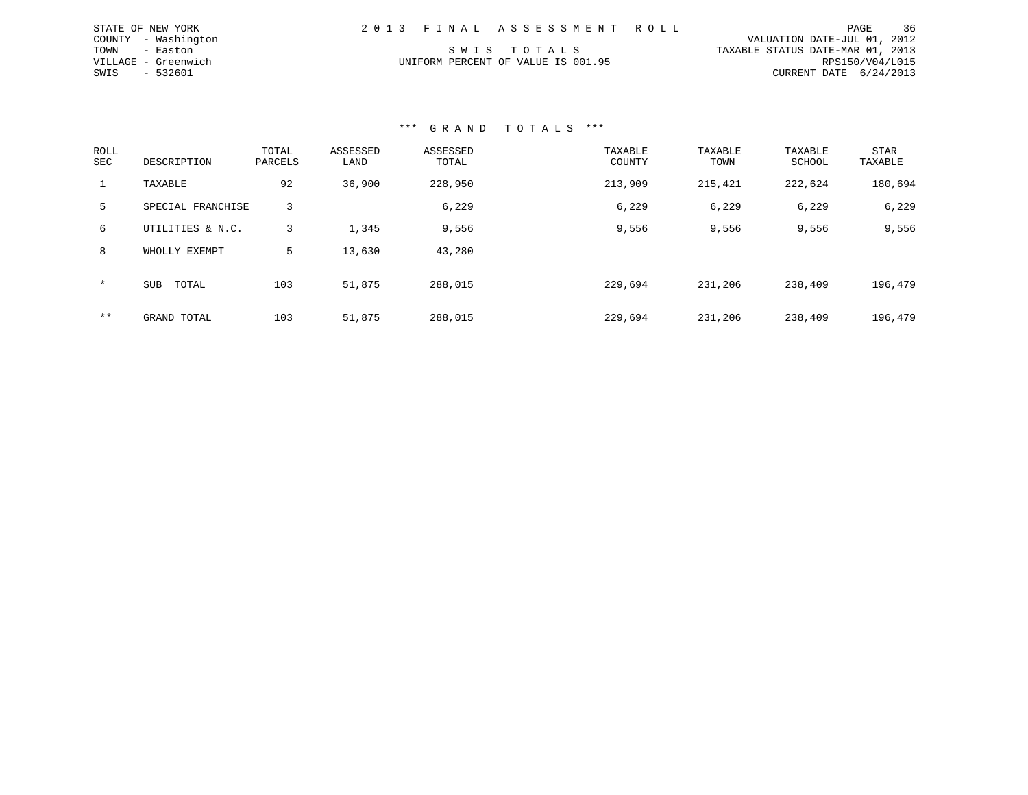| STATE OF NEW YORK |                     |  | 2013 FINAL ASSESSMENT ROLL         |                                  |                        | PAGE | 36 |
|-------------------|---------------------|--|------------------------------------|----------------------------------|------------------------|------|----|
|                   | COUNTY - Washington |  |                                    | VALUATION DATE-JUL 01, 2012      |                        |      |    |
| TOWN - Easton     |                     |  | SWIS TOTALS                        | TAXABLE STATUS DATE-MAR 01, 2013 |                        |      |    |
|                   | VILLAGE - Greenwich |  | UNIFORM PERCENT OF VALUE IS 001.95 |                                  | RPS150/V04/L015        |      |    |
| SWIS - 532601     |                     |  |                                    |                                  | CURRENT DATE 6/24/2013 |      |    |

| ROLL<br><b>SEC</b> | DESCRIPTION         | TOTAL<br>PARCELS | ASSESSED<br>LAND | ASSESSED<br>TOTAL | TAXABLE<br>COUNTY | TAXABLE<br>TOWN | TAXABLE<br>SCHOOL | <b>STAR</b><br>TAXABLE |
|--------------------|---------------------|------------------|------------------|-------------------|-------------------|-----------------|-------------------|------------------------|
| 1                  | TAXABLE             | 92               | 36,900           | 228,950           | 213,909           | 215,421         | 222,624           | 180,694                |
| 5.                 | SPECIAL FRANCHISE   | 3                |                  | 6,229             | 6,229             | 6,229           | 6,229             | 6,229                  |
| 6                  | UTILITIES & N.C.    | 3                | 1,345            | 9,556             | 9,556             | 9,556           | 9,556             | 9,556                  |
| 8                  | WHOLLY EXEMPT       | 5                | 13,630           | 43,280            |                   |                 |                   |                        |
| $\star$            | TOTAL<br><b>SUB</b> | 103              | 51,875           | 288,015           | 229,694           | 231,206         | 238,409           | 196,479                |
| $***$              | GRAND TOTAL         | 103              | 51,875           | 288,015           | 229,694           | 231,206         | 238,409           | 196,479                |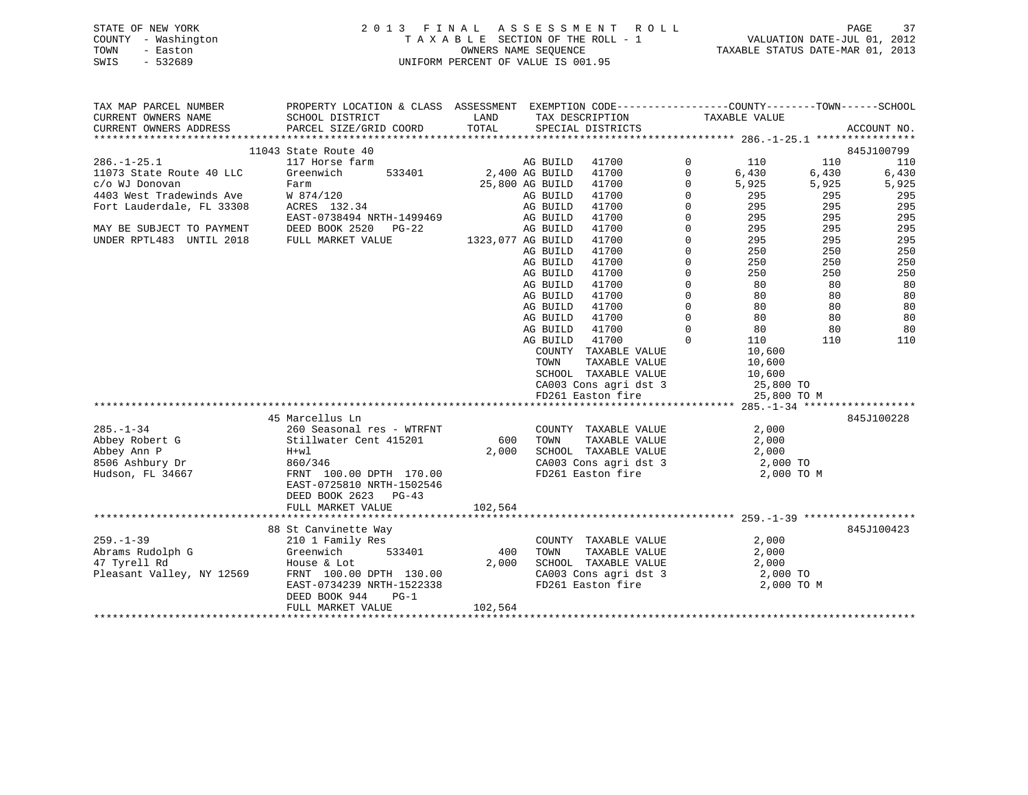# STATE OF NEW YORK 2 0 1 3 F I N A L A S S E S S M E N T R O L L PAGE 37 COUNTY - Washington T A X A B L E SECTION OF THE ROLL - 1 VALUATION DATE-JUL 01, 2012 TOWN - Easton OWNERS NAME SEQUENCE TAXABLE STATUS DATE-MAR 01, 2013 SWIS - 532689 UNIFORM PERCENT OF VALUE IS 001.95UNIFORM PERCENT OF VALUE IS 001.95

| TAX MAP PARCEL NUMBER                                                                 | PROPERTY LOCATION & CLASS ASSESSMENT EXEMPTION CODE----------------COUNTY-------TOWN------SCHOOL                    |                   |                 |                                                |              |                                         |       |             |
|---------------------------------------------------------------------------------------|---------------------------------------------------------------------------------------------------------------------|-------------------|-----------------|------------------------------------------------|--------------|-----------------------------------------|-------|-------------|
| CURRENT OWNERS NAME                                                                   | SCHOOL DISTRICT                                                                                                     | LAND              |                 | TAX DESCRIPTION                                |              | TAXABLE VALUE                           |       |             |
| CURRENT OWNERS ADDRESS                                                                | PARCEL SIZE/GRID COORD                                                                                              | TOTAL             |                 | SPECIAL DISTRICTS                              |              |                                         |       | ACCOUNT NO. |
|                                                                                       |                                                                                                                     |                   |                 |                                                |              |                                         |       | 845J100799  |
|                                                                                       | 11043 State Route 40                                                                                                |                   |                 |                                                |              |                                         |       |             |
| $286. - 1 - 25.1$                                                                     | 117 Horse farm                                                                                                      |                   | AG BUILD        | 41700                                          | $\mathbf 0$  | 110                                     | 110   | 110         |
| 11073 State Route 40 LLC                                                              | 533401<br>Greenwich                                                                                                 | 2,400 AG BUILD    |                 | 41700                                          | $\mathbf{0}$ | 6,430<br>5,925                          | 6,430 | 6,430       |
| c/o WJ Donovan                                                                        | Farm                                                                                                                |                   | 25,800 AG BUILD | 41700                                          | $\mathbf 0$  | $\frac{225}{295}$                       | 5,925 | 5,925       |
| 4403 West Tradewinds Ave M 874/120<br>Fort Lauderdale, FL 33308 ACRES 132.34          |                                                                                                                     |                   | AG BUILD        | 41700                                          | $\Omega$     |                                         | 295   | 295         |
|                                                                                       |                                                                                                                     |                   | AG BUILD        | 41700                                          | $\mathbf 0$  | 295                                     | 295   | 295         |
|                                                                                       | EAST-0738494 NRTH-1499469                                                                                           |                   | AG BUILD        | 41700                                          | $\Omega$     | 295 7                                   | 295   | 295         |
| MAY BE SUBJECT TO PAYMENT DEED BOOK 2520 I UNDER RPTL483 UNTIL 2018 FULL MARKET VALUE | DEED BOOK 2520 PG-22                                                                                                |                   | AG BUILD        | 41700                                          | $\mathbf 0$  | 295<br>295                              | 295   | 295         |
|                                                                                       |                                                                                                                     | 1323,077 AG BUILD |                 | 41700                                          | $\Omega$     |                                         | 295   | 295         |
|                                                                                       |                                                                                                                     |                   | AG BUILD        | 41700                                          | $\Omega$     | 250                                     | 250   | 250         |
|                                                                                       |                                                                                                                     |                   | AG BUILD        | 41700                                          | $\mathbf 0$  | 250                                     | 250   | 250         |
|                                                                                       |                                                                                                                     |                   | AG BUILD        | 41700                                          | $\mathbf 0$  | 250                                     | 250   | 250         |
|                                                                                       |                                                                                                                     |                   | AG BUILD        | 41700                                          | $\mathbf 0$  | $\begin{array}{c} 80 \\ 80 \end{array}$ | 80    | 80          |
|                                                                                       |                                                                                                                     |                   | AG BUILD        | 41700                                          | $\mathbf 0$  |                                         | 80    | 80          |
|                                                                                       |                                                                                                                     |                   | AG BUILD        | 41700                                          | $\mathbf 0$  | 80 10                                   | 80    | 80          |
|                                                                                       |                                                                                                                     |                   | AG BUILD        | 41700                                          | $\mathbf 0$  | 80                                      | 80    | 80          |
|                                                                                       |                                                                                                                     |                   | AG BUILD        | 41700                                          | $\Omega$     | 80                                      | 80    | 80          |
|                                                                                       |                                                                                                                     |                   | AG BUILD        | 41700                                          | $\Omega$     | 110                                     | 110   | 110         |
|                                                                                       |                                                                                                                     |                   |                 | COUNTY TAXABLE VALUE                           |              | 10,600                                  |       |             |
|                                                                                       |                                                                                                                     |                   | TOWN            | TAXABLE VALUE                                  |              | 10,600                                  |       |             |
|                                                                                       |                                                                                                                     |                   |                 | SCHOOL TAXABLE VALUE                           |              | 10,600                                  |       |             |
|                                                                                       |                                                                                                                     |                   |                 | CA003 Cons agri dst 3                          |              | 25,800 TO                               |       |             |
|                                                                                       |                                                                                                                     |                   |                 | FD261 Easton fire                              |              | 25,800 TO M                             |       |             |
|                                                                                       |                                                                                                                     |                   |                 |                                                |              |                                         |       |             |
|                                                                                       | 45 Marcellus Ln                                                                                                     |                   |                 |                                                |              |                                         |       | 845J100228  |
| $285. - 1 - 34$                                                                       | 260 Seasonal res - WTRFNT                                                                                           |                   |                 |                                                |              | 2,000                                   |       |             |
| Abbey Robert G                                                                        | 260 Seasonal res - WTRI<br>Stillwater Cent 415201                                                                   |                   | 600 TOWN        | COUNTY TAXABLE VALUE<br>600 TOWN TAXABLE VALUE |              | 2,000                                   |       |             |
| Abbey Ann P                                                                           |                                                                                                                     | 2,000             |                 | SCHOOL TAXABLE VALUE                           |              | 2,000                                   |       |             |
| 8506 Ashbury Dr                                                                       |                                                                                                                     |                   |                 |                                                |              |                                         |       |             |
| Hudson, FL 34667                                                                      | H+wl<br>860/346<br>FRNT 100.00 DPTH 170.00                                                                          |                   |                 | CA003 Cons agri dst 3<br>FD261 Easton fire     |              | 2,000 TO<br>2,000 TO M                  |       |             |
|                                                                                       | EAST-0725810 NRTH-1502546                                                                                           |                   |                 |                                                |              |                                         |       |             |
|                                                                                       | DEED BOOK 2623 PG-43                                                                                                |                   |                 |                                                |              |                                         |       |             |
|                                                                                       | FULL MARKET VALUE                                                                                                   | 102,564           |                 |                                                |              |                                         |       |             |
|                                                                                       |                                                                                                                     |                   |                 |                                                |              |                                         |       |             |
|                                                                                       | 88 St Canvinette Way                                                                                                |                   |                 |                                                |              |                                         |       | 845J100423  |
| $259. - 1 - 39$                                                                       |                                                                                                                     |                   |                 |                                                |              | 2,000                                   |       |             |
|                                                                                       | 210 1 Family Res<br>Greenwich    5                                                                                  | 400               |                 | COUNTY TAXABLE VALUE<br>TAXABLE VALUE          |              |                                         |       |             |
|                                                                                       |                                                                                                                     |                   | TOWN            |                                                |              | 2,000                                   |       |             |
|                                                                                       | Abrams Rudolph G (Speenwich 533401<br>47 Tyrell Rd House & Lot<br>Pleasant Valley, NY 12569 FRNT 100.00 DPTH 130.00 | 2,000             |                 | SCHOOL TAXABLE VALUE                           |              | 2,000                                   |       |             |
|                                                                                       |                                                                                                                     |                   |                 | CA003 Cons agri dst 3                          |              | 2,000 TO                                |       |             |
|                                                                                       | EAST-0734239 NRTH-1522338                                                                                           |                   |                 | FD261 Easton fire                              |              | 2,000 TO M                              |       |             |
|                                                                                       | DEED BOOK 944<br>PG-1                                                                                               |                   |                 |                                                |              |                                         |       |             |
|                                                                                       | FULL MARKET VALUE                                                                                                   | 102,564           |                 |                                                |              |                                         |       |             |
|                                                                                       |                                                                                                                     |                   |                 |                                                |              |                                         |       |             |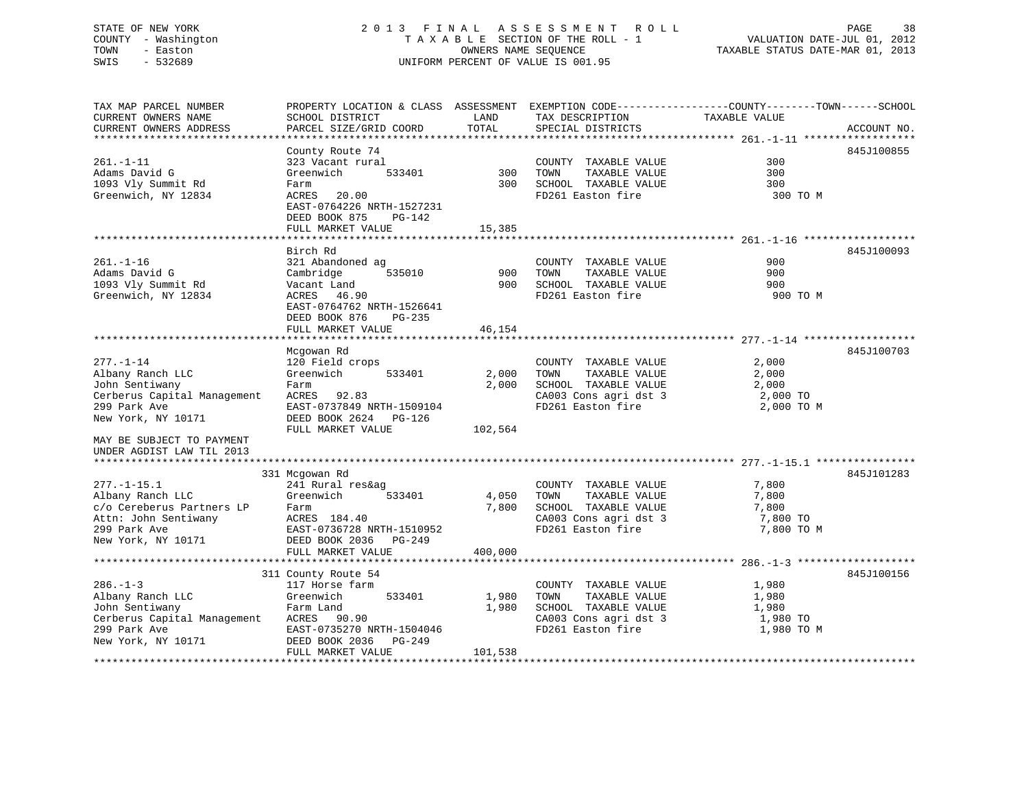# STATE OF NEW YORK 2 0 1 3 F I N A L A S S E S S M E N T R O L L PAGE 38 COUNTY - Washington T A X A B L E SECTION OF THE ROLL - 1 VALUATION DATE-JUL 01, 2012 TOWN - Easton OWNERS NAME SEQUENCE TAXABLE STATUS DATE-MAR 01, 2013 SWIS - 532689 UNIFORM PERCENT OF VALUE IS 001.95

TAX MAP PARCEL NUMBER PROPERTY LOCATION & CLASS ASSESSMENT EXEMPTION CODE------------------COUNTY--------TOWN------SCHOOL CURRENT OWNERS NAME SCHOOL DISTRICT THE LAND TAX DESCRIPTION TAXABLE VALUE CURRENT OWNERS ADDRESS PARCEL SIZE/GRID COORD TOTAL SPECIAL DISTRICTS ACCOUNT NO. \*\*\*\*\*\*\*\*\*\*\*\*\*\*\*\*\*\*\*\*\*\*\*\*\*\*\*\*\*\*\*\*\*\*\*\*\*\*\*\*\*\*\*\*\*\*\*\*\*\*\*\*\*\*\*\*\*\*\*\*\*\*\*\*\*\*\*\*\*\*\*\*\*\*\*\*\*\*\*\*\*\*\*\*\*\*\*\*\*\*\*\*\*\*\*\*\*\*\*\*\*\*\* 261.-1-11 \*\*\*\*\*\*\*\*\*\*\*\*\*\*\*\*\*\* County Route 74 845J100855 261.-1-11 323 Vacant rural COUNTY TAXABLE VALUE 300Adams David G Greenwich 533401 300 TOWN TAXABLE VALUE 300300 1093 Vly Summit Rd Farm 300 SCHOOL TAXABLE VALUE 300 Greenwich, NY 12834 ACRES 20.00 FD261 Easton fire 300 TO M EAST-0764226 NRTH-1527231 DEED BOOK 875 PG-142FULL MARKET VALUE 15,385 \*\*\*\*\*\*\*\*\*\*\*\*\*\*\*\*\*\*\*\*\*\*\*\*\*\*\*\*\*\*\*\*\*\*\*\*\*\*\*\*\*\*\*\*\*\*\*\*\*\*\*\*\*\*\*\*\*\*\*\*\*\*\*\*\*\*\*\*\*\*\*\*\*\*\*\*\*\*\*\*\*\*\*\*\*\*\*\*\*\*\*\*\*\*\*\*\*\*\*\*\*\*\* 261.-1-16 \*\*\*\*\*\*\*\*\*\*\*\*\*\*\*\*\*\* Birch Rd 845J100093261.-1-16 321 Abandoned ag COUNTY TAXABLE VALUE 900 Adams David G Cambridge 535010 900 TOWN TAXABLE VALUE 900 1093 Vly Summit Rd Vacant Land 900 SCHOOL TAXABLE VALUE 900 Greenwich, NY 12834 ACRES 46.90 FD261 Easton fire 900 TO M EAST-0764762 NRTH-1526641 DEED BOOK 876 PG-235FULL MARKET VALUE 46,154 \*\*\*\*\*\*\*\*\*\*\*\*\*\*\*\*\*\*\*\*\*\*\*\*\*\*\*\*\*\*\*\*\*\*\*\*\*\*\*\*\*\*\*\*\*\*\*\*\*\*\*\*\*\*\*\*\*\*\*\*\*\*\*\*\*\*\*\*\*\*\*\*\*\*\*\*\*\*\*\*\*\*\*\*\*\*\*\*\*\*\*\*\*\*\*\*\*\*\*\*\*\*\* 277.-1-14 \*\*\*\*\*\*\*\*\*\*\*\*\*\*\*\*\*\*845J100703 Mcgowan Rd 845J100703 277.-1-14 120 Field crops COUNTY TAXABLE VALUE 2,000 Albany Ranch LLC Greenwich 533401 2,000 TOWN TAXABLE VALUE 2,000 John Sentiwany Farm 2,000 SCHOOL TAXABLE VALUE 2,000 Cerberus Capital Management ACRES 92.83 CA003 Cons agri dst 3 2,000 TO 299 Park Ave EAST-0737849 NRTH-1509104 FD261 Easton fire 2,000 TO M New York, NY 10171 DEED BOOK 2624 PG-126 FULL MARKET VALUE 102.564 MAY BE SUBJECT TO PAYMENTUNDER AGDIST LAW TIL 2013 \*\*\*\*\*\*\*\*\*\*\*\*\*\*\*\*\*\*\*\*\*\*\*\*\*\*\*\*\*\*\*\*\*\*\*\*\*\*\*\*\*\*\*\*\*\*\*\*\*\*\*\*\*\*\*\*\*\*\*\*\*\*\*\*\*\*\*\*\*\*\*\*\*\*\*\*\*\*\*\*\*\*\*\*\*\*\*\*\*\*\*\*\*\*\*\*\*\*\*\*\*\*\* 277.-1-15.1 \*\*\*\*\*\*\*\*\*\*\*\*\*\*\*\* 331 Mcgowan Rd 845J101283 277.-1-15.1 241 Rural res&ag COUNTY TAXABLE VALUE 7,800 Albany Ranch LLC Greenwich 533401 4,050 TOWN TAXABLE VALUE 7,800<br>
c/o Cereberus Partners LP Farm 7,800 SCHOOL TAXABLE VALUE 7,800<br>
Attn: John Sentiwany ACRES 184.40 CA003 Cons agri dst 3 c/o Cereberus Partners LP Farm 7,800 SCHOOL TAXABLE VALUE 7,800 Attn: John Sentiwany ACRES 184.40 CA003 Cons agri dst 3 7,800 TO 299 Park Ave EAST-0736728 NRTH-1510952 FD261 Easton fire 7,800 TO M New York, NY 10171 DEED BOOK 2036 PG-249 FULL MARKET VALUE 400,000 \*\*\*\*\*\*\*\*\*\*\*\*\*\*\*\*\*\*\*\*\*\*\*\*\*\*\*\*\*\*\*\*\*\*\*\*\*\*\*\*\*\*\*\*\*\*\*\*\*\*\*\*\*\*\*\*\*\*\*\*\*\*\*\*\*\*\*\*\*\*\*\*\*\*\*\*\*\*\*\*\*\*\*\*\*\*\*\*\*\*\*\*\*\*\*\*\*\*\*\*\*\*\* 286.-1-3 \*\*\*\*\*\*\*\*\*\*\*\*\*\*\*\*\*\*\*311 County Route 54 845J100156 286.-1-3 117 Horse farm COUNTY TAXABLE VALUE 1,980 Albany Ranch LLC Greenwich 533401 1,980 TOWN TAXABLE VALUE 1,980 John Sentiwany Farm Land 1,980 SCHOOL TAXABLE VALUE 1,980 Cerberus Capital Management ACRES 90.90 CA003 Cons agri dst 3 1,980 TO 299 Park Ave EAST-0735270 NRTH-1504046 FD261 Easton fire 1,980 TO M New York, NY 10171 DEED BOOK 2036 PG-249 FULL MARKET VALUE 101,538 \*\*\*\*\*\*\*\*\*\*\*\*\*\*\*\*\*\*\*\*\*\*\*\*\*\*\*\*\*\*\*\*\*\*\*\*\*\*\*\*\*\*\*\*\*\*\*\*\*\*\*\*\*\*\*\*\*\*\*\*\*\*\*\*\*\*\*\*\*\*\*\*\*\*\*\*\*\*\*\*\*\*\*\*\*\*\*\*\*\*\*\*\*\*\*\*\*\*\*\*\*\*\*\*\*\*\*\*\*\*\*\*\*\*\*\*\*\*\*\*\*\*\*\*\*\*\*\*\*\*\*\*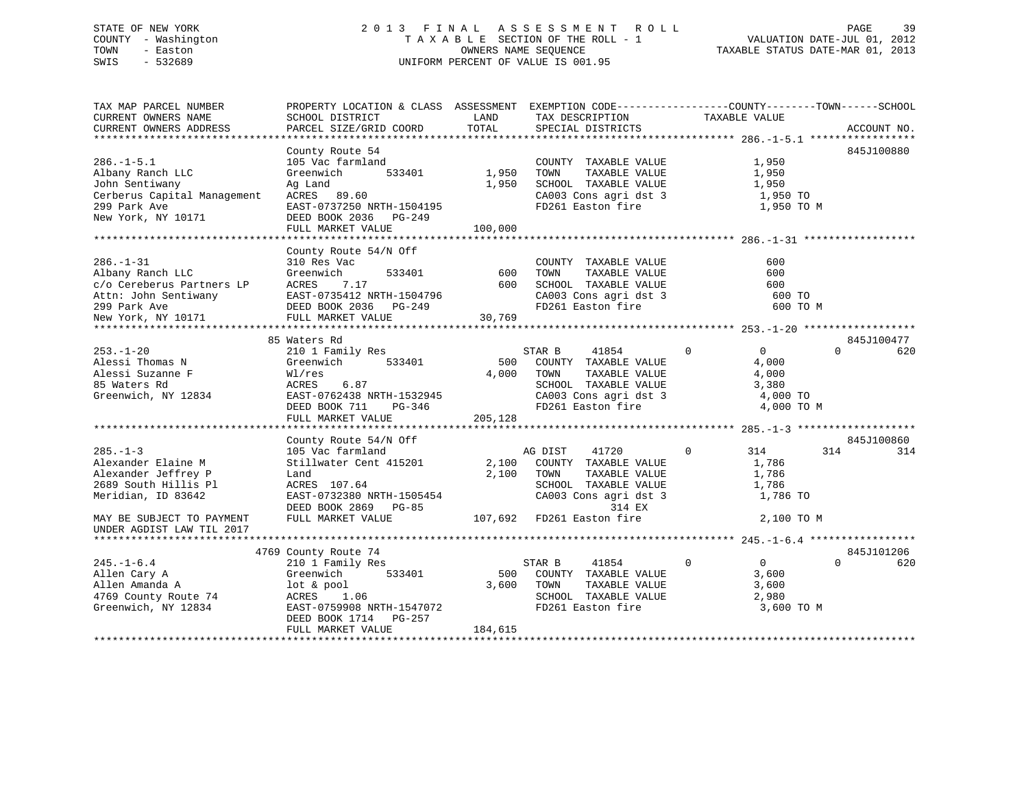# STATE OF NEW YORK 2 0 1 3 F I N A L A S S E S S M E N T R O L L PAGE 39 COUNTY - Washington T A X A B L E SECTION OF THE ROLL - 1 VALUATION DATE-JUL 01, 2012 TOWN - Easton OWNERS NAME SEQUENCE TAXABLE STATUS DATE-MAR 01, 2013 SWIS - 532689 UNIFORM PERCENT OF VALUE IS 001.95

| TAX MAP PARCEL NUMBER                                                                                         | PROPERTY LOCATION & CLASS ASSESSMENT EXEMPTION CODE---------------COUNTY-------TOWN-----SCHOOL |         |                                               |                                  |                 |
|---------------------------------------------------------------------------------------------------------------|------------------------------------------------------------------------------------------------|---------|-----------------------------------------------|----------------------------------|-----------------|
| CURRENT OWNERS NAME                                                                                           | SCHOOL DISTRICT                                                                                | LAND    | TAX DESCRIPTION                               | TAXABLE VALUE                    |                 |
| CURRENT OWNERS ADDRESS                                                                                        | PARCEL SIZE/GRID COORD                                                                         | TOTAL   | SPECIAL DISTRICTS                             |                                  | ACCOUNT NO.     |
|                                                                                                               |                                                                                                |         |                                               |                                  |                 |
|                                                                                                               | County Route 54                                                                                |         |                                               |                                  | 845J100880      |
| $286. - 1 - 5.1$                                                                                              | 105 Vac farmland                                                                               |         | COUNTY TAXABLE VALUE                          | 1,950                            |                 |
| Albany Ranch LLC                                                                                              | 533401<br>Greenwich                                                                            | 1,950   | TOWN<br>TAXABLE VALUE                         | 1,950                            |                 |
| John Sentiwany                                                                                                | Ag Land                                                                                        | 1,950   | SCHOOL TAXABLE VALUE                          | 1,950                            |                 |
| Cerberus Capital Management ACRES 89.60                                                                       |                                                                                                |         | CA003 Cons agri dst 3                         | 1,950 TO                         |                 |
| 299 Park Ave                                                                                                  | EAST-0737250 NRTH-1504195                                                                      |         | FD261 Easton fire                             | 1,950 TO M                       |                 |
| New York, NY 10171                                                                                            | DEED BOOK 2036 PG-249                                                                          |         |                                               |                                  |                 |
|                                                                                                               | FULL MARKET VALUE                                                                              | 100,000 |                                               |                                  |                 |
|                                                                                                               |                                                                                                |         |                                               |                                  |                 |
|                                                                                                               | County Route 54/N Off                                                                          |         |                                               |                                  |                 |
| $286. - 1 - 31$                                                                                               | 310 Res Vac                                                                                    |         | COUNTY TAXABLE VALUE                          | 600                              |                 |
| Albany Ranch LLC                                                                                              | Greenwich<br>533401                                                                            | 600     | TAXABLE VALUE<br>TOWN                         | 600                              |                 |
|                                                                                                               | 7.17                                                                                           | 600     | SCHOOL TAXABLE VALUE                          | 600                              |                 |
|                                                                                                               | EAST-0735412 NRTH-1504796                                                                      |         |                                               | 600 TO                           |                 |
| c/o Cereberus Partners LP     ACRES<br>Attn: John Sentiwany        EAST-0<br>299 Park Ave              DEED B | DEED BOOK 2036<br>PG-249                                                                       |         | CA003 Cons agri dst 3<br>FD261 Easton fire    | 600 TO M                         |                 |
| New York, NY 10171                                                                                            | FULL MARKET VALUE                                                                              | 30,769  |                                               |                                  |                 |
|                                                                                                               |                                                                                                |         |                                               |                                  |                 |
|                                                                                                               | 85 Waters Rd                                                                                   |         |                                               |                                  | 845J100477      |
| $253. - 1 - 20$                                                                                               | 210 1 Family Res                                                                               |         | STAR B<br>41854                               | $\overline{0}$<br>$\overline{0}$ | $\Omega$<br>620 |
| Alessi Thomas N                                                                                               | 533401<br>Greenwich                                                                            |         | 500 COUNTY TAXABLE VALUE                      | 4,000                            |                 |
| Alessi Suzanne F                                                                                              | Wl/res                                                                                         |         | 4,000 TOWN<br>TAXABLE VALUE                   | 4,000                            |                 |
| 85 Waters Rd                                                                                                  | 6.87<br>ACRES                                                                                  |         | SCHOOL TAXABLE VALUE                          | 3,380                            |                 |
| Greenwich, NY 12834                                                                                           | EAST-0762438 NRTH-1532945                                                                      |         | CA003 Cons agri dst 3                         | 4,000 TO                         |                 |
|                                                                                                               | DEED BOOK 711<br>PG-346                                                                        |         | FD261 Easton fire                             | 4,000 TO M                       |                 |
|                                                                                                               | FULL MARKET VALUE                                                                              | 205,128 |                                               |                                  |                 |
|                                                                                                               |                                                                                                |         |                                               |                                  |                 |
|                                                                                                               | County Route 54/N Off                                                                          |         |                                               |                                  | 845J100860      |
| $285. -1 - 3$                                                                                                 | 105 Vac farmland                                                                               |         | 41720<br>AG DIST                              | $\Omega$<br>314                  | 314<br>314      |
| Alexander Elaine M                                                                                            | Stillwater Cent 415201                                                                         |         | 2,100 COUNTY TAXABLE VALUE                    | 1,786                            |                 |
| Alexander Jeffrey P                                                                                           | Land                                                                                           |         | 2,100 TOWN<br>TAXABLE VALUE                   | 1,786                            |                 |
| 2689 South Hillis Pl                                                                                          | ACRES 107.64                                                                                   |         | SCHOOL TAXABLE VALUE                          | 1,786                            |                 |
| Meridian, ID 83642                                                                                            | EAST-0732380 NRTH-1505454                                                                      |         | SCHOOL TAXABLE VALUE<br>CA003 Cons agri dst 3 | 1,786 TO                         |                 |
|                                                                                                               | DEED BOOK 2869 PG-85                                                                           |         | 314 EX                                        |                                  |                 |
| MAY BE SUBJECT TO PAYMENT                                                                                     | FULL MARKET VALUE                                                                              |         | 107,692 FD261 Easton fire                     | 2,100 TO M                       |                 |
| UNDER AGDIST LAW TIL 2017                                                                                     |                                                                                                |         |                                               |                                  |                 |
|                                                                                                               |                                                                                                |         |                                               |                                  |                 |
|                                                                                                               | 4769 County Route 74                                                                           |         |                                               |                                  | 845J101206      |
| $245. - 1 - 6.4$                                                                                              | 210 1 Family Res                                                                               |         | STAR B<br>41854                               | $\overline{0}$<br>$\overline{0}$ | $\Omega$<br>620 |
| Allen Cary A                                                                                                  | 533401<br>Greenwich                                                                            | 500     | COUNTY TAXABLE VALUE                          | 3,600                            |                 |
| Allen Amanda A                                                                                                | lot & pool                                                                                     | 3,600   | TAXABLE VALUE<br>TOWN                         | 3,600                            |                 |
| 4769 County Route 74                                                                                          | ACRES 1.06                                                                                     |         | SCHOOL TAXABLE VALUE                          | 2,980                            |                 |
| Greenwich, NY 12834                                                                                           | EAST-0759908 NRTH-1547072                                                                      |         | FD261 Easton fire                             | 3,600 TO M                       |                 |
|                                                                                                               | DEED BOOK 1714 PG-257                                                                          |         |                                               |                                  |                 |
|                                                                                                               | FULL MARKET VALUE                                                                              | 184,615 |                                               |                                  |                 |
|                                                                                                               |                                                                                                |         |                                               |                                  |                 |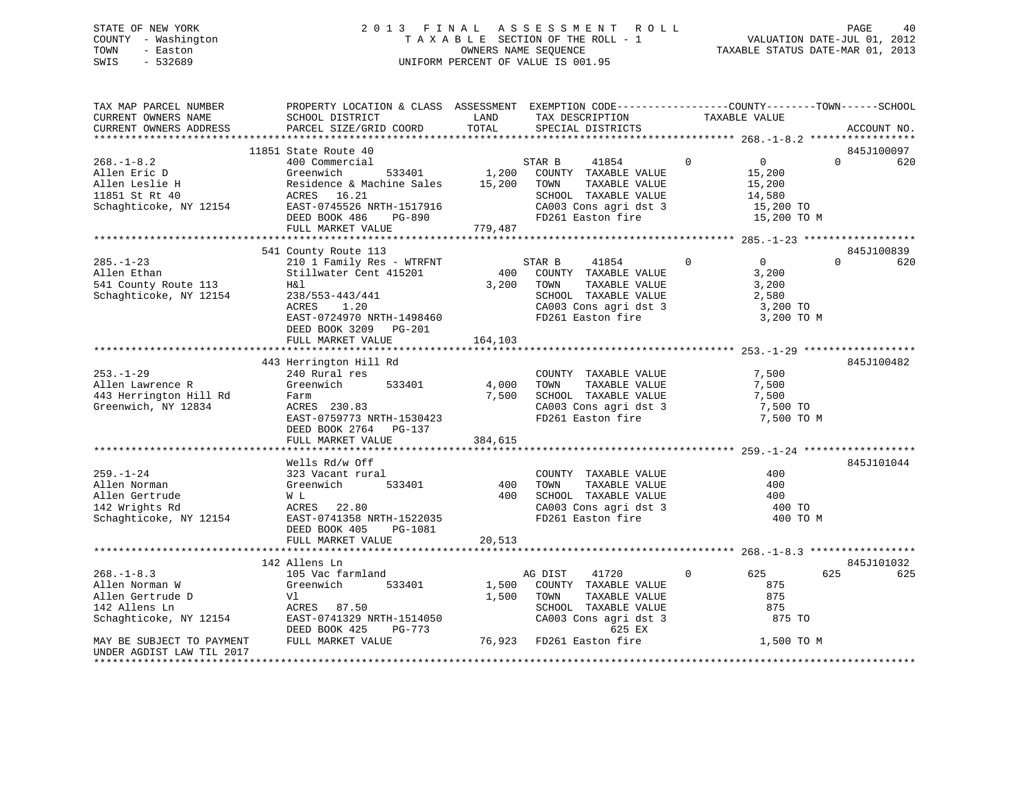# STATE OF NEW YORK 2 0 1 3 F I N A L A S S E S S M E N T R O L L PAGE 40 COUNTY - Washington T A X A B L E SECTION OF THE ROLL - 1 VALUATION DATE-JUL 01, 2012 TOWN - Easton **CONNERS NAME SEQUENCE** TAXABLE STATUS DATE-MAR 01, 2013 SWIS - 532689 UNIFORM PERCENT OF VALUE IS 001.95

| TAX MAP PARCEL NUMBER<br>CURRENT OWNERS NAME<br>CURRENT OWNERS ADDRESS                                                         | PROPERTY LOCATION & CLASS ASSESSMENT EXEMPTION CODE----------------COUNTY-------TOWN------SCHOOL<br>SCHOOL DISTRICT<br>PARCEL SIZE/GRID COORD                                  | LAND<br>TOTAL             | TAX DESCRIPTION<br>SPECIAL DISTRICTS                                                                                                                     | TAXABLE VALUE                                                  | ACCOUNT NO.                                             |
|--------------------------------------------------------------------------------------------------------------------------------|--------------------------------------------------------------------------------------------------------------------------------------------------------------------------------|---------------------------|----------------------------------------------------------------------------------------------------------------------------------------------------------|----------------------------------------------------------------|---------------------------------------------------------|
|                                                                                                                                |                                                                                                                                                                                |                           |                                                                                                                                                          |                                                                |                                                         |
|                                                                                                                                | 11851 State Route 40                                                                                                                                                           |                           |                                                                                                                                                          |                                                                | 845J100097                                              |
| $268. - 1 - 8.2$<br>Allen Eric D<br>Allen Leslie H<br>11851 St Rt 40<br>Schaghticoke, NY 12154                                 | 400 Commercial<br>Greenwich<br>533401<br>Residence & Machine Sales 15,200<br>ACRES 16.21<br>EAST-0745526 NRTH-1517916<br>DEED BOOK 486<br>PG-890                               |                           | STAR B<br>41854<br>1,200 COUNTY TAXABLE VALUE<br>TOWN<br>TAXABLE VALUE<br>SCHOOL TAXABLE VALUE<br>CA003 Cons agri dst 3<br>FD261 Easton fire             | $\overline{0}$<br>$\overline{0}$<br>15,200<br>15,200<br>14,580 | $\Omega$<br>620<br>15,200 TO<br>15,200 TO M             |
|                                                                                                                                | FULL MARKET VALUE                                                                                                                                                              | 779,487                   |                                                                                                                                                          |                                                                |                                                         |
|                                                                                                                                | 541 County Route 113                                                                                                                                                           |                           |                                                                                                                                                          |                                                                | 845J100839                                              |
| $285. - 1 - 23$<br>Allen Ethan<br>541 County Route 113<br>Schaghticoke, NY 12154                                               | 210 1 Family Res - WTRFNT<br>Stillwater Cent 415201<br>H&l<br>238/553-443/441<br>ACRES<br>1.20<br>EAST-0724970 NRTH-1498460<br>DEED BOOK 3209<br>$PG-201$<br>FULL MARKET VALUE | 400<br>3,200<br>164,103   | STAR B<br>41854<br>COUNTY TAXABLE VALUE<br>TOWN<br>TAXABLE VALUE<br>SCHOOL TAXABLE VALUE<br>CA003 Cons agri dst 3<br>FD261 Easton fire                   | $\Omega$<br>$\Omega$<br>3,200<br>3,200<br>2,580                | $\Omega$<br>620<br>3,200 TO<br>3,200 TO M               |
|                                                                                                                                |                                                                                                                                                                                |                           |                                                                                                                                                          |                                                                |                                                         |
| $253. - 1 - 29$<br>Allen Lawrence R<br>443 Herrington Hill Rd<br>Greenwich, NY 12834                                           | 443 Herrington Hill Rd<br>240 Rural res<br>Greenwich 533401<br>Farm<br>ACRES 230.83<br>EAST-0759773 NRTH-1530423<br>DEED BOOK 2764 PG-137<br>FULL MARKET VALUE                 | 4,000<br>7,500<br>384,615 | COUNTY TAXABLE VALUE<br>TOWN<br>TAXABLE VALUE<br>SCHOOL TAXABLE VALUE<br>CA003 Cons agri dst 3<br>FD261 Easton fire                                      | 7,500<br>7,500<br>7,500                                        | 845J100482<br>7,500 TO<br>7,500 TO M                    |
|                                                                                                                                |                                                                                                                                                                                |                           |                                                                                                                                                          |                                                                |                                                         |
| $259. - 1 - 24$<br>Allen Norman<br>Allen Gertrude<br>142 Wrights Rd<br>Schaghticoke, NY 12154                                  | Wells Rd/w Off<br>323 Vacant rural<br>533401<br>Greenwich<br>W L<br>ACRES 22.80<br>EAST-0741358 NRTH-1522035<br>DEED BOOK 405<br>PG-1081                                       | 400<br>400                | COUNTY TAXABLE VALUE<br>TAXABLE VALUE<br>TOWN<br>SCHOOL TAXABLE VALUE<br>CA003 Cons agri dst 3<br>FD261 Easton fire                                      | 400                                                            | 845J101044<br>400<br>400<br>400 TO<br>400 TO M          |
|                                                                                                                                | FULL MARKET VALUE                                                                                                                                                              | 20,513                    |                                                                                                                                                          |                                                                |                                                         |
|                                                                                                                                |                                                                                                                                                                                |                           |                                                                                                                                                          |                                                                |                                                         |
|                                                                                                                                | 142 Allens Ln                                                                                                                                                                  |                           |                                                                                                                                                          |                                                                | 845J101032                                              |
| $268. - 1 - 8.3$<br>Allen Norman W<br>Allen Gertrude D<br>142 Allens Ln<br>Schaghticoke, NY 12154<br>MAY BE SUBJECT TO PAYMENT | 105 Vac farmland<br>Greenwich<br>533401<br>Vl<br>ACRES 87.50<br>EAST-0741329 NRTH-1514050<br>DEED BOOK 425<br>PG-773<br>FULL MARKET VALUE                                      | 1,500<br>1,500            | 41720<br>AG DIST<br>COUNTY TAXABLE VALUE<br>TOWN<br>TAXABLE VALUE<br>SCHOOL TAXABLE VALUE<br>CA003 Cons agri dst 3<br>625 EX<br>76,923 FD261 Easton fire | $\Omega$<br>625                                                | 625<br>625<br>875<br>875<br>875<br>875 TO<br>1,500 TO M |
| UNDER AGDIST LAW TIL 2017                                                                                                      |                                                                                                                                                                                |                           |                                                                                                                                                          |                                                                |                                                         |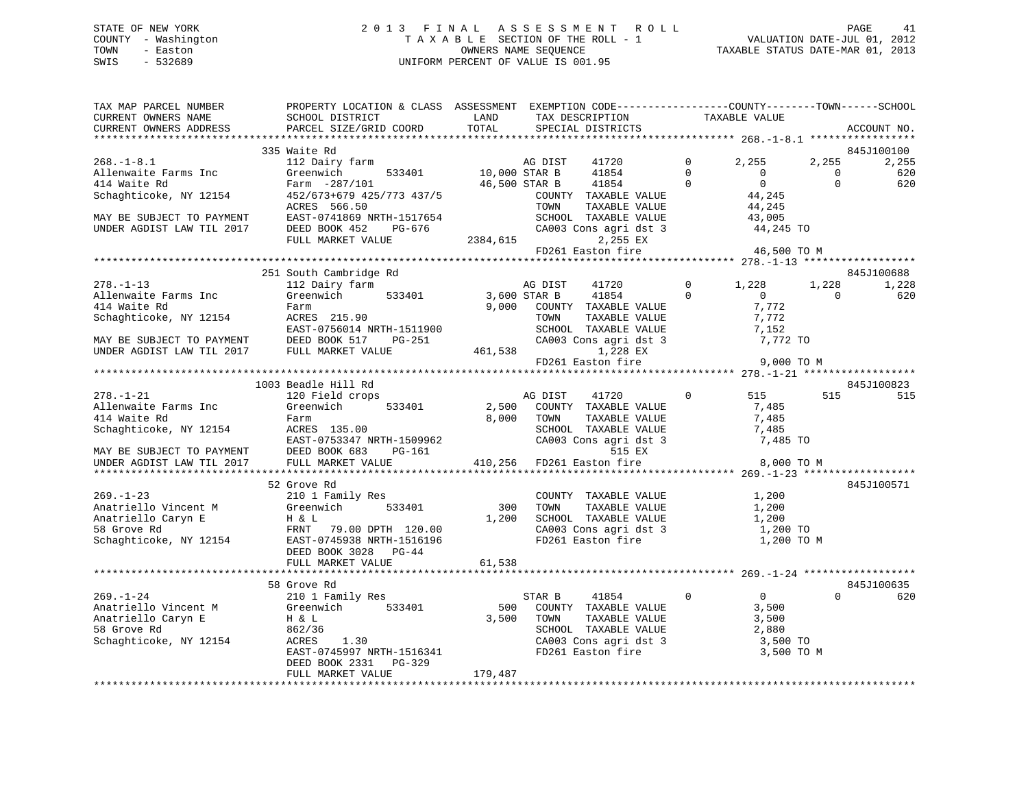# STATE OF NEW YORK 2 0 1 3 F I N A L A S S E S S M E N T R O L L PAGE 41 COUNTY - Washington T A X A B L E SECTION OF THE ROLL - 1 VALUATION DATE-JUL 01, 2012 TOWN - Easton OWNERS NAME SEQUENCE TAXABLE STATUS DATE-MAR 01, 2013 SWIS - 532689 UNIFORM PERCENT OF VALUE IS 001.95

| TAX MAP PARCEL NUMBER<br>CURRENT OWNERS NAME<br>CURRENT OWNERS ADDRESS                                | PROPERTY LOCATION & CLASS ASSESSMENT EXEMPTION CODE----------------COUNTY-------TOWN-----SCHOOL<br>SCHOOL DISTRICT<br>PARCEL SIZE/GRID COORD  | LAND<br>TOTAL  | TAX DESCRIPTION<br>SPECIAL DISTRICTS                                            | TAXABLE VALUE    |                              | ACCOUNT NO.         |
|-------------------------------------------------------------------------------------------------------|-----------------------------------------------------------------------------------------------------------------------------------------------|----------------|---------------------------------------------------------------------------------|------------------|------------------------------|---------------------|
|                                                                                                       |                                                                                                                                               |                |                                                                                 |                  |                              |                     |
| $268. - 1 - 8.1$                                                                                      | 335 Waite Rd<br>112 Dairy farm                                                                                                                |                | AG DIST<br>41720                                                                | $\overline{0}$   | 2,255<br>2,255               | 845J100100<br>2,255 |
| Allenwaite Farms Inc                                                                                  | 533401<br>Greenwich                                                                                                                           | 10,000 STAR B  | 41854                                                                           | $\bigcirc$       | $\overline{0}$<br>$\Omega$   | 620                 |
| 414 Waite Rd                                                                                          | Farm -287/101                                                                                                                                 |                | 46,500 STAR B<br>41854                                                          | $\mathbf 0$      | 0<br>$\Omega$                | 620                 |
| Schaghticoke, NY 12154                                                                                | 452/673+679 425/773 437/5                                                                                                                     |                | COUNTY TAXABLE VALUE                                                            |                  | 44,245                       |                     |
|                                                                                                       | ACRES 566.50                                                                                                                                  |                | TOWN<br>TAXABLE VALUE                                                           |                  | 44,245                       |                     |
| MAY BE SUBJECT TO PAYMENT                                                                             | EAST-0741869 NRTH-1517654                                                                                                                     |                |                                                                                 |                  | 43,005                       |                     |
| UNDER AGDIST LAW TIL 2017                                                                             | DEED BOOK 452<br>PG-676                                                                                                                       |                | SCHOOL TAXABLE VALUE<br>CA003 Cons agri dst 3                                   |                  | 44,245 TO                    |                     |
|                                                                                                       | FULL MARKET VALUE                                                                                                                             | 2384,615       | 2,255 EX                                                                        |                  |                              |                     |
|                                                                                                       |                                                                                                                                               |                | FD261 Easton fire                                                               | 46,500 TO M      |                              |                     |
|                                                                                                       | 251 South Cambridge Rd                                                                                                                        |                |                                                                                 |                  |                              | 845J100688          |
| $278. - 1 - 13$                                                                                       | 112 Dairy farm                                                                                                                                |                | AG DIST<br>41720                                                                | 1,228<br>$\circ$ | 1,228                        | 1,228               |
| Allenwaite Farms Inc                                                                                  | Greenwich<br>533401                                                                                                                           | 3,600 STAR B   | 41854                                                                           | $\Omega$         | $\overline{0}$<br>$\bigcirc$ | 620                 |
| 414 Waite Rd                                                                                          | Farm                                                                                                                                          |                | 9,000 COUNTY TAXABLE VALUE                                                      |                  | 7,772                        |                     |
| Schaghticoke, NY 12154                                                                                | ACRES 215.90                                                                                                                                  |                | TOWN<br>TAXABLE VALUE                                                           |                  | 7,772                        |                     |
|                                                                                                       |                                                                                                                                               |                |                                                                                 |                  | 7,152                        |                     |
|                                                                                                       |                                                                                                                                               |                | TOWN TAXABLE VALUE<br>SCHOOL TAXABLE VALUE<br>CA003 Cons agri dst 3<br>1 229 FY |                  | 7,772 TO                     |                     |
|                                                                                                       | EAST-0756014 NRTH-1511900<br>MAY BE SUBJECT TO PAYMENT DEED BOOK 517 PG-251<br>UNDER AGDIST LAW TIL 2017 FULL MARKET VALUE                    |                | 461,538<br>1,228 EX                                                             |                  |                              |                     |
|                                                                                                       |                                                                                                                                               |                | FD261 Easton fire                                                               |                  | 9,000 TO M                   |                     |
|                                                                                                       |                                                                                                                                               |                |                                                                                 |                  |                              |                     |
|                                                                                                       | 1003 Beadle Hill Rd                                                                                                                           |                |                                                                                 |                  |                              | 845J100823          |
| $278. - 1 - 21$                                                                                       | 120 Field crops                                                                                                                               |                | AG DIST<br>41720                                                                | $\mathbf 0$      | 515<br>515                   | 515                 |
| Allenwaite Farms Inc<br>414 Waite Rd                                                                  | 533401<br>Greenwich<br>Farm                                                                                                                   | 2,500<br>8,000 | COUNTY TAXABLE VALUE<br>TOWN<br>TAXABLE VALUE                                   |                  | 7,485<br>7,485               |                     |
| Schaghticoke, NY 12154                                                                                | ACRES 135.00                                                                                                                                  |                | SCHOOL TAXABLE VALUE                                                            |                  | 7,485                        |                     |
|                                                                                                       |                                                                                                                                               |                | SCHOOL TAXABLE VALUE 7,485<br>CA003 Cons agri dst 3 7,485 TO                    |                  |                              |                     |
|                                                                                                       | ACRES 135.00<br>EAST-0753347 NRTH-1509962<br>--- ---- 100 00 00-161<br>PG-161                                                                 |                | 515 EX                                                                          |                  |                              |                     |
| EAST-0753347 N<br>MAY BE SUBJECT TO PAYMENT DEED BOOK 683<br>UNDER AGDIST LAW TIL 2017 FULL MARKET VA | FULL MARKET VALUE                                                                                                                             |                | 410,256 FD261 Easton fire                                                       |                  | 8,000 TO M                   |                     |
|                                                                                                       |                                                                                                                                               |                |                                                                                 |                  |                              |                     |
|                                                                                                       | 52 Grove Rd                                                                                                                                   |                |                                                                                 |                  |                              | 845J100571          |
| $269. - 1 - 23$                                                                                       | 210 1 Family Res                                                                                                                              |                | COUNTY TAXABLE VALUE 1,200                                                      |                  |                              |                     |
| Anatriello Vincent M                                                                                  | Greenwich<br>533401                                                                                                                           | 300            | TOWN<br>TAXABLE VALUE                                                           |                  | 1,200                        |                     |
|                                                                                                       |                                                                                                                                               | 1,200          | SCHOOL TAXABLE VALUE 1,200                                                      |                  |                              |                     |
|                                                                                                       | Anatriclic vincent R<br>Anatriello Caryn E<br>58 Grove Rd<br>Schaghticoke, NY 12154<br>EAST-0745938 NRTH-1516196<br>EAST-0745938 NRTH-1516196 |                | CA003 Cons agri dst 3                                                           |                  | 1,200 TO                     |                     |
|                                                                                                       |                                                                                                                                               |                | FD261 Easton fire                                                               |                  | 1,200 TO M                   |                     |
|                                                                                                       | DEED BOOK 3028 PG-44<br>FULL MARKET VALUE                                                                                                     | 61,538         |                                                                                 |                  |                              |                     |
|                                                                                                       |                                                                                                                                               |                |                                                                                 |                  |                              |                     |
|                                                                                                       | 58 Grove Rd                                                                                                                                   |                |                                                                                 |                  |                              | 845J100635          |
| $269. - 1 - 24$                                                                                       | 210 1 Family Res                                                                                                                              |                | STAR B<br>41854                                                                 | $\Omega$         | $\overline{0}$<br>$\cap$     | 620                 |
| Anatriello Vincent M                                                                                  | Greenwich<br>533401                                                                                                                           | 500            | COUNTY TAXABLE VALUE                                                            |                  | 3,500                        |                     |
| Anatriello Caryn E                                                                                    | $\,$ H $\,$ & $\,$ L                                                                                                                          | 3,500          | TOWN<br>TAXABLE VALUE                                                           |                  | 3,500                        |                     |
| 58 Grove Rd                                                                                           | 862/36                                                                                                                                        |                | SCHOOL TAXABLE VALUE                                                            | 2,880            |                              |                     |
| Schaghticoke, NY 12154                                                                                | $\frac{1}{2}$ .30<br>ACRES<br>1.30                                                                                                            |                | CA003 Cons agri dst 3<br>FD261 Easton fire                                      |                  | 3,500 TO                     |                     |
|                                                                                                       | EAST-0745997 NRTH-1516341                                                                                                                     |                |                                                                                 |                  | 3,500 TO M                   |                     |
|                                                                                                       | DEED BOOK 2331 PG-329                                                                                                                         |                |                                                                                 |                  |                              |                     |
|                                                                                                       | FULL MARKET VALUE                                                                                                                             | 179,487        |                                                                                 |                  |                              |                     |
|                                                                                                       |                                                                                                                                               |                |                                                                                 |                  |                              |                     |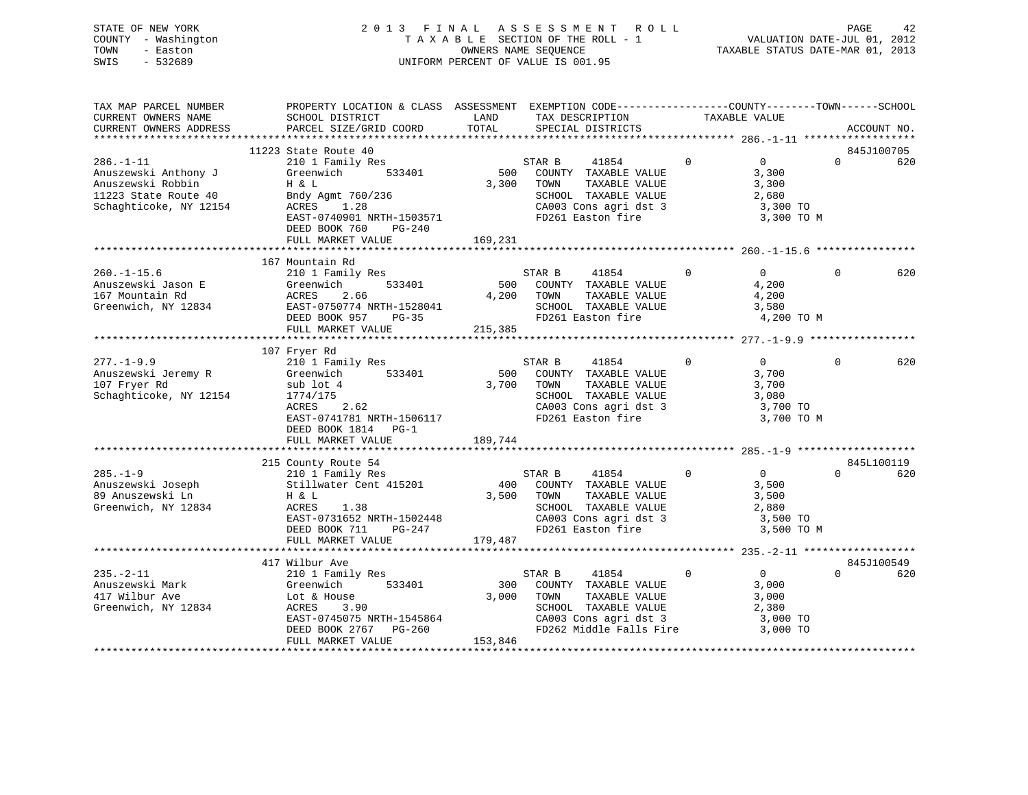| STATE OF NEW YORK   | 2013 FINAL ASSESSMENT ROLL         | 42<br>PAGE                       |
|---------------------|------------------------------------|----------------------------------|
| COUNTY - Washington | TAXABLE SECTION OF THE ROLL - 1    | VALUATION DATE-JUL 01, 2012      |
| TOWN<br>- Easton    | OWNERS NAME SEOUENCE               | TAXABLE STATUS DATE-MAR 01, 2013 |
| $-532689$<br>SWIS   | UNIFORM PERCENT OF VALUE IS 001.95 |                                  |
|                     |                                    |                                  |

| TAX MAP PARCEL NUMBER  | PROPERTY LOCATION & CLASS ASSESSMENT EXEMPTION CODE---------------COUNTY-------TOWN-----SCHOOL |            |                   |                                                                        |               |                   |          |             |
|------------------------|------------------------------------------------------------------------------------------------|------------|-------------------|------------------------------------------------------------------------|---------------|-------------------|----------|-------------|
| CURRENT OWNERS NAME    | SCHOOL DISTRICT                                                                                | LAND       | TAX DESCRIPTION   |                                                                        | TAXABLE VALUE |                   |          |             |
| CURRENT OWNERS ADDRESS | PARCEL SIZE/GRID COORD                                                                         | TOTAL      | SPECIAL DISTRICTS |                                                                        |               |                   |          | ACCOUNT NO. |
|                        |                                                                                                |            |                   |                                                                        |               |                   |          |             |
|                        | 11223 State Route 40                                                                           |            |                   |                                                                        |               |                   |          | 845J100705  |
| $286. - 1 - 11$        | 210 1 Family Res                                                                               |            | STAR B            | 41854                                                                  | $\mathbf{0}$  | $0 \qquad \qquad$ | $\Omega$ | 620         |
| Anuszewski Anthony J   | 533401<br>Greenwich                                                                            | 500        |                   | COUNTY TAXABLE VALUE                                                   |               | 3,300             |          |             |
| Anuszewski Robbin      | H & L                                                                                          | 3,300      | TOWN              | TAXABLE VALUE                                                          |               | 3,300             |          |             |
| 11223 State Route 40   | Bndy Agmt 760/236                                                                              |            |                   | SCHOOL TAXABLE VALUE                                                   |               | 2,680             |          |             |
| Schaghticoke, NY 12154 | ACRES<br>1.28                                                                                  |            |                   | CA003 Cons agri dst 3                                                  |               | 3,300 TO          |          |             |
|                        | EAST-0740901 NRTH-1503571                                                                      |            |                   | FD261 Easton fire                                                      |               | 3,300 TO M        |          |             |
|                        | DEED BOOK 760<br>PG-240                                                                        |            |                   |                                                                        |               |                   |          |             |
|                        | FULL MARKET VALUE                                                                              | 169,231    |                   |                                                                        |               |                   |          |             |
|                        |                                                                                                |            |                   |                                                                        |               |                   |          |             |
|                        | 167 Mountain Rd                                                                                |            |                   |                                                                        |               |                   |          |             |
| $260. - 1 - 15.6$      | 210 1 Family Res                                                                               |            | STAR B            | 41854                                                                  | $\mathbf{0}$  | $\overline{0}$    | $\Omega$ | 620         |
| Anuszewski Jason E     | 533401<br>Greenwich                                                                            |            |                   | 500 COUNTY TAXABLE VALUE                                               |               | 4,200             |          |             |
| 167 Mountain Rd        | 2.66<br>ACRES                                                                                  | 4,200 TOWN |                   | TAXABLE VALUE                                                          |               | 4,200             |          |             |
| Greenwich, NY 12834    | ACRES       2.66<br>EAST-0750774  NRTH-1528041                                                 |            |                   | SCHOOL TAXABLE VALUE                                                   |               | 3,580             |          |             |
|                        | DEED BOOK 957<br>$PG-35$                                                                       |            | FD261 Easton fire |                                                                        |               | 4,200 TO M        |          |             |
|                        | FULL MARKET VALUE                                                                              | 215,385    |                   |                                                                        |               |                   |          |             |
|                        |                                                                                                |            |                   |                                                                        |               |                   |          |             |
|                        | 107 Fryer Rd                                                                                   |            |                   |                                                                        |               |                   |          |             |
| $277. - 1 - 9.9$       | 210 1 Family Res                                                                               |            | STAR B            | 41854                                                                  | $\mathbf 0$   | $\overline{0}$    | $\Omega$ | 620         |
| Anuszewski Jeremy R    | Greenwich<br>533401                                                                            |            |                   | 500 COUNTY TAXABLE VALUE                                               |               | 3,700             |          |             |
| 107 Fryer Rd           | sub lot 4                                                                                      |            | 3,700 TOWN        | TAXABLE VALUE                                                          |               | 3,700             |          |             |
| Schaghticoke, NY 12154 | 1774/175                                                                                       |            |                   | SCHOOL TAXABLE VALUE                                                   |               | 3,080             |          |             |
|                        | 2.62<br>ACRES                                                                                  |            |                   | CA003 Cons agri dst 3                                                  |               | 3,700 TO          |          |             |
|                        | EAST-0741781 NRTH-1506117                                                                      |            |                   | FD261 Easton fire                                                      |               | 3,700 TO M        |          |             |
|                        | DEED BOOK 1814 PG-1                                                                            |            |                   |                                                                        |               |                   |          |             |
|                        | FULL MARKET VALUE                                                                              | 189,744    |                   |                                                                        |               |                   |          |             |
|                        |                                                                                                |            |                   |                                                                        |               |                   |          |             |
|                        | 215 County Route 54                                                                            |            |                   |                                                                        |               |                   |          | 845L100119  |
| $285. - 1 - 9$         | 210 1 Family Res                                                                               |            | STAR B            | 41854                                                                  | $\mathbf{0}$  | $\overline{0}$    | $\Omega$ | 620         |
| Anuszewski Joseph      | Stillwater Cent 415201                                                                         |            |                   | 400 COUNTY TAXABLE VALUE                                               |               | 3,500             |          |             |
|                        |                                                                                                |            |                   |                                                                        |               |                   |          |             |
| 89 Anuszewski Ln       | H & L                                                                                          | 3,500 TOWN |                   | TAXABLE VALUE                                                          |               | 3,500             |          |             |
| Greenwich, NY 12834    | ACRES<br>1.38                                                                                  |            |                   | SCHOOL TAXABLE VALUE<br>CA003 Cons agri dst 3 3,500 TO                 |               | 2,880             |          |             |
|                        | EAST-0731652 NRTH-1502448                                                                      |            |                   |                                                                        |               |                   |          |             |
|                        | DEED BOOK 711 PG-247                                                                           |            |                   | FD261 Easton fire                                                      |               | 3,500 TO M        |          |             |
|                        | FULL MARKET VALUE                                                                              | 179,487    |                   |                                                                        |               |                   |          |             |
|                        |                                                                                                |            |                   |                                                                        |               |                   |          |             |
|                        | 417 Wilbur Ave                                                                                 |            |                   |                                                                        |               |                   |          | 845J100549  |
| $235. - 2 - 11$        | 210 1 Family Res                                                                               |            | STAR B            | 41854                                                                  | $\mathbf 0$   | $\overline{0}$    | $\Omega$ | 620         |
| Anuszewski Mark        | 533401<br>Greenwich                                                                            | 300        |                   | COUNTY TAXABLE VALUE                                                   |               | 3,000             |          |             |
| 417 Wilbur Ave         | Lot & House                                                                                    | 3,000      | TOWN              | TAXABLE VALUE                                                          |               | 3,000             |          |             |
| Greenwich, NY 12834    | 3.90<br>ACRES                                                                                  |            |                   | SCHOOL TAXABLE VALUE                                                   |               | 2,380             |          |             |
|                        | EAST-0745075 NRTH-1545864<br>DEED BOOK 2767 DG-260                                             |            |                   | CA003 Cons agri dst 3 and 3,000 TO<br>FD262 Middle Falls Fire 3,000 TO |               |                   |          |             |
|                        | DEED BOOK 2767 PG-260                                                                          |            |                   |                                                                        |               |                   |          |             |
|                        | FULL MARKET VALUE                                                                              | 153,846    |                   |                                                                        |               |                   |          |             |
|                        |                                                                                                |            |                   |                                                                        |               |                   |          |             |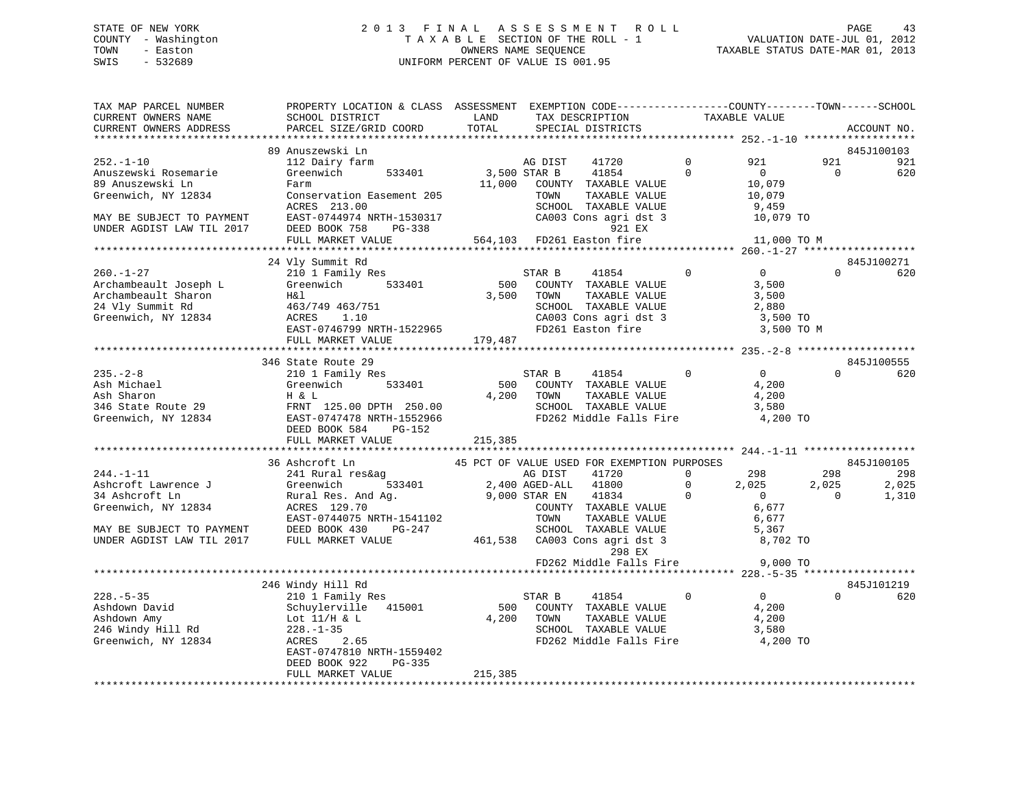# STATE OF NEW YORK 2 0 1 3 F I N A L A S S E S S M E N T R O L L PAGE 43 COUNTY - Washington T A X A B L E SECTION OF THE ROLL - 1 VALUATION DATE-JUL 01, 2012 TOWN - Easton **CONNERS NAME SEQUENCE** TAXABLE STATUS DATE-MAR 01, 2013 SWIS - 532689 UNIFORM PERCENT OF VALUE IS 001.95

| TAX MAP PARCEL NUMBER<br>CURRENT OWNERS NAME<br>CURRENT OWNERS ADDRESS                                                                       | PROPERTY LOCATION & CLASS ASSESSMENT EXEMPTION CODE----------------COUNTY-------TOWN------SCHOOL<br>SCHOOL DISTRICT<br>PARCEL SIZE/GRID COORD                                                                                                           | LAND<br>TOTAL          | TAX DESCRIPTION<br>SPECIAL DISTRICTS                                                                                                                                                                                                                                                                                                     | TAXABLE VALUE                        |                                                                                       | ACCOUNT NO.                                     |
|----------------------------------------------------------------------------------------------------------------------------------------------|---------------------------------------------------------------------------------------------------------------------------------------------------------------------------------------------------------------------------------------------------------|------------------------|------------------------------------------------------------------------------------------------------------------------------------------------------------------------------------------------------------------------------------------------------------------------------------------------------------------------------------------|--------------------------------------|---------------------------------------------------------------------------------------|-------------------------------------------------|
| *********************                                                                                                                        | ***************************                                                                                                                                                                                                                             |                        |                                                                                                                                                                                                                                                                                                                                          |                                      |                                                                                       |                                                 |
| $252. - 1 - 10$<br>Anuszewski Rosemarie<br>89 Anuszewski Ln<br>Greenwich, NY 12834<br>MAY BE SUBJECT TO PAYMENT<br>UNDER AGDIST LAW TIL 2017 | 89 Anuszewski Ln<br>112 Dairy farm<br>Greenwich 533401<br>Farm<br>Conservation Easement 205<br>ACRES 213.00<br>EAST-0744974 NRTH-1530317<br>DEED BOOK 758<br>PG-338<br>FULL MARKET VALUE                                                                | 3,500 STAR B<br>11,000 | 41720<br>AG DIST<br>41854<br>COUNTY TAXABLE VALUE<br>TOWN<br>TAXABLE VALUE<br>SCHOOL TAXABLE VALUE<br>CA003 Cons agri dst 3<br>921 EX<br>564,103 FD261 Easton fire                                                                                                                                                                       | $\Omega$<br>$\Omega$                 | 921<br>921<br>$\overline{0}$<br>10,079<br>10,079<br>9,459<br>10,079 TO<br>11,000 TO M | 845J100103<br>921<br>$\mathbf 0$<br>620         |
|                                                                                                                                              |                                                                                                                                                                                                                                                         |                        |                                                                                                                                                                                                                                                                                                                                          |                                      |                                                                                       |                                                 |
| $260. - 1 - 27$<br>Archambeault Joseph L<br>Archambeault Sharon<br>24 Vly Summit Rd<br>Greenwich, NY 12834                                   | 24 Vly Summit Rd<br>210 1 Family Res<br>Greenwich 533401<br>H&l<br>463/749 463/751<br>ACRES 1.10                                                                                                                                                        | 500<br>3,500           | STAR B<br>41854<br>COUNTY TAXABLE VALUE<br>TOWN<br>TAXABLE VALUE<br>SCHOOL TAXABLE VALUE<br>CA003 Cons agri dst 3<br>FD261 Easton fire                                                                                                                                                                                                   | $\overline{0}$                       | $\overline{0}$<br>3,500<br>3,500<br>2,880<br>3,500 TO<br>3,500 TO M                   | 845J100271<br>$\Omega$<br>620                   |
|                                                                                                                                              |                                                                                                                                                                                                                                                         |                        |                                                                                                                                                                                                                                                                                                                                          |                                      |                                                                                       |                                                 |
| $235. - 2 - 8$<br>Ash Michael<br>Ash Sharon                                                                                                  | 346 State Route 29<br>210 1 Family Res<br>Greenwich<br>533401<br>H & L<br>346 State Route 29<br>Greenwich, NY 12834<br>EAST-0747474 2128781 NRTH-1552966<br>DEED BOOK 584<br>PG-152<br>FULL MARKET VALUE                                                | 4,200<br>215,385       | 41854 0<br>STAR B<br>500 COUNTY TAXABLE VALUE<br>TOWN<br>TAXABLE VALUE<br>SCHOOL TAXABLE VALUE<br>FD262 Middle Falls Fire                                                                                                                                                                                                                |                                      | $\overline{0}$<br>4,200<br>4,200<br>3,580<br>4,200 TO                                 | 845J100555<br>$\Omega$<br>620                   |
|                                                                                                                                              |                                                                                                                                                                                                                                                         |                        |                                                                                                                                                                                                                                                                                                                                          |                                      |                                                                                       |                                                 |
| $244. -1 - 11$                                                                                                                               | 36 Ashcroft Ln<br>241 Rural res&ag<br>Example 1 and 21 and 21 and 21 and 233401<br>34 Ashcroft Lawrence J<br>Greenwich, NY 12834<br>ACRES 129.70<br>MAY BE SUBJECT TO PAYMENT<br>DEED BOOK 430 PG-247<br>UNDER AGDIST LAW TIL 2017<br>FULL MARKET VALUE |                        | 45 PCT OF VALUE USED FOR EXEMPTION PURPOSES<br>AG DIST<br>41720<br>$\begin{tabular}{ccccc} & $533401$ & & $2,400$ AGED-ALL & $41800$ \\ And Ag. & & & $9,000$ STAR EN & $41834$ \\ \end{tabular}$<br>41834<br>COUNTY TAXABLE VALUE<br>TOWN<br>TAXABLE VALUE<br>SCHOOL TAXABLE VALUE<br>461,538 CA003 Cons agri dst 3<br>298 FX<br>298 EX | $\Omega$<br>$\mathbf{0}$<br>$\Omega$ | 298<br>298<br>2,025<br>2,025<br>$\overline{0}$<br>6,677<br>6,677<br>5,367<br>8,702 TO | 845J100105<br>298<br>2,025<br>1,310<br>$\Omega$ |
|                                                                                                                                              |                                                                                                                                                                                                                                                         |                        | FD262 Middle Falls Fire                                                                                                                                                                                                                                                                                                                  |                                      | 9,000 TO                                                                              |                                                 |
| $228. - 5 - 35$<br>Ashdown David<br>Ashdown Amy<br>246 Windy Hill Rd<br>Greenwich, NY 12834                                                  | 246 Windy Hill Rd<br>210 1 Family Res<br>Schuylerville 415001<br>Lot 11/H & L<br>$228. - 1 - 35$<br>ACRES<br>2.65<br>EAST-0747810 NRTH-1559402<br>DEED BOOK 922<br>PG-335                                                                               | 4,200 TOWN             | 41854<br>STAR B<br>500 COUNTY TAXABLE VALUE<br>TAXABLE VALUE<br>SCHOOL TAXABLE VALUE<br>FD262 Middle Falls Fire                                                                                                                                                                                                                          | $\Omega$                             | $\overline{0}$<br>4,200<br>4,200<br>3,580<br>4,200 TO                                 | 845J101219<br>$\Omega$<br>620                   |
|                                                                                                                                              | FULL MARKET VALUE                                                                                                                                                                                                                                       | 215,385                |                                                                                                                                                                                                                                                                                                                                          |                                      |                                                                                       |                                                 |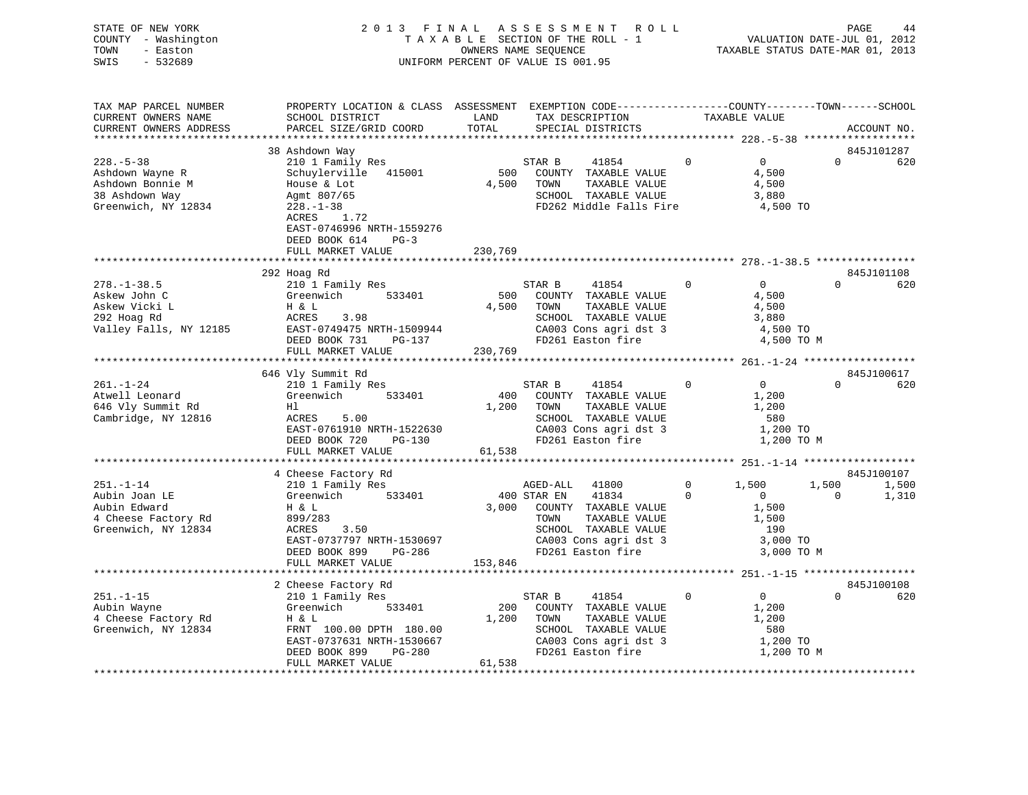| STATE OF NEW YORK<br>COUNTY - Washington | 2013 FINAL                                                                                      |         | A S S E S S M E N T<br>R O L L<br>TAXABLE SECTION OF THE ROLL - 1 |             | VALUATION DATE-JUL 01, 2012      | PAGE     | 44          |
|------------------------------------------|-------------------------------------------------------------------------------------------------|---------|-------------------------------------------------------------------|-------------|----------------------------------|----------|-------------|
| TOWN<br>- Easton                         | OWNERS NAME SEOUENCE                                                                            |         |                                                                   |             | TAXABLE STATUS DATE-MAR 01, 2013 |          |             |
| SWIS<br>$-532689$                        |                                                                                                 |         | UNIFORM PERCENT OF VALUE IS 001.95                                |             |                                  |          |             |
|                                          |                                                                                                 |         |                                                                   |             |                                  |          |             |
|                                          |                                                                                                 |         |                                                                   |             |                                  |          |             |
| TAX MAP PARCEL NUMBER                    | PROPERTY LOCATION & CLASS ASSESSMENT EXEMPTION CODE----------------COUNTY-------TOWN-----SCHOOL |         |                                                                   |             |                                  |          |             |
| CURRENT OWNERS NAME                      | SCHOOL DISTRICT                                                                                 | LAND    | TAX DESCRIPTION                                                   |             | TAXABLE VALUE                    |          |             |
| CURRENT OWNERS ADDRESS                   | PARCEL SIZE/GRID COORD                                                                          | TOTAL   | SPECIAL DISTRICTS                                                 |             |                                  |          | ACCOUNT NO. |
|                                          |                                                                                                 |         |                                                                   |             |                                  |          |             |
|                                          | 38 Ashdown Way                                                                                  |         |                                                                   |             |                                  |          | 845J101287  |
| $228. - 5 - 38$                          | 210 1 Family Res                                                                                |         | STAR B<br>41854                                                   | $\Omega$    | $\Omega$                         | $\Omega$ | 620         |
| Ashdown Wayne R                          | Schuylerville 415001                                                                            | 500     | COUNTY TAXABLE VALUE                                              |             | 4,500                            |          |             |
| Ashdown Bonnie M                         | House & Lot                                                                                     | 4,500   | TOWN<br>TAXABLE VALUE                                             |             | 4,500                            |          |             |
| 38 Ashdown Way                           | Agmt 807/65                                                                                     |         | SCHOOL TAXABLE VALUE                                              |             | 3,880                            |          |             |
| Greenwich, NY 12834                      | $228. - 1 - 38$                                                                                 |         | FD262 Middle Falls Fire                                           |             | 4,500 TO                         |          |             |
|                                          | ACRES<br>1.72                                                                                   |         |                                                                   |             |                                  |          |             |
|                                          | EAST-0746996 NRTH-1559276                                                                       |         |                                                                   |             |                                  |          |             |
|                                          | DEED BOOK 614<br>$PG-3$                                                                         |         |                                                                   |             |                                  |          |             |
|                                          | FULL MARKET VALUE                                                                               | 230,769 |                                                                   |             |                                  |          |             |
|                                          |                                                                                                 |         |                                                                   |             |                                  |          |             |
|                                          | 292 Hoag Rd                                                                                     |         |                                                                   |             |                                  |          | 845J101108  |
| $278. - 1 - 38.5$                        | 210 1 Family Res                                                                                |         | STAR B<br>41854                                                   | $\Omega$    | $\Omega$                         | $\Omega$ | 620         |
| Askew John C                             | Greenwich<br>533401                                                                             |         | 500 COUNTY TAXABLE VALUE                                          |             | 4,500                            |          |             |
| Askew Vicki L                            | H & L                                                                                           | 4,500   | TOWN<br>TAXABLE VALUE                                             |             | 4,500                            |          |             |
| 292 Hoag Rd                              | ACRES<br>3.98                                                                                   |         | SCHOOL TAXABLE VALUE                                              |             | 3,880                            |          |             |
| Valley Falls, NY 12185                   | EAST-0749475 NRTH-1509944                                                                       |         | CA003 Cons agri dst 3                                             |             | 4,500 TO                         |          |             |
|                                          | DEED BOOK 731<br>PG-137                                                                         |         | FD261 Easton fire                                                 |             | 4,500 TO M                       |          |             |
|                                          | FULL MARKET VALUE                                                                               | 230,769 |                                                                   |             |                                  |          |             |
|                                          |                                                                                                 |         |                                                                   |             |                                  |          |             |
|                                          | 646 Vly Summit Rd                                                                               |         |                                                                   |             |                                  |          | 845J100617  |
| $261. - 1 - 24$                          | 210 1 Family Res                                                                                |         | STAR B<br>41854                                                   | $\Omega$    | $\Omega$                         | $\Omega$ | 620         |
| Atwell Leonard                           | Greenwich<br>533401                                                                             | 400     | COUNTY TAXABLE VALUE                                              |             | 1,200                            |          |             |
| 646 Vly Summit Rd                        | Hl                                                                                              | 1,200   | TOWN<br>TAXABLE VALUE                                             |             | 1,200                            |          |             |
| Cambridge, NY 12816                      | 5.00<br>ACRES                                                                                   |         | SCHOOL TAXABLE VALUE                                              |             | 580                              |          |             |
|                                          | EAST-0761910 NRTH-1522630                                                                       |         | CA003 Cons agri dst 3                                             |             | 1,200 TO                         |          |             |
|                                          | DEED BOOK 720<br>$PG-130$                                                                       |         | FD261 Easton fire                                                 |             | 1,200 TO M                       |          |             |
|                                          | FULL MARKET VALUE                                                                               | 61,538  |                                                                   |             |                                  |          |             |
|                                          |                                                                                                 |         |                                                                   |             |                                  |          |             |
|                                          | 4 Cheese Factory Rd                                                                             |         |                                                                   |             |                                  |          | 845J100107  |
| $251. - 1 - 14$                          | 210 1 Family Res                                                                                |         | AGED-ALL<br>41800                                                 | $\mathbf 0$ | 1,500                            | 1,500    | 1,500       |
| Aubin Joan LE                            | Greenwich<br>533401                                                                             |         | 400 STAR EN<br>41834                                              | $\Omega$    | $\overline{0}$                   | $\Omega$ | 1,310       |
| Aubin Edward                             | H & L                                                                                           | 3,000   | COUNTY TAXABLE VALUE                                              |             | 1,500                            |          |             |
| 4 Cheese Factory Rd                      | 899/283                                                                                         |         | TAXABLE VALUE<br>TOWN                                             |             | 1,500                            |          |             |
| Greenwich, NY 12834                      | 3.50<br>ACRES                                                                                   |         | SCHOOL TAXABLE VALUE                                              |             | 190                              |          |             |
|                                          | EAST-0737797 NRTH-1530697                                                                       |         | CA003 Cons agri dst 3                                             |             | 3,000 TO                         |          |             |
|                                          | DEED BOOK 899<br>PG-286                                                                         |         | FD261 Easton fire                                                 |             | 3,000 TO M                       |          |             |

\*\*\*\*\*\*\*\*\*\*\*\*\*\*\*\*\*\*\*\*\*\*\*\*\*\*\*\*\*\*\*\*\*\*\*\*\*\*\*\*\*\*\*\*\*\*\*\*\*\*\*\*\*\*\*\*\*\*\*\*\*\*\*\*\*\*\*\*\*\*\*\*\*\*\*\*\*\*\*\*\*\*\*\*\*\*\*\*\*\*\*\*\*\*\*\*\*\*\*\*\*\*\* 251.-1-15 \*\*\*\*\*\*\*\*\*\*\*\*\*\*\*\*\*\*

\*\*\*\*\*\*\*\*\*\*\*\*\*\*\*\*\*\*\*\*\*\*\*\*\*\*\*\*\*\*\*\*\*\*\*\*\*\*\*\*\*\*\*\*\*\*\*\*\*\*\*\*\*\*\*\*\*\*\*\*\*\*\*\*\*\*\*\*\*\*\*\*\*\*\*\*\*\*\*\*\*\*\*\*\*\*\*\*\*\*\*\*\*\*\*\*\*\*\*\*\*\*\*\*\*\*\*\*\*\*\*\*\*\*\*\*\*\*\*\*\*\*\*\*\*\*\*\*\*\*\*\*

2 Cheese Factory Rd 845J100108

 EAST-0737631 NRTH-1530667 CA003 Cons agri dst 3 1,200 TO DEED BOOK 899 PG-280 FD261 Easton fire 1,200 TO M 845J100108

FULL MARKET VALUE 153,846

FULL MARKET VALUE 61,538

FRNT 100.00 DPTH 180.00

251.-1-15 210 1 Family Res STAR B 41854 0 0 0 620 Aubin Wayne Greenwich 533401 200 COUNTY TAXABLE VALUE 1,200 4 Cheese Factory Rd H & L 1,200 TOWN TAXABLE VALUE 1,200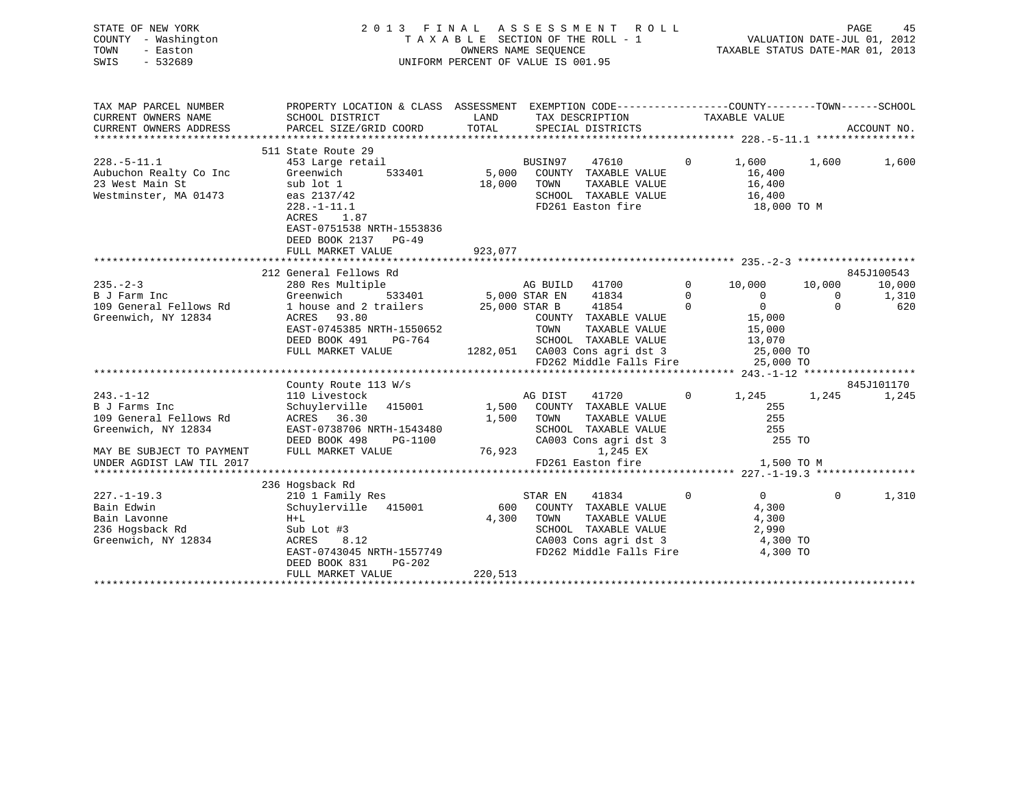| STATE OF NEW YORK<br>COUNTY - Washington<br>TOWN<br>- Easton<br>SWIS<br>$-532689$         | 2013 FINAL ASSESSMENT ROLL<br>UNIFORM PERCENT OF VALUE IS 001.95                                                                                                                  |                      | FINAL ASSESSMENT ROLL PAGE 45<br>TAXABLE SECTION OF THE ROLL - 1 VALUATION DATE-JUL 01, 2012<br>OWNERS NAME SEQUENCE TAXABLE STATUS DATE-MAR 01, 2013               |                |                                                           |             |                      |
|-------------------------------------------------------------------------------------------|-----------------------------------------------------------------------------------------------------------------------------------------------------------------------------------|----------------------|---------------------------------------------------------------------------------------------------------------------------------------------------------------------|----------------|-----------------------------------------------------------|-------------|----------------------|
| TAX MAP PARCEL NUMBER<br>CURRENT OWNERS NAME                                              | PROPERTY LOCATION & CLASS ASSESSMENT EXEMPTION CODE----------------COUNTY-------TOWN------SCHOOL<br>SCHOOL DISTRICT                                                               | LAND                 | TAX DESCRIPTION                                                                                                                                                     |                | TAXABLE VALUE                                             |             |                      |
| CURRENT OWNERS ADDRESS                                                                    | PARCEL SIZE/GRID COORD                                                                                                                                                            | TOTAL                | SPECIAL DISTRICTS                                                                                                                                                   |                |                                                           |             | ACCOUNT NO.          |
|                                                                                           |                                                                                                                                                                                   |                      |                                                                                                                                                                     |                |                                                           |             |                      |
| $228. - 5 - 11.1$<br>Aubuchon Realty Co Inc<br>23 West Main St<br>Westminster, MA 01473   | 511 State Route 29<br>453 Large retail<br>533401<br>Greenwich<br>sub lot 1<br>eas 2137/42<br>$228. - 1 - 11.1$<br>ACRES 1.87<br>EAST-0751538 NRTH-1553836<br>DEED BOOK 2137 PG-49 | 18,000               | BUSIN97<br>47610<br>5,000 COUNTY TAXABLE VALUE<br>TOWN<br>TAXABLE VALUE<br>SCHOOL TAXABLE VALUE<br>FD261 Easton fire                                                | $\overline{0}$ | 1,600<br>16,400<br>16,400<br>16,400<br>$18,000$ TO M      | 1,600       | 1,600                |
|                                                                                           | FULL MARKET VALUE                                                                                                                                                                 | 923,077              |                                                                                                                                                                     |                |                                                           |             |                      |
|                                                                                           |                                                                                                                                                                                   |                      |                                                                                                                                                                     |                |                                                           |             |                      |
| $235 - 2 - 3$                                                                             | 212 General Fellows Rd<br>280 Res Multiple                                                                                                                                        |                      | AG BUILD 41700                                                                                                                                                      |                | $\overline{0}$<br>10,000                                  | 10,000      | 845J100543<br>10,000 |
| B J Farm Inc                                                                              | Greenwich                                                                                                                                                                         | 533401 5,000 STAR EN | 41834                                                                                                                                                               | $\Omega$       | $\overline{0}$                                            | $\mathbf 0$ | 1,310                |
| 109 General Fellows Rd<br>Greenwich, NY 12834                                             | 1 house and 2 trailers<br>ACRES 93.80<br>EAST-0745385 NRTH-1550652<br>DEED BOOK 491<br>PG-764<br>FULL MARKET VALUE                                                                |                      | 25,000 STAR B 41854<br>COUNTY TAXABLE VALUE<br>TOWN<br>TAXABLE VALUE<br>SCHOOL TAXABLE VALUE<br>1282,051 CA003 Cons agri dst 3<br>FD262 Middle Falls Fire 25,000 TO | $\Omega$       | $\overline{0}$<br>15,000<br>15,000<br>13,070<br>25,000 TO | $\Omega$    | 620                  |
|                                                                                           |                                                                                                                                                                                   |                      |                                                                                                                                                                     |                |                                                           |             |                      |
| $243. - 1 - 12$<br>B J Farms Inc<br>109 General Fellows Rd<br>Greenwich, NY 12834         | County Route 113 W/s<br>110 Livestock<br>Schuylerville 415001<br>ACRES 36.30<br>EAST-0738706 NRTH-1543480<br>DEED BOOK 498<br>PG-1100                                             | 1,500                | 41720<br>AG DIST<br>1,500 COUNTY TAXABLE VALUE<br>TAXABLE VALUE<br>TOWN<br>SCHOOL TAXABLE VALUE<br>CA003 Cons agri dst 3                                            | $\mathbf{0}$   | 1,245<br>255<br>255<br>255<br>255 TO                      | 1,245       | 845J101170<br>1,245  |
| MAY BE SUBJECT TO PAYMENT<br>UNDER AGDIST LAW TIL 2017                                    | FULL MARKET VALUE                                                                                                                                                                 | 76,923               | 1,245 EX<br>FD261 Easton fire 1,500 TO M                                                                                                                            |                |                                                           |             |                      |
|                                                                                           | 236 Hogsback Rd                                                                                                                                                                   |                      |                                                                                                                                                                     |                |                                                           |             |                      |
| $227. - 1 - 19.3$<br>Bain Edwin<br>Bain Lavonne<br>236 Hogsback Rd<br>Greenwich, NY 12834 | 210 1 Family Res<br>Schuylerville 415001<br>$H+L$<br>Sub Lot #3<br>8.12<br>ACRES<br>EAST-0743045 NRTH-1557749<br>DEED BOOK 831<br>PG-202                                          |                      | STAR EN 41834<br>600 COUNTY TAXABLE VALUE<br>4,300 TOWN<br>TAXABLE VALUE<br>SCHOOL TAXABLE VALUE<br>CA003 Cons agri dst 3<br>FD262 Middle Falls Fire 4,300 TO       | $\mathbf 0$    | $0 \qquad \qquad$<br>4,300<br>4,300<br>2,990<br>4,300 TO  | $\Omega$    | 1,310                |
|                                                                                           | FULL MARKET VALUE                                                                                                                                                                 | 220,513              |                                                                                                                                                                     |                |                                                           |             |                      |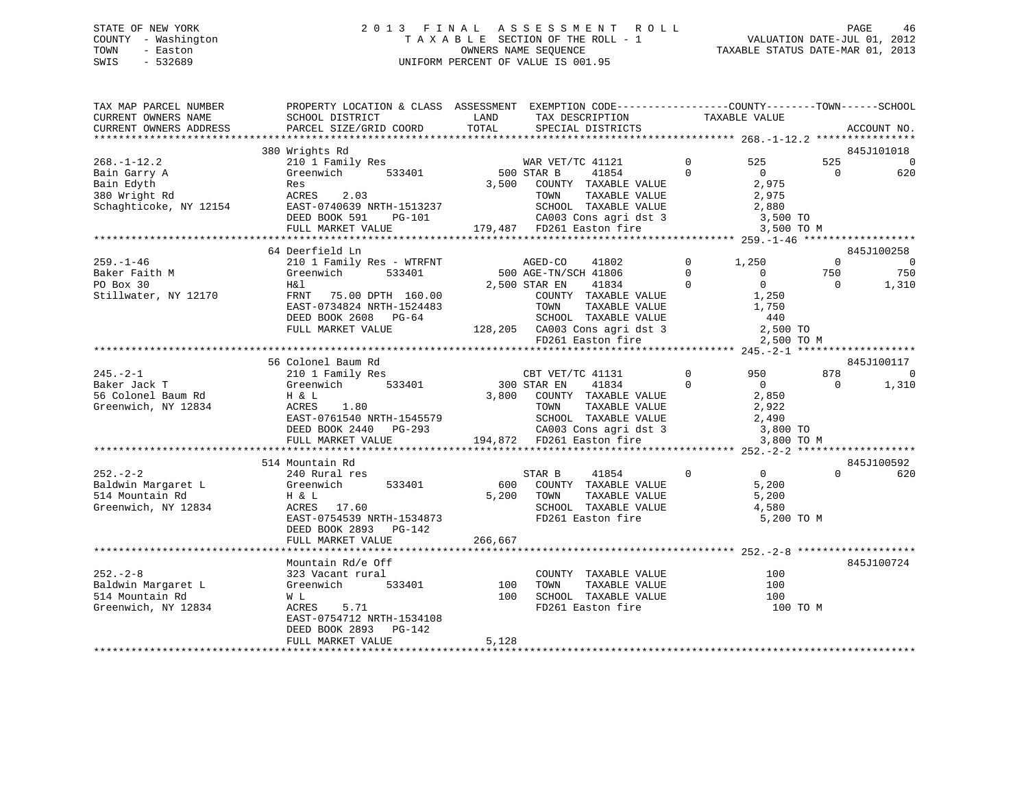# STATE OF NEW YORK 2 0 1 3 F I N A L A S S E S S M E N T R O L L PAGE 46 COUNTY - Washington T A X A B L E SECTION OF THE ROLL - 1 VALUATION DATE-JUL 01, 2012 TOWN - Easton **CONNERS NAME SEQUENCE** TAXABLE STATUS DATE-MAR 01, 2013 SWIS - 532689 UNIFORM PERCENT OF VALUE IS 001.95

| 380 Wrights Rd<br>845J101018<br>$268. - 1 - 12.2$<br>210 1 Family Res<br>WAR VET/TC 41121<br>$\overline{0}$<br>525<br>525<br>$\overline{0}$<br>533401<br>500 STAR B<br>41854<br>$\Omega$<br>$\overline{0}$<br>$\Omega$<br>620<br>Bain Garry A<br>Greenwich<br>3,500<br>2,975<br>Bain Edyth<br>COUNTY TAXABLE VALUE<br>Res<br>2.03<br>380 Wright Rd<br>ACRES<br>TOWN<br>TAXABLE VALUE<br>2,975<br>Schaghticoke, NY 12154<br>EAST-0740639 NRTH-1513237<br>SCHOOL TAXABLE VALUE<br>2,880<br>CA003 Cons agri dst 3<br>DEED BOOK 591<br>3,500 TO<br>PG-101<br>179,487 FD261 Easton fire<br>FULL MARKET VALUE<br>3,500 TO M<br>64 Deerfield Ln<br>845J100258<br>210 1 Family Res - WTRFNT<br>$\mathbf{0}$<br>1,250<br>$\mathbf 0$<br>AGED-CO<br>41802<br>$\overline{0}$<br>750<br>Greenwich<br>533401<br>500 AGE-TN/SCH 41806<br>$\Omega$<br>$\mathbf{0}$<br>750<br>2,500 STAR EN<br>$\mathbf{0}$<br>H&l<br>41834<br>$\Omega$<br>$\Omega$<br>1,310<br>Stillwater, NY 12170<br>FRNT 75.00 DPTH 160.00<br>COUNTY TAXABLE VALUE<br>1,250<br>EAST-0734824 NRTH-1524483<br>TOWN<br>TAXABLE VALUE<br>1,750<br>DEED BOOK 2608 PG-64<br>SCHOOL TAXABLE VALUE<br>440<br>128,205 CA003 Cons agri dst 3<br>FD261 Easton fire<br>FULL MARKET VALUE<br>2,500 TO<br>2,500 TO M<br>56 Colonel Baum Rd<br>845J100117<br>$\Omega$<br>878<br>$245. - 2 - 1$<br>210 1 Family Res<br>CBT VET/TC 41131<br>950<br>$\Omega$<br>Baker Jack T<br>41834<br>$\overline{0}$<br>Greenwich<br>533401<br>300 STAR EN<br>$\Omega$<br>$\Omega$<br>1,310<br>56 Colonel Baum Rd<br>2,850<br>H & L<br>3,800<br>COUNTY TAXABLE VALUE<br>Greenwich, NY 12834<br>ACRES<br>1.80<br>TOWN<br>TAXABLE VALUE<br>2,922<br>SCHOOL TAXABLE VALUE<br>EAST-0761540 NRTH-1545579<br>2,490<br>$CAO03$ Cons agri dst 3<br>$FDA1$ Fest and $T$<br>DEED BOOK 2440<br>$PG-293$<br>3,800 TO<br>194,872 FD261 Easton fire<br>FULL MARKET VALUE<br>3,800 TO M<br>514 Mountain Rd<br>845J100592<br>$252 - 2 - 2$<br>41854<br>$\Omega$<br>$\overline{0}$<br>$\Omega$<br>240 Rural res<br>STAR B<br>620<br>Baldwin Margaret L<br>Greenwich<br>533401<br>600<br>COUNTY TAXABLE VALUE<br>5,200<br>514 Mountain Rd<br>H & L<br>5,200<br>TOWN<br>TAXABLE VALUE<br>5,200<br>Greenwich, NY 12834<br>ACRES 17.60<br>SCHOOL TAXABLE VALUE<br>4,580<br>EAST-0754539 NRTH-1534873<br>FD261 Easton fire<br>5,200 TO M<br>DEED BOOK 2893<br>PG-142<br>FULL MARKET VALUE<br>266,667<br>845J100724<br>Mountain Rd/e Off<br>323 Vacant rural<br>COUNTY TAXABLE VALUE<br>100<br>Greenwich<br>533401<br>100<br>TOWN<br>TAXABLE VALUE<br>100<br>100<br>SCHOOL TAXABLE VALUE<br>100<br>W L<br>5.71<br>FD261 Easton fire<br>100 TO M<br>ACRES<br>EAST-0754712 NRTH-1534108<br>DEED BOOK 2893<br>$PG-142$<br>FULL MARKET VALUE<br>5,128 | TAX MAP PARCEL NUMBER<br>CURRENT OWNERS NAME<br>CURRENT OWNERS ADDRESS | PROPERTY LOCATION & CLASS ASSESSMENT EXEMPTION CODE----------------COUNTY-------TOWN------SCHOOL<br>SCHOOL DISTRICT<br>PARCEL SIZE/GRID COORD | LAND<br>TOTAL | TAX DESCRIPTION<br>SPECIAL DISTRICTS | TAXABLE VALUE | ACCOUNT NO. |
|-------------------------------------------------------------------------------------------------------------------------------------------------------------------------------------------------------------------------------------------------------------------------------------------------------------------------------------------------------------------------------------------------------------------------------------------------------------------------------------------------------------------------------------------------------------------------------------------------------------------------------------------------------------------------------------------------------------------------------------------------------------------------------------------------------------------------------------------------------------------------------------------------------------------------------------------------------------------------------------------------------------------------------------------------------------------------------------------------------------------------------------------------------------------------------------------------------------------------------------------------------------------------------------------------------------------------------------------------------------------------------------------------------------------------------------------------------------------------------------------------------------------------------------------------------------------------------------------------------------------------------------------------------------------------------------------------------------------------------------------------------------------------------------------------------------------------------------------------------------------------------------------------------------------------------------------------------------------------------------------------------------------------------------------------------------------------------------------------------------------------------------------------------------------------------------------------------------------------------------------------------------------------------------------------------------------------------------------------------------------------------------------------------------------------------------------------------------------------------------------------------------------------------------------------------------------------------------------------------------------------------------------------------------------------------------------------------------------------------------------------|------------------------------------------------------------------------|-----------------------------------------------------------------------------------------------------------------------------------------------|---------------|--------------------------------------|---------------|-------------|
|                                                                                                                                                                                                                                                                                                                                                                                                                                                                                                                                                                                                                                                                                                                                                                                                                                                                                                                                                                                                                                                                                                                                                                                                                                                                                                                                                                                                                                                                                                                                                                                                                                                                                                                                                                                                                                                                                                                                                                                                                                                                                                                                                                                                                                                                                                                                                                                                                                                                                                                                                                                                                                                                                                                                                 |                                                                        |                                                                                                                                               |               |                                      |               |             |
|                                                                                                                                                                                                                                                                                                                                                                                                                                                                                                                                                                                                                                                                                                                                                                                                                                                                                                                                                                                                                                                                                                                                                                                                                                                                                                                                                                                                                                                                                                                                                                                                                                                                                                                                                                                                                                                                                                                                                                                                                                                                                                                                                                                                                                                                                                                                                                                                                                                                                                                                                                                                                                                                                                                                                 |                                                                        |                                                                                                                                               |               |                                      |               |             |
|                                                                                                                                                                                                                                                                                                                                                                                                                                                                                                                                                                                                                                                                                                                                                                                                                                                                                                                                                                                                                                                                                                                                                                                                                                                                                                                                                                                                                                                                                                                                                                                                                                                                                                                                                                                                                                                                                                                                                                                                                                                                                                                                                                                                                                                                                                                                                                                                                                                                                                                                                                                                                                                                                                                                                 |                                                                        |                                                                                                                                               |               |                                      |               |             |
|                                                                                                                                                                                                                                                                                                                                                                                                                                                                                                                                                                                                                                                                                                                                                                                                                                                                                                                                                                                                                                                                                                                                                                                                                                                                                                                                                                                                                                                                                                                                                                                                                                                                                                                                                                                                                                                                                                                                                                                                                                                                                                                                                                                                                                                                                                                                                                                                                                                                                                                                                                                                                                                                                                                                                 |                                                                        |                                                                                                                                               |               |                                      |               |             |
|                                                                                                                                                                                                                                                                                                                                                                                                                                                                                                                                                                                                                                                                                                                                                                                                                                                                                                                                                                                                                                                                                                                                                                                                                                                                                                                                                                                                                                                                                                                                                                                                                                                                                                                                                                                                                                                                                                                                                                                                                                                                                                                                                                                                                                                                                                                                                                                                                                                                                                                                                                                                                                                                                                                                                 |                                                                        |                                                                                                                                               |               |                                      |               |             |
|                                                                                                                                                                                                                                                                                                                                                                                                                                                                                                                                                                                                                                                                                                                                                                                                                                                                                                                                                                                                                                                                                                                                                                                                                                                                                                                                                                                                                                                                                                                                                                                                                                                                                                                                                                                                                                                                                                                                                                                                                                                                                                                                                                                                                                                                                                                                                                                                                                                                                                                                                                                                                                                                                                                                                 |                                                                        |                                                                                                                                               |               |                                      |               |             |
|                                                                                                                                                                                                                                                                                                                                                                                                                                                                                                                                                                                                                                                                                                                                                                                                                                                                                                                                                                                                                                                                                                                                                                                                                                                                                                                                                                                                                                                                                                                                                                                                                                                                                                                                                                                                                                                                                                                                                                                                                                                                                                                                                                                                                                                                                                                                                                                                                                                                                                                                                                                                                                                                                                                                                 |                                                                        |                                                                                                                                               |               |                                      |               |             |
|                                                                                                                                                                                                                                                                                                                                                                                                                                                                                                                                                                                                                                                                                                                                                                                                                                                                                                                                                                                                                                                                                                                                                                                                                                                                                                                                                                                                                                                                                                                                                                                                                                                                                                                                                                                                                                                                                                                                                                                                                                                                                                                                                                                                                                                                                                                                                                                                                                                                                                                                                                                                                                                                                                                                                 |                                                                        |                                                                                                                                               |               |                                      |               |             |
|                                                                                                                                                                                                                                                                                                                                                                                                                                                                                                                                                                                                                                                                                                                                                                                                                                                                                                                                                                                                                                                                                                                                                                                                                                                                                                                                                                                                                                                                                                                                                                                                                                                                                                                                                                                                                                                                                                                                                                                                                                                                                                                                                                                                                                                                                                                                                                                                                                                                                                                                                                                                                                                                                                                                                 |                                                                        |                                                                                                                                               |               |                                      |               |             |
|                                                                                                                                                                                                                                                                                                                                                                                                                                                                                                                                                                                                                                                                                                                                                                                                                                                                                                                                                                                                                                                                                                                                                                                                                                                                                                                                                                                                                                                                                                                                                                                                                                                                                                                                                                                                                                                                                                                                                                                                                                                                                                                                                                                                                                                                                                                                                                                                                                                                                                                                                                                                                                                                                                                                                 |                                                                        |                                                                                                                                               |               |                                      |               |             |
|                                                                                                                                                                                                                                                                                                                                                                                                                                                                                                                                                                                                                                                                                                                                                                                                                                                                                                                                                                                                                                                                                                                                                                                                                                                                                                                                                                                                                                                                                                                                                                                                                                                                                                                                                                                                                                                                                                                                                                                                                                                                                                                                                                                                                                                                                                                                                                                                                                                                                                                                                                                                                                                                                                                                                 | $259. - 1 - 46$                                                        |                                                                                                                                               |               |                                      |               |             |
|                                                                                                                                                                                                                                                                                                                                                                                                                                                                                                                                                                                                                                                                                                                                                                                                                                                                                                                                                                                                                                                                                                                                                                                                                                                                                                                                                                                                                                                                                                                                                                                                                                                                                                                                                                                                                                                                                                                                                                                                                                                                                                                                                                                                                                                                                                                                                                                                                                                                                                                                                                                                                                                                                                                                                 | Baker Faith M                                                          |                                                                                                                                               |               |                                      |               |             |
|                                                                                                                                                                                                                                                                                                                                                                                                                                                                                                                                                                                                                                                                                                                                                                                                                                                                                                                                                                                                                                                                                                                                                                                                                                                                                                                                                                                                                                                                                                                                                                                                                                                                                                                                                                                                                                                                                                                                                                                                                                                                                                                                                                                                                                                                                                                                                                                                                                                                                                                                                                                                                                                                                                                                                 | PO Box 30                                                              |                                                                                                                                               |               |                                      |               |             |
|                                                                                                                                                                                                                                                                                                                                                                                                                                                                                                                                                                                                                                                                                                                                                                                                                                                                                                                                                                                                                                                                                                                                                                                                                                                                                                                                                                                                                                                                                                                                                                                                                                                                                                                                                                                                                                                                                                                                                                                                                                                                                                                                                                                                                                                                                                                                                                                                                                                                                                                                                                                                                                                                                                                                                 |                                                                        |                                                                                                                                               |               |                                      |               |             |
|                                                                                                                                                                                                                                                                                                                                                                                                                                                                                                                                                                                                                                                                                                                                                                                                                                                                                                                                                                                                                                                                                                                                                                                                                                                                                                                                                                                                                                                                                                                                                                                                                                                                                                                                                                                                                                                                                                                                                                                                                                                                                                                                                                                                                                                                                                                                                                                                                                                                                                                                                                                                                                                                                                                                                 |                                                                        |                                                                                                                                               |               |                                      |               |             |
|                                                                                                                                                                                                                                                                                                                                                                                                                                                                                                                                                                                                                                                                                                                                                                                                                                                                                                                                                                                                                                                                                                                                                                                                                                                                                                                                                                                                                                                                                                                                                                                                                                                                                                                                                                                                                                                                                                                                                                                                                                                                                                                                                                                                                                                                                                                                                                                                                                                                                                                                                                                                                                                                                                                                                 |                                                                        |                                                                                                                                               |               |                                      |               |             |
|                                                                                                                                                                                                                                                                                                                                                                                                                                                                                                                                                                                                                                                                                                                                                                                                                                                                                                                                                                                                                                                                                                                                                                                                                                                                                                                                                                                                                                                                                                                                                                                                                                                                                                                                                                                                                                                                                                                                                                                                                                                                                                                                                                                                                                                                                                                                                                                                                                                                                                                                                                                                                                                                                                                                                 |                                                                        |                                                                                                                                               |               |                                      |               |             |
|                                                                                                                                                                                                                                                                                                                                                                                                                                                                                                                                                                                                                                                                                                                                                                                                                                                                                                                                                                                                                                                                                                                                                                                                                                                                                                                                                                                                                                                                                                                                                                                                                                                                                                                                                                                                                                                                                                                                                                                                                                                                                                                                                                                                                                                                                                                                                                                                                                                                                                                                                                                                                                                                                                                                                 |                                                                        |                                                                                                                                               |               |                                      |               |             |
|                                                                                                                                                                                                                                                                                                                                                                                                                                                                                                                                                                                                                                                                                                                                                                                                                                                                                                                                                                                                                                                                                                                                                                                                                                                                                                                                                                                                                                                                                                                                                                                                                                                                                                                                                                                                                                                                                                                                                                                                                                                                                                                                                                                                                                                                                                                                                                                                                                                                                                                                                                                                                                                                                                                                                 |                                                                        |                                                                                                                                               |               |                                      |               |             |
|                                                                                                                                                                                                                                                                                                                                                                                                                                                                                                                                                                                                                                                                                                                                                                                                                                                                                                                                                                                                                                                                                                                                                                                                                                                                                                                                                                                                                                                                                                                                                                                                                                                                                                                                                                                                                                                                                                                                                                                                                                                                                                                                                                                                                                                                                                                                                                                                                                                                                                                                                                                                                                                                                                                                                 |                                                                        |                                                                                                                                               |               |                                      |               |             |
|                                                                                                                                                                                                                                                                                                                                                                                                                                                                                                                                                                                                                                                                                                                                                                                                                                                                                                                                                                                                                                                                                                                                                                                                                                                                                                                                                                                                                                                                                                                                                                                                                                                                                                                                                                                                                                                                                                                                                                                                                                                                                                                                                                                                                                                                                                                                                                                                                                                                                                                                                                                                                                                                                                                                                 |                                                                        |                                                                                                                                               |               |                                      |               |             |
|                                                                                                                                                                                                                                                                                                                                                                                                                                                                                                                                                                                                                                                                                                                                                                                                                                                                                                                                                                                                                                                                                                                                                                                                                                                                                                                                                                                                                                                                                                                                                                                                                                                                                                                                                                                                                                                                                                                                                                                                                                                                                                                                                                                                                                                                                                                                                                                                                                                                                                                                                                                                                                                                                                                                                 |                                                                        |                                                                                                                                               |               |                                      |               |             |
|                                                                                                                                                                                                                                                                                                                                                                                                                                                                                                                                                                                                                                                                                                                                                                                                                                                                                                                                                                                                                                                                                                                                                                                                                                                                                                                                                                                                                                                                                                                                                                                                                                                                                                                                                                                                                                                                                                                                                                                                                                                                                                                                                                                                                                                                                                                                                                                                                                                                                                                                                                                                                                                                                                                                                 |                                                                        |                                                                                                                                               |               |                                      |               |             |
|                                                                                                                                                                                                                                                                                                                                                                                                                                                                                                                                                                                                                                                                                                                                                                                                                                                                                                                                                                                                                                                                                                                                                                                                                                                                                                                                                                                                                                                                                                                                                                                                                                                                                                                                                                                                                                                                                                                                                                                                                                                                                                                                                                                                                                                                                                                                                                                                                                                                                                                                                                                                                                                                                                                                                 |                                                                        |                                                                                                                                               |               |                                      |               |             |
|                                                                                                                                                                                                                                                                                                                                                                                                                                                                                                                                                                                                                                                                                                                                                                                                                                                                                                                                                                                                                                                                                                                                                                                                                                                                                                                                                                                                                                                                                                                                                                                                                                                                                                                                                                                                                                                                                                                                                                                                                                                                                                                                                                                                                                                                                                                                                                                                                                                                                                                                                                                                                                                                                                                                                 |                                                                        |                                                                                                                                               |               |                                      |               |             |
|                                                                                                                                                                                                                                                                                                                                                                                                                                                                                                                                                                                                                                                                                                                                                                                                                                                                                                                                                                                                                                                                                                                                                                                                                                                                                                                                                                                                                                                                                                                                                                                                                                                                                                                                                                                                                                                                                                                                                                                                                                                                                                                                                                                                                                                                                                                                                                                                                                                                                                                                                                                                                                                                                                                                                 |                                                                        |                                                                                                                                               |               |                                      |               |             |
|                                                                                                                                                                                                                                                                                                                                                                                                                                                                                                                                                                                                                                                                                                                                                                                                                                                                                                                                                                                                                                                                                                                                                                                                                                                                                                                                                                                                                                                                                                                                                                                                                                                                                                                                                                                                                                                                                                                                                                                                                                                                                                                                                                                                                                                                                                                                                                                                                                                                                                                                                                                                                                                                                                                                                 |                                                                        |                                                                                                                                               |               |                                      |               |             |
|                                                                                                                                                                                                                                                                                                                                                                                                                                                                                                                                                                                                                                                                                                                                                                                                                                                                                                                                                                                                                                                                                                                                                                                                                                                                                                                                                                                                                                                                                                                                                                                                                                                                                                                                                                                                                                                                                                                                                                                                                                                                                                                                                                                                                                                                                                                                                                                                                                                                                                                                                                                                                                                                                                                                                 |                                                                        |                                                                                                                                               |               |                                      |               |             |
|                                                                                                                                                                                                                                                                                                                                                                                                                                                                                                                                                                                                                                                                                                                                                                                                                                                                                                                                                                                                                                                                                                                                                                                                                                                                                                                                                                                                                                                                                                                                                                                                                                                                                                                                                                                                                                                                                                                                                                                                                                                                                                                                                                                                                                                                                                                                                                                                                                                                                                                                                                                                                                                                                                                                                 |                                                                        |                                                                                                                                               |               |                                      |               |             |
|                                                                                                                                                                                                                                                                                                                                                                                                                                                                                                                                                                                                                                                                                                                                                                                                                                                                                                                                                                                                                                                                                                                                                                                                                                                                                                                                                                                                                                                                                                                                                                                                                                                                                                                                                                                                                                                                                                                                                                                                                                                                                                                                                                                                                                                                                                                                                                                                                                                                                                                                                                                                                                                                                                                                                 |                                                                        |                                                                                                                                               |               |                                      |               |             |
|                                                                                                                                                                                                                                                                                                                                                                                                                                                                                                                                                                                                                                                                                                                                                                                                                                                                                                                                                                                                                                                                                                                                                                                                                                                                                                                                                                                                                                                                                                                                                                                                                                                                                                                                                                                                                                                                                                                                                                                                                                                                                                                                                                                                                                                                                                                                                                                                                                                                                                                                                                                                                                                                                                                                                 |                                                                        |                                                                                                                                               |               |                                      |               |             |
|                                                                                                                                                                                                                                                                                                                                                                                                                                                                                                                                                                                                                                                                                                                                                                                                                                                                                                                                                                                                                                                                                                                                                                                                                                                                                                                                                                                                                                                                                                                                                                                                                                                                                                                                                                                                                                                                                                                                                                                                                                                                                                                                                                                                                                                                                                                                                                                                                                                                                                                                                                                                                                                                                                                                                 |                                                                        |                                                                                                                                               |               |                                      |               |             |
|                                                                                                                                                                                                                                                                                                                                                                                                                                                                                                                                                                                                                                                                                                                                                                                                                                                                                                                                                                                                                                                                                                                                                                                                                                                                                                                                                                                                                                                                                                                                                                                                                                                                                                                                                                                                                                                                                                                                                                                                                                                                                                                                                                                                                                                                                                                                                                                                                                                                                                                                                                                                                                                                                                                                                 |                                                                        |                                                                                                                                               |               |                                      |               |             |
|                                                                                                                                                                                                                                                                                                                                                                                                                                                                                                                                                                                                                                                                                                                                                                                                                                                                                                                                                                                                                                                                                                                                                                                                                                                                                                                                                                                                                                                                                                                                                                                                                                                                                                                                                                                                                                                                                                                                                                                                                                                                                                                                                                                                                                                                                                                                                                                                                                                                                                                                                                                                                                                                                                                                                 |                                                                        |                                                                                                                                               |               |                                      |               |             |
|                                                                                                                                                                                                                                                                                                                                                                                                                                                                                                                                                                                                                                                                                                                                                                                                                                                                                                                                                                                                                                                                                                                                                                                                                                                                                                                                                                                                                                                                                                                                                                                                                                                                                                                                                                                                                                                                                                                                                                                                                                                                                                                                                                                                                                                                                                                                                                                                                                                                                                                                                                                                                                                                                                                                                 |                                                                        |                                                                                                                                               |               |                                      |               |             |
|                                                                                                                                                                                                                                                                                                                                                                                                                                                                                                                                                                                                                                                                                                                                                                                                                                                                                                                                                                                                                                                                                                                                                                                                                                                                                                                                                                                                                                                                                                                                                                                                                                                                                                                                                                                                                                                                                                                                                                                                                                                                                                                                                                                                                                                                                                                                                                                                                                                                                                                                                                                                                                                                                                                                                 |                                                                        |                                                                                                                                               |               |                                      |               |             |
|                                                                                                                                                                                                                                                                                                                                                                                                                                                                                                                                                                                                                                                                                                                                                                                                                                                                                                                                                                                                                                                                                                                                                                                                                                                                                                                                                                                                                                                                                                                                                                                                                                                                                                                                                                                                                                                                                                                                                                                                                                                                                                                                                                                                                                                                                                                                                                                                                                                                                                                                                                                                                                                                                                                                                 | $252 - 2 - 8$                                                          |                                                                                                                                               |               |                                      |               |             |
|                                                                                                                                                                                                                                                                                                                                                                                                                                                                                                                                                                                                                                                                                                                                                                                                                                                                                                                                                                                                                                                                                                                                                                                                                                                                                                                                                                                                                                                                                                                                                                                                                                                                                                                                                                                                                                                                                                                                                                                                                                                                                                                                                                                                                                                                                                                                                                                                                                                                                                                                                                                                                                                                                                                                                 | Baldwin Margaret L                                                     |                                                                                                                                               |               |                                      |               |             |
|                                                                                                                                                                                                                                                                                                                                                                                                                                                                                                                                                                                                                                                                                                                                                                                                                                                                                                                                                                                                                                                                                                                                                                                                                                                                                                                                                                                                                                                                                                                                                                                                                                                                                                                                                                                                                                                                                                                                                                                                                                                                                                                                                                                                                                                                                                                                                                                                                                                                                                                                                                                                                                                                                                                                                 | 514 Mountain Rd                                                        |                                                                                                                                               |               |                                      |               |             |
|                                                                                                                                                                                                                                                                                                                                                                                                                                                                                                                                                                                                                                                                                                                                                                                                                                                                                                                                                                                                                                                                                                                                                                                                                                                                                                                                                                                                                                                                                                                                                                                                                                                                                                                                                                                                                                                                                                                                                                                                                                                                                                                                                                                                                                                                                                                                                                                                                                                                                                                                                                                                                                                                                                                                                 | Greenwich, NY 12834                                                    |                                                                                                                                               |               |                                      |               |             |
|                                                                                                                                                                                                                                                                                                                                                                                                                                                                                                                                                                                                                                                                                                                                                                                                                                                                                                                                                                                                                                                                                                                                                                                                                                                                                                                                                                                                                                                                                                                                                                                                                                                                                                                                                                                                                                                                                                                                                                                                                                                                                                                                                                                                                                                                                                                                                                                                                                                                                                                                                                                                                                                                                                                                                 |                                                                        |                                                                                                                                               |               |                                      |               |             |
|                                                                                                                                                                                                                                                                                                                                                                                                                                                                                                                                                                                                                                                                                                                                                                                                                                                                                                                                                                                                                                                                                                                                                                                                                                                                                                                                                                                                                                                                                                                                                                                                                                                                                                                                                                                                                                                                                                                                                                                                                                                                                                                                                                                                                                                                                                                                                                                                                                                                                                                                                                                                                                                                                                                                                 |                                                                        |                                                                                                                                               |               |                                      |               |             |
|                                                                                                                                                                                                                                                                                                                                                                                                                                                                                                                                                                                                                                                                                                                                                                                                                                                                                                                                                                                                                                                                                                                                                                                                                                                                                                                                                                                                                                                                                                                                                                                                                                                                                                                                                                                                                                                                                                                                                                                                                                                                                                                                                                                                                                                                                                                                                                                                                                                                                                                                                                                                                                                                                                                                                 |                                                                        |                                                                                                                                               |               |                                      |               |             |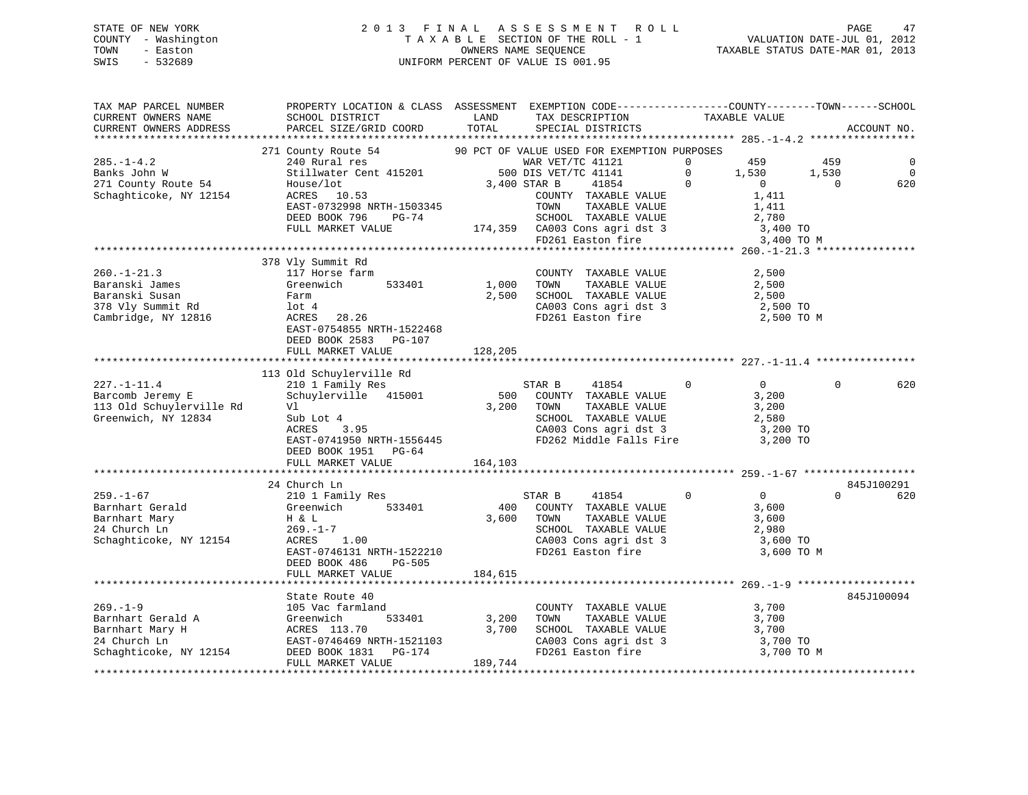# STATE OF NEW YORK 2 0 1 3 F I N A L A S S E S S M E N T R O L L PAGE 47 COUNTY - Washington T A X A B L E SECTION OF THE ROLL - 1 VALUATION DATE-JUL 01, 2012 TOWN - Easton COMPUTERS NAME SEQUENCE TAXABLE STATUS DATE-MAR 01, 2013<br>SWIS - 532689 SWIS - 532689 UNIFORM PERCENT OF VALUE IS 001.95

| TAX MAP PARCEL NUMBER                                                              | PROPERTY LOCATION & CLASS ASSESSMENT EXEMPTION CODE-----------------COUNTY-------TOWN------SCHOOL                                                                                                                                               |              |                                                                                                                                                                                                                                                                                                                                                                                                                                         |                                                |          |                |
|------------------------------------------------------------------------------------|-------------------------------------------------------------------------------------------------------------------------------------------------------------------------------------------------------------------------------------------------|--------------|-----------------------------------------------------------------------------------------------------------------------------------------------------------------------------------------------------------------------------------------------------------------------------------------------------------------------------------------------------------------------------------------------------------------------------------------|------------------------------------------------|----------|----------------|
| CURRENT OWNERS NAME                                                                | SCHOOL DISTRICT                                                                                                                                                                                                                                 | LAND         |                                                                                                                                                                                                                                                                                                                                                                                                                                         |                                                |          |                |
|                                                                                    | CURRENT OWNERS ADDRESS PARCEL SIZE/GRID COORD TOTAL                                                                                                                                                                                             |              | TAX DESCRIPTION TAXABLE VALUE SPECIAL DISTRICTS                                                                                                                                                                                                                                                                                                                                                                                         |                                                |          | ACCOUNT NO.    |
|                                                                                    |                                                                                                                                                                                                                                                 |              |                                                                                                                                                                                                                                                                                                                                                                                                                                         |                                                |          |                |
|                                                                                    | 271 County Route 54 90 PCT OF VALUE USED FOR EXEMPTION PURPOSES                                                                                                                                                                                 |              |                                                                                                                                                                                                                                                                                                                                                                                                                                         |                                                |          |                |
| $285. - 1 - 4.2$                                                                   |                                                                                                                                                                                                                                                 |              |                                                                                                                                                                                                                                                                                                                                                                                                                                         |                                                |          | 0              |
| Banks John W                                                                       |                                                                                                                                                                                                                                                 |              |                                                                                                                                                                                                                                                                                                                                                                                                                                         |                                                |          | $\overline{0}$ |
| 271 County Route 54                                                                |                                                                                                                                                                                                                                                 |              |                                                                                                                                                                                                                                                                                                                                                                                                                                         |                                                |          | 620            |
| Schaghticoke, NY 12154                                                             |                                                                                                                                                                                                                                                 |              |                                                                                                                                                                                                                                                                                                                                                                                                                                         |                                                |          |                |
|                                                                                    |                                                                                                                                                                                                                                                 |              |                                                                                                                                                                                                                                                                                                                                                                                                                                         |                                                |          |                |
|                                                                                    |                                                                                                                                                                                                                                                 |              |                                                                                                                                                                                                                                                                                                                                                                                                                                         |                                                |          |                |
|                                                                                    |                                                                                                                                                                                                                                                 |              |                                                                                                                                                                                                                                                                                                                                                                                                                                         |                                                |          |                |
|                                                                                    |                                                                                                                                                                                                                                                 |              |                                                                                                                                                                                                                                                                                                                                                                                                                                         |                                                |          |                |
|                                                                                    |                                                                                                                                                                                                                                                 |              |                                                                                                                                                                                                                                                                                                                                                                                                                                         |                                                |          |                |
|                                                                                    | 378 Vly Summit Rd                                                                                                                                                                                                                               |              |                                                                                                                                                                                                                                                                                                                                                                                                                                         |                                                |          |                |
| $260. -1 - 21.3$                                                                   |                                                                                                                                                                                                                                                 |              |                                                                                                                                                                                                                                                                                                                                                                                                                                         |                                                |          |                |
| Baranski James                                                                     | 117 Horse farm<br>Greenwich 533401 1,000 TOWN                                                                                                                                                                                                   |              | $\begin{array}{cccc}\n\text{COUNTY} & \text{TAXABLE VALUE} & & & 2,500 \\ -\text{SVD} & -\text{SVD} & -\text{SVD} & \text{SVD} & \text{SVD} & \text{SVD} & \text{SVD} & \text{SVD} & \text{SVD} & \text{SVD} & \text{SVD} & \text{SVD} & \text{SVD} & \text{SVD} & \text{SVD} & \text{SVD} & \text{SVD} & \text{SVD} & \text{SVD} & \text{SVD} & \text{SVD} & \text{SVD} & \text{SVD} & \text{SVD} & \text{SVD} & \text{SVD} & \text{S$ |                                                |          |                |
|                                                                                    |                                                                                                                                                                                                                                                 |              |                                                                                                                                                                                                                                                                                                                                                                                                                                         |                                                |          |                |
| Green<br>Farm<br>Cambridge, NY 12816<br>Cambridge, NY 12816<br>CRES                | Farm<br>lot 4<br>ACRES 28.26                                                                                                                                                                                                                    |              | 1,000 TOWN TAXABLE VALUE 2,500<br>2,500 SCHOOL TAXABLE VALUE 2,500<br>CA003 Cons agri dst 3 2,500 TO<br>FD261 Easton fire 2,500 TO M                                                                                                                                                                                                                                                                                                    |                                                |          |                |
|                                                                                    |                                                                                                                                                                                                                                                 |              |                                                                                                                                                                                                                                                                                                                                                                                                                                         |                                                |          |                |
|                                                                                    |                                                                                                                                                                                                                                                 |              |                                                                                                                                                                                                                                                                                                                                                                                                                                         |                                                |          |                |
|                                                                                    | EAST-0754855 NRTH-1522468                                                                                                                                                                                                                       |              |                                                                                                                                                                                                                                                                                                                                                                                                                                         |                                                |          |                |
|                                                                                    | DEED BOOK 2583 PG-107                                                                                                                                                                                                                           |              |                                                                                                                                                                                                                                                                                                                                                                                                                                         |                                                |          |                |
|                                                                                    | FULL MARKET VALUE                                                                                                                                                                                                                               | 128,205      |                                                                                                                                                                                                                                                                                                                                                                                                                                         |                                                |          |                |
|                                                                                    |                                                                                                                                                                                                                                                 |              |                                                                                                                                                                                                                                                                                                                                                                                                                                         |                                                |          |                |
|                                                                                    | 113 Old Schuylerville Rd                                                                                                                                                                                                                        |              |                                                                                                                                                                                                                                                                                                                                                                                                                                         |                                                |          |                |
| $227. - 1 - 11.4$                                                                  | 210 1 Family Res                                                                                                                                                                                                                                |              | STAR B 41854 0                                                                                                                                                                                                                                                                                                                                                                                                                          | $\overline{0}$                                 | $\Omega$ | 620            |
| 227.-------<br>Barcomb Jeremy E<br>113 Old Schuylerville Rd<br>Greenwich, NY 12834 | 210 1 Family Res<br>Schuylerville 415001 500 COUNTY TAXABLE VALUE 3,200<br>73,200 TOWN TAXABLE VALUE 3,200                                                                                                                                      |              |                                                                                                                                                                                                                                                                                                                                                                                                                                         |                                                |          |                |
|                                                                                    | V<br>V1<br>Sub Lot 4<br>ACRES 3.95<br>EAST-0741950 NRTH-1556445<br>THE 1556445                                                                                                                                                                  |              |                                                                                                                                                                                                                                                                                                                                                                                                                                         |                                                |          |                |
|                                                                                    |                                                                                                                                                                                                                                                 |              | SCHOOL TAXABLE VALUE 2,580<br>CA003 Cons agri dst 3 3,200 TO                                                                                                                                                                                                                                                                                                                                                                            |                                                |          |                |
|                                                                                    |                                                                                                                                                                                                                                                 |              |                                                                                                                                                                                                                                                                                                                                                                                                                                         |                                                |          |                |
|                                                                                    |                                                                                                                                                                                                                                                 |              | FD262 Middle Falls Fire 3,200 TO                                                                                                                                                                                                                                                                                                                                                                                                        |                                                |          |                |
|                                                                                    | DEED BOOK 1951 PG-64                                                                                                                                                                                                                            |              |                                                                                                                                                                                                                                                                                                                                                                                                                                         |                                                |          |                |
|                                                                                    |                                                                                                                                                                                                                                                 |              |                                                                                                                                                                                                                                                                                                                                                                                                                                         |                                                |          |                |
|                                                                                    |                                                                                                                                                                                                                                                 |              |                                                                                                                                                                                                                                                                                                                                                                                                                                         |                                                |          |                |
|                                                                                    | 24 Church Ln                                                                                                                                                                                                                                    |              |                                                                                                                                                                                                                                                                                                                                                                                                                                         |                                                |          | 845J100291     |
|                                                                                    |                                                                                                                                                                                                                                                 |              | 41854<br>$\sim$ 0<br>STAR B                                                                                                                                                                                                                                                                                                                                                                                                             | $\begin{array}{c} 0 \\ 3 \, , 600 \end{array}$ | $\Omega$ | 620            |
|                                                                                    |                                                                                                                                                                                                                                                 |              | 400 COUNTY TAXABLE VALUE                                                                                                                                                                                                                                                                                                                                                                                                                |                                                |          |                |
|                                                                                    |                                                                                                                                                                                                                                                 |              | 3,600 TOWN                                                                                                                                                                                                                                                                                                                                                                                                                              |                                                |          |                |
|                                                                                    |                                                                                                                                                                                                                                                 |              | TOWN TAXABLE VALUE 3,600<br>SCHOOL TAXABLE VALUE 2,980                                                                                                                                                                                                                                                                                                                                                                                  |                                                |          |                |
|                                                                                    | 259.-1-67<br>Barnhart Gerald<br>Barnhart Mary<br>24 Church Ln<br>Schaghticoke, NY 12154<br>Pack CRES<br>24 Church Ln<br>269.-1-7<br>269.-1-7<br>269.-1-7<br>269.-1-7<br>269.-1-7<br>269.-1-7<br>269.-1-7                                        |              |                                                                                                                                                                                                                                                                                                                                                                                                                                         |                                                |          |                |
|                                                                                    | EAST-0746131 NRTH-1522210                                                                                                                                                                                                                       |              | CA003 Cons agri dst 3 $\begin{array}{ccc} 3,600 \text{ TO} \\ \text{FD261} \text{ Easton fire} \end{array}$ 3,600 TO M                                                                                                                                                                                                                                                                                                                  |                                                |          |                |
|                                                                                    | DEED BOOK 486<br>PG-505                                                                                                                                                                                                                         |              |                                                                                                                                                                                                                                                                                                                                                                                                                                         |                                                |          |                |
|                                                                                    | FULL MARKET VALUE                                                                                                                                                                                                                               | 184,615      |                                                                                                                                                                                                                                                                                                                                                                                                                                         |                                                |          |                |
|                                                                                    |                                                                                                                                                                                                                                                 |              |                                                                                                                                                                                                                                                                                                                                                                                                                                         |                                                |          |                |
|                                                                                    | State Route 40                                                                                                                                                                                                                                  |              |                                                                                                                                                                                                                                                                                                                                                                                                                                         |                                                |          | 845J100094     |
|                                                                                    |                                                                                                                                                                                                                                                 |              | COUNTY TAXABLE VALUE 3,700                                                                                                                                                                                                                                                                                                                                                                                                              |                                                |          |                |
|                                                                                    |                                                                                                                                                                                                                                                 | 533401 3,200 |                                                                                                                                                                                                                                                                                                                                                                                                                                         |                                                |          |                |
|                                                                                    |                                                                                                                                                                                                                                                 |              | TOWN                                                                                                                                                                                                                                                                                                                                                                                                                                    | TAXABLE VALUE 3,700                            |          |                |
|                                                                                    |                                                                                                                                                                                                                                                 |              |                                                                                                                                                                                                                                                                                                                                                                                                                                         |                                                |          |                |
|                                                                                    |                                                                                                                                                                                                                                                 |              |                                                                                                                                                                                                                                                                                                                                                                                                                                         |                                                |          |                |
|                                                                                    |                                                                                                                                                                                                                                                 |              | SCHOOL TAXABLE VALUE 3,700<br>CA003 Cons agri dst 3 3,700 TO<br>FD261 Easton fire 3,700 TO M                                                                                                                                                                                                                                                                                                                                            |                                                |          |                |
|                                                                                    | 269.-1-9<br>Barnhart Gerald A (3,200<br>Barnhart Mary H (3,200<br>24 Church Ln EAST-0746469 NRTH-1521103<br>Schaghticoke, NY 12154<br>PULL MARKET VALUE TRAINING 189,744<br>PULL MARKET VALUE 189,744<br>PULL MARKET VALUE TRAINING 189,744<br> |              |                                                                                                                                                                                                                                                                                                                                                                                                                                         |                                                |          |                |
|                                                                                    |                                                                                                                                                                                                                                                 |              |                                                                                                                                                                                                                                                                                                                                                                                                                                         |                                                |          |                |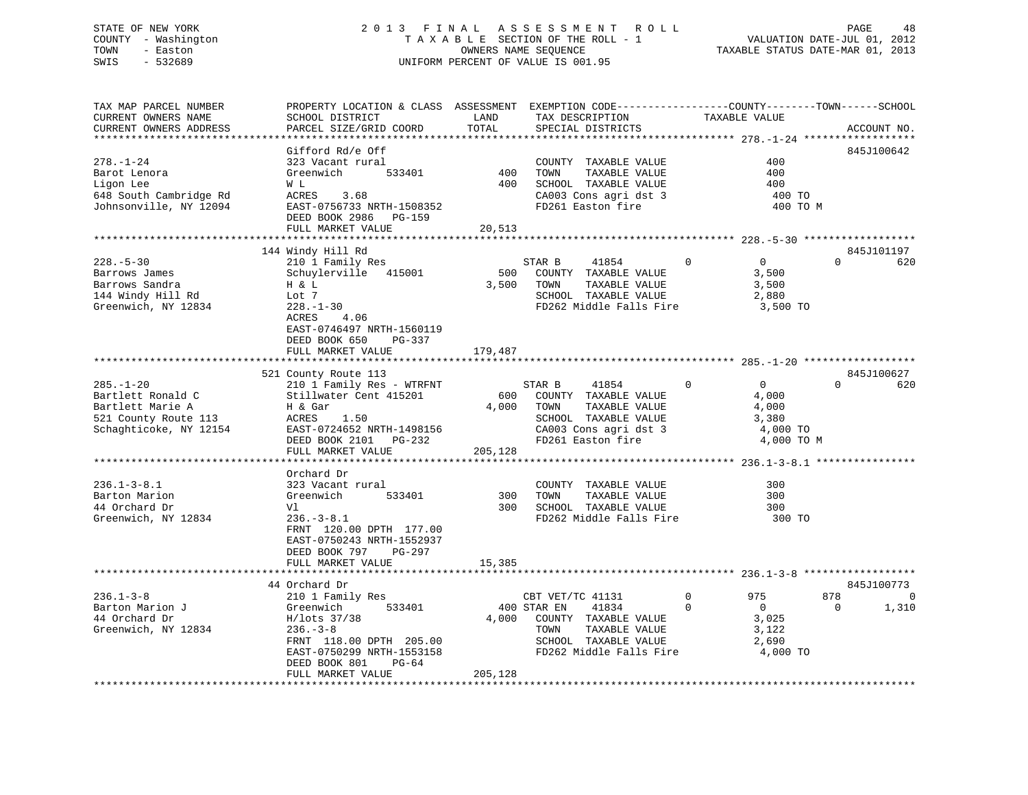# STATE OF NEW YORK 2 0 1 3 F I N A L A S S E S S M E N T R O L L PAGE 48 COUNTY - Washington T A X A B L E SECTION OF THE ROLL - 1 VALUATION DATE-JUL 01, 2012 TOWN - Easton COMPUTERS NAME SEQUENCE TAXABLE STATUS DATE-MAR 01, 2013<br>SWIS - 532689 SWIS - 532689 UNIFORM PERCENT OF VALUE IS 001.95

| TAX MAP PARCEL NUMBER  | PROPERTY LOCATION & CLASS ASSESSMENT EXEMPTION CODE---------------COUNTY-------TOWN-----SCHOOL |         |                            |                                                  |                    |
|------------------------|------------------------------------------------------------------------------------------------|---------|----------------------------|--------------------------------------------------|--------------------|
| CURRENT OWNERS NAME    | SCHOOL DISTRICT                                                                                | LAND    | TAX DESCRIPTION            | TAXABLE VALUE                                    |                    |
| CURRENT OWNERS ADDRESS | PARCEL SIZE/GRID COORD                                                                         | TOTAL   | SPECIAL DISTRICTS          |                                                  | ACCOUNT NO.        |
|                        |                                                                                                |         |                            | ****************** 278.-1-24 ******************* |                    |
|                        | Gifford Rd/e Off                                                                               |         |                            |                                                  | 845J100642         |
|                        |                                                                                                |         |                            |                                                  |                    |
| $278. - 1 - 24$        | 323 Vacant rural                                                                               |         | COUNTY TAXABLE VALUE       | 400                                              |                    |
| Barot Lenora           | 533401<br>Greenwich                                                                            | 400     | TAXABLE VALUE<br>TOWN      | 400                                              |                    |
| Ligon Lee              | W L                                                                                            | 400     | SCHOOL TAXABLE VALUE       | 400                                              |                    |
| 648 South Cambridge Rd | ACRES<br>3.68                                                                                  |         | $CA003$ Cons agri dst 3    | 400 TO                                           |                    |
| Johnsonville, NY 12094 | EAST-0756733 NRTH-1508352                                                                      |         | FD261 Easton fire          | 400 TO M                                         |                    |
|                        | DEED BOOK 2986 PG-159                                                                          |         |                            |                                                  |                    |
|                        | FULL MARKET VALUE                                                                              | 20,513  |                            |                                                  |                    |
|                        |                                                                                                |         |                            |                                                  |                    |
|                        |                                                                                                |         |                            |                                                  | 845J101197         |
|                        | 144 Windy Hill Rd                                                                              |         |                            |                                                  |                    |
| $228. - 5 - 30$        | 210 1 Family Res                                                                               |         | STAR B<br>41854            | $\Omega$<br>$\overline{0}$                       | $\Omega$<br>620    |
| Barrows James          | Schuylerville 415001                                                                           | 500     | COUNTY TAXABLE VALUE       | 3,500                                            |                    |
| Barrows Sandra         | H & L                                                                                          | 3,500   | TAXABLE VALUE<br>TOWN      | 3,500                                            |                    |
| 144 Windy Hill Rd      | Lot 7                                                                                          |         | SCHOOL TAXABLE VALUE       | 2,880                                            |                    |
| Greenwich, NY 12834    | $228. - 1 - 30$                                                                                |         | FD262 Middle Falls Fire    | 3,500 TO                                         |                    |
|                        | ACRES<br>4.06                                                                                  |         |                            |                                                  |                    |
|                        | EAST-0746497 NRTH-1560119                                                                      |         |                            |                                                  |                    |
|                        |                                                                                                |         |                            |                                                  |                    |
|                        | DEED BOOK 650<br>PG-337                                                                        |         |                            |                                                  |                    |
|                        | FULL MARKET VALUE                                                                              | 179,487 |                            |                                                  |                    |
|                        |                                                                                                |         |                            |                                                  |                    |
|                        | 521 County Route 113                                                                           |         |                            |                                                  | 845J100627         |
| $285. - 1 - 20$        | 210 1 Family Res - WTRFNT                                                                      |         | STAR B<br>41854            | $\Omega$<br>$\overline{0}$                       | $\Omega$<br>620    |
| Bartlett Ronald C      | Stillwater Cent 415201                                                                         | 600     | COUNTY TAXABLE VALUE       | 4,000                                            |                    |
| Bartlett Marie A       | H & Gar                                                                                        | 4,000   | TOWN<br>TAXABLE VALUE      | 4,000                                            |                    |
| 521 County Route 113   | ACRES<br>1.50                                                                                  |         | SCHOOL TAXABLE VALUE       | 3,380                                            |                    |
|                        |                                                                                                |         |                            |                                                  |                    |
| Schaghticoke, NY 12154 | EAST-0724652 NRTH-1498156                                                                      |         | CA003 Cons agri dst 3      | 4,000 TO                                         |                    |
|                        | DEED BOOK 2101 PG-232                                                                          |         | FD261 Easton fire          | 4,000 TO M                                       |                    |
|                        | FULL MARKET VALUE                                                                              | 205,128 |                            |                                                  |                    |
|                        |                                                                                                |         |                            |                                                  |                    |
|                        | Orchard Dr                                                                                     |         |                            |                                                  |                    |
| $236.1 - 3 - 8.1$      | 323 Vacant rural                                                                               |         | COUNTY TAXABLE VALUE       | 300                                              |                    |
| Barton Marion          | Greenwich<br>533401                                                                            | 300     | TOWN<br>TAXABLE VALUE      | 300                                              |                    |
| 44 Orchard Dr          | Vl                                                                                             | 300     | SCHOOL TAXABLE VALUE       | 300                                              |                    |
|                        | $236. - 3 - 8.1$                                                                               |         | FD262 Middle Falls Fire    |                                                  |                    |
| Greenwich, NY 12834    |                                                                                                |         |                            | 300 TO                                           |                    |
|                        | FRNT 120.00 DPTH 177.00                                                                        |         |                            |                                                  |                    |
|                        | EAST-0750243 NRTH-1552937                                                                      |         |                            |                                                  |                    |
|                        | DEED BOOK 797<br>PG-297                                                                        |         |                            |                                                  |                    |
|                        | FULL MARKET VALUE                                                                              | 15,385  |                            |                                                  |                    |
|                        |                                                                                                |         |                            |                                                  |                    |
|                        | 44 Orchard Dr                                                                                  |         |                            |                                                  | 845J100773         |
| $236.1 - 3 - 8$        | 210 1 Family Res                                                                               |         | CBT VET/TC 41131           | $\Omega$<br>975                                  | 878<br>$\mathbf 0$ |
|                        |                                                                                                |         |                            |                                                  | $\Omega$           |
| Barton Marion J        | 533401<br>Greenwich                                                                            |         | 400 STAR EN<br>41834       | $\mathbf 0$<br>$\overline{0}$                    | 1,310              |
| 44 Orchard Dr          | H/lots 37/38                                                                                   |         | 4,000 COUNTY TAXABLE VALUE | 3,025                                            |                    |
| Greenwich, NY 12834    | $236. - 3 - 8$                                                                                 |         | TOWN<br>TAXABLE VALUE      | 3,122                                            |                    |
|                        | FRNT 118.00 DPTH 205.00                                                                        |         | SCHOOL TAXABLE VALUE       | 2,690                                            |                    |
|                        | EAST-0750299 NRTH-1553158                                                                      |         | FD262 Middle Falls Fire    | 4,000 TO                                         |                    |
|                        | DEED BOOK 801<br>PG-64                                                                         |         |                            |                                                  |                    |
|                        | FULL MARKET VALUE                                                                              | 205,128 |                            |                                                  |                    |
|                        |                                                                                                |         |                            |                                                  |                    |
|                        |                                                                                                |         |                            |                                                  |                    |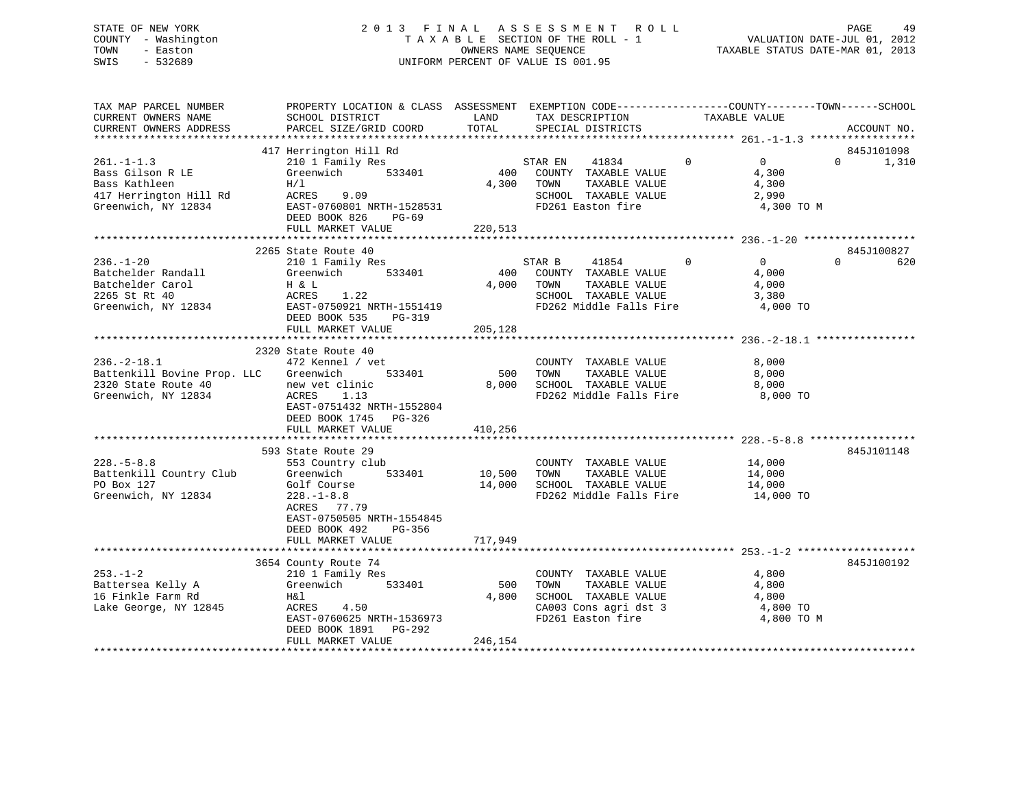# STATE OF NEW YORK 2 0 1 3 F I N A L A S S E S S M E N T R O L L PAGE 49 COUNTY - Washington T A X A B L E SECTION OF THE ROLL - 1 VALUATION DATE-JUL 01, 2012 TOWN - Easton **CONNERS NAME SEQUENCE** TAXABLE STATUS DATE-MAR 01, 2013 SWIS - 532689 UNIFORM PERCENT OF VALUE IS 001.95

| ACCOUNT NO.<br>845J101098<br>1,310 |
|------------------------------------|
|                                    |
|                                    |
|                                    |
|                                    |
| 845J100827<br>620                  |
|                                    |
|                                    |
|                                    |
| 845J101148                         |
|                                    |
| 845J100192                         |
|                                    |
|                                    |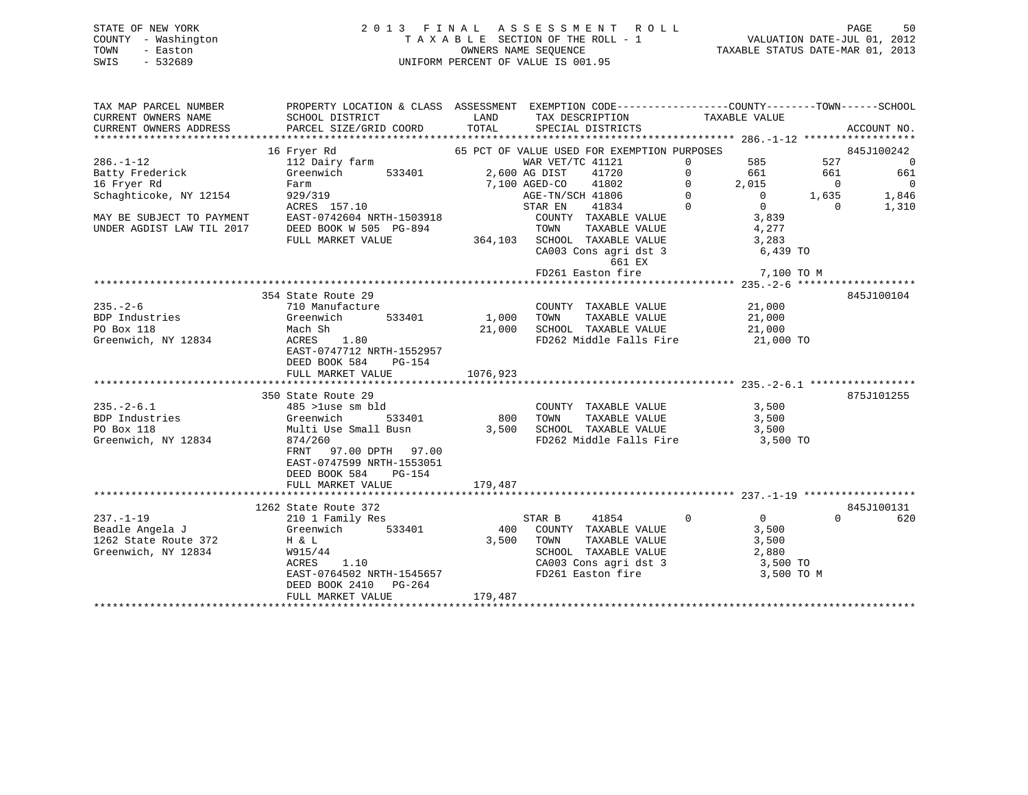| STATE OF NEW YORK   |  | 2013 FINAL ASSESSMENT ROLL         |                                  | PAGE | 50 |
|---------------------|--|------------------------------------|----------------------------------|------|----|
| COUNTY - Washington |  | TAXABLE SECTION OF THE ROLL - 1    | VALUATION DATE-JUL 01, 2012      |      |    |
| TOWN<br>- Easton    |  | OWNERS NAME SEOUENCE               | TAXABLE STATUS DATE-MAR 01, 2013 |      |    |
| - 532689<br>SWIS    |  | UNIFORM PERCENT OF VALUE IS 001.95 |                                  |      |    |

| TAX MAP PARCEL NUMBER                       | PROPERTY LOCATION & CLASS ASSESSMENT EXEMPTION CODE---------------COUNTY-------TOWN------SCHOOL |                   |                                                                                                                                                                                                                                                                                                                    |            |                                               |
|---------------------------------------------|-------------------------------------------------------------------------------------------------|-------------------|--------------------------------------------------------------------------------------------------------------------------------------------------------------------------------------------------------------------------------------------------------------------------------------------------------------------|------------|-----------------------------------------------|
| CURRENT OWNERS NAME                         | SCHOOL DISTRICT                                                                                 | <b>Example 12</b> | TAX DESCRIPTION TAXABLE VALUE                                                                                                                                                                                                                                                                                      |            |                                               |
| CURRENT OWNERS ADDRESS                      |                                                                                                 |                   |                                                                                                                                                                                                                                                                                                                    |            |                                               |
|                                             |                                                                                                 |                   |                                                                                                                                                                                                                                                                                                                    |            |                                               |
|                                             | 16 Fryer Rd                                                                                     |                   | 65 PCT OF VALUE USED FOR EXEMPTION PURPOSES                                                                                                                                                                                                                                                                        |            | 845J100242                                    |
| $286. - 1 - 12$                             | 112 Dairy farm                                                                                  |                   |                                                                                                                                                                                                                                                                                                                    |            | 527<br>$\overline{0}$                         |
| Batty Frederick<br>16 Fryer Rd              | Greenwich 533401 2,600 AG DIST 41720                                                            |                   |                                                                                                                                                                                                                                                                                                                    |            | 661<br>661                                    |
|                                             |                                                                                                 |                   |                                                                                                                                                                                                                                                                                                                    |            | $\sim$ 0                                      |
| Schaghticoke, NY 12154                      | Farm<br>929/319<br>ACRES 157.10                                                                 |                   | 2,500 AG DIST $\begin{array}{cccc} 1.121 & 0 & 585 \\ 7,100 & \text{ASED-CO} & 41802 & 0 & 2,015 \\ 1.100 & \text{AGE-D-CO} & 41806 & 0 & 2,015 \\ 1.100 & \text{AGE-TN/SCH} & 41806 & 0 & 0 \\ 512 & 1.120 & 0 & 0 & 0 \\ 1.120 & 0 & 0 & 0 & 0 \\ 1.120 & 0 & 0 & 0 & 0 \\ 1.120 & 0 & 0 & 0 & 0 \\ 1.120 & 0 &$ |            | $2,015$<br>0<br>0<br>1,635<br>0<br>0<br>1,846 |
| MAY BE SUBJECT TO PAYMENT                   |                                                                                                 |                   | STAR EN                                                                                                                                                                                                                                                                                                            |            | 1,310                                         |
|                                             | EAST-0742604 NRTH-1503918                                                                       |                   | COUNTY TAXABLE VALUE $3,839$                                                                                                                                                                                                                                                                                       |            |                                               |
|                                             | DEED BOOK W 505 PG-894                                                                          |                   |                                                                                                                                                                                                                                                                                                                    | 4,277      |                                               |
|                                             | FULL MARKET VALUE                                                                               |                   | 364,103 SCHOOL TAXABLE VALUE VALUE                                                                                                                                                                                                                                                                                 | 3,283      |                                               |
|                                             |                                                                                                 |                   | CA003 Cons agri dst 3 6,439 TO                                                                                                                                                                                                                                                                                     |            |                                               |
|                                             |                                                                                                 |                   | 661 EX                                                                                                                                                                                                                                                                                                             |            |                                               |
|                                             |                                                                                                 |                   | FD261 Easton fire 7,100 TO M                                                                                                                                                                                                                                                                                       |            |                                               |
|                                             |                                                                                                 |                   |                                                                                                                                                                                                                                                                                                                    |            |                                               |
|                                             | 354 State Route 29                                                                              |                   |                                                                                                                                                                                                                                                                                                                    |            | 845J100104                                    |
| $235. - 2 - 6$                              | 710 Manufacture                                                                                 |                   | COUNTY TAXABLE VALUE 21,000                                                                                                                                                                                                                                                                                        |            |                                               |
| BDP Industries                              |                                                                                                 |                   |                                                                                                                                                                                                                                                                                                                    |            |                                               |
| PO Box 118                                  | Greenwich 533401<br>Mach Sh                                                                     |                   | 1,000<br>21,000 TOWN TAXABLE VALUE 21,000<br>21,000 SCHOOL TAXABLE VALUE 21,000<br>FD262 Middle Falls Fire 21,000                                                                                                                                                                                                  |            |                                               |
| Greenwich, NY 12834                         |                                                                                                 |                   | FD262 Middle Falls Fire 21,000 TO                                                                                                                                                                                                                                                                                  |            |                                               |
|                                             |                                                                                                 |                   |                                                                                                                                                                                                                                                                                                                    |            |                                               |
|                                             | EAST-0747712 NRTH-1552957                                                                       |                   |                                                                                                                                                                                                                                                                                                                    |            |                                               |
|                                             | DEED BOOK 584<br>PG-154                                                                         |                   |                                                                                                                                                                                                                                                                                                                    |            |                                               |
|                                             | FULL MARKET VALUE                                                                               | 1076,923          |                                                                                                                                                                                                                                                                                                                    |            |                                               |
|                                             |                                                                                                 |                   |                                                                                                                                                                                                                                                                                                                    |            |                                               |
|                                             | 350 State Route 29                                                                              |                   |                                                                                                                                                                                                                                                                                                                    |            | 875J101255                                    |
| $235. - 2 - 6.1$                            | 485 >luse sm bld                                                                                |                   |                                                                                                                                                                                                                                                                                                                    |            |                                               |
| BDP Industries<br>DO Box 118                | 533401<br>Greenwich                                                                             | 800 TOWN          |                                                                                                                                                                                                                                                                                                                    |            |                                               |
|                                             | Multi Use Small Busn 3,500 SCHOOL TAXABLE VALUE 3,500<br>874/260 FD262 Middle Falls Fire 3,500  |                   |                                                                                                                                                                                                                                                                                                                    |            |                                               |
| Greenwich, NY 12834                         |                                                                                                 |                   | FD262 Middle Falls Fire 3,500 TO                                                                                                                                                                                                                                                                                   |            |                                               |
|                                             | FRNT 97.00 DPTH 97.00                                                                           |                   |                                                                                                                                                                                                                                                                                                                    |            |                                               |
|                                             | EAST-0747599 NRTH-1553051                                                                       |                   |                                                                                                                                                                                                                                                                                                                    |            |                                               |
|                                             | DEED BOOK 584 PG-154                                                                            |                   |                                                                                                                                                                                                                                                                                                                    |            |                                               |
|                                             |                                                                                                 |                   |                                                                                                                                                                                                                                                                                                                    |            |                                               |
|                                             |                                                                                                 |                   |                                                                                                                                                                                                                                                                                                                    |            |                                               |
|                                             | 1262 State Route 372                                                                            |                   |                                                                                                                                                                                                                                                                                                                    |            | 845J100131                                    |
| $237. - 1 - 19$                             | 210 1 Family Res                                                                                |                   | STAR B                                                                                                                                                                                                                                                                                                             | 41854 0 0  | $\Omega$<br>620                               |
| Beadle Angela J                             | Greenwich 533401 400 COUNTY TAXABLE VALUE 3,500                                                 |                   |                                                                                                                                                                                                                                                                                                                    |            |                                               |
| 1262 State Route 372<br>Greenwich, NY 12834 | $H$ & $L$                                                                                       | 3,500             |                                                                                                                                                                                                                                                                                                                    |            |                                               |
| Greenwich, NY 12834                         | W915/44                                                                                         |                   | TOWN TAXABLE VALUE 3,500<br>SCHOOL TAXABLE VALUE 2,880                                                                                                                                                                                                                                                             |            |                                               |
|                                             | W915744<br>ACRES 1.10<br>EAST-0764502 NRTH-1545657                                              |                   | CA003 Cons agri dst 3 3,500 TO                                                                                                                                                                                                                                                                                     |            |                                               |
|                                             |                                                                                                 |                   | FD261 Easton fire                                                                                                                                                                                                                                                                                                  | 3,500 TO M |                                               |
|                                             | DEED BOOK 2410 PG-264                                                                           |                   |                                                                                                                                                                                                                                                                                                                    |            |                                               |
|                                             | FULL MARKET VALUE                                                                               | 179,487           |                                                                                                                                                                                                                                                                                                                    |            |                                               |
|                                             |                                                                                                 |                   |                                                                                                                                                                                                                                                                                                                    |            |                                               |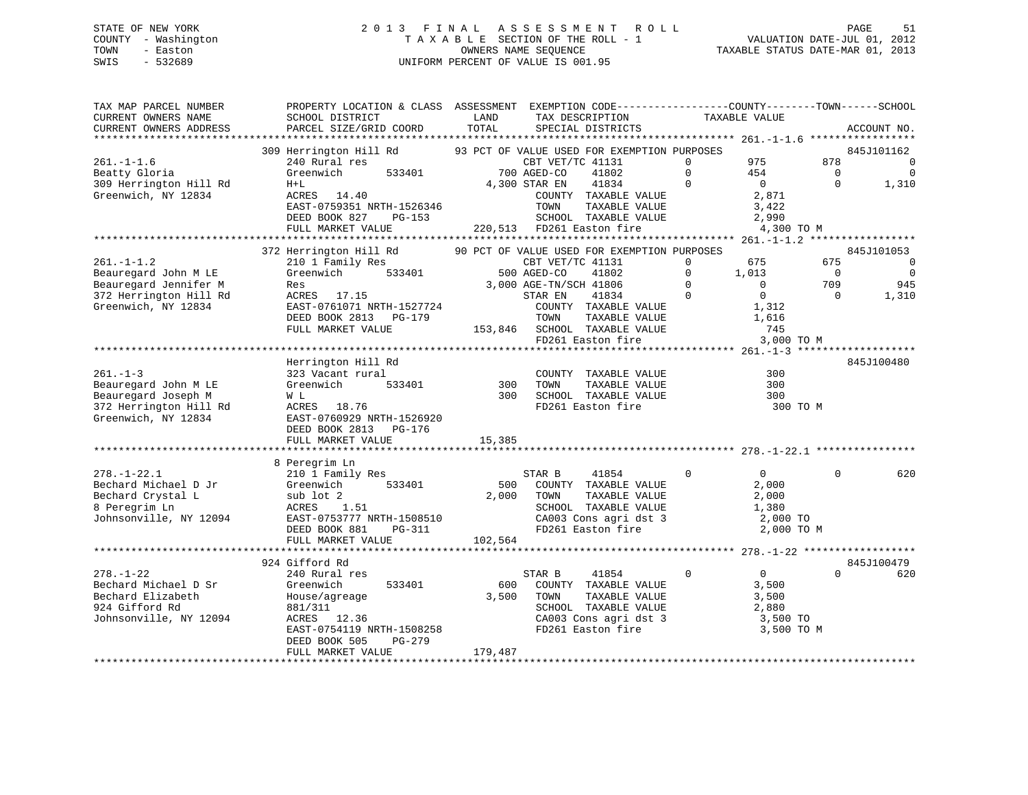# STATE OF NEW YORK 2 0 1 3 F I N A L A S S E S S M E N T R O L L PAGE 51 COUNTY - Washington T A X A B L E SECTION OF THE ROLL - 1 VALUATION DATE-JUL 01, 2012 TOWN - Easton **CONNERS NAME SEQUENCE** TAXABLE STATUS DATE-MAR 01, 2013 SWIS - 532689 UNIFORM PERCENT OF VALUE IS 001.95

| TAX MAP PARCEL NUMBER<br>CURRENT OWNERS NAME | PROPERTY LOCATION & CLASS ASSESSMENT EXEMPTION CODE----------------COUNTY-------TOWN------SCHOOL<br>SCHOOL DISTRICT | LAND          | TAX DESCRIPTION                                                 |                | TAXABLE VALUE  |                |                              |
|----------------------------------------------|---------------------------------------------------------------------------------------------------------------------|---------------|-----------------------------------------------------------------|----------------|----------------|----------------|------------------------------|
| CURRENT OWNERS ADDRESS                       | PARCEL SIZE/GRID COORD                                                                                              | TOTAL         | SPECIAL DISTRICTS                                               |                |                |                | ACCOUNT NO.                  |
|                                              |                                                                                                                     |               |                                                                 |                |                |                |                              |
|                                              | 309 Herrington Hill Rd 93 PCT OF VALUE USED FOR EXEMPTION PURPOSES                                                  |               |                                                                 |                |                |                | 845J101162                   |
| $261. - 1 - 1.6$                             | 240 Rural res                                                                                                       |               | CBT VET/TC 41131                                                | $\Omega$       | 975            | 878            | $\overline{0}$               |
| Beatty Gloria                                | 533401<br>Greenwich                                                                                                 |               | $700 \overline{\text{AGED} - \text{CO}}$<br>41802               | $\Omega$       | 454            | $\Omega$       | $\overline{0}$               |
| 309 Herrington Hill Rd                       | $H+L$                                                                                                               | 4,300 STAR EN | 41834                                                           | $\Omega$       | $\overline{0}$ | $\Omega$       | 1,310                        |
| Greenwich, NY 12834                          | ACRES 14.40                                                                                                         |               | COUNTY TAXABLE VALUE                                            |                | 2,871          |                |                              |
|                                              | EAST-0759351 NRTH-1526346                                                                                           |               | TOWN<br>TAXABLE VALUE                                           |                | 3,422          |                |                              |
|                                              | DEED BOOK 827 PG-153                                                                                                |               | SCHOOL TAXABLE VALUE                                            |                | 2,990          |                |                              |
|                                              | FULL MARKET VALUE                                                                                                   |               | 220,513 FD261 Easton fire                                       |                | 4,300 TO M     |                |                              |
|                                              |                                                                                                                     |               |                                                                 |                |                |                |                              |
| $261. -1 - 1.2$                              | 372 Herrington Hill Rd<br>210 1 Family Res                                                                          |               | 90 PCT OF VALUE USED FOR EXEMPTION PURPOSES<br>CBT VET/TC 41131 | $\Omega$       | 675            | 675            | 845J101053<br>$\overline{0}$ |
| Beauregard John M LE                         | 533401<br>Greenwich                                                                                                 |               | 500 AGED-CO<br>41802                                            | $\Omega$       | 1,013          | $\overline{0}$ | $\overline{0}$               |
| Beauregard Jennifer M                        | Res                                                                                                                 |               | 3,000 AGE-TN/SCH 41806                                          | $\Omega$       | $\Omega$       | 709            | 945                          |
| 372 Herrington Hill Rd                       | ACRES 17.15                                                                                                         |               | 41834<br>STAR EN                                                | $\overline{0}$ | $\mathbf 0$    | $\Omega$       | 1,310                        |
| Greenwich, NY 12834                          | EAST-0761071 NRTH-1527724                                                                                           |               | COUNTY TAXABLE VALUE                                            |                | 1,312          |                |                              |
|                                              | DEED BOOK 2813 PG-179                                                                                               |               | TOWN<br>TAXABLE VALL.<br>TAXABLE VALUE                          |                | 1,616          |                |                              |
|                                              | FULL MARKET VALUE                                                                                                   |               | 153,846 SCHOOL TAXABLE VALUE                                    |                | 745            |                |                              |
|                                              |                                                                                                                     |               | FD261 Easton fire                                               |                | 3,000 TO M     |                |                              |
|                                              |                                                                                                                     |               |                                                                 |                |                |                |                              |
|                                              | Herrington Hill Rd                                                                                                  |               |                                                                 |                |                |                | 845J100480                   |
| $261. - 1 - 3$                               | 323 Vacant rural                                                                                                    |               | COUNTY TAXABLE VALUE                                            |                | 300            |                |                              |
| Beauregard John M LE                         | 533401<br>Greenwich                                                                                                 | 300           | TOWN<br>TAXABLE VALUE                                           |                | 300            |                |                              |
| Beauregard Joseph M                          | W L                                                                                                                 | 300           | SCHOOL TAXABLE VALUE                                            |                | 300            |                |                              |
| 372 Herrington Hill Rd                       | ACRES 18.76                                                                                                         |               | FD261 Easton fire                                               |                | 300 TO M       |                |                              |
| Greenwich, NY 12834                          | EAST-0760929 NRTH-1526920                                                                                           |               |                                                                 |                |                |                |                              |
|                                              | DEED BOOK 2813 PG-176                                                                                               |               |                                                                 |                |                |                |                              |
|                                              | FULL MARKET VALUE                                                                                                   | 15,385        |                                                                 |                |                |                |                              |
|                                              |                                                                                                                     |               |                                                                 |                |                |                |                              |
|                                              | 8 Peregrim Ln                                                                                                       |               |                                                                 |                |                |                |                              |
| $278. - 1 - 22.1$                            | 210 1 Family Res                                                                                                    |               | 41854<br>STAR B                                                 | $\Omega$       | $\Omega$       | $\Omega$       | 620                          |
| Bechard Michael D Jr                         | 533401<br>Greenwich                                                                                                 | 500           | COUNTY TAXABLE VALUE                                            |                | 2,000          |                |                              |
| Bechard Crystal L                            | sub lot 2                                                                                                           | 2,000         | TOWN<br>TAXABLE VALUE                                           |                | 2,000          |                |                              |
| 8 Peregrim Ln                                | ACRES 1.51                                                                                                          |               | SCHOOL TAXABLE VALUE                                            |                | 1,380          |                |                              |
| Johnsonville, NY 12094                       | EAST-0753777 NRTH-1508510                                                                                           |               | CA003 Cons agri dst 3<br>FD261 Easton fire                      |                | 2,000 TO       |                |                              |
|                                              | DEED BOOK 881<br>PG-311                                                                                             |               |                                                                 |                | 2,000 TO M     |                |                              |
|                                              | FULL MARKET VALUE                                                                                                   | 102,564       |                                                                 |                |                |                |                              |
|                                              | 924 Gifford Rd                                                                                                      |               |                                                                 |                |                |                | 845J100479                   |
| $278. - 1 - 22$                              | 240 Rural res                                                                                                       |               | 41854<br>STAR B                                                 | $\Omega$       | $\overline{0}$ | $\Omega$       | 620                          |
| Bechard Michael D Sr                         | 533401<br>Greenwich                                                                                                 | 600           | COUNTY TAXABLE VALUE                                            |                | 3,500          |                |                              |
| Bechard Elizabeth                            | House/agreage                                                                                                       | 3,500         | TOWN<br>TAXABLE VALUE                                           |                | 3,500          |                |                              |
| 924 Gifford Rd                               | 881/311                                                                                                             |               | SCHOOL TAXABLE VALUE                                            |                | 2,880          |                |                              |
| Johnsonville, NY 12094                       | ACRES 12.36                                                                                                         |               | CA003 Cons agri dst $3$                                         |                | 3,500 TO       |                |                              |
|                                              | EAST-0754119 NRTH-1508258                                                                                           |               | FD261 Easton fire                                               |                | 3,500 TO M     |                |                              |
|                                              | DEED BOOK 505<br>PG-279                                                                                             |               |                                                                 |                |                |                |                              |
|                                              | FULL MARKET VALUE                                                                                                   | 179,487       |                                                                 |                |                |                |                              |
|                                              |                                                                                                                     |               |                                                                 |                |                |                |                              |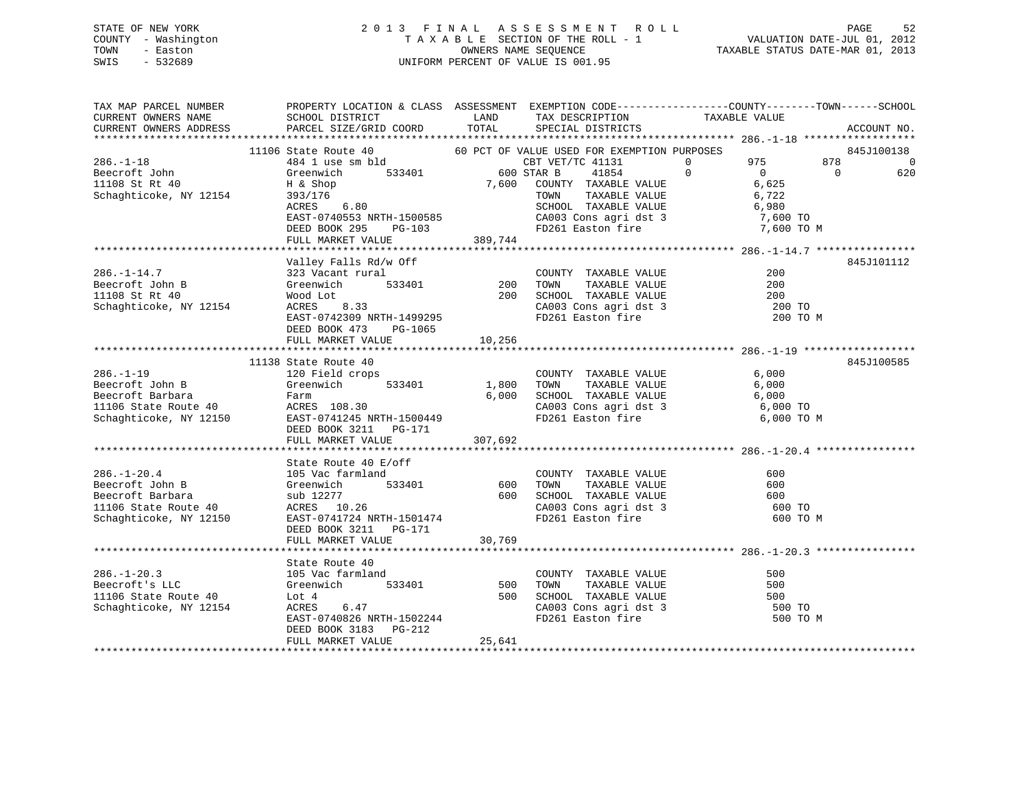# STATE OF NEW YORK 2 0 1 3 F I N A L A S S E S S M E N T R O L L PAGE 52 COUNTY - Washington T A X A B L E SECTION OF THE ROLL - 1 VALUATION DATE-JUL 01, 2012 TOWN - Easton OWNERS NAME SEQUENCE TAXABLE STATUS DATE-MAR 01, 2013 SWIS - 532689 UNIFORM PERCENT OF VALUE IS 001.95

| 11106 Schapes (1-1 and the Market Market Market Market Market Market Market Market Market Market Market Market Market Market Market Market Market Market Market Market Market Market Market Market Market Market Market Market<br>845J100138<br>$\sim$ 0<br>620<br>845J101112<br>200 TO M<br>DEED BOOK 473 PG-1065<br>FULL MARKET VALUE 10,256<br>845J100585<br>11138 State Route 40<br>11138 State Route 40<br>120 Field crops<br>$286. - 1 - 19$<br>COUNTY TAXABLE VALUE 6,000<br>Exercise The Contraction of the Contraction of the Contraction of the Contraction of the Contraction of the Contraction of the Contraction of the Contraction of the Contraction of the Contraction of the Contraction of the<br>6,000 SCHOOL TAXABLE VALUE 6,000 TO<br>CA003 Cons agri dst 3 6,000 TO<br>6,000 TO M<br>$\begin{tabular}{lllllllllllllllllll} \multicolumn{3}{c}{\text{\small 286. -1-20.4}} & \multicolumn{3}{c}{\text{\small 586. -1-20.4}} & \multicolumn{3}{c}{\text{\small 586. -1-20.4}} & \multicolumn{3}{c}{\text{\small 586. -1-20.4}} & \multicolumn{3}{c}{\text{\small 586. -1-20.4}} & \multicolumn{3}{c}{\text{\small 586. -1-20.4}} & \multicolumn{3}{c}{\text{\small 586. -1-20.4}} & \multicolumn{3}{c}{\text{\small $<br>600 TO M<br>30,769<br>FULL MARKET VALUE<br>$\begin{tabular}{lcccccc} 286.-1-20.3 & \text{State Route 40} & \text{COUNTY TAXABLE VALUE} & 500 \\ \text{Beecroft's LLC} & 105 \text{Vac farmland} & 533401 & 500 \text{ TOWN TAXABLE VALUE} & 500 \\ \text{Greenwich} & 533401 & 500 \text{ TOWN TAXABLE VALUE} & 500 \\ \text{1106 State Route 40} & \text{Lot 4} & 500 \text{ SCHOOL TAXABLE VALUE} & 500 \\ \text{Schaghticoke, NY 12154} & \text{ACRES} & 6.47 & \text{CA003 Cons agri$<br>500 TO M<br>25,641 | TAX MAP PARCEL NUMBER | PROPERTY LOCATION & CLASS ASSESSMENT EXEMPTION CODE----------------COUNTY-------TOWN------SCHOOL |  |  |  |
|---------------------------------------------------------------------------------------------------------------------------------------------------------------------------------------------------------------------------------------------------------------------------------------------------------------------------------------------------------------------------------------------------------------------------------------------------------------------------------------------------------------------------------------------------------------------------------------------------------------------------------------------------------------------------------------------------------------------------------------------------------------------------------------------------------------------------------------------------------------------------------------------------------------------------------------------------------------------------------------------------------------------------------------------------------------------------------------------------------------------------------------------------------------------------------------------------------------------------------------------------------------------------------------------------------------------------------------------------------------------------------------------------------------------------------------------------------------------------------------------------------------------------------------------------------------------------------------------------------------------------------------------------------------------------------------------------------------------------------------------------------------|-----------------------|--------------------------------------------------------------------------------------------------|--|--|--|
|                                                                                                                                                                                                                                                                                                                                                                                                                                                                                                                                                                                                                                                                                                                                                                                                                                                                                                                                                                                                                                                                                                                                                                                                                                                                                                                                                                                                                                                                                                                                                                                                                                                                                                                                                               |                       |                                                                                                  |  |  |  |
|                                                                                                                                                                                                                                                                                                                                                                                                                                                                                                                                                                                                                                                                                                                                                                                                                                                                                                                                                                                                                                                                                                                                                                                                                                                                                                                                                                                                                                                                                                                                                                                                                                                                                                                                                               |                       |                                                                                                  |  |  |  |
|                                                                                                                                                                                                                                                                                                                                                                                                                                                                                                                                                                                                                                                                                                                                                                                                                                                                                                                                                                                                                                                                                                                                                                                                                                                                                                                                                                                                                                                                                                                                                                                                                                                                                                                                                               |                       |                                                                                                  |  |  |  |
|                                                                                                                                                                                                                                                                                                                                                                                                                                                                                                                                                                                                                                                                                                                                                                                                                                                                                                                                                                                                                                                                                                                                                                                                                                                                                                                                                                                                                                                                                                                                                                                                                                                                                                                                                               |                       |                                                                                                  |  |  |  |
|                                                                                                                                                                                                                                                                                                                                                                                                                                                                                                                                                                                                                                                                                                                                                                                                                                                                                                                                                                                                                                                                                                                                                                                                                                                                                                                                                                                                                                                                                                                                                                                                                                                                                                                                                               |                       |                                                                                                  |  |  |  |
|                                                                                                                                                                                                                                                                                                                                                                                                                                                                                                                                                                                                                                                                                                                                                                                                                                                                                                                                                                                                                                                                                                                                                                                                                                                                                                                                                                                                                                                                                                                                                                                                                                                                                                                                                               |                       |                                                                                                  |  |  |  |
|                                                                                                                                                                                                                                                                                                                                                                                                                                                                                                                                                                                                                                                                                                                                                                                                                                                                                                                                                                                                                                                                                                                                                                                                                                                                                                                                                                                                                                                                                                                                                                                                                                                                                                                                                               |                       |                                                                                                  |  |  |  |
|                                                                                                                                                                                                                                                                                                                                                                                                                                                                                                                                                                                                                                                                                                                                                                                                                                                                                                                                                                                                                                                                                                                                                                                                                                                                                                                                                                                                                                                                                                                                                                                                                                                                                                                                                               |                       |                                                                                                  |  |  |  |
|                                                                                                                                                                                                                                                                                                                                                                                                                                                                                                                                                                                                                                                                                                                                                                                                                                                                                                                                                                                                                                                                                                                                                                                                                                                                                                                                                                                                                                                                                                                                                                                                                                                                                                                                                               |                       |                                                                                                  |  |  |  |
|                                                                                                                                                                                                                                                                                                                                                                                                                                                                                                                                                                                                                                                                                                                                                                                                                                                                                                                                                                                                                                                                                                                                                                                                                                                                                                                                                                                                                                                                                                                                                                                                                                                                                                                                                               |                       |                                                                                                  |  |  |  |
|                                                                                                                                                                                                                                                                                                                                                                                                                                                                                                                                                                                                                                                                                                                                                                                                                                                                                                                                                                                                                                                                                                                                                                                                                                                                                                                                                                                                                                                                                                                                                                                                                                                                                                                                                               |                       |                                                                                                  |  |  |  |
|                                                                                                                                                                                                                                                                                                                                                                                                                                                                                                                                                                                                                                                                                                                                                                                                                                                                                                                                                                                                                                                                                                                                                                                                                                                                                                                                                                                                                                                                                                                                                                                                                                                                                                                                                               |                       |                                                                                                  |  |  |  |
|                                                                                                                                                                                                                                                                                                                                                                                                                                                                                                                                                                                                                                                                                                                                                                                                                                                                                                                                                                                                                                                                                                                                                                                                                                                                                                                                                                                                                                                                                                                                                                                                                                                                                                                                                               |                       |                                                                                                  |  |  |  |
|                                                                                                                                                                                                                                                                                                                                                                                                                                                                                                                                                                                                                                                                                                                                                                                                                                                                                                                                                                                                                                                                                                                                                                                                                                                                                                                                                                                                                                                                                                                                                                                                                                                                                                                                                               |                       |                                                                                                  |  |  |  |
|                                                                                                                                                                                                                                                                                                                                                                                                                                                                                                                                                                                                                                                                                                                                                                                                                                                                                                                                                                                                                                                                                                                                                                                                                                                                                                                                                                                                                                                                                                                                                                                                                                                                                                                                                               |                       |                                                                                                  |  |  |  |
|                                                                                                                                                                                                                                                                                                                                                                                                                                                                                                                                                                                                                                                                                                                                                                                                                                                                                                                                                                                                                                                                                                                                                                                                                                                                                                                                                                                                                                                                                                                                                                                                                                                                                                                                                               |                       |                                                                                                  |  |  |  |
|                                                                                                                                                                                                                                                                                                                                                                                                                                                                                                                                                                                                                                                                                                                                                                                                                                                                                                                                                                                                                                                                                                                                                                                                                                                                                                                                                                                                                                                                                                                                                                                                                                                                                                                                                               |                       |                                                                                                  |  |  |  |
|                                                                                                                                                                                                                                                                                                                                                                                                                                                                                                                                                                                                                                                                                                                                                                                                                                                                                                                                                                                                                                                                                                                                                                                                                                                                                                                                                                                                                                                                                                                                                                                                                                                                                                                                                               |                       |                                                                                                  |  |  |  |
|                                                                                                                                                                                                                                                                                                                                                                                                                                                                                                                                                                                                                                                                                                                                                                                                                                                                                                                                                                                                                                                                                                                                                                                                                                                                                                                                                                                                                                                                                                                                                                                                                                                                                                                                                               |                       |                                                                                                  |  |  |  |
|                                                                                                                                                                                                                                                                                                                                                                                                                                                                                                                                                                                                                                                                                                                                                                                                                                                                                                                                                                                                                                                                                                                                                                                                                                                                                                                                                                                                                                                                                                                                                                                                                                                                                                                                                               |                       |                                                                                                  |  |  |  |
|                                                                                                                                                                                                                                                                                                                                                                                                                                                                                                                                                                                                                                                                                                                                                                                                                                                                                                                                                                                                                                                                                                                                                                                                                                                                                                                                                                                                                                                                                                                                                                                                                                                                                                                                                               |                       |                                                                                                  |  |  |  |
|                                                                                                                                                                                                                                                                                                                                                                                                                                                                                                                                                                                                                                                                                                                                                                                                                                                                                                                                                                                                                                                                                                                                                                                                                                                                                                                                                                                                                                                                                                                                                                                                                                                                                                                                                               |                       |                                                                                                  |  |  |  |
|                                                                                                                                                                                                                                                                                                                                                                                                                                                                                                                                                                                                                                                                                                                                                                                                                                                                                                                                                                                                                                                                                                                                                                                                                                                                                                                                                                                                                                                                                                                                                                                                                                                                                                                                                               |                       |                                                                                                  |  |  |  |
|                                                                                                                                                                                                                                                                                                                                                                                                                                                                                                                                                                                                                                                                                                                                                                                                                                                                                                                                                                                                                                                                                                                                                                                                                                                                                                                                                                                                                                                                                                                                                                                                                                                                                                                                                               |                       |                                                                                                  |  |  |  |
|                                                                                                                                                                                                                                                                                                                                                                                                                                                                                                                                                                                                                                                                                                                                                                                                                                                                                                                                                                                                                                                                                                                                                                                                                                                                                                                                                                                                                                                                                                                                                                                                                                                                                                                                                               |                       |                                                                                                  |  |  |  |
|                                                                                                                                                                                                                                                                                                                                                                                                                                                                                                                                                                                                                                                                                                                                                                                                                                                                                                                                                                                                                                                                                                                                                                                                                                                                                                                                                                                                                                                                                                                                                                                                                                                                                                                                                               |                       |                                                                                                  |  |  |  |
|                                                                                                                                                                                                                                                                                                                                                                                                                                                                                                                                                                                                                                                                                                                                                                                                                                                                                                                                                                                                                                                                                                                                                                                                                                                                                                                                                                                                                                                                                                                                                                                                                                                                                                                                                               |                       |                                                                                                  |  |  |  |
|                                                                                                                                                                                                                                                                                                                                                                                                                                                                                                                                                                                                                                                                                                                                                                                                                                                                                                                                                                                                                                                                                                                                                                                                                                                                                                                                                                                                                                                                                                                                                                                                                                                                                                                                                               |                       |                                                                                                  |  |  |  |
|                                                                                                                                                                                                                                                                                                                                                                                                                                                                                                                                                                                                                                                                                                                                                                                                                                                                                                                                                                                                                                                                                                                                                                                                                                                                                                                                                                                                                                                                                                                                                                                                                                                                                                                                                               |                       |                                                                                                  |  |  |  |
|                                                                                                                                                                                                                                                                                                                                                                                                                                                                                                                                                                                                                                                                                                                                                                                                                                                                                                                                                                                                                                                                                                                                                                                                                                                                                                                                                                                                                                                                                                                                                                                                                                                                                                                                                               |                       |                                                                                                  |  |  |  |
|                                                                                                                                                                                                                                                                                                                                                                                                                                                                                                                                                                                                                                                                                                                                                                                                                                                                                                                                                                                                                                                                                                                                                                                                                                                                                                                                                                                                                                                                                                                                                                                                                                                                                                                                                               |                       |                                                                                                  |  |  |  |
|                                                                                                                                                                                                                                                                                                                                                                                                                                                                                                                                                                                                                                                                                                                                                                                                                                                                                                                                                                                                                                                                                                                                                                                                                                                                                                                                                                                                                                                                                                                                                                                                                                                                                                                                                               |                       |                                                                                                  |  |  |  |
|                                                                                                                                                                                                                                                                                                                                                                                                                                                                                                                                                                                                                                                                                                                                                                                                                                                                                                                                                                                                                                                                                                                                                                                                                                                                                                                                                                                                                                                                                                                                                                                                                                                                                                                                                               |                       |                                                                                                  |  |  |  |
|                                                                                                                                                                                                                                                                                                                                                                                                                                                                                                                                                                                                                                                                                                                                                                                                                                                                                                                                                                                                                                                                                                                                                                                                                                                                                                                                                                                                                                                                                                                                                                                                                                                                                                                                                               |                       |                                                                                                  |  |  |  |
|                                                                                                                                                                                                                                                                                                                                                                                                                                                                                                                                                                                                                                                                                                                                                                                                                                                                                                                                                                                                                                                                                                                                                                                                                                                                                                                                                                                                                                                                                                                                                                                                                                                                                                                                                               |                       |                                                                                                  |  |  |  |
|                                                                                                                                                                                                                                                                                                                                                                                                                                                                                                                                                                                                                                                                                                                                                                                                                                                                                                                                                                                                                                                                                                                                                                                                                                                                                                                                                                                                                                                                                                                                                                                                                                                                                                                                                               |                       |                                                                                                  |  |  |  |
|                                                                                                                                                                                                                                                                                                                                                                                                                                                                                                                                                                                                                                                                                                                                                                                                                                                                                                                                                                                                                                                                                                                                                                                                                                                                                                                                                                                                                                                                                                                                                                                                                                                                                                                                                               |                       |                                                                                                  |  |  |  |
|                                                                                                                                                                                                                                                                                                                                                                                                                                                                                                                                                                                                                                                                                                                                                                                                                                                                                                                                                                                                                                                                                                                                                                                                                                                                                                                                                                                                                                                                                                                                                                                                                                                                                                                                                               |                       |                                                                                                  |  |  |  |
|                                                                                                                                                                                                                                                                                                                                                                                                                                                                                                                                                                                                                                                                                                                                                                                                                                                                                                                                                                                                                                                                                                                                                                                                                                                                                                                                                                                                                                                                                                                                                                                                                                                                                                                                                               |                       |                                                                                                  |  |  |  |
|                                                                                                                                                                                                                                                                                                                                                                                                                                                                                                                                                                                                                                                                                                                                                                                                                                                                                                                                                                                                                                                                                                                                                                                                                                                                                                                                                                                                                                                                                                                                                                                                                                                                                                                                                               |                       |                                                                                                  |  |  |  |
|                                                                                                                                                                                                                                                                                                                                                                                                                                                                                                                                                                                                                                                                                                                                                                                                                                                                                                                                                                                                                                                                                                                                                                                                                                                                                                                                                                                                                                                                                                                                                                                                                                                                                                                                                               |                       |                                                                                                  |  |  |  |
|                                                                                                                                                                                                                                                                                                                                                                                                                                                                                                                                                                                                                                                                                                                                                                                                                                                                                                                                                                                                                                                                                                                                                                                                                                                                                                                                                                                                                                                                                                                                                                                                                                                                                                                                                               |                       |                                                                                                  |  |  |  |
|                                                                                                                                                                                                                                                                                                                                                                                                                                                                                                                                                                                                                                                                                                                                                                                                                                                                                                                                                                                                                                                                                                                                                                                                                                                                                                                                                                                                                                                                                                                                                                                                                                                                                                                                                               |                       |                                                                                                  |  |  |  |
|                                                                                                                                                                                                                                                                                                                                                                                                                                                                                                                                                                                                                                                                                                                                                                                                                                                                                                                                                                                                                                                                                                                                                                                                                                                                                                                                                                                                                                                                                                                                                                                                                                                                                                                                                               |                       |                                                                                                  |  |  |  |
|                                                                                                                                                                                                                                                                                                                                                                                                                                                                                                                                                                                                                                                                                                                                                                                                                                                                                                                                                                                                                                                                                                                                                                                                                                                                                                                                                                                                                                                                                                                                                                                                                                                                                                                                                               |                       |                                                                                                  |  |  |  |
|                                                                                                                                                                                                                                                                                                                                                                                                                                                                                                                                                                                                                                                                                                                                                                                                                                                                                                                                                                                                                                                                                                                                                                                                                                                                                                                                                                                                                                                                                                                                                                                                                                                                                                                                                               |                       |                                                                                                  |  |  |  |
|                                                                                                                                                                                                                                                                                                                                                                                                                                                                                                                                                                                                                                                                                                                                                                                                                                                                                                                                                                                                                                                                                                                                                                                                                                                                                                                                                                                                                                                                                                                                                                                                                                                                                                                                                               |                       |                                                                                                  |  |  |  |
|                                                                                                                                                                                                                                                                                                                                                                                                                                                                                                                                                                                                                                                                                                                                                                                                                                                                                                                                                                                                                                                                                                                                                                                                                                                                                                                                                                                                                                                                                                                                                                                                                                                                                                                                                               |                       |                                                                                                  |  |  |  |
|                                                                                                                                                                                                                                                                                                                                                                                                                                                                                                                                                                                                                                                                                                                                                                                                                                                                                                                                                                                                                                                                                                                                                                                                                                                                                                                                                                                                                                                                                                                                                                                                                                                                                                                                                               |                       |                                                                                                  |  |  |  |
|                                                                                                                                                                                                                                                                                                                                                                                                                                                                                                                                                                                                                                                                                                                                                                                                                                                                                                                                                                                                                                                                                                                                                                                                                                                                                                                                                                                                                                                                                                                                                                                                                                                                                                                                                               |                       |                                                                                                  |  |  |  |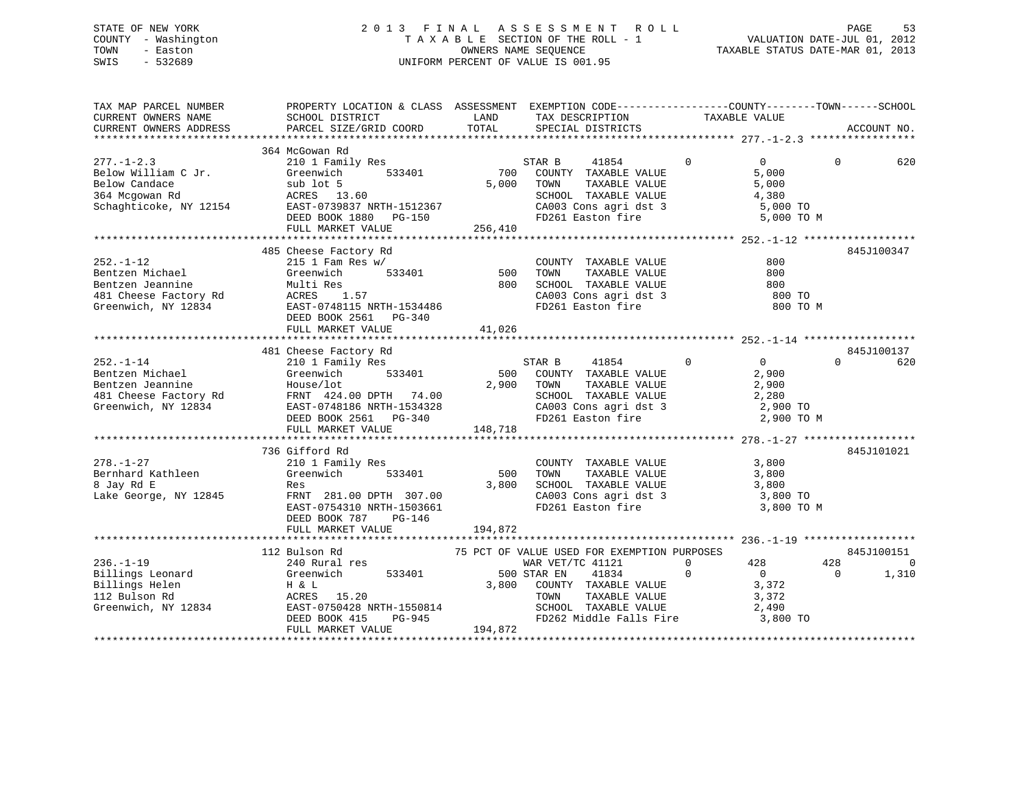# STATE OF NEW YORK 2 0 1 3 F I N A L A S S E S S M E N T R O L L PAGE 53 COUNTY - Washington T A X A B L E SECTION OF THE ROLL - 1 VALUATION DATE-JUL 01, 2012 TOWN - Easton OWNERS NAME SEQUENCE TAXABLE STATUS DATE-MAR 01, 2013 SWIS - 532689 UNIFORM PERCENT OF VALUE IS 001.95

| TAX MAP PARCEL NUMBER<br>CURRENT OWNERS NAME<br>CURRENT OWNERS ADDRESS                                                                                                        | PROPERTY LOCATION & CLASS ASSESSMENT EXEMPTION CODE----------------COUNTY-------TOWN-----SCHOOL<br>SCHOOL DISTRICT LAND<br>PARCEL SIZE/GRID COORD                                                                                                                              | TOTAL        | TAX DESCRIPTION TAXABLE VALUE SPECIAL DISTRICTS                                                                                                                                                                                                                     |                         | ACCOUNT NO.                                                                                   |
|-------------------------------------------------------------------------------------------------------------------------------------------------------------------------------|--------------------------------------------------------------------------------------------------------------------------------------------------------------------------------------------------------------------------------------------------------------------------------|--------------|---------------------------------------------------------------------------------------------------------------------------------------------------------------------------------------------------------------------------------------------------------------------|-------------------------|-----------------------------------------------------------------------------------------------|
|                                                                                                                                                                               | 364 McGowan Rd                                                                                                                                                                                                                                                                 |              | $\begin{tabular}{lllllllll} \multicolumn{2}{c}{\text{\small\tt TOWN}} & \multicolumn{2}{c}{\text{\small\tt TAXABLE VALUE}} & \\ \multicolumn{2}{c}{\text{\small\tt SCHOOD}} & \multicolumn{2}{c}{\text{\small\tt TAXABLE VALUE}} & \\ & & & & 4 \end{tabular}, 380$ |                         | $\overline{0}$<br>$\Omega$<br>620<br>5,000<br>5,000 TO<br>5,000 TO M                          |
| $252. - 1 - 12$                                                                                                                                                               | 485 Cheese Factory Rd<br>XACTER Michael Sentzen Michael Sentzen Jehr Multi Res<br>1988 - Hall Cheese Factory Rd<br>1989 - Marchael Multi Res<br>1.57<br>Creenwich, NY 12834 - EAST-0748115 NRTH-1534486<br>DEED BOOK 2561 PG-340<br>THITE MADER VALUE<br>FULL MARKET VALUE     | 41,026       | COUNTY TAXABLE VALUE<br>CA003 Cons agri dst 3<br>FD261 Easton fire                                                                                                                                                                                                  |                         | 845J100347<br>800<br>800<br>800<br>800 TO<br>800 TO M                                         |
|                                                                                                                                                                               | 481 Cheese Factory Rd                                                                                                                                                                                                                                                          |              |                                                                                                                                                                                                                                                                     |                         | 845J100137                                                                                    |
| $252. - 1 - 14$                                                                                                                                                               | 210 1 Family Res<br>Greenwich 533401<br>252.-1-14<br>Bentzen Jeannine (School House Alexander Mondal House Alexander Mondal House Alexander Mondal Mondal House 2,900<br>481 Cheese Factory Rd FRNT 424.00 DPTH 74.00<br>Greenwich, NY 12834 EAST-0748186 NRTH-1534328<br>FREE | 2,900 TOWN   | STAR B 41854<br>500 COUNTY TAXABLE VALUE<br>7 900 TOWN TAXABLE VALUE<br>SCHOOL TAXABLE VALUE 2,280<br>CA003 Cons agri dst 3 2,900 TO<br>FD261 Easton fire                                                                                                           |                         | $\overline{0}$<br>$\Omega$<br>620<br>2,900<br>2,900<br>2,900 TO M                             |
|                                                                                                                                                                               | FULL MARKET VALUE                                                                                                                                                                                                                                                              | 148,718      |                                                                                                                                                                                                                                                                     |                         |                                                                                               |
| 278.-1-27<br>Bernhard Kathleen<br>8 Jay Rd E<br>Lake George, NY 12845                                                                                                         | 736 Gifford Rd<br>Res<br>FRNT 281.00 DPTH 307.00<br>EAST-0754310 NRTH-1503661<br>DEED BOOK 787 PG-146                                                                                                                                                                          | 500<br>3,800 | COUNTY TAXABLE VALUE<br>TOWN      TAXABLE VALUE<br>SCHOOL TAXABLE VALUE 3,800<br>CA003 Cons agri dst 3 3 3,800 TO<br>FD261 Easton fire                                                                                                                              | 3,800                   | 845J101021<br>3,800<br>3,800 TO M                                                             |
|                                                                                                                                                                               | FULL MARKET VALUE                                                                                                                                                                                                                                                              | 194,872      |                                                                                                                                                                                                                                                                     |                         |                                                                                               |
| $236. - 1 - 19$<br>Billings Leonard Greenwich<br>Billings Helen<br>Billings Helen<br>112 Bulson Rd<br>Greenwich, NY 12834<br>EAST-0750428 N<br>NET-0750428 N<br>NET-0750428 N | 112 Bulson Rd<br>240 Rural res<br>533401 500 STAR EN                                                                                                                                                                                                                           |              | 75 PCT OF VALUE USED FOR EXEMPTION PURPOSES<br>WAR VET/TC 41121<br>41834<br>$\overline{0}$<br>3,800 COUNTY TAXABLE VALUE<br>TAXABLE VALUE<br>TOWN                                                                                                                   | $\overline{a}$<br>3,372 | 845J100151<br>428<br>428<br>$\mathbf 0$<br>$\overline{0}$<br>$\overline{0}$<br>1,310<br>3,372 |
|                                                                                                                                                                               | EAST-0750428 NRTH-1550814<br>DEED BOOK 415<br>FULL MADED WALS PG-945<br>FULL MARKET VALUE                                                                                                                                                                                      | 194,872      | **********                                                                                                                                                                                                                                                          |                         |                                                                                               |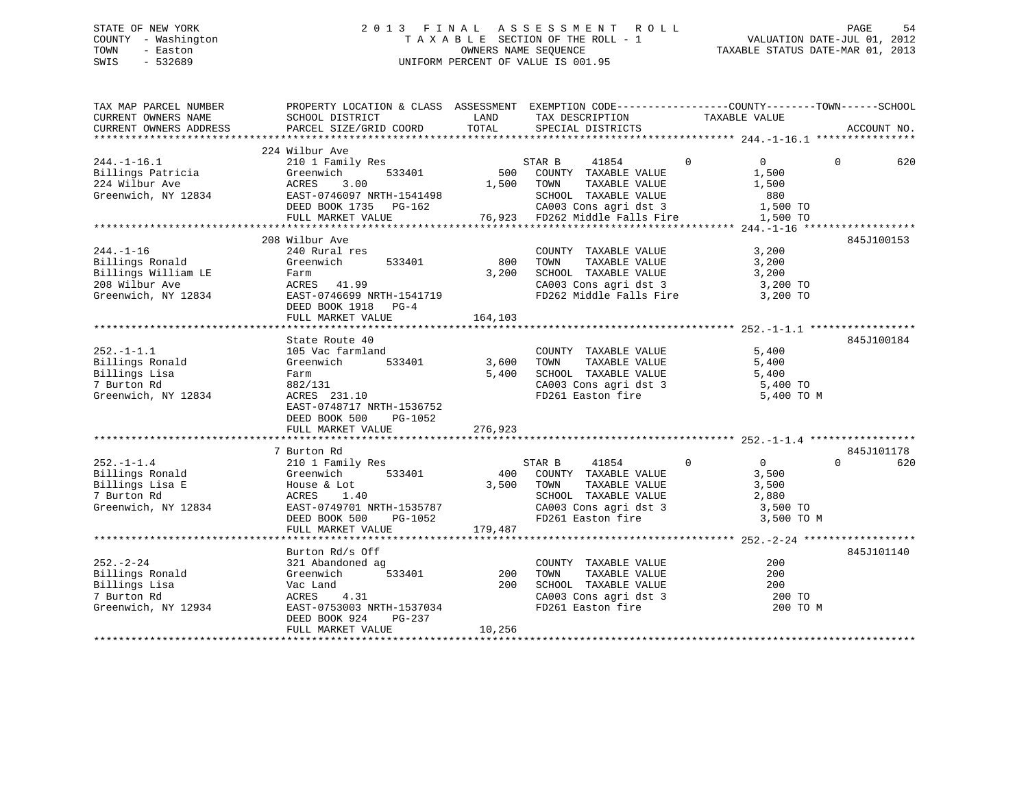# STATE OF NEW YORK 2 0 1 3 F I N A L A S S E S S M E N T R O L L PAGE 54 COUNTY - Washington T A X A B L E SECTION OF THE ROLL - 1 VALUATION DATE-JUL 01, 2012 TOWN - Easton OWNERS NAME SEQUENCE TAXABLE STATUS DATE-MAR 01, 2013 SWIS - 532689 UNIFORM PERCENT OF VALUE IS 001.95

| TAX MAP PARCEL NUMBER<br>CURRENT OWNERS NAME<br>CURRENT OWNERS ADDRESS                             | PROPERTY LOCATION & CLASS ASSESSMENT EXEMPTION CODE----------------COUNTY-------TOWN------SCHOOL<br>SCHOOL DISTRICT<br>PARCEL SIZE/GRID COORD                       | LAND<br>TOTAL           | TAX DESCRIPTION<br>SPECIAL DISTRICTS                                                                                               | TAXABLE VALUE                                                             | ACCOUNT NO.                   |
|----------------------------------------------------------------------------------------------------|---------------------------------------------------------------------------------------------------------------------------------------------------------------------|-------------------------|------------------------------------------------------------------------------------------------------------------------------------|---------------------------------------------------------------------------|-------------------------------|
|                                                                                                    |                                                                                                                                                                     |                         |                                                                                                                                    |                                                                           |                               |
| $244. - 1 - 16.1$<br>Billings Patricia<br>224 Wilbur Ave<br>Greenwich, NY 12834                    | 224 Wilbur Ave<br>210 1 Family Res<br>533401<br>Greenwich<br>ACRES<br>3.00<br>EAST-0746097 NRTH-1541498<br>DEED BOOK 1735 PG-162<br>FULL MARKET VALUE               |                         | 41854<br>STAR B<br>500 COUNTY TAXABLE VALUE<br>1,500 TOWN<br>TAXABLE VALUE<br>SCHOOL TAXABLE VALUE                                 | $\overline{0}$<br>$\overline{0}$<br>1,500<br>1,500<br>880                 | $\Omega$<br>620               |
|                                                                                                    |                                                                                                                                                                     |                         |                                                                                                                                    |                                                                           |                               |
| $244. - 1 - 16$<br>Billings Ronald<br>Billings William LE<br>208 Wilbur Ave<br>Greenwich, NY 12834 | 208 Wilbur Ave<br>240 Rural res<br>533401<br>Greenwich<br>Farm<br>rarm<br>ACRES      41.99<br>EAST-0746699 NRTH-1541719<br>DEED BOOK 1918 PG-4<br>FULL MARKET VALUE | 800<br>3,200<br>164,103 | COUNTY TAXABLE VALUE<br>TAXABLE VALUE<br>TOWN<br>SCHOOL TAXABLE VALUE<br>CA003 Cons agri dst 3<br>FD262 Middle Falls Fire 3,200 TO | 3,200<br>3,200<br>3,200<br>3,200 TO                                       | 845J100153                    |
|                                                                                                    | State Route 40                                                                                                                                                      |                         |                                                                                                                                    |                                                                           | 845J100184                    |
| $252. -1 - 1.1$<br>Billings Ronald<br>Billings Lisa<br>7 Burton Rd<br>Greenwich, NY 12834          | 105 Vac farmland<br>Greenwich<br>533401<br>Farm<br>002/131<br>ACRES 231.10<br>EAST-0748717 NRTH-1536752<br>DEED BOOK 500<br>PG-1052                                 | 3,600<br>5,400          | COUNTY TAXABLE VALUE<br>TAXABLE VALUE<br>TOWN<br>SCHOOL TAXABLE VALUE<br>CA003 Cons agri dst 3<br>FD261 Easton fire                | 5,400<br>5,400<br>5,400<br>5,400 TO<br>5,400 TO M                         |                               |
|                                                                                                    | FULL MARKET VALUE                                                                                                                                                   | 276,923                 |                                                                                                                                    |                                                                           |                               |
|                                                                                                    |                                                                                                                                                                     |                         |                                                                                                                                    |                                                                           |                               |
| $252. - 1 - 1.4$<br>Billings Ronald<br>Billings Lisa E<br>7 Burton Rd<br>Greenwich, NY 12834       | 7 Burton Rd<br>210 1 Family Res<br>533401<br>Greenwich<br>House & Lot<br>ACRES 1.40<br>EAST-0749701 NRTH-1535787<br>DEED BOOK 500 PG-1052                           | 3,500 TOWN              | 41854<br>STAR B<br>400 COUNTY TAXABLE VALUE<br>TAXABLE VALUE<br>SCHOOL TAXABLE VALUE<br>FD261 Easton fire                          | $\overline{0}$<br>$\overline{0}$<br>3,500<br>3,500<br>2,880<br>3,500 TO M | 845J101178<br>$\Omega$<br>620 |
|                                                                                                    | FULL MARKET VALUE                                                                                                                                                   | 179,487                 |                                                                                                                                    |                                                                           |                               |
| $252 - 2 - 24$<br>Billings Ronald<br>Billings Lisa<br>7 Burton Rd<br>Greenwich, NY 12934           | Burton Rd/s Off<br>321 Abandoned ag<br>533401<br>Greenwich<br>Vac Land<br>4.31<br>ACRES<br>EAST-0753003 NRTH-1537034                                                | 200<br>200              | COUNTY TAXABLE VALUE<br>SCHOOL TAXABLE VALUE<br>CA003 Cons agri dst 3<br>FD261 Easton fire                                         | 200<br>200<br>200<br>200 TO<br>200 TO M                                   | 845J101140                    |
|                                                                                                    | DEED BOOK 924<br>PG-237<br>FULL MARKET VALUE                                                                                                                        | 10,256                  |                                                                                                                                    |                                                                           |                               |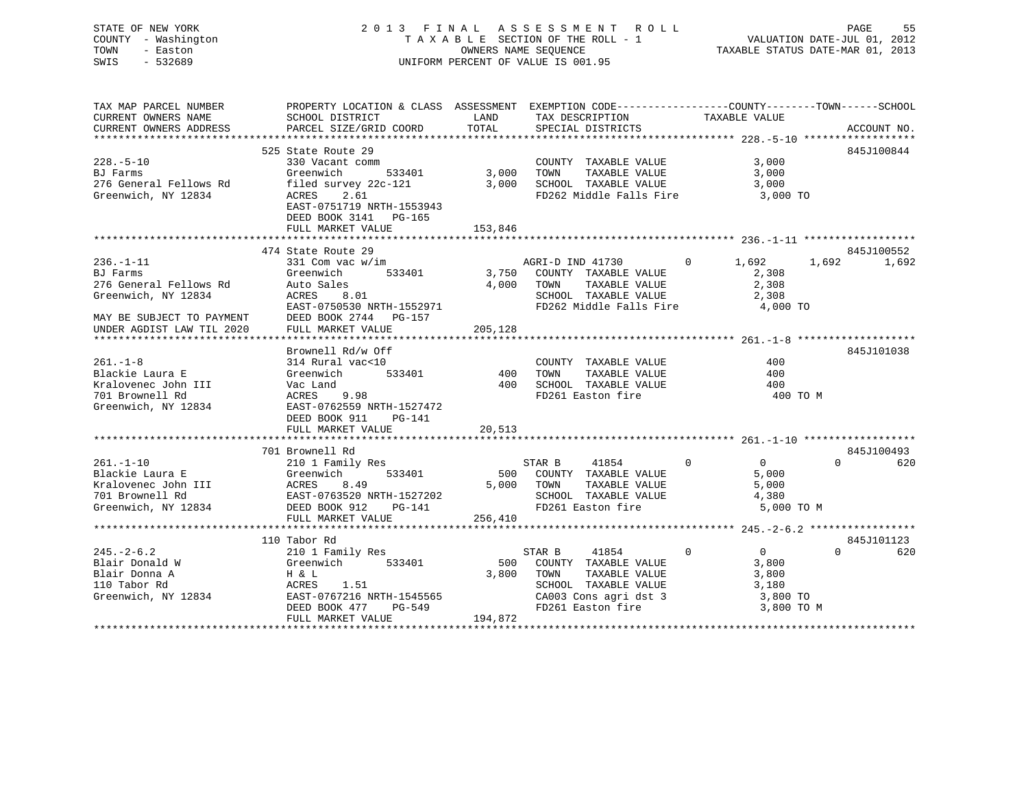# STATE OF NEW YORK 2 0 1 3 F I N A L A S S E S S M E N T R O L L PAGE 55 COUNTY - Washington T A X A B L E SECTION OF THE ROLL - 1 VALUATION DATE-JUL 01, 2012 TOWN - Easton OWNERS NAME SEQUENCE TAXABLE STATUS DATE-MAR 01, 2013 SWIS - 532689 UNIFORM PERCENT OF VALUE IS 001.95

| TAX MAP PARCEL NUMBER<br>CURRENT OWNERS NAME<br>CURRENT OWNERS ADDRESS                                                                                                                                | PROPERTY LOCATION & CLASS ASSESSMENT EXEMPTION CODE----------------COUNTY-------TOWN-----SCHOOL<br>SCHOOL DISTRICT<br>PARCEL SIZE/GRID COORD                                                                                          | <b>LAND</b><br>TOTAL         | TAX DESCRIPTION TAXABLE VALUE SPECIAL DISTRICTS                                                                                                                                 |                                              | ACCOUNT NO.     |
|-------------------------------------------------------------------------------------------------------------------------------------------------------------------------------------------------------|---------------------------------------------------------------------------------------------------------------------------------------------------------------------------------------------------------------------------------------|------------------------------|---------------------------------------------------------------------------------------------------------------------------------------------------------------------------------|----------------------------------------------|-----------------|
| $228. - 5 - 10$<br>BJ Farms<br>276 General Fellows Rd<br>Greenwich, NY 12834                                                                                                                          | 525 State Route 29<br>330 Vacant comm<br>Greenwich<br>filed survey 22c-121 3,000 SCHOOL TAXABLE VALUE 3,000<br>ACRES 2.61 FD262 Middle Falls Fire 3,000 TO<br>EAST-0751719 NRTH-1553943<br>DEED BOOK 3141 PG-165<br>FULL MARKET VALUE | 533401 3,000 TOWN<br>153,846 | COUNTY TAXABLE VALUE<br>TOWN TAXABLE VALUE                                                                                                                                      | $3,000$<br>3.000<br>3,000                    | 845J100844      |
|                                                                                                                                                                                                       | 474 State Route 29                                                                                                                                                                                                                    |                              |                                                                                                                                                                                 |                                              | 845J100552      |
| $236. - 1 - 11$<br>BJ Farms<br>276 General Fellows Rd<br>Greenwich, NY 12834<br>MAY BE SUBJECT TO PAYMENT<br>UNDER AGDIST LAW TIL 2020                                                                | ACRES 8.01<br>EAST-0750530 NRTH-1552971<br>DEED BOOK 2744 PG-157<br>FULL MARKET VALUE                                                                                                                                                 | 205, 128                     |                                                                                                                                                                                 |                                              | 1,692           |
|                                                                                                                                                                                                       |                                                                                                                                                                                                                                       |                              |                                                                                                                                                                                 |                                              | 845J101038      |
| $261. -1 - 8$<br>Blackie Laura E<br>Greenwich, NY 12834                                                                                                                                               | EAST-0762559 NRTH-1527472<br>DEED BOOK 911 PG-141<br>FULL MARKET VALUE                                                                                                                                                                | 20,513                       |                                                                                                                                                                                 | 400 TO M                                     |                 |
|                                                                                                                                                                                                       | 701 Brownell Rd                                                                                                                                                                                                                       |                              |                                                                                                                                                                                 |                                              | 845J100493      |
| $261. - 1 - 10$<br>Plackie Laura E<br>Creenwich 533401<br>Xralovenec John III ACRES 8.49<br>701 Brownell Rd EAST-0763520 NRTH-1527202<br>Greenwich, NY 12834<br>DEED BOOK 912<br>PLED BOOK 912        | Brownell Rd<br>210 1 Family Res<br>Greenwich 533401<br>FULL MARKET VALUE                                                                                                                                                              |                              | $\overline{0}$<br>STAR B 41854<br>500 COUNTY TAXABLE VALUE<br>5,000 TOWN TAXABLE VALUE 5,000<br>SCHOOL TAXABLE VALUE 5,000<br>FD261 Easton fire 4,380<br>256,410<br>The 256,410 | $\overline{0}$<br>5,000                      | $\Omega$<br>620 |
|                                                                                                                                                                                                       | 110 Tabor Rd                                                                                                                                                                                                                          |                              |                                                                                                                                                                                 |                                              | 845J101123      |
| 110 Tabor Rd<br>245.-2-6.2 210 1 Family Res<br>Blair Donald W Greenwich 533401 500<br>Blair Donna A H & L<br>110 Tabor Rd ACRES 1.51 3,800<br>3,800<br>Streenwich, NY 12834 EAST-0767216 NRTH-1545565 | DEED BOOK 477<br>PG-549<br>FULL MARKET VALUE                                                                                                                                                                                          | 194,872                      | STAR B<br>41854<br>500 COUNTY TAXABLE VALUE<br>TOWN<br>TAXABLE VALUE<br>SCHOOL TAXABLE VALUE $3,180$<br>CA003 Cons agri dst 3 $3,800$ TO<br>FD261 Easton fire 3,800 TO M        | $\Omega$<br>$\overline{0}$<br>3,800<br>3,800 | $\Omega$<br>620 |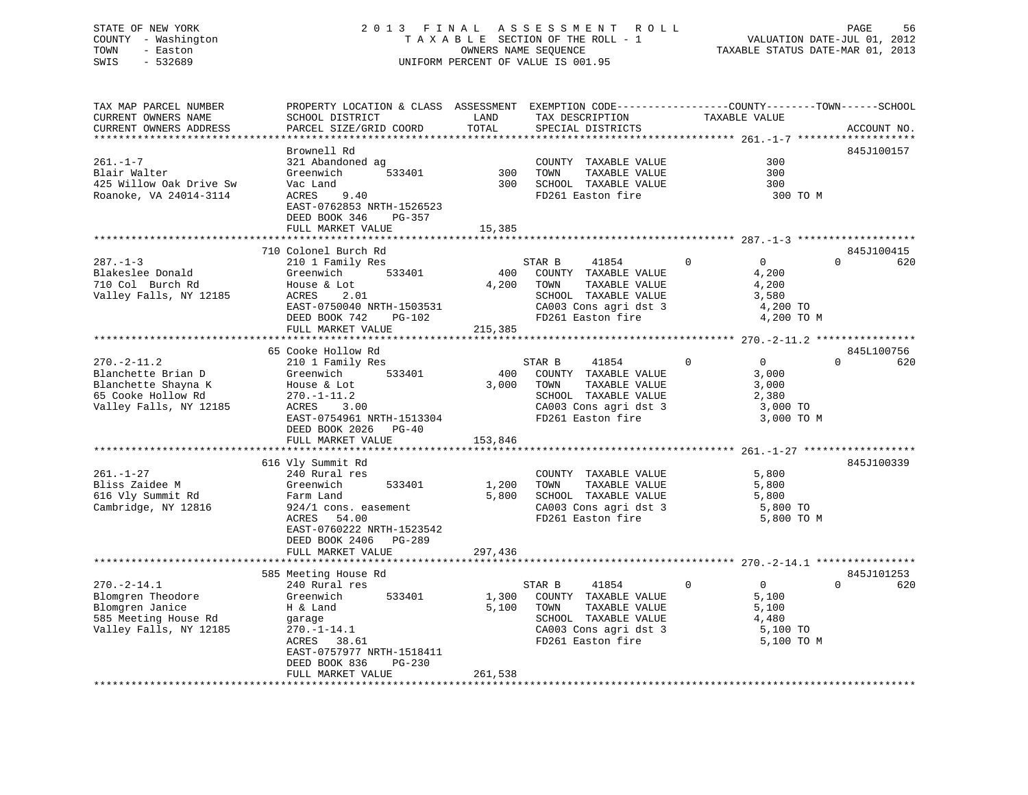# STATE OF NEW YORK 2 0 1 3 F I N A L A S S E S S M E N T R O L L PAGE 56 COUNTY - Washington T A X A B L E SECTION OF THE ROLL - 1 VALUATION DATE-JUL 01, 2012 TOWN - Easton **CONNERS NAME SEQUENCE** TAXABLE STATUS DATE-MAR 01, 2013 SWIS - 532689 UNIFORM PERCENT OF VALUE IS 001.95

| TAX MAP PARCEL NUMBER<br>CURRENT OWNERS NAME<br>CURRENT OWNERS ADDRESS                                                                                                                          | PROPERTY LOCATION & CLASS ASSESSMENT<br>SCHOOL DISTRICT<br>PARCEL SIZE/GRID COORD                                                                                                                                                                                                                                                                                                        | LAND<br>TOTAL                                        | EXEMPTION CODE-----------------COUNTY-------TOWN------SCHOOL<br>TAX DESCRIPTION<br>SPECIAL DISTRICTS                                                                                                                                                          | TAXABLE VALUE                                                                                                                  | ACCOUNT NO.                                 |
|-------------------------------------------------------------------------------------------------------------------------------------------------------------------------------------------------|------------------------------------------------------------------------------------------------------------------------------------------------------------------------------------------------------------------------------------------------------------------------------------------------------------------------------------------------------------------------------------------|------------------------------------------------------|---------------------------------------------------------------------------------------------------------------------------------------------------------------------------------------------------------------------------------------------------------------|--------------------------------------------------------------------------------------------------------------------------------|---------------------------------------------|
| *******************<br>$261. - 1 - 7$<br>Blair Walter<br>425 Willow Oak Drive Sw<br>Roanoke, VA 24014-3114                                                                                      | Brownell Rd<br>321 Abandoned ag<br>Greenwich<br>533401<br>Vac Land<br>ACRES<br>9.40<br>EAST-0762853 NRTH-1526523<br>DEED BOOK 346<br>PG-357<br>FULL MARKET VALUE                                                                                                                                                                                                                         | **************<br>300<br>300<br>15,385               | COUNTY TAXABLE VALUE<br>TOWN<br>TAXABLE VALUE<br>SCHOOL TAXABLE VALUE<br>FD261 Easton fire                                                                                                                                                                    | 300<br>300<br>300<br>300 TO M                                                                                                  | 845J100157                                  |
|                                                                                                                                                                                                 |                                                                                                                                                                                                                                                                                                                                                                                          |                                                      |                                                                                                                                                                                                                                                               |                                                                                                                                |                                             |
| $287. - 1 - 3$<br>Blakeslee Donald<br>710 Col Burch Rd<br>Valley Falls, NY 12185                                                                                                                | 710 Colonel Burch Rd<br>210 1 Family Res<br>533401<br>Greenwich<br>House & Lot<br>ACRES<br>2.01<br>EAST-0750040 NRTH-1503531<br>DEED BOOK 742<br>PG-102                                                                                                                                                                                                                                  | 400<br>4,200                                         | STAR B<br>41854<br>COUNTY TAXABLE VALUE<br>TAXABLE VALUE<br>TOWN<br>SCHOOL TAXABLE VALUE<br>CA003 Cons agri dst 3<br>FD261 Easton fire                                                                                                                        | $\mathbf 0$<br>$\overline{0}$<br>4,200<br>4,200<br>3,580<br>4,200 TO<br>4,200 TO M                                             | 845J100415<br>$\Omega$<br>620               |
|                                                                                                                                                                                                 | FULL MARKET VALUE                                                                                                                                                                                                                                                                                                                                                                        | 215,385                                              |                                                                                                                                                                                                                                                               |                                                                                                                                |                                             |
| $270. - 2 - 11.2$<br>Blanchette Brian D<br>Blanchette Shayna K<br>65 Cooke Hollow Rd<br>Valley Falls, NY 12185<br>$261. - 1 - 27$<br>Bliss Zaidee M<br>616 Vly Summit Rd<br>Cambridge, NY 12816 | 65 Cooke Hollow Rd<br>210 1 Family Res<br>Greenwich<br>533401<br>House & Lot<br>$270. - 1 - 11.2$<br>ACRES 3.00<br>EAST-0754961 NRTH-1513304<br>DEED BOOK 2026 PG-40<br>FULL MARKET VALUE<br>616 Vly Summit Rd<br>240 Rural res<br>Greenwich<br>533401<br>Farm Land<br>924/1 cons. easement<br>54.00<br>ACRES<br>EAST-0760222 NRTH-1523542<br>DEED BOOK 2406 PG-289<br>FULL MARKET VALUE | 400<br>3,000<br>153,846<br>1,200<br>5,800<br>297,436 | STAR B<br>41854<br>COUNTY TAXABLE VALUE<br>TOWN<br>TAXABLE VALUE<br>SCHOOL TAXABLE VALUE<br>CA003 Cons agri dst 3<br>FD261 Easton fire<br>COUNTY TAXABLE VALUE<br>TOWN<br>TAXABLE VALUE<br>SCHOOL TAXABLE VALUE<br>CA003 Cons agri dst 3<br>FD261 Easton fire | $\Omega$<br>$\Omega$<br>3,000<br>3,000<br>2,380<br>3,000 TO<br>3,000 TO M<br>5,800<br>5,800<br>5,800<br>5,800 TO<br>5,800 TO M | 845L100756<br>$\Omega$<br>620<br>845J100339 |
|                                                                                                                                                                                                 |                                                                                                                                                                                                                                                                                                                                                                                          |                                                      |                                                                                                                                                                                                                                                               |                                                                                                                                |                                             |
| $270. - 2 - 14.1$<br>Blomgren Theodore<br>Blomgren Janice<br>585 Meeting House Rd<br>Valley Falls, NY 12185                                                                                     | 585 Meeting House Rd<br>240 Rural res<br>Greenwich<br>533401<br>H & Land<br>garage<br>$270. - 1 - 14.1$<br>38.61<br>ACRES<br>EAST-0757977 NRTH-1518411<br>DEED BOOK 836<br>PG-230<br>FULL MARKET VALUE                                                                                                                                                                                   | 1,300<br>5,100<br>261,538                            | STAR B<br>41854<br>COUNTY TAXABLE VALUE<br>TOWN<br>TAXABLE VALUE<br>SCHOOL TAXABLE VALUE<br>CA003 Cons agri dst 3<br>FD261 Easton fire                                                                                                                        | $\mathbf{0}$<br>$\Omega$<br>5,100<br>5,100<br>4,480<br>5,100 TO<br>5,100 TO M                                                  | 845J101253<br>$\Omega$<br>620               |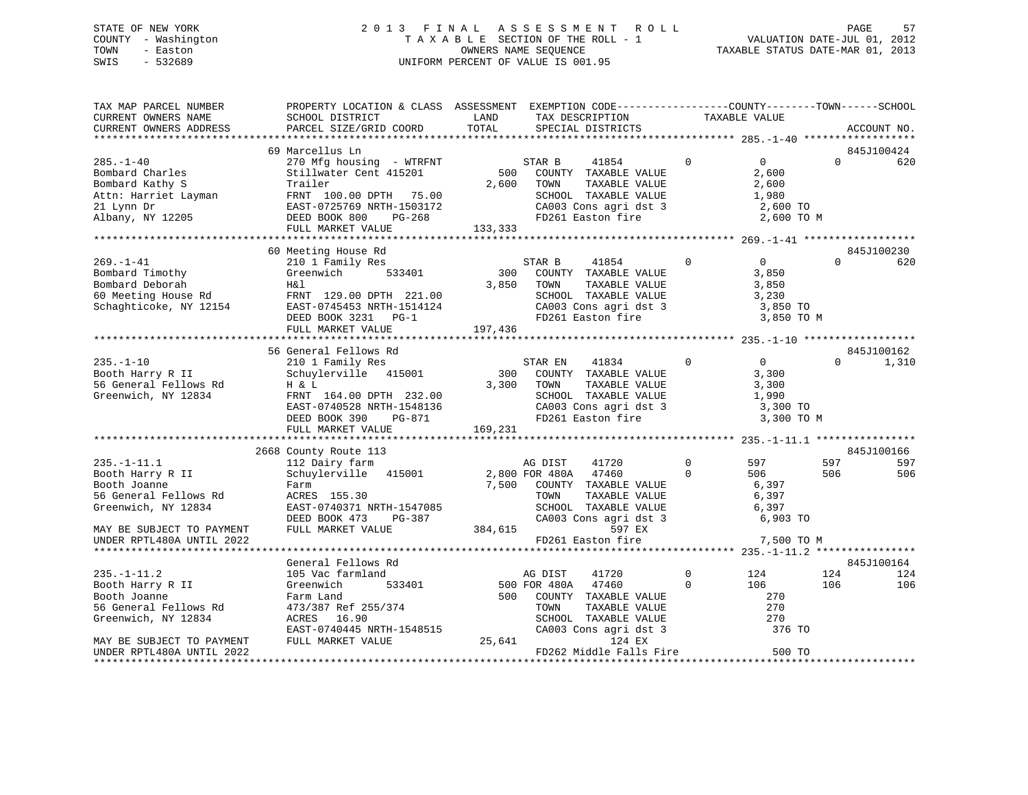# STATE OF NEW YORK 2 0 1 3 F I N A L A S S E S S M E N T R O L L PAGE 57 COUNTY - Washington T A X A B L E SECTION OF THE ROLL - 1 VALUATION DATE-JUL 01, 2012 TOWN - Easton **CONNERS NAME SEQUENCE** TAXABLE STATUS DATE-MAR 01, 2013 SWIS - 532689 UNIFORM PERCENT OF VALUE IS 001.95

| TAX MAP PARCEL NUMBER<br>CURRENT OWNERS NAME<br>CURRENT OWNERS ADDRESS                                 | PROPERTY LOCATION & CLASS ASSESSMENT EXEMPTION CODE-----------------COUNTY--------TOWN------SCHOOL<br>SCHOOL DISTRICT<br>PARCEL SIZE/GRID COORD                           | LAND<br>TOTAL           | TAX DESCRIPTION<br>SPECIAL DISTRICTS                                                                                                                                             |                             | TAXABLE VALUE                                                       |            | ACCOUNT NO.              |
|--------------------------------------------------------------------------------------------------------|---------------------------------------------------------------------------------------------------------------------------------------------------------------------------|-------------------------|----------------------------------------------------------------------------------------------------------------------------------------------------------------------------------|-----------------------------|---------------------------------------------------------------------|------------|--------------------------|
|                                                                                                        |                                                                                                                                                                           |                         |                                                                                                                                                                                  |                             |                                                                     |            |                          |
|                                                                                                        | 69 Marcellus Ln                                                                                                                                                           |                         |                                                                                                                                                                                  |                             |                                                                     |            | 845J100424               |
| $285. - 1 - 40$<br>Bombard Charles<br>Bombard Kathy S                                                  | 270 Mfg housing - WTRFNT<br>Stillwater Cent 415201<br>Trailer<br>FRNT 100.00 DPTH 75.00<br>EAST-0725769 NRTH-1503172<br>RTH-1503172<br>PG-268<br>FULL MARKET VALUE        | 500<br>2,600<br>133,333 | STAR B<br>41854<br>COUNTY TAXABLE VALUE<br>TOWN<br>TAXABLE VALUE<br>SCHOOL TAXABLE VALUE<br>CA003 Cons agri dst 3<br>FD261 Easton fire                                           | $\mathbf 0$                 | $\overline{0}$<br>2,600<br>2,600<br>1,980<br>2,600 TO<br>2,600 TO M | $\Omega$   | 620                      |
|                                                                                                        |                                                                                                                                                                           |                         |                                                                                                                                                                                  |                             |                                                                     |            |                          |
| $269. - 1 - 41$<br>Bombard Timothy<br>Bombard Deborah<br>60 Meeting House Rd<br>Schaghticoke, NY 12154 | 60 Meeting House Rd<br>210 1 Family Res<br>533401<br>Greenwich<br>Η&l<br>FRNT 129.00 DPTH 221.00<br>EAST-0745453 NRTH-1514124<br>DEED BOOK 3231 PG-1<br>FULL MARKET VALUE | 300<br>3,850<br>197,436 | STAR B<br>41854<br>COUNTY TAXABLE VALUE<br>TOWN<br>TAXABLE VALUE<br>SCHOOL TAXABLE VALUE<br>SCHOOL TAXABLE VALUE<br>CA003 Cons agri dst 3<br>FD261 Easton fire                   | $\Omega$                    | $\overline{0}$<br>3,850<br>3,850<br>3,230<br>3,850 TO<br>3,850 TO M | $\Omega$   | 845J100230<br>620        |
|                                                                                                        | 56 General Fellows Rd                                                                                                                                                     |                         |                                                                                                                                                                                  |                             |                                                                     |            | 845J100162               |
| $235. - 1 - 10$<br>Booth Harry R II<br>56 General Fellows Rd<br>Greenwich, NY 12834                    | 210 1 Family Res<br>Schuylerville 415001<br>H & L<br>FRNT 164.00 DPTH 232.00<br>EAST-0740528 NRTH-1548136<br>DEED BOOK 390<br>PG-871<br>FULL MARKET VALUE                 | 169,231                 | 41834<br>STAR EN<br>300 COUNTY TAXABLE VALUE<br>3,300 TOWN<br>TAXABLE VALUE<br>SCHOOL TAXABLE VALUE 1,990<br>SCHOOD Information 15<br>CA003 Cons agri dst 3<br>FD261 Easton fire | $\mathbf{0}$                | $\overline{0}$<br>3,300<br>3,300<br>3,300 TO<br>3,300 TO M          | $\Omega$   | 1,310                    |
|                                                                                                        |                                                                                                                                                                           |                         |                                                                                                                                                                                  |                             |                                                                     |            |                          |
| $235. - 1 - 11.1$<br>Booth Harry R II<br>Booth Joanne<br>56 General Fellows Rd<br>Greenwich, NY 12834  | 2668 County Route 113<br>112 Dairy farm<br>Schuylerville 415001<br>Farm<br>ACRES 155.30<br>EAST-0740371 NRTH-1547085<br>DEED BOOK 473 PG-387                              |                         | AG DIST<br>41720<br>2,800 FOR 480A 47460<br>7,500 COUNTY TAXABLE VALUE<br>TOWN<br>TAXABLE VALUE<br>SCHOOL TAXABLE VALUE<br>CA003 Cons agri dst 3                                 | $\overline{0}$<br>$\Omega$  | 597<br>506<br>6,397<br>6,397<br>6,397<br>6,903 TO                   | 597<br>506 | 845J100166<br>597<br>506 |
| MAY BE SUBJECT TO PAYMENT<br>UNDER RPTL480A UNTIL 2022                                                 | FULL MARKET VALUE                                                                                                                                                         | 384,615                 | 597 EX<br>FD261 Easton fire                                                                                                                                                      |                             | 7,500 TO M                                                          |            |                          |
|                                                                                                        | General Fellows Rd                                                                                                                                                        |                         |                                                                                                                                                                                  |                             |                                                                     |            | 845J100164               |
| $235. - 1 - 11.2$<br>Booth Harry R II<br>Booth Joanne<br>56 General Fellows Rd<br>Greenwich, NY 12834  | 105 Vac farmland<br>Greenwich<br>533401<br>Farm Land<br>473/387 Ref 255/374<br>ACRES 16.90<br>EAST-0740445 NRTH-1548515                                                   |                         | AG DIST<br>41720<br>500 FOR 480A<br>47460<br>500 COUNTY TAXABLE VALUE<br>TOWN<br>TAXABLE VALUE<br>SCHOOL TAXABLE VALUE<br>CA003 Cons agri dst 3                                  | $\mathbf 0$<br>$\mathbf{0}$ | 124<br>106<br>270<br>270<br>270<br>376 TO                           | 124<br>106 | 124<br>106               |
| MAY BE SUBJECT TO PAYMENT<br>UNDER RPTL480A UNTIL 2022                                                 | FULL MARKET VALUE                                                                                                                                                         | 25,641                  | 124 EX<br>FD262 Middle Falls Fire                                                                                                                                                |                             | 500 TO                                                              |            |                          |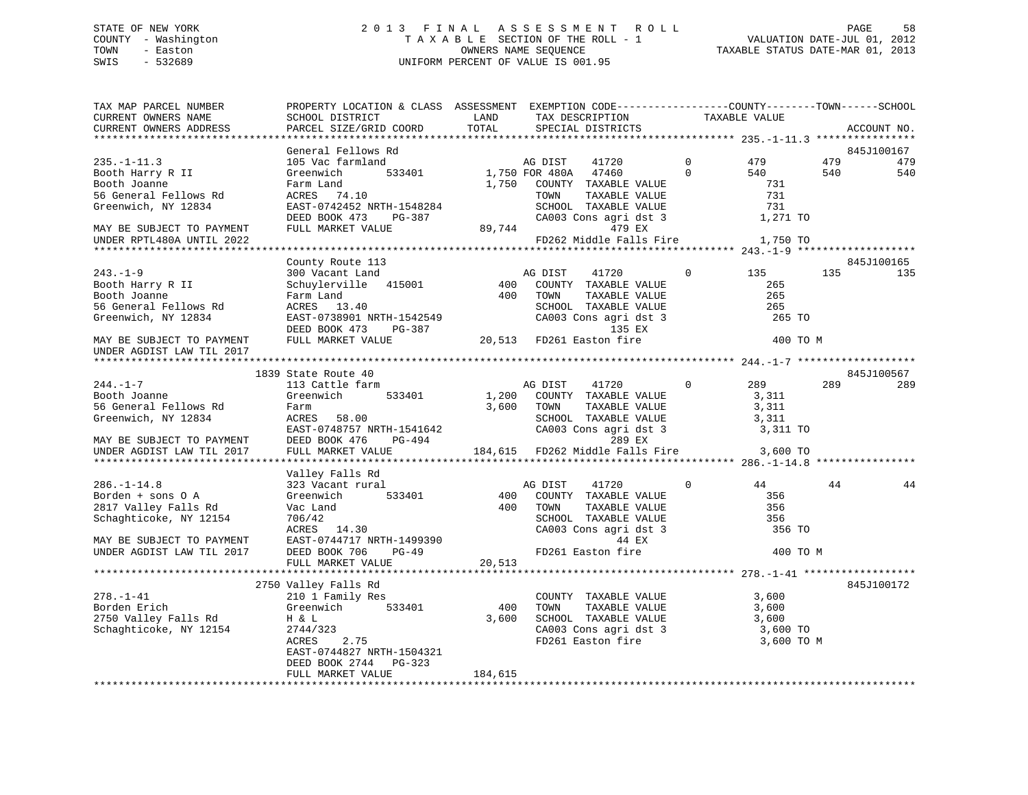# STATE OF NEW YORK 2 0 1 3 F I N A L A S S E S S M E N T R O L L PAGE 58 COUNTY - Washington T A X A B L E SECTION OF THE ROLL - 1 VALUATION DATE-JUL 01, 2012 TOWN - Easton **CONNERS NAME SEQUENCE** TAXABLE STATUS DATE-MAR 01, 2013 SWIS - 532689 UNIFORM PERCENT OF VALUE IS 001.95

| TAX MAP PARCEL NUMBER<br>CURRENT OWNERS NAME                                                                                                                                                              | PROPERTY LOCATION & CLASS ASSESSMENT EXEMPTION CODE----------------COUNTY-------TOWN------SCHOOL<br>SCHOOL DISTRICT                                                                                                                                                                                                                                                 | LAND       | TAX DESCRIPTION                                                                               | TAXABLE VALUE        |            |     |             |
|-----------------------------------------------------------------------------------------------------------------------------------------------------------------------------------------------------------|---------------------------------------------------------------------------------------------------------------------------------------------------------------------------------------------------------------------------------------------------------------------------------------------------------------------------------------------------------------------|------------|-----------------------------------------------------------------------------------------------|----------------------|------------|-----|-------------|
| CURRENT OWNERS ADDRESS                                                                                                                                                                                    | PARCEL SIZE/GRID COORD                                                                                                                                                                                                                                                                                                                                              | TOTAL      | SPECIAL DISTRICTS                                                                             |                      |            |     | ACCOUNT NO. |
|                                                                                                                                                                                                           |                                                                                                                                                                                                                                                                                                                                                                     |            |                                                                                               |                      |            |     |             |
|                                                                                                                                                                                                           | General Fellows Rd                                                                                                                                                                                                                                                                                                                                                  |            |                                                                                               |                      |            |     | 845J100167  |
| $235. - 1 - 11.3$                                                                                                                                                                                         | 105 Vac farmland<br>533401                                                                                                                                                                                                                                                                                                                                          |            | AG DIST<br>41720<br>1,750 FOR 480A 47460                                                      | $\Omega$<br>$\Omega$ | 479        | 479 | 479         |
| Booth Harry R II<br>Booth Joanne<br>Booth Joanne                                                                                                                                                          | Greenwich<br>Farm Land                                                                                                                                                                                                                                                                                                                                              |            | 1,750 COUNTY TAXABLE VALUE                                                                    |                      | 540        | 540 | 540         |
| 56 General Fellows Rd                                                                                                                                                                                     | ACRES 74.10                                                                                                                                                                                                                                                                                                                                                         |            | COUNTY TAXABLE VALUE 1991 731<br>TOWN TAXABLE VALUE 1991 731<br>SCHOOL TAXABLE VALUE 1992 731 |                      |            |     |             |
| Greenwich, NY 12834                                                                                                                                                                                       |                                                                                                                                                                                                                                                                                                                                                                     |            |                                                                                               |                      |            |     |             |
|                                                                                                                                                                                                           |                                                                                                                                                                                                                                                                                                                                                                     |            |                                                                                               |                      |            |     |             |
| MAY BE SUBJECT TO PAYMENT                                                                                                                                                                                 | $\begin{tabular}{lllllllllllllllllll} \hline \texttt{ACRES} & 74.10 & \texttt{TOWN} & \texttt{TAXABLE VALUE} & 731 \\ \texttt{EAST-0742452 NRTH-1548284} & \texttt{SCHOOL TAXABLE VALUE} & 731 \\ \texttt{DEED BOOK 473} & \texttt{PG-387} & \texttt{CA003 Cons agri dst 3} & 1,271 TO \\ \texttt{FULL MARKET VALUE} & 89,744 & 479 EX & 1.271 TO \\ \end{tabular}$ |            |                                                                                               |                      |            |     |             |
| UNDER RPTL480A UNTIL 2022                                                                                                                                                                                 |                                                                                                                                                                                                                                                                                                                                                                     |            | FD262 Middle Falls Fire 1,750 TO                                                              |                      |            |     |             |
|                                                                                                                                                                                                           |                                                                                                                                                                                                                                                                                                                                                                     |            |                                                                                               |                      |            |     |             |
|                                                                                                                                                                                                           | County Route 113                                                                                                                                                                                                                                                                                                                                                    |            |                                                                                               |                      |            |     | 845J100165  |
| $243 - 1 - 9$                                                                                                                                                                                             | Notice and the Magnusian Communication of the Magnusian Communication of the Magnusian Communication of the Ma<br>Farm Land (2008) TOWN TAXABLE VALUE<br>ACRES 13.40                                                                                                                                                                                                |            |                                                                                               | $\overline{0}$       | 135        | 135 | 135         |
| Booth Harry R II<br>Booth Joanne                                                                                                                                                                          |                                                                                                                                                                                                                                                                                                                                                                     |            |                                                                                               |                      | 265        |     |             |
| Booth Joanne                                                                                                                                                                                              |                                                                                                                                                                                                                                                                                                                                                                     |            | TAXABLE VALUE                                                                                 |                      | 265        |     |             |
| 56 General Fellows Rd                                                                                                                                                                                     |                                                                                                                                                                                                                                                                                                                                                                     |            | SCHOOL TAXABLE VALUE                                                                          |                      | 265        |     |             |
| Greenwich, NY 12834                                                                                                                                                                                       |                                                                                                                                                                                                                                                                                                                                                                     |            |                                                                                               |                      | 265 TO     |     |             |
|                                                                                                                                                                                                           | Schuylerville 11999<br>Farm Land<br>ACRES 13.40<br>EAST-0738901 NRTH-1542549<br>ACRES 13.40<br>ACRES DEL-387<br>DEED BOOK 473 PG-387                                                                                                                                                                                                                                |            | CA003 Cons agri dst 3<br>135 EX                                                               |                      |            |     |             |
| MAY BE SUBJECT TO PAYMENT                                                                                                                                                                                 | FULL MARKET VALUE                                                                                                                                                                                                                                                                                                                                                   |            | 20,513 FD261 Easton fire                                                                      |                      | 400 TO M   |     |             |
| UNDER AGDIST LAW TIL 2017                                                                                                                                                                                 |                                                                                                                                                                                                                                                                                                                                                                     |            |                                                                                               |                      |            |     |             |
|                                                                                                                                                                                                           |                                                                                                                                                                                                                                                                                                                                                                     |            |                                                                                               |                      |            |     |             |
|                                                                                                                                                                                                           | 1839 State Route 40                                                                                                                                                                                                                                                                                                                                                 |            |                                                                                               |                      |            |     | 845J100567  |
| $244. -1 - 7$                                                                                                                                                                                             | 113 Cattle farm                                                                                                                                                                                                                                                                                                                                                     |            | AG DIST 41720<br>1,200 COUNTY TAXABLE VALUE<br>41720 0                                        |                      | 289        | 289 | 289         |
| Booth Joanne                                                                                                                                                                                              | Greenwich 533401                                                                                                                                                                                                                                                                                                                                                    |            |                                                                                               |                      | 3,311      |     |             |
| 56 General Fellows Rd                                                                                                                                                                                     | Farm                                                                                                                                                                                                                                                                                                                                                                | 3,600 TOWN | TOWN TAXABLE VALUE 3,311<br>SCHOOL TAXABLE VALUE 3,311                                        |                      |            |     |             |
| Greenwich, NY 12834                                                                                                                                                                                       |                                                                                                                                                                                                                                                                                                                                                                     |            |                                                                                               |                      |            |     |             |
|                                                                                                                                                                                                           | ACRES 58.00<br>EAST-0748757 NRTH-1541642                                                                                                                                                                                                                                                                                                                            |            |                                                                                               |                      |            |     |             |
| EAST-0748757 NRTH-1541642 CA003 Cons agri dst 3 3,311 TO<br>MAY BE SUBJECT TO PAYMENT DEED BOOK 476 PG-494 289 EX<br>UNDER AGDIST LAW TIL 2017 FULL MARKET VALUE 184,615 FD262 Middle Falls Fire 3,600 TO |                                                                                                                                                                                                                                                                                                                                                                     |            |                                                                                               |                      |            |     |             |
|                                                                                                                                                                                                           |                                                                                                                                                                                                                                                                                                                                                                     |            |                                                                                               |                      |            |     |             |
|                                                                                                                                                                                                           | Valley Falls Rd                                                                                                                                                                                                                                                                                                                                                     |            |                                                                                               |                      |            |     |             |
| $286. - 1 - 14.8$                                                                                                                                                                                         | 323 Vacant rural                                                                                                                                                                                                                                                                                                                                                    |            | AG DIST<br>41720                                                                              | $\overline{0}$       | 44         | 44  | 44          |
| Borden + sons O A                                                                                                                                                                                         | Greenwich<br>533401                                                                                                                                                                                                                                                                                                                                                 | 400        | COUNTY TAXABLE VALUE                                                                          |                      | 356        |     |             |
| 2817 Valley Falls Rd                                                                                                                                                                                      |                                                                                                                                                                                                                                                                                                                                                                     |            |                                                                                               |                      |            |     |             |
| Schaghticoke, NY 12154                                                                                                                                                                                    | 706/42                                                                                                                                                                                                                                                                                                                                                              |            |                                                                                               |                      |            |     |             |
|                                                                                                                                                                                                           |                                                                                                                                                                                                                                                                                                                                                                     |            |                                                                                               |                      |            |     |             |
|                                                                                                                                                                                                           |                                                                                                                                                                                                                                                                                                                                                                     |            |                                                                                               |                      |            |     |             |
| MAY BE SUBJECT TO PAYMENT<br>UNDER AGDIST LAW TIL 2017                                                                                                                                                    |                                                                                                                                                                                                                                                                                                                                                                     |            |                                                                                               |                      |            |     |             |
|                                                                                                                                                                                                           | Greenwich 3336<br>Vac Land 400 TOWN TAXABLE VALUE<br>706/42 SCHOOL TAXABLE VALUE<br>ACRES 14.30 CA003 Cons agri dst 3 356<br>EAST-0744717 NRTH-1499390 44 EX<br>DEED BOOK 706 PG-49 PO 512                                                                                                                                                                          |            |                                                                                               |                      |            |     |             |
|                                                                                                                                                                                                           |                                                                                                                                                                                                                                                                                                                                                                     |            |                                                                                               |                      |            |     |             |
|                                                                                                                                                                                                           | 2750 Valley Falls Rd                                                                                                                                                                                                                                                                                                                                                |            |                                                                                               |                      |            |     | 845J100172  |
|                                                                                                                                                                                                           |                                                                                                                                                                                                                                                                                                                                                                     |            |                                                                                               |                      | 3,600      |     |             |
| 278.-1-41 210 1 Family Res<br>Borden Erich 210 1 Family Res<br>2750 Valley Falls Rd H & L                                                                                                                 |                                                                                                                                                                                                                                                                                                                                                                     | 400        | COUNTY TAXABLE VALUE<br>TOWN TAXABLE VALUE                                                    |                      | 3,600      |     |             |
|                                                                                                                                                                                                           |                                                                                                                                                                                                                                                                                                                                                                     | 3,600      | SCHOOL TAXABLE VALUE                                                                          |                      | 3,600      |     |             |
|                                                                                                                                                                                                           |                                                                                                                                                                                                                                                                                                                                                                     |            | CA003 Cons agri dst 3 3,600 TO                                                                |                      |            |     |             |
| Schaghticoke, NY 12154<br>Schaghticoke, NY 12154<br>The CRES 2.75<br>The CRES 2.75                                                                                                                        |                                                                                                                                                                                                                                                                                                                                                                     |            | FD261 Easton fire                                                                             |                      | 3,600 TO M |     |             |
|                                                                                                                                                                                                           | EAST-0744827 NRTH-1504321                                                                                                                                                                                                                                                                                                                                           |            |                                                                                               |                      |            |     |             |
|                                                                                                                                                                                                           | DEED BOOK 2744 PG-323                                                                                                                                                                                                                                                                                                                                               |            |                                                                                               |                      |            |     |             |
|                                                                                                                                                                                                           | FULL MARKET VALUE                                                                                                                                                                                                                                                                                                                                                   | 184,615    |                                                                                               |                      |            |     |             |
|                                                                                                                                                                                                           |                                                                                                                                                                                                                                                                                                                                                                     |            |                                                                                               |                      |            |     |             |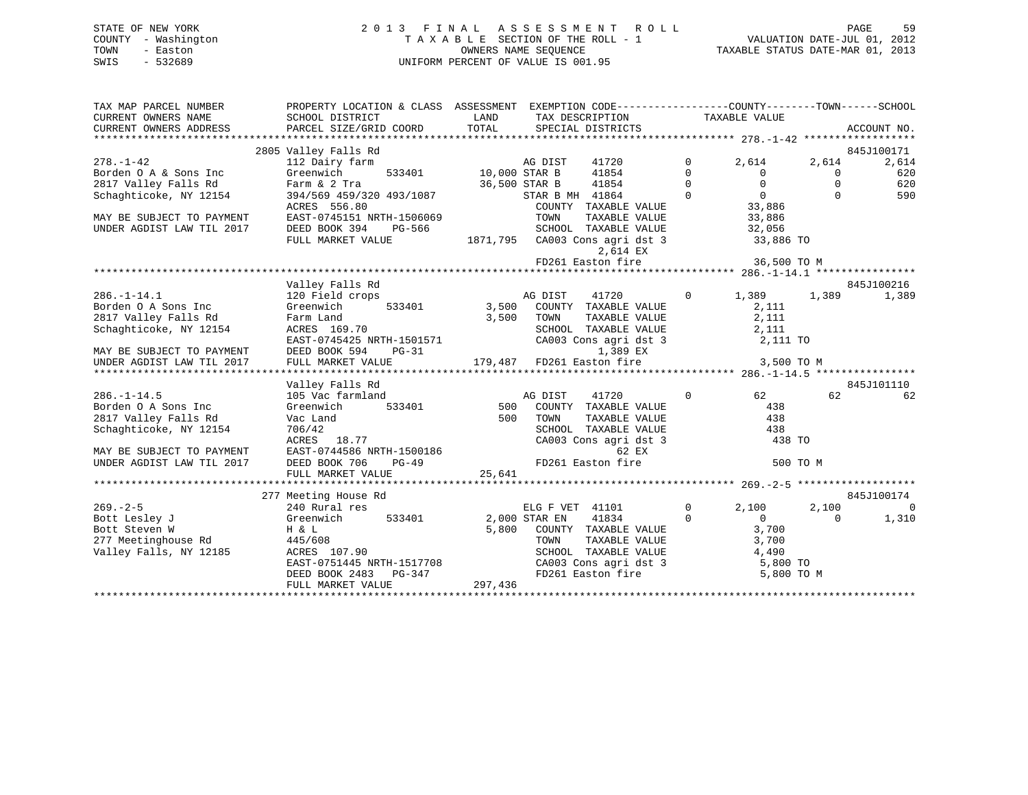| STATE OF NEW YORK   | 2013 FINAL ASSESSMENT ROLL         | 59<br>PAGE                       |
|---------------------|------------------------------------|----------------------------------|
| COUNTY - Washington | TAXABLE SECTION OF THE ROLL - 1    | VALUATION DATE-JUL 01, 2012      |
| TOWN<br>- Easton    | OWNERS NAME SEOUENCE               | TAXABLE STATUS DATE-MAR 01, 2013 |
| - 532689<br>SWIS    | UNIFORM PERCENT OF VALUE IS 001.95 |                                  |

| TAX MAP PARCEL NUMBER                                                  |                                               | PROPERTY LOCATION & CLASS ASSESSMENT EXEMPTION CODE----------------COUNTY-------TOWN------SCHOOL                                                                                                                                                                                                                                                                                                                                                     |                                                                  |                |                |
|------------------------------------------------------------------------|-----------------------------------------------|------------------------------------------------------------------------------------------------------------------------------------------------------------------------------------------------------------------------------------------------------------------------------------------------------------------------------------------------------------------------------------------------------------------------------------------------------|------------------------------------------------------------------|----------------|----------------|
| CURRENT OWNERS NAME                                                    | SCHOOL DISTRICT                               | LAND TAX DESCRIPTION                                                                                                                                                                                                                                                                                                                                                                                                                                 | TAXABLE VALUE                                                    |                |                |
| CURRENT OWNERS ADDRESS                                                 |                                               |                                                                                                                                                                                                                                                                                                                                                                                                                                                      |                                                                  |                |                |
|                                                                        |                                               |                                                                                                                                                                                                                                                                                                                                                                                                                                                      |                                                                  |                |                |
|                                                                        | 2805 Valley Falls Rd                          |                                                                                                                                                                                                                                                                                                                                                                                                                                                      |                                                                  |                | 845J100171     |
| $278. - 1 - 42$                                                        | 112 Dairy farm                                |                                                                                                                                                                                                                                                                                                                                                                                                                                                      | $\mathbf 0$<br>2,614                                             | 2,614          | 2,614          |
| Borden O A & Sons Inc<br>Borden O A & Sons Inc<br>2817 Valley Falls Rd | Greenwich                                     |                                                                                                                                                                                                                                                                                                                                                                                                                                                      | $\overline{\phantom{0}}$<br>$\begin{matrix} 0 \\ 0 \end{matrix}$ | $\overline{0}$ | 620            |
|                                                                        | Farm & 2 Tra                                  |                                                                                                                                                                                                                                                                                                                                                                                                                                                      | $\overline{0}$                                                   | $\Omega$       | 620            |
| Schaghticoke, NY 12154                                                 |                                               | AG DIST<br>533401 10,000 STAR B 41854<br>36,500 STAR B 41854<br>STAR B MH 41864<br>201NTY TAXABL<br>394/569 459/320 493/1087<br>394/569 459/320 493/1087<br>$\begin{tabular}{lllllllll} $\textsc{--}\dots$ & $\textsc{+1-004}$ & & & & & & & 0 \\\ \textsc{COUNTY} & \textsc{TAXABLE VALUE} & & & & 33,886 \\\textsc{TOWN} & \textsc{TAXABLE VALUE} & & & 33,886 \\\textsc{SCHOOL} & \textsc{TAXART.F} & $\textsc{VATIT}$ & & & & & \\\end{tabular}$ |                                                                  | $\Omega$       | 590            |
|                                                                        | ACRES 556.80                                  |                                                                                                                                                                                                                                                                                                                                                                                                                                                      |                                                                  |                |                |
| MAY BE SUBJECT TO PAYMENT                                              | EAST-0745151 NRTH-1506069                     |                                                                                                                                                                                                                                                                                                                                                                                                                                                      |                                                                  |                |                |
| UNDER AGDIST LAW TIL 2017                                              | DEED BOOK 394<br>PG-566                       | SCHOOL TAXABLE VALUE 32,056                                                                                                                                                                                                                                                                                                                                                                                                                          |                                                                  |                |                |
|                                                                        |                                               | FULL MARKET VALUE 1871, 795 CA003 Cons agri dst 3 33, 886 TO                                                                                                                                                                                                                                                                                                                                                                                         |                                                                  |                |                |
|                                                                        |                                               | 2,614 EX                                                                                                                                                                                                                                                                                                                                                                                                                                             |                                                                  |                |                |
|                                                                        |                                               |                                                                                                                                                                                                                                                                                                                                                                                                                                                      |                                                                  |                |                |
|                                                                        |                                               |                                                                                                                                                                                                                                                                                                                                                                                                                                                      |                                                                  |                |                |
|                                                                        | Valley Falls Rd                               |                                                                                                                                                                                                                                                                                                                                                                                                                                                      |                                                                  |                | 845J100216     |
| $286. - 1 - 14.1$                                                      | 120 Field crops                               | AG DIST<br>41720                                                                                                                                                                                                                                                                                                                                                                                                                                     | $0 \t 1,389$                                                     | 1,389          | 1,389          |
| Borden O A Sons Inc                                                    | Greenwich                                     | 533401 3,500 COUNTY TAXABLE VALUE                                                                                                                                                                                                                                                                                                                                                                                                                    | $\frac{2}{2}$ , 111                                              |                |                |
| 2817 Valley Falls Rd                                                   | Farm Land                                     | 3,500 TOWN<br>TAXABLE VALUE                                                                                                                                                                                                                                                                                                                                                                                                                          | 2,111                                                            |                |                |
| Schaghticoke, NY 12154                                                 | ACRES 169.70                                  | SCHOOL TAXABLE VALUE 2,111                                                                                                                                                                                                                                                                                                                                                                                                                           |                                                                  |                |                |
|                                                                        | EAST-0745425 NRTH-1501571                     | CA003 Cons agri dst 3 2,111 TO                                                                                                                                                                                                                                                                                                                                                                                                                       |                                                                  |                |                |
|                                                                        | MAY BE SUBJECT TO PAYMENT DEED BOOK 594 PG-31 | 1,389 EX                                                                                                                                                                                                                                                                                                                                                                                                                                             |                                                                  |                |                |
|                                                                        |                                               |                                                                                                                                                                                                                                                                                                                                                                                                                                                      |                                                                  |                |                |
|                                                                        |                                               |                                                                                                                                                                                                                                                                                                                                                                                                                                                      |                                                                  |                |                |
|                                                                        | Valley Falls Rd                               |                                                                                                                                                                                                                                                                                                                                                                                                                                                      |                                                                  |                | 845J101110     |
| $286. - 1 - 14.5$                                                      |                                               |                                                                                                                                                                                                                                                                                                                                                                                                                                                      | $\Omega$<br>62                                                   | 62             | 62             |
| Borden O A Sons Inc                                                    |                                               |                                                                                                                                                                                                                                                                                                                                                                                                                                                      | 438                                                              |                |                |
| 2817 Valley Falls Rd                                                   |                                               |                                                                                                                                                                                                                                                                                                                                                                                                                                                      |                                                                  |                |                |
| Schaghticoke, NY 12154                                                 |                                               | COUNTY TAXABLE VALUE 438<br>TOWN TAXABLE VALUE 438<br>SCHOOL TAXABLE VALUE 438                                                                                                                                                                                                                                                                                                                                                                       |                                                                  |                |                |
|                                                                        |                                               | CA003 Cons agri dst 3                                                                                                                                                                                                                                                                                                                                                                                                                                | 438 TO                                                           |                |                |
| MAY BE SUBJECT TO PAYMENT                                              |                                               |                                                                                                                                                                                                                                                                                                                                                                                                                                                      |                                                                  |                |                |
| UNDER AGDIST LAW TIL 2017                                              |                                               | Valley Falls Rd<br>105 Vac farmland<br>The Sammen and S33401<br>The S33401<br>The S33401<br>S00 COUNTY TAXABLE VALUE<br>TAXABLE VALUE<br>TO TOWN TAXABLE VALUE<br>TAXABLE VALUE<br>TO TOWN TAXABLE VALUE<br>TAXABLE VALUE<br>TAXABLE VALUE<br>TAXABLE                                                                                                                                                                                                |                                                                  | 500 TO M       |                |
|                                                                        | FULL MARKET VALUE                             | 25,641                                                                                                                                                                                                                                                                                                                                                                                                                                               |                                                                  |                |                |
|                                                                        |                                               |                                                                                                                                                                                                                                                                                                                                                                                                                                                      |                                                                  |                |                |
|                                                                        | 277 Meeting House Rd                          |                                                                                                                                                                                                                                                                                                                                                                                                                                                      |                                                                  |                | 845J100174     |
| $269. - 2 - 5$                                                         | 240 Rural res                                 | ELG F VET 41101 0 2,1<br>STAR EN 41834 0                                                                                                                                                                                                                                                                                                                                                                                                             | 2,100                                                            | 2,100          | $\overline{0}$ |
| Bott Lesley J                                                          | Greenwich 533401 2,000 STAR EN                | 41834                                                                                                                                                                                                                                                                                                                                                                                                                                                | $\Omega$<br>$\Omega$                                             | $\Omega$       | 1,310          |
| Bott Steven W                                                          | H & L<br>90                                   | 5,800 COUNTY TAXABLE VALUE                                                                                                                                                                                                                                                                                                                                                                                                                           | 3,700                                                            |                |                |
| 277 Meetinghouse Rd<br>Valley Falls, NY 12185                          | 445/608                                       | TOWN TAXABLE VALUE 3,700<br>SCHOOL TAXABLE VALUE 4,490<br>CA003 Cons agri dst 3 5,800 TO                                                                                                                                                                                                                                                                                                                                                             |                                                                  |                |                |
|                                                                        | ACRES 107.90                                  |                                                                                                                                                                                                                                                                                                                                                                                                                                                      |                                                                  |                |                |
|                                                                        | EAST-0751445 NRTH-1517708                     |                                                                                                                                                                                                                                                                                                                                                                                                                                                      |                                                                  |                |                |
|                                                                        | DEED BOOK 2483 PG-347                         | FD261 Easton fire 5,800 TO M<br>$\frac{7}{297,436}$                                                                                                                                                                                                                                                                                                                                                                                                  |                                                                  |                |                |
|                                                                        | FULL MARKET VALUE                             |                                                                                                                                                                                                                                                                                                                                                                                                                                                      |                                                                  |                |                |
|                                                                        |                                               |                                                                                                                                                                                                                                                                                                                                                                                                                                                      |                                                                  |                |                |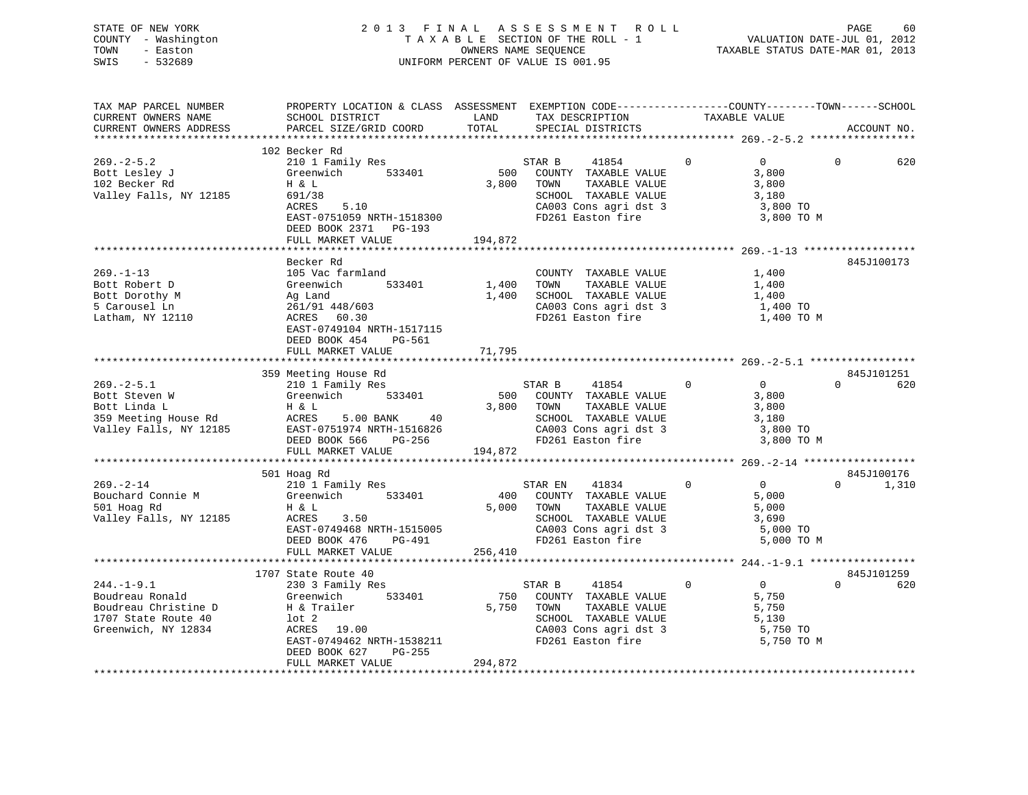STATE OF NEW YORK 2 0 1 3 F I N A L A S S E S S M E N T R O L L PAGE 60 COUNTY - Washington T A X A B L E SECTION OF THE ROLL - 1 VALUATION DATE-JUL 01, 2012 TOWN - Easton COMPUTERS NAME SEQUENCE TAXABLE STATUS DATE-MAR 01, 2013<br>SWIS - 532689 SWIS - 532689 UNIFORM PERCENT OF VALUE IS 001.95

| TAX MAP PARCEL NUMBER                           | PROPERTY LOCATION & CLASS ASSESSMENT EXEMPTION CODE---------------COUNTY-------TOWN-----SCHOOL                                                                                                                                                                 |         |                                                                    |                                  |                 |
|-------------------------------------------------|----------------------------------------------------------------------------------------------------------------------------------------------------------------------------------------------------------------------------------------------------------------|---------|--------------------------------------------------------------------|----------------------------------|-----------------|
| CURRENT OWNERS NAME                             | SCHOOL DISTRICT                                                                                                                                                                                                                                                | LAND    | TAX DESCRIPTION                                                    | TAXABLE VALUE                    |                 |
| CURRENT OWNERS ADDRESS                          | PARCEL SIZE/GRID COORD                                                                                                                                                                                                                                         | TOTAL   | SPECIAL DISTRICTS                                                  |                                  | ACCOUNT NO.     |
|                                                 |                                                                                                                                                                                                                                                                |         |                                                                    |                                  |                 |
|                                                 | 102 Becker Rd                                                                                                                                                                                                                                                  |         |                                                                    |                                  |                 |
| $269. - 2 - 5.2$                                |                                                                                                                                                                                                                                                                |         | STAR B 41854                                                       | $\overline{0}$<br>$\overline{0}$ | $\Omega$<br>620 |
|                                                 | 210 1 Family Res<br>Greenwich 533401<br>H & L                                                                                                                                                                                                                  |         | 500 COUNTY TAXABLE VALUE                                           | 3,800                            |                 |
| Bott Lesley J<br>102 Becker Rd<br>102 Becker Rd |                                                                                                                                                                                                                                                                |         | 3,800 TOWN<br>TAXABLE VALUE                                        | $\frac{3}{3}$ , 800              |                 |
| Valley Falls, NY 12185                          |                                                                                                                                                                                                                                                                |         |                                                                    |                                  |                 |
|                                                 |                                                                                                                                                                                                                                                                |         |                                                                    |                                  |                 |
|                                                 | 691/38<br>ACRES 5.10<br>ACRES 5.10<br>EAST-0751059 NRTH-1518300<br>EAST-0751059 PD261 Easton fire 3,800 TO<br>FD261 Easton fire 3,800 TO                                                                                                                       |         |                                                                    |                                  |                 |
|                                                 |                                                                                                                                                                                                                                                                |         |                                                                    | 3,800 TO M                       |                 |
|                                                 | DEED BOOK 2371 PG-193                                                                                                                                                                                                                                          |         |                                                                    |                                  |                 |
|                                                 | FULL MARKET VALUE                                                                                                                                                                                                                                              | 194,872 |                                                                    |                                  |                 |
|                                                 |                                                                                                                                                                                                                                                                |         |                                                                    |                                  |                 |
|                                                 | Becker Rd                                                                                                                                                                                                                                                      |         |                                                                    |                                  | 845J100173      |
|                                                 |                                                                                                                                                                                                                                                                |         |                                                                    |                                  |                 |
|                                                 |                                                                                                                                                                                                                                                                |         |                                                                    |                                  |                 |
|                                                 |                                                                                                                                                                                                                                                                |         |                                                                    |                                  |                 |
|                                                 |                                                                                                                                                                                                                                                                |         | 1,400 SCHOOL TAXABLE VALUE 1,400<br>CA003 Cons agri dst 3 1,400 TO |                                  |                 |
|                                                 |                                                                                                                                                                                                                                                                |         |                                                                    | 1,400 TO M                       |                 |
|                                                 | EAST-0749104 NRTH-1517115                                                                                                                                                                                                                                      |         |                                                                    |                                  |                 |
|                                                 | DEED BOOK 454 PG-561                                                                                                                                                                                                                                           |         |                                                                    |                                  |                 |
|                                                 | FULL MARKET VALUE                                                                                                                                                                                                                                              | 71,795  |                                                                    |                                  |                 |
|                                                 |                                                                                                                                                                                                                                                                |         |                                                                    |                                  |                 |
|                                                 | 359 Meeting House Rd                                                                                                                                                                                                                                           |         |                                                                    |                                  | 845J101251      |
|                                                 | meeting House Rd<br>210 1 Family Res                                                                                                                                                                                                                           |         | STAR B 41854 0                                                     |                                  | $0 \qquad 620$  |
|                                                 |                                                                                                                                                                                                                                                                |         |                                                                    |                                  |                 |
|                                                 |                                                                                                                                                                                                                                                                |         |                                                                    |                                  |                 |
|                                                 |                                                                                                                                                                                                                                                                |         |                                                                    |                                  |                 |
|                                                 |                                                                                                                                                                                                                                                                |         |                                                                    |                                  |                 |
|                                                 |                                                                                                                                                                                                                                                                |         |                                                                    |                                  |                 |
|                                                 |                                                                                                                                                                                                                                                                |         |                                                                    | 3,800 TO M                       |                 |
|                                                 |                                                                                                                                                                                                                                                                |         |                                                                    |                                  |                 |
|                                                 |                                                                                                                                                                                                                                                                |         |                                                                    |                                  |                 |
|                                                 | 501 Hoag Rd                                                                                                                                                                                                                                                    |         |                                                                    |                                  | 845J100176      |
|                                                 |                                                                                                                                                                                                                                                                |         | STAR EN                                                            | 41834 0 0                        | $0 \t 1,310$    |
|                                                 |                                                                                                                                                                                                                                                                |         | 400 COUNTY TAXABLE VALUE                                           |                                  |                 |
|                                                 |                                                                                                                                                                                                                                                                |         | 5,000 TOWN<br>TAXABLE VALUE                                        | $5,000$<br>$5,000$               |                 |
|                                                 | 269.-2-14<br>Bouchard Connie M<br>501 Hoag Rd<br>71.0 Hoag Rd<br>72.0 Hoag Rd<br>81.0 Hoag Rd<br>81.0 Hoag Rd<br>81.0 Hoag Rd<br>81.0 Hoag Rd<br>82.0 ACRES<br>8.0 ACRES<br>8.0 Hoag Rd<br>8.0 Hoag Rd<br>8.0 Hoag Rd<br>8.0 Hoag Rd<br>8.0 Hoag Rd<br>8.0 Hoa |         |                                                                    |                                  |                 |
|                                                 | ACRES 3.50<br>EAST-0749468 NRTH-1515005<br>DEED BOOK 476 PC-491<br>DEED BOOK 476 PC-491<br>DEED BOOK 476 PC-491<br>PD261 Easton fire 5,000 TO                                                                                                                  |         |                                                                    |                                  |                 |
|                                                 |                                                                                                                                                                                                                                                                |         |                                                                    | 5,000 TO M                       |                 |
|                                                 | FULL MARKET VALUE 256,410                                                                                                                                                                                                                                      |         |                                                                    |                                  |                 |
|                                                 |                                                                                                                                                                                                                                                                |         |                                                                    |                                  |                 |
|                                                 | 1707 State Route 40                                                                                                                                                                                                                                            |         |                                                                    |                                  | 845J101259      |
|                                                 |                                                                                                                                                                                                                                                                |         |                                                                    |                                  | $0 \qquad 620$  |
|                                                 | 230 3 Family Res<br>Greenwich                                                                                                                                                                                                                                  |         |                                                                    |                                  |                 |
|                                                 |                                                                                                                                                                                                                                                                |         |                                                                    |                                  |                 |
|                                                 |                                                                                                                                                                                                                                                                |         |                                                                    |                                  |                 |
|                                                 |                                                                                                                                                                                                                                                                |         |                                                                    |                                  |                 |
|                                                 |                                                                                                                                                                                                                                                                |         |                                                                    |                                  |                 |
|                                                 |                                                                                                                                                                                                                                                                |         |                                                                    |                                  |                 |
|                                                 |                                                                                                                                                                                                                                                                |         |                                                                    |                                  |                 |
|                                                 |                                                                                                                                                                                                                                                                |         |                                                                    |                                  |                 |
|                                                 |                                                                                                                                                                                                                                                                |         |                                                                    |                                  |                 |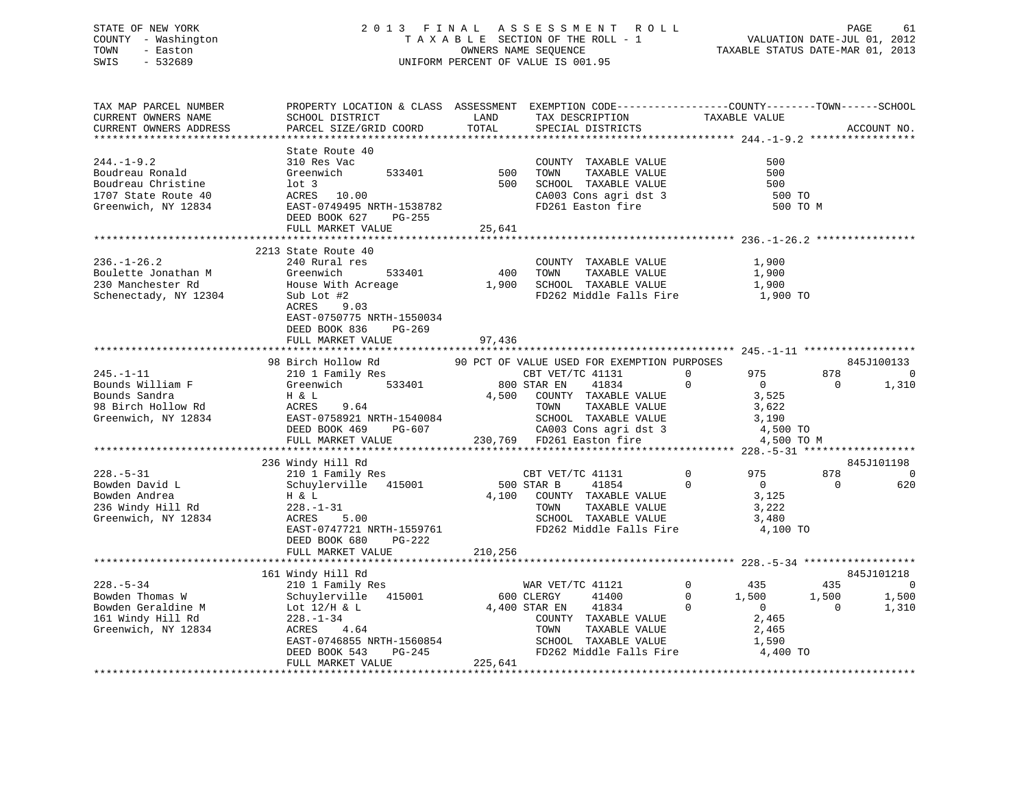# STATE OF NEW YORK 2 0 1 3 F I N A L A S S E S S M E N T R O L L PAGE 61 COUNTY - Washington T A X A B L E SECTION OF THE ROLL - 1 VALUATION DATE-JUL 01, 2012 TOWN - Easton OWNERS NAME SEQUENCE TAXABLE STATUS DATE-MAR 01, 2013 SWIS - 532689 UNIFORM PERCENT OF VALUE IS 001.95

| TAX MAP PARCEL NUMBER<br>CURRENT OWNERS NAME<br>CURRENT OWNERS ADDRESS<br>******************                       | PROPERTY LOCATION & CLASS ASSESSMENT EXEMPTION CODE----------------COUNTY-------TOWN------SCHOOL<br>SCHOOL DISTRICT<br>PARCEL SIZE/GRID COORD                             | LAND<br>TOTAL         | TAX DESCRIPTION<br>SPECIAL DISTRICTS                                                                                                                                                                                         | TAXABLE VALUE                                                                                                     | ACCOUNT NO.                                                        |
|--------------------------------------------------------------------------------------------------------------------|---------------------------------------------------------------------------------------------------------------------------------------------------------------------------|-----------------------|------------------------------------------------------------------------------------------------------------------------------------------------------------------------------------------------------------------------------|-------------------------------------------------------------------------------------------------------------------|--------------------------------------------------------------------|
| $244. -1 - 9.2$<br>Boudreau Ronald<br>Boudreau Christine<br>1707 State Route 40<br>Greenwich, NY 12834             | State Route 40<br>310 Res Vac<br>533401<br>Greenwich<br>$1$ ot 3<br>LOL 3<br>ACRES 10.00<br>EAST-0749495 NRTH-1538782<br>DEED BOOK 627 PG-255<br>FULL MARKET VALUE        | 500<br>500<br>25,641  | COUNTY TAXABLE VALUE<br>TAXABLE VALUE<br>TOWN<br>SCHOOL TAXABLE VALUE<br>SCHOOL TAXABLE VALUE<br>CA003 Cons agri dst 3<br>FD261 Easton fire                                                                                  | 500<br>500<br>500<br>500 TO<br>500 TO M                                                                           |                                                                    |
|                                                                                                                    | 2213 State Route 40                                                                                                                                                       |                       | ************************************ 236.-1-26.2 ****                                                                                                                                                                        |                                                                                                                   |                                                                    |
| $236. - 1 - 26.2$<br>Boulette Jonathan M<br>230 Manchester Rd<br>Schenectady, NY 12304                             | 240 Rural res<br>533401<br>Greenwich<br>House With Acreage<br>Sub Lot #2<br>ACRES 9.03<br>EAST-0750775 NRTH-1550034<br>DEED BOOK 836<br>PG-269<br>FULL MARKET VALUE       | 97,436                | COUNTY TAXABLE VALUE<br>400 TOWN<br>TAXABLE VALUE<br>1,900 SCHOOL TAXABLE VALUE<br>FD262 Middle Falls Fire                                                                                                                   | 1,900<br>1,900<br>1,900<br>1,900 TO                                                                               |                                                                    |
|                                                                                                                    | *************************************                                                                                                                                     |                       |                                                                                                                                                                                                                              |                                                                                                                   |                                                                    |
| $245. - 1 - 11$<br>Bounds William F<br>Pounds Sandra<br>Bounds Sandra<br>98 Birch Hollow Rd<br>Greenwich, NY 12834 | 98 Birch Hollow Rd<br>210 1 Family Res<br>533401<br>Greenwich<br>Η & L<br>ACRES<br>9.64<br>EAST-0758921 NRTH-1540084<br>DEED BOOK 469<br>PG-607<br>FULL MARKET VALUE      |                       | 90 PCT OF VALUE USED FOR EXEMPTION PURPOSES<br>CBT VET/TC 41131<br>800 STAR EN<br>41834<br>4,500 COUNTY TAXABLE VALUE<br>TAXABLE VALUE<br>TOWN<br>SCHOOL TAXABLE VALUE<br>CA003 Cons agri dst 3<br>230,769 FD261 Easton fire | 975<br>$\Omega$<br>$\mathbf{0}$<br>$\overline{0}$<br>3,525<br>3,622<br>3,190<br>4,500 TO<br>4,500 TO M            | 845J100133<br>878<br>$\mathbf 0$<br>1,310<br>$\Omega$              |
|                                                                                                                    | 236 Windy Hill Rd                                                                                                                                                         |                       |                                                                                                                                                                                                                              |                                                                                                                   | 845J101198                                                         |
| $228. - 5 - 31$<br>Bowden David L<br>Bowden Andrea<br>236 Windy Hill Rd<br>Greenwich, NY 12834                     | 210 1 Family Res<br>Schuylerville 415001<br>H & L<br>$228. - 1 - 31$<br>ACRES<br>5.00<br>EAST-0747721 NRTH-1559761<br>DEED BOOK 680<br>PG-222                             |                       | CBT VET/TC 41131<br>500 STAR B<br>41854<br>4,100 COUNTY TAXABLE VALUE<br>TAXABLE VALUE<br>TOWN<br>SCHOOL TAXABLE VALUE<br>FD262 Middle Falls Fire                                                                            | $\overline{0}$<br>975<br>$\mathbf{0}$<br>$\overline{0}$<br>3,125<br>3,222<br>3,480<br>4,100 TO                    | 878<br>0<br>$\Omega$<br>620                                        |
|                                                                                                                    | FULL MARKET VALUE                                                                                                                                                         | 210,256               |                                                                                                                                                                                                                              |                                                                                                                   |                                                                    |
|                                                                                                                    | 161 Windy Hill Rd                                                                                                                                                         |                       |                                                                                                                                                                                                                              |                                                                                                                   | 845J101218                                                         |
| $228. - 5 - 34$<br>Bowden Thomas W<br>Bowden Geraldine M<br>161 Windy Hill Rd<br>Greenwich, NY 12834               | 210 1 Family Res<br>Schuylerville 415001<br>Lot 12/H & L<br>$228. - 1 - 34$<br>ACRES<br>4.64<br>EAST-0746855 NRTH-1560854<br>DEED BOOK 543<br>PG-245<br>FULL MARKET VALUE | 600 CLERGY<br>225,641 | WAR VET/TC 41121<br>41400<br>4,400 STAR EN<br>41834<br>COUNTY TAXABLE VALUE<br>TAXABLE VALUE<br>TOWN<br>SCHOOL TAXABLE VALUE<br>FD262 Middle Falls Fire                                                                      | $\overline{0}$<br>435<br>1,500<br>$\Omega$<br>$\overline{0}$<br>$\Omega$<br>2,465<br>2,465<br>1,590<br>$4,400$ TO | 435<br>$\overline{0}$<br>1,500<br>1,500<br>$\overline{0}$<br>1,310 |
|                                                                                                                    |                                                                                                                                                                           |                       |                                                                                                                                                                                                                              |                                                                                                                   |                                                                    |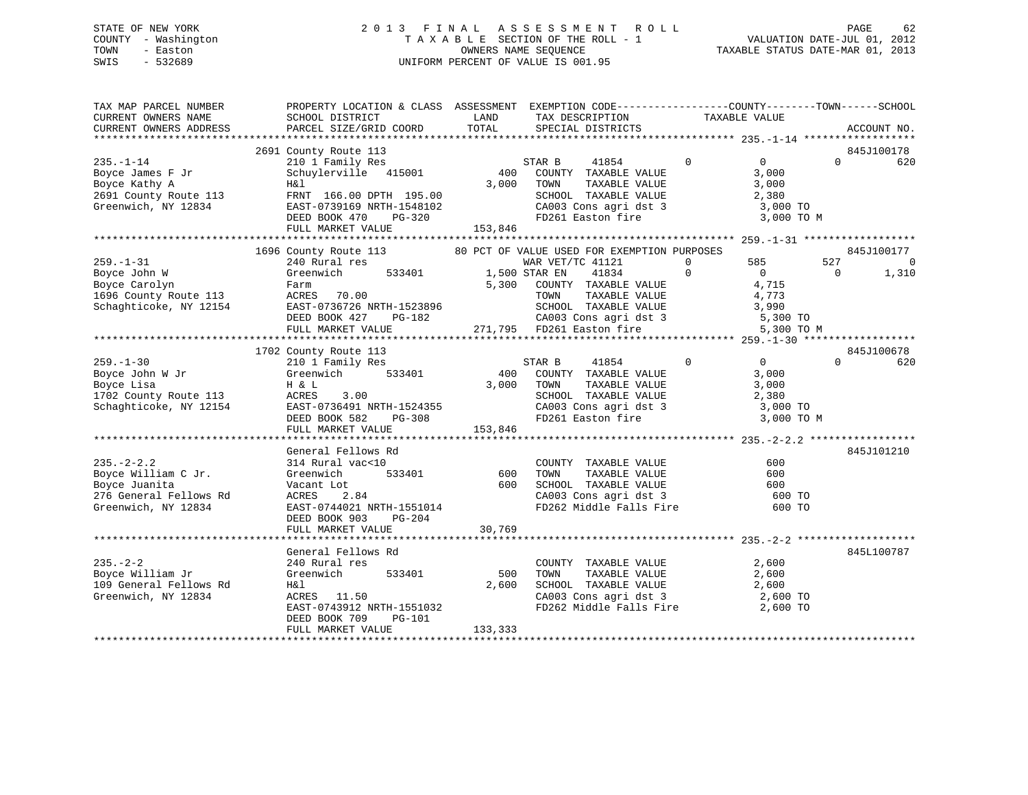# STATE OF NEW YORK 2 0 1 3 F I N A L A S S E S S M E N T R O L L PAGE 62 COUNTY - Washington T A X A B L E SECTION OF THE ROLL - 1 VALUATION DATE-JUL 01, 2012 TOWN - Easton **CONNERS NAME SEQUENCE** TAXABLE STATUS DATE-MAR 01, 2013 SWIS - 532689 UNIFORM PERCENT OF VALUE IS 001.95

| TAX MAP PARCEL NUMBER<br>CURRENT OWNERS NAME                                                              | PROPERTY LOCATION & CLASS ASSESSMENT EXEMPTION CODE----------------COUNTY-------TOWN------SCHOOL<br>SCHOOL DISTRICT                                                                                                                                                                                           | LAND                    | TAX DESCRIPTION                                                                                                                                                                                                                                   | TAXABLE VALUE                                                                           |                                                          |
|-----------------------------------------------------------------------------------------------------------|---------------------------------------------------------------------------------------------------------------------------------------------------------------------------------------------------------------------------------------------------------------------------------------------------------------|-------------------------|---------------------------------------------------------------------------------------------------------------------------------------------------------------------------------------------------------------------------------------------------|-----------------------------------------------------------------------------------------|----------------------------------------------------------|
| CURRENT OWNERS ADDRESS                                                                                    | PARCEL SIZE/GRID COORD                                                                                                                                                                                                                                                                                        | TOTAL                   | SPECIAL DISTRICTS                                                                                                                                                                                                                                 |                                                                                         | ACCOUNT NO.                                              |
|                                                                                                           |                                                                                                                                                                                                                                                                                                               |                         |                                                                                                                                                                                                                                                   |                                                                                         |                                                          |
| $235. - 1 - 14$<br>Boyce James F Jr<br>Boyce Kathy A<br>2691 County Route 113<br>Greenwich, NY 12834      | 2691 County Route 113<br>210 1 Family Res<br>Schuylerville 415001<br>H& l<br>FRNT 166.00 DPTH 195.00<br>EAST-0739169 NRTH-1548102<br>DEED BOOK 470<br>PG-320<br>FULL MARKET VALUE                                                                                                                             | 153,846                 | STAR B<br>41854<br>400 COUNTY TAXABLE VALUE<br>3,000 TOWN<br>TAXABLE VALUE<br>SCHOOL TAXABLE VALUE<br>CA003 Cons agri dst 3<br>FD261 Easton fire                                                                                                  | $\overline{0}$<br>$\overline{0}$<br>3,000<br>3,000<br>2,380<br>$3,000$ TO<br>3,000 TO M | 845J100178<br>$\mathbf 0$<br>620                         |
|                                                                                                           |                                                                                                                                                                                                                                                                                                               |                         |                                                                                                                                                                                                                                                   |                                                                                         |                                                          |
|                                                                                                           | 1696 County Route 113 60 PCT OF VALUE USED FOR EXEMPTION PURPOSES<br>99.-1-31 240 Rural res MAR VET/<br>Boyce John W Greenwich 533401 1,500 STAR EN Boyce Carolyn Farm 5,300 COUNTY<br>1696 County Route 113 ACRES 70.00 TOWN Schaghticoke, NY 12154 EAST-0736726 NRTH-1523896 SCHOOL<br>DEED BOOK 427 PG-182 |                         | WAR VET/TC 41121<br>41834<br>5,300 COUNTY TAXABLE VALUE<br>TOWN TAXABLE VALUE 4,773<br>SCHOOL TAXABLE VALUE 3,990<br>82 CA003 Cons agri dst 3<br>271,795 FD261 Easton fire                                                                        | $\overline{0}$<br>585<br>$\overline{0}$<br>$\overline{0}$<br>4,715<br>5,300 TO          | 845J100177<br>527<br>$\sim$ 0<br>1,310<br>$\overline{0}$ |
|                                                                                                           | FULL MARKET VALUE                                                                                                                                                                                                                                                                                             |                         |                                                                                                                                                                                                                                                   | 5,300 TO M                                                                              |                                                          |
|                                                                                                           |                                                                                                                                                                                                                                                                                                               |                         |                                                                                                                                                                                                                                                   |                                                                                         |                                                          |
|                                                                                                           | 1702 County Route 113                                                                                                                                                                                                                                                                                         |                         |                                                                                                                                                                                                                                                   |                                                                                         | 845J100678                                               |
| $259. - 1 - 30$<br>Boyce John W Jr<br>Boyce Lisa<br>Boyce Lisa M & L<br>1702 County Route 113 ACRES       | 210 1 Family Res<br>Greenwich 533401<br>3.00<br>Schaghticoke, NY 12154 EAST-0736491 NRTH-1524355<br>DEED BOOK 582 PG-308<br>DEED BOOK 582<br>PG-308<br>FULL MARKET VALUE                                                                                                                                      | 3,000<br>153,846        | STAR B<br>41854<br>400 COUNTY TAXABLE VALUE<br>TOWN TAXABLE VALUE<br>SCHOOL TAXABLE VALUE 2,380<br>CA003 Cons agri dst 3 3,000 TO<br>2,000 TO<br>FD261 Easton fire                                                                                | $\overline{0}$<br>$\overline{0}$<br>3,000<br>3,000 TO M                                 | $\Omega$<br>620                                          |
|                                                                                                           |                                                                                                                                                                                                                                                                                                               |                         |                                                                                                                                                                                                                                                   |                                                                                         |                                                          |
| $235. - 2 - 2.2$<br>Boyce William C Jr.<br>Boyce Juanita<br>276 General Fellows Rd<br>Greenwich, NY 12834 | General Fellows Rd<br>314 Rural vac<10<br>Greenwich<br>Vacant Lot<br>ACRES<br>2.84<br>EAST-0744021 NRTH-1551014<br>DEED BOOK 903 PG-204                                                                                                                                                                       | 533401 600<br>600       | COUNTY TAXABLE VALUE<br>TAXABLE VALUE<br>TOWN<br>SCHOOL TAXABLE VALUE<br>CA003 Cons agri dst 3 600 TO<br>FD262 Middle Falls Fire                                                                                                                  | 600<br>600<br>600<br>600 TO                                                             | 845J101210                                               |
|                                                                                                           | FULL MARKET VALUE                                                                                                                                                                                                                                                                                             | 30,769                  |                                                                                                                                                                                                                                                   |                                                                                         |                                                          |
| $235 - 2 - 2$<br>Boyce William Jr<br>109 General Fellows Rd<br>Greenwich, NY 12834                        | General Fellows Rd<br>240 Rural res<br>Greenwich<br>533401<br>H&l<br>ACRES 11.50<br>EAST-0743912 NRTH-1551032<br>DEED BOOK 709<br>PG-101<br>FULL MARKET VALUE                                                                                                                                                 | 500<br>2,600<br>133,333 | COUNTY TAXABLE VALUE<br>TAXABLE VALUE<br>TOWN<br>SCHOOL TAXABLE VALUE<br>$\frac{1}{2}$ , $\frac{1}{2}$ , $\frac{1}{2}$ , $\frac{1}{2}$ , $\frac{1}{2}$ , $\frac{1}{2}$ , $\frac{1}{2}$ , $\frac{1}{2}$ , $\frac{1}{2}$<br>FD262 Middle Falls Fire | 2,600<br>2,600<br>2,600<br>2,600 TO                                                     | 845L100787                                               |
|                                                                                                           |                                                                                                                                                                                                                                                                                                               |                         |                                                                                                                                                                                                                                                   |                                                                                         |                                                          |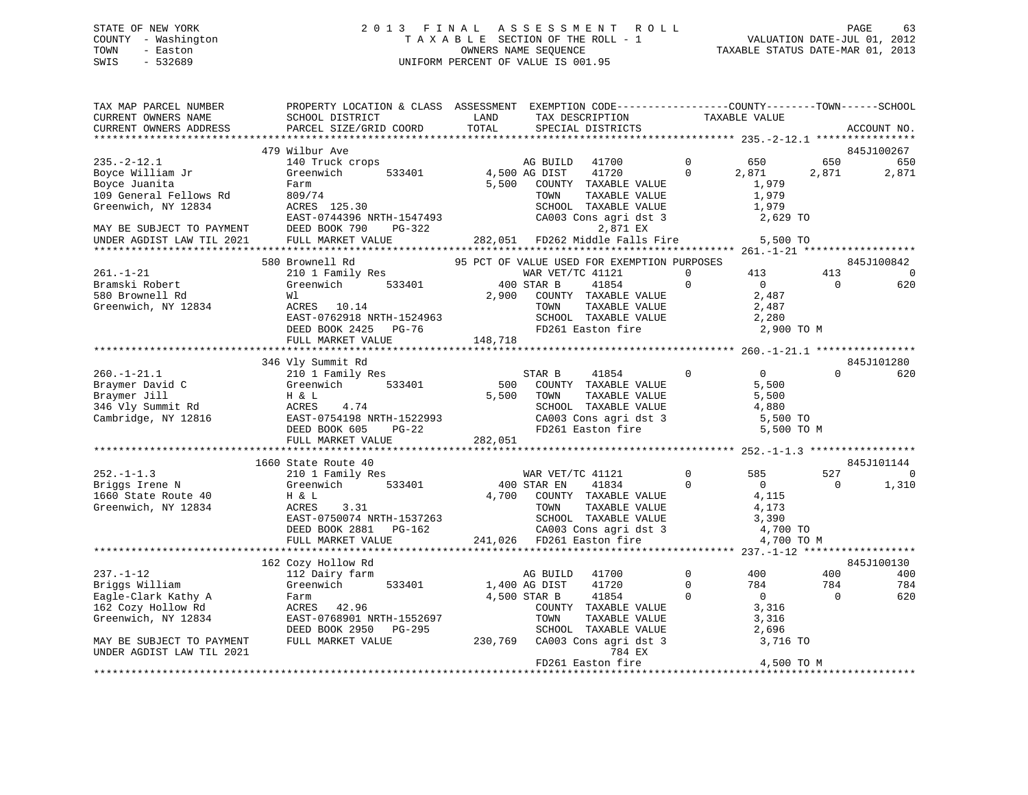# STATE OF NEW YORK 2 0 1 3 F I N A L A S S E S S M E N T R O L L PAGE 63 COUNTY - Washington T A X A B L E SECTION OF THE ROLL - 1 VALUATION DATE-JUL 01, 2012 TOWN - Easton OWNERS NAME SEQUENCE TAXABLE STATUS DATE-MAR 01, 2013 SWIS - 532689 UNIFORM PERCENT OF VALUE IS 001.95

| TAX MAP PARCEL NUMBER<br>CURRENT OWNERS NAME | PROPERTY LOCATION & CLASS ASSESSMENT EXEMPTION CODE----------------COUNTY-------TOWN------SCHOOL<br>SCHOOL DISTRICT | LAND          | TAX DESCRIPTION                             |              | TAXABLE VALUE  |          |                |
|----------------------------------------------|---------------------------------------------------------------------------------------------------------------------|---------------|---------------------------------------------|--------------|----------------|----------|----------------|
| CURRENT OWNERS ADDRESS                       | PARCEL SIZE/GRID COORD                                                                                              | TOTAL         | SPECIAL DISTRICTS                           |              |                |          | ACCOUNT NO.    |
|                                              |                                                                                                                     |               |                                             |              |                |          |                |
|                                              | 479 Wilbur Ave                                                                                                      |               |                                             |              |                |          | 845J100267     |
| $235. - 2 - 12.1$                            | 140 Truck crops                                                                                                     |               | 41700<br>AG BUILD                           | $\mathbf{0}$ | 650            | 650      | 650            |
| Boyce William Jr                             | Greenwich<br>533401                                                                                                 | 4,500 AG DIST | 41720                                       | $\Omega$     | 2,871          | 2,871    | 2,871          |
| Boyce Juanita                                | Farm                                                                                                                | 5,500         | COUNTY TAXABLE VALUE                        |              | 1,979          |          |                |
| 109 General Fellows Rd                       | 809/74                                                                                                              |               | TOWN<br>TAXABLE VALUE                       |              | 1,979          |          |                |
| Greenwich, NY 12834                          | ACRES 125.30                                                                                                        |               | SCHOOL TAXABLE VALUE                        |              | 1,979          |          |                |
|                                              | EAST-0744396 NRTH-1547493                                                                                           |               | CA003 Cons agri dst 3                       |              | 2,629 TO       |          |                |
| MAY BE SUBJECT TO PAYMENT                    | DEED BOOK 790<br>PG-322                                                                                             |               | 2,871 EX                                    |              |                |          |                |
| UNDER AGDIST LAW TIL 2021                    | FULL MARKET VALUE                                                                                                   | 282,051       | FD262 Middle Falls Fire                     |              | 5,500 TO       |          |                |
|                                              |                                                                                                                     |               |                                             |              |                |          |                |
|                                              | 580 Brownell Rd                                                                                                     |               | 95 PCT OF VALUE USED FOR EXEMPTION PURPOSES |              |                |          | 845J100842     |
| $261. - 1 - 21$                              | 210 1 Family Res                                                                                                    |               | WAR VET/TC 41121                            | $\Omega$     | 413            | 413      | - 0            |
| Bramski Robert                               | 533401<br>Greenwich                                                                                                 |               | 400 STAR B<br>41854                         | $\mathbf{0}$ | $\overline{0}$ | $\Omega$ | 620            |
| 580 Brownell Rd                              |                                                                                                                     |               |                                             |              |                |          |                |
|                                              | Wl                                                                                                                  | 2,900         | COUNTY TAXABLE VALUE                        |              | 2,487          |          |                |
| Greenwich, NY 12834                          | ACRES 10.14                                                                                                         |               | TAXABLE VALUE<br>TOWN                       |              | 2,487          |          |                |
|                                              | EAST-0762918 NRTH-1524963                                                                                           |               | SCHOOL TAXABLE VALUE                        |              | 2,280          |          |                |
|                                              | DEED BOOK 2425 PG-76                                                                                                |               | FD261 Easton fire                           |              | 2,900 TO M     |          |                |
|                                              | FULL MARKET VALUE                                                                                                   | 148,718       |                                             |              |                |          |                |
|                                              |                                                                                                                     |               |                                             |              |                |          |                |
|                                              | 346 Vly Summit Rd                                                                                                   |               |                                             |              |                |          | 845J101280     |
| $260. - 1 - 21.1$                            | 210 1 Family Res                                                                                                    |               | STAR B<br>41854                             | $\Omega$     | $\overline{0}$ |          | 620            |
| Braymer David C                              | 533401<br>Greenwich                                                                                                 | 500           | COUNTY TAXABLE VALUE                        |              | 5,500          |          |                |
| Braymer Jill                                 | H & L                                                                                                               | 5,500         | TOWN<br>TAXABLE VALUE                       |              | 5,500          |          |                |
| 346 Vly Summit Rd                            | ACRES<br>4.74                                                                                                       |               | SCHOOL TAXABLE VALUE                        |              | 4,880          |          |                |
| Cambridge, NY 12816                          | EAST-0754198 NRTH-1522993                                                                                           |               | CA003 Cons agri dst 3                       |              | 5,500 TO       |          |                |
|                                              | DEED BOOK 605<br>$PG-22$                                                                                            |               | FD261 Easton fire                           |              | 5,500 TO M     |          |                |
|                                              | FULL MARKET VALUE                                                                                                   | 282,051       |                                             |              |                |          |                |
|                                              |                                                                                                                     |               |                                             |              |                |          |                |
|                                              | 1660 State Route 40                                                                                                 |               |                                             |              |                |          | 845J101144     |
| $252. -1 - 1.3$                              | 210 1 Family Res                                                                                                    |               | WAR VET/TC 41121                            | $\mathbf 0$  | 585            | 527      | $\overline{0}$ |
| Briggs Irene N                               | 533401<br>Greenwich                                                                                                 |               | 400 STAR EN<br>41834                        | $\Omega$     | $\overline{0}$ | $\Omega$ | 1,310          |
| 1660 State Route 40                          | H & L                                                                                                               |               | 4,700 COUNTY TAXABLE VALUE                  |              | 4,115          |          |                |
| Greenwich, NY 12834                          | ACRES<br>3.31                                                                                                       |               | TAXABLE VALUE<br>TOWN                       |              | 4,173          |          |                |
|                                              | EAST-0750074 NRTH-1537263                                                                                           |               | SCHOOL TAXABLE VALUE                        |              | 3,390          |          |                |
|                                              | DEED BOOK 2881<br>PG-162                                                                                            |               | CA003 Cons agri dst 3                       |              | 4,700 TO       |          |                |
|                                              | FULL MARKET VALUE                                                                                                   |               | 241,026 FD261 Easton fire                   |              | 4,700 TO M     |          |                |
|                                              |                                                                                                                     |               |                                             |              |                |          |                |
|                                              | 162 Cozy Hollow Rd                                                                                                  |               |                                             |              |                |          | 845J100130     |
| $237. - 1 - 12$                              | 112 Dairy farm                                                                                                      |               | 41700<br>AG BUILD                           | $\mathbf 0$  | 400            | 400      | 400            |
| Briggs William                               | Greenwich<br>533401                                                                                                 | 1,400 AG DIST | 41720                                       | $\mathbf{0}$ | 784            | 784      | 784            |
| Eagle-Clark Kathy A                          | Farm                                                                                                                |               | 4,500 STAR B<br>41854                       | $\Omega$     | $\overline{0}$ | $\Omega$ | 620            |
| 162 Cozy Hollow Rd                           | ACRES 42.96                                                                                                         |               | COUNTY TAXABLE VALUE                        |              | 3,316          |          |                |
| Greenwich, NY 12834                          | EAST-0768901 NRTH-1552697                                                                                           |               | TOWN<br>TAXABLE VALUE                       |              | 3,316          |          |                |
|                                              | DEED BOOK 2950<br>PG-295                                                                                            |               | SCHOOL TAXABLE VALUE                        |              | 2,696          |          |                |
| MAY BE SUBJECT TO PAYMENT                    | FULL MARKET VALUE                                                                                                   | 230,769       | CA003 Cons agri dst 3                       |              | 3,716 TO       |          |                |
| UNDER AGDIST LAW TIL 2021                    |                                                                                                                     |               | 784 EX                                      |              |                |          |                |
|                                              |                                                                                                                     |               | FD261 Easton fire                           |              | 4,500 TO M     |          |                |
|                                              |                                                                                                                     |               |                                             |              |                |          |                |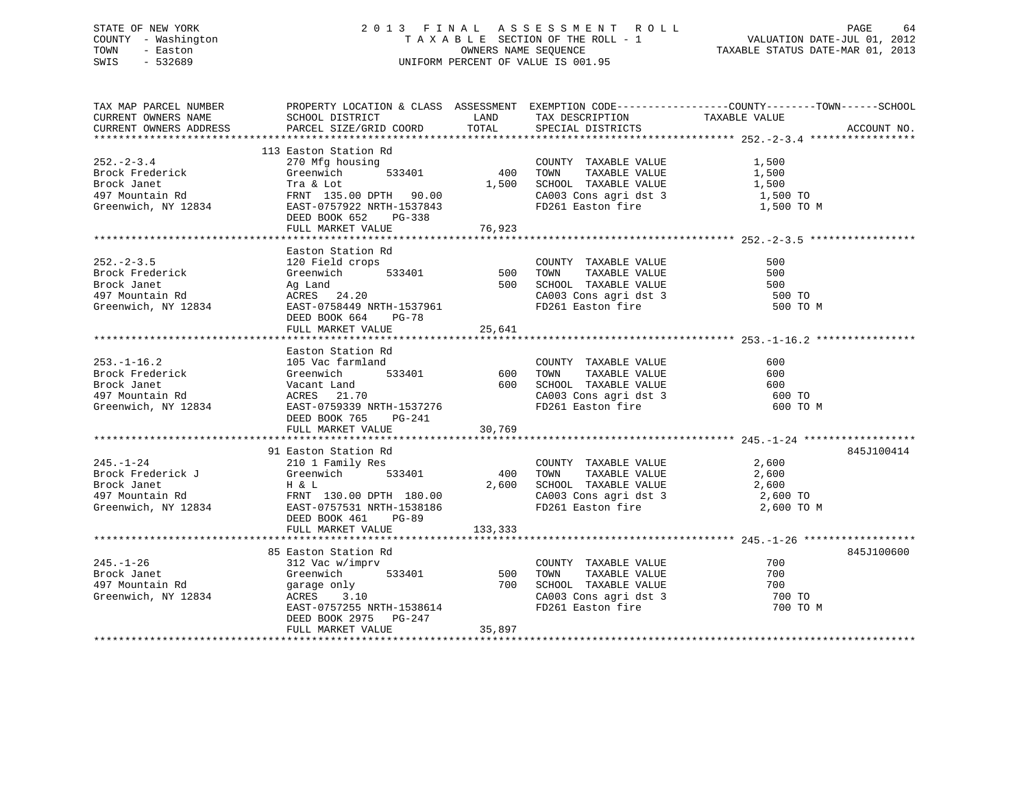# STATE OF NEW YORK 2 0 1 3 F I N A L A S S E S S M E N T R O L L PAGE 64 COUNTY - Washington T A X A B L E SECTION OF THE ROLL - 1 VALUATION DATE-JUL 01, 2012 TOWN - Easton OWNERS NAME SEQUENCE TAXABLE STATUS DATE-MAR 01, 2013 SWIS - 532689 UNIFORM PERCENT OF VALUE IS 001.95

| TAX MAP PARCEL NUMBER                                                                                                                                                                                                                  | PROPERTY LOCATION & CLASS ASSESSMENT EXEMPTION CODE----------------COUNTY-------TOWN-----SCHOOL |          |                                                                                                                                                                                               |                    |             |
|----------------------------------------------------------------------------------------------------------------------------------------------------------------------------------------------------------------------------------------|-------------------------------------------------------------------------------------------------|----------|-----------------------------------------------------------------------------------------------------------------------------------------------------------------------------------------------|--------------------|-------------|
| CURRENT OWNERS NAME                                                                                                                                                                                                                    |                                                                                                 |          |                                                                                                                                                                                               |                    |             |
| CURRENT OWNERS ADDRESS                                                                                                                                                                                                                 |                                                                                                 |          |                                                                                                                                                                                               |                    | ACCOUNT NO. |
|                                                                                                                                                                                                                                        |                                                                                                 |          |                                                                                                                                                                                               |                    |             |
|                                                                                                                                                                                                                                        | 113 Easton Station Rd                                                                           |          | COUNTY TAXABLE VALUE<br>using<br>533401 400 TOWN TAXABLE VALUE<br>1,500 SCHOOL TAXABLE VALUE<br>$1,500$ SCHOOL TAXABLE VALUE<br>$\begin{array}{ccc}\n 1,500 \\  1,500 \\  1,500\n\end{array}$ |                    |             |
| $252 - 2 - 3.4$                                                                                                                                                                                                                        | 270 Mfg housing                                                                                 |          |                                                                                                                                                                                               |                    |             |
| Brock Frederick                                                                                                                                                                                                                        | Greenwich                                                                                       |          |                                                                                                                                                                                               |                    |             |
| Brock Janet                                                                                                                                                                                                                            | Tra & Lot                                                                                       |          |                                                                                                                                                                                               |                    |             |
|                                                                                                                                                                                                                                        |                                                                                                 |          | CA003 Cons agri dst 3 1,500 TO                                                                                                                                                                |                    |             |
|                                                                                                                                                                                                                                        |                                                                                                 |          | FD261 Easton fire                                                                                                                                                                             | 1,500 TO M         |             |
|                                                                                                                                                                                                                                        | DEED BOOK 652 PG-338                                                                            |          |                                                                                                                                                                                               |                    |             |
|                                                                                                                                                                                                                                        |                                                                                                 |          |                                                                                                                                                                                               |                    |             |
|                                                                                                                                                                                                                                        |                                                                                                 |          |                                                                                                                                                                                               |                    |             |
|                                                                                                                                                                                                                                        | Easton Station Rd                                                                               |          |                                                                                                                                                                                               |                    |             |
|                                                                                                                                                                                                                                        |                                                                                                 |          |                                                                                                                                                                                               |                    |             |
|                                                                                                                                                                                                                                        |                                                                                                 |          |                                                                                                                                                                                               |                    |             |
|                                                                                                                                                                                                                                        |                                                                                                 |          |                                                                                                                                                                                               |                    |             |
|                                                                                                                                                                                                                                        |                                                                                                 |          |                                                                                                                                                                                               | 500 TO<br>500 TO M |             |
| Exact of Rederick and Sales and Sales and Sales and Sales and Sales and Sales and Sales and Sales and Sales and Sales and Sales and Sales and Sales and Sales and Sales and Sales and Sales and Sales and Sales and Sales and          |                                                                                                 |          | CA003 Cons agri dst 3<br>FD261 Easton fire                                                                                                                                                    |                    |             |
|                                                                                                                                                                                                                                        | DEED BOOK 664 PG-78                                                                             |          |                                                                                                                                                                                               |                    |             |
|                                                                                                                                                                                                                                        | FULL MARKET VALUE                                                                               | 25,641   |                                                                                                                                                                                               |                    |             |
|                                                                                                                                                                                                                                        |                                                                                                 |          |                                                                                                                                                                                               |                    |             |
|                                                                                                                                                                                                                                        | Easton Station Rd                                                                               |          |                                                                                                                                                                                               |                    |             |
|                                                                                                                                                                                                                                        |                                                                                                 |          |                                                                                                                                                                                               |                    |             |
|                                                                                                                                                                                                                                        |                                                                                                 |          |                                                                                                                                                                                               |                    |             |
| 253.-1-16.2<br>Brock Frederick and State and S33401<br>Brock Janet Greenwich 533401 600 TOWN TAXABLE VALUE 600<br>Brock Janet Greenwich 533401 600 SCHOOL TAXABLE VALUE 600<br>497 Mountain Rd ACRES 21.70 2A003 Cons agri dst 3 600 T |                                                                                                 |          |                                                                                                                                                                                               |                    |             |
|                                                                                                                                                                                                                                        |                                                                                                 |          |                                                                                                                                                                                               |                    |             |
| Greenwich, NY 12834 EAST-0759339 NRTH-1537276                                                                                                                                                                                          |                                                                                                 |          | CA003 Cons agri dst 3<br>FD261 Easton fire                                                                                                                                                    | 600 TO M           |             |
|                                                                                                                                                                                                                                        | DEED BOOK 765 PG-241                                                                            |          |                                                                                                                                                                                               |                    |             |
|                                                                                                                                                                                                                                        | FULL MARKET VALUE                                                                               | 30,769   |                                                                                                                                                                                               |                    |             |
|                                                                                                                                                                                                                                        |                                                                                                 |          |                                                                                                                                                                                               |                    |             |
|                                                                                                                                                                                                                                        | 91 Easton Station Rd                                                                            |          |                                                                                                                                                                                               |                    | 845J100414  |
|                                                                                                                                                                                                                                        |                                                                                                 |          |                                                                                                                                                                                               | 2,600              |             |
|                                                                                                                                                                                                                                        |                                                                                                 |          |                                                                                                                                                                                               |                    |             |
|                                                                                                                                                                                                                                        |                                                                                                 |          |                                                                                                                                                                                               |                    |             |
|                                                                                                                                                                                                                                        |                                                                                                 |          |                                                                                                                                                                                               |                    |             |
| Greenwich, NY 12834 EAST-0757531 NRTH-1538186                                                                                                                                                                                          |                                                                                                 |          | FD261 Easton fire 2,600 TO M                                                                                                                                                                  |                    |             |
|                                                                                                                                                                                                                                        | DEED BOOK 461 PG-89                                                                             |          |                                                                                                                                                                                               |                    |             |
|                                                                                                                                                                                                                                        | FULL MARKET VALUE                                                                               | 133, 333 |                                                                                                                                                                                               |                    |             |
|                                                                                                                                                                                                                                        |                                                                                                 |          |                                                                                                                                                                                               |                    |             |
|                                                                                                                                                                                                                                        | 85 Easton Station Rd                                                                            |          |                                                                                                                                                                                               |                    | 845J100600  |
| $245. - 1 - 26$                                                                                                                                                                                                                        | 312 Vac w/imprv                                                                                 |          | COUNTY TAXABLE VALUE                                                                                                                                                                          | 700                |             |
|                                                                                                                                                                                                                                        | imprv<br>533401 500<br>Greenwich                                                                |          | TAXABLE VALUE<br>TOWN                                                                                                                                                                         | 700                |             |
|                                                                                                                                                                                                                                        |                                                                                                 |          |                                                                                                                                                                                               | 700                |             |
| Brock Janet<br>497 Mountain Rd<br>Greenwich, NY 12834                                                                                                                                                                                  | garage only<br>ACRES       3.10<br>ACRES                                                        |          | 700 SCHOOL TAXABLE VALUE 700 700 CA003 Cons agri dst 3 700 70                                                                                                                                 |                    |             |
|                                                                                                                                                                                                                                        | ACRES 3.10<br>EAST-0757255 NRTH-1538614                                                         |          | FD261 Easton fire                                                                                                                                                                             | 700 TO M           |             |
|                                                                                                                                                                                                                                        | DEED BOOK 2975 PG-247                                                                           |          |                                                                                                                                                                                               |                    |             |
|                                                                                                                                                                                                                                        | FULL MARKET VALUE                                                                               | 35,897   |                                                                                                                                                                                               |                    |             |
|                                                                                                                                                                                                                                        |                                                                                                 |          |                                                                                                                                                                                               |                    |             |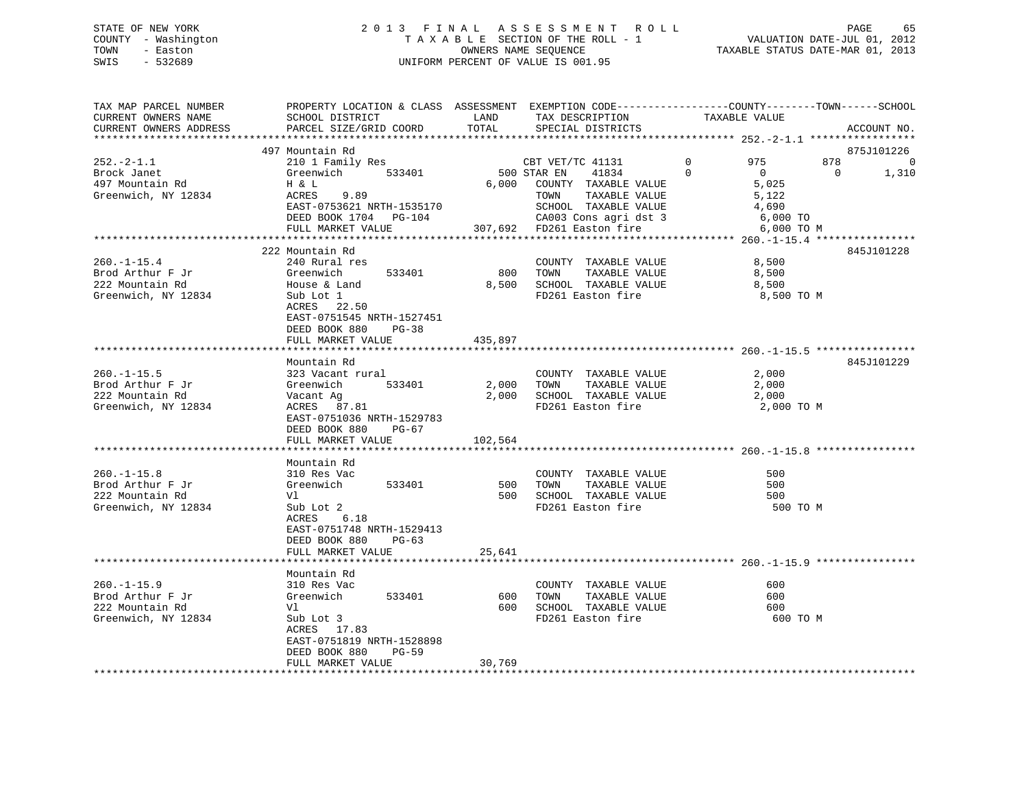# STATE OF NEW YORK 2 0 1 3 F I N A L A S S E S S M E N T R O L L PAGE 65 COUNTY - Washington T A X A B L E SECTION OF THE ROLL - 1 VALUATION DATE-JUL 01, 2012 TOWN - Easton OWNERS NAME SEQUENCE TAXABLE STATUS DATE-MAR 01, 2013 SWIS - 532689 UNIFORM PERCENT OF VALUE IS 001.95

| TAX MAP PARCEL NUMBER<br>CURRENT OWNERS NAME<br>CURRENT OWNERS ADDRESS          | PROPERTY LOCATION & CLASS ASSESSMENT EXEMPTION CODE----------------COUNTY-------TOWN------SCHOOL<br>SCHOOL DISTRICT<br>PARCEL SIZE/GRID COORD                                   | LAND<br>TOTAL             | TAX DESCRIPTION<br>SPECIAL DISTRICTS                                                                                                                                    | TAXABLE VALUE                                                                                             | ACCOUNT NO.                            |
|---------------------------------------------------------------------------------|---------------------------------------------------------------------------------------------------------------------------------------------------------------------------------|---------------------------|-------------------------------------------------------------------------------------------------------------------------------------------------------------------------|-----------------------------------------------------------------------------------------------------------|----------------------------------------|
|                                                                                 |                                                                                                                                                                                 |                           |                                                                                                                                                                         |                                                                                                           |                                        |
| $252. - 2 - 1.1$<br>Brock Janet<br>497 Mountain Rd<br>Greenwich, NY 12834       | 497 Mountain Rd<br>210 1 Family Res<br>Greenwich<br>533401<br>H & L<br>ACRES<br>9.89<br>EAST-0753621 NRTH-1535170<br>DEED BOOK 1704 PG-104<br>FULL MARKET VALUE                 | 6,000                     | CBT VET/TC 41131<br>500 STAR EN<br>41834<br>COUNTY TAXABLE VALUE<br>TOWN<br>TAXABLE VALUE<br>SCHOOL TAXABLE VALUE<br>CA003 Cons agri dst 3<br>307,692 FD261 Easton fire | 878<br>975<br>$\Omega$<br>$\Omega$<br>$\overline{0}$<br>5,025<br>5,122<br>4,690<br>6,000 TO<br>6,000 TO M | 875J101226<br>- 0<br>$\Omega$<br>1,310 |
|                                                                                 |                                                                                                                                                                                 |                           |                                                                                                                                                                         |                                                                                                           |                                        |
| $260. - 1 - 15.4$<br>Brod Arthur F Jr<br>222 Mountain Rd<br>Greenwich, NY 12834 | 222 Mountain Rd<br>240 Rural res<br>533401<br>Greenwich<br>House & Land<br>Sub Lot 1<br>ACRES 22.50<br>EAST-0751545 NRTH-1527451<br>DEED BOOK 880<br>PG-38<br>FULL MARKET VALUE | 800<br>8,500<br>435,897   | COUNTY TAXABLE VALUE<br>TAXABLE VALUE<br>TOWN<br>SCHOOL TAXABLE VALUE<br>FD261 Easton fire                                                                              | 8,500<br>8,500<br>8,500<br>8,500 TO M                                                                     | 845J101228                             |
|                                                                                 |                                                                                                                                                                                 |                           |                                                                                                                                                                         |                                                                                                           |                                        |
| $260. -1 - 15.5$<br>Brod Arthur F Jr<br>222 Mountain Rd<br>Greenwich, NY 12834  | Mountain Rd<br>323 Vacant rural<br>533401<br>Greenwich<br>Vacant Ag<br>ACRES 87.81<br>EAST-0751036 NRTH-1529783<br>DEED BOOK 880<br>$PG-67$<br>FULL MARKET VALUE                | 2,000<br>2,000<br>102,564 | COUNTY TAXABLE VALUE<br>TAXABLE VALUE<br>TOWN<br>SCHOOL TAXABLE VALUE<br>FD261 Easton fire                                                                              | 2,000<br>2,000<br>2,000<br>2,000 TO M                                                                     | 845J101229                             |
|                                                                                 | Mountain Rd                                                                                                                                                                     |                           |                                                                                                                                                                         |                                                                                                           |                                        |
| $260. -1 - 15.8$<br>Brod Arthur F Jr<br>222 Mountain Rd<br>Greenwich, NY 12834  | 310 Res Vac<br>533401<br>Greenwich<br>Vl<br>Sub Lot 2<br>6.18<br>ACRES<br>EAST-0751748 NRTH-1529413                                                                             | 500<br>500                | COUNTY TAXABLE VALUE<br>TOWN<br>TAXABLE VALUE<br>SCHOOL TAXABLE VALUE<br>FD261 Easton fire                                                                              | 500<br>500<br>500<br>500 TO M                                                                             |                                        |
|                                                                                 | DEED BOOK 880<br>$PG-63$<br>FULL MARKET VALUE                                                                                                                                   | 25,641                    |                                                                                                                                                                         |                                                                                                           |                                        |
|                                                                                 |                                                                                                                                                                                 |                           |                                                                                                                                                                         |                                                                                                           |                                        |
| $260. -1 - 15.9$<br>Brod Arthur F Jr<br>222 Mountain Rd<br>Greenwich, NY 12834  | Mountain Rd<br>310 Res Vac<br>Greenwich<br>533401<br>Vl<br>Sub Lot 3<br>ACRES 17.83<br>EAST-0751819 NRTH-1528898<br>DEED BOOK 880<br><b>PG-59</b>                               | 600<br>600                | COUNTY TAXABLE VALUE<br>TOWN<br>TAXABLE VALUE<br>SCHOOL TAXABLE VALUE<br>FD261 Easton fire                                                                              | 600<br>600<br>600<br>600 TO M                                                                             |                                        |
|                                                                                 | FULL MARKET VALUE                                                                                                                                                               | 30,769                    |                                                                                                                                                                         |                                                                                                           |                                        |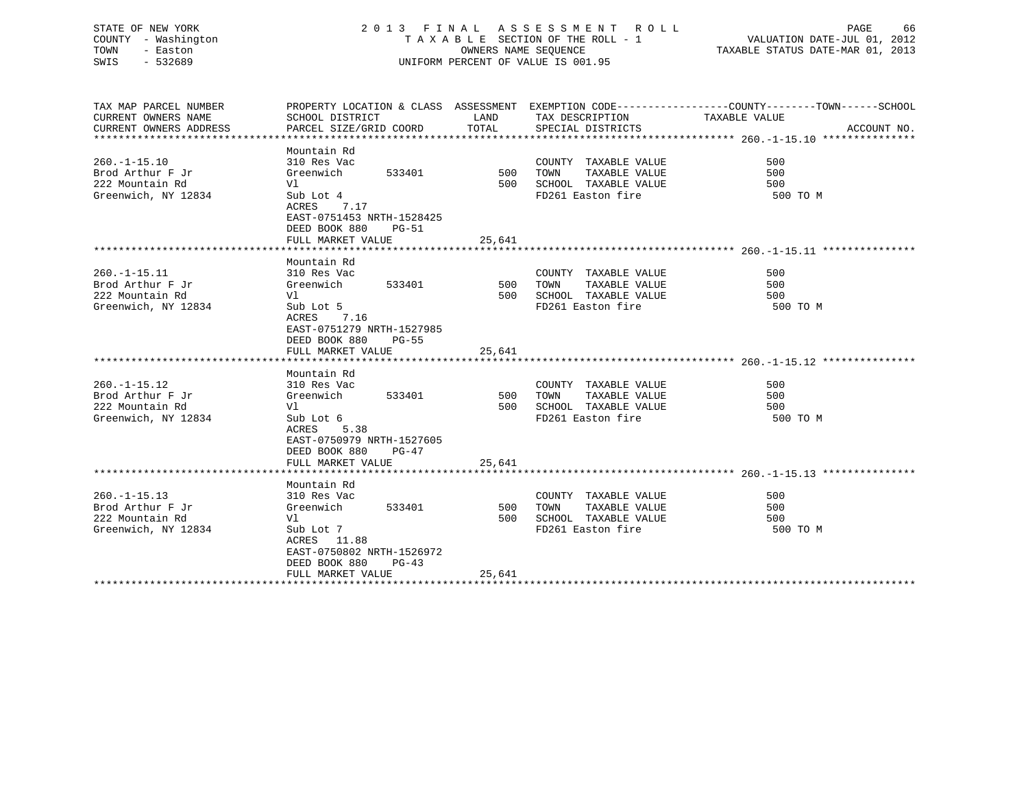# STATE OF NEW YORK 2 0 1 3 F I N A L A S S E S S M E N T R O L L PAGE 66 COUNTY - Washington T A X A B L E SECTION OF THE ROLL - 1 VALUATION DATE-JUL 01, 2012 TOWN - Easton OWNERS NAME SEQUENCE TAXABLE STATUS DATE-MAR 01, 2013 SWIS - 532689 UNIFORM PERCENT OF VALUE IS 001.95

| TAX MAP PARCEL NUMBER<br>CURRENT OWNERS NAME<br>CURRENT OWNERS ADDRESS          | SCHOOL DISTRICT<br>PARCEL SIZE/GRID COORD                                                                                                                          | LAND<br>TOTAL        | TAX DESCRIPTION<br>SPECIAL DISTRICTS                                                       | PROPERTY LOCATION & CLASS ASSESSMENT EXEMPTION CODE----------------COUNTY-------TOWN------SCHOOL<br>TAXABLE VALUE<br>ACCOUNT NO. |
|---------------------------------------------------------------------------------|--------------------------------------------------------------------------------------------------------------------------------------------------------------------|----------------------|--------------------------------------------------------------------------------------------|----------------------------------------------------------------------------------------------------------------------------------|
| $260. -1 - 15.10$<br>Brod Arthur F Jr<br>222 Mountain Rd<br>Greenwich, NY 12834 | Mountain Rd<br>310 Res Vac<br>533401 500<br>Greenwich<br>Vl<br>Sub Lot 4<br>ACRES 7.17<br>EAST-0751453 NRTH-1528425<br>DEED BOOK 880<br>PG-51<br>FULL MARKET VALUE | 500<br>25,641        | COUNTY TAXABLE VALUE<br>TAXABLE VALUE<br>TOWN<br>SCHOOL TAXABLE VALUE<br>FD261 Easton fire | 500<br>500<br>500<br>500 TO M                                                                                                    |
| $260. -1 - 15.11$<br>Brod Arthur F Jr<br>222 Mountain Rd<br>Greenwich, NY 12834 | Mountain Rd<br>310 Res Vac<br>533401<br>Greenwich<br>Vl<br>Sub Lot 5<br>ACRES 7.16<br>EAST-0751279 NRTH-1527985<br>DEED BOOK 880<br>PG-55<br>FULL MARKET VALUE     | 500<br>500<br>25,641 | COUNTY TAXABLE VALUE<br>TOWN<br>TAXABLE VALUE<br>SCHOOL TAXABLE VALUE<br>FD261 Easton fire | 500<br>500<br>500<br>500 TO M                                                                                                    |
| $260. -1 - 15.12$<br>Brod Arthur F Jr<br>222 Mountain Rd<br>Greenwich, NY 12834 | Mountain Rd<br>310 Res Vac<br>533401<br>Greenwich<br>Vl<br>Sub Lot 6<br>ACRES 5.38<br>EAST-0750979 NRTH-1527605<br>DEED BOOK 880<br>PG-47<br>FULL MARKET VALUE     | 500<br>500<br>25,641 | COUNTY TAXABLE VALUE<br>TAXABLE VALUE<br>TOWN<br>SCHOOL TAXABLE VALUE<br>FD261 Easton fire | 500<br>500<br>500<br>500 TO M                                                                                                    |
| $260. -1 - 15.13$<br>Brod Arthur F Jr<br>222 Mountain Rd<br>Greenwich, NY 12834 | Mountain Rd<br>310 Res Vac<br>533401<br>Greenwich<br>Vl<br>Sub Lot 7<br>ACRES 11.88<br>EAST-0750802 NRTH-1526972<br>DEED BOOK 880<br>$PG-43$<br>FULL MARKET VALUE  | 500<br>500<br>25,641 | COUNTY TAXABLE VALUE<br>TOWN<br>TAXABLE VALUE<br>SCHOOL TAXABLE VALUE<br>FD261 Easton fire | 500<br>500<br>500<br>500 TO M                                                                                                    |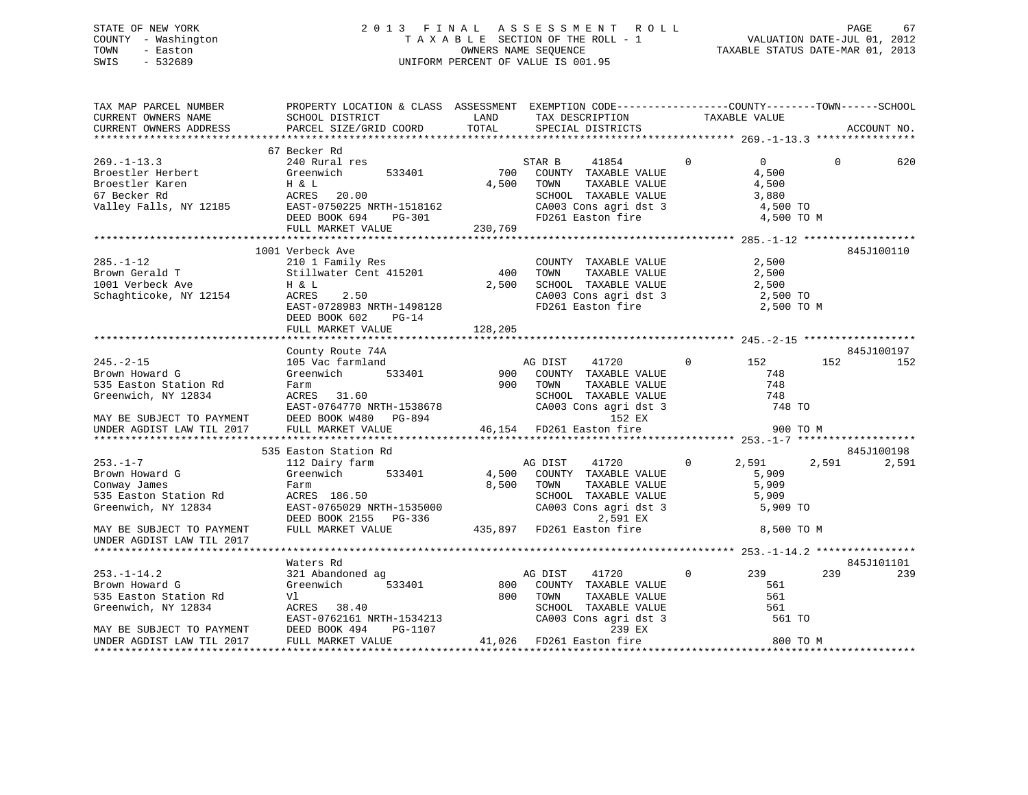# STATE OF NEW YORK 2 0 1 3 F I N A L A S S E S S M E N T R O L L PAGE 67 COUNTY - Washington T A X A B L E SECTION OF THE ROLL - 1 VALUATION DATE-JUL 01, 2012 TOWN - Easton OWNERS NAME SEQUENCE TAXABLE STATUS DATE-MAR 01, 2013 SWIS - 532689 UNIFORM PERCENT OF VALUE IS 001.95

| TAX MAP PARCEL NUMBER<br>CURRENT OWNERS NAME<br>CURRENT OWNERS ADDRESS                                                                                     | PROPERTY LOCATION & CLASS ASSESSMENT EXEMPTION CODE----------------COUNTY-------TOWN------SCHOOL<br>SCHOOL DISTRICT<br>PARCEL SIZE/GRID COORD                          | LAND<br>TOTAL           | TAX DESCRIPTION<br>SPECIAL DISTRICTS                                                                                                                        |              | TAXABLE VALUE                                                       |          | ACCOUNT NO.       |
|------------------------------------------------------------------------------------------------------------------------------------------------------------|------------------------------------------------------------------------------------------------------------------------------------------------------------------------|-------------------------|-------------------------------------------------------------------------------------------------------------------------------------------------------------|--------------|---------------------------------------------------------------------|----------|-------------------|
| $269. - 1 - 13.3$<br>Broestler Herbert<br>Broestler Karen<br>67 Becker Rd<br>Valley Falls, NY 12185                                                        | 67 Becker Rd<br>240 Rural res<br>Greenwich<br>533401<br>H & L<br>ACRES<br>20.00<br>EAST-0750225 NRTH-1518162<br>DEED BOOK 694<br>PG-301<br>FULL MARKET VALUE           | 700<br>4,500<br>230,769 | STAR B<br>41854<br>COUNTY TAXABLE VALUE<br>TAXABLE VALUE<br>TOWN<br>SCHOOL TAXABLE VALUE<br>CA003 Cons agri dst 3<br>FD261 Easton fire                      | $\Omega$     | $\overline{0}$<br>4,500<br>4,500<br>3,880<br>4,500 TO<br>4,500 TO M | $\Omega$ | 620               |
| $285. - 1 - 12$<br>Brown Gerald T<br>1001 Verbeck Ave<br>Schaghticoke, NY 12154                                                                            | 1001 Verbeck Ave<br>210 1 Family Res<br>Stillwater Cent 415201<br>H & L<br>2.50<br>ACRES<br>EAST-0728983 NRTH-1498128<br>DEED BOOK 602<br>$PG-14$<br>FULL MARKET VALUE | 400<br>2,500<br>128,205 | COUNTY TAXABLE VALUE<br>TOWN<br>TAXABLE VALUE<br>SCHOOL TAXABLE VALUE<br>CA003 Cons agri dst 3<br>FD261 Easton fire                                         |              | 2,500<br>2,500<br>2,500<br>2,500 TO<br>2,500 TO M                   |          | 845J100110        |
| $245. - 2 - 15$<br>Brown Howard G<br>535 Easton Station Rd<br>Greenwich, NY 12834<br>MAY BE SUBJECT TO PAYMENT<br>UNDER AGDIST LAW TIL 2017                | County Route 74A<br>105 Vac farmland<br>533401<br>Greenwich<br>Farm<br>ACRES<br>31.60<br>EAST-0764770 NRTH-1538678<br>DEED BOOK W480 PG-894<br>FULL MARKET VALUE       | 900<br>900              | AG DIST<br>41720<br>COUNTY TAXABLE VALUE<br>TOWN<br>TAXABLE VALUE<br>SCHOOL TAXABLE VALUE<br>CA003 Cons agri dst 3<br>152 EX<br>46,154 FD261 Easton fire    | $\mathbf{0}$ | 152<br>748<br>748<br>748<br>748 TO<br>900 TO M                      | 152      | 845J100197<br>152 |
|                                                                                                                                                            | 535 Easton Station Rd                                                                                                                                                  |                         |                                                                                                                                                             |              |                                                                     |          | 845J100198        |
| $253. - 1 - 7$<br>Brown Howard G<br>Conway James<br>535 Easton Station Rd<br>Greenwich, NY 12834<br>MAY BE SUBJECT TO PAYMENT<br>UNDER AGDIST LAW TIL 2017 | 112 Dairy farm<br>Greenwich<br>533401<br>Farm<br>ACRES 186.50<br>EAST-0765029 NRTH-1535000<br>DEED BOOK 2155 PG-336<br>FULL MARKET VALUE                               | 4,500<br>8,500          | AG DIST<br>41720<br>COUNTY TAXABLE VALUE<br>TOWN<br>TAXABLE VALUE<br>SCHOOL TAXABLE VALUE<br>CA003 Cons agri dst 3<br>2,591 EX<br>435,897 FD261 Easton fire | $\mathbf 0$  | 2,591<br>5,909<br>5,909<br>5,909<br>5,909 TO<br>8,500 TO M          | 2,591    | 2,591             |
|                                                                                                                                                            | Waters Rd                                                                                                                                                              |                         |                                                                                                                                                             |              |                                                                     |          | 845J101101        |
| $253. - 1 - 14.2$<br>Brown Howard G<br>535 Easton Station Rd<br>Greenwich, NY 12834<br>MAY BE SUBJECT TO PAYMENT                                           | 321 Abandoned ag<br>Greenwich<br>533401<br>Vl<br>ACRES 38.40<br>EAST-0762161 NRTH-1534213<br>DEED BOOK 494<br>PG-1107                                                  | 800<br>800              | AG DIST<br>41720<br>COUNTY TAXABLE VALUE<br>TOWN<br>TAXABLE VALUE<br>SCHOOL TAXABLE VALUE<br>CA003 Cons agri dst 3<br>239 EX                                | $\mathbf{0}$ | 239<br>561<br>561<br>561<br>561 TO                                  | 239      | 239               |
| UNDER AGDIST LAW TIL 2017                                                                                                                                  | FULL MARKET VALUE                                                                                                                                                      |                         | 41,026 FD261 Easton fire                                                                                                                                    |              | 800 TO M                                                            |          |                   |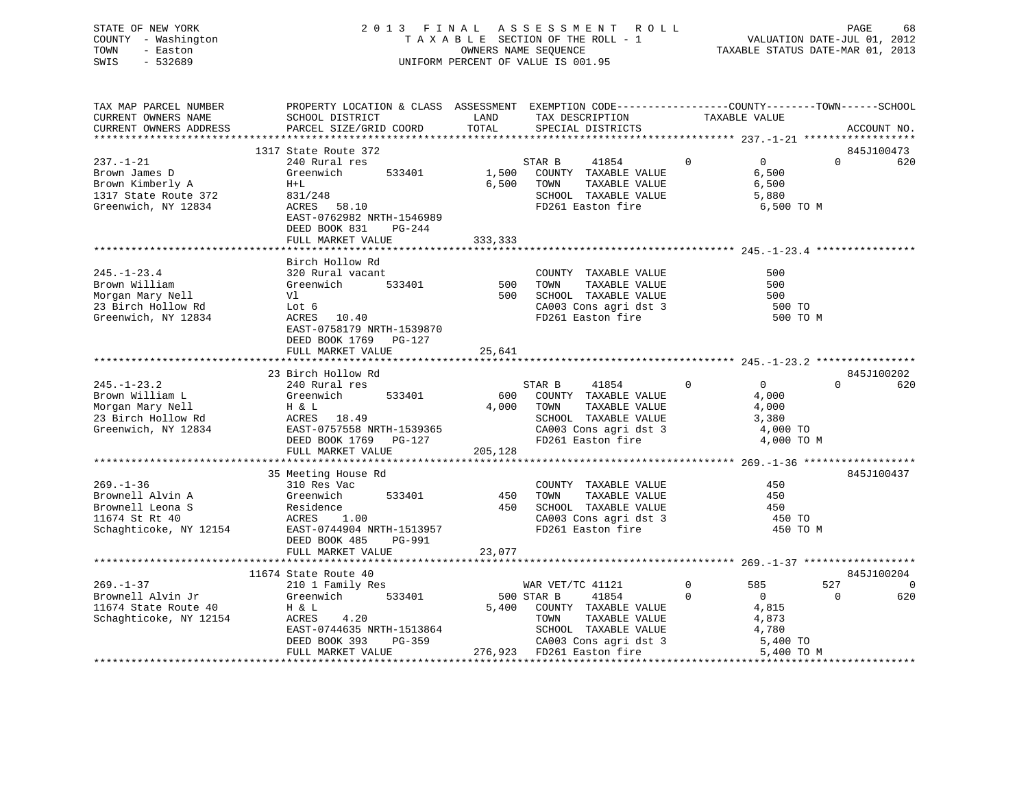STATE OF NEW YORK 2 0 1 3 F I N A L A S S E S S M E N T R O L L PAGE 68COUNTY - Washington T A X A B L E SECTION OF THE ROLL - 1 VALUATION DATE-JUL 01, 2012 TOWN - Easton COMPUTERS NAME SEQUENCE TAXABLE STATUS DATE-MAR 01, 2013<br>SWIS - 532689 SWIS - 532689 UNIFORM PERCENT OF VALUE IS 001.95

|                        | PAGE |  |
|------------------------|------|--|
| VALUATION DATE-JUL 01, |      |  |

| TAX MAP PARCEL NUMBER  | PROPERTY LOCATION & CLASS ASSESSMENT EXEMPTION CODE---------------COUNTY-------TOWN-----SCHOOL |          |                                               |                               |                                 |
|------------------------|------------------------------------------------------------------------------------------------|----------|-----------------------------------------------|-------------------------------|---------------------------------|
| CURRENT OWNERS NAME    | SCHOOL DISTRICT                                                                                | LAND     | TAX DESCRIPTION                               | TAXABLE VALUE                 |                                 |
| CURRENT OWNERS ADDRESS | PARCEL SIZE/GRID COORD                                                                         | TOTAL    | SPECIAL DISTRICTS                             |                               | ACCOUNT NO.                     |
|                        |                                                                                                |          |                                               |                               |                                 |
|                        | 1317 State Route 372                                                                           |          |                                               |                               | 845J100473                      |
| $237. - 1 - 21$        | 240 Rural res                                                                                  |          | STAR B<br>41854                               | $0 \qquad \qquad$<br>$\Omega$ | $\Omega$<br>620                 |
| Brown James D          | 533401<br>Greenwich                                                                            | 1,500    | COUNTY TAXABLE VALUE                          | 6,500                         |                                 |
| Brown Kimberly A       | $H+L$                                                                                          | 6,500    | TOWN<br>TAXABLE VALUE                         | 6,500                         |                                 |
| 1317 State Route 372   | 831/248                                                                                        |          | SCHOOL TAXABLE VALUE                          | 5,880                         |                                 |
| Greenwich, NY 12834    | ACRES 58.10                                                                                    |          | FD261 Easton fire                             | 6,500 TO M                    |                                 |
|                        | EAST-0762982 NRTH-1546989                                                                      |          |                                               |                               |                                 |
|                        | DEED BOOK 831<br>$PG-244$                                                                      |          |                                               |                               |                                 |
|                        | FULL MARKET VALUE                                                                              | 333,333  |                                               |                               |                                 |
|                        |                                                                                                |          |                                               |                               |                                 |
|                        | Birch Hollow Rd                                                                                |          |                                               |                               |                                 |
| $245. - 1 - 23.4$      | 320 Rural vacant                                                                               |          | COUNTY TAXABLE VALUE                          | 500                           |                                 |
| Brown William          | Greenwich 533401                                                                               | 500 TOWN | TAXABLE VALUE                                 | 500                           |                                 |
| Morgan Mary Nell       | Vl                                                                                             |          | 500 SCHOOL TAXABLE VALUE                      | 500                           |                                 |
| 23 Birch Hollow Rd     | Lot 6                                                                                          |          | CA003 Cons agri dst 3                         | 500 TO                        |                                 |
| Greenwich, NY 12834    | ACRES 10.40                                                                                    |          | FD261 Easton fire                             | 500 TO M                      |                                 |
|                        | EAST-0758179 NRTH-1539870                                                                      |          |                                               |                               |                                 |
|                        | DEED BOOK 1769    PG-127                                                                       |          |                                               |                               |                                 |
|                        | FULL MARKET VALUE                                                                              | 25,641   |                                               |                               |                                 |
|                        |                                                                                                |          |                                               |                               |                                 |
|                        | 23 Birch Hollow Rd                                                                             |          |                                               |                               | 845J100202                      |
| $245. - 1 - 23.2$      | 240 Rural res                                                                                  |          | 41854                                         | $\Omega$<br>$\overline{0}$    | $\Omega$<br>620                 |
| Brown William L        | 533401                                                                                         | 600      | STAR B<br>COUNTY TAXABLE VALUE                |                               |                                 |
| Morgan Mary Nell       | Greenwich                                                                                      |          |                                               | 4,000                         |                                 |
|                        | Η & L                                                                                          | 4,000    | TOWN<br>TAXABLE VALUE                         | 4,000                         |                                 |
| 23 Birch Hollow Rd     | ACRES 18.49<br>EAST-0757558 NRTH-1539365                                                       |          | SCHOOL TAXABLE VALUE<br>CA003 Cons agri dst 3 | 3,380                         |                                 |
| Greenwich, NY 12834    |                                                                                                |          |                                               | 4,000 TO                      |                                 |
|                        | DEED BOOK 1769 PG-127                                                                          |          | FD261 Easton fire                             | 4,000 TO M                    |                                 |
|                        | FULL MARKET VALUE                                                                              | 205,128  |                                               |                               |                                 |
|                        |                                                                                                |          |                                               |                               |                                 |
|                        | 35 Meeting House Rd<br>----                                                                    |          |                                               |                               | 845J100437                      |
| $269. - 1 - 36$        | 310 Res Vac                                                                                    |          | COUNTY TAXABLE VALUE                          | 450                           |                                 |
| Brownell Alvin A       | 533401                                                                                         | 450      | TAXABLE VALUE<br>TOWN                         | 450                           |                                 |
| Brownell Leona S       | Greenwich<br>Residence<br>ACRES 1                                                              | 450      | SCHOOL TAXABLE VALUE                          | 450                           |                                 |
| 11674 St Rt 40         | 1.00                                                                                           |          | CA003 Cons agri dst 3                         | 450 TO                        |                                 |
| Schaghticoke, NY 12154 | EAST-0744904 NRTH-1513957                                                                      |          | FD261 Easton fire                             | 450 TO M                      |                                 |
|                        | DEED BOOK 485<br>PG-991                                                                        |          |                                               |                               |                                 |
|                        | FULL MARKET VALUE                                                                              | 23,077   |                                               |                               |                                 |
|                        |                                                                                                |          |                                               |                               |                                 |
|                        | 11674 State Route 40                                                                           |          |                                               |                               | 845J100204                      |
| $269. - 1 - 37$        | 210 1 Family Res                                                                               |          | WAR VET/TC 41121                              | $\overline{0}$<br>585         | 527<br>$\overline{\phantom{0}}$ |
| Brownell Alvin Jr      | Greenwich 533401                                                                               |          | 500 STAR B<br>41854                           | $\mathbf 0$<br>$\sim$ 0       | 0<br>620                        |
| 11674 State Route 40   | H & L                                                                                          |          | 5,400 COUNTY TAXABLE VALUE                    | 4,815                         |                                 |
| Schaghticoke, NY 12154 | 4.20<br>ACRES                                                                                  |          | TOWN<br>TAXABLE VALUE                         | 4,873                         |                                 |
|                        | EAST-0744635 NRTH-1513864                                                                      |          | SCHOOL TAXABLE VALUE                          | 4,780                         |                                 |
|                        | DEED BOOK 393<br>PG-359                                                                        |          | SCHOOD Innum-                                 | 5,400 TO                      |                                 |
|                        | FULL MARKET VALUE                                                                              |          | 276,923 FD261 Easton fire                     | 5,400 TO M                    |                                 |
|                        |                                                                                                |          |                                               |                               |                                 |

68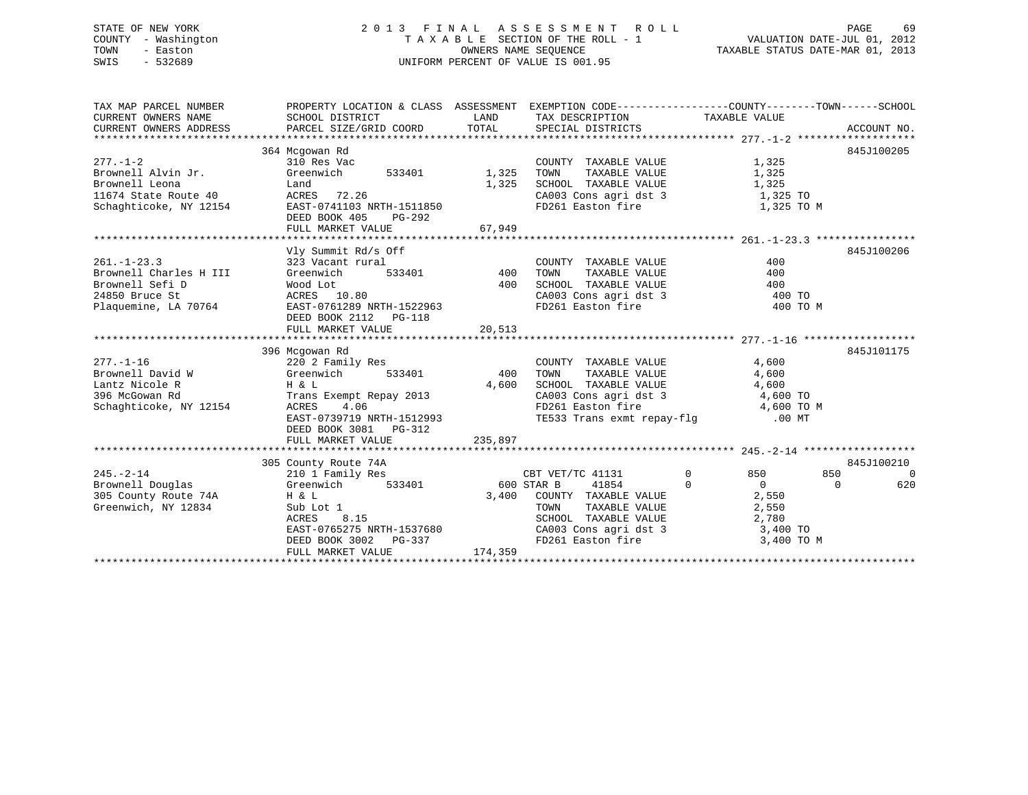# STATE OF NEW YORK 2 0 1 3 F I N A L A S S E S S M E N T R O L L PAGE 69 COUNTY - Washington T A X A B L E SECTION OF THE ROLL - 1 VALUATION DATE-JUL 01, 2012 TOWN - Easton OWNERS NAME SEQUENCE TAXABLE STATUS DATE-MAR 01, 2013 SWIS - 532689 UNIFORM PERCENT OF VALUE IS 001.95

| TAX MAP PARCEL NUMBER                                                                            | PROPERTY LOCATION & CLASS ASSESSMENT EXEMPTION CODE----------------COUNTY-------TOWN------SCHOOL |                        |                                                                                          |                            |                 |
|--------------------------------------------------------------------------------------------------|--------------------------------------------------------------------------------------------------|------------------------|------------------------------------------------------------------------------------------|----------------------------|-----------------|
| CURRENT OWNERS NAME                                                                              | SCHOOL DISTRICT                                                                                  |                        | LAND TAX DESCRIPTION TAXABLE VALUE                                                       |                            |                 |
| CURRENT OWNERS ADDRESS                                                                           |                                                                                                  |                        |                                                                                          |                            |                 |
|                                                                                                  |                                                                                                  |                        |                                                                                          |                            |                 |
|                                                                                                  | 364 Mcgowan Rd                                                                                   |                        |                                                                                          |                            | 845J100205      |
| $277 - 1 - 2$                                                                                    | 310 Res Vac                                                                                      |                        | COUNTY TAXABLE VALUE                                                                     | 1,325                      |                 |
| Brownell Alvin Jr. Greenwich                                                                     | 533401 1,325                                                                                     |                        | TAXABLE VALUE<br>TOWN                                                                    | 1,325                      |                 |
|                                                                                                  |                                                                                                  |                        | 1,325 SCHOOL TAXABLE VALUE 1,325                                                         |                            |                 |
|                                                                                                  |                                                                                                  |                        | CA003 Cons agri dst 3 1,325 TO                                                           |                            |                 |
| Brownell Leona Land<br>11674 State Route 40 ACRES 72.26<br>Schaghticoke, NY 12154 EAST-0741103 N | EAST-0741103 NRTH-1511850                                                                        |                        | FD261 Easton fire                                                                        | 1,325 TO M                 |                 |
|                                                                                                  | DEED BOOK 405<br>PG-292                                                                          |                        |                                                                                          |                            |                 |
|                                                                                                  | FULL MARKET VALUE                                                                                | 67,949                 |                                                                                          |                            |                 |
|                                                                                                  |                                                                                                  |                        |                                                                                          |                            |                 |
|                                                                                                  | Vly Summit Rd/s Off                                                                              |                        |                                                                                          |                            | 845J100206      |
| $261. - 1 - 23.3$                                                                                | 323 Vacant rural                                                                                 | $\frac{1}{533401}$ 400 | COUNTY TAXABLE VALUE                                                                     | 400                        |                 |
| Brownell Charles H III                                                                           | Greenwich                                                                                        |                        | TAXABLE VALUE<br>TOWN                                                                    | 400                        |                 |
| Brownell Sefi D                                                                                  | Wood Lot                                                                                         |                        | 400 SCHOOL TAXABLE VALUE                                                                 | 400                        |                 |
| 24850 Bruce St                                                                                   | ACRES 10.80                                                                                      |                        | CA003 Cons agri dst 3                                                                    | 400 TO                     |                 |
| Plaquemine, LA 70764                                                                             | EAST-0761289 NRTH-1522963                                                                        |                        | FD261 Easton fire                                                                        | 400 TO M                   |                 |
|                                                                                                  | DEED BOOK 2112    PG-118                                                                         |                        |                                                                                          |                            |                 |
|                                                                                                  |                                                                                                  |                        |                                                                                          |                            |                 |
|                                                                                                  |                                                                                                  |                        |                                                                                          |                            |                 |
|                                                                                                  | 396 Mcgowan Rd                                                                                   |                        |                                                                                          |                            | 845J101175      |
|                                                                                                  |                                                                                                  |                        | COUNTY TAXABLE VALUE                                                                     | 4,600                      |                 |
|                                                                                                  |                                                                                                  |                        | TAXABLE VALUE<br>TOWN                                                                    | 4,600                      |                 |
| Lantz Nicole R                                                                                   | H & L                                                                                            | 4,600                  | SCHOOL TAXABLE VALUE 4,600                                                               |                            |                 |
| 396 McGowan Rd                                                                                   | Trans Exempt Repay 2013                                                                          |                        | CA003 Cons agri dst 3 4,600 TO                                                           |                            |                 |
| Schaghticoke, NY 12154                                                                           | ACRES<br>4.06                                                                                    |                        | FD261 Easton fire 4,600 TO M<br>TE533 Trans exmt repay-flg 00 MT                         |                            |                 |
|                                                                                                  | EAST-0739719 NRTH-1512993                                                                        |                        |                                                                                          |                            |                 |
|                                                                                                  | DEED BOOK 3081    PG-312                                                                         |                        |                                                                                          |                            |                 |
|                                                                                                  | FULL MARKET VALUE                                                                                | 235,897                |                                                                                          |                            |                 |
|                                                                                                  |                                                                                                  |                        |                                                                                          |                            |                 |
|                                                                                                  | 305 County Route 74A<br>County Route 74A<br>210 1 Family Res                                     |                        |                                                                                          |                            | 845J100210      |
| $245. - 2 - 14$                                                                                  | Greenwich 533401 600 STAR B                                                                      |                        | CBT VET/TC 41131                                                                         | $\overline{0}$<br>850 7    | 850<br>$\Omega$ |
| Brownell Douglas                                                                                 |                                                                                                  |                        | 41854                                                                                    | $\overline{0}$<br>$\sim$ 0 | 620<br>$\Omega$ |
| 305 County Route 74A H & L                                                                       |                                                                                                  |                        | 3,400 COUNTY TAXABLE VALUE                                                               | 2,550                      |                 |
| Greenwich, NY 12834                                                                              | Sub Lot 1<br>ACRES 8.15                                                                          |                        | TOWN TAXABLE VALUE 2,550<br>SCHOOL TAXABLE VALUE 2,780<br>CA003 Cons agri dst 3 3,400 TO |                            |                 |
|                                                                                                  |                                                                                                  |                        |                                                                                          |                            |                 |
|                                                                                                  | EAST-0765275 NRTH-1537680                                                                        |                        |                                                                                          |                            |                 |
|                                                                                                  | DEED BOOK 3002 PG-337<br>FULL MARKET VALUE                                                       | 174,359                | FD261 Easton fire 3,400 TO M                                                             |                            |                 |
|                                                                                                  |                                                                                                  |                        |                                                                                          |                            |                 |
|                                                                                                  |                                                                                                  |                        |                                                                                          |                            |                 |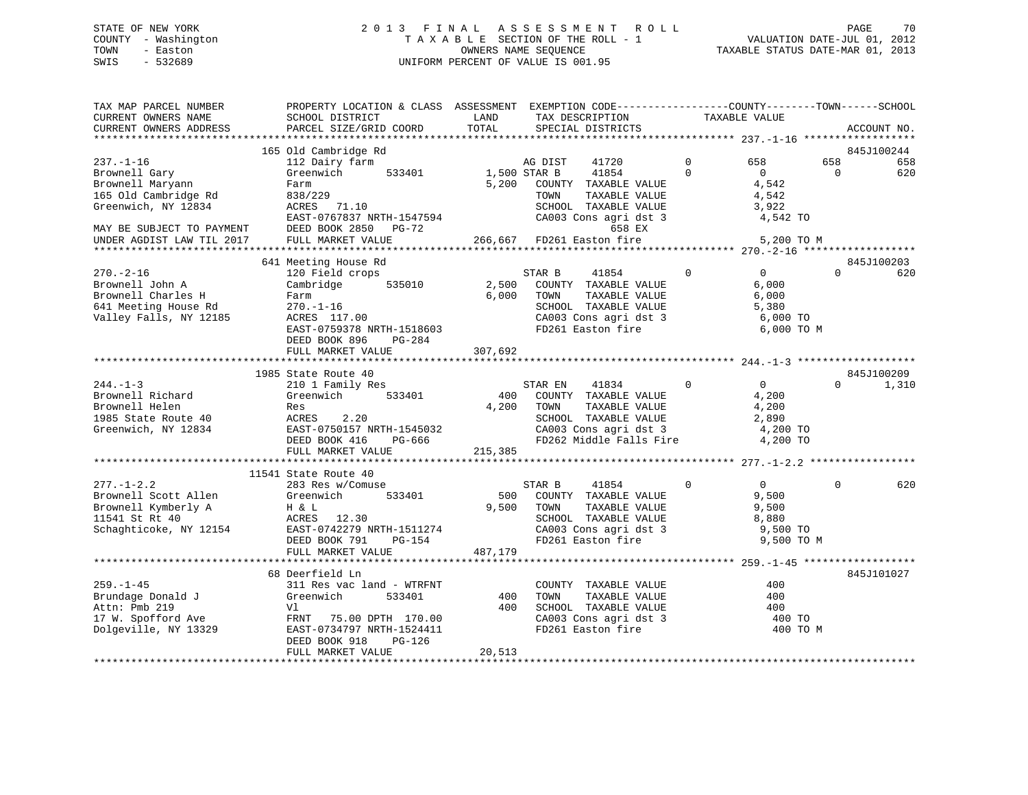# STATE OF NEW YORK 2 0 1 3 F I N A L A S S E S S M E N T R O L L PAGE 70 COUNTY - Washington T A X A B L E SECTION OF THE ROLL - 1 VALUATION DATE-JUL 01, 2012 TOWN - Easton **CONNERS NAME SEQUENCE** TAXABLE STATUS DATE-MAR 01, 2013 SWIS - 532689 UNIFORM PERCENT OF VALUE IS 001.95

| TAX MAP PARCEL NUMBER<br>CURRENT OWNERS NAME | PROPERTY LOCATION & CLASS ASSESSMENT EXEMPTION CODE----------------COUNTY-------TOWN------SCHOOL<br>SCHOOL DISTRICT | LAND                      | TAX DESCRIPTION |                                            | TAXABLE VALUE  |                |          |             |
|----------------------------------------------|---------------------------------------------------------------------------------------------------------------------|---------------------------|-----------------|--------------------------------------------|----------------|----------------|----------|-------------|
| CURRENT OWNERS ADDRESS                       | PARCEL SIZE/GRID COORD                                                                                              | TOTAL                     |                 | SPECIAL DISTRICTS                          |                |                |          | ACCOUNT NO. |
|                                              |                                                                                                                     |                           |                 |                                            |                |                |          |             |
|                                              | 165 Old Cambridge Rd                                                                                                |                           |                 |                                            |                |                |          | 845J100244  |
| $237. - 1 - 16$                              | 112 Dairy farm                                                                                                      |                           | AG DIST         | 41720                                      | $\Omega$       | 658            | 658      | 658         |
| Brownell Gary                                | Greenwich<br>533401                                                                                                 | 1,500 STAR B              |                 | 41854                                      | $\Omega$       | $\mathbf{0}$   | 0        | 620         |
| Brownell Maryann                             | Farm                                                                                                                | 5,200                     |                 | COUNTY TAXABLE VALUE                       |                | 4,542          |          |             |
| 165 Old Cambridge Rd                         | 838/229                                                                                                             |                           | TOWN            | TAXABLE VALUE                              |                | 4,542          |          |             |
| Greenwich, NY 12834                          | ACRES 71.10                                                                                                         |                           |                 | SCHOOL TAXABLE VALUE                       |                | 3,922          |          |             |
|                                              | EAST-0767837 NRTH-1547594                                                                                           |                           |                 | CA003 Cons agri dst 3                      |                | 4,542 TO       |          |             |
| MAY BE SUBJECT TO PAYMENT                    | DEED BOOK 2850 PG-72                                                                                                |                           |                 | 658 EX                                     |                |                |          |             |
| UNDER AGDIST LAW TIL 2017                    | FULL MARKET VALUE                                                                                                   | 266,667 FD261 Easton fire |                 |                                            |                | 5,200 TO M     |          |             |
|                                              |                                                                                                                     |                           |                 |                                            |                |                |          |             |
|                                              | 641 Meeting House Rd                                                                                                |                           |                 |                                            |                |                |          | 845J100203  |
| $270. - 2 - 16$                              | 120 Field crops                                                                                                     |                           | STAR B          | 41854                                      | $\overline{0}$ | 0              | $\Omega$ | 620         |
| Brownell John A                              | Cambridge<br>535010                                                                                                 | 2,500                     |                 | COUNTY TAXABLE VALUE                       |                | 6,000          |          |             |
| Brownell Charles H                           | Farm                                                                                                                | 6,000                     | TOWN            | TAXABLE VALUE                              |                | 6,000          |          |             |
| 641 Meeting House Rd                         | $270. - 1 - 16$                                                                                                     |                           |                 | SCHOOL TAXABLE VALUE                       |                | 5,380          |          |             |
| Valley Falls, NY 12185                       | ACRES 117.00                                                                                                        |                           |                 | CA003 Cons agri dst 3<br>FD261 Easton fire |                | 6,000 TO       |          |             |
|                                              | EAST-0759378 NRTH-1518603                                                                                           |                           |                 |                                            |                | 6,000 TO M     |          |             |
|                                              | DEED BOOK 896<br>PG-284                                                                                             |                           |                 |                                            |                |                |          |             |
|                                              | FULL MARKET VALUE                                                                                                   | 307,692                   |                 |                                            |                |                |          |             |
|                                              | 1985 State Route 40                                                                                                 |                           |                 |                                            |                |                |          |             |
| $244. -1 - 3$                                | 210 1 Family Res                                                                                                    |                           |                 |                                            | $\Omega$       | $\overline{0}$ | $\Omega$ | 845J100209  |
| Brownell Richard                             | Greenwich                                                                                                           | 400                       | STAR EN         | 41834<br>COUNTY TAXABLE VALUE              |                |                |          | 1,310       |
| Brownell Helen                               | 533401<br>Res                                                                                                       | 4,200                     | TOWN            | TAXABLE VALUE                              |                | 4,200<br>4,200 |          |             |
| 1985 State Route 40                          | ACRES                                                                                                               |                           |                 | SCHOOL TAXABLE VALUE                       |                | 2,890          |          |             |
| Greenwich, NY 12834                          | 2.20<br>EAST-0750157 NRTH-1545032                                                                                   |                           |                 | CA003 Cons agri dst 3                      |                | 4,200 TO       |          |             |
|                                              | DEED BOOK 416<br>PG-666                                                                                             |                           |                 | FD262 Middle Falls Fire                    |                | 4,200 TO       |          |             |
|                                              | FULL MARKET VALUE                                                                                                   | 215,385                   |                 |                                            |                |                |          |             |
|                                              |                                                                                                                     |                           |                 |                                            |                |                |          |             |
|                                              | 11541 State Route 40                                                                                                |                           |                 |                                            |                |                |          |             |
| $277. - 1 - 2.2$                             | 283 Res w/Comuse                                                                                                    |                           | STAR B          | 41854                                      | $\Omega$       | $\Omega$       | $\Omega$ | 620         |
| Brownell Scott Allen                         | 533401<br>Greenwich                                                                                                 | 500                       |                 | COUNTY TAXABLE VALUE                       |                | 9,500          |          |             |
| Brownell Kymberly A                          | H & L                                                                                                               | 9,500                     | TOWN            | TAXABLE VALUE                              |                | 9,500          |          |             |
| 11541 St Rt 40                               | ACRES 12.30                                                                                                         |                           |                 | SCHOOL TAXABLE VALUE                       |                | 8,880          |          |             |
| Schaghticoke, NY 12154                       | EAST-0742279 NRTH-1511274                                                                                           |                           |                 | CA003 Cons agri dst 3                      |                | 9,500 TO       |          |             |
|                                              | DEED BOOK 791<br>PG-154                                                                                             |                           |                 | FD261 Easton fire                          |                | 9,500 TO M     |          |             |
|                                              | FULL MARKET VALUE                                                                                                   | 487,179                   |                 |                                            |                |                |          |             |
|                                              |                                                                                                                     |                           |                 |                                            |                |                |          |             |
|                                              | 68 Deerfield Ln                                                                                                     |                           |                 |                                            |                |                |          | 845J101027  |
| $259. - 1 - 45$                              | 311 Res vac land - WTRFNT                                                                                           |                           |                 | COUNTY TAXABLE VALUE                       |                | 400            |          |             |
| Brundage Donald J                            | Greenwich<br>533401                                                                                                 | 400                       | TOWN            | TAXABLE VALUE                              |                | 400            |          |             |
| Attn: Pmb 219                                | Vl                                                                                                                  | 400                       |                 | SCHOOL TAXABLE VALUE                       |                | 400            |          |             |
| 17 W. Spofford Ave . FRNT 75.00 DPTH 170.00  |                                                                                                                     |                           |                 | CA003 Cons agri dst 3                      |                | 400 TO         |          |             |
| Dolgeville, NY 13329                         | EAST-0734797 NRTH-1524411                                                                                           |                           |                 | FD261 Easton fire                          |                | 400 TO M       |          |             |
|                                              | DEED BOOK 918<br>PG-126                                                                                             |                           |                 |                                            |                |                |          |             |
|                                              | FULL MARKET VALUE                                                                                                   | 20,513                    |                 |                                            |                |                |          |             |
|                                              |                                                                                                                     |                           |                 |                                            |                |                |          |             |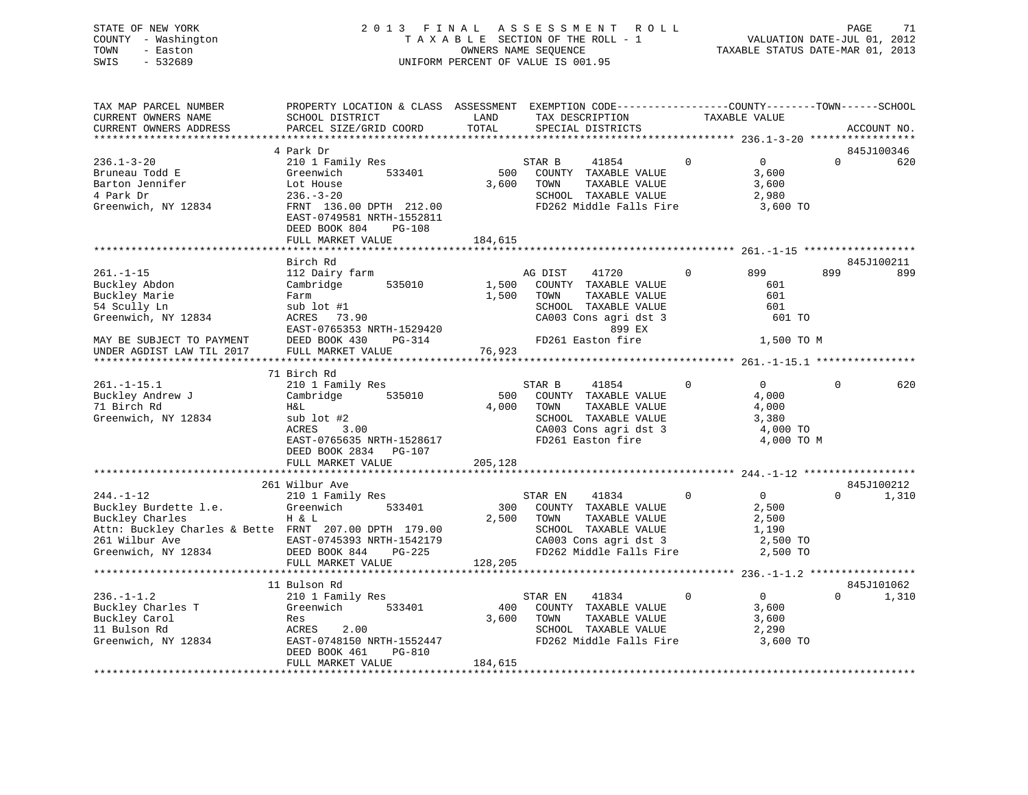# STATE OF NEW YORK 2 0 1 3 F I N A L A S S E S S M E N T R O L L PAGE 71 COUNTY - Washington T A X A B L E SECTION OF THE ROLL - 1 VALUATION DATE-JUL 01, 2012 TOWN - Easton CONNERS NAME SEQUENCE TAXABLE STATUS DATE-MAR 01, 2013<br>SWIS - 532689 SWIS - 532689 UNIFORM PERCENT OF VALUE IS 001.95

| TAX MAP PARCEL NUMBER<br>CURRENT OWNERS NAME<br>CURRENT OWNERS ADDRESS | PROPERTY LOCATION & CLASS ASSESSMENT EXEMPTION CODE----------------COUNTY-------TOWN-----SCHOOL<br>SCHOOL DISTRICT<br>PARCEL SIZE/GRID COORD | LAND<br>TOTAL | TAX DESCRIPTION<br>SPECIAL DISTRICTS |                         | TAXABLE VALUE |                | ACCOUNT NO. |            |
|------------------------------------------------------------------------|----------------------------------------------------------------------------------------------------------------------------------------------|---------------|--------------------------------------|-------------------------|---------------|----------------|-------------|------------|
|                                                                        |                                                                                                                                              |               |                                      |                         |               |                |             |            |
|                                                                        | 4 Park Dr                                                                                                                                    |               |                                      |                         |               |                |             | 845J100346 |
| $236.1 - 3 - 20$                                                       | 210 1 Family Res                                                                                                                             |               | STAR B                               | 41854                   | $\Omega$      | 0              | $\Omega$    | 620        |
| Bruneau Todd E                                                         | 533401<br>Greenwich                                                                                                                          | 500           |                                      | COUNTY TAXABLE VALUE    |               | 3,600          |             |            |
| Barton Jennifer                                                        | Lot House                                                                                                                                    | 3,600         | TOWN                                 | TAXABLE VALUE           |               | 3,600          |             |            |
| 4 Park Dr                                                              | $236. - 3 - 20$                                                                                                                              |               |                                      | SCHOOL TAXABLE VALUE    |               | 2,980          |             |            |
| Greenwich, NY 12834                                                    | FRNT 136.00 DPTH 212.00                                                                                                                      |               |                                      | FD262 Middle Falls Fire |               | 3,600 TO       |             |            |
|                                                                        | EAST-0749581 NRTH-1552811                                                                                                                    |               |                                      |                         |               |                |             |            |
|                                                                        | DEED BOOK 804<br><b>PG-108</b>                                                                                                               |               |                                      |                         |               |                |             |            |
|                                                                        | FULL MARKET VALUE                                                                                                                            | 184,615       |                                      |                         |               |                |             |            |
|                                                                        |                                                                                                                                              |               |                                      |                         |               |                |             |            |
|                                                                        | Birch Rd                                                                                                                                     |               |                                      |                         |               |                |             | 845J100211 |
| $261. - 1 - 15$                                                        | 112 Dairy farm                                                                                                                               |               | AG DIST                              | 41720                   | $\Omega$      | 899            | 899         | 899        |
| Buckley Abdon                                                          | 535010<br>Cambridge                                                                                                                          | 1,500         |                                      | COUNTY TAXABLE VALUE    |               | 601            |             |            |
| Buckley Marie                                                          | Farm                                                                                                                                         | 1,500         | TOWN                                 | TAXABLE VALUE           |               | 601            |             |            |
| 54 Scully Ln                                                           | sub lot #1                                                                                                                                   |               |                                      | SCHOOL TAXABLE VALUE    |               | 601            |             |            |
| Greenwich, NY 12834                                                    | ACRES 73.90                                                                                                                                  |               |                                      | CA003 Cons agri dst 3   |               | 601 TO         |             |            |
|                                                                        | EAST-0765353 NRTH-1529420                                                                                                                    |               |                                      | 899 EX                  |               |                |             |            |
| MAY BE SUBJECT TO PAYMENT                                              | DEED BOOK 430<br>PG-314                                                                                                                      |               |                                      | FD261 Easton fire       |               | 1,500 TO M     |             |            |
| UNDER AGDIST LAW TIL 2017                                              | FULL MARKET VALUE                                                                                                                            | 76,923        |                                      |                         |               |                |             |            |
|                                                                        |                                                                                                                                              |               |                                      |                         |               |                |             |            |
|                                                                        | 71 Birch Rd                                                                                                                                  |               |                                      |                         |               |                |             |            |
| $261. -1 - 15.1$                                                       | 210 1 Family Res                                                                                                                             |               | STAR B                               | 41854                   | $\Omega$      | $\Omega$       | $\Omega$    | 620        |
| Buckley Andrew J                                                       | Cambridge<br>535010                                                                                                                          | 500           |                                      | COUNTY TAXABLE VALUE    |               | 4,000          |             |            |
| 71 Birch Rd                                                            | Η&L                                                                                                                                          | 4,000         | TOWN                                 | TAXABLE VALUE           |               | 4,000          |             |            |
| Greenwich, NY 12834                                                    | sub lot #2                                                                                                                                   |               |                                      | SCHOOL TAXABLE VALUE    |               | 3,380          |             |            |
|                                                                        | 3.00<br>ACRES                                                                                                                                |               |                                      | CA003 Cons agri dst 3   |               | 4,000 TO       |             |            |
|                                                                        | EAST-0765635 NRTH-1528617                                                                                                                    |               |                                      | FD261 Easton fire       |               | 4,000 TO M     |             |            |
|                                                                        | DEED BOOK 2834 PG-107                                                                                                                        |               |                                      |                         |               |                |             |            |
|                                                                        | FULL MARKET VALUE                                                                                                                            | 205,128       |                                      |                         |               |                |             |            |
|                                                                        |                                                                                                                                              |               |                                      |                         |               |                |             |            |
|                                                                        | 261 Wilbur Ave                                                                                                                               |               |                                      |                         |               |                |             | 845J100212 |
| $244. -1 - 12$                                                         | 210 1 Family Res                                                                                                                             |               | STAR EN                              | 41834                   | $\Omega$      | $\overline{0}$ | $\Omega$    | 1,310      |
| Buckley Burdette 1.e.                                                  | Greenwich<br>533401                                                                                                                          | 300           |                                      | COUNTY TAXABLE VALUE    |               | 2,500          |             |            |
| Buckley Charles                                                        | H & L                                                                                                                                        | 2,500         | TOWN                                 | TAXABLE VALUE           |               | 2,500          |             |            |
| Attn: Buckley Charles & Bette FRNT 207.00 DPTH 179.00                  |                                                                                                                                              |               |                                      | SCHOOL TAXABLE VALUE    |               | 1,190          |             |            |
| 261 Wilbur Ave<br>Greenwich, NY 12834                                  | EAST-0745393 NRTH-1542179                                                                                                                    |               |                                      | CA003 Cons agri dst 3   |               | 2,500 TO       |             |            |
|                                                                        | DEED BOOK 844<br>PG-225                                                                                                                      |               |                                      | FD262 Middle Falls Fire |               | 2,500 TO       |             |            |
|                                                                        | FULL MARKET VALUE                                                                                                                            | 128,205       |                                      |                         |               |                |             |            |
|                                                                        |                                                                                                                                              |               |                                      |                         |               |                |             |            |
|                                                                        | 11 Bulson Rd                                                                                                                                 |               |                                      |                         |               |                |             | 845J101062 |
| $236. - 1 - 1.2$                                                       | 210 1 Family Res                                                                                                                             |               | STAR EN                              | 41834                   | $\Omega$      | $\overline{0}$ | $\Omega$    | 1,310      |
| Buckley Charles T                                                      | Greenwich<br>533401                                                                                                                          | 400           |                                      | COUNTY TAXABLE VALUE    |               | 3,600          |             |            |
| Buckley Carol                                                          | Res                                                                                                                                          | 3,600         | TOWN                                 | TAXABLE VALUE           |               | 3,600          |             |            |
| 11 Bulson Rd                                                           | 2.00<br>ACRES                                                                                                                                |               |                                      | SCHOOL TAXABLE VALUE    |               | 2,290          |             |            |
| Greenwich, NY 12834                                                    | EAST-0748150 NRTH-1552447<br>DEED BOOK 461                                                                                                   |               |                                      | FD262 Middle Falls Fire |               | 3,600 TO       |             |            |
|                                                                        | PG-810<br>FULL MARKET VALUE                                                                                                                  | 184,615       |                                      |                         |               |                |             |            |
|                                                                        |                                                                                                                                              |               |                                      |                         |               |                |             |            |
|                                                                        |                                                                                                                                              |               |                                      |                         |               |                |             |            |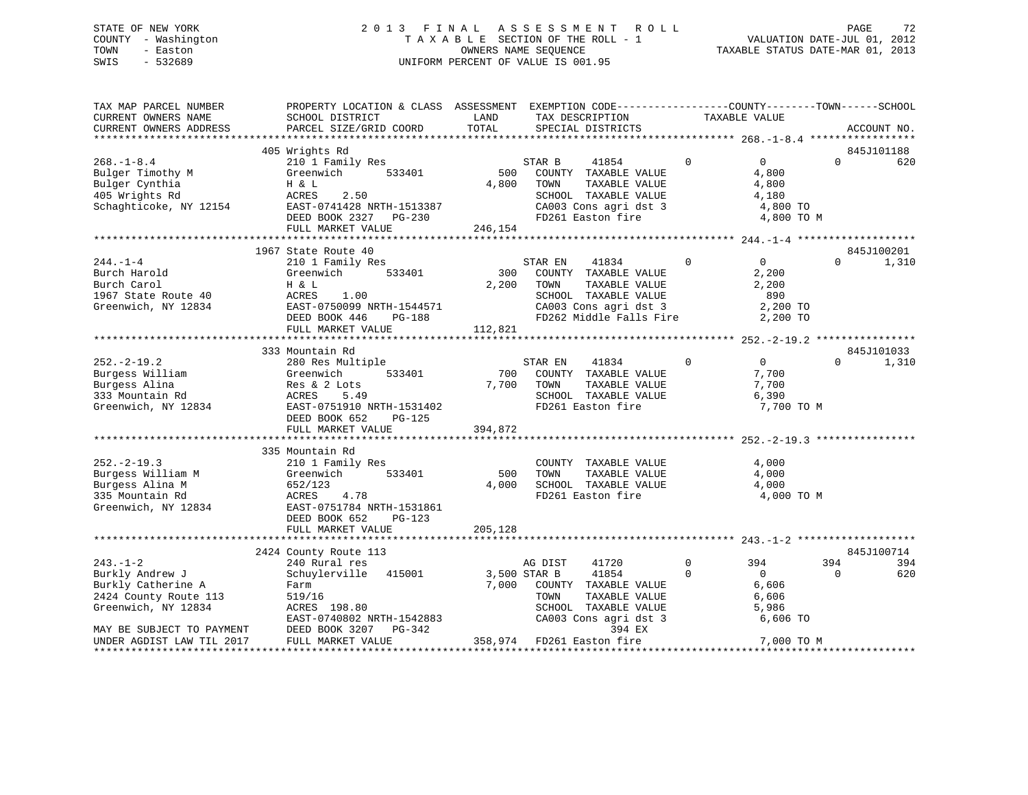# STATE OF NEW YORK 2 0 1 3 F I N A L A S S E S S M E N T R O L L PAGE 72 COUNTY - Washington T A X A B L E SECTION OF THE ROLL - 1 VALUATION DATE-JUL 01, 2012 TOWN - Easton CONNERS NAME SEQUENCE TAXABLE STATUS DATE-MAR 01, 2013<br>SWIS - 532689 SWIS - 532689 UNIFORM PERCENT OF VALUE IS 001.95

| TAX MAP PARCEL NUMBER<br>CURRENT OWNERS NAME<br>CURRENT OWNERS ADDRESS                              | PROPERTY LOCATION & CLASS ASSESSMENT EXEMPTION CODE----------------COUNTY-------TOWN------SCHOOL<br>SCHOOL DISTRICT<br>PARCEL SIZE/GRID COORD                            | LAND<br>TOTAL           | TAX DESCRIPTION<br>SPECIAL DISTRICTS                                                                                                          |             | TAXABLE VALUE                                                       | ACCOUNT NO. |                     |
|-----------------------------------------------------------------------------------------------------|--------------------------------------------------------------------------------------------------------------------------------------------------------------------------|-------------------------|-----------------------------------------------------------------------------------------------------------------------------------------------|-------------|---------------------------------------------------------------------|-------------|---------------------|
|                                                                                                     |                                                                                                                                                                          |                         |                                                                                                                                               |             |                                                                     |             |                     |
| $268. - 1 - 8.4$<br>Bulger Timothy M<br>Bulger Cynthia<br>405 Wrights Rd<br>Schaghticoke, NY 12154  | 405 Wrights Rd<br>210 1 Family Res<br>Greenwich<br>533401<br>H & L<br>ACRES<br>2.50<br>EAST-0741428 NRTH-1513387<br>DEED BOOK 2327 PG-230<br>FULL MARKET VALUE           | 500<br>4,800<br>246,154 | STAR B<br>41854<br>COUNTY TAXABLE VALUE<br>TAXABLE VALUE<br>TOWN<br>SCHOOL TAXABLE VALUE<br>CA003 Cons agri dst 3<br>FD261 Easton fire        | $\Omega$    | $\overline{0}$<br>4,800<br>4,800<br>4,180<br>4,800 TO<br>4,800 TO M | $\Omega$    | 845J101188<br>620   |
|                                                                                                     |                                                                                                                                                                          |                         |                                                                                                                                               |             |                                                                     |             |                     |
| $244. - 1 - 4$<br>Burch Harold<br>Burch Carol<br>1967 State Route 40<br>Greenwich, NY 12834         | 1967 State Route 40<br>210 1 Family Res<br>533401<br>Greenwich<br>H & L<br>1.00<br>ACRES<br>EAST-0750099 NRTH-1544571<br>DEED BOOK 446 PG-188                            | 300<br>2,200            | 41834<br>STAR EN<br>COUNTY TAXABLE VALUE<br>TOWN<br>TAXABLE VALUE<br>SCHOOL TAXABLE VALUE<br>CA003 Cons agri dst 3<br>FD262 Middle Falls Fire | $\mathbf 0$ | $\overline{0}$<br>2,200<br>2,200<br>890<br>2,200 TO<br>2,200 TO     | $\Omega$    | 845J100201<br>1,310 |
|                                                                                                     | FULL MARKET VALUE                                                                                                                                                        | 112,821                 |                                                                                                                                               |             |                                                                     |             |                     |
| $252. - 2 - 19.2$<br>Burgess William<br>Burgess Alina<br>333 Mountain Rd<br>Greenwich, NY 12834     | 333 Mountain Rd<br>280 Res Multiple<br>Greenwich<br>533401<br>Res & 2 Lots<br>ACRES<br>5.49<br>EAST-0751910 NRTH-1531402<br>DEED BOOK 652<br>PG-125<br>FULL MARKET VALUE | 700<br>7,700<br>394,872 | STAR EN<br>41834<br>COUNTY TAXABLE VALUE<br>TAXABLE VALUE<br>TOWN<br>SCHOOL TAXABLE VALUE<br>FD261 Easton fire                                | $\Omega$    | 0<br>7,700<br>7,700<br>6,390<br>7,700 TO M                          | $\Omega$    | 845J101033<br>1,310 |
|                                                                                                     | 335 Mountain Rd                                                                                                                                                          |                         |                                                                                                                                               |             |                                                                     |             |                     |
| $252. - 2 - 19.3$<br>Burgess William M<br>Burgess Alina M<br>335 Mountain Rd<br>Greenwich, NY 12834 | 210 1 Family Res<br>533401<br>Greenwich<br>652/123<br>ACRES<br>4.78<br>EAST-0751784 NRTH-1531861<br>DEED BOOK 652<br>$PG-123$                                            | 500<br>4,000            | COUNTY TAXABLE VALUE<br>TAXABLE VALUE<br>TOWN<br>SCHOOL TAXABLE VALUE<br>FD261 Easton fire                                                    |             | 4,000<br>4,000<br>4,000<br>4,000 TO M                               |             |                     |
|                                                                                                     | FULL MARKET VALUE                                                                                                                                                        | 205,128                 |                                                                                                                                               |             |                                                                     |             |                     |
|                                                                                                     |                                                                                                                                                                          |                         |                                                                                                                                               |             |                                                                     |             | 845J100714          |
| $243. - 1 - 2$                                                                                      | 2424 County Route 113<br>240 Rural res                                                                                                                                   |                         | AG DIST<br>41720                                                                                                                              | $\mathbf 0$ | 394                                                                 | 394         | 394                 |
| Burkly Andrew J<br>Burkly Catherine A<br>2424 County Route 113<br>Greenwich, NY 12834               | Schuylerville 415001<br>Farm<br>519/16<br>ACRES 198.80<br>EAST-0740802 NRTH-1542883                                                                                      |                         | 3,500 STAR B<br>41854<br>7,000 COUNTY TAXABLE VALUE<br>TOWN<br>TAXABLE VALUE<br>SCHOOL TAXABLE VALUE<br>CA003 Cons agri dst 3                 | $\Omega$    | $\overline{0}$<br>6,606<br>6,606<br>5,986<br>6,606 TO               | $\Omega$    | 620                 |
| MAY BE SUBJECT TO PAYMENT<br>UNDER AGDIST LAW TIL 2017                                              | DEED BOOK 3207<br>PG-342<br>FULL MARKET VALUE                                                                                                                            |                         | 394 EX<br>358,974 FD261 Easton fire                                                                                                           |             | 7,000 TO M                                                          |             |                     |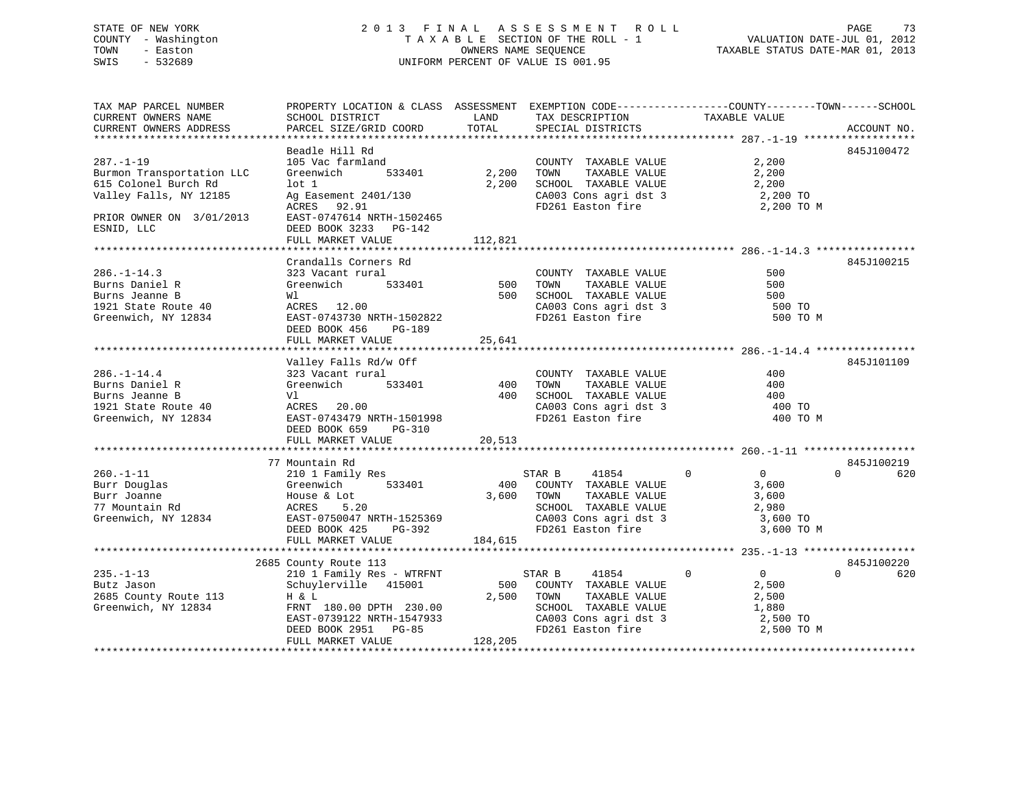# STATE OF NEW YORK 2 0 1 3 F I N A L A S S E S S M E N T R O L L PAGE 73 COUNTY - Washington T A X A B L E SECTION OF THE ROLL - 1 VALUATION DATE-JUL 01, 2012 TOWN - Easton **CONNERS NAME SEQUENCE** TAXABLE STATUS DATE-MAR 01, 2013 SWIS - 532689 UNIFORM PERCENT OF VALUE IS 001.95

| TAX MAP PARCEL NUMBER<br>CURRENT OWNERS NAME | PROPERTY LOCATION & CLASS ASSESSMENT EXEMPTION CODE----------------COUNTY-------TOWN------SCHOOL<br>SCHOOL DISTRICT | LAND    | TAX DESCRIPTION                                                    | TAXABLE VALUE                 |                 |
|----------------------------------------------|---------------------------------------------------------------------------------------------------------------------|---------|--------------------------------------------------------------------|-------------------------------|-----------------|
| CURRENT OWNERS ADDRESS                       | PARCEL SIZE/GRID COORD                                                                                              | TOTAL   | SPECIAL DISTRICTS                                                  |                               | ACCOUNT NO.     |
| $287. - 1 - 19$<br>Burmon Transportation LLC | Beadle Hill Rd<br>105 Vac farmland<br>Greenwich<br>533401                                                           | 2,200   | COUNTY TAXABLE VALUE<br>TOWN<br>TAXABLE VALUE                      | 2,200<br>2,200                | 845J100472      |
| 615 Colonel Burch Rd                         | $1$ ot $1$                                                                                                          | 2,200   | SCHOOL TAXABLE VALUE                                               | 2,200                         |                 |
| Valley Falls, NY 12185                       | Ag Easement 2401/130<br>ACRES 92.91                                                                                 |         | CA003 Cons agri dst 3<br>FD261 Easton fire                         | 2,200 TO<br>2,200 TO M        |                 |
| PRIOR OWNER ON 3/01/2013<br>ESNID, LLC       | EAST-0747614 NRTH-1502465<br>DEED BOOK 3233 PG-142<br>FULL MARKET VALUE                                             | 112,821 |                                                                    |                               |                 |
|                                              |                                                                                                                     |         |                                                                    |                               |                 |
| $286. - 1 - 14.3$                            | Crandalls Corners Rd<br>323 Vacant rural                                                                            |         | COUNTY TAXABLE VALUE                                               | 500                           | 845J100215      |
| Burns Daniel R                               | Greenwich<br>533401                                                                                                 | 500     | TOWN<br>TAXABLE VALUE                                              | 500                           |                 |
| Burns Jeanne B                               | Wl                                                                                                                  | 500     | SCHOOL TAXABLE VALUE                                               | 500                           |                 |
| 1921 State Route 40                          | ACRES 12.00                                                                                                         |         | CA003 Cons agri dst 3                                              | 500 TO                        |                 |
| Greenwich, NY 12834                          | EAST-0743730 NRTH-1502822<br>DEED BOOK 456<br>PG-189                                                                |         | FD261 Easton fire                                                  | 500 TO M                      |                 |
|                                              | FULL MARKET VALUE                                                                                                   | 25,641  |                                                                    |                               |                 |
|                                              | Valley Falls Rd/w Off                                                                                               |         |                                                                    |                               | 845J101109      |
| $286. - 1 - 14.4$                            | 323 Vacant rural                                                                                                    |         | COUNTY TAXABLE VALUE                                               | 400                           |                 |
| Burns Daniel R                               | Greenwich<br>533401                                                                                                 | 400     | TAXABLE VALUE<br>TOWN                                              | 400                           |                 |
| Burns Jeanne B                               | Vl                                                                                                                  | 400     | SCHOOL TAXABLE VALUE                                               | 400                           |                 |
| 1921 State Route 40                          | ACRES 20.00                                                                                                         |         | SCHOOL TAXABLE VALUE<br>CA003 Cons agri dst 3<br>FD261 Easton fire | 400 TO                        |                 |
| Greenwich, NY 12834                          | EAST-0743479 NRTH-1501998<br>DEED BOOK 659<br>$PG-310$                                                              |         |                                                                    | 400 TO M                      |                 |
|                                              | FULL MARKET VALUE                                                                                                   | 20,513  |                                                                    |                               |                 |
|                                              | 77 Mountain Rd                                                                                                      |         |                                                                    |                               | 845J100219      |
| $260. -1 - 11$                               | 210 1 Family Res                                                                                                    |         | STAR B<br>41854                                                    | $\mathbf 0$<br>$\overline{0}$ | $\Omega$<br>620 |
| Burr Douglas                                 | 533401<br>Greenwich                                                                                                 |         | 400 COUNTY TAXABLE VALUE                                           | 3,600                         |                 |
| Burr Joanne                                  | House & Lot                                                                                                         | 3,600   | TOWN<br>TAXABLE VALUE                                              | 3,600                         |                 |
| 77 Mountain Rd                               | ACRES<br>5.20                                                                                                       |         | SCHOOL TAXABLE VALUE                                               | 2,980                         |                 |
| Greenwich, NY 12834                          | EAST-0750047 NRTH-1525369                                                                                           |         | CA003 Cons agri dst 3                                              | 3,600 TO                      |                 |
|                                              | PG-392<br>DEED BOOK 425                                                                                             |         | FD261 Easton fire                                                  | 3,600 TO M                    |                 |
|                                              | FULL MARKET VALUE                                                                                                   | 184,615 |                                                                    |                               |                 |
|                                              | 2685 County Route 113                                                                                               |         |                                                                    |                               | 845J100220      |
| $235. - 1 - 13$                              | 210 1 Family Res - WTRFNT                                                                                           |         | STAR B<br>41854                                                    | $\Omega$<br>$\Omega$          | $\Omega$<br>620 |
| Butz Jason                                   | Schuylerville 415001                                                                                                | 500     | COUNTY TAXABLE VALUE                                               | 2,500                         |                 |
| 2685 County Route 113                        | H & L                                                                                                               | 2,500   | TAXABLE VALUE<br>TOWN                                              | 2,500                         |                 |
| Greenwich, NY 12834                          | FRNT 180.00 DPTH 230.00                                                                                             |         | SCHOOL TAXABLE VALUE                                               | 1,880                         |                 |
|                                              | EAST-0739122 NRTH-1547933                                                                                           |         | CA003 Cons agri dst 3                                              | 2,500 TO                      |                 |
|                                              | DEED BOOK 2951<br><b>PG-85</b>                                                                                      |         | FD261 Easton fire                                                  | 2,500 TO M                    |                 |
|                                              | FULL MARKET VALUE                                                                                                   | 128,205 |                                                                    |                               |                 |
|                                              |                                                                                                                     |         |                                                                    |                               |                 |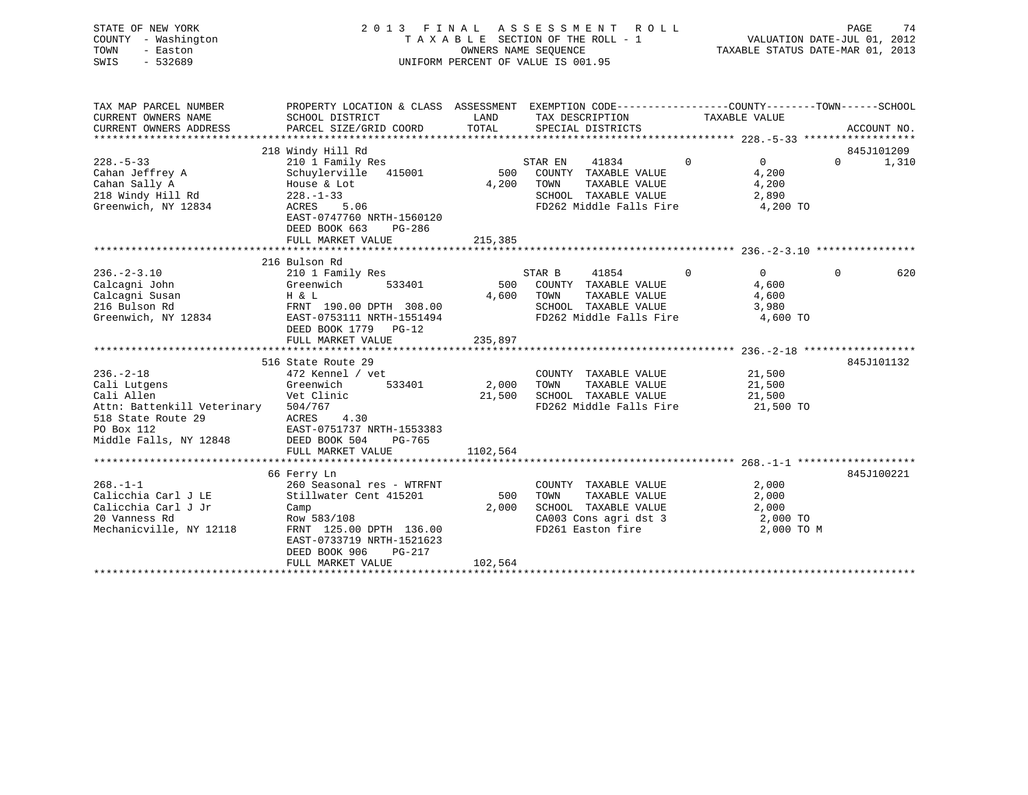| STATE OF NEW YORK<br>COUNTY - Washington<br>TOWN<br>- Easton<br>$-532689$<br>SWIS |                 |                                                 | 2013 FINAL ASSESSMENT ROLL<br>TAXABLE SECTION OF THE ROLL - 1<br>OWNERS NAME SEOUENCE<br>UNIFORM PERCENT OF VALUE IS 001.95 |                                                                        | PAGE<br>VALUATION DATE-JUL 01, 2012<br>TAXABLE STATUS DATE-MAR 01, 2013 | 74      |
|-----------------------------------------------------------------------------------|-----------------|-------------------------------------------------|-----------------------------------------------------------------------------------------------------------------------------|------------------------------------------------------------------------|-------------------------------------------------------------------------|---------|
| TAX MAP PARCEL NUMBER<br>CURRENT OWNERS NAME                                      | SCHOOL DISTRICT | PROPERTY LOCATION & CLASS<br>ASSESSMENT<br>LAND | TAX DESCRIPTION                                                                                                             | EXEMPTION CODE-----------------COUNTY-------TOWN-----<br>TAXABLE VALUE |                                                                         | -SCHOOL |

| CURRENT OWNERS ADDRESS      | PARCEL SIZE/GRID COORD    | TOTAL    |         | SPECIAL DISTRICTS        |                |            | ACCOUNT NO. |       |
|-----------------------------|---------------------------|----------|---------|--------------------------|----------------|------------|-------------|-------|
|                             | 218 Windy Hill Rd         |          |         |                          |                |            | 845J101209  |       |
| $228. - 5 - 33$             | 210 1 Family Res          |          | STAR EN | 41834                    | $\overline{0}$ | $\Omega$   | $\Omega$    | 1,310 |
| Cahan Jeffrey A             | Schuylerville 415001      |          |         | 500 COUNTY TAXABLE VALUE |                | 4,200      |             |       |
| Cahan Sally A               | House & Lot               | 4,200    | TOWN    | TAXABLE VALUE            |                | 4,200      |             |       |
| 218 Windy Hill Rd           | $228. - 1 - 33$           |          |         | SCHOOL TAXABLE VALUE     |                | 2,890      |             |       |
| Greenwich, NY 12834         | 5.06<br>ACRES             |          |         | FD262 Middle Falls Fire  |                | 4,200 TO   |             |       |
|                             | EAST-0747760 NRTH-1560120 |          |         |                          |                |            |             |       |
|                             | DEED BOOK 663<br>PG-286   |          |         |                          |                |            |             |       |
|                             | FULL MARKET VALUE         | 215,385  |         |                          |                |            |             |       |
|                             |                           |          |         |                          |                |            |             |       |
|                             | 216 Bulson Rd             |          |         |                          |                |            |             |       |
| $236. - 2 - 3.10$           | 210 1 Family Res          |          | STAR B  | 41854                    | $\mathbf 0$    | $\Omega$   | $\Omega$    | 620   |
| Calcagni John               | Greenwich<br>533401       | 500      |         | COUNTY TAXABLE VALUE     |                | 4,600      |             |       |
| Calcagni Susan              | H & L                     | 4,600    | TOWN    | TAXABLE VALUE            |                | 4,600      |             |       |
| 216 Bulson Rd               | FRNT 190.00 DPTH 308.00   |          |         | SCHOOL TAXABLE VALUE     |                | 3,980      |             |       |
| Greenwich, NY 12834         | EAST-0753111 NRTH-1551494 |          |         | FD262 Middle Falls Fire  |                | 4,600 TO   |             |       |
|                             | DEED BOOK 1779 PG-12      |          |         |                          |                |            |             |       |
|                             | FULL MARKET VALUE         | 235,897  |         |                          |                |            |             |       |
|                             | 516 State Route 29        |          |         |                          |                |            | 845J101132  |       |
| $236. - 2 - 18$             | 472 Kennel / vet          |          |         | COUNTY TAXABLE VALUE     |                | 21,500     |             |       |
| Cali Lutgens                | Greenwich<br>533401       | 2,000    | TOWN    | TAXABLE VALUE            |                | 21,500     |             |       |
| Cali Allen                  | Vet Clinic                | 21,500   |         | SCHOOL TAXABLE VALUE     |                | 21,500     |             |       |
| Attn: Battenkill Veterinary | 504/767                   |          |         | FD262 Middle Falls Fire  |                | 21,500 TO  |             |       |
| 518 State Route 29          | 4.30<br>ACRES             |          |         |                          |                |            |             |       |
| PO Box 112                  | EAST-0751737 NRTH-1553383 |          |         |                          |                |            |             |       |
| Middle Falls, NY 12848      | DEED BOOK 504<br>PG-765   |          |         |                          |                |            |             |       |
|                             | FULL MARKET VALUE         | 1102,564 |         |                          |                |            |             |       |
|                             |                           |          |         |                          |                |            |             |       |
|                             | 66 Ferry Ln               |          |         |                          |                |            | 845J100221  |       |
| $268. - 1 - 1$              | 260 Seasonal res - WTRFNT |          |         | COUNTY TAXABLE VALUE     |                | 2,000      |             |       |
| Calicchia Carl J LE         | Stillwater Cent 415201    | 500      | TOWN    | TAXABLE VALUE            |                | 2,000      |             |       |
| Calicchia Carl J Jr         | Camp                      | 2,000    |         | SCHOOL TAXABLE VALUE     |                | 2,000      |             |       |
| 20 Vanness Rd               | Row 583/108               |          |         | CA003 Cons agri dst 3    |                | 2,000 TO   |             |       |
| Mechanicville, NY 12118     | FRNT 125.00 DPTH 136.00   |          |         | FD261 Easton fire        |                | 2,000 TO M |             |       |
|                             | EAST-0733719 NRTH-1521623 |          |         |                          |                |            |             |       |
|                             | DEED BOOK 906<br>$PG-217$ |          |         |                          |                |            |             |       |
|                             | FULL MARKET VALUE         | 102,564  |         |                          |                |            |             |       |
|                             |                           |          |         |                          |                |            |             |       |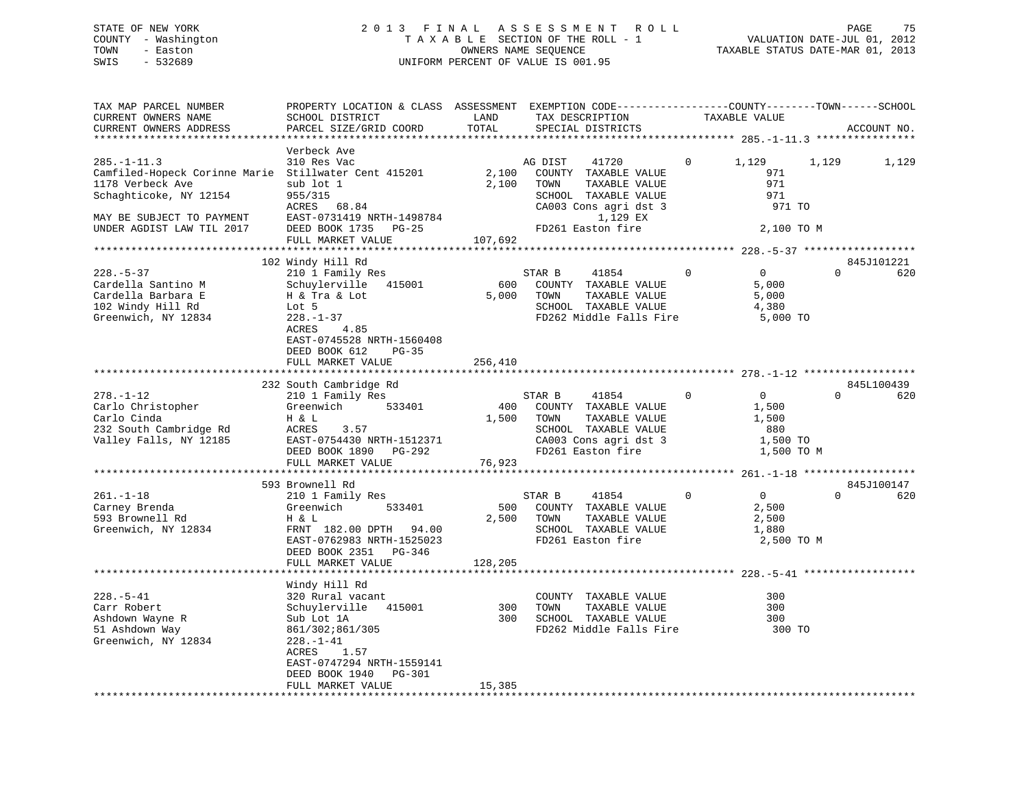# STATE OF NEW YORK 2 0 1 3 F I N A L A S S E S S M E N T R O L L PAGE 75 COUNTY - Washington T A X A B L E SECTION OF THE ROLL - 1 VALUATION DATE-JUL 01, 2012 TOWN - Easton OWNERS NAME SEQUENCE TAXABLE STATUS DATE-MAR 01, 2013 SWIS - 532689 UNIFORM PERCENT OF VALUE IS 001.95

| TAX MAP PARCEL NUMBER<br>CURRENT OWNERS NAME<br>CURRENT OWNERS ADDRESS                                                  | PROPERTY LOCATION & CLASS ASSESSMENT EXEMPTION CODE----------------COUNTY-------TOWN-----SCHOOL<br>SCHOOL DISTRICT<br>PARCEL SIZE/GRID COORD                                  | LAND<br>TOTAL           | TAX DESCRIPTION<br>SPECIAL DISTRICTS                                                                                | TAXABLE VALUE                                                       | ACCOUNT NO.                   |
|-------------------------------------------------------------------------------------------------------------------------|-------------------------------------------------------------------------------------------------------------------------------------------------------------------------------|-------------------------|---------------------------------------------------------------------------------------------------------------------|---------------------------------------------------------------------|-------------------------------|
|                                                                                                                         |                                                                                                                                                                               | **********              |                                                                                                                     |                                                                     |                               |
|                                                                                                                         | Verbeck Ave                                                                                                                                                                   |                         |                                                                                                                     |                                                                     |                               |
| $285. - 1 - 11.3$<br>Camfiled-Hopeck Corinne Marie Stillwater Cent 415201<br>1178 Verbeck Ave<br>Schaghticoke, NY 12154 | 310 Res Vac<br>sub lot 1<br>955/315<br>ACRES 68.84                                                                                                                            | 2,100<br>2,100          | AG DIST<br>41720<br>COUNTY TAXABLE VALUE<br>TOWN<br>TAXABLE VALUE<br>SCHOOL TAXABLE VALUE<br>CA003 Cons agri dst 3  | 1,129<br>0<br>971<br>971<br>971<br>971 TO                           | 1,129<br>1,129                |
| MAY BE SUBJECT TO PAYMENT<br>UNDER AGDIST LAW TIL 2017                                                                  | EAST-0731419 NRTH-1498784<br>DEED BOOK 1735<br>PG-25                                                                                                                          |                         | 1,129 EX<br>FD261 Easton fire                                                                                       | 2,100 TO M                                                          |                               |
|                                                                                                                         | FULL MARKET VALUE                                                                                                                                                             | 107,692                 |                                                                                                                     |                                                                     |                               |
|                                                                                                                         | 102 Windy Hill Rd                                                                                                                                                             |                         |                                                                                                                     |                                                                     | 845J101221                    |
| $228. - 5 - 37$<br>Cardella Santino M<br>Cardella Barbara E<br>102 Windy Hill Rd<br>Greenwich, NY 12834                 | 210 1 Family Res<br>Schuylerville<br>415001<br>H & Tra & Lot<br>Lot 5<br>$228. - 1 - 37$<br>ACRES<br>4.85<br>EAST-0745528 NRTH-1560408<br>DEED BOOK 612<br>$PG-35$            | 600<br>5,000            | STAR B<br>41854<br>COUNTY TAXABLE VALUE<br>TOWN<br>TAXABLE VALUE<br>SCHOOL TAXABLE VALUE<br>FD262 Middle Falls Fire | $\overline{0}$<br>$\Omega$<br>5,000<br>5,000<br>4,380<br>5,000 TO   | $\Omega$<br>620               |
|                                                                                                                         | FULL MARKET VALUE                                                                                                                                                             | 256,410                 |                                                                                                                     |                                                                     |                               |
|                                                                                                                         |                                                                                                                                                                               |                         |                                                                                                                     |                                                                     |                               |
| $278. - 1 - 12$<br>Carlo Christopher<br>Carlo Cinda<br>232 South Cambridge Rd<br>Valley Falls, NY 12185                 | 232 South Cambridge Rd<br>210 1 Family Res<br>533401<br>Greenwich<br>H & L<br>ACRES<br>3.57<br>EAST-0754430 NRTH-1512371                                                      | 400<br>1,500            | STAR B<br>41854<br>COUNTY TAXABLE VALUE<br>TOWN<br>TAXABLE VALUE<br>SCHOOL TAXABLE VALUE<br>CA003 Cons agri dst 3   | $\mathbf 0$<br>$\overline{0}$<br>1,500<br>1,500<br>880<br>1,500 TO  | 845L100439<br>$\Omega$<br>620 |
|                                                                                                                         | PG-292<br>DEED BOOK 1890                                                                                                                                                      |                         | FD261 Easton fire                                                                                                   | 1,500 TO M                                                          |                               |
|                                                                                                                         | FULL MARKET VALUE                                                                                                                                                             | 76,923                  |                                                                                                                     |                                                                     |                               |
|                                                                                                                         |                                                                                                                                                                               |                         |                                                                                                                     |                                                                     |                               |
| $261. - 1 - 18$<br>Carney Brenda<br>593 Brownell Rd<br>Greenwich, NY 12834                                              | 593 Brownell Rd<br>210 1 Family Res<br>Greenwich<br>533401<br>H & L<br>FRNT 182.00 DPTH 94.00<br>EAST-0762983 NRTH-1525023<br>DEED BOOK 2351<br>$PG-346$<br>FULL MARKET VALUE | 500<br>2,500<br>128,205 | STAR B<br>41854<br>COUNTY TAXABLE VALUE<br>TOWN<br>TAXABLE VALUE<br>SCHOOL TAXABLE VALUE<br>FD261 Easton fire       | $\overline{0}$<br>$\Omega$<br>2,500<br>2,500<br>1,880<br>2,500 TO M | 845J100147<br>$\Omega$<br>620 |
|                                                                                                                         | *****************************                                                                                                                                                 |                         |                                                                                                                     |                                                                     |                               |
| $228. - 5 - 41$<br>Carr Robert<br>Ashdown Wayne R<br>51 Ashdown Way<br>Greenwich, NY 12834                              | Windy Hill Rd<br>320 Rural vacant<br>Schuylerville<br>415001<br>Sub Lot 1A<br>861/302;861/305<br>$228. - 1 - 41$<br>1.57<br>ACRES<br>EAST-0747294 NRTH-1559141                | 300<br>300              | COUNTY TAXABLE VALUE<br>TAXABLE VALUE<br>TOWN<br>SCHOOL TAXABLE VALUE<br>FD262 Middle Falls Fire                    | 300<br>300<br>300<br>300 TO                                         |                               |
|                                                                                                                         | DEED BOOK 1940<br>PG-301<br>FULL MARKET VALUE                                                                                                                                 | 15,385                  |                                                                                                                     |                                                                     |                               |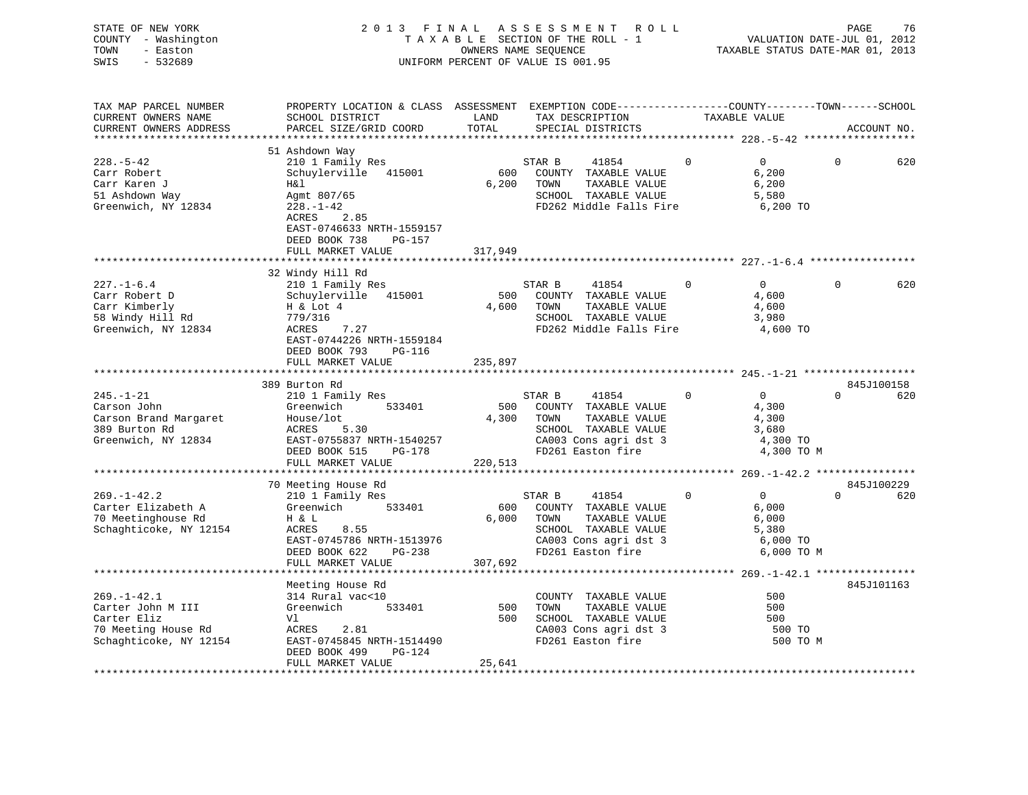| COUNTY - Washington<br>TOWN<br>- Easton<br>$-532689$<br>SWIS                                                          |                                                                                                                                                                                             |               | TAXABLE SECTION OF THE ROLL - 1<br>OWNERS NAME SEQUENCE<br>UNIFORM PERCENT OF VALUE IS 001.95                                                    |                                                                                       | VALUATION DATE-JUL 01, 2012<br>TAXABLE STATUS DATE-MAR 01, 2013 |
|-----------------------------------------------------------------------------------------------------------------------|---------------------------------------------------------------------------------------------------------------------------------------------------------------------------------------------|---------------|--------------------------------------------------------------------------------------------------------------------------------------------------|---------------------------------------------------------------------------------------|-----------------------------------------------------------------|
| TAX MAP PARCEL NUMBER<br>CURRENT OWNERS NAME<br>CURRENT OWNERS ADDRESS                                                | PROPERTY LOCATION & CLASS ASSESSMENT EXEMPTION CODE----------------COUNTY-------TOWN------SCHOOL<br>SCHOOL DISTRICT<br>PARCEL SIZE/GRID COORD                                               | LAND<br>TOTAL | TAX DESCRIPTION TAXABLE VALUE<br>SPECIAL DISTRICTS                                                                                               |                                                                                       | ACCOUNT NO.                                                     |
| $228. - 5 - 42$<br>Carr Robert<br>Carr Karen J<br>51 Ashdown Way<br>Greenwich, NY 12834                               | 51 Ashdown Way<br>210 1 Family Res<br>Schuylerville 415001<br>H&l<br>Agmt 807/65<br>228.-1-42<br>ACRES<br>2.85<br>EAST-0746633 NRTH-1559157<br>DEED BOOK 738<br>PG-157<br>FULL MARKET VALUE | 317,949       | STAR B<br>41854<br>600 COUNTY TAXABLE VALUE<br>6,200 TOWN<br>TAXABLE VALUE<br>SCHOOL TAXABLE VALUE<br>FD262 Middle Falls Fire                    | $\overline{0}$<br>$\Omega$<br>6,200<br>6,200<br>5,580<br>6,200 TO                     | $\Omega$<br>620                                                 |
|                                                                                                                       |                                                                                                                                                                                             |               |                                                                                                                                                  |                                                                                       |                                                                 |
| $227. - 1 - 6.4$<br>Carr Robert D<br>Carr Kimberly<br>58 Windy Hill Rd<br>Greenwich, NY 12834                         | 32 Windy Hill Rd<br>210 1 Family Res<br>Schuylerville 415001<br>H & Lot 4<br>779/316<br>ACRES 7.27<br>EAST-0744226 NRTH-1559184<br>DEED BOOK 793 PG-116                                     |               | STAR B<br>41854<br>500 COUNTY TAXABLE VALUE<br>4,600 TOWN<br>TAXABLE VALUE<br>SCHOOL TAXABLE VALUE<br>FD262 Middle Falls Fire                    | $\mathbf{0}$<br>$\overline{0}$<br>4,600<br>4,600<br>3,980<br>4,600 TO                 | $\Omega$<br>620                                                 |
|                                                                                                                       | FULL MARKET VALUE                                                                                                                                                                           | 235,897       |                                                                                                                                                  |                                                                                       |                                                                 |
|                                                                                                                       | 389 Burton Rd                                                                                                                                                                               |               |                                                                                                                                                  |                                                                                       | 845J100158                                                      |
| $245. - 1 - 21$<br>Carson John<br>Carson Brand Margaret<br>389 Burton Rd<br>Greenwich, NY 12834                       | 210 1 Family Res<br>533401<br>Greenwich<br>Greenwich<br>House/lot<br>ACRES<br>EAST-0755837 NRTH-1540257<br>DEED BOOK 515<br>PEUL MADYER TIE PG-178<br>FULL MARKET VALUE                     | 220,513       | STAR B 41854<br>500 COUNTY TAXABLE VALUE<br>4,300 TOWN<br>TAXABLE VALUE<br>SCHOOL TAXABLE VALUE<br>CA003 Cons agri dst 3<br>FD261 Easton fire    | $\overline{0}$<br>$\overline{0}$<br>4,300<br>4,300<br>3,680<br>4,300 TO<br>4,300 TO M | $0$ 620                                                         |
|                                                                                                                       |                                                                                                                                                                                             |               |                                                                                                                                                  |                                                                                       |                                                                 |
| $269. - 1 - 42.2$<br>Carter Elizabeth A<br>70 Meetinghouse Rd<br>Schaghticoke, NY 12154                               | 70 Meeting House Rd<br>210 1 Family Res<br>Greenwich 533401<br>H & L<br>8.55<br>ACRES<br>EAST-0745786 NRTH-1513976<br>DEED BOOK 622 PG-238                                                  |               | STAR B<br>41854<br>600 COUNTY TAXABLE VALUE<br>6,000 TOWN<br>TAXABLE VALUE<br>SCHOOL TAXABLE VALUE<br>CA003 Cons agri dst 3<br>FD261 Easton fire | $\overline{0}$<br>$\Omega$<br>6,000<br>6,000<br>5,380<br>6,000 TO<br>6,000 TO M       | 845J100229<br>$0 \t\t 620$                                      |
|                                                                                                                       | FULL MARKET VALUE                                                                                                                                                                           | 307,692       |                                                                                                                                                  |                                                                                       |                                                                 |
| $269. - 1 - 42.1$<br>Carter John M III<br>Carter Eliz<br>Carter Eliz<br>70 Meeting House Rd<br>Schaghticoke, NY 12154 | Meeting House Rd<br>314 Rural vac<10<br>533401<br>Greenwich<br>Vl<br>ACRES 2.81<br>EAST-0745845 NRTH-1514490<br>DEED BOOK 499 PG-124<br>FIILL MARKET VALUE                                  | 500<br>25 641 | COUNTY TAXABLE VALUE<br>TOWN<br>TAXABLE VALUE<br>500 SCHOOL TAXABLE VALUE<br>CA003 Cons agri dst 3<br>FD261 Easton fire                          | 500<br>500<br>500<br>500 TO<br>500 TO M                                               | 845J101163                                                      |

FULL MARKET VALUE 25,641 \*\*\*\*\*\*\*\*\*\*\*\*\*\*\*\*\*\*\*\*\*\*\*\*\*\*\*\*\*\*\*\*\*\*\*\*\*\*\*\*\*\*\*\*\*\*\*\*\*\*\*\*\*\*\*\*\*\*\*\*\*\*\*\*\*\*\*\*\*\*\*\*\*\*\*\*\*\*\*\*\*\*\*\*\*\*\*\*\*\*\*\*\*\*\*\*\*\*\*\*\*\*\*\*\*\*\*\*\*\*\*\*\*\*\*\*\*\*\*\*\*\*\*\*\*\*\*\*\*\*\*\*

# STATE OF NEW YORK 2013 FINAL ASSESSMENT ROLL PAGE 76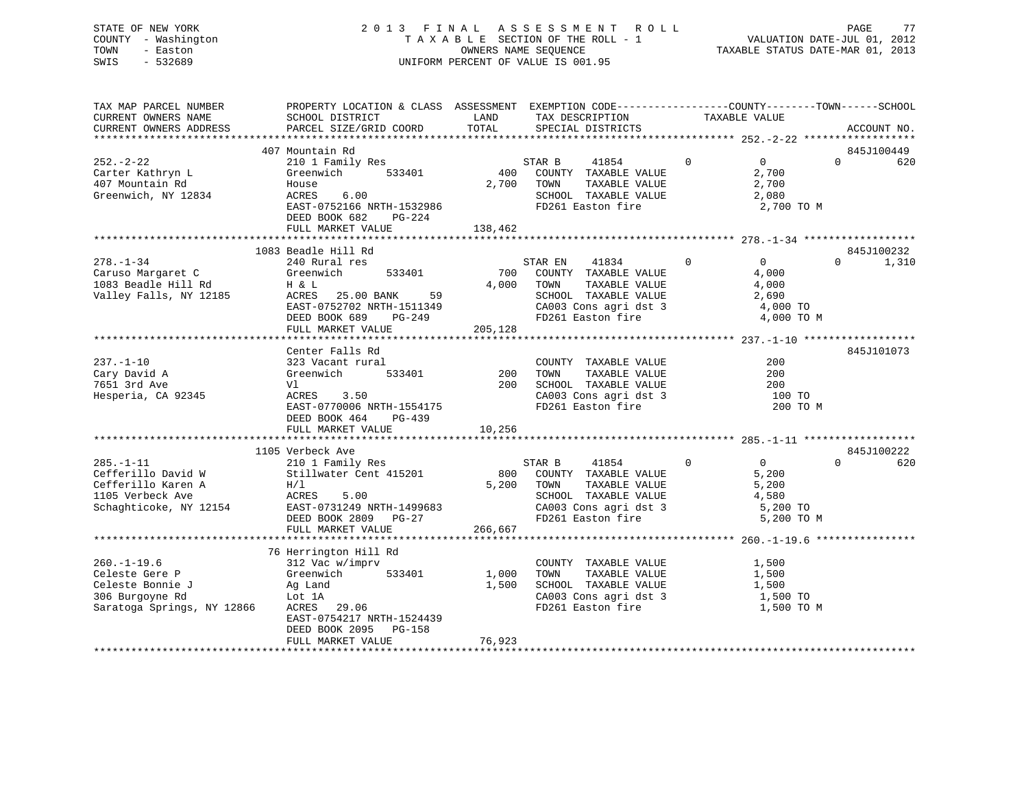# STATE OF NEW YORK 2 0 1 3 F I N A L A S S E S S M E N T R O L L PAGE 77 COUNTY - Washington T A X A B L E SECTION OF THE ROLL - 1 VALUATION DATE-JUL 01, 2012 TOWN - Easton OWNERS NAME SEQUENCE TAXABLE STATUS DATE-MAR 01, 2013 SWIS - 532689 UNIFORM PERCENT OF VALUE IS 001.95

| TAX MAP PARCEL NUMBER<br>CURRENT OWNERS NAME | PROPERTY LOCATION & CLASS ASSESSMENT EXEMPTION CODE----------------COUNTY-------TOWN------SCHOOL<br>SCHOOL DISTRICT | LAND    | TAX DESCRIPTION                            |                | TAXABLE VALUE  |          |             |
|----------------------------------------------|---------------------------------------------------------------------------------------------------------------------|---------|--------------------------------------------|----------------|----------------|----------|-------------|
| CURRENT OWNERS ADDRESS                       | PARCEL SIZE/GRID COORD                                                                                              | TOTAL   | SPECIAL DISTRICTS                          |                |                |          | ACCOUNT NO. |
|                                              |                                                                                                                     |         |                                            |                |                |          |             |
|                                              | 407 Mountain Rd                                                                                                     |         |                                            |                |                |          | 845J100449  |
| $252 - 2 - 22$                               | 210 1 Family Res                                                                                                    |         | 41854 0                                    |                | $\overline{0}$ | $\Omega$ | 620         |
| Carter Kathryn L                             | Greenwich 533401                                                                                                    |         | STAR B 41854<br>400 COUNTY TAXABLE VALUE   |                | 2,700          |          |             |
| 407 Mountain Rd                              | House                                                                                                               |         | 2,700 TOWN<br>TAXABLE VALUE                |                | 2,700          |          |             |
| Greenwich, NY 12834                          | ACRES<br>6.00                                                                                                       |         | SCHOOL TAXABLE VALUE                       |                | 2,080          |          |             |
|                                              | EAST-0752166 NRTH-1532986                                                                                           |         | FD261 Easton fire                          |                | 2,700 TO M     |          |             |
|                                              | DEED BOOK 682<br>PG-224                                                                                             |         |                                            |                |                |          |             |
|                                              | FULL MARKET VALUE                                                                                                   | 138,462 |                                            |                |                |          |             |
|                                              |                                                                                                                     |         |                                            |                |                |          |             |
|                                              | 1083 Beadle Hill Rd                                                                                                 |         |                                            |                |                |          | 845J100232  |
| $278. - 1 - 34$                              | 240 Rural res                                                                                                       |         | STAR EN 41834                              | $\overline{0}$ | $\overline{0}$ | $\Omega$ | 1,310       |
| Caruso Margaret C                            | Greenwich<br>533401                                                                                                 |         | 700 COUNTY TAXABLE VALUE                   |                | 4,000          |          |             |
| 1083 Beadle Hill Rd                          | H & L                                                                                                               | 4,000   | TOWN<br>TAXABLE VALUE                      |                | 4,000          |          |             |
| Valley Falls, NY 12185                       | ACRES 25.00 BANK 59                                                                                                 |         | SCHOOL TAXABLE VALUE                       |                | 2,690          |          |             |
|                                              |                                                                                                                     |         |                                            |                | 4,000 TO       |          |             |
|                                              | EAST-0752702 NRTH-1511349<br>DEED BOOK 689 PG-249                                                                   |         | CA003 Cons agri dst 3<br>FD261 Easton fire |                | 4,000 TO M     |          |             |
|                                              | FULL MARKET VALUE                                                                                                   | 205,128 |                                            |                |                |          |             |
|                                              |                                                                                                                     |         |                                            |                |                |          |             |
|                                              | Center Falls Rd                                                                                                     |         |                                            |                |                |          | 845J101073  |
| $237. - 1 - 10$                              |                                                                                                                     |         | COUNTY TAXABLE VALUE                       |                | 200            |          |             |
| Cary David A                                 | 323 Vacant rural<br>533401<br>Greenwich                                                                             | 200     | TAXABLE VALUE<br>TOWN                      |                | 200            |          |             |
| 7651 3rd Ave                                 | Vl                                                                                                                  |         | 200 SCHOOL TAXABLE VALUE                   |                | 200            |          |             |
|                                              |                                                                                                                     |         |                                            |                |                |          |             |
| Hesperia, CA 92345                           | ACRES<br>3.50                                                                                                       |         | CA003 Cons agri dst 3<br>FD261 Easton fire |                | 100 TO         |          |             |
|                                              | EAST-0770006 NRTH-1554175                                                                                           |         |                                            |                | 200 TO M       |          |             |
|                                              | DEED BOOK 464 PG-439                                                                                                |         |                                            |                |                |          |             |
|                                              | FULL MARKET VALUE                                                                                                   | 10,256  |                                            |                |                |          |             |
|                                              |                                                                                                                     |         |                                            |                |                |          |             |
|                                              | 1105 Verbeck Ave<br>210 1 Family Res                                                                                |         | $\sim$ 0                                   |                | $\overline{0}$ | $\Omega$ | 845J100222  |
| $285. - 1 - 11$                              |                                                                                                                     |         | STAR B<br>41854                            |                |                |          | 620         |
| Cefferillo David W                           | Stillwater Cent 415201                                                                                              |         | 800 COUNTY TAXABLE VALUE                   |                | 5,200          |          |             |
| Cefferillo Karen A                           | H/1                                                                                                                 |         | 5,200 TOWN<br>TAXABLE VALUE                |                | 5,200          |          |             |
| 1105 Verbeck Ave                             | ACRES<br>5.00                                                                                                       |         | SCHOOL TAXABLE VALUE 4,580                 |                |                |          |             |
| Schaghticoke, NY 12154                       |                                                                                                                     |         | CA003 Cons agri dst 3<br>FD261 Easton fire |                | 5,200 TO       |          |             |
|                                              | DEED BOOK 2809 PG-27                                                                                                |         |                                            |                | 5,200 TO M     |          |             |
|                                              | FULL MARKET VALUE                                                                                                   | 266,667 |                                            |                |                |          |             |
|                                              |                                                                                                                     |         |                                            |                |                |          |             |
|                                              | 76 Herrington Hill Rd                                                                                               |         |                                            |                |                |          |             |
| $260. -1 - 19.6$                             | 312 Vac w/imprv                                                                                                     |         | COUNTY TAXABLE VALUE                       |                | 1,500          |          |             |
| Celeste Gere P                               | 312 Vac w/impi.<br>Greenwich 533401                                                                                 | 1,000   | TAXABLE VALUE<br>TOWN                      |                | 1,500          |          |             |
| Ag Land<br>Lot 1A<br>Celeste Bonnie J        |                                                                                                                     | 1,500   | SCHOOL TAXABLE VALUE 1,500                 |                |                |          |             |
| 306 Burgoyne Rd                              |                                                                                                                     |         | CA003 Cons agri dst 3<br>FD261 Easton fire |                | 1,500 TO       |          |             |
| Saratoga Springs, NY 12866                   | ACRES 29.06                                                                                                         |         |                                            |                | 1,500 TO M     |          |             |
|                                              | EAST-0754217 NRTH-1524439                                                                                           |         |                                            |                |                |          |             |
|                                              | DEED BOOK 2095<br>$PG-158$                                                                                          |         |                                            |                |                |          |             |
|                                              | FULL MARKET VALUE                                                                                                   | 76,923  |                                            |                |                |          |             |
|                                              |                                                                                                                     |         |                                            |                |                |          |             |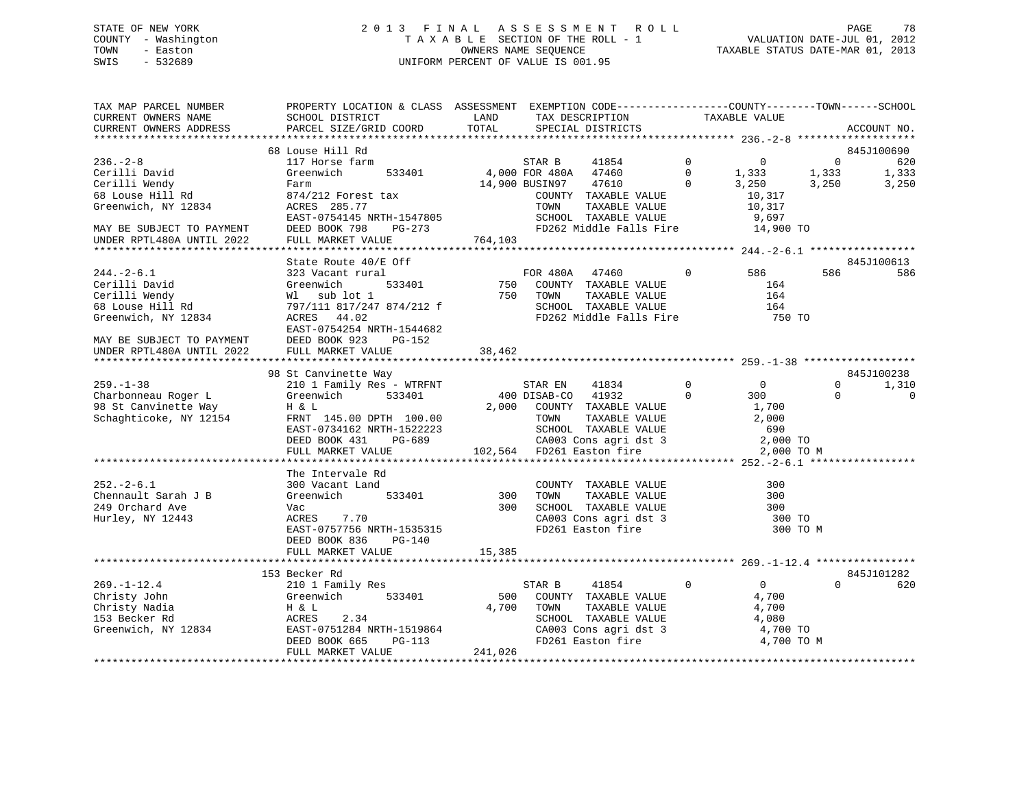# STATE OF NEW YORK 2 0 1 3 F I N A L A S S E S S M E N T R O L L PAGE 78 COUNTY - Washington T A X A B L E SECTION OF THE ROLL - 1 VALUATION DATE-JUL 01, 2012 TOWN - Easton CONNERS NAME SEQUENCE TAXABLE STATUS DATE-MAR 01, 2013<br>SWIS - 532689 SWIS - 532689 UNIFORM PERCENT OF VALUE IS 001.95

| TAX MAP PARCEL NUMBER<br>CURRENT OWNERS NAME<br>CURRENT OWNERS ADDRESS              | PROPERTY LOCATION & CLASS ASSESSMENT EXEMPTION CODE----------------COUNTY-------TOWN-----SCHOOL<br>SCHOOL DISTRICT<br>PARCEL SIZE/GRID COORD                    | LAND<br>TOTAL | TAX DESCRIPTION<br>SPECIAL DISTRICTS                                                                                           | TAXABLE VALUE                             | ACCOUNT NO.                      |
|-------------------------------------------------------------------------------------|-----------------------------------------------------------------------------------------------------------------------------------------------------------------|---------------|--------------------------------------------------------------------------------------------------------------------------------|-------------------------------------------|----------------------------------|
|                                                                                     |                                                                                                                                                                 |               |                                                                                                                                |                                           |                                  |
|                                                                                     | 68 Louse Hill Rd                                                                                                                                                |               |                                                                                                                                |                                           | 845J100690                       |
| $236 - 2 - 8$                                                                       | 117 Horse farm                                                                                                                                                  |               | STAR B<br>41854                                                                                                                | $\overline{0}$<br>$\overline{0}$          | $\overline{0}$<br>620            |
| Cerilli David                                                                       | Greenwich<br>533401                                                                                                                                             |               | 4,000 FOR 480A 47460                                                                                                           | $\bigcirc$<br>$1,333$<br>$3,250$<br>1,333 | 1,333<br>1,333                   |
| Cerilli Wendy                                                                       | Farm                                                                                                                                                            |               | 47610<br>14,900 BUSIN97                                                                                                        | $\Omega$                                  | 3,250<br>3,250                   |
| 68 Louse Hill Rd                                                                    | 874/212 Forest tax                                                                                                                                              |               | COUNTY TAXABLE VALUE                                                                                                           | 10,317                                    |                                  |
| Greenwich, NY 12834                                                                 | ACRES 285.77                                                                                                                                                    |               | TAXABLE VALUE<br>TOWN                                                                                                          | 10,317                                    |                                  |
|                                                                                     | EAST-0754145 NRTH-1547805                                                                                                                                       |               | SCHOOL TAXABLE VALUE<br>FD262 Middle Falls Fire 14,900 TO                                                                      | 9,697                                     |                                  |
| MAY BE SUBJECT TO PAYMENT DEED BOOK 798 INDER RPTL480A UNTIL 2022 FULL MARKET VALUE | PG-273                                                                                                                                                          |               |                                                                                                                                |                                           |                                  |
|                                                                                     |                                                                                                                                                                 | 764,103       |                                                                                                                                |                                           |                                  |
|                                                                                     | State Route 40/E Off                                                                                                                                            |               |                                                                                                                                |                                           | 845J100613                       |
| $244. - 2 - 6.1$                                                                    | 323 Vacant rural                                                                                                                                                |               | FOR 480A 47460                                                                                                                 | $\overline{0}$                            | 586<br>586                       |
|                                                                                     | 5 OII<br>1<br>533401<br>Captain Cerilli David<br>Cerilli Nendy<br>Cerilli Wendy<br>Sales Vacant Land Cerilli Nendy<br>M1 sub lot 1<br>T97/111 817/247 874/212 f | $750$         |                                                                                                                                | $\frac{586}{164}$                         |                                  |
|                                                                                     |                                                                                                                                                                 |               | COUNTY TAXABLE VALUE<br>TOWN     TAXABLE VALUE<br>SCHOOL   TAXABLE VALUE<br>750 TOWN                                           |                                           | 164                              |
|                                                                                     |                                                                                                                                                                 |               |                                                                                                                                | 164                                       |                                  |
| Greenwich, NY 12834                                                                 | ACRES 44.02                                                                                                                                                     |               | FD262 Middle Falls Fire                                                                                                        |                                           | 750 TO                           |
|                                                                                     | EAST-0754254 NRTH-1544682                                                                                                                                       |               |                                                                                                                                |                                           |                                  |
| MAY BE SUBJECT TO PAYMENT                                                           | DEED BOOK 923<br>PG-152                                                                                                                                         |               |                                                                                                                                |                                           |                                  |
| UNDER RPTL480A UNTIL 2022                                                           | FULL MARKET VALUE                                                                                                                                               | 38,462        |                                                                                                                                |                                           |                                  |
|                                                                                     |                                                                                                                                                                 |               |                                                                                                                                |                                           |                                  |
| $259. - 1 - 38$                                                                     | 98 St Canvinette Way<br>210 1 Family Res - WTRFNT                                                                                                               |               |                                                                                                                                | $\overline{0}$<br>$\overline{0}$          | 845J100238<br>$\Omega$           |
| Charbonneau Roger L                                                                 | Greenwich<br>533401                                                                                                                                             |               | STAR EN<br>41834<br>$\overline{0}$<br>400 DISAB-CO 41932                                                                       | 300                                       | 1,310<br>$\Omega$<br>$\mathbf 0$ |
| 98 St Canvinette Way                                                                | H & L                                                                                                                                                           |               | 2,000 COUNTY TAXABLE VALUE                                                                                                     | 1,700                                     |                                  |
| Schaghticoke, NY 12154                                                              | 2,00<br>EAST-0734162 NRTH-1522223<br>DEED BOOK 431                                                                                                              |               |                                                                                                                                |                                           |                                  |
|                                                                                     |                                                                                                                                                                 |               |                                                                                                                                |                                           |                                  |
|                                                                                     | PG-689<br>DEED BOOK 431                                                                                                                                         |               |                                                                                                                                |                                           |                                  |
|                                                                                     | FULL MARKET VALUE                                                                                                                                               |               | TOWN TAXABLE VALUE 2,000<br>SCHOOL TAXABLE VALUE 2,000<br>CA003 Cons agri dst 3 2,000 TO<br>102,564 FD261 Easton fire 2,000 TO |                                           | 2,000 TO M                       |
|                                                                                     |                                                                                                                                                                 |               |                                                                                                                                |                                           |                                  |
|                                                                                     | The Intervale Rd                                                                                                                                                |               |                                                                                                                                |                                           |                                  |
| $252 - 2 - 6.1$                                                                     | 300 Vacant Land                                                                                                                                                 |               | COUNTY TAXABLE VALUE                                                                                                           |                                           | 300                              |
| Chennault Sarah J B                                                                 | Greenwich<br>533401                                                                                                                                             | 300           | TAXABLE VALUE<br>TOWN                                                                                                          |                                           | 300                              |
| 249 Orchard Ave                                                                     | Vac                                                                                                                                                             | 300           |                                                                                                                                |                                           | 300                              |
| Hurley, NY 12443                                                                    | ACRES<br>7.70                                                                                                                                                   |               | SCHOOL TAXABLE VALUE<br>CA003 Cons agri dst 3<br>FD261 Easton fire                                                             |                                           | 300 TO                           |
|                                                                                     | EAST-0757756 NRTH-1535315<br>DEED BOOK 836                                                                                                                      |               |                                                                                                                                |                                           | 300 TO M                         |
|                                                                                     | PG-140<br>FULL MARKET VALUE                                                                                                                                     | 15,385        |                                                                                                                                |                                           |                                  |
|                                                                                     |                                                                                                                                                                 |               |                                                                                                                                |                                           |                                  |
|                                                                                     | 153 Becker Rd                                                                                                                                                   |               |                                                                                                                                |                                           | 845J101282                       |
| $269. - 1 - 12.4$                                                                   | 210 1 Family Res                                                                                                                                                |               | STAR B<br>41854                                                                                                                | $\mathbf 0$<br>$\overline{0}$             | $\Omega$<br>620                  |
| Christy John                                                                        | Greenwich<br>533401                                                                                                                                             | 500           | COUNTY TAXABLE VALUE                                                                                                           | 4,700                                     |                                  |
| Christy Nadia                                                                       |                                                                                                                                                                 | 4,700         |                                                                                                                                | 4,700                                     |                                  |
| 153 Becker Rd                                                                       | H & L<br>ACRES<br>2.34                                                                                                                                          |               |                                                                                                                                | 4,080                                     |                                  |
| Greenwich, NY 12834                                                                 | EAST-0751284 NRTH-1519864<br>DEED BOOK 665 PG-113                                                                                                               |               |                                                                                                                                |                                           | 4,700 TO                         |
|                                                                                     |                                                                                                                                                                 |               | AUTHA TAXABLE VALUE<br>SCHOOL TAXABLE VALUE<br>CA003 Cons agri dst 3<br>FD261 Easton fire                                      |                                           | 4,700 TO M                       |
|                                                                                     | FULL MARKET VALUE                                                                                                                                               | 241,026       |                                                                                                                                |                                           |                                  |
|                                                                                     |                                                                                                                                                                 |               |                                                                                                                                |                                           |                                  |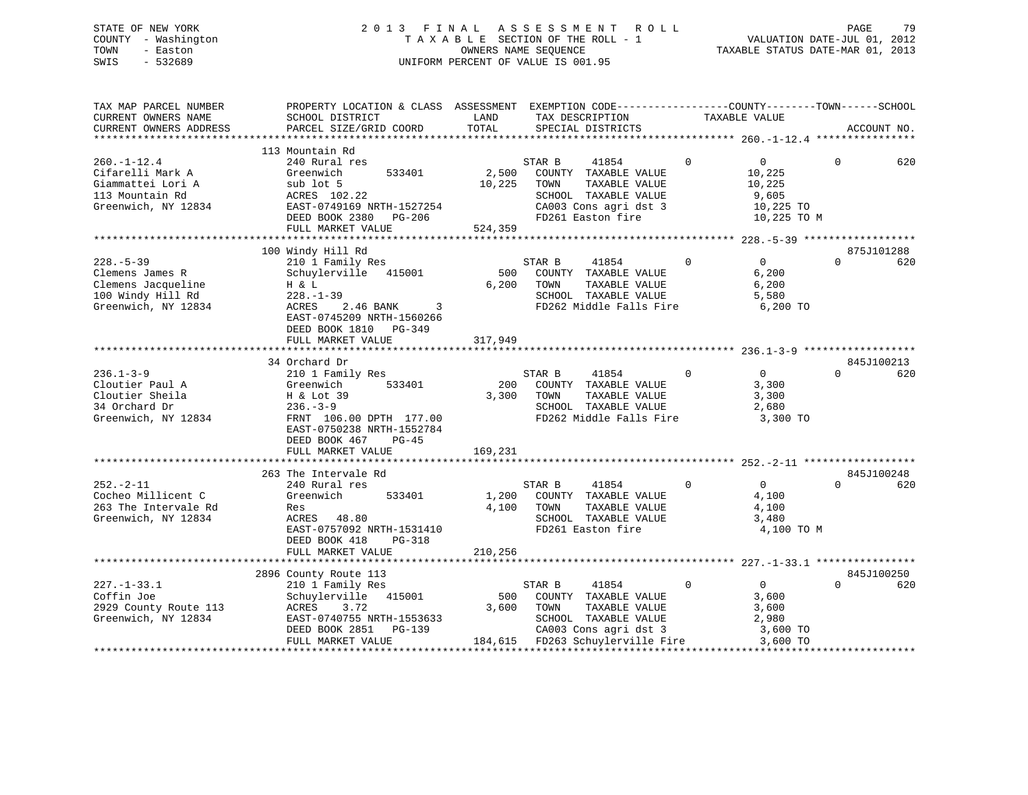# STATE OF NEW YORK 2 0 1 3 F I N A L A S S E S S M E N T R O L L PAGE 79 COUNTY - Washington T A X A B L E SECTION OF THE ROLL - 1 VALUATION DATE-JUL 01, 2012 TOWN - Easton CONNERS NAME SEQUENCE TAXABLE STATUS DATE-MAR 01, 2013<br>SWIS - 532689 SWIS - 532689 UNIFORM PERCENT OF VALUE IS 001.95

| TAX MAP PARCEL NUMBER<br>CURRENT OWNERS NAME | PROPERTY LOCATION & CLASS ASSESSMENT EXEMPTION CODE----------------COUNTY-------TOWN------SCHOOL<br>SCHOOL DISTRICT | LAND            | TAX DESCRIPTION                               |              | TAXABLE VALUE    |          |             |
|----------------------------------------------|---------------------------------------------------------------------------------------------------------------------|-----------------|-----------------------------------------------|--------------|------------------|----------|-------------|
| CURRENT OWNERS ADDRESS                       | PARCEL SIZE/GRID COORD                                                                                              | TOTAL           | SPECIAL DISTRICTS                             |              |                  |          | ACCOUNT NO. |
| ************************                     |                                                                                                                     |                 |                                               |              |                  |          |             |
| $260. - 1 - 12.4$                            | 113 Mountain Rd<br>240 Rural res                                                                                    |                 | STAR B<br>41854                               | $\mathbf 0$  | $\overline{0}$   | $\Omega$ | 620         |
| Cifarelli Mark A<br>Giammattei Lori A        | 533401<br>Greenwich<br>sub lot 5                                                                                    | 2,500<br>10,225 | COUNTY TAXABLE VALUE<br>TAXABLE VALUE<br>TOWN |              | 10,225<br>10,225 |          |             |
| 113 Mountain Rd                              | ACRES 102.22                                                                                                        |                 | SCHOOL TAXABLE VALUE                          |              | 9,605            |          |             |
| Greenwich, NY 12834                          | EAST-0749169 NRTH-1527254                                                                                           |                 | CA003 Cons agri dst 3                         |              | 10,225 TO        |          |             |
|                                              | DEED BOOK 2380 PG-206                                                                                               |                 | FD261 Easton fire                             |              | 10,225 TO M      |          |             |
|                                              | FULL MARKET VALUE                                                                                                   | 524,359         |                                               |              |                  |          |             |
|                                              |                                                                                                                     |                 |                                               |              |                  |          |             |
|                                              | 100 Windy Hill Rd                                                                                                   |                 |                                               |              |                  |          | 875J101288  |
| $228. - 5 - 39$                              | 210 1 Family Res                                                                                                    |                 | STAR B<br>41854                               | $\Omega$     | 0                | $\cap$   | 620         |
| Clemens James R                              | Schuylerville 415001                                                                                                | 500             | COUNTY TAXABLE VALUE                          |              | 6,200            |          |             |
| Clemens Jacqueline                           | H & L                                                                                                               | 6,200           | TOWN<br>TAXABLE VALUE                         |              | 6,200            |          |             |
| 100 Windy Hill Rd                            | $228. - 1 - 39$                                                                                                     |                 | SCHOOL TAXABLE VALUE                          |              | 5,580            |          |             |
| Greenwich, NY 12834                          | ACRES<br>2.46 BANK<br>3<br>EAST-0745209 NRTH-1560266                                                                |                 | FD262 Middle Falls Fire                       |              | 6,200 TO         |          |             |
|                                              | DEED BOOK 1810 PG-349<br>FULL MARKET VALUE                                                                          | 317,949         |                                               |              |                  |          |             |
|                                              |                                                                                                                     |                 |                                               |              |                  |          |             |
|                                              | 34 Orchard Dr                                                                                                       |                 |                                               |              |                  |          | 845J100213  |
| $236.1 - 3 - 9$                              | 210 1 Family Res                                                                                                    |                 | 41854<br>STAR B                               | $\mathbf{0}$ | $\overline{0}$   | $\Omega$ | 620         |
| Cloutier Paul A                              | 533401<br>Greenwich                                                                                                 | 200             | COUNTY TAXABLE VALUE                          |              | 3,300            |          |             |
| Cloutier Sheila                              | H & Lot 39                                                                                                          | 3,300           | TAXABLE VALUE<br>TOWN                         |              | 3,300            |          |             |
| 34 Orchard Dr                                | $236. - 3 - 9$                                                                                                      |                 | SCHOOL TAXABLE VALUE                          |              | 2,680            |          |             |
| Greenwich, NY 12834                          | FRNT 106.00 DPTH 177.00                                                                                             |                 | FD262 Middle Falls Fire                       |              | 3,300 TO         |          |             |
|                                              | EAST-0750238 NRTH-1552784                                                                                           |                 |                                               |              |                  |          |             |
|                                              | DEED BOOK 467<br>$PG-45$                                                                                            |                 |                                               |              |                  |          |             |
|                                              | FULL MARKET VALUE                                                                                                   | 169,231         |                                               |              |                  |          |             |
|                                              |                                                                                                                     |                 |                                               |              |                  |          |             |
|                                              | 263 The Intervale Rd                                                                                                |                 |                                               |              |                  |          | 845J100248  |
| $252 - 2 - 11$                               | 240 Rural res                                                                                                       |                 | STAR B<br>41854                               | $\mathbf 0$  | 0                | $\Omega$ | 620         |
| Cocheo Millicent C                           | 533401<br>Greenwich                                                                                                 | 1,200           | COUNTY TAXABLE VALUE                          |              | 4,100            |          |             |
| 263 The Intervale Rd                         | Res                                                                                                                 | 4,100           | TAXABLE VALUE<br>TOWN                         |              | 4,100            |          |             |
| Greenwich, NY 12834                          | ACRES 48.80                                                                                                         |                 | SCHOOL TAXABLE VALUE                          |              | 3,480            |          |             |
|                                              | EAST-0757092 NRTH-1531410                                                                                           |                 | FD261 Easton fire                             |              | 4,100 TO M       |          |             |
|                                              | DEED BOOK 418<br>$PG-318$                                                                                           |                 |                                               |              |                  |          |             |
|                                              | FULL MARKET VALUE                                                                                                   | 210,256         |                                               |              |                  |          |             |
|                                              |                                                                                                                     |                 |                                               |              |                  |          |             |
|                                              | 2896 County Route 113                                                                                               |                 |                                               | $\Omega$     | $\overline{0}$   | $\Omega$ | 845J100250  |
| $227. - 1 - 33.1$<br>Coffin Joe              | 210 1 Family Res<br>Schuylerville 415001                                                                            | 500             | STAR B<br>41854<br>COUNTY TAXABLE VALUE       |              |                  |          | 620         |
| 2929 County Route 113                        | ACRES<br>3.72                                                                                                       | 3,600           | TOWN<br>TAXABLE VALUE                         |              | 3,600<br>3,600   |          |             |
| Greenwich, NY 12834                          | EAST-0740755 NRTH-1553633                                                                                           |                 | SCHOOL TAXABLE VALUE                          |              | 2,980            |          |             |
|                                              | DEED BOOK 2851<br>$PG-139$                                                                                          |                 | CA003 Cons agri dst 3                         |              | 3,600 TO         |          |             |
|                                              | FULL MARKET VALUE                                                                                                   |                 | 184,615 FD263 Schuylerville Fire              |              | 3,600 TO         |          |             |
|                                              |                                                                                                                     |                 |                                               |              |                  |          |             |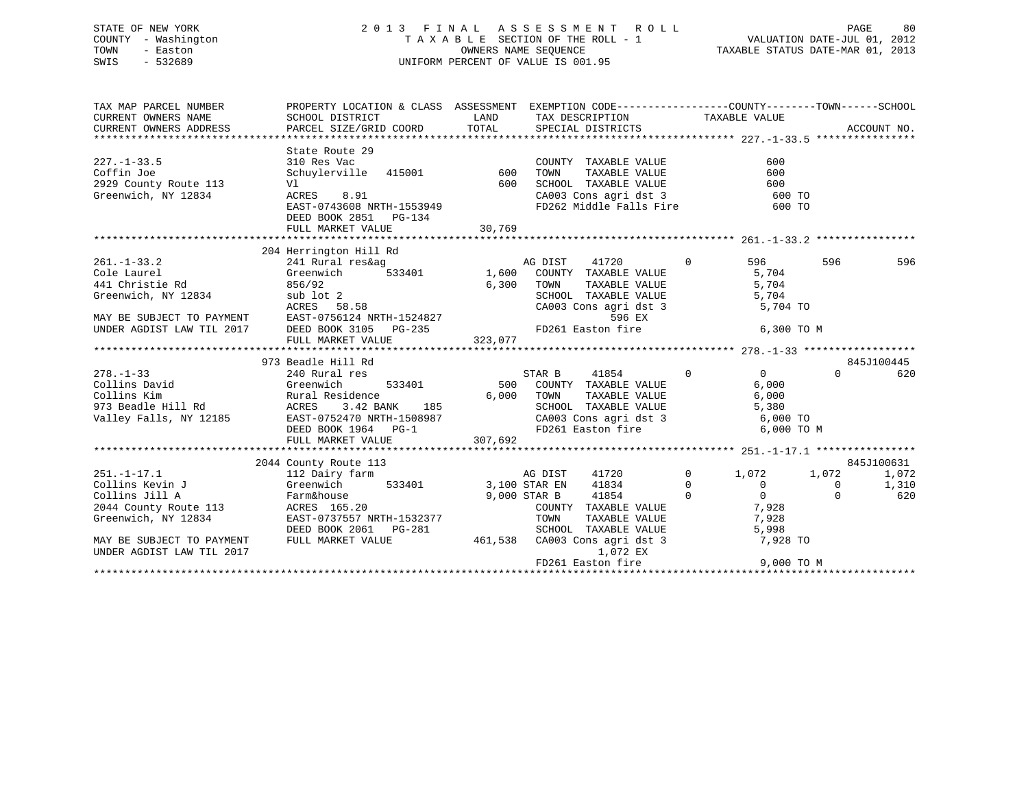# STATE OF NEW YORK 2 0 1 3 F I N A L A S S E S S M E N T R O L L PAGE 80 COUNTY - Washington T A X A B L E SECTION OF THE ROLL - 1 VALUATION DATE-JUL 01, 2012 TOWN - Easton COMPUTERS NAME SEQUENCE TAXABLE STATUS DATE-MAR 01, 2013<br>SWIS - 532689 SWIS - 532689 UNIFORM PERCENT OF VALUE IS 001.95

| TAX MAP PARCEL NUMBER                                       | PROPERTY LOCATION & CLASS ASSESSMENT EXEMPTION CODE-----------------COUNTY-------TOWN------SCHOOL                                                                                                                                     |         |                                                                                                                                                                                                                                              |            |          |                   |
|-------------------------------------------------------------|---------------------------------------------------------------------------------------------------------------------------------------------------------------------------------------------------------------------------------------|---------|----------------------------------------------------------------------------------------------------------------------------------------------------------------------------------------------------------------------------------------------|------------|----------|-------------------|
|                                                             | SCHOOL DISTRICT                                                                                                                                                                                                                       |         |                                                                                                                                                                                                                                              |            |          |                   |
|                                                             |                                                                                                                                                                                                                                       |         |                                                                                                                                                                                                                                              |            |          |                   |
|                                                             |                                                                                                                                                                                                                                       |         |                                                                                                                                                                                                                                              |            |          |                   |
|                                                             | State Route 29                                                                                                                                                                                                                        |         |                                                                                                                                                                                                                                              |            |          |                   |
| $227. - 1 - 33.5$                                           | 310 Res Vac                                                                                                                                                                                                                           |         | COUNTY TAXABLE VALUE                                                                                                                                                                                                                         | 600        |          |                   |
| Coffin Joe                                                  |                                                                                                                                                                                                                                       |         | TAXABLE VALUE<br>TOWN                                                                                                                                                                                                                        | 600        |          |                   |
|                                                             |                                                                                                                                                                                                                                       |         |                                                                                                                                                                                                                                              |            |          |                   |
| 2929 County Route 113<br>Greenwich, NY 12834<br>TACRES 8.91 |                                                                                                                                                                                                                                       |         | 600 SCHOOL TAXABLE VALUE 600 600<br>CA003 Cons agri dst 3 600 TO<br>FD262 Middle Falls Fire 600 TO                                                                                                                                           |            |          |                   |
|                                                             | EAST-0743608 NRTH-1553949                                                                                                                                                                                                             |         |                                                                                                                                                                                                                                              |            |          |                   |
|                                                             | DEED BOOK 2851 PG-134                                                                                                                                                                                                                 |         |                                                                                                                                                                                                                                              |            |          |                   |
|                                                             |                                                                                                                                                                                                                                       |         |                                                                                                                                                                                                                                              |            |          |                   |
|                                                             |                                                                                                                                                                                                                                       |         |                                                                                                                                                                                                                                              |            |          |                   |
|                                                             | 204 Herrington Hill Rd                                                                                                                                                                                                                |         |                                                                                                                                                                                                                                              |            |          |                   |
| $261. - 1 - 33.2$                                           | 241 Rural res&aq                                                                                                                                                                                                                      |         |                                                                                                                                                                                                                                              | 596 7      | 596      | 596               |
| Cole Laurel                                                 | Greenwich                                                                                                                                                                                                                             |         | res&ag<br>Finition control of the Magnetic S33401<br>Finition of the Magnetic S33401<br>Finition of the COUNTY TAXABLE VALUE<br>Finition of the COUNTY TAXABLE VALUE<br>SCHOOL TAXABLE VALUE<br>Finition of the SCHOOL TAXABLE VALUE<br>Fini |            |          |                   |
| 441 Christie Rd                                             |                                                                                                                                                                                                                                       |         |                                                                                                                                                                                                                                              |            |          |                   |
| Greenwich, NY 12834                                         |                                                                                                                                                                                                                                       |         |                                                                                                                                                                                                                                              |            |          |                   |
|                                                             | Greenwich, NY 12834 and lot 2<br>ACRES 58.58 CA003 Cons agri dst 3<br>MAY BE SUBJECT TO PAYMENT EAST-0756124 NRTH-1524827 596 EX<br>UNDER AGDIST LAW TIL 2017 DEED BOOK 3105 PG-235 FD261 Easton fire<br>FULL MARKET VALUE 323,077    |         | CA003 Cons agri dst 3 5,704 TO                                                                                                                                                                                                               |            |          |                   |
|                                                             |                                                                                                                                                                                                                                       |         |                                                                                                                                                                                                                                              |            |          |                   |
|                                                             |                                                                                                                                                                                                                                       |         |                                                                                                                                                                                                                                              | 6,300 TO M |          |                   |
|                                                             |                                                                                                                                                                                                                                       |         |                                                                                                                                                                                                                                              |            |          |                   |
|                                                             |                                                                                                                                                                                                                                       |         |                                                                                                                                                                                                                                              |            |          |                   |
| $278. - 1 - 33$                                             |                                                                                                                                                                                                                                       |         |                                                                                                                                                                                                                                              |            | $\Omega$ | 845J100445<br>620 |
| Collins David Greenwich                                     |                                                                                                                                                                                                                                       |         |                                                                                                                                                                                                                                              |            |          |                   |
|                                                             |                                                                                                                                                                                                                                       |         |                                                                                                                                                                                                                                              |            |          |                   |
|                                                             |                                                                                                                                                                                                                                       |         |                                                                                                                                                                                                                                              |            |          |                   |
|                                                             | Collins Example of the Rural Residence and the second of the MARIE VALUE of the SCHOOL TAXABLE VALUE 6,000<br>973 Beadle Hill Rd (ACRES 3.42 BANK 185 SCHOOL TAXABLE VALUE 5,380<br>Valley Falls, NY 12185 EAST-0752470 NRTH-15089    |         |                                                                                                                                                                                                                                              |            |          |                   |
|                                                             |                                                                                                                                                                                                                                       |         |                                                                                                                                                                                                                                              |            |          |                   |
|                                                             | FULL MARKET VALUE                                                                                                                                                                                                                     | 307,692 |                                                                                                                                                                                                                                              |            |          |                   |
|                                                             |                                                                                                                                                                                                                                       |         |                                                                                                                                                                                                                                              |            |          |                   |
|                                                             | 2044 County Route 113                                                                                                                                                                                                                 |         |                                                                                                                                                                                                                                              |            |          | 845J100631        |
| $251. - 1 - 17.1$                                           | 112 Dairy farm                                                                                                                                                                                                                        |         | AG DIST 41720 0 1,072 1,072                                                                                                                                                                                                                  |            |          | 1,072             |
|                                                             |                                                                                                                                                                                                                                       |         |                                                                                                                                                                                                                                              |            |          | 1,310             |
|                                                             | Collins Kevin J<br>Collins Jill A (Collins Jill A Farm&house 9,000 STAR B 41834 0<br>2044 County Route 113 ACRES 165.20<br>Greenwich, NY 12834 EAST-0737557 NRTH-1532377 TOWN TAXABLE VALUE 7,928<br>Greenwich, NY 12834 EAST-0737557 |         |                                                                                                                                                                                                                                              |            |          | 620               |
|                                                             |                                                                                                                                                                                                                                       |         |                                                                                                                                                                                                                                              |            |          |                   |
|                                                             |                                                                                                                                                                                                                                       |         |                                                                                                                                                                                                                                              |            |          |                   |
|                                                             |                                                                                                                                                                                                                                       |         |                                                                                                                                                                                                                                              |            |          |                   |
| MAY BE SUBJECT TO PAYMENT                                   | DEED BOOK 2061 PG-281 SCHOOL TAXABLE VALUE 5,998<br>FULL MARKET VALUE 461,538 CA003 Cons agri dst 3 7,928                                                                                                                             |         |                                                                                                                                                                                                                                              | 7,928 TO   |          |                   |
| UNDER AGDIST LAW TIL 2017                                   |                                                                                                                                                                                                                                       |         | 1,072 EX                                                                                                                                                                                                                                     |            |          |                   |
|                                                             |                                                                                                                                                                                                                                       |         |                                                                                                                                                                                                                                              |            |          |                   |
|                                                             |                                                                                                                                                                                                                                       |         |                                                                                                                                                                                                                                              |            |          |                   |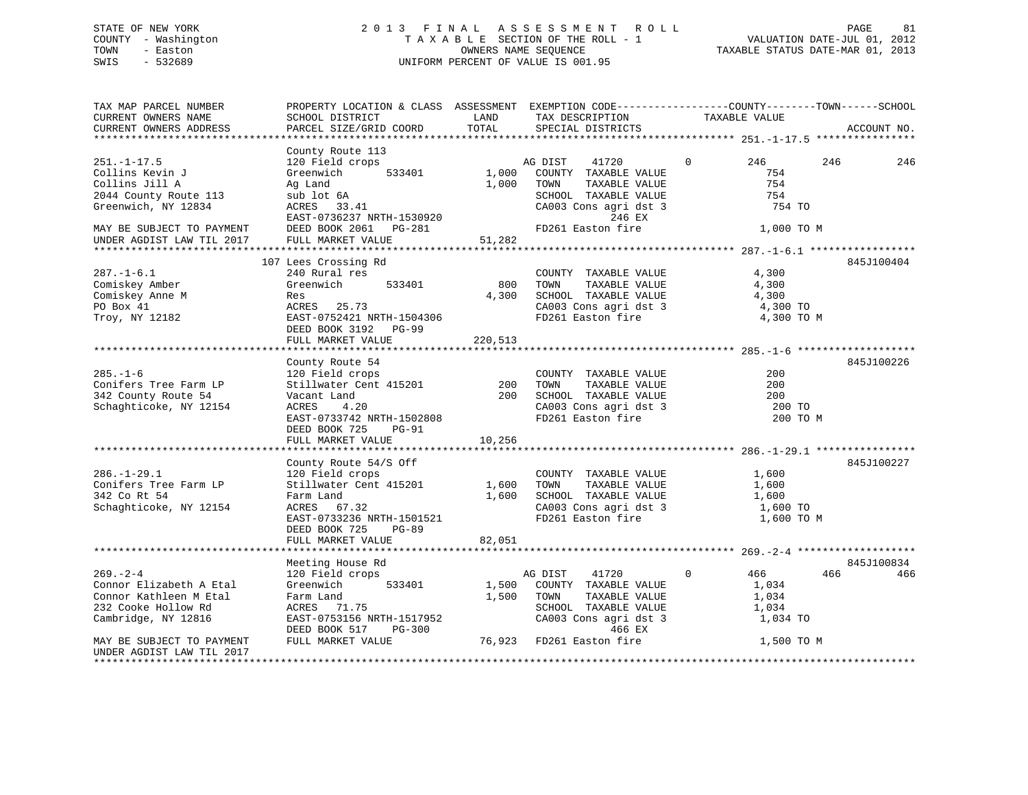# STATE OF NEW YORK 2 0 1 3 F I N A L A S S E S S M E N T R O L L PAGE 81 COUNTY - Washington T A X A B L E SECTION OF THE ROLL - 1 VALUATION DATE-JUL 01, 2012 TOWN - Easton **CONNERS NAME SEQUENCE** TAXABLE STATUS DATE-MAR 01, 2013 SWIS - 532689 UNIFORM PERCENT OF VALUE IS 001.95

| TAX MAP PARCEL NUMBER<br>CURRENT OWNERS NAME<br>CURRENT OWNERS ADDRESS                                                                         | PROPERTY LOCATION & CLASS ASSESSMENT EXEMPTION CODE----------------COUNTY-------TOWN------SCHOOL<br>SCHOOL DISTRICT<br>PARCEL SIZE/GRID COORD              | LAND<br>TOTAL  | TAX DESCRIPTION<br>SPECIAL DISTRICTS                                                                                                                     | TAXABLE VALUE                                                           | ACCOUNT NO. |
|------------------------------------------------------------------------------------------------------------------------------------------------|------------------------------------------------------------------------------------------------------------------------------------------------------------|----------------|----------------------------------------------------------------------------------------------------------------------------------------------------------|-------------------------------------------------------------------------|-------------|
|                                                                                                                                                |                                                                                                                                                            |                |                                                                                                                                                          |                                                                         |             |
| $251. - 1 - 17.5$<br>Collins Kevin J<br>Collins Jill A<br>2044 County Route 113<br>Greenwich, NY 12834<br>MAY BE SUBJECT TO PAYMENT            | County Route 113<br>120 Field crops<br>Greenwich<br>533401<br>Ag Land<br>sub lot 6A<br>$ACRES$ 33.41<br>EAST-0736237 NRTH-1530920<br>DEED BOOK 2061 PG-281 | 1,000<br>1,000 | 41720<br>AG DIST<br>COUNTY TAXABLE VALUE<br>TOWN<br>TAXABLE VALUE<br>SCHOOL TAXABLE VALUE<br>CA003 Cons agri dst 3<br>246 EX<br>FD261 Easton fire        | $\Omega$<br>246<br>754<br>754<br>754<br>754 TO<br>1,000 TO M            | 246<br>246  |
| UNDER AGDIST LAW TIL 2017                                                                                                                      | FULL MARKET VALUE                                                                                                                                          | 51,282         |                                                                                                                                                          |                                                                         |             |
|                                                                                                                                                |                                                                                                                                                            |                |                                                                                                                                                          |                                                                         |             |
| $287. - 1 - 6.1$<br>Comiskey Amber<br>Comiskey Anne M<br>PO Box 41<br>Troy, NY 12182                                                           | 107 Lees Crossing Rd<br>240 Rural res<br>Greenwich<br>533401<br>Res<br>ACRES 25.73<br>EAST-0752421 NRTH-1504306<br>DEED BOOK 3192 PG-99                    | 800<br>4,300   | COUNTY TAXABLE VALUE<br>TOWN<br>TAXABLE VALUE<br>SCHOOL TAXABLE VALUE<br>CA003 Cons agri dst 3<br>FD261 Easton fire                                      | 4,300<br>4,300<br>4,300<br>4,300 TO<br>4,300 TO M                       | 845J100404  |
|                                                                                                                                                | FULL MARKET VALUE                                                                                                                                          | 220,513        |                                                                                                                                                          |                                                                         |             |
|                                                                                                                                                |                                                                                                                                                            |                |                                                                                                                                                          |                                                                         |             |
| $285. - 1 - 6$<br>Conifers Tree Farm LP<br>342 County Route 54<br>Schaghticoke, NY 12154                                                       | County Route 54<br>120 Field crops<br>Stillwater Cent 415201<br>Vacant Land<br>ACRES<br>4.20<br>EAST-0733742 NRTH-1502808<br>DEED BOOK 725<br>PG-91        | 200<br>200     | COUNTY TAXABLE VALUE<br>TOWN<br>TAXABLE VALUE<br>SCHOOL TAXABLE VALUE<br>CA003 Cons agri dst 3<br>FD261 Easton fire                                      | 200<br>200<br>200<br>200 TO<br>200 TO M                                 | 845J100226  |
|                                                                                                                                                | FULL MARKET VALUE                                                                                                                                          | 10,256         |                                                                                                                                                          |                                                                         |             |
|                                                                                                                                                | County Route 54/S Off                                                                                                                                      |                |                                                                                                                                                          |                                                                         | 845J100227  |
| $286. - 1 - 29.1$<br>Conifers Tree Farm LP<br>342 Co Rt 54<br>Schaghticoke, NY 12154                                                           | 120 Field crops<br>Stillwater Cent 415201 1,600<br>Farm Land<br>ACRES 67.32<br>EAST-0733236 NRTH-1501521<br>DEED BOOK 725<br><b>PG-89</b>                  | 1,600          | COUNTY TAXABLE VALUE<br>TOWN<br>TAXABLE VALUE<br>SCHOOL TAXABLE VALUE<br>CA003 Cons agri dst 3<br>FD261 Easton fire                                      | 1,600<br>1,600<br>1,600<br>1,600 TO<br>1,600 TO M                       |             |
|                                                                                                                                                | FULL MARKET VALUE                                                                                                                                          | 82,051         |                                                                                                                                                          |                                                                         |             |
|                                                                                                                                                |                                                                                                                                                            |                |                                                                                                                                                          |                                                                         |             |
|                                                                                                                                                | Meeting House Rd                                                                                                                                           |                |                                                                                                                                                          |                                                                         | 845J100834  |
| $269. - 2 - 4$<br>Connor Elizabeth A Etal<br>Connor Kathleen M Etal<br>232 Cooke Hollow Rd<br>Cambridge, NY 12816<br>MAY BE SUBJECT TO PAYMENT | 120 Field crops<br>Greenwich<br>533401<br>Farm Land<br>ACRES 71.75<br>EAST-0753156 NRTH-1517952<br>DEED BOOK 517<br>$PG-300$<br>FULL MARKET VALUE          | 1,500<br>1,500 | 41720<br>AG DIST<br>COUNTY TAXABLE VALUE<br>TOWN<br>TAXABLE VALUE<br>SCHOOL TAXABLE VALUE<br>CA003 Cons agri dst 3<br>466 EX<br>76,923 FD261 Easton fire | $\mathbf 0$<br>466<br>1,034<br>1,034<br>1,034<br>1,034 TO<br>1,500 TO M | 466<br>466  |
| UNDER AGDIST LAW TIL 2017                                                                                                                      |                                                                                                                                                            |                |                                                                                                                                                          |                                                                         |             |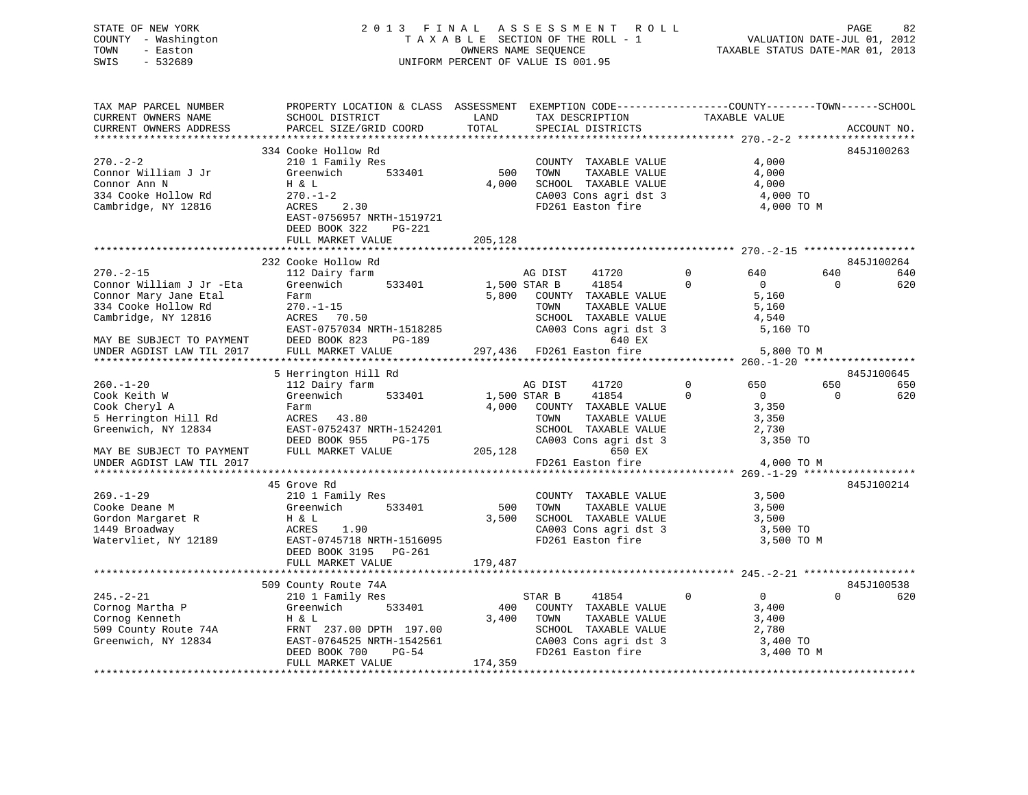# STATE OF NEW YORK 2 0 1 3 F I N A L A S S E S S M E N T R O L L PAGE 82 COUNTY - Washington T A X A B L E SECTION OF THE ROLL - 1 VALUATION DATE-JUL 01, 2012 TOWN - Easton OWNERS NAME SEQUENCE TAXABLE STATUS DATE-MAR 01, 2013 SWIS - 532689 UNIFORM PERCENT OF VALUE IS 001.95

| TAX MAP PARCEL NUMBER<br>CURRENT OWNERS NAME<br>CURRENT OWNERS ADDRESS                                                                                                                                    | PROPERTY LOCATION & CLASS ASSESSMENT EXEMPTION CODE----------------COUNTY-------TOWN------SCHOOL<br>SCHOOL DISTRICT<br>PARCEL SIZE/GRID COORD                                             | LAND<br>TOTAL           | TAX DESCRIPTION<br>SPECIAL DISTRICTS                                                                                                                                                     | TAXABLE VALUE                                                                                            | ACCOUNT NO.                                 |
|-----------------------------------------------------------------------------------------------------------------------------------------------------------------------------------------------------------|-------------------------------------------------------------------------------------------------------------------------------------------------------------------------------------------|-------------------------|------------------------------------------------------------------------------------------------------------------------------------------------------------------------------------------|----------------------------------------------------------------------------------------------------------|---------------------------------------------|
| $270. - 2 - 2$<br>Connor William J Jr<br>Connor Ann N<br>334 Cooke Hollow Rd<br>Cambridge, NY 12816                                                                                                       | 334 Cooke Hollow Rd<br>210 1 Family Res<br>Greenwich<br>533401<br>H & L<br>$270. - 1 - 2$<br>2.30<br>ACRES<br>EAST-0756957 NRTH-1519721<br>DEED BOOK 322<br>$PG-221$<br>FULL MARKET VALUE | 500<br>4,000<br>205,128 | COUNTY TAXABLE VALUE<br>TOWN<br>TAXABLE VALUE<br>SCHOOL TAXABLE VALUE<br>CA003 Cons agri dst 3<br>FD261 Easton fire                                                                      | 4,000<br>4,000<br>4,000<br>4,000 TO<br>4,000 TO M                                                        | 845J100263                                  |
| $270. - 2 - 15$<br>Connor William J Jr -Eta<br>Connor Mary Jane Etal<br>334 Cooke Hollow Rd<br>Cambridge, NY 12816<br>MAY BE SUBJECT TO PAYMENT<br>MAY BE SUBJECT TO PAYMENT<br>UNDER AGDIST LAW TIL 2017 | 232 Cooke Hollow Rd<br>112 Dairy farm<br>533401<br>Greenwich<br>Farm<br>$270. - 1 - 15$<br>ACRES 70.50<br>EAST-0757034 NRTH-1518285<br>DEED BOOK 823<br>PG-189<br>FULL MARKET VALUE       |                         | AG DIST<br>41720<br>41854<br>1,500 STAR B<br>5,800 COUNTY TAXABLE VALUE<br>TAXABLE VALUE<br>TOWN<br>SCHOOL TAXABLE VALUE<br>CA003 Cons agri dst 3<br>640 EX<br>297,436 FD261 Easton fire | $\mathbf 0$<br>640<br>$\mathbf 0$<br>$\overline{0}$<br>5,160<br>5,160<br>4,540<br>5,160 TO<br>5,800 TO M | 845J100264<br>640<br>640<br>620<br>$\circ$  |
| $260. -1 - 20$<br>Cook Keith W<br>Cook Cheryl A<br>5 Herrington Hill Rd<br>Greenwich, NY 12834                                                                                                            | 5 Herrington Hill Rd<br>112 Dairy farm<br>Greenwich<br>533401<br>Farm<br>ACRES 43.80<br>EAST-0752437 NRTH-1524201<br>DEED BOOK 955<br>PG-175                                              | 4,000                   | AG DIST<br>41720<br>41854<br>1,500 STAR B<br>COUNTY TAXABLE VALUE<br>TOWN<br>TAXABLE VALUE<br>SCHOOL TAXABLE VALUE<br>CA003 Cons agri dst 3                                              | $\mathbf 0$<br>650<br>$\Omega$<br>$\Omega$<br>3,350<br>3,350<br>2,730<br>3,350 TO                        | 845J100645<br>650<br>650<br>620<br>$\Omega$ |
| MAY BE SUBJECT TO PAYMENT<br>UNDER AGDIST LAW TIL 2017                                                                                                                                                    | FULL MARKET VALUE                                                                                                                                                                         | 205,128                 | 650 EX<br>FD261 Easton fire                                                                                                                                                              | 4,000 TO M                                                                                               |                                             |
| $269. - 1 - 29$<br>Cooke Deane M<br>Gordon Margaret R<br>1449 Broadway<br>Watervliet, NY 12189                                                                                                            | 45 Grove Rd<br>210 1 Family Res<br>Greenwich<br>533401<br>H & L<br>ACRES<br>1.90<br>EAST-0745718 NRTH-1516095<br>DEED BOOK 3195<br>PG-261<br>FULL MARKET VALUE                            | 500<br>3,500<br>179,487 | COUNTY TAXABLE VALUE<br>TAXABLE VALUE<br>TOWN<br>SCHOOL TAXABLE VALUE<br>CA003 Cons agri dst 3<br>FD261 Easton fire                                                                      | 3,500<br>3,500<br>3,500<br>3,500 TO<br>3,500 TO M                                                        | 845J100214                                  |
|                                                                                                                                                                                                           | 509 County Route 74A                                                                                                                                                                      |                         |                                                                                                                                                                                          |                                                                                                          | 845J100538                                  |
| $245. - 2 - 21$<br>Cornog Martha P<br>Cornog Kenneth<br>509 County Route 74A<br>Greenwich, NY 12834                                                                                                       | 210 1 Family Res<br>Greenwich<br>533401<br>H & L<br>FRNT 237.00 DPTH 197.00<br>EAST-0764525 NRTH-1542561<br>DEED BOOK 700<br>PG-54<br>FULL MARKET VALUE                                   | 400<br>3,400<br>174,359 | STAR B<br>41854<br>COUNTY TAXABLE VALUE<br>TOWN<br>TAXABLE VALUE<br>SCHOOL TAXABLE VALUE<br>CA003 Cons agri dst 3<br>FD261 Easton fire<br>FD261 Easton fire                              | $\mathbf 0$<br>$\overline{0}$<br>3,400<br>3,400<br>2,780<br>3,400 TO<br>3,400 TO M                       | $\Omega$<br>620                             |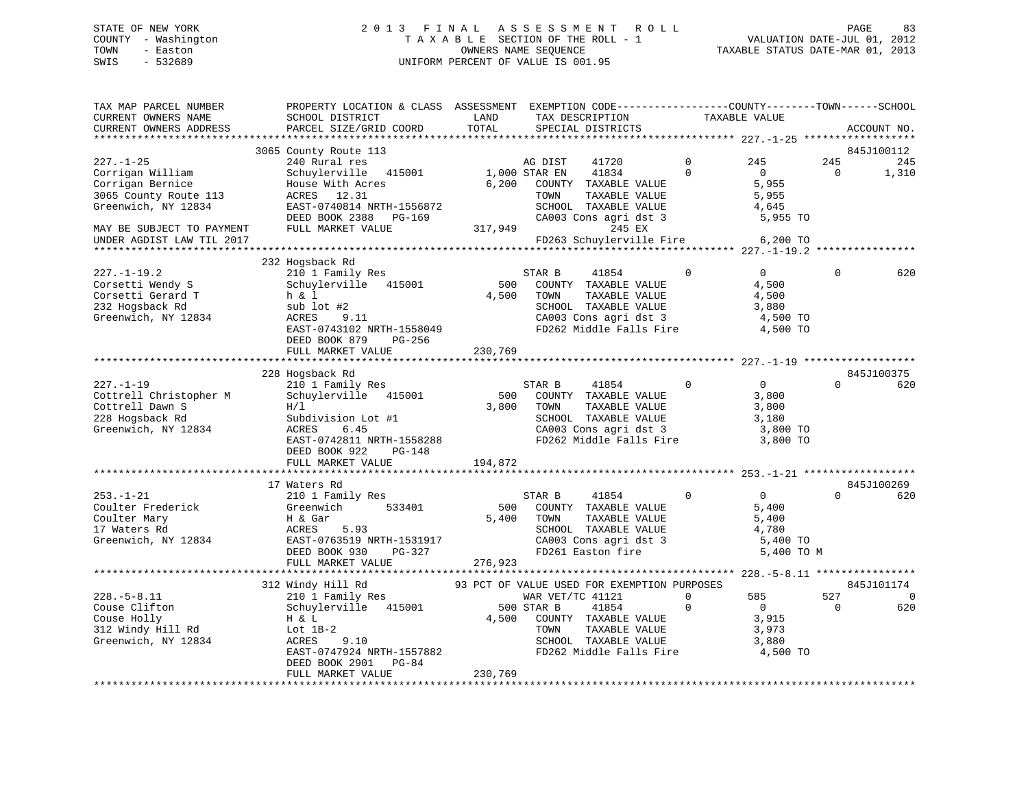# STATE OF NEW YORK 2 0 1 3 F I N A L A S S E S S M E N T R O L L PAGE 83 COUNTY - Washington T A X A B L E SECTION OF THE ROLL - 1 VALUATION DATE-JUL 01, 2012 TOWN - Easton OWNERS NAME SEQUENCE TAXABLE STATUS DATE-MAR 01, 2013 SWIS - 532689 UNIFORM PERCENT OF VALUE IS 001.95

| TAX MAP PARCEL NUMBER<br>CURRENT OWNERS NAME  | PROPERTY LOCATION & CLASS ASSESSMENT<br>SCHOOL DISTRICT | LAND    | EXEMPTION CODE-----------------COUNTY-------TOWN------SCHOOL<br>TAX DESCRIPTION |              | TAXABLE VALUE  |             |             |
|-----------------------------------------------|---------------------------------------------------------|---------|---------------------------------------------------------------------------------|--------------|----------------|-------------|-------------|
| CURRENT OWNERS ADDRESS<br>******************* | PARCEL SIZE/GRID COORD                                  | TOTAL   | SPECIAL DISTRICTS                                                               |              |                |             | ACCOUNT NO. |
|                                               | 3065 County Route 113                                   |         |                                                                                 |              |                |             | 845J100112  |
| $227. - 1 - 25$                               | 240 Rural res                                           |         | AG DIST<br>41720                                                                | $\mathbf 0$  | 245            | 245         | 245         |
| Corrigan William                              | Schuylerville 415001                                    |         | 1,000 STAR EN<br>41834                                                          | $\Omega$     | $\overline{0}$ | $\Omega$    | 1,310       |
| Corrigan Bernice                              | House With Acres                                        | 6,200   | COUNTY TAXABLE VALUE                                                            |              | 5,955          |             |             |
| 3065 County Route 113                         | ACRES 12.31                                             |         | TOWN<br>TAXABLE VALUE                                                           |              | 5,955          |             |             |
| Greenwich, NY 12834                           | EAST-0740814 NRTH-1556872                               |         | SCHOOL TAXABLE VALUE                                                            |              | 4,645          |             |             |
|                                               | DEED BOOK 2388<br>PG-169                                |         | CA003 Cons agri dst 3                                                           |              | 5,955 TO       |             |             |
| MAY BE SUBJECT TO PAYMENT                     | FULL MARKET VALUE                                       |         | 317,949<br>245 EX                                                               |              |                |             |             |
| UNDER AGDIST LAW TIL 2017                     |                                                         |         | FD263 Schuylerville Fire                                                        |              | 6,200 TO       |             |             |
|                                               |                                                         |         |                                                                                 |              |                |             |             |
|                                               | 232 Hogsback Rd                                         |         |                                                                                 |              |                |             |             |
| $227. - 1 - 19.2$                             | 210 1 Family Res                                        |         | STAR B<br>41854                                                                 | $\mathbf 0$  | $\overline{0}$ | $\mathbf 0$ | 620         |
| Corsetti Wendy S                              | Schuylerville 415001                                    | 500     | COUNTY TAXABLE VALUE                                                            |              | 4,500          |             |             |
| Corsetti Gerard T                             | h & 1                                                   | 4,500   | TAXABLE VALUE<br>TOWN                                                           |              | 4,500          |             |             |
| 232 Hogsback Rd                               | sub lot #2                                              |         | SCHOOL TAXABLE VALUE                                                            |              | 3,880          |             |             |
| Greenwich, NY 12834                           | ACRES<br>9.11                                           |         | CA003 Cons agri dst 3<br>FD262 Middle Falls Fire 4,500 TO                       |              | 4,500 TO       |             |             |
|                                               | EAST-0743102 NRTH-1558049                               |         |                                                                                 |              |                |             |             |
|                                               | DEED BOOK 879<br>PG-256                                 |         |                                                                                 |              |                |             |             |
|                                               | FULL MARKET VALUE                                       | 230,769 |                                                                                 |              |                |             |             |
|                                               | 228 Hogsback Rd                                         |         |                                                                                 |              |                |             | 845J100375  |
| $227. - 1 - 19$                               | 210 1 Family Res                                        |         | STAR B<br>41854                                                                 | $\mathbf{0}$ | $\overline{0}$ | $\Omega$    | 620         |
| Cottrell Christopher M                        | Schuylerville 415001                                    | 500     | COUNTY TAXABLE VALUE                                                            |              | 3,800          |             |             |
| Cottrell Dawn S                               | H/L                                                     | 3,800   | TOWN<br>TAXABLE VALUE                                                           |              | 3,800          |             |             |
| 228 Hogsback Rd                               | Subdivision Lot #1                                      |         | SCHOOL TAXABLE VALUE                                                            |              | 3,180          |             |             |
| Greenwich, NY 12834                           | ACRES<br>6.45                                           |         | CA003 Cons agri dst 3                                                           |              | 3,800 TO       |             |             |
|                                               | EAST-0742811 NRTH-1558288                               |         | FD262 Middle Falls Fire 3,800 TO                                                |              |                |             |             |
|                                               | DEED BOOK 922<br>PG-148                                 |         |                                                                                 |              |                |             |             |
|                                               | FULL MARKET VALUE                                       | 194,872 |                                                                                 |              |                |             |             |
|                                               |                                                         |         |                                                                                 |              |                |             |             |
|                                               | 17 Waters Rd                                            |         |                                                                                 |              |                |             | 845J100269  |
| $253. - 1 - 21$                               | 210 1 Family Res                                        |         | STAR B<br>41854                                                                 | $\mathbf{0}$ | $\overline{0}$ | $\Omega$    | 620         |
| Coulter Frederick                             | Greenwich<br>533401                                     | 500     | COUNTY TAXABLE VALUE                                                            |              | 5,400          |             |             |
| Coulter Mary                                  | H & Gar                                                 | 5,400   | TAXABLE VALUE<br>TOWN                                                           |              | 5,400          |             |             |
| 17 Waters Rd                                  | ACRES<br>5.93                                           |         | SCHOOL TAXABLE VALUE                                                            |              | 4,780          |             |             |
| Greenwich, NY 12834                           | EAST-0763519 NRTH-1531917                               |         | CA003 Cons agri dst 3<br>FD261 Easton fire                                      |              | 5,400 TO       |             |             |
|                                               | DEED BOOK 930<br>PG-327                                 |         |                                                                                 |              | 5,400 TO M     |             |             |
|                                               | FULL MARKET VALUE                                       | 276,923 |                                                                                 |              |                |             |             |
|                                               |                                                         |         |                                                                                 |              |                |             |             |
|                                               | 312 Windy Hill Rd                                       |         | 93 PCT OF VALUE USED FOR EXEMPTION PURPOSES                                     |              |                |             | 845J101174  |
| $228. - 5 - 8.11$                             | 210 1 Family Res                                        |         | WAR VET/TC 41121                                                                | $\Omega$     | 585            | 527         | $\Omega$    |
| Couse Clifton                                 | Schuylerville 415001                                    |         | 500 STAR B<br>41854                                                             | $\mathbf 0$  | $\overline{0}$ | $\Omega$    | 620         |
| Couse Holly                                   | H & L                                                   | 4,500   | COUNTY TAXABLE VALUE                                                            |              | 3,915          |             |             |
| 312 Windy Hill Rd                             | Lot $1B-2$                                              |         | TOWN<br>TAXABLE VALUE                                                           |              | 3,973          |             |             |
| Greenwich, NY 12834                           | ACRES<br>9.10                                           |         | SCHOOL TAXABLE VALUE                                                            |              | 3,880          |             |             |
|                                               | EAST-0747924 NRTH-1557882                               |         | FD262 Middle Falls Fire                                                         |              | 4,500 TO       |             |             |
|                                               | DEED BOOK 2901 PG-84                                    |         |                                                                                 |              |                |             |             |
|                                               | FULL MARKET VALUE                                       | 230,769 |                                                                                 |              |                |             |             |
|                                               |                                                         |         |                                                                                 |              |                |             |             |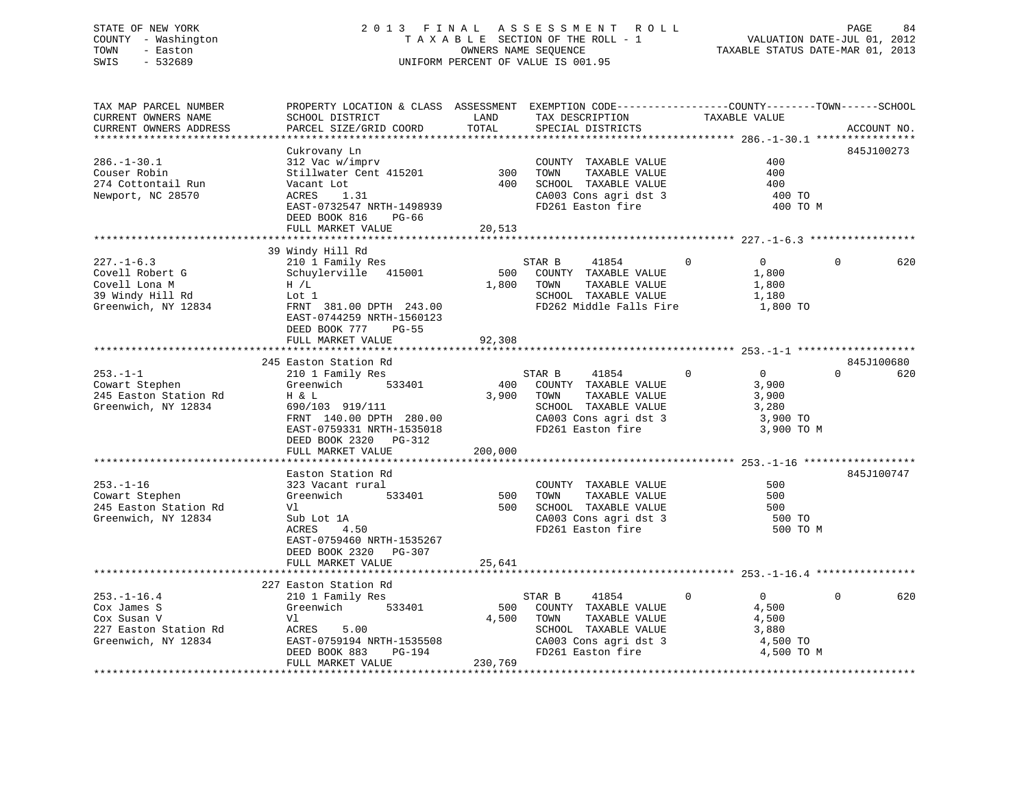# STATE OF NEW YORK 2 0 1 3 F I N A L A S S E S S M E N T R O L L PAGE 84 COUNTY - Washington T A X A B L E SECTION OF THE ROLL - 1 VALUATION DATE-JUL 01, 2012 TOWN - Easton **CONNERS NAME SEQUENCE** TAXABLE STATUS DATE-MAR 01, 2013 SWIS - 532689 UNIFORM PERCENT OF VALUE IS 001.95

| TAX MAP PARCEL NUMBER                         | PROPERTY LOCATION & CLASS ASSESSMENT EXEMPTION CODE---------------COUNTY-------TOWN------SCHOOL | LAND       |                                               | TAXABLE VALUE              |                 |
|-----------------------------------------------|-------------------------------------------------------------------------------------------------|------------|-----------------------------------------------|----------------------------|-----------------|
| CURRENT OWNERS NAME<br>CURRENT OWNERS ADDRESS | SCHOOL DISTRICT<br>PARCEL SIZE/GRID COORD                                                       | TOTAL      | TAX DESCRIPTION<br>SPECIAL DISTRICTS          |                            | ACCOUNT NO.     |
|                                               |                                                                                                 |            |                                               |                            |                 |
|                                               | Cukrovany Ln                                                                                    |            |                                               |                            | 845J100273      |
| $286. - 1 - 30.1$                             |                                                                                                 |            | COUNTY TAXABLE VALUE                          | 400                        |                 |
|                                               | 312 Vac w/imprv                                                                                 |            |                                               |                            |                 |
| Couser Robin                                  | Stillwater Cent 415201                                                                          | 300<br>400 | TAXABLE VALUE<br>TOWN<br>SCHOOL TAXABLE VALUE | 400<br>400                 |                 |
| 274 Cottontail Run                            | Vacant Lot<br>ACRES<br>1.31                                                                     |            |                                               | 400 TO                     |                 |
| Newport, NC 28570                             |                                                                                                 |            | CA003 Cons agri dst 3                         |                            |                 |
|                                               | EAST-0732547 NRTH-1498939                                                                       |            | FD261 Easton fire                             | 400 TO M                   |                 |
|                                               | DEED BOOK 816<br>PG-66                                                                          |            |                                               |                            |                 |
|                                               | FULL MARKET VALUE                                                                               | 20,513     |                                               |                            |                 |
|                                               |                                                                                                 |            |                                               |                            |                 |
|                                               | 39 Windy Hill Rd                                                                                |            |                                               |                            | $\Omega$        |
| $227. - 1 - 6.3$                              | 210 1 Family Res                                                                                |            | STAR B<br>41854                               | $\Omega$<br>$\Omega$       | 620             |
| Covell Robert G                               | Schuylerville 415001                                                                            | 500        | COUNTY TAXABLE VALUE                          | 1,800                      |                 |
| Covell Lona M                                 | H / L                                                                                           | 1,800      | TAXABLE VALUE<br>TOWN                         | 1,800                      |                 |
| 39 Windy Hill Rd                              | Lot 1                                                                                           |            | SCHOOL TAXABLE VALUE                          | 1,180                      |                 |
| Greenwich, NY 12834                           | FRNT 381.00 DPTH 243.00                                                                         |            | FD262 Middle Falls Fire                       | 1,800 TO                   |                 |
|                                               | EAST-0744259 NRTH-1560123                                                                       |            |                                               |                            |                 |
|                                               | DEED BOOK 777<br>PG-55                                                                          |            |                                               |                            |                 |
|                                               | FULL MARKET VALUE                                                                               | 92,308     |                                               |                            |                 |
|                                               |                                                                                                 |            |                                               |                            |                 |
|                                               | 245 Easton Station Rd                                                                           |            |                                               |                            | 845J100680      |
| $253. - 1 - 1$                                | 210 1 Family Res                                                                                |            | STAR B<br>41854                               | $\Omega$<br>$\overline{0}$ | $\Omega$<br>620 |
| Cowart Stephen                                | 533401<br>Greenwich                                                                             | 400        | COUNTY TAXABLE VALUE                          | 3,900                      |                 |
| 245 Easton Station Rd                         | H & L                                                                                           | 3,900      | TOWN<br>TAXABLE VALUE                         | 3,900                      |                 |
| Greenwich, NY 12834                           | 690/103 919/111                                                                                 |            | SCHOOL TAXABLE VALUE                          | 3,280                      |                 |
|                                               | FRNT 140.00 DPTH 280.00                                                                         |            | CA003 Cons agri dst 3                         | 3,900 TO                   |                 |
|                                               | EAST-0759331 NRTH-1535018                                                                       |            | FD261 Easton fire                             | 3,900 TO M                 |                 |
|                                               | DEED BOOK 2320 PG-312                                                                           |            |                                               |                            |                 |
|                                               | FULL MARKET VALUE                                                                               | 200,000    |                                               |                            |                 |
|                                               |                                                                                                 |            |                                               |                            |                 |
|                                               | Easton Station Rd                                                                               |            |                                               |                            | 845J100747      |
| $253. - 1 - 16$                               | 323 Vacant rural                                                                                |            | COUNTY TAXABLE VALUE                          | 500                        |                 |
| Cowart Stephen                                | Greenwich<br>533401                                                                             | 500        | TAXABLE VALUE<br>TOWN                         | 500                        |                 |
| 245 Easton Station Rd                         | Vl                                                                                              | 500        | SCHOOL TAXABLE VALUE                          | 500                        |                 |
| Greenwich, NY 12834                           | Sub Lot 1A                                                                                      |            | CA003 Cons agri dst 3                         | 500 TO                     |                 |
|                                               | 4.50<br>ACRES                                                                                   |            | FD261 Easton fire                             | 500 TO M                   |                 |
|                                               | EAST-0759460 NRTH-1535267                                                                       |            |                                               |                            |                 |
|                                               | DEED BOOK 2320<br>PG-307                                                                        |            |                                               |                            |                 |
|                                               | FULL MARKET VALUE                                                                               | 25,641     |                                               |                            |                 |
|                                               |                                                                                                 |            |                                               |                            |                 |
|                                               | 227 Easton Station Rd                                                                           |            |                                               |                            |                 |
| $253. - 1 - 16.4$                             | 210 1 Family Res                                                                                |            | STAR B<br>41854                               | $\Omega$<br>0              | 620<br>$\Omega$ |
| Cox James S                                   | Greenwich 533401                                                                                | 500        | COUNTY TAXABLE VALUE                          | 4,500                      |                 |
| Cox Susan V                                   | Vl                                                                                              | 4,500      | TOWN<br>TAXABLE VALUE                         | 4,500                      |                 |
| 227 Easton Station Rd                         | ACRES<br>5.00                                                                                   |            | SCHOOL TAXABLE VALUE                          | 3,880                      |                 |
| Greenwich, NY 12834                           | EAST-0759194 NRTH-1535508                                                                       |            | CA003 Cons agri dst 3                         | 4,500 TO                   |                 |
|                                               | DEED BOOK 883<br>PG-194                                                                         |            | FD261 Easton fire                             | 4,500 TO M                 |                 |
|                                               | FULL MARKET VALUE                                                                               | 230,769    |                                               |                            |                 |
|                                               |                                                                                                 |            |                                               |                            |                 |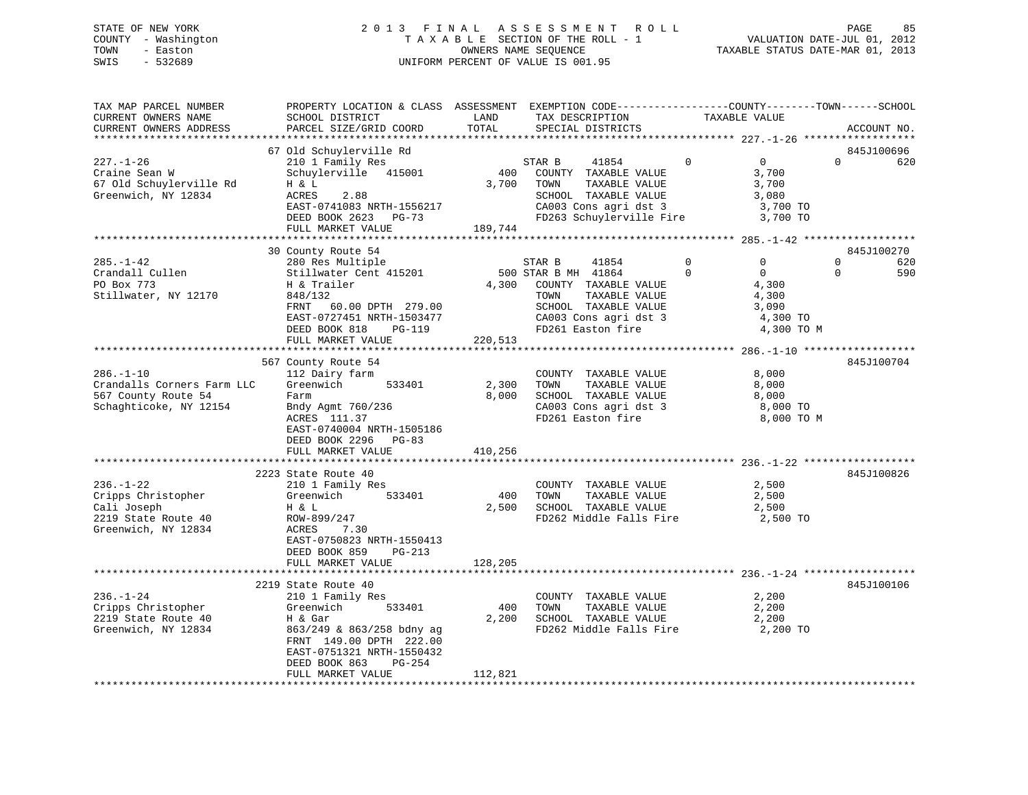# STATE OF NEW YORK 2 0 1 3 F I N A L A S S E S S M E N T R O L L PAGE 85 COUNTY - Washington T A X A B L E SECTION OF THE ROLL - 1 VALUATION DATE-JUL 01, 2012 TOWN - Easton **CONNERS NAME SEQUENCE** TAXABLE STATUS DATE-MAR 01, 2013 SWIS - 532689 UNIFORM PERCENT OF VALUE IS 001.95

| TAX MAP PARCEL NUMBER<br>CURRENT OWNERS NAME<br>CURRENT OWNERS ADDRESS                             | PROPERTY LOCATION & CLASS ASSESSMENT EXEMPTION CODE----------------COUNTY-------TOWN------SCHOOL<br>SCHOOL DISTRICT<br>PARCEL SIZE/GRID COORD                                                        | LAND<br>TOTAL             | TAX DESCRIPTION<br>SPECIAL DISTRICTS                                                                                                                                |                      | TAXABLE VALUE                                                                      | ACCOUNT NO.                                         |
|----------------------------------------------------------------------------------------------------|------------------------------------------------------------------------------------------------------------------------------------------------------------------------------------------------------|---------------------------|---------------------------------------------------------------------------------------------------------------------------------------------------------------------|----------------------|------------------------------------------------------------------------------------|-----------------------------------------------------|
| **********************                                                                             | **************************                                                                                                                                                                           |                           |                                                                                                                                                                     |                      |                                                                                    |                                                     |
| $227. - 1 - 26$<br>Craine Sean W<br>67 Old Schuylerville Rd<br>Greenwich, NY 12834                 | 67 Old Schuylerville Rd<br>210 1 Family Res<br>Schuylerville 415001<br>$H$ & $L$<br>ACRES<br>2.88<br>EAST-0741083 NRTH-1556217<br>DEED BOOK 2623 PG-73<br>FULL MARKET VALUE                          | 400<br>3,700<br>189,744   | STAR B<br>41854<br>COUNTY TAXABLE VALUE<br>TOWN<br>TAXABLE VALUE<br>SCHOOL TAXABLE VALUE<br>CA003 Cons agri dst 3<br>FD263 Schuylerville Fire                       | $\overline{0}$       | $0 \qquad \qquad$<br>3,700<br>3,700<br>3,080<br>3,700 TO<br>3,700 TO               | 845J100696<br>$\Omega$<br>620                       |
|                                                                                                    |                                                                                                                                                                                                      |                           |                                                                                                                                                                     |                      |                                                                                    |                                                     |
| $285. - 1 - 42$<br>Crandall Cullen<br>PO Box 773<br>Stillwater, NY 12170                           | 30 County Route 54<br>280 Res Multiple<br>Stillwater Cent 415201<br>H & Trailer<br>848/132<br>60.00 DPTH 279.00<br>FRNT<br>EAST-0727451 NRTH-1503477<br>DEED BOOK 818<br>PG-119<br>FULL MARKET VALUE | 220,513                   | STAR B<br>41854<br>500 STAR B MH 41864<br>4,300 COUNTY TAXABLE VALUE<br>TAXABLE VALUE<br>TOWN<br>SCHOOL TAXABLE VALUE<br>CA003 Cons agri dst 3<br>FD261 Easton fire | $\Omega$<br>$\Omega$ | $\Omega$<br>$0 \qquad \qquad$<br>4,300<br>4,300<br>3,090<br>4,300 TO<br>4,300 TO M | 845J100270<br>$\mathbf 0$<br>620<br>$\Omega$<br>590 |
|                                                                                                    |                                                                                                                                                                                                      |                           |                                                                                                                                                                     |                      |                                                                                    |                                                     |
| $286. - 1 - 10$<br>Crandalls Corners Farm LLC<br>567 County Route 54<br>Schaghticoke, NY 12154     | 567 County Route 54<br>112 Dairy farm<br>Greenwich<br>533401<br>Farm<br>Bndy Agmt 760/236<br>ACRES 111.37<br>EAST-0740004 NRTH-1505186<br>DEED BOOK 2296 PG-83<br>FULL MARKET VALUE                  | 2,300<br>8,000<br>410,256 | COUNTY TAXABLE VALUE<br>TOWN<br>TAXABLE VALUE<br>SCHOOL TAXABLE VALUE<br>CA003 Cons agri dst 3<br>FD261 Easton fire                                                 |                      | 8,000<br>8,000<br>8,000<br>8,000 TO<br>8,000 TO M                                  | 845J100704                                          |
|                                                                                                    |                                                                                                                                                                                                      |                           |                                                                                                                                                                     |                      |                                                                                    |                                                     |
| $236. - 1 - 22$<br>Cripps Christopher<br>Cali Joseph<br>2219 State Route 40<br>Greenwich, NY 12834 | 2223 State Route 40<br>210 1 Family Res<br>Greenwich<br>533401<br>H & L<br>ROW-899/247<br>ACRES<br>7.30<br>EAST-0750823 NRTH-1550413<br>DEED BOOK 859<br>PG-213                                      | 400<br>2,500              | COUNTY TAXABLE VALUE<br>TOWN<br>TAXABLE VALUE<br>SCHOOL TAXABLE VALUE<br>FD262 Middle Falls Fire                                                                    |                      | 2,500<br>2,500<br>2,500<br>2,500 TO                                                | 845J100826                                          |
|                                                                                                    | FULL MARKET VALUE                                                                                                                                                                                    | 128,205                   |                                                                                                                                                                     |                      |                                                                                    |                                                     |
|                                                                                                    |                                                                                                                                                                                                      |                           |                                                                                                                                                                     |                      |                                                                                    |                                                     |
| $236. - 1 - 24$<br>Cripps Christopher<br>2219 State Route 40<br>Greenwich, NY 12834                | 2219 State Route 40<br>210 1 Family Res<br>533401<br>Greenwich<br>H & Gar<br>863/249 & 863/258 bdny ag<br>FRNT 149.00 DPTH 222.00<br>EAST-0751321 NRTH-1550432<br>DEED BOOK 863<br>PG-254            | 400<br>2,200              | COUNTY TAXABLE VALUE<br>TOWN<br>TAXABLE VALUE<br>SCHOOL TAXABLE VALUE<br>FD262 Middle Falls Fire 2,200 TO                                                           |                      | 2,200<br>2,200<br>2,200                                                            | 845J100106                                          |
|                                                                                                    | FULL MARKET VALUE                                                                                                                                                                                    | 112,821                   |                                                                                                                                                                     |                      |                                                                                    |                                                     |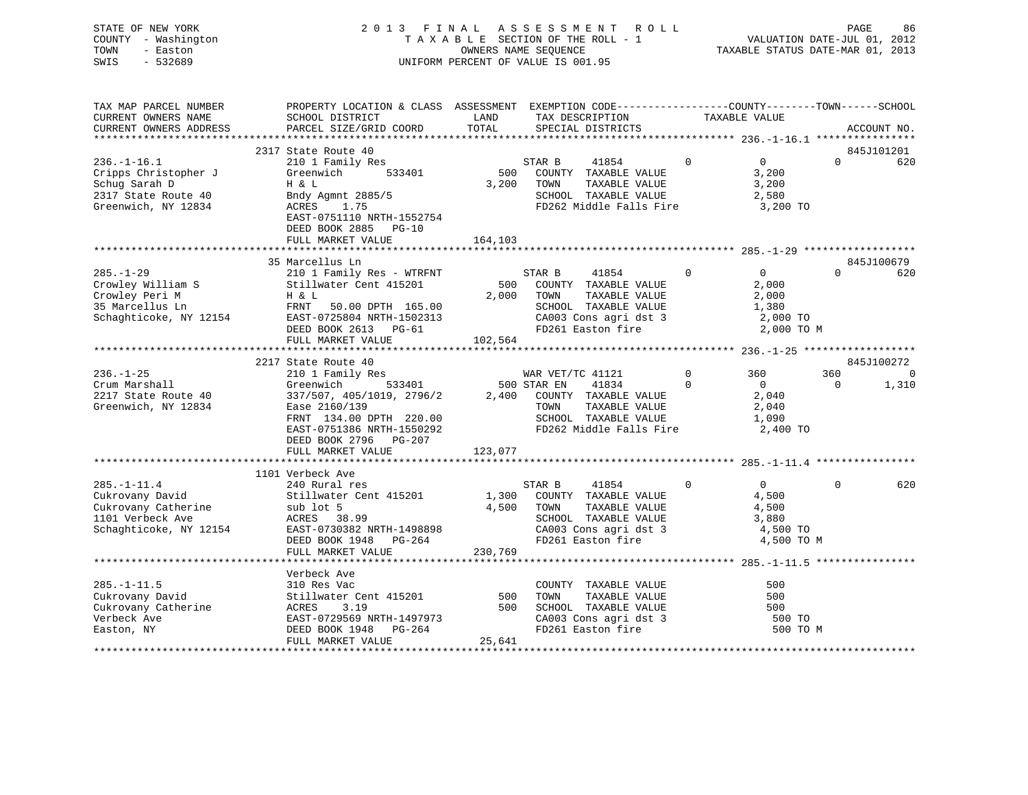| STATE OF NEW YORK<br>COUNTY - Washington<br>TOWN<br>- Easton<br>SWIS<br>$-532689$                        |                                                                                                                                               | UNIFORM PERCENT OF VALUE IS 001.95 | OWNERS NAME SEQUENCE | 2013 FINAL ASSESSMENT ROLL<br>TAXABLE SECTION OF THE ROLL - 1                                                   |                      |                                                       | PAGE<br>VALUATION DATE-JUL 01, 2012<br>TAXABLE STATUS DATE-MAR 01, 2013 | 86                |
|----------------------------------------------------------------------------------------------------------|-----------------------------------------------------------------------------------------------------------------------------------------------|------------------------------------|----------------------|-----------------------------------------------------------------------------------------------------------------|----------------------|-------------------------------------------------------|-------------------------------------------------------------------------|-------------------|
| TAX MAP PARCEL NUMBER<br>CURRENT OWNERS NAME<br>CURRENT OWNERS ADDRESS                                   | PROPERTY LOCATION & CLASS ASSESSMENT EXEMPTION CODE----------------COUNTY-------TOWN------SCHOOL<br>SCHOOL DISTRICT<br>PARCEL SIZE/GRID COORD | LAND<br>TOTAL                      |                      | TAX DESCRIPTION TAXABLE VALUE<br>SPECIAL DISTRICTS                                                              |                      |                                                       |                                                                         | ACCOUNT NO.       |
|                                                                                                          |                                                                                                                                               |                                    |                      |                                                                                                                 |                      |                                                       |                                                                         |                   |
| $236. - 1 - 16.1$<br>Cripps Christopher J<br>Schug Sarah D<br>2317 State Route 40<br>Greenwich, NY 12834 | 2317 State Route 40<br>210 1 Family Res<br>533401<br>Greenwich<br>H & L<br>Bndy Agmnt 2885/5<br>ACRES 1.75<br>EAST-0751110 NRTH-1552754       | 500                                | STAR B<br>3,200 TOWN | 41854 0<br>COUNTY TAXABLE VALUE<br>TAXABLE VALUE<br>SCHOOL TAXABLE VALUE<br>FD262 Middle Falls Fire             |                      | $\overline{0}$<br>3,200<br>3,200<br>2,580<br>3,200 TO | $\Omega$                                                                | 845J101201<br>620 |
|                                                                                                          | DEED BOOK 2885 PG-10                                                                                                                          |                                    |                      |                                                                                                                 |                      |                                                       |                                                                         |                   |
|                                                                                                          | FULL MARKET VALUE                                                                                                                             | 164,103                            |                      |                                                                                                                 |                      |                                                       |                                                                         |                   |
|                                                                                                          |                                                                                                                                               |                                    |                      |                                                                                                                 |                      |                                                       |                                                                         |                   |
| $285. - 1 - 29$                                                                                          | 35 Marcellus Ln<br>210 1 Family Res - WTRFNT                                                                                                  |                                    | STAR B               | 41854                                                                                                           | $\Omega$             | $\overline{0}$                                        | $\Omega$                                                                | 845J100679<br>620 |
| Crowley William S<br>Crowley Peri M<br>35 Marcellus Ln<br>Schaghticoke, NY 12154                         | Stillwater Cent 415201<br>H & L<br>FRNT 50.00 DPTH 165.00<br>EAST-0725804 NRTH-1502313<br>DEED BOOK 2613 PG-61                                |                                    | 2,000 TOWN           | 500 COUNTY TAXABLE VALUE<br>TAXABLE VALUE<br>SCHOOL TAXABLE VALUE<br>CA003 Cons agri dst 3<br>FD261 Easton fire |                      | 2,000<br>2,000<br>1,380<br>2,000 TO<br>2,000 TO M     |                                                                         |                   |
|                                                                                                          | FULL MARKET VALUE 102,564                                                                                                                     |                                    |                      |                                                                                                                 |                      |                                                       |                                                                         |                   |
|                                                                                                          |                                                                                                                                               |                                    |                      |                                                                                                                 |                      |                                                       |                                                                         |                   |
|                                                                                                          | 2217 State Route 40                                                                                                                           |                                    |                      |                                                                                                                 |                      |                                                       |                                                                         | 845J100272        |
| $236. - 1 - 25$<br>Crum Marshall                                                                         | $ly$ Res<br>533401<br>210 1 Family Res<br>Greenwich                                                                                           | 500 STAR EN                        | WAR VET/TC 41121     | 41834                                                                                                           | $\Omega$<br>$\Omega$ | 360<br>$\overline{0}$                                 | 360<br>$\mathbf{0}$                                                     | $\sim$ 0<br>1,310 |
| 2217 State Route 40                                                                                      | 337/507, 405/1019, 2796/2                                                                                                                     |                                    |                      | 2,400 COUNTY TAXABLE VALUE                                                                                      |                      | 2,040                                                 |                                                                         |                   |
| Greenwich, NY 12834                                                                                      | Ease 2160/139                                                                                                                                 |                                    | TOWN                 | TAXABLE VALUE                                                                                                   |                      | 2,040                                                 |                                                                         |                   |
|                                                                                                          | FRNT 134.00 DPTH 220.00                                                                                                                       |                                    |                      | SCHOOL TAXABLE VALUE                                                                                            |                      | 1,090                                                 |                                                                         |                   |
|                                                                                                          | EAST-0751386 NRTH-1550292                                                                                                                     |                                    |                      | FD262 Middle Falls Fire                                                                                         |                      | 2,400 TO                                              |                                                                         |                   |
|                                                                                                          | DEED BOOK 2796 PG-207                                                                                                                         |                                    |                      |                                                                                                                 |                      |                                                       |                                                                         |                   |
|                                                                                                          | FULL MARKET VALUE                                                                                                                             | 123,077                            |                      |                                                                                                                 |                      |                                                       |                                                                         |                   |
|                                                                                                          |                                                                                                                                               |                                    |                      |                                                                                                                 |                      |                                                       |                                                                         |                   |
| $285. - 1 - 11.4$                                                                                        | 1101 Verbeck Ave<br>240 Rural res                                                                                                             |                                    | STAR B               | 41854                                                                                                           | $\Omega$             | $\overline{0}$                                        | $\Omega$                                                                | 620               |
| Cukrovany David                                                                                          | Stillwater Cent 415201                                                                                                                        |                                    |                      | 1,300 COUNTY TAXABLE VALUE                                                                                      |                      | 4,500                                                 |                                                                         |                   |
| Cukrovany Catherine                                                                                      |                                                                                                                                               |                                    | 4,500 TOWN           | TAXABLE VALUE                                                                                                   |                      | 4,500                                                 |                                                                         |                   |
| 1101 Verbeck Ave                                                                                         | sub lot 5<br>ACRES 38.99                                                                                                                      |                                    |                      | SCHOOL TAXABLE VALUE                                                                                            |                      | 3,880                                                 |                                                                         |                   |
| Schaghticoke, NY 12154                                                                                   | EAST-0730382 NRTH-1498898                                                                                                                     |                                    |                      | CA003 Cons agri dst 3                                                                                           |                      | 4,500 TO                                              |                                                                         |                   |
|                                                                                                          | DEED BOOK 1948 PG-264                                                                                                                         |                                    |                      | FD261 Easton fire                                                                                               |                      | 4,500 TO M                                            |                                                                         |                   |
|                                                                                                          | FULL MARKET VALUE                                                                                                                             | 230,769                            |                      |                                                                                                                 |                      |                                                       |                                                                         |                   |
|                                                                                                          |                                                                                                                                               |                                    |                      |                                                                                                                 |                      |                                                       |                                                                         |                   |
|                                                                                                          | Verbeck Ave                                                                                                                                   |                                    |                      |                                                                                                                 |                      |                                                       |                                                                         |                   |
| $285. - 1 - 11.5$                                                                                        | 310 Res Vac                                                                                                                                   |                                    |                      | COUNTY TAXABLE VALUE                                                                                            |                      | 500                                                   |                                                                         |                   |
| Cukrovany David<br>Cukrovany Catherine                                                                   | Stillwater Cent 415201<br>3.19<br>ACRES                                                                                                       | 500<br>500                         | TOWN                 | TAXABLE VALUE                                                                                                   |                      | 500<br>500                                            |                                                                         |                   |
| Verbeck Ave                                                                                              | EAST-0729569 NRTH-1497973                                                                                                                     |                                    |                      |                                                                                                                 |                      | 500 TO                                                |                                                                         |                   |
| Easton, NY                                                                                               | DEED BOOK 1948 PG-264                                                                                                                         |                                    |                      | SCHOOL TAXADDD<br>CA003 Cons agri dst 3<br>- - - - fire                                                         |                      | 500 TO M                                              |                                                                         |                   |
|                                                                                                          | FULL MARKET VALUE                                                                                                                             | 25,641                             |                      |                                                                                                                 |                      |                                                       |                                                                         |                   |

\*\*\*\*\*\*\*\*\*\*\*\*\*\*\*\*\*\*\*\*\*\*\*\*\*\*\*\*\*\*\*\*\*\*\*\*\*\*\*\*\*\*\*\*\*\*\*\*\*\*\*\*\*\*\*\*\*\*\*\*\*\*\*\*\*\*\*\*\*\*\*\*\*\*\*\*\*\*\*\*\*\*\*\*\*\*\*\*\*\*\*\*\*\*\*\*\*\*\*\*\*\*\*\*\*\*\*\*\*\*\*\*\*\*\*\*\*\*\*\*\*\*\*\*\*\*\*\*\*\*\*\*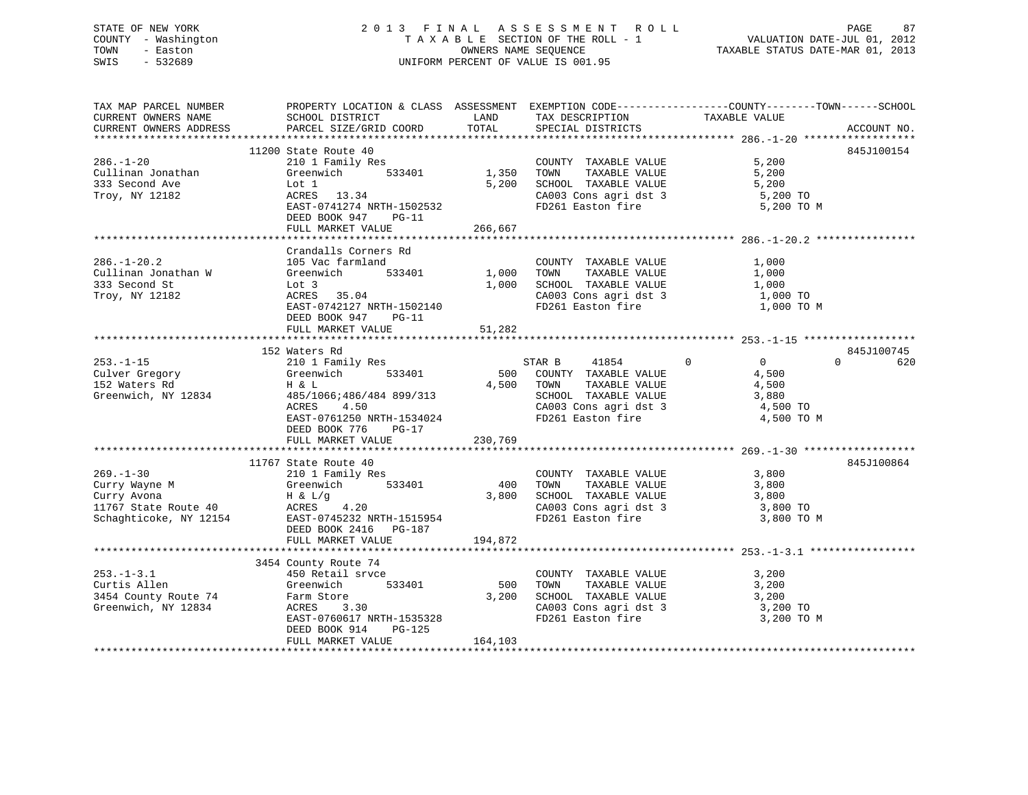# STATE OF NEW YORK 2 0 1 3 F I N A L A S S E S S M E N T R O L L PAGE 87 COUNTY - Washington T A X A B L E SECTION OF THE ROLL - 1 VALUATION DATE-JUL 01, 2012 TOWN - Easton **CONNERS NAME SEQUENCE** TAXABLE STATUS DATE-MAR 01, 2013 SWIS - 532689 UNIFORM PERCENT OF VALUE IS 001.95

|                     | TAX MAP PARCEL NUMBER THE PROPERTY LOCATION & CLASS ASSESSMENT EXEMPTION CODE--------------COUNTY-------TOWN-----SCHOOL                                                                                                                                    |          |                                                                                                  |                                                                |                |
|---------------------|------------------------------------------------------------------------------------------------------------------------------------------------------------------------------------------------------------------------------------------------------------|----------|--------------------------------------------------------------------------------------------------|----------------------------------------------------------------|----------------|
| CURRENT OWNERS NAME | SCHOOL DISTRICT                                                                                                                                                                                                                                            | LAND     |                                                                                                  |                                                                |                |
|                     | CURRENT OWNERS ADDRESS PARCEL SIZE/GRID COORD TOTAL                                                                                                                                                                                                        |          | TAX DESCRIPTION TAXABLE VALUE SPECIAL DISTRICTS                                                  |                                                                | ACCOUNT NO.    |
|                     |                                                                                                                                                                                                                                                            |          |                                                                                                  |                                                                |                |
|                     | 11200 State Route 40                                                                                                                                                                                                                                       |          |                                                                                                  |                                                                | 845J100154     |
|                     |                                                                                                                                                                                                                                                            |          | COUNTY TAXABLE VALUE 5,200<br>TOWN TAXABLE VALUE 5,200                                           | 5,200                                                          |                |
|                     |                                                                                                                                                                                                                                                            |          |                                                                                                  |                                                                |                |
|                     |                                                                                                                                                                                                                                                            |          |                                                                                                  |                                                                |                |
|                     |                                                                                                                                                                                                                                                            |          |                                                                                                  |                                                                |                |
|                     | EAST-0741274 NRTH-1502532<br>DEED BOOK 947 PG-11                                                                                                                                                                                                           |          | 5,200 SCHOOL TAXABLE VALUE 5,200<br>CA003 Cons agri dst 3 5,200 TO<br>FD261 Easton fire 5,200 TO | 5,200 TO M                                                     |                |
|                     |                                                                                                                                                                                                                                                            |          |                                                                                                  |                                                                |                |
|                     | FULL MARKET VALUE 266,667                                                                                                                                                                                                                                  |          |                                                                                                  |                                                                |                |
|                     |                                                                                                                                                                                                                                                            |          |                                                                                                  |                                                                |                |
|                     |                                                                                                                                                                                                                                                            |          |                                                                                                  |                                                                |                |
|                     | Crandalls Corners Rd                                                                                                                                                                                                                                       |          |                                                                                                  |                                                                |                |
|                     |                                                                                                                                                                                                                                                            |          |                                                                                                  |                                                                |                |
|                     |                                                                                                                                                                                                                                                            |          |                                                                                                  |                                                                |                |
|                     |                                                                                                                                                                                                                                                            |          |                                                                                                  |                                                                |                |
|                     | ACRES 35.04<br>EAST-0742127 NRTH-1502140                                                                                                                                                                                                                   |          |                                                                                                  | CA003 Cons agri dst 3 1,000 TO<br>FD261 Easton fire 1,000 TO M |                |
|                     |                                                                                                                                                                                                                                                            |          |                                                                                                  |                                                                |                |
|                     | DEED BOOK 947 PG-11                                                                                                                                                                                                                                        |          |                                                                                                  |                                                                |                |
|                     |                                                                                                                                                                                                                                                            |          |                                                                                                  |                                                                |                |
|                     | 152 Waters Rd<br>253.-1-15<br>Culver Gregory Greenwich 533401<br>152 Waters Rd<br>369/1066:486/484 899/313<br>Greenwich, NY 12834<br>265/1066:486/484 899/313<br>465/1066:486/484 899/313<br>267.000 COUNTY TAXABLE VALUE<br>4,500<br>261000 COUNT         |          |                                                                                                  |                                                                |                |
|                     |                                                                                                                                                                                                                                                            |          |                                                                                                  |                                                                | 845J100745     |
|                     |                                                                                                                                                                                                                                                            |          |                                                                                                  |                                                                | $0 \qquad 620$ |
|                     |                                                                                                                                                                                                                                                            |          |                                                                                                  |                                                                |                |
|                     |                                                                                                                                                                                                                                                            |          |                                                                                                  |                                                                |                |
|                     |                                                                                                                                                                                                                                                            |          |                                                                                                  |                                                                |                |
|                     |                                                                                                                                                                                                                                                            |          |                                                                                                  |                                                                |                |
|                     |                                                                                                                                                                                                                                                            |          |                                                                                                  | 4,500 TO M                                                     |                |
|                     |                                                                                                                                                                                                                                                            |          |                                                                                                  |                                                                |                |
|                     | FULL MARKET VALUE                                                                                                                                                                                                                                          | 230,769  |                                                                                                  |                                                                |                |
|                     |                                                                                                                                                                                                                                                            |          |                                                                                                  |                                                                |                |
|                     | 11767 State Route 40                                                                                                                                                                                                                                       |          |                                                                                                  |                                                                | 845J100864     |
|                     |                                                                                                                                                                                                                                                            |          |                                                                                                  |                                                                |                |
|                     |                                                                                                                                                                                                                                                            |          |                                                                                                  |                                                                |                |
|                     |                                                                                                                                                                                                                                                            |          |                                                                                                  |                                                                |                |
|                     |                                                                                                                                                                                                                                                            |          |                                                                                                  |                                                                |                |
|                     | 269.-1-30<br>Curry Wayne M<br>Curry Avona<br>Curry Avona<br>Curry Avona<br>Example 210 1767 Schaphticoke, NY 12154<br>Curry Avona<br>Example 210 533401<br>Curry Avona<br>H & L/g<br>210 3,800<br>3,800<br>3,800<br>2103 Cons agri dst 3<br>CA003 Cons agr |          |                                                                                                  | CA003 Cons agri dst 3 3,800 TO<br>FD261 Easton fire 3,800 TO M |                |
|                     |                                                                                                                                                                                                                                                            |          |                                                                                                  |                                                                |                |
|                     |                                                                                                                                                                                                                                                            |          |                                                                                                  |                                                                |                |
|                     | FULL MARKET VALUE                                                                                                                                                                                                                                          | 194,872  |                                                                                                  |                                                                |                |
|                     |                                                                                                                                                                                                                                                            |          |                                                                                                  |                                                                |                |
|                     | 3454 County Route 74                                                                                                                                                                                                                                       |          |                                                                                                  |                                                                |                |
| $253. - 1 - 3.1$    |                                                                                                                                                                                                                                                            |          | COUNTY TAXABLE VALUE 3,200<br>TOWN TAXABLE VALUE 3,200                                           |                                                                |                |
| Curtis Allen        |                                                                                                                                                                                                                                                            |          |                                                                                                  |                                                                |                |
|                     | CALCOMO 3,200 CONTRABLE VALUE<br>3454 County Route 74 Farm Store 3.30 SCHOOL TAXABLE VALUE 3,200 3.200 TO<br>3454 County Route 74 ACRES 3.30 CA003 Cons agri dst 3 3,200 TO                                                                                |          |                                                                                                  |                                                                |                |
|                     |                                                                                                                                                                                                                                                            |          |                                                                                                  |                                                                |                |
|                     | EAST-0760617 NRTH-1535328                                                                                                                                                                                                                                  |          |                                                                                                  | 3,200 TO M                                                     |                |
|                     | DEED BOOK 914<br>PG-125                                                                                                                                                                                                                                    |          |                                                                                                  |                                                                |                |
|                     | FULL MARKET VALUE                                                                                                                                                                                                                                          | 164, 103 |                                                                                                  |                                                                |                |
|                     |                                                                                                                                                                                                                                                            |          |                                                                                                  |                                                                |                |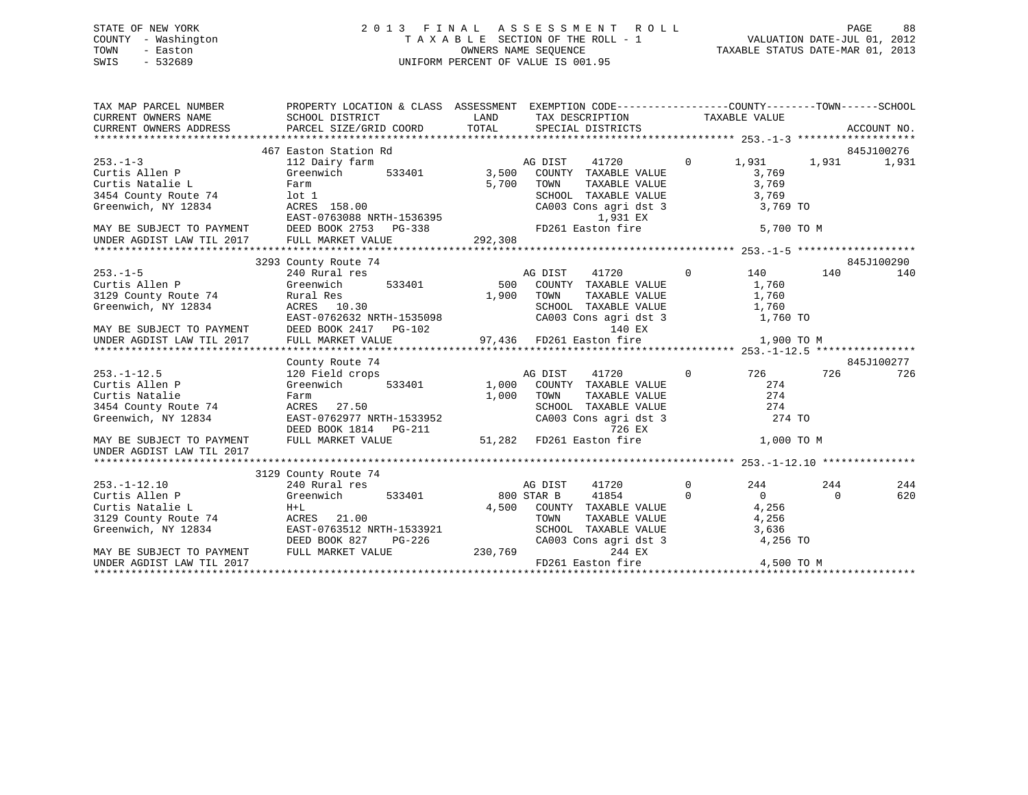# STATE OF NEW YORK 2 0 1 3 F I N A L A S S E S S M E N T R O L L PAGE 88 COUNTY - Washington T A X A B L E SECTION OF THE ROLL - 1 VALUATION DATE-JUL 01, 2012 TOWN - Easton **CONNERS NAME SEQUENCE** TAXABLE STATUS DATE-MAR 01, 2013 SWIS - 532689 UNIFORM PERCENT OF VALUE IS 001.95

| 467 Easton Station Rd<br>845J100276<br>$253 - 1 - 3$<br>$\Omega$<br>112 Dairy farm<br>AG DIST<br>41720<br>1,931<br>1,931<br>1,931<br>3,500<br>533401<br>Greenwich<br>COUNTY TAXABLE VALUE<br>3,769<br>Curtis Allen P<br>5,700<br>TAXABLE VALUE<br>3,769<br>Curtis Natalie L<br>TOWN<br>Farm<br>3454 County Route 74<br>lot 1<br>SCHOOL TAXABLE VALUE<br>3,769<br>Greenwich, NY 12834<br>ACRES 158.00<br>3,769 TO<br>CA003 Cons agri dst 3<br>EAST-0763088 NRTH-1536395<br>1,931 EX<br>MAY BE SUBJECT TO PAYMENT DEED BOOK 2753 PG-338<br>FD261 Easton fire<br>5,700 TO M<br>UNDER AGDIST LAW TIL 2017<br>FULL MARKET VALUE<br>292,308<br>845J100290<br>3293 County Route 74<br>$\Omega$<br>$253. - 1 - 5$<br>240 Rural res<br>AG DIST<br>41720<br>140<br>140<br>140<br>Curtis Allen P<br>Greenwich<br>533401<br>500<br>COUNTY TAXABLE VALUE<br>1,760<br>3129 County Route 74<br>TAXABLE VALUE<br>1,760<br>Rural Res<br>1,900<br>TOWN<br>Greenwich, NY 12834<br>ACRES 10.30<br>SCHOOL TAXABLE VALUE<br>1,760<br>EAST-0762632 NRTH-1535098<br>CA003 Cons agri dst 3<br>1,760 TO<br>MAY BE SUBJECT TO PAYMENT<br>UNDER AGDIST LAW TIL 2017<br>DEED BOOK 2417 PG-102<br>140 EX<br>97,436 FD261 Easton fire<br>FULL MARKET VALUE<br>1,900 TO M<br>845J100277<br>County Route 74<br>41720<br>$\Omega$<br>726<br>$253. - 1 - 12.5$<br>120 Field crops<br>AG DIST<br>726 —<br>726<br>Curtis Allen P<br>274<br>Greenwich<br>533401<br>1,000<br>COUNTY TAXABLE VALUE<br>274<br>Curtis Natalie<br>1,000<br>TAXABLE VALUE<br>Farm<br>TOWN<br>274<br>ACRES 27.50<br>SCHOOL TAXABLE VALUE<br>3454 County Route 74<br>Greenwich, NY 12834<br>EAST-0762977 NRTH-1533952<br>CA003 Cons agri dst 3<br>274 TO |
|--------------------------------------------------------------------------------------------------------------------------------------------------------------------------------------------------------------------------------------------------------------------------------------------------------------------------------------------------------------------------------------------------------------------------------------------------------------------------------------------------------------------------------------------------------------------------------------------------------------------------------------------------------------------------------------------------------------------------------------------------------------------------------------------------------------------------------------------------------------------------------------------------------------------------------------------------------------------------------------------------------------------------------------------------------------------------------------------------------------------------------------------------------------------------------------------------------------------------------------------------------------------------------------------------------------------------------------------------------------------------------------------------------------------------------------------------------------------------------------------------------------------------------------------------------------------------------------------------------------------------------------------------------------------------------------------|
|                                                                                                                                                                                                                                                                                                                                                                                                                                                                                                                                                                                                                                                                                                                                                                                                                                                                                                                                                                                                                                                                                                                                                                                                                                                                                                                                                                                                                                                                                                                                                                                                                                                                                            |
|                                                                                                                                                                                                                                                                                                                                                                                                                                                                                                                                                                                                                                                                                                                                                                                                                                                                                                                                                                                                                                                                                                                                                                                                                                                                                                                                                                                                                                                                                                                                                                                                                                                                                            |
|                                                                                                                                                                                                                                                                                                                                                                                                                                                                                                                                                                                                                                                                                                                                                                                                                                                                                                                                                                                                                                                                                                                                                                                                                                                                                                                                                                                                                                                                                                                                                                                                                                                                                            |
|                                                                                                                                                                                                                                                                                                                                                                                                                                                                                                                                                                                                                                                                                                                                                                                                                                                                                                                                                                                                                                                                                                                                                                                                                                                                                                                                                                                                                                                                                                                                                                                                                                                                                            |
|                                                                                                                                                                                                                                                                                                                                                                                                                                                                                                                                                                                                                                                                                                                                                                                                                                                                                                                                                                                                                                                                                                                                                                                                                                                                                                                                                                                                                                                                                                                                                                                                                                                                                            |
|                                                                                                                                                                                                                                                                                                                                                                                                                                                                                                                                                                                                                                                                                                                                                                                                                                                                                                                                                                                                                                                                                                                                                                                                                                                                                                                                                                                                                                                                                                                                                                                                                                                                                            |
|                                                                                                                                                                                                                                                                                                                                                                                                                                                                                                                                                                                                                                                                                                                                                                                                                                                                                                                                                                                                                                                                                                                                                                                                                                                                                                                                                                                                                                                                                                                                                                                                                                                                                            |
|                                                                                                                                                                                                                                                                                                                                                                                                                                                                                                                                                                                                                                                                                                                                                                                                                                                                                                                                                                                                                                                                                                                                                                                                                                                                                                                                                                                                                                                                                                                                                                                                                                                                                            |
|                                                                                                                                                                                                                                                                                                                                                                                                                                                                                                                                                                                                                                                                                                                                                                                                                                                                                                                                                                                                                                                                                                                                                                                                                                                                                                                                                                                                                                                                                                                                                                                                                                                                                            |
|                                                                                                                                                                                                                                                                                                                                                                                                                                                                                                                                                                                                                                                                                                                                                                                                                                                                                                                                                                                                                                                                                                                                                                                                                                                                                                                                                                                                                                                                                                                                                                                                                                                                                            |
|                                                                                                                                                                                                                                                                                                                                                                                                                                                                                                                                                                                                                                                                                                                                                                                                                                                                                                                                                                                                                                                                                                                                                                                                                                                                                                                                                                                                                                                                                                                                                                                                                                                                                            |
|                                                                                                                                                                                                                                                                                                                                                                                                                                                                                                                                                                                                                                                                                                                                                                                                                                                                                                                                                                                                                                                                                                                                                                                                                                                                                                                                                                                                                                                                                                                                                                                                                                                                                            |
|                                                                                                                                                                                                                                                                                                                                                                                                                                                                                                                                                                                                                                                                                                                                                                                                                                                                                                                                                                                                                                                                                                                                                                                                                                                                                                                                                                                                                                                                                                                                                                                                                                                                                            |
|                                                                                                                                                                                                                                                                                                                                                                                                                                                                                                                                                                                                                                                                                                                                                                                                                                                                                                                                                                                                                                                                                                                                                                                                                                                                                                                                                                                                                                                                                                                                                                                                                                                                                            |
|                                                                                                                                                                                                                                                                                                                                                                                                                                                                                                                                                                                                                                                                                                                                                                                                                                                                                                                                                                                                                                                                                                                                                                                                                                                                                                                                                                                                                                                                                                                                                                                                                                                                                            |
|                                                                                                                                                                                                                                                                                                                                                                                                                                                                                                                                                                                                                                                                                                                                                                                                                                                                                                                                                                                                                                                                                                                                                                                                                                                                                                                                                                                                                                                                                                                                                                                                                                                                                            |
|                                                                                                                                                                                                                                                                                                                                                                                                                                                                                                                                                                                                                                                                                                                                                                                                                                                                                                                                                                                                                                                                                                                                                                                                                                                                                                                                                                                                                                                                                                                                                                                                                                                                                            |
|                                                                                                                                                                                                                                                                                                                                                                                                                                                                                                                                                                                                                                                                                                                                                                                                                                                                                                                                                                                                                                                                                                                                                                                                                                                                                                                                                                                                                                                                                                                                                                                                                                                                                            |
|                                                                                                                                                                                                                                                                                                                                                                                                                                                                                                                                                                                                                                                                                                                                                                                                                                                                                                                                                                                                                                                                                                                                                                                                                                                                                                                                                                                                                                                                                                                                                                                                                                                                                            |
|                                                                                                                                                                                                                                                                                                                                                                                                                                                                                                                                                                                                                                                                                                                                                                                                                                                                                                                                                                                                                                                                                                                                                                                                                                                                                                                                                                                                                                                                                                                                                                                                                                                                                            |
|                                                                                                                                                                                                                                                                                                                                                                                                                                                                                                                                                                                                                                                                                                                                                                                                                                                                                                                                                                                                                                                                                                                                                                                                                                                                                                                                                                                                                                                                                                                                                                                                                                                                                            |
|                                                                                                                                                                                                                                                                                                                                                                                                                                                                                                                                                                                                                                                                                                                                                                                                                                                                                                                                                                                                                                                                                                                                                                                                                                                                                                                                                                                                                                                                                                                                                                                                                                                                                            |
|                                                                                                                                                                                                                                                                                                                                                                                                                                                                                                                                                                                                                                                                                                                                                                                                                                                                                                                                                                                                                                                                                                                                                                                                                                                                                                                                                                                                                                                                                                                                                                                                                                                                                            |
|                                                                                                                                                                                                                                                                                                                                                                                                                                                                                                                                                                                                                                                                                                                                                                                                                                                                                                                                                                                                                                                                                                                                                                                                                                                                                                                                                                                                                                                                                                                                                                                                                                                                                            |
| DEED BOOK 1814    PG-211<br>726 EX                                                                                                                                                                                                                                                                                                                                                                                                                                                                                                                                                                                                                                                                                                                                                                                                                                                                                                                                                                                                                                                                                                                                                                                                                                                                                                                                                                                                                                                                                                                                                                                                                                                         |
| 51,282 FD261 Easton fire<br>FULL MARKET VALUE<br>1,000 TO M<br>MAY BE SUBJECT TO PAYMENT                                                                                                                                                                                                                                                                                                                                                                                                                                                                                                                                                                                                                                                                                                                                                                                                                                                                                                                                                                                                                                                                                                                                                                                                                                                                                                                                                                                                                                                                                                                                                                                                   |
| UNDER AGDIST LAW TIL 2017                                                                                                                                                                                                                                                                                                                                                                                                                                                                                                                                                                                                                                                                                                                                                                                                                                                                                                                                                                                                                                                                                                                                                                                                                                                                                                                                                                                                                                                                                                                                                                                                                                                                  |
|                                                                                                                                                                                                                                                                                                                                                                                                                                                                                                                                                                                                                                                                                                                                                                                                                                                                                                                                                                                                                                                                                                                                                                                                                                                                                                                                                                                                                                                                                                                                                                                                                                                                                            |
| 3129 County Route 74                                                                                                                                                                                                                                                                                                                                                                                                                                                                                                                                                                                                                                                                                                                                                                                                                                                                                                                                                                                                                                                                                                                                                                                                                                                                                                                                                                                                                                                                                                                                                                                                                                                                       |
| 41720<br>$\mathbf 0$<br>244<br>244<br>$253. - 1 - 12.10$<br>240 Rural res<br>AG DIST<br>244                                                                                                                                                                                                                                                                                                                                                                                                                                                                                                                                                                                                                                                                                                                                                                                                                                                                                                                                                                                                                                                                                                                                                                                                                                                                                                                                                                                                                                                                                                                                                                                                |
| 41854<br>Curtis Allen P<br>$\Omega$<br>Greenwich<br>533401<br>800 STAR B<br>$\Omega$<br>620<br>$\Omega$                                                                                                                                                                                                                                                                                                                                                                                                                                                                                                                                                                                                                                                                                                                                                                                                                                                                                                                                                                                                                                                                                                                                                                                                                                                                                                                                                                                                                                                                                                                                                                                    |
| Curtis Natalie L<br>COUNTY TAXABLE VALUE<br>4,256<br>$H+L$<br>4,500                                                                                                                                                                                                                                                                                                                                                                                                                                                                                                                                                                                                                                                                                                                                                                                                                                                                                                                                                                                                                                                                                                                                                                                                                                                                                                                                                                                                                                                                                                                                                                                                                        |
| 3129 County Route 74<br>4,256<br>ACRES 21.00<br>TOWN<br>TAXABLE VALUE                                                                                                                                                                                                                                                                                                                                                                                                                                                                                                                                                                                                                                                                                                                                                                                                                                                                                                                                                                                                                                                                                                                                                                                                                                                                                                                                                                                                                                                                                                                                                                                                                      |
| Greenwich, NY 12834<br>EAST-0763512 NRTH-1533921<br>SCHOOL TAXABLE VALUE<br>3,636                                                                                                                                                                                                                                                                                                                                                                                                                                                                                                                                                                                                                                                                                                                                                                                                                                                                                                                                                                                                                                                                                                                                                                                                                                                                                                                                                                                                                                                                                                                                                                                                          |
| CA003 Cons agri dst 3<br>4,256 TO<br>DEED BOOK 827<br>PG-226                                                                                                                                                                                                                                                                                                                                                                                                                                                                                                                                                                                                                                                                                                                                                                                                                                                                                                                                                                                                                                                                                                                                                                                                                                                                                                                                                                                                                                                                                                                                                                                                                               |
| 230,769<br>FULL MARKET VALUE<br>244 EX<br>MAY BE SUBJECT TO PAYMENT                                                                                                                                                                                                                                                                                                                                                                                                                                                                                                                                                                                                                                                                                                                                                                                                                                                                                                                                                                                                                                                                                                                                                                                                                                                                                                                                                                                                                                                                                                                                                                                                                        |
| FD261 Easton fire<br>4,500 TO M<br>UNDER AGDIST LAW TIL 2017                                                                                                                                                                                                                                                                                                                                                                                                                                                                                                                                                                                                                                                                                                                                                                                                                                                                                                                                                                                                                                                                                                                                                                                                                                                                                                                                                                                                                                                                                                                                                                                                                               |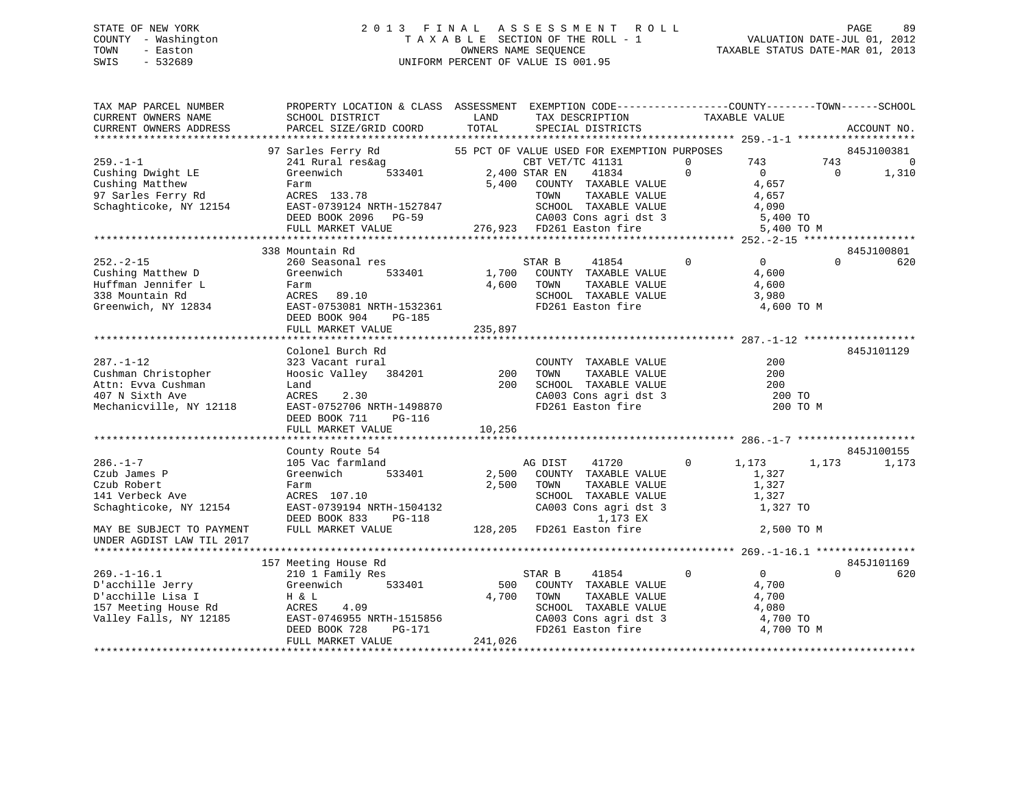# STATE OF NEW YORK 2 0 1 3 F I N A L A S S E S S M E N T R O L L PAGE 89 COUNTY - Washington T A X A B L E SECTION OF THE ROLL - 1 VALUATION DATE-JUL 01, 2012 TOWN - Easton OWNERS NAME SEQUENCE TAXABLE STATUS DATE-MAR 01, 2013 SWIS - 532689 UNIFORM PERCENT OF VALUE IS 001.95

TAX MAP PARCEL NUMBER PROPERTY LOCATION & CLASS ASSESSMENT EXEMPTION CODE------------------COUNTY--------TOWN------SCHOOL CURRENT OWNERS NAME SCHOOL DISTRICT LAND TAX DESCRIPTION TAXABLE VALUE CURRENT OWNERS ADDRESS PARCEL SIZE/GRID COORD TOTAL SPECIAL DISTRICTS ACCOUNT NO. \*\*\*\*\*\*\*\*\*\*\*\*\*\*\*\*\*\*\*\*\*\*\*\*\*\*\*\*\*\*\*\*\*\*\*\*\*\*\*\*\*\*\*\*\*\*\*\*\*\*\*\*\*\*\*\*\*\*\*\*\*\*\*\*\*\*\*\*\*\*\*\*\*\*\*\*\*\*\*\*\*\*\*\*\*\*\*\*\*\*\*\*\*\*\*\*\*\*\*\*\*\*\* 259.-1-1 \*\*\*\*\*\*\*\*\*\*\*\*\*\*\*\*\*\*\*97 Sarles Ferry Rd 55 PCT OF VALUE USED FOR EXEMPTION PURPOSES 845J100381 259.-1-1 241 Rural res&ag CBT VET/TC 41131 0 743 743 0 Cushing Dwight LE Greenwich 533401 2,400 STAR EN 41834 0 0 0 1,310 Cushing Matthew Farm 5,400 COUNTY TAXABLE VALUE 4,657 97 Sarles Ferry Rd ACRES 133.78 TOWN TAXABLE VALUE 4,657 Schaghticoke, NY 12154 EAST-0739124 NRTH-1527847 SCHOOL TAXABLE VALUE 4,090 DEED BOOK 2096 PG-59 CA003 Cons agri dst 3 5,400 TO FULL MARKET VALUE 276,923 FD261 Easton fire 5,400 TO M \*\*\*\*\*\*\*\*\*\*\*\*\*\*\*\*\*\*\*\*\*\*\*\*\*\*\*\*\*\*\*\*\*\*\*\*\*\*\*\*\*\*\*\*\*\*\*\*\*\*\*\*\*\*\*\*\*\*\*\*\*\*\*\*\*\*\*\*\*\*\*\*\*\*\*\*\*\*\*\*\*\*\*\*\*\*\*\*\*\*\*\*\*\*\*\*\*\*\*\*\*\*\* 252.-2-15 \*\*\*\*\*\*\*\*\*\*\*\*\*\*\*\*\*\*845J100801 338 Mountain Rd 845J100801252.-2-15 260 Seasonal res STAR B 41854 0 0 0 620Cushing Matthew D Greenwich 533401 1,700 COUNTY TAXABLE VALUE 4,600 Huffman Jennifer L Farm 4,600 TOWN TAXABLE VALUE 4,600 338 Mountain Rd ACRES 89.10 SCHOOL TAXABLE VALUE 3,980 Greenwich, NY 12834 EAST-0753081 NRTH-1532361 FD261 Easton fire 4,600 TO M DEED BOOK 904 PG-185 EAST-0753081 NKIR-19991.<br>DEED BOOK 904 PG-185<br>FULL MARKET VALUE 235,897 \*\*\*\*\*\*\*\*\*\*\*\*\*\*\*\*\*\*\*\*\*\*\*\*\*\*\*\*\*\*\*\*\*\*\*\*\*\*\*\*\*\*\*\*\*\*\*\*\*\*\*\*\*\*\*\*\*\*\*\*\*\*\*\*\*\*\*\*\*\*\*\*\*\*\*\*\*\*\*\*\*\*\*\*\*\*\*\*\*\*\*\*\*\*\*\*\*\*\*\*\*\*\* 287.-1-12 \*\*\*\*\*\*\*\*\*\*\*\*\*\*\*\*\*\* Colonel Burch Rd 845J101129287.-1-12 323 Vacant rural COUNTY TAXABLE VALUE 200Cushman Christopher Hoosic Valley 384201 200 TOWN TAXABLE VALUE 200 Attn: Evva Cushman Land 200 SCHOOL TAXABLE VALUE 200407 N Sixth Ave ACRES 2.30 CA003 Cons agri dst 3 200 TO Mechanicville, NY 12118 EAST-0752706 NRTH-1498870 FD261 Easton fire 200 TO M DEED BOOK 711 PG-116 FULL MARKET VALUE 10,256 \*\*\*\*\*\*\*\*\*\*\*\*\*\*\*\*\*\*\*\*\*\*\*\*\*\*\*\*\*\*\*\*\*\*\*\*\*\*\*\*\*\*\*\*\*\*\*\*\*\*\*\*\*\*\*\*\*\*\*\*\*\*\*\*\*\*\*\*\*\*\*\*\*\*\*\*\*\*\*\*\*\*\*\*\*\*\*\*\*\*\*\*\*\*\*\*\*\*\*\*\*\*\* 286.-1-7 \*\*\*\*\*\*\*\*\*\*\*\*\*\*\*\*\*\*\* County Route 54 845J100155 286.-1-7 105 Vac farmland AG DIST 41720 0 1,173 1,173 1,173 Czub James P Greenwich 533401 2,500 COUNTY TAXABLE VALUE 1,327 Czub Robert Farm 2,500 TOWN TAXABLE VALUE 1,327 141 Verbeck Ave ACRES 107.10 SCHOOL TAXABLE VALUE 1,327 Schaghticoke, NY 12154 EAST-0739194 NRTH-1504132 CA003 Cons agri dst 3 1,327 TO DEED BOOK 833 PG-118 1,173 EX MAY BE SUBJECT TO PAYMENT FULL MARKET VALUE 128,205 FD261 Easton fire 2,500 TO M UNDER AGDIST LAW TIL 2017 \*\*\*\*\*\*\*\*\*\*\*\*\*\*\*\*\*\*\*\*\*\*\*\*\*\*\*\*\*\*\*\*\*\*\*\*\*\*\*\*\*\*\*\*\*\*\*\*\*\*\*\*\*\*\*\*\*\*\*\*\*\*\*\*\*\*\*\*\*\*\*\*\*\*\*\*\*\*\*\*\*\*\*\*\*\*\*\*\*\*\*\*\*\*\*\*\*\*\*\*\*\*\* 269.-1-16.1 \*\*\*\*\*\*\*\*\*\*\*\*\*\*\*\* 157 Meeting House Rd 845J101169 269.-1-16.1 210 1 Family Res STAR B 41854 0 0 0 620 D'acchille Jerry Greenwich 533401 500 COUNTY TAXABLE VALUE 4,700 D'acchille Lisa I H & L 4,700 TOWN TAXABLE VALUE 4,700 157 Meeting House Rd ACRES 4.09 SCHOOL TAXABLE VALUE 4,080 Valley Falls, NY 12185 EAST-0746955 NRTH-1515856 CA003 Cons agri dst 3 4,700 TO DEED BOOK 728 PG-171 FD261 Easton fire 4,700 TO M FULL MARKET VALUE 241,026 \*\*\*\*\*\*\*\*\*\*\*\*\*\*\*\*\*\*\*\*\*\*\*\*\*\*\*\*\*\*\*\*\*\*\*\*\*\*\*\*\*\*\*\*\*\*\*\*\*\*\*\*\*\*\*\*\*\*\*\*\*\*\*\*\*\*\*\*\*\*\*\*\*\*\*\*\*\*\*\*\*\*\*\*\*\*\*\*\*\*\*\*\*\*\*\*\*\*\*\*\*\*\*\*\*\*\*\*\*\*\*\*\*\*\*\*\*\*\*\*\*\*\*\*\*\*\*\*\*\*\*\*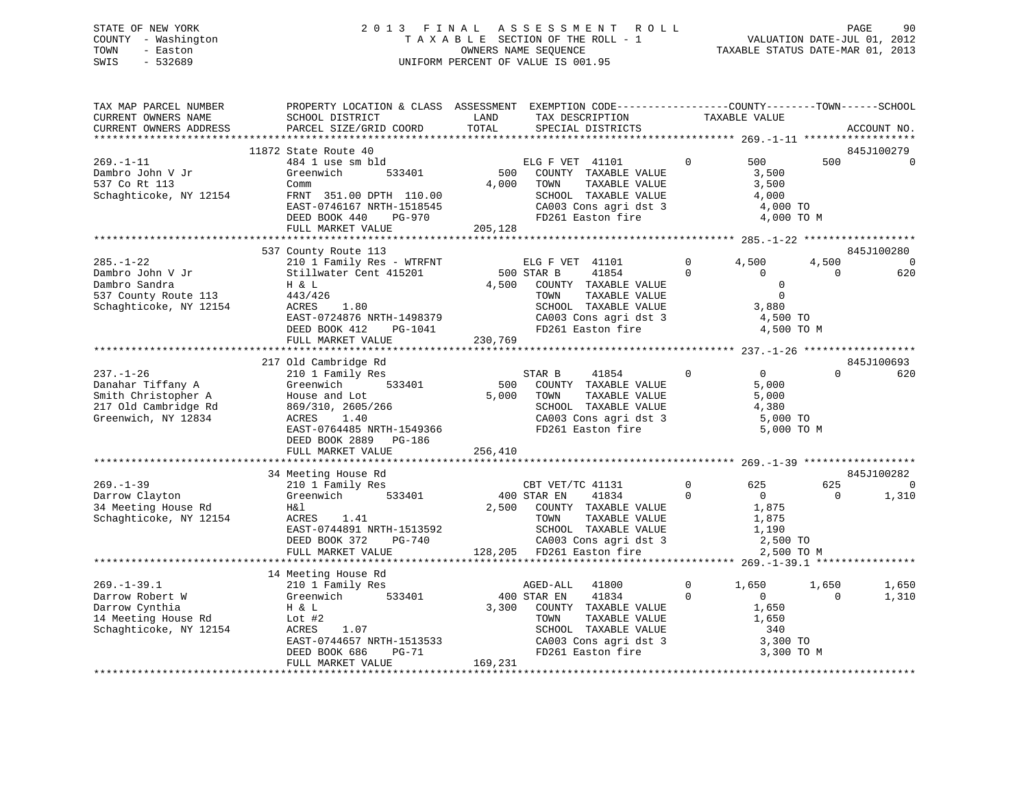# STATE OF NEW YORK 2 0 1 3 F I N A L A S S E S S M E N T R O L L PAGE 90 COUNTY - Washington T A X A B L E SECTION OF THE ROLL - 1 VALUATION DATE-JUL 01, 2012 TOWN - Easton COMPUTERS NAME SEQUENCE TAXABLE STATUS DATE-MAR 01, 2013<br>SWIS - 532689 SWIS - 532689 UNIFORM PERCENT OF VALUE IS 001.95

| TAX MAP PARCEL NUMBER<br>CURRENT OWNERS NAME<br>CURRENT OWNERS ADDRESS                                     | SCHOOL DISTRICT<br>PARCEL SIZE/GRID COORD                                                                                                                                                            | PROPERTY LOCATION & CLASS ASSESSMENT EXEMPTION CODE----------------COUNTY-------TOWN------SCHOOL<br>LAND<br>TAX DESCRIPTION<br>TOTAL<br>SPECIAL DISTRICTS                         | TAXABLE VALUE                                                                                               | ACCOUNT NO.                     |                      |
|------------------------------------------------------------------------------------------------------------|------------------------------------------------------------------------------------------------------------------------------------------------------------------------------------------------------|-----------------------------------------------------------------------------------------------------------------------------------------------------------------------------------|-------------------------------------------------------------------------------------------------------------|---------------------------------|----------------------|
| *************************                                                                                  |                                                                                                                                                                                                      |                                                                                                                                                                                   |                                                                                                             |                                 |                      |
| $269. -1 - 11$<br>Dambro John V Jr<br>537 Co Rt 113<br>Schaghticoke, NY 12154                              | 11872 State Route 40<br>484 1 use sm bld<br>Greenwich<br>533401<br>Comm<br>FRNT 351.00 DPTH 110.00<br>EAST-0746167 NRTH-1518545<br>DEED BOOK 440<br>PG-970<br>FULL MARKET VALUE                      | ELG F VET 41101<br>500<br>COUNTY TAXABLE VALUE<br>4,000<br>TOWN<br>TAXABLE VALUE<br>SCHOOL TAXABLE VALUE<br>CA003 Cons agri dst 3<br>FD261 Easton fire<br>205,128                 | $\Omega$<br>500<br>3,500<br>3,500<br>4,000<br>4,000 TO<br>4,000 TO M                                        | 845J100279<br>500               | $\Omega$             |
|                                                                                                            |                                                                                                                                                                                                      |                                                                                                                                                                                   |                                                                                                             |                                 |                      |
| $285. - 1 - 22$<br>Dambro John V Jr<br>Dambro Sandra<br>537 County Route 113<br>Schaghticoke, NY 12154     | 537 County Route 113<br>210 1 Family Res - WTRFNT<br>Stillwater Cent 415201<br>H & L<br>443/426<br>ACRES<br>1.80<br>EAST-0724876 NRTH-1498379<br>DEED BOOK 412<br>PG-1041<br>FULL MARKET VALUE       | ELG F VET 41101<br>500 STAR B<br>41854<br>4,500<br>COUNTY TAXABLE VALUE<br>TOWN<br>TAXABLE VALUE<br>SCHOOL TAXABLE VALUE<br>CA003 Cons agri dst 3<br>FD261 Easton fire<br>230,769 | $\Omega$<br>4,500<br>$\Omega$<br>$\mathbf{0}$<br>$\mathbf 0$<br>$\Omega$<br>3,880<br>4,500 TO<br>4,500 TO M | 845J100280<br>4,500<br>$\Omega$ | $\Omega$<br>620      |
|                                                                                                            |                                                                                                                                                                                                      |                                                                                                                                                                                   |                                                                                                             |                                 |                      |
| $237. - 1 - 26$<br>Danahar Tiffany A<br>Smith Christopher A<br>217 Old Cambridge Rd<br>Greenwich, NY 12834 | 217 Old Cambridge Rd<br>210 1 Family Res<br>Greenwich<br>533401<br>House and Lot<br>869/310, 2605/266<br>ACRES<br>1.40<br>EAST-0764485 NRTH-1549366<br>DEED BOOK 2889<br>PG-186<br>FULL MARKET VALUE | STAR B<br>41854<br>500<br>COUNTY TAXABLE VALUE<br>5,000<br>TOWN<br>TAXABLE VALUE<br>SCHOOL TAXABLE VALUE<br>CA003 Cons agri dst 3<br>FD261 Easton fire<br>256,410                 | $\mathbf 0$<br>$0 \qquad \qquad$<br>5,000<br>5,000<br>4,380<br>5,000 TO<br>5,000 TO M                       | 845J100693<br>$\cap$            | 620                  |
|                                                                                                            |                                                                                                                                                                                                      |                                                                                                                                                                                   |                                                                                                             |                                 |                      |
| $269. -1 - 39$<br>Darrow Clayton<br>34 Meeting House Rd<br>Schaghticoke, NY 12154                          | 34 Meeting House Rd<br>210 1 Family Res<br>533401<br>Greenwich<br>H&l<br>ACRES<br>1.41<br>EAST-0744891 NRTH-1513592<br>DEED BOOK 372<br>PG-740<br>FULL MARKET VALUE                                  | CBT VET/TC 41131<br>400 STAR EN<br>41834<br>2,500<br>COUNTY TAXABLE VALUE<br>TOWN<br>TAXABLE VALUE<br>SCHOOL TAXABLE VALUE<br>CA003 Cons agri dst 3<br>128,205 FD261 Easton fire  | 625<br>0<br>$\Omega$<br>$\overline{0}$<br>1,875<br>1,875<br>1,190<br>2,500 TO<br>2,500 TO M                 | 845J100282<br>625<br>$\Omega$   | $\mathbf 0$<br>1,310 |
|                                                                                                            |                                                                                                                                                                                                      |                                                                                                                                                                                   |                                                                                                             |                                 |                      |
| $269. - 1 - 39.1$<br>Darrow Robert W<br>Darrow Cynthia<br>14 Meeting House Rd<br>Schaghticoke, NY 12154    | 14 Meeting House Rd<br>210 1 Family Res<br>Greenwich<br>533401<br>H & L<br>Lot #2<br>ACRES<br>1.07<br>EAST-0744657 NRTH-1513533<br>DEED BOOK 686<br>PG-71                                            | AGED-ALL<br>41800<br>400 STAR EN<br>41834<br>3,300<br>COUNTY TAXABLE VALUE<br>TOWN<br>TAXABLE VALUE<br>SCHOOL TAXABLE VALUE<br>CA003 Cons agri dst 3<br>FD261 Easton fire         | $\mathbf{0}$<br>1,650<br>$\Omega$<br>$\overline{0}$<br>1,650<br>1,650<br>340<br>3,300 TO<br>3,300 TO M      | 1,650<br>$\Omega$               | 1,650<br>1,310       |
|                                                                                                            | FULL MARKET VALUE                                                                                                                                                                                    | 169,231                                                                                                                                                                           |                                                                                                             |                                 |                      |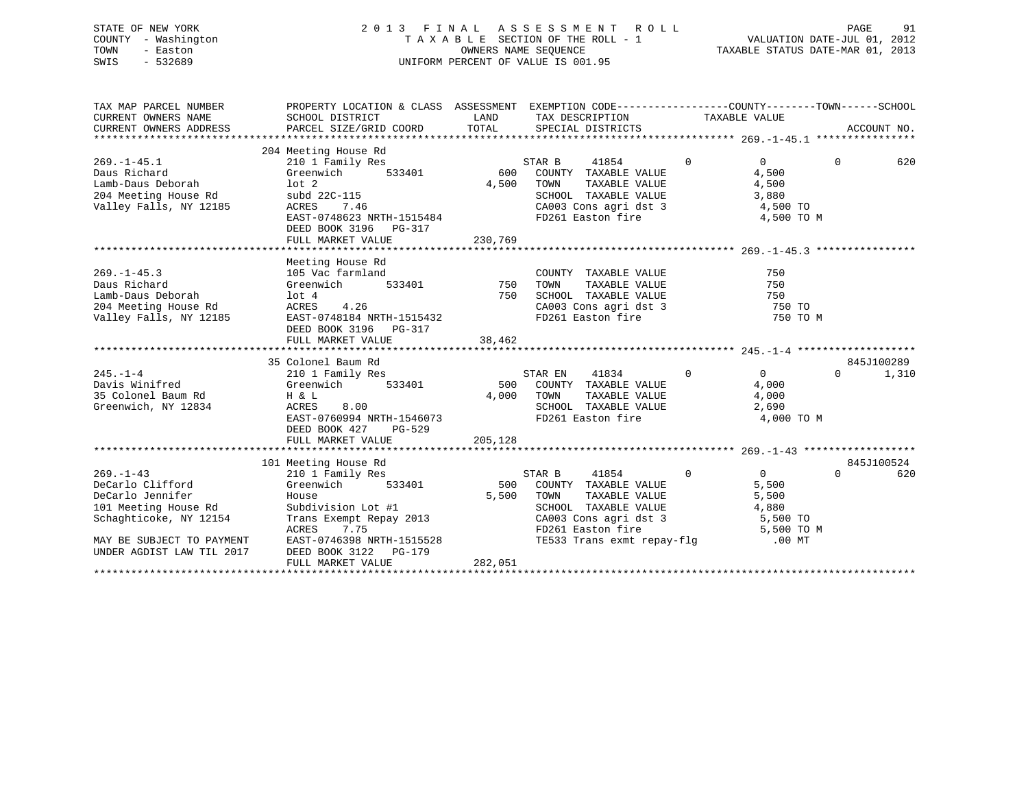# STATE OF NEW YORK 2 0 1 3 F I N A L A S S E S S M E N T R O L L PAGE 91 COUNTY - Washington T A X A B L E SECTION OF THE ROLL - 1 VALUATION DATE-JUL 01, 2012 TOWN - Easton OWNERS NAME SEQUENCE TAXABLE STATUS DATE-MAR 01, 2013 SWIS - 532689 UNIFORM PERCENT OF VALUE IS 001.95

| TAX MAP PARCEL NUMBER<br>CURRENT OWNERS NAME<br>CURRENT OWNERS ADDRESS                                                                                              | PROPERTY LOCATION & CLASS ASSESSMENT EXEMPTION CODE----------------COUNTY-------TOWN-----SCHOOL<br>SCHOOL DISTRICT                                                                                                       | LAND                    | TAX DESCRIPTION TAXABLE VALUE                                                                                                                                                                                    |                |                                                         |          |                     |
|---------------------------------------------------------------------------------------------------------------------------------------------------------------------|--------------------------------------------------------------------------------------------------------------------------------------------------------------------------------------------------------------------------|-------------------------|------------------------------------------------------------------------------------------------------------------------------------------------------------------------------------------------------------------|----------------|---------------------------------------------------------|----------|---------------------|
| $269. - 1 - 45.1$<br>Daus Richard<br>Lamb-Daus Deborah<br>204 Meeting House Rd<br>Valley Falls, NY 12185                                                            | 204 Meeting House Rd<br>210 1 Family Res<br>s<br>533401<br>Greenwich<br>$1$ ot $2$<br>subd 22C-115<br>ACRES<br>7.46<br>EAST-0748623 NRTH-1515484<br>DEED BOOK 3196 PG-317                                                | S1<br>600<br>4,500      | STAR B<br>41854<br>COUNTY TAXABLE VALUE<br>TAXABLE VALUE<br>TOWN<br>SCHOOL TAXABLE VALUE<br>CA003 Cons agri dst 3 $\begin{array}{ccc} 4,500 \text{ TO} \ -2,50 & -1 \end{array}$<br>FD261 Easton fire            | $\overline{0}$ | $\Omega$<br>4,500<br>4,500<br>3,880<br>4,500 TO M       | $\Omega$ | 620                 |
|                                                                                                                                                                     | FULL MARKET VALUE                                                                                                                                                                                                        | 230,769                 |                                                                                                                                                                                                                  |                |                                                         |          |                     |
| $269. -1 - 45.3$<br>Daus Richard<br>Lamb-Daus Deborah<br>204 Meeting House Rd                                                                                       | Meeting House Rd<br>105 Vac farmland<br>$533401$ 750<br>Greenwich<br>lot 4<br>750<br>lot 4<br>ACRES<br>4.26<br>valley Falls, NY 12185 EAST-0748184 NRTH-1515432<br>DEED BOOK 3196 PG-317                                 |                         | COUNTY TAXABLE VALUE<br>TAXABLE VALUE<br>TOWN<br>SCHOOL TAXABLE VALUE<br>CA003 Cons agri dst 3<br>FD261 Easton fire                                                                                              |                | 750<br>750<br>750<br>$750$ TO<br>750 TO M               |          |                     |
|                                                                                                                                                                     |                                                                                                                                                                                                                          |                         |                                                                                                                                                                                                                  |                |                                                         |          |                     |
| $245 - 1 - 4$<br>Davis Winifred<br>35 Colonel Baum Rd<br>Greenwich, NY 12834                                                                                        | 35 Colonel Baum Rd<br>210 1 Family Res<br>Greenwich<br>533401<br>$H$ & $L$<br>ACRES<br>8.00<br>EAST-0760994 NRTH-1546073<br>DEED BOOK 427<br>PG-529<br>FULL MARKET VALUE                                                 | 4,000<br>205,128        | $\overline{0}$<br>STAR EN<br>41834<br>500 COUNTY TAXABLE VALUE<br>FD261 Easton fire                                                                                                                              |                | $\overline{0}$<br>4,000<br>4,000<br>2,690<br>4,000 TO M | $\Omega$ | 845J100289<br>1,310 |
|                                                                                                                                                                     |                                                                                                                                                                                                                          |                         |                                                                                                                                                                                                                  |                |                                                         |          |                     |
| $269. - 1 - 43$<br>DeCarlo Clifford<br>DeCarlo Jennifer<br>101 Meeting House Rd<br>Schaghticoke, NY 12154<br>MAY BE SUBJECT TO PAYMENT<br>UNDER AGDIST LAW TIL 2017 | 101 Meeting House Rd<br>210 1 Family Res<br>533401<br>Greenwich<br>House<br>Subdivision Lot #1<br>Trans Exempt Repay 2013<br>ACRES<br>7.75<br>EAST-0746398 NRTH-1515528<br>DEED BOOK 3122<br>PG-179<br>FULL MARKET VALUE | 500<br>5,500<br>282,051 | $\overline{0}$<br>STAR B<br>41854<br>COUNTY TAXABLE VALUE<br>TAXABLE VALUE<br>TOWN<br>SCHOOL TAXABLE VALUE<br>CA003 Cons agri dst 3 5,500 TO<br>FD261 Easton fire 5,500 TO M<br>TE533 Trans exmt repay-flg 00 MT |                | $\Omega$<br>5,500<br>5,500<br>4,880                     | $\Omega$ | 845J100524<br>620   |
|                                                                                                                                                                     |                                                                                                                                                                                                                          |                         |                                                                                                                                                                                                                  |                |                                                         |          |                     |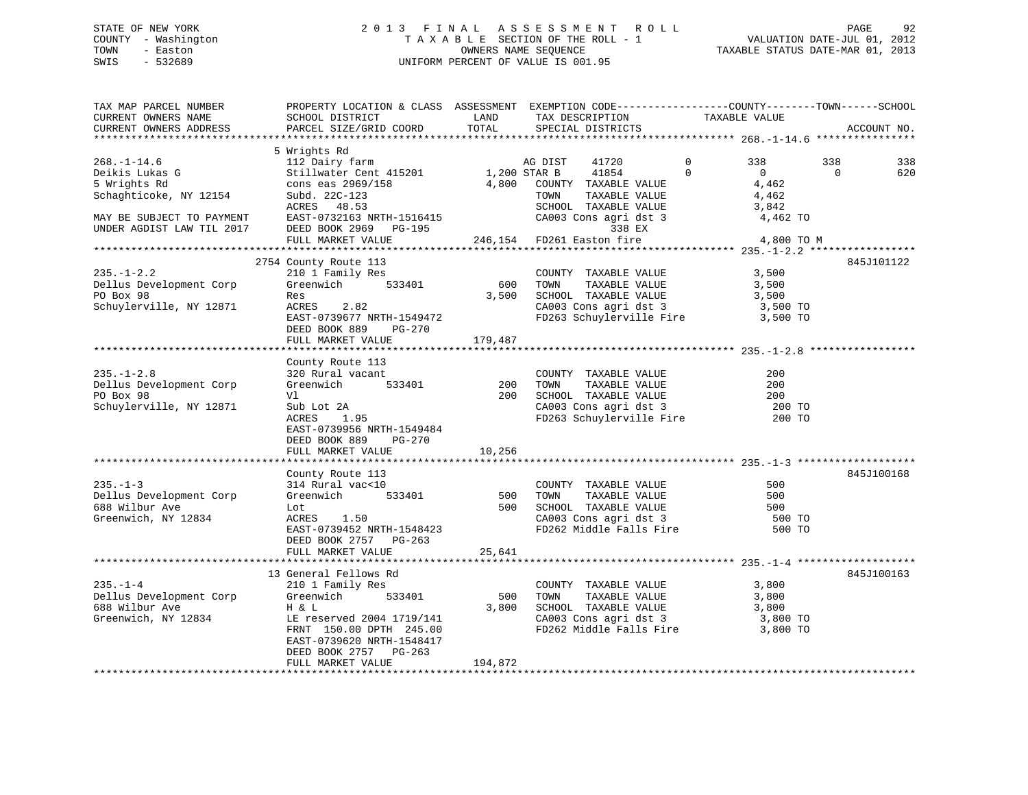# STATE OF NEW YORK 2013 FINAL ASSESSMENT ROLL PAGE 92 COUNTY - Washington  $T A X A B L E$  SECTION OF THE ROLL - 1<br>TOWN - Easton DATE-JUL 2001 OWNERS NAME SEQUENCE SWIS - 532689 UNIFORM PERCENT OF VALUE IS 001.95

TAXABLE STATUS DATE-MAR 01, 2013

| TAX MAP PARCEL NUMBER<br>CURRENT OWNERS NAME<br>CURRENT OWNERS ADDRESS                                                                  | PROPERTY LOCATION & CLASS ASSESSMENT EXEMPTION CODE----------------COUNTY-------TOWN------SCHOOL<br>SCHOOL DISTRICT<br>PARCEL SIZE/GRID COORD                                            | LAND<br>TOTAL           | TAX DESCRIPTION<br>SPECIAL DISTRICTS                                                                                                                               | TAXABLE VALUE                                                                                          |                 | ACCOUNT NO. |
|-----------------------------------------------------------------------------------------------------------------------------------------|------------------------------------------------------------------------------------------------------------------------------------------------------------------------------------------|-------------------------|--------------------------------------------------------------------------------------------------------------------------------------------------------------------|--------------------------------------------------------------------------------------------------------|-----------------|-------------|
|                                                                                                                                         |                                                                                                                                                                                          |                         |                                                                                                                                                                    |                                                                                                        |                 |             |
| $268. - 1 - 14.6$<br>Deikis Lukas G<br>5 Wrights Rd<br>Schaghticoke, NY 12154<br>MAY BE SUBJECT TO PAYMENT<br>UNDER AGDIST LAW TIL 2017 | 5 Wrights Rd<br>112 Dairy farm<br>Stillwater Cent 415201<br>cons eas 2969/158<br>Subd. 22C-123<br>ACRES 48.53<br>EAST-0732163 NRTH-1516415<br>DEED BOOK 2969 PG-195<br>FULL MARKET VALUE | 1,200 STAR B<br>4,800   | AG DIST<br>41720<br>41854<br>COUNTY TAXABLE VALUE<br>TOWN<br>TAXABLE VALUE<br>SCHOOL TAXABLE VALUE<br>CA003 Cons agri dst 3<br>338 EX<br>246,154 FD261 Easton fire | $\mathbf{0}$<br>338<br>$\Omega$<br>$\overline{0}$<br>4,462<br>4,462<br>3,842<br>4,462 TO<br>4,800 TO M | 338<br>$\Omega$ | 338<br>620  |
|                                                                                                                                         |                                                                                                                                                                                          |                         |                                                                                                                                                                    |                                                                                                        |                 |             |
| $235. - 1 - 2.2$<br>Dellus Development Corp<br>PO Box 98<br>Schuylerville, NY 12871                                                     | 2754 County Route 113<br>210 1 Family Res<br>Greenwich<br>533401<br>Res<br>2.82<br>ACRES<br>EAST-0739677 NRTH-1549472<br>DEED BOOK 889<br>PG-270<br>FULL MARKET VALUE                    | 600<br>3,500<br>179,487 | COUNTY TAXABLE VALUE<br>TOWN      TAXABLE VALUE<br>SCHOOL   TAXABLE VALUE<br>CA003 Cons agri dst 3<br>FD263 Schuylerville Fire 3,500 TO                            | 3,500<br>3,500<br>3,500<br>3,500 TO                                                                    |                 | 845J101122  |
|                                                                                                                                         | County Route 113                                                                                                                                                                         |                         |                                                                                                                                                                    |                                                                                                        |                 |             |
| $235. - 1 - 2.8$<br>Dellus Development Corp<br>PO Box 98<br>Schuylerville, NY 12871                                                     | 320 Rural vacant<br>533401<br>Greenwich<br>Vl<br>Sub Lot 2A<br>1.95<br>ACRES<br>EAST-0739956 NRTH-1549484<br>DEED BOOK 889<br>PG-270                                                     | 200<br>200              | COUNTY TAXABLE VALUE<br>TOWN<br>TAXABLE VALUE<br>SCHOOL TAXABLE VALUE<br>CA003 Cons agri dst 3<br>FD263 Schuylerville Fire                                         | 200<br>200<br>200<br>200 TO<br>200 TO                                                                  |                 |             |
|                                                                                                                                         | FULL MARKET VALUE                                                                                                                                                                        | 10,256                  |                                                                                                                                                                    |                                                                                                        |                 |             |
| $235. - 1 - 3$<br>Dellus Development Corp<br>688 Wilbur Ave<br>Greenwich, NY 12834                                                      | County Route 113<br>314 Rural vac<10<br>Greenwich<br>533401<br>Lot<br>ACRES<br>1.50                                                                                                      | 500<br>500              | COUNTY TAXABLE VALUE<br>TAXABLE VALUE<br>TOWN<br>SCHOOL TAXABLE VALUE<br>CA003 Cons agri dst 3                                                                     | 500<br>500<br>500<br>500 TO                                                                            |                 | 845J100168  |
|                                                                                                                                         | EAST-0739452 NRTH-1548423<br>DEED BOOK 2757 PG-263<br>FULL MARKET VALUE                                                                                                                  | 25,641                  | FD262 Middle Falls Fire                                                                                                                                            | 500 TO                                                                                                 |                 |             |
|                                                                                                                                         | 13 General Fellows Rd                                                                                                                                                                    |                         |                                                                                                                                                                    |                                                                                                        |                 | 845J100163  |
| $235. - 1 - 4$<br>Dellus Development Corp<br>688 Wilbur Ave<br>Greenwich, NY 12834                                                      | 210 1 Family Res<br>Greenwich<br>533401<br>H & L<br>LE reserved 2004 1719/141<br>FRNT 150.00 DPTH 245.00<br>EAST-0739620 NRTH-1548417<br>DEED BOOK 2757 PG-263                           | 500<br>3,800            | COUNTY TAXABLE VALUE<br>TOWN<br>TAXABLE VALUE<br>SCHOOL TAXABLE VALUE<br>CA003 Cons agri dst 3<br>FD262 Middle Falls Fire                                          | 3,800<br>3,800<br>3,800<br>3,800 TO<br>3,800 TO                                                        |                 |             |
|                                                                                                                                         | FULL MARKET VALUE                                                                                                                                                                        | 194,872                 |                                                                                                                                                                    |                                                                                                        |                 |             |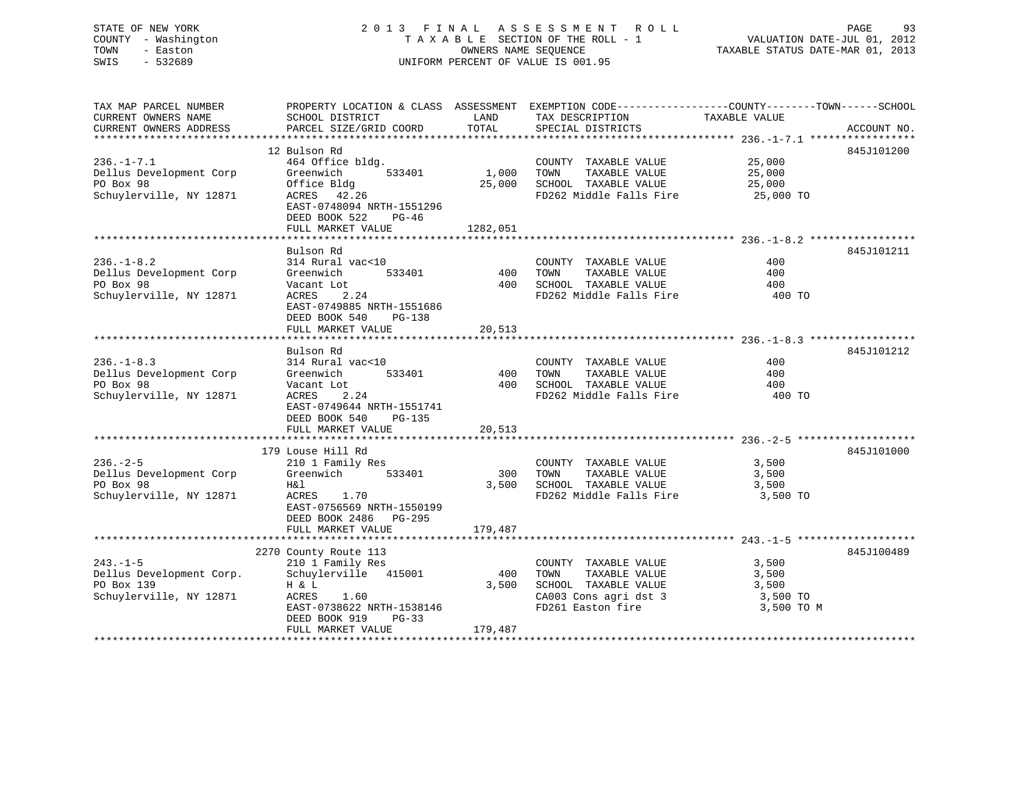# STATE OF NEW YORK 2013 FINAL ASSESSMENT ROLL PAGE 93 COUNTY - Washington  $T A X A B L E$  SECTION OF THE ROLL - 1<br>TOWN - Easton DATE-JUL 2001 OWNERS NAME SEQUENCE SWIS - 532689 UNIFORM PERCENT OF VALUE IS 001.95

TAXABLE STATUS DATE-MAR 01, 2013

| TAX MAP PARCEL NUMBER    |                                             |          | PROPERTY LOCATION & CLASS ASSESSMENT EXEMPTION CODE-----------------COUNTY-------TOWN------SCHOOL |               |             |
|--------------------------|---------------------------------------------|----------|---------------------------------------------------------------------------------------------------|---------------|-------------|
| CURRENT OWNERS NAME      | SCHOOL DISTRICT                             | LAND     | TAX DESCRIPTION                                                                                   | TAXABLE VALUE |             |
| CURRENT OWNERS ADDRESS   | PARCEL SIZE/GRID COORD                      | TOTAL    | SPECIAL DISTRICTS                                                                                 |               | ACCOUNT NO. |
|                          |                                             |          |                                                                                                   |               |             |
|                          | 12 Bulson Rd                                |          |                                                                                                   |               | 845J101200  |
| $236. - 1 - 7.1$         | 464 Office bldg.                            |          | COUNTY TAXABLE VALUE                                                                              | 25,000        |             |
| Dellus Development Corp  | 533401<br>Greenwich                         | 1,000    | TAXABLE VALUE<br>TOWN                                                                             | 25,000        |             |
| PO Box 98                | Office Bldg                                 | 25,000   | SCHOOL TAXABLE VALUE                                                                              | 25,000        |             |
| Schuylerville, NY 12871  | ACRES 42.26                                 |          | FD262 Middle Falls Fire                                                                           | 25,000 TO     |             |
|                          | EAST-0748094 NRTH-1551296                   |          |                                                                                                   |               |             |
|                          | DEED BOOK 522<br>PG-46                      |          |                                                                                                   |               |             |
|                          | FULL MARKET VALUE                           | 1282,051 |                                                                                                   |               |             |
|                          |                                             |          |                                                                                                   |               |             |
|                          | Bulson Rd                                   |          |                                                                                                   |               | 845J101211  |
| $236. - 1 - 8.2$         | 314 Rural vac<10                            |          | COUNTY TAXABLE VALUE                                                                              | 400           |             |
| Dellus Development Corp  | 533401<br>Greenwich                         | 400      | TAXABLE VALUE<br>TOWN                                                                             | 400           |             |
| PO Box 98                | Vacant Lot                                  |          | 400 SCHOOL TAXABLE VALUE                                                                          | 400           |             |
| Schuylerville, NY 12871  | ACRES<br>2.24                               |          | FD262 Middle Falls Fire                                                                           | 400 TO        |             |
|                          | EAST-0749885 NRTH-1551686                   |          |                                                                                                   |               |             |
|                          | DEED BOOK 540<br>PG-138                     |          |                                                                                                   |               |             |
|                          | FULL MARKET VALUE                           | 20,513   |                                                                                                   |               |             |
|                          |                                             |          |                                                                                                   |               |             |
|                          | Bulson Rd                                   |          |                                                                                                   |               | 845J101212  |
| $236. - 1 - 8.3$         | 314 Rural vac<10                            |          | COUNTY TAXABLE VALUE                                                                              | 400           |             |
| Dellus Development Corp  | Greenwich<br>533401                         | 400      | TAXABLE VALUE<br>TOWN                                                                             | 400           |             |
| PO Box 98                | Vacant Lot                                  | 400      | SCHOOL TAXABLE VALUE                                                                              | 400           |             |
| Schuylerville, NY 12871  | ACRES<br>2.24                               |          | FD262 Middle Falls Fire                                                                           | 400 TO        |             |
|                          | EAST-0749644 NRTH-1551741                   |          |                                                                                                   |               |             |
|                          | DEED BOOK 540<br>PG-135                     |          |                                                                                                   |               |             |
|                          | FULL MARKET VALUE                           | 20,513   |                                                                                                   |               |             |
|                          |                                             |          |                                                                                                   |               |             |
|                          | 179 Louse Hill Rd                           |          |                                                                                                   |               | 845J101000  |
| $236. - 2 - 5$           | 210 1 Family Res                            |          | COUNTY TAXABLE VALUE                                                                              | 3,500         |             |
| Dellus Development Corp  | Greenwich<br>533401                         | 300      | TOWN<br>TAXABLE VALUE                                                                             | 3,500         |             |
| PO Box 98                | H&l                                         | 3,500    | SCHOOL TAXABLE VALUE                                                                              | 3,500         |             |
| Schuylerville, NY 12871  | ACRES 1.70                                  |          | FD262 Middle Falls Fire                                                                           | 3,500 TO      |             |
|                          | EAST-0756569 NRTH-1550199                   |          |                                                                                                   |               |             |
|                          | DEED BOOK 2486 PG-295                       |          |                                                                                                   |               |             |
|                          | FULL MARKET VALUE                           | 179,487  |                                                                                                   |               |             |
|                          |                                             |          |                                                                                                   |               |             |
|                          | 2270 County Route 113                       |          |                                                                                                   |               | 845J100489  |
| $243. - 1 - 5$           | 210 1 Family Res                            |          | COUNTY TAXABLE VALUE                                                                              | 3,500         |             |
| Dellus Development Corp. | Schuylerville 415001                        | 400      | TAXABLE VALUE<br>TOWN                                                                             | 3,500         |             |
| PO Box 139               |                                             | 3,500    | SCHOOL TAXABLE VALUE                                                                              | 3,500         |             |
| Schuylerville, NY 12871  | H & L                                       |          | CA003 Cons agri dst 3                                                                             |               |             |
|                          | ACRES<br>1.60                               |          |                                                                                                   | 3,500 TO      |             |
|                          | EAST-0738622 NRTH-1538146                   |          | FD261 Easton fire                                                                                 | 3,500 TO M    |             |
|                          | DEED BOOK 919<br>PG-33<br>FULL MARKET VALUE | 179,487  |                                                                                                   |               |             |
|                          |                                             |          |                                                                                                   |               |             |
|                          |                                             |          |                                                                                                   |               |             |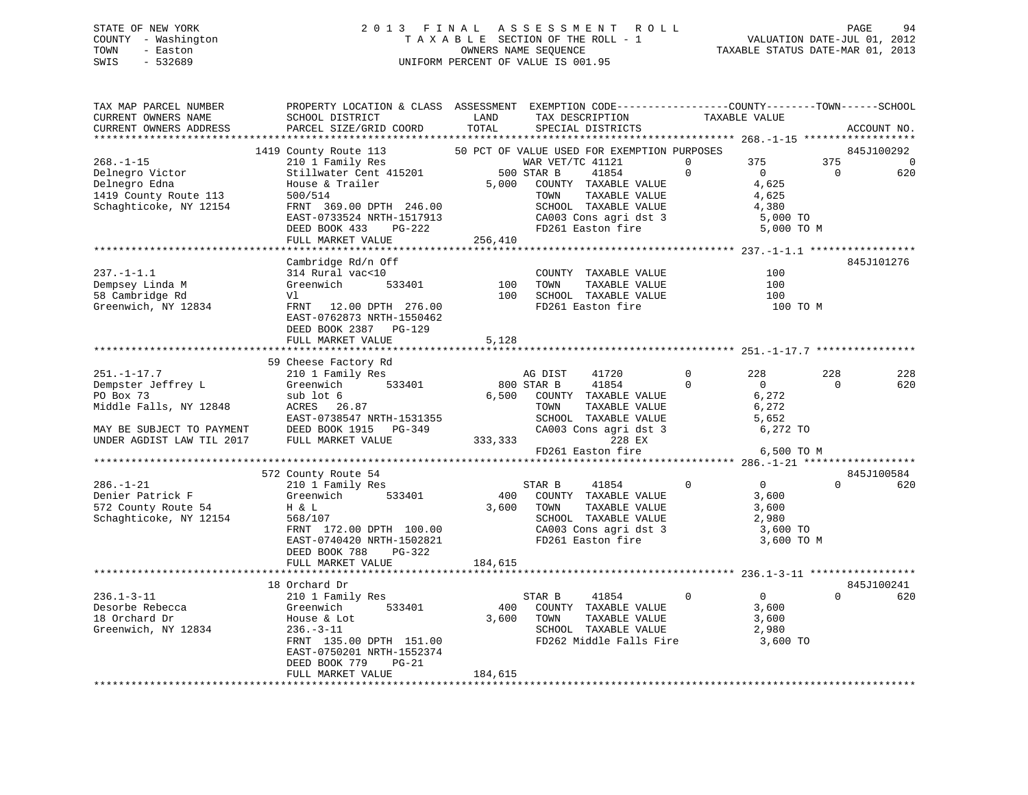# STATE OF NEW YORK 2 0 1 3 F I N A L A S S E S S M E N T R O L L PAGE 94 COUNTY - Washington T A X A B L E SECTION OF THE ROLL - 1 VALUATION DATE-JUL 01, 2012 TOWN - Easton COMPUTERS NAME SEQUENCE TAXABLE STATUS DATE-MAR 01, 2013<br>SWIS - 532689 SWIS - 532689 UNIFORM PERCENT OF VALUE IS 001.95

| TAX MAP PARCEL NUMBER<br>CURRENT OWNERS NAME                  | PROPERTY LOCATION & CLASS ASSESSMENT EXEMPTION CODE---------------COUNTY-------TOWN-----SCHOOL<br>SCHOOL DISTRICT                                                                                                                       | LAND    | TAX DESCRIPTION                                                  | TAXABLE VALUE  |                |                |             |
|---------------------------------------------------------------|-----------------------------------------------------------------------------------------------------------------------------------------------------------------------------------------------------------------------------------------|---------|------------------------------------------------------------------|----------------|----------------|----------------|-------------|
| CURRENT OWNERS ADDRESS                                        | PARCEL SIZE/GRID COORD TOTAL                                                                                                                                                                                                            |         | SPECIAL DISTRICTS                                                |                |                |                | ACCOUNT NO. |
|                                                               |                                                                                                                                                                                                                                         |         |                                                                  |                |                |                |             |
|                                                               | 1419 County Route 113 50 PCT OF VALUE USED FOR EXEMPTION PURPOSES                                                                                                                                                                       |         |                                                                  |                |                |                | 845J100292  |
| $268. - 1 - 15$<br>Delnegro Victor<br>Delnegro Victor<br>Edna | 210 1 Family Res<br>Stillwater Cent 415201 500 STAR B<br>House & Trailer 5,000 COUNT<br>500/514 TOWN                                                                                                                                    |         | WAR VET/TC 41121                                                 | $\overline{a}$ | 375 375        |                | $\Omega$    |
|                                                               |                                                                                                                                                                                                                                         |         | 41854<br>$\sim$ 0                                                |                | $\overline{0}$ | $\overline{0}$ | 620         |
|                                                               |                                                                                                                                                                                                                                         |         | COUNTY TAXABLE VALUE                                             |                | 4,625          |                |             |
| 1419 County Route 113<br>Schaghticoke, NY 12154               | 500/514                                                                                                                                                                                                                                 |         | TOWN      TAXABLE VALUE<br>SCHOOL   TAXABLE VALUE                |                | 4,625          |                |             |
| Schaghticoke, NY 12154                                        | FRNT 369.00 DPTH 246.00                                                                                                                                                                                                                 |         |                                                                  |                | 4,380          |                |             |
|                                                               | EAST-0733524 NRTH-1517913                                                                                                                                                                                                               |         | CA003 Cons agri dst 3<br>FD261 Easton fire                       |                | 5,000 TO       |                |             |
|                                                               | DEED BOOK 433<br>PG-222                                                                                                                                                                                                                 | 256,410 |                                                                  |                | 5,000 TO M     |                |             |
|                                                               | FULL MARKET VALUE                                                                                                                                                                                                                       |         |                                                                  |                |                |                |             |
|                                                               |                                                                                                                                                                                                                                         |         |                                                                  |                |                |                |             |
|                                                               | Cambridge Rd/n Off                                                                                                                                                                                                                      |         |                                                                  |                |                |                | 845J101276  |
| $237. -1 - 1.1$                                               | 314 Rural vac<10<br>$\begin{array}{ccc}\n \text{vac} & 10 \\  \text{533401} & & 100 \\  \end{array}$                                                                                                                                    |         | COUNTY TAXABLE VALUE                                             |                | 100            |                |             |
| Dempsey Linda M                                               | Greenwich                                                                                                                                                                                                                               | 100     | TAXABLE VALUE<br>TOWN                                            |                | 100            |                |             |
| 58 Cambridge Rd                                               | Vl                                                                                                                                                                                                                                      |         | SCHOOL TAXABLE VALUE<br>FD261 Easton fire                        |                | 100            |                |             |
| Greenwich, NY 12834                                           | FRNT 12.00 DPTH 276.00                                                                                                                                                                                                                  |         |                                                                  |                | 100 TO M       |                |             |
|                                                               | EAST-0762873 NRTH-1550462                                                                                                                                                                                                               |         |                                                                  |                |                |                |             |
|                                                               | DEED BOOK 2387 PG-129<br>FULL MARKET VALUE                                                                                                                                                                                              | 5,128   |                                                                  |                |                |                |             |
|                                                               |                                                                                                                                                                                                                                         |         |                                                                  |                |                |                |             |
|                                                               | 59 Cheese Factory Rd<br>Cheese Factory Rd<br>210 1 Family Res<br>Greenwich 533401                                                                                                                                                       |         |                                                                  |                |                |                |             |
| $251. -1 - 17.7$                                              |                                                                                                                                                                                                                                         |         | AG DIST<br>41720                                                 | $\overline{0}$ | 228            | 228            | 228         |
| Dempster Jeffrey L                                            |                                                                                                                                                                                                                                         |         |                                                                  | $\bigcirc$     | $\overline{0}$ | $\Omega$       | 620         |
|                                                               |                                                                                                                                                                                                                                         |         | 800 STAR B 41854<br>6,500 COUNTY TAXABLE VALUE                   |                |                |                |             |
|                                                               | $ACRES 26.87$                                                                                                                                                                                                                           |         |                                                                  |                |                |                |             |
|                                                               |                                                                                                                                                                                                                                         |         |                                                                  |                |                |                |             |
|                                                               |                                                                                                                                                                                                                                         |         |                                                                  |                |                |                |             |
|                                                               |                                                                                                                                                                                                                                         |         |                                                                  |                |                |                |             |
|                                                               |                                                                                                                                                                                                                                         |         |                                                                  |                |                |                |             |
|                                                               | PO Box 73<br>Middle Falls, NY 12848 ACRES 26.87<br>MAY BE SUBJECT TO PAYMENT DEED BOOK 1915 PG-349 CA003 Cons agri dst 3 6,272 TO<br>TRAN TIL 2017 FULL MARKET VALUE 333,333<br>FD261 Easton fire 6,500 TO M<br>FD261 Easton fire 6,500 |         |                                                                  |                |                |                |             |
|                                                               | 572 County Route 54                                                                                                                                                                                                                     |         |                                                                  |                |                |                | 845J100584  |
| $286. - 1 - 21$                                               | $210$ 1 Family Res                                                                                                                                                                                                                      |         | STAR B<br>41854 0                                                |                | $\overline{0}$ | $\Omega$       | 620         |
|                                                               | Greenwich 533401                                                                                                                                                                                                                        |         | 400 COUNTY TAXABLE VALUE                                         |                | 3,600          |                |             |
| Denier Patrick F<br>572 County Route 54                       | H & L                                                                                                                                                                                                                                   |         | 3,600 TOWN<br>TAXABLE VALUE                                      |                | 3,600          |                |             |
| Schaghticoke, NY 12154                                        | 568/107                                                                                                                                                                                                                                 |         |                                                                  |                |                |                |             |
|                                                               | FRNT 172.00 DPTH 100.00                                                                                                                                                                                                                 |         | SCHOOL TAXABLE VALUE 2,980<br>CA003 Cons agri dst 3 3 3,600 TO   |                |                |                |             |
|                                                               | EAST-0740420 NRTH-1502821                                                                                                                                                                                                               |         | FD261 Easton fire                                                |                | 3,600 TO M     |                |             |
|                                                               | DEED BOOK 788<br>PG-322                                                                                                                                                                                                                 |         |                                                                  |                |                |                |             |
|                                                               | FULL MARKET VALUE                                                                                                                                                                                                                       | 184,615 |                                                                  |                |                |                |             |
|                                                               |                                                                                                                                                                                                                                         |         |                                                                  |                |                |                |             |
|                                                               | 18 Orchard Dr                                                                                                                                                                                                                           |         |                                                                  |                |                |                | 845J100241  |
| $236.1 - 3 - 11$                                              | 210 1 Family Res                                                                                                                                                                                                                        |         | $\sim$ 0<br>STAR B<br>41854                                      |                | $\overline{0}$ | $\Omega$       | 620         |
| Desorbe Rebecca                                               | Greenwich<br>533401                                                                                                                                                                                                                     |         | 400 COUNTY TAXABLE VALUE                                         |                | 3,600          |                |             |
| 18 Orchard Dr                                                 | House & Lot<br>236.-3-11                                                                                                                                                                                                                |         | 3,600 TOWN<br>TAXABLE VALUE                                      |                | 3,600          |                |             |
| Greenwich, NY 12834                                           | $236. - 3 - 11$                                                                                                                                                                                                                         |         | SCHOOL TAXABLE VALUE $2,980$<br>FD262 Middle Falls Fire 3,600 TO |                |                |                |             |
|                                                               | FRNT 135.00 DPTH 151.00                                                                                                                                                                                                                 |         |                                                                  |                |                |                |             |
|                                                               | EAST-0750201 NRTH-1552374                                                                                                                                                                                                               |         |                                                                  |                |                |                |             |
|                                                               | DEED BOOK 779<br>$PG-21$                                                                                                                                                                                                                |         |                                                                  |                |                |                |             |
|                                                               | FULL MARKET VALUE                                                                                                                                                                                                                       | 184,615 |                                                                  |                |                |                |             |
|                                                               |                                                                                                                                                                                                                                         |         |                                                                  |                |                |                |             |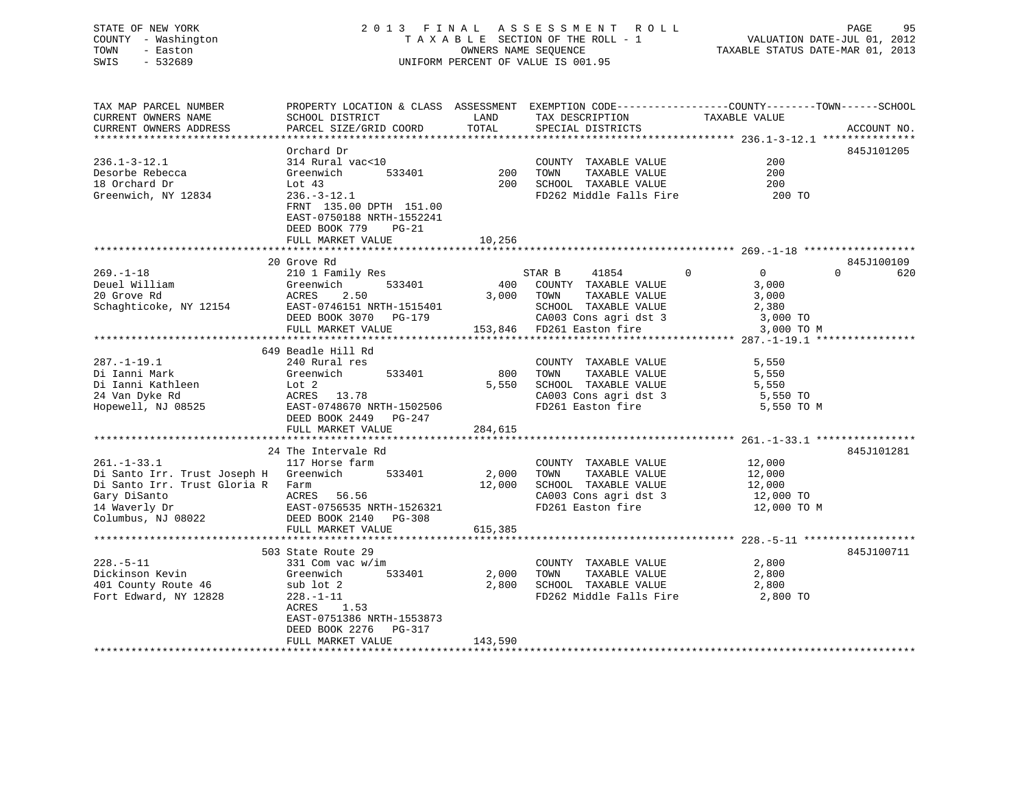# STATE OF NEW YORK 2 0 1 3 F I N A L A S S E S S M E N T R O L L PAGE 95 COUNTY - Washington T A X A B L E SECTION OF THE ROLL - 1 VALUATION DATE-JUL 01, 2012 UNIFORM PERCENT OF VALUE IS 001.95

TOWN - Easton OWNERS NAME SEQUENCE TAXABLE STATUS DATE-MAR 01, 2013 SWIS - 532689 UNIFORM PERCENT OF VALUE IS 001.95TAX MAP PARCEL NUMBER PROPERTY LOCATION & CLASS ASSESSMENT EXEMPTION CODE------------------COUNTY--------TOWN------SCHOOL CURRENT OWNERS NAME SCHOOL DISTRICT A LAND TAX DESCRIPTION TAXABLE VALUE CURRENT OWNERS ADDRESS PARCEL SIZE/GRID COORD TOTAL SPECIAL DISTRICTS ACCOUNT NO.

|                                        |                           |         |                                | ***************** 236.1–3–12.1 *************** |                 |
|----------------------------------------|---------------------------|---------|--------------------------------|------------------------------------------------|-----------------|
|                                        | Orchard Dr                |         |                                |                                                | 845J101205      |
| $236.1 - 3 - 12.1$                     | 314 Rural vac<10          |         | COUNTY TAXABLE VALUE           | 200                                            |                 |
| Desorbe Rebecca                        | Greenwich<br>533401       | 200     | TAXABLE VALUE<br>TOWN          | 200                                            |                 |
| 18 Orchard Dr                          | Lot 43                    | 200     | SCHOOL TAXABLE VALUE           | 200                                            |                 |
| Greenwich, NY 12834                    | $236. - 3 - 12.1$         |         | FD262 Middle Falls Fire        | 200 TO                                         |                 |
|                                        | FRNT 135.00 DPTH 151.00   |         |                                |                                                |                 |
|                                        | EAST-0750188 NRTH-1552241 |         |                                |                                                |                 |
|                                        | DEED BOOK 779<br>$PG-21$  |         |                                |                                                |                 |
|                                        | FULL MARKET VALUE         | 10,256  |                                |                                                |                 |
|                                        | 20 Grove Rd               |         |                                |                                                | 845J100109      |
| $269. - 1 - 18$                        | 210 1 Family Res          |         | STAR B<br>41854<br>$\mathbf 0$ | $\overline{0}$                                 | $\Omega$<br>620 |
| Deuel William                          | Greenwich<br>533401       | 400     | COUNTY TAXABLE VALUE           | 3,000                                          |                 |
| 20 Grove Rd                            | ACRES<br>2.50             | 3,000   | TOWN<br>TAXABLE VALUE          | 3,000                                          |                 |
| Schaghticoke, NY 12154                 | EAST-0746151 NRTH-1515401 |         | SCHOOL TAXABLE VALUE           | 2,380                                          |                 |
|                                        | DEED BOOK 3070<br>PG-179  |         | CA003 Cons agri dst 3          | 3,000 TO                                       |                 |
|                                        | FULL MARKET VALUE         |         | 153,846 FD261 Easton fire      | 3,000 TO M                                     |                 |
|                                        |                           |         |                                |                                                |                 |
|                                        | 649 Beadle Hill Rd        |         |                                |                                                |                 |
| $287. - 1 - 19.1$                      | 240 Rural res             |         | COUNTY TAXABLE VALUE           | 5,550                                          |                 |
| Di Ianni Mark                          | 533401<br>Greenwich       | 800     | TOWN<br>TAXABLE VALUE          | 5,550                                          |                 |
| Di Ianni Kathleen                      | Lot 2                     | 5,550   | SCHOOL TAXABLE VALUE           | 5,550                                          |                 |
| 24 Van Dyke Rd                         | ACRES 13.78               |         | CA003 Cons agri dst 3          | 5,550 TO                                       |                 |
| Hopewell, NJ 08525                     | EAST-0748670 NRTH-1502506 |         | FD261 Easton fire              | 5,550 TO M                                     |                 |
|                                        | DEED BOOK 2449<br>PG-247  |         |                                |                                                |                 |
|                                        | FULL MARKET VALUE         | 284,615 |                                |                                                |                 |
|                                        | 24 The Intervale Rd       |         |                                |                                                | 845J101281      |
| $261. - 1 - 33.1$                      | 117 Horse farm            |         | COUNTY TAXABLE VALUE           | 12,000                                         |                 |
| Di Santo Irr. Trust Joseph H Greenwich | 533401                    | 2,000   | TOWN<br>TAXABLE VALUE          | 12,000                                         |                 |
| Di Santo Irr. Trust Gloria R           | Farm                      | 12,000  | SCHOOL TAXABLE VALUE           | 12,000                                         |                 |
| Gary DiSanto                           | ACRES<br>56.56            |         | CA003 Cons agri dst 3          | 12,000 TO                                      |                 |
| 14 Waverly Dr                          | EAST-0756535 NRTH-1526321 |         | FD261 Easton fire              | 12,000 TO M                                    |                 |
| Columbus, NJ 08022                     | DEED BOOK 2140<br>PG-308  |         |                                |                                                |                 |
|                                        | FULL MARKET VALUE         | 615,385 |                                |                                                |                 |
|                                        |                           |         |                                |                                                |                 |
|                                        | 503 State Route 29        |         |                                |                                                | 845J100711      |
| $228. - 5 - 11$                        | 331 Com vac w/im          |         | COUNTY TAXABLE VALUE           | 2,800                                          |                 |
| Dickinson Kevin                        | 533401<br>Greenwich       | 2,000   | TOWN<br>TAXABLE VALUE          | 2,800                                          |                 |
| 401 County Route 46                    | sub lot 2                 | 2,800   | SCHOOL TAXABLE VALUE           | 2,800                                          |                 |
| Fort Edward, NY 12828                  | $228. - 1 - 11$           |         | FD262 Middle Falls Fire        | 2,800 TO                                       |                 |
|                                        | ACRES<br>1.53             |         |                                |                                                |                 |
|                                        | EAST-0751386 NRTH-1553873 |         |                                |                                                |                 |
|                                        | DEED BOOK 2276<br>PG-317  |         |                                |                                                |                 |
|                                        | FULL MARKET VALUE         | 143,590 |                                |                                                |                 |
|                                        |                           |         |                                |                                                |                 |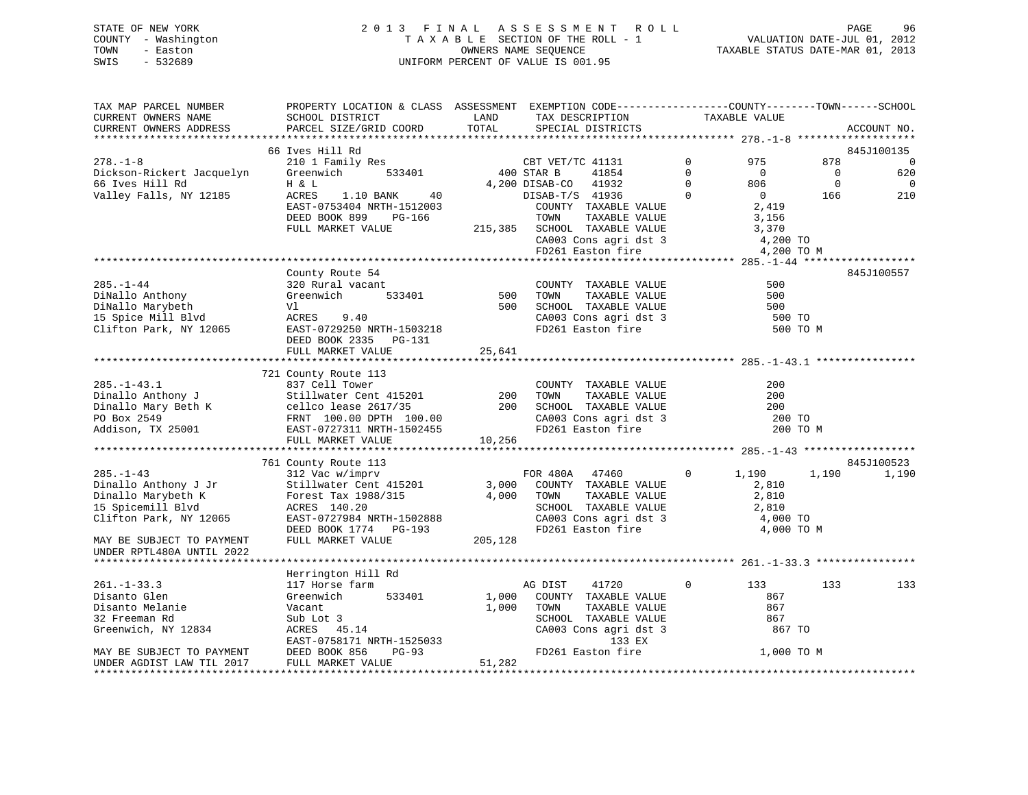# STATE OF NEW YORK 2 0 1 3 F I N A L A S S E S S M E N T R O L L PAGE 96 COUNTY - Washington T A X A B L E SECTION OF THE ROLL - 1 VALUATION DATE-JUL 01, 2012 TOWN - Easton **CONNERS NAME SEQUENCE** TAXABLE STATUS DATE-MAR 01, 2013 SWIS - 532689 UNIFORM PERCENT OF VALUE IS 001.95

| TAX MAP PARCEL NUMBER<br>CURRENT OWNERS NAME<br>CURRENT OWNERS ADDRESS                                                                                                                                                      | PROPERTY LOCATION & CLASS ASSESSMENT EXEMPTION CODE----------------COUNTY-------TOWN------SCHOOL<br>SCHOOL DISTRICT<br>PARCEL SIZE/GRID COORD | LAND<br>TOTAL | TAX DESCRIPTION<br>SPECIAL DISTRICTS                                                               | TAXABLE VALUE  |                                  | ACCOUNT NO.              |
|-----------------------------------------------------------------------------------------------------------------------------------------------------------------------------------------------------------------------------|-----------------------------------------------------------------------------------------------------------------------------------------------|---------------|----------------------------------------------------------------------------------------------------|----------------|----------------------------------|--------------------------|
|                                                                                                                                                                                                                             |                                                                                                                                               |               |                                                                                                    |                |                                  |                          |
|                                                                                                                                                                                                                             | 66 Ives Hill Rd                                                                                                                               |               |                                                                                                    |                |                                  | 845J100135               |
| $278. - 1 - 8$                                                                                                                                                                                                              | 210 1 Family Res CBT VET/<br>Greenwich 533401 400 STAR B                                                                                      |               | CBT VET/TC 41131                                                                                   | $\Omega$       | 975<br>878                       | $\Omega$                 |
| Dickson-Rickert Jacquelyn                                                                                                                                                                                                   |                                                                                                                                               |               | 41854                                                                                              | $\Omega$       | $\overline{0}$<br>$\overline{0}$ | 620                      |
| 66 Ives Hill Rd                                                                                                                                                                                                             | H & L                                                                                                                                         |               | 4,200 DISAB-CO 41932                                                                               | $\overline{0}$ | $\mathbf 0$<br>806               | $\overline{\phantom{0}}$ |
| Valley Falls, NY 12185                                                                                                                                                                                                      | ACRES 1.10 BANK 40                                                                                                                            |               | DISAB-T/S 41936                                                                                    | $\overline{0}$ | $\overline{0}$<br>166            | 210                      |
|                                                                                                                                                                                                                             | EAST-0753404 NRTH-1512003                                                                                                                     |               | COUNTY TAXABLE VALUE<br>TOWN      TAXABLE VALUE                                                    |                | 2,419                            |                          |
|                                                                                                                                                                                                                             | DEED BOOK 899<br>PG-166                                                                                                                       |               |                                                                                                    |                | 3,156                            |                          |
|                                                                                                                                                                                                                             | FULL MARKET VALUE                                                                                                                             |               | 215,385 SCHOOL TAXABLE VALUE 3,370<br>CA003 Cons agri dst 3 4,200 TO<br>FD261 Easton fire 4,200 TO |                |                                  |                          |
|                                                                                                                                                                                                                             |                                                                                                                                               |               |                                                                                                    |                |                                  |                          |
|                                                                                                                                                                                                                             |                                                                                                                                               |               |                                                                                                    |                | 4,200 TO M                       |                          |
|                                                                                                                                                                                                                             | County Route 54                                                                                                                               |               |                                                                                                    |                |                                  | 845J100557               |
| $285. - 1 - 44$                                                                                                                                                                                                             | 320 Rural vacant                                                                                                                              |               | COUNTY TAXABLE VALUE                                                                               |                | 500                              |                          |
| DiNallo Anthony                                                                                                                                                                                                             | Greenwich 533401                                                                                                                              | 500           | TOWN<br>TAXABLE VALUE                                                                              |                | 500                              |                          |
|                                                                                                                                                                                                                             | Vl                                                                                                                                            | 500           |                                                                                                    |                | 500                              |                          |
| DiNallo Marybeth<br>15 Spice Mill Blvd                                                                                                                                                                                      | ACRES 9.40                                                                                                                                    |               | SCHOOL TAXABLE VALUE<br>CA003 Cons agri dst 3<br>FD261 Easton fire                                 |                | 500 TO                           |                          |
| Clifton Park, NY 12065                                                                                                                                                                                                      | EAST-0729250 NRTH-1503218                                                                                                                     |               |                                                                                                    |                | 500 TO M                         |                          |
|                                                                                                                                                                                                                             | DEED BOOK 2335 PG-131                                                                                                                         |               |                                                                                                    |                |                                  |                          |
|                                                                                                                                                                                                                             | FULL MARKET VALUE                                                                                                                             | 25,641        |                                                                                                    |                |                                  |                          |
|                                                                                                                                                                                                                             |                                                                                                                                               |               |                                                                                                    |                |                                  |                          |
|                                                                                                                                                                                                                             | 721 County Route 113                                                                                                                          |               |                                                                                                    |                |                                  |                          |
| $285. - 1 - 43.1$                                                                                                                                                                                                           | 837 Cell Tower                                                                                                                                |               | COUNTY TAXABLE VALUE                                                                               |                | 200                              |                          |
|                                                                                                                                                                                                                             |                                                                                                                                               | 200           | TOWN<br>TAXABLE VALUE                                                                              |                | 200                              |                          |
|                                                                                                                                                                                                                             |                                                                                                                                               | 200           |                                                                                                    |                | 200                              |                          |
|                                                                                                                                                                                                                             |                                                                                                                                               |               |                                                                                                    |                | 200 TO                           |                          |
| 285.-1-43.1<br>Dinallo Anthony J<br>Dinallo Mary Beth K<br>PO Box 2549<br>PO Box 2549<br>RMT 100.00 DPTH 100.00<br>RMS 100.00 DPTH 1502455<br>RMS 100.00 DPTH 1502455<br>RMS 100.00 DPTH 1502455<br>RMS 100.00 DPTH 1502455 |                                                                                                                                               |               | SCHOOL TAXABLE VALUE<br>CA003 Cons agri dst 3<br>FD261 Easton fire                                 |                | 200 TO M                         |                          |
|                                                                                                                                                                                                                             | FULL MARKET VALUE                                                                                                                             | 10,256        |                                                                                                    |                |                                  |                          |
|                                                                                                                                                                                                                             |                                                                                                                                               |               |                                                                                                    |                |                                  |                          |
| $285. -1 - 43$                                                                                                                                                                                                              | 761 County Route 113<br>312 Vac w/imprv                                                                                                       |               | FOR 480A 47460                                                                                     | $\overline{0}$ | 1,190<br>1,190                   | 845J100523<br>1,190      |
| Dinallo Anthony J Jr                                                                                                                                                                                                        |                                                                                                                                               |               | 3,000 COUNTY TAXABLE VALUE                                                                         |                | 2,810                            |                          |
| Dinallo Marybeth K                                                                                                                                                                                                          |                                                                                                                                               | 4,000         | TOWN<br>TAXABLE VALUE                                                                              |                | 2,810                            |                          |
| 15 Spicemill Blvd                                                                                                                                                                                                           | Stillwater Cent 110000<br>Forest Tax 1988/315                                                                                                 |               |                                                                                                    |                |                                  |                          |
| Clifton Park, NY 12065                                                                                                                                                                                                      |                                                                                                                                               |               |                                                                                                    |                |                                  |                          |
|                                                                                                                                                                                                                             |                                                                                                                                               |               | SCHOOL TAXABLE VALUE<br>CA003 Cons agri dst 3 de 4,000 TO<br>FD261 Easton fire de 4,000 TO         |                | 4,000 TO M                       |                          |
| MAY BE SUBJECT TO PAYMENT                                                                                                                                                                                                   | EAST-0727984 NRTH-1502888<br>DEED BOOK 1774 PG-193<br>FULL MARKET VALUE 205,128                                                               |               |                                                                                                    |                |                                  |                          |
| UNDER RPTL480A UNTIL 2022                                                                                                                                                                                                   |                                                                                                                                               |               |                                                                                                    |                |                                  |                          |
|                                                                                                                                                                                                                             |                                                                                                                                               |               |                                                                                                    |                |                                  |                          |
|                                                                                                                                                                                                                             | Herrington Hill Rd                                                                                                                            |               |                                                                                                    |                |                                  |                          |
| $261. - 1 - 33.3$                                                                                                                                                                                                           | 117 Horse farm                                                                                                                                |               | 41720<br>AG DIST                                                                                   | $\Omega$       | 133<br>133                       | 133                      |
| Disanto Glen                                                                                                                                                                                                                | 533401<br>Greenwich                                                                                                                           | 1,000         | COUNTY TAXABLE VALUE                                                                               |                | 867                              |                          |
| Disanto Melanie                                                                                                                                                                                                             | Vacant                                                                                                                                        | 1,000         | TOWN<br>TAXABLE VALUE                                                                              |                | 867                              |                          |
| 32 Freeman Rd                                                                                                                                                                                                               | Sub Lot 3                                                                                                                                     |               | SCHOOL TAXABLE VALUE                                                                               |                | 867                              |                          |
| Greenwich, NY 12834                                                                                                                                                                                                         | ACRES 45.14                                                                                                                                   |               | CA003 Cons agri dst 3                                                                              |                | 867 TO                           |                          |
|                                                                                                                                                                                                                             | EAST-0758171 NRTH-1525033                                                                                                                     |               | 133 EX                                                                                             |                |                                  |                          |
| MAY BE SUBJECT TO PAYMENT                                                                                                                                                                                                   | DEED BOOK 856<br>PG-93                                                                                                                        |               | FD261 Easton fire                                                                                  |                | 1,000 TO M                       |                          |
| UNDER AGDIST LAW TIL 2017                                                                                                                                                                                                   | FULL MARKET VALUE                                                                                                                             | 51,282        |                                                                                                    |                |                                  |                          |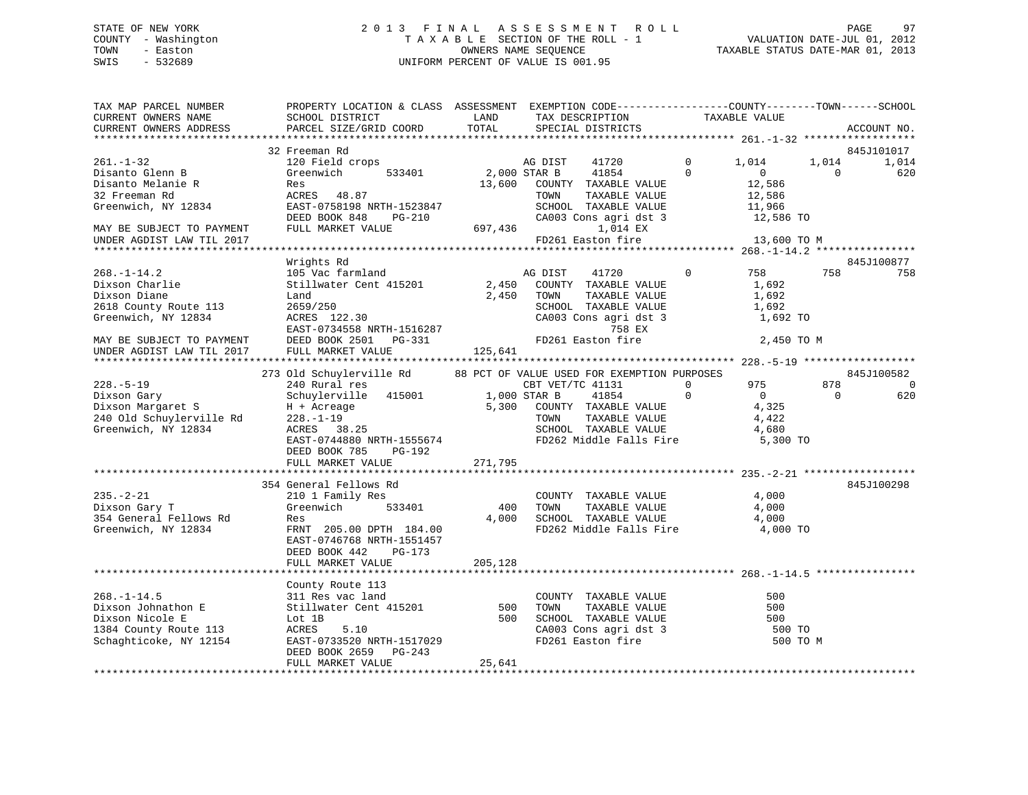# STATE OF NEW YORK 2 0 1 3 F I N A L A S S E S S M E N T R O L L PAGE 97 COUNTY - Washington T A X A B L E SECTION OF THE ROLL - 1 VALUATION DATE-JUL 01, 2012 TOWN - Easton OWNERS NAME SEQUENCE TAXABLE STATUS DATE-MAR 01, 2013 SWIS - 532689 UNIFORM PERCENT OF VALUE IS 001.95

| TAX MAP PARCEL NUMBER<br>CURRENT OWNERS NAME<br>CURRENT OWNERS ADDRESS                                                           | PROPERTY LOCATION & CLASS ASSESSMENT EXEMPTION CODE----------------COUNTY-------TOWN-----SCHOOL<br>SCHOOL DISTRICT<br>PARCEL SIZE/GRID COORD           | LAND<br>TOTAL           | TAX DESCRIPTION<br>SPECIAL DISTRICTS |                                                                                                                 |                      | TAXABLE VALUE                                                      |                   | ACCOUNT NO.       |
|----------------------------------------------------------------------------------------------------------------------------------|--------------------------------------------------------------------------------------------------------------------------------------------------------|-------------------------|--------------------------------------|-----------------------------------------------------------------------------------------------------------------|----------------------|--------------------------------------------------------------------|-------------------|-------------------|
|                                                                                                                                  |                                                                                                                                                        |                         |                                      |                                                                                                                 |                      |                                                                    |                   |                   |
|                                                                                                                                  | 32 Freeman Rd                                                                                                                                          |                         |                                      |                                                                                                                 |                      |                                                                    |                   | 845J101017        |
| $261. - 1 - 32$<br>Disanto Glenn B<br>Disanto Melanie R<br>32 Freeman Rd<br>Greenwich, NY 12834                                  | 120 Field crops<br>Greenwich<br>533401<br>Res<br>ACRES 48.87<br>EAST-0758198 NRTH-1523847<br>DEED BOOK 848<br>PG-210                                   | 2,000 STAR B            | AG DIST<br>TOWN                      | 41720<br>41854<br>13,600 COUNTY TAXABLE VALUE<br>TAXABLE VALUE<br>SCHOOL TAXABLE VALUE<br>CA003 Cons agri dst 3 | $\Omega$<br>$\Omega$ | 1,014<br>$\overline{0}$<br>12,586<br>12,586<br>11,966<br>12,586 TO | 1,014<br>$\Omega$ | 1,014<br>620      |
| MAY BE SUBJECT TO PAYMENT<br>UNDER AGDIST LAW TIL 2017                                                                           | FULL MARKET VALUE                                                                                                                                      | 697,436                 |                                      | 1,014 EX<br>FD261 Easton fire                                                                                   |                      | 13,600 TO M                                                        |                   |                   |
|                                                                                                                                  |                                                                                                                                                        |                         |                                      |                                                                                                                 |                      |                                                                    |                   |                   |
| $268. - 1 - 14.2$<br>Dixson Charlie<br>Dixson Diane<br>2618 County Route 113<br>Greenwich, NY 12834<br>MAY BE SUBJECT TO PAYMENT | Wrights Rd<br>105 Vac farmland<br>Stillwater Cent 415201<br>Land<br>2659/250<br>$ACRES$ 122.30<br>EAST-0734558 NRTH-1516287<br>DEED BOOK 2501 PG-331   | 2,450                   | AG DIST<br>TOWN<br>FD261 Easton fire | 41720<br>2,450 COUNTY TAXABLE VALUE<br>TAXABLE VALUE<br>SCHOOL TAXABLE VALUE<br>CA003 Cons agri dst 3<br>758 EX | $\overline{0}$       | 758<br>1,692<br>1,692<br>1,692<br>1,692 TO<br>2,450 TO M           | 758               | 845J100877<br>758 |
| UNDER AGDIST LAW TIL 2017                                                                                                        | FULL MARKET VALUE                                                                                                                                      | 125,641                 |                                      |                                                                                                                 |                      |                                                                    |                   |                   |
|                                                                                                                                  |                                                                                                                                                        |                         |                                      |                                                                                                                 |                      |                                                                    |                   |                   |
|                                                                                                                                  | 273 Old Schuylerville Rd 88 PCT OF VALUE USED FOR EXEMPTION PURPOSES                                                                                   |                         |                                      |                                                                                                                 |                      |                                                                    |                   | 845J100582        |
| $228. - 5 - 19$                                                                                                                  | 240 Rural res                                                                                                                                          |                         | CBT VET/TC 41131                     |                                                                                                                 | $\mathbf 0$          | 975                                                                | 878               | $\Omega$          |
| Dixson Gary<br>Dixson Margaret S<br>240 Old Schuylerville Rd<br>Greenwich, NY 12834                                              | Schuylerville 415001<br>H + Acreage<br>228.-1-19<br>ACRES 38.25<br>EAST-0744880 NRTH-1555674<br>DEED BOOK 785<br>PG-192<br>FULL MARKET VALUE           | 1,000 STAR B<br>271,795 | TOWN                                 | 41854<br>5,300 COUNTY TAXABLE VALUE<br>TAXABLE VALUE<br>SCHOOL TAXABLE VALUE<br>FD262 Middle Falls Fire         | $\Omega$             | $\overline{0}$<br>4,325<br>4,422<br>4,680<br>5,300 TO              | $\Omega$          | 620               |
|                                                                                                                                  | 354 General Fellows Rd                                                                                                                                 |                         |                                      |                                                                                                                 |                      |                                                                    |                   | 845J100298        |
| $235. - 2 - 21$<br>Dixson Gary T<br>354 General Fellows Rd<br>Greenwich, NY 12834                                                | 210 1 Family Res<br>533401<br>Greenwich<br>Res<br>FRNT 205.00 DPTH 184.00<br>EAST-0746768 NRTH-1551457<br>DEED BOOK 442<br>PG-173<br>FULL MARKET VALUE | 400<br>4,000<br>205,128 | TOWN                                 | COUNTY TAXABLE VALUE<br>TAXABLE VALUE<br>SCHOOL TAXABLE VALUE<br>FD262 Middle Falls Fire 4,000 TO               |                      | 4,000<br>4,000<br>4,000                                            |                   |                   |
|                                                                                                                                  |                                                                                                                                                        |                         |                                      |                                                                                                                 |                      |                                                                    |                   |                   |
| $268. - 1 - 14.5$<br>Dixson Johnathon E<br>Dixson Nicole E<br>Dixson Nicole B<br>1384 County Route 113                           | County Route 113<br>311 Res vac land<br>Stillwater Cent 415201<br>Lot 1B<br>ACRES<br>5.10                                                              | 500<br>500              | TOWN                                 | COUNTY TAXABLE VALUE<br>TAXABLE VALUE<br>SCHOOL TAXABLE VALUE<br>CA003 Cons agri dst 3                          |                      | 500<br>500<br>500<br>500 TO                                        |                   |                   |
| Schaghticoke, NY 12154                                                                                                           | EAST-0733520 NRTH-1517029<br>DEED BOOK 2659 PG-243<br>FULL MARKET VALUE                                                                                | 25,641                  | FD261 Easton fire                    |                                                                                                                 |                      | 500 TO M                                                           |                   |                   |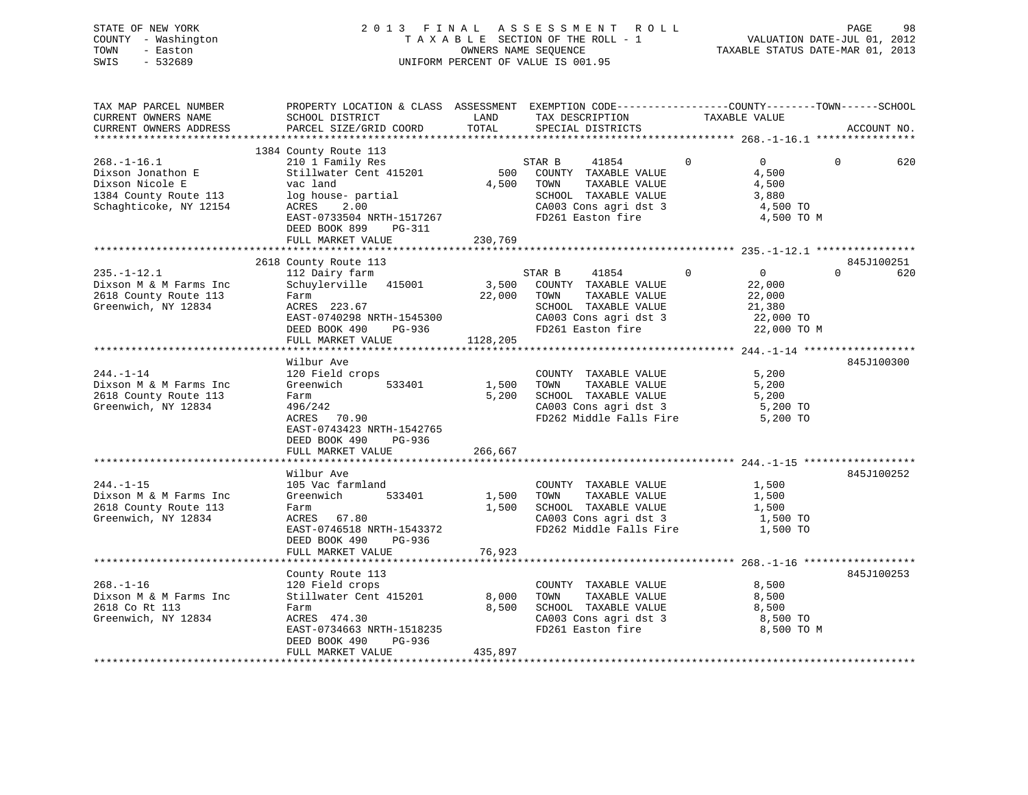| STATE OF NEW YORK   | 2013 FINAL ASSESSMENT ROLL         | 98<br>PAGE                       |
|---------------------|------------------------------------|----------------------------------|
| COUNTY - Washington | TAXABLE SECTION OF THE ROLL - 1    | VALUATION DATE-JUL 01, 2012      |
| TOWN<br>- Easton    | OWNERS NAME SEOUENCE               | TAXABLE STATUS DATE-MAR 01, 2013 |
| SWIS<br>- 532689    | UNIFORM PERCENT OF VALUE IS 001.95 |                                  |
|                     |                                    |                                  |

| TAX MAP PARCEL NUMBER<br>CURRENT OWNERS NAME | PROPERTY LOCATION & CLASS ASSESSMENT EXEMPTION CODE----------------COUNTY-------TOWN------SCHOOL<br>SCHOOL DISTRICT | LAND        | TAX DESCRIPTION                  |               |             | TAXABLE VALUE  |          |             |
|----------------------------------------------|---------------------------------------------------------------------------------------------------------------------|-------------|----------------------------------|---------------|-------------|----------------|----------|-------------|
| CURRENT OWNERS ADDRESS                       | PARCEL SIZE/GRID COORD                                                                                              | TOTAL       | SPECIAL DISTRICTS                |               |             |                |          | ACCOUNT NO. |
|                                              |                                                                                                                     |             |                                  |               |             |                |          |             |
|                                              | 1384 County Route 113                                                                                               |             |                                  |               |             |                |          |             |
| $268. - 1 - 16.1$                            |                                                                                                                     |             | STAR B<br>41854                  |               | $\mathbf 0$ | $\overline{0}$ | $\Omega$ | 620         |
| Dixson Jonathon E                            | 210 1 Family Res<br>Stillwater Cent 415201                                                                          | 500         | COUNTY TAXABLE VALUE             |               |             | 4,500          |          |             |
| Dixson Nicole E                              | vac land                                                                                                            | 4,500       | TOWN                             | TAXABLE VALUE |             | 4,500          |          |             |
| 1384 County Route 113                        | log house- partial                                                                                                  |             | SCHOOL TAXABLE VALUE             |               |             | 3,880          |          |             |
| Schaghticoke, NY 12154                       | ACRES<br>2.00                                                                                                       |             | CA003 Cons agri dst 3            |               |             | 4,500 TO       |          |             |
|                                              | EAST-0733504 NRTH-1517267                                                                                           |             | FD261 Easton fire                |               |             | 4,500 TO M     |          |             |
|                                              | DEED BOOK 899<br>PG-311                                                                                             |             |                                  |               |             |                |          |             |
|                                              | FULL MARKET VALUE                                                                                                   | 230,769     |                                  |               |             |                |          |             |
|                                              |                                                                                                                     |             |                                  |               |             |                |          |             |
|                                              | 2618 County Route 113                                                                                               |             |                                  |               |             |                |          | 845J100251  |
| $235. - 1 - 12.1$                            | 112 Dairy farm                                                                                                      |             | STAR B<br>41854                  |               | $\Omega$    | $\Omega$       | $\Omega$ | 620         |
| Dixson M & M Farms Inc                       | Schuylerville 415001                                                                                                |             | 3,500 COUNTY TAXABLE VALUE       |               |             | 22,000         |          |             |
| 2618 County Route 113                        | Farm                                                                                                                | 22,000 TOWN |                                  | TAXABLE VALUE |             | 22,000         |          |             |
| Greenwich, NY 12834                          | ACRES 223.67                                                                                                        |             | SCHOOL TAXABLE VALUE             |               |             | 21,380         |          |             |
|                                              | EAST-0740298 NRTH-1545300                                                                                           |             | CA003 Cons agri dst 3            |               |             | 22,000 TO      |          |             |
|                                              | DEED BOOK 490<br>PG-936                                                                                             |             | FD261 Easton fire                |               |             | 22,000 TO M    |          |             |
|                                              | FULL MARKET VALUE                                                                                                   | 1128,205    |                                  |               |             |                |          |             |
|                                              |                                                                                                                     |             |                                  |               |             |                |          |             |
|                                              | Wilbur Ave                                                                                                          |             |                                  |               |             |                |          | 845J100300  |
| $244. -1 - 14$                               | 120 Field crops                                                                                                     |             | COUNTY TAXABLE VALUE             |               |             | 5,200          |          |             |
| Dixson M & M Farms Inc                       | Greenwich<br>533401                                                                                                 | 1,500       | TOWN                             | TAXABLE VALUE |             | 5,200          |          |             |
| 2618 County Route 113                        | Farm                                                                                                                | 5,200       | SCHOOL TAXABLE VALUE             |               |             | 5,200          |          |             |
| Greenwich, NY 12834                          | 496/242                                                                                                             |             | CA003 Cons agri dst 3            |               |             | 5,200 TO       |          |             |
|                                              | ACRES 70.90                                                                                                         |             | FD262 Middle Falls Fire 5,200 TO |               |             |                |          |             |
|                                              | EAST-0743423 NRTH-1542765                                                                                           |             |                                  |               |             |                |          |             |
|                                              | PG-936<br>DEED BOOK 490                                                                                             |             |                                  |               |             |                |          |             |
|                                              | FULL MARKET VALUE                                                                                                   | 266,667     |                                  |               |             |                |          |             |
|                                              |                                                                                                                     |             |                                  |               |             |                |          |             |
|                                              | Wilbur Ave                                                                                                          |             |                                  |               |             |                |          | 845J100252  |
| $244. -1 - 15$                               | 105 Vac farmland                                                                                                    |             | COUNTY TAXABLE VALUE             |               |             | 1,500          |          |             |
| Dixson M & M Farms Inc                       | Greenwich<br>533401                                                                                                 | 1,500       | TOWN                             | TAXABLE VALUE |             | 1,500          |          |             |
| 2618 County Route 113                        | Farm                                                                                                                | 1,500       | SCHOOL TAXABLE VALUE             |               |             | 1,500          |          |             |
| Greenwich, NY 12834                          | ACRES 67.80                                                                                                         |             | CA003 Cons agri dst 3            |               |             | 1,500 TO       |          |             |
|                                              | EAST-0746518 NRTH-1543372                                                                                           |             | FD262 Middle Falls Fire          |               |             | 1,500 TO       |          |             |
|                                              | DEED BOOK 490<br>PG-936                                                                                             |             |                                  |               |             |                |          |             |
|                                              | FULL MARKET VALUE                                                                                                   | 76,923      |                                  |               |             |                |          |             |
|                                              |                                                                                                                     |             |                                  |               |             |                |          |             |
|                                              | County Route 113                                                                                                    |             |                                  |               |             |                |          | 845J100253  |
| $268. - 1 - 16$                              | 120 Field crops                                                                                                     |             | COUNTY TAXABLE VALUE             |               |             | 8,500          |          |             |
| Dixson M & M Farms Inc                       | Stillwater Cent 415201                                                                                              | 8,000       | TOWN                             | TAXABLE VALUE |             | 8,500          |          |             |
| 2618 Co Rt 113                               | Farm                                                                                                                | 8,500       | SCHOOL TAXABLE VALUE             |               |             | 8,500          |          |             |
| Greenwich, NY 12834                          | ACRES 474.30                                                                                                        |             | CA003 Cons agri dst 3            |               |             | 8,500 TO       |          |             |
|                                              | EAST-0734663 NRTH-1518235                                                                                           |             | FD261 Easton fire                |               |             | 8,500 TO M     |          |             |
|                                              | DEED BOOK 490<br>PG-936                                                                                             |             |                                  |               |             |                |          |             |
|                                              | FULL MARKET VALUE                                                                                                   | 435,897     |                                  |               |             |                |          |             |
|                                              |                                                                                                                     |             |                                  |               |             |                |          |             |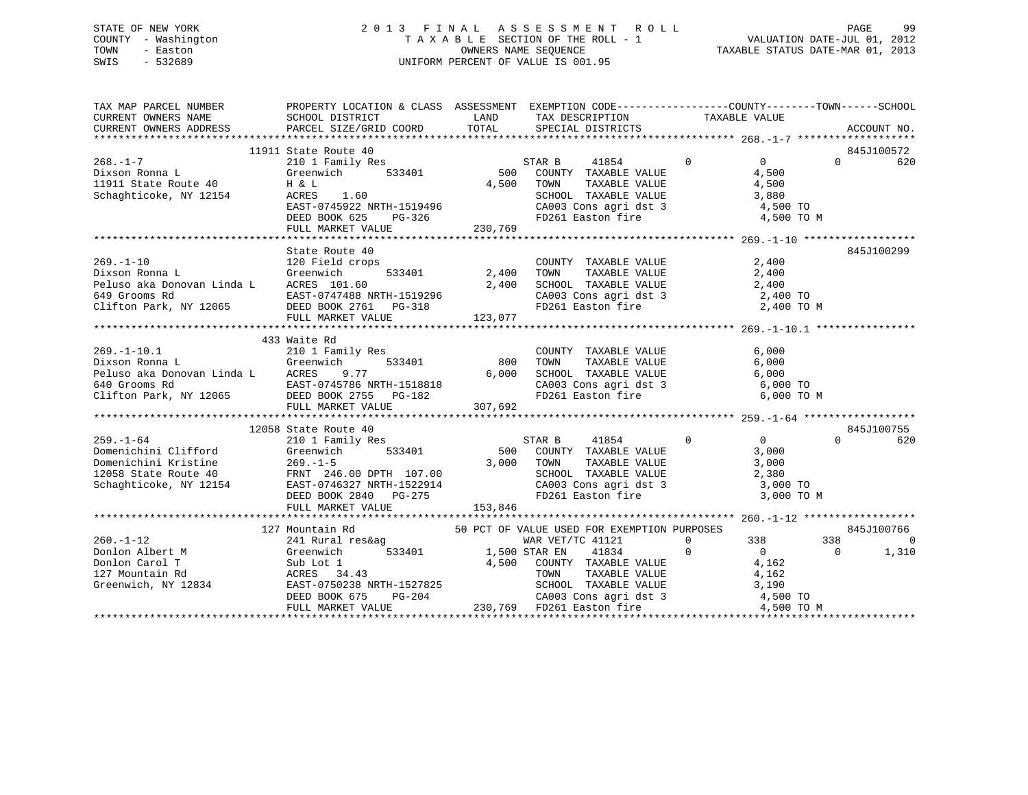# STATE OF NEW YORK 2 0 1 3 F I N A L A S S E S S M E N T R O L L PAGE 99 COUNTY - Washington T A X A B L E SECTION OF THE ROLL - 1 VALUATION DATE-JUL 01, 2012 TOWN - Easton **CONNERS NAME SEQUENCE** TAXABLE STATUS DATE-MAR 01, 2013 SWIS - 532689 UNIFORM PERCENT OF VALUE IS 001.95

|  | TAX MAP PARCEL NUMBER PROPERTY LOCATION & CLASS ASSESSMENT EXEMPTION CODE---------------COUNTY-------TOWN-----SCHOOL                                                                                                                                                                                                                                                                                                        |  |  |  |  |            |
|--|-----------------------------------------------------------------------------------------------------------------------------------------------------------------------------------------------------------------------------------------------------------------------------------------------------------------------------------------------------------------------------------------------------------------------------|--|--|--|--|------------|
|  |                                                                                                                                                                                                                                                                                                                                                                                                                             |  |  |  |  |            |
|  |                                                                                                                                                                                                                                                                                                                                                                                                                             |  |  |  |  |            |
|  |                                                                                                                                                                                                                                                                                                                                                                                                                             |  |  |  |  |            |
|  |                                                                                                                                                                                                                                                                                                                                                                                                                             |  |  |  |  |            |
|  |                                                                                                                                                                                                                                                                                                                                                                                                                             |  |  |  |  |            |
|  |                                                                                                                                                                                                                                                                                                                                                                                                                             |  |  |  |  |            |
|  |                                                                                                                                                                                                                                                                                                                                                                                                                             |  |  |  |  |            |
|  |                                                                                                                                                                                                                                                                                                                                                                                                                             |  |  |  |  |            |
|  |                                                                                                                                                                                                                                                                                                                                                                                                                             |  |  |  |  |            |
|  |                                                                                                                                                                                                                                                                                                                                                                                                                             |  |  |  |  |            |
|  |                                                                                                                                                                                                                                                                                                                                                                                                                             |  |  |  |  |            |
|  |                                                                                                                                                                                                                                                                                                                                                                                                                             |  |  |  |  | 845J100299 |
|  |                                                                                                                                                                                                                                                                                                                                                                                                                             |  |  |  |  |            |
|  |                                                                                                                                                                                                                                                                                                                                                                                                                             |  |  |  |  |            |
|  |                                                                                                                                                                                                                                                                                                                                                                                                                             |  |  |  |  |            |
|  |                                                                                                                                                                                                                                                                                                                                                                                                                             |  |  |  |  |            |
|  |                                                                                                                                                                                                                                                                                                                                                                                                                             |  |  |  |  |            |
|  |                                                                                                                                                                                                                                                                                                                                                                                                                             |  |  |  |  |            |
|  | $\begin{tabular}{lllllllllllllllllllll} \textbf{2,400} & \textbf{State Route 40} & \textbf{2,400} & \textbf{2,400} & \textbf{845J100299} \\ & & & 120 Field crops & \textbf{33401} & 2,400 & \textbf{TANABLE VALUE} & 2,400 \\ \textbf{Dixson Roma L} & & & & 533401 & 2,400 & \textbf{TONNT} & \textbf{TAXABLE VALUE} & 2,400 \\ \textbf{Feluso aka Donovan Linda L} & & & & 2,400 & 2,400 & \textbf{STANABLE VALUE} & 2,$ |  |  |  |  |            |
|  | 433 Waite Rd                                                                                                                                                                                                                                                                                                                                                                                                                |  |  |  |  |            |
|  |                                                                                                                                                                                                                                                                                                                                                                                                                             |  |  |  |  |            |
|  |                                                                                                                                                                                                                                                                                                                                                                                                                             |  |  |  |  |            |
|  |                                                                                                                                                                                                                                                                                                                                                                                                                             |  |  |  |  |            |
|  |                                                                                                                                                                                                                                                                                                                                                                                                                             |  |  |  |  |            |
|  |                                                                                                                                                                                                                                                                                                                                                                                                                             |  |  |  |  |            |
|  |                                                                                                                                                                                                                                                                                                                                                                                                                             |  |  |  |  |            |
|  |                                                                                                                                                                                                                                                                                                                                                                                                                             |  |  |  |  |            |
|  | 12058 State Route 40<br>259.-1-64<br>210.1 Family Res<br>210.1 Family Res<br>210.1 Family Res<br>220.1 Family Res<br>220.1-533401<br>22058 State Route 40<br>22058 State 40<br>22058 State 40<br>22058 State 40<br>22058 State 40<br>22058 State 40<br>2                                                                                                                                                                    |  |  |  |  |            |
|  |                                                                                                                                                                                                                                                                                                                                                                                                                             |  |  |  |  |            |
|  |                                                                                                                                                                                                                                                                                                                                                                                                                             |  |  |  |  |            |
|  |                                                                                                                                                                                                                                                                                                                                                                                                                             |  |  |  |  |            |
|  |                                                                                                                                                                                                                                                                                                                                                                                                                             |  |  |  |  |            |
|  |                                                                                                                                                                                                                                                                                                                                                                                                                             |  |  |  |  |            |
|  |                                                                                                                                                                                                                                                                                                                                                                                                                             |  |  |  |  |            |
|  |                                                                                                                                                                                                                                                                                                                                                                                                                             |  |  |  |  |            |
|  |                                                                                                                                                                                                                                                                                                                                                                                                                             |  |  |  |  |            |
|  | 127 Mountain Rd 50 PCT OF VALUE USED FOR EXEMPTION PURPOSES                                                                                                                                                                                                                                                                                                                                                                 |  |  |  |  | 845J100766 |
|  |                                                                                                                                                                                                                                                                                                                                                                                                                             |  |  |  |  |            |
|  |                                                                                                                                                                                                                                                                                                                                                                                                                             |  |  |  |  |            |
|  |                                                                                                                                                                                                                                                                                                                                                                                                                             |  |  |  |  |            |
|  |                                                                                                                                                                                                                                                                                                                                                                                                                             |  |  |  |  |            |
|  |                                                                                                                                                                                                                                                                                                                                                                                                                             |  |  |  |  |            |
|  |                                                                                                                                                                                                                                                                                                                                                                                                                             |  |  |  |  |            |
|  | $\begin{tabular}{c c c c c c} \multicolumn{1}{c c c c} \multicolumn{1}{c c c} \multicolumn{1}{c c c} \multicolumn{1}{c c c} \multicolumn{1}{c c c} \multicolumn{1}{c c c} \multicolumn{1}{c c c} \multicolumn{1}{c c c} \multicolumn{1}{c c c} \multicolumn{1}{c c c} \multicolumn{1}{c c c} \multicolumn{1}{c c c} \multicolumn{1}{c c c} \multicolumn{1}{c c c} \multicolumn{1}{c c c} \multicolumn{$                     |  |  |  |  |            |
|  |                                                                                                                                                                                                                                                                                                                                                                                                                             |  |  |  |  |            |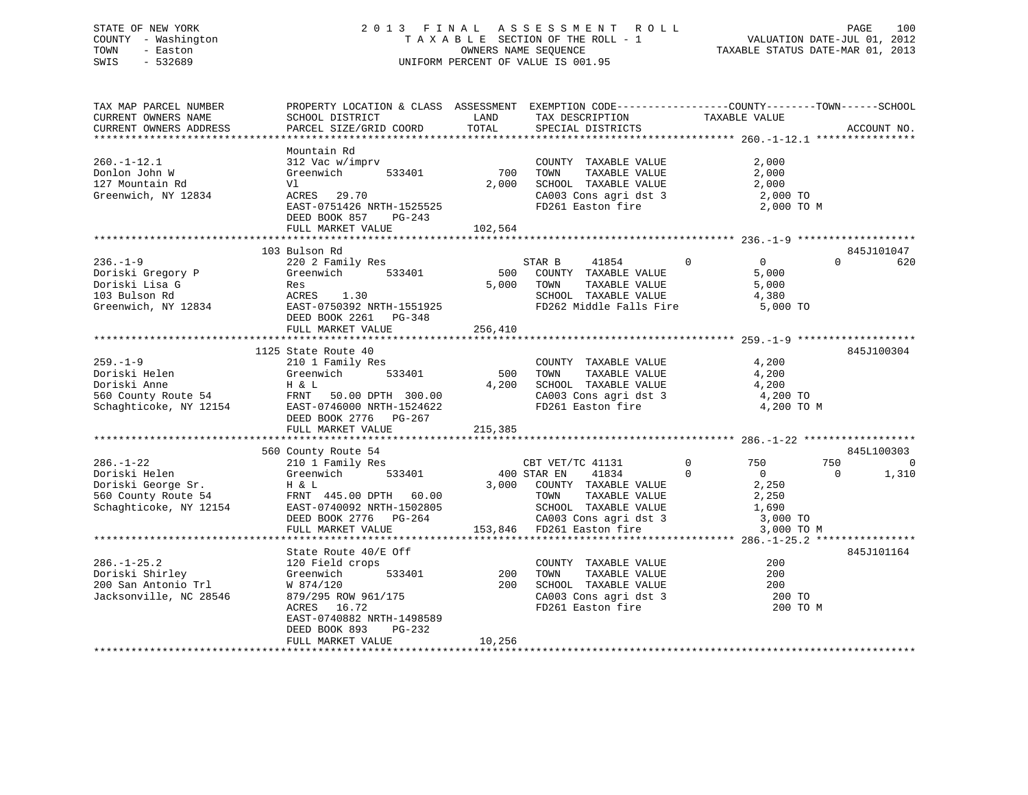# STATE OF NEW YORK 2 0 1 3 F I N A L A S S E S S M E N T R O L L PAGE 100 COUNTY - Washington T A X A B L E SECTION OF THE ROLL - 1 VALUATION DATE-JUL 01, 2012 TOWN - Easton OWNERS NAME SEQUENCE TAXABLE STATUS DATE-MAR 01, 2013 SWIS - 532689 UNIFORM PERCENT OF VALUE IS 001.95

| Mountain Rd<br>312 Vac w/imprv<br>Greenwich 533401<br>700<br>$260. - 1 - 12.1$<br>2,000<br>COUNTY TAXABLE VALUE<br>2,000<br>Donlon John W<br>TOWN<br>TAXABLE VALUE<br>$2,000$ SCHOOL TAXABLE VALUE $2,000$<br>127 Mountain Rd<br>Vl<br>Greenwich, NY 12834<br>ACRES 29.70<br>CA003 Cons agri dst 3<br>FD261 Easton fire<br>2,000 TO<br>EAST-0751426 NRTH-1525525<br>2,000 TO M<br>DEED BOOK 857 PG-243<br>FULL MARKET VALUE<br>102,564<br>103 Bulson Rd<br>845J101047<br>$\overline{0}$ 0<br>$236. - 1 - 9$<br>220 2 Family Res<br>STAR B<br>41854<br>$\Omega$<br>620<br>Greenwich 533401<br>Doriski Gregory P<br>500 COUNTY TAXABLE VALUE<br>5,000<br>5,000<br>Doriski Lisa G<br>103 Bulson Rd<br>Greenwich, NY 12834<br>EAST-0750392 NRTH-1551925<br>DEED BOOK 2261 PG-348<br>5,000 TOWN<br>TAXABLE VALUE<br>SCHOOL TAXABLE VALUE 4,380<br>FD262 Middle Falls Fire<br>5,000 TO<br>845J100304<br>1125 State Route 40<br>$259. - 1 - 9$<br>210 1 Family Res<br>Greenwich 533401<br>TAXABLE VALUE 4,200<br>TAXABLE VALUE 4,200<br>COUNTY TAXABLE VALUE<br>239.-1-9<br>Doriski Helen (1991)<br>Doriski Anne H&L<br>560 County Route 54 FRNT 50.00 DPTH 300.00<br>Schaghticoke, NY 12154 EAST-0746000 NRTH-1524622<br>500 TOWN<br>4,200 SCHOOL TAXABLE VALUE $4,200$<br>CA003 Cons agri dst 3 $4,200$ TO<br>FD261 Easton fire $4,200$ TO<br>4,200 TO M<br>DEED BOOK 2776 PG-267<br>215,385<br>FULL MARKET VALUE<br>845L100303<br>560 County Route 54<br>County Route 54<br>210 1 Family Res<br>CBT VET/TC 41131<br>0 750<br>$286. - 1 - 22$<br>750<br>0<br>$400$ STAR EN<br>1,310<br>$\overline{0}$<br>$\begin{tabular}{ccccc} 400 STR EN & 41834 & 0 & 0 \\ 3,000 & COUNTY & TAXABLE VALUE & & & 2,250 \end{tabular}$<br>286.-1-22<br>Doriski Helen (Sreenwich 533401 400 5.<br>Doriski George Sr. H & L 3,000<br>560 County Route 54 FRNT 445.00 DPTH 60.00<br>Schaghticoke, NY 12154 EAST-0740092 NRTH-1502805<br>DEED BOOK 2776 PG-264<br>TOWN TAXABLE VALUE<br>SCHOOL TAXABLE VALUE<br>CA003 Cons agri dst 3 3,000 TO<br>153,846 FD261 Easton fire 3,000 TO<br>FULL MARKET VALUE<br>3,000 TO M<br>845J101164<br>State Route 40/E Off<br>200<br>286.-1-25.2 120 Field crops<br>Doriski Shirley           Greenwich<br>COUNTY TAXABLE VALUE<br>TOWN      TAXABLE VALUE<br>533401 200<br>200<br>200<br>SCHOOL TAXABLE VALUE<br>CA003 Cons agri dst 3<br>200<br>DOFISAI DHIILE)<br>200 San Antonio Trl M 874/120<br>Jacksonville, NC 28546 879/295 ROW 961/175<br>200 TO<br>FD261 Easton fire<br>200 TO M<br>EAST-0740882 NRTH-1498589<br>DEED BOOK 893<br>PG-232<br>10,256<br>FULL MARKET VALUE | TAX MAP PARCEL NUMBER<br>CURRENT OWNERS NAME | PROPERTY LOCATION & CLASS ASSESSMENT EXEMPTION CODE----------------COUNTY-------TOWN------SCHOOL<br>SCHOOL DISTRICT | LAND  | TAX DESCRIPTION   | TAXABLE VALUE |             |
|------------------------------------------------------------------------------------------------------------------------------------------------------------------------------------------------------------------------------------------------------------------------------------------------------------------------------------------------------------------------------------------------------------------------------------------------------------------------------------------------------------------------------------------------------------------------------------------------------------------------------------------------------------------------------------------------------------------------------------------------------------------------------------------------------------------------------------------------------------------------------------------------------------------------------------------------------------------------------------------------------------------------------------------------------------------------------------------------------------------------------------------------------------------------------------------------------------------------------------------------------------------------------------------------------------------------------------------------------------------------------------------------------------------------------------------------------------------------------------------------------------------------------------------------------------------------------------------------------------------------------------------------------------------------------------------------------------------------------------------------------------------------------------------------------------------------------------------------------------------------------------------------------------------------------------------------------------------------------------------------------------------------------------------------------------------------------------------------------------------------------------------------------------------------------------------------------------------------------------------------------------------------------------------------------------------------------------------------------------------------------------------------------------------------------------------------------------------------------------------------------------------------------------------------------------------------------------------------|----------------------------------------------|---------------------------------------------------------------------------------------------------------------------|-------|-------------------|---------------|-------------|
|                                                                                                                                                                                                                                                                                                                                                                                                                                                                                                                                                                                                                                                                                                                                                                                                                                                                                                                                                                                                                                                                                                                                                                                                                                                                                                                                                                                                                                                                                                                                                                                                                                                                                                                                                                                                                                                                                                                                                                                                                                                                                                                                                                                                                                                                                                                                                                                                                                                                                                                                                                                                | CURRENT OWNERS ADDRESS                       | PARCEL SIZE/GRID COORD                                                                                              | TOTAL | SPECIAL DISTRICTS |               | ACCOUNT NO. |
|                                                                                                                                                                                                                                                                                                                                                                                                                                                                                                                                                                                                                                                                                                                                                                                                                                                                                                                                                                                                                                                                                                                                                                                                                                                                                                                                                                                                                                                                                                                                                                                                                                                                                                                                                                                                                                                                                                                                                                                                                                                                                                                                                                                                                                                                                                                                                                                                                                                                                                                                                                                                |                                              |                                                                                                                     |       |                   |               |             |
|                                                                                                                                                                                                                                                                                                                                                                                                                                                                                                                                                                                                                                                                                                                                                                                                                                                                                                                                                                                                                                                                                                                                                                                                                                                                                                                                                                                                                                                                                                                                                                                                                                                                                                                                                                                                                                                                                                                                                                                                                                                                                                                                                                                                                                                                                                                                                                                                                                                                                                                                                                                                |                                              |                                                                                                                     |       |                   |               |             |
|                                                                                                                                                                                                                                                                                                                                                                                                                                                                                                                                                                                                                                                                                                                                                                                                                                                                                                                                                                                                                                                                                                                                                                                                                                                                                                                                                                                                                                                                                                                                                                                                                                                                                                                                                                                                                                                                                                                                                                                                                                                                                                                                                                                                                                                                                                                                                                                                                                                                                                                                                                                                |                                              |                                                                                                                     |       |                   |               |             |
|                                                                                                                                                                                                                                                                                                                                                                                                                                                                                                                                                                                                                                                                                                                                                                                                                                                                                                                                                                                                                                                                                                                                                                                                                                                                                                                                                                                                                                                                                                                                                                                                                                                                                                                                                                                                                                                                                                                                                                                                                                                                                                                                                                                                                                                                                                                                                                                                                                                                                                                                                                                                |                                              |                                                                                                                     |       |                   |               |             |
|                                                                                                                                                                                                                                                                                                                                                                                                                                                                                                                                                                                                                                                                                                                                                                                                                                                                                                                                                                                                                                                                                                                                                                                                                                                                                                                                                                                                                                                                                                                                                                                                                                                                                                                                                                                                                                                                                                                                                                                                                                                                                                                                                                                                                                                                                                                                                                                                                                                                                                                                                                                                |                                              |                                                                                                                     |       |                   |               |             |
|                                                                                                                                                                                                                                                                                                                                                                                                                                                                                                                                                                                                                                                                                                                                                                                                                                                                                                                                                                                                                                                                                                                                                                                                                                                                                                                                                                                                                                                                                                                                                                                                                                                                                                                                                                                                                                                                                                                                                                                                                                                                                                                                                                                                                                                                                                                                                                                                                                                                                                                                                                                                |                                              |                                                                                                                     |       |                   |               |             |
|                                                                                                                                                                                                                                                                                                                                                                                                                                                                                                                                                                                                                                                                                                                                                                                                                                                                                                                                                                                                                                                                                                                                                                                                                                                                                                                                                                                                                                                                                                                                                                                                                                                                                                                                                                                                                                                                                                                                                                                                                                                                                                                                                                                                                                                                                                                                                                                                                                                                                                                                                                                                |                                              |                                                                                                                     |       |                   |               |             |
|                                                                                                                                                                                                                                                                                                                                                                                                                                                                                                                                                                                                                                                                                                                                                                                                                                                                                                                                                                                                                                                                                                                                                                                                                                                                                                                                                                                                                                                                                                                                                                                                                                                                                                                                                                                                                                                                                                                                                                                                                                                                                                                                                                                                                                                                                                                                                                                                                                                                                                                                                                                                |                                              |                                                                                                                     |       |                   |               |             |
|                                                                                                                                                                                                                                                                                                                                                                                                                                                                                                                                                                                                                                                                                                                                                                                                                                                                                                                                                                                                                                                                                                                                                                                                                                                                                                                                                                                                                                                                                                                                                                                                                                                                                                                                                                                                                                                                                                                                                                                                                                                                                                                                                                                                                                                                                                                                                                                                                                                                                                                                                                                                |                                              |                                                                                                                     |       |                   |               |             |
|                                                                                                                                                                                                                                                                                                                                                                                                                                                                                                                                                                                                                                                                                                                                                                                                                                                                                                                                                                                                                                                                                                                                                                                                                                                                                                                                                                                                                                                                                                                                                                                                                                                                                                                                                                                                                                                                                                                                                                                                                                                                                                                                                                                                                                                                                                                                                                                                                                                                                                                                                                                                |                                              |                                                                                                                     |       |                   |               |             |
|                                                                                                                                                                                                                                                                                                                                                                                                                                                                                                                                                                                                                                                                                                                                                                                                                                                                                                                                                                                                                                                                                                                                                                                                                                                                                                                                                                                                                                                                                                                                                                                                                                                                                                                                                                                                                                                                                                                                                                                                                                                                                                                                                                                                                                                                                                                                                                                                                                                                                                                                                                                                |                                              |                                                                                                                     |       |                   |               |             |
|                                                                                                                                                                                                                                                                                                                                                                                                                                                                                                                                                                                                                                                                                                                                                                                                                                                                                                                                                                                                                                                                                                                                                                                                                                                                                                                                                                                                                                                                                                                                                                                                                                                                                                                                                                                                                                                                                                                                                                                                                                                                                                                                                                                                                                                                                                                                                                                                                                                                                                                                                                                                |                                              |                                                                                                                     |       |                   |               |             |
|                                                                                                                                                                                                                                                                                                                                                                                                                                                                                                                                                                                                                                                                                                                                                                                                                                                                                                                                                                                                                                                                                                                                                                                                                                                                                                                                                                                                                                                                                                                                                                                                                                                                                                                                                                                                                                                                                                                                                                                                                                                                                                                                                                                                                                                                                                                                                                                                                                                                                                                                                                                                |                                              |                                                                                                                     |       |                   |               |             |
|                                                                                                                                                                                                                                                                                                                                                                                                                                                                                                                                                                                                                                                                                                                                                                                                                                                                                                                                                                                                                                                                                                                                                                                                                                                                                                                                                                                                                                                                                                                                                                                                                                                                                                                                                                                                                                                                                                                                                                                                                                                                                                                                                                                                                                                                                                                                                                                                                                                                                                                                                                                                |                                              |                                                                                                                     |       |                   |               |             |
|                                                                                                                                                                                                                                                                                                                                                                                                                                                                                                                                                                                                                                                                                                                                                                                                                                                                                                                                                                                                                                                                                                                                                                                                                                                                                                                                                                                                                                                                                                                                                                                                                                                                                                                                                                                                                                                                                                                                                                                                                                                                                                                                                                                                                                                                                                                                                                                                                                                                                                                                                                                                |                                              |                                                                                                                     |       |                   |               |             |
|                                                                                                                                                                                                                                                                                                                                                                                                                                                                                                                                                                                                                                                                                                                                                                                                                                                                                                                                                                                                                                                                                                                                                                                                                                                                                                                                                                                                                                                                                                                                                                                                                                                                                                                                                                                                                                                                                                                                                                                                                                                                                                                                                                                                                                                                                                                                                                                                                                                                                                                                                                                                |                                              |                                                                                                                     |       |                   |               |             |
|                                                                                                                                                                                                                                                                                                                                                                                                                                                                                                                                                                                                                                                                                                                                                                                                                                                                                                                                                                                                                                                                                                                                                                                                                                                                                                                                                                                                                                                                                                                                                                                                                                                                                                                                                                                                                                                                                                                                                                                                                                                                                                                                                                                                                                                                                                                                                                                                                                                                                                                                                                                                |                                              |                                                                                                                     |       |                   |               |             |
|                                                                                                                                                                                                                                                                                                                                                                                                                                                                                                                                                                                                                                                                                                                                                                                                                                                                                                                                                                                                                                                                                                                                                                                                                                                                                                                                                                                                                                                                                                                                                                                                                                                                                                                                                                                                                                                                                                                                                                                                                                                                                                                                                                                                                                                                                                                                                                                                                                                                                                                                                                                                |                                              |                                                                                                                     |       |                   |               |             |
|                                                                                                                                                                                                                                                                                                                                                                                                                                                                                                                                                                                                                                                                                                                                                                                                                                                                                                                                                                                                                                                                                                                                                                                                                                                                                                                                                                                                                                                                                                                                                                                                                                                                                                                                                                                                                                                                                                                                                                                                                                                                                                                                                                                                                                                                                                                                                                                                                                                                                                                                                                                                |                                              |                                                                                                                     |       |                   |               |             |
|                                                                                                                                                                                                                                                                                                                                                                                                                                                                                                                                                                                                                                                                                                                                                                                                                                                                                                                                                                                                                                                                                                                                                                                                                                                                                                                                                                                                                                                                                                                                                                                                                                                                                                                                                                                                                                                                                                                                                                                                                                                                                                                                                                                                                                                                                                                                                                                                                                                                                                                                                                                                |                                              |                                                                                                                     |       |                   |               |             |
|                                                                                                                                                                                                                                                                                                                                                                                                                                                                                                                                                                                                                                                                                                                                                                                                                                                                                                                                                                                                                                                                                                                                                                                                                                                                                                                                                                                                                                                                                                                                                                                                                                                                                                                                                                                                                                                                                                                                                                                                                                                                                                                                                                                                                                                                                                                                                                                                                                                                                                                                                                                                |                                              |                                                                                                                     |       |                   |               |             |
|                                                                                                                                                                                                                                                                                                                                                                                                                                                                                                                                                                                                                                                                                                                                                                                                                                                                                                                                                                                                                                                                                                                                                                                                                                                                                                                                                                                                                                                                                                                                                                                                                                                                                                                                                                                                                                                                                                                                                                                                                                                                                                                                                                                                                                                                                                                                                                                                                                                                                                                                                                                                |                                              |                                                                                                                     |       |                   |               |             |
|                                                                                                                                                                                                                                                                                                                                                                                                                                                                                                                                                                                                                                                                                                                                                                                                                                                                                                                                                                                                                                                                                                                                                                                                                                                                                                                                                                                                                                                                                                                                                                                                                                                                                                                                                                                                                                                                                                                                                                                                                                                                                                                                                                                                                                                                                                                                                                                                                                                                                                                                                                                                |                                              |                                                                                                                     |       |                   |               |             |
|                                                                                                                                                                                                                                                                                                                                                                                                                                                                                                                                                                                                                                                                                                                                                                                                                                                                                                                                                                                                                                                                                                                                                                                                                                                                                                                                                                                                                                                                                                                                                                                                                                                                                                                                                                                                                                                                                                                                                                                                                                                                                                                                                                                                                                                                                                                                                                                                                                                                                                                                                                                                |                                              |                                                                                                                     |       |                   |               |             |
|                                                                                                                                                                                                                                                                                                                                                                                                                                                                                                                                                                                                                                                                                                                                                                                                                                                                                                                                                                                                                                                                                                                                                                                                                                                                                                                                                                                                                                                                                                                                                                                                                                                                                                                                                                                                                                                                                                                                                                                                                                                                                                                                                                                                                                                                                                                                                                                                                                                                                                                                                                                                |                                              |                                                                                                                     |       |                   |               |             |
|                                                                                                                                                                                                                                                                                                                                                                                                                                                                                                                                                                                                                                                                                                                                                                                                                                                                                                                                                                                                                                                                                                                                                                                                                                                                                                                                                                                                                                                                                                                                                                                                                                                                                                                                                                                                                                                                                                                                                                                                                                                                                                                                                                                                                                                                                                                                                                                                                                                                                                                                                                                                |                                              |                                                                                                                     |       |                   |               |             |
|                                                                                                                                                                                                                                                                                                                                                                                                                                                                                                                                                                                                                                                                                                                                                                                                                                                                                                                                                                                                                                                                                                                                                                                                                                                                                                                                                                                                                                                                                                                                                                                                                                                                                                                                                                                                                                                                                                                                                                                                                                                                                                                                                                                                                                                                                                                                                                                                                                                                                                                                                                                                |                                              |                                                                                                                     |       |                   |               |             |
|                                                                                                                                                                                                                                                                                                                                                                                                                                                                                                                                                                                                                                                                                                                                                                                                                                                                                                                                                                                                                                                                                                                                                                                                                                                                                                                                                                                                                                                                                                                                                                                                                                                                                                                                                                                                                                                                                                                                                                                                                                                                                                                                                                                                                                                                                                                                                                                                                                                                                                                                                                                                |                                              |                                                                                                                     |       |                   |               |             |
|                                                                                                                                                                                                                                                                                                                                                                                                                                                                                                                                                                                                                                                                                                                                                                                                                                                                                                                                                                                                                                                                                                                                                                                                                                                                                                                                                                                                                                                                                                                                                                                                                                                                                                                                                                                                                                                                                                                                                                                                                                                                                                                                                                                                                                                                                                                                                                                                                                                                                                                                                                                                |                                              |                                                                                                                     |       |                   |               |             |
|                                                                                                                                                                                                                                                                                                                                                                                                                                                                                                                                                                                                                                                                                                                                                                                                                                                                                                                                                                                                                                                                                                                                                                                                                                                                                                                                                                                                                                                                                                                                                                                                                                                                                                                                                                                                                                                                                                                                                                                                                                                                                                                                                                                                                                                                                                                                                                                                                                                                                                                                                                                                |                                              |                                                                                                                     |       |                   |               |             |
|                                                                                                                                                                                                                                                                                                                                                                                                                                                                                                                                                                                                                                                                                                                                                                                                                                                                                                                                                                                                                                                                                                                                                                                                                                                                                                                                                                                                                                                                                                                                                                                                                                                                                                                                                                                                                                                                                                                                                                                                                                                                                                                                                                                                                                                                                                                                                                                                                                                                                                                                                                                                |                                              |                                                                                                                     |       |                   |               |             |
|                                                                                                                                                                                                                                                                                                                                                                                                                                                                                                                                                                                                                                                                                                                                                                                                                                                                                                                                                                                                                                                                                                                                                                                                                                                                                                                                                                                                                                                                                                                                                                                                                                                                                                                                                                                                                                                                                                                                                                                                                                                                                                                                                                                                                                                                                                                                                                                                                                                                                                                                                                                                |                                              |                                                                                                                     |       |                   |               |             |
|                                                                                                                                                                                                                                                                                                                                                                                                                                                                                                                                                                                                                                                                                                                                                                                                                                                                                                                                                                                                                                                                                                                                                                                                                                                                                                                                                                                                                                                                                                                                                                                                                                                                                                                                                                                                                                                                                                                                                                                                                                                                                                                                                                                                                                                                                                                                                                                                                                                                                                                                                                                                |                                              |                                                                                                                     |       |                   |               |             |
|                                                                                                                                                                                                                                                                                                                                                                                                                                                                                                                                                                                                                                                                                                                                                                                                                                                                                                                                                                                                                                                                                                                                                                                                                                                                                                                                                                                                                                                                                                                                                                                                                                                                                                                                                                                                                                                                                                                                                                                                                                                                                                                                                                                                                                                                                                                                                                                                                                                                                                                                                                                                |                                              |                                                                                                                     |       |                   |               |             |
|                                                                                                                                                                                                                                                                                                                                                                                                                                                                                                                                                                                                                                                                                                                                                                                                                                                                                                                                                                                                                                                                                                                                                                                                                                                                                                                                                                                                                                                                                                                                                                                                                                                                                                                                                                                                                                                                                                                                                                                                                                                                                                                                                                                                                                                                                                                                                                                                                                                                                                                                                                                                |                                              |                                                                                                                     |       |                   |               |             |
|                                                                                                                                                                                                                                                                                                                                                                                                                                                                                                                                                                                                                                                                                                                                                                                                                                                                                                                                                                                                                                                                                                                                                                                                                                                                                                                                                                                                                                                                                                                                                                                                                                                                                                                                                                                                                                                                                                                                                                                                                                                                                                                                                                                                                                                                                                                                                                                                                                                                                                                                                                                                |                                              |                                                                                                                     |       |                   |               |             |
|                                                                                                                                                                                                                                                                                                                                                                                                                                                                                                                                                                                                                                                                                                                                                                                                                                                                                                                                                                                                                                                                                                                                                                                                                                                                                                                                                                                                                                                                                                                                                                                                                                                                                                                                                                                                                                                                                                                                                                                                                                                                                                                                                                                                                                                                                                                                                                                                                                                                                                                                                                                                |                                              |                                                                                                                     |       |                   |               |             |
|                                                                                                                                                                                                                                                                                                                                                                                                                                                                                                                                                                                                                                                                                                                                                                                                                                                                                                                                                                                                                                                                                                                                                                                                                                                                                                                                                                                                                                                                                                                                                                                                                                                                                                                                                                                                                                                                                                                                                                                                                                                                                                                                                                                                                                                                                                                                                                                                                                                                                                                                                                                                |                                              |                                                                                                                     |       |                   |               |             |
|                                                                                                                                                                                                                                                                                                                                                                                                                                                                                                                                                                                                                                                                                                                                                                                                                                                                                                                                                                                                                                                                                                                                                                                                                                                                                                                                                                                                                                                                                                                                                                                                                                                                                                                                                                                                                                                                                                                                                                                                                                                                                                                                                                                                                                                                                                                                                                                                                                                                                                                                                                                                |                                              |                                                                                                                     |       |                   |               |             |
|                                                                                                                                                                                                                                                                                                                                                                                                                                                                                                                                                                                                                                                                                                                                                                                                                                                                                                                                                                                                                                                                                                                                                                                                                                                                                                                                                                                                                                                                                                                                                                                                                                                                                                                                                                                                                                                                                                                                                                                                                                                                                                                                                                                                                                                                                                                                                                                                                                                                                                                                                                                                |                                              |                                                                                                                     |       |                   |               |             |
|                                                                                                                                                                                                                                                                                                                                                                                                                                                                                                                                                                                                                                                                                                                                                                                                                                                                                                                                                                                                                                                                                                                                                                                                                                                                                                                                                                                                                                                                                                                                                                                                                                                                                                                                                                                                                                                                                                                                                                                                                                                                                                                                                                                                                                                                                                                                                                                                                                                                                                                                                                                                |                                              |                                                                                                                     |       |                   |               |             |
|                                                                                                                                                                                                                                                                                                                                                                                                                                                                                                                                                                                                                                                                                                                                                                                                                                                                                                                                                                                                                                                                                                                                                                                                                                                                                                                                                                                                                                                                                                                                                                                                                                                                                                                                                                                                                                                                                                                                                                                                                                                                                                                                                                                                                                                                                                                                                                                                                                                                                                                                                                                                |                                              |                                                                                                                     |       |                   |               |             |
|                                                                                                                                                                                                                                                                                                                                                                                                                                                                                                                                                                                                                                                                                                                                                                                                                                                                                                                                                                                                                                                                                                                                                                                                                                                                                                                                                                                                                                                                                                                                                                                                                                                                                                                                                                                                                                                                                                                                                                                                                                                                                                                                                                                                                                                                                                                                                                                                                                                                                                                                                                                                |                                              |                                                                                                                     |       |                   |               |             |
|                                                                                                                                                                                                                                                                                                                                                                                                                                                                                                                                                                                                                                                                                                                                                                                                                                                                                                                                                                                                                                                                                                                                                                                                                                                                                                                                                                                                                                                                                                                                                                                                                                                                                                                                                                                                                                                                                                                                                                                                                                                                                                                                                                                                                                                                                                                                                                                                                                                                                                                                                                                                |                                              |                                                                                                                     |       |                   |               |             |
|                                                                                                                                                                                                                                                                                                                                                                                                                                                                                                                                                                                                                                                                                                                                                                                                                                                                                                                                                                                                                                                                                                                                                                                                                                                                                                                                                                                                                                                                                                                                                                                                                                                                                                                                                                                                                                                                                                                                                                                                                                                                                                                                                                                                                                                                                                                                                                                                                                                                                                                                                                                                |                                              |                                                                                                                     |       |                   |               |             |
|                                                                                                                                                                                                                                                                                                                                                                                                                                                                                                                                                                                                                                                                                                                                                                                                                                                                                                                                                                                                                                                                                                                                                                                                                                                                                                                                                                                                                                                                                                                                                                                                                                                                                                                                                                                                                                                                                                                                                                                                                                                                                                                                                                                                                                                                                                                                                                                                                                                                                                                                                                                                |                                              |                                                                                                                     |       |                   |               |             |
|                                                                                                                                                                                                                                                                                                                                                                                                                                                                                                                                                                                                                                                                                                                                                                                                                                                                                                                                                                                                                                                                                                                                                                                                                                                                                                                                                                                                                                                                                                                                                                                                                                                                                                                                                                                                                                                                                                                                                                                                                                                                                                                                                                                                                                                                                                                                                                                                                                                                                                                                                                                                |                                              |                                                                                                                     |       |                   |               |             |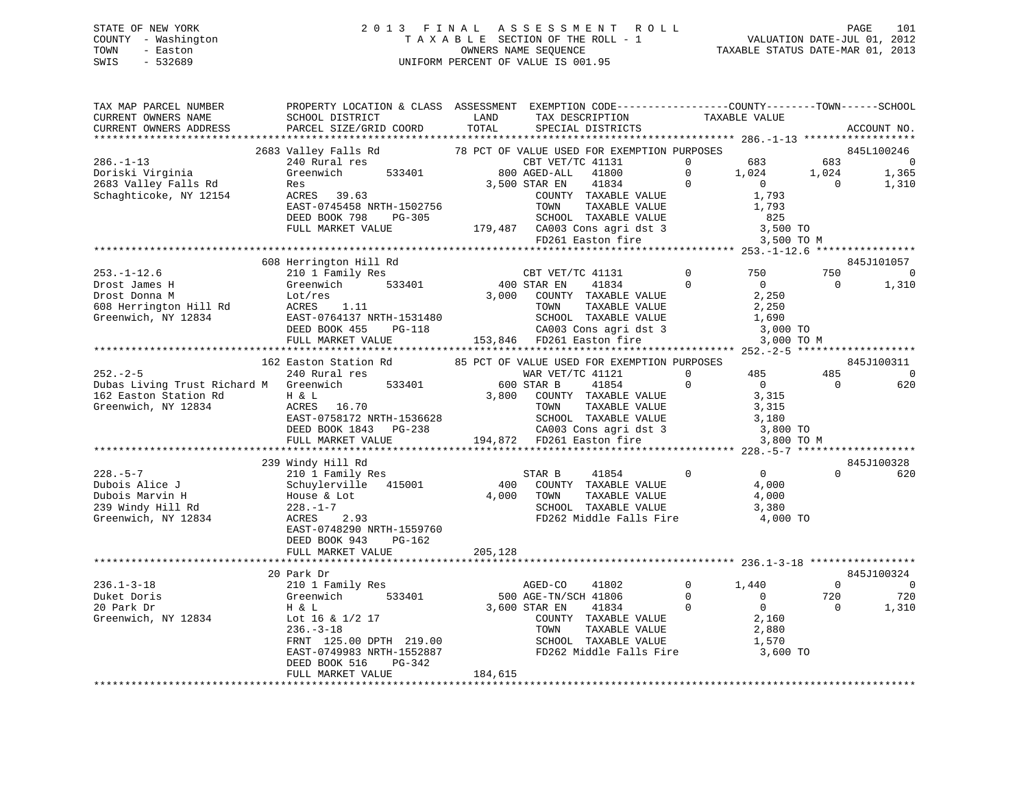# STATE OF NEW YORK 2 0 1 3 F I N A L A S S E S S M E N T R O L L PAGE 101 COUNTY - Washington T A X A B L E SECTION OF THE ROLL - 1 VALUATION DATE-JUL 01, 2012 TOWN - Easton OWNERS NAME SEQUENCE TAXABLE STATUS DATE-MAR 01, 2013 SWIS - 532689 UNIFORM PERCENT OF VALUE IS 001.95

| TAX MAP PARCEL NUMBER<br>CURRENT OWNERS NAME                                                                             | PROPERTY LOCATION & CLASS ASSESSMENT EXEMPTION CODE----------------COUNTY-------TOWN------SCHOOL<br>SCHOOL DISTRICT                                                                                                                    | LAND    | TAX DESCRIPTION                                                                                                            |                | TAXABLE VALUE  |                |                          |
|--------------------------------------------------------------------------------------------------------------------------|----------------------------------------------------------------------------------------------------------------------------------------------------------------------------------------------------------------------------------------|---------|----------------------------------------------------------------------------------------------------------------------------|----------------|----------------|----------------|--------------------------|
| CURRENT OWNERS ADDRESS                                                                                                   | PARCEL SIZE/GRID COORD                                                                                                                                                                                                                 | TOTAL   | SPECIAL DISTRICTS                                                                                                          |                |                |                | ACCOUNT NO.              |
|                                                                                                                          | 2683 Valley Falls Rd 28 PCT OF VALUE USED FOR EXEMPTION PUPOSES 845L100246<br>240 Rural res CBT VET/TC 41131 0 683 683 0<br>349 Greenwich 533401 800 AGED-ALL 41800 0 1,024 1,365<br>Res 3,500 STAR EN 41834 0 0 0 1,310<br>ACRES 39.6 |         |                                                                                                                            |                |                |                |                          |
|                                                                                                                          |                                                                                                                                                                                                                                        |         |                                                                                                                            |                |                |                |                          |
| $286. - 1 - 13$                                                                                                          |                                                                                                                                                                                                                                        |         |                                                                                                                            |                |                |                |                          |
| Doriski Virginia                                                                                                         |                                                                                                                                                                                                                                        |         |                                                                                                                            |                |                |                |                          |
| 2683 Valley Falls Rd                                                                                                     |                                                                                                                                                                                                                                        |         |                                                                                                                            |                |                |                |                          |
| Schaghticoke, NY 12154                                                                                                   |                                                                                                                                                                                                                                        |         |                                                                                                                            |                |                |                |                          |
|                                                                                                                          |                                                                                                                                                                                                                                        |         |                                                                                                                            |                |                |                |                          |
|                                                                                                                          |                                                                                                                                                                                                                                        |         |                                                                                                                            |                |                |                |                          |
|                                                                                                                          |                                                                                                                                                                                                                                        |         |                                                                                                                            |                |                |                |                          |
|                                                                                                                          |                                                                                                                                                                                                                                        |         |                                                                                                                            |                |                |                |                          |
|                                                                                                                          |                                                                                                                                                                                                                                        |         |                                                                                                                            |                |                |                | 845J101057               |
|                                                                                                                          |                                                                                                                                                                                                                                        |         |                                                                                                                            |                |                | 750            | $\overline{0}$           |
|                                                                                                                          |                                                                                                                                                                                                                                        |         |                                                                                                                            |                |                | $\overline{0}$ | 1,310                    |
|                                                                                                                          |                                                                                                                                                                                                                                        |         |                                                                                                                            |                |                |                |                          |
|                                                                                                                          |                                                                                                                                                                                                                                        |         |                                                                                                                            |                |                |                |                          |
|                                                                                                                          |                                                                                                                                                                                                                                        |         |                                                                                                                            |                |                |                |                          |
|                                                                                                                          |                                                                                                                                                                                                                                        |         |                                                                                                                            |                |                |                |                          |
|                                                                                                                          |                                                                                                                                                                                                                                        |         |                                                                                                                            |                | 3,000 TO M     |                |                          |
|                                                                                                                          |                                                                                                                                                                                                                                        |         |                                                                                                                            |                |                |                |                          |
|                                                                                                                          |                                                                                                                                                                                                                                        |         |                                                                                                                            |                |                |                | 845J100311               |
|                                                                                                                          |                                                                                                                                                                                                                                        |         |                                                                                                                            |                |                | 485            | $\overline{\phantom{0}}$ |
|                                                                                                                          |                                                                                                                                                                                                                                        |         |                                                                                                                            | $\overline{0}$ | $\overline{0}$ | $\overline{0}$ | 620                      |
| Dubas Living Trust Richard M Greenwich 533401 600 STAR B 41854<br>162 Easton Station Rd H & L<br>Creenwich NY 12024 1652 |                                                                                                                                                                                                                                        |         |                                                                                                                            |                | 3,315          |                |                          |
| 162 Easton Station Rd<br>Greenwich, NY 12834 ACRES 16.70                                                                 |                                                                                                                                                                                                                                        |         |                                                                                                                            |                |                |                |                          |
|                                                                                                                          |                                                                                                                                                                                                                                        |         |                                                                                                                            |                |                |                |                          |
|                                                                                                                          |                                                                                                                                                                                                                                        |         |                                                                                                                            |                |                |                |                          |
|                                                                                                                          | ACRES 16.70<br>EAST-0758172 NRTH-1536628<br>DEED BOOK 1843 PG-238<br>TOLL MARKET VALUE 194,872 PD261 Easton fire 3,800 TO M<br>PULL MARKET VALUE 194,872 PD261 Easton fire 3,800 TO M                                                  |         |                                                                                                                            |                |                |                |                          |
|                                                                                                                          |                                                                                                                                                                                                                                        |         |                                                                                                                            |                |                |                |                          |
| 228.-5-7<br>Dubois Alice J<br>Anarvin H                                                                                  | 239 Windy Hill Rd                                                                                                                                                                                                                      |         |                                                                                                                            |                |                |                | 845J100328               |
|                                                                                                                          | 210 1 Family Res                                                                                                                                                                                                                       |         | 41854 0 0<br>STAR B                                                                                                        |                |                | $\Omega$       | 620                      |
|                                                                                                                          | Schuylerville 415001                                                                                                                                                                                                                   |         | 400 COUNTY TAXABLE VALUE                                                                                                   |                | 4,000          |                |                          |
|                                                                                                                          |                                                                                                                                                                                                                                        |         | TAXABLE VALUE<br>4,000 TOWN                                                                                                |                | 4,000          |                |                          |
| 239 Windy Hill Rd                                                                                                        | 210 1 Family<br>Schuylervill<br>House & Lot<br>228.-1-7<br>$\frac{3}{2}$                                                                                                                                                               |         | SCHOOL TAXABLE VALUE                                                                                                       |                | 3,380          |                |                          |
| Greenwich, NY 12834 ACRES 2.93                                                                                           |                                                                                                                                                                                                                                        |         | FD262 Middle Falls Fire 4,000 TO                                                                                           |                |                |                |                          |
|                                                                                                                          | EAST-0748290 NRTH-1559760                                                                                                                                                                                                              |         |                                                                                                                            |                |                |                |                          |
|                                                                                                                          | DEED BOOK 943<br>PG-162                                                                                                                                                                                                                |         |                                                                                                                            |                |                |                |                          |
|                                                                                                                          | FULL MARKET VALUE                                                                                                                                                                                                                      | 205,128 |                                                                                                                            |                |                |                |                          |
|                                                                                                                          |                                                                                                                                                                                                                                        |         |                                                                                                                            |                |                |                |                          |
|                                                                                                                          | 20 Park Dr                                                                                                                                                                                                                             |         |                                                                                                                            |                |                |                | 845J100324               |
| $236.1 - 3 - 18$                                                                                                         |                                                                                                                                                                                                                                        |         | AGED-CO<br>41802                                                                                                           | $0 \t 1,440$   |                | $\overline{0}$ | $\sim$ 0                 |
| Duket Doris<br>20 Park Dr                                                                                                | 210 1 Family Res<br>Greenwich 533401<br>H & L<br>Lot 16 & 1/2 17<br>533401                                                                                                                                                             |         | 500 AGE-TN/SCH 41806                                                                                                       | $\overline{0}$ | $\overline{0}$ | 720            | 720                      |
| 20 Park Dr                                                                                                               |                                                                                                                                                                                                                                        |         | $\overline{0}$<br>3,600 STAR EN                                                                                            |                |                | $\bigcap$      | 1,310                    |
| Greenwich, NY 12834                                                                                                      |                                                                                                                                                                                                                                        |         |                                                                                                                            |                |                |                |                          |
|                                                                                                                          | $236. - 3 - 18$                                                                                                                                                                                                                        |         |                                                                                                                            |                |                |                |                          |
|                                                                                                                          | FRNT 125.00 DPTH 219.00<br>EAST-0749983 NRTH-1552887                                                                                                                                                                                   |         | TAR EN 41834<br>COUNTY TAXABLE VALUE 2,880<br>TOWN TAXABLE VALUE 2,880<br>TOWN TAXABLE VALUE 1,570<br>SCHOOL TAXABLE VALUE |                |                |                |                          |
|                                                                                                                          |                                                                                                                                                                                                                                        |         | FD262 Middle Falls Fire 3,600 TO                                                                                           |                |                |                |                          |
|                                                                                                                          | DEED BOOK 516<br>PG-342                                                                                                                                                                                                                |         |                                                                                                                            |                |                |                |                          |
|                                                                                                                          | FULL MARKET VALUE                                                                                                                                                                                                                      | 184,615 |                                                                                                                            |                |                |                |                          |
|                                                                                                                          |                                                                                                                                                                                                                                        |         |                                                                                                                            |                |                |                |                          |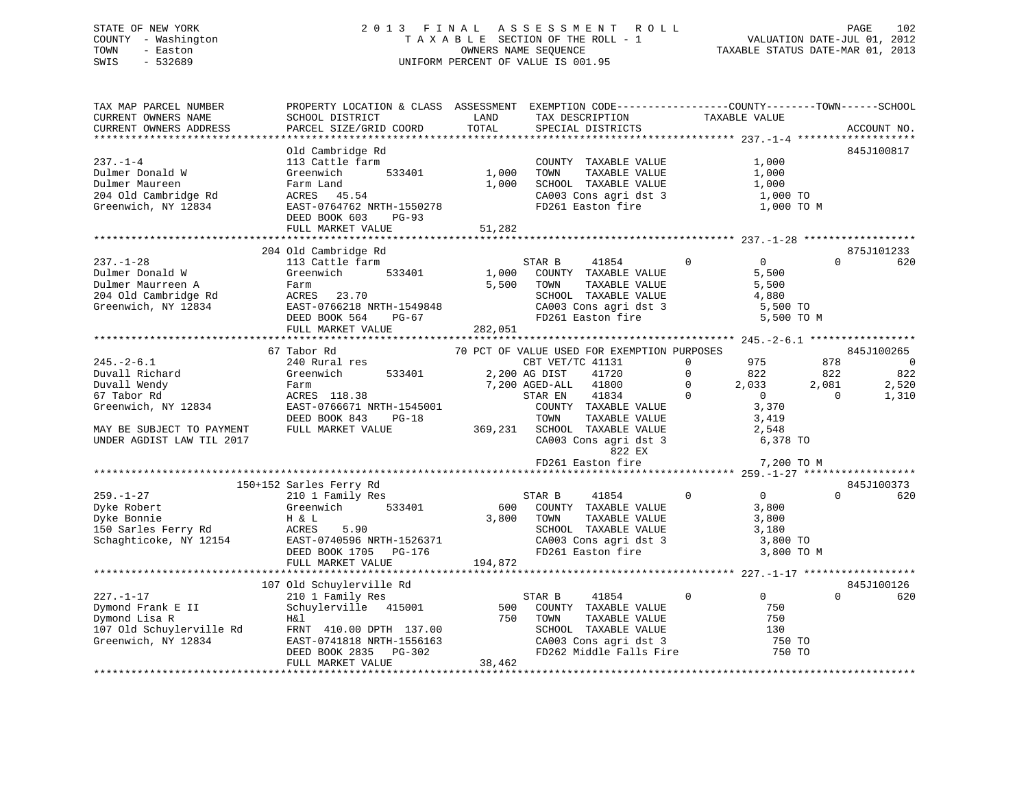# STATE OF NEW YORK 2 0 1 3 F I N A L A S S E S S M E N T R O L L PAGE 102 COUNTY - Washington T A X A B L E SECTION OF THE ROLL - 1 VALUATION DATE-JUL 01, 2012 TOWN - Easton OWNERS NAME SEQUENCE TAXABLE STATUS DATE-MAR 01, 2013 SWIS - 532689 UNIFORM PERCENT OF VALUE IS 001.95

| TAX MAP PARCEL NUMBER<br>CURRENT OWNERS NAME<br>CURRENT OWNERS ADDRESS                                                                                                                                                     | PROPERTY LOCATION & CLASS ASSESSMENT EXEMPTION CODE----------------COUNTY-------TOWN------SCHOOL<br>SCHOOL DISTRICT<br>PARCEL SIZE/GRID COORD                                                                                                           | LAND<br>TOTAL             | TAX DESCRIPTION<br>SPECIAL DISTRICTS                                                                                                                                                                                                                                                                                                                                  | TAXABLE VALUE                                                                                                                                                                                              | ACCOUNT NO.                                                                                                               |
|----------------------------------------------------------------------------------------------------------------------------------------------------------------------------------------------------------------------------|---------------------------------------------------------------------------------------------------------------------------------------------------------------------------------------------------------------------------------------------------------|---------------------------|-----------------------------------------------------------------------------------------------------------------------------------------------------------------------------------------------------------------------------------------------------------------------------------------------------------------------------------------------------------------------|------------------------------------------------------------------------------------------------------------------------------------------------------------------------------------------------------------|---------------------------------------------------------------------------------------------------------------------------|
| $237. - 1 - 4$<br>Dulmer Donald W<br>Dulmer Maureen<br>204 Old Cambridge Rd<br>Greenwich, NY 12834                                                                                                                         | Old Cambridge Rd<br>113 Cattle farm<br>533401<br>Greenwich<br>Farm Land<br>ACRES 45.54<br>EAST-0764762 NRTH-1550278<br>DEED BOOK 603<br>PG-93<br>FULL MARKET VALUE                                                                                      | 1,000<br>1,000<br>51,282  | COUNTY TAXABLE VALUE<br>TOWN<br>TAXABLE VALUE<br>SCHOOL TAXABLE VALUE<br>CA003 Cons agri dst 3<br>FD261 Easton fire                                                                                                                                                                                                                                                   | 1,000<br>1,000<br>1,000<br>1,000 TO<br>1,000 TO M                                                                                                                                                          | 845J100817                                                                                                                |
|                                                                                                                                                                                                                            |                                                                                                                                                                                                                                                         |                           |                                                                                                                                                                                                                                                                                                                                                                       |                                                                                                                                                                                                            |                                                                                                                           |
| $237. - 1 - 28$<br>Dulmer Donald W<br>Dulmer Maurreen A<br>204 Old Cambridge Rd<br>Greenwich, NY 12834                                                                                                                     | 204 Old Cambridge Rd<br>113 Cattle farm<br>Greenwich<br>533401<br>Farm<br>ACRES 23.70<br>EAST-0766218 NRTH-1549848<br>DEED BOOK 564<br>PG-67<br>FULL MARKET VALUE                                                                                       | 1,000<br>5,500<br>282,051 | STAR B<br>41854<br>COUNTY TAXABLE VALUE<br>TOWN<br>TAXABLE VALUE<br>SCHOOL TAXABLE VALUE<br>CA003 Cons agri dst 3<br>FD261 Easton fire                                                                                                                                                                                                                                | $\Omega$<br>$\Omega$<br>5,500<br>5,500<br>4,880<br>5,500 TO<br>5,500 TO M                                                                                                                                  | 875J101233<br>620<br>$\Omega$                                                                                             |
|                                                                                                                                                                                                                            |                                                                                                                                                                                                                                                         |                           |                                                                                                                                                                                                                                                                                                                                                                       |                                                                                                                                                                                                            |                                                                                                                           |
| $245. - 2 - 6.1$<br>Duvall Richard<br>Duvall Wendy<br>67 Tabor Rd<br>Greenwich, NY 12834<br>MAY BE SUBJECT TO PAYMENT<br>UNDER AGDIST LAW TIL 2017<br>$259. - 1 - 27$<br>Dyke Robert<br>Dyke Bonnie<br>150 Sarles Ferry Rd | 67 Tabor Rd<br>240 Rural res<br>533401<br>Greenwich<br>Farm<br>ACRES 118.38<br>EAST-0766671 NRTH-1545001<br>DEED BOOK 843<br>PG-18<br>FULL MARKET VALUE<br>150+152 Sarles Ferry Rd<br>210 1 Family Res<br>Greenwich<br>533401<br>H & L<br>ACRES<br>5.90 | 369,231<br>600<br>3,800   | 70 PCT OF VALUE USED FOR EXEMPTION PURPOSES<br>CBT VET/TC 41131<br>2,200 AG DIST<br>41720<br>41800<br>7,200 AGED-ALL<br>STAR EN<br>41834<br>COUNTY TAXABLE VALUE<br>TOWN<br>TAXABLE VALUE<br>SCHOOL TAXABLE VALUE<br>CA003 Cons agri dst 3<br>822 EX<br>FD261 Easton fire<br>STAR B<br>41854<br>COUNTY TAXABLE VALUE<br>TOWN<br>TAXABLE VALUE<br>SCHOOL TAXABLE VALUE | 975<br>$\mathbf{0}$<br>822<br>$\Omega$<br>2,033<br>$\Omega$<br>$\Omega$<br>$\overline{0}$<br>3,370<br>3,419<br>2,548<br>6,378 TO<br>7,200 TO M<br>$\mathbf 0$<br>$\overline{0}$<br>3,800<br>3,800<br>3,180 | 845J100265<br>878<br>$\overline{0}$<br>822<br>822<br>2,081<br>2,520<br>$\Omega$<br>1,310<br>845J100373<br>$\Omega$<br>620 |
| Schaghticoke, NY 12154                                                                                                                                                                                                     | EAST-0740596 NRTH-1526371<br>DEED BOOK 1705 PG-176<br>FULL MARKET VALUE                                                                                                                                                                                 | 194,872                   | CA003 Cons agri dst 3<br>FD261 Easton fire                                                                                                                                                                                                                                                                                                                            | 3,800 TO<br>3,800 TO M                                                                                                                                                                                     |                                                                                                                           |
|                                                                                                                                                                                                                            |                                                                                                                                                                                                                                                         |                           |                                                                                                                                                                                                                                                                                                                                                                       |                                                                                                                                                                                                            |                                                                                                                           |
| $227. - 1 - 17$<br>Dymond Frank E II<br>Dymond Lisa R<br>107 Old Schuylerville Rd<br>Greenwich, NY 12834                                                                                                                   | 107 Old Schuylerville Rd<br>210 1 Family Res<br>Schuylerville 415001<br>H&l<br>FRNT 410.00 DPTH 137.00<br>EAST-0741818 NRTH-1556163<br>DEED BOOK 2835<br>PG-302<br>FULL MARKET VALUE                                                                    | 500<br>750<br>38,462      | STAR B<br>41854<br>COUNTY TAXABLE VALUE<br>TOWN<br>TAXABLE VALUE<br>SCHOOL TAXABLE VALUE<br>CA003 Cons agri dst 3<br>FD262 Middle Falls Fire                                                                                                                                                                                                                          | 0<br>$\overline{0}$<br>750<br>750<br>130<br>750 TO<br>750 TO                                                                                                                                               | 845J100126<br>$\Omega$<br>620                                                                                             |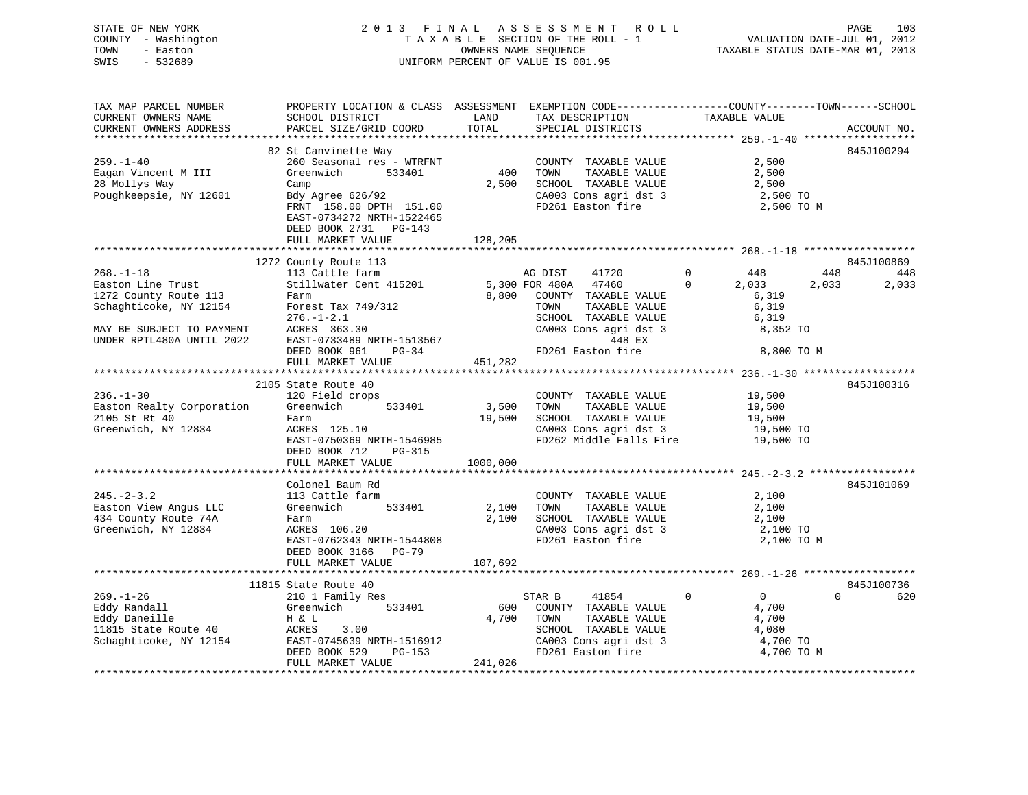| STATE OF NEW YORK                      | 2013 FINAL                                                                                      |                                    |      | A S S E S S M E N T R O L L  |                                                                          |            | 103<br>PAGE |
|----------------------------------------|-------------------------------------------------------------------------------------------------|------------------------------------|------|------------------------------|--------------------------------------------------------------------------|------------|-------------|
| COUNTY - Washington                    |                                                                                                 | TAXABLE SECTION OF THE ROLL - 1    |      |                              | ROLL - 1 VALUATION DATE-JUL 01, 2012<br>TAXABLE STATUS DATE-MAR 01, 2013 |            |             |
| TOWN<br>- Easton                       |                                                                                                 | OWNERS NAME SEQUENCE               |      |                              |                                                                          |            |             |
| $-532689$<br>SWIS                      |                                                                                                 | UNIFORM PERCENT OF VALUE IS 001.95 |      |                              |                                                                          |            |             |
|                                        |                                                                                                 |                                    |      |                              |                                                                          |            |             |
| TAX MAP PARCEL NUMBER                  | PROPERTY LOCATION & CLASS ASSESSMENT EXEMPTION CODE----------------COUNTY-------TOWN-----SCHOOL |                                    |      |                              |                                                                          |            |             |
|                                        |                                                                                                 |                                    |      |                              |                                                                          |            |             |
|                                        |                                                                                                 |                                    |      |                              |                                                                          |            |             |
|                                        |                                                                                                 |                                    |      |                              |                                                                          |            |             |
|                                        | 82 St Canvinette Way                                                                            |                                    |      |                              |                                                                          |            | 845J100294  |
| $259. - 1 - 40$                        | 260 Seasonal res - WTRFNT                                                                       |                                    |      | COUNTY TAXABLE VALUE 2,500   |                                                                          |            |             |
| Eagan Vincent M III Greenwich 533401   |                                                                                                 | 400 TOWN                           |      | TAXABLE VALUE                | 2,500                                                                    |            |             |
| 28 Mollys Way                          | Camp                                                                                            | 2,500                              |      | SCHOOL TAXABLE VALUE 2,500   |                                                                          |            |             |
|                                        | Poughkeepsie, NY 12601 Bdy Agree 626/92                                                         |                                    |      | CA003 Cons agri dst 3        | $2,500$ TO                                                               |            |             |
|                                        | FRNT 158.00 DPTH 151.00<br>EAST-0734272 NRTH-1522465                                            |                                    |      | FD261 Easton fire 2,500 TO M |                                                                          |            |             |
|                                        | DEED BOOK 2731 PG-143                                                                           |                                    |      |                              |                                                                          |            |             |
|                                        | FULL MARKET VALUE                                                                               | 128,205                            |      |                              |                                                                          |            |             |
|                                        |                                                                                                 |                                    |      |                              |                                                                          |            |             |
|                                        | 1272 County Route 113                                                                           |                                    |      |                              |                                                                          |            | 845J100869  |
| $268. - 1 - 18$                        |                                                                                                 |                                    |      | 41720                        | $\overline{0}$<br>448                                                    | 448        | 448         |
| Easton Line Trust                      |                                                                                                 |                                    |      | 47460                        | $\Omega$<br>2,033                                                        | 2,033      | 2,033       |
| 1272 County Route 113                  | Farm                                                                                            |                                    |      | 8,800 COUNTY TAXABLE VALUE   |                                                                          | 6,319      |             |
| Schaghticoke, NY 12154                 | Forest Tax 749/312                                                                              |                                    | TOWN | TAXABLE VALUE                |                                                                          | 6,319      |             |
|                                        | $276. - 1 - 2.1$                                                                                |                                    |      | SCHOOL TAXABLE VALUE         |                                                                          | 6,319      |             |
| MAY BE SUBJECT TO PAYMENT ACRES 363.30 |                                                                                                 |                                    |      | CA003 Cons agri dst 3        |                                                                          | 8,352 TO   |             |
| UNDER RPTL480A UNTIL 2022              | EAST-0733489 NRTH-1513567                                                                       |                                    |      | 448 EX                       |                                                                          |            |             |
|                                        | $PG-34$<br>DEED BOOK 961                                                                        |                                    |      | FD261 Easton fire            |                                                                          | 8,800 TO M |             |
|                                        | FULL MARKET VALUE                                                                               | 451,282                            |      |                              |                                                                          |            |             |
|                                        |                                                                                                 |                                    |      |                              |                                                                          |            |             |
|                                        | 2105 State Route 40                                                                             |                                    |      |                              |                                                                          |            | 845J100316  |
| $236. - 1 - 30$                        | 120 Field crops                                                                                 |                                    |      | COUNTY TAXABLE VALUE         | 19,500                                                                   |            |             |
| Easton Realty Corporation Greenwich    | 533401                                                                                          | 3,500                              | TOWN | TAXABLE VALUE                | 19,500                                                                   |            |             |
| 2105 St Rt 40                          | Farm                                                                                            | 19,500                             |      | SCHOOL TAXABLE VALUE         | 19,500                                                                   |            |             |

|                           | EAST-0750369 NRTH-1546985<br>DEED BOOK 712<br>$PG-315$ |               | FD262 Middle Falls Fire | 19,500 TO      |                 |
|---------------------------|--------------------------------------------------------|---------------|-------------------------|----------------|-----------------|
|                           | FULL MARKET VALUE                                      | 1000,000      |                         |                |                 |
|                           |                                                        |               |                         |                |                 |
|                           | Colonel Baum Rd                                        |               |                         |                | 845J101069      |
| $245. - 2 - 3.2$          | 113 Cattle farm                                        |               | COUNTY TAXABLE VALUE    | 2,100          |                 |
| Easton View Angus LLC     | 533401<br>Greenwich                                    | 2,100<br>TOWN | TAXABLE VALUE           | 2,100          |                 |
| 434 County Route 74A      | Farm                                                   | 2,100         | SCHOOL TAXABLE VALUE    | 2,100          |                 |
| Greenwich, NY 12834       | ACRES 106.20                                           |               | CA003 Cons agri dst 3   | 2,100 TO       |                 |
|                           | EAST-0762343 NRTH-1544808                              |               | FD261 Easton fire       | 2,100 TO M     |                 |
|                           | DEED BOOK 3166 PG-79                                   |               |                         |                |                 |
|                           | FULL MARKET VALUE                                      | 107,692       |                         |                |                 |
|                           |                                                        |               |                         |                |                 |
|                           | 11815 State Route 40                                   |               |                         |                | 845J100736      |
| $269. - 1 - 26$           | 210 1 Family Res                                       | STAR B        | 41854<br>$\mathbf 0$    | $\overline{0}$ | 620<br>$\Omega$ |
| Eddy Randall <b>Eddy</b>  | Greenwich<br>533401                                    | 600<br>COUNTY | TAXABLE VALUE           | 4,700          |                 |
| Eddy Daneille <b>Eddy</b> | $H \& L$                                               | 4,700<br>TOWN | TAXABLE VALUE           | 4,700          |                 |
| 11815 State Route 40      | ACRES 3.00                                             | SCHOOL        | TAXABLE VALUE           | 4,080          |                 |
| Schaghticoke, NY 12154    | EAST-0745639 NRTH-1516912                              |               | CA003 Cons agri dst 3   | 4,700 TO       |                 |
|                           | DEED BOOK 529<br>PG-153                                |               | FD261 Easton fire       | 4,700 TO M     |                 |
|                           | FULL MARKET VALUE                                      | 241,026       |                         |                |                 |
|                           |                                                        |               |                         |                |                 |
|                           |                                                        |               |                         |                |                 |

Greenwich, NY 12834 ACRES 125.10 CA003 Cons agri dst 3 19,500 TO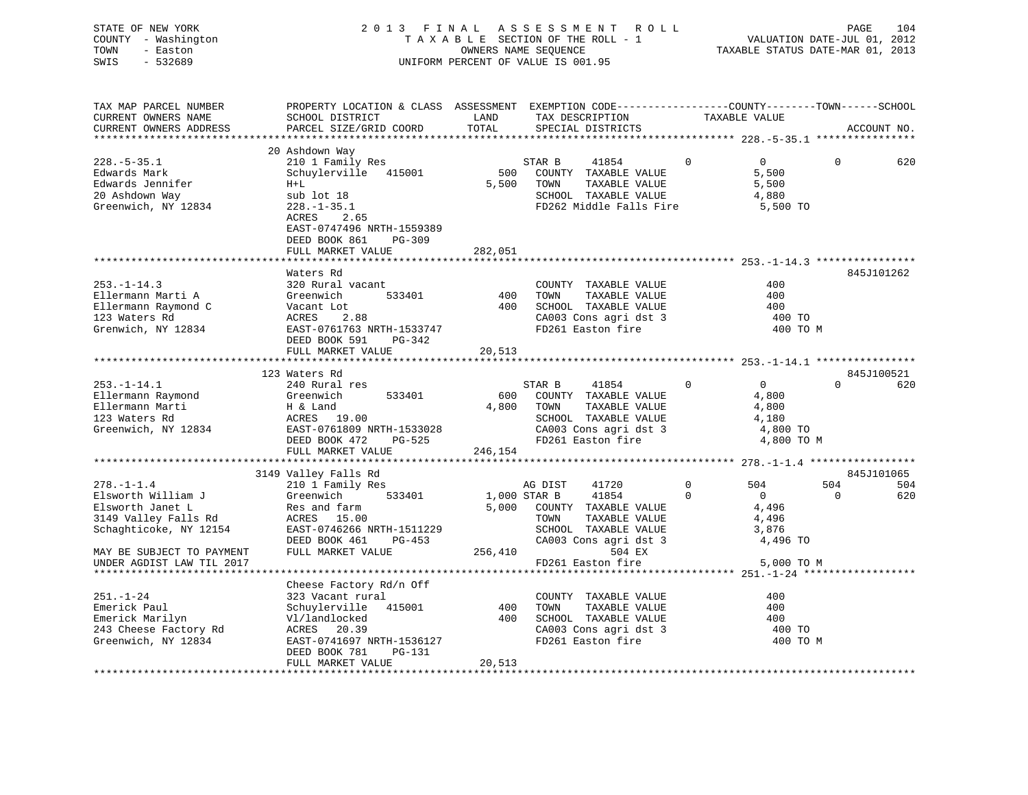| STATE OF NEW YORK   | 2013 FINAL ASSESSMENT ROLL         | 104<br>PAGE                      |
|---------------------|------------------------------------|----------------------------------|
| COUNTY - Washington | TAXABLE SECTION OF THE ROLL - 1    | VALUATION DATE-JUL 01, 2012      |
| TOWN<br>- Easton    | OWNERS NAME SEOUENCE               | TAXABLE STATUS DATE-MAR 01, 2013 |
| - 532689<br>SWIS    | UNIFORM PERCENT OF VALUE IS 001.95 |                                  |

| TAX MAP PARCEL NUMBER     | PROPERTY LOCATION & CLASS ASSESSMENT EXEMPTION CODE-----------------COUNTY-------TOWN------SCHOOL                                           |          |                                                                                                                                  |                                  |                |             |
|---------------------------|---------------------------------------------------------------------------------------------------------------------------------------------|----------|----------------------------------------------------------------------------------------------------------------------------------|----------------------------------|----------------|-------------|
| CURRENT OWNERS NAME       | SCHOOL DISTRICT                                                                                                                             | LAND     | TAX DESCRIPTION                                                                                                                  | TAXABLE VALUE                    |                |             |
| CURRENT OWNERS ADDRESS    | PARCEL SIZE/GRID COORD                                                                                                                      | TOTAL    | SPECIAL DISTRICTS                                                                                                                |                                  |                | ACCOUNT NO. |
|                           |                                                                                                                                             |          |                                                                                                                                  |                                  |                |             |
|                           | 20 Ashdown Way                                                                                                                              |          |                                                                                                                                  |                                  |                |             |
| $228. - 5 - 35.1$         | 210 1 Family Res                                                                                                                            |          | STAR B<br>41854                                                                                                                  | $\Omega$<br>$\Omega$             | $\Omega$       | 620         |
| Edwards Mark              | Schuylerville 415001                                                                                                                        | 500      | COUNTY TAXABLE VALUE                                                                                                             | 5,500                            |                |             |
| Edwards Jennifer          | $H+L$                                                                                                                                       |          | 5,500 TOWN<br>TAXABLE VALUE                                                                                                      | 5,500                            |                |             |
| 20 Ashdown Way            | sub lot 18                                                                                                                                  |          | SCHOOL TAXABLE VALUE                                                                                                             | 4,880                            |                |             |
| Greenwich, NY 12834       | $228. - 1 - 35.1$                                                                                                                           |          | FD262 Middle Falls Fire                                                                                                          | $5,500$ TO                       |                |             |
|                           | ACRES 2.65                                                                                                                                  |          |                                                                                                                                  |                                  |                |             |
|                           | EAST-0747496 NRTH-1559389                                                                                                                   |          |                                                                                                                                  |                                  |                |             |
|                           | DEED BOOK 861<br>PG-309                                                                                                                     |          |                                                                                                                                  |                                  |                |             |
|                           | FULL MARKET VALUE                                                                                                                           | 282,051  |                                                                                                                                  |                                  |                |             |
|                           |                                                                                                                                             |          |                                                                                                                                  |                                  |                |             |
|                           | Waters Rd                                                                                                                                   |          |                                                                                                                                  |                                  |                | 845J101262  |
| $253. - 1 - 14.3$         | 320 Rural vacant                                                                                                                            |          | COUNTY TAXABLE VALUE                                                                                                             | 400                              |                |             |
| Ellermann Marti A         | 533401                                                                                                                                      | 400      | TOWN<br>TAXABLE VALUE                                                                                                            | 400                              |                |             |
| Ellermann Raymond C       |                                                                                                                                             | 400      | SCHOOL TAXABLE VALUE                                                                                                             | 400                              |                |             |
| 123 Waters Rd             |                                                                                                                                             |          |                                                                                                                                  |                                  | 400 TO         |             |
| Grenwich, NY 12834        | Greenwich 533401<br>Vacant Lot<br>ACRES 2.88<br>EAST-0761763 NRTH-1533747                                                                   |          | CA003 Cons agri dst 3<br>FD261 Easton fire                                                                                       |                                  | 400 TO M       |             |
|                           | DEED BOOK 591<br>PG-342                                                                                                                     |          |                                                                                                                                  |                                  |                |             |
|                           | FULL MARKET VALUE                                                                                                                           | 20,513   |                                                                                                                                  |                                  |                |             |
|                           |                                                                                                                                             |          |                                                                                                                                  |                                  |                |             |
|                           | 123 Waters Rd                                                                                                                               |          |                                                                                                                                  |                                  |                | 845J100521  |
| $253. - 1 - 14.1$         | 240 Rural res                                                                                                                               |          | STAR B 41854                                                                                                                     | $\overline{0}$<br>$\overline{0}$ | $\Omega$       | 620         |
|                           |                                                                                                                                             |          | 600 COUNTY TAXABLE VALUE                                                                                                         | 4,800                            |                |             |
|                           | Ellermann Raymond Greenwich 533401<br>Ellermann Marti H& Land<br>123 Waters Rd ACRES 19.00<br>Greenwich, NY 12834 EAST-0761809 NRTH-1533028 |          | 4,800 TOWN<br>TAXABLE VALUE                                                                                                      | 4,800                            |                |             |
|                           |                                                                                                                                             |          |                                                                                                                                  | 4,180                            |                |             |
|                           |                                                                                                                                             |          | SCHOOL TAXABLE VALUE<br>CA003 Cons agri dst 3                                                                                    | 4,800 TO                         |                |             |
|                           | DEED BOOK 472<br>PG-525                                                                                                                     |          | FD261 Easton fire                                                                                                                |                                  | 4,800 TO M     |             |
|                           | FULL MARKET VALUE                                                                                                                           | 246,154  |                                                                                                                                  |                                  |                |             |
|                           |                                                                                                                                             |          |                                                                                                                                  |                                  |                |             |
|                           | 3149 Valley Falls Rd<br>Arthur Alley<br>19 Valley<br>210 1 Fan<br>Greenwich<br>Res and f<br>ACRES<br>F'                                     |          |                                                                                                                                  |                                  |                | 845J101065  |
| $278. - 1 - 1.4$          | 210 1 Family Res                                                                                                                            |          | AG DIST<br>41720                                                                                                                 | $\Omega$<br>504                  | 504            | 504         |
| Elsworth William J        | 533401                                                                                                                                      |          | 41854                                                                                                                            | $\Omega$<br>$\overline{0}$       | $\overline{0}$ | 620         |
| Elsworth Janet L          | Res and farm                                                                                                                                |          | 1,000 STAR B                                                                                                                     | 4,496                            |                |             |
| 3149 Valley Falls Rd      | ACRES 15.00                                                                                                                                 |          |                                                                                                                                  | 4,496                            |                |             |
| Schaghticoke, NY 12154    | EAST-0746266 NRTH-1511229                                                                                                                   |          |                                                                                                                                  | 3,876                            |                |             |
|                           | DEED BOOK 461<br>PG-453                                                                                                                     |          |                                                                                                                                  | 4,496 TO                         |                |             |
| MAY BE SUBJECT TO PAYMENT | FULL MARKET VALUE                                                                                                                           |          | 256,410                                                                                                                          |                                  |                |             |
| UNDER AGDIST LAW TIL 2017 |                                                                                                                                             |          | 5,000 COUNTY TAXABLE VALUE<br>TOWN TAXABLE VALUE<br>SCHOOL TAXABLE VALUE<br>CA003 Cons agri dst 3<br>504 EX<br>FD261 Easton fire |                                  | 5,000 TO M     |             |
|                           |                                                                                                                                             |          |                                                                                                                                  |                                  |                |             |
|                           |                                                                                                                                             |          |                                                                                                                                  |                                  |                |             |
|                           | Cheese Factory Rd/n Off                                                                                                                     |          |                                                                                                                                  |                                  |                |             |
| $251. - 1 - 24$           | 323 Vacant rural                                                                                                                            | 400 TOWN | COUNTY TAXABLE VALUE                                                                                                             | 400                              |                |             |
| Emerick Paul              | Schuylerville 415001                                                                                                                        |          | TAXABLE VALUE                                                                                                                    | 400                              |                |             |
| Emerick Marilyn           | Vl/landlocked<br>Vl/landlocked<br>ACRES 20.39                                                                                               |          | 400 SCHOOL TAXABLE VALUE<br>CA003 Cons agri dst 3                                                                                | 400                              |                |             |
| 243 Cheese Factory Rd     |                                                                                                                                             |          |                                                                                                                                  |                                  | 400 TO         |             |
| Greenwich, NY 12834       | EAST-0741697 NRTH-1536127                                                                                                                   |          | FD261 Easton fire                                                                                                                |                                  | 400 TO M       |             |
|                           | DEED BOOK 781<br>PG-131                                                                                                                     |          |                                                                                                                                  |                                  |                |             |
|                           | FULL MARKET VALUE                                                                                                                           | 20,513   |                                                                                                                                  |                                  |                |             |
|                           |                                                                                                                                             |          |                                                                                                                                  |                                  |                |             |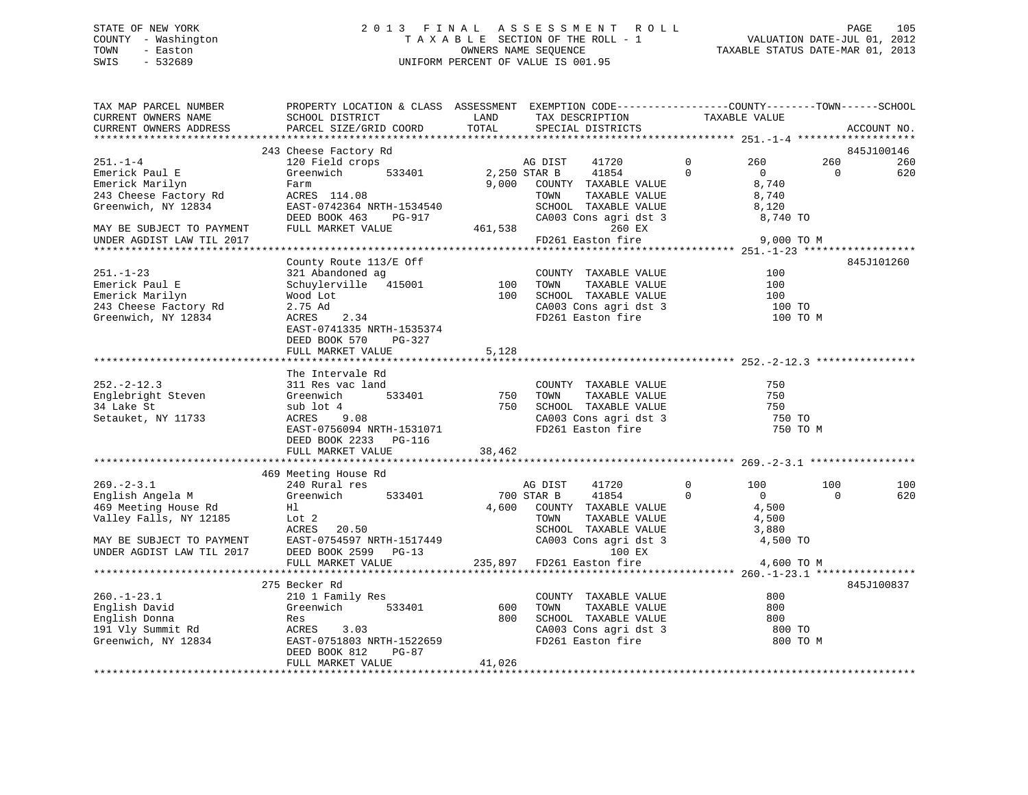# STATE OF NEW YORK 2 0 1 3 F I N A L A S S E S S M E N T R O L L PAGE 105 COUNTY - Washington T A X A B L E SECTION OF THE ROLL - 1 VALUATION DATE-JUL 01, 2012 TOWN - Easton OWNERS NAME SEQUENCE TAXABLE STATUS DATE-MAR 01, 2013 SWIS - 532689 UNIFORM PERCENT OF VALUE IS 001.95

| TAX MAP PARCEL NUMBER     | PROPERTY LOCATION & CLASS ASSESSMENT EXEMPTION CODE----------------COUNTY-------TOWN------SCHOOL |               |                                                                            |                            |            |             |
|---------------------------|--------------------------------------------------------------------------------------------------|---------------|----------------------------------------------------------------------------|----------------------------|------------|-------------|
| CURRENT OWNERS NAME       | SCHOOL DISTRICT                                                                                  | LAND<br>TOTAL | TAX DESCRIPTION                                                            | TAXABLE VALUE              |            |             |
| CURRENT OWNERS ADDRESS    | PARCEL SIZE/GRID COORD                                                                           |               | SPECIAL DISTRICTS                                                          |                            |            | ACCOUNT NO. |
|                           |                                                                                                  |               |                                                                            |                            |            | 845J100146  |
|                           | 243 Cheese Factory Rd                                                                            |               |                                                                            |                            |            |             |
| $251. - 1 - 4$            | 120 Field crops<br>533401                                                                        |               | 41720<br>AG DIST                                                           | $\mathbf 0$<br>260         | 260        | 260         |
| Emerick Paul E            | Greenwich                                                                                        | 2,250 STAR B  | 41854                                                                      | $\Omega$<br>$\overline{0}$ | $\bigcirc$ | 620         |
| Emerick Marilyn           | Farm                                                                                             | 9,000         | COUNTY TAXABLE VALUE                                                       | 8,740                      |            |             |
| 243 Cheese Factory Rd     | ACRES 114.08                                                                                     |               | TAXABLE VALUE<br>TOWN                                                      | 8,740                      |            |             |
| Greenwich, NY 12834       | EAST-0742364 NRTH-1534540                                                                        |               | SCHOOL TAXABLE VALUE                                                       | 8,120                      |            |             |
|                           | DEED BOOK 463<br>PG-917                                                                          |               |                                                                            |                            |            |             |
| MAY BE SUBJECT TO PAYMENT | FULL MARKET VALUE                                                                                |               | 461,538<br>260 EX                                                          |                            |            |             |
| UNDER AGDIST LAW TIL 2017 |                                                                                                  |               | FD261 Easton fire                                                          | 9,000 TO M                 |            |             |
|                           |                                                                                                  |               |                                                                            |                            |            |             |
|                           | County Route 113/E Off                                                                           |               |                                                                            |                            |            | 845J101260  |
| $251. - 1 - 23$           | 321 Abandoned ag                                                                                 |               | COUNTY TAXABLE VALUE                                                       | 100                        |            |             |
| Emerick Paul E            | Schuylerville 415001                                                                             |               |                                                                            | 100                        |            |             |
| Emerick Marilyn           | Wood Lot                                                                                         |               | COUNTY TAXABLE VALUE<br>100 TOWN TAXABLE VALUE<br>100 SCHOOL TAXABLE VALUE | 100                        |            |             |
| 243 Cheese Factory Rd     | 2.75 Ad                                                                                          |               |                                                                            | 100 TO                     |            |             |
| Greenwich, NY 12834       | ACRES<br>2.34                                                                                    |               | CA003 Cons agri dst 3<br>FD261 Easton fire                                 | 100 TO M                   |            |             |
|                           | EAST-0741335 NRTH-1535374                                                                        |               |                                                                            |                            |            |             |
|                           | DEED BOOK 570<br>PG-327                                                                          |               |                                                                            |                            |            |             |
|                           | FULL MARKET VALUE                                                                                | 5,128         |                                                                            |                            |            |             |
|                           |                                                                                                  |               |                                                                            |                            |            |             |
|                           | The Intervale Rd                                                                                 |               |                                                                            |                            |            |             |
|                           |                                                                                                  |               |                                                                            |                            |            |             |
| $252 - 2 - 12.3$          | 311 Res vac land                                                                                 |               | COUNTY TAXABLE VALUE                                                       | 750                        |            |             |
| Englebright Steven        | 533401<br>Greenwich                                                                              | 750           | TOWN<br>TAXABLE VALUE                                                      | 750                        |            |             |
| 34 Lake St                | sub lot 4                                                                                        |               | 750 SCHOOL TAXABLE VALUE                                                   | 750                        |            |             |
| Setauket, NY 11733        | ACRES<br>9.08                                                                                    |               | $CA003$ Cons agri dst 3                                                    | 750 TO                     |            |             |
|                           | EAST-0756094 NRTH-1531071                                                                        |               | FD261 Easton fire                                                          | 750 TO M                   |            |             |
|                           | DEED BOOK 2233<br>PG-116                                                                         |               |                                                                            |                            |            |             |
|                           | FULL MARKET VALUE                                                                                | 38,462        |                                                                            |                            |            |             |
|                           |                                                                                                  |               |                                                                            |                            |            |             |
|                           | 469 Meeting House Rd                                                                             |               |                                                                            |                            |            |             |
| $269. - 2 - 3.1$          | 240 Rural res                                                                                    |               | AG DIST<br>41720                                                           | $\Omega$<br>100            | 100        | 100         |
| English Angela M          | Greenwich<br>533401                                                                              |               | 700 STAR B<br>41854                                                        | $\Omega$<br>$\overline{0}$ | $\Omega$   | 620         |
| 469 Meeting House Rd      | Hl                                                                                               |               | 4,600 COUNTY TAXABLE VALUE                                                 | 4,500                      |            |             |
| Valley Falls, NY 12185    | Lot 2                                                                                            |               |                                                                            | 4,500                      |            |             |
|                           | ACRES<br>20.50                                                                                   |               | TOWN      TAXABLE VALUE<br>SCHOOL   TAXABLE VALUE                          | 3,880                      |            |             |
| MAY BE SUBJECT TO PAYMENT | EAST-0754597 NRTH-1517449<br>PERD BOOK 2599 PG-13                                                |               | CA003 Cons agri dst 3                                                      | 4,500 TO                   |            |             |
| UNDER AGDIST LAW TIL 2017 | DEED BOOK 2599 PG-13                                                                             |               | 100 EX                                                                     |                            |            |             |
|                           | FULL MARKET VALUE                                                                                |               | 235,897 FD261 Easton fire                                                  | 4,600 TO M                 |            |             |
|                           |                                                                                                  |               |                                                                            |                            |            |             |
|                           | 275 Becker Rd                                                                                    |               |                                                                            |                            |            | 845J100837  |
| $260. - 1 - 23.1$         | 210 1 Family Res                                                                                 |               | COUNTY TAXABLE VALUE                                                       | 800                        |            |             |
|                           | 533401<br>Greenwich                                                                              | 600           | TAXABLE VALUE<br>TOWN                                                      | 800                        |            |             |
| English David             |                                                                                                  |               |                                                                            |                            |            |             |
| English Donna             | Res                                                                                              | 800           | SCHOOL TAXABLE VALUE<br>CA003 Cons agri dst 3                              | 800                        |            |             |
| 191 Vly Summit Rd         | ACRES<br>3.03                                                                                    |               |                                                                            | 800 TO                     |            |             |
| Greenwich, NY 12834       | EAST-0751803 NRTH-1522659                                                                        |               | FD261 Easton fire                                                          | 800 TO M                   |            |             |
|                           | DEED BOOK 812<br>PG-87                                                                           |               |                                                                            |                            |            |             |
|                           | FULL MARKET VALUE                                                                                | 41,026        |                                                                            |                            |            |             |
|                           |                                                                                                  |               |                                                                            |                            |            |             |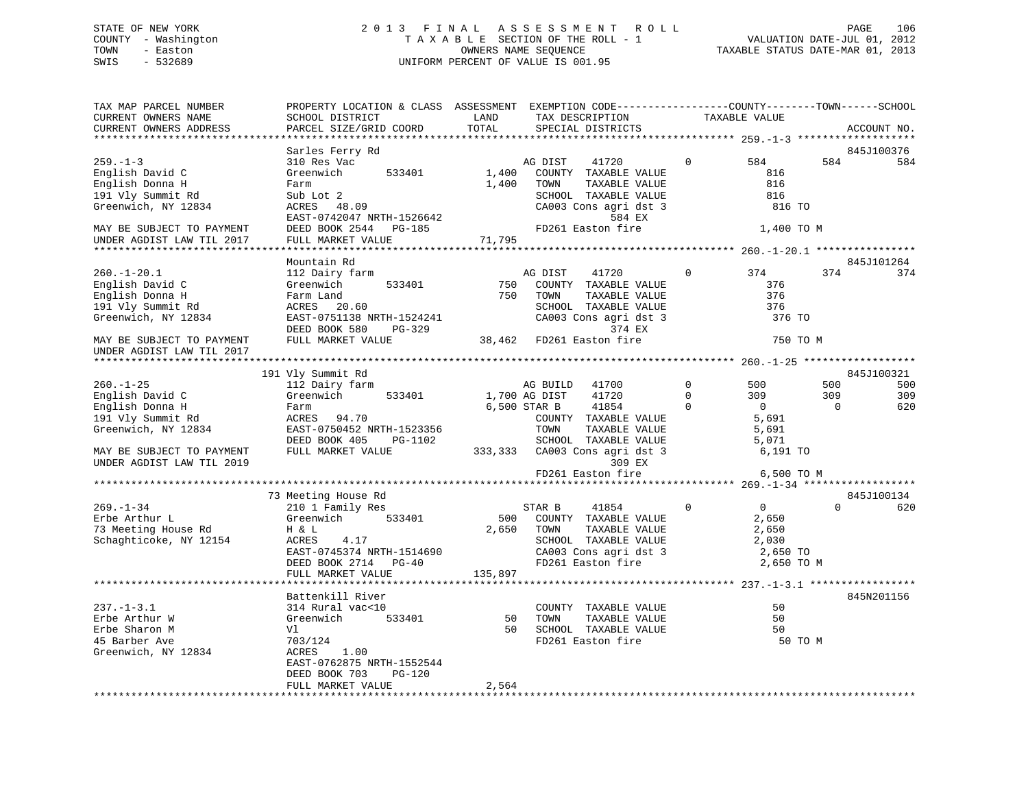# STATE OF NEW YORK 2 0 1 3 F I N A L A S S E S S M E N T R O L L PAGE 106 COUNTY - Washington T A X A B L E SECTION OF THE ROLL - 1 VALUATION DATE-JUL 01, 2012 TOWN - Easton OWNERS NAME SEQUENCE TAXABLE STATUS DATE-MAR 01, 2013 SWIS - 532689 UNIFORM PERCENT OF VALUE IS 001.95

| TAX MAP PARCEL NUMBER<br>CURRENT OWNERS NAME | PROPERTY LOCATION & CLASS ASSESSMENT<br>SCHOOL DISTRICT | LAND                | EXEMPTION CODE-----------------COUNTY-------TOWN------SCHOOL<br>TAX DESCRIPTION |              | TAXABLE VALUE                             |          |             |
|----------------------------------------------|---------------------------------------------------------|---------------------|---------------------------------------------------------------------------------|--------------|-------------------------------------------|----------|-------------|
| CURRENT OWNERS ADDRESS                       | PARCEL SIZE/GRID COORD                                  | TOTAL<br>********** | SPECIAL DISTRICTS                                                               |              |                                           |          | ACCOUNT NO. |
|                                              |                                                         |                     |                                                                                 |              | ******************* 259.-1-3 ************ |          |             |
|                                              | Sarles Ferry Rd                                         |                     |                                                                                 |              |                                           |          | 845J100376  |
| $259. - 1 - 3$                               | 310 Res Vac                                             |                     | AG DIST<br>41720                                                                | $\Omega$     | 584                                       | 584      | 584         |
| English David C                              | Greenwich<br>533401                                     | 1,400               | COUNTY TAXABLE VALUE                                                            |              | 816                                       |          |             |
| English Donna H                              | Farm                                                    | 1,400               | TOWN<br>TAXABLE VALUE                                                           |              | 816                                       |          |             |
| 191 Vly Summit Rd                            | Sub Lot 2                                               |                     | SCHOOL TAXABLE VALUE                                                            |              | 816                                       |          |             |
| Greenwich, NY 12834                          | ACRES<br>48.09                                          |                     | CA003 Cons agri dst 3                                                           |              | 816 TO                                    |          |             |
|                                              | EAST-0742047 NRTH-1526642                               |                     | 584 EX                                                                          |              |                                           |          |             |
| MAY BE SUBJECT TO PAYMENT                    | DEED BOOK 2544<br>PG-185                                |                     | FD261 Easton fire                                                               |              | 1,400 TO M                                |          |             |
| UNDER AGDIST LAW TIL 2017                    | FULL MARKET VALUE                                       | 71,795              |                                                                                 |              |                                           |          |             |
|                                              |                                                         |                     |                                                                                 |              |                                           |          |             |
|                                              | Mountain Rd                                             |                     |                                                                                 |              |                                           |          | 845J101264  |
| $260. - 1 - 20.1$                            | 112 Dairy farm                                          |                     | AG DIST<br>41720                                                                | $\mathbf 0$  | 374                                       | 374      | 374         |
| English David C                              | Greenwich<br>533401                                     | 750                 | COUNTY TAXABLE VALUE                                                            |              | 376                                       |          |             |
| English Donna H                              | Farm Land                                               | 750                 | TOWN<br>TAXABLE VALUE                                                           |              | 376                                       |          |             |
| 191 Vly Summit Rd                            | ACRES 20.60                                             |                     | SCHOOL TAXABLE VALUE                                                            |              | 376                                       |          |             |
| Greenwich, NY 12834                          | EAST-0751138 NRTH-1524241                               |                     | CA003 Cons agri dst 3                                                           |              | 376 TO                                    |          |             |
|                                              | DEED BOOK 580<br>PG-329                                 |                     | 374 EX                                                                          |              |                                           |          |             |
| MAY BE SUBJECT TO PAYMENT                    | FULL MARKET VALUE                                       | 38,462              | FD261 Easton fire                                                               |              | 750 TO M                                  |          |             |
| UNDER AGDIST LAW TIL 2017                    |                                                         |                     |                                                                                 |              |                                           |          |             |
|                                              |                                                         |                     |                                                                                 |              |                                           |          |             |
|                                              | 191 Vly Summit Rd                                       |                     |                                                                                 |              |                                           |          | 845J100321  |
| $260. - 1 - 25$                              | 112 Dairy farm                                          |                     | AG BUILD<br>41700                                                               | $\mathbf 0$  | 500                                       | 500      | 500         |
| English David C                              | Greenwich<br>533401                                     |                     | 41720<br>1,700 AG DIST                                                          | $\mathbf{0}$ | 309                                       | 309      | 309         |
| English Donna H                              | Farm                                                    |                     | 6,500 STAR B<br>41854                                                           | $\Omega$     | $\Omega$                                  | $\Omega$ | 620         |
| 191 Vly Summit Rd                            | ACRES<br>94.70                                          |                     | COUNTY TAXABLE VALUE                                                            |              | 5,691                                     |          |             |
|                                              | EAST-0750452 NRTH-1523356                               |                     | TOWN<br>TAXABLE VALUE                                                           |              | 5,691                                     |          |             |
| Greenwich, NY 12834                          |                                                         |                     |                                                                                 |              |                                           |          |             |
|                                              | DEED BOOK 405<br>PG-1102                                |                     | SCHOOL TAXABLE VALUE                                                            |              | 5,071                                     |          |             |
| MAY BE SUBJECT TO PAYMENT                    | FULL MARKET VALUE                                       | 333,333             | CA003 Cons agri dst 3                                                           |              | 6,191 TO                                  |          |             |
| UNDER AGDIST LAW TIL 2019                    |                                                         |                     | 309 EX                                                                          |              |                                           |          |             |
|                                              |                                                         |                     | FD261 Easton fire                                                               |              | 6,500 TO M                                |          |             |
|                                              |                                                         |                     |                                                                                 |              |                                           |          |             |
|                                              | 73 Meeting House Rd                                     |                     |                                                                                 |              |                                           |          | 845J100134  |
| $269. - 1 - 34$                              | 210 1 Family Res                                        |                     | STAR B<br>41854                                                                 | $\Omega$     | $\overline{0}$                            | $\Omega$ | 620         |
| Erbe Arthur L                                | Greenwich<br>533401                                     | 500                 | COUNTY TAXABLE VALUE                                                            |              | 2,650                                     |          |             |
| 73 Meeting House Rd                          | H & L                                                   | 2,650               | TOWN<br>TAXABLE VALUE                                                           |              | 2,650                                     |          |             |
| Schaghticoke, NY 12154                       | ACRES<br>4.17                                           |                     | SCHOOL TAXABLE VALUE                                                            |              | 2,030                                     |          |             |
|                                              | EAST-0745374 NRTH-1514690                               |                     | CA003 Cons agri dst 3                                                           |              | 2,650 TO                                  |          |             |
|                                              | $PG-40$<br>DEED BOOK 2714                               |                     | FD261 Easton fire                                                               |              | 2,650 TO M                                |          |             |
|                                              | FULL MARKET VALUE                                       | 135,897             |                                                                                 |              |                                           |          |             |
|                                              |                                                         |                     |                                                                                 |              |                                           |          |             |
|                                              | Battenkill River                                        |                     |                                                                                 |              |                                           |          | 845N201156  |
| $237. - 1 - 3.1$                             | 314 Rural vac<10                                        |                     | COUNTY TAXABLE VALUE                                                            |              | 50                                        |          |             |
| Erbe Arthur W                                | 533401<br>Greenwich                                     | 50                  | TAXABLE VALUE<br>TOWN                                                           |              | 50                                        |          |             |
| Erbe Sharon M                                | Vl                                                      | 50                  | SCHOOL TAXABLE VALUE                                                            |              | 50                                        |          |             |
| 45 Barber Ave                                | 703/124                                                 |                     | FD261 Easton fire                                                               |              | 50 TO M                                   |          |             |
| Greenwich, NY 12834                          | ACRES<br>1.00                                           |                     |                                                                                 |              |                                           |          |             |
|                                              | EAST-0762875 NRTH-1552544                               |                     |                                                                                 |              |                                           |          |             |
|                                              | DEED BOOK 703<br>$PG-120$                               |                     |                                                                                 |              |                                           |          |             |
|                                              | FULL MARKET VALUE                                       | 2,564               |                                                                                 |              |                                           |          |             |
|                                              |                                                         |                     |                                                                                 |              |                                           |          |             |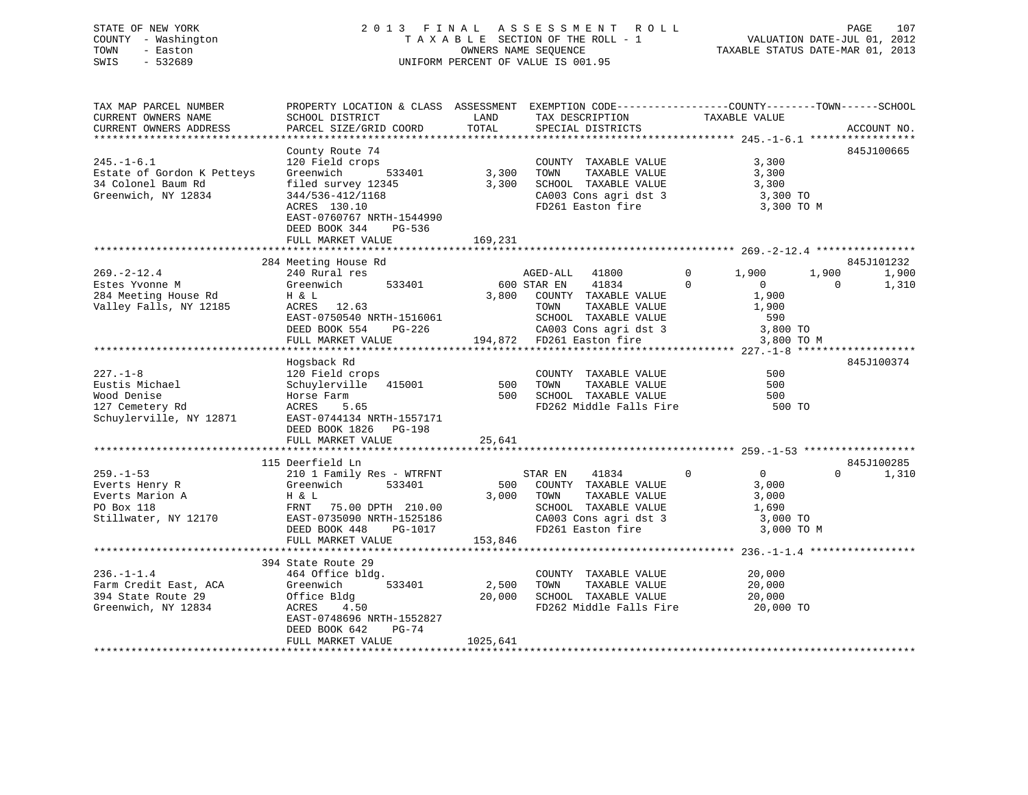# STATE OF NEW YORK 2 0 1 3 F I N A L A S S E S S M E N T R O L L PAGE 107 COUNTY - Washington T A X A B L E SECTION OF THE ROLL - 1 VALUATION DATE-JUL 01, 2012 TOWN - Easton OWNERS NAME SEQUENCE TAXABLE STATUS DATE-MAR 01, 2013 SWIS - 532689 UNIFORM PERCENT OF VALUE IS 001.95

| TAX MAP PARCEL NUMBER      | PROPERTY LOCATION & CLASS ASSESSMENT EXEMPTION CODE----------------COUNTY-------TOWN-----SCHOOL |            |                            |                                |                   |
|----------------------------|-------------------------------------------------------------------------------------------------|------------|----------------------------|--------------------------------|-------------------|
| CURRENT OWNERS NAME        | SCHOOL DISTRICT                                                                                 | LAND       | TAX DESCRIPTION            | TAXABLE VALUE                  |                   |
| CURRENT OWNERS ADDRESS     | PARCEL SIZE/GRID COORD                                                                          | TOTAL      | SPECIAL DISTRICTS          |                                | ACCOUNT NO.       |
|                            |                                                                                                 |            |                            |                                |                   |
|                            | County Route 74                                                                                 |            |                            |                                | 845J100665        |
| $245. - 1 - 6.1$           | 120 Field crops                                                                                 |            | COUNTY TAXABLE VALUE       | 3,300                          |                   |
| Estate of Gordon K Petteys | 533401<br>Greenwich                                                                             | 3,300      | TAXABLE VALUE<br>TOWN      | 3,300                          |                   |
| 34 Colonel Baum Rd         | filed survey 12345                                                                              | 3,300      | SCHOOL TAXABLE VALUE       | 3,300                          |                   |
| Greenwich, NY 12834        | 344/536-412/1168                                                                                |            | CA003 Cons agri dst 3      | 3,300 TO                       |                   |
|                            | ACRES 130.10                                                                                    |            | FD261 Easton fire          | 3,300 TO M                     |                   |
|                            | EAST-0760767 NRTH-1544990                                                                       |            |                            |                                |                   |
|                            | DEED BOOK 344<br>PG-536                                                                         |            |                            |                                |                   |
|                            | FULL MARKET VALUE                                                                               | 169,231    |                            |                                |                   |
|                            |                                                                                                 |            |                            |                                |                   |
|                            | 284 Meeting House Rd                                                                            |            |                            |                                | 845J101232        |
| $269. - 2 - 12.4$          | 240 Rural res                                                                                   |            | AGED-ALL<br>41800          | $\mathbf{0}$<br>1,900          | 1,900<br>1,900    |
| Estes Yvonne M             | Greenwich<br>533401                                                                             |            | 41834<br>600 STAR EN       | $\Omega$<br>$\overline{0}$     | 1,310<br>$\Omega$ |
| 284 Meeting House Rd       | H & L                                                                                           |            | 3,800 COUNTY TAXABLE VALUE | 1,900                          |                   |
| Valley Falls, NY 12185     | ACRES 12.63                                                                                     |            | TOWN<br>TAXABLE VALUE      | 1,900                          |                   |
|                            | EAST-0750540 NRTH-1516061                                                                       |            | SCHOOL TAXABLE VALUE       | 590                            |                   |
|                            | DEED BOOK 554<br>PG-226                                                                         |            | CA003 Cons agri dst 3      | 3,800 TO                       |                   |
|                            | FULL MARKET VALUE                                                                               |            | 194,872 FD261 Easton fire  |                                | 3,800 TO M        |
|                            |                                                                                                 |            |                            |                                |                   |
|                            |                                                                                                 |            |                            |                                |                   |
| $227. - 1 - 8$             | Hogsback Rd                                                                                     |            |                            | 500                            | 845J100374        |
|                            | 120 Field crops                                                                                 |            | COUNTY TAXABLE VALUE       |                                |                   |
| Eustis Michael             | Schuylerville 415001                                                                            | 500<br>500 | TOWN<br>TAXABLE VALUE      | 500                            |                   |
| Wood Denise                | Horse Farm                                                                                      |            | SCHOOL TAXABLE VALUE       | 500                            |                   |
| 127 Cemetery Rd            | ACRES<br>5.65                                                                                   |            | FD262 Middle Falls Fire    | 500 TO                         |                   |
| Schuylerville, NY 12871    | EAST-0744134 NRTH-1557171                                                                       |            |                            |                                |                   |
|                            | DEED BOOK 1826 PG-198                                                                           |            |                            |                                |                   |
|                            | FULL MARKET VALUE                                                                               | 25,641     |                            |                                |                   |
|                            |                                                                                                 |            |                            |                                |                   |
|                            | 115 Deerfield Ln                                                                                |            |                            |                                | 845J100285        |
| $259. - 1 - 53$            | 210 1 Family Res - WTRFNT                                                                       |            | STAR EN<br>41834           | $\overline{0}$<br>$\mathbf{0}$ | $\Omega$<br>1,310 |
| Everts Henry R             | Greenwich<br>533401                                                                             | 500        | COUNTY TAXABLE VALUE       | 3,000                          |                   |
| Everts Marion A            | H & L                                                                                           | 3,000      | TAXABLE VALUE<br>TOWN      | 3,000                          |                   |
| PO Box 118                 | FRNT<br>75.00 DPTH 210.00                                                                       |            | SCHOOL TAXABLE VALUE       | 1,690                          |                   |
| Stillwater, NY 12170       | EAST-0735090 NRTH-1525186                                                                       |            | CA003 Cons agri dst 3      | 3,000 TO                       |                   |
|                            | DEED BOOK 448<br>PG-1017                                                                        |            | FD261 Easton fire          | 3,000 TO M                     |                   |
|                            | FULL MARKET VALUE                                                                               | 153,846    |                            |                                |                   |
|                            |                                                                                                 |            |                            |                                |                   |
|                            | 394 State Route 29                                                                              |            |                            |                                |                   |
| $236. - 1 - 1.4$           | 464 Office bldg.                                                                                |            | COUNTY TAXABLE VALUE       | 20,000                         |                   |
| Farm Credit East, ACA      | 533401<br>Greenwich                                                                             | 2,500      | TAXABLE VALUE<br>TOWN      | 20,000                         |                   |
| 394 State Route 29         | Office Bldg                                                                                     | 20,000     | SCHOOL TAXABLE VALUE       | 20,000                         |                   |
| Greenwich, NY 12834        | ACRES<br>4.50                                                                                   |            | FD262 Middle Falls Fire    | 20,000 TO                      |                   |
|                            | EAST-0748696 NRTH-1552827                                                                       |            |                            |                                |                   |
|                            | DEED BOOK 642<br>PG-74                                                                          |            |                            |                                |                   |
|                            | FULL MARKET VALUE                                                                               | 1025,641   |                            |                                |                   |
|                            |                                                                                                 |            |                            |                                |                   |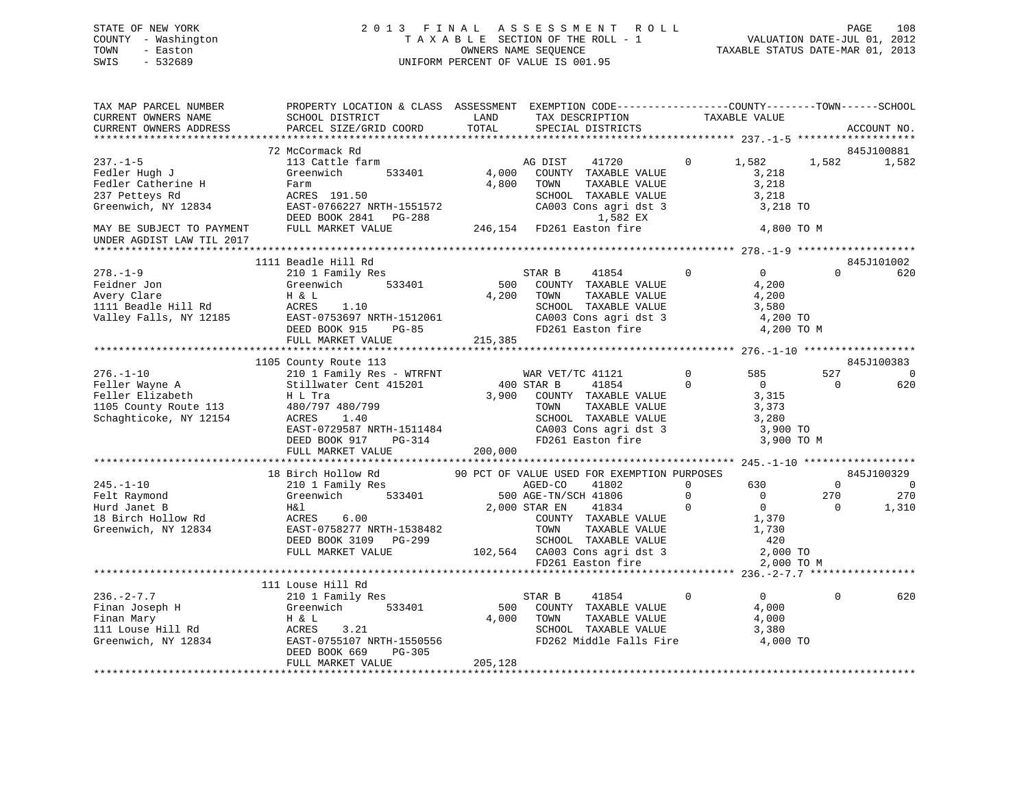# STATE OF NEW YORK 2 0 1 3 F I N A L A S S E S S M E N T R O L L PAGE 108 COUNTY - Washington T A X A B L E SECTION OF THE ROLL - 1 VALUATION DATE-JUL 01, 2012 TOWN - Easton OWNERS NAME SEQUENCE TAXABLE STATUS DATE-MAR 01, 2013 SWIS - 532689 UNIFORM PERCENT OF VALUE IS 001.95

| TAX MAP PARCEL NUMBER                                       | PROPERTY LOCATION & CLASS ASSESSMENT EXEMPTION CODE---------------COUNTY-------TOWN-----SCHOOL |         |                                                                               |              |                |                |             |
|-------------------------------------------------------------|------------------------------------------------------------------------------------------------|---------|-------------------------------------------------------------------------------|--------------|----------------|----------------|-------------|
| CURRENT OWNERS NAME                                         | SCHOOL DISTRICT                                                                                | LAND    | TAX DESCRIPTION                                                               |              | TAXABLE VALUE  |                |             |
| CURRENT OWNERS ADDRESS                                      | PARCEL SIZE/GRID COORD                                                                         | TOTAL   | SPECIAL DISTRICTS                                                             |              |                |                | ACCOUNT NO. |
|                                                             |                                                                                                |         |                                                                               |              |                |                |             |
|                                                             | 72 McCormack Rd                                                                                |         |                                                                               |              |                |                | 845J100881  |
| $237. - 1 - 5$                                              | 113 Cattle farm                                                                                |         | AG DIST<br>41720                                                              | $\mathbf{0}$ | 1,582          | 1,582          | 1,582       |
| Fedler Hugh J                                               | Greenwich<br>533401                                                                            | 4,000   | COUNTY TAXABLE VALUE                                                          |              | 3,218          |                |             |
| Fedler Catherine H                                          | Farm                                                                                           | 4,800   | TOWN<br>TAXABLE VALUE                                                         |              | 3,218          |                |             |
| 237 Petteys Rd                                              | ACRES 191.50                                                                                   |         | SCHOOL TAXABLE VALUE                                                          |              | 3,218          |                |             |
| Greenwich, NY 12834                                         | EAST-0766227 NRTH-1551572                                                                      |         | CA003 Cons agri dst 3                                                         |              | 3,218 TO       |                |             |
|                                                             | DEED BOOK 2841 PG-288                                                                          |         | 1,582 EX                                                                      |              |                |                |             |
| MAY BE SUBJECT TO PAYMENT                                   | FULL MARKET VALUE                                                                              |         | 246,154 FD261 Easton fire                                                     |              | 4,800 TO M     |                |             |
| UNDER AGDIST LAW TIL 2017                                   |                                                                                                |         |                                                                               |              |                |                |             |
|                                                             |                                                                                                |         |                                                                               |              |                |                |             |
|                                                             | 1111 Beadle Hill Rd                                                                            |         |                                                                               |              |                |                | 845J101002  |
| $278. - 1 - 9$                                              | 210 1 Family Res                                                                               |         | STAR B<br>41854                                                               | $\mathbf 0$  | $\overline{0}$ | $\Omega$       | 620         |
| Feidner Jon                                                 | Greenwich 533401                                                                               | 500     | COUNTY TAXABLE VALUE                                                          |              | 4,200          |                |             |
| Avery Clare                                                 | H & L                                                                                          | 4,200   | TOWN<br>TAXABLE VALUE                                                         |              | 4,200          |                |             |
| 1111 Beadle Hill Rd                                         | 1.10<br>ACRES                                                                                  |         | SCHOOL TAXABLE VALUE                                                          |              | 3,580          |                |             |
| Valley Falls, NY 12185                                      | EAST-0753697 NRTH-1512061                                                                      |         | CA003 Cons agri dst 3                                                         |              | 4,200 TO       |                |             |
|                                                             | DEED BOOK 915 PG-85                                                                            |         | FD261 Easton fire                                                             |              | 4,200 TO M     |                |             |
|                                                             | FULL MARKET VALUE                                                                              | 215,385 |                                                                               |              |                |                |             |
|                                                             |                                                                                                |         |                                                                               |              |                |                |             |
|                                                             | 1105 County Route 113                                                                          |         |                                                                               |              |                |                | 845J100383  |
| $276. - 1 - 10$                                             | 210 1 Family Res - WTRFNT                                                                      |         | WAR VET/TC 41121                                                              | $\Omega$     | 585            | 527            | $\Omega$    |
| Feller Wayne A<br>Feller Elizabeth<br>1105 County Route 113 | Stillwater Cent 415201                                                                         |         | 400 STAR B<br>41854                                                           | $\Omega$     | $\overline{0}$ | $\Omega$       | 620         |
|                                                             | H L Tra                                                                                        |         | 3,900 COUNTY TAXABLE VALUE                                                    |              | 3,315          |                |             |
|                                                             | $480/797$ $480/799$                                                                            |         | TOWN<br>TAXABLE VALUE                                                         |              | 3,373          |                |             |
| Schaghticoke, NY 12154                                      | ACRES 1.40                                                                                     |         | SCHOOL TAXABLE VALUE<br>SCHOOL TAXABLE VALUE<br>CA003 Cons agri dst 3         |              | 3,280          |                |             |
|                                                             | EAST-0729587 NRTH-1511484                                                                      |         |                                                                               |              | 3,900 TO       |                |             |
|                                                             | DEED BOOK 917<br>PG-314                                                                        |         | FD261 Easton fire                                                             |              | 3,900 TO M     |                |             |
|                                                             | FULL MARKET VALUE                                                                              | 200,000 |                                                                               |              |                |                |             |
|                                                             |                                                                                                |         |                                                                               |              |                |                |             |
|                                                             | 18 Birch Hollow Rd                                                                             |         | 90 PCT OF VALUE USED FOR EXEMPTION PURPOSES                                   |              |                |                | 845J100329  |
| $245. - 1 - 10$                                             | 210 1 Family Res                                                                               |         | AGED-CO<br>41802                                                              | $\Omega$     | 630            | $\Omega$       | $\Omega$    |
| Felt Raymond                                                | 533401<br>Greenwich                                                                            |         | 500 AGE-TN/SCH 41806                                                          | $\mathbf 0$  | $\overline{0}$ | 270            | 270         |
| Hurd Janet B                                                | H&l                                                                                            |         | 2,000 STAR EN<br>41834                                                        | $\Omega$     | $\overline{0}$ | $\overline{0}$ | 1,310       |
| 18 Birch Hollow Rd                                          | ACRES 6.00<br>EAST-0758277 NRTH-1538482                                                        |         | COUNTY TAXABLE VALUE                                                          |              | 1,370          |                |             |
| Greenwich, NY 12834                                         |                                                                                                |         | TAXABLE VALUE<br>TOWN                                                         |              | 1,730          |                |             |
|                                                             | DEED BOOK 3109 PG-299                                                                          |         | SCHOOL TAXABLE VALUE<br>SCHOOL TAXABLE VALUE<br>102,564 CA003 Cons agri dst 3 |              | 420            |                |             |
|                                                             | FULL MARKET VALUE                                                                              |         |                                                                               |              | 2,000 TO       |                |             |
|                                                             |                                                                                                |         | FD261 Easton fire                                                             |              | 2,000 TO M     |                |             |
|                                                             |                                                                                                |         |                                                                               |              |                |                |             |
|                                                             | 111 Louse Hill Rd                                                                              |         |                                                                               |              |                |                |             |
| $236. - 2 - 7.7$                                            | 210 1 Family Res                                                                               |         | STAR B<br>41854                                                               | $\mathbf 0$  | $\overline{0}$ | $\Omega$       | 620         |
| Finan Joseph H                                              | Greenwich<br>533401                                                                            | 500     | COUNTY TAXABLE VALUE                                                          |              | 4,000          |                |             |
| Finan Mary                                                  | H & L                                                                                          | 4,000   | TOWN<br>TAXABLE VALUE                                                         |              | 4,000          |                |             |
| 111 Louse Hill Rd                                           | <b>ACRES</b><br>3.21                                                                           |         | SCHOOL TAXABLE VALUE                                                          |              | 3,380          |                |             |
| Greenwich, NY 12834                                         | EAST-0755107 NRTH-1550556                                                                      |         | FD262 Middle Falls Fire                                                       |              | 4,000 TO       |                |             |
|                                                             | DEED BOOK 669<br>PG-305                                                                        |         |                                                                               |              |                |                |             |
|                                                             | FULL MARKET VALUE                                                                              | 205,128 |                                                                               |              |                |                |             |
|                                                             |                                                                                                |         |                                                                               |              |                |                |             |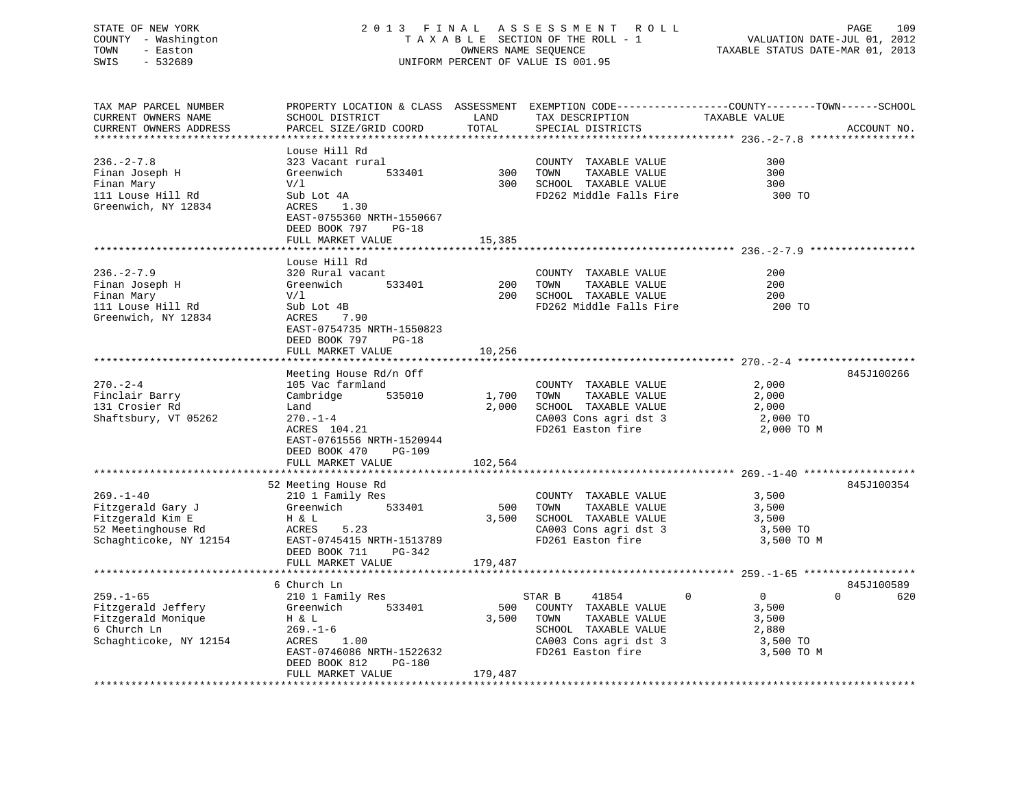# STATE OF NEW YORK 2 0 1 3 F I N A L A S S E S S M E N T R O L L PAGE 109 COUNTY - Washington T A X A B L E SECTION OF THE ROLL - 1 VALUATION DATE-JUL 01, 2012 TOWN - Easton OWNERS NAME SEQUENCE TAXABLE STATUS DATE-MAR 01, 2013 SWIS - 532689 UNIFORM PERCENT OF VALUE IS 001.95

| TAX MAP PARCEL NUMBER  | PROPERTY LOCATION & CLASS ASSESSMENT EXEMPTION CODE----------------COUNTY-------TOWN-----SCHOOL |         |                              |                                |                 |
|------------------------|-------------------------------------------------------------------------------------------------|---------|------------------------------|--------------------------------|-----------------|
| CURRENT OWNERS NAME    | SCHOOL DISTRICT                                                                                 | LAND    | TAX DESCRIPTION              | TAXABLE VALUE                  |                 |
| CURRENT OWNERS ADDRESS | PARCEL SIZE/GRID COORD                                                                          | TOTAL   | SPECIAL DISTRICTS            |                                | ACCOUNT NO.     |
|                        |                                                                                                 |         |                              |                                |                 |
|                        | Louse Hill Rd                                                                                   |         |                              |                                |                 |
| $236. - 2 - 7.8$       | 323 Vacant rural                                                                                |         | COUNTY TAXABLE VALUE         | 300                            |                 |
| Finan Joseph H         | Greenwich<br>533401                                                                             | 300     | TAXABLE VALUE<br>TOWN        | 300                            |                 |
| Finan Mary             | V/1                                                                                             | 300     | SCHOOL TAXABLE VALUE         | 300                            |                 |
| 111 Louse Hill Rd      | Sub Lot 4A                                                                                      |         | FD262 Middle Falls Fire      | 300 TO                         |                 |
| Greenwich, NY 12834    | ACRES<br>1.30                                                                                   |         |                              |                                |                 |
|                        | EAST-0755360 NRTH-1550667                                                                       |         |                              |                                |                 |
|                        | DEED BOOK 797<br>$PG-18$                                                                        |         |                              |                                |                 |
|                        | FULL MARKET VALUE                                                                               | 15,385  |                              |                                |                 |
|                        |                                                                                                 |         |                              |                                |                 |
|                        | Louse Hill Rd                                                                                   |         |                              |                                |                 |
| $236. - 2 - 7.9$       | 320 Rural vacant                                                                                |         | COUNTY TAXABLE VALUE         | 200                            |                 |
| Finan Joseph H         | Greenwich<br>533401                                                                             | 200     | TOWN<br>TAXABLE VALUE        | 200                            |                 |
| Finan Mary             | V/1                                                                                             | 200     | SCHOOL TAXABLE VALUE         | 200                            |                 |
| 111 Louse Hill Rd      | Sub Lot 4B                                                                                      |         | FD262 Middle Falls Fire      | 200 TO                         |                 |
| Greenwich, NY 12834    | 7.90<br>ACRES                                                                                   |         |                              |                                |                 |
|                        | EAST-0754735 NRTH-1550823                                                                       |         |                              |                                |                 |
|                        |                                                                                                 |         |                              |                                |                 |
|                        | DEED BOOK 797<br>$PG-18$                                                                        |         |                              |                                |                 |
|                        | FULL MARKET VALUE                                                                               | 10,256  |                              |                                |                 |
|                        |                                                                                                 |         |                              |                                |                 |
|                        | Meeting House Rd/n Off                                                                          |         |                              |                                | 845J100266      |
| $270. - 2 - 4$         | 105 Vac farmland                                                                                |         | COUNTY TAXABLE VALUE         | 2,000                          |                 |
| Finclair Barry         | Cambridge<br>535010                                                                             | 1,700   | TAXABLE VALUE<br>TOWN        | 2,000                          |                 |
| 131 Crosier Rd         | Land                                                                                            | 2,000   | SCHOOL TAXABLE VALUE         | 2,000                          |                 |
| Shaftsbury, VT 05262   | $270. - 1 - 4$                                                                                  |         | CA003 Cons agri dst 3        | 2,000 TO                       |                 |
|                        | ACRES 104.21                                                                                    |         | FD261 Easton fire            | 2,000 TO M                     |                 |
|                        | EAST-0761556 NRTH-1520944                                                                       |         |                              |                                |                 |
|                        | DEED BOOK 470<br>$PG-109$                                                                       |         |                              |                                |                 |
|                        | FULL MARKET VALUE                                                                               | 102,564 |                              |                                |                 |
|                        |                                                                                                 |         |                              |                                |                 |
|                        | 52 Meeting House Rd                                                                             |         |                              |                                | 845J100354      |
| $269. - 1 - 40$        | 210 1 Family Res                                                                                |         | COUNTY TAXABLE VALUE         | 3,500                          |                 |
| Fitzgerald Gary J      | 533401<br>Greenwich                                                                             | 500     | TAXABLE VALUE<br>TOWN        | 3,500                          |                 |
| Fitzgerald Kim E       | H & L                                                                                           | 3,500   | SCHOOL TAXABLE VALUE         | 3,500                          |                 |
| 52 Meetinghouse Rd     | ACRES<br>5.23                                                                                   |         | CA003 Cons agri dst 3        | 3,500 TO                       |                 |
| Schaghticoke, NY 12154 | EAST-0745415 NRTH-1513789                                                                       |         | FD261 Easton fire            | 3,500 TO M                     |                 |
|                        | DEED BOOK 711<br>PG-342                                                                         |         |                              |                                |                 |
|                        | FULL MARKET VALUE                                                                               | 179,487 |                              |                                |                 |
|                        |                                                                                                 |         |                              |                                |                 |
|                        | 6 Church Ln                                                                                     |         |                              |                                | 845J100589      |
| $259. - 1 - 65$        | 210 1 Family Res                                                                                |         | STAR B<br>41854              | $\mathbf{0}$<br>$\overline{0}$ | $\Omega$<br>620 |
| Fitzgerald Jeffery     | 533401                                                                                          | 500     |                              | 3,500                          |                 |
|                        | Greenwich                                                                                       | 3,500   | COUNTY TAXABLE VALUE<br>TOWN |                                |                 |
| Fitzgerald Monique     | H & L                                                                                           |         | TAXABLE VALUE                | 3,500                          |                 |
| 6 Church Ln            | $269. - 1 - 6$                                                                                  |         | SCHOOL TAXABLE VALUE         | 2,880                          |                 |
| Schaghticoke, NY 12154 | 1.00<br>ACRES                                                                                   |         | CA003 Cons agri dst 3        | 3,500 TO                       |                 |
|                        | EAST-0746086 NRTH-1522632                                                                       |         | FD261 Easton fire            | 3,500 TO M                     |                 |
|                        | DEED BOOK 812<br><b>PG-180</b>                                                                  |         |                              |                                |                 |
|                        | FULL MARKET VALUE                                                                               | 179,487 |                              |                                |                 |
|                        |                                                                                                 |         |                              |                                |                 |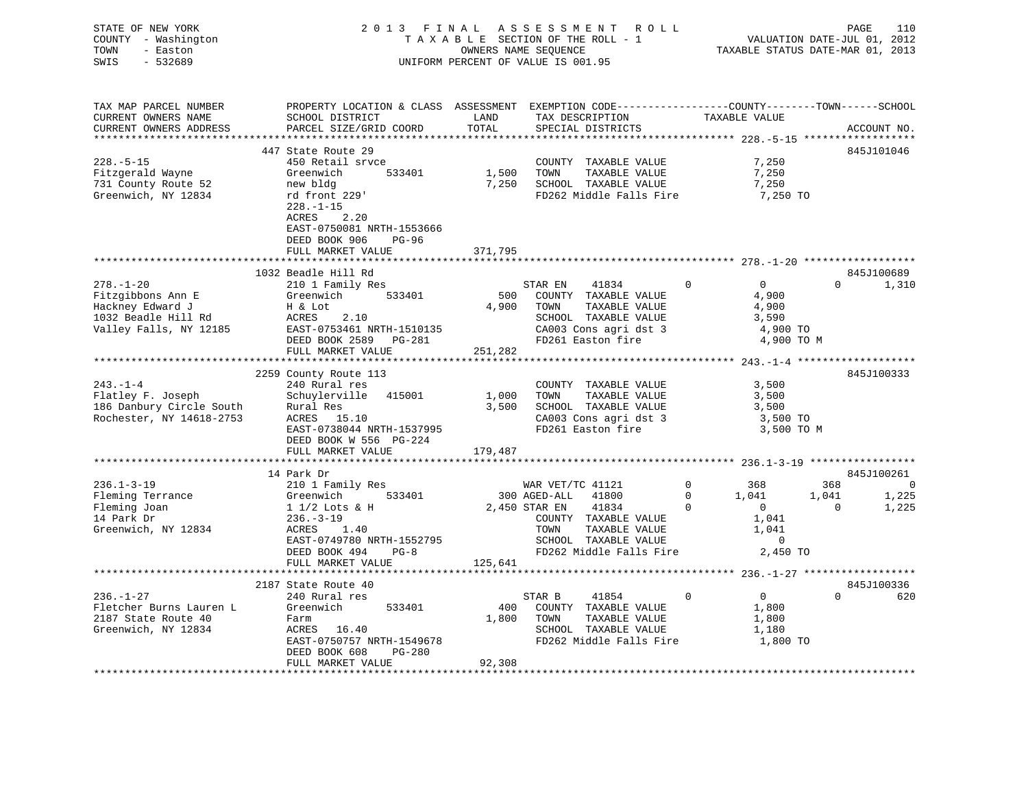| STATE OF NEW YORK<br>COUNTY - Washington<br>- Easton<br>TOWN<br>$-532689$<br>SWIS                         |                                                                                                                                                                                       |                        | 2013 FINAL ASSESSMENT<br>R O L L<br>TAXABLE SECTION OF THE ROLL - 1<br>OWNERS NAME SEQUENCE<br>UNIFORM PERCENT OF VALUE IS 001.95                                       |                                                                                                                          | PAGE<br>110<br>VALUATION DATE-JUL 01, 2012<br>TAXABLE STATUS DATE-MAR 01, 2013 |
|-----------------------------------------------------------------------------------------------------------|---------------------------------------------------------------------------------------------------------------------------------------------------------------------------------------|------------------------|-------------------------------------------------------------------------------------------------------------------------------------------------------------------------|--------------------------------------------------------------------------------------------------------------------------|--------------------------------------------------------------------------------|
| TAX MAP PARCEL NUMBER<br>CURRENT OWNERS NAME<br>CURRENT OWNERS ADDRESS<br>*************************       | PROPERTY LOCATION & CLASS ASSESSMENT EXEMPTION CODE---------------COUNTY-------TOWN-----SCHOOL<br>SCHOOL DISTRICT<br>PARCEL SIZE/GRID COORD                                           | LAND<br>TOTAL          | TAX DESCRIPTION<br>SPECIAL DISTRICTS                                                                                                                                    | TAXABLE VALUE                                                                                                            | ACCOUNT NO.                                                                    |
| $228. - 5 - 15$<br>Fitzgerald Wayne<br>731 County Route 52<br>Greenwich, NY 12834                         | 447 State Route 29<br>450 Retail srvce<br>Greenwich<br>533401<br>new bldg<br>rd front 229'<br>$228. - 1 - 15$<br>ACRES<br>2.20<br>EAST-0750081 NRTH-1553666<br>DEED BOOK 906<br>PG-96 | 1,500<br>7,250         | COUNTY TAXABLE VALUE<br>TOWN<br>TAXABLE VALUE<br>SCHOOL TAXABLE VALUE<br>FD262 Middle Falls Fire                                                                        | 7,250<br>7,250<br>7,250<br>7,250 TO                                                                                      | 845J101046                                                                     |
|                                                                                                           | FULL MARKET VALUE                                                                                                                                                                     | 371,795                |                                                                                                                                                                         |                                                                                                                          |                                                                                |
|                                                                                                           | 1032 Beadle Hill Rd                                                                                                                                                                   |                        |                                                                                                                                                                         |                                                                                                                          | 845J100689                                                                     |
| $278. - 1 - 20$<br>Fitzgibbons Ann E<br>Hackney Edward J<br>1032 Beadle Hill Rd<br>Valley Falls, NY 12185 | 210 1 Family Res<br>Greenwich<br>533401<br>H & Lot<br>ACRES<br>2.10<br>EAST-0753461 NRTH-1510135<br>DEED BOOK 2589    PG-281                                                          | 500<br>4,900           | STAR EN<br>41834<br>COUNTY TAXABLE VALUE<br>TOWN<br>TAXABLE VALUE<br>SCHOOL TAXABLE VALUE<br>CA003 Cons agri dst 3<br>FD261 Easton fire                                 | $\mathbf 0$<br>$\overline{0}$<br>4,900<br>4,900<br>3,590<br>4,900 TO<br>4,900 TO M                                       | $\Omega$<br>1,310                                                              |
|                                                                                                           | FULL MARKET VALUE                                                                                                                                                                     | 251,282                |                                                                                                                                                                         |                                                                                                                          |                                                                                |
| $243. - 1 - 4$<br>Flatley F. Joseph<br>186 Danbury Circle South<br>Rochester, NY 14618-2753               | 2259 County Route 113<br>240 Rural res<br>415001<br>Schuylerville<br>Rural Res<br>ACRES 15.10<br>EAST-0738044 NRTH-1537995<br>DEED BOOK W 556 PG-224                                  | 1,000<br>3,500         | COUNTY TAXABLE VALUE<br>TAXABLE VALUE<br>TOWN<br>SCHOOL TAXABLE VALUE<br>CA003 Cons agri dst 3<br>FD261 Easton fire                                                     | 3,500<br>3,500<br>3,500<br>3,500 TO<br>3,500 TO M                                                                        | 845J100333                                                                     |
|                                                                                                           | FULL MARKET VALUE                                                                                                                                                                     | 179,487                |                                                                                                                                                                         |                                                                                                                          |                                                                                |
|                                                                                                           |                                                                                                                                                                                       |                        |                                                                                                                                                                         |                                                                                                                          |                                                                                |
| $236.1 - 3 - 19$<br>Fleming Terrance<br>Fleming Joan<br>14 Park Dr<br>Greenwich, NY 12834                 | 14 Park Dr<br>210 1 Family Res<br>533401<br>Greenwich<br>1 1/2 Lots & H<br>$236. - 3 - 19$<br>ACRES<br>1.40<br>EAST-0749780 NRTH-1552795<br>DEED BOOK 494<br>$PG-8$                   |                        | WAR VET/TC 41121<br>300 AGED-ALL<br>41800<br>2,450 STAR EN<br>41834<br>COUNTY TAXABLE VALUE<br>TOWN<br>TAXABLE VALUE<br>SCHOOL TAXABLE VALUE<br>FD262 Middle Falls Fire | $\mathbf 0$<br>368<br>$\Omega$<br>1,041<br>$\mathbf 0$<br>$\overline{0}$<br>1,041<br>1,041<br>$\overline{0}$<br>2,450 TO | 845J100261<br>368<br>$\overline{0}$<br>1,041<br>1,225<br>$\mathbf{0}$<br>1,225 |
|                                                                                                           | FULL MARKET VALUE                                                                                                                                                                     | 125,641                |                                                                                                                                                                         |                                                                                                                          |                                                                                |
|                                                                                                           |                                                                                                                                                                                       |                        |                                                                                                                                                                         |                                                                                                                          |                                                                                |
| $236. - 1 - 27$<br>Fletcher Burns Lauren L<br>2187 State Route 40<br>Greenwich, NY 12834                  | 2187 State Route 40<br>240 Rural res<br>Greenwich<br>533401<br>Farm<br>ACRES 16.40<br>EAST-0750757 NRTH-1549678<br>PG-280<br>DEED BOOK 608<br>FULL MARKET VALUE                       | 400<br>1,800<br>92,308 | STAR B<br>41854<br>COUNTY TAXABLE VALUE<br>TOWN<br>TAXABLE VALUE<br>SCHOOL TAXABLE VALUE<br>FD262 Middle Falls Fire                                                     | $\overline{0}$<br>$\Omega$<br>1,800<br>1,800<br>1,180<br>1,800 TO                                                        | 845J100336<br>$\Omega$<br>620                                                  |
|                                                                                                           |                                                                                                                                                                                       |                        |                                                                                                                                                                         |                                                                                                                          |                                                                                |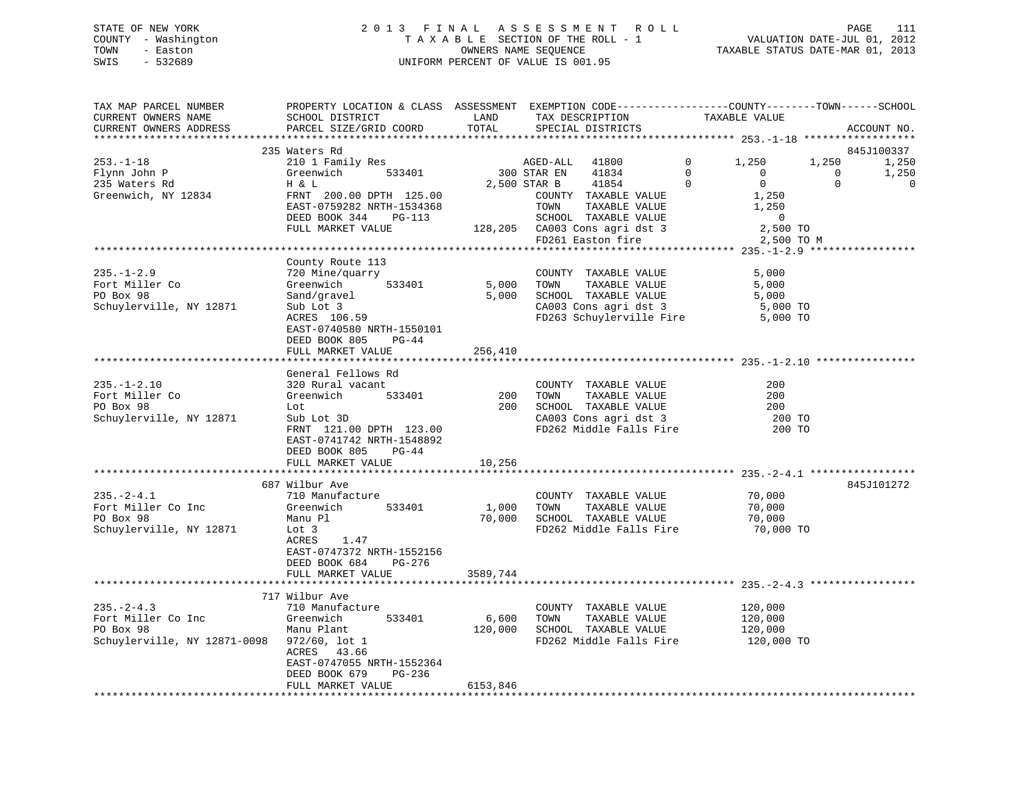# STATE OF NEW YORK 2 0 1 3 F I N A L A S S E S S M E N T R O L L PAGE 111 COUNTY - Washington T A X A B L E SECTION OF THE ROLL - 1 VALUATION DATE-JUL 01, 2012 TOWN - Easton OWNERS NAME SEQUENCE TAXABLE STATUS DATE-MAR 01, 2013 SWIS - 532689 UNIFORM PERCENT OF VALUE IS 001.95

| ACCOUNT NO.<br>235 Waters Rd<br>845J100337<br>$253. - 1 - 18$<br>210 1 Family Res<br>$\Omega$<br>1,250<br>1,250<br>AGED-ALL<br>41800<br>1,250<br>$\Omega$<br>Flynn John P<br>Greenwich<br>533401<br>300 STAR EN<br>41834<br>1,250<br>$\Omega$<br>$\Omega$<br>2,500 STAR B<br>$\mathbf 0$<br>$\overline{0}$<br>$\mathbf{0}$<br>$\mathbf 0$<br>235 Waters Rd<br>H & L<br>41854<br>1,250<br>Greenwich, NY 12834<br>FRNT 200.00 DPTH 125.00<br>COUNTY TAXABLE VALUE<br>EAST-0759282 NRTH-1534368<br>TAXABLE VALUE<br>1,250<br>TOWN<br>DEED BOOK 344<br>$PG-113$<br>SCHOOL TAXABLE VALUE<br>$\overline{0}$<br>128,205 CA003 Cons agri dst 3<br>FD261 Easton fire<br>FULL MARKET VALUE<br>2,500 TO<br>FD261 Easton fire<br>2,500 TO M<br>County Route 113<br>$235. - 1 - 2.9$<br>720 Mine/quarry<br>COUNTY TAXABLE VALUE<br>5,000<br>Fort Miller Co<br>5,000<br>TOWN<br>TAXABLE VALUE<br>Greenwich<br>533401<br>5,000<br>PO Box 98<br>Sand/gravel<br>5,000<br>SCHOOL TAXABLE VALUE<br>5,000<br>Schuylerville, NY 12871<br>CA003 Cons agri dst 3<br>5,000 TO<br>Sub Lot 3<br>5,000 TO<br>ACRES 106.59<br>FD263 Schuylerville Fire<br>EAST-0740580 NRTH-1550101<br>DEED BOOK 805<br>$PG-44$<br>256,410<br>FULL MARKET VALUE<br>General Fellows Rd<br>$235. - 1 - 2.10$<br>320 Rural vacant<br>COUNTY TAXABLE VALUE<br>200<br>Fort Miller Co<br>533401<br>200<br>TAXABLE VALUE<br>200<br>Greenwich<br>TOWN<br>200<br>SCHOOL TAXABLE VALUE<br>PO Box 98<br>200<br>Lot<br>Schuylerville, NY 12871<br>Sub Lot 3D<br>CA003 Cons agri dst 3<br>200 TO<br>FRNT 121.00 DPTH 123.00<br>FD262 Middle Falls Fire<br>200 TO<br>EAST-0741742 NRTH-1548892<br>DEED BOOK 805<br>PG-44<br>10,256<br>FULL MARKET VALUE<br>687 Wilbur Ave<br>845J101272<br>$235. - 2 - 4.1$<br>710 Manufacture<br>70,000<br>COUNTY TAXABLE VALUE<br>Fort Miller Co Inc<br>533401<br>1,000<br>TOWN<br>TAXABLE VALUE<br>70,000<br>Greenwich<br>PO Box 98<br>70,000 SCHOOL TAXABLE VALUE<br>Manu Pl<br>70,000<br>Schuylerville, NY 12871<br>FD262 Middle Falls Fire<br>70,000 TO<br>Lot 3<br>1.47<br>ACRES<br>EAST-0747372 NRTH-1552156<br>DEED BOOK 684<br>PG-276<br>FULL MARKET VALUE<br>3589,744<br>717 Wilbur Ave<br>$235. - 2 - 4.3$<br>710 Manufacture<br>120,000<br>COUNTY TAXABLE VALUE<br>Fort Miller Co Inc<br>Greenwich<br>533401<br>6,600<br>TOWN<br>TAXABLE VALUE<br>120,000<br>PO Box 98<br>120,000<br>SCHOOL TAXABLE VALUE<br>Manu Plant<br>120,000<br>Schuylerville, NY 12871-0098 972/60, lot 1<br>FD262 Middle Falls Fire<br>120,000 TO<br>ACRES 43.66<br>EAST-0747055 NRTH-1552364<br>DEED BOOK 679<br>PG-236<br>6153,846<br>FULL MARKET VALUE | TAX MAP PARCEL NUMBER<br>CURRENT OWNERS NAME | PROPERTY LOCATION & CLASS ASSESSMENT EXEMPTION CODE----------------COUNTY-------TOWN-----SCHOOL<br>SCHOOL DISTRICT | LAND  | TAX DESCRIPTION   | TAXABLE VALUE |  |
|----------------------------------------------------------------------------------------------------------------------------------------------------------------------------------------------------------------------------------------------------------------------------------------------------------------------------------------------------------------------------------------------------------------------------------------------------------------------------------------------------------------------------------------------------------------------------------------------------------------------------------------------------------------------------------------------------------------------------------------------------------------------------------------------------------------------------------------------------------------------------------------------------------------------------------------------------------------------------------------------------------------------------------------------------------------------------------------------------------------------------------------------------------------------------------------------------------------------------------------------------------------------------------------------------------------------------------------------------------------------------------------------------------------------------------------------------------------------------------------------------------------------------------------------------------------------------------------------------------------------------------------------------------------------------------------------------------------------------------------------------------------------------------------------------------------------------------------------------------------------------------------------------------------------------------------------------------------------------------------------------------------------------------------------------------------------------------------------------------------------------------------------------------------------------------------------------------------------------------------------------------------------------------------------------------------------------------------------------------------------------------------------------------------------------------------------------------------------------------------------------------------------------------------------------------------------------------------------------------------------|----------------------------------------------|--------------------------------------------------------------------------------------------------------------------|-------|-------------------|---------------|--|
|                                                                                                                                                                                                                                                                                                                                                                                                                                                                                                                                                                                                                                                                                                                                                                                                                                                                                                                                                                                                                                                                                                                                                                                                                                                                                                                                                                                                                                                                                                                                                                                                                                                                                                                                                                                                                                                                                                                                                                                                                                                                                                                                                                                                                                                                                                                                                                                                                                                                                                                                                                                                                      | CURRENT OWNERS ADDRESS                       | PARCEL SIZE/GRID COORD                                                                                             | TOTAL | SPECIAL DISTRICTS |               |  |
|                                                                                                                                                                                                                                                                                                                                                                                                                                                                                                                                                                                                                                                                                                                                                                                                                                                                                                                                                                                                                                                                                                                                                                                                                                                                                                                                                                                                                                                                                                                                                                                                                                                                                                                                                                                                                                                                                                                                                                                                                                                                                                                                                                                                                                                                                                                                                                                                                                                                                                                                                                                                                      |                                              |                                                                                                                    |       |                   |               |  |
|                                                                                                                                                                                                                                                                                                                                                                                                                                                                                                                                                                                                                                                                                                                                                                                                                                                                                                                                                                                                                                                                                                                                                                                                                                                                                                                                                                                                                                                                                                                                                                                                                                                                                                                                                                                                                                                                                                                                                                                                                                                                                                                                                                                                                                                                                                                                                                                                                                                                                                                                                                                                                      |                                              |                                                                                                                    |       |                   |               |  |
|                                                                                                                                                                                                                                                                                                                                                                                                                                                                                                                                                                                                                                                                                                                                                                                                                                                                                                                                                                                                                                                                                                                                                                                                                                                                                                                                                                                                                                                                                                                                                                                                                                                                                                                                                                                                                                                                                                                                                                                                                                                                                                                                                                                                                                                                                                                                                                                                                                                                                                                                                                                                                      |                                              |                                                                                                                    |       |                   |               |  |
|                                                                                                                                                                                                                                                                                                                                                                                                                                                                                                                                                                                                                                                                                                                                                                                                                                                                                                                                                                                                                                                                                                                                                                                                                                                                                                                                                                                                                                                                                                                                                                                                                                                                                                                                                                                                                                                                                                                                                                                                                                                                                                                                                                                                                                                                                                                                                                                                                                                                                                                                                                                                                      |                                              |                                                                                                                    |       |                   |               |  |
|                                                                                                                                                                                                                                                                                                                                                                                                                                                                                                                                                                                                                                                                                                                                                                                                                                                                                                                                                                                                                                                                                                                                                                                                                                                                                                                                                                                                                                                                                                                                                                                                                                                                                                                                                                                                                                                                                                                                                                                                                                                                                                                                                                                                                                                                                                                                                                                                                                                                                                                                                                                                                      |                                              |                                                                                                                    |       |                   |               |  |
|                                                                                                                                                                                                                                                                                                                                                                                                                                                                                                                                                                                                                                                                                                                                                                                                                                                                                                                                                                                                                                                                                                                                                                                                                                                                                                                                                                                                                                                                                                                                                                                                                                                                                                                                                                                                                                                                                                                                                                                                                                                                                                                                                                                                                                                                                                                                                                                                                                                                                                                                                                                                                      |                                              |                                                                                                                    |       |                   |               |  |
|                                                                                                                                                                                                                                                                                                                                                                                                                                                                                                                                                                                                                                                                                                                                                                                                                                                                                                                                                                                                                                                                                                                                                                                                                                                                                                                                                                                                                                                                                                                                                                                                                                                                                                                                                                                                                                                                                                                                                                                                                                                                                                                                                                                                                                                                                                                                                                                                                                                                                                                                                                                                                      |                                              |                                                                                                                    |       |                   |               |  |
|                                                                                                                                                                                                                                                                                                                                                                                                                                                                                                                                                                                                                                                                                                                                                                                                                                                                                                                                                                                                                                                                                                                                                                                                                                                                                                                                                                                                                                                                                                                                                                                                                                                                                                                                                                                                                                                                                                                                                                                                                                                                                                                                                                                                                                                                                                                                                                                                                                                                                                                                                                                                                      |                                              |                                                                                                                    |       |                   |               |  |
|                                                                                                                                                                                                                                                                                                                                                                                                                                                                                                                                                                                                                                                                                                                                                                                                                                                                                                                                                                                                                                                                                                                                                                                                                                                                                                                                                                                                                                                                                                                                                                                                                                                                                                                                                                                                                                                                                                                                                                                                                                                                                                                                                                                                                                                                                                                                                                                                                                                                                                                                                                                                                      |                                              |                                                                                                                    |       |                   |               |  |
|                                                                                                                                                                                                                                                                                                                                                                                                                                                                                                                                                                                                                                                                                                                                                                                                                                                                                                                                                                                                                                                                                                                                                                                                                                                                                                                                                                                                                                                                                                                                                                                                                                                                                                                                                                                                                                                                                                                                                                                                                                                                                                                                                                                                                                                                                                                                                                                                                                                                                                                                                                                                                      |                                              |                                                                                                                    |       |                   |               |  |
|                                                                                                                                                                                                                                                                                                                                                                                                                                                                                                                                                                                                                                                                                                                                                                                                                                                                                                                                                                                                                                                                                                                                                                                                                                                                                                                                                                                                                                                                                                                                                                                                                                                                                                                                                                                                                                                                                                                                                                                                                                                                                                                                                                                                                                                                                                                                                                                                                                                                                                                                                                                                                      |                                              |                                                                                                                    |       |                   |               |  |
|                                                                                                                                                                                                                                                                                                                                                                                                                                                                                                                                                                                                                                                                                                                                                                                                                                                                                                                                                                                                                                                                                                                                                                                                                                                                                                                                                                                                                                                                                                                                                                                                                                                                                                                                                                                                                                                                                                                                                                                                                                                                                                                                                                                                                                                                                                                                                                                                                                                                                                                                                                                                                      |                                              |                                                                                                                    |       |                   |               |  |
|                                                                                                                                                                                                                                                                                                                                                                                                                                                                                                                                                                                                                                                                                                                                                                                                                                                                                                                                                                                                                                                                                                                                                                                                                                                                                                                                                                                                                                                                                                                                                                                                                                                                                                                                                                                                                                                                                                                                                                                                                                                                                                                                                                                                                                                                                                                                                                                                                                                                                                                                                                                                                      |                                              |                                                                                                                    |       |                   |               |  |
|                                                                                                                                                                                                                                                                                                                                                                                                                                                                                                                                                                                                                                                                                                                                                                                                                                                                                                                                                                                                                                                                                                                                                                                                                                                                                                                                                                                                                                                                                                                                                                                                                                                                                                                                                                                                                                                                                                                                                                                                                                                                                                                                                                                                                                                                                                                                                                                                                                                                                                                                                                                                                      |                                              |                                                                                                                    |       |                   |               |  |
|                                                                                                                                                                                                                                                                                                                                                                                                                                                                                                                                                                                                                                                                                                                                                                                                                                                                                                                                                                                                                                                                                                                                                                                                                                                                                                                                                                                                                                                                                                                                                                                                                                                                                                                                                                                                                                                                                                                                                                                                                                                                                                                                                                                                                                                                                                                                                                                                                                                                                                                                                                                                                      |                                              |                                                                                                                    |       |                   |               |  |
|                                                                                                                                                                                                                                                                                                                                                                                                                                                                                                                                                                                                                                                                                                                                                                                                                                                                                                                                                                                                                                                                                                                                                                                                                                                                                                                                                                                                                                                                                                                                                                                                                                                                                                                                                                                                                                                                                                                                                                                                                                                                                                                                                                                                                                                                                                                                                                                                                                                                                                                                                                                                                      |                                              |                                                                                                                    |       |                   |               |  |
|                                                                                                                                                                                                                                                                                                                                                                                                                                                                                                                                                                                                                                                                                                                                                                                                                                                                                                                                                                                                                                                                                                                                                                                                                                                                                                                                                                                                                                                                                                                                                                                                                                                                                                                                                                                                                                                                                                                                                                                                                                                                                                                                                                                                                                                                                                                                                                                                                                                                                                                                                                                                                      |                                              |                                                                                                                    |       |                   |               |  |
|                                                                                                                                                                                                                                                                                                                                                                                                                                                                                                                                                                                                                                                                                                                                                                                                                                                                                                                                                                                                                                                                                                                                                                                                                                                                                                                                                                                                                                                                                                                                                                                                                                                                                                                                                                                                                                                                                                                                                                                                                                                                                                                                                                                                                                                                                                                                                                                                                                                                                                                                                                                                                      |                                              |                                                                                                                    |       |                   |               |  |
|                                                                                                                                                                                                                                                                                                                                                                                                                                                                                                                                                                                                                                                                                                                                                                                                                                                                                                                                                                                                                                                                                                                                                                                                                                                                                                                                                                                                                                                                                                                                                                                                                                                                                                                                                                                                                                                                                                                                                                                                                                                                                                                                                                                                                                                                                                                                                                                                                                                                                                                                                                                                                      |                                              |                                                                                                                    |       |                   |               |  |
|                                                                                                                                                                                                                                                                                                                                                                                                                                                                                                                                                                                                                                                                                                                                                                                                                                                                                                                                                                                                                                                                                                                                                                                                                                                                                                                                                                                                                                                                                                                                                                                                                                                                                                                                                                                                                                                                                                                                                                                                                                                                                                                                                                                                                                                                                                                                                                                                                                                                                                                                                                                                                      |                                              |                                                                                                                    |       |                   |               |  |
|                                                                                                                                                                                                                                                                                                                                                                                                                                                                                                                                                                                                                                                                                                                                                                                                                                                                                                                                                                                                                                                                                                                                                                                                                                                                                                                                                                                                                                                                                                                                                                                                                                                                                                                                                                                                                                                                                                                                                                                                                                                                                                                                                                                                                                                                                                                                                                                                                                                                                                                                                                                                                      |                                              |                                                                                                                    |       |                   |               |  |
|                                                                                                                                                                                                                                                                                                                                                                                                                                                                                                                                                                                                                                                                                                                                                                                                                                                                                                                                                                                                                                                                                                                                                                                                                                                                                                                                                                                                                                                                                                                                                                                                                                                                                                                                                                                                                                                                                                                                                                                                                                                                                                                                                                                                                                                                                                                                                                                                                                                                                                                                                                                                                      |                                              |                                                                                                                    |       |                   |               |  |
|                                                                                                                                                                                                                                                                                                                                                                                                                                                                                                                                                                                                                                                                                                                                                                                                                                                                                                                                                                                                                                                                                                                                                                                                                                                                                                                                                                                                                                                                                                                                                                                                                                                                                                                                                                                                                                                                                                                                                                                                                                                                                                                                                                                                                                                                                                                                                                                                                                                                                                                                                                                                                      |                                              |                                                                                                                    |       |                   |               |  |
|                                                                                                                                                                                                                                                                                                                                                                                                                                                                                                                                                                                                                                                                                                                                                                                                                                                                                                                                                                                                                                                                                                                                                                                                                                                                                                                                                                                                                                                                                                                                                                                                                                                                                                                                                                                                                                                                                                                                                                                                                                                                                                                                                                                                                                                                                                                                                                                                                                                                                                                                                                                                                      |                                              |                                                                                                                    |       |                   |               |  |
|                                                                                                                                                                                                                                                                                                                                                                                                                                                                                                                                                                                                                                                                                                                                                                                                                                                                                                                                                                                                                                                                                                                                                                                                                                                                                                                                                                                                                                                                                                                                                                                                                                                                                                                                                                                                                                                                                                                                                                                                                                                                                                                                                                                                                                                                                                                                                                                                                                                                                                                                                                                                                      |                                              |                                                                                                                    |       |                   |               |  |
|                                                                                                                                                                                                                                                                                                                                                                                                                                                                                                                                                                                                                                                                                                                                                                                                                                                                                                                                                                                                                                                                                                                                                                                                                                                                                                                                                                                                                                                                                                                                                                                                                                                                                                                                                                                                                                                                                                                                                                                                                                                                                                                                                                                                                                                                                                                                                                                                                                                                                                                                                                                                                      |                                              |                                                                                                                    |       |                   |               |  |
|                                                                                                                                                                                                                                                                                                                                                                                                                                                                                                                                                                                                                                                                                                                                                                                                                                                                                                                                                                                                                                                                                                                                                                                                                                                                                                                                                                                                                                                                                                                                                                                                                                                                                                                                                                                                                                                                                                                                                                                                                                                                                                                                                                                                                                                                                                                                                                                                                                                                                                                                                                                                                      |                                              |                                                                                                                    |       |                   |               |  |
|                                                                                                                                                                                                                                                                                                                                                                                                                                                                                                                                                                                                                                                                                                                                                                                                                                                                                                                                                                                                                                                                                                                                                                                                                                                                                                                                                                                                                                                                                                                                                                                                                                                                                                                                                                                                                                                                                                                                                                                                                                                                                                                                                                                                                                                                                                                                                                                                                                                                                                                                                                                                                      |                                              |                                                                                                                    |       |                   |               |  |
|                                                                                                                                                                                                                                                                                                                                                                                                                                                                                                                                                                                                                                                                                                                                                                                                                                                                                                                                                                                                                                                                                                                                                                                                                                                                                                                                                                                                                                                                                                                                                                                                                                                                                                                                                                                                                                                                                                                                                                                                                                                                                                                                                                                                                                                                                                                                                                                                                                                                                                                                                                                                                      |                                              |                                                                                                                    |       |                   |               |  |
|                                                                                                                                                                                                                                                                                                                                                                                                                                                                                                                                                                                                                                                                                                                                                                                                                                                                                                                                                                                                                                                                                                                                                                                                                                                                                                                                                                                                                                                                                                                                                                                                                                                                                                                                                                                                                                                                                                                                                                                                                                                                                                                                                                                                                                                                                                                                                                                                                                                                                                                                                                                                                      |                                              |                                                                                                                    |       |                   |               |  |
|                                                                                                                                                                                                                                                                                                                                                                                                                                                                                                                                                                                                                                                                                                                                                                                                                                                                                                                                                                                                                                                                                                                                                                                                                                                                                                                                                                                                                                                                                                                                                                                                                                                                                                                                                                                                                                                                                                                                                                                                                                                                                                                                                                                                                                                                                                                                                                                                                                                                                                                                                                                                                      |                                              |                                                                                                                    |       |                   |               |  |
|                                                                                                                                                                                                                                                                                                                                                                                                                                                                                                                                                                                                                                                                                                                                                                                                                                                                                                                                                                                                                                                                                                                                                                                                                                                                                                                                                                                                                                                                                                                                                                                                                                                                                                                                                                                                                                                                                                                                                                                                                                                                                                                                                                                                                                                                                                                                                                                                                                                                                                                                                                                                                      |                                              |                                                                                                                    |       |                   |               |  |
|                                                                                                                                                                                                                                                                                                                                                                                                                                                                                                                                                                                                                                                                                                                                                                                                                                                                                                                                                                                                                                                                                                                                                                                                                                                                                                                                                                                                                                                                                                                                                                                                                                                                                                                                                                                                                                                                                                                                                                                                                                                                                                                                                                                                                                                                                                                                                                                                                                                                                                                                                                                                                      |                                              |                                                                                                                    |       |                   |               |  |
|                                                                                                                                                                                                                                                                                                                                                                                                                                                                                                                                                                                                                                                                                                                                                                                                                                                                                                                                                                                                                                                                                                                                                                                                                                                                                                                                                                                                                                                                                                                                                                                                                                                                                                                                                                                                                                                                                                                                                                                                                                                                                                                                                                                                                                                                                                                                                                                                                                                                                                                                                                                                                      |                                              |                                                                                                                    |       |                   |               |  |
|                                                                                                                                                                                                                                                                                                                                                                                                                                                                                                                                                                                                                                                                                                                                                                                                                                                                                                                                                                                                                                                                                                                                                                                                                                                                                                                                                                                                                                                                                                                                                                                                                                                                                                                                                                                                                                                                                                                                                                                                                                                                                                                                                                                                                                                                                                                                                                                                                                                                                                                                                                                                                      |                                              |                                                                                                                    |       |                   |               |  |
|                                                                                                                                                                                                                                                                                                                                                                                                                                                                                                                                                                                                                                                                                                                                                                                                                                                                                                                                                                                                                                                                                                                                                                                                                                                                                                                                                                                                                                                                                                                                                                                                                                                                                                                                                                                                                                                                                                                                                                                                                                                                                                                                                                                                                                                                                                                                                                                                                                                                                                                                                                                                                      |                                              |                                                                                                                    |       |                   |               |  |
|                                                                                                                                                                                                                                                                                                                                                                                                                                                                                                                                                                                                                                                                                                                                                                                                                                                                                                                                                                                                                                                                                                                                                                                                                                                                                                                                                                                                                                                                                                                                                                                                                                                                                                                                                                                                                                                                                                                                                                                                                                                                                                                                                                                                                                                                                                                                                                                                                                                                                                                                                                                                                      |                                              |                                                                                                                    |       |                   |               |  |
|                                                                                                                                                                                                                                                                                                                                                                                                                                                                                                                                                                                                                                                                                                                                                                                                                                                                                                                                                                                                                                                                                                                                                                                                                                                                                                                                                                                                                                                                                                                                                                                                                                                                                                                                                                                                                                                                                                                                                                                                                                                                                                                                                                                                                                                                                                                                                                                                                                                                                                                                                                                                                      |                                              |                                                                                                                    |       |                   |               |  |
|                                                                                                                                                                                                                                                                                                                                                                                                                                                                                                                                                                                                                                                                                                                                                                                                                                                                                                                                                                                                                                                                                                                                                                                                                                                                                                                                                                                                                                                                                                                                                                                                                                                                                                                                                                                                                                                                                                                                                                                                                                                                                                                                                                                                                                                                                                                                                                                                                                                                                                                                                                                                                      |                                              |                                                                                                                    |       |                   |               |  |
|                                                                                                                                                                                                                                                                                                                                                                                                                                                                                                                                                                                                                                                                                                                                                                                                                                                                                                                                                                                                                                                                                                                                                                                                                                                                                                                                                                                                                                                                                                                                                                                                                                                                                                                                                                                                                                                                                                                                                                                                                                                                                                                                                                                                                                                                                                                                                                                                                                                                                                                                                                                                                      |                                              |                                                                                                                    |       |                   |               |  |
|                                                                                                                                                                                                                                                                                                                                                                                                                                                                                                                                                                                                                                                                                                                                                                                                                                                                                                                                                                                                                                                                                                                                                                                                                                                                                                                                                                                                                                                                                                                                                                                                                                                                                                                                                                                                                                                                                                                                                                                                                                                                                                                                                                                                                                                                                                                                                                                                                                                                                                                                                                                                                      |                                              |                                                                                                                    |       |                   |               |  |
|                                                                                                                                                                                                                                                                                                                                                                                                                                                                                                                                                                                                                                                                                                                                                                                                                                                                                                                                                                                                                                                                                                                                                                                                                                                                                                                                                                                                                                                                                                                                                                                                                                                                                                                                                                                                                                                                                                                                                                                                                                                                                                                                                                                                                                                                                                                                                                                                                                                                                                                                                                                                                      |                                              |                                                                                                                    |       |                   |               |  |
|                                                                                                                                                                                                                                                                                                                                                                                                                                                                                                                                                                                                                                                                                                                                                                                                                                                                                                                                                                                                                                                                                                                                                                                                                                                                                                                                                                                                                                                                                                                                                                                                                                                                                                                                                                                                                                                                                                                                                                                                                                                                                                                                                                                                                                                                                                                                                                                                                                                                                                                                                                                                                      |                                              |                                                                                                                    |       |                   |               |  |
|                                                                                                                                                                                                                                                                                                                                                                                                                                                                                                                                                                                                                                                                                                                                                                                                                                                                                                                                                                                                                                                                                                                                                                                                                                                                                                                                                                                                                                                                                                                                                                                                                                                                                                                                                                                                                                                                                                                                                                                                                                                                                                                                                                                                                                                                                                                                                                                                                                                                                                                                                                                                                      |                                              |                                                                                                                    |       |                   |               |  |
|                                                                                                                                                                                                                                                                                                                                                                                                                                                                                                                                                                                                                                                                                                                                                                                                                                                                                                                                                                                                                                                                                                                                                                                                                                                                                                                                                                                                                                                                                                                                                                                                                                                                                                                                                                                                                                                                                                                                                                                                                                                                                                                                                                                                                                                                                                                                                                                                                                                                                                                                                                                                                      |                                              |                                                                                                                    |       |                   |               |  |
|                                                                                                                                                                                                                                                                                                                                                                                                                                                                                                                                                                                                                                                                                                                                                                                                                                                                                                                                                                                                                                                                                                                                                                                                                                                                                                                                                                                                                                                                                                                                                                                                                                                                                                                                                                                                                                                                                                                                                                                                                                                                                                                                                                                                                                                                                                                                                                                                                                                                                                                                                                                                                      |                                              |                                                                                                                    |       |                   |               |  |
|                                                                                                                                                                                                                                                                                                                                                                                                                                                                                                                                                                                                                                                                                                                                                                                                                                                                                                                                                                                                                                                                                                                                                                                                                                                                                                                                                                                                                                                                                                                                                                                                                                                                                                                                                                                                                                                                                                                                                                                                                                                                                                                                                                                                                                                                                                                                                                                                                                                                                                                                                                                                                      |                                              |                                                                                                                    |       |                   |               |  |
|                                                                                                                                                                                                                                                                                                                                                                                                                                                                                                                                                                                                                                                                                                                                                                                                                                                                                                                                                                                                                                                                                                                                                                                                                                                                                                                                                                                                                                                                                                                                                                                                                                                                                                                                                                                                                                                                                                                                                                                                                                                                                                                                                                                                                                                                                                                                                                                                                                                                                                                                                                                                                      |                                              |                                                                                                                    |       |                   |               |  |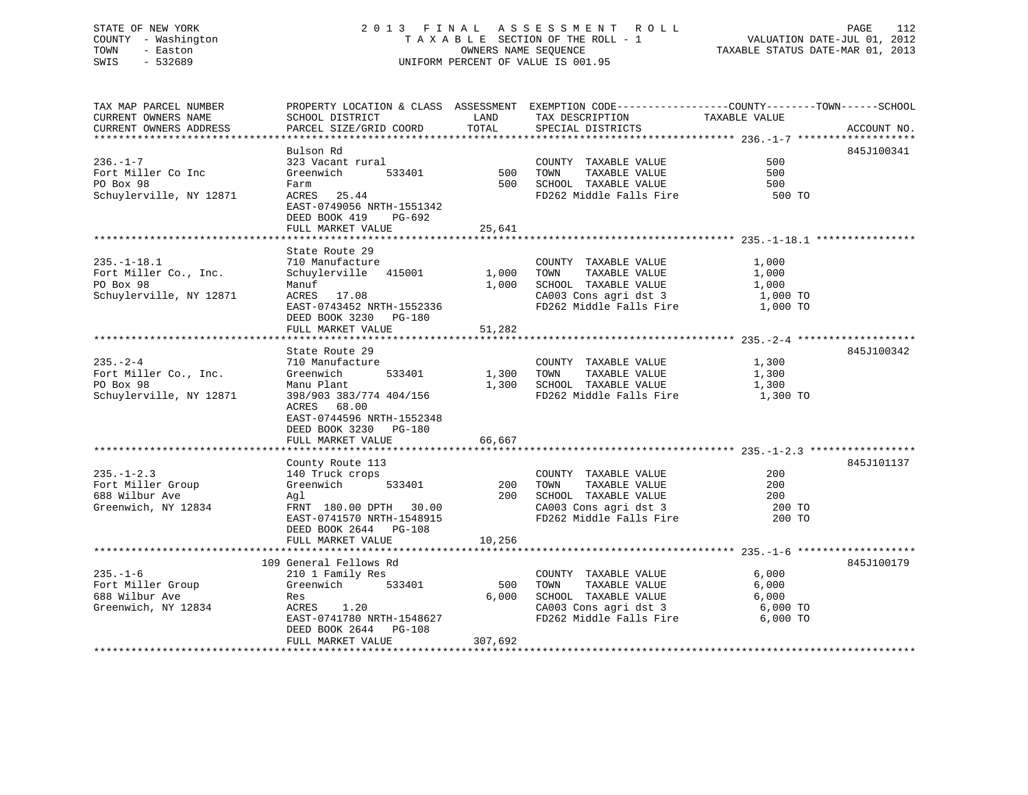# STATE OF NEW YORK 2 0 1 3 F I N A L A S S E S S M E N T R O L L PAGE 112 COUNTY - Washington T A X A B L E SECTION OF THE ROLL - 1 VALUATION DATE-JUL 01, 2012 TOWN - Easton OWNERS NAME SEQUENCE TAXABLE STATUS DATE-MAR 01, 2013 SWIS - 532689 UNIFORM PERCENT OF VALUE IS 001.95

| TAX MAP PARCEL NUMBER |                                                                                                                                                                                                                                                          |                                    | PROPERTY LOCATION & CLASS ASSESSMENT EXEMPTION CODE----------------COUNTY-------TOWN------SCHOOL                                                                                         |                  |             |
|-----------------------|----------------------------------------------------------------------------------------------------------------------------------------------------------------------------------------------------------------------------------------------------------|------------------------------------|------------------------------------------------------------------------------------------------------------------------------------------------------------------------------------------|------------------|-------------|
| CURRENT OWNERS NAME   | SCHOOL DISTRICT                                                                                                                                                                                                                                          | <b>EXAMPLE STATE SERVICE STATE</b> | TAX DESCRIPTION                                                                                                                                                                          | TAXABLE VALUE    |             |
|                       | CURRENT OWNERS ADDRESS PARCEL SIZE/GRID COORD TOTAL                                                                                                                                                                                                      |                                    | SPECIAL DISTRICTS                                                                                                                                                                        |                  | ACCOUNT NO. |
|                       |                                                                                                                                                                                                                                                          |                                    |                                                                                                                                                                                          |                  |             |
|                       | Bulson Rd                                                                                                                                                                                                                                                |                                    |                                                                                                                                                                                          |                  | 845J100341  |
|                       |                                                                                                                                                                                                                                                          |                                    | COUNTY TAXABLE VALUE                                                                                                                                                                     | 500              |             |
|                       |                                                                                                                                                                                                                                                          |                                    | TAXABLE VALUE                                                                                                                                                                            |                  |             |
|                       | 533401 500 TOWN                                                                                                                                                                                                                                          |                                    |                                                                                                                                                                                          | 500              |             |
| PO Box 98             | Farm                                                                                                                                                                                                                                                     |                                    |                                                                                                                                                                                          |                  |             |
|                       | Schuylerville, NY 12871 ACRES 25.44                                                                                                                                                                                                                      |                                    |                                                                                                                                                                                          |                  |             |
|                       | EAST-0749056 NRTH-1551342                                                                                                                                                                                                                                |                                    |                                                                                                                                                                                          |                  |             |
|                       | DEED BOOK 419 PG-692                                                                                                                                                                                                                                     |                                    |                                                                                                                                                                                          |                  |             |
|                       | FULL MARKET VALUE 25,641                                                                                                                                                                                                                                 |                                    |                                                                                                                                                                                          |                  |             |
|                       |                                                                                                                                                                                                                                                          |                                    |                                                                                                                                                                                          |                  |             |
|                       | State Route 29                                                                                                                                                                                                                                           |                                    |                                                                                                                                                                                          |                  |             |
|                       |                                                                                                                                                                                                                                                          |                                    |                                                                                                                                                                                          |                  |             |
|                       |                                                                                                                                                                                                                                                          |                                    |                                                                                                                                                                                          | 1,000            |             |
|                       |                                                                                                                                                                                                                                                          |                                    |                                                                                                                                                                                          | 1,000            |             |
|                       |                                                                                                                                                                                                                                                          |                                    |                                                                                                                                                                                          | 1,000            |             |
|                       |                                                                                                                                                                                                                                                          |                                    | CA003 Cons agri dst 3 1,000 TO<br>FD262 Middle Falls Fire 1,000 TO                                                                                                                       |                  |             |
|                       | EAST-0743452 NRTH-1552336                                                                                                                                                                                                                                |                                    |                                                                                                                                                                                          |                  |             |
|                       | DEED BOOK 3230 PG-180                                                                                                                                                                                                                                    |                                    |                                                                                                                                                                                          |                  |             |
|                       | FULL MARKET VALUE                                                                                                                                                                                                                                        | 51,282                             |                                                                                                                                                                                          |                  |             |
|                       |                                                                                                                                                                                                                                                          |                                    |                                                                                                                                                                                          |                  |             |
|                       | State Route 29                                                                                                                                                                                                                                           |                                    |                                                                                                                                                                                          |                  | 845J100342  |
|                       |                                                                                                                                                                                                                                                          |                                    |                                                                                                                                                                                          |                  |             |
|                       |                                                                                                                                                                                                                                                          |                                    | $\begin{tabular}{lllllll} \multicolumn{2}{l}{{\small \texttt{COUNTY}}} & \multicolumn{2}{l}{\small \texttt{TAXABLE VALUE}} & \\ & & & & 1,300 \end{tabular}$<br>1,300 TOWN TAXABLE VALUE |                  |             |
|                       |                                                                                                                                                                                                                                                          |                                    |                                                                                                                                                                                          | 1,300            |             |
|                       |                                                                                                                                                                                                                                                          |                                    | 1,300 SCHOOL TAXABLE VALUE 1,300                                                                                                                                                         |                  |             |
|                       |                                                                                                                                                                                                                                                          |                                    | FD262 Middle Falls Fire                                                                                                                                                                  | 1,300 TO         |             |
|                       | ACRES 68.00                                                                                                                                                                                                                                              |                                    |                                                                                                                                                                                          |                  |             |
|                       | EAST-0744596 NRTH-1552348                                                                                                                                                                                                                                |                                    |                                                                                                                                                                                          |                  |             |
|                       | DEED BOOK 3230 PG-180                                                                                                                                                                                                                                    |                                    |                                                                                                                                                                                          |                  |             |
|                       | FULL MARKET VALUE                                                                                                                                                                                                                                        | 66,667                             |                                                                                                                                                                                          |                  |             |
|                       |                                                                                                                                                                                                                                                          |                                    |                                                                                                                                                                                          |                  |             |
|                       |                                                                                                                                                                                                                                                          |                                    |                                                                                                                                                                                          |                  | 845J101137  |
|                       | County Route 113<br>235.-1-2.3<br>Fort Miller Group Greenwich 533401<br>688 Wilbur Ave Maglement Agl EXAMPLE 200<br>Greenwich, NY 12834<br>200<br>Greenwich, NY 12834<br>200<br>EAST-074157001 30.00<br>EAST 200<br>EAST 200<br>EAST 200<br>EAST 200<br> |                                    |                                                                                                                                                                                          |                  |             |
|                       |                                                                                                                                                                                                                                                          |                                    |                                                                                                                                                                                          |                  |             |
|                       |                                                                                                                                                                                                                                                          |                                    |                                                                                                                                                                                          |                  |             |
|                       |                                                                                                                                                                                                                                                          |                                    |                                                                                                                                                                                          |                  |             |
|                       |                                                                                                                                                                                                                                                          |                                    |                                                                                                                                                                                          |                  |             |
|                       |                                                                                                                                                                                                                                                          |                                    |                                                                                                                                                                                          | 200 TO<br>200 TO |             |
|                       | DEED BOOK 2644 PG-108                                                                                                                                                                                                                                    |                                    |                                                                                                                                                                                          |                  |             |
|                       | FULL MARKET VALUE                                                                                                                                                                                                                                        | 10,256                             |                                                                                                                                                                                          |                  |             |
|                       |                                                                                                                                                                                                                                                          |                                    |                                                                                                                                                                                          |                  |             |
|                       | 109 General Fellows Rd                                                                                                                                                                                                                                   |                                    |                                                                                                                                                                                          |                  | 845J100179  |
|                       |                                                                                                                                                                                                                                                          |                                    |                                                                                                                                                                                          |                  |             |
|                       |                                                                                                                                                                                                                                                          |                                    |                                                                                                                                                                                          | 6,000            |             |
|                       | 235.-1-6<br>Fort Miller Group 210 1 Family Res<br>Fort Miller Group 688 Wilbur Ave Res<br>Greenwich, NY 12834 ACRES 1.20<br>EAST-0741780 NRTH-1548627                                                                                                    |                                    | COUNTY TAXABLE VALUE<br>500 TOWN TAXABLE VALUE                                                                                                                                           | 6,000            |             |
|                       |                                                                                                                                                                                                                                                          |                                    | 6,000 SCHOOL TAXABLE VALUE $6,000$<br>CA003 Cons agri dst 3 6,000 TO                                                                                                                     |                  |             |
|                       |                                                                                                                                                                                                                                                          |                                    |                                                                                                                                                                                          |                  |             |
|                       |                                                                                                                                                                                                                                                          |                                    | FD262 Middle Falls Fire 6,000 TO                                                                                                                                                         |                  |             |
|                       | DEED BOOK 2644 PG-108                                                                                                                                                                                                                                    |                                    |                                                                                                                                                                                          |                  |             |
|                       | FULL MARKET VALUE                                                                                                                                                                                                                                        | 307,692                            |                                                                                                                                                                                          |                  |             |
|                       |                                                                                                                                                                                                                                                          |                                    |                                                                                                                                                                                          |                  |             |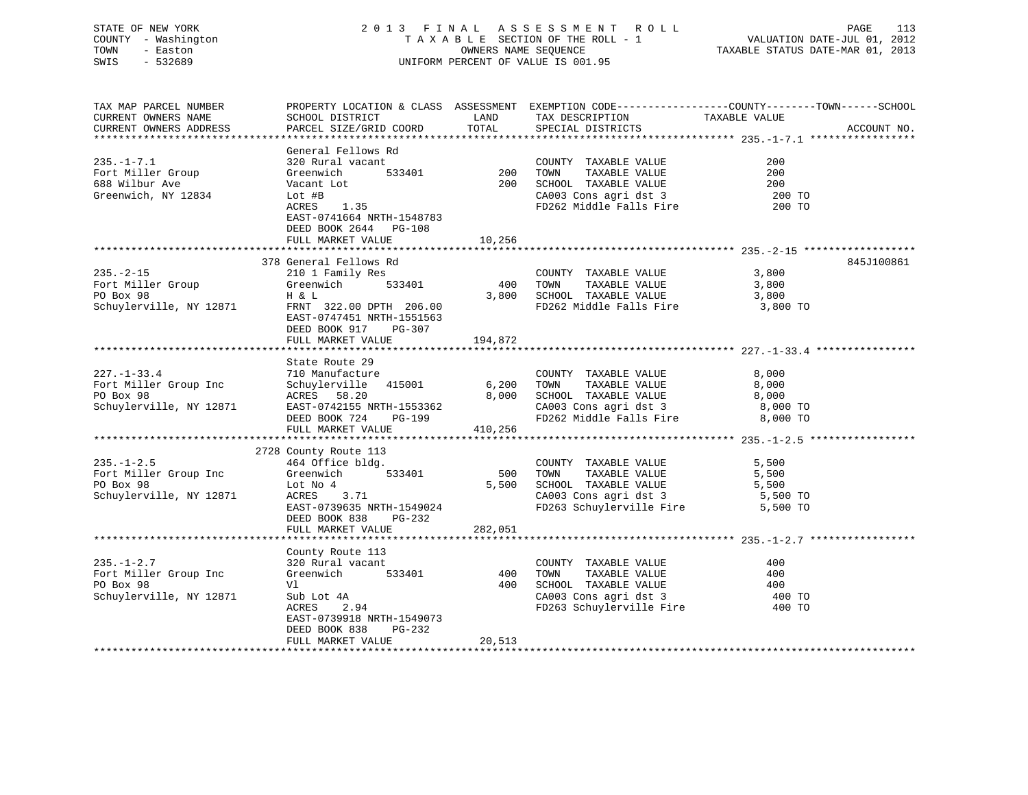# STATE OF NEW YORK 2 0 1 3 F I N A L A S S E S S M E N T R O L L PAGE 113 COUNTY - Washington T A X A B L E SECTION OF THE ROLL - 1 VALUATION DATE-JUL 01, 2012 TOWN - Easton OWNERS NAME SEQUENCE TAXABLE STATUS DATE-MAR 01, 2013 SWIS - 532689 UNIFORM PERCENT OF VALUE IS 001.95

| TAX MAP PARCEL NUMBER   |                                            |         | PROPERTY LOCATION & CLASS ASSESSMENT EXEMPTION CODE----------------COUNTY-------TOWN------SCHOOL |               |             |
|-------------------------|--------------------------------------------|---------|--------------------------------------------------------------------------------------------------|---------------|-------------|
| CURRENT OWNERS NAME     | SCHOOL DISTRICT                            | LAND    | TAX DESCRIPTION                                                                                  | TAXABLE VALUE |             |
| CURRENT OWNERS ADDRESS  | PARCEL SIZE/GRID COORD                     | TOTAL   | SPECIAL DISTRICTS                                                                                |               | ACCOUNT NO. |
|                         |                                            |         |                                                                                                  |               |             |
|                         | General Fellows Rd                         |         |                                                                                                  |               |             |
| $235. -1 - 7.1$         | 320 Rural vacant                           |         | COUNTY TAXABLE VALUE                                                                             | 200           |             |
| Fort Miller Group       | Greenwich<br>533401                        | 200     | TAXABLE VALUE<br>TOWN                                                                            | 200           |             |
| 688 Wilbur Ave          | Vacant Lot                                 | 200     | SCHOOL TAXABLE VALUE                                                                             | 200           |             |
| Greenwich, NY 12834     | Lot #B                                     |         | CA003 Cons agri dst 3                                                                            | 200 TO        |             |
|                         | ACRES<br>1.35                              |         | FD262 Middle Falls Fire                                                                          | 200 TO        |             |
|                         | EAST-0741664 NRTH-1548783                  |         |                                                                                                  |               |             |
|                         | DEED BOOK 2644 PG-108                      |         |                                                                                                  |               |             |
|                         | FULL MARKET VALUE                          | 10,256  |                                                                                                  |               |             |
|                         |                                            |         |                                                                                                  |               |             |
|                         | 378 General Fellows Rd                     |         |                                                                                                  |               | 845J100861  |
| $235. - 2 - 15$         | 210 1 Family Res                           |         | COUNTY TAXABLE VALUE                                                                             | 3,800         |             |
| Fort Miller Group       | 533401<br>Greenwich                        | 400     | TOWN<br>TAXABLE VALUE                                                                            | 3,800         |             |
| PO Box 98               | H & L                                      | 3,800   | SCHOOL TAXABLE VALUE                                                                             | 3,800         |             |
| Schuylerville, NY 12871 | FRNT 322.00 DPTH 206.00                    |         | FD262 Middle Falls Fire                                                                          | 3,800 TO      |             |
|                         | EAST-0747451 NRTH-1551563                  |         |                                                                                                  |               |             |
|                         | DEED BOOK 917<br>PG-307                    |         |                                                                                                  |               |             |
|                         | FULL MARKET VALUE                          | 194,872 |                                                                                                  |               |             |
|                         |                                            |         |                                                                                                  |               |             |
|                         | State Route 29                             |         |                                                                                                  |               |             |
| $227. - 1 - 33.4$       | 710 Manufacture                            |         | COUNTY TAXABLE VALUE                                                                             | 8,000         |             |
| Fort Miller Group Inc   | Schuylerville 415001                       | 6,200   | TOWN<br>TAXABLE VALUE                                                                            | 8,000         |             |
| PO Box 98               | ACRES 58.20                                | 8,000   | SCHOOL TAXABLE VALUE                                                                             | 8,000         |             |
| Schuylerville, NY 12871 | EAST-0742155 NRTH-1553362                  |         | CA003 Cons agri dst 3                                                                            | 8,000 TO      |             |
|                         | DEED BOOK 724<br>PG-199                    |         | FD262 Middle Falls Fire                                                                          | 8,000 TO      |             |
|                         | FULL MARKET VALUE                          | 410,256 |                                                                                                  |               |             |
|                         |                                            |         |                                                                                                  |               |             |
|                         | 2728 County Route 113                      |         |                                                                                                  |               |             |
| $235. - 1 - 2.5$        | 464 Office bldg.                           |         | COUNTY TAXABLE VALUE                                                                             | 5,500         |             |
| Fort Miller Group Inc   | 533401<br>Greenwich                        | 500     | TOWN<br>TAXABLE VALUE                                                                            | 5,500         |             |
| PO Box 98               | Lot No 4                                   | 5,500   | SCHOOL TAXABLE VALUE                                                                             | 5,500         |             |
| Schuylerville, NY 12871 | ACRES<br>3.71                              |         | CA003 Cons agri dst 3                                                                            | 5,500 TO      |             |
|                         | EAST-0739635 NRTH-1549024                  |         | FD263 Schuylerville Fire                                                                         | 5,500 TO      |             |
|                         | DEED BOOK 838<br>PG-232                    |         |                                                                                                  |               |             |
|                         | FULL MARKET VALUE                          | 282,051 |                                                                                                  |               |             |
|                         |                                            |         |                                                                                                  |               |             |
|                         | County Route 113                           |         |                                                                                                  |               |             |
| $235. - 1 - 2.7$        | 320 Rural vacant                           |         | COUNTY TAXABLE VALUE                                                                             | 400           |             |
| Fort Miller Group Inc   | 533401<br>Greenwich                        | 400     | TAXABLE VALUE<br>TOWN                                                                            | 400           |             |
| PO Box 98               | Vl                                         | 400     |                                                                                                  | 400           |             |
| Schuylerville, NY 12871 | Sub Lot 4A                                 |         | CA003 Cons agri dst 3<br>FD263 Schurley 1                                                        | 400 TO        |             |
|                         |                                            |         |                                                                                                  |               |             |
|                         | ACRES<br>2.94<br>EAST-0739918 NRTH-1549073 |         | FD263 Schuylerville Fire                                                                         | 400 TO        |             |
|                         |                                            |         |                                                                                                  |               |             |
|                         | DEED BOOK 838<br>PG-232                    | 20,513  |                                                                                                  |               |             |
|                         | FULL MARKET VALUE                          |         |                                                                                                  |               |             |
|                         |                                            |         |                                                                                                  |               |             |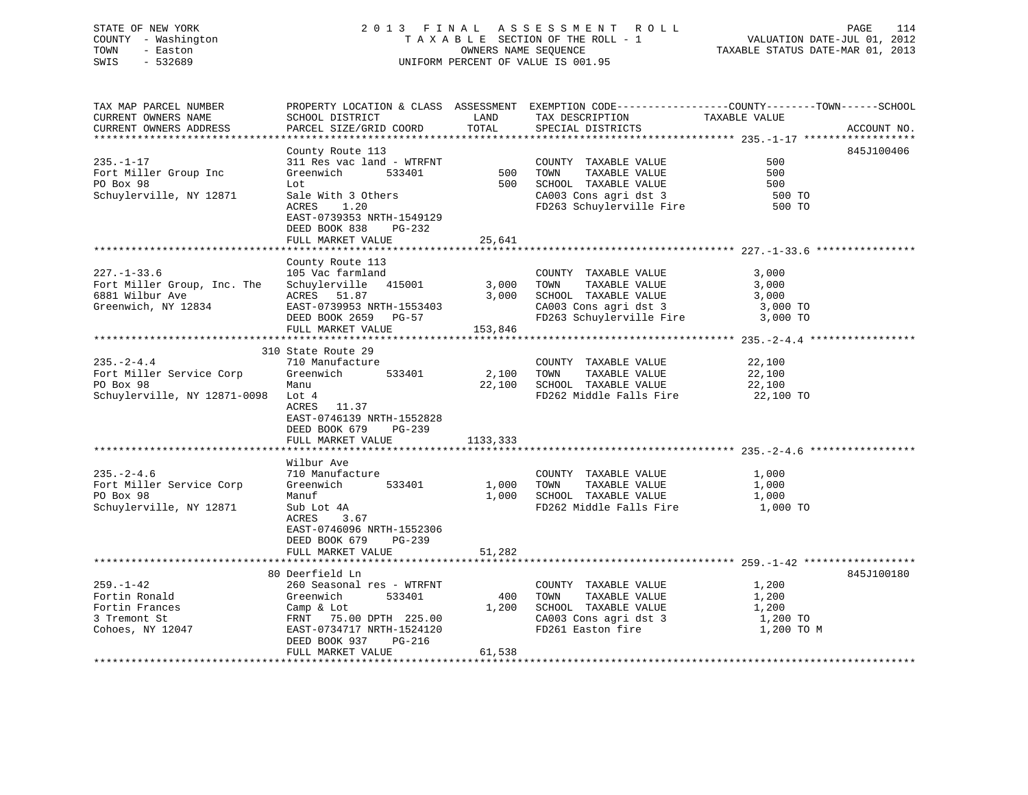# STATE OF NEW YORK 2 0 1 3 F I N A L A S S E S S M E N T R O L L PAGE 114 COUNTY - Washington T A X A B L E SECTION OF THE ROLL - 1 VALUATION DATE-JUL 01, 2012 TOWN - Easton OWNERS NAME SEQUENCE TAXABLE STATUS DATE-MAR 01, 2013 SWIS - 532689 UNIFORM PERCENT OF VALUE IS 001.95

| TAX MAP PARCEL NUMBER<br>CURRENT OWNERS NAME<br>CURRENT OWNERS ADDRESS                                                                                                                                         | SCHOOL DISTRICT<br>PARCEL SIZE/GRID COORD                                                                                                                                                                 | LAND<br>TOTAL | PROPERTY LOCATION & CLASS ASSESSMENT EXEMPTION CODE----------------COUNTY-------TOWN------SCHOOL<br>TAX DESCRIPTION<br>SPECIAL DISTRICTS      | TAXABLE VALUE                       | ACCOUNT NO. |
|----------------------------------------------------------------------------------------------------------------------------------------------------------------------------------------------------------------|-----------------------------------------------------------------------------------------------------------------------------------------------------------------------------------------------------------|---------------|-----------------------------------------------------------------------------------------------------------------------------------------------|-------------------------------------|-------------|
|                                                                                                                                                                                                                |                                                                                                                                                                                                           |               |                                                                                                                                               |                                     |             |
| $235. - 1 - 17$<br>Fort Miller Group Inc<br>PO Box 98<br>Schuylerville, NY 12871                                                                                                                               | County Route 113<br>311 Res vac land - WTRFNT COUNTY<br>Greenwich 533401 500 TOWN<br>Lot<br>Sale With 3 Others<br>ACRES<br>1.20<br>EAST-0739353 NRTH-1549129<br>DEED BOOK 838 PG-232<br>FULL MARKET VALUE | 25,641        | COUNTY TAXABLE VALUE<br>TAXABLE VALUE<br>500 SCHOOL TAXABLE VALUE<br>CA003 Cons agri dst 3<br>FD263 Schuylerville Fire 500 TO                 | 500<br>500<br>500<br>500 TO         | 845J100406  |
|                                                                                                                                                                                                                | County Route 113                                                                                                                                                                                          |               |                                                                                                                                               |                                     |             |
| $227. - 1 - 33.6$<br>Fort Miller Group, Inc. The Schuylerville 415001 3,000 TOWN                                                                                                                               | 105 Vac farmland                                                                                                                                                                                          | 153,846       | COUNTY TAXABLE VALUE<br>TAXABLE VALUE<br>$3,000$ SCHOOL TAXABLE VALUE $3,000$<br>CA003 Cons agri dst 3 $3,000$ TO<br>FD263 Schuylerville Fire | 3,000<br>3,000<br>3,000 TO          |             |
|                                                                                                                                                                                                                | 310 State Route 29                                                                                                                                                                                        |               |                                                                                                                                               |                                     |             |
| $235 - 2 - 4.4$<br>Fort Miller Service Corp<br>PO Box 98<br>Schuylerville, NY 12871-0098 Lot 4                                                                                                                 | 710 Manufacture<br>Greenwich 533401<br>Manu<br>ACRES 11.37<br>EAST-0746139 NRTH-1552828<br>DEED BOOK 679 PG-239<br>FULL MARKET VALUE 1133, 333                                                            | 2,100 TOWN    | COUNTY TAXABLE VALUE<br>TAXABLE VALUE 22,100<br>TAXABLE VALUE 22,100<br>22,100 SCHOOL TAXABLE VALUE<br>FD262 Middle Falls Fire 22,100 TO      | 22,100                              |             |
|                                                                                                                                                                                                                | Wilbur Ave                                                                                                                                                                                                |               |                                                                                                                                               |                                     |             |
| $235. - 2 - 4.6$<br>Fort Miller Service Corp<br>PO Box 98<br>Schuylerville, NY 12871                                                                                                                           | 710 Manufacture<br>Greenwich 533401<br>Manuf<br>Sub Lot 4A<br>ACRES<br>3.67<br>EAST-0746096 NRTH-1552306<br>DEED BOOK 679<br>PG-239                                                                       | 1,000 TOWN    | COUNTY TAXABLE VALUE<br>TAXABLE VALUE<br>1,000 SCHOOL TAXABLE VALUE<br>FD262 Middle Falls Fire                                                | 1,000<br>1,000<br>1,000<br>1,000 TO |             |
|                                                                                                                                                                                                                | FULL MARKET VALUE                                                                                                                                                                                         | 51,282        |                                                                                                                                               |                                     |             |
|                                                                                                                                                                                                                | 80 Deerfield Ln                                                                                                                                                                                           |               |                                                                                                                                               |                                     | 845J100180  |
| $259. - 1 - 42$<br>Fortin Ronald<br>Fortin Frances<br>3 Tremont St<br>Cohoes, NY 12047<br>Cohoes, NY 12047<br>Cohoes, NY 12047<br>Cohoes, NY 12047<br>Cohoes, NY 12047<br>Cohoes, NY 12047<br>Cohoes, NY 12047 | 260 Seasonal res - WTRFNT<br>533401<br>Greenwich<br>DEED BOOK 937<br>PG-216<br>FULL MARKET VALUE                                                                                                          | 61,538        | COUNTY TAXABLE VALUE<br>400 TOWN<br>TAXABLE VALUE<br>FD261 Easton fire                                                                        | 1,200<br>1,200<br>1,200 TO M        |             |
|                                                                                                                                                                                                                |                                                                                                                                                                                                           |               |                                                                                                                                               |                                     |             |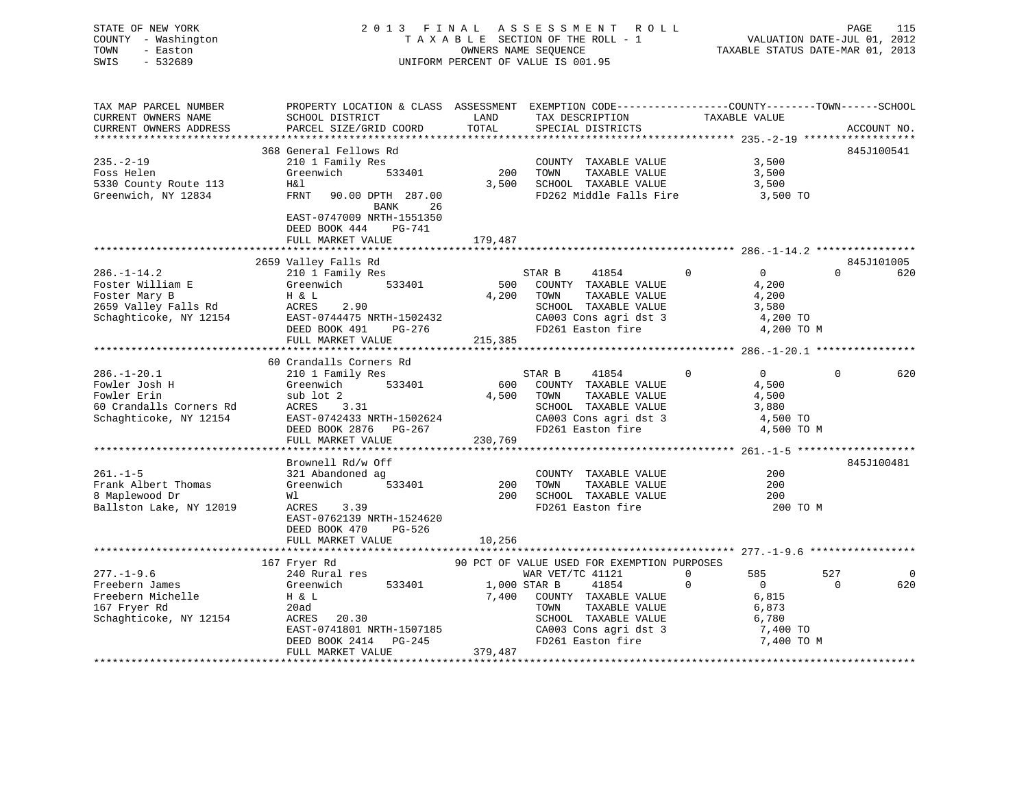# STATE OF NEW YORK 2 0 1 3 F I N A L A S S E S S M E N T R O L L PAGE 115 COUNTY - Washington T A X A B L E SECTION OF THE ROLL - 1 VALUATION DATE-JUL 01, 2012 TOWN - Easton **CONNERS NAME SEQUENCE** TAXABLE STATUS DATE-MAR 01, 2013 SWIS - 532689 UNIFORM PERCENT OF VALUE IS 001.95

| TAX MAP PARCEL NUMBER   | PROPERTY LOCATION & CLASS ASSESSMENT EXEMPTION CODE---------------COUNTY-------TOWN------SCHOOL |         |                   |                                             |               |                   |                       |
|-------------------------|-------------------------------------------------------------------------------------------------|---------|-------------------|---------------------------------------------|---------------|-------------------|-----------------------|
| CURRENT OWNERS NAME     | SCHOOL DISTRICT                                                                                 | LAND    | TAX DESCRIPTION   |                                             | TAXABLE VALUE |                   |                       |
| CURRENT OWNERS ADDRESS  | PARCEL SIZE/GRID COORD                                                                          | TOTAL   | SPECIAL DISTRICTS |                                             |               |                   | ACCOUNT NO.           |
|                         | 368 General Fellows Rd                                                                          |         |                   |                                             |               |                   | 845J100541            |
| $235. - 2 - 19$         | 210 1 Family Res                                                                                |         |                   | COUNTY TAXABLE VALUE                        |               | 3,500             |                       |
| Foss Helen              | Greenwich<br>533401                                                                             | 200     | TOWN              | TAXABLE VALUE                               |               | 3,500             |                       |
| 5330 County Route 113   | H&l                                                                                             | 3,500   |                   | SCHOOL TAXABLE VALUE                        |               | 3,500             |                       |
| Greenwich, NY 12834     | FRNT<br>90.00 DPTH 287.00                                                                       |         |                   | FD262 Middle Falls Fire                     |               | 3,500 TO          |                       |
|                         | 26<br>BANK                                                                                      |         |                   |                                             |               |                   |                       |
|                         | EAST-0747009 NRTH-1551350                                                                       |         |                   |                                             |               |                   |                       |
|                         | DEED BOOK 444<br>PG-741                                                                         |         |                   |                                             |               |                   |                       |
|                         | FULL MARKET VALUE                                                                               | 179,487 |                   |                                             |               |                   |                       |
|                         |                                                                                                 |         |                   |                                             |               |                   |                       |
|                         | 2659 Valley Falls Rd                                                                            |         |                   |                                             |               |                   | 845J101005            |
| $286. - 1 - 14.2$       | 210 1 Family Res                                                                                |         | STAR B            | 41854                                       | $\Omega$      | $\Omega$          | $\Omega$<br>620       |
| Foster William E        | Greenwich<br>533401                                                                             | 500     |                   | COUNTY TAXABLE VALUE                        |               | 4,200             |                       |
| Foster Mary B           | H & L                                                                                           | 4,200   | TOWN              | TAXABLE VALUE                               |               | 4,200             |                       |
| 2659 Valley Falls Rd    | ACRES<br>2.90                                                                                   |         |                   | SCHOOL TAXABLE VALUE                        |               | 3,580             |                       |
| Schaghticoke, NY 12154  | EAST-0744475 NRTH-1502432                                                                       |         |                   | CA003 Cons agri dst 3                       |               | 4,200 TO          |                       |
|                         | DEED BOOK 491<br>PG-276                                                                         |         | FD261 Easton fire |                                             |               | 4,200 TO M        |                       |
|                         | FULL MARKET VALUE                                                                               | 215,385 |                   |                                             |               |                   |                       |
|                         | 60 Crandalls Corners Rd                                                                         |         |                   |                                             |               |                   |                       |
| $286. - 1 - 20.1$       | 210 1 Family Res                                                                                |         | STAR B            | 41854                                       | $\Omega$      | $0 \qquad \qquad$ | $\Omega$<br>620       |
| Fowler Josh H           | Greenwich<br>533401                                                                             | 600     |                   | COUNTY TAXABLE VALUE                        |               | 4,500             |                       |
| Fowler Erin             | sub lot 2                                                                                       | 4,500   | TOWN              | TAXABLE VALUE                               |               | 4,500             |                       |
| 60 Crandalls Corners Rd | ACRES 3.31                                                                                      |         |                   | SCHOOL TAXABLE VALUE                        |               | 3,880             |                       |
| Schaghticoke, NY 12154  | EAST-0742433 NRTH-1502624                                                                       |         |                   | CA003 Cons agri dst 3                       |               | 4,500 TO          |                       |
|                         | DEED BOOK 2876 PG-267                                                                           |         |                   | FD261 Easton fire                           |               | 4,500 TO M        |                       |
|                         | FULL MARKET VALUE                                                                               | 230,769 |                   |                                             |               |                   |                       |
|                         |                                                                                                 |         |                   |                                             |               |                   |                       |
|                         | Brownell Rd/w Off                                                                               |         |                   |                                             |               |                   | 845J100481            |
| $261. - 1 - 5$          | 321 Abandoned ag                                                                                |         |                   | COUNTY TAXABLE VALUE                        |               | 200               |                       |
| Frank Albert Thomas     | 533401<br>Greenwich                                                                             | 200     | TOWN              | TAXABLE VALUE                               |               | 200               |                       |
| 8 Maplewood Dr          | Wl                                                                                              | 200     |                   | SCHOOL TAXABLE VALUE                        |               | 200               |                       |
| Ballston Lake, NY 12019 | ACRES<br>3.39                                                                                   |         |                   | FD261 Easton fire                           |               | 200 TO M          |                       |
|                         | EAST-0762139 NRTH-1524620                                                                       |         |                   |                                             |               |                   |                       |
|                         | DEED BOOK 470<br>PG-526                                                                         |         |                   |                                             |               |                   |                       |
|                         | FULL MARKET VALUE<br>****************************                                               | 10,256  |                   |                                             |               |                   |                       |
|                         | 167 Fryer Rd                                                                                    |         |                   | 90 PCT OF VALUE USED FOR EXEMPTION PURPOSES |               |                   |                       |
| $277. - 1 - 9.6$        | 240 Rural res                                                                                   |         | WAR VET/TC 41121  |                                             | $\Omega$      | 585               | 527<br>$\overline{0}$ |
| Freebern James          | 533401<br>Greenwich                                                                             |         | 1,000 STAR B      | 41854                                       | $\mathbf 0$   | $0 \qquad \qquad$ | 620<br>$\Omega$       |
| Freebern Michelle       | H & L                                                                                           | 7,400   |                   | COUNTY TAXABLE VALUE                        |               | 6,815             |                       |
| 167 Fryer Rd            | 20ad                                                                                            |         | TOWN              | TAXABLE VALUE                               |               | 6,873             |                       |
| Schaghticoke, NY 12154  | ACRES 20.30                                                                                     |         |                   | SCHOOL TAXABLE VALUE                        |               | 6,780             |                       |
|                         | EAST-0741801 NRTH-1507185                                                                       |         |                   | CA003 Cons agri dst 3                       |               | 7,400 TO          |                       |
|                         | DEED BOOK 2414<br>PG-245                                                                        |         |                   | FD261 Easton fire                           |               | 7,400 TO M        |                       |
|                         | FULL MARKET VALUE                                                                               | 379,487 |                   |                                             |               |                   |                       |
|                         |                                                                                                 |         |                   |                                             |               |                   |                       |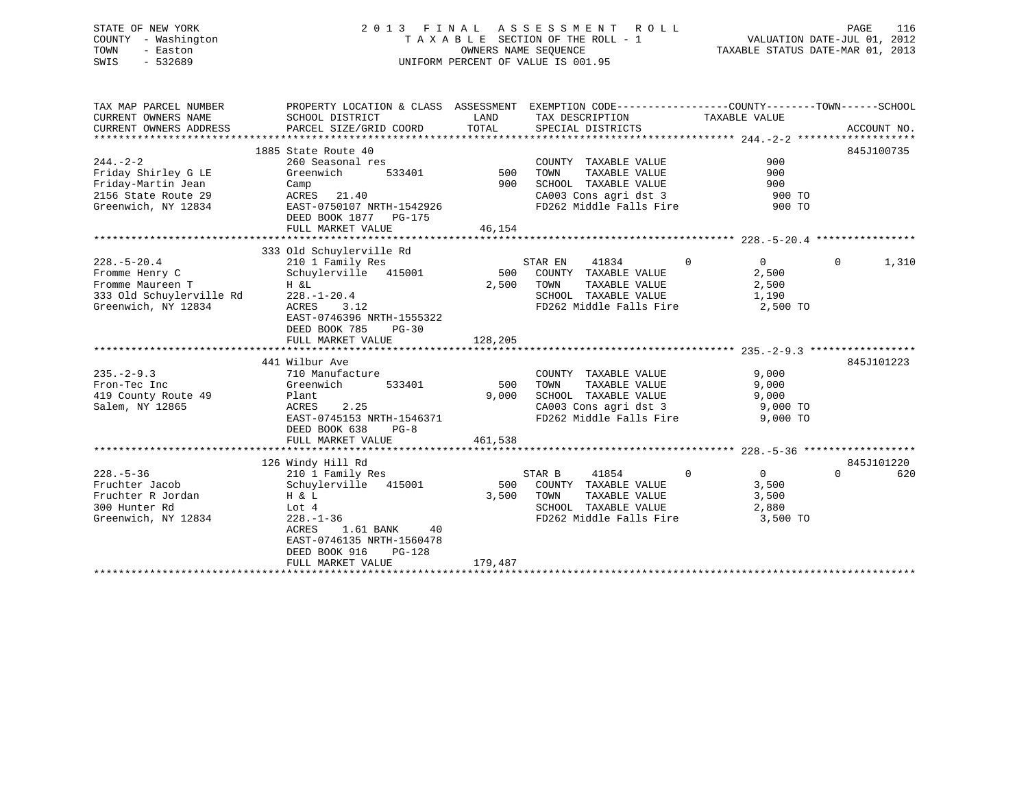# STATE OF NEW YORK 2 0 1 3 F I N A L A S S E S S M E N T R O L L PAGE 116 COUNTY - Washington T A X A B L E SECTION OF THE ROLL - 1 VALUATION DATE-JUL 01, 2012 TOWN - Easton OWNERS NAME SEQUENCE TAXABLE STATUS DATE-MAR 01, 2013 SWIS - 532689 UNIFORM PERCENT OF VALUE IS 001.95

| TAX MAP PARCEL NUMBER<br>CURRENT OWNERS NAME<br>CURRENT OWNERS ADDRESS | PROPERTY LOCATION & CLASS ASSESSMENT EXEMPTION CODE----------------COUNTY-------TOWN-----SCHOOL<br>SCHOOL DISTRICT<br>PARCEL SIZE/GRID COORD | LAND<br>TOTAL                            | SPECIAL DISTRICTS                                  |               | TAX DESCRIPTION TAXABLE VALUE    |          | ACCOUNT NO. |
|------------------------------------------------------------------------|----------------------------------------------------------------------------------------------------------------------------------------------|------------------------------------------|----------------------------------------------------|---------------|----------------------------------|----------|-------------|
|                                                                        |                                                                                                                                              |                                          |                                                    |               |                                  |          |             |
|                                                                        | 1885 State Route 40                                                                                                                          |                                          |                                                    |               |                                  |          | 845J100735  |
| $244. - 2 - 2$                                                         | 260 Seasonal res                                                                                                                             | s<br>533401                          500 | COUNTY TAXABLE VALUE                               | TAXABLE VALUE | 900                              |          |             |
| Friday Shirley G LE                                                    | Greenwich                                                                                                                                    | 900                                      | TOWN                                               |               | 900                              |          |             |
| Friday-Martin Jean                                                     | Camp                                                                                                                                         |                                          | SCHOOL TAXABLE VALUE                               |               | 900                              |          |             |
| 2156 State Route 29<br>Greenwich, NY 12834                             | ACRES 21.40<br>EAST-0750107 NRTH-1542926                                                                                                     |                                          | CA003 Cons agri dst 3<br>FD262 Middle Falls Fire   |               | 900 TO<br>900 TO                 |          |             |
|                                                                        | DEED BOOK 1877 PG-175                                                                                                                        |                                          |                                                    |               |                                  |          |             |
|                                                                        | FULL MARKET VALUE                                                                                                                            | 46,154                                   |                                                    |               |                                  |          |             |
|                                                                        |                                                                                                                                              |                                          |                                                    |               |                                  |          |             |
|                                                                        | 333 Old Schuylerville Rd                                                                                                                     |                                          |                                                    |               |                                  |          |             |
| $228. - 5 - 20.4$                                                      | 210 1 Family Res                                                                                                                             |                                          | STAR EN<br>41834                                   |               | $\Omega$<br>$\Omega$             | $\Omega$ | 1,310       |
| Fromme Henry C                                                         |                                                                                                                                              |                                          | COUNTY TAXABLE VALUE                               |               | 2,500                            |          |             |
| Fromme Maureen T                                                       | H &L                                                                                                                                         | 2,500                                    | TOWN                                               | TAXABLE VALUE | 2,500                            |          |             |
| 333 Old Schuylerville Rd                                               | $228. - 1 - 20.4$                                                                                                                            |                                          | SCHOOL TAXABLE VALUE                               |               | 1,190                            |          |             |
| Greenwich, NY 12834                                                    | ACRES<br>3.12                                                                                                                                |                                          |                                                    |               | FD262 Middle Falls Fire 2,500 TO |          |             |
|                                                                        | EAST-0746396 NRTH-1555322                                                                                                                    |                                          |                                                    |               |                                  |          |             |
|                                                                        | DEED BOOK 785<br>PG-30                                                                                                                       |                                          |                                                    |               |                                  |          |             |
|                                                                        | FULL MARKET VALUE                                                                                                                            | 128,205                                  |                                                    |               |                                  |          |             |
|                                                                        |                                                                                                                                              |                                          |                                                    |               |                                  |          |             |
|                                                                        | 441 Wilbur Ave                                                                                                                               |                                          |                                                    |               |                                  |          | 845J101223  |
| $235 - 2 - 9.3$                                                        | 710 Manufacture                                                                                                                              |                                          | COUNTY TAXABLE VALUE                               |               | 9,000                            |          |             |
| Fron-Tec Inc                                                           | 533401<br>Greenwich                                                                                                                          | 500 TOWN                                 |                                                    | TAXABLE VALUE | 9,000                            |          |             |
| 419 County Route 49                                                    | Plant                                                                                                                                        | 9,000                                    | SCHOOL TAXABLE VALUE                               |               | 9,000                            |          |             |
| Salem, NY 12865                                                        | ACRES<br>2.25                                                                                                                                |                                          |                                                    |               | CA003 Cons agri dst 3 9,000 TO   |          |             |
|                                                                        | EAST-0745153 NRTH-1546371                                                                                                                    |                                          | FD262 Middle Falls Fire                            |               | 9,000 TO                         |          |             |
|                                                                        | $PG-8$<br>DEED BOOK 638                                                                                                                      |                                          |                                                    |               |                                  |          |             |
|                                                                        | FULL MARKET VALUE                                                                                                                            | 461,538                                  |                                                    |               |                                  |          |             |
|                                                                        |                                                                                                                                              |                                          |                                                    |               |                                  |          |             |
|                                                                        | 126 Windy Hill Rd                                                                                                                            |                                          |                                                    |               |                                  |          | 845J101220  |
| $228. - 5 - 36$                                                        | 210 1 Family Res                                                                                                                             |                                          | 41854<br>STAR B                                    | $\sim$ 0      | $\overline{0}$                   | $\Omega$ | 620         |
| Fruchter Jacob                                                         | Schuylerville 415001                                                                                                                         |                                          | 500 COUNTY TAXABLE VALUE                           |               | 3,500                            |          |             |
| Fruchter R Jordan                                                      | H & L                                                                                                                                        | 3,500                                    | TOWN<br>TOWN TAXABLE VALUE<br>SCHOOL TAXABLE VALUE |               | 3,500                            |          |             |
| 300 Hunter Rd                                                          | Lot 4                                                                                                                                        |                                          |                                                    |               | 2,880                            |          |             |
| Greenwich, NY 12834                                                    | $228. - 1 - 36$                                                                                                                              |                                          |                                                    |               | FD262 Middle Falls Fire 3,500 TO |          |             |
|                                                                        | 1.61 BANK<br>ACRES<br>40                                                                                                                     |                                          |                                                    |               |                                  |          |             |
|                                                                        | EAST-0746135 NRTH-1560478                                                                                                                    |                                          |                                                    |               |                                  |          |             |
|                                                                        | DEED BOOK 916<br>$PG-128$                                                                                                                    |                                          |                                                    |               |                                  |          |             |
|                                                                        | FULL MARKET VALUE                                                                                                                            | 179,487                                  |                                                    |               |                                  |          |             |
|                                                                        |                                                                                                                                              |                                          |                                                    |               |                                  |          |             |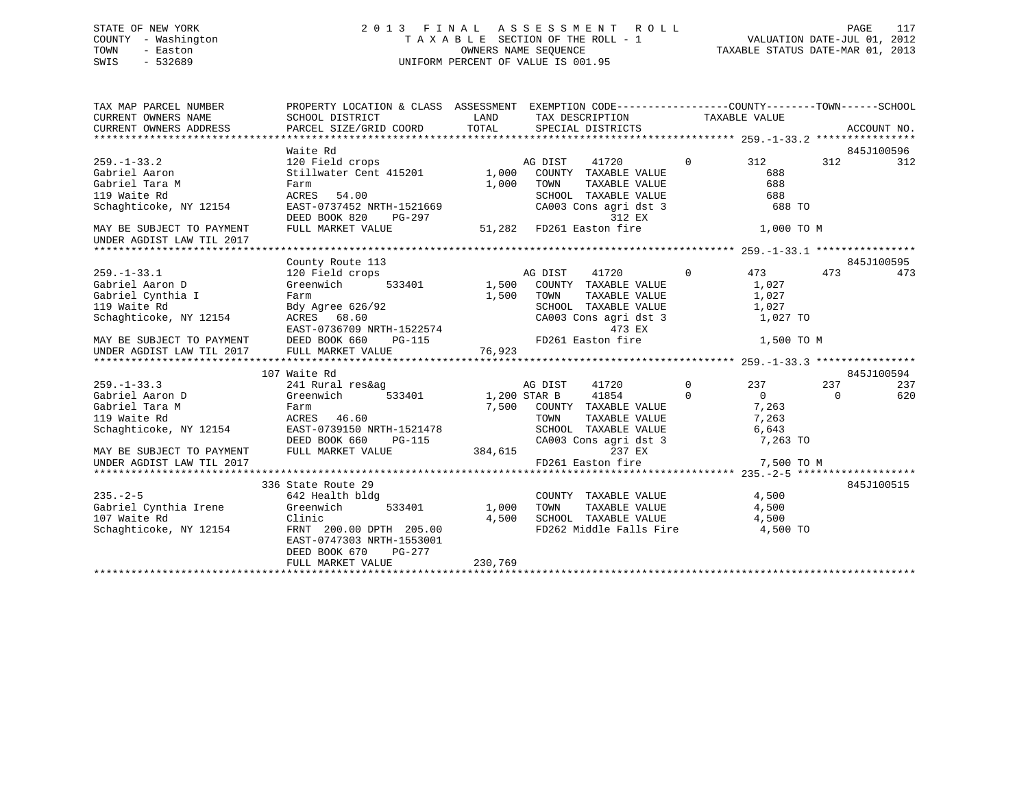# STATE OF NEW YORK 2 0 1 3 F I N A L A S S E S S M E N T R O L L PAGE 117 COUNTY - Washington T A X A B L E SECTION OF THE ROLL - 1 VALUATION DATE-JUL 01, 2012 TOWN - Easton OWNERS NAME SEQUENCE TAXABLE STATUS DATE-MAR 01, 2013 SWIS - 532689 UNIFORM PERCENT OF VALUE IS 001.95

| TAX MAP PARCEL NUMBER<br>CURRENT OWNERS NAME<br>CURRENT OWNERS ADDRESS | PROPERTY LOCATION & CLASS ASSESSMENT<br>SCHOOL DISTRICT<br>PARCEL SIZE/GRID COORD | LAND<br>TOTAL |              | EXEMPTION CODE----------------COUNTY-------TOWN------SCHOOL<br>TAX DESCRIPTION<br>SPECIAL DISTRICTS |                | TAXABLE VALUE  |          | ACCOUNT NO. |
|------------------------------------------------------------------------|-----------------------------------------------------------------------------------|---------------|--------------|-----------------------------------------------------------------------------------------------------|----------------|----------------|----------|-------------|
|                                                                        |                                                                                   |               |              |                                                                                                     |                |                |          |             |
|                                                                        | Waite Rd                                                                          |               |              |                                                                                                     |                |                |          | 845J100596  |
| $259. - 1 - 33.2$                                                      | 120 Field crops                                                                   |               | AG DIST      | 41720                                                                                               | $\mathbf{0}$   | 312            | 312      | 312         |
| Gabriel Aaron                                                          | Stillwater Cent 415201                                                            | 1,000         |              | COUNTY TAXABLE VALUE                                                                                |                | 688            |          |             |
| Gabriel Tara M                                                         | Farm                                                                              | 1,000         | TOWN         | TAXABLE VALUE                                                                                       |                | 688            |          |             |
| 119 Waite Rd                                                           | ACRES<br>54.00                                                                    |               |              | SCHOOL TAXABLE VALUE                                                                                |                | 688            |          |             |
| Schaghticoke, NY 12154                                                 | EAST-0737452 NRTH-1521669<br>DEED BOOK 820<br>PG-297                              |               |              | CA003 Cons agri dst 3<br>312 EX                                                                     |                | 688 TO         |          |             |
| MAY BE SUBJECT TO PAYMENT                                              | FULL MARKET VALUE                                                                 | 51,282        |              | FD261 Easton fire                                                                                   |                | 1,000 TO M     |          |             |
| UNDER AGDIST LAW TIL 2017                                              |                                                                                   |               |              |                                                                                                     |                |                |          |             |
|                                                                        |                                                                                   |               |              |                                                                                                     |                |                |          |             |
|                                                                        | County Route 113                                                                  |               |              |                                                                                                     |                |                |          | 845J100595  |
| $259. - 1 - 33.1$                                                      | 120 Field crops                                                                   |               | AG DIST      | 41720                                                                                               | $\Omega$       | 473            | 473      | 473         |
| Gabriel Aaron D                                                        | Greenwich<br>533401                                                               | 1,500         |              | COUNTY TAXABLE VALUE                                                                                |                | 1,027          |          |             |
| Gabriel Cynthia I                                                      | Farm                                                                              | 1,500         | TOWN         | TAXABLE VALUE                                                                                       |                | 1,027          |          |             |
| 119 Waite Rd                                                           | Bdy Agree 626/92                                                                  |               |              | SCHOOL TAXABLE VALUE                                                                                |                | 1,027          |          |             |
| Schaghticoke, NY 12154                                                 | ACRES 68.60                                                                       |               |              | CA003 Cons agri dst 3                                                                               |                | 1,027 TO       |          |             |
|                                                                        | EAST-0736709 NRTH-1522574                                                         |               |              | 473 EX                                                                                              |                |                |          |             |
| MAY BE SUBJECT TO PAYMENT                                              | DEED BOOK 660<br>PG-115<br>FULL MARKET VALUE                                      | 76,923        |              | FD261 Easton fire                                                                                   |                | 1,500 TO M     |          |             |
| UNDER AGDIST LAW TIL 2017                                              |                                                                                   |               |              |                                                                                                     |                |                |          |             |
|                                                                        | 107 Waite Rd                                                                      |               |              |                                                                                                     |                |                |          | 845J100594  |
| $259. - 1 - 33.3$                                                      | 241 Rural res&ag                                                                  |               | AG DIST      | 41720                                                                                               | $\overline{0}$ | 237            | 237      | 237         |
| Gabriel Aaron D                                                        | 533401<br>Greenwich                                                               |               | 1,200 STAR B | 41854                                                                                               | $\Omega$       | $\overline{0}$ | $\Omega$ | 620         |
| Gabriel Tara M                                                         | Farm                                                                              |               |              | 7,500 COUNTY TAXABLE VALUE                                                                          |                | 7,263          |          |             |
| 119 Waite Rd                                                           | ACRES 46.60                                                                       |               | TOWN         | TAXABLE VALUE                                                                                       |                | 7,263          |          |             |
| Schaghticoke, NY 12154                                                 | EAST-0739150 NRTH-1521478                                                         |               |              | SCHOOL TAXABLE VALUE                                                                                |                | 6,643          |          |             |
|                                                                        | DEED BOOK 660<br>PG-115                                                           |               |              | CA003 Cons agri dst 3                                                                               |                | 7,263 TO       |          |             |
| MAY BE SUBJECT TO PAYMENT                                              | FULL MARKET VALUE                                                                 | 384,615       |              | 237 EX                                                                                              |                |                |          |             |
| UNDER AGDIST LAW TIL 2017                                              |                                                                                   |               |              | FD261 Easton fire                                                                                   |                | 7,500 TO M     |          |             |
|                                                                        |                                                                                   |               |              |                                                                                                     |                |                |          |             |
|                                                                        | 336 State Route 29                                                                |               |              |                                                                                                     |                |                |          | 845J100515  |
| $235. - 2 - 5$                                                         | 642 Health bldg                                                                   |               |              | COUNTY TAXABLE VALUE                                                                                |                | 4,500          |          |             |
| Gabriel Cynthia Irene                                                  | Greenwich<br>533401                                                               | 1,000         | TOWN         | TAXABLE VALUE                                                                                       |                | 4,500          |          |             |
| 107 Waite Rd                                                           | Clinic                                                                            | 4,500         |              | SCHOOL TAXABLE VALUE 4,500                                                                          |                |                |          |             |
| Schaghticoke, NY 12154                                                 | FRNT 200.00 DPTH 205.00<br>EAST-0747303 NRTH-1553001<br>DEED BOOK 670<br>PG-277   |               |              | FD262 Middle Falls Fire 4,500 TO                                                                    |                |                |          |             |
|                                                                        | FULL MARKET VALUE                                                                 | 230,769       |              |                                                                                                     |                |                |          |             |
|                                                                        |                                                                                   |               |              |                                                                                                     |                |                |          |             |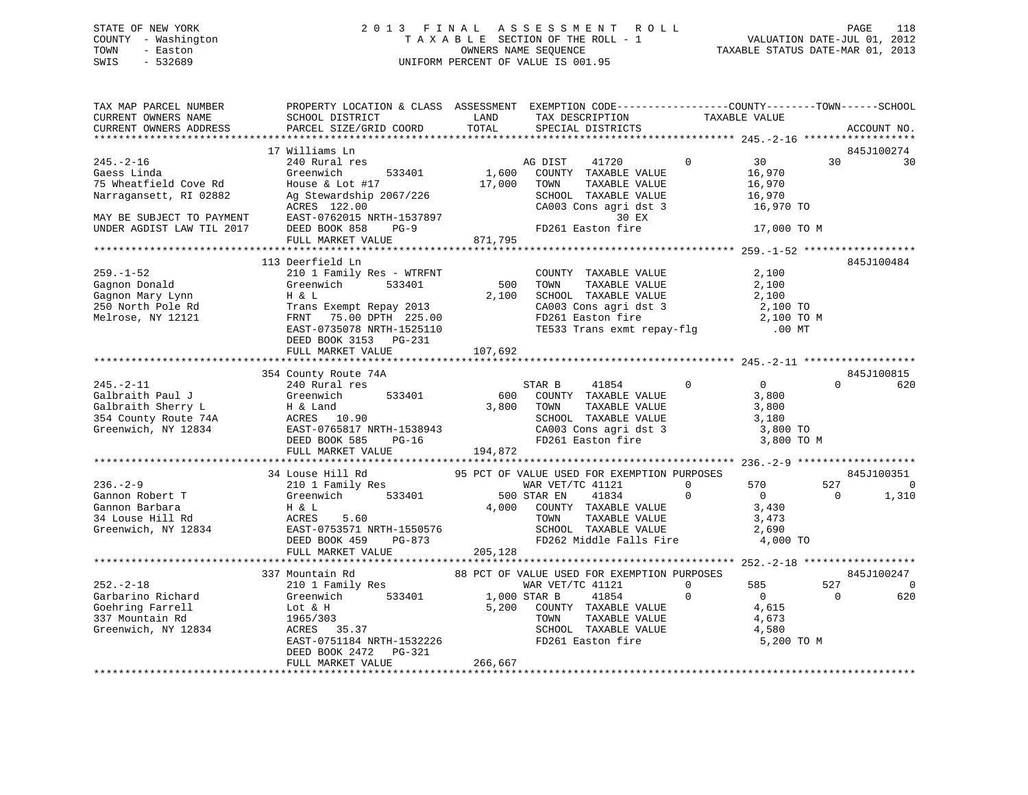# STATE OF NEW YORK 2 0 1 3 F I N A L A S S E S S M E N T R O L L PAGE 118 COUNTY - Washington T A X A B L E SECTION OF THE ROLL - 1 VALUATION DATE-JUL 01, 2012 TOWN - Easton OWNERS NAME SEQUENCE TAXABLE STATUS DATE-MAR 01, 2013 SWIS - 532689 UNIFORM PERCENT OF VALUE IS 001.95

| TAX MAP PARCEL NUMBER<br>CURRENT OWNERS NAME<br>CURRENT OWNERS ADDRESS                                                                      | PROPERTY LOCATION & CLASS ASSESSMENT EXEMPTION CODE----------------COUNTY-------TOWN------SCHOOL<br>SCHOOL DISTRICT<br>PARCEL SIZE/GRID COORD                                                                                                                       | LAND<br>TOTAL                                                                | TAX DESCRIPTION<br>SPECIAL DISTRICTS                                                                                                                                         | TAXABLE VALUE                                                                         |                 | ACCOUNT NO.                           |
|---------------------------------------------------------------------------------------------------------------------------------------------|---------------------------------------------------------------------------------------------------------------------------------------------------------------------------------------------------------------------------------------------------------------------|------------------------------------------------------------------------------|------------------------------------------------------------------------------------------------------------------------------------------------------------------------------|---------------------------------------------------------------------------------------|-----------------|---------------------------------------|
|                                                                                                                                             |                                                                                                                                                                                                                                                                     |                                                                              |                                                                                                                                                                              |                                                                                       |                 |                                       |
| $245. - 2 - 16$<br>Gaess Linda<br>75 Wheatfield Cove Rd<br>Narragansett, RI 02882<br>MAY BE SUBJECT TO PAYMENT<br>UNDER AGDIST LAW TIL 2017 | 17 Williams Ln<br>240 Rural res<br>Greenwich<br>533401<br>House & Lot $#17$<br>Ag Stewardship 2067/226<br>ACRES 122.00<br>EAST-0762015 NRTH-1537897<br>DEED BOOK 858<br>$PG-9$                                                                                      | $\begin{smallmatrix}&&&1\\1\end{smallmatrix},600\end{smallmatrix}$<br>17,000 | 41720<br>AG DIST<br>COUNTY TAXABLE VALUE<br>TOWN<br>TAXABLE VALUE<br>SCHOOL TAXABLE VALUE<br>CA003 Cons agri dst 3<br>30 EX<br>ست بن<br>FD261 Easton fire                    | $\Omega$<br>30<br>16,970<br>16,970<br>16,970<br>16,970<br>16,970 TO<br>17,000 TO M    | 30              | 845J100274<br>30                      |
|                                                                                                                                             | FULL MARKET VALUE                                                                                                                                                                                                                                                   | 871,795                                                                      |                                                                                                                                                                              |                                                                                       |                 |                                       |
| $259. - 1 - 52$<br>Gagnon Donald<br>Gagnon Mary Lynn<br>250 North Pole Rd<br>Melrose, NY 12121                                              | 113 Deerfield Ln<br>210 1 Family Res - WTRFNT<br>Greenwich<br>533401<br>H & L<br>Trans Exempt Repay 2013<br>FRNT 75.00 DPTH 225.00<br>EAST-0735078 NRTH-1525110<br>DEED BOOK 3153 PG-231                                                                            |                                                                              | COUNTY TAXABLE VALUE<br>500 TOWN<br>TAXABLE VALUE<br>2,100 SCHOOL TAXABLE VALUE<br>CA003 Cons agri dst 3<br>FD261 Easton fire<br>TE533 Trans exmt repay-flg                  | 2,100<br>2,100<br>$\frac{2}{2}$ , 100<br>2,100 TO<br>2,100 TO M<br>$.00$ MT           |                 | 845J100484                            |
|                                                                                                                                             | FULL MARKET VALUE                                                                                                                                                                                                                                                   | 107,692                                                                      |                                                                                                                                                                              |                                                                                       |                 |                                       |
| $245. - 2 - 11$<br>Galbraith Paul J                                                                                                         | 354 County Route 74A<br>240 Rural res<br>533401<br>Greenwich<br>Galbraith Sherry L<br>354 County Route 74A<br>Greenwich, NY 12834<br>$\overline{R} = \frac{10.90}{0.90}$<br>EAST-0765817 NRTH-1538943<br>ACRES 10.50<br>EAST-0765817 NRTH-1538943<br>Fast for pa-16 | 600<br>3,800 TOWN                                                            | 41854<br>STAR B<br>COUNTY TAXABLE VALUE<br>TAXABLE VALUE<br>TOWN      TAXABLE VALUE<br>SCHOOL   TAXABLE VALUE<br>CA003 Cons agri dst 3<br>FD261 Easton fire                  | $\overline{0}$<br>$\overline{0}$<br>3,800<br>3,800<br>3,180<br>3,800 TO<br>3,800 TO M | $\Omega$        | 845J100815<br>620                     |
|                                                                                                                                             | FULL MARKET VALUE                                                                                                                                                                                                                                                   | 194,872                                                                      |                                                                                                                                                                              |                                                                                       |                 |                                       |
| $236. - 2 - 9$<br>Gannon Robert T<br>Gannon Barbara<br>34 Louse Hill Rd<br>Greenwich, NY 12834                                              | 34 Louse Hill Rd<br>210 1 Family Res<br>Greenwich 533401 500<br>H & L<br>ACRES<br>5.60<br>ACRES 5.60 TOWN TAXABLE VALUE<br>EAST-0753571 NRTH-1550576 SCHOOL TAXABLE VALUE<br>DEED BOOK 459 PG-873 PD262 Middle Falls Fire<br>FULL MARKET VALUE 205,128              | 500 STAR EN<br>4,000                                                         | 95 PCT OF VALUE USED FOR EXEMPTION PURPOSES<br>WAR VET/TC 41121<br>41834<br>COUNTY TAXABLE VALUE<br>TOWN<br>TAXABLE VALUE<br>FD262 Middle Falls Fire 4,000 TO                | 570<br>$\Omega$<br>$\Omega$<br>$\overline{0}$<br>3,430<br>3,473<br>2,690              | 527<br>$\Omega$ | 845J100351<br>$\overline{0}$<br>1,310 |
|                                                                                                                                             |                                                                                                                                                                                                                                                                     |                                                                              |                                                                                                                                                                              |                                                                                       |                 |                                       |
| $252 - 2 - 18$<br>Garbarino Richard<br>Goehring Farrell<br>337 Mountain Rd<br>Greenwich, NY 12834                                           | 337 Mountain Rd<br>210 1 Family Res<br>Greenwich<br>Lot & H<br>1965/303<br>ACRES 35.37<br>EAST-0751184 NRTH-1532226<br>DEED BOOK 2472 PG-321                                                                                                                        | 533401 1,000 STAR B                                                          | 88 PCT OF VALUE USED FOR EXEMPTION PURPOSES<br>WAR VET/TC 41121<br>41854<br>5,200 COUNTY TAXABLE VALUE<br>TAXABLE VALUE<br>TOWN<br>SCHOOL TAXABLE VALUE<br>FD261 Easton fire | 585<br>0<br>$\overline{0}$<br>$\Omega$<br>4,615<br>4,673<br>4,580<br>5,200 TO M       | 527<br>$\Omega$ | 845J100247<br>$\Omega$<br>620         |
|                                                                                                                                             | FULL MARKET VALUE                                                                                                                                                                                                                                                   | 266,667                                                                      |                                                                                                                                                                              |                                                                                       |                 |                                       |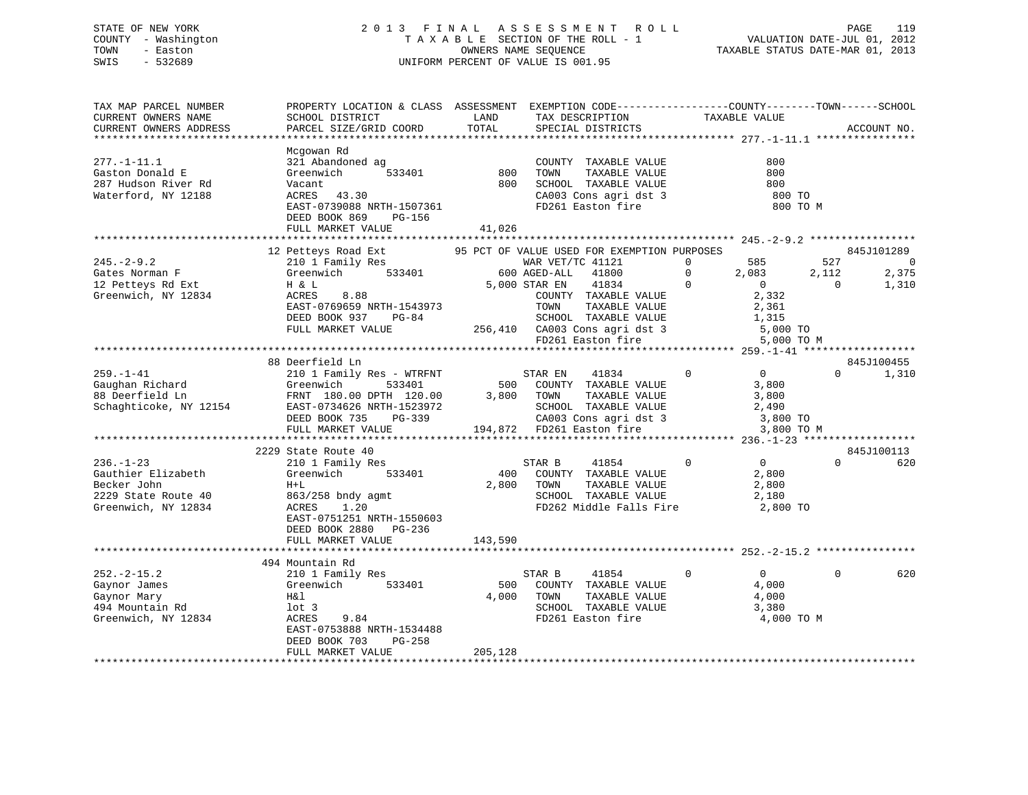# STATE OF NEW YORK 2 0 1 3 F I N A L A S S E S S M E N T R O L L PAGE 119 COUNTY - Washington T A X A B L E SECTION OF THE ROLL - 1 VALUATION DATE-JUL 01, 2012 TOWN - Easton OWNERS NAME SEQUENCE TAXABLE STATUS DATE-MAR 01, 2013 SWIS - 532689 UNIFORM PERCENT OF VALUE IS 001.95

| TAX MAP PARCEL NUMBER<br>CURRENT OWNERS NAME<br>CURRENT OWNERS ADDRESS                             | PROPERTY LOCATION & CLASS ASSESSMENT EXEMPTION CODE----------------COUNTY-------TOWN------SCHOOL<br>SCHOOL DISTRICT<br>PARCEL SIZE/GRID COORD                                            | LAND<br>TOTAL        | TAX DESCRIPTION<br>SPECIAL DISTRICTS                                                                                                                                                                                                            | TAXABLE VALUE                                                                                                          | ACCOUNT NO.                                                                |
|----------------------------------------------------------------------------------------------------|------------------------------------------------------------------------------------------------------------------------------------------------------------------------------------------|----------------------|-------------------------------------------------------------------------------------------------------------------------------------------------------------------------------------------------------------------------------------------------|------------------------------------------------------------------------------------------------------------------------|----------------------------------------------------------------------------|
| $277. - 1 - 11.1$<br>Gaston Donald E<br>287 Hudson River Rd<br>Waterford, NY 12188                 | Mcgowan Rd<br>321 Abandoned ag<br>533401<br>Greenwich<br>Vacant<br>ACRES 43.30<br>EAST-0739088 NRTH-1507361<br>DEED BOOK 869<br>PG-156<br>FULL MARKET VALUE                              | 800<br>800<br>41,026 | COUNTY TAXABLE VALUE<br>TAXABLE VALUE<br>TOWN<br>TOWN       TAXABLE  VALUE<br>SCHOOL    TAXABLE  VALUE<br>CA003 Cons agri dst 3<br>FD261 Easton fire                                                                                            | 800<br>800<br>800<br>800 TO<br>800 TO M                                                                                |                                                                            |
| $245. - 2 - 9.2$<br>Gates Norman F<br>12 Petteys Rd Ext<br>Greenwich, NY 12834                     | 12 Petteys Road Ext<br>210 1 Family Res<br>Greenwich 533401<br>H & L<br>8.88<br>ACRES<br>EAST-0769659 NRTH-1543973<br>DEED BOOK 937<br>$PG-84$<br>FULL MARKET VALUE                      |                      | 95 PCT OF VALUE USED FOR EXEMPTION PURPOSES<br>WAR VET/TC 41121<br>600 AGED-ALL 41800<br>5,000 STAR EN<br>41834<br>COUNTY TAXABLE VALUE<br>TOWN     TAXABLE VALUE<br>SCHOOL TAXABLE VALUE<br>256,410 CA003 Cons agri dst 3<br>FD261 Easton fire | 585<br>$\Omega$<br>$\circ$<br>2,083<br>$\overline{0}$<br>$\sim$ 0<br>2,332<br>2,361<br>1,315<br>5,000 TO<br>5,000 TO M | 845J101289<br>527<br>$\overline{0}$<br>2,112<br>2,375<br>$\Omega$<br>1,310 |
| $259. - 1 - 41$<br>Gaughan Richard<br>88 Deerfield Ln<br>Schaghticoke, NY 12154                    | 88 Deerfield Ln<br>210 1 Family Res - WTRFNT<br>Greenwich<br>533401<br>FRNT 180.00 DPTH 120.00<br>EAST-0734626 NRTH-1523972<br>DEED BOOK 735<br>PG-339<br>FULL MARKET VALUE              |                      | $\sim$ 0<br>STAR EN<br>41834<br>500 COUNTY TAXABLE VALUE<br>3,800 TOWN<br>TAXABLE VALUE<br>SCHOOL TAXABLE VALUE 2,490<br>CA003 Cons agri dst 3 3,800 TO<br>194,872 FD261 Easton fire 3 3,800 TO                                                 | $\overline{0}$<br>3,800<br>3,800<br>3,800 TO M                                                                         | 845J100455<br>$\Omega$<br>1,310                                            |
| $236. - 1 - 23$<br>Gauthier Elizabeth<br>Becker John<br>2229 State Route 40<br>Greenwich, NY 12834 | 2229 State Route 40<br>210 1 Family Res<br>533401<br>Greenwich<br>$H+L$<br>863/258 bndy agmt<br>1.20<br>ACRES<br>EAST-0751251 NRTH-1550603<br>DEED BOOK 2880 PG-236<br>FULL MARKET VALUE | 143,590              | 41854<br>STAR B<br>400 COUNTY TAXABLE VALUE<br>2,800 TOWN<br>TAXABLE VALUE<br>SCHOOL TAXABLE VALUE<br>FD262 Middle Falls Fire                                                                                                                   | $\overline{0}$<br>$\overline{0}$<br>2,800<br>2,800<br>2,180<br>2,800 TO                                                | 845J100113<br>$\Omega$<br>620                                              |
| $252. - 2 - 15.2$<br>Gaynor James<br>Gaynor Mary<br>494 Mountain Rd<br>Greenwich, NY 12834         | 494 Mountain Rd<br>210 1 Family Res<br>Greenwich<br>533401<br>H&l<br>lot 3<br>9.84<br>ACRES<br>EAST-0753888 NRTH-1534488<br>DEED BOOK 703<br>PG-258<br>FULL MARKET VALUE                 | 205,128              | 41854<br>STAR B<br>500 COUNTY TAXABLE VALUE<br>4,000 TOWN<br>TAXABLE VALUE<br>SCHOOL TAXABLE VALUE<br>FD261 Easton fire                                                                                                                         | $\mathbf{0}$<br>$\overline{0}$<br>4,000<br>4,000<br>3,380<br>4,000 TO M                                                | $\Omega$<br>620                                                            |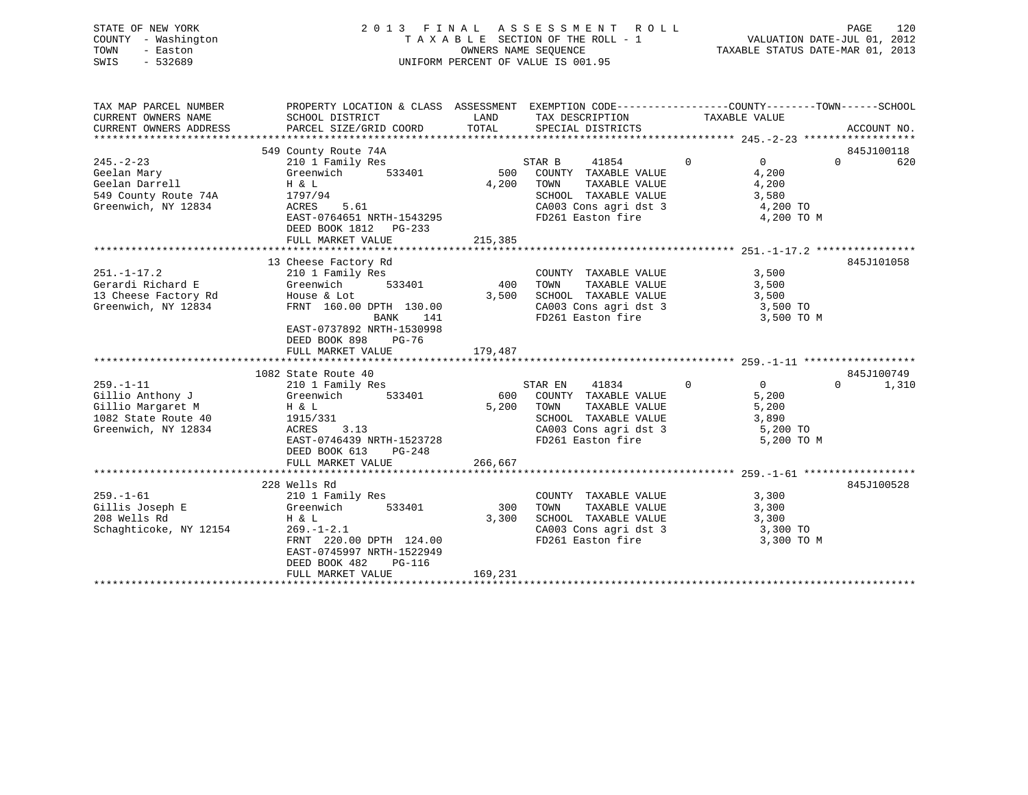| STATE OF NEW YORK   | 2013 FINAL ASSESSMENT ROLL         | 120<br>PAGE                      |
|---------------------|------------------------------------|----------------------------------|
| COUNTY - Washington | TAXABLE SECTION OF THE ROLL - 1    | VALUATION DATE-JUL 01, 2012      |
| TOWN<br>- Easton    | OWNERS NAME SEOUENCE               | TAXABLE STATUS DATE-MAR 01, 2013 |
| SWIS<br>- 532689    | UNIFORM PERCENT OF VALUE IS 001.95 |                                  |
|                     |                                    |                                  |
|                     |                                    |                                  |

| TAX MAP PARCEL NUMBER                               | PROPERTY LOCATION & CLASS ASSESSMENT EXEMPTION CODE----------------COUNTY-------TOWN-----SCHOOL        |         |                                                                                                |                |          |             |
|-----------------------------------------------------|--------------------------------------------------------------------------------------------------------|---------|------------------------------------------------------------------------------------------------|----------------|----------|-------------|
| CURRENT OWNERS NAME                                 | SCHOOL DISTRICT                                                                                        | LAND    | TAX DESCRIPTION                                                                                | TAXABLE VALUE  |          |             |
| CURRENT OWNERS ADDRESS                              | PARCEL SIZE/GRID COORD TOTAL SPECIAL DISTRICTS                                                         |         |                                                                                                |                |          | ACCOUNT NO. |
|                                                     |                                                                                                        |         |                                                                                                |                |          |             |
|                                                     | 549 County Route 74A                                                                                   |         | STAR B $41854$ 0<br>33401 500 COUNTY TAXABLE VALUE                                             |                |          | 845J100118  |
| $245. - 2 - 23$                                     | 210 1 Family Res                                                                                       |         |                                                                                                | $\overline{0}$ | $\Omega$ | 620         |
| Geelan Mary<br>Geelan Darrell                       | Greenwich 533401                                                                                       |         | TAXABLE VALUE                                                                                  | 4,200          |          |             |
|                                                     | $H \& L$                                                                                               | 4,200   | TOWN                                                                                           | 4,200          |          |             |
| 549 County Route 74A 1797/94<br>Greenwich, NY 12834 | 1797/94<br>ACRES 5.61                                                                                  |         | SCHOOL TAXABLE VALUE 3,580                                                                     |                |          |             |
|                                                     | EAST-0764651 NRTH-1543295                                                                              |         | CA003 Cons agri dst 3 (a) 4,200 TO<br>FD261 Easton fire (a) 4,200 TO                           | 4,200 TO M     |          |             |
|                                                     | DEED BOOK 1812    PG-233                                                                               |         |                                                                                                |                |          |             |
|                                                     |                                                                                                        |         |                                                                                                |                |          |             |
|                                                     |                                                                                                        |         |                                                                                                |                |          |             |
|                                                     | 13 Cheese Factory Rd                                                                                   |         |                                                                                                |                |          | 845J101058  |
|                                                     |                                                                                                        |         | COUNTY TAXABLE VALUE 3,500                                                                     |                |          |             |
|                                                     | 251.-1-17.2 210 1 Family Res<br>Gerardi Richard E Greenwich 533401<br>13 Cheese Factory Rd House & Lot |         | COUNTY TAXABLE VALUE 3,500<br>400 TOWN TAXABLE VALUE 3,500<br>3,500 SCHOOL TAXABLE VALUE 3,500 |                |          |             |
|                                                     |                                                                                                        |         |                                                                                                |                |          |             |
| Greenwich, NY 12834                                 | FRNT 160.00 DPTH 130.00                                                                                |         | CA003 Cons agri dst 3 3,500 TO                                                                 |                |          |             |
|                                                     | BANK 141                                                                                               |         | FD261 Easton fire                                                                              | 3,500 TO M     |          |             |
|                                                     | EAST-0737892 NRTH-1530998                                                                              |         |                                                                                                |                |          |             |
|                                                     | DEED BOOK 898 PG-76                                                                                    |         |                                                                                                |                |          |             |
|                                                     | FULL MARKET VALUE                                                                                      | 179,487 |                                                                                                |                |          |             |
|                                                     |                                                                                                        |         |                                                                                                |                |          |             |
|                                                     | 1082 State Route 40                                                                                    |         |                                                                                                |                |          | 845J100749  |
| $259. - 1 - 11$                                     | 210 1 Family Res                                                                                       |         | 41834 0<br>STAR EN                                                                             | $\overline{0}$ | $\Omega$ | 1,310       |
|                                                     | Gillio Anthony J Greenwich 533401<br>Gillio Margaret M H & L                                           |         | 600 COUNTY TAXABLE VALUE<br>5,200 TOWN TAXABLE VALUE                                           | 5,200          |          |             |
|                                                     |                                                                                                        |         |                                                                                                | 5,200          |          |             |
| 1082 State Route 40 1915/331                        |                                                                                                        |         | SCHOOL TAXABLE VALUE 3,890                                                                     |                |          |             |
| Greenwich, NY 12834                                 | ACRES 3.13<br>EAST-0746439 NRTH-1523728                                                                |         | CA003 Cons agri dst 3 5,200 TO                                                                 |                |          |             |
|                                                     |                                                                                                        |         | FD261 Easton fire                                                                              | 5,200 TO M     |          |             |
|                                                     | DEED BOOK 613 PG-248<br>FULL MARKET VALUE                                                              | 266,667 |                                                                                                |                |          |             |
|                                                     |                                                                                                        |         |                                                                                                |                |          |             |
|                                                     | 228 Wells Rd                                                                                           |         |                                                                                                |                |          | 845J100528  |
| $259. - 1 - 61$                                     | 210 1 Family Res                                                                                       |         | COUNTY TAXABLE VALUE 3,300                                                                     |                |          |             |
|                                                     |                                                                                                        |         | 300 TOWN TAXABLE VALUE                                                                         | 3,300          |          |             |
|                                                     |                                                                                                        | 3,300   |                                                                                                |                |          |             |
| Schaghticoke, NY 12154                              | $269. - 1 - 2.1$                                                                                       |         | SCHOOL TAXABLE VALUE 3,300<br>CA003 Cons agri dst 3 3 3,300 TO                                 |                |          |             |
|                                                     | FRNT 220.00 DPTH 124.00                                                                                |         | FD261 Easton fire                                                                              | 3,300 TO M     |          |             |
|                                                     | EAST-0745997 NRTH-1522949                                                                              |         |                                                                                                |                |          |             |
|                                                     | DEED BOOK 482 PG-116                                                                                   |         |                                                                                                |                |          |             |
|                                                     | FULL MARKET VALUE                                                                                      | 169,231 |                                                                                                |                |          |             |
|                                                     |                                                                                                        |         |                                                                                                |                |          |             |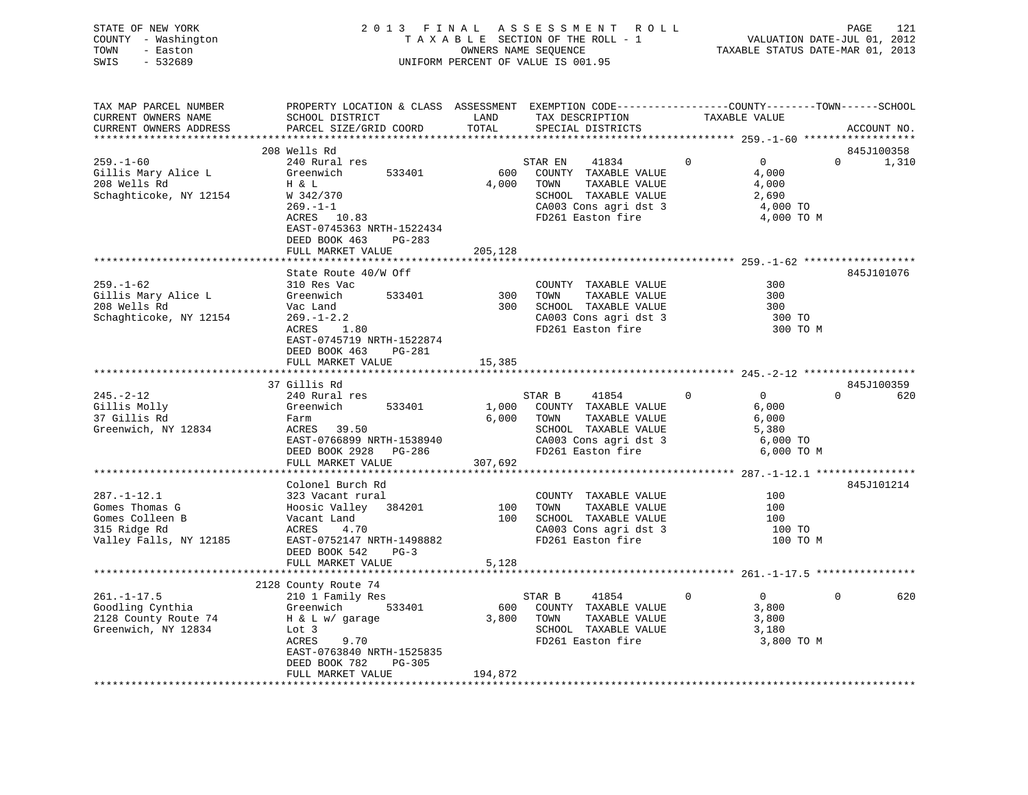|      | STATE OF NEW YORK   | 2013 FINAL ASSESSMENT ROLL         |                                  | PAGE | 121 |
|------|---------------------|------------------------------------|----------------------------------|------|-----|
|      | COUNTY - Washington | TAXABLE SECTION OF THE ROLL - 1    | VALUATION DATE-JUL 01, 2012      |      |     |
| TOWN | - Easton            | OWNERS NAME SEOUENCE               | TAXABLE STATUS DATE-MAR 01, 2013 |      |     |
| SWIS | - 532689            | UNIFORM PERCENT OF VALUE IS 001.95 |                                  |      |     |
|      |                     |                                    |                                  |      |     |
|      |                     |                                    |                                  |      |     |

| TAX MAP PARCEL NUMBER<br>CURRENT OWNERS NAME                                                     | PROPERTY LOCATION & CLASS ASSESSMENT EXEMPTION CODE----------------COUNTY-------TOWN-----SCHOOL<br>SCHOOL DISTRICT                                                         | LAND                    | TAX DESCRIPTION                                                                                                                                    | TAXABLE VALUE                                                                   |          |             |
|--------------------------------------------------------------------------------------------------|----------------------------------------------------------------------------------------------------------------------------------------------------------------------------|-------------------------|----------------------------------------------------------------------------------------------------------------------------------------------------|---------------------------------------------------------------------------------|----------|-------------|
| CURRENT OWNERS ADDRESS                                                                           | PARCEL SIZE/GRID COORD                                                                                                                                                     | TOTAL                   | SPECIAL DISTRICTS                                                                                                                                  |                                                                                 |          | ACCOUNT NO. |
|                                                                                                  | 208 Wells Rd                                                                                                                                                               |                         |                                                                                                                                                    |                                                                                 |          | 845J100358  |
| $259. - 1 - 60$<br>Gillis Mary Alice L<br>208 Wells Rd<br>Schaghticoke, NY 12154                 | 240 Rural res<br>Greenwich<br>533401<br>H & L<br>W 342/370<br>$269. - 1 - 1$<br>$ACRES$ 10.83<br>EAST-0745363 NRTH-1522434<br>DEED BOOK 463<br>PG-283<br>FULL MARKET VALUE | 600<br>4,000<br>205,128 | STAR EN<br>41834<br>COUNTY TAXABLE VALUE<br>TAXABLE VALUE<br>TOWN<br>SCHOOL TAXABLE VALUE<br>CA003 Cons agri dst 3<br>FD261 Easton fire            | $\overline{0}$<br>$\Omega$<br>4,000<br>4,000<br>2,690<br>4,000 TO<br>4,000 TO M | $\Omega$ | 1,310       |
|                                                                                                  | State Route 40/W Off                                                                                                                                                       |                         |                                                                                                                                                    |                                                                                 |          | 845J101076  |
| $259. - 1 - 62$<br>Gillis Mary Alice L<br>208 Wells Rd<br>Schaghticoke, NY 12154                 | 310 Res Vac<br>Greenwich<br>533401<br>Vac Land<br>$269. - 1 - 2.2$<br>ACRES 1.80<br>EAST-0745719 NRTH-1522874<br>DEED BOOK 463<br>PG-281                                   | 300                     | COUNTY TAXABLE VALUE<br>TAXABLE VALUE<br>TOWN<br>300 SCHOOL TAXABLE VALUE<br>CA003 Cons agri dst 3<br>FD261 Easton fire                            | 300<br>300<br>300<br>300 TO<br>300 TO M                                         |          |             |
|                                                                                                  | FULL MARKET VALUE                                                                                                                                                          | 15,385                  |                                                                                                                                                    |                                                                                 |          |             |
|                                                                                                  |                                                                                                                                                                            |                         |                                                                                                                                                    |                                                                                 |          |             |
|                                                                                                  | 37 Gillis Rd                                                                                                                                                               |                         |                                                                                                                                                    |                                                                                 |          | 845J100359  |
| $245. - 2 - 12$<br>Gillis Molly<br>37 Gillis Rd<br>Greenwich, NY 12834                           | 240 Rural res<br>533401<br>Greenwich<br>Farm<br>ACRES     39.50<br>EAST-0766899 NRTH-1538940<br>DEED BOOK 2928 PG-286<br>FULL MARKET VALUE                                 | 307,692                 | STAR B<br>41854<br>1,000 COUNTY TAXABLE VALUE<br>6,000 TOWN<br>TAXABLE VALUE<br>SCHOOL TAXABLE VALUE<br>CA003 Cons agri dst 3<br>FD261 Easton fire | $\overline{0}$<br>$\Omega$<br>6,000<br>6,000<br>5,380<br>6,000 TO<br>6,000 TO M | $\Omega$ | 620         |
|                                                                                                  |                                                                                                                                                                            |                         |                                                                                                                                                    |                                                                                 |          |             |
| $287. - 1 - 12.1$<br>Gomes Thomas G<br>Gomes Colleen B<br>315 Ridge Rd<br>Valley Falls, NY 12185 | Colonel Burch Rd<br>323 Vacant rural<br>Hoosic Valley 384201<br>Vacant Land<br>ACRES 4.70<br>EAST-0752147 NRTH-1498882<br>DEED BOOK 542 PG-3                               |                         | COUNTY TAXABLE VALUE<br>100 TOWN<br>TAXABLE VALUE<br>100 SCHOOL TAXABLE VALUE<br>CA003 Cons agri dst 3<br>FD261 Easton fire                        | 100<br>100<br>100<br>100 TO<br>100 TO M                                         |          | 845J101214  |
|                                                                                                  | FULL MARKET VALUE                                                                                                                                                          | 5,128                   |                                                                                                                                                    |                                                                                 |          |             |
|                                                                                                  | 2128 County Route 74                                                                                                                                                       |                         |                                                                                                                                                    |                                                                                 |          |             |
| $261. - 1 - 17.5$<br>Goodling Cynthia<br>2128 County Route 74<br>Greenwich, NY 12834             | 210 1 Family Res<br>Greenwich<br>533401<br>H & L w/ garage<br>Lot 3<br>9.70<br>ACRES<br>EAST-0763840 NRTH-1525835<br>DEED BOOK 782<br>PG-305<br>FULL MARKET VALUE          | 194,872                 | STAR B 41854<br>600 COUNTY TAXABLE VALUE<br>3,800 TOWN<br>TAXABLE VALUE<br>SCHOOL TAXABLE VALUE<br>FD261 Easton fire                               | $\mathbf{0}$<br>$\overline{0}$<br>3,800<br>3,800<br>3,180<br>3,800 TO M         | $\Omega$ | 620         |
|                                                                                                  |                                                                                                                                                                            |                         |                                                                                                                                                    |                                                                                 |          |             |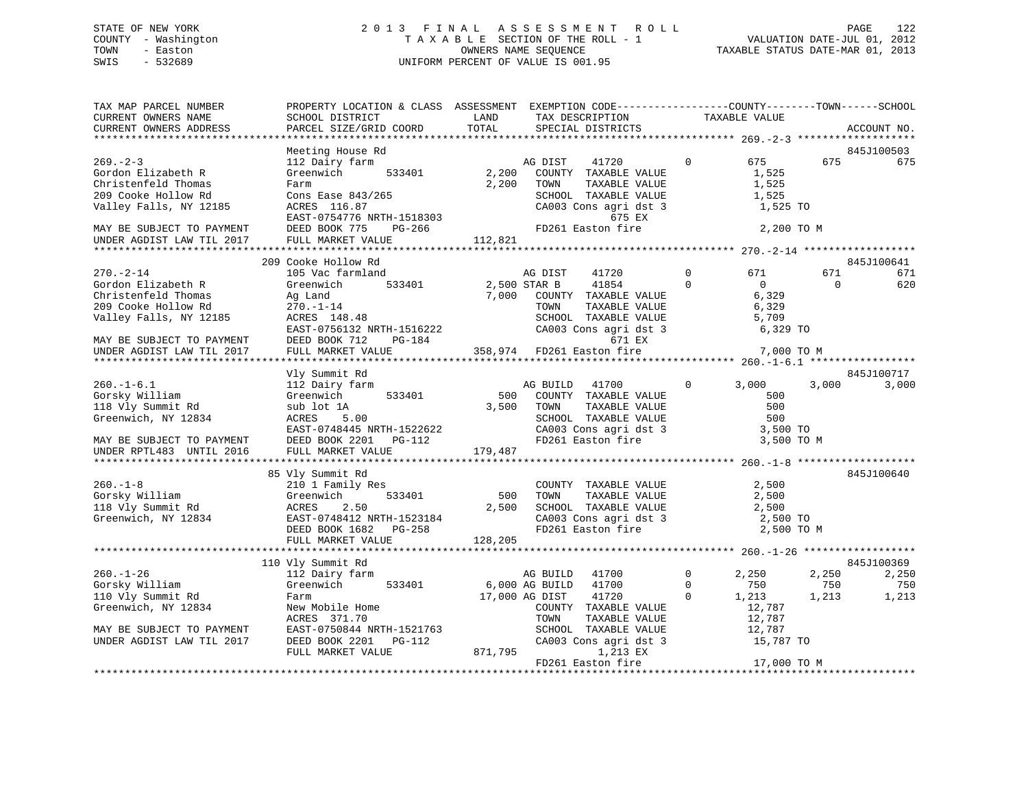# STATE OF NEW YORK 2 0 1 3 F I N A L A S S E S S M E N T R O L L PAGE 122 COUNTY - Washington T A X A B L E SECTION OF THE ROLL - 1 VALUATION DATE-JUL 01, 2012 TOWN - Easton OWNERS NAME SEQUENCE TAXABLE STATUS DATE-MAR 01, 2013 SWIS - 532689 UNIFORM PERCENT OF VALUE IS 001.95

| TAX MAP PARCEL NUMBER<br>CURRENT OWNERS NAME<br>CURRENT OWNERS ADDRESS                                                                                                 | PROPERTY LOCATION & CLASS ASSESSMENT EXEMPTION CODE----------------COUNTY-------TOWN------SCHOOL<br>SCHOOL DISTRICT<br>PARCEL SIZE/GRID COORD                                         | LAND<br>TOTAL             | TAX DESCRIPTION<br>SPECIAL DISTRICTS                                                                                                                  |                            | TAXABLE VALUE                                                |                       | ACCOUNT NO.                         |
|------------------------------------------------------------------------------------------------------------------------------------------------------------------------|---------------------------------------------------------------------------------------------------------------------------------------------------------------------------------------|---------------------------|-------------------------------------------------------------------------------------------------------------------------------------------------------|----------------------------|--------------------------------------------------------------|-----------------------|-------------------------------------|
| *************************                                                                                                                                              |                                                                                                                                                                                       |                           |                                                                                                                                                       |                            |                                                              |                       |                                     |
| $269. - 2 - 3$<br>Gordon Elizabeth R<br>Christenfeld Thomas<br>209 Cooke Hollow Rd<br>Valley Falls, NY 12185<br>MAY BE SUBJECT TO PAYMENT<br>UNDER AGDIST LAW TIL 2017 | Meeting House Rd<br>112 Dairy farm<br>Greenwich<br>533401<br>Farm<br>Cons Ease $843/265$<br>ACRES 116.87<br>EAST-0754776 NRTH-1518303<br>DEED BOOK 775<br>PG-266<br>FULL MARKET VALUE | 2,200<br>2,200<br>112,821 | AG DIST<br>41720<br>COUNTY TAXABLE VALUE<br>TOWN<br>TAXABLE VALUE<br>SCHOOL TAXABLE VALUE<br>CA003 Cons agri dst 3<br>675 EX<br>FD261 Easton fire     | $\mathbf 0$                | 675<br>1,525<br>1,525<br>1,525<br>1,525 TO<br>2,200 TO M     | 675                   | 845J100503<br>675                   |
|                                                                                                                                                                        |                                                                                                                                                                                       |                           |                                                                                                                                                       |                            |                                                              |                       |                                     |
| $270. - 2 - 14$<br>Gordon Elizabeth R<br>Christenfeld Thomas<br>209 Cooke Hollow Rd<br>Valley Falls, NY 12185<br>MAY BE SUBJECT TO PAYMENT                             | 209 Cooke Hollow Rd<br>105 Vac farmland<br>533401<br>Greenwich<br>Ag Land<br>$270. - 1 - 14$<br>ACRES 148.48<br>EAST-0756132 NRTH-1516222<br>DEED BOOK 712<br>PG-184                  | 7,000                     | AG DIST<br>41720<br>41854<br>2,500 STAR B<br>COUNTY TAXABLE VALUE<br>TOWN<br>TAXABLE VALUE<br>SCHOOL TAXABLE VALUE<br>CA003 Cons agri dst 3<br>671 EX | $\mathbf 0$<br>$\mathbf 0$ | 671<br>$\overline{0}$<br>6,329<br>6,329<br>5,709<br>6,329 TO | 671<br>$\Omega$       | 845J100641<br>671<br>620            |
| UNDER AGDIST LAW TIL 2017                                                                                                                                              | FULL MARKET VALUE                                                                                                                                                                     |                           | 358,974 FD261 Easton fire                                                                                                                             |                            | 7,000 TO M                                                   |                       |                                     |
|                                                                                                                                                                        | Vly Summit Rd                                                                                                                                                                         |                           |                                                                                                                                                       |                            |                                                              |                       | 845J100717                          |
| $260. -1 - 6.1$<br>Gorsky William<br>118 Vly Summit Rd<br>Greenwich, NY 12834<br>MAY BE SUBJECT TO PAYMENT<br>UNDER RPTL483 UNTIL 2016                                 | 112 Dairy farm<br>533401<br>Greenwich<br>sub lot 1A<br>ACRES<br>5.00<br>EAST-0748445 NRTH-1522622<br>DEED BOOK 2201<br>$PG-112$<br>FULL MARKET VALUE                                  | 500<br>3,500<br>179,487   | 41700<br>AG BUILD<br>COUNTY TAXABLE VALUE<br>TOWN<br>TAXABLE VALUE<br>SCHOOL TAXABLE VALUE<br>CA003 Cons agri dst 3<br>FD261 Easton fire              | $\Omega$                   | 3,000<br>500<br>500<br>500<br>3,500 TO<br>3,500 TO M         | 3,000                 | 3,000                               |
|                                                                                                                                                                        |                                                                                                                                                                                       |                           |                                                                                                                                                       |                            |                                                              |                       | 845J100640                          |
| $260. -1 - 8$<br>Gorsky William<br>118 Vly Summit Rd<br>Greenwich, NY 12834                                                                                            | 85 Vly Summit Rd<br>210 1 Family Res<br>533401<br>Greenwich<br>2.50<br>ACRES<br>EAST-0748412 NRTH-1523184<br>DEED BOOK 1682<br>PG-258<br>FULL MARKET VALUE                            | 500<br>2,500<br>128,205   | COUNTY TAXABLE VALUE<br>TOWN<br>TAXABLE VALUE<br>SCHOOL TAXABLE VALUE<br>CA003 Cons agri dst 3<br>FD261 Easton fire                                   |                            | 2,500<br>2,500<br>2,500<br>2,500 TO<br>2,500 TO M            |                       |                                     |
|                                                                                                                                                                        |                                                                                                                                                                                       |                           |                                                                                                                                                       |                            |                                                              |                       |                                     |
| $260. - 1 - 26$<br>Gorsky William<br>110 Vly Summit Rd<br>Greenwich, NY 12834                                                                                          | 110 Vly Summit Rd<br>112 Dairy farm<br>Greenwich<br>533401<br>Farm<br>New Mobile Home<br>ACRES 371.70                                                                                 |                           | AG BUILD 41700<br>6,000 AG BUILD<br>41700<br>17,000 AG DIST<br>41720<br>COUNTY TAXABLE VALUE<br>TOWN<br>TAXABLE VALUE                                 | 0<br>$\Omega$<br>$\Omega$  | 2,250<br>750<br>1,213<br>12,787<br>12,787                    | 2,250<br>750<br>1,213 | 845J100369<br>2,250<br>750<br>1,213 |
| MAY BE SUBJECT TO PAYMENT<br>UNDER AGDIST LAW TIL 2017                                                                                                                 | EAST-0750844 NRTH-1521763<br>DEED BOOK 2201<br><b>PG-112</b><br>FULL MARKET VALUE                                                                                                     | 871,795                   | SCHOOL TAXABLE VALUE<br>CA003 Cons agri dst 3<br>1,213 EX<br>FD261 Easton fire                                                                        |                            | 12,787<br>15,787 TO<br>17,000 TO M                           |                       |                                     |
|                                                                                                                                                                        |                                                                                                                                                                                       |                           |                                                                                                                                                       |                            |                                                              |                       |                                     |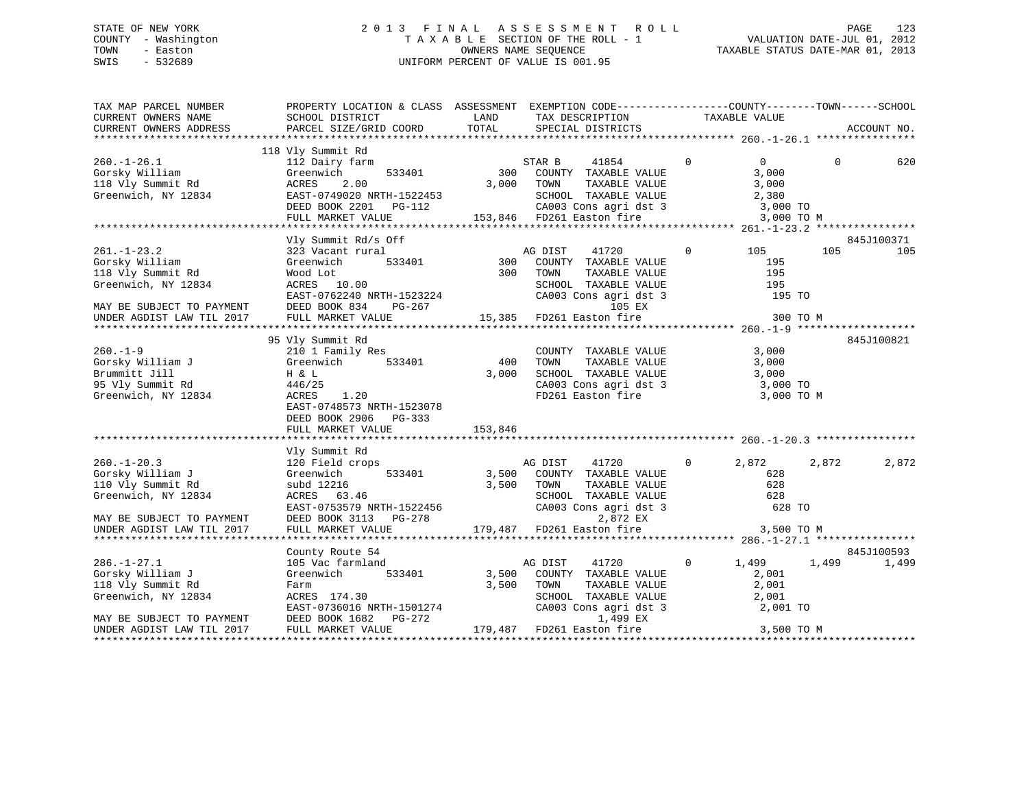# STATE OF NEW YORK 2 0 1 3 F I N A L A S S E S S M E N T R O L L PAGE 123 COUNTY - Washington T A X A B L E SECTION OF THE ROLL - 1 VALUATION DATE-JUL 01, 2012 TOWN - Easton OWNERS NAME SEQUENCE TAXABLE STATUS DATE-MAR 01, 2013 SWIS - 532689 UNIFORM PERCENT OF VALUE IS 001.95

| TAX MAP PARCEL NUMBER<br>CURRENT OWNERS NAME<br>CURRENT OWNERS ADDRESS                                                                      | PROPERTY LOCATION & CLASS ASSESSMENT EXEMPTION CODE----------------COUNTY-------TOWN------SCHOOL<br>SCHOOL DISTRICT<br>PARCEL SIZE/GRID COORD                                                                                         | LAND<br>TOTAL                    | TAX DESCRIPTION<br>SPECIAL DISTRICTS                                                                                                                            | TAXABLE VALUE                                                                       | ACCOUNT NO.                  |
|---------------------------------------------------------------------------------------------------------------------------------------------|---------------------------------------------------------------------------------------------------------------------------------------------------------------------------------------------------------------------------------------|----------------------------------|-----------------------------------------------------------------------------------------------------------------------------------------------------------------|-------------------------------------------------------------------------------------|------------------------------|
|                                                                                                                                             |                                                                                                                                                                                                                                       |                                  |                                                                                                                                                                 |                                                                                     |                              |
| $260. - 1 - 26.1$<br>Gorsky William<br>118 Vly Summit Rd<br>Greenwich, NY 12834                                                             | 118 Vly Summit Rd<br>112 Dairy farm<br>Greenwich<br>533401<br>ACRES<br>2.00<br>EAST-0749020 NRTH-1522453<br>DEED BOOK 2201    PG-112<br>FULL MARKET VALUE                                                                             |                                  | STAR B<br>41854<br>300 COUNTY TAXABLE VALUE<br>3,000 TOWN<br>TAXABLE VALUE<br>SCHOOL TAXABLE VALUE<br>-112 CA003 Cons agri dst 3<br>153,846 FD261 Easton fire   | $\mathbf 0$<br>$\overline{0}$<br>3,000<br>3,000<br>2,380<br>3,000 TO<br>3,000 TO M  | $\Omega$<br>620              |
|                                                                                                                                             | Vly Summit Rd/s Off                                                                                                                                                                                                                   |                                  |                                                                                                                                                                 |                                                                                     | 845J100371                   |
| $261. - 1 - 23.2$<br>Gorsky William<br>118 Vly Summit Rd<br>Greenwich, NY 12834<br>MAY BE SUBJECT TO PAYMENT                                | 323 Vacant rural<br>533401<br>Greenwich<br>Wood Lot<br>ACRES 10.00<br>RCKES 10.00<br>EAST-0762240 NRTH-1523224<br>DEED BOOK 834<br>PG-267                                                                                             | 300                              | AG DIST<br>41720<br>COUNTY TAXABLE VALUE<br>300 TOWN<br>TAXABLE VALUE<br>SCHOOL TAXABLE VALUE<br>CA003 Cons agri dst 3<br>105 EX                                | $\circ$<br>105<br>195<br>195<br>195<br>195 TO                                       | 105<br>105                   |
| UNDER AGDIST LAW TIL 2017                                                                                                                   | FULL MARKET VALUE                                                                                                                                                                                                                     |                                  | 15,385 FD261 Easton fire                                                                                                                                        | 300 TO M                                                                            |                              |
| $260. -1 - 9$<br>Gorsky William J<br>Brummitt Jill<br>95 Vly Summit Rd<br>Greenwich, NY 12834<br>$260. - 1 - 20.3$<br>Gorsky William J      | 95 Vly Summit Rd<br>210 1 Family Res<br>Greenwich<br>533401<br>H & L<br>446/25<br>ACRES<br>1.20<br>EAST-0748573 NRTH-1523078<br>DEED BOOK 2906 PG-333<br>FULL MARKET VALUE<br>Vly Summit Rd<br>120 Field crops<br>533401<br>Greenwich | 400<br>3,000<br>153,846<br>3,500 | COUNTY TAXABLE VALUE<br>TOWN<br>TAXABLE VALUE<br>SCHOOL TAXABLE VALUE<br>CA003 Cons agri dst 3<br>FD261 Easton fire<br>41720<br>AG DIST<br>COUNTY TAXABLE VALUE | 3,000<br>3,000<br>3,000<br>3,000 TO<br>3,000 TO M<br>$\overline{0}$<br>2,872<br>628 | 845J100821<br>2,872<br>2,872 |
| 110 Vly Summit Rd<br>Greenwich, NY 12834<br>MAY BE SUBJECT TO PAYMENT<br>UNDER AGDIST LAW TIL 2017                                          | subd 12216<br>ACRES 63.46<br>EAST-0753579 NRTH-1522456<br>DEED BOOK 3113 PG-278<br>FULL MARKET VALUE                                                                                                                                  | 3,500                            | TOWN<br>TAXABLE VALUE<br>SCHOOL TAXABLE VALUE<br>CA003 Cons agri dst 3<br>2,872 EX<br>179,487 FD261 Easton fire                                                 | 628<br>628<br>628 TO<br>3,500 TO M                                                  |                              |
| $286. - 1 - 27.1$<br>Gorsky William J<br>118 Vly Summit Rd<br>Greenwich, NY 12834<br>MAY BE SUBJECT TO PAYMENT<br>UNDER AGDIST LAW TIL 2017 | County Route 54<br>105 Vac farmland<br>Greenwich<br>533401<br>Farm<br>ACRES 174.30<br>EAST-0736016 NRTH-1501274<br>DEED BOOK 1682 PG-272<br>FULL MARKET VALUE                                                                         | 3,500<br>3,500                   | AG DIST<br>41720<br>COUNTY TAXABLE VALUE<br>TAXABLE VALUE<br>TOWN<br>SCHOOL TAXABLE VALUE<br>CA003 Cons agri dst 3<br>1,499 EX<br>179,487 FD261 Easton fire     | $\mathbf{0}$<br>1,499<br>2,001<br>2,001<br>2,001<br>2,001 TO<br>3,500 TO M          | 845J100593<br>1,499<br>1,499 |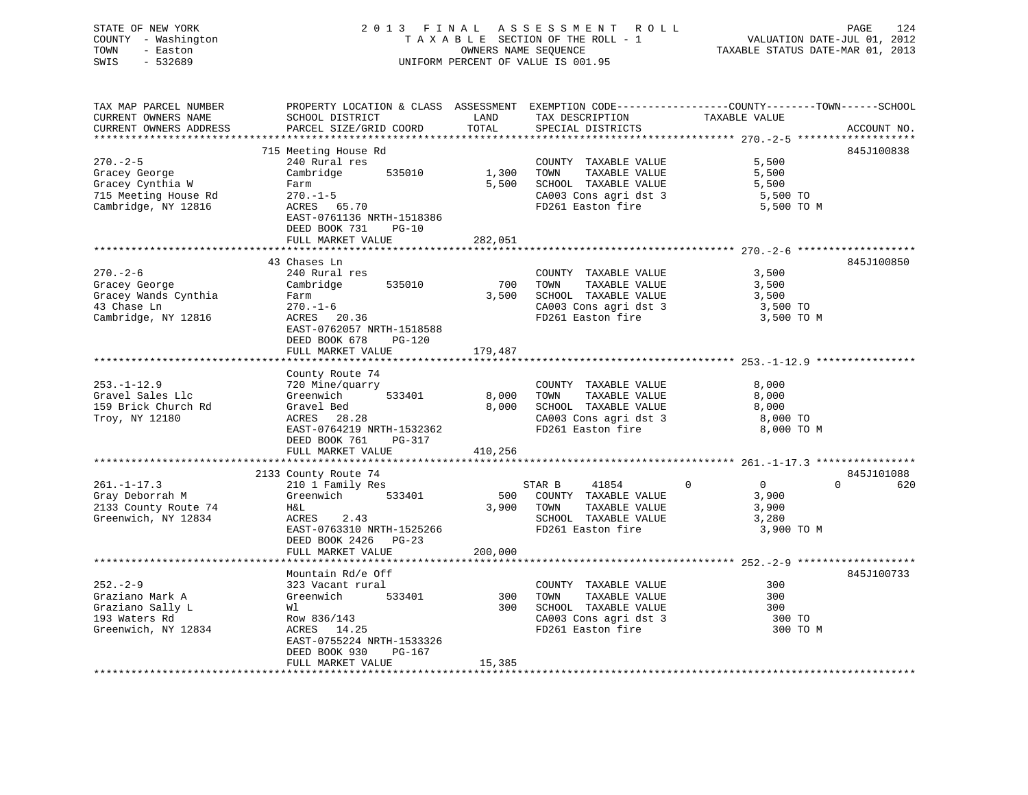STATE OF NEW YORK 2 0 1 3 F I N A L A S S E S S M E N T R O L L PAGE 124 COUNTY - Washington T A X A B L E SECTION OF THE ROLL - 1 VALUATION DATE-JUL 01, 2012 TOWN - Easton OWNERS NAME SEQUENCE TAXABLE STATUS DATE-MAR 01, 2013 SWIS - 532689 UNIFORM PERCENT OF VALUE IS 001.95 TAX MAP PARCEL NUMBER PROPERTY LOCATION & CLASS ASSESSMENT EXEMPTION CODE------------------COUNTY--------TOWN------SCHOOL CURRENT OWNERS NAME SCHOOL DISTRICT LAND TAX DESCRIPTION TAXABLE VALUE CURRENT OWNERS ADDRESS PARCEL SIZE/GRID COORD TOTAL SPECIAL DISTRICTS ACCOUNT NO.

|                      | 715 Meeting House Rd      |          |                                            |                            | 845J100838 |
|----------------------|---------------------------|----------|--------------------------------------------|----------------------------|------------|
| $270. - 2 - 5$       | 240 Rural res             |          | COUNTY TAXABLE VALUE                       | 5,500                      |            |
| Gracey George        | Cambridge<br>535010       | 1,300    | TAXABLE VALUE<br>TOWN                      | 5,500                      |            |
| Gracey Cynthia W     | Farm                      | 5,500    | SCHOOL TAXABLE VALUE                       | 5,500                      |            |
| 715 Meeting House Rd | $270. - 1 - 5$            |          | CA003 Cons agri dst 3                      | 5,500 TO                   |            |
| Cambridge, NY 12816  | ACRES 65.70               |          | FD261 Easton fire                          | 5,500 TO M                 |            |
|                      | EAST-0761136 NRTH-1518386 |          |                                            |                            |            |
|                      | DEED BOOK 731<br>$PG-10$  |          |                                            |                            |            |
|                      | FULL MARKET VALUE         | 282,051  |                                            |                            |            |
|                      |                           |          |                                            |                            |            |
|                      | 43 Chases Ln              |          |                                            |                            | 845J100850 |
| $270. - 2 - 6$       | 240 Rural res             |          | COUNTY TAXABLE VALUE                       | 3,500                      |            |
| Gracey George        | 535010<br>Cambridge       | 700      | TOWN<br>TAXABLE VALUE                      | 3,500                      |            |
| Gracey Wands Cynthia | Farm                      | 3,500    | SCHOOL TAXABLE VALUE                       | 3,500                      |            |
| 43 Chase Ln          | $270. - 1 - 6$            |          |                                            | 3,500 TO                   |            |
| Cambridge, NY 12816  | ACRES 20.36               |          | CA003 Cons agri dst 3<br>FD261 Easton fire | 3,500 TO M                 |            |
|                      | EAST-0762057 NRTH-1518588 |          |                                            |                            |            |
|                      | DEED BOOK 678<br>PG-120   |          |                                            |                            |            |
|                      | FULL MARKET VALUE         | 179,487  |                                            |                            |            |
|                      |                           |          |                                            |                            |            |
|                      | County Route 74           |          |                                            |                            |            |
| $253. - 1 - 12.9$    | 720 Mine/quarry           |          | COUNTY TAXABLE VALUE                       | 8,000                      |            |
| Gravel Sales Llc     | Greenwich 533401          |          | 8,000 TOWN TAXABLE VALUE                   | 8,000                      |            |
| 159 Brick Church Rd  | Gravel Bed                |          | 8,000 SCHOOL TAXABLE VALUE                 | 8,000<br>8,000             |            |
| Troy, NY 12180       | ACRES 28.28               |          | CA003 Cons agri dst 3                      | 8,000 TO                   |            |
|                      | EAST-0764219 NRTH-1532362 |          | FD261 Easton fire                          | 8,000 TO M                 |            |
|                      | DEED BOOK 761<br>PG-317   |          |                                            |                            |            |
|                      | FULL MARKET VALUE         | 410,256  |                                            |                            |            |
|                      |                           |          |                                            |                            |            |
|                      | 2133 County Route 74      |          |                                            |                            | 845J101088 |
| $261. -1 - 17.3$     | 210 1 Family Res          |          | 41854 0<br>STAR B                          | $\overline{0}$<br>$\Omega$ | 620        |
| Gray Deborrah M      | Greenwich 533401          |          | 500 COUNTY TAXABLE VALUE                   |                            |            |
| 2133 County Route 74 |                           |          | TAXABLE VALUE<br>3,900 TOWN                | 3,900<br>3,900             |            |
| Greenwich, NY 12834  | H&L<br>ACRES 2.43         |          | TUWN 11111-<br>SCHOOL TAXABLE VALUE        | 3,280                      |            |
|                      |                           |          |                                            | 3,900 TO M                 |            |
|                      | EAST-0763310 NRTH-1525266 |          | FD261 Easton fire                          |                            |            |
|                      | DEED BOOK 2426    PG-23   |          |                                            |                            |            |
|                      | FULL MARKET VALUE         | 200,000  |                                            |                            |            |
|                      |                           |          |                                            |                            |            |
|                      | Mountain Rd/e Off         |          |                                            |                            | 845J100733 |
| $252 - 2 - 9$        | 323 Vacant rural          |          | COUNTY TAXABLE VALUE                       | 300                        |            |
| Graziano Mark A      | Greenwich 533401          | 300 TOWN | TAXABLE VALUE                              | 300                        |            |
| Graziano Sally L     | Wl                        |          | 300 SCHOOL TAXABLE VALUE                   | 300                        |            |
| 193 Waters Rd        | Row 836/143               |          | CA003 Cons agri dst 3                      | 300 TO                     |            |
| Greenwich, NY 12834  | ACRES 14.25               |          |                                            | 300 TO M                   |            |
|                      | EAST-0755224 NRTH-1533326 |          |                                            |                            |            |
|                      | DEED BOOK 930<br>$PG-167$ |          |                                            |                            |            |
|                      | FULL MARKET VALUE         | 15,385   |                                            |                            |            |
|                      |                           |          |                                            |                            |            |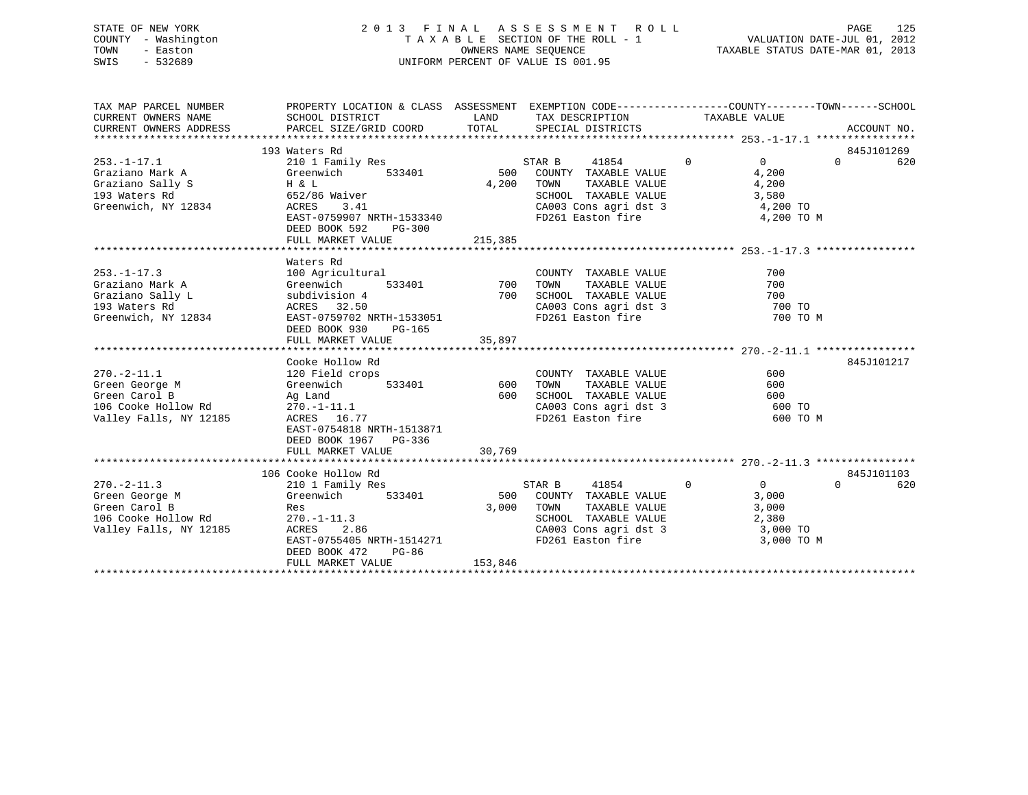# STATE OF NEW YORK 2 0 1 3 F I N A L A S S E S S M E N T R O L L PAGE 125 COUNTY - Washington T A X A B L E SECTION OF THE ROLL - 1 VALUATION DATE-JUL 01, 2012 TOWN - Easton OWNERS NAME SEQUENCE TAXABLE STATUS DATE-MAR 01, 2013 SWIS - 532689 UNIFORM PERCENT OF VALUE IS 001.95

| TAX MAP PARCEL NUMBER<br>CURRENT OWNERS NAME<br>CURRENT OWNERS ADDRESS                                       | PROPERTY LOCATION & CLASS ASSESSMENT EXEMPTION CODE---------------COUNTY-------TOWN------SCHOOL<br>SCHOOL DISTRICT<br>PARCEL SIZE/GRID COORD                          | LAND             | TAX DESCRIPTION<br>TOTAL SPECIAL DISTRICTS                                                                                                                                          | TAXABLE VALUE                                                                            | ACCOUNT NO.     |
|--------------------------------------------------------------------------------------------------------------|-----------------------------------------------------------------------------------------------------------------------------------------------------------------------|------------------|-------------------------------------------------------------------------------------------------------------------------------------------------------------------------------------|------------------------------------------------------------------------------------------|-----------------|
|                                                                                                              | 193 Waters Rd                                                                                                                                                         |                  |                                                                                                                                                                                     |                                                                                          | 845J101269      |
| $253. - 1 - 17.1$<br>Graziano Mark A<br>$H \& L$<br>Graziano Sally S<br>193 Waters Rd<br>Greenwich, NY 12834 | 210 1 Family Res<br>Greenwich<br>533401<br>652/86 Waiver<br>ACRES<br>3.41<br>EAST-0759907 NRTH-1533340<br>DEED BOOK 592<br>$PG-300$                                   | 4,200            | STAR B<br>41854<br>500 COUNTY TAXABLE VALUE<br>TOWN<br>TAXABLE VALUE<br>SCHOOL TAXABLE VALUE<br>CA003 Cons agri dst 3<br>FD261 Easton fire                                          | $\overline{0}$<br>$0 \qquad \qquad$<br>4,200<br>4,200<br>3,580<br>4,200 TO<br>4,200 TO M | $\Omega$<br>620 |
|                                                                                                              | FULL MARKET VALUE                                                                                                                                                     | 215,385          |                                                                                                                                                                                     |                                                                                          |                 |
| $253. - 1 - 17.3$<br>Graziano Mark A<br>Graziano Sally L<br>193 Waters Rd<br>Greenwich, NY 12834             | Waters Rd<br>100 Agricultural<br>533401 700<br>Greenwich<br>subdivision 4<br>ACRES 32.50<br>EAST-0759702 NRTH-1533051<br>DEED BOOK 930<br>PG-165<br>FULL MARKET VALUE | 700<br>35,897    | COUNTY TAXABLE VALUE<br>TAXABLE VALUE<br>TOWN<br>SCHOOL TAXABLE VALUE<br>SCHOOL TAXABLE VALUE<br>CA003 Cons agri dst 3<br>FD261 Easton fire                                         | 700<br>700<br>700<br>700 TO<br>700 TO M                                                  |                 |
|                                                                                                              | Cooke Hollow Rd                                                                                                                                                       |                  |                                                                                                                                                                                     |                                                                                          | 845J101217      |
| $270. - 2 - 11.1$<br>Green George M<br>Green Carol B<br>106 Cooke Hollow Rd<br>Valley Falls, NY 12185        | 120 Field crops<br>Greenwich<br>533401<br>Ag Land<br>$270. -1 - 11.1$<br>ACRES 16.77<br>EAST-0754818 NRTH-1513871<br>DEED BOOK 1967 PG-336                            | 600<br>600       | COUNTY TAXABLE VALUE<br>TAXABLE VALUE<br>TOWN<br>SCHOOL TAXABLE VALUE<br>CA003 Cons agri dst 3 600 TO<br>FD261 Easton fire                                                          | 600<br>600<br>600<br>600 TO M                                                            |                 |
|                                                                                                              | FULL MARKET VALUE                                                                                                                                                     | 30,769           |                                                                                                                                                                                     |                                                                                          |                 |
|                                                                                                              | 106 Cooke Hollow Rd                                                                                                                                                   |                  |                                                                                                                                                                                     |                                                                                          | 845J101103      |
| $270. - 2 - 11.3$<br>Green George M<br>Green Carol B<br>106 Cooke Hollow Rd<br>Valley Falls, NY 12185        | 210 1 Family Res<br>Greenwich<br>533401<br>Res<br>$270. - 1 - 11.3$<br>2.86<br>ACRES<br>EAST-0755405 NRTH-1514271<br>DEED BOOK 472<br>PG-86<br>FULL MARKET VALUE      | 3,000<br>153,846 | 41854<br>STAR B<br>500 COUNTY TAXABLE VALUE<br>TOWN<br>TAXABLE VALUE<br>SCHOOL TAXABLE VALUE<br>SCHOOL TAXABLE VALUE 2,380<br>CA003 Cons agri dst 3 3 3,000 TO<br>FD261 Easton fire | $\mathbf{0}$<br>$\overline{0}$<br>3,000<br>3,000<br>2,380<br>3,000 TO M                  | $\Omega$<br>620 |
|                                                                                                              |                                                                                                                                                                       |                  |                                                                                                                                                                                     |                                                                                          |                 |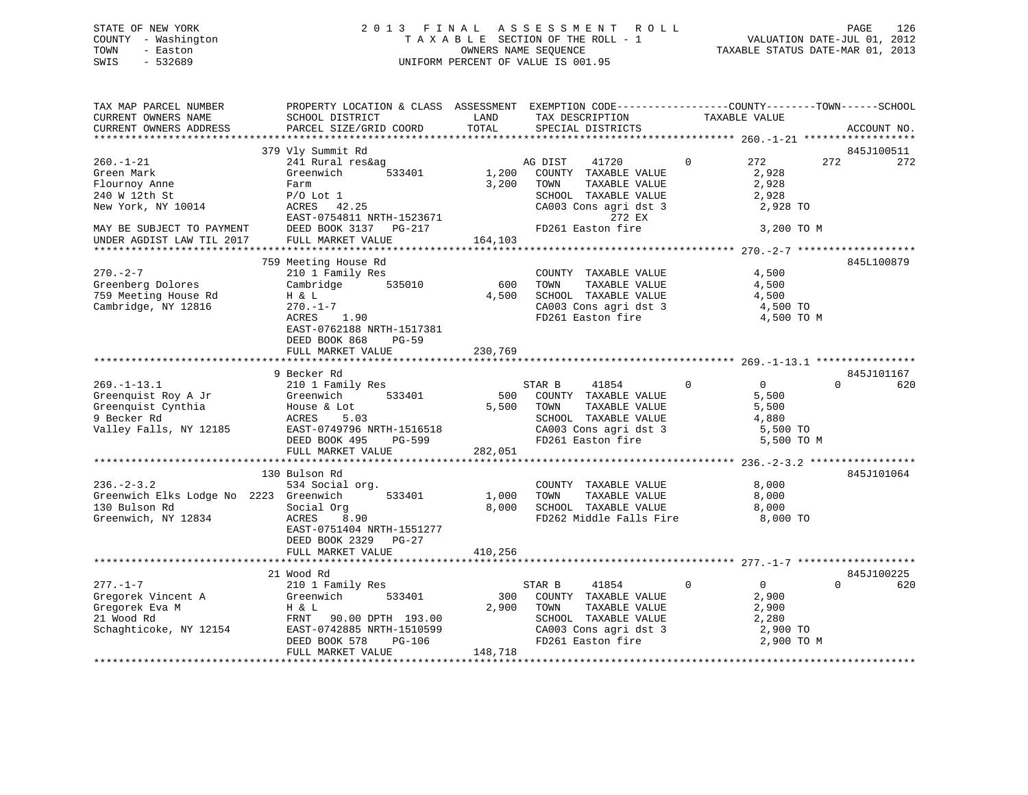# STATE OF NEW YORK 2 0 1 3 F I N A L A S S E S S M E N T R O L L PAGE 126 COUNTY - Washington T A X A B L E SECTION OF THE ROLL - 1 VALUATION DATE-JUL 01, 2012 TOWN - Easton OWNERS NAME SEQUENCE TAXABLE STATUS DATE-MAR 01, 2013 SWIS - 532689 UNIFORM PERCENT OF VALUE IS 001.95

| TAX MAP PARCEL NUMBER<br>CURRENT OWNERS NAME<br>CURRENT OWNERS ADDRESS                                   | SCHOOL DISTRICT<br>PARCEL SIZE/GRID COORD                                                                                                                                         | PROPERTY LOCATION & CLASS ASSESSMENT EXEMPTION CODE----------------COUNTY-------TOWN------SCHOOL<br>LAND<br>TAX DESCRIPTION<br>TOTAL<br>SPECIAL DISTRICTS         | TAXABLE VALUE                                                                          | ACCOUNT NO.              |
|----------------------------------------------------------------------------------------------------------|-----------------------------------------------------------------------------------------------------------------------------------------------------------------------------------|-------------------------------------------------------------------------------------------------------------------------------------------------------------------|----------------------------------------------------------------------------------------|--------------------------|
|                                                                                                          |                                                                                                                                                                                   |                                                                                                                                                                   |                                                                                        |                          |
| $260. - 1 - 21$<br>Green Mark<br>Flournoy Anne<br>240 W 12th St<br>New York, NY 10014                    | 379 Vly Summit Rd<br>241 Rural res&ag<br>Greenwich<br>533401<br>Farm<br>$P/O$ Lot $1$<br>42.25<br>ACRES<br>EAST-0754811 NRTH-1523671                                              | AG DIST<br>41720<br>1,200<br>COUNTY TAXABLE VALUE<br>3,200<br>TOWN<br>TAXABLE VALUE<br>SCHOOL TAXABLE VALUE<br>CA003 Cons agri dst 3<br>272 EX                    | $\Omega$<br>272<br>2,928<br>2,928<br>2,928<br>2,928 TO                                 | 845J100511<br>272<br>272 |
| MAY BE SUBJECT TO PAYMENT<br>UNDER AGDIST LAW TIL 2017                                                   | DEED BOOK 3137 $PG-217$<br>FULL MARKET VALUE                                                                                                                                      | FD261 Easton fire<br>164,103                                                                                                                                      | 3,200 TO M                                                                             |                          |
| $270 - 2 - 7$<br>Greenberg Dolores<br>759 Meeting House Rd<br>Cambridge, NY 12816                        | 759 Meeting House Rd<br>210 1 Family Res<br>535010<br>Cambridge<br>H & L<br>270.-1-7<br>1.90<br>ACRES<br>EAST-0762188 NRTH-1517381<br>DEED BOOK 868<br>PG-59<br>FULL MARKET VALUE | COUNTY TAXABLE VALUE<br>TAXABLE VALUE<br>600<br>TOWN<br>4,500<br>SCHOOL TAXABLE VALUE<br>CA003 Cons agri dst 3<br>FD261 Easton fire<br>230,769                    | 4,500<br>4,500<br>4,500<br>4,500 TO<br>4,500 TO M                                      | 845L100879               |
|                                                                                                          | 9 Becker Rd                                                                                                                                                                       |                                                                                                                                                                   |                                                                                        | 845J101167               |
| $269. - 1 - 13.1$<br>Greenquist Roy A Jr<br>Greenquist Cynthia<br>9 Becker Rd<br>Valley Falls, NY 12185  | 210 1 Family Res<br>533401<br>Greenwich<br>House & Lot<br>ACRES<br>5.03<br>EAST-0749796 NRTH-1516518<br>DEED BOOK 495<br>PG-599<br>FULL MARKET VALUE                              | STAR B<br>41854<br>500<br>COUNTY TAXABLE VALUE<br>TAXABLE VALUE<br>5,500<br>TOWN<br>SCHOOL TAXABLE VALUE<br>CA003 Cons agri dst 3<br>FD261 Easton fire<br>282,051 | $\mathbf{0}$<br>$0 \qquad \qquad$<br>5,500<br>5,500<br>4,880<br>5,500 TO<br>5,500 TO M | $\Omega$<br>620          |
|                                                                                                          |                                                                                                                                                                                   |                                                                                                                                                                   |                                                                                        |                          |
| $236. - 2 - 3.2$<br>Greenwich Elks Lodge No 2223 Greenwich<br>130 Bulson Rd<br>Greenwich, NY 12834       | 130 Bulson Rd<br>534 Social org.<br>533401<br>Social Org<br>ACRES<br>8.90<br>EAST-0751404 NRTH-1551277<br>DEED BOOK 2329 PG-27<br>FULL MARKET VALUE                               | COUNTY TAXABLE VALUE<br>TAXABLE VALUE<br>1,000<br>TOWN<br>8,000 SCHOOL TAXABLE VALUE<br>FD262 Middle Falls Fire<br>410,256                                        | 8,000<br>8,000<br>8,000<br>8,000 TO                                                    | 845J101064               |
|                                                                                                          |                                                                                                                                                                                   |                                                                                                                                                                   |                                                                                        |                          |
|                                                                                                          | 21 Wood Rd                                                                                                                                                                        |                                                                                                                                                                   |                                                                                        | 845J100225               |
| $277. - 1 - 7$<br>211. 1<br>Gregorek Vincent A<br>Gregorek Eva M<br>21 Wood Pd<br>Schaghticoke, NY 12154 | 210 1 Family Res<br>Greenwich<br>533401<br>H & L<br>FRNT<br>90.00 DPTH 193.00<br>EAST-0742885 NRTH-1510599<br>DEED BOOK 578<br>PG-106<br>FULL MARKET VALUE                        | 41854<br>STAR B<br>300<br>COUNTY TAXABLE VALUE<br>2,900<br>TAXABLE VALUE<br>TOWN<br>SCHOOL TAXABLE VALUE<br>CA003 Cons agri dst 3<br>FD261 Easton fire<br>148,718 | $\mathbf{0}$<br>$\overline{0}$<br>2,900<br>2,900<br>2,280<br>2,900 TO<br>2,900 TO M    | $\Omega$<br>620          |
|                                                                                                          |                                                                                                                                                                                   |                                                                                                                                                                   |                                                                                        |                          |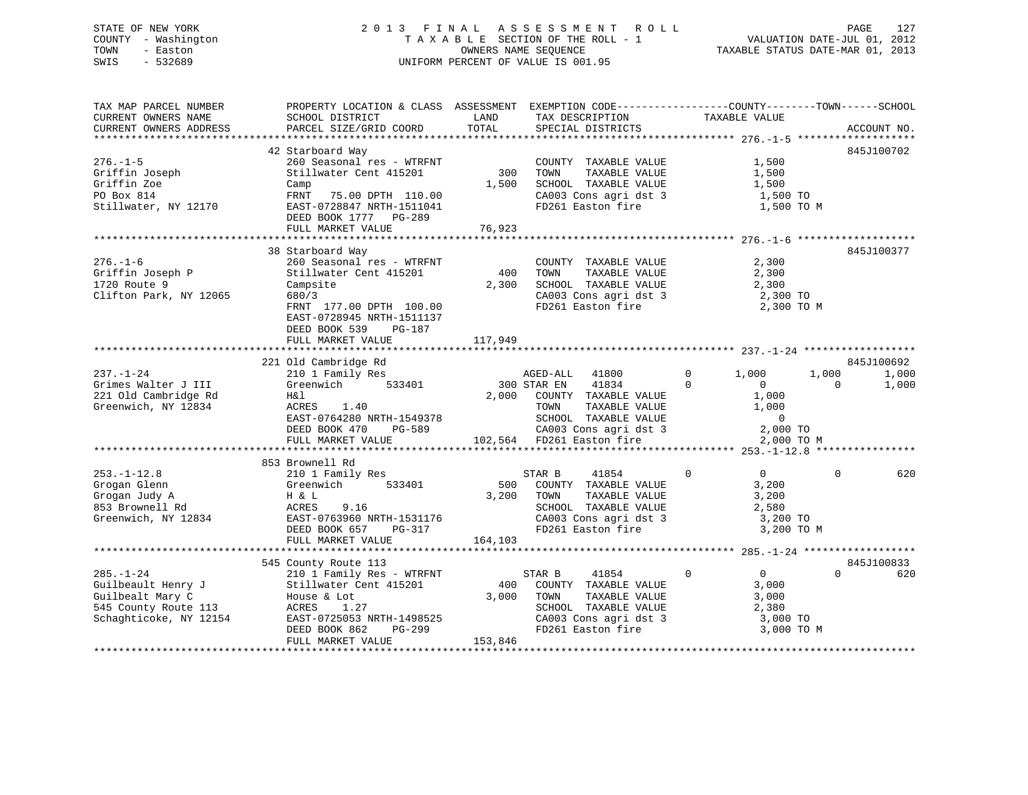# STATE OF NEW YORK 2 0 1 3 F I N A L A S S E S S M E N T R O L L PAGE 127 COUNTY - Washington T A X A B L E SECTION OF THE ROLL - 1 VALUATION DATE-JUL 01, 2012 TOWN - Easton OWNERS NAME SEQUENCE TAXABLE STATUS DATE-MAR 01, 2013 SWIS - 532689 UNIFORM PERCENT OF VALUE IS 001.95

| TAX MAP PARCEL NUMBER<br>CURRENT OWNERS NAME<br>CURRENT OWNERS ADDRESS                                      | PROPERTY LOCATION & CLASS ASSESSMENT EXEMPTION CODE---------------COUNTY-------TOWN-----SCHOOL<br>SCHOOL DISTRICT<br>PARCEL SIZE/GRID COORD                                                          | LAND<br>TOTAL           | TAX DESCRIPTION<br>SPECIAL DISTRICTS                                                                                                        | TAXABLE VALUE                                                                                    | ACCOUNT NO.                                       |
|-------------------------------------------------------------------------------------------------------------|------------------------------------------------------------------------------------------------------------------------------------------------------------------------------------------------------|-------------------------|---------------------------------------------------------------------------------------------------------------------------------------------|--------------------------------------------------------------------------------------------------|---------------------------------------------------|
|                                                                                                             |                                                                                                                                                                                                      |                         |                                                                                                                                             |                                                                                                  |                                                   |
| $276. - 1 - 5$<br>Griffin Joseph<br>Griffin Zoe<br>PO Box 814<br>Stillwater, NY 12170                       | 42 Starboard Way<br>260 Seasonal res - WTRFNT<br>Stillwater Cent 415201<br>Camp<br>FRNT<br>75.00 DPTH 110.00<br>EAST-0728847 NRTH-1511041                                                            | 300<br>1,500            | COUNTY TAXABLE VALUE<br>TOWN<br>TAXABLE VALUE<br>SCHOOL TAXABLE VALUE<br>CA003 Cons agri dst 3<br>FD261 Easton fire                         | 1,500<br>1,500<br>1,500<br>1,500 TO<br>1,500 TO M                                                | 845J100702                                        |
|                                                                                                             | DEED BOOK 1777 PG-289<br>FULL MARKET VALUE                                                                                                                                                           | 76,923                  |                                                                                                                                             |                                                                                                  |                                                   |
|                                                                                                             |                                                                                                                                                                                                      |                         |                                                                                                                                             |                                                                                                  |                                                   |
| $276. - 1 - 6$<br>Griffin Joseph P<br>1720 Route 9<br>Clifton Park, NY 12065                                | 38 Starboard Way<br>260 Seasonal res - WTRFNT<br>Stillwater Cent 415201<br>Campsite<br>680/3<br>FRNT 177.00 DPTH 100.00<br>EAST-0728945 NRTH-1511137<br>DEED BOOK 539<br>PG-187<br>FULL MARKET VALUE | 400<br>2,300<br>117,949 | COUNTY TAXABLE VALUE<br>TOWN<br>TAXABLE VALUE<br>SCHOOL TAXABLE VALUE<br>CA003 Cons agri dst 3<br>FD261 Easton fire                         | 2,300<br>2,300<br>2,300<br>2,300 TO<br>2,300 TO M                                                | 845J100377                                        |
|                                                                                                             |                                                                                                                                                                                                      |                         |                                                                                                                                             |                                                                                                  |                                                   |
| $237. - 1 - 24$<br>Grimes Walter J III<br>221 Old Cambridge Rd<br>Greenwich, NY 12834                       | 221 Old Cambridge Rd<br>210 1 Family Res<br>Greenwich<br>533401<br>H&l<br>1.40<br>ACRES<br>EAST-0764280 NRTH-1549378<br>DEED BOOK 470<br>PG-589                                                      | 2,000                   | AGED-ALL<br>41800<br>41834<br>300 STAR EN<br>COUNTY TAXABLE VALUE<br>TOWN<br>TAXABLE VALUE<br>SCHOOL TAXABLE VALUE<br>CA003 Cons agri dst 3 | $\mathbf 0$<br>1,000<br>$\Omega$<br>$\mathbf{0}$<br>1,000<br>1,000<br>$\overline{0}$<br>2,000 TO | 845J100692<br>1,000<br>1,000<br>1,000<br>$\Omega$ |
|                                                                                                             | FULL MARKET VALUE                                                                                                                                                                                    |                         | 102,564 FD261 Easton fire                                                                                                                   | 2,000 TO M                                                                                       |                                                   |
|                                                                                                             | 853 Brownell Rd                                                                                                                                                                                      |                         |                                                                                                                                             |                                                                                                  |                                                   |
| $253. - 1 - 12.8$<br>Grogan Glenn<br>Grogan Judy A<br>853 Brownell Rd<br>Greenwich, NY 12834                | 210 1 Family Res<br>Greenwich<br>533401<br>H & L<br>ACRES<br>9.16<br>EAST-0763960 NRTH-1531176<br>DEED BOOK 657<br>PG-317<br>FULL MARKET VALUE                                                       | 500<br>3,200<br>164,103 | STAR B<br>41854<br>COUNTY TAXABLE VALUE<br>TOWN<br>TAXABLE VALUE<br>SCHOOL TAXABLE VALUE<br>CA003 Cons agri dst 3<br>FD261 Easton fire      | $\mathbf 0$<br>$\overline{0}$<br>3,200<br>3,200<br>2,580<br>3,200 TO<br>3,200 TO M               | $\Omega$<br>620                                   |
|                                                                                                             |                                                                                                                                                                                                      |                         |                                                                                                                                             |                                                                                                  |                                                   |
|                                                                                                             | 545 County Route 113                                                                                                                                                                                 |                         |                                                                                                                                             |                                                                                                  | 845J100833                                        |
| $285. - 1 - 24$<br>Guilbeault Henry J<br>Guilbealt Mary C<br>545 County Route 113<br>Schaghticoke, NY 12154 | 210 1 Family Res - WTRFNT<br>Stillwater Cent 415201<br>House & Lot<br>ACRES<br>1.27<br>EAST-0725053 NRTH-1498525<br>DEED BOOK 862<br>PG-299<br>FULL MARKET VALUE                                     | 400<br>3,000<br>153,846 | STAR B<br>41854<br>COUNTY TAXABLE VALUE<br>TOWN<br>TAXABLE VALUE<br>SCHOOL TAXABLE VALUE<br>CA003 Cons agri dst 3<br>FD261 Easton fire      | $\overline{0}$<br>$\mathbf 0$<br>3,000<br>3,000<br>2,380<br>3,000 TO<br>3,000 TO M               | $\Omega$<br>620                                   |
|                                                                                                             |                                                                                                                                                                                                      |                         |                                                                                                                                             |                                                                                                  |                                                   |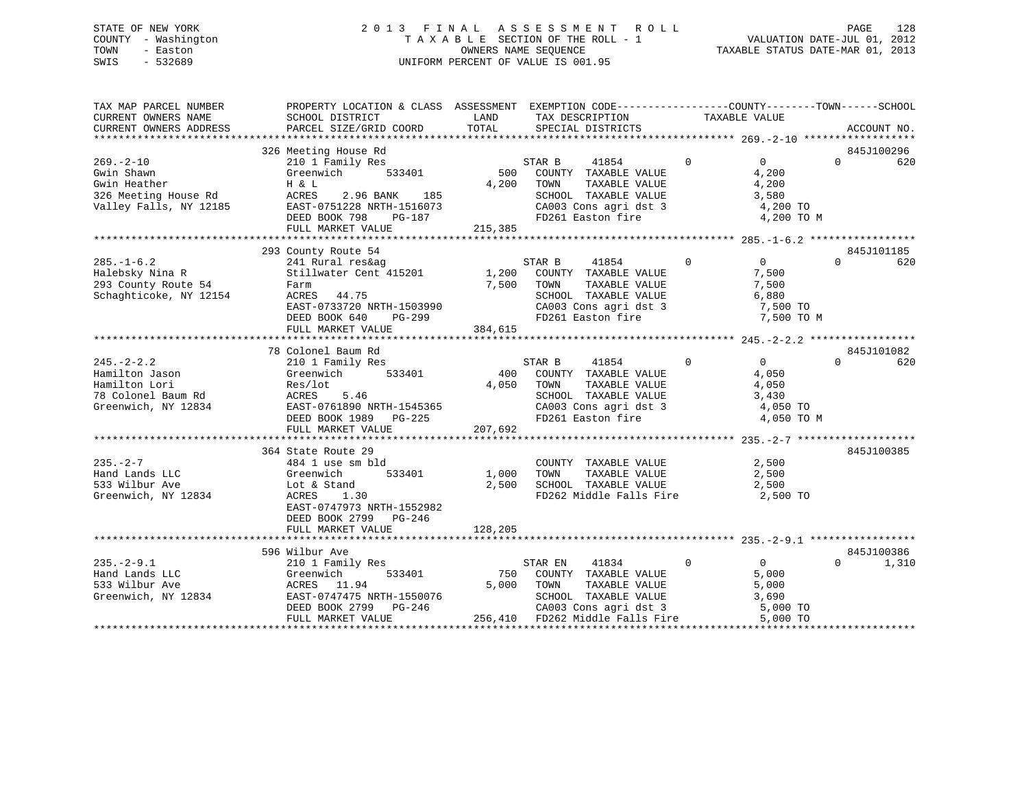# STATE OF NEW YORK 2 0 1 3 F I N A L A S S E S S M E N T R O L L PAGE 128 COUNTY - Washington T A X A B L E SECTION OF THE ROLL - 1 VALUATION DATE-JUL 01, 2012 TOWN - Easton OWNERS NAME SEQUENCE TAXABLE STATUS DATE-MAR 01, 2013 SWIS - 532689 UNIFORM PERCENT OF VALUE IS 001.95

| TOTAL<br>PARCEL SIZE/GRID COORD<br>SPECIAL DISTRICTS<br>ACCOUNT NO.<br>326 Meeting House Rd<br>845J100296<br>STAR B<br>$\overline{0}$<br>$269. - 2 - 10$<br>$\mathbf 0$<br>41854<br>$\Omega$<br>620<br>210 1 Family Res<br>500<br>Gwin Shawn<br>COUNTY TAXABLE VALUE<br>4,200<br>Greenwich<br>533401<br>4,200<br>Gwin Heather<br>H & L<br>4,200<br>TOWN<br>TAXABLE VALUE<br>326 Meeting House Rd<br>ACRES<br>2.96 BANK<br>185<br>SCHOOL TAXABLE VALUE<br>3,580<br>CA003 Cons agri dst 3<br>Valley Falls, NY 12185<br>EAST-0751228 NRTH-1516073<br>4,200 TO<br>DEED BOOK 798<br>PG-187<br>FD261 Easton fire<br>4,200 TO M<br>FULL MARKET VALUE<br>215,385<br>293 County Route 54<br>845J101185<br>$\overline{0}$<br>$\overline{0}$<br>$285. - 1 - 6.2$<br>$\Omega$<br>620<br>Halebsky Nina R<br>7,500<br>7,500<br>293 County Route 54<br>TOWN<br>TAXABLE VALUE<br>7,500<br>Farm<br>ACRES 44.75<br>Schaghticoke, NY 12154<br>SCHOOL TAXABLE VALUE<br>6,880<br>CA003 Cons agri dst 3<br>ACRES 44.75<br>EAST-0733720 NRTH-1503990<br>DC-299<br>7,500 TO<br>FD261 Easton fire<br>7,500 TO M<br>384,615<br>FULL MARKET VALUE<br>78 Colonel Baum Rd<br>845J101082<br>$\mathbf 0$<br>$\overline{0}$<br>$245. - 2 - 2.2$<br>STAR B<br>41854<br>$\Omega$<br>210 1 Family Res<br>620<br>400<br>533401<br>COUNTY TAXABLE VALUE<br>4,050<br>Hamilton Jason<br>Greenwich<br>Hamilton Lori<br>4,050<br>TOWN<br>TAXABLE VALUE<br>4,050<br>Res/lot<br>ACRES<br>SCHOOL TAXABLE VALUE<br>78 Colonel Baum Rd<br>5.46<br>3,430<br>Greenwich, NY 12834 EAST-0761890 NRTH-1545365<br>CA003 Cons agri dst 3 4,050 TO<br>FD261 Easton fire<br>DEED BOOK 1989 PG-225<br>4,050 TO M<br>207,692<br>FULL MARKET VALUE<br>364 State Route 29<br>845J100385<br>$235. - 2 - 7$<br>2,500<br>484 1 use sm bld<br>COUNTY TAXABLE VALUE<br>Hand Lands LLC<br>533401<br>1,000<br>TAXABLE VALUE<br>2,500<br>Greenwich<br>TOWN<br>SCHOOL TAXABLE VALUE<br>2,500<br>533 Wilbur Ave<br>2,500<br>Lot & Stand<br>Greenwich, NY 12834<br>FD262 Middle Falls Fire<br>2,500 TO<br>ACRES 1.30<br>EAST-0747973 NRTH-1552982<br>DEED BOOK 2799 PG-246<br>128,205<br>FULL MARKET VALUE<br>845J100386<br>596 Wilbur Ave<br>$235. - 2 - 9.1$<br>$\Omega$<br>$\Omega$<br>210 1 Family Res<br>STAR EN<br>41834<br>$\Omega$<br>1,310<br>Hand Lands LLC<br>533401<br>750<br>COUNTY TAXABLE VALUE<br>5,000<br>Greenwich<br>5,000<br>5,000 | TAX MAP PARCEL NUMBER<br>CURRENT OWNERS NAME | PROPERTY LOCATION & CLASS ASSESSMENT<br>SCHOOL DISTRICT | LAND | EXEMPTION CODE-----------------COUNTY-------TOWN------SCHOOL<br>TAX DESCRIPTION | TAXABLE VALUE |  |  |
|----------------------------------------------------------------------------------------------------------------------------------------------------------------------------------------------------------------------------------------------------------------------------------------------------------------------------------------------------------------------------------------------------------------------------------------------------------------------------------------------------------------------------------------------------------------------------------------------------------------------------------------------------------------------------------------------------------------------------------------------------------------------------------------------------------------------------------------------------------------------------------------------------------------------------------------------------------------------------------------------------------------------------------------------------------------------------------------------------------------------------------------------------------------------------------------------------------------------------------------------------------------------------------------------------------------------------------------------------------------------------------------------------------------------------------------------------------------------------------------------------------------------------------------------------------------------------------------------------------------------------------------------------------------------------------------------------------------------------------------------------------------------------------------------------------------------------------------------------------------------------------------------------------------------------------------------------------------------------------------------------------------------------------------------------------------------------------------------------------------------------------------------------------------------------------------------------------------------------------------------------------------------------------------------------------------------------------------------------------------------------------|----------------------------------------------|---------------------------------------------------------|------|---------------------------------------------------------------------------------|---------------|--|--|
|                                                                                                                                                                                                                                                                                                                                                                                                                                                                                                                                                                                                                                                                                                                                                                                                                                                                                                                                                                                                                                                                                                                                                                                                                                                                                                                                                                                                                                                                                                                                                                                                                                                                                                                                                                                                                                                                                                                                                                                                                                                                                                                                                                                                                                                                                                                                                                                  | CURRENT OWNERS ADDRESS                       |                                                         |      |                                                                                 |               |  |  |
|                                                                                                                                                                                                                                                                                                                                                                                                                                                                                                                                                                                                                                                                                                                                                                                                                                                                                                                                                                                                                                                                                                                                                                                                                                                                                                                                                                                                                                                                                                                                                                                                                                                                                                                                                                                                                                                                                                                                                                                                                                                                                                                                                                                                                                                                                                                                                                                  |                                              |                                                         |      |                                                                                 |               |  |  |
|                                                                                                                                                                                                                                                                                                                                                                                                                                                                                                                                                                                                                                                                                                                                                                                                                                                                                                                                                                                                                                                                                                                                                                                                                                                                                                                                                                                                                                                                                                                                                                                                                                                                                                                                                                                                                                                                                                                                                                                                                                                                                                                                                                                                                                                                                                                                                                                  |                                              |                                                         |      |                                                                                 |               |  |  |
|                                                                                                                                                                                                                                                                                                                                                                                                                                                                                                                                                                                                                                                                                                                                                                                                                                                                                                                                                                                                                                                                                                                                                                                                                                                                                                                                                                                                                                                                                                                                                                                                                                                                                                                                                                                                                                                                                                                                                                                                                                                                                                                                                                                                                                                                                                                                                                                  |                                              |                                                         |      |                                                                                 |               |  |  |
|                                                                                                                                                                                                                                                                                                                                                                                                                                                                                                                                                                                                                                                                                                                                                                                                                                                                                                                                                                                                                                                                                                                                                                                                                                                                                                                                                                                                                                                                                                                                                                                                                                                                                                                                                                                                                                                                                                                                                                                                                                                                                                                                                                                                                                                                                                                                                                                  |                                              |                                                         |      |                                                                                 |               |  |  |
|                                                                                                                                                                                                                                                                                                                                                                                                                                                                                                                                                                                                                                                                                                                                                                                                                                                                                                                                                                                                                                                                                                                                                                                                                                                                                                                                                                                                                                                                                                                                                                                                                                                                                                                                                                                                                                                                                                                                                                                                                                                                                                                                                                                                                                                                                                                                                                                  |                                              |                                                         |      |                                                                                 |               |  |  |
|                                                                                                                                                                                                                                                                                                                                                                                                                                                                                                                                                                                                                                                                                                                                                                                                                                                                                                                                                                                                                                                                                                                                                                                                                                                                                                                                                                                                                                                                                                                                                                                                                                                                                                                                                                                                                                                                                                                                                                                                                                                                                                                                                                                                                                                                                                                                                                                  |                                              |                                                         |      |                                                                                 |               |  |  |
|                                                                                                                                                                                                                                                                                                                                                                                                                                                                                                                                                                                                                                                                                                                                                                                                                                                                                                                                                                                                                                                                                                                                                                                                                                                                                                                                                                                                                                                                                                                                                                                                                                                                                                                                                                                                                                                                                                                                                                                                                                                                                                                                                                                                                                                                                                                                                                                  |                                              |                                                         |      |                                                                                 |               |  |  |
|                                                                                                                                                                                                                                                                                                                                                                                                                                                                                                                                                                                                                                                                                                                                                                                                                                                                                                                                                                                                                                                                                                                                                                                                                                                                                                                                                                                                                                                                                                                                                                                                                                                                                                                                                                                                                                                                                                                                                                                                                                                                                                                                                                                                                                                                                                                                                                                  |                                              |                                                         |      |                                                                                 |               |  |  |
|                                                                                                                                                                                                                                                                                                                                                                                                                                                                                                                                                                                                                                                                                                                                                                                                                                                                                                                                                                                                                                                                                                                                                                                                                                                                                                                                                                                                                                                                                                                                                                                                                                                                                                                                                                                                                                                                                                                                                                                                                                                                                                                                                                                                                                                                                                                                                                                  |                                              |                                                         |      |                                                                                 |               |  |  |
|                                                                                                                                                                                                                                                                                                                                                                                                                                                                                                                                                                                                                                                                                                                                                                                                                                                                                                                                                                                                                                                                                                                                                                                                                                                                                                                                                                                                                                                                                                                                                                                                                                                                                                                                                                                                                                                                                                                                                                                                                                                                                                                                                                                                                                                                                                                                                                                  |                                              |                                                         |      |                                                                                 |               |  |  |
|                                                                                                                                                                                                                                                                                                                                                                                                                                                                                                                                                                                                                                                                                                                                                                                                                                                                                                                                                                                                                                                                                                                                                                                                                                                                                                                                                                                                                                                                                                                                                                                                                                                                                                                                                                                                                                                                                                                                                                                                                                                                                                                                                                                                                                                                                                                                                                                  |                                              |                                                         |      |                                                                                 |               |  |  |
|                                                                                                                                                                                                                                                                                                                                                                                                                                                                                                                                                                                                                                                                                                                                                                                                                                                                                                                                                                                                                                                                                                                                                                                                                                                                                                                                                                                                                                                                                                                                                                                                                                                                                                                                                                                                                                                                                                                                                                                                                                                                                                                                                                                                                                                                                                                                                                                  |                                              |                                                         |      |                                                                                 |               |  |  |
|                                                                                                                                                                                                                                                                                                                                                                                                                                                                                                                                                                                                                                                                                                                                                                                                                                                                                                                                                                                                                                                                                                                                                                                                                                                                                                                                                                                                                                                                                                                                                                                                                                                                                                                                                                                                                                                                                                                                                                                                                                                                                                                                                                                                                                                                                                                                                                                  |                                              |                                                         |      |                                                                                 |               |  |  |
|                                                                                                                                                                                                                                                                                                                                                                                                                                                                                                                                                                                                                                                                                                                                                                                                                                                                                                                                                                                                                                                                                                                                                                                                                                                                                                                                                                                                                                                                                                                                                                                                                                                                                                                                                                                                                                                                                                                                                                                                                                                                                                                                                                                                                                                                                                                                                                                  |                                              |                                                         |      |                                                                                 |               |  |  |
|                                                                                                                                                                                                                                                                                                                                                                                                                                                                                                                                                                                                                                                                                                                                                                                                                                                                                                                                                                                                                                                                                                                                                                                                                                                                                                                                                                                                                                                                                                                                                                                                                                                                                                                                                                                                                                                                                                                                                                                                                                                                                                                                                                                                                                                                                                                                                                                  |                                              |                                                         |      |                                                                                 |               |  |  |
|                                                                                                                                                                                                                                                                                                                                                                                                                                                                                                                                                                                                                                                                                                                                                                                                                                                                                                                                                                                                                                                                                                                                                                                                                                                                                                                                                                                                                                                                                                                                                                                                                                                                                                                                                                                                                                                                                                                                                                                                                                                                                                                                                                                                                                                                                                                                                                                  |                                              |                                                         |      |                                                                                 |               |  |  |
|                                                                                                                                                                                                                                                                                                                                                                                                                                                                                                                                                                                                                                                                                                                                                                                                                                                                                                                                                                                                                                                                                                                                                                                                                                                                                                                                                                                                                                                                                                                                                                                                                                                                                                                                                                                                                                                                                                                                                                                                                                                                                                                                                                                                                                                                                                                                                                                  |                                              |                                                         |      |                                                                                 |               |  |  |
|                                                                                                                                                                                                                                                                                                                                                                                                                                                                                                                                                                                                                                                                                                                                                                                                                                                                                                                                                                                                                                                                                                                                                                                                                                                                                                                                                                                                                                                                                                                                                                                                                                                                                                                                                                                                                                                                                                                                                                                                                                                                                                                                                                                                                                                                                                                                                                                  |                                              |                                                         |      |                                                                                 |               |  |  |
|                                                                                                                                                                                                                                                                                                                                                                                                                                                                                                                                                                                                                                                                                                                                                                                                                                                                                                                                                                                                                                                                                                                                                                                                                                                                                                                                                                                                                                                                                                                                                                                                                                                                                                                                                                                                                                                                                                                                                                                                                                                                                                                                                                                                                                                                                                                                                                                  |                                              |                                                         |      |                                                                                 |               |  |  |
|                                                                                                                                                                                                                                                                                                                                                                                                                                                                                                                                                                                                                                                                                                                                                                                                                                                                                                                                                                                                                                                                                                                                                                                                                                                                                                                                                                                                                                                                                                                                                                                                                                                                                                                                                                                                                                                                                                                                                                                                                                                                                                                                                                                                                                                                                                                                                                                  |                                              |                                                         |      |                                                                                 |               |  |  |
|                                                                                                                                                                                                                                                                                                                                                                                                                                                                                                                                                                                                                                                                                                                                                                                                                                                                                                                                                                                                                                                                                                                                                                                                                                                                                                                                                                                                                                                                                                                                                                                                                                                                                                                                                                                                                                                                                                                                                                                                                                                                                                                                                                                                                                                                                                                                                                                  |                                              |                                                         |      |                                                                                 |               |  |  |
|                                                                                                                                                                                                                                                                                                                                                                                                                                                                                                                                                                                                                                                                                                                                                                                                                                                                                                                                                                                                                                                                                                                                                                                                                                                                                                                                                                                                                                                                                                                                                                                                                                                                                                                                                                                                                                                                                                                                                                                                                                                                                                                                                                                                                                                                                                                                                                                  |                                              |                                                         |      |                                                                                 |               |  |  |
|                                                                                                                                                                                                                                                                                                                                                                                                                                                                                                                                                                                                                                                                                                                                                                                                                                                                                                                                                                                                                                                                                                                                                                                                                                                                                                                                                                                                                                                                                                                                                                                                                                                                                                                                                                                                                                                                                                                                                                                                                                                                                                                                                                                                                                                                                                                                                                                  |                                              |                                                         |      |                                                                                 |               |  |  |
|                                                                                                                                                                                                                                                                                                                                                                                                                                                                                                                                                                                                                                                                                                                                                                                                                                                                                                                                                                                                                                                                                                                                                                                                                                                                                                                                                                                                                                                                                                                                                                                                                                                                                                                                                                                                                                                                                                                                                                                                                                                                                                                                                                                                                                                                                                                                                                                  |                                              |                                                         |      |                                                                                 |               |  |  |
|                                                                                                                                                                                                                                                                                                                                                                                                                                                                                                                                                                                                                                                                                                                                                                                                                                                                                                                                                                                                                                                                                                                                                                                                                                                                                                                                                                                                                                                                                                                                                                                                                                                                                                                                                                                                                                                                                                                                                                                                                                                                                                                                                                                                                                                                                                                                                                                  |                                              |                                                         |      |                                                                                 |               |  |  |
|                                                                                                                                                                                                                                                                                                                                                                                                                                                                                                                                                                                                                                                                                                                                                                                                                                                                                                                                                                                                                                                                                                                                                                                                                                                                                                                                                                                                                                                                                                                                                                                                                                                                                                                                                                                                                                                                                                                                                                                                                                                                                                                                                                                                                                                                                                                                                                                  |                                              |                                                         |      |                                                                                 |               |  |  |
|                                                                                                                                                                                                                                                                                                                                                                                                                                                                                                                                                                                                                                                                                                                                                                                                                                                                                                                                                                                                                                                                                                                                                                                                                                                                                                                                                                                                                                                                                                                                                                                                                                                                                                                                                                                                                                                                                                                                                                                                                                                                                                                                                                                                                                                                                                                                                                                  |                                              |                                                         |      |                                                                                 |               |  |  |
|                                                                                                                                                                                                                                                                                                                                                                                                                                                                                                                                                                                                                                                                                                                                                                                                                                                                                                                                                                                                                                                                                                                                                                                                                                                                                                                                                                                                                                                                                                                                                                                                                                                                                                                                                                                                                                                                                                                                                                                                                                                                                                                                                                                                                                                                                                                                                                                  |                                              |                                                         |      |                                                                                 |               |  |  |
|                                                                                                                                                                                                                                                                                                                                                                                                                                                                                                                                                                                                                                                                                                                                                                                                                                                                                                                                                                                                                                                                                                                                                                                                                                                                                                                                                                                                                                                                                                                                                                                                                                                                                                                                                                                                                                                                                                                                                                                                                                                                                                                                                                                                                                                                                                                                                                                  |                                              |                                                         |      |                                                                                 |               |  |  |
|                                                                                                                                                                                                                                                                                                                                                                                                                                                                                                                                                                                                                                                                                                                                                                                                                                                                                                                                                                                                                                                                                                                                                                                                                                                                                                                                                                                                                                                                                                                                                                                                                                                                                                                                                                                                                                                                                                                                                                                                                                                                                                                                                                                                                                                                                                                                                                                  |                                              |                                                         |      |                                                                                 |               |  |  |
|                                                                                                                                                                                                                                                                                                                                                                                                                                                                                                                                                                                                                                                                                                                                                                                                                                                                                                                                                                                                                                                                                                                                                                                                                                                                                                                                                                                                                                                                                                                                                                                                                                                                                                                                                                                                                                                                                                                                                                                                                                                                                                                                                                                                                                                                                                                                                                                  |                                              |                                                         |      |                                                                                 |               |  |  |
|                                                                                                                                                                                                                                                                                                                                                                                                                                                                                                                                                                                                                                                                                                                                                                                                                                                                                                                                                                                                                                                                                                                                                                                                                                                                                                                                                                                                                                                                                                                                                                                                                                                                                                                                                                                                                                                                                                                                                                                                                                                                                                                                                                                                                                                                                                                                                                                  |                                              |                                                         |      |                                                                                 |               |  |  |
|                                                                                                                                                                                                                                                                                                                                                                                                                                                                                                                                                                                                                                                                                                                                                                                                                                                                                                                                                                                                                                                                                                                                                                                                                                                                                                                                                                                                                                                                                                                                                                                                                                                                                                                                                                                                                                                                                                                                                                                                                                                                                                                                                                                                                                                                                                                                                                                  |                                              |                                                         |      |                                                                                 |               |  |  |
|                                                                                                                                                                                                                                                                                                                                                                                                                                                                                                                                                                                                                                                                                                                                                                                                                                                                                                                                                                                                                                                                                                                                                                                                                                                                                                                                                                                                                                                                                                                                                                                                                                                                                                                                                                                                                                                                                                                                                                                                                                                                                                                                                                                                                                                                                                                                                                                  |                                              |                                                         |      |                                                                                 |               |  |  |
|                                                                                                                                                                                                                                                                                                                                                                                                                                                                                                                                                                                                                                                                                                                                                                                                                                                                                                                                                                                                                                                                                                                                                                                                                                                                                                                                                                                                                                                                                                                                                                                                                                                                                                                                                                                                                                                                                                                                                                                                                                                                                                                                                                                                                                                                                                                                                                                  |                                              |                                                         |      |                                                                                 |               |  |  |
|                                                                                                                                                                                                                                                                                                                                                                                                                                                                                                                                                                                                                                                                                                                                                                                                                                                                                                                                                                                                                                                                                                                                                                                                                                                                                                                                                                                                                                                                                                                                                                                                                                                                                                                                                                                                                                                                                                                                                                                                                                                                                                                                                                                                                                                                                                                                                                                  |                                              |                                                         |      |                                                                                 |               |  |  |
|                                                                                                                                                                                                                                                                                                                                                                                                                                                                                                                                                                                                                                                                                                                                                                                                                                                                                                                                                                                                                                                                                                                                                                                                                                                                                                                                                                                                                                                                                                                                                                                                                                                                                                                                                                                                                                                                                                                                                                                                                                                                                                                                                                                                                                                                                                                                                                                  |                                              |                                                         |      |                                                                                 |               |  |  |
|                                                                                                                                                                                                                                                                                                                                                                                                                                                                                                                                                                                                                                                                                                                                                                                                                                                                                                                                                                                                                                                                                                                                                                                                                                                                                                                                                                                                                                                                                                                                                                                                                                                                                                                                                                                                                                                                                                                                                                                                                                                                                                                                                                                                                                                                                                                                                                                  |                                              |                                                         |      |                                                                                 |               |  |  |
|                                                                                                                                                                                                                                                                                                                                                                                                                                                                                                                                                                                                                                                                                                                                                                                                                                                                                                                                                                                                                                                                                                                                                                                                                                                                                                                                                                                                                                                                                                                                                                                                                                                                                                                                                                                                                                                                                                                                                                                                                                                                                                                                                                                                                                                                                                                                                                                  |                                              |                                                         |      |                                                                                 |               |  |  |
|                                                                                                                                                                                                                                                                                                                                                                                                                                                                                                                                                                                                                                                                                                                                                                                                                                                                                                                                                                                                                                                                                                                                                                                                                                                                                                                                                                                                                                                                                                                                                                                                                                                                                                                                                                                                                                                                                                                                                                                                                                                                                                                                                                                                                                                                                                                                                                                  |                                              |                                                         |      |                                                                                 |               |  |  |
|                                                                                                                                                                                                                                                                                                                                                                                                                                                                                                                                                                                                                                                                                                                                                                                                                                                                                                                                                                                                                                                                                                                                                                                                                                                                                                                                                                                                                                                                                                                                                                                                                                                                                                                                                                                                                                                                                                                                                                                                                                                                                                                                                                                                                                                                                                                                                                                  | 533 Wilbur Ave                               | ACRES 11.94                                             |      | TOWN<br>TAXABLE VALUE                                                           |               |  |  |
| EAST-0747475 NRTH-1550076<br>SCHOOL TAXABLE VALUE<br>3,690                                                                                                                                                                                                                                                                                                                                                                                                                                                                                                                                                                                                                                                                                                                                                                                                                                                                                                                                                                                                                                                                                                                                                                                                                                                                                                                                                                                                                                                                                                                                                                                                                                                                                                                                                                                                                                                                                                                                                                                                                                                                                                                                                                                                                                                                                                                       | Greenwich, NY 12834                          |                                                         |      |                                                                                 |               |  |  |
| DEED BOOK 2799 PG-246<br>CA003 Cons agri dst 3<br>5,000 TO                                                                                                                                                                                                                                                                                                                                                                                                                                                                                                                                                                                                                                                                                                                                                                                                                                                                                                                                                                                                                                                                                                                                                                                                                                                                                                                                                                                                                                                                                                                                                                                                                                                                                                                                                                                                                                                                                                                                                                                                                                                                                                                                                                                                                                                                                                                       |                                              |                                                         |      |                                                                                 |               |  |  |
| FULL MARKET VALUE<br>256,410 FD262 Middle Falls Fire<br>5,000 TO                                                                                                                                                                                                                                                                                                                                                                                                                                                                                                                                                                                                                                                                                                                                                                                                                                                                                                                                                                                                                                                                                                                                                                                                                                                                                                                                                                                                                                                                                                                                                                                                                                                                                                                                                                                                                                                                                                                                                                                                                                                                                                                                                                                                                                                                                                                 |                                              |                                                         |      |                                                                                 |               |  |  |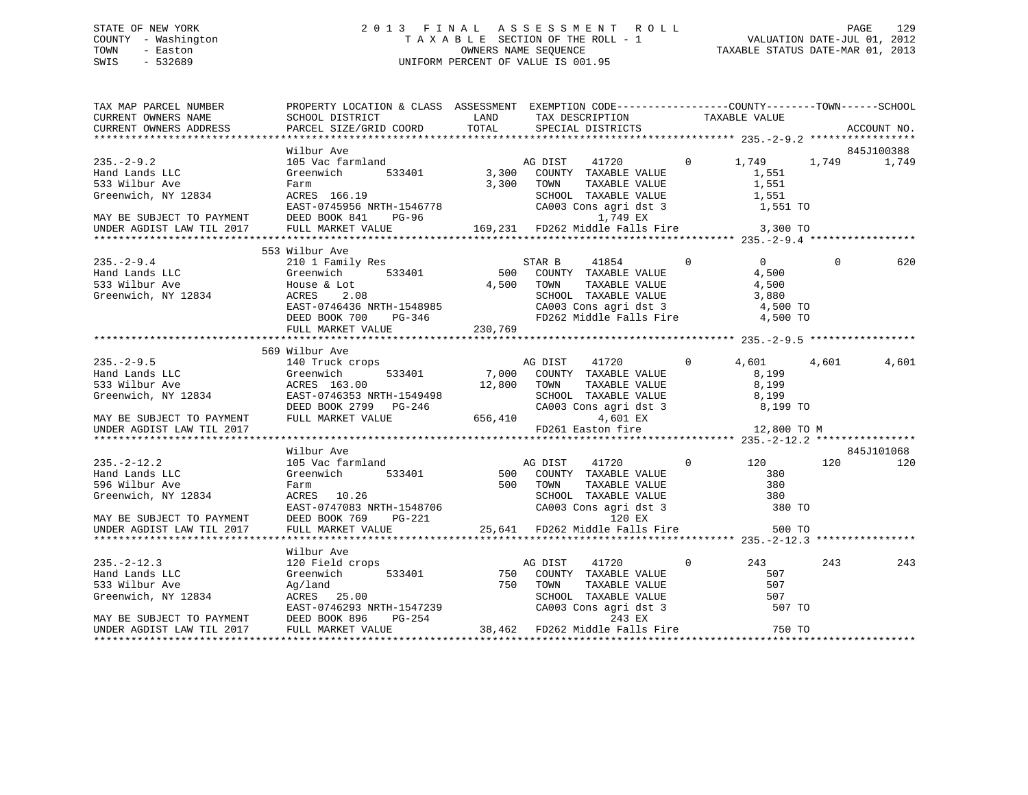# STATE OF NEW YORK 2 0 1 3 F I N A L A S S E S S M E N T R O L L PAGE 129 COUNTY - Washington T A X A B L E SECTION OF THE ROLL - 1 VALUATION DATE-JUL 01, 2012 TOWN - Easton OWNERS NAME SEQUENCE TAXABLE STATUS DATE-MAR 01, 2013 SWIS - 532689 UNIFORM PERCENT OF VALUE IS 001.95

| TAX MAP PARCEL NUMBER              | PROPERTY LOCATION & CLASS ASSESSMENT EXEMPTION CODE-----------------COUNTY--------TOWN------SCHOOL                                                                                                                                                                                                                                                                                                                                                                                                                                                                                                                                                                                                                                                                                                            |          |                                                                                                                                                                                                 |         |       |          |            |
|------------------------------------|---------------------------------------------------------------------------------------------------------------------------------------------------------------------------------------------------------------------------------------------------------------------------------------------------------------------------------------------------------------------------------------------------------------------------------------------------------------------------------------------------------------------------------------------------------------------------------------------------------------------------------------------------------------------------------------------------------------------------------------------------------------------------------------------------------------|----------|-------------------------------------------------------------------------------------------------------------------------------------------------------------------------------------------------|---------|-------|----------|------------|
|                                    |                                                                                                                                                                                                                                                                                                                                                                                                                                                                                                                                                                                                                                                                                                                                                                                                               |          |                                                                                                                                                                                                 |         |       |          |            |
|                                    | Wilbur Ave<br>MAY BE SUBJECT TO PAYMENT<br>EAST-0745956 NRTH-1546778<br>MAY BE SUBJECT TO PAYMENT DEED BOOK 841 PG-96                                                                                                                                                                                                                                                                                                                                                                                                                                                                                                                                                                                                                                                                                         |          | AG DIST 41720 0 1,749 1,749 1,749<br>533401 3,300 COUNTY TAXABLE VALUE<br>$3,300$ TOWN<br>TOWN TAXABLE VALUE 1,551<br>SCHOOL TAXABLE VALUE 1,551<br>CA003 Cons agri dst 3 $1,551$ TO $1,749$ EX |         | 1,551 |          | 845J100388 |
| UNDER AGDIST LAW TIL 2017          | FULL MARKET VALUE                                                                                                                                                                                                                                                                                                                                                                                                                                                                                                                                                                                                                                                                                                                                                                                             |          | 169,231 FD262 Middle Falls Fire 3,300 TO                                                                                                                                                        |         |       |          |            |
|                                    |                                                                                                                                                                                                                                                                                                                                                                                                                                                                                                                                                                                                                                                                                                                                                                                                               |          |                                                                                                                                                                                                 |         |       |          |            |
| $235 - 2 - 9.4$                    | 553 Wilbur Ave<br>WILDUT AVE<br>210 1 Family Res 633401 500 COUNTY TAXABLE VALUE 4,500<br>House & Lot 6533401 4,500 TOWN TAXABLE VALUE 4,500<br>2011 4,500 TOWN TAXABLE VALUE 4,500<br>2011 601 COUNTY TAXABLE VALUE 4,500<br>2011 601 COUNTY TAXABLE VALU<br>$\begin{tabular}{lllllllllllll} \multicolumn{3}{l}{{\footnotesize \begin{tabular}{l} \multicolumn{3}{l}{{\footnotesize \begin{tabular}{l} \multicolumn{3}{l}{{\footnotesize \begin{tabular}{l} \multicolumn{3}{l}{{\footnotesize \begin{tabular}{l} \multicolumn{3}{l}{{\footnotesize \begin{tabular}{l} \multicolumn{3}{l}{{\footnotesize \begin{tabular}{l} \multicolumn{3}{l}{{\footnotesize \begin{tabular}{l} \multicolumn{3}{l}{{\footnotesize \begin{tabular}{l} \multicolumn{3}{l}{{\footnotesize \begin{tabular}{l} \multicolumn{3}{l$ |          |                                                                                                                                                                                                 |         |       | $\Omega$ | 620        |
|                                    | 569 Wilbur Ave                                                                                                                                                                                                                                                                                                                                                                                                                                                                                                                                                                                                                                                                                                                                                                                                |          |                                                                                                                                                                                                 |         |       |          |            |
|                                    | Wilbur Ave<br>140 Truck crops 533401 17,000 COUNTY TAXABLE VALUE<br>Greenwich 533401 12.800 TOWN TAXABLE VALUE 8,199<br>8,199                                                                                                                                                                                                                                                                                                                                                                                                                                                                                                                                                                                                                                                                                 |          |                                                                                                                                                                                                 |         |       | 4,601    | 4,601      |
|                                    |                                                                                                                                                                                                                                                                                                                                                                                                                                                                                                                                                                                                                                                                                                                                                                                                               |          | FD261 Easton fire 12,800 TO M                                                                                                                                                                   |         |       |          |            |
|                                    |                                                                                                                                                                                                                                                                                                                                                                                                                                                                                                                                                                                                                                                                                                                                                                                                               |          |                                                                                                                                                                                                 |         |       |          |            |
|                                    | Wilbur Ave                                                                                                                                                                                                                                                                                                                                                                                                                                                                                                                                                                                                                                                                                                                                                                                                    |          |                                                                                                                                                                                                 |         |       |          | 845J101068 |
| $235. -2 - 12.2$<br>Hand Lands LLC | WIDDIT AVE (105 Vac farmland and the Magnetic Magnetic Section of the Magnetic Section of the Magnetic Section of TAXABLE VALUE 380<br>Farm 500 COUNTY TAXABLE VALUE 380<br>Farm 500 TOWN TAXABLE VALUE 380<br>ACRES 10.26 SCHOOL TA<br>$\begin{tabular}{lllllllllllll} \texttt{596} \text{Wilbur} & \texttt{Ave} & \texttt{Farm} & \texttt{500} & \texttt{TONN} & \texttt{TAXABLE VALUE} & \texttt{380} \\ \texttt{Greenwich, NY 12834} & \texttt{ACRES} & \texttt{10.26} & \texttt{SCHOOL} & \texttt{TAXABLE VALUE} & \texttt{380} \\ & \texttt{EAST-0747083 NRTH-1548706} & \texttt{CAO03 Cons} & \texttt{GAT} & \texttt{det 3} & \texttt{380 TO} \\ & \texttt{MAX BE SUBJECT TO$                                                                                                                          |          |                                                                                                                                                                                                 |         |       | 120      | 120        |
|                                    |                                                                                                                                                                                                                                                                                                                                                                                                                                                                                                                                                                                                                                                                                                                                                                                                               |          |                                                                                                                                                                                                 |         |       |          |            |
| $235. -2 - 12.3$                   | Wilbur Ave<br>120 Field crops                                                                                                                                                                                                                                                                                                                                                                                                                                                                                                                                                                                                                                                                                                                                                                                 |          | AG DIST<br>41720                                                                                                                                                                                | $\circ$ | 243   | 243      | 243        |
| Hand Lands LLC                     | Greenwich<br>$\begin{tabular}{lllllllllllllllllll} \hline 533 & \text{Wilbur} & \text{Ave} & \text{Ag/land} & \text{750} & \text{TOWN} & \text{TAXABLE VALUE} & \text{S07} \\ \hline \text{Greenwich, NY 12834} & \text{ACRES} & 25.00 & \text{SCHOOL TAXABLE VALUE} & 507 \\ \hline \text{EAST}-0746293 NRTH-1547239 & \text{CAO01} & \text{CAO03} & \text{Cons} & \text{agri} & \text{dst} & 3 \\ \text{MAX BE SUBJECT TO PAYMENT} & \text{DEED BOOK $                                                                                                                                                                                                                                                                                                                                                      | 750 TOWN | 533401 750 COUNTY TAXABLE VALUE<br>COUNTI TAANSE VALUE<br>SCHOOL TAXABLE VALUE<br>CA003 Cons agri dst 3 507<br>CA003 Cons agri dst 3 507 TO                                                     |         | 507   |          |            |
|                                    |                                                                                                                                                                                                                                                                                                                                                                                                                                                                                                                                                                                                                                                                                                                                                                                                               |          |                                                                                                                                                                                                 |         |       |          |            |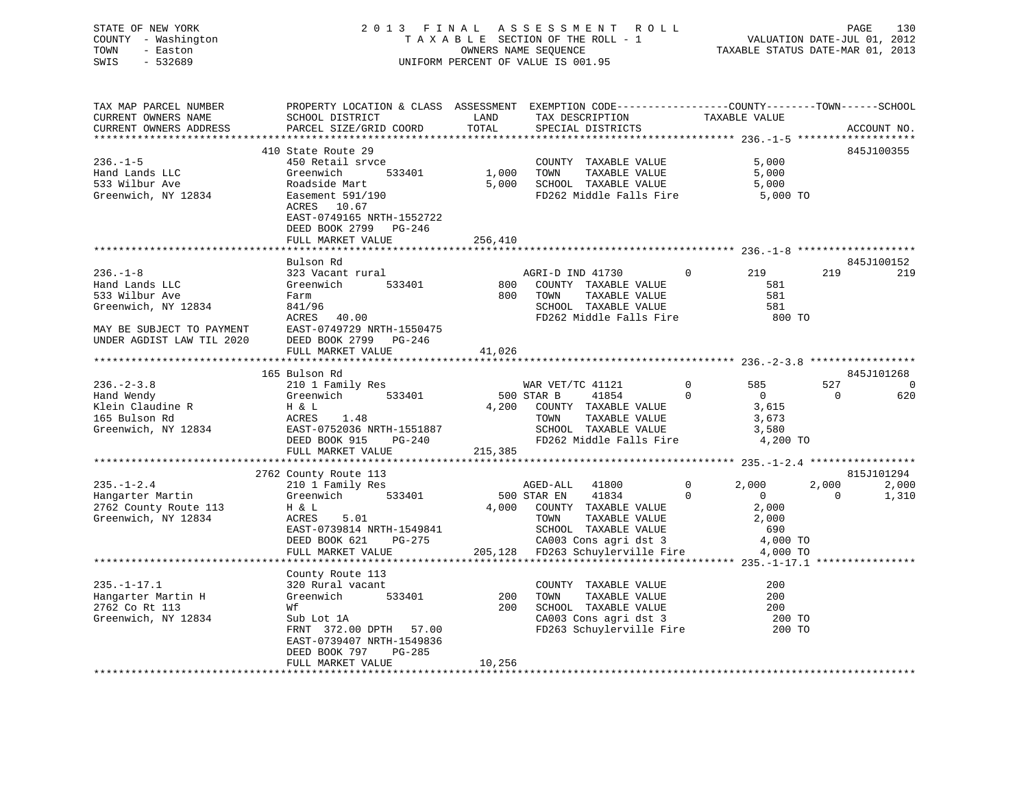# STATE OF NEW YORK 2 0 1 3 F I N A L A S S E S S M E N T R O L L PAGE 130 COUNTY - Washington T A X A B L E SECTION OF THE ROLL - 1 VALUATION DATE-JUL 01, 2012 TOWN - Easton OWNERS NAME SEQUENCE TAXABLE STATUS DATE-MAR 01, 2013 SWIS - 532689 UNIFORM PERCENT OF VALUE IS 001.95

| TAX MAP PARCEL NUMBER<br>CURRENT OWNERS NAME<br>CURRENT OWNERS ADDRESS                                                              | PROPERTY LOCATION & CLASS ASSESSMENT EXEMPTION CODE----------------COUNTY-------TOWN------SCHOOL<br>SCHOOL DISTRICT<br>PARCEL SIZE/GRID COORD                                                | LAND<br>TOTAL                  | TAX DESCRIPTION<br>SPECIAL DISTRICTS                                                                                                                                                      | TAXABLE VALUE                                                                                        | ACCOUNT NO.                   |                       |
|-------------------------------------------------------------------------------------------------------------------------------------|----------------------------------------------------------------------------------------------------------------------------------------------------------------------------------------------|--------------------------------|-------------------------------------------------------------------------------------------------------------------------------------------------------------------------------------------|------------------------------------------------------------------------------------------------------|-------------------------------|-----------------------|
| $236. - 1 - 5$<br>Hand Lands LLC<br>533 Wilbur Ave<br>Greenwich, NY 12834                                                           | 410 State Route 29<br>450 Retail srvce<br>533401<br>Greenwich<br>Roadside Mart<br>Easement 591/190<br>ACRES 10.67<br>EAST-0749165 NRTH-1552722<br>DEED BOOK 2799 PG-246<br>FULL MARKET VALUE | 1,000 TOWN<br>5,000<br>256,410 | COUNTY TAXABLE VALUE<br>TAXABLE VALUE<br>SCHOOL TAXABLE VALUE<br>FD262 Middle Falls Fire 5,000 TO                                                                                         | 5,000<br>5,000<br>5,000                                                                              | 845J100355                    |                       |
| $236. - 1 - 8$<br>Hand Lands LLC<br>533 Wilbur Ave<br>Greenwich, NY 12834<br>MAY BE SUBJECT TO PAYMENT<br>UNDER AGDIST LAW TIL 2020 | Bulson Rd<br>323 Vacant rural<br>Greenwich<br>533401<br>Farm<br>841/96<br>40.00<br>ACRES<br>EAST-0749729 NRTH-1550475<br>DEED BOOK 2799 PG-246<br>FULL MARKET VALUE                          | 800<br>41,026                  | AGRI-D IND 41730 0<br>COUNTY TAXABLE VALUE<br>TAXABLE VALUE<br>800 TOWN<br>SCHOOL TAXABLE VALUE<br>FD262 Middle Falls Fire                                                                | 219<br>581<br>581<br>581<br>800 TO                                                                   | 219                           | 845J100152<br>219     |
|                                                                                                                                     |                                                                                                                                                                                              |                                |                                                                                                                                                                                           |                                                                                                      |                               |                       |
| $236. - 2 - 3.8$<br>Hand Wendy<br>Klein Claudine R<br>165 Bulson Rd<br>Greenwich, NY 12834                                          | 165 Bulson Rd<br>210 1 Family Res<br>533401<br>Greenwich<br>H & L<br>1.48<br>ACRES<br>EAST-0752036 NRTH-1551887<br>DEED BOOK 915<br>PG-240                                                   |                                | WAR VET/TC 41121<br>500 STAR B<br>41854<br>4,200 COUNTY TAXABLE VALUE<br>TOWN<br>TAXABLE VALUE<br>SCHOOL TAXABLE VALUE<br>FD262 Middle Falls Fire                                         | 0<br>585<br>$\Omega$<br>$\overline{0}$<br>3,615<br>3,673<br>3,580<br>4,200 TO                        | 845J101268<br>527<br>$\Omega$ | $\overline{0}$<br>620 |
|                                                                                                                                     | FULL MARKET VALUE                                                                                                                                                                            | 215,385                        |                                                                                                                                                                                           |                                                                                                      |                               |                       |
|                                                                                                                                     | 2762 County Route 113                                                                                                                                                                        |                                |                                                                                                                                                                                           |                                                                                                      |                               | 815J101294            |
| $235. - 1 - 2.4$<br>Hangarter Martin<br>2762 County Route 113<br>Greenwich, NY 12834                                                | 210 1 Family Res<br>533401<br>Greenwich<br>H & L<br>5.01<br>ACRES<br>EAST-0739814 NRTH-1549841<br>DEED BOOK 621<br>PG-275<br>FULL MARKET VALUE                                               |                                | AGED-ALL<br>41800<br>500 STAR EN<br>41834<br>4,000 COUNTY TAXABLE VALUE<br>TOWN      TAXABLE VALUE<br>SCHOOL   TAXABLE VALUE<br>CA003 Cons agri dst 3<br>205,128 FD263 Schuylerville Fire | 2,000<br>$\mathbf{0}$<br>$\Omega$<br>$\overline{0}$<br>2,000<br>2,000<br>690<br>4,000 TO<br>4,000 TO | 2,000<br>$\Omega$             | 2,000<br>1,310        |
|                                                                                                                                     |                                                                                                                                                                                              |                                |                                                                                                                                                                                           |                                                                                                      |                               |                       |
| $235. - 1 - 17.1$<br>Hangarter Martin H<br>2762 Co Rt 113<br>Greenwich, NY 12834                                                    | County Route 113<br>320 Rural vacant<br>533401<br>Greenwich<br>Wf<br>Sub Lot 1A<br>FRNT 372.00 DPTH 57.00<br>EAST-0739407 NRTH-1549836<br>DEED BOOK 797<br>PG-285<br>FULL MARKET VALUE       | 200<br>200<br>10,256           | COUNTY TAXABLE VALUE<br>TOWN<br>TAXABLE VALUE<br>SCHOOL TAXABLE VALUE<br>CA003 Cons agri dst 3<br>FD263 Schuylerville Fire                                                                | 200<br>200<br>200<br>200 TO<br>200 TO                                                                |                               |                       |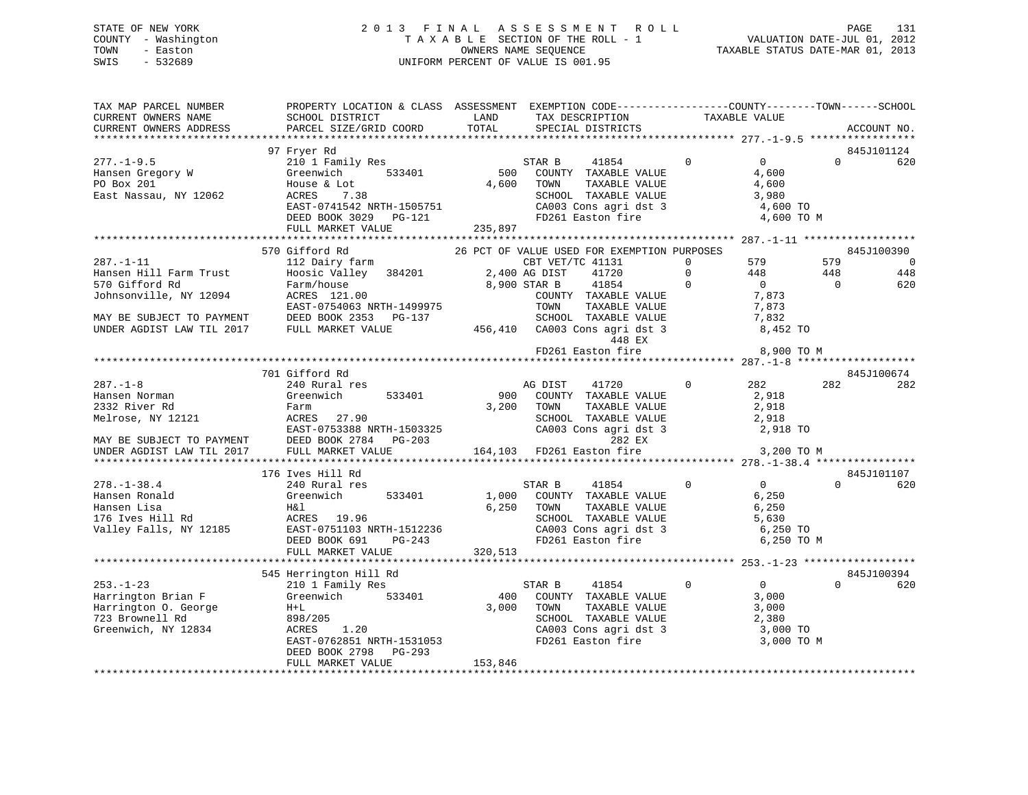# STATE OF NEW YORK 2 0 1 3 F I N A L A S S E S S M E N T R O L L PAGE 131 COUNTY - Washington T A X A B L E SECTION OF THE ROLL - 1 VALUATION DATE-JUL 01, 2012 TOWN - Easton OWNERS NAME SEQUENCE TAXABLE STATUS DATE-MAR 01, 2013 SWIS - 532689 UNIFORM PERCENT OF VALUE IS 001.95

| TAX MAP PARCEL NUMBER<br>CURRENT OWNERS NAME           | PROPERTY LOCATION & CLASS ASSESSMENT EXEMPTION CODE---------------COUNTY-------TOWN-----SCHOOL<br>SCHOOL DISTRICT | LAND          | TAX DESCRIPTION                                        | TAXABLE VALUE                     |          |                |
|--------------------------------------------------------|-------------------------------------------------------------------------------------------------------------------|---------------|--------------------------------------------------------|-----------------------------------|----------|----------------|
| CURRENT OWNERS ADDRESS                                 | PARCEL SIZE/GRID COORD                                                                                            | TOTAL         | SPECIAL DISTRICTS                                      |                                   |          | ACCOUNT NO.    |
|                                                        |                                                                                                                   |               |                                                        |                                   |          |                |
|                                                        | 97 Fryer Rd                                                                                                       |               |                                                        |                                   |          | 845J101124     |
| $277. - 1 - 9.5$                                       | 210 1 Family Res                                                                                                  |               | 41854<br>STAR B                                        | $0 \qquad \qquad$<br>$\mathbf{0}$ | $\Omega$ | 620            |
| Hansen Gregory W                                       | Greenwich<br>533401                                                                                               | 500           | COUNTY TAXABLE VALUE                                   | 4,600                             |          |                |
| PO Box 201                                             | House & Lot                                                                                                       | 4,600         | TAXABLE VALUE<br>TOWN                                  | 4,600                             |          |                |
| East Nassau, NY 12062                                  | ACRES<br>7.38                                                                                                     |               | SCHOOL TAXABLE VALUE                                   | 3,980                             |          |                |
|                                                        | EAST-0741542 NRTH-1505751                                                                                         |               |                                                        | 4,600 TO                          |          |                |
|                                                        | DEED BOOK 3029 PG-121                                                                                             |               | CA003 Cons agri dst 3<br>FD261 Easton fire             | 4,600 TO M                        |          |                |
|                                                        | FULL MARKET VALUE                                                                                                 | 235,897       |                                                        |                                   |          |                |
|                                                        |                                                                                                                   |               |                                                        |                                   |          |                |
|                                                        | 570 Gifford Rd                                                                                                    |               | 26 PCT OF VALUE USED FOR EXEMPTION PURPOSES            |                                   |          | 845J100390     |
| $287. - 1 - 11$                                        | 112 Dairy farm                                                                                                    |               | CBT VET/TC 41131                                       | 579<br>$\Omega$                   | 579      | $\overline{0}$ |
| Hansen Hill Farm Trust                                 | Hoosic Valley 384201                                                                                              | 2,400 AG DIST | 41720                                                  | $\Omega$<br>448                   | 448      | 448            |
| 570 Gifford Rd                                         | Farm/house                                                                                                        |               | 8,900 STAR B<br>41854                                  | $\Omega$<br>$\overline{0}$        | $\Omega$ | 620            |
| Johnsonville, NY 12094                                 | ACRES 121.00                                                                                                      |               | COUNTY TAXABLE VALUE                                   | 7,873                             |          |                |
|                                                        | EAST-0754063 NRTH-1499975                                                                                         |               | TAXABLE VALUE<br>TOWN                                  | 7,873                             |          |                |
|                                                        |                                                                                                                   |               | SCHOOL TAXABLE VALUE                                   | 7,832                             |          |                |
|                                                        | MAY BE SUBJECT TO PAYMENT DEED BOOK 2353 PG-137<br>UNDER AGDIST LAW TIL 2017 FULL MARKET VALUE                    |               | 456,410 CA003 Cons agri dst 3                          | 8,452 TO                          |          |                |
|                                                        |                                                                                                                   |               | 448 EX                                                 |                                   |          |                |
|                                                        |                                                                                                                   |               | FD261 Easton fire                                      | 8,900 TO M                        |          |                |
|                                                        |                                                                                                                   |               |                                                        |                                   |          |                |
|                                                        | 701 Gifford Rd                                                                                                    |               |                                                        |                                   |          | 845J100674     |
| $287. - 1 - 8$                                         | 240 Rural res                                                                                                     |               | AG DIST<br>41720                                       | $\Omega$<br>282                   | 282      | 282            |
| Hansen Norman                                          | Greenwich<br>533401                                                                                               | 900           | COUNTY TAXABLE VALUE                                   | 2,918                             |          |                |
| 2332 River Rd                                          | Farm                                                                                                              | 3,200         | TOWN<br>TAXABLE VALUE                                  | 2,918                             |          |                |
| Melrose, NY 12121                                      | ACRES 27.90                                                                                                       |               | SCHOOL TAXABLE VALUE                                   | 2,918                             |          |                |
|                                                        | EAST-0753388 NRTH-1503325                                                                                         |               | CA003 Cons agri dst 3                                  | 2,918 TO                          |          |                |
|                                                        | DEED BOOK 2784 PG-203                                                                                             |               | 282 EX                                                 |                                   |          |                |
| MAY BE SUBJECT TO PAYMENT<br>UNDER AGDIST LAW TIL 2017 | FULL MARKET VALUE                                                                                                 |               | 164,103 FD261 Easton fire                              | 3,200 TO M                        |          |                |
|                                                        |                                                                                                                   |               |                                                        |                                   |          |                |
|                                                        | 176 Ives Hill Rd                                                                                                  |               |                                                        |                                   |          | 845J101107     |
| $278. - 1 - 38.4$                                      | 240 Rural res                                                                                                     |               | STAR B<br>41854                                        | $\Omega$<br>$0 \qquad \qquad$     | $\Omega$ | 620            |
| Hansen Ronald                                          | 533401<br>Greenwich                                                                                               | 1,000         | COUNTY TAXABLE VALUE                                   | 6,250                             |          |                |
| Hansen Lisa                                            | H&l                                                                                                               | 6,250         | TAXABLE VALUE<br>TOWN                                  | 6,250                             |          |                |
| 176 Ives Hill Rd                                       | ACRES 19.96                                                                                                       |               | SCHOOL TAXABLE VALUE                                   | 5,630                             |          |                |
| Valley Falls, NY 12185                                 | EAST-0751103 NRTH-1512236                                                                                         |               | SCHOOD Increase<br>CA003 Cons agri dst 3<br>- The fire | 6,250 TO                          |          |                |
|                                                        | DEED BOOK 691<br>PG-243                                                                                           |               |                                                        | 6,250 TO M                        |          |                |
|                                                        | FULL MARKET VALUE                                                                                                 | 320,513       |                                                        |                                   |          |                |
|                                                        |                                                                                                                   |               |                                                        |                                   |          |                |
|                                                        | 545 Herrington Hill Rd                                                                                            |               |                                                        |                                   |          | 845J100394     |
| $253. - 1 - 23$                                        | 210 1 Family Res                                                                                                  |               | STAR B<br>41854                                        | $\mathbf 0$<br>$\overline{0}$     | $\Omega$ | 620            |
| Harrington Brian F                                     | Greenwich<br>533401                                                                                               | 400           | COUNTY TAXABLE VALUE                                   | 3,000                             |          |                |
| Harrington O. George                                   | $H+L$                                                                                                             | 3,000         | TAXABLE VALUE<br>TOWN                                  | 3,000                             |          |                |
| 723 Brownell Rd                                        | 898/205                                                                                                           |               | SCHOOL TAXABLE VALUE                                   | 2,380                             |          |                |
| Greenwich, NY 12834                                    | ACRES<br>1.20                                                                                                     |               | CA003 Cons agri dst 3                                  | 3,000 TO                          |          |                |
|                                                        | EAST-0762851 NRTH-1531053                                                                                         |               | FD261 Easton fire                                      | 3,000 TO M                        |          |                |
|                                                        | DEED BOOK 2798<br>PG-293                                                                                          |               |                                                        |                                   |          |                |
|                                                        | FULL MARKET VALUE                                                                                                 | 153,846       |                                                        |                                   |          |                |
|                                                        |                                                                                                                   |               |                                                        |                                   |          |                |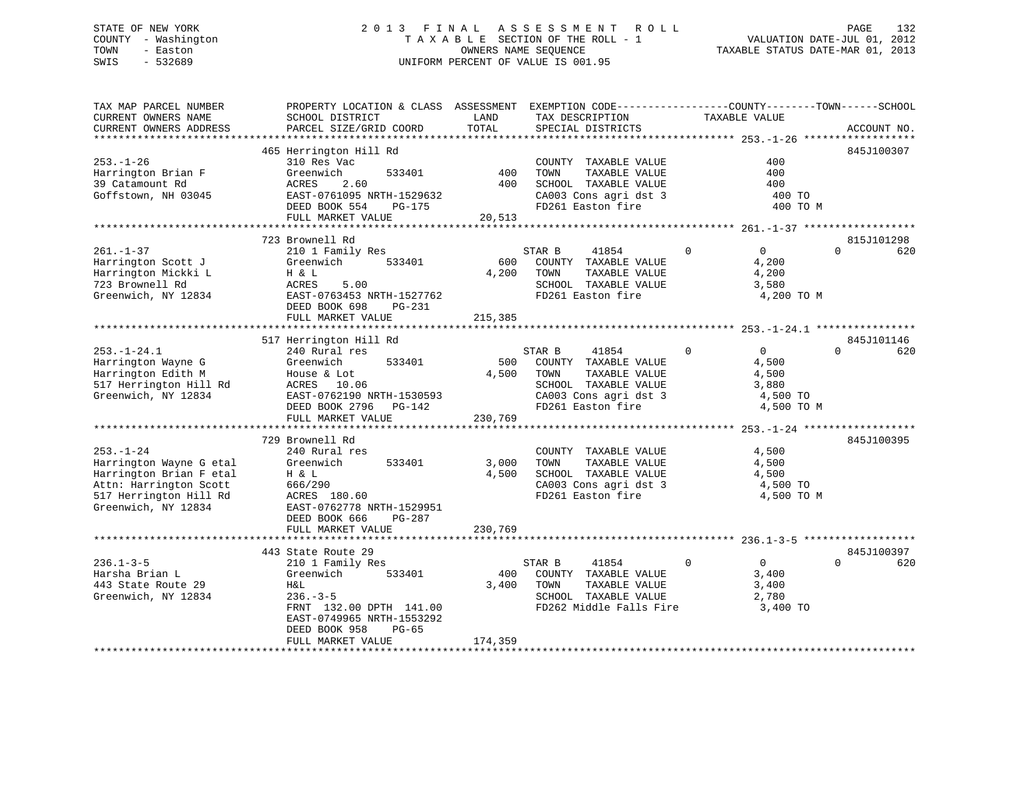# STATE OF NEW YORK 2 0 1 3 F I N A L A S S E S S M E N T R O L L PAGE 132 COUNTY - Washington T A X A B L E SECTION OF THE ROLL - 1 VALUATION DATE-JUL 01, 2012 TOWN - Easton OWNERS NAME SEQUENCE TAXABLE STATUS DATE-MAR 01, 2013 SWIS - 532689 UNIFORM PERCENT OF VALUE IS 001.95

| TAX MAP PARCEL NUMBER<br>CURRENT OWNERS NAME<br>CURRENT OWNERS ADDRESS                                                                           | PROPERTY LOCATION & CLASS ASSESSMENT EXEMPTION CODE----------------COUNTY-------TOWN-----SCHOOL<br>SCHOOL DISTRICT<br>PARCEL SIZE/GRID COORD                                  | LAND<br>TOTAL           | TAX DESCRIPTION<br>SPECIAL DISTRICTS                                                                                                   | TAXABLE VALUE                                                                    | ACCOUNT NO.                   |
|--------------------------------------------------------------------------------------------------------------------------------------------------|-------------------------------------------------------------------------------------------------------------------------------------------------------------------------------|-------------------------|----------------------------------------------------------------------------------------------------------------------------------------|----------------------------------------------------------------------------------|-------------------------------|
|                                                                                                                                                  |                                                                                                                                                                               |                         |                                                                                                                                        |                                                                                  |                               |
| $253. - 1 - 26$<br>Harrington Brian F<br>39 Catamount Rd<br>Goffstown, NH 03045                                                                  | 465 Herrington Hill Rd<br>310 Res Vac<br>533401<br>Greenwich<br>2.60<br>ACRES<br>EAST-0761095 NRTH-1529632<br>DEED BOOK 554<br>PG-175<br>FULL MARKET VALUE                    | 400<br>400<br>20,513    | COUNTY TAXABLE VALUE<br>TOWN<br>TAXABLE VALUE<br>SCHOOL TAXABLE VALUE<br>CA003 Cons agri dst 3<br>FD261 Easton fire                    | 400<br>400<br>400<br>400 TO<br>400 TO M                                          | 845J100307                    |
|                                                                                                                                                  |                                                                                                                                                                               |                         |                                                                                                                                        |                                                                                  |                               |
|                                                                                                                                                  | 723 Brownell Rd                                                                                                                                                               |                         |                                                                                                                                        |                                                                                  | 815J101298                    |
| $261. - 1 - 37$<br>Harrington Scott J<br>Harrington Mickki L<br>723 Brownell Rd<br>Greenwich, NY 12834                                           | 210 1 Family Res<br>Greenwich<br>533401<br>H & L<br>ACRES<br>5.00<br>EAST-0763453 NRTH-1527762<br>DEED BOOK 698<br>PG-231<br>FULL MARKET VALUE                                | 600<br>4,200<br>215,385 | STAR B<br>41854<br>COUNTY TAXABLE VALUE<br>TOWN<br>TAXABLE VALUE<br>SCHOOL TAXABLE VALUE<br>FD261 Easton fire                          | $\mathbf 0$<br>$\overline{0}$<br>4,200<br>4,200<br>3,580<br>4,200 TO M           | $\Omega$<br>620               |
|                                                                                                                                                  |                                                                                                                                                                               |                         |                                                                                                                                        |                                                                                  |                               |
| $253. - 1 - 24.1$<br>Harrington Wayne G<br>Harrington Edith M<br>517 Herrington Hill Rd<br>Greenwich, NY 12834                                   | 517 Herrington Hill Rd<br>240 Rural res<br>Greenwich<br>533401<br>House & Lot<br>ACRES<br>10.06<br>EAST-0762190 NRTH-1530593<br>DEED BOOK 2796<br>PG-142<br>FULL MARKET VALUE | 500<br>4,500<br>230,769 | 41854<br>STAR B<br>COUNTY TAXABLE VALUE<br>TAXABLE VALUE<br>TOWN<br>SCHOOL TAXABLE VALUE<br>CA003 Cons agri dst 3<br>FD261 Easton fire | $\mathbf 0$<br>$\mathbf{0}$<br>4,500<br>4,500<br>3,880<br>4,500 TO<br>4,500 TO M | 845J101146<br>$\Omega$<br>620 |
|                                                                                                                                                  | 729 Brownell Rd                                                                                                                                                               |                         |                                                                                                                                        |                                                                                  | 845J100395                    |
| $253. - 1 - 24$<br>Harrington Wayne G etal<br>Harrington Brian F etal<br>Attn: Harrington Scott<br>517 Herrington Hill Rd<br>Greenwich, NY 12834 | 240 Rural res<br>Greenwich<br>533401<br>H & L<br>666/290<br>ACRES 180.60<br>EAST-0762778 NRTH-1529951<br>DEED BOOK 666<br>$PG-287$                                            | 3,000<br>4,500          | COUNTY TAXABLE VALUE<br>TAXABLE VALUE<br>TOWN<br>SCHOOL TAXABLE VALUE<br>CA003 Cons agri dst 3<br>FD261 Easton fire                    | 4,500<br>4,500<br>4,500<br>4,500 TO<br>4,500 TO M                                |                               |
|                                                                                                                                                  | FULL MARKET VALUE                                                                                                                                                             | 230,769                 |                                                                                                                                        |                                                                                  |                               |
|                                                                                                                                                  | 443 State Route 29                                                                                                                                                            |                         |                                                                                                                                        |                                                                                  | 845J100397                    |
| $236.1 - 3 - 5$<br>Harsha Brian L<br>443 State Route 29<br>Greenwich, NY 12834                                                                   | 210 1 Family Res<br>Greenwich<br>533401<br>Η&L<br>$236. - 3 - 5$<br>FRNT 132.00 DPTH 141.00<br>EAST-0749965 NRTH-1553292<br>DEED BOOK 958<br>$PG-65$<br>FULL MARKET VALUE     | 400<br>3,400<br>174,359 | 41854<br>STAR B<br>COUNTY TAXABLE VALUE<br>TOWN<br>TAXABLE VALUE<br>SCHOOL TAXABLE VALUE<br>FD262 Middle Falls Fire                    | $\Omega$<br>$\Omega$<br>3,400<br>3,400<br>2,780<br>3,400 TO                      | 620<br>$\Omega$               |
|                                                                                                                                                  |                                                                                                                                                                               |                         |                                                                                                                                        |                                                                                  |                               |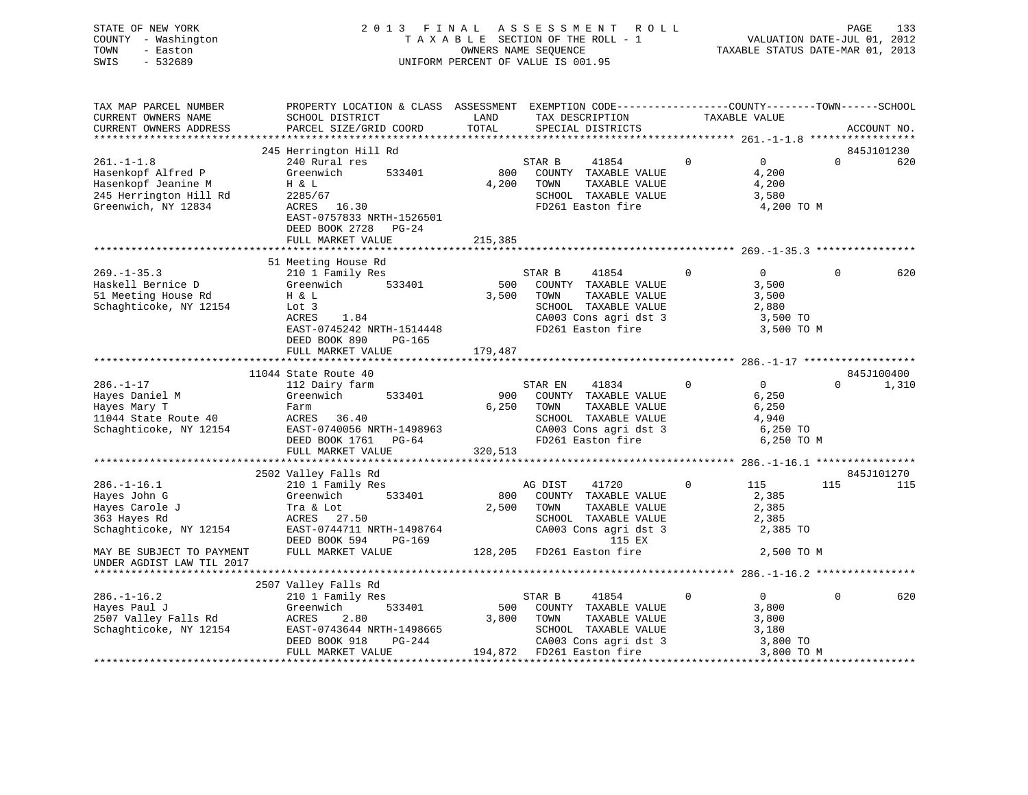| STATE OF NEW YORK   | 2013 FINAL ASSESSMENT ROLL         | 133<br>PAGE                      |
|---------------------|------------------------------------|----------------------------------|
| COUNTY - Washington | TAXABLE SECTION OF THE ROLL - 1    | VALUATION DATE-JUL 01, 2012      |
| TOWN<br>- Easton    | OWNERS NAME SEOUENCE               | TAXABLE STATUS DATE-MAR 01, 2013 |
| - 532689<br>SWIS    | UNIFORM PERCENT OF VALUE IS 001.95 |                                  |
|                     |                                    |                                  |

| TAX MAP PARCEL NUMBER<br>CURRENT OWNERS NAME                                          | PROPERTY LOCATION & CLASS ASSESSMENT EXEMPTION CODE----------------COUNTY-------TOWN------SCHOOL<br>SCHOOL DISTRICT | LAND         | TAX DESCRIPTION                                                                          |             | TAXABLE VALUE                       |          |             |
|---------------------------------------------------------------------------------------|---------------------------------------------------------------------------------------------------------------------|--------------|------------------------------------------------------------------------------------------|-------------|-------------------------------------|----------|-------------|
| CURRENT OWNERS ADDRESS                                                                | PARCEL SIZE/GRID COORD                                                                                              | TOTAL        | SPECIAL DISTRICTS                                                                        |             |                                     |          | ACCOUNT NO. |
|                                                                                       | 245 Herrington Hill Rd                                                                                              |              |                                                                                          |             |                                     |          | 845J101230  |
| $261. -1 -1.8$<br>Hasenkopf Alfred P<br>Hasenkopf Jeanine M<br>245 Herrington Hill Rd | 240 Rural res<br>Greenwich<br>533401<br>H & L<br>2285/67                                                            | 800<br>4,200 | STAR B<br>41854<br>COUNTY TAXABLE VALUE<br>TOWN<br>TAXABLE VALUE<br>SCHOOL TAXABLE VALUE | $\Omega$    | $\Omega$<br>4,200<br>4,200<br>3,580 | $\Omega$ | 620         |
| Greenwich, NY 12834                                                                   | ACRES 16.30<br>EAST-0757833 NRTH-1526501<br>DEED BOOK 2728<br>$PG-24$<br>FULL MARKET VALUE                          | 215,385      | FD261 Easton fire                                                                        |             | 4,200 TO M                          |          |             |
|                                                                                       |                                                                                                                     |              |                                                                                          |             |                                     |          |             |
| $269. - 1 - 35.3$                                                                     | 51 Meeting House Rd<br>210 1 Family Res                                                                             |              | 41854<br>STAR B                                                                          | $\mathbf 0$ | $\overline{0}$                      | $\Omega$ | 620         |
| Haskell Bernice D                                                                     | 533401<br>Greenwich                                                                                                 | 500          | COUNTY TAXABLE VALUE                                                                     |             | 3,500                               |          |             |
| 51 Meeting House Rd                                                                   | H & L                                                                                                               | 3,500        | TOWN<br>TAXABLE VALUE                                                                    |             | 3,500                               |          |             |
| Schaghticoke, NY 12154                                                                | Lot 3                                                                                                               |              | SCHOOL TAXABLE VALUE                                                                     |             | 2,880                               |          |             |
|                                                                                       | 1.84<br>ACRES                                                                                                       |              | CA003 Cons agri dst 3                                                                    |             | 3,500 TO                            |          |             |
|                                                                                       | EAST-0745242 NRTH-1514448                                                                                           |              | FD261 Easton fire                                                                        |             | 3,500 TO M                          |          |             |
|                                                                                       | PG-165<br>DEED BOOK 890                                                                                             |              |                                                                                          |             |                                     |          |             |
|                                                                                       | FULL MARKET VALUE                                                                                                   | 179,487      |                                                                                          |             |                                     |          |             |
|                                                                                       |                                                                                                                     |              |                                                                                          |             |                                     |          |             |
|                                                                                       | 11044 State Route 40                                                                                                |              |                                                                                          |             |                                     |          | 845J100400  |
| $286. - 1 - 17$                                                                       | 112 Dairy farm                                                                                                      |              | 41834<br>STAR EN                                                                         | $\Omega$    | $\overline{0}$                      | $\Omega$ | 1,310       |
| Hayes Daniel M                                                                        | Greenwich<br>533401                                                                                                 | 900          | COUNTY TAXABLE VALUE                                                                     |             | 6,250                               |          |             |
| Hayes Mary T                                                                          | Farm                                                                                                                | 6,250        | TOWN<br>TAXABLE VALUE                                                                    |             | 6,250                               |          |             |
| 11044 State Route 40                                                                  | ACRES<br>36.40                                                                                                      |              | SCHOOL TAXABLE VALUE                                                                     |             | 4,940                               |          |             |
| Schaghticoke, NY 12154                                                                | EAST-0740056 NRTH-1498963<br>DEED BOOK 1761 PG-64                                                                   |              | CA003 Cons agri dst 3<br>FD261 Easton fire                                               |             | 6,250 TO<br>6,250 TO M              |          |             |
|                                                                                       | FULL MARKET VALUE                                                                                                   | 320,513      |                                                                                          |             |                                     |          |             |
|                                                                                       |                                                                                                                     |              |                                                                                          |             |                                     |          |             |
|                                                                                       | 2502 Valley Falls Rd                                                                                                |              |                                                                                          |             |                                     |          | 845J101270  |
| $286. - 1 - 16.1$                                                                     | 210 1 Family Res                                                                                                    |              | AG DIST<br>41720                                                                         | $\mathbf 0$ | 115                                 | 115      | 115         |
| Hayes John G                                                                          | Greenwich<br>533401                                                                                                 | 800          | COUNTY TAXABLE VALUE                                                                     |             | 2,385                               |          |             |
| Hayes Carole J                                                                        | Tra & Lot                                                                                                           | 2,500        | TOWN<br>TAXABLE VALUE                                                                    |             | 2,385                               |          |             |
| 363 Hayes Rd                                                                          | ACRES 27.50                                                                                                         |              | SCHOOL TAXABLE VALUE                                                                     |             | 2,385                               |          |             |
| Schaghticoke, NY 12154                                                                | EAST-0744711 NRTH-1498764<br>DEED BOOK 594<br>PG-169                                                                |              | CA003 Cons agri dst 3<br>115 EX                                                          |             | 2,385 TO                            |          |             |
| MAY BE SUBJECT TO PAYMENT<br>UNDER AGDIST LAW TIL 2017                                | FULL MARKET VALUE                                                                                                   |              | 128,205 FD261 Easton fire                                                                |             | 2,500 TO M                          |          |             |
|                                                                                       |                                                                                                                     |              |                                                                                          |             |                                     |          |             |
|                                                                                       | 2507 Valley Falls Rd                                                                                                |              |                                                                                          |             |                                     |          |             |
| $286. - 1 - 16.2$                                                                     | 210 1 Family Res                                                                                                    |              | 41854<br>STAR B                                                                          | $\Omega$    | $\Omega$                            | $\Omega$ | 620         |
| Hayes Paul J                                                                          | Greenwich<br>533401                                                                                                 | 500          | COUNTY TAXABLE VALUE                                                                     |             | 3,800                               |          |             |
| 2507 Valley Falls Rd                                                                  | ACRES<br>2.80                                                                                                       | 3,800        | TOWN<br>TAXABLE VALUE                                                                    |             | 3,800                               |          |             |
| Schaghticoke, NY 12154                                                                | EAST-0743644 NRTH-1498665<br>DEED BOOK 918<br>PG-244                                                                |              | SCHOOL TAXABLE VALUE                                                                     |             | 3,180                               |          |             |
|                                                                                       | FULL MARKET VALUE                                                                                                   |              | CA003 Cons agri dst 3<br>194,872 FD261 Easton fire                                       |             | 3,800 TO<br>3,800 TO M              |          |             |
|                                                                                       |                                                                                                                     |              |                                                                                          |             |                                     |          |             |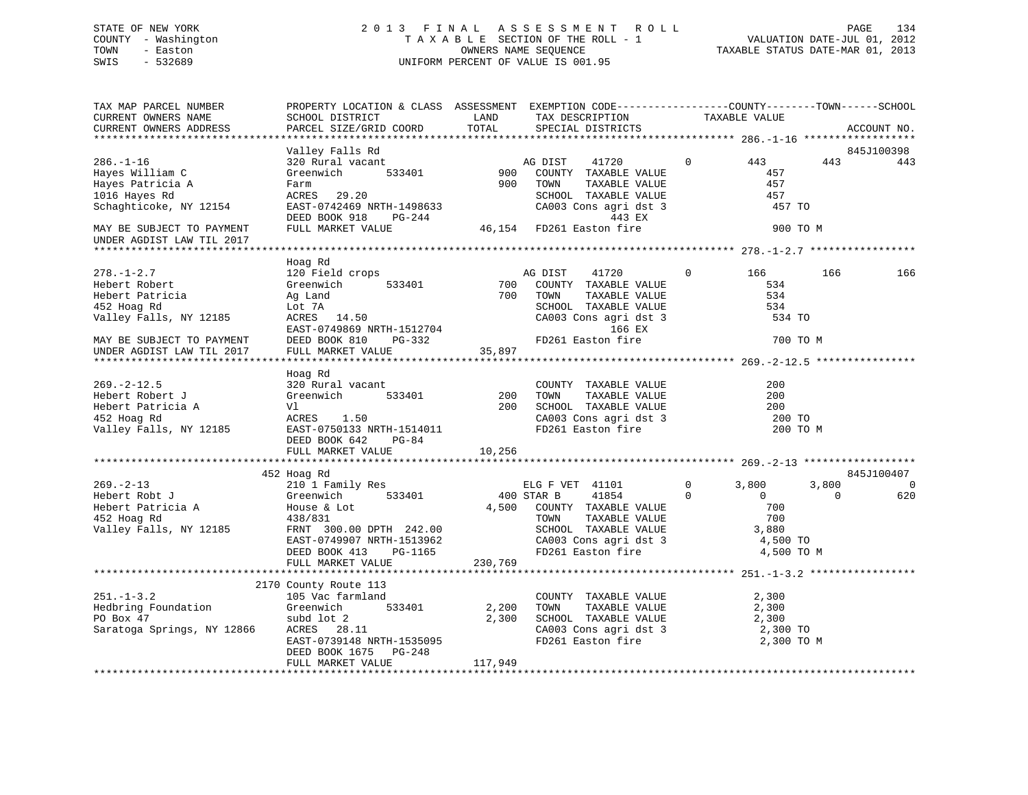# STATE OF NEW YORK 2 0 1 3 F I N A L A S S E S S M E N T R O L L PAGE 134 COUNTY - Washington T A X A B L E SECTION OF THE ROLL - 1 VALUATION DATE-JUL 01, 2012 TOWN - Easton OWNERS NAME SEQUENCE TAXABLE STATUS DATE-MAR 01, 2013 SWIS - 532689 UNIFORM PERCENT OF VALUE IS 001.95

| TAX MAP PARCEL NUMBER<br>CURRENT OWNERS NAME           | PROPERTY LOCATION & CLASS ASSESSMENT EXEMPTION CODE---------------COUNTY-------TOWN------SCHOOL<br>SCHOOL DISTRICT | LAND                |                 | TAX DESCRIPTION                                                                             |                | TAXABLE VALUE     |          |             |
|--------------------------------------------------------|--------------------------------------------------------------------------------------------------------------------|---------------------|-----------------|---------------------------------------------------------------------------------------------|----------------|-------------------|----------|-------------|
| CURRENT OWNERS ADDRESS                                 | PARCEL SIZE/GRID COORD                                                                                             | TOTAL               |                 | SPECIAL DISTRICTS                                                                           |                |                   |          | ACCOUNT NO. |
|                                                        |                                                                                                                    |                     |                 |                                                                                             |                |                   |          |             |
|                                                        | Valley Falls Rd                                                                                                    |                     |                 |                                                                                             |                |                   |          | 845J100398  |
| $286. - 1 - 16$                                        | 320 Rural vacant                                                                                                   |                     | AG DIST         | 41720                                                                                       | $\overline{0}$ | 443               | 443      | 443         |
| Hayes William C                                        | Greenwich<br>533401                                                                                                | $900$ <sup>11</sup> |                 | COUNTY TAXABLE VALUE                                                                        |                | 457               |          |             |
| Hayes Patricia A                                       | Farm                                                                                                               | 900                 | TOWN            | TAXABLE VALUE                                                                               |                | 457               |          |             |
| 1016 Hayes Rd                                          | ACRES 29.20                                                                                                        |                     |                 | SCHOOL TAXABLE VALUE                                                                        |                | 457               |          |             |
| Schaghticoke, NY 12154                                 | EAST-0742469 NRTH-1498633                                                                                          |                     |                 | CA003 Cons agri dst 3                                                                       |                | 457 TO            |          |             |
|                                                        | DEED BOOK 918<br>PG-244                                                                                            |                     |                 | 443 EX                                                                                      |                |                   |          |             |
| MAY BE SUBJECT TO PAYMENT<br>UNDER AGDIST LAW TIL 2017 | FULL MARKET VALUE                                                                                                  |                     |                 | 46,154 FD261 Easton fire                                                                    |                | 900 TO M          |          |             |
|                                                        |                                                                                                                    |                     |                 |                                                                                             |                |                   |          |             |
|                                                        | Hoag Rd                                                                                                            |                     |                 |                                                                                             |                |                   |          |             |
| $278. - 1 - 2.7$                                       | 120 Field crops                                                                                                    |                     |                 |                                                                                             | $\Omega$       | 166 —             | 166      | 166         |
| Hebert Robert                                          | Greenwich<br>533401                                                                                                |                     |                 |                                                                                             |                | 534               |          |             |
| Hebert Patricia                                        | Ag Land                                                                                                            |                     |                 | MG DIST 41720<br>533401 700 COUNTY TAXABLE VALUE<br>700 TOWN TAXABLE VALUE<br>TAXABLE VALUE |                | 534               |          |             |
| 452 Hoag Rd                                            |                                                                                                                    |                     |                 |                                                                                             |                | 534               |          |             |
| Valley Falls, NY 12185                                 |                                                                                                                    |                     |                 | SCHOOL TAXABLE VALUE<br>CA003 Cons agri dst 3                                               |                | 534 TO            |          |             |
|                                                        |                                                                                                                    |                     |                 | 166 EX                                                                                      |                |                   |          |             |
| MAY BE SUBJECT TO PAYMENT                              |                                                                                                                    |                     |                 | FD261 Easton fire                                                                           |                | 700 TO M          |          |             |
| MAY BE SUBJECT TO PAYMENT<br>UNDER AGDIST LAW TIL 2017 |                                                                                                                    |                     |                 |                                                                                             |                |                   |          |             |
|                                                        |                                                                                                                    |                     |                 |                                                                                             |                |                   |          |             |
|                                                        | Hoag Rd                                                                                                            |                     |                 |                                                                                             |                |                   |          |             |
| $269. - 2 - 12.5$                                      | 320 Rural vacant                                                                                                   |                     |                 | COUNTY TAXABLE VALUE                                                                        |                | 200               |          |             |
| Hebert Robert J                                        | Greenwich<br>533401                                                                                                | 200                 | TOWN            | TAXABLE VALUE                                                                               |                | 200               |          |             |
| Hebert Patricia A                                      | Vl                                                                                                                 | 200                 |                 | SCHOOL TAXABLE VALUE                                                                        |                | 200               |          |             |
| 452 Hoag Rd                                            | ACRES 1.50                                                                                                         |                     |                 | CA003 Cons agri dst 3                                                                       |                | 200 TO            |          |             |
| Valley Falls, NY 12185                                 | EAST-0750133 NRTH-1514011                                                                                          |                     |                 | FD261 Easton fire                                                                           |                | 200 TO M          |          |             |
|                                                        | DEED BOOK 642<br>PG-84                                                                                             |                     |                 |                                                                                             |                |                   |          |             |
|                                                        | FULL MARKET VALUE                                                                                                  | 10,256              |                 |                                                                                             |                |                   |          |             |
|                                                        |                                                                                                                    |                     |                 |                                                                                             |                |                   |          |             |
|                                                        | 452 Hoag Rd                                                                                                        |                     |                 |                                                                                             |                |                   |          | 845J100407  |
| $269. - 2 - 13$                                        | 210 1 Family Res                                                                                                   |                     | ELG F VET 41101 |                                                                                             | $\overline{0}$ | 3,800             | 3,800    | 0           |
| Hebert Robt J                                          | 533401                                                                                                             | 400 STAR B          |                 | 41854<br>$\sim$ 0                                                                           |                | $\overline{0}$    | $\Omega$ | 620         |
|                                                        |                                                                                                                    |                     |                 | 4,500 COUNTY TAXABLE VALUE                                                                  |                | 700               |          |             |
| Hebert Patricia A<br>452 Hoag Rd                       | Greenwich<br>House & Lot<br>$438/831$<br>$\qquad 20000$                                                            |                     |                 |                                                                                             |                | 700               |          |             |
| Valley Falls, NY 12185                                 | FRNT 300.00 DPTH 242.00                                                                                            |                     |                 | TOWN      TAXABLE VALUE<br>SCHOOL   TAXABLE VALUE                                           |                | 3,880             |          |             |
|                                                        | EAST-0749907 NRTH-1513962                                                                                          |                     |                 |                                                                                             |                | 4,500 TO          |          |             |
|                                                        | DEED BOOK 413<br>PG-1165                                                                                           |                     |                 | CA003 Cons agri dst 3<br>FD261 Easton fire                                                  |                | 4,500 TO M        |          |             |
|                                                        | FULL MARKET VALUE                                                                                                  | 230,769             |                 |                                                                                             |                |                   |          |             |
|                                                        |                                                                                                                    |                     |                 |                                                                                             |                |                   |          |             |
|                                                        | 2170 County Route 113                                                                                              |                     |                 |                                                                                             |                |                   |          |             |
| $251. - 1 - 3.2$                                       | 105 Vac farmland                                                                                                   |                     |                 | COUNTY TAXABLE VALUE                                                                        |                | 2,300             |          |             |
| Hedbring Foundation                                    | 533401                                                                                                             | 2,200               | TOWN            | TAXABLE VALUE                                                                               |                | 2,300             |          |             |
| PO Box 47                                              | Greenwich<br>subd lot 2<br>subd lot 2                                                                              | 2,300               |                 | SCHOOL TAXABLE VALUE                                                                        |                |                   |          |             |
| Saratoga Springs, NY 12866                             | ACRES 28.11                                                                                                        |                     |                 | CA003 Cons agri dst 3                                                                       |                | 2,300<br>2,300 TO |          |             |
|                                                        | EAST-0739148 NRTH-1535095                                                                                          |                     |                 | FD261 Easton fire                                                                           |                | 2,300 TO M        |          |             |
|                                                        | DEED BOOK 1675 PG-248                                                                                              |                     |                 |                                                                                             |                |                   |          |             |
|                                                        | FULL MARKET VALUE                                                                                                  | 117,949             |                 |                                                                                             |                |                   |          |             |
|                                                        |                                                                                                                    |                     |                 |                                                                                             |                |                   |          |             |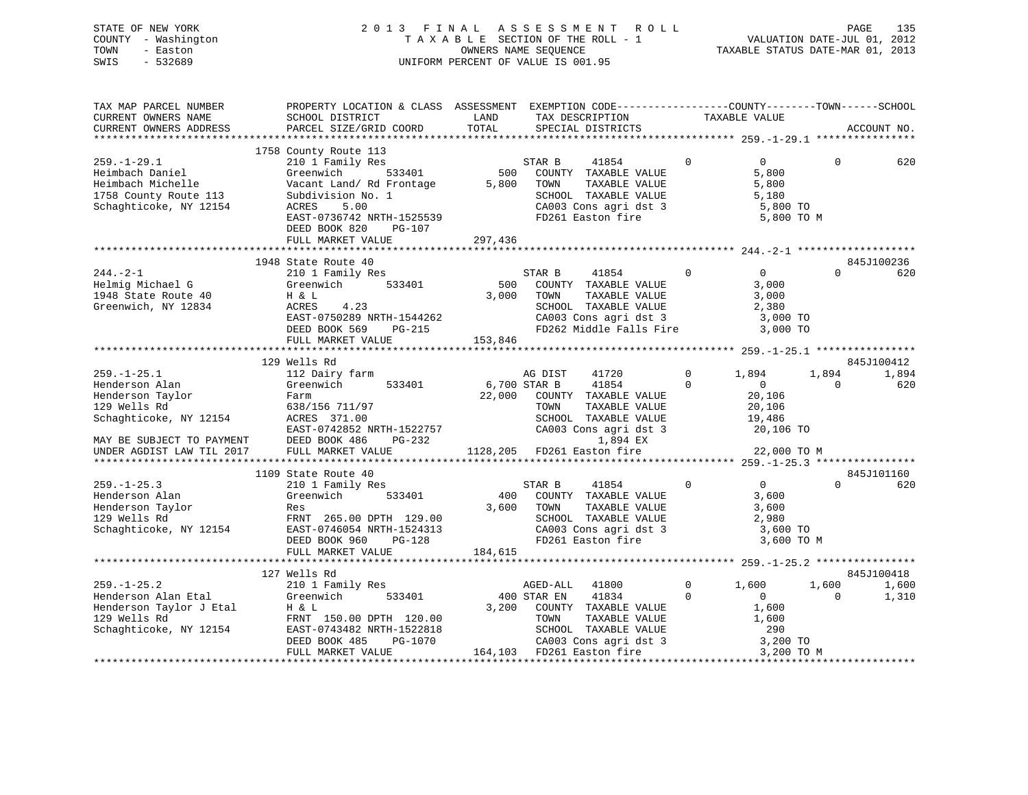| 2013 FINAL ASSESSMENT ROLL<br>STATE OF NEW YORK        | 135<br>PAGE                      |  |
|--------------------------------------------------------|----------------------------------|--|
| COUNTY - Washington<br>TAXABLE SECTION OF THE ROLL - 1 | VALUATION DATE-JUL 01, 2012      |  |
| TOWN<br>OWNERS NAME SEOUENCE<br>- Easton               | TAXABLE STATUS DATE-MAR 01, 2013 |  |
| SWIS<br>UNIFORM PERCENT OF VALUE IS 001.95<br>- 532689 |                                  |  |
|                                                        |                                  |  |

| TAX MAP PARCEL NUMBER<br>CURRENT OWNERS NAME<br>CURRENT OWNERS ADDRESS                                                                                      | PROPERTY LOCATION & CLASS ASSESSMENT EXEMPTION CODE---------------COUNTY-------TOWN-----SCHOOL<br>SCHOOL DISTRICT<br>PARCEL SIZE/GRID COORD                     | LAND<br>TOTAL           | TAX DESCRIPTION<br>SPECIAL DISTRICTS                                                                                                                                           |                         | TAXABLE VALUE                                                                      |                   | ACCOUNT NO.       |
|-------------------------------------------------------------------------------------------------------------------------------------------------------------|-----------------------------------------------------------------------------------------------------------------------------------------------------------------|-------------------------|--------------------------------------------------------------------------------------------------------------------------------------------------------------------------------|-------------------------|------------------------------------------------------------------------------------|-------------------|-------------------|
| $259. - 1 - 29.1$<br>Heimbach Daniel<br>Heimbach Michelle<br>1758 County Route 113<br>Schaghticoke, NY 12154                                                | 1758 County Route 113<br>210 1 Family Res<br>Greenwich<br>533401<br>Vacant Land/ Rd Frontage<br>Subdivision No. 1<br>ACRES<br>5.00<br>EAST-0736742 NRTH-1525539 | 500<br>5,800            | STAR B<br>41854<br>COUNTY TAXABLE VALUE<br>TOWN<br>TAXABLE VALUE<br>SCHOOL TAXABLE VALUE<br>SUNUUL TAXABLE VALUE<br>CA003 Cons agri dst 3<br>FD261 Easton fire                 | $\mathbf 0$             | $\overline{0}$<br>5,800<br>5,800<br>5,180<br>5,800 TO<br>5,800 TO M                | $\Omega$          | 620               |
|                                                                                                                                                             | DEED BOOK 820<br>PG-107<br>FULL MARKET VALUE                                                                                                                    | 297,436                 |                                                                                                                                                                                |                         |                                                                                    |                   |                   |
|                                                                                                                                                             |                                                                                                                                                                 |                         |                                                                                                                                                                                |                         |                                                                                    |                   |                   |
| $244. - 2 - 1$<br>Helmig Michael G<br>1948 State Route 40<br>Greenwich, NY 12834                                                                            | 1948 State Route 40<br>210 1 Family Res<br>Greenwich 533401<br>H & L<br>ACRES<br>4.23<br>EAST-0750289 NRTH-1544262<br>DEED BOOK 569<br>PG-215                   | 500<br>3,000            | STAR B<br>41854<br>COUNTY TAXABLE VALUE<br>TOWN<br>TAXABLE VALUE<br>SCHOOL TAXABLE VALUE<br>CA003 Cons agri dst 3<br>FD262 Middle Falls Fire                                   | $\Omega$                | $\overline{0}$<br>3,000<br>3,000<br>2,380<br>3,000 TO<br>3,000 TO                  | $\Omega$          | 845J100236<br>620 |
|                                                                                                                                                             | FULL MARKET VALUE                                                                                                                                               | 153,846                 |                                                                                                                                                                                |                         |                                                                                    |                   |                   |
|                                                                                                                                                             |                                                                                                                                                                 |                         |                                                                                                                                                                                |                         |                                                                                    |                   |                   |
|                                                                                                                                                             | 129 Wells Rd                                                                                                                                                    |                         |                                                                                                                                                                                |                         |                                                                                    |                   | 845J100412        |
| $259. - 1 - 25.1$<br>Henderson Alan<br>Henderson Taylor<br>129 Wells Rd<br>Schaghticoke, NY 12154<br>MAY BE SUBJECT TO PAYMENT<br>UNDER AGDIST LAW TIL 2017 | 112 Dairy farm<br>533401<br>Greenwich<br>Farm<br>638/156 711/97<br>ACRES 371.00<br>EAST-0742852 NRTH-1522757<br>DEED BOOK 486<br>PG-232<br>FULL MARKET VALUE    | 6,700 STAR B            | AG DIST<br>41720<br>41854<br>22,000 COUNTY TAXABLE VALUE<br>TAXABLE VALUE<br>TOWN<br>SCHOOL TAXABLE VALUE<br>CA003 Cons agri dst 3<br>1,894 EX<br>1128,205 FD261 Easton fire   | $\Omega$<br>0           | 1,894<br>$\overline{0}$<br>20,106<br>20,106<br>19,486<br>20,106 TO<br>22,000 TO M  | 1,894<br>$\Omega$ | 1,894<br>620      |
|                                                                                                                                                             |                                                                                                                                                                 |                         |                                                                                                                                                                                |                         |                                                                                    |                   |                   |
| $259. - 1 - 25.3$<br>Henderson Alan<br>Henderson Taylor<br>129 Wells Rd<br>Schaghticoke, NY 12154                                                           | 1109 State Route 40<br>210 1 Family Res<br>533401<br>Greenwich<br>Res<br>FRNT 265.00 DPTH 129.00<br>EAST-0746054 NRTH-1524313<br>DEED BOOK 960<br>$PG-128$      | 400<br>3,600<br>184,615 | 41854<br>STAR B<br>COUNTY TAXABLE VALUE<br>TOWN<br>TAXABLE VALUE<br>SCHOOL TAXABLE VALUE<br>CA003 Cons agri dst 3<br>FD261 Easton fire                                         | $\Omega$                | $\overline{0}$<br>3,600<br>3,600<br>2,980<br>3,600 TO<br>3,600 TO M                | $\Omega$          | 845J101160<br>620 |
|                                                                                                                                                             | FULL MARKET VALUE                                                                                                                                               |                         |                                                                                                                                                                                |                         |                                                                                    |                   |                   |
|                                                                                                                                                             | 127 Wells Rd                                                                                                                                                    |                         |                                                                                                                                                                                |                         |                                                                                    |                   | 845J100418        |
| $259. - 1 - 25.2$<br>Henderson Alan Etal<br>Henderson Taylor J Etal<br>129 Wells Rd<br>Schaghticoke, NY 12154                                               | 210 1 Family Res<br>533401<br>Greenwich<br>Η & L<br>FRNT 150.00 DPTH 120.00<br>EAST-0743482 NRTH-1522818<br>DEED BOOK 485<br>PG-1070<br>FULL MARKET VALUE       |                         | AGED-ALL<br>41800<br>400 STAR EN<br>41834<br>3,200 COUNTY TAXABLE VALUE<br>TOWN<br>TAXABLE VALUE<br>SCHOOL TAXABLE VALUE<br>CA003 Cons agri dst 3<br>164,103 FD261 Easton fire | $\mathbf 0$<br>$\Omega$ | 1,600<br>$\Omega$<br>1,600<br>1,600<br>290<br>3,200 TO<br>3,200 TO M<br>3,200 TO M | 1,600<br>$\Omega$ | 1,600<br>1,310    |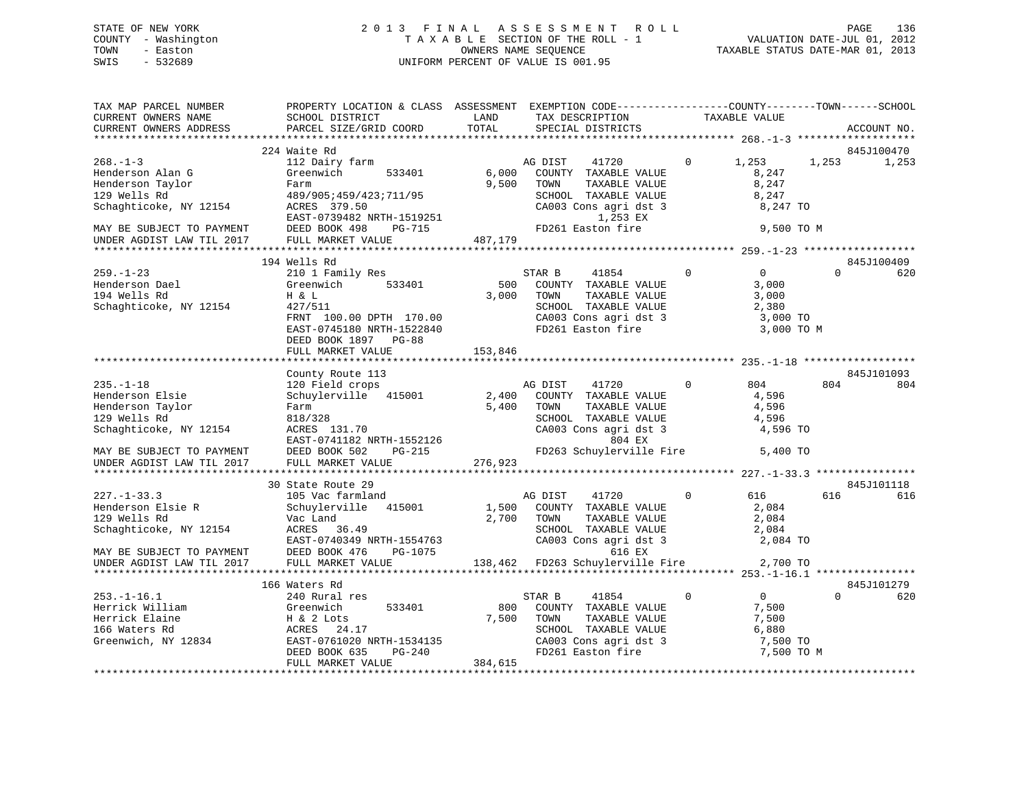# STATE OF NEW YORK 2 0 1 3 F I N A L A S S E S S M E N T R O L L PAGE 136 COUNTY - Washington T A X A B L E SECTION OF THE ROLL - 1 VALUATION DATE-JUL 01, 2012 TOWN - Easton OWNERS NAME SEQUENCE TAXABLE STATUS DATE-MAR 01, 2013 SWIS - 532689 UNIFORM PERCENT OF VALUE IS 001.95

| TAX MAP PARCEL NUMBER<br>CURRENT OWNERS NAME<br>CURRENT OWNERS ADDRESS                                                        | PROPERTY LOCATION & CLASS ASSESSMENT EXEMPTION CODE----------------COUNTY-------TOWN------SCHOOL<br>SCHOOL DISTRICT<br>PARCEL SIZE/GRID COORD | LAND<br>TOTAL  | TAX DESCRIPTION<br>SPECIAL DISTRICTS                                                                                                                  |                | TAXABLE VALUE                                              |          | ACCOUNT NO. |
|-------------------------------------------------------------------------------------------------------------------------------|-----------------------------------------------------------------------------------------------------------------------------------------------|----------------|-------------------------------------------------------------------------------------------------------------------------------------------------------|----------------|------------------------------------------------------------|----------|-------------|
|                                                                                                                               |                                                                                                                                               |                |                                                                                                                                                       |                |                                                            |          |             |
|                                                                                                                               | 224 Waite Rd                                                                                                                                  |                |                                                                                                                                                       |                |                                                            |          | 845J100470  |
| $268. - 1 - 3$<br>Henderson Alan G<br>Henderson Taylor<br>129 Wells Rd<br>Schaghticoke, NY 12154<br>MAY BE SUBJECT TO PAYMENT | 112 Dairy farm<br>Greenwich<br>533401<br>Farm<br>489/905;459/423;711/95<br>ACRES 379.50<br>ACRES 379.30<br>EAST-0739482 NRTH-1519251          | 6,000<br>9,500 | AG DIST<br>41720<br>COUNTY TAXABLE VALUE<br>TAXABLE VALUE<br>TOWN<br>SCHOOL TAXABLE VALUE<br>CA003 Cons agri dst 3<br>1,253 EX<br>FD261 Easton fire   | $\overline{0}$ | 1,253<br>8,247<br>8,247<br>8,247<br>8,247 TO<br>9,500 TO M | 1,253    | 1,253       |
| UNDER AGDIST LAW TIL 2017                                                                                                     | FULL MARKET VALUE                                                                                                                             | 487,179        |                                                                                                                                                       |                |                                                            |          |             |
|                                                                                                                               |                                                                                                                                               |                |                                                                                                                                                       |                |                                                            |          |             |
|                                                                                                                               | 194 Wells Rd                                                                                                                                  |                |                                                                                                                                                       |                |                                                            |          | 845J100409  |
| $259. - 1 - 23$<br>בב ב-259.<br>Henderson Dael<br>הם במ<br>Schaghticoke, NY 12154                                             | 210 1 Family Res<br>533401<br>Greenwich<br>H & L<br>427/511<br>FRNT 100.00 DPTH 170.00<br>EAST-0745180 NRTH-1522840<br>DEED BOOK 1897 PG-88   | 500            | 41854<br>STAR B<br>COUNTY TAXABLE VALUE<br>3,000 TOWN<br>TAXABLE VALUE<br>SCHOOL TAXABLE VALUE<br>CA003 Cons agri dst 3 3,000 TO<br>FD261 Easton fire | $\mathbf 0$    | $\overline{0}$<br>3,000<br>3,000<br>2,380<br>3,000 TO M    | $\Omega$ | 620         |
|                                                                                                                               | FULL MARKET VALUE                                                                                                                             | 153,846        |                                                                                                                                                       |                |                                                            |          |             |
|                                                                                                                               |                                                                                                                                               |                |                                                                                                                                                       |                |                                                            |          |             |
|                                                                                                                               | County Route 113                                                                                                                              |                |                                                                                                                                                       |                |                                                            |          | 845J101093  |
| $235. - 1 - 18$                                                                                                               | 120 Field crops                                                                                                                               |                | AG DIST<br>41720                                                                                                                                      | $\mathbf{0}$   | 804                                                        | 804      | 804         |
| Henderson Elsie                                                                                                               | Schuylerville 415001 2,400                                                                                                                    |                | COUNTY TAXABLE VALUE                                                                                                                                  |                | 4,596                                                      |          |             |
| Henderson Taylor<br>129 Wells Rd                                                                                              | Farm<br>818/328                                                                                                                               | 5,400          | TOWN<br>TAXABLE VALUE<br>SCHOOL TAXABLE VALUE                                                                                                         | 4,596          | 4,596                                                      |          |             |
| Schaghticoke, NY 12154                                                                                                        | ACRES 131.70                                                                                                                                  |                | CA003 Cons agri dst 3<br>804 EX                                                                                                                       |                | 4,596 TO                                                   |          |             |
| MAY BE SUBJECT TO PAYMENT                                                                                                     | ACRES 131.70<br>EAST-0741182 NRTH-1552126<br>DEED BOOK 502 PG-215<br>FULL MARKET VALUE 276,923                                                |                | FD263 Schuylerville Fire 5,400 TO                                                                                                                     |                |                                                            |          |             |
| UNDER AGDIST LAW TIL 2017                                                                                                     |                                                                                                                                               |                |                                                                                                                                                       |                |                                                            |          |             |
|                                                                                                                               | 30 State Route 29                                                                                                                             |                |                                                                                                                                                       |                |                                                            |          | 845J101118  |
| $227. - 1 - 33.3$                                                                                                             | 105 Vac farmland                                                                                                                              |                | 41720<br>AG DIST                                                                                                                                      | $\Omega$       | 616                                                        | 616      | 616         |
| Henderson Elsie R<br>129 Wells Rd<br>129 Wells Rd<br>Schaghticoke, NY 12154<br>MAY BE SUBJECT TO PAYMENT                      | Schuylerville 415001<br>Vac Land<br>ACRES 36.49<br>EAST-0740349 NRTH-1554763<br>DEED BOOK 476 PG-1075<br>DEED BOOK 476<br>PG-1075             |                | 1,500 COUNTY TAXABLE VALUE<br>2,700 TOWN<br>TOWN TAXABLE VALUE<br>SCHOOL TAXABLE VALUE<br>2,084 TO<br>2,084 TO<br>2,084 TO                            |                | 2,084                                                      |          |             |
| UNDER AGDIST LAW TIL 2017                                                                                                     | FULL MARKET VALUE                                                                                                                             |                | 138,462 FD263 Schuylerville Fire                                                                                                                      |                | 2,700 TO                                                   |          |             |
|                                                                                                                               |                                                                                                                                               |                |                                                                                                                                                       |                |                                                            |          |             |
|                                                                                                                               | 166 Waters Rd                                                                                                                                 |                |                                                                                                                                                       |                |                                                            |          | 845J101279  |
| $253. - 1 - 16.1$                                                                                                             | 240 Rural res                                                                                                                                 |                | STAR B<br>41854                                                                                                                                       | $\mathbf 0$    | $\overline{0}$                                             | $\Omega$ | 620         |
| Herrick William                                                                                                               | Greenwich<br>533401                                                                                                                           | 800            | COUNTY TAXABLE VALUE                                                                                                                                  |                | 7,500                                                      |          |             |
| Herrick Elaine                                                                                                                | H & 2 Lots<br>ACRES 24.17                                                                                                                     | 7,500          | TOWN<br>TAXABLE VALUE                                                                                                                                 |                | 7,500                                                      |          |             |
| 166 Waters Rd                                                                                                                 |                                                                                                                                               |                |                                                                                                                                                       |                | 6,880                                                      |          |             |
|                                                                                                                               | Greenwich, NY 12834<br>EAST-0761020 NRTH-1534135<br>DEED BOOK 635 PG-240<br>FULL MARKET VALUE                                                 | 384,615        | SCHOOL TAXABLE VALUE<br>CA003 Cons agri dst 3<br>FD261 Easton fire                                                                                    |                | 7,500 TO<br>7,500 TO M                                     |          |             |
|                                                                                                                               |                                                                                                                                               |                |                                                                                                                                                       |                |                                                            |          |             |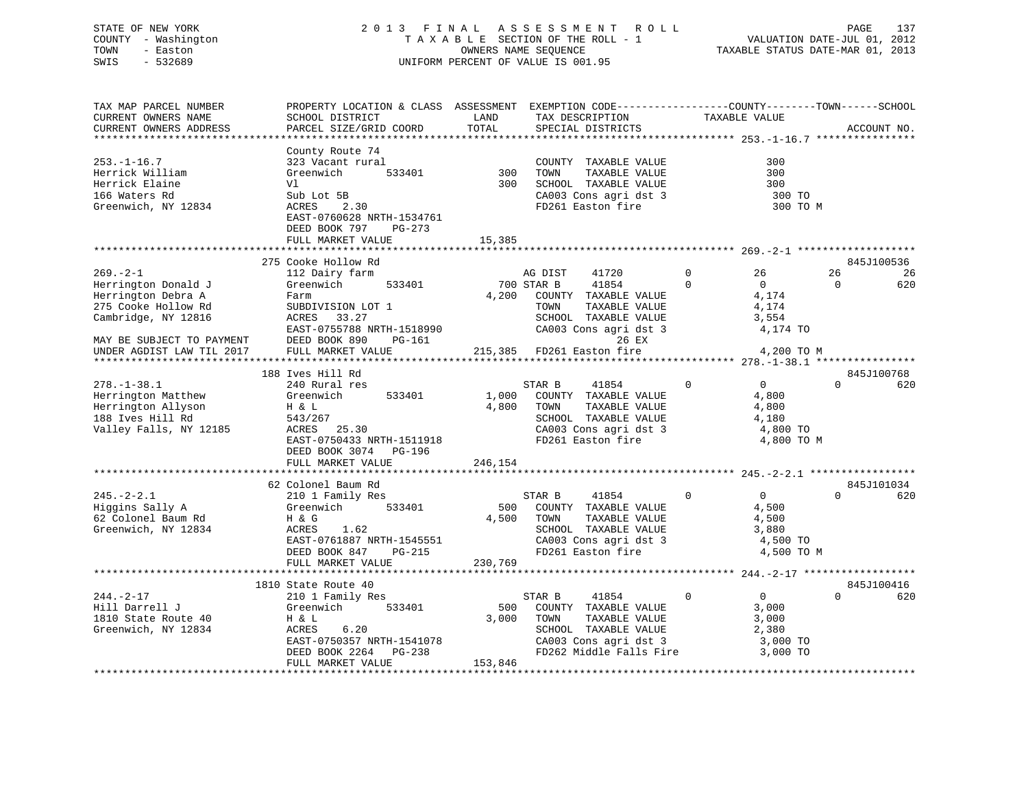# STATE OF NEW YORK 2 0 1 3 F I N A L A S S E S S M E N T R O L L PAGE 137 COUNTY - Washington T A X A B L E SECTION OF THE ROLL - 1 VALUATION DATE-JUL 01, 2012 TOWN - Easton OWNERS NAME SEQUENCE TAXABLE STATUS DATE-MAR 01, 2013 SWIS - 532689 UNIFORM PERCENT OF VALUE IS 001.95

| TAX MAP PARCEL NUMBER<br>CURRENT OWNERS NAME<br>CURRENT OWNERS ADDRESS                                                                 | PROPERTY LOCATION & CLASS ASSESSMENT EXEMPTION CODE---------------COUNTY-------TOWN------SCHOOL<br>SCHOOL DISTRICT<br>PARCEL SIZE/GRID COORD                                 | LAND<br>TOTAL             | TAX DESCRIPTION<br>SPECIAL DISTRICTS                                                                                                               | TAXABLE VALUE                                                                          | ACCOUNT NO.                                   |
|----------------------------------------------------------------------------------------------------------------------------------------|------------------------------------------------------------------------------------------------------------------------------------------------------------------------------|---------------------------|----------------------------------------------------------------------------------------------------------------------------------------------------|----------------------------------------------------------------------------------------|-----------------------------------------------|
|                                                                                                                                        |                                                                                                                                                                              |                           |                                                                                                                                                    |                                                                                        |                                               |
| $253. - 1 - 16.7$<br>Herrick William<br>Herrick Elaine<br>166 Waters Rd<br>Greenwich, NY 12834                                         | County Route 74<br>323 Vacant rural<br>Greenwich<br>533401<br>Vl<br>Sub Lot 5B<br>ACRES<br>2.30<br>EAST-0760628 NRTH-1534761<br>DEED BOOK 797<br>PG-273<br>FULL MARKET VALUE | 300<br>300<br>15,385      | COUNTY TAXABLE VALUE<br>TOWN<br>TAXABLE VALUE<br>SCHOOL TAXABLE VALUE<br>CA003 Cons agri dst 3<br>FD261 Easton fire                                | 300<br>300<br>300<br>300 TO<br>300 TO M                                                |                                               |
|                                                                                                                                        |                                                                                                                                                                              |                           |                                                                                                                                                    |                                                                                        |                                               |
| $269. - 2 - 1$<br>Herrington Donald J<br>Herrington Debra A<br>275 Cooke Hollow Rd<br>Cambridge, NY 12816<br>MAY BE SUBJECT TO PAYMENT | 275 Cooke Hollow Rd<br>112 Dairy farm<br>533401<br>Greenwich<br>Farm<br>SUBDIVISION LOT 1<br>ACRES<br>33.27<br>EAST-0755788 NRTH-1518990<br>DEED BOOK 890<br>PG-161          | 4,200                     | AG DIST<br>41720<br>700 STAR B<br>41854<br>COUNTY TAXABLE VALUE<br>TOWN<br>TAXABLE VALUE<br>SCHOOL TAXABLE VALUE<br>CA003 Cons agri dst 3<br>26 EX | $\mathbf 0$<br>26<br>$\Omega$<br>$\overline{0}$<br>4,174<br>4,174<br>3,554<br>4,174 TO | 845J100536<br>26<br>-26<br>$\mathbf 0$<br>620 |
| UNDER AGDIST LAW TIL 2017                                                                                                              | FULL MARKET VALUE                                                                                                                                                            |                           | 215,385 FD261 Easton fire                                                                                                                          | 4,200 TO M                                                                             |                                               |
|                                                                                                                                        |                                                                                                                                                                              |                           |                                                                                                                                                    |                                                                                        |                                               |
| $278. - 1 - 38.1$<br>Herrington Matthew<br>Herrington Allyson<br>188 Ives Hill Rd<br>Valley Falls, NY 12185                            | 188 Ives Hill Rd<br>240 Rural res<br>533401<br>Greenwich<br>H & L<br>543/267<br>ACRES 25.30<br>EAST-0750433 NRTH-1511918<br>DEED BOOK 3074 PG-196<br>FULL MARKET VALUE       | 1,000<br>4,800<br>246,154 | STAR B<br>41854<br>COUNTY TAXABLE VALUE<br>TOWN<br>TAXABLE VALUE<br>SCHOOL TAXABLE VALUE<br>CA003 Cons agri dst 3<br>FD261 Easton fire             | $\overline{0}$<br>$\Omega$<br>4,800<br>4,800<br>4,180<br>4,800 TO<br>4,800 TO M        | 845J100768<br>$\Omega$<br>620                 |
|                                                                                                                                        |                                                                                                                                                                              |                           |                                                                                                                                                    |                                                                                        |                                               |
| $245. - 2 - 2.1$<br>Higgins Sally A<br>62 Colonel Baum Rd<br>Greenwich, NY 12834                                                       | 62 Colonel Baum Rd<br>210 1 Family Res<br>533401<br>Greenwich<br>H & G<br>ACRES<br>1.62<br>EAST-0761887 NRTH-1545551                                                         | 500<br>4,500              | 41854<br>STAR B<br>COUNTY TAXABLE VALUE<br>TOWN<br>TAXABLE VALUE<br>SCHOOL TAXABLE VALUE<br>CA003 Cons agri dst 3                                  | $\Omega$<br>$\overline{0}$<br>4,500<br>4,500<br>3,880<br>4,500 TO                      | 845J101034<br>$\Omega$<br>620                 |
|                                                                                                                                        | DEED BOOK 847<br>PG-215<br>FULL MARKET VALUE                                                                                                                                 | 230,769                   | FD261 Easton fire                                                                                                                                  | 4,500 TO M                                                                             |                                               |
|                                                                                                                                        | 1810 State Route 40                                                                                                                                                          |                           |                                                                                                                                                    |                                                                                        | 845J100416                                    |
| $244. - 2 - 17$<br>Hill Darrell J<br>1810 State Route 40<br>Greenwich, NY 12834                                                        | 210 1 Family Res<br>533401<br>Greenwich<br>H & L<br>6.20<br>ACRES<br>EAST-0750357 NRTH-1541078<br>DEED BOOK 2264 PG-238<br>FULL MARKET VALUE                                 | 500<br>3,000<br>153,846   | 41854<br>STAR B<br>COUNTY TAXABLE VALUE<br>TOWN<br>TAXABLE VALUE<br>SCHOOL TAXABLE VALUE<br>CA003 Cons agri dst 3<br>FD262 Middle Falls Fire       | $\Omega$<br>$\overline{0}$<br>3,000<br>3,000<br>2,380<br>3,000 TO<br>3,000 TO          | $\Omega$<br>620                               |
|                                                                                                                                        |                                                                                                                                                                              |                           |                                                                                                                                                    |                                                                                        |                                               |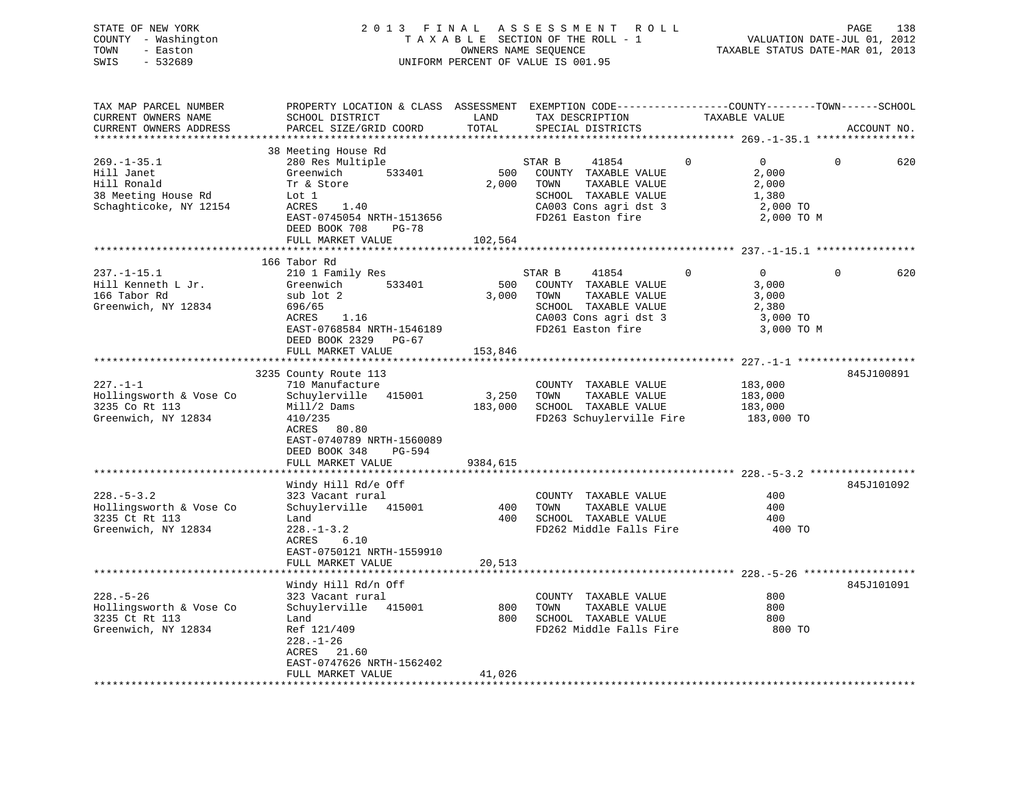| STATE OF NEW YORK   | 2013 FINAL ASSESSMENT ROLL         | 138<br>PAGE                      |
|---------------------|------------------------------------|----------------------------------|
| COUNTY - Washington | TAXABLE SECTION OF THE ROLL - 1    | VALUATION DATE-JUL 01, 2012      |
| TOWN<br>- Easton    | OWNERS NAME SEOUENCE               | TAXABLE STATUS DATE-MAR 01, 2013 |
| SWIS<br>- 532689    | UNIFORM PERCENT OF VALUE IS 001.95 |                                  |
|                     |                                    |                                  |

| TAX MAP PARCEL NUMBER   | PROPERTY LOCATION & CLASS ASSESSMENT EXEMPTION CODE---------------COUNTY-------TOWN-----SCHOOL |          |                                     |             |                |          |             |
|-------------------------|------------------------------------------------------------------------------------------------|----------|-------------------------------------|-------------|----------------|----------|-------------|
| CURRENT OWNERS NAME     | SCHOOL DISTRICT                                                                                | LAND     | TAX DESCRIPTION                     |             | TAXABLE VALUE  |          |             |
| CURRENT OWNERS ADDRESS  | PARCEL SIZE/GRID COORD                                                                         | TOTAL    | SPECIAL DISTRICTS                   |             |                |          | ACCOUNT NO. |
|                         |                                                                                                |          |                                     |             |                |          |             |
|                         | 38 Meeting House Rd                                                                            |          |                                     |             |                |          |             |
|                         |                                                                                                |          |                                     |             |                |          |             |
| $269. - 1 - 35.1$       | 280 Res Multiple                                                                               |          | STAR B<br>41854                     | $\Omega$    | $\overline{0}$ | $\Omega$ | 620         |
| Hill Janet              | 533401<br>Greenwich                                                                            | 500      | COUNTY TAXABLE VALUE                |             | 2,000          |          |             |
| Hill Ronald             | Tr & Store                                                                                     | 2,000    | TOWN<br>TAXABLE VALUE               |             | 2,000          |          |             |
| 38 Meeting House Rd     | Lot 1                                                                                          |          | SCHOOL TAXABLE VALUE                |             | 1,380          |          |             |
| Schaghticoke, NY 12154  | ACRES<br>1.40                                                                                  |          | CA003 Cons agri dst 3               |             | 2,000 TO       |          |             |
|                         | EAST-0745054 NRTH-1513656                                                                      |          | FD261 Easton fire                   |             | 2,000 TO M     |          |             |
|                         | DEED BOOK 708<br>PG-78                                                                         |          |                                     |             |                |          |             |
|                         | FULL MARKET VALUE                                                                              | 102,564  |                                     |             |                |          |             |
|                         |                                                                                                |          |                                     |             |                |          |             |
|                         |                                                                                                |          |                                     |             |                |          |             |
|                         | 166 Tabor Rd                                                                                   |          |                                     |             |                |          |             |
| $237. - 1 - 15.1$       | 210 1 Family Res                                                                               |          | STAR B<br>41854                     | $\mathbf 0$ | $\overline{0}$ | $\Omega$ | 620         |
| Hill Kenneth L Jr.      | 533401<br>Greenwich                                                                            | 500      | COUNTY TAXABLE VALUE                |             | 3,000          |          |             |
| 166 Tabor Rd            | sub lot 2                                                                                      | 3,000    | TOWN<br>TAXABLE VALUE               |             | 3,000          |          |             |
| Greenwich, NY 12834     | 696/65                                                                                         |          | SCHOOL TAXABLE VALUE                |             | 2,380          |          |             |
|                         | ACRES<br>1.16                                                                                  |          | CA003 Cons agri dst 3               |             | 3,000 TO       |          |             |
|                         | EAST-0768584 NRTH-1546189                                                                      |          | FD261 Easton fire                   |             | 3,000 TO M     |          |             |
|                         | DEED BOOK 2329 PG-67                                                                           |          |                                     |             |                |          |             |
|                         |                                                                                                |          |                                     |             |                |          |             |
|                         | FULL MARKET VALUE                                                                              | 153,846  |                                     |             |                |          |             |
|                         |                                                                                                |          |                                     |             |                |          |             |
|                         | 3235 County Route 113                                                                          |          |                                     |             |                |          | 845J100891  |
| $227. - 1 - 1$          | 710 Manufacture                                                                                |          | COUNTY TAXABLE VALUE                |             | 183,000        |          |             |
| Hollingsworth & Vose Co | Schuylerville 415001                                                                           | 3,250    | TOWN<br>TAXABLE VALUE               |             | 183,000        |          |             |
| 3235 Co Rt 113          | Mill/2 Dams                                                                                    | 183,000  | SCHOOL TAXABLE VALUE                |             | 183,000        |          |             |
| Greenwich, NY 12834     | 410/235                                                                                        |          | FD263 Schuylerville Fire 183,000 TO |             |                |          |             |
|                         | ACRES 80.80                                                                                    |          |                                     |             |                |          |             |
|                         | EAST-0740789 NRTH-1560089                                                                      |          |                                     |             |                |          |             |
|                         | DEED BOOK 348<br>PG-594                                                                        |          |                                     |             |                |          |             |
|                         |                                                                                                |          |                                     |             |                |          |             |
|                         | FULL MARKET VALUE                                                                              | 9384,615 |                                     |             |                |          |             |
|                         |                                                                                                |          |                                     |             |                |          |             |
|                         | Windy Hill Rd/e Off                                                                            |          |                                     |             |                |          | 845J101092  |
| $228. - 5 - 3.2$        | 323 Vacant rural                                                                               |          | COUNTY TAXABLE VALUE                |             | 400            |          |             |
| Hollingsworth & Vose Co | Schuylerville 415001                                                                           | 400      | TAXABLE VALUE<br>TOWN               |             | 400            |          |             |
| 3235 Ct Rt 113          | Land                                                                                           | 400      | SCHOOL TAXABLE VALUE                |             | 400            |          |             |
| Greenwich, NY 12834     | $228. - 1 - 3.2$                                                                               |          | FD262 Middle Falls Fire             |             | 400 TO         |          |             |
|                         | 6.10<br>ACRES                                                                                  |          |                                     |             |                |          |             |
|                         | EAST-0750121 NRTH-1559910                                                                      |          |                                     |             |                |          |             |
|                         |                                                                                                |          |                                     |             |                |          |             |
|                         | FULL MARKET VALUE                                                                              | 20,513   |                                     |             |                |          |             |
|                         |                                                                                                |          |                                     |             |                |          |             |
|                         | Windy Hill Rd/n Off                                                                            |          |                                     |             |                |          | 845J101091  |
| $228. - 5 - 26$         | 323 Vacant rural                                                                               |          | COUNTY TAXABLE VALUE                |             | 800            |          |             |
| Hollingsworth & Vose Co | Schuylerville 415001                                                                           |          | 800 TOWN<br>TAXABLE VALUE           |             | 800            |          |             |
| 3235 Ct Rt 113          | Land                                                                                           |          | 800 SCHOOL TAXABLE VALUE            |             | 800            |          |             |
| Greenwich, NY 12834     | Ref 121/409                                                                                    |          | FD262 Middle Falls Fire             |             | 800 TO         |          |             |
|                         | $228. - 1 - 26$                                                                                |          |                                     |             |                |          |             |
|                         | ACRES<br>21.60                                                                                 |          |                                     |             |                |          |             |
|                         |                                                                                                |          |                                     |             |                |          |             |
|                         | EAST-0747626 NRTH-1562402                                                                      |          |                                     |             |                |          |             |
|                         | FULL MARKET VALUE                                                                              | 41,026   |                                     |             |                |          |             |
|                         |                                                                                                |          |                                     |             |                |          |             |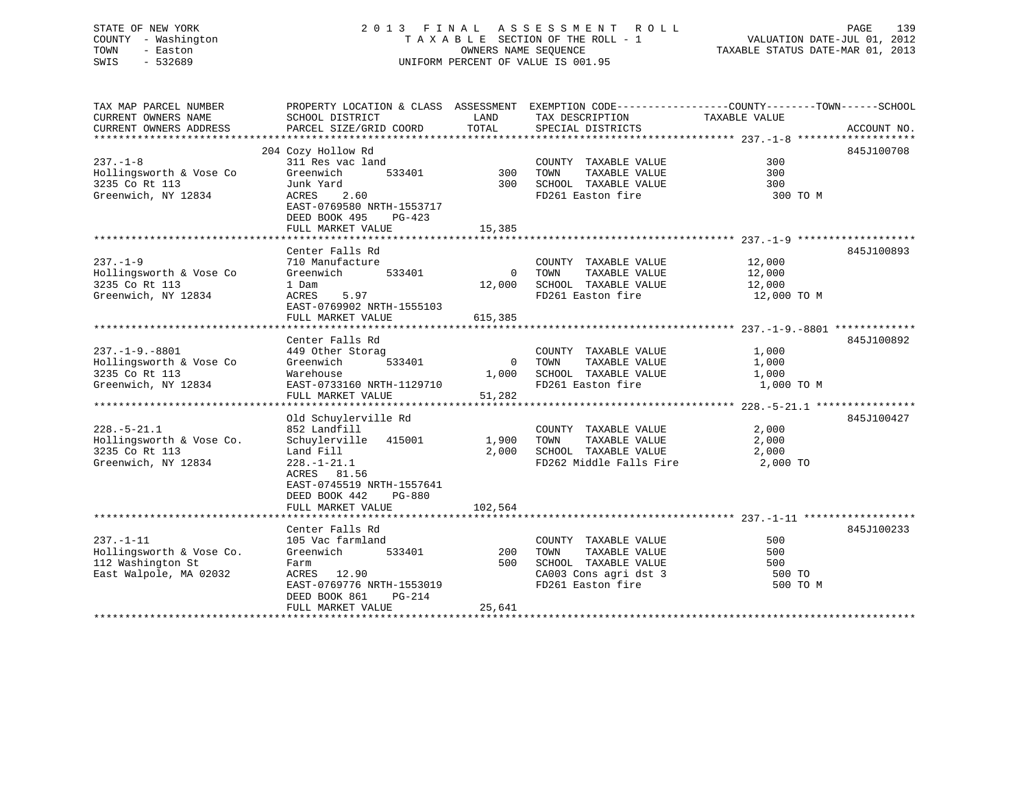# STATE OF NEW YORK 2013 FINAL ASSESSMENT ROLL PAGE 139 COUNTY - Washington  $\begin{array}{ccc}\n\text{T A X A B L E} & \text{SECTION OF THE ROLL - 1} \\
\text{T} & \text{N} & \text{N} & \text{N} \\
\text{N} & \text{S} & \text{N} & \text{N} \\
\end{array}$ SWIS - 532689 UNIFORM PERCENT OF VALUE IS 001.95

VALUATION DATE-JUL 01, 2012

TAXABLE STATUS DATE-MAR 01, 2013

| TAX MAP PARCEL NUMBER                         | PROPERTY LOCATION & CLASS ASSESSMENT EXEMPTION CODE---------------COUNTY-------TOWN-----SCHOOL  |               |                                      |               |             |
|-----------------------------------------------|-------------------------------------------------------------------------------------------------|---------------|--------------------------------------|---------------|-------------|
| CURRENT OWNERS NAME<br>CURRENT OWNERS ADDRESS | SCHOOL DISTRICT<br>PARCEL SIZE/GRID COORD                                                       | LAND<br>TOTAL | TAX DESCRIPTION<br>SPECIAL DISTRICTS | TAXABLE VALUE | ACCOUNT NO. |
|                                               |                                                                                                 |               |                                      |               |             |
|                                               | 204 Cozy Hollow Rd                                                                              |               |                                      |               | 845J100708  |
| $237. - 1 - 8$                                | 311 Res vac land                                                                                |               | COUNTY TAXABLE VALUE                 | 300           |             |
| Hollingsworth & Vose Co                       | 533401<br>Greenwich                                                                             | 300           | TAXABLE VALUE<br>TOWN                | 300           |             |
| 3235 Co Rt 113                                | Junk Yard                                                                                       |               | 300 SCHOOL TAXABLE VALUE             | 300           |             |
| Greenwich, NY 12834                           | ACRES<br>2.60<br>EAST-0769580 NRTH-1553717                                                      |               | FD261 Easton fire                    | 300 TO M      |             |
|                                               | DEED BOOK 495<br>PG-423<br>FULL MARKET VALUE                                                    | 15,385        |                                      |               |             |
|                                               |                                                                                                 |               |                                      |               |             |
|                                               | Center Falls Rd                                                                                 |               |                                      |               | 845J100893  |
| $237. - 1 - 9$                                | 710 Manufacture                                                                                 |               | COUNTY TAXABLE VALUE                 | 12,000        |             |
| Hollingsworth & Vose Co                       | 533401<br>Greenwich                                                                             |               | 0 TOWN<br>TAXABLE VALUE              | 12,000        |             |
| 3235 Co Rt 113                                | 1 Dam                                                                                           | 12,000        | SCHOOL TAXABLE VALUE                 | 12,000        |             |
| Greenwich, NY 12834                           | ACRES<br>5.97                                                                                   |               | FD261 Easton fire                    | 12,000 TO M   |             |
|                                               | EAST-0769902 NRTH-1555103                                                                       |               |                                      |               |             |
|                                               | FULL MARKET VALUE                                                                               | 615,385       |                                      |               |             |
|                                               |                                                                                                 |               |                                      |               |             |
|                                               | Center Falls Rd                                                                                 |               |                                      |               | 845J100892  |
| $237. -1 - 9. -8801$                          | 449 Other Storag                                                                                |               | COUNTY TAXABLE VALUE                 | 1,000         |             |
| Hollingsworth & Vose Co                       | Greenwich<br>533401                                                                             | $\Omega$      | TAXABLE VALUE<br>TOWN                | 1,000         |             |
| 3235 Co Rt 113                                | Warehouse                                                                                       | 1,000         | SCHOOL TAXABLE VALUE                 | 1,000         |             |
| Greenwich, NY 12834                           | EAST-0733160 NRTH-1129710                                                                       |               | FD261 Easton fire                    | 1,000 TO M    |             |
|                                               | FULL MARKET VALUE                                                                               | 51,282        |                                      |               |             |
|                                               |                                                                                                 |               |                                      |               |             |
|                                               | Old Schuylerville Rd                                                                            |               |                                      |               | 845J100427  |
| $228. - 5 - 21.1$                             | 852 Landfill                                                                                    |               | COUNTY TAXABLE VALUE                 | 2,000         |             |
| Hollingsworth & Vose Co.                      | Schuylerville 415001                                                                            | 1,900         | TOWN<br>TAXABLE VALUE                | 2,000         |             |
| 3235 Co Rt 113                                | Land Fill                                                                                       | 2,000         | SCHOOL TAXABLE VALUE                 | 2,000         |             |
| Greenwich, NY 12834                           | $228. - 1 - 21.1$<br>ACRES 81.56<br>EAST-0745519 NRTH-1557641<br>DEED BOOK 442<br><b>PG-880</b> |               | FD262 Middle Falls Fire              | 2,000 TO      |             |
|                                               | FULL MARKET VALUE                                                                               | 102,564       |                                      |               |             |
|                                               |                                                                                                 |               |                                      |               |             |
|                                               | Center Falls Rd                                                                                 |               |                                      |               | 845J100233  |
| $237. - 1 - 11$                               | 105 Vac farmland                                                                                |               | COUNTY TAXABLE VALUE                 | 500           |             |
| Hollingsworth & Vose Co.                      | 533401<br>Greenwich                                                                             | 200           | TAXABLE VALUE<br>TOWN                | 500           |             |
| 112 Washington St                             | Farm                                                                                            | 500           | SCHOOL TAXABLE VALUE                 | 500           |             |
| East Walpole, MA 02032                        | ACRES 12.90                                                                                     |               | CA003 Cons agri dst 3                | 500 TO        |             |
|                                               | EAST-0769776 NRTH-1553019                                                                       |               | FD261 Easton fire                    | 500 TO M      |             |
|                                               | DEED BOOK 861<br>PG-214                                                                         |               |                                      |               |             |
|                                               | FULL MARKET VALUE                                                                               | 25,641        |                                      |               |             |
|                                               |                                                                                                 |               |                                      |               |             |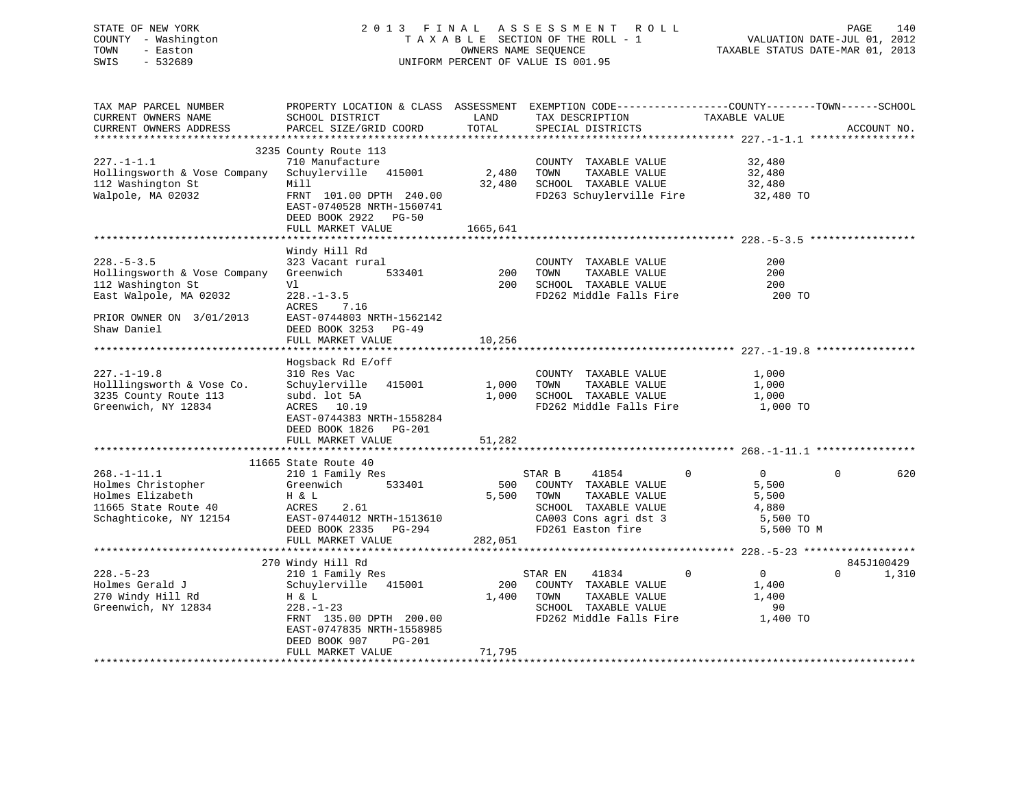# STATE OF NEW YORK 2 0 1 3 F I N A L A S S E S S M E N T R O L L PAGE 140 COUNTY - Washington T A X A B L E SECTION OF THE ROLL - 1 VALUATION DATE-JUL 01, 2012 TOWN - Easton **CONNERS NAME SEQUENCE** TAXABLE STATUS DATE-MAR 01, 2013 SWIS - 532689 UNIFORM PERCENT OF VALUE IS 001.95

| TAX MAP PARCEL NUMBER        |                                |          | PROPERTY LOCATION & CLASS ASSESSMENT EXEMPTION CODE----------------COUNTY-------TOWN------SCHOOL |                                |                   |
|------------------------------|--------------------------------|----------|--------------------------------------------------------------------------------------------------|--------------------------------|-------------------|
| CURRENT OWNERS NAME          | SCHOOL DISTRICT                | LAND     | TAX DESCRIPTION                                                                                  | TAXABLE VALUE                  |                   |
| CURRENT OWNERS ADDRESS       | PARCEL SIZE/GRID COORD         | TOTAL    | SPECIAL DISTRICTS                                                                                |                                | ACCOUNT NO.       |
|                              |                                |          |                                                                                                  |                                |                   |
|                              | 3235 County Route 113          |          |                                                                                                  |                                |                   |
| $227. -1 - 1.1$              | 710 Manufacture                |          | COUNTY TAXABLE VALUE                                                                             | 32,480                         |                   |
| Hollingsworth & Vose Company | Schuylerville 415001           | 2,480    | TOWN<br>TAXABLE VALUE                                                                            | 32,480                         |                   |
| 112 Washington St            | Mill                           | 32,480   | SCHOOL TAXABLE VALUE                                                                             | 32,480                         |                   |
| Walpole, MA 02032            | FRNT 101.00 DPTH 240.00        |          | FD263 Schuylerville Fire 32,480 TO                                                               |                                |                   |
|                              | EAST-0740528 NRTH-1560741      |          |                                                                                                  |                                |                   |
|                              |                                |          |                                                                                                  |                                |                   |
|                              | DEED BOOK 2922 PG-50           |          |                                                                                                  |                                |                   |
|                              | FULL MARKET VALUE              | 1665,641 |                                                                                                  |                                |                   |
|                              |                                |          |                                                                                                  |                                |                   |
|                              | Windy Hill Rd                  |          |                                                                                                  |                                |                   |
| $228. - 5 - 3.5$             | 323 Vacant rural               |          | COUNTY TAXABLE VALUE                                                                             | 200                            |                   |
| Hollingsworth & Vose Company | Greenwich<br>533401            | 200      | TOWN<br>TAXABLE VALUE                                                                            | 200                            |                   |
| 112 Washington St            | Vl                             | 200      | SCHOOL TAXABLE VALUE                                                                             | 200                            |                   |
| East Walpole, MA 02032       | $228. - 1 - 3.5$               |          | FD262 Middle Falls Fire                                                                          | 200 TO                         |                   |
|                              | ACRES<br>7.16                  |          |                                                                                                  |                                |                   |
| PRIOR OWNER ON 3/01/2013     | EAST-0744803 NRTH-1562142      |          |                                                                                                  |                                |                   |
| Shaw Daniel                  | DEED BOOK 3253 PG-49           |          |                                                                                                  |                                |                   |
|                              | FULL MARKET VALUE              | 10,256   |                                                                                                  |                                |                   |
|                              |                                |          |                                                                                                  |                                |                   |
|                              | Hogsback Rd E/off              |          |                                                                                                  |                                |                   |
| $227. - 1 - 19.8$            | 310 Res Vac                    |          | COUNTY TAXABLE VALUE                                                                             | 1,000                          |                   |
| Holllingsworth & Vose Co.    | Schuylerville<br>415001        | 1,000    | TOWN<br>TAXABLE VALUE                                                                            | 1,000                          |                   |
|                              |                                |          |                                                                                                  |                                |                   |
| 3235 County Route 113        | subd. lot 5A                   | 1,000    | SCHOOL TAXABLE VALUE                                                                             | 1,000                          |                   |
| Greenwich, NY 12834          | ACRES 10.19                    |          | FD262 Middle Falls Fire                                                                          | 1,000 TO                       |                   |
|                              | EAST-0744383 NRTH-1558284      |          |                                                                                                  |                                |                   |
|                              | DEED BOOK 1826<br>PG-201       |          |                                                                                                  |                                |                   |
|                              | FULL MARKET VALUE              | 51,282   |                                                                                                  |                                |                   |
|                              |                                |          |                                                                                                  |                                |                   |
|                              | 11665 State Route 40           |          |                                                                                                  |                                |                   |
| $268. - 1 - 11.1$            | 210 1 Family Res               |          | STAR B<br>41854                                                                                  | $\mathbf{0}$<br>$\overline{0}$ | $\Omega$<br>620   |
| Holmes Christopher           | 533401<br>Greenwich            | 500      | COUNTY TAXABLE VALUE                                                                             | 5,500                          |                   |
| Holmes Elizabeth             | H & L                          | 5,500    | TOWN<br>TAXABLE VALUE                                                                            | 5,500                          |                   |
| 11665 State Route 40         | 2.61<br>ACRES                  |          | SCHOOL TAXABLE VALUE                                                                             | 4,880                          |                   |
| Schaghticoke, NY 12154       | EAST-0744012 NRTH-1513610      |          | CA003 Cons agri dst 3                                                                            | 5,500 TO                       |                   |
|                              | DEED BOOK 2335<br>PG-294       |          | FD261 Easton fire                                                                                | 5,500 TO M                     |                   |
|                              | FULL MARKET VALUE              | 282,051  |                                                                                                  |                                |                   |
|                              |                                |          |                                                                                                  |                                |                   |
|                              | 270 Windy Hill Rd              |          |                                                                                                  |                                | 845J100429        |
| $228. - 5 - 23$              | 210 1 Family Res               |          | STAR EN<br>41834                                                                                 | $\mathbf 0$<br>0               | $\Omega$<br>1,310 |
|                              |                                |          |                                                                                                  |                                |                   |
| Holmes Gerald J              | Schuylerville 415001           | 200      | COUNTY TAXABLE VALUE                                                                             | 1,400                          |                   |
| 270 Windy Hill Rd            | H & L                          | 1,400    | TOWN<br>TAXABLE VALUE                                                                            | 1,400                          |                   |
| Greenwich, NY 12834          | $228. - 1 - 23$                |          | SCHOOL TAXABLE VALUE                                                                             | 90                             |                   |
|                              | FRNT 135.00 DPTH 200.00        |          | FD262 Middle Falls Fire                                                                          | 1,400 TO                       |                   |
|                              | EAST-0747835 NRTH-1558985      |          |                                                                                                  |                                |                   |
|                              | DEED BOOK 907<br><b>PG-201</b> |          |                                                                                                  |                                |                   |
|                              | FULL MARKET VALUE              | 71,795   |                                                                                                  |                                |                   |
|                              |                                |          |                                                                                                  |                                |                   |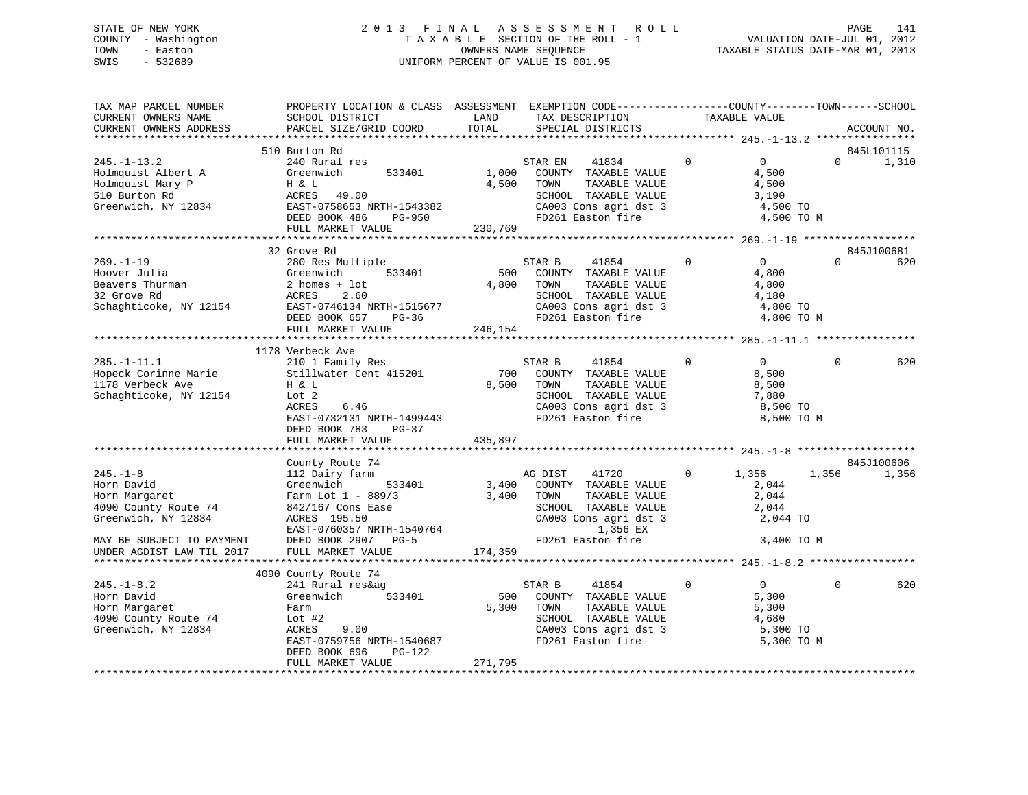# STATE OF NEW YORK 2 0 1 3 F I N A L A S S E S S M E N T R O L L PAGE 141 COUNTY - Washington T A X A B L E SECTION OF THE ROLL - 1 VALUATION DATE-JUL 01, 2012 TOWN - Easton OWNERS NAME SEQUENCE TAXABLE STATUS DATE-MAR 01, 2013 SWIS - 532689 UNIFORM PERCENT OF VALUE IS 001.95

| TAX MAP PARCEL NUMBER<br>CURRENT OWNERS NAME                                                        | PROPERTY LOCATION & CLASS ASSESSMENT EXEMPTION CODE----------------COUNTY-------TOWN------SCHOOL<br>SCHOOL DISTRICT                                                             | LAND                      | TAX DESCRIPTION                                                                                                                                      | TAXABLE VALUE  |                                                                     |              |             |
|-----------------------------------------------------------------------------------------------------|---------------------------------------------------------------------------------------------------------------------------------------------------------------------------------|---------------------------|------------------------------------------------------------------------------------------------------------------------------------------------------|----------------|---------------------------------------------------------------------|--------------|-------------|
| CURRENT OWNERS ADDRESS                                                                              | PARCEL SIZE/GRID COORD                                                                                                                                                          | TOTAL                     | SPECIAL DISTRICTS                                                                                                                                    |                |                                                                     |              | ACCOUNT NO. |
|                                                                                                     | 510 Burton Rd                                                                                                                                                                   |                           |                                                                                                                                                      |                |                                                                     |              | 845L101115  |
| $245. - 1 - 13.2$<br>Holmquist Albert A<br>Holmquist Mary P<br>510 Burton Rd<br>Greenwich, NY 12834 | 240 Rural res<br>Greenwich<br>533401<br>H & L<br>ACRES 49.00<br>EAST-0758653 NRTH-1543382<br>DEED BOOK 486<br>PG-950<br>FULL MARKET VALUE                                       | 1,000<br>4,500<br>230,769 | STAR EN<br>41834<br>COUNTY TAXABLE VALUE<br>TAXABLE VALUE<br>TOWN<br>SCHOOL TAXABLE VALUE<br>CA003 Cons agri dst 3<br>FD261 Easton fire              | $\overline{0}$ | $\overline{0}$<br>4,500<br>4,500<br>3,190<br>4,500 TO<br>4,500 TO M | $\Omega$     | 1,310       |
|                                                                                                     |                                                                                                                                                                                 |                           |                                                                                                                                                      |                |                                                                     |              |             |
|                                                                                                     | 32 Grove Rd                                                                                                                                                                     |                           |                                                                                                                                                      |                |                                                                     |              | 845J100681  |
| $269. - 1 - 19$<br>Hoover Julia<br>Beavers Thurman<br>Schaghticoke, NY 12154                        | 280 Res Multiple<br>533401<br>Greenwich<br>2 homes + lot<br>ACRES<br>2.60<br>EAST-0746134 NRTH-1515677<br>DEED BOOK 657 PG-36                                                   | 4,800 TOWN                | STAR B<br>41854<br>500 COUNTY TAXABLE VALUE<br>TAXABLE VALUE<br>SCHOOL TAXABLE VALUE<br>SCHOOD Innumer<br>CA003 Cons agri dst 3<br>ED261 Easton fire | $\Omega$       | $\overline{0}$<br>4,800<br>4,800<br>4,180<br>4,800 TO<br>4,800 TO M | $\Omega$     | 620         |
|                                                                                                     | FULL MARKET VALUE                                                                                                                                                               | 246,154                   |                                                                                                                                                      |                |                                                                     |              |             |
|                                                                                                     |                                                                                                                                                                                 |                           |                                                                                                                                                      |                |                                                                     |              |             |
| $285. - 1 - 11.1$<br>Hopeck Corinne Marie<br>1178 Verbeck Ave<br>Schaghticoke, NY 12154             | 1178 Verbeck Ave<br>210 1 Family Res<br>Stillwater Cent 415201<br>H & L<br>Lot 2<br>ACRES<br>6.46<br>EAST-0732131 NRTH-1499443<br>DEED BOOK 783<br>$PG-37$<br>FULL MARKET VALUE | 700<br>8,500<br>435,897   | 41854<br>STAR B<br>COUNTY TAXABLE VALUE<br>TAXABLE VALUE<br>TOWN<br>SCHOOL TAXABLE VALUE<br>CA003 Cons agri dst 3<br>FD261 Easton fire               | $\mathbf{0}$   | $\overline{0}$<br>8,500<br>8,500<br>7,880<br>8,500 TO<br>8,500 TO M | $\Omega$     | 620         |
|                                                                                                     |                                                                                                                                                                                 |                           |                                                                                                                                                      |                |                                                                     |              |             |
|                                                                                                     | County Route 74                                                                                                                                                                 |                           |                                                                                                                                                      |                |                                                                     |              | 845J100606  |
| $245. - 1 - 8$<br>Horn David<br>Horn Margaret<br>4090 County Route 74<br>Greenwich, NY 12834        | 112 Dairy farm<br>533401<br>Greenwich<br>Farm Lot $1 - 889/3$<br>842/167 Cons Ease<br>ACRES 195.50<br>EAST-0760357 NRTH-1540764<br>DEED BOOK 2907 PG-5 FD26:                    | 3,400                     | AG DIST<br>41720 0<br>3,400 COUNTY TAXABLE VALUE<br>TAXABLE VALUE<br>TOWN<br>SCHOOL TAXABLE VALUE<br>CA003 Cons agri dst 3<br>1,356 EX               |                | 1,356<br>2,044<br>2,044<br>2,044<br>2,044 TO                        | 1,356        | 1,356       |
| MAY BE SUBJECT TO PAYMENT<br>UNDER AGDIST LAW TIL 2017                                              | DEED BOOK 2907 PG-5<br>FULL MARKET VALUE                                                                                                                                        | 174,359                   | FD261 Easton fire                                                                                                                                    |                | 3,400 TO M                                                          |              |             |
|                                                                                                     | 4090 County Route 74                                                                                                                                                            |                           |                                                                                                                                                      |                |                                                                     |              |             |
| $245. - 1 - 8.2$<br>Horn David<br>Horn Margaret<br>4090 County Route 74<br>Greenwich, NY 12834      | 241 Rural res&ag<br>Greenwich<br>533401<br>Farm<br>Lot $#2$<br>9.00<br>ACRES<br>EAST-0759756 NRTH-1540687<br>DEED BOOK 696<br>PG-122                                            | 5,300                     | STAR B<br>41854<br>500 COUNTY TAXABLE VALUE<br>TOWN<br>TAXABLE VALUE<br>SCHOOL TAXABLE VALUE<br>CA003 Cons agri dst 3<br>FD261 Easton fire           | $\mathbf{0}$   | $\overline{0}$<br>5,300<br>5,300<br>4,680<br>5,300 TO<br>5,300 TO M | $\mathbf{0}$ | 620         |
|                                                                                                     | FULL MARKET VALUE                                                                                                                                                               | 271,795                   |                                                                                                                                                      |                |                                                                     |              |             |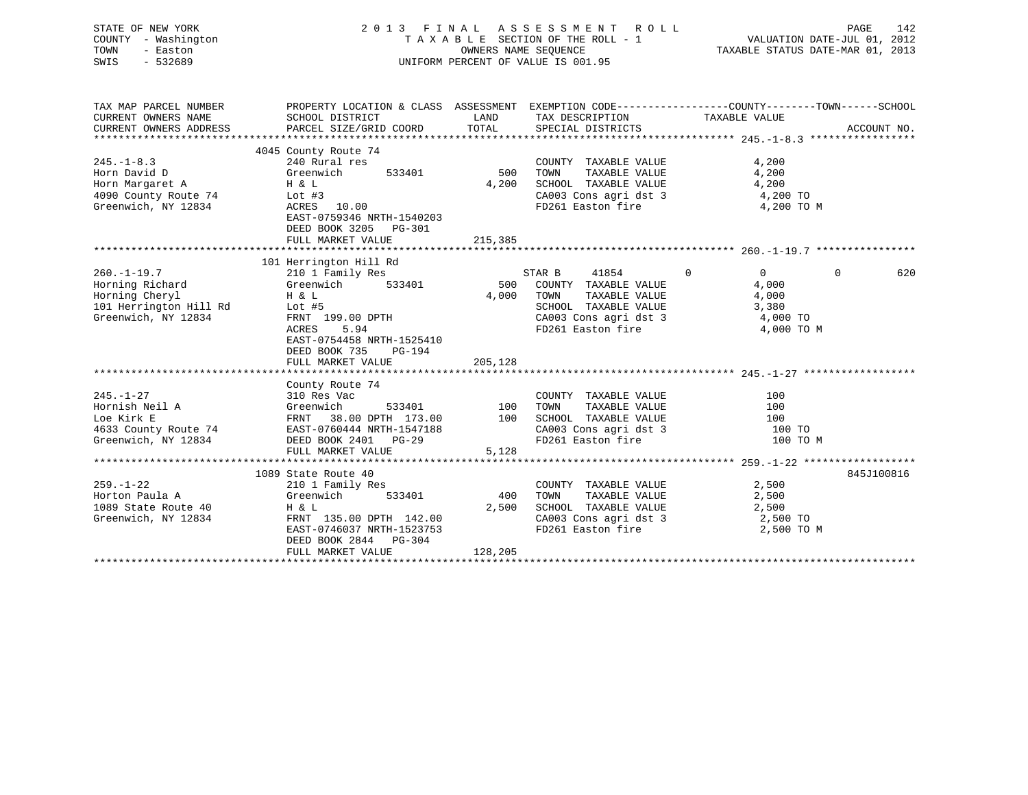| STATE OF NEW YORK<br>COUNTY<br>- Washington<br>TOWN<br>- Easton<br>$-532689$<br>SWIS                    |                                                                                                                                                                                                           |                                                                                                                                                                                                                                      | 2013 FINAL ASSESSMENT ROLL<br>UNIFORM PERCENT OF VALUE IS 001.95                                                          | 142<br>PAGE                                                                                                    |
|---------------------------------------------------------------------------------------------------------|-----------------------------------------------------------------------------------------------------------------------------------------------------------------------------------------------------------|--------------------------------------------------------------------------------------------------------------------------------------------------------------------------------------------------------------------------------------|---------------------------------------------------------------------------------------------------------------------------|----------------------------------------------------------------------------------------------------------------|
| TAX MAP PARCEL NUMBER<br>CURRENT OWNERS NAME<br>CURRENT OWNERS ADDRESS                                  | SCHOOL DISTRICT<br>PARCEL SIZE/GRID COORD TOTAL                                                                                                                                                           | <b>EXAMPLE THE EXAMPLE THE EXAMPLE THE EXAMPLE THE EXAMPLE THE EXAMPLE THE EXAMPLE THE EXAMPLE THE EXAMPLE THE EXAMPLE THE EXAMPLE THE EXAMPLE THE EXAMPLE THE EXAMPLE THE EXAMPLE THE EXAMPLE THE EXAMPLE THE EXAMPLE THE EXAMP</b> | TAX DESCRIPTION TAXABLE VALUE<br>SPECIAL DISTRICTS                                                                        | PROPERTY LOCATION & CLASS ASSESSMENT EXEMPTION CODE----------------COUNTY-------TOWN-----SCHOOL<br>ACCOUNT NO. |
| $245. - 1 - 8.3$<br>Horn David D<br>Horn Margaret A<br>4090 County Route 74<br>Greenwich, NY 12834      | 4045 County Route 74<br>240 Rural res<br>Greenwich<br>533401<br>H & L<br>Lot $#3$<br>ACRES 10.00<br>EAST-0759346 NRTH-1540203<br>DEED BOOK 3205 PG-301                                                    | 500<br>4,200                                                                                                                                                                                                                         | COUNTY TAXABLE VALUE<br>TOWN<br>TAXABLE VALUE<br>SCHOOL TAXABLE VALUE<br>CA003 Cons agri dst 3<br>FD261 Easton fire       | 4,200<br>4,200<br>4,200<br>4,200 TO<br>4,200 TO M                                                              |
|                                                                                                         | FULL MARKET VALUE                                                                                                                                                                                         | 215,385                                                                                                                                                                                                                              |                                                                                                                           |                                                                                                                |
| $260. - 1 - 19.7$<br>Horning Richard<br>Horning Cheryl<br>101 Herrington Hill Rd<br>Greenwich, NY 12834 | 101 Herrington Hill Rd<br>210 1 Family Res<br>Greenwich 533401 500 COUNTY TAXABLE VALUE<br>H & L<br>Lot #5<br>FRNT 199.00 DPTH<br>5.94<br>ACRES<br>EAST-0754458 NRTH-1525410<br>DEED BOOK 735<br>$PG-194$ | 4,000                                                                                                                                                                                                                                | 41854 0<br>STAR B<br>TOWN<br>TAXABLE VALUE<br>SCHOOL TAXABLE VALUE<br>CA003 Cons agri dst 3 4,000 TO<br>FD261 Easton fire | $\overline{0}$<br>620<br>$\Omega$<br>4,000<br>4,000<br>3,380<br>4,000 TO M                                     |
|                                                                                                         | FULL MARKET VALUE                                                                                                                                                                                         | 205,128                                                                                                                                                                                                                              |                                                                                                                           |                                                                                                                |
| $245. - 1 - 27$<br>Hornish Neil A<br>Loe Kirk E<br>4633 County Route 74<br>Greenwich, NY 12834          | County Route 74<br>310 Res Vac<br>Greenwich<br>38.00 DPTH 173.00<br>FRNT<br>EAST-0760444 NRTH-1547188<br>DEED BOOK 2401 PG-29<br>FULL MARKET VALUE                                                        | 533401 100<br>100<br>5,128                                                                                                                                                                                                           | COUNTY TAXABLE VALUE<br>TOWN<br>TAXABLE VALUE<br>SCHOOL TAXABLE VALUE<br>CA003 Cons agri dst 3<br>FD261 Easton fire       | 100<br>100<br>100<br>100 TO<br>100 TO M                                                                        |

|                     | 1089 State Route 40       |         |                         | 845J100816 |
|---------------------|---------------------------|---------|-------------------------|------------|
| 259.-1-22           | 210 1 Family Res          |         | TAXABLE VALUE<br>COUNTY | 2,500      |
| Horton Paula A      | Greenwich<br>533401       | 400     | TAXABLE VALUE<br>TOWN   | 2,500      |
| 1089 State Route 40 | H & L                     | 2,500   | SCHOOL TAXABLE VALUE    | 2,500      |
| Greenwich, NY 12834 | FRNT 135.00 DPTH 142.00   |         | CA003 Cons agri dst 3   | 2,500 TO   |
|                     | EAST-0746037 NRTH-1523753 |         | FD261 Easton fire       | 2,500 TO M |
|                     | DEED BOOK 2844 PG-304     |         |                         |            |
|                     | FULL MARKET VALUE         | 128,205 |                         |            |
|                     |                           |         |                         |            |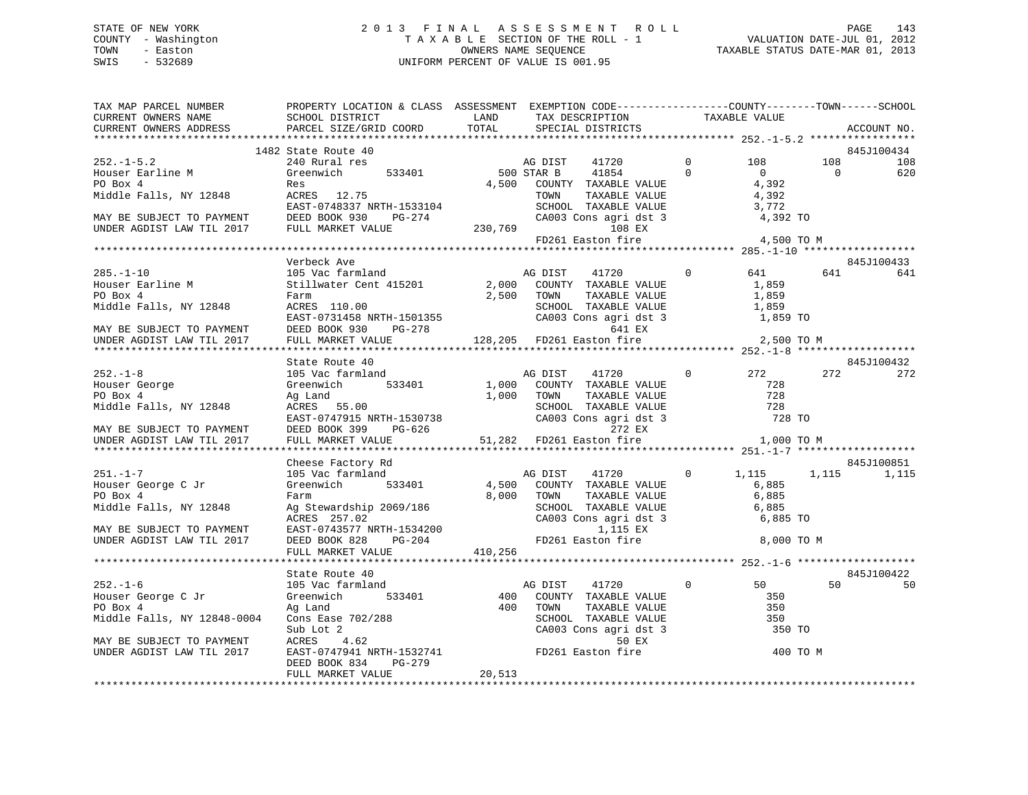# STATE OF NEW YORK 2 0 1 3 F I N A L A S S E S S M E N T R O L L PAGE 143 COUNTY - Washington T A X A B L E SECTION OF THE ROLL - 1 VALUATION DATE-JUL 01, 2012 TOWN - Easton OWNERS NAME SEQUENCE TAXABLE STATUS DATE-MAR 01, 2013 SWIS - 532689 UNIFORM PERCENT OF VALUE IS 001.95

| TAX MAP PARCEL NUMBER                                                                                                                                                                                                                                                                                                                                                                                                                                                                    | PROPERTY LOCATION & CLASS ASSESSMENT EXEMPTION CODE----------------COUNTY-------TOWN------SCHOOL |        |      |                                                                                                                                                                                            |            |                   |                |             |
|------------------------------------------------------------------------------------------------------------------------------------------------------------------------------------------------------------------------------------------------------------------------------------------------------------------------------------------------------------------------------------------------------------------------------------------------------------------------------------------|--------------------------------------------------------------------------------------------------|--------|------|--------------------------------------------------------------------------------------------------------------------------------------------------------------------------------------------|------------|-------------------|----------------|-------------|
|                                                                                                                                                                                                                                                                                                                                                                                                                                                                                          |                                                                                                  |        |      |                                                                                                                                                                                            |            |                   |                | ACCOUNT NO. |
|                                                                                                                                                                                                                                                                                                                                                                                                                                                                                          |                                                                                                  |        |      |                                                                                                                                                                                            |            |                   |                | 845J100434  |
| $252.-1-5.2$<br>$240$ Rural res<br>$240$ Rural res<br>$240$ Rural res<br>$533401$<br>$500$ STAR B<br>$41854$<br>$4500$ STAR B<br>$41854$<br>$41854$<br>$41854$<br>$41854$<br>$41854$<br>$41854$<br>$41854$                                                                                                                                                                                                                                                                               |                                                                                                  |        |      |                                                                                                                                                                                            | $\bigcirc$ | 108               | 108            | 108         |
|                                                                                                                                                                                                                                                                                                                                                                                                                                                                                          |                                                                                                  |        |      |                                                                                                                                                                                            | $\Omega$   | $\overline{0}$    | $\overline{0}$ | 620         |
|                                                                                                                                                                                                                                                                                                                                                                                                                                                                                          |                                                                                                  |        |      | 4,500 COUNTY TAXABLE VALUE                                                                                                                                                                 |            | 4,392             |                |             |
| r مدت ہوتا ہے<br>Middle Falls, NY 12848 ACRES 12.75                                                                                                                                                                                                                                                                                                                                                                                                                                      |                                                                                                  |        | TOWN |                                                                                                                                                                                            |            |                   |                |             |
|                                                                                                                                                                                                                                                                                                                                                                                                                                                                                          |                                                                                                  |        |      | $\begin{tabular}{llllllll} \texttt{ITMMDAL} & \texttt{N11} & \texttt{N12} \\ \texttt{TAXABLE VALUE} & \texttt{0} & \texttt{1} \\ \texttt{TAXABLE VALUE} & \texttt{3,772} \\ \end{tabular}$ |            |                   |                |             |
|                                                                                                                                                                                                                                                                                                                                                                                                                                                                                          |                                                                                                  |        |      |                                                                                                                                                                                            |            |                   |                |             |
| Middle Falls, NY 12848 ACRES 12.75<br>EAST-0748337 NRTH-1533104 SCHOOL TAXABLE VALUE 3,772<br>MAY BE SUBJECT TO PAYMENT DEED BOOK 930 PG-274 CA003 Cons agri dst 3 4,392 TO<br>UNDER AGDIST LAW TIL 2017 FULL MARKET VALUE 230,769 1                                                                                                                                                                                                                                                     |                                                                                                  |        |      |                                                                                                                                                                                            |            |                   |                |             |
|                                                                                                                                                                                                                                                                                                                                                                                                                                                                                          |                                                                                                  |        |      | FD261 Easton fire 4,500 TO M                                                                                                                                                               |            |                   |                |             |
|                                                                                                                                                                                                                                                                                                                                                                                                                                                                                          |                                                                                                  |        |      |                                                                                                                                                                                            |            |                   |                |             |
|                                                                                                                                                                                                                                                                                                                                                                                                                                                                                          | Verbeck Ave                                                                                      |        |      |                                                                                                                                                                                            |            |                   |                | 845J100433  |
| 285.-1-10<br>Houser Earline M<br>PO Box 4                                                                                                                                                                                                                                                                                                                                                                                                                                                |                                                                                                  |        |      |                                                                                                                                                                                            |            |                   |                | 641         |
|                                                                                                                                                                                                                                                                                                                                                                                                                                                                                          |                                                                                                  |        |      |                                                                                                                                                                                            |            |                   |                |             |
| nour.<br>Middle Falls, NY 12848                                                                                                                                                                                                                                                                                                                                                                                                                                                          | Farm<br>ACRES 110.00                                                                             |        |      | $\begin{tabular}{ccccc} 2,500 & TOWN & TAXABLE VALUE & & & 1,859 \\ & SCHOOL & TAXABLE VALUE & & & 1,859 \\ \end{tabular}$                                                                 |            |                   |                |             |
|                                                                                                                                                                                                                                                                                                                                                                                                                                                                                          |                                                                                                  |        |      |                                                                                                                                                                                            |            |                   |                |             |
|                                                                                                                                                                                                                                                                                                                                                                                                                                                                                          |                                                                                                  |        |      |                                                                                                                                                                                            |            | 1,859 TO          |                |             |
| MIQUE FAILS, NY 12848<br>EAST-0731458 NRTH-1501355<br>MAY BE SUBJECT TO PAYMENT<br>DEED BOOK 930 PG-278<br>UNDER AGDIST LAW TIL 2017 FULL MARKET VALUE<br>2017 FULL MARKET VALUE<br>2019 CA003 Cons agri dst 3<br>EX<br>2019 ESCHOOL TAXABLE V                                                                                                                                                                                                                                           |                                                                                                  |        |      |                                                                                                                                                                                            |            |                   |                |             |
|                                                                                                                                                                                                                                                                                                                                                                                                                                                                                          |                                                                                                  |        |      |                                                                                                                                                                                            |            | 2,500 TO M        |                |             |
|                                                                                                                                                                                                                                                                                                                                                                                                                                                                                          |                                                                                                  |        |      |                                                                                                                                                                                            |            |                   |                | 845J100432  |
|                                                                                                                                                                                                                                                                                                                                                                                                                                                                                          | State Route 40                                                                                   |        |      | AG DIST 41720 0 272 272 272                                                                                                                                                                |            |                   |                |             |
|                                                                                                                                                                                                                                                                                                                                                                                                                                                                                          |                                                                                                  |        |      |                                                                                                                                                                                            |            |                   |                |             |
|                                                                                                                                                                                                                                                                                                                                                                                                                                                                                          |                                                                                                  |        |      |                                                                                                                                                                                            |            |                   |                |             |
| $\begin{array}{lllllllllllllllllllll} \hline & & & & & & 105\text{ Vac farmland} && & & & \hline & & & & \hline & & & & \hline & & & & \hline & & & & \hline & & & & \hline & & & & \hline & & & & \hline & & & & \hline & & & & \hline & & & & \hline & & & & \hline & & & & \hline & & & & \hline & & & & \hline & & & & \hline & & & & \hline & & & & \hline & & & & \hline & & & & \hline & & & & \hline & & & & \hline & & & & \hline & & & & \hline & & & & \hline & & & & \hline$ |                                                                                                  |        |      |                                                                                                                                                                                            |            |                   |                |             |
|                                                                                                                                                                                                                                                                                                                                                                                                                                                                                          |                                                                                                  |        |      |                                                                                                                                                                                            |            |                   |                |             |
| PO Box 4<br>Middle Falls, NY 12848<br>Middle Falls, NY 12848<br>MAY BE SUBJECT TO PAYMENT<br>MAY BE SUBJECT TO PAYMENT<br>MAY BE SUBJECT TO PAYMENT<br>DEED BOOK 399<br>DEED BOOK 399<br>PG-626<br>UNDER AGDIST LAW TIL 2017<br>TULL MARKET VALUE<br>                                                                                                                                                                                                                                    |                                                                                                  |        |      |                                                                                                                                                                                            |            |                   |                |             |
|                                                                                                                                                                                                                                                                                                                                                                                                                                                                                          |                                                                                                  |        |      |                                                                                                                                                                                            |            |                   |                |             |
|                                                                                                                                                                                                                                                                                                                                                                                                                                                                                          |                                                                                                  |        |      |                                                                                                                                                                                            |            |                   |                |             |
|                                                                                                                                                                                                                                                                                                                                                                                                                                                                                          | Cheese Factory Rd                                                                                |        |      |                                                                                                                                                                                            |            |                   |                | 845J100851  |
| $251. -1 - 7$                                                                                                                                                                                                                                                                                                                                                                                                                                                                            | 105 Vac farmland<br>Greenwich 533401                                                             |        |      | AG DIST 41720 0                                                                                                                                                                            |            | 1,115 1,115 1,115 |                |             |
| Houser George C Jr                                                                                                                                                                                                                                                                                                                                                                                                                                                                       |                                                                                                  |        |      | 4,500 COUNTY TAXABLE VALUE                                                                                                                                                                 |            | 6,885             |                |             |
|                                                                                                                                                                                                                                                                                                                                                                                                                                                                                          |                                                                                                  |        |      |                                                                                                                                                                                            |            |                   |                |             |
|                                                                                                                                                                                                                                                                                                                                                                                                                                                                                          |                                                                                                  |        |      |                                                                                                                                                                                            |            |                   |                |             |
|                                                                                                                                                                                                                                                                                                                                                                                                                                                                                          |                                                                                                  |        |      |                                                                                                                                                                                            |            |                   |                |             |
|                                                                                                                                                                                                                                                                                                                                                                                                                                                                                          |                                                                                                  |        |      |                                                                                                                                                                                            |            |                   |                |             |
|                                                                                                                                                                                                                                                                                                                                                                                                                                                                                          |                                                                                                  |        |      |                                                                                                                                                                                            |            | 8,000 TO M        |                |             |
|                                                                                                                                                                                                                                                                                                                                                                                                                                                                                          |                                                                                                  |        |      |                                                                                                                                                                                            |            |                   |                |             |
|                                                                                                                                                                                                                                                                                                                                                                                                                                                                                          |                                                                                                  |        |      |                                                                                                                                                                                            |            |                   |                |             |
| 252.-1-6 105 Vac farmland and AG DIST 41720 0<br>Houser George C Jr Greenwich 533401 400 COUNTY TAXABLE VALUE<br>PO Box 4 Ag Land Ag And 100 TOWN TAXABLE VALUE                                                                                                                                                                                                                                                                                                                          | State Route 40                                                                                   |        |      |                                                                                                                                                                                            |            |                   |                | 845J100422  |
|                                                                                                                                                                                                                                                                                                                                                                                                                                                                                          |                                                                                                  |        |      |                                                                                                                                                                                            |            | 50                | 50             | 50          |
|                                                                                                                                                                                                                                                                                                                                                                                                                                                                                          |                                                                                                  |        |      |                                                                                                                                                                                            |            | 350               |                |             |
|                                                                                                                                                                                                                                                                                                                                                                                                                                                                                          |                                                                                                  |        |      |                                                                                                                                                                                            |            |                   |                |             |
|                                                                                                                                                                                                                                                                                                                                                                                                                                                                                          |                                                                                                  |        |      |                                                                                                                                                                                            |            |                   |                |             |
| PO Box 4<br>Middle Falls, NY 12848-0004<br>Middle Falls, NY 12848-0004<br>Sub Lot 2<br>MAY BE SUBJECT TO PAYMENT<br>MAY BE SUBJECT TO PAYMENT<br>MAY BE SUBJECT TO PAYMENT<br>MAY BE SUBJECT TO PAYMENT<br>MAY BE SUBJECT TO PAYMENT<br>MAY BE S                                                                                                                                                                                                                                         |                                                                                                  |        |      |                                                                                                                                                                                            |            |                   |                |             |
|                                                                                                                                                                                                                                                                                                                                                                                                                                                                                          |                                                                                                  |        |      |                                                                                                                                                                                            |            |                   |                |             |
|                                                                                                                                                                                                                                                                                                                                                                                                                                                                                          | PG-279<br>DEED BOOK 834                                                                          |        |      |                                                                                                                                                                                            |            |                   |                |             |
|                                                                                                                                                                                                                                                                                                                                                                                                                                                                                          | FULL MARKET VALUE                                                                                | 20,513 |      |                                                                                                                                                                                            |            |                   |                |             |
|                                                                                                                                                                                                                                                                                                                                                                                                                                                                                          |                                                                                                  |        |      |                                                                                                                                                                                            |            |                   |                |             |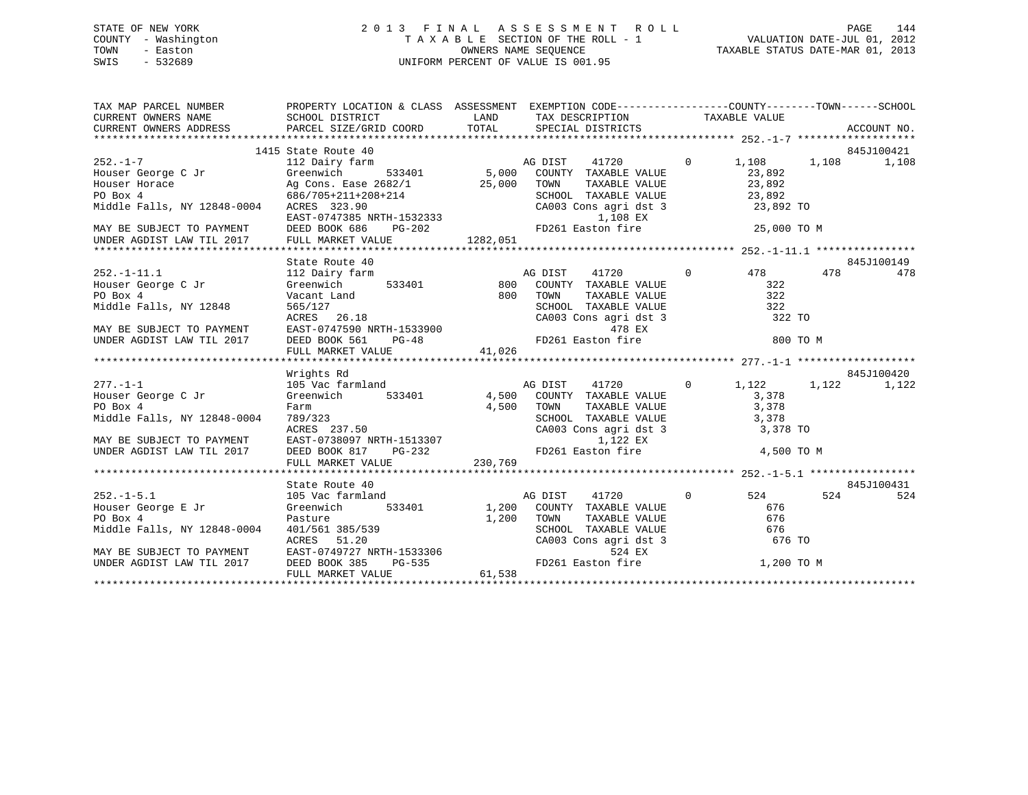# STATE OF NEW YORK 2 0 1 3 F I N A L A S S E S S M E N T R O L L PAGE 144 COUNTY - Washington T A X A B L E SECTION OF THE ROLL - 1 VALUATION DATE-JUL 01, 2012 TOWN - Easton OWNERS NAME SEQUENCE TAXABLE STATUS DATE-MAR 01, 2013 SWIS - 532689 UNIFORM PERCENT OF VALUE IS 001.95

| PROPERTY LOCATION & CLASS ASSESSMENT EXEMPTION CODE----------------COUNTY-------TOWN------SCHOOL<br>TAX MAP PARCEL NUMBER                                                                                                                                                                                                                                                                                                              |            |
|----------------------------------------------------------------------------------------------------------------------------------------------------------------------------------------------------------------------------------------------------------------------------------------------------------------------------------------------------------------------------------------------------------------------------------------|------------|
| 1415 State Route 40                                                                                                                                                                                                                                                                                                                                                                                                                    | 845J100421 |
|                                                                                                                                                                                                                                                                                                                                                                                                                                        |            |
|                                                                                                                                                                                                                                                                                                                                                                                                                                        |            |
|                                                                                                                                                                                                                                                                                                                                                                                                                                        |            |
|                                                                                                                                                                                                                                                                                                                                                                                                                                        |            |
|                                                                                                                                                                                                                                                                                                                                                                                                                                        |            |
|                                                                                                                                                                                                                                                                                                                                                                                                                                        |            |
|                                                                                                                                                                                                                                                                                                                                                                                                                                        |            |
|                                                                                                                                                                                                                                                                                                                                                                                                                                        |            |
|                                                                                                                                                                                                                                                                                                                                                                                                                                        |            |
|                                                                                                                                                                                                                                                                                                                                                                                                                                        |            |
|                                                                                                                                                                                                                                                                                                                                                                                                                                        |            |
|                                                                                                                                                                                                                                                                                                                                                                                                                                        |            |
| $\begin{tabular}{lcccccc} \texttt{MAP} & \texttt{MAP} & \texttt{MAP} & \texttt{MAP} & \texttt{MAP} & \texttt{MAP} & \texttt{MAP} & \texttt{MAP} & \texttt{MAP} & \texttt{MAP} & \texttt{MAP} & \texttt{MAP} & \texttt{MAP} & \texttt{MAP} & \texttt{MAP} & \texttt{MAP} & \texttt{MAP} & \texttt{MAP} & \texttt{MAP} & \texttt{MAP} & \texttt{MAP} & \texttt{MAP} & \texttt{MAP} & \texttt{MAP} & \texttt{MAP} & \texttt{MAP} & \text$ |            |
|                                                                                                                                                                                                                                                                                                                                                                                                                                        |            |
|                                                                                                                                                                                                                                                                                                                                                                                                                                        |            |
| Wrights Rd                                                                                                                                                                                                                                                                                                                                                                                                                             | 845J100420 |
|                                                                                                                                                                                                                                                                                                                                                                                                                                        |            |
| 277.-1-1<br>105 Vac farmland<br>105 Vac farmland<br>533401 1.500 COUNTY TAXABLE VALUE 3,378<br>1,122 1,122<br>3,378                                                                                                                                                                                                                                                                                                                    |            |
|                                                                                                                                                                                                                                                                                                                                                                                                                                        |            |
|                                                                                                                                                                                                                                                                                                                                                                                                                                        |            |
| PO Box 4<br>PO Box 4<br>Middle Falls, NY 12848-0004<br>MAY BE SUBJECT TO PAYMENT<br>MAY BE SUBJECT TO PAYMENT<br>MAY BE SUBJECT TO PAYMENT<br>MAY BE SUBJECT TO PAYMENT<br>MAY BE SUBJECT TO PAYMENT<br>MARKET VALUE<br>PULL MARKET VALUE<br>FULL                                                                                                                                                                                      |            |
|                                                                                                                                                                                                                                                                                                                                                                                                                                        |            |
|                                                                                                                                                                                                                                                                                                                                                                                                                                        |            |
|                                                                                                                                                                                                                                                                                                                                                                                                                                        |            |
|                                                                                                                                                                                                                                                                                                                                                                                                                                        | 845J100431 |
|                                                                                                                                                                                                                                                                                                                                                                                                                                        | 524        |
|                                                                                                                                                                                                                                                                                                                                                                                                                                        |            |
|                                                                                                                                                                                                                                                                                                                                                                                                                                        |            |
|                                                                                                                                                                                                                                                                                                                                                                                                                                        |            |
|                                                                                                                                                                                                                                                                                                                                                                                                                                        |            |
|                                                                                                                                                                                                                                                                                                                                                                                                                                        |            |
|                                                                                                                                                                                                                                                                                                                                                                                                                                        |            |
|                                                                                                                                                                                                                                                                                                                                                                                                                                        |            |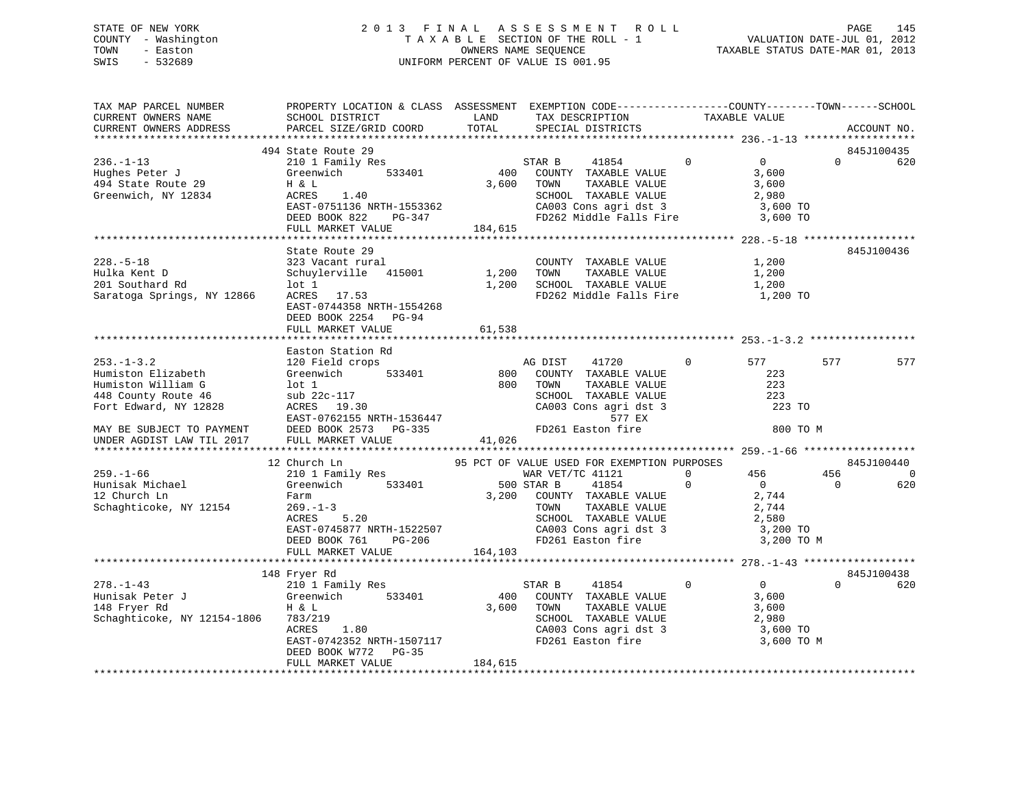### STATE OF NEW YORK 2 0 1 3 F I N A L A S S E S S M E N T R O L L PAGE 145 COUNTY - Washington T A X A B L E SECTION OF THE ROLL - 1 VALUATION DATE-JUL 01, 2012 TOWN - Easton OWNERS NAME SEQUENCE TAXABLE STATUS DATE-MAR 01, 2013 SWIS - 532689 UNIFORM PERCENT OF VALUE IS 001.95

| TAX MAP PARCEL NUMBER<br>CURRENT OWNERS NAME<br>CURRENT OWNERS ADDRESS                                                                    | PROPERTY LOCATION & CLASS ASSESSMENT EXEMPTION CODE----------------COUNTY-------TOWN------SCHOOL<br>SCHOOL DISTRICT<br>PARCEL SIZE/GRID COORD      | LAND<br>TOTAL | TAX DESCRIPTION<br>SPECIAL DISTRICTS                                                                                                              | TAXABLE VALUE                                                                      | ACCOUNT NO.     |                |
|-------------------------------------------------------------------------------------------------------------------------------------------|----------------------------------------------------------------------------------------------------------------------------------------------------|---------------|---------------------------------------------------------------------------------------------------------------------------------------------------|------------------------------------------------------------------------------------|-----------------|----------------|
|                                                                                                                                           |                                                                                                                                                    |               |                                                                                                                                                   |                                                                                    |                 |                |
|                                                                                                                                           | 494 State Route 29                                                                                                                                 |               |                                                                                                                                                   |                                                                                    | 845J100435      |                |
| $236. - 1 - 13$<br>Hughes Peter J<br>494 State Route 29<br>Greenwich, NY 12834                                                            | 210 1 Family Res<br>Greenwich<br>533401<br>H & L<br>ACRES<br>1.40<br>EAST-0751136 NRTH-1553362<br>DEED BOOK 822<br>PG-347                          | 400<br>3,600  | STAR B<br>41854<br>COUNTY TAXABLE VALUE<br>TOWN<br>TAXABLE VALUE<br>SCHOOL TAXABLE VALUE<br>CA003 Cons agri dst 3<br>FD262 Middle Falls Fire      | $\overline{0}$<br>$\mathbf{0}$<br>3,600<br>3,600<br>2,980<br>3,600 TO<br>3,600 TO  | $\Omega$        | 620            |
|                                                                                                                                           | FULL MARKET VALUE                                                                                                                                  | 184,615       |                                                                                                                                                   |                                                                                    |                 |                |
|                                                                                                                                           |                                                                                                                                                    |               |                                                                                                                                                   |                                                                                    |                 |                |
| $228. - 5 - 18$<br>Hulka Kent D<br>201 Southard Rd<br>Saratoga Springs, NY 12866                                                          | State Route 29<br>323 Vacant rural<br>415001<br>Schuylerville<br>$1$ ot $1$<br>ACRES 17.53<br>EAST-0744358 NRTH-1554268<br>DEED BOOK 2254<br>PG-94 | 1,200         | COUNTY TAXABLE VALUE<br>TOWN<br>TAXABLE VALUE<br>1,200 SCHOOL TAXABLE VALUE<br>FD262 Middle Falls Fire                                            | 1,200<br>1,200<br>1,200<br>1,200 TO                                                | 845J100436      |                |
|                                                                                                                                           | FULL MARKET VALUE                                                                                                                                  | 61,538        |                                                                                                                                                   |                                                                                    |                 |                |
|                                                                                                                                           | Easton Station Rd                                                                                                                                  |               |                                                                                                                                                   |                                                                                    |                 |                |
| $253. - 1 - 3.2$<br>Humiston Elizabeth<br>Humiston William G<br>448 County Route 46<br>Fort Edward, NY 12828<br>MAY BE SUBJECT TO PAYMENT | 120 Field crops<br>Greenwich<br>533401<br>$1$ ot $1$<br>sub 22c-117<br>ACRES 19.30<br>EAST-0762155 NRTH-1536447<br>DEED BOOK 2573 PG-335           | 800<br>800    | 41720<br>AG DIST<br>COUNTY TAXABLE VALUE<br>TOWN<br>TAXABLE VALUE<br>SCHOOL TAXABLE VALUE<br>CA003 Cons agri dst 3<br>577 EX<br>FD261 Easton fire | 577<br>$\mathbf{0}$<br>223<br>223<br>223<br>223 TO                                 | 577<br>800 TO M | 577            |
| UNDER AGDIST LAW TIL 2017                                                                                                                 | FULL MARKET VALUE                                                                                                                                  | 41,026        |                                                                                                                                                   |                                                                                    |                 |                |
|                                                                                                                                           | 12 Church Ln                                                                                                                                       |               | 95 PCT OF VALUE USED FOR EXEMPTION PURPOSES                                                                                                       |                                                                                    | 845J100440      |                |
| $259. - 1 - 66$                                                                                                                           | 210 1 Family Res                                                                                                                                   |               | WAR VET/TC 41121                                                                                                                                  | $\Omega$<br>456                                                                    | 456             | $\overline{0}$ |
| Hunisak Michael<br>12 Church Ln<br>Schaghticoke, NY 12154                                                                                 | Greenwich 533401<br>Farm<br>$269. - 1 - 3$<br>ACRES<br>5.20<br>EAST-0745877 NRTH-1522507<br>DEED BOOK 761<br>PG-206                                |               | 500 STAR B<br>41854<br>3,200 COUNTY TAXABLE VALUE<br>TAXABLE VALUE<br>TOWN<br>SCHOOL TAXABLE VALUE<br>CA003 Cons agri dst 3<br>FD261 Easton fire  | $\mathbf 0$<br>$\overline{0}$<br>2,744<br>2,744<br>2,580<br>3,200 TO<br>3,200 TO M | $\Omega$        | 620            |
|                                                                                                                                           | FULL MARKET VALUE                                                                                                                                  | 164,103       |                                                                                                                                                   |                                                                                    |                 |                |
|                                                                                                                                           | 148 Fryer Rd                                                                                                                                       |               |                                                                                                                                                   |                                                                                    | 845J100438      |                |
| $278. - 1 - 43$<br>Hunisak Peter J<br>148 Fryer Rd<br>Schaghticoke, NY 12154-1806                                                         | 210 1 Family Res<br>533401<br>Greenwich<br>H & L<br>783/219<br>ACRES<br>1.80<br>EAST-0742352 NRTH-1507117<br>DEED BOOK W772<br>PG-35               | 400<br>3,600  | 41854<br>STAR B<br>COUNTY TAXABLE VALUE<br>TOWN<br>TAXABLE VALUE<br>SCHOOL TAXABLE VALUE<br>CA003 Cons agri dst 3<br>FD261 Easton fire            | $\overline{0}$<br>0<br>3,600<br>3,600<br>2,980<br>3,600 TO<br>3,600 TO M           | $\Omega$        | 620            |
|                                                                                                                                           | FULL MARKET VALUE                                                                                                                                  | 184,615       |                                                                                                                                                   |                                                                                    |                 |                |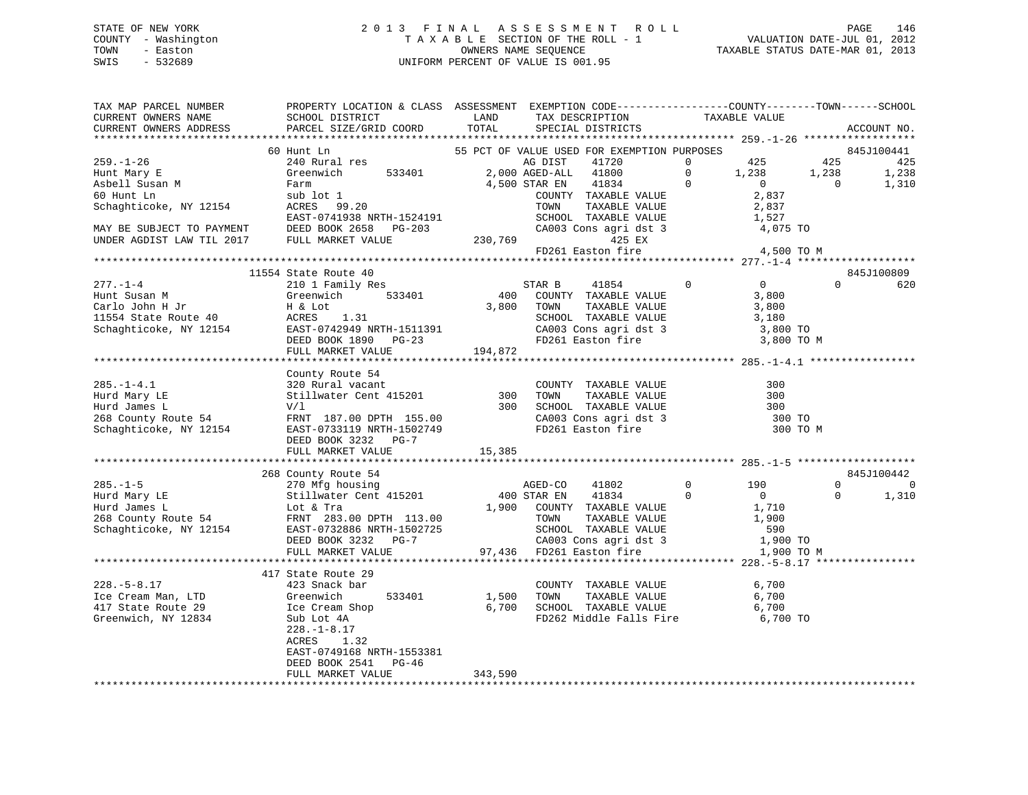### STATE OF NEW YORK 2 0 1 3 F I N A L A S S E S S M E N T R O L L PAGE 146 COUNTY - Washington T A X A B L E SECTION OF THE ROLL - 1 VALUATION DATE-JUL 01, 2012 TOWN - Easton OWNERS NAME SEQUENCE TAXABLE STATUS DATE-MAR 01, 2013 SWIS - 532689 UNIFORM PERCENT OF VALUE IS 001.95

| TAX MAP PARCEL NUMBER<br>CURRENT OWNERS NAME | PROPERTY LOCATION & CLASS ASSESSMENT EXEMPTION CODE---------------COUNTY-------TOWN-----SCHOOL<br>SCHOOL DISTRICT                                                                                                                                                                                                                                                                                                                                                           | LAND    | TAX DESCRIPTION                                                                                                                      |                | TAXABLE VALUE   |                |             |
|----------------------------------------------|-----------------------------------------------------------------------------------------------------------------------------------------------------------------------------------------------------------------------------------------------------------------------------------------------------------------------------------------------------------------------------------------------------------------------------------------------------------------------------|---------|--------------------------------------------------------------------------------------------------------------------------------------|----------------|-----------------|----------------|-------------|
| CURRENT OWNERS ADDRESS                       | PARCEL SIZE/GRID COORD                                                                                                                                                                                                                                                                                                                                                                                                                                                      | TOTAL   | SPECIAL DISTRICTS                                                                                                                    |                |                 |                | ACCOUNT NO. |
|                                              | 60 Hunt Ln                                                                                                                                                                                                                                                                                                                                                                                                                                                                  |         |                                                                                                                                      |                |                 |                | 845J100441  |
| $259. - 1 - 26$                              | 240 Rural res                                                                                                                                                                                                                                                                                                                                                                                                                                                               |         | 55 PCT OF VALUE USED FOR EXEMPTION PURPOSES<br>41720<br>AG DIST                                                                      | $\overline{0}$ | 425             | 425            | 425         |
| Hunt Mary E                                  | Greenwich 533401                                                                                                                                                                                                                                                                                                                                                                                                                                                            |         | 2,000 AGED-ALL 41800                                                                                                                 | $\overline{0}$ | 1,238           | 1,238          | 1,238       |
|                                              |                                                                                                                                                                                                                                                                                                                                                                                                                                                                             |         | 4,500 STAR EN<br>41834                                                                                                               | $\overline{0}$ | $\overline{0}$  | $\overline{0}$ | 1,310       |
| Asbell Susan M<br>Co Hunt Ln                 |                                                                                                                                                                                                                                                                                                                                                                                                                                                                             |         | COUNTY TAXABLE VALUE                                                                                                                 |                | 2,837           |                |             |
| Schaghticoke, NY 12154                       | Farm<br>sub lot 1<br>ACRES    99.20                                                                                                                                                                                                                                                                                                                                                                                                                                         |         |                                                                                                                                      |                |                 |                |             |
|                                              |                                                                                                                                                                                                                                                                                                                                                                                                                                                                             |         |                                                                                                                                      |                |                 |                |             |
|                                              |                                                                                                                                                                                                                                                                                                                                                                                                                                                                             |         | TOWN TAXABLE VALUE 2,837<br>SCHOOL TAXABLE VALUE 1,527<br>CA003 Cons agri dst 3 4,075 TO                                             |                |                 |                |             |
|                                              |                                                                                                                                                                                                                                                                                                                                                                                                                                                                             | 230,769 | 425 EX                                                                                                                               |                |                 |                |             |
|                                              | EAST-0741938 NRTH-1524191<br>MAY BE SUBJECT TO PAYMENT DEED BOOK 2658 PG-203<br>UNDER AGDIST LAW TIL 2017 FULL MARKET VALUE 203                                                                                                                                                                                                                                                                                                                                             |         | FD261 Easton fire                                                                                                                    |                | 4,500 TO M      |                |             |
|                                              |                                                                                                                                                                                                                                                                                                                                                                                                                                                                             |         |                                                                                                                                      |                |                 |                |             |
|                                              | 11554 State Route 40                                                                                                                                                                                                                                                                                                                                                                                                                                                        |         |                                                                                                                                      |                |                 |                | 845J100809  |
| $277. - 1 - 4$                               | 210 1 Family Res                                                                                                                                                                                                                                                                                                                                                                                                                                                            |         | STAR B<br>41854                                                                                                                      | $\Omega$       | $\overline{0}$  | $\Omega$       | 620         |
|                                              |                                                                                                                                                                                                                                                                                                                                                                                                                                                                             | 400     |                                                                                                                                      |                | 3,800           |                |             |
|                                              | $\begin{tabular}{lllllllll} \multicolumn{2}{l}{{\text{533401}}}\quad \multicolumn{2}{c}{\text{Fermi-ry}~{\text{res}}}\quad \  & & & & & & & \\ \multicolumn{2}{l}{\text{Greenwich}} & & & & & & & \\ \multicolumn{2}{l}{\text{H & L & L & L} & & & \\ \multicolumn{2}{l}{\text{R. EES}} & & & 1.31 & & \\ \multicolumn{2}{l}{\text{FART}} & & & & & & \\ \multicolumn{2}{l}{\text{FART}} & & & & & & \\ \multicolumn{2}{l}{\text{FART}} & & & & & & \\ \multicolumn{2}{l}{$ |         | TAXABLE VALUE                                                                                                                        |                | 3,800           |                |             |
|                                              |                                                                                                                                                                                                                                                                                                                                                                                                                                                                             |         |                                                                                                                                      |                | 3,180           |                |             |
|                                              |                                                                                                                                                                                                                                                                                                                                                                                                                                                                             |         |                                                                                                                                      |                | 3,800 TO        |                |             |
|                                              |                                                                                                                                                                                                                                                                                                                                                                                                                                                                             |         |                                                                                                                                      |                | 3,800 TO M      |                |             |
|                                              |                                                                                                                                                                                                                                                                                                                                                                                                                                                                             |         |                                                                                                                                      |                |                 |                |             |
|                                              | Eunt Susan M<br>Carlo John H Jr H & Lot S,000 1000 TAXABLE VALUE<br>11554 State Route 40 ACRES 1.31 SCHOOL TAXABLE VALUE<br>Schaghticoke, NY 12154 EAST-0742949 NRTH-1511391 CA003 Cons agri dst 3<br>DEED BOOK 1890 PG-23 FD261 Easto                                                                                                                                                                                                                                      |         |                                                                                                                                      |                |                 |                |             |
|                                              | County Route 54                                                                                                                                                                                                                                                                                                                                                                                                                                                             |         |                                                                                                                                      |                |                 |                |             |
| $285. - 1 - 4.1$                             |                                                                                                                                                                                                                                                                                                                                                                                                                                                                             |         |                                                                                                                                      |                | 300             |                |             |
| Hurd Mary LE                                 | 320 Rural vacant<br>Stillwater Cent 415201 300                                                                                                                                                                                                                                                                                                                                                                                                                              |         | COUNTY TAXABLE VALUE<br>TOWN TAXABLE VALUE                                                                                           |                | 300             |                |             |
| Hurd James L                                 | V/1                                                                                                                                                                                                                                                                                                                                                                                                                                                                         | 300     | SCHOOL TAXABLE VALUE<br>CA003 Cons agri dst 3<br>FD261 Easton fire                                                                   |                | 300             |                |             |
|                                              | nd County Route 54<br>Schaghticoke, NY 12154<br>EAST-0733119 NRTH-1502749                                                                                                                                                                                                                                                                                                                                                                                                   |         |                                                                                                                                      |                | 300 TO          |                |             |
|                                              |                                                                                                                                                                                                                                                                                                                                                                                                                                                                             |         |                                                                                                                                      |                | 300 TO M        |                |             |
|                                              | DEED BOOK 3232 PG-7                                                                                                                                                                                                                                                                                                                                                                                                                                                         |         |                                                                                                                                      |                |                 |                |             |
|                                              | FULL MARKET VALUE                                                                                                                                                                                                                                                                                                                                                                                                                                                           | 15,385  |                                                                                                                                      |                |                 |                |             |
|                                              |                                                                                                                                                                                                                                                                                                                                                                                                                                                                             |         |                                                                                                                                      |                |                 |                |             |
|                                              | 268 County Route 54                                                                                                                                                                                                                                                                                                                                                                                                                                                         |         |                                                                                                                                      |                |                 |                | 845J100442  |
| $285. - 1 - 5$                               | County Route 54<br>270 Mfg housing                                                                                                                                                                                                                                                                                                                                                                                                                                          |         | AGED-CO<br>41802                                                                                                                     | $\overline{0}$ | 190             | $\Omega$       | $\mathbf 0$ |
|                                              |                                                                                                                                                                                                                                                                                                                                                                                                                                                                             |         |                                                                                                                                      |                |                 | $\mathbf 0$    | 1,310       |
|                                              |                                                                                                                                                                                                                                                                                                                                                                                                                                                                             |         |                                                                                                                                      |                |                 |                |             |
|                                              |                                                                                                                                                                                                                                                                                                                                                                                                                                                                             |         |                                                                                                                                      |                |                 |                |             |
|                                              |                                                                                                                                                                                                                                                                                                                                                                                                                                                                             |         |                                                                                                                                      |                |                 |                |             |
|                                              |                                                                                                                                                                                                                                                                                                                                                                                                                                                                             |         |                                                                                                                                      |                | 590<br>1,900 TO |                |             |
|                                              | 263.-1-3<br>Hurd Mary LE<br>Hurd Mars L<br>268 County Route 54<br>Schaghticoke, NY 12154<br>EXEL PRINT 283.00 DPTH 113.00<br>Schaghticoke, NY 12154<br>DEED BOOK 3232 PG-7<br>PULL MARKET VALUE<br>PULL MARKET VALUE<br>PULL MARKET VALUE<br>PULL MA                                                                                                                                                                                                                        |         |                                                                                                                                      |                | 1,900 TO M      |                |             |
|                                              |                                                                                                                                                                                                                                                                                                                                                                                                                                                                             |         |                                                                                                                                      |                |                 |                |             |
|                                              | 417 State Route 29                                                                                                                                                                                                                                                                                                                                                                                                                                                          |         |                                                                                                                                      |                |                 |                |             |
| $228. - 5 - 8.17$                            | 423 Snack bar                                                                                                                                                                                                                                                                                                                                                                                                                                                               |         |                                                                                                                                      |                | 6,700           |                |             |
| Ice Cream Man, LTD                           | Greenwich<br>533401                                                                                                                                                                                                                                                                                                                                                                                                                                                         | 1,500   |                                                                                                                                      |                |                 |                |             |
| 417 State Route 29                           | Ice Cream Shop<br>Sub Lot 4A                                                                                                                                                                                                                                                                                                                                                                                                                                                |         | COUNTY TAXABLE VALUE 6,700<br>1,500 TOWN TAXABLE VALUE 6,700<br>6,700 SCHOOL TAXABLE VALUE 6,700<br>FD262 Middle Falls Fire 6,700 TO |                |                 |                |             |
| Greenwich, NY 12834                          |                                                                                                                                                                                                                                                                                                                                                                                                                                                                             |         |                                                                                                                                      |                |                 |                |             |
|                                              | $228. - 1 - 8.17$                                                                                                                                                                                                                                                                                                                                                                                                                                                           |         |                                                                                                                                      |                |                 |                |             |
|                                              | ACRES<br>1.32                                                                                                                                                                                                                                                                                                                                                                                                                                                               |         |                                                                                                                                      |                |                 |                |             |
|                                              | EAST-0749168 NRTH-1553381                                                                                                                                                                                                                                                                                                                                                                                                                                                   |         |                                                                                                                                      |                |                 |                |             |
|                                              | DEED BOOK 2541<br>$PG-46$                                                                                                                                                                                                                                                                                                                                                                                                                                                   |         |                                                                                                                                      |                |                 |                |             |
|                                              | FULL MARKET VALUE                                                                                                                                                                                                                                                                                                                                                                                                                                                           | 343,590 |                                                                                                                                      |                |                 |                |             |
|                                              |                                                                                                                                                                                                                                                                                                                                                                                                                                                                             |         |                                                                                                                                      |                |                 |                |             |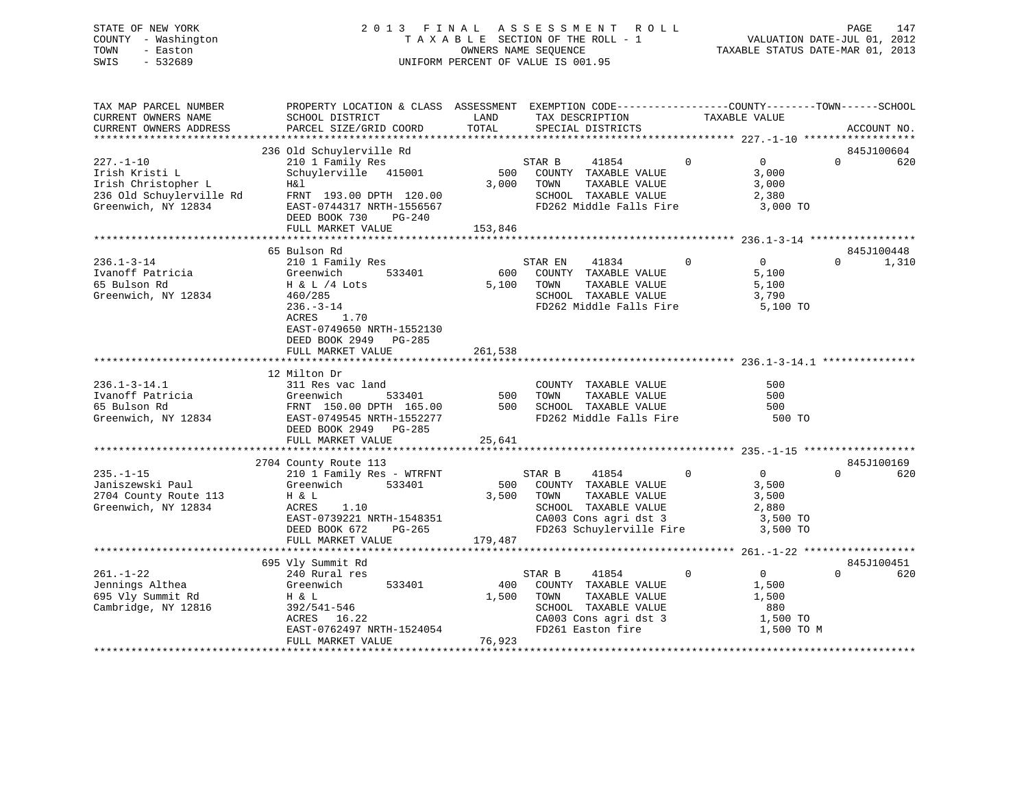### STATE OF NEW YORK 2 0 1 3 F I N A L A S S E S S M E N T R O L L PAGE 147 COUNTY - Washington T A X A B L E SECTION OF THE ROLL - 1 VALUATION DATE-JUL 01, 2012 TOWN - Easton **CONNERS NAME SEQUENCE** TAXABLE STATUS DATE-MAR 01, 2013 SWIS - 532689 UNIFORM PERCENT OF VALUE IS 001.95

| TAX MAP PARCEL NUMBER<br>CURRENT OWNERS NAME                                                                | PROPERTY LOCATION & CLASS ASSESSMENT EXEMPTION CODE---------------COUNTY-------TOWN------SCHOOL<br>SCHOOL DISTRICT                                                                   | LAND                   | TAX DESCRIPTION                                                                                                                                   | TAXABLE VALUE                                                                 |                                 |
|-------------------------------------------------------------------------------------------------------------|--------------------------------------------------------------------------------------------------------------------------------------------------------------------------------------|------------------------|---------------------------------------------------------------------------------------------------------------------------------------------------|-------------------------------------------------------------------------------|---------------------------------|
| CURRENT OWNERS ADDRESS                                                                                      | PARCEL SIZE/GRID COORD                                                                                                                                                               | TOTAL                  | SPECIAL DISTRICTS                                                                                                                                 |                                                                               | ACCOUNT NO.                     |
|                                                                                                             |                                                                                                                                                                                      |                        |                                                                                                                                                   |                                                                               |                                 |
| $227. - 1 - 10$<br>Irish Kristi L<br>Irish Christopher L<br>236 Old Schuylerville Rd<br>Greenwich, NY 12834 | 236 Old Schuylerville Rd<br>210 1 Family Res<br>Schuylerville 415001<br>H&l<br>FRNT 193.00 DPTH 120.00<br>EAST-0744317 NRTH-1556567<br>DEED BOOK 730<br>PG-240<br>FULL MARKET VALUE  | 3,000<br>153,846       | STAR B<br>41854<br>500 COUNTY TAXABLE VALUE<br>TOWN<br>TAXABLE VALUE<br>SCHOOL TAXABLE VALUE<br>FD262 Middle Falls Fire                           | $\Omega$<br>$\overline{0}$<br>3,000<br>3,000<br>2,380<br>3,000 TO             | 845J100604<br>$\Omega$<br>620   |
|                                                                                                             |                                                                                                                                                                                      |                        |                                                                                                                                                   |                                                                               |                                 |
| $236.1 - 3 - 14$<br>Ivanoff Patricia<br>65 Bulson Rd<br>Greenwich, NY 12834                                 | 65 Bulson Rd<br>210 1 Family Res<br>533401<br>Greenwich<br>$H \& L / 4$ Lots<br>460/285<br>$236. - 3 - 14$<br>ACRES<br>1.70<br>EAST-0749650 NRTH-1552130<br>DEED BOOK 2949<br>PG-285 | 600<br>5,100           | STAR EN<br>41834<br>COUNTY TAXABLE VALUE<br>TAXABLE VALUE<br>TOWN<br>SCHOOL TAXABLE VALUE<br>FD262 Middle Falls Fire                              | $\mathbf 0$<br>0<br>5,100<br>5,100<br>3,790<br>5,100 TO                       | 845J100448<br>$\Omega$<br>1,310 |
|                                                                                                             | FULL MARKET VALUE                                                                                                                                                                    | 261,538                |                                                                                                                                                   |                                                                               |                                 |
| $236.1 - 3 - 14.1$<br>Ivanoff Patricia<br>65 Bulson Rd<br>Greenwich, NY 12834                               | 12 Milton Dr<br>311 Res vac land<br>533401<br>Greenwich<br>FRNT 150.00 DPTH 165.00<br>EAST-0749545 NRTH-1552277<br>DEED BOOK 2949<br>PG-285<br>FULL MARKET VALUE                     | 500<br>500<br>25,641   | COUNTY TAXABLE VALUE<br>TOWN<br>TAXABLE VALUE<br>SCHOOL TAXABLE VALUE<br>FD262 Middle Falls Fire                                                  | 500<br>500<br>500<br>500 TO                                                   |                                 |
|                                                                                                             |                                                                                                                                                                                      |                        |                                                                                                                                                   |                                                                               |                                 |
| $235. -1 - 15$<br>Janiszewski Paul<br>2704 County Route 113<br>Greenwich, NY 12834                          | 2704 County Route 113<br>210 1 Family Res - WTRFNT<br>533401<br>Greenwich<br>H & L<br>ACRES<br>1.10<br>EAST-0739221 NRTH-1548351<br>DEED BOOK 672<br>PG-265<br>FULL MARKET VALUE     | 3,500<br>179,487       | 41854<br>STAR B<br>500 COUNTY TAXABLE VALUE<br>TOWN<br>TAXABLE VALUE<br>SCHOOL TAXABLE VALUE<br>CA003 Cons agri dst 3<br>FD263 Schuylerville Fire | $\Omega$<br>$\overline{0}$<br>3,500<br>3,500<br>2,880<br>3,500 TO<br>3,500 TO | 845J100169<br>$\Omega$<br>620   |
|                                                                                                             |                                                                                                                                                                                      |                        |                                                                                                                                                   |                                                                               |                                 |
| $261. - 1 - 22$<br>Jennings Althea<br>695 Vly Summit Rd<br>Cambridge, NY 12816                              | 695 Vly Summit Rd<br>240 Rural res<br>533401<br>Greenwich<br>H & L<br>392/541-546<br>ACRES 16.22<br>EAST-0762497 NRTH-1524054<br>FULL MARKET VALUE                                   | 400<br>1,500<br>76,923 | 41854<br>STAR B<br>COUNTY TAXABLE VALUE<br>TOWN<br>TAXABLE VALUE<br>SCHOOL TAXABLE VALUE<br>CA003 Cons agri dst 3<br>FD261 Easton fire            | $\mathbf 0$<br>0<br>1,500<br>1,500<br>880<br>1,500 TO<br>1,500 TO M           | 845J100451<br>$\Omega$<br>620   |
|                                                                                                             |                                                                                                                                                                                      |                        |                                                                                                                                                   |                                                                               |                                 |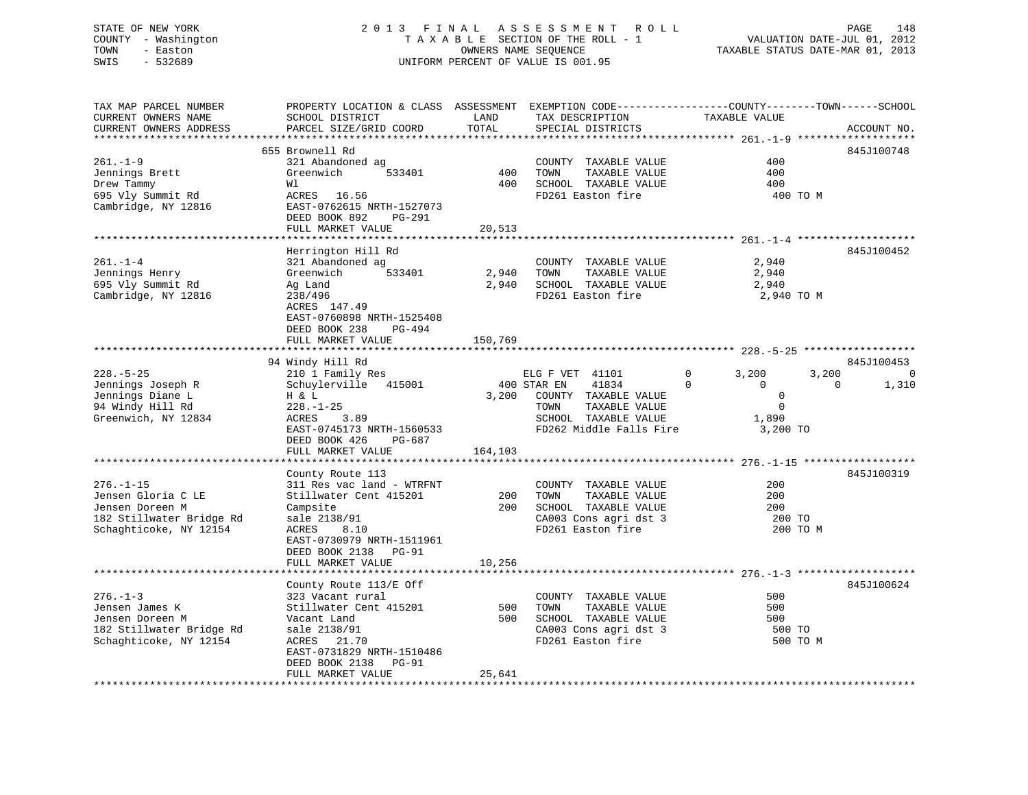### STATE OF NEW YORK 2 0 1 3 F I N A L A S S E S S M E N T R O L L PAGE 148 COUNTY - Washington T A X A B L E SECTION OF THE ROLL - 1 VALUATION DATE-JUL 01, 2012 TOWN - Easton OWNERS NAME SEQUENCE TAXABLE STATUS DATE-MAR 01, 2013 SWIS - 532689 UNIFORM PERCENT OF VALUE IS 001.95

TAX MAP PARCEL NUMBER PROPERTY LOCATION & CLASS ASSESSMENT EXEMPTION CODE------------------COUNTY--------TOWN------SCHOOL CURRENT OWNERS NAME SCHOOL DISTRICT LAND TAX DESCRIPTION TAXABLE VALUE CURRENT OWNERS ADDRESS PARCEL SIZE/GRID COORD TOTAL SPECIAL DISTRICTS ACCOUNT NO. \*\*\*\*\*\*\*\*\*\*\*\*\*\*\*\*\*\*\*\*\*\*\*\*\*\*\*\*\*\*\*\*\*\*\*\*\*\*\*\*\*\*\*\*\*\*\*\*\*\*\*\*\*\*\*\*\*\*\*\*\*\*\*\*\*\*\*\*\*\*\*\*\*\*\*\*\*\*\*\*\*\*\*\*\*\*\*\*\*\*\*\*\*\*\*\*\*\*\*\*\*\*\* 261.-1-9 \*\*\*\*\*\*\*\*\*\*\*\*\*\*\*\*\*\*\* 655 Brownell Rd 845J100748261.-1-9 321 Abandoned ag COUNTY TAXABLE VALUE 400 Jennings Brett Greenwich 533401 400 TOWN TAXABLE VALUE 400 Drew Tammy Wl 400 SCHOOL TAXABLE VALUE 400 695 Vly Summit Rd ACRES 16.56 FD261 Easton fire 400 TO M Cambridge, NY 12816 EAST-0762615 NRTH-1527073 DEED BOOK 892 PG-291FULL MARKET VALUE 20,513 \*\*\*\*\*\*\*\*\*\*\*\*\*\*\*\*\*\*\*\*\*\*\*\*\*\*\*\*\*\*\*\*\*\*\*\*\*\*\*\*\*\*\*\*\*\*\*\*\*\*\*\*\*\*\*\*\*\*\*\*\*\*\*\*\*\*\*\*\*\*\*\*\*\*\*\*\*\*\*\*\*\*\*\*\*\*\*\*\*\*\*\*\*\*\*\*\*\*\*\*\*\*\* 261.-1-4 \*\*\*\*\*\*\*\*\*\*\*\*\*\*\*\*\*\*\* Herrington Hill Rd 845J100452 261.-1-4 321 Abandoned ag COUNTY TAXABLE VALUE 2,940 Jennings Henry Greenwich 533401 2,940 TOWN TAXABLE VALUE 2,940 695 Vly Summit Rd Ag Land 2,940 SCHOOL TAXABLE VALUE 2,940 Cambridge, NY 12816 238/496 FD261 Easton fire 2,940 TO M EAST-0760898 NRTH-1525408 DEED BOOK 238 PG-494FULL MARKET VALUE 150,769 \*\*\*\*\*\*\*\*\*\*\*\*\*\*\*\*\*\*\*\*\*\*\*\*\*\*\*\*\*\*\*\*\*\*\*\*\*\*\*\*\*\*\*\*\*\*\*\*\*\*\*\*\*\*\*\*\*\*\*\*\*\*\*\*\*\*\*\*\*\*\*\*\*\*\*\*\*\*\*\*\*\*\*\*\*\*\*\*\*\*\*\*\*\*\*\*\*\*\*\*\*\*\* 228.-5-25 \*\*\*\*\*\*\*\*\*\*\*\*\*\*\*\*\*\*845J100453 94 Windy Hill Rd 845J100453 228.-5-25 210 1 Family Res ELG F VET 41101 0 3,200 3,200 0 Jennings Joseph R Schuylerville 415001 400 STAR EN 41834 0 0 0 1,310 Jennings Diane L H & L 3,200 COUNTY TAXABLE VALUE 0 94 Windy Hill Rd 228.-1-25 TOWN TAXABLE VALUE 0 Greenwich, NY 12834 ACRES 3.89 SCHOOL TAXABLE VALUE 1,890 EAST-0745173 NRTH-1560533 FD262 Middle Falls Fire 3,200 TO DEED BOOK 426 PG-687 FULL MARKET VALUE 164,103 \*\*\*\*\*\*\*\*\*\*\*\*\*\*\*\*\*\*\*\*\*\*\*\*\*\*\*\*\*\*\*\*\*\*\*\*\*\*\*\*\*\*\*\*\*\*\*\*\*\*\*\*\*\*\*\*\*\*\*\*\*\*\*\*\*\*\*\*\*\*\*\*\*\*\*\*\*\*\*\*\*\*\*\*\*\*\*\*\*\*\*\*\*\*\*\*\*\*\*\*\*\*\* 276.-1-15 \*\*\*\*\*\*\*\*\*\*\*\*\*\*\*\*\*\* County Route 113 845J100319 276.-1-15 311 Res vac land - WTRFNT COUNTY TAXABLE VALUE 200Jensen Gloria C LE Stillwater Cent 415201 200 TOWN TAXABLE VALUE 200 $200$ Jensen Doreen M Campsite 200 SCHOOL TAXABLE VALUE 200 182 Stillwater Bridge Rd sale 2138/91 CA003 Cons agri dst 3 200 TO Schaghticoke, NY 12154 Campsite Service Canadian Campsite (Service Canadian Campsite 200 SCHOOL TAXABLE VALUE<br>182 Stillwater Bridge Rd sale 2138/91 (A003 Cons agri dst 3 200 TO M<br>Schaghticoke, NY 12154 ACRES 8.10 FD261 Eas EAST-0730979 NRTH-1511961 DEED BOOK 2138 PG-91FULL MARKET VALUE 10,256 \*\*\*\*\*\*\*\*\*\*\*\*\*\*\*\*\*\*\*\*\*\*\*\*\*\*\*\*\*\*\*\*\*\*\*\*\*\*\*\*\*\*\*\*\*\*\*\*\*\*\*\*\*\*\*\*\*\*\*\*\*\*\*\*\*\*\*\*\*\*\*\*\*\*\*\*\*\*\*\*\*\*\*\*\*\*\*\*\*\*\*\*\*\*\*\*\*\*\*\*\*\*\* 276.-1-3 \*\*\*\*\*\*\*\*\*\*\*\*\*\*\*\*\*\*\*County Route  $113/E$  Off  $845J100624$ 276.-1-3 323 Vacant rural COUNTY TAXABLE VALUE 500500 Jensen James K Stillwater Cent 415201 500 TOWN TAXABLE VALUE 500Jensen Doreen M Vacant Land 500 SCHOOL TAXABLE VALUE 500182 Stillwater Bridge Rd sale 2138/91 CA003 Cons agri dst 3 500 TO Schaghticoke, NY 12154 ACRES 21.70 FD261 Easton fire 500 TO M EAST-0731829 NRTH-1510486 DEED BOOK 2138 PG-91FULL MARKET VALUE 25,641 \*\*\*\*\*\*\*\*\*\*\*\*\*\*\*\*\*\*\*\*\*\*\*\*\*\*\*\*\*\*\*\*\*\*\*\*\*\*\*\*\*\*\*\*\*\*\*\*\*\*\*\*\*\*\*\*\*\*\*\*\*\*\*\*\*\*\*\*\*\*\*\*\*\*\*\*\*\*\*\*\*\*\*\*\*\*\*\*\*\*\*\*\*\*\*\*\*\*\*\*\*\*\*\*\*\*\*\*\*\*\*\*\*\*\*\*\*\*\*\*\*\*\*\*\*\*\*\*\*\*\*\*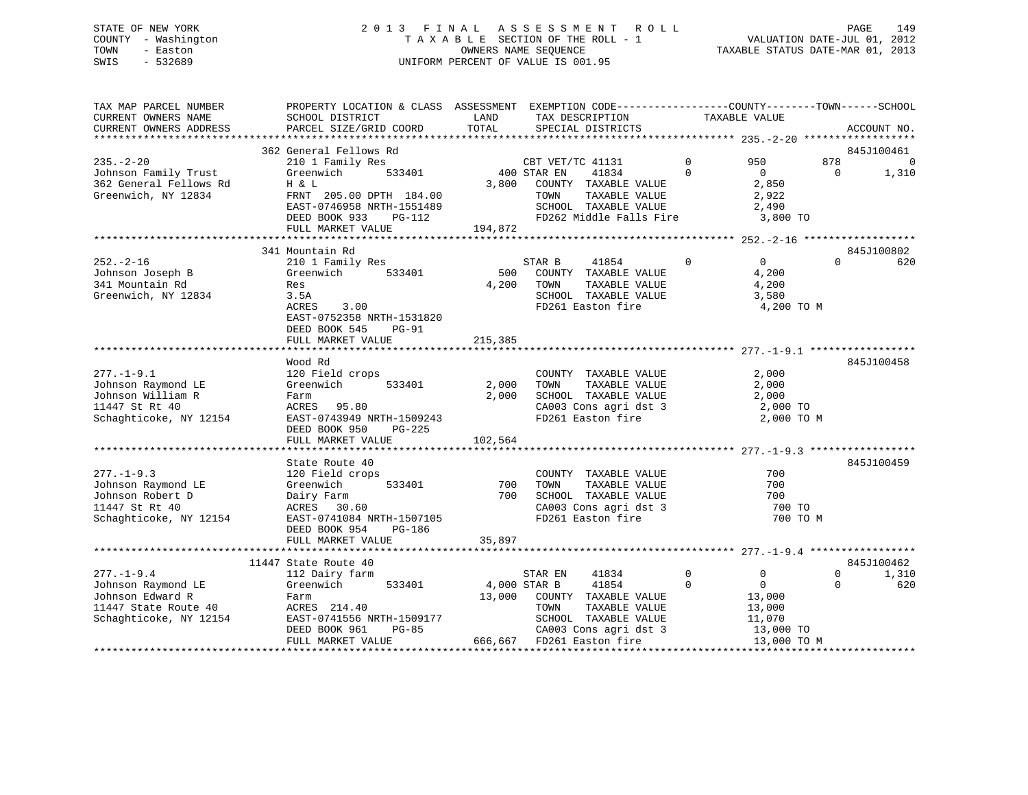### STATE OF NEW YORK 2 0 1 3 F I N A L A S S E S S M E N T R O L L PAGE 149 COUNTY - Washington T A X A B L E SECTION OF THE ROLL - 1 VALUATION DATE-JUL 01, 2012 TOWN - Easton OWNERS NAME SEQUENCE TAXABLE STATUS DATE-MAR 01, 2013 SWIS - 532689 UNIFORM PERCENT OF VALUE IS 001.95

| TAX MAP PARCEL NUMBER<br>CURRENT OWNERS NAME<br>CURRENT OWNERS ADDRESS | PROPERTY LOCATION & CLASS ASSESSMENT EXEMPTION CODE----------------COUNTY-------TOWN------SCHOOL<br>SCHOOL DISTRICT<br>PARCEL SIZE/GRID COORD | LAND<br>TOTAL | TAX DESCRIPTION<br>SPECIAL DISTRICTS     |                      | TAXABLE VALUE   |                 | ACCOUNT NO.       |
|------------------------------------------------------------------------|-----------------------------------------------------------------------------------------------------------------------------------------------|---------------|------------------------------------------|----------------------|-----------------|-----------------|-------------------|
|                                                                        |                                                                                                                                               |               |                                          |                      |                 |                 |                   |
|                                                                        | 362 General Fellows Rd                                                                                                                        |               |                                          |                      |                 |                 | 845J100461        |
| $235. - 2 - 20$<br>Johnson Family Trust                                | 210 1 Family Res<br>Greenwich<br>533401                                                                                                       |               | CBT VET/TC 41131<br>400 STAR EN<br>41834 | $\Omega$<br>$\Omega$ | 950<br>$\Omega$ | 878<br>$\Omega$ | $\Omega$<br>1,310 |
| 362 General Fellows Rd                                                 | H & L                                                                                                                                         | 3,800         | COUNTY TAXABLE VALUE                     |                      | 2,850           |                 |                   |
| Greenwich, NY 12834                                                    | FRNT 205.00 DPTH 184.00                                                                                                                       |               | TAXABLE VALUE<br>TOWN                    |                      | 2,922           |                 |                   |
|                                                                        | EAST-0746958 NRTH-1551489                                                                                                                     |               | SCHOOL TAXABLE VALUE                     |                      | 2,490           |                 |                   |
|                                                                        | DEED BOOK 933<br>PG-112                                                                                                                       |               | FD262 Middle Falls Fire                  |                      | 3,800 TO        |                 |                   |
|                                                                        | FULL MARKET VALUE                                                                                                                             | 194,872       |                                          |                      |                 |                 |                   |
|                                                                        |                                                                                                                                               |               |                                          |                      |                 |                 |                   |
| $252. - 2 - 16$                                                        | 341 Mountain Rd<br>210 1 Family Res                                                                                                           |               | STAR B<br>41854                          | $\mathbf 0$          | $\overline{0}$  | $\Omega$        | 845J100802<br>620 |
| Johnson Joseph B                                                       | Greenwich<br>533401                                                                                                                           | 500           | COUNTY TAXABLE VALUE                     |                      | 4,200           |                 |                   |
| 341 Mountain Rd                                                        | Res                                                                                                                                           | 4,200         | TOWN<br>TAXABLE VALUE                    |                      | 4,200           |                 |                   |
| Greenwich, NY 12834                                                    | 3.5A                                                                                                                                          |               | SCHOOL TAXABLE VALUE                     |                      | 3,580           |                 |                   |
|                                                                        | 3.00<br>ACRES                                                                                                                                 |               | FD261 Easton fire                        |                      | 4,200 TO M      |                 |                   |
|                                                                        | EAST-0752358 NRTH-1531820                                                                                                                     |               |                                          |                      |                 |                 |                   |
|                                                                        | DEED BOOK 545<br><b>PG-91</b>                                                                                                                 |               |                                          |                      |                 |                 |                   |
|                                                                        | FULL MARKET VALUE                                                                                                                             | 215,385       |                                          |                      |                 |                 |                   |
|                                                                        |                                                                                                                                               |               |                                          |                      |                 |                 |                   |
|                                                                        | Wood Rd                                                                                                                                       |               |                                          |                      |                 |                 | 845J100458        |
| $277. - 1 - 9.1$                                                       | 120 Field crops                                                                                                                               |               | COUNTY TAXABLE VALUE                     |                      | 2,000           |                 |                   |
| Johnson Raymond LE                                                     | Greenwich<br>533401                                                                                                                           | 2,000         | TAXABLE VALUE<br>TOWN                    |                      | 2,000           |                 |                   |
| Johnson William R                                                      | Farm                                                                                                                                          | 2,000         | SCHOOL TAXABLE VALUE                     |                      | 2,000           |                 |                   |
| 11447 St Rt 40                                                         | ACRES 95.80                                                                                                                                   |               | CA003 Cons agri dst 3                    |                      | 2,000 TO        |                 |                   |
| Schaghticoke, NY 12154                                                 | EAST-0743949 NRTH-1509243                                                                                                                     |               | FD261 Easton fire                        |                      | 2,000 TO M      |                 |                   |
|                                                                        | DEED BOOK 950<br>PG-225                                                                                                                       |               |                                          |                      |                 |                 |                   |
|                                                                        | FULL MARKET VALUE                                                                                                                             | 102,564       |                                          |                      |                 |                 |                   |
|                                                                        | State Route 40                                                                                                                                |               |                                          |                      |                 |                 | 845J100459        |
| $277. - 1 - 9.3$                                                       | 120 Field crops                                                                                                                               |               | COUNTY TAXABLE VALUE                     |                      | 700             |                 |                   |
| Johnson Raymond LE                                                     | Greenwich<br>533401                                                                                                                           | 700           | TOWN<br>TAXABLE VALUE                    |                      | 700             |                 |                   |
| Johnson Robert D                                                       | Dairy Farm                                                                                                                                    | 700           | SCHOOL TAXABLE VALUE                     |                      | 700             |                 |                   |
| 11447 St Rt 40                                                         | ACRES 30.60                                                                                                                                   |               | CA003 Cons agri dst 3                    |                      | 700 TO          |                 |                   |
| Schaghticoke, NY 12154                                                 | EAST-0741084 NRTH-1507105                                                                                                                     |               | FD261 Easton fire                        |                      | 700 TO M        |                 |                   |
|                                                                        | DEED BOOK 954<br>PG-186                                                                                                                       |               |                                          |                      |                 |                 |                   |
|                                                                        | FULL MARKET VALUE                                                                                                                             | 35,897        |                                          |                      |                 |                 |                   |
|                                                                        |                                                                                                                                               |               |                                          |                      |                 |                 |                   |
|                                                                        | 11447 State Route 40                                                                                                                          |               |                                          |                      |                 |                 | 845J100462        |
| $277. - 1 - 9.4$                                                       | 112 Dairy farm                                                                                                                                |               | STAR EN<br>41834                         | $\mathbf 0$          | 0               | $\Omega$        | 1,310             |
| Johnson Raymond LE                                                     | 533401<br>Greenwich                                                                                                                           |               | 4,000 STAR B<br>41854                    | $\Omega$             | $\Omega$        | $\Omega$        | 620               |
| Johnson Edward R                                                       | Farm                                                                                                                                          | 13,000        | COUNTY TAXABLE VALUE                     |                      | 13,000          |                 |                   |
| 11447 State Route 40                                                   | ACRES 214.40                                                                                                                                  |               | TOWN<br>TAXABLE VALUE                    |                      | 13,000          |                 |                   |
| Schaghticoke, NY 12154                                                 | EAST-0741556 NRTH-1509177                                                                                                                     |               | SCHOOL TAXABLE VALUE                     |                      | 11,070          |                 |                   |
|                                                                        | DEED BOOK 961<br>$PG-85$                                                                                                                      |               | CA003 Cons agri dst 3                    |                      | 13,000 TO       |                 |                   |
|                                                                        | FULL MARKET VALUE                                                                                                                             | 666,667       | FD261 Easton fire                        |                      | 13,000 TO M     |                 |                   |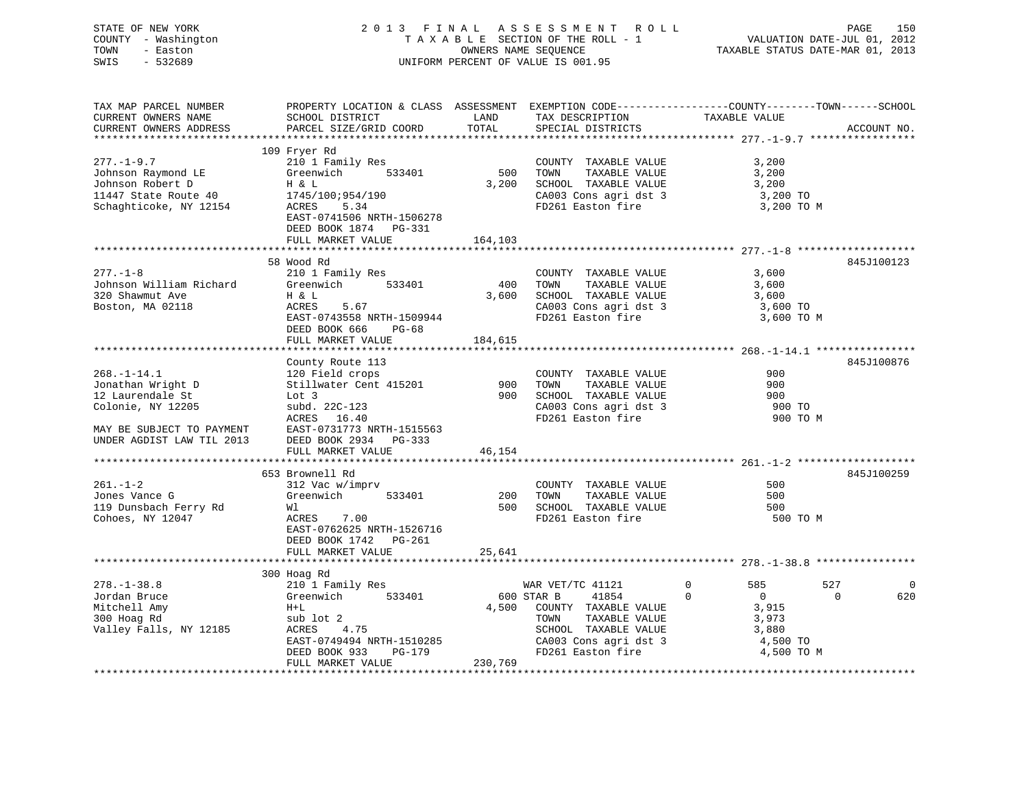| STATE OF NEW YORK<br>COUNTY - Washington<br>TOWN<br>- Easton<br>SWIS<br>$-532689$                                                         |                                                                                                                                                                               |                         | 2013 FINAL ASSESSMENT ROLL<br>TAXABLE SECTION OF THE ROLL - 1<br>OWNERS NAME SEQUENCE<br>UNIFORM PERCENT OF VALUE IS 001.95                                                            | VALUATION DATE-JUL 01, 2012<br>TAXABLE STATUS DATE-MAR 01, 2013                                              | PAGE<br>150                 |
|-------------------------------------------------------------------------------------------------------------------------------------------|-------------------------------------------------------------------------------------------------------------------------------------------------------------------------------|-------------------------|----------------------------------------------------------------------------------------------------------------------------------------------------------------------------------------|--------------------------------------------------------------------------------------------------------------|-----------------------------|
| TAX MAP PARCEL NUMBER<br>CURRENT OWNERS NAME<br>CURRENT OWNERS ADDRESS                                                                    | PROPERTY LOCATION & CLASS ASSESSMENT EXEMPTION CODE----------------COUNTY-------TOWN------SCHOOL<br>SCHOOL DISTRICT<br>PARCEL SIZE/GRID COORD                                 | LAND<br>TOTAL           | $\begin{tabular}{lllllllll} \texttt{KEMPITION} & \texttt{CODE} \texttt{---} \texttt{---} & \texttt{TAXABLE VALUE} \\ \texttt{TAX DESCRIPITION} & \texttt{TAXABLE VALUE} \end{tabular}$ |                                                                                                              | ACCOUNT NO.                 |
| $277. - 1 - 9.7$<br>Johnson Raymond LE<br>Johnson Robert D<br>11447 State Route 40<br>Schaghticoke, NY 12154                              | 109 Fryer Rd<br>210 1 Family Res<br>Greenwich 533401<br>H & L<br>1745/100;954/190<br>ACRES<br>5.34<br>EAST-0741506 NRTH-1506278<br>DEED BOOK 1874 PG-331<br>FULL MARKET VALUE | 500<br>3,200<br>164,103 | COUNTY TAXABLE VALUE<br>TOWN<br>TAXABLE VALUE<br>SCHOOL TAXABLE VALUE<br>CA003 Cons agri dst 3<br>FD261 Easton fire                                                                    | 3,200<br>3,200<br>3,200<br>3,200 TO<br>3,200 TO M                                                            |                             |
|                                                                                                                                           | **************************                                                                                                                                                    |                         |                                                                                                                                                                                        |                                                                                                              |                             |
| $277. - 1 - 8$<br>Johnson William Richard<br>320 Shawmut Ave<br>Boston, MA 02118                                                          | 58 Wood Rd<br>210 1 Family Res<br>533401<br>Greenwich<br>H & L<br>5.67<br>ACRES<br>EAST-0743558 NRTH-1509944<br>DEED BOOK 666 PG-68<br>FULL MARKET VALUE                      | 400<br>3,600<br>184,615 | COUNTY TAXABLE VALUE<br>TOWN<br>TAXABLE VALUE<br>SCHOOL TAXABLE VALUE<br>CA003 Cons agri dst 3<br>FD261 Easton fire                                                                    | 3,600<br>3,600<br>3,600<br>3,600 TO<br>3,600 TO M                                                            | 845J100123                  |
|                                                                                                                                           |                                                                                                                                                                               |                         |                                                                                                                                                                                        |                                                                                                              |                             |
| $268. - 1 - 14.1$<br>Jonathan Wright D<br>12 Laurendale St<br>Colonie, NY 12205<br>MAY BE SUBJECT TO PAYMENT<br>UNDER AGDIST LAW TIL 2013 | County Route 113<br>120 Field crops<br>Stillwater Cent 415201<br>Lot 3<br>subd. 22C-123<br>ACRES 16.40<br>EAST-0731773 NRTH-1515563<br>DEED BOOK 2934 PG-333                  | 900<br>900              | COUNTY TAXABLE VALUE<br>TOWN<br>TAXABLE VALUE<br>SCHOOL TAXABLE VALUE<br>CA003 Cons agri dst 3<br>FD261 Easton fire                                                                    | 900<br>900<br>900<br>900 TO<br>900 TO M                                                                      | 845J100876                  |
|                                                                                                                                           | FULL MARKET VALUE                                                                                                                                                             | 46,154                  |                                                                                                                                                                                        |                                                                                                              |                             |
|                                                                                                                                           | 653 Brownell Rd                                                                                                                                                               |                         |                                                                                                                                                                                        |                                                                                                              | 845J100259                  |
| $261. - 1 - 2$<br>Jones Vance G<br>119 Dunsbach Ferry Rd<br>Cohoes, NY 12047                                                              | 312 Vac w/imprv<br>533401<br>Greenwich<br>Wl<br>ACRES 7.00<br>EAST-0762625 NRTH-1526716<br>DEED BOOK 1742 PG-261<br>FULL MARKET VALUE                                         | 200<br>500<br>25,641    | COUNTY TAXABLE VALUE<br>TOWN<br>TAXABLE VALUE<br>SCHOOL TAXABLE VALUE<br>FD261 Easton fire                                                                                             | 500<br>500<br>500<br>500 TO M                                                                                |                             |
|                                                                                                                                           |                                                                                                                                                                               |                         |                                                                                                                                                                                        |                                                                                                              |                             |
| $278. - 1 - 38.8$<br>Jordan Bruce<br>Mitchell Amy<br>300 Hoag Rd<br>Valley Falls, NY 12185                                                | 300 Hoag Rd<br>210 1 Family Res<br>Greenwich 533401<br>$H+L$<br>sub lot 2<br>ACRES<br>4.75<br>EAST-0749494 NRTH-1510285<br>PG-179<br>DEED BOOK 933                            | 4,500                   | WAR VET/TC 41121<br>600 STAR B<br>41854<br>COUNTY TAXABLE VALUE<br>TAXABLE VALUE<br>TOWN<br>SCHOOL TAXABLE VALUE<br>CA003 Cons agri dst 3<br>FD261 Easton fire                         | $\overline{0}$<br>585<br>$\overline{0}$<br>$\mathbf{0}$<br>3,915<br>3,973<br>3,880<br>4,500 TO<br>4,500 TO M | 527<br>0<br>$\Omega$<br>620 |
|                                                                                                                                           | FULL MARKET VALUE                                                                                                                                                             | 230,769                 |                                                                                                                                                                                        |                                                                                                              |                             |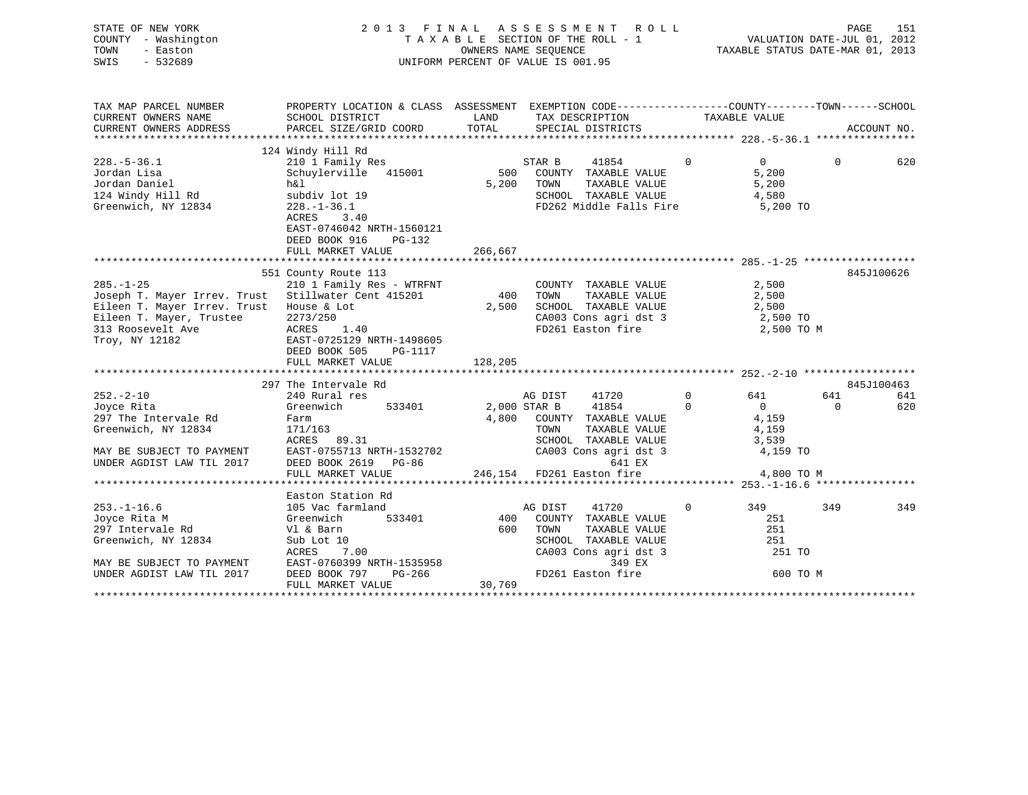| STATE OF NEW YORK<br>COUNTY<br>- Washington<br>TOWN<br>- Easton<br>$-532689$<br>SWIS                                                                                         |                                                                                                                                |                                                                                                           | 2013 FINAL ASSESSMENT ROLL<br>TAXABLE SECTION OF THE ROLL - 1<br>OWNERS NAME SEQUENCE TAXABLE STATUS DATE-MAR 01, 2013<br>UNIFORM PERCENT OF VALUE IS 001.95 |                                |                                           | PAGE           | 151         |
|------------------------------------------------------------------------------------------------------------------------------------------------------------------------------|--------------------------------------------------------------------------------------------------------------------------------|-----------------------------------------------------------------------------------------------------------|--------------------------------------------------------------------------------------------------------------------------------------------------------------|--------------------------------|-------------------------------------------|----------------|-------------|
| TAX MAP PARCEL NUMBER<br>CURRENT OWNERS NAME                                                                                                                                 | PROPERTY LOCATION & CLASS ASSESSMENT EXEMPTION CODE----------------COUNTY-------TOWN------SCHOOL<br>SCHOOL DISTRICT            | <b>EXAMPLE THE STATE OF STATE OF STATE OF STATE OF STATE OF STATE OF STATE OF STATE OF STATE OF STATE</b> | TAX DESCRIPTION TAXABLE VALUE                                                                                                                                |                                |                                           |                | ACCOUNT NO. |
| $228 - 5 - 36.1$<br>Jordan Lisa <b>Baratasa</b><br>Jordan Daniel<br>124 Windy Hill Rd<br>Greenwich, NY 12834                                                                 | 124 Windy Hill Rd<br>$h\&1$<br>subdiv lot 19<br>228.-1-36.1<br>ACRES 3.40<br>EAST-0746042 NRTH-1560121<br>DEED BOOK 916 PG-132 | 5,200                                                                                                     | TOWN<br>SCHOOL<br>FD262 Middle Falls Fire 5,200 TO                                                                                                           | TAXABLE VALUE<br>TAXABLE VALUE | $\overline{0}$<br>5,200<br>5,200<br>4,580 | $\overline{0}$ | 620         |
|                                                                                                                                                                              | FULL MARKET VALUE                                                                                                              | 266,667                                                                                                   |                                                                                                                                                              |                                |                                           |                |             |
|                                                                                                                                                                              | 551 County Route 113                                                                                                           |                                                                                                           |                                                                                                                                                              |                                |                                           |                | 845J100626  |
| $285. -1 - 25$<br>Joseph T. Mayer Irrev. Trust Stillwater Cent 415201 400<br>Eileen T. Mayer Irrev. Trust<br>Eileen T. Mayer, Trustee<br>313 Roosevelt Ave<br>Troy, NY 12182 | 210 1 Family Res - WTRFNT<br>House & Lot<br>2273/250<br>ACRES 1.40<br>EAST-0725129 NRTH-1498605                                | 2,500                                                                                                     | COUNTY TAXABLE VALUE<br>TOWN<br>SCHOOL TAXABLE VALUE<br>CA003 Cons agri dst 3 2,500 TO<br>FD261 Easton fire                                                  | TAXABLE VALUE                  | 2,500<br>2,500<br>2,500<br>2,500 TO M     |                |             |

641<br>620

|                                                                              | 297 The Intervale Rd      |                                                          |               |                       |            |                |          | 845J100463 |
|------------------------------------------------------------------------------|---------------------------|----------------------------------------------------------|---------------|-----------------------|------------|----------------|----------|------------|
| $252 - 2 - 10$                                                               | 240 Rural res             |                                                          | AG DIST       | 41720                 |            | 641 64         | 641      | 641        |
| Joyce Rita                                                                   | Greenwich 533401          | 2,000 STAR B 41854                                       |               |                       | $\bigcirc$ | $\overline{0}$ | $\Omega$ | 620        |
| 297 The Intervale Rd                                                         | Farm                      | 4,800                                                    | COUNTY        | TAXABLE VALUE         |            | 4,159          |          |            |
| Greenwich, NY 12834                                                          | 171/163                   |                                                          | TOWN          | TAXABLE VALUE         |            | 4,159          |          |            |
|                                                                              | ACRES 89.31               |                                                          | SCHOOL        | TAXABLE VALUE         |            | 3,539          |          |            |
| MAY BE SUBJECT TO PAYMENT EAST-0755713 NRTH-1532702                          |                           |                                                          |               | CA003 Cons agri dst 3 |            | 4,159 TO       |          |            |
| UNDER AGDIST LAW TIL 2017                                                    | DEED BOOK 2619 PG-86      |                                                          |               | 641 EX                |            |                |          |            |
|                                                                              |                           | FULL MARKET VALUE $246,154$ FD261 Easton fire 4,800 TO M |               |                       |            |                |          |            |
|                                                                              |                           |                                                          |               |                       |            |                |          |            |
|                                                                              |                           |                                                          |               |                       |            |                |          |            |
|                                                                              | Easton Station Rd         |                                                          |               |                       |            |                |          |            |
|                                                                              | 105 Vac farmland          |                                                          | AG DIST 41720 | $\sim$ 0              |            | 349            | 349      | 349        |
|                                                                              | 533401<br>Greenwich       |                                                          | 400 COUNTY    | TAXABLE VALUE         |            | 251            |          |            |
|                                                                              | Vl & Barn                 | 600                                                      | TOWN          | TAXABLE VALUE         |            | 251            |          |            |
|                                                                              | Sub Lot 10                |                                                          | SCHOOL        | TAXABLE VALUE         |            | 251            |          |            |
| $253. - 1 - 16.6$<br>Joyce Rita M<br>297 Intervale Rd<br>Greenwich, NY 12834 | ACRES 7.00                |                                                          |               | CA003 Cons agri dst 3 |            | 251 TO         |          |            |
| MAY BE SUBJECT TO PAYMENT                                                    | EAST-0760399 NRTH-1535958 |                                                          |               | 349 EX                |            |                |          |            |
| UNDER AGDIST LAW TIL 2017                                                    | DEED BOOK 797             | PG-266                                                   |               | FD261 Easton fire     |            | 600 TO M       |          |            |

Troy, NY 12182 EAST-0725129 NRTH-1498605 DEED BOOK 505 PG-1117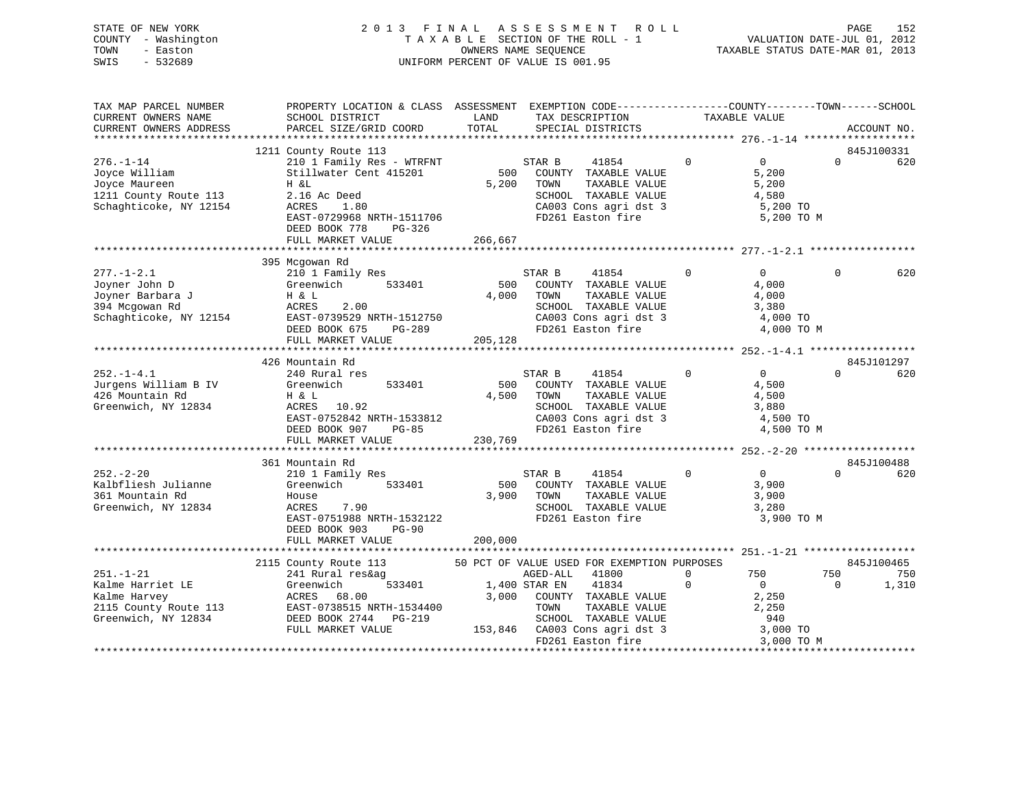| STATE OF NEW YORK   | 2013 FINAL ASSESSMENT ROLL         | 152<br>PAGE                      |
|---------------------|------------------------------------|----------------------------------|
| COUNTY - Washington | TAXABLE SECTION OF THE ROLL - 1    | VALUATION DATE-JUL 01, 2012      |
| TOWN<br>- Easton    | OWNERS NAME SEOUENCE               | TAXABLE STATUS DATE-MAR 01, 2013 |
| - 532689<br>SWIS    | UNIFORM PERCENT OF VALUE IS 001.95 |                                  |

| TAX MAP PARCEL NUMBER  | PROPERTY LOCATION & CLASS ASSESSMENT EXEMPTION CODE---------------COUNTY-------TOWN------SCHOOL |         |                 |                                             |             |                   |          |             |
|------------------------|-------------------------------------------------------------------------------------------------|---------|-----------------|---------------------------------------------|-------------|-------------------|----------|-------------|
| CURRENT OWNERS NAME    | SCHOOL DISTRICT                                                                                 | LAND    | TAX DESCRIPTION |                                             |             | TAXABLE VALUE     |          |             |
| CURRENT OWNERS ADDRESS | PARCEL SIZE/GRID COORD                                                                          | TOTAL   |                 | SPECIAL DISTRICTS                           |             |                   |          | ACCOUNT NO. |
|                        |                                                                                                 |         |                 |                                             |             |                   |          |             |
|                        | 1211 County Route 113                                                                           |         |                 |                                             |             |                   |          | 845J100331  |
| $276. - 1 - 14$        | 210 1 Family Res - WTRFNT                                                                       |         | STAR B          | 41854                                       | $\mathbf 0$ | $0 \qquad \qquad$ | $\Omega$ | 620         |
| Joyce William          | Stillwater Cent 415201                                                                          | 500     |                 | COUNTY TAXABLE VALUE                        |             | 5,200             |          |             |
| Joyce Maureen          | H &L                                                                                            | 5,200   | TOWN            | TAXABLE VALUE                               |             | 5,200             |          |             |
| 1211 County Route 113  | 2.16 Ac Deed                                                                                    |         |                 | SCHOOL TAXABLE VALUE                        |             | 4,580             |          |             |
| Schaghticoke, NY 12154 | ACRES<br>1.80                                                                                   |         |                 | CA003 Cons agri dst 3                       |             | 5,200 TO          |          |             |
|                        | EAST-0729968 NRTH-1511706                                                                       |         |                 | FD261 Easton fire                           |             | 5,200 TO M        |          |             |
|                        | DEED BOOK 778<br>PG-326                                                                         |         |                 |                                             |             |                   |          |             |
|                        | FULL MARKET VALUE                                                                               | 266,667 |                 |                                             |             |                   |          |             |
|                        |                                                                                                 |         |                 |                                             |             |                   |          |             |
|                        | 395 Mcgowan Rd                                                                                  |         |                 |                                             |             |                   |          |             |
| $277. - 1 - 2.1$       | 210 1 Family Res                                                                                |         | STAR B          | 41854                                       | $\Omega$    | $\Omega$          | $\Omega$ | 620         |
| Joyner John D          | Greenwich<br>533401                                                                             | 500     |                 | COUNTY TAXABLE VALUE                        |             | 4,000             |          |             |
| Joyner Barbara J       | H & L                                                                                           | 4,000   | TOWN            | TAXABLE VALUE                               |             | 4,000             |          |             |
| 394 Mcgowan Rd         | ACRES<br>2.00                                                                                   |         |                 | SCHOOL TAXABLE VALUE                        |             | 3,380             |          |             |
| Schaghticoke, NY 12154 | EAST-0739529 NRTH-1512750                                                                       |         |                 | CA003 Cons agri dst 3                       |             | 4,000 TO          |          |             |
|                        | DEED BOOK 675<br>PG-289                                                                         |         |                 | FD261 Easton fire                           |             | 4,000 TO M        |          |             |
|                        | FULL MARKET VALUE                                                                               | 205,128 |                 |                                             |             |                   |          |             |
|                        |                                                                                                 |         |                 |                                             |             |                   |          |             |
|                        | 426 Mountain Rd                                                                                 |         |                 |                                             |             |                   |          | 845J101297  |
| $252. - 1 - 4.1$       | 240 Rural res                                                                                   |         | STAR B          | 41854                                       | $\mathbf 0$ | $\overline{0}$    | $\Omega$ | 620         |
| Jurgens William B IV   | 533401<br>Greenwich                                                                             | 500     |                 | COUNTY TAXABLE VALUE                        |             | 4,500             |          |             |
| 426 Mountain Rd        | H & L                                                                                           | 4,500   | TOWN            | TAXABLE VALUE                               |             | 4,500             |          |             |
| Greenwich, NY 12834    | ACRES 10.92                                                                                     |         |                 | SCHOOL TAXABLE VALUE                        |             | 3,880             |          |             |
|                        | EAST-0752842 NRTH-1533812                                                                       |         |                 | CA003 Cons agri dst 3                       |             | 4,500 TO          |          |             |
|                        | DEED BOOK 907<br>$PG-85$                                                                        |         |                 | FD261 Easton fire                           |             | 4,500 TO M        |          |             |
|                        | FULL MARKET VALUE                                                                               | 230,769 |                 |                                             |             |                   |          |             |
|                        |                                                                                                 |         |                 |                                             |             |                   |          |             |
|                        | 361 Mountain Rd                                                                                 |         |                 |                                             |             |                   |          | 845J100488  |
| $252 - 2 - 20$         | 210 1 Family Res                                                                                |         | STAR B          | 41854                                       | $\Omega$    | $\overline{0}$    | $\Omega$ | 620         |
| Kalbfliesh Julianne    | 533401<br>Greenwich                                                                             |         |                 | 500 COUNTY TAXABLE VALUE                    |             | 3,900             |          |             |
| 361 Mountain Rd        | House                                                                                           | 3,900   | TOWN            | TAXABLE VALUE                               |             | 3,900             |          |             |
| Greenwich, NY 12834    | ACRES<br>7.90                                                                                   |         |                 | SCHOOL TAXABLE VALUE                        |             | 3,280             |          |             |
|                        | EAST-0751988 NRTH-1532122                                                                       |         |                 | FD261 Easton fire                           |             | 3,900 TO M        |          |             |
|                        | DEED BOOK 903<br><b>PG-90</b>                                                                   |         |                 |                                             |             |                   |          |             |
|                        | FULL MARKET VALUE                                                                               | 200,000 |                 |                                             |             |                   |          |             |
|                        |                                                                                                 |         |                 |                                             |             |                   |          |             |
|                        | 2115 County Route 113                                                                           |         |                 | 50 PCT OF VALUE USED FOR EXEMPTION PURPOSES |             |                   |          | 845J100465  |
| $251. - 1 - 21$        | 241 Rural res&ag                                                                                |         | AGED-ALL        | 41800                                       | $\mathbf 0$ | 750               | 750      | 750         |
| Kalme Harriet LE       | 533401<br>Greenwich                                                                             |         | 1,400 STAR EN   | 41834                                       | $\mathbf 0$ | $\overline{0}$    | $\Omega$ | 1,310       |
| Kalme Harvey           | ACRES<br>68.00                                                                                  | 3,000   |                 | COUNTY TAXABLE VALUE                        |             | 2,250             |          |             |
| 2115 County Route 113  | EAST-0738515 NRTH-1534400                                                                       |         | TOWN            | TAXABLE VALUE                               |             | 2,250             |          |             |
| Greenwich, NY 12834    | DEED BOOK 2744 PG-219                                                                           |         |                 | SCHOOL TAXABLE VALUE                        |             | 940               |          |             |
|                        | FULL MARKET VALUE                                                                               |         |                 | 153,846 CA003 Cons agri dst 3               |             | 3,000 TO          |          |             |
|                        |                                                                                                 |         |                 | FD261 Easton fire                           |             | 3,000 TO M        |          |             |
|                        |                                                                                                 |         |                 |                                             |             |                   |          |             |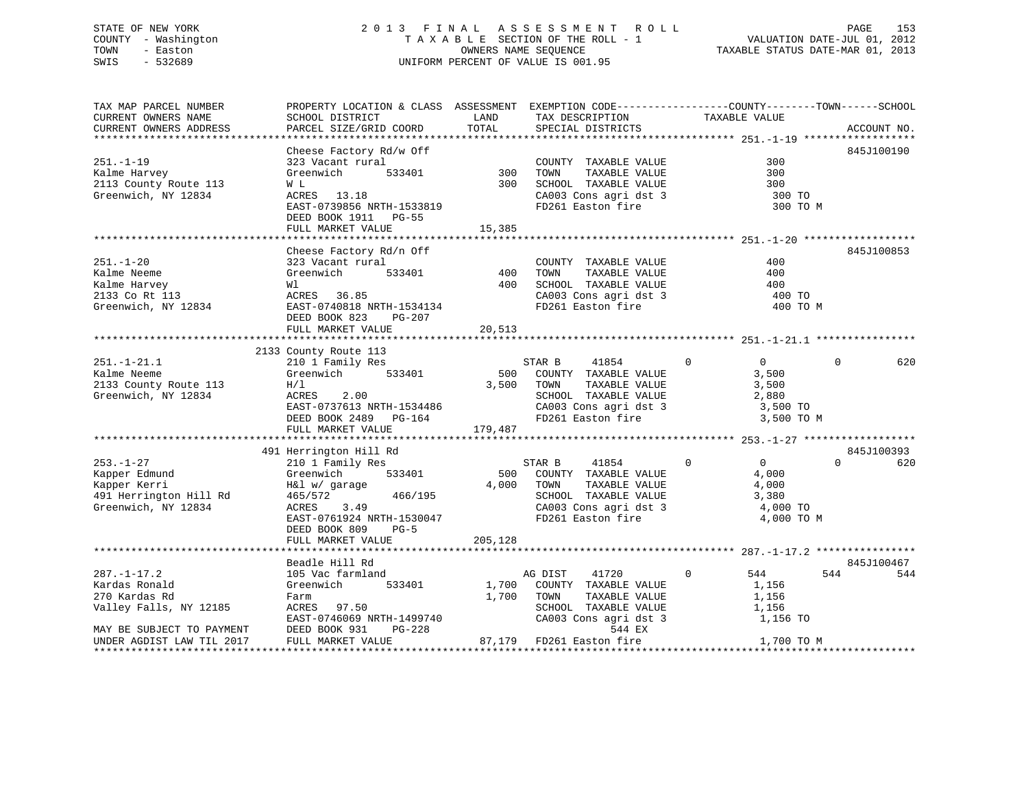### STATE OF NEW YORK 2 0 1 3 F I N A L A S S E S S M E N T R O L L PAGE 153 COUNTY - Washington T A X A B L E SECTION OF THE ROLL - 1 VALUATION DATE-JUL 01, 2012 TOWN - Easton **CONNERS NAME SEQUENCE** TAXABLE STATUS DATE-MAR 01, 2013 SWIS - 532689 UNIFORM PERCENT OF VALUE IS 001.95

| TAX MAP PARCEL NUMBER<br>CURRENT OWNERS NAME<br>CURRENT OWNERS ADDRESS                                                                  | PROPERTY LOCATION & CLASS ASSESSMENT EXEMPTION CODE----------------COUNTY-------TOWN------SCHOOL<br>SCHOOL DISTRICT<br>PARCEL SIZE/GRID COORD                        | LAND<br>TOTAL           | TAX DESCRIPTION<br>SPECIAL DISTRICTS                                                                                                                                                            | TAXABLE VALUE                                                             | ACCOUNT NO.     |
|-----------------------------------------------------------------------------------------------------------------------------------------|----------------------------------------------------------------------------------------------------------------------------------------------------------------------|-------------------------|-------------------------------------------------------------------------------------------------------------------------------------------------------------------------------------------------|---------------------------------------------------------------------------|-----------------|
|                                                                                                                                         | Cheese Factory Rd/w Off                                                                                                                                              |                         |                                                                                                                                                                                                 |                                                                           | 845J100190      |
| $251. - 1 - 19$<br>Kalme Harvey<br>2113 County Route 113<br>Greenwich, NY 12834                                                         | 323 Vacant rural<br>Greenwich<br>533401<br>W L<br>ACRES 13.18<br>EAST-0739856 NRTH-1533819<br>DEED BOOK 1911 PG-55                                                   | 300<br>300              | COUNTY TAXABLE VALUE<br>TOWN<br>TAXABLE VALUE<br>SCHOOL TAXABLE VALUE<br>CA003 Cons agri dst 3<br>FD261 Easton fire                                                                             | 300<br>300<br>300<br>300 TO<br>300 TO M                                   |                 |
|                                                                                                                                         | FULL MARKET VALUE                                                                                                                                                    | 15,385                  |                                                                                                                                                                                                 |                                                                           |                 |
| $251. - 1 - 20$<br>Kalme Neeme<br>Kalme Harvey<br>2133 Co Rt 113<br>Greenwich, NY 12834                                                 | Cheese Factory Rd/n Off<br>323 Vacant rural<br>Greenwich<br>533401<br>Wl<br>ACRES 36.85<br>EAST-0740818 NRTH-1534134<br>DEED BOOK 823<br>PG-207<br>FULL MARKET VALUE | 400<br>400<br>20,513    | COUNTY TAXABLE VALUE<br>TOWN<br>TAXABLE VALUE<br>SCHOOL TAXABLE VALUE<br>CA003 Cons agri dst 3<br>FD261 Easton fire                                                                             | 400<br>400<br>400<br>400 TO<br>400 TO M                                   | 845J100853      |
|                                                                                                                                         |                                                                                                                                                                      |                         |                                                                                                                                                                                                 |                                                                           |                 |
| $251. - 1 - 21.1$<br>Kalme Neeme<br>2133 County Route 113<br>Greenwich, NY 12834                                                        | 2133 County Route 113<br>210 1 Family Res<br>533401<br>Greenwich<br>H/1<br>2.00<br>ACRES<br>EAST-0737613 NRTH-1534486<br>DEED BOOK 2489 PG-164<br>FULL MARKET VALUE  | 500<br>3,500<br>179,487 | 41854<br>STAR B<br>COUNTY TAXABLE VALUE<br>TOWN<br>TAXABLE VALUE<br>SCHOOL TAXABLE VALUE<br>CA003 Cons agri dst 3<br>FD261 Easton fire                                                          | $\Omega$<br>$\Omega$<br>3,500<br>3,500<br>2,880<br>3,500 TO<br>3,500 TO M | $\Omega$<br>620 |
|                                                                                                                                         | 491 Herrington Hill Rd                                                                                                                                               |                         |                                                                                                                                                                                                 |                                                                           | 845J100393      |
| $253. - 1 - 27$<br>Kapper Edmund<br>Kapper Kerri<br>491 Herrington Hill Rd<br>Greenwich, NY 12834                                       | 210 1 Family Res<br>Greenwich<br>533401<br>H&l w/ garage<br>465/572<br>466/195<br>ACRES<br>3.49<br>EAST-0761924 NRTH-1530047<br>DEED BOOK 809<br>$PG-5$              | 500<br>4,000            | STAR B<br>41854<br>COUNTY TAXABLE VALUE<br>TOWN<br>TAXABLE VALUE<br>SCHOOL TAXABLE VALUE<br>CA003 Cons agri dst 3<br>FD261 Easton fire                                                          | $\Omega$<br>0<br>4,000<br>4,000<br>3,380<br>4,000 TO<br>4,000 TO M        | $\Omega$<br>620 |
|                                                                                                                                         | FULL MARKET VALUE                                                                                                                                                    | 205,128                 |                                                                                                                                                                                                 |                                                                           |                 |
|                                                                                                                                         | Beadle Hill Rd                                                                                                                                                       |                         |                                                                                                                                                                                                 |                                                                           | 845J100467      |
| $287. - 1 - 17.2$<br>Kardas Ronald<br>270 Kardas Rd<br>Valley Falls, NY 12185<br>MAY BE SUBJECT TO PAYMENT<br>UNDER AGDIST LAW TIL 2017 | 105 Vac farmland<br>Greenwich<br>533401<br>Farm<br>ACRES 97.50<br>EAST-0746069 NRTH-1499740<br>DEED BOOK 931<br>$PG-228$<br>FULL MARKET VALUE                        | 1,700<br>1,700          | 41720<br>AG DIST<br>COUNTY TAXABLE VALUE<br>TAXABLE VALUE<br>TOWN<br>SCHOOL TAXABLE VALUE<br>CA003 Cons agri dst 3<br>544 EX<br>87,179 FD261 Easton fire<br>*********************************** | $\Omega$<br>544<br>1,156<br>1,156<br>1,156<br>1,156 TO<br>1,700 TO M      | 544<br>544      |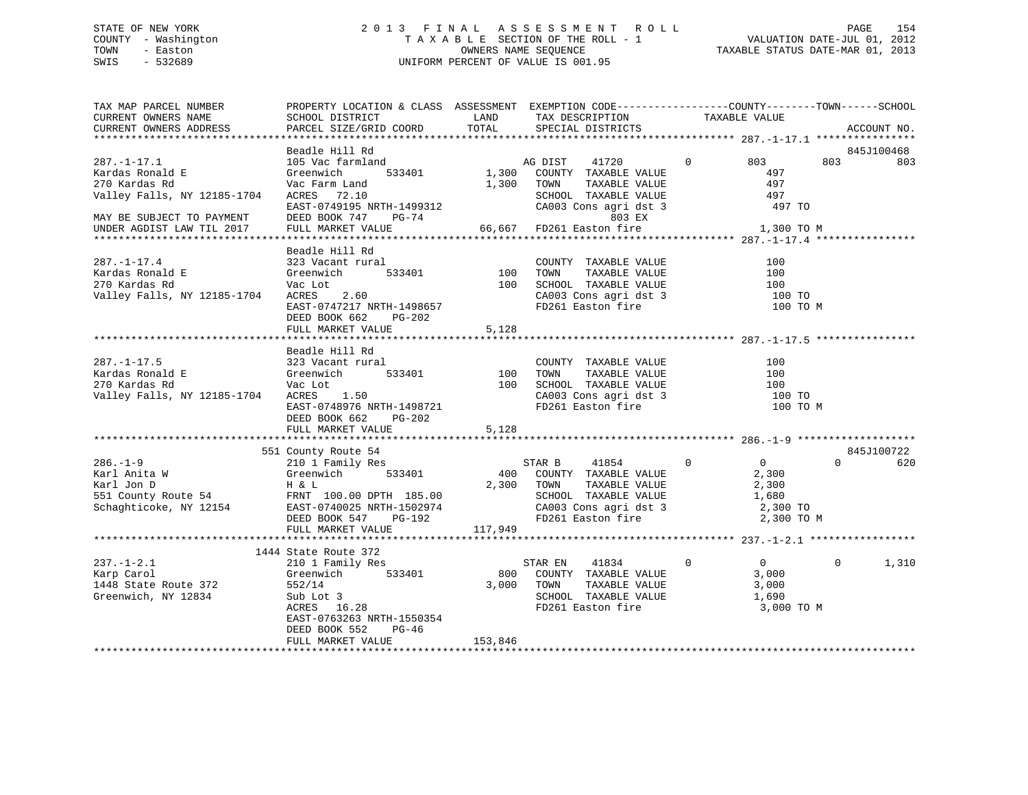### STATE OF NEW YORK 2 0 1 3 F I N A L A S S E S S M E N T R O L L PAGE 154 COUNTY - Washington T A X A B L E SECTION OF THE ROLL - 1 VALUATION DATE-JUL 01, 2012 TOWN - Easton OWNERS NAME SEQUENCE TAXABLE STATUS DATE-MAR 01, 2013 SWIS - 532689 UNIFORM PERCENT OF VALUE IS 001.95

| TAX MAP PARCEL NUMBER<br>CURRENT OWNERS NAME<br>CURRENT OWNERS ADDRESS                                            | PROPERTY LOCATION & CLASS ASSESSMENT EXEMPTION CODE---------------COUNTY-------TOWN------SCHOOL<br>SCHOOL DISTRICT<br>PARCEL SIZE/GRID COORD                       | LAND<br>TOTAL       | TAX DESCRIPTION<br>SPECIAL DISTRICTS                                                                                                                 | TAXABLE VALUE |                                                                     |          | ACCOUNT NO. |
|-------------------------------------------------------------------------------------------------------------------|--------------------------------------------------------------------------------------------------------------------------------------------------------------------|---------------------|------------------------------------------------------------------------------------------------------------------------------------------------------|---------------|---------------------------------------------------------------------|----------|-------------|
|                                                                                                                   |                                                                                                                                                                    |                     |                                                                                                                                                      |               |                                                                     |          |             |
|                                                                                                                   | Beadle Hill Rd                                                                                                                                                     |                     |                                                                                                                                                      |               |                                                                     |          | 845J100468  |
| $287. - 1 - 17.1$<br>Kardas Ronald E<br>270 Kardas Rd<br>Valley Falls, NY 12185-1704<br>MAY BE SUBJECT TO PAYMENT | 105 Vac farmland<br>533401<br>Greenwich<br>Vac Farm Land<br>ACRES 72.10<br>EAST-0749195 NRTH-1499312<br>DEED BOOK 747<br>PG-74                                     | 1,300<br>1,300      | 41720<br>AG DIST<br>COUNTY TAXABLE VALUE<br>TAXABLE VALUE<br>TOWN<br>SCHOOL TAXABLE VALUE<br>SCHOOL TAXABLE VALUE<br>CA003 Cons agri dst 3<br>803 EX | $\mathbf{0}$  | 803<br>497<br>497<br>497<br>497 TO                                  | 803      | 803         |
| UNDER AGDIST LAW TIL 2017                                                                                         | FULL MARKET VALUE                                                                                                                                                  | 66,667              | FD261 Easton fire                                                                                                                                    |               | 1,300 TO M                                                          |          |             |
|                                                                                                                   |                                                                                                                                                                    |                     |                                                                                                                                                      |               |                                                                     |          |             |
| $287. - 1 - 17.4$<br>Kardas Ronald E<br>270 Kardas Rd<br>Valley Falls, NY 12185-1704                              | Beadle Hill Rd<br>323 Vacant rural<br>Greenwich<br>533401<br>Vac Lot<br>2.60<br>ACRES<br>EAST-0747217 NRTH-1498657<br>DEED BOOK 662<br>PG-202<br>FULL MARKET VALUE | 100<br>100<br>5,128 | COUNTY TAXABLE VALUE<br>TAXABLE VALUE<br>TOWN<br>SCHOOL TAXABLE VALUE<br>SCHOOL TAXABLE VALUE<br>CA003 Cons agri dst 3<br>FD261 Easton fire          |               | 100<br>100<br>100<br>100 TO<br>100 TO M                             |          |             |
|                                                                                                                   | Beadle Hill Rd                                                                                                                                                     |                     |                                                                                                                                                      |               |                                                                     |          |             |
| $287. - 1 - 17.5$<br>Kardas Ronald E<br>270 Kardas Rd<br>Valley Falls, NY 12185-1704                              | 323 Vacant rural<br>Greenwich<br>533401<br>Vac Lot<br>1.50<br>ACRES<br>EAST-0748976 NRTH-1498721<br>DEED BOOK 662<br>PG-202<br>FULL MARKET VALUE                   | 100<br>100<br>5,128 | COUNTY TAXABLE VALUE<br>TAXABLE VALUE<br>TOWN<br>SCHOOL TAXABLE VALUE<br>CA003 Cons agri dst 3<br>FD261 Easton fire                                  |               | 100<br>100<br>100<br>100 TO<br>100 TO M                             |          |             |
|                                                                                                                   | 551 County Route 54                                                                                                                                                |                     |                                                                                                                                                      |               |                                                                     |          | 845J100722  |
| $286. - 1 - 9$<br>Karl Anita W<br>Karl Jon D<br>551 County Route 54<br>Schaghticoke, NY 12154                     | 210 1 Family Res<br>Greenwich<br>533401<br>H & L<br>FRNT 100.00 DPTH 185.00<br>EAST-0740025 NRTH-1502974<br>DEED BOOK 547<br>PG-192                                | 400                 | STAR B<br>41854<br>COUNTY TAXABLE VALUE<br>2,300 TOWN<br>TAXABLE VALUE<br>SCHOOL TAXABLE VALUE<br>CA003 Cons agri dst 3<br>FD261 Easton fire         | $\mathbf 0$   | $\overline{0}$<br>2,300<br>2,300<br>1,680<br>2,300 TO<br>2,300 TO M | $\Omega$ | 620         |
|                                                                                                                   | FULL MARKET VALUE                                                                                                                                                  | 117,949             |                                                                                                                                                      |               |                                                                     |          |             |
|                                                                                                                   | 1444 State Route 372                                                                                                                                               |                     |                                                                                                                                                      |               |                                                                     |          |             |
| $237. - 1 - 2.1$<br>Karp Carol<br>1448 State Route 372<br>Greenwich, NY 12834                                     | 210 1 Family Res<br>Greenwich<br>533401<br>552/14<br>Sub Lot 3<br>ACRES 16.28<br>EAST-0763263 NRTH-1550354<br>DEED BOOK 552<br>$PG-46$                             | 800<br>3,000        | STAR EN<br>41834<br>COUNTY TAXABLE VALUE<br>TAXABLE VALUE<br>TOWN<br>SCHOOL TAXABLE VALUE<br>FD261 Easton fire                                       | $\Omega$      | $\overline{0}$<br>3,000<br>3,000<br>1,690<br>3,000 TO M             | $\Omega$ | 1,310       |
|                                                                                                                   | FULL MARKET VALUE                                                                                                                                                  | 153,846             |                                                                                                                                                      |               |                                                                     |          |             |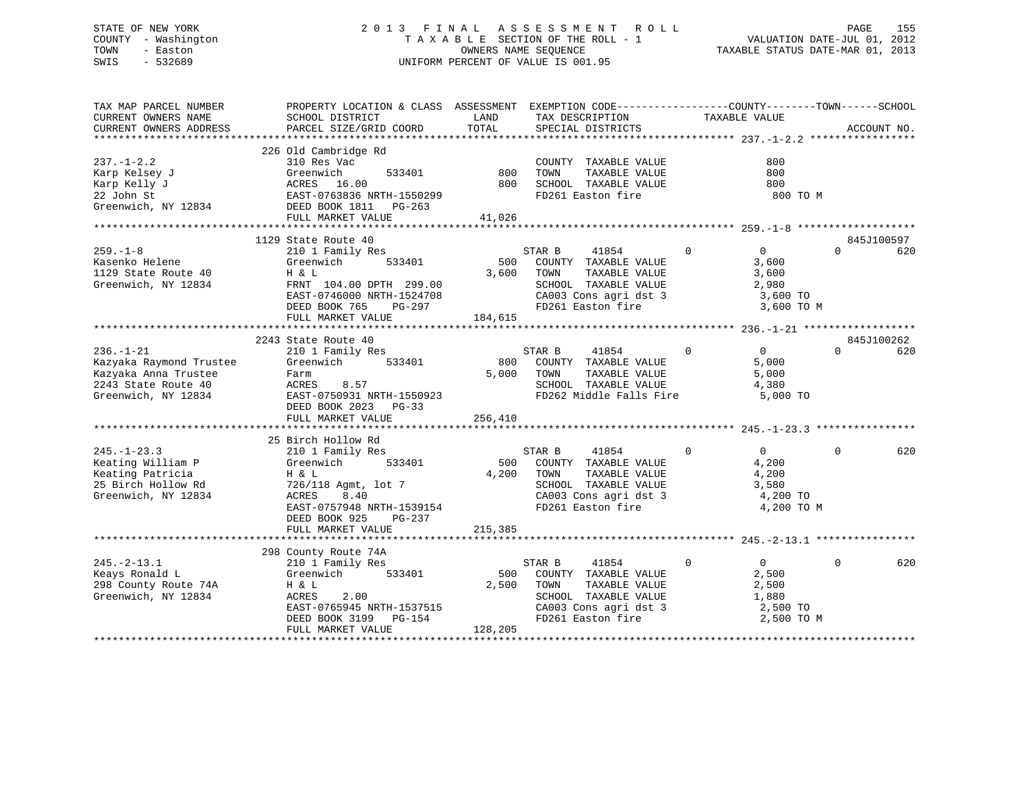### STATE OF NEW YORK 2 0 1 3 F I N A L A S S E S S M E N T R O L L PAGE 155 COUNTY - Washington T A X A B L E SECTION OF THE ROLL - 1 VALUATION DATE-JUL 01, 2012 TOWN - Easton OWNERS NAME SEQUENCE TAXABLE STATUS DATE-MAR 01, 2013 SWIS - 532689 UNIFORM PERCENT OF VALUE IS 001.95

| TAX MAP PARCEL NUMBER<br>CURRENT OWNERS NAME<br>CURRENT OWNERS ADDRESS                                           | PROPERTY LOCATION & CLASS ASSESSMENT EXEMPTION CODE---------------COUNTY-------TOWN------SCHOOL<br>SCHOOL DISTRICT<br>PARCEL SIZE/GRID COORD                                    | LAND<br>TOTAL           | TAX DESCRIPTION<br>SPECIAL DISTRICTS                                                                                                       | TAXABLE VALUE                                                  | ACCOUNT NO.                                             |
|------------------------------------------------------------------------------------------------------------------|---------------------------------------------------------------------------------------------------------------------------------------------------------------------------------|-------------------------|--------------------------------------------------------------------------------------------------------------------------------------------|----------------------------------------------------------------|---------------------------------------------------------|
| $237. - 1 - 2.2$<br>Karp Kelsey J<br>Karp Kelly J<br>22 John St<br>Greenwich, NY 12834                           | 226 Old Cambridge Rd<br>310 Res Vac<br>533401<br>Greenwich<br>ACRES 16.00<br>EAST-0763836 NRTH-1550299<br>DEED BOOK 1811    PG-263<br>FULL MARKET VALUE                         | 800<br>800<br>41,026    | COUNTY TAXABLE VALUE<br>TAXABLE VALUE<br>TOWN<br>SCHOOL TAXABLE VALUE<br>FD261 Easton fire                                                 | 800<br>800<br>800                                              | 800 TO M                                                |
|                                                                                                                  |                                                                                                                                                                                 |                         |                                                                                                                                            |                                                                |                                                         |
| $259. - 1 - 8$<br>Kasenko Helene<br>1129 State Route 40<br>Greenwich, NY 12834                                   | 1129 State Route 40<br>210 1 Family Res<br>533401<br>Greenwich<br>H & L<br>FRNT 104.00 DPTH 299.00<br>EAST-0746000 NRTH-1524708<br>DEED BOOK 765<br>PG-297<br>FULL MARKET VALUE | 500<br>3,600<br>184,615 | STAR B<br>41854<br>COUNTY TAXABLE VALUE<br>TOWN<br>TAXABLE VALUE<br>SCHOOL TAXABLE VALUE<br>CA003 Cons agri dst 3<br>FD261 Easton fire     | $\mathbf 0$<br>$\overline{0}$<br>3,600<br>3,600<br>2,980       | 845J100597<br>$\Omega$<br>620<br>3,600 TO<br>3,600 TO M |
|                                                                                                                  | 2243 State Route 40                                                                                                                                                             |                         |                                                                                                                                            |                                                                | 845J100262                                              |
| $236. - 1 - 21$<br>Kazyaka Raymond Trustee<br>Kazyaka Anna Trustee<br>2243 State Route 40<br>Greenwich, NY 12834 | 210 1 Family Res<br>533401<br>Greenwich<br>Farm<br>ACRES<br>8.57<br>EAST-0750931 NRTH-1550923<br>DEED BOOK 2023 PG-33<br>FULL MARKET VALUE                                      | 800<br>5,000<br>256,410 | STAR B<br>41854<br>COUNTY TAXABLE VALUE<br>TAXABLE VALUE<br>TOWN<br>SCHOOL TAXABLE VALUE<br>FD262 Middle Falls Fire                        | $0 \qquad \qquad$<br>$\overline{0}$<br>5,000<br>5,000<br>4,380 | $\Omega$<br>620<br>5,000 TO                             |
|                                                                                                                  | 25 Birch Hollow Rd                                                                                                                                                              |                         |                                                                                                                                            |                                                                |                                                         |
| $245. - 1 - 23.3$<br>Keating William P<br>Keating Patricia<br>25 Birch Hollow Rd<br>Greenwich, NY 12834          | 210 1 Family Res<br>533401<br>Greenwich<br>H & L<br>726/118 Agmt, lot 7<br>ACRES<br>8.40<br>EAST-0757948 NRTH-1539154<br>DEED BOOK 925<br>PG-237                                | 4,200                   | STAR B<br>41854<br>500 COUNTY TAXABLE VALUE<br>TOWN<br>TAXABLE VALUE<br>SCHOOL TAXABLE VALUE<br>CA003 Cons agri dst 3<br>FD261 Easton fire | $\mathbf 0$<br>$\Omega$<br>4,200<br>4,200<br>3,580<br>4,200 TO | 620<br>$\Omega$<br>4,200 TO M                           |
|                                                                                                                  | FULL MARKET VALUE                                                                                                                                                               | 215,385                 |                                                                                                                                            |                                                                |                                                         |
|                                                                                                                  |                                                                                                                                                                                 |                         |                                                                                                                                            |                                                                |                                                         |
| $245. - 2 - 13.1$<br>Keays Ronald L<br>298 County Route 74A<br>Greenwich, NY 12834                               | 298 County Route 74A<br>210 1 Family Res<br>533401<br>Greenwich<br>H & L<br>ACRES<br>2.00<br>EAST-0765945 NRTH-1537515<br>DEED BOOK 3199 PG-154<br>FULL MARKET VALUE            | 500<br>2,500<br>128,205 | 41854<br>STAR B<br>COUNTY TAXABLE VALUE<br>TAXABLE VALUE<br>TOWN<br>SCHOOL TAXABLE VALUE<br>CA003 Cons agri dst 3<br>FD261 Easton fire     | $\Omega$<br>$\Omega$<br>2,500<br>2,500<br>1,880                | $\Omega$<br>620<br>2,500 TO<br>2,500 TO M               |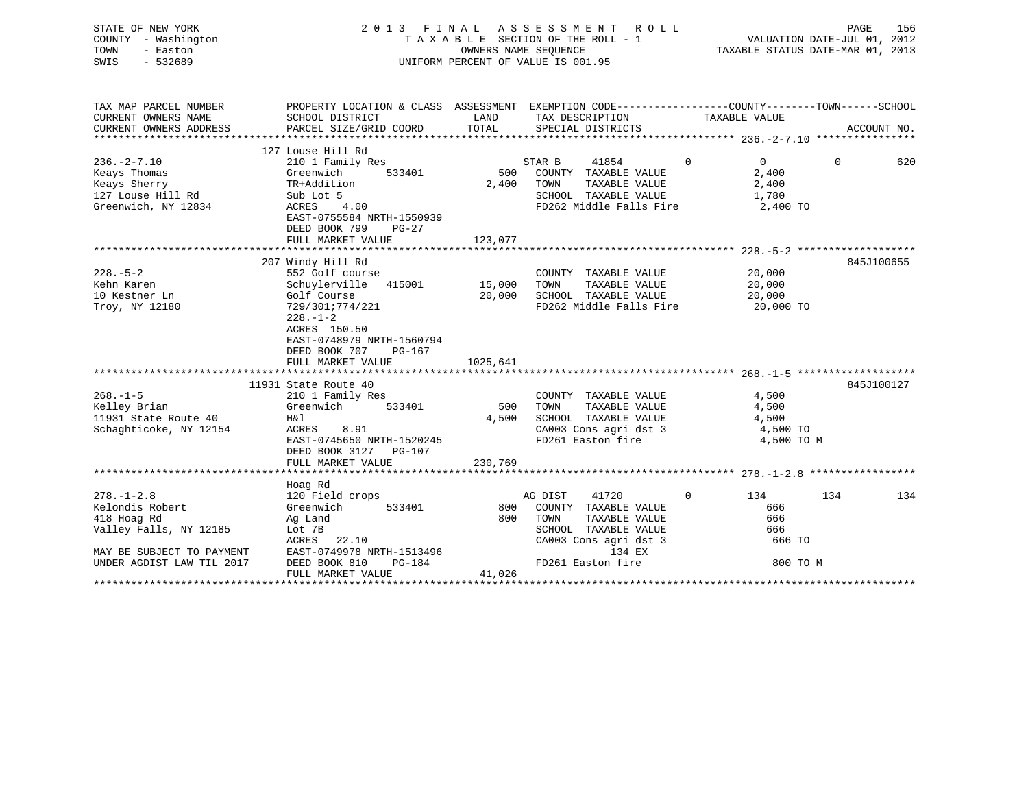| STATE OF NEW YORK<br>COUNTY - Washington<br>TOWN<br>- Easton<br>SWIS<br>$-532689$ |                                                                                                                     | 2013 FINAL ASSESSMENT ROLL<br>TAXABLE SECTION OF THE ROLL - 1<br>OWNERS NAME SEQUENCE<br>UNIFORM PERCENT OF VALUE IS 001.95 |                                          |                            | PAGE<br>156<br>VALUATION DATE-JUL 01, 2012<br>TAXABLE STATUS DATE-MAR 01, 2013 |  |  |
|-----------------------------------------------------------------------------------|---------------------------------------------------------------------------------------------------------------------|-----------------------------------------------------------------------------------------------------------------------------|------------------------------------------|----------------------------|--------------------------------------------------------------------------------|--|--|
| TAX MAP PARCEL NUMBER<br>CURRENT OWNERS NAME                                      | PROPERTY LOCATION & CLASS ASSESSMENT EXEMPTION CODE----------------COUNTY-------TOWN------SCHOOL<br>SCHOOL DISTRICT | LAND                                                                                                                        | TAX DESCRIPTION                          | TAXABLE VALUE              |                                                                                |  |  |
| CURRENT OWNERS ADDRESS                                                            | PARCEL SIZE/GRID COORD                                                                                              | TOTAL                                                                                                                       | SPECIAL DISTRICTS                        |                            | ACCOUNT NO.                                                                    |  |  |
|                                                                                   |                                                                                                                     |                                                                                                                             |                                          |                            |                                                                                |  |  |
|                                                                                   | 127 Louse Hill Rd                                                                                                   |                                                                                                                             |                                          |                            |                                                                                |  |  |
| $236. -2 - 7.10$                                                                  | 210 1 Family Res                                                                                                    |                                                                                                                             | STAR B<br>41854                          | $\Omega$<br>$\overline{0}$ | $\Omega$<br>620                                                                |  |  |
| Keays Thomas                                                                      | Greenwich<br>533401                                                                                                 | 500                                                                                                                         | COUNTY TAXABLE VALUE                     | 2,400                      |                                                                                |  |  |
| Keays Sherry                                                                      | TR+Addition                                                                                                         | 2,400                                                                                                                       | TOWN<br>TAXABLE VALUE                    | 2,400                      |                                                                                |  |  |
| 127 Louse Hill Rd                                                                 | Sub Lot 5                                                                                                           |                                                                                                                             | SCHOOL TAXABLE VALUE                     | 1,780                      |                                                                                |  |  |
| Greenwich, NY 12834                                                               | ACRES<br>4.00                                                                                                       |                                                                                                                             | FD262 Middle Falls Fire                  | 2,400 TO                   |                                                                                |  |  |
|                                                                                   | EAST-0755584 NRTH-1550939                                                                                           |                                                                                                                             |                                          |                            |                                                                                |  |  |
|                                                                                   | DEED BOOK 799<br>$PG-27$                                                                                            |                                                                                                                             |                                          |                            |                                                                                |  |  |
|                                                                                   | FULL MARKET VALUE                                                                                                   | 123,077                                                                                                                     |                                          |                            |                                                                                |  |  |
|                                                                                   | 207 Windy Hill Rd                                                                                                   |                                                                                                                             |                                          |                            | 845J100655                                                                     |  |  |
| $228. - 5 - 2$                                                                    | 552 Golf course                                                                                                     |                                                                                                                             | COUNTY TAXABLE VALUE                     | 20,000                     |                                                                                |  |  |
| Kehn Karen                                                                        | Schuylerville 415001                                                                                                | 15,000                                                                                                                      | TOWN<br>TAXABLE VALUE                    | 20,000                     |                                                                                |  |  |
| 10 Kestner Ln                                                                     | Golf Course                                                                                                         | 20,000                                                                                                                      | SCHOOL TAXABLE VALUE                     | 20,000                     |                                                                                |  |  |
| Troy, NY 12180                                                                    | 729/301;774/221                                                                                                     |                                                                                                                             | FD262 Middle Falls Fire                  | 20,000 TO                  |                                                                                |  |  |
|                                                                                   | $228. - 1 - 2$<br>ACRES 150.50<br>EAST-0748979 NRTH-1560794<br>DEED BOOK 707<br>PG-167<br>FULL MARKET VALUE         | 1025,641                                                                                                                    |                                          |                            |                                                                                |  |  |
|                                                                                   |                                                                                                                     |                                                                                                                             |                                          |                            |                                                                                |  |  |
|                                                                                   | 11931 State Route 40                                                                                                |                                                                                                                             |                                          |                            | 845J100127                                                                     |  |  |
| $268. - 1 - 5$                                                                    | 210 1 Family Res                                                                                                    |                                                                                                                             | COUNTY TAXABLE VALUE                     | 4,500                      |                                                                                |  |  |
| Kelley Brian                                                                      | Greenwich<br>533401                                                                                                 | 500                                                                                                                         | TAXABLE VALUE<br>TOWN                    | 4,500                      |                                                                                |  |  |
| 11931 State Route 40                                                              | H&l                                                                                                                 | 4,500                                                                                                                       | SCHOOL TAXABLE VALUE                     | 4,500                      |                                                                                |  |  |
| Schaghticoke, NY 12154                                                            | 8.91<br>ACRES                                                                                                       |                                                                                                                             | CA003 Cons agri dst 3                    | 4,500 TO                   |                                                                                |  |  |
|                                                                                   | EAST-0745650 NRTH-1520245                                                                                           |                                                                                                                             | FD261 Easton fire                        | 4,500 TO M                 |                                                                                |  |  |
|                                                                                   | DEED BOOK 3127 PG-107                                                                                               |                                                                                                                             |                                          |                            |                                                                                |  |  |
|                                                                                   | FULL MARKET VALUE                                                                                                   | 230,769                                                                                                                     |                                          |                            |                                                                                |  |  |
|                                                                                   |                                                                                                                     |                                                                                                                             |                                          |                            |                                                                                |  |  |
|                                                                                   | Hoag Rd                                                                                                             |                                                                                                                             |                                          | $\Omega$                   |                                                                                |  |  |
| $278. - 1 - 2.8$<br>Kelondis Robert                                               | 120 Field crops<br>533401                                                                                           | 800                                                                                                                         | AG DIST<br>41720<br>COUNTY TAXABLE VALUE | 134<br>666                 | 134<br>134                                                                     |  |  |
| 418 Hoag Rd                                                                       | Greenwich<br>Ag Land                                                                                                | 800                                                                                                                         | TOWN<br>TAXABLE VALUE                    | 666                        |                                                                                |  |  |
| Valley Falls, NY 12185                                                            | Lot 7B                                                                                                              |                                                                                                                             | SCHOOL TAXABLE VALUE                     | 666                        |                                                                                |  |  |
|                                                                                   | ACRES<br>22.10                                                                                                      |                                                                                                                             | CA003 Cons agri dst 3                    | 666 TO                     |                                                                                |  |  |
| MAY BE SUBJECT TO PAYMENT                                                         | EAST-0749978 NRTH-1513496                                                                                           |                                                                                                                             | 134 EX                                   |                            |                                                                                |  |  |
| UNDER AGDIST LAW TIL 2017                                                         | DEED BOOK 810<br>PG-184                                                                                             |                                                                                                                             | FD261 Easton fire                        | 800 TO M                   |                                                                                |  |  |
|                                                                                   | FULL MARKET VALUE                                                                                                   | 41,026                                                                                                                      |                                          |                            |                                                                                |  |  |
| ************************                                                          |                                                                                                                     |                                                                                                                             |                                          |                            |                                                                                |  |  |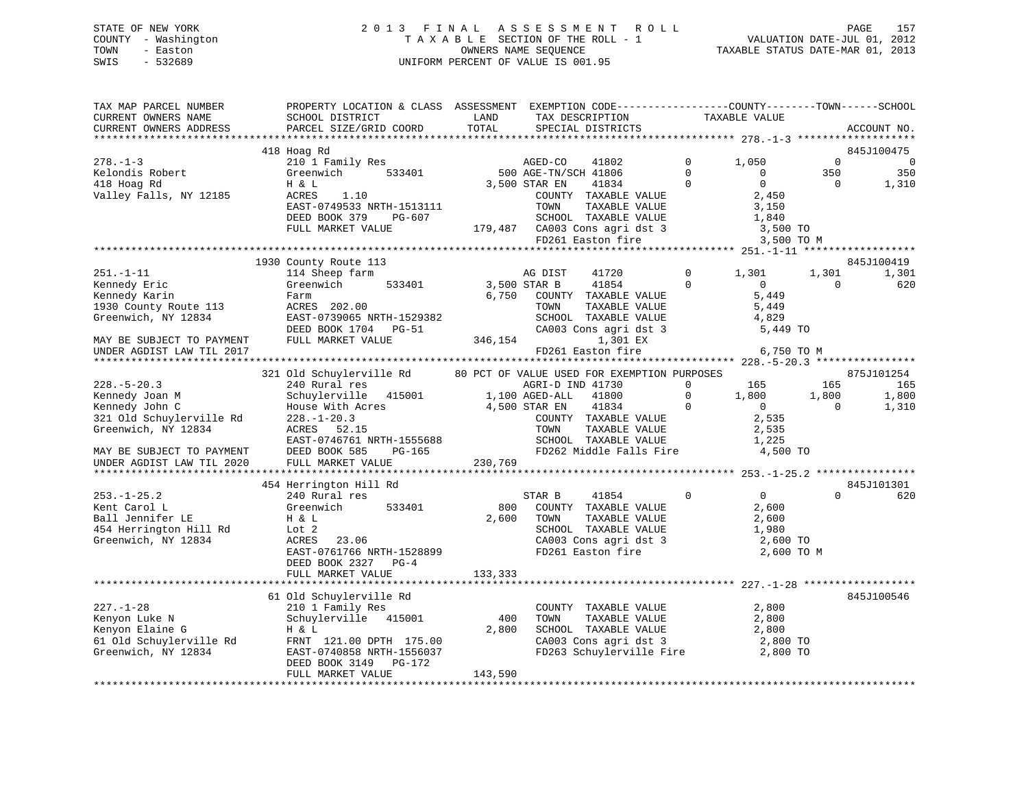### STATE OF NEW YORK 2 0 1 3 F I N A L A S S E S S M E N T R O L L PAGE 157 COUNTY - Washington T A X A B L E SECTION OF THE ROLL - 1 VALUATION DATE-JUL 01, 2012 TOWN - Easton **CONNERS NAME SEQUENCE** TAXABLE STATUS DATE-MAR 01, 2013 SWIS - 532689 UNIFORM PERCENT OF VALUE IS 001.95

| TAX MAP PARCEL NUMBER<br>CURRENT OWNERS NAME | PROPERTY LOCATION & CLASS ASSESSMENT EXEMPTION CODE----------------COUNTY-------TOWN------SCHOOL<br>SCHOOL DISTRICT | LAND         | TAX DESCRIPTION                                                                                    |                            | TAXABLE VALUE                                    |                                 |                          |
|----------------------------------------------|---------------------------------------------------------------------------------------------------------------------|--------------|----------------------------------------------------------------------------------------------------|----------------------------|--------------------------------------------------|---------------------------------|--------------------------|
| CURRENT OWNERS ADDRESS                       | PARCEL SIZE/GRID COORD                                                                                              | TOTAL        | SPECIAL DISTRICTS                                                                                  |                            |                                                  |                                 | ACCOUNT NO.              |
|                                              |                                                                                                                     |              |                                                                                                    |                            |                                                  |                                 |                          |
|                                              | 418 Hoag Rd                                                                                                         |              |                                                                                                    |                            |                                                  |                                 | 845J100475               |
| $278. - 1 - 3$                               | 210 1 Family Res<br>Greenwich                                                                                       |              | AGED-CO<br>41802<br>500 AGE-TN/SCH 41806                                                           | $\overline{0}$             | 1,050                                            | $\overline{0}$                  | $\overline{\phantom{0}}$ |
| Kelondis Robert<br>418 Hoag Rd               | H & L                                                                                                               |              | 3,500 STAR EN<br>41834                                                                             | $\Omega$<br>$\overline{0}$ | $\overline{0}$<br>$\overline{0}$                 | 350<br>$\overline{\phantom{0}}$ | 350<br>1,310             |
| Valley Falls, NY 12185                       | ACRES<br>1.10                                                                                                       |              | COUNTY TAXABLE VALUE                                                                               |                            | 2,450                                            |                                 |                          |
|                                              | EAST-0749533 NRTH-1513111                                                                                           |              | TOWN<br>TAXABLE VALUE                                                                              |                            | 3,150                                            |                                 |                          |
|                                              | DEED BOOK 379<br>PG-607                                                                                             |              |                                                                                                    |                            |                                                  |                                 |                          |
|                                              | FULL MARKET VALUE                                                                                                   |              |                                                                                                    |                            |                                                  |                                 |                          |
|                                              |                                                                                                                     |              | SCHOOL TAXABLE VALUE 1,840<br>179,487 CA003 Cons agri dst 3 3,500 TO<br>FD261 Easton fire 3,500 TO |                            | 3,500 TO M                                       |                                 |                          |
|                                              |                                                                                                                     |              |                                                                                                    |                            |                                                  |                                 |                          |
|                                              | 1930 County Route 113                                                                                               |              |                                                                                                    |                            |                                                  |                                 | 845J100419               |
| $251. - 1 - 11$                              | 114 Sheep farm                                                                                                      |              | AG DIST<br>41720                                                                                   |                            | 0 $1,301$                                        | 1,301                           | 1,301                    |
| Kennedy Eric                                 | 533401<br>Greenwich                                                                                                 | 3,500 STAR B | 41854                                                                                              | $\Omega$                   | $\sim$ 0                                         | $\Omega$                        | 620                      |
| Kennedy Karin                                | Farm                                                                                                                |              | 6,750 COUNTY TAXABLE VALUE                                                                         |                            | 5,449                                            |                                 |                          |
| 1930 County Route 113 ACRES 202.00           |                                                                                                                     |              | TAXABLE VALUE<br>TOWN                                                                              |                            | 5,449                                            |                                 |                          |
| Greenwich, NY 12834                          | EAST-0739065 NRTH-1529382                                                                                           |              | SCHOOL TAXABLE VALUE<br>SCHOOL TAXABLE VALUE 4,829<br>CA003 Cons agri dst 3 5,449 TO               |                            | 4,829                                            |                                 |                          |
|                                              | DEED BOOK 1704 PG-51                                                                                                |              |                                                                                                    |                            |                                                  |                                 |                          |
| MAY BE SUBJECT TO PAYMENT                    | FULL MARKET VALUE                                                                                                   |              | 346,154<br>1,301 EX                                                                                |                            |                                                  |                                 |                          |
| UNDER AGDIST LAW TIL 2017                    |                                                                                                                     |              | FD261 Easton fire                                                                                  |                            | 6,750 TO M                                       |                                 |                          |
|                                              | 321 Old Schuylerville Rd 80 PCT OF VALUE USED FOR EXEMPTION PURPOSES                                                |              |                                                                                                    |                            |                                                  |                                 | 875J101254               |
| $228. - 5 - 20.3$                            |                                                                                                                     |              |                                                                                                    | $\Omega$                   | 165                                              | 165                             | 165                      |
| Kennedy Joan M                               |                                                                                                                     |              |                                                                                                    | $\overline{0}$             |                                                  | 1,800                           | 1,800                    |
| Kennedy John C                               | House With Acres 4,500 STAR EN                                                                                      |              | 41834                                                                                              | $\overline{0}$             | $\begin{array}{c} 1,800\ 0 \\ 2,535 \end{array}$ | $\overline{0}$                  | 1,310                    |
| 321 Old Schuylerville Rd                     | $228. - 1 - 20.3$                                                                                                   |              | COUNTY TAXABLE VALUE                                                                               |                            |                                                  |                                 |                          |
| Greenwich, NY 12834                          |                                                                                                                     |              | TOWN<br>TAXABLE VALUE                                                                              |                            | 2,535                                            |                                 |                          |
|                                              |                                                                                                                     |              | SCHOOL TAXABLE VALUE                                                                               |                            | 1,225                                            |                                 |                          |
| MAY BE SUBJECT TO PAYMENT                    |                                                                                                                     |              | FD262 Middle Falls Fire                                                                            |                            | 4,500 TO                                         |                                 |                          |
| UNDER AGDIST LAW TIL 2020                    | FULL MARKET VALUE                                                                                                   | 230,769      |                                                                                                    |                            |                                                  |                                 |                          |
|                                              |                                                                                                                     |              |                                                                                                    |                            |                                                  |                                 |                          |
|                                              | 454 Herrington Hill Rd                                                                                              |              |                                                                                                    |                            |                                                  |                                 | 845J101301               |
| $253. - 1 - 25.2$                            | 240 Rural res                                                                                                       |              | STAR B<br>41854                                                                                    | $\Omega$                   | $\overline{0}$                                   | $\Omega$                        | 620                      |
| Kent Carol L                                 | 533401<br>Greenwich<br>H & L                                                                                        | 800          | COUNTY TAXABLE VALUE                                                                               |                            | 2,600                                            |                                 |                          |
| Ball Jennifer LE                             |                                                                                                                     | 2,600        | TOWN<br>TAXABLE VALUE                                                                              |                            | 2,600                                            |                                 |                          |
| 454 Herrington Hill Rd                       | Lot 2                                                                                                               |              | SCHOOL TAXABLE VALUE<br>SCHOOL TAXABLE VALUE<br>CA003 Cons agri dst 3<br>FD261 Easton fire         |                            | 1,980                                            |                                 |                          |
| Greenwich, NY 12834                          | ACRES 23.06<br>EAST-0761766 NRTH-1528899                                                                            |              |                                                                                                    |                            | 2,600 TO<br>2,600 TO M                           |                                 |                          |
|                                              | DEED BOOK 2327 PG-4                                                                                                 |              |                                                                                                    |                            |                                                  |                                 |                          |
|                                              | FULL MARKET VALUE                                                                                                   | 133,333      |                                                                                                    |                            |                                                  |                                 |                          |
|                                              |                                                                                                                     |              |                                                                                                    |                            |                                                  |                                 |                          |
|                                              | 61 Old Schuylerville Rd                                                                                             |              |                                                                                                    |                            |                                                  |                                 | 845J100546               |
| $227. - 1 - 28$                              | 210 1 Family Res                                                                                                    |              | COUNTY TAXABLE VALUE 2,800                                                                         |                            |                                                  |                                 |                          |
| Kenyon Luke N                                | Schuylerville 415001                                                                                                | 400          | TOWN<br>TAXABLE VALUE                                                                              |                            |                                                  |                                 |                          |
| Kenyon Elaine G                              | H & L                                                                                                               | 2,800        | SCHOOL TAXABLE VALUE                                                                               |                            | $\frac{2}{3}, \frac{800}{300}$                   |                                 |                          |
|                                              |                                                                                                                     |              | CA003 Cons agri dst 3 2,800 TO<br>FD263 Schuylerville Fire 2,800 TO                                |                            |                                                  |                                 |                          |
|                                              | 61 Old Schuylerville Rd<br>Greenwich, NY 12834 EAST-0740858 NRTH-1556037                                            |              |                                                                                                    |                            |                                                  |                                 |                          |
|                                              | DEED BOOK 3149<br>PG-172                                                                                            |              |                                                                                                    |                            |                                                  |                                 |                          |
|                                              | FULL MARKET VALUE                                                                                                   | 143,590      |                                                                                                    |                            |                                                  |                                 |                          |
|                                              |                                                                                                                     |              |                                                                                                    |                            |                                                  |                                 |                          |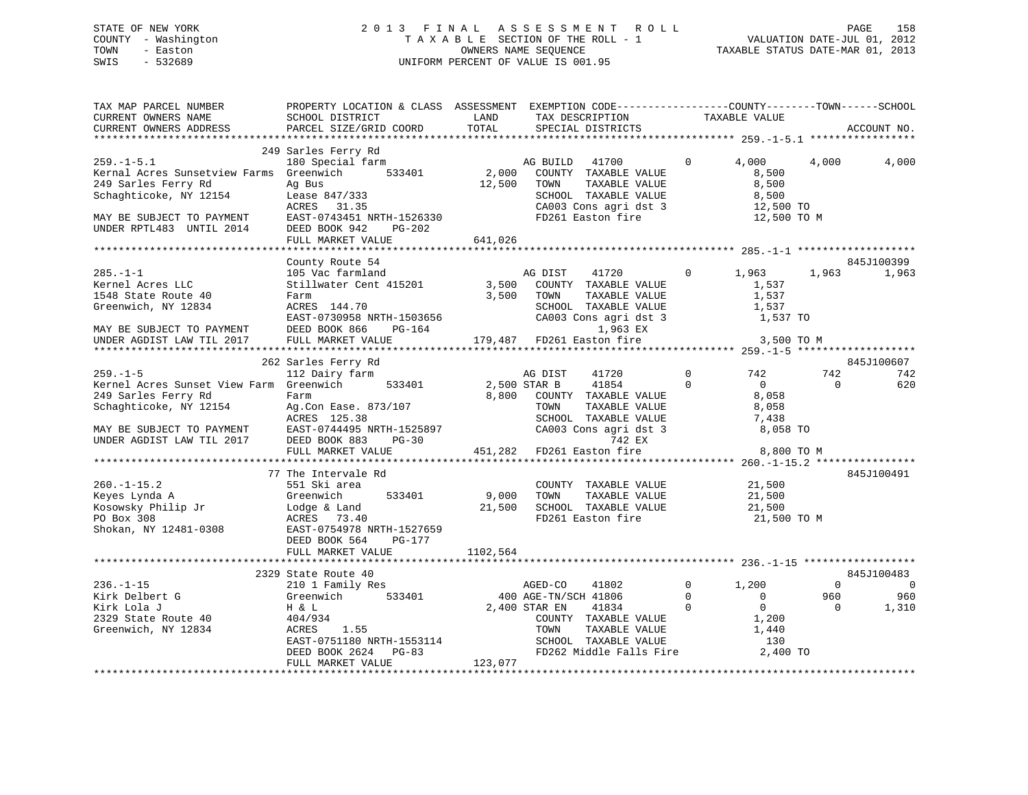## STATE OF NEW YORK 2 0 1 3 F I N A L A S S E S S M E N T R O L L PAGE 158 COUNTY - Washington T A X A B L E SECTION OF THE ROLL - 1 VALUATION DATE-JUL 01, 2012 OWNERS NAME SEQUENCE TANABLE STATUS DATE-MAR 01, 2013 SWIS - 532689 UNIFORM PERCENT OF VALUE IS 001.95

TAX MAP PARCEL NUMBER PROPERTY LOCATION & CLASS ASSESSMENT EXEMPTION CODE------------------COUNTY--------TOWN------SCHOOL

CURRENT OWNERS NAME SCHOOL DISTRICT LAND TAX DESCRIPTION TAXABLE VALUECURRENT OWNERS ADDRESS PARCEL SIZE/GRID COORD TOTAL SPECIAL DISTRICTS ACCOUNT NO. \*\*\*\*\*\*\*\*\*\*\*\*\*\*\*\*\*\*\*\*\*\*\*\*\*\*\*\*\*\*\*\*\*\*\*\*\*\*\*\*\*\*\*\*\*\*\*\*\*\*\*\*\*\*\*\*\*\*\*\*\*\*\*\*\*\*\*\*\*\*\*\*\*\*\*\*\*\*\*\*\*\*\*\*\*\*\*\*\*\*\*\*\*\*\*\*\*\*\*\*\*\*\* 259.-1-5.1 \*\*\*\*\*\*\*\*\*\*\*\*\*\*\*\*\* 249 Sarles Ferry Rd 259.-1-5.1 180 Special farm AG BUILD 41700 0 4,000 4,000 4,000 Kernal Acres Sunsetview Farms Greenwich 533401 2,000 COUNTY TAXABLE VALUE 8,500 249 Sarles Ferry Rd Ag Bus 12,500 TOWN TAXABLE VALUE 8,500 Schaghticoke, NY 12154 Lease 847/333 SCHOOL TAXABLE VALUE 8,500 ACRES 31.35 CA003 Cons agri dst 3 12,500 TO MAY BE SUBJECT TO PAYMENT EAST-0743451 NRTH-1526330 FD261 Easton fire 12,500 TO M UNDER RPTL483 UNTIL 2014 DEED BOOK 942 PG-202 FULL MARKET VALUE 641,026 \*\*\*\*\*\*\*\*\*\*\*\*\*\*\*\*\*\*\*\*\*\*\*\*\*\*\*\*\*\*\*\*\*\*\*\*\*\*\*\*\*\*\*\*\*\*\*\*\*\*\*\*\*\*\*\*\*\*\*\*\*\*\*\*\*\*\*\*\*\*\*\*\*\*\*\*\*\*\*\*\*\*\*\*\*\*\*\*\*\*\*\*\*\*\*\*\*\*\*\*\*\*\* 285.-1-1 \*\*\*\*\*\*\*\*\*\*\*\*\*\*\*\*\*\*\* County Route 54 845J100399 285.-1-1 105 Vac farmland AG DIST 41720 0 1,963 1,963 1,963 Kernel Acres LLC Stillwater Cent 415201 3,500 COUNTY TAXABLE VALUE 1,537 1548 State Route 40 Farm 3,500 TOWN TAXABLE VALUE 1,537 Greenwich, NY 12834 ACRES 144.70 SCHOOL TAXABLE VALUE 1,537 EAST-0730958 NRTH-1503656 CA003 Cons agri dst 3 1,537 TO MAY BE SUBJECT TO PAYMENT DEED BOOK 866 PG-164 1,963 EX UNDER AGDIST LAW TIL 2017 FULL MARKET VALUE 179,487 FD261 Easton fire 3,500 TO M \*\*\*\*\*\*\*\*\*\*\*\*\*\*\*\*\*\*\*\*\*\*\*\*\*\*\*\*\*\*\*\*\*\*\*\*\*\*\*\*\*\*\*\*\*\*\*\*\*\*\*\*\*\*\*\*\*\*\*\*\*\*\*\*\*\*\*\*\*\*\*\*\*\*\*\*\*\*\*\*\*\*\*\*\*\*\*\*\*\*\*\*\*\*\*\*\*\*\*\*\*\*\* 259.-1-5 \*\*\*\*\*\*\*\*\*\*\*\*\*\*\*\*\*\*\*845J100607 262 Sarles Ferry Rd 845J100607 259.-1-5 112 Dairy farm AG DIST 41720 0 742 742 742 Kernel Acres Sunset View Farm Greenwich 533401 2,500 STAR B 41854 0 0 0 620 249 Sarles Ferry Rd Farm 8,800 COUNTY TAXABLE VALUE 8,058 Schaghticoke, NY 12154 Ag.Con Ease. 873/107 TOWN TAXABLE VALUE 8,058 ACRES 125.38 SCHOOL TAXABLE VALUE 7,438 MAY BE SUBJECT TO PAYMENT EAST-0744495 NRTH-1525897 CA003 Cons agri dst 3 8,058 TO UNDER AGDIST LAW TIL 2017 DEED BOOK 883 PG-30 742 EX FULL MARKET VALUE 451,282 FD261 Easton fire 8,800 TO M \*\*\*\*\*\*\*\*\*\*\*\*\*\*\*\*\*\*\*\*\*\*\*\*\*\*\*\*\*\*\*\*\*\*\*\*\*\*\*\*\*\*\*\*\*\*\*\*\*\*\*\*\*\*\*\*\*\*\*\*\*\*\*\*\*\*\*\*\*\*\*\*\*\*\*\*\*\*\*\*\*\*\*\*\*\*\*\*\*\*\*\*\*\*\*\*\*\*\*\*\*\*\* 260.-1-15.2 \*\*\*\*\*\*\*\*\*\*\*\*\*\*\*\* 77 The Intervale Rd 845J100491260.-1-15.2 551 Ski area COUNTY TAXABLE VALUE 21,500 Keyes Lynda A Greenwich 533401 9,000 TOWN TAXABLE VALUE 21,500 Kosowsky Philip Jr Lodge & Land 21,500 SCHOOL TAXABLE VALUE 21,500 PO Box 308 ACRES 73.40 FD261 Easton fire 21,500 TO M Shokan, NY 12481-0308 EAST-0754978 NRTH-1527659 DEED BOOK 564 PG-177FULL MARKET VALUE 1102,564 \*\*\*\*\*\*\*\*\*\*\*\*\*\*\*\*\*\*\*\*\*\*\*\*\*\*\*\*\*\*\*\*\*\*\*\*\*\*\*\*\*\*\*\*\*\*\*\*\*\*\*\*\*\*\*\*\*\*\*\*\*\*\*\*\*\*\*\*\*\*\*\*\*\*\*\*\*\*\*\*\*\*\*\*\*\*\*\*\*\*\*\*\*\*\*\*\*\*\*\*\*\*\* 236.-1-15 \*\*\*\*\*\*\*\*\*\*\*\*\*\*\*\*\*\*845J100483 2329 State Route 40 845J100483 236.-1-15 210 1 Family Res AGED-CO 41802 0 1,200 0 0 Kirk Delbert G Greenwich 533401 400 AGE-TN/SCH 41806 0 0 960 960 Kirk Lola J H & L 2,400 STAR EN 41834 0 0 0 1,310 2329 State Route 40 404/934 COUNTY TAXABLE VALUE 1,200 Greenwich, NY 12834 ACRES 1.55 TOWN TAXABLE VALUE 1,440 EAST-0751180 NRTH-1553114 SCHOOL TAXABLE VALUE 130 DEED BOOK 2624 PG-83 FD262 Middle Falls Fire 2,400 TO FULL MARKET VALUE 123,077 \*\*\*\*\*\*\*\*\*\*\*\*\*\*\*\*\*\*\*\*\*\*\*\*\*\*\*\*\*\*\*\*\*\*\*\*\*\*\*\*\*\*\*\*\*\*\*\*\*\*\*\*\*\*\*\*\*\*\*\*\*\*\*\*\*\*\*\*\*\*\*\*\*\*\*\*\*\*\*\*\*\*\*\*\*\*\*\*\*\*\*\*\*\*\*\*\*\*\*\*\*\*\*\*\*\*\*\*\*\*\*\*\*\*\*\*\*\*\*\*\*\*\*\*\*\*\*\*\*\*\*\*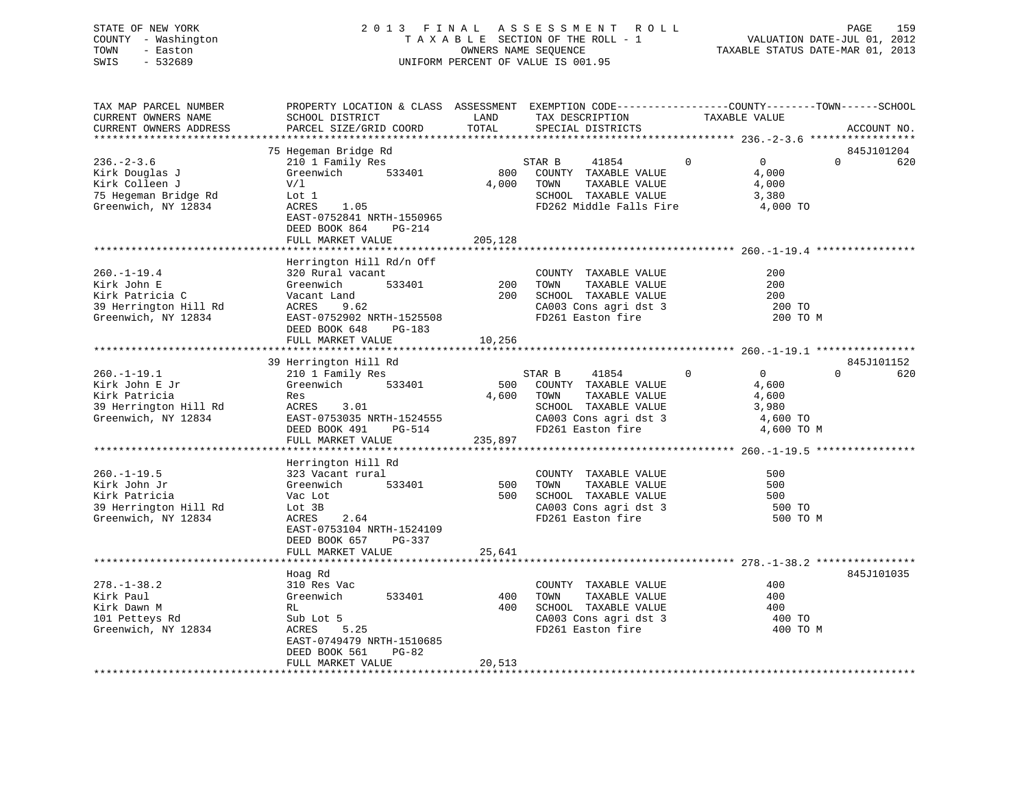### STATE OF NEW YORK 2 0 1 3 F I N A L A S S E S S M E N T R O L L PAGE 159 COUNTY - Washington T A X A B L E SECTION OF THE ROLL - 1 VALUATION DATE-JUL 01, 2012 TOWN - Easton OWNERS NAME SEQUENCE TAXABLE STATUS DATE-MAR 01, 2013 SWIS - 532689 UNIFORM PERCENT OF VALUE IS 001.95

| TAX MAP PARCEL NUMBER<br>CURRENT OWNERS NAME<br>CURRENT OWNERS ADDRESS                              | PROPERTY LOCATION & CLASS ASSESSMENT EXEMPTION CODE----------------COUNTY-------TOWN------SCHOOL<br>SCHOOL DISTRICT<br>PARCEL SIZE/GRID COORD                                    | LAND<br>TOTAL           | TAX DESCRIPTION<br>SPECIAL DISTRICTS                                                                                                   | TAXABLE VALUE                                                                 |          | ACCOUNT NO.       |
|-----------------------------------------------------------------------------------------------------|----------------------------------------------------------------------------------------------------------------------------------------------------------------------------------|-------------------------|----------------------------------------------------------------------------------------------------------------------------------------|-------------------------------------------------------------------------------|----------|-------------------|
| *********************                                                                               |                                                                                                                                                                                  |                         |                                                                                                                                        |                                                                               |          |                   |
| $236. - 2 - 3.6$<br>Kirk Douglas J<br>Kirk Colleen J<br>75 Hegeman Bridge Rd<br>Greenwich, NY 12834 | 75 Hegeman Bridge Rd<br>210 1 Family Res<br>Greenwich<br>533401<br>V/1<br>Lot 1<br>ACRES<br>1.05<br>EAST-0752841 NRTH-1550965<br>DEED BOOK 864<br>PG-214<br>FULL MARKET VALUE    | 800<br>4,000<br>205,128 | STAR B<br>41854<br>COUNTY TAXABLE VALUE<br>TAXABLE VALUE<br>TOWN<br>SCHOOL TAXABLE VALUE<br>FD262 Middle Falls Fire                    | $\overline{0}$<br>$\mathbf{0}$<br>4,000<br>4,000<br>3,380<br>4,000 TO         | $\Omega$ | 845J101204<br>620 |
| $260. - 1 - 19.4$<br>Kirk John E<br>Kirk Patricia C<br>39 Herrington Hill Rd<br>Greenwich, NY 12834 | Herrington Hill Rd/n Off<br>320 Rural vacant<br>Greenwich<br>533401<br>Vacant Land<br>ACRES<br>9.62<br>EAST-0752902 NRTH-1525508<br>DEED BOOK 648<br>PG-183<br>FULL MARKET VALUE | 200<br>200<br>10,256    | COUNTY TAXABLE VALUE<br>TOWN<br>TAXABLE VALUE<br>SCHOOL TAXABLE VALUE<br>CA003 Cons agri dst 3<br>FD261 Easton fire                    | 200<br>200<br>200<br>200 TO<br>200 TO M                                       |          |                   |
|                                                                                                     | 39 Herrington Hill Rd                                                                                                                                                            |                         |                                                                                                                                        |                                                                               |          | 845J101152        |
| $260. -1 - 19.1$<br>Kirk John E Jr<br>Kirk Patricia<br>39 Herrington Hill Rd<br>Greenwich, NY 12834 | 210 1 Family Res<br>Greenwich<br>533401<br>Res<br>ACRES<br>3.01<br>EAST-0753035 NRTH-1524555<br>DEED BOOK 491<br>PG-514<br>FULL MARKET VALUE                                     | 500<br>4,600<br>235,897 | STAR B<br>41854<br>COUNTY TAXABLE VALUE<br>TOWN<br>TAXABLE VALUE<br>SCHOOL TAXABLE VALUE<br>CA003 Cons agri dst 3<br>FD261 Easton fire | $\mathbf{0}$<br>$\Omega$<br>4,600<br>4,600<br>3,980<br>4,600 TO<br>4,600 TO M | $\Omega$ | 620               |
|                                                                                                     | Herrington Hill Rd                                                                                                                                                               |                         |                                                                                                                                        |                                                                               |          |                   |
| $260. -1 - 19.5$<br>Kirk John Jr<br>Kirk Patricia<br>39 Herrington Hill Rd<br>Greenwich, NY 12834   | 323 Vacant rural<br>533401<br>Greenwich<br>Vac Lot<br>Lot 3B<br>ACRES<br>2.64<br>EAST-0753104 NRTH-1524109<br>DEED BOOK 657<br>PG-337                                            | 500<br>500              | COUNTY TAXABLE VALUE<br>TOWN<br>TAXABLE VALUE<br>SCHOOL TAXABLE VALUE<br>CA003 Cons agri dst 3<br>FD261 Easton fire                    | 500<br>500<br>500<br>500 TO<br>500 TO M                                       |          |                   |
|                                                                                                     | FULL MARKET VALUE                                                                                                                                                                | 25,641                  |                                                                                                                                        |                                                                               |          |                   |
|                                                                                                     |                                                                                                                                                                                  |                         |                                                                                                                                        |                                                                               |          |                   |
| $278. - 1 - 38.2$<br>Kirk Paul<br>Kirk Dawn M<br>101 Petteys Rd<br>Greenwich, NY 12834              | Hoag Rd<br>310 Res Vac<br>Greenwich<br>533401<br>RL<br>Sub Lot 5<br>ACRES<br>5.25<br>EAST-0749479 NRTH-1510685<br>DEED BOOK 561<br>$PG-82$<br>FULL MARKET VALUE                  | 400<br>400<br>20,513    | COUNTY TAXABLE VALUE<br>TOWN<br>TAXABLE VALUE<br>SCHOOL TAXABLE VALUE<br>CA003 Cons agri dst 3<br>FD261 Easton fire                    | 400<br>400<br>400<br>400 TO<br>400 TO M                                       |          | 845J101035        |
|                                                                                                     | **********************                                                                                                                                                           |                         |                                                                                                                                        |                                                                               |          |                   |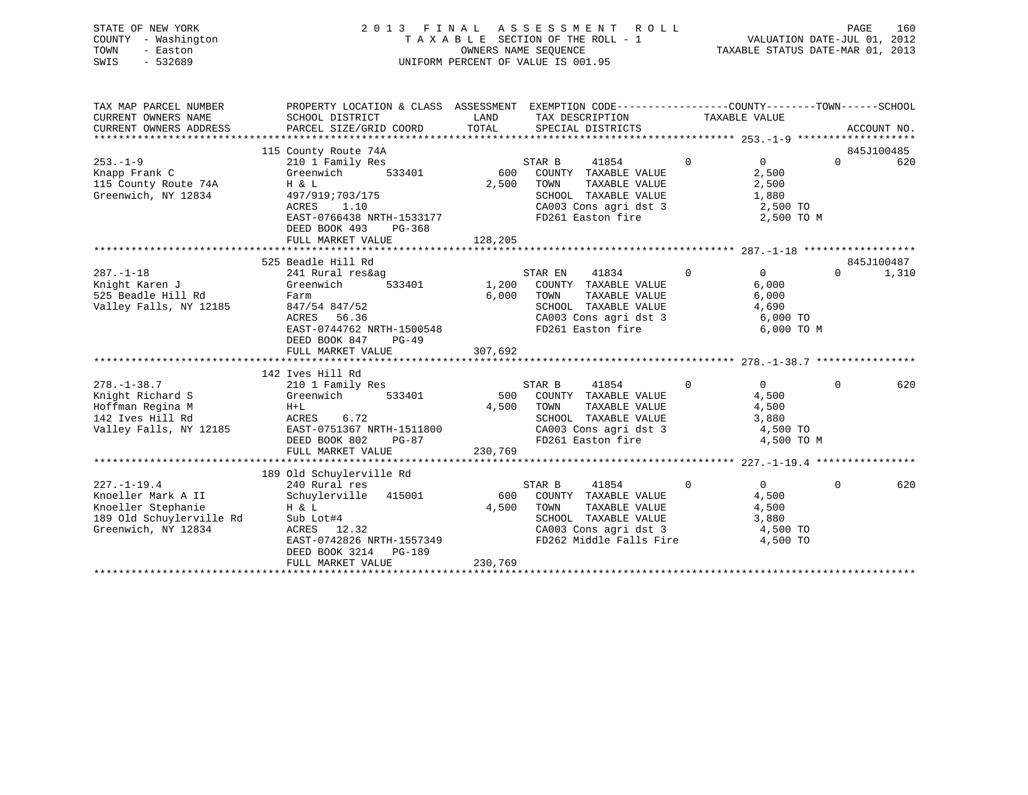| STATE OF NEW YORK   | 2013 FINAL ASSESSMENT ROLL         | 160<br>PAGE                      |
|---------------------|------------------------------------|----------------------------------|
| COUNTY - Washington | TAXABLE SECTION OF THE ROLL - 1    | VALUATION DATE-JUL 01, 2012      |
| TOWN<br>- Easton    | OWNERS NAME SEOUENCE               | TAXABLE STATUS DATE-MAR 01, 2013 |
| SWIS<br>- 532689    | UNIFORM PERCENT OF VALUE IS 001.95 |                                  |
|                     |                                    |                                  |

| TAX MAP PARCEL NUMBER                                                                                     | PROPERTY LOCATION & CLASS ASSESSMENT EXEMPTION CODE----------------COUNTY-------TOWN------SCHOOL |         |                                                                                                                                        |                   |                            |                 |
|-----------------------------------------------------------------------------------------------------------|--------------------------------------------------------------------------------------------------|---------|----------------------------------------------------------------------------------------------------------------------------------------|-------------------|----------------------------|-----------------|
| CURRENT OWNERS NAME                                                                                       | SCHOOL DISTRICT                                                                                  | LAND    | TAX DESCRIPTION TAXABLE VALUE                                                                                                          |                   |                            |                 |
| CURRENT OWNERS ADDRESS                                                                                    |                                                                                                  |         |                                                                                                                                        |                   |                            |                 |
|                                                                                                           |                                                                                                  |         |                                                                                                                                        |                   |                            |                 |
|                                                                                                           | 115 County Route 74A                                                                             |         |                                                                                                                                        | $0 \qquad \qquad$ |                            | 845J100485      |
| $253 - 1 - 9$                                                                                             | 210 1 Family Res                                                                                 |         | STAR B<br>41854                                                                                                                        |                   | $\overline{0}$             | $\Omega$<br>620 |
| Knapp Frank C                                                                                             | Greenwich 533401 600 COUNTY TAXABLE VALUE                                                        | 2,500   |                                                                                                                                        |                   | 2,500                      |                 |
| 115 County Route 74A H & L<br>Greenwich, NY 12834 497/91<br>Greenwich, NY 12834                           | 497/919;703/175                                                                                  |         | TOWN TAXABLE VALUE $2,500$<br>SCHOOL TAXABLE VALUE $1,880$<br>CA003 Cons agri dst 3 $2,500$ TO                                         |                   |                            |                 |
|                                                                                                           | The contract of the contract of<br>1.10<br>ACRES                                                 |         |                                                                                                                                        |                   |                            |                 |
|                                                                                                           | EAST-0766438 NRTH-1533177                                                                        |         | FD261 Easton fire                                                                                                                      |                   | 2,500 TO M                 |                 |
|                                                                                                           | DEED BOOK 493<br>PG-368                                                                          |         |                                                                                                                                        |                   |                            |                 |
|                                                                                                           | FULL MARKET VALUE                                                                                | 128,205 |                                                                                                                                        |                   |                            |                 |
|                                                                                                           |                                                                                                  |         |                                                                                                                                        |                   |                            |                 |
|                                                                                                           | 525 Beadle Hill Rd                                                                               |         |                                                                                                                                        |                   |                            | 845J100487      |
| $287. - 1 - 18$                                                                                           | 241 Rural res&ag                                                                                 |         | STAR EN 41834 0                                                                                                                        |                   | $\overline{0}$<br>$\Omega$ | 1,310           |
| knight Karen J                                                                                            | Greenwich 533401                                                                                 |         | 1,200 COUNTY TAXABLE VALUE                                                                                                             |                   | 6,000                      |                 |
| 525 Beadle Hill Rd                                                                                        |                                                                                                  |         | TAXABLE VALUE<br>6,000 TOWN                                                                                                            |                   | 6,000                      |                 |
| Valley Falls, NY 12185                                                                                    |                                                                                                  |         | SCHOOL TAXABLE VALUE                                                                                                                   |                   | 4,690                      |                 |
|                                                                                                           | 847/54 847/52<br>ACRES 56 36<br>ACRES 56.36<br>EAST-0744762 NRTH-1500548                         |         | CA003 Cons agri dst 3 6,000 TO                                                                                                         |                   |                            |                 |
|                                                                                                           |                                                                                                  |         | FD261 Easton fire                                                                                                                      |                   | 6,000 TO M                 |                 |
|                                                                                                           | DEED BOOK 847 PG-49                                                                              |         |                                                                                                                                        |                   |                            |                 |
|                                                                                                           | FULL MARKET VALUE                                                                                | 307,692 |                                                                                                                                        |                   |                            |                 |
|                                                                                                           |                                                                                                  |         |                                                                                                                                        |                   |                            |                 |
|                                                                                                           | 142 Ives Hill Rd                                                                                 |         |                                                                                                                                        |                   |                            |                 |
| $278. - 1 - 38.7$                                                                                         | 210 1 Family Res                                                                                 |         | STAR B 41854                                                                                                                           | $\overline{0}$    | $\overline{0}$<br>$\Omega$ | 620             |
| Knight Richard S                                                                                          | Greenwich<br>533401                                                                              |         | 500 COUNTY TAXABLE VALUE                                                                                                               |                   | 4,500                      |                 |
|                                                                                                           |                                                                                                  |         | 4,500 TOWN<br>TOWN TAXABLE VALUE 4,500<br>SCHOOL TAXABLE VALUE 3,880<br>CA003 Cons agri dst 3 4,500 TO<br>FD261 Easton fire 4,500 TO M |                   |                            |                 |
|                                                                                                           |                                                                                                  |         |                                                                                                                                        |                   |                            |                 |
|                                                                                                           |                                                                                                  |         |                                                                                                                                        |                   |                            |                 |
|                                                                                                           | $PG-87$<br>DEED BOOK 802                                                                         |         |                                                                                                                                        |                   |                            |                 |
|                                                                                                           |                                                                                                  |         |                                                                                                                                        |                   |                            |                 |
|                                                                                                           |                                                                                                  |         |                                                                                                                                        |                   |                            |                 |
| $227. - 1 - 19.4$                                                                                         | 189 Old Schuylerville Rd<br>240 Rural res                                                        |         | 41854<br>STAR B                                                                                                                        | $\circ$           | $\overline{0}$<br>$\Omega$ | 620             |
|                                                                                                           |                                                                                                  |         | 600 COUNTY TAXABLE VALUE                                                                                                               |                   | 4,500                      |                 |
|                                                                                                           |                                                                                                  | 4,500   | TOWN                                                                                                                                   |                   | 4,500                      |                 |
| Knoeller Mark A II Schuylerville 415001<br>Knoeller Stephanie H & L<br>189 Old Schuylerville Rd Sub Lot#4 |                                                                                                  |         | TOWN        TAXABLE  VALUE<br>SCHOOL    TAXABLE  VALUE                                                                                 |                   | 3,880                      |                 |
| Greenwich, NY 12834                                                                                       | ACRES 12.32                                                                                      |         | CA003 Cons agri dst 3 4,500 TO                                                                                                         |                   |                            |                 |
|                                                                                                           | EAST-0742826 NRTH-1557349                                                                        |         | FD262 Middle Falls Fire 4,500 TO                                                                                                       |                   |                            |                 |
|                                                                                                           | DEED BOOK 3214 PG-189                                                                            |         |                                                                                                                                        |                   |                            |                 |
|                                                                                                           | FULL MARKET VALUE                                                                                | 230,769 |                                                                                                                                        |                   |                            |                 |
|                                                                                                           |                                                                                                  |         |                                                                                                                                        |                   |                            |                 |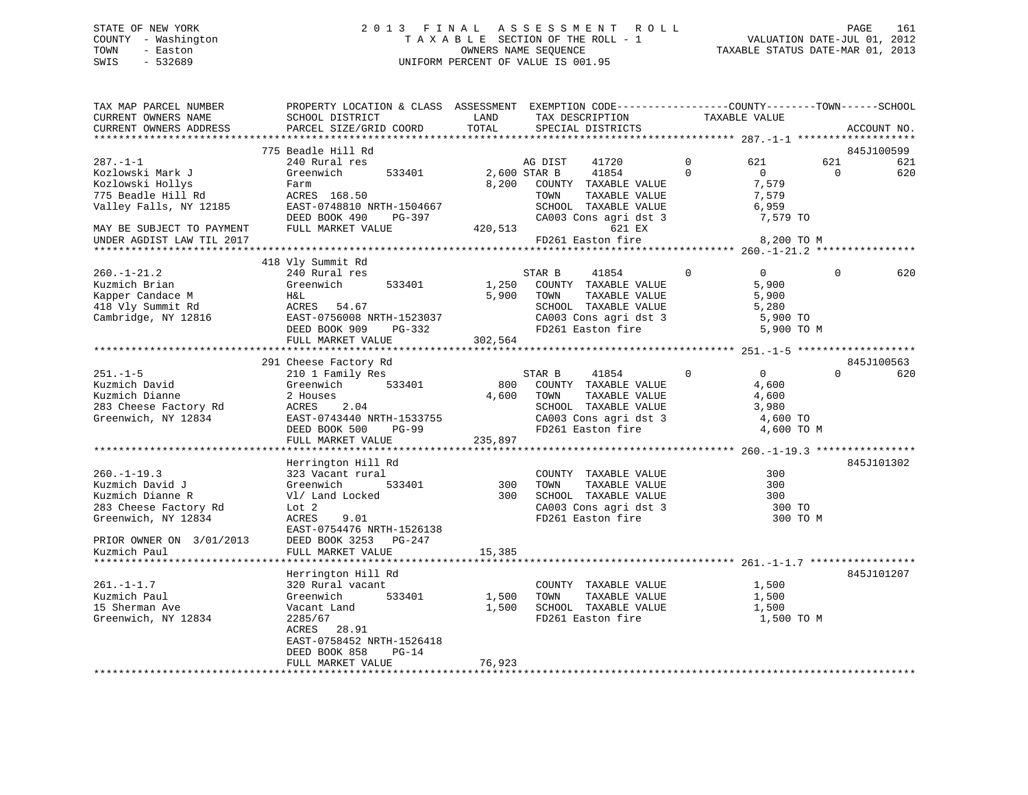### STATE OF NEW YORK 2 0 1 3 F I N A L A S S E S S M E N T R O L L PAGE 161 COUNTY - Washington T A X A B L E SECTION OF THE ROLL - 1 VALUATION DATE-JUL 01, 2012 TOWN - Easton OWNERS NAME SEQUENCE TAXABLE STATUS DATE-MAR 01, 2013 SWIS - 532689 UNIFORM PERCENT OF VALUE IS 001.95

| TAX MAP PARCEL NUMBER<br>CURRENT OWNERS NAME<br>CURRENT OWNERS ADDRESS | PROPERTY LOCATION & CLASS ASSESSMENT EXEMPTION CODE----------------COUNTY-------TOWN------SCHOOL<br>SCHOOL DISTRICT<br>PARCEL SIZE/GRID COORD | LAND<br>TOTAL |              | TAX DESCRIPTION<br>SPECIAL DISTRICTS |              | TAXABLE VALUE     |          | ACCOUNT NO. |
|------------------------------------------------------------------------|-----------------------------------------------------------------------------------------------------------------------------------------------|---------------|--------------|--------------------------------------|--------------|-------------------|----------|-------------|
|                                                                        |                                                                                                                                               |               |              |                                      |              |                   |          |             |
|                                                                        | 775 Beadle Hill Rd                                                                                                                            |               |              |                                      |              |                   |          | 845J100599  |
| $287. - 1 - 1$                                                         | 240 Rural res                                                                                                                                 |               | AG DIST      | 41720                                | $\Omega$     | 621               | 621      | 621         |
| Kozlowski Mark J                                                       | Greenwich<br>533401                                                                                                                           |               | 2,600 STAR B | 41854                                | $\Omega$     | $\Omega$          | $\Omega$ | 620         |
| Kozlowski Hollys                                                       | Farm                                                                                                                                          |               |              | 8,200 COUNTY TAXABLE VALUE           |              | 7,579             |          |             |
| 775 Beadle Hill Rd                                                     | ACRES 168.50                                                                                                                                  |               | TOWN         | TAXABLE VALUE                        |              | 7,579             |          |             |
| Valley Falls, NY 12185                                                 | EAST-0748810 NRTH-1504667                                                                                                                     |               |              | SCHOOL TAXABLE VALUE                 |              | 6,959             |          |             |
|                                                                        | DEED BOOK 490 PG-397                                                                                                                          |               |              | CA003 Cons agri dst 3                |              | 7,579 TO          |          |             |
| MAY BE SUBJECT TO PAYMENT                                              | FULL MARKET VALUE                                                                                                                             | 420,513       |              | 621 EX                               |              |                   |          |             |
| UNDER AGDIST LAW TIL 2017                                              |                                                                                                                                               |               |              | FD261 Easton fire                    |              | 8,200 TO M        |          |             |
|                                                                        |                                                                                                                                               |               |              |                                      |              |                   |          |             |
|                                                                        | 418 Vly Summit Rd                                                                                                                             |               |              |                                      |              |                   |          |             |
| $260. - 1 - 21.2$                                                      | 240 Rural res                                                                                                                                 |               | STAR B       | 41854                                | $\Omega$     | $\overline{0}$    | $\Omega$ | 620         |
| Kuzmich Brian                                                          | Greenwich<br>533401                                                                                                                           |               |              | 1,250 COUNTY TAXABLE VALUE           |              | 5,900             |          |             |
| Kapper Candace M                                                       | H&L                                                                                                                                           |               | 5,900 TOWN   | TAXABLE VALUE                        |              | 5,900             |          |             |
| 418 Vly Summit Rd                                                      | ACRES 54.67                                                                                                                                   |               |              | SCHOOL TAXABLE VALUE                 |              | 5,280             |          |             |
| Cambridge, NY 12816                                                    | EAST-0756008 NRTH-1523037                                                                                                                     |               |              | CA003 Cons agri dst 3                |              | 5,900 TO          |          |             |
|                                                                        | DEED BOOK 909<br>PG-332                                                                                                                       |               |              | FD261 Easton fire                    |              | 5,900 TO M        |          |             |
|                                                                        | FULL MARKET VALUE                                                                                                                             | 302,564       |              |                                      |              |                   |          |             |
|                                                                        |                                                                                                                                               |               |              |                                      |              |                   |          |             |
|                                                                        | 291 Cheese Factory Rd                                                                                                                         |               |              |                                      |              |                   |          | 845J100563  |
| $251. - 1 - 5$                                                         | 210 1 Family Res                                                                                                                              |               | STAR B       | 41854                                | $\mathbf{0}$ | $0 \qquad \qquad$ | $\Omega$ | 620         |
| Kuzmich David                                                          | Greenwich<br>533401                                                                                                                           | 800           |              | COUNTY TAXABLE VALUE                 |              | 4,600             |          |             |
| Kuzmich Dianne                                                         | 2 Houses                                                                                                                                      | 4,600         | TOWN         | TAXABLE VALUE                        |              | 4,600             |          |             |
| 283 Cheese Factory Rd                                                  | ACRES 2.04                                                                                                                                    |               |              | SCHOOL TAXABLE VALUE                 |              | 3,980             |          |             |
| Greenwich, NY 12834                                                    | EAST-0743440 NRTH-1533755                                                                                                                     |               |              | CA003 Cons agri dst 3                |              | 4,600 TO          |          |             |
|                                                                        | PG-99                                                                                                                                         |               |              | FD261 Easton fire                    |              |                   |          |             |
|                                                                        | DEED BOOK 500                                                                                                                                 |               |              |                                      |              | 4,600 TO M        |          |             |
|                                                                        | FULL MARKET VALUE                                                                                                                             | 235,897       |              |                                      |              |                   |          |             |
|                                                                        |                                                                                                                                               |               |              |                                      |              |                   |          | 845J101302  |
|                                                                        | Herrington Hill Rd                                                                                                                            |               |              |                                      |              |                   |          |             |
| $260. -1 - 19.3$                                                       | 323 Vacant rural                                                                                                                              |               |              | COUNTY TAXABLE VALUE                 |              | 300               |          |             |
| Kuzmich David J                                                        | Greenwich<br>533401                                                                                                                           | 300           | TOWN         | TAXABLE VALUE                        |              | 300               |          |             |
| Kuzmich Dianne R                                                       | Vl/ Land Locked                                                                                                                               | 300           |              | SCHOOL TAXABLE VALUE                 |              | 300               |          |             |
| 283 Cheese Factory Rd                                                  | Lot <sub>2</sub>                                                                                                                              |               |              | CA003 Cons agri dst 3                |              | 300 TO            |          |             |
| Greenwich, NY 12834                                                    | <b>ACRES</b><br>9.01                                                                                                                          |               |              | FD261 Easton fire                    |              | 300 TO M          |          |             |
|                                                                        | EAST-0754476 NRTH-1526138                                                                                                                     |               |              |                                      |              |                   |          |             |
| PRIOR OWNER ON 3/01/2013                                               | DEED BOOK 3253 PG-247                                                                                                                         |               |              |                                      |              |                   |          |             |
| Kuzmich Paul                                                           | FULL MARKET VALUE                                                                                                                             | 15,385        |              |                                      |              |                   |          |             |
|                                                                        |                                                                                                                                               |               |              |                                      |              |                   |          |             |
|                                                                        | Herrington Hill Rd                                                                                                                            |               |              |                                      |              |                   |          | 845J101207  |
| $261. -1 - 1.7$                                                        | 320 Rural vacant                                                                                                                              |               |              | COUNTY TAXABLE VALUE                 |              | 1,500             |          |             |
| Kuzmich Paul                                                           | 533401<br>Greenwich                                                                                                                           | 1,500         | TOWN         | TAXABLE VALUE                        |              | 1,500             |          |             |
| 15 Sherman Ave                                                         | Vacant Land                                                                                                                                   | 1,500         |              | SCHOOL TAXABLE VALUE                 |              | 1,500             |          |             |
| Greenwich, NY 12834                                                    | 2285/67                                                                                                                                       |               |              | FD261 Easton fire                    |              | 1,500 TO M        |          |             |
|                                                                        | ACRES 28.91                                                                                                                                   |               |              |                                      |              |                   |          |             |
|                                                                        | EAST-0758452 NRTH-1526418                                                                                                                     |               |              |                                      |              |                   |          |             |
|                                                                        | DEED BOOK 858<br>$PG-14$                                                                                                                      |               |              |                                      |              |                   |          |             |
|                                                                        | FULL MARKET VALUE                                                                                                                             | 76,923        |              |                                      |              |                   |          |             |
|                                                                        |                                                                                                                                               |               |              |                                      |              |                   |          |             |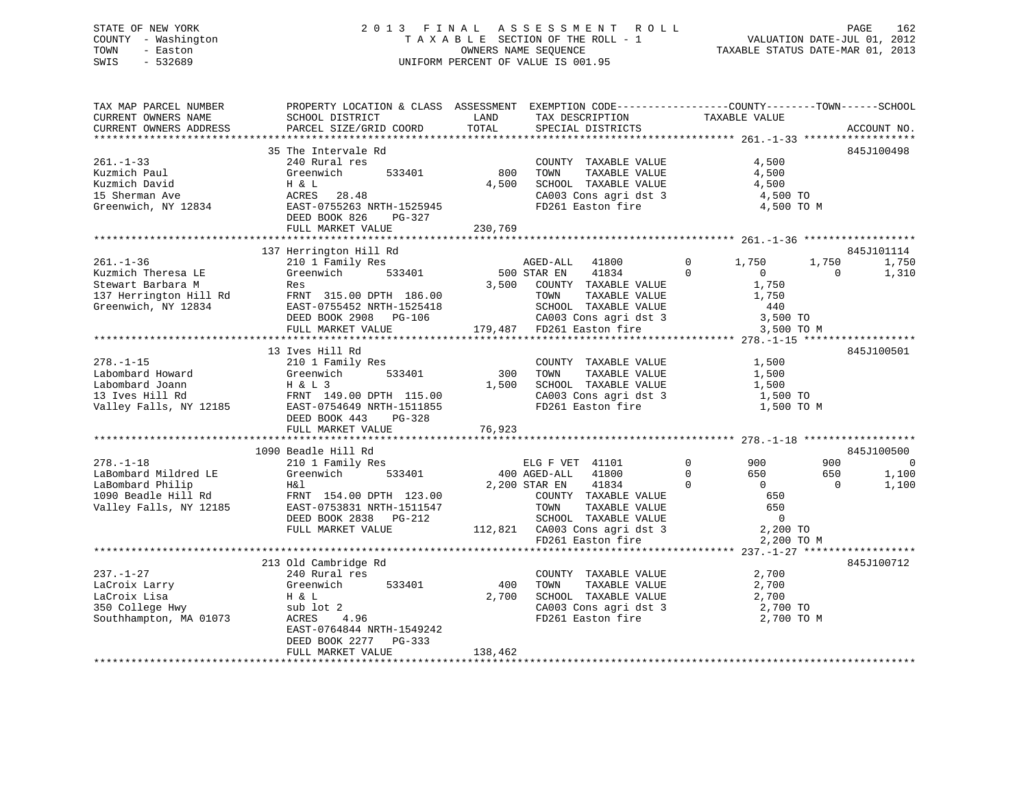### STATE OF NEW YORK 2 0 1 3 F I N A L A S S E S S M E N T R O L L PAGE 162 COUNTY - Washington T A X A B L E SECTION OF THE ROLL - 1 VALUATION DATE-JUL 01, 2012 TOWN - Easton OWNERS NAME SEQUENCE TAXABLE STATUS DATE-MAR 01, 2013 SWIS - 532689 UNIFORM PERCENT OF VALUE IS 001.95

| TAX MAP PARCEL NUMBER<br>CURRENT OWNERS NAME                                                                 | PROPERTY LOCATION & CLASS ASSESSMENT EXEMPTION CODE----------------COUNTY-------TOWN------SCHOOL<br>SCHOOL DISTRICT                                                                                  | LAND                   |                                                                                                                                                                                                | TAXABLE VALUE                                                                                                                          |                                                                          |
|--------------------------------------------------------------------------------------------------------------|------------------------------------------------------------------------------------------------------------------------------------------------------------------------------------------------------|------------------------|------------------------------------------------------------------------------------------------------------------------------------------------------------------------------------------------|----------------------------------------------------------------------------------------------------------------------------------------|--------------------------------------------------------------------------|
| CURRENT OWNERS ADDRESS                                                                                       | PARCEL SIZE/GRID COORD                                                                                                                                                                               | TOTAL                  | TAX DESCRIPTION<br>SPECIAL DISTRICTS                                                                                                                                                           |                                                                                                                                        | ACCOUNT NO.                                                              |
|                                                                                                              |                                                                                                                                                                                                      |                        |                                                                                                                                                                                                |                                                                                                                                        |                                                                          |
| $261. - 1 - 33$<br>Kuzmich Paul<br>Kuzmich David<br>15 Sherman Ave<br>Greenwich, NY 12834                    | 35 The Intervale Rd<br>240 Rural res<br>533401<br>Greenwich<br>H & L<br>28.48<br>ACRES<br>EAST-0755263 NRTH-1525945                                                                                  | 800<br>4,500           | COUNTY TAXABLE VALUE<br>TOWN<br>TAXABLE VALUE<br>SCHOOL TAXABLE VALUE<br>CA003 Cons agri dst 3<br>FD261 Easton fire                                                                            | 4,500<br>4,500<br>4,500<br>4,500 TO<br>4,500 TO M                                                                                      | 845J100498                                                               |
|                                                                                                              | DEED BOOK 826<br>PG-327                                                                                                                                                                              |                        |                                                                                                                                                                                                |                                                                                                                                        |                                                                          |
|                                                                                                              | FULL MARKET VALUE                                                                                                                                                                                    | 230,769                |                                                                                                                                                                                                |                                                                                                                                        |                                                                          |
|                                                                                                              |                                                                                                                                                                                                      |                        |                                                                                                                                                                                                |                                                                                                                                        |                                                                          |
| $261. - 1 - 36$<br>Kuzmich Theresa LE<br>Stewart Barbara M<br>137 Herrington Hill Rd<br>Greenwich, NY 12834  | 137 Herrington Hill Rd<br>210 1 Family Res<br>533401<br>Greenwich<br>Res<br>FRNT 315.00 DPTH 186.00<br>EAST-0755452 NRTH-1525418<br>DEED BOOK 2908 PG-106<br>FULL MARKET VALUE                       | 3,500                  | AGED-ALL 41800<br>500 STAR EN<br>41834<br>COUNTY TAXABLE VALUE<br>TOWN<br>TAXABLE VALUE<br>IUWN TAXABLE VALUE<br>SCHOOL TAXABLE VALUE<br>06 CA003 Cons agri dst 3<br>179,487 FD261 Easton fire | 1,750<br>$\mathbf{0}$<br>$\Omega$<br>$\overline{0}$<br>1,750<br>1,750<br>440<br>3,500 TO<br>3,500 TO M                                 | 845J101114<br>1,750<br>1,750<br>$\bigcirc$<br>1,310                      |
|                                                                                                              |                                                                                                                                                                                                      |                        |                                                                                                                                                                                                |                                                                                                                                        | 845J100501                                                               |
| $278. - 1 - 15$<br>Labombard Howard<br>Labombard Joann<br>13 Ives Hill Rd                                    | 13 Ives Hill Rd<br>210 1 Family Res<br>533401<br>Greenwich<br>H & L 3<br>FRNT 149.00 DPTH 115.00<br>Valley Falls, NY 12185 EAST-0754649 NRTH-1511855<br>DEED BOOK 443<br>PG-328<br>FULL MARKET VALUE | 300<br>1,500<br>76,923 | COUNTY TAXABLE VALUE<br>TAXABLE VALUE<br>TOWN<br>SCHOOL TAXABLE VALUE<br>CA003 Cons agri dst 3<br>FD261 Easton fire                                                                            | 1,500<br>1,500<br>1,500<br>1,500 TO<br>1,500 TO M                                                                                      |                                                                          |
|                                                                                                              |                                                                                                                                                                                                      |                        |                                                                                                                                                                                                |                                                                                                                                        |                                                                          |
| $278. - 1 - 18$<br>LaBombard Mildred LE<br>LaBombard Philip<br>1090 Beadle Hill Rd<br>Valley Falls, NY 12185 | 1090 Beadle Hill Rd<br>210 1 Family Res<br>Greenwich 533401<br>H&l<br>FRNT 154.00 DPTH 123.00<br>EAST-0753831 NRTH-1511547<br>DEED BOOK 2838 PG-212<br>FULL MARKET VALUE                             |                        | ELG F VET 41101<br>400 AGED-ALL 41800<br>2,200 STAR EN<br>41834<br>COUNTY TAXABLE VALUE<br>TOWN<br>TAXABLE VALUE<br>SCHOOL TAXABLE VALUE<br>112,821 CA003 Cons agri dst 3<br>FD261 Easton fire | $\overline{0}$<br>900<br>$\overline{0}$<br>650<br>$\Omega$<br>$\overline{0}$<br>650<br>650<br>$\overline{0}$<br>2,200 TO<br>2,200 TO M | 845J100500<br>900<br>$\overline{0}$<br>650<br>1,100<br>$\Omega$<br>1,100 |
|                                                                                                              |                                                                                                                                                                                                      |                        |                                                                                                                                                                                                |                                                                                                                                        |                                                                          |
| $237. - 1 - 27$<br>LaCroix Larry<br>LaCroix Lisa<br>350 College Hwy<br>Southhampton, MA 01073                | 213 Old Cambridge Rd<br>240 Rural res<br>533401<br>Greenwich<br>H & L<br>sub lot 2<br>ACRES<br>4.96<br>EAST-0764844 NRTH-1549242<br>DEED BOOK 2277<br>PG-333                                         | 400<br>2,700           | COUNTY TAXABLE VALUE<br>TOWN<br>TAXABLE VALUE<br>SCHOOL TAXABLE VALUE<br>CA003 Cons agri dst 3 2,700 TO<br>FD261 Easton fire                                                                   | 2,700<br>2,700<br>2,700<br>2,700 TO M                                                                                                  | 845J100712                                                               |
|                                                                                                              | FULL MARKET VALUE                                                                                                                                                                                    | 138,462                |                                                                                                                                                                                                |                                                                                                                                        |                                                                          |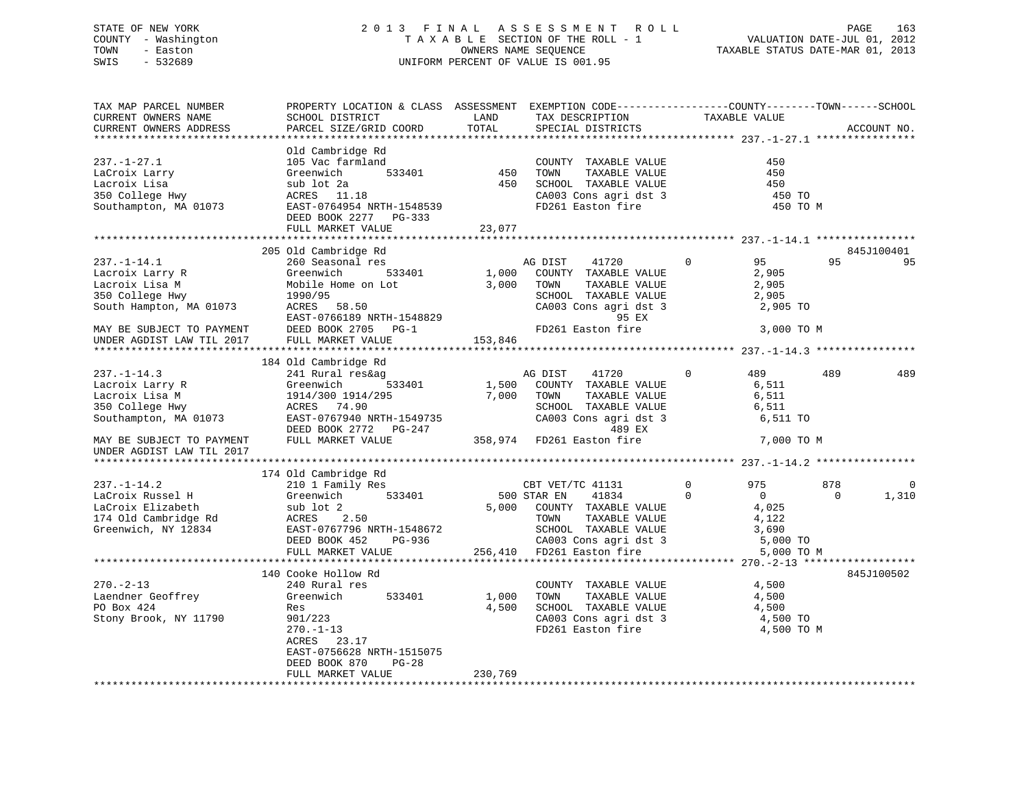### STATE OF NEW YORK 2 0 1 3 F I N A L A S S E S S M E N T R O L L PAGE 163 COUNTY - Washington T A X A B L E SECTION OF THE ROLL - 1 VALUATION DATE-JUL 01, 2012 TOWN - Easton OWNERS NAME SEQUENCE TAXABLE STATUS DATE-MAR 01, 2013 SWIS - 532689 UNIFORM PERCENT OF VALUE IS 001.95

| TAX MAP PARCEL NUMBER               | PROPERTY LOCATION & CLASS ASSESSMENT EXEMPTION CODE---------------COUNTY-------TOWN-----SCHOOL                                                                                                                             |            |                                                                                          |                       |                   |
|-------------------------------------|----------------------------------------------------------------------------------------------------------------------------------------------------------------------------------------------------------------------------|------------|------------------------------------------------------------------------------------------|-----------------------|-------------------|
| CURRENT OWNERS NAME                 | SCHOOL DISTRICT                                                                                                                                                                                                            | LAND       | TAX DESCRIPTION                                                                          | TAXABLE VALUE         |                   |
| CURRENT OWNERS ADDRESS              | PARCEL SIZE/GRID COORD                                                                                                                                                                                                     | TOTAL      | SPECIAL DISTRICTS                                                                        |                       | ACCOUNT NO.       |
|                                     |                                                                                                                                                                                                                            |            |                                                                                          |                       |                   |
|                                     | Old Cambridge Rd                                                                                                                                                                                                           |            |                                                                                          |                       |                   |
| $237. - 1 - 27.1$                   | 105 Vac farmland                                                                                                                                                                                                           |            | COUNTY TAXABLE VALUE                                                                     | 450                   |                   |
|                                     |                                                                                                                                                                                                                            |            |                                                                                          | 450                   |                   |
|                                     | ستمام 150<br>533401<br>450                                                                                                                                                                                                 |            |                                                                                          | 450                   |                   |
|                                     |                                                                                                                                                                                                                            |            |                                                                                          |                       |                   |
|                                     | Eacroix Larry<br>Lacroix Lisa (Seenwich 533401 450<br>350 College Hwy (Seenwich 533401 450<br>350 College Hwy (Seenwich 2011)<br>Southampton, MA 01073 EAST-0764954 NRTH-1548539                                           |            | TOWN TAXABLE VALUE<br>SCHOOL TAXABLE VALUE<br>CA003 Cons agri dst 3<br>FD261 Easton fire | 450 TO<br>450 TO M    |                   |
|                                     | DEED BOOK 2277 PG-333                                                                                                                                                                                                      |            |                                                                                          |                       |                   |
|                                     | FULL MARKET VALUE                                                                                                                                                                                                          | 23,077     |                                                                                          |                       |                   |
|                                     |                                                                                                                                                                                                                            |            |                                                                                          |                       |                   |
|                                     | 205 Old Cambridge Rd                                                                                                                                                                                                       |            |                                                                                          |                       | 845J100401        |
| $237. - 1 - 14.1$                   | 01d Campringe Rd<br>260 Seasonal res<br>Greenwich 533401                                                                                                                                                                   |            |                                                                                          | 95                    | 95<br>95          |
| Lacroix Larry R                     | Greenwich                                                                                                                                                                                                                  |            | AG DIST 41720 0<br>1,000 COUNTY TAXABLE VALUE                                            | 2,905                 |                   |
| Lacroix Lisa M                      | Greenwic<br>Mobile F<br>1990/95<br>Mobile Home on Lot 3,000 TOWN                                                                                                                                                           |            |                                                                                          | TAXABLE VALUE 2,905   |                   |
|                                     |                                                                                                                                                                                                                            |            | SCHOOL TAXABLE VALUE                                                                     |                       |                   |
| 350 College Hwy                     |                                                                                                                                                                                                                            |            |                                                                                          | 2,905                 |                   |
| South Hampton, MA 01073 ACRES 58.50 |                                                                                                                                                                                                                            |            | CA003 Cons agri dst 3 2,905 TO                                                           |                       |                   |
|                                     |                                                                                                                                                                                                                            |            | 95 EX                                                                                    |                       |                   |
| MAY BE SUBJECT TO PAYMENT           |                                                                                                                                                                                                                            |            |                                                                                          | 3,000 TO M            |                   |
| UNDER AGDIST LAW TIL 2017           | FULL MARKET VALUE                                                                                                                                                                                                          | 153,846    |                                                                                          |                       |                   |
|                                     |                                                                                                                                                                                                                            |            |                                                                                          |                       |                   |
|                                     | 184 Old Cambridge Rd                                                                                                                                                                                                       |            |                                                                                          |                       |                   |
| $237. -1 - 14.3$                    | 241 Rural res&ag                                                                                                                                                                                                           |            | AG DIST 41720                                                                            | $\Omega$<br>489       | 489<br>489        |
| Lacroix Larry R                     |                                                                                                                                                                                                                            |            | 1,500 COUNTY TAXABLE VALUE                                                               | 6,511                 |                   |
| Lacroix Lisa M                      | Greenwich 533401<br>1914/300 1914/295<br>ACRES 74.90<br>Greenwich<br>1914/300 1914/<br>ACRES 74.90                                                                                                                         | 7,000 TOWN | TAXABLE VALUE                                                                            | 6,511                 |                   |
| 350 College Hwy                     |                                                                                                                                                                                                                            |            | SCHOOL TAXABLE VALUE                                                                     | 6,511                 |                   |
|                                     |                                                                                                                                                                                                                            |            | CA003 Cons agri dst 3 6,511 TO                                                           |                       |                   |
|                                     |                                                                                                                                                                                                                            |            | 489 EX                                                                                   |                       |                   |
| MAY BE SUBJECT TO PAYMENT           | 2000 CAOUS CONTROL AND THE CAOUS CONSIDER THE CAOUS CONSISTENT OF THE CAOUS CONSISTENT OF THE PAST OF THE PAST<br>29 DEED BOOK 2772 PG-247 489 EX<br>MAY BE SUBJECT TO PAYMENT FULL MARKET VALUE 358,974 FD261 Easton fire |            |                                                                                          | 7,000 TO M            |                   |
| UNDER AGDIST LAW TIL 2017           |                                                                                                                                                                                                                            |            |                                                                                          |                       |                   |
|                                     |                                                                                                                                                                                                                            |            |                                                                                          |                       |                   |
|                                     | 174 Old Cambridge Rd                                                                                                                                                                                                       |            |                                                                                          |                       |                   |
|                                     | 210 1 Family Res                                                                                                                                                                                                           |            | CBT VET/TC 41131                                                                         | $\overline{0}$<br>975 | 878<br>0          |
|                                     |                                                                                                                                                                                                                            |            | 500 STAR EN 41834 0<br>5,000 COUNTY TAXABLE VALUE                                        | $\overline{0}$        | $\Omega$<br>1,310 |
|                                     |                                                                                                                                                                                                                            |            |                                                                                          | 4,025                 |                   |
|                                     |                                                                                                                                                                                                                            |            |                                                                                          |                       |                   |
|                                     |                                                                                                                                                                                                                            |            | TOWN TAXABLE VALUE 4,122<br>SCHOOL TAXABLE VALUE 3,690                                   |                       |                   |
|                                     |                                                                                                                                                                                                                            |            |                                                                                          |                       |                   |
|                                     |                                                                                                                                                                                                                            |            | PG-936 CA003 Cons agri dst 3<br>256,410 FD261 Easton fire                                | 5,000 TO              |                   |
|                                     |                                                                                                                                                                                                                            |            |                                                                                          | 5,000 TO M            |                   |
|                                     |                                                                                                                                                                                                                            |            |                                                                                          |                       |                   |
|                                     | 140 Cooke Hollow Rd                                                                                                                                                                                                        |            |                                                                                          |                       | 845J100502        |
| $270. - 2 - 13$                     | 240 Rural res                                                                                                                                                                                                              |            | COUNTY TAXABLE VALUE                                                                     | 4,500                 |                   |
| Laendner Geoffrey<br>PO Box 424     | 533401<br>Greenwich                                                                                                                                                                                                        | 1,000      | TAXABLE VALUE<br>TOWN                                                                    | 4,500                 |                   |
| PO Box 424                          | Res                                                                                                                                                                                                                        | 4,500      | SCHOOL TAXABLE VALUE<br>CA003 Cons agri dst 3<br>FD261 Easton fire                       | 4,500                 |                   |
| Stony Brook, NY 11790               | 901/223                                                                                                                                                                                                                    |            |                                                                                          | 4,500 TO              |                   |
|                                     | $270. - 1 - 13$                                                                                                                                                                                                            |            |                                                                                          | 4,500 TO M            |                   |
|                                     | 23.17<br>ACRES                                                                                                                                                                                                             |            |                                                                                          |                       |                   |
|                                     | EAST-0756628 NRTH-1515075                                                                                                                                                                                                  |            |                                                                                          |                       |                   |
|                                     | DEED BOOK 870<br>$PG-28$                                                                                                                                                                                                   |            |                                                                                          |                       |                   |
|                                     | FULL MARKET VALUE                                                                                                                                                                                                          | 230,769    |                                                                                          |                       |                   |
|                                     |                                                                                                                                                                                                                            |            |                                                                                          |                       |                   |
|                                     |                                                                                                                                                                                                                            |            |                                                                                          |                       |                   |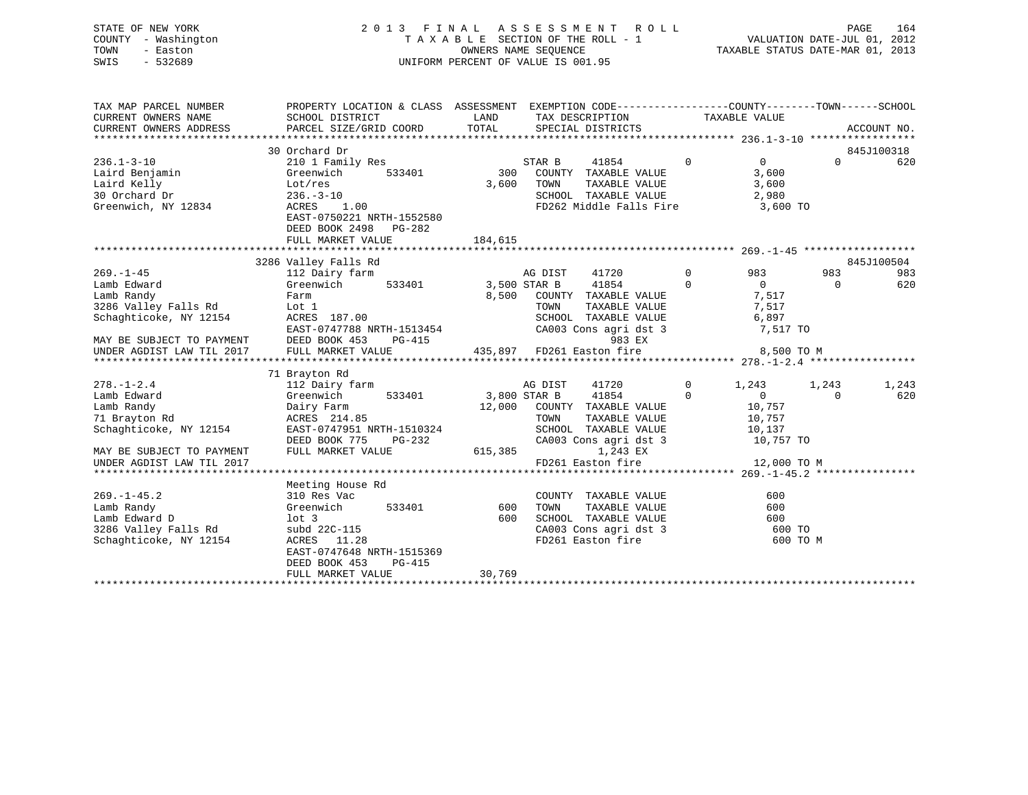### STATE OF NEW YORK 2 0 1 3 F I N A L A S S E S S M E N T R O L L PAGE 164 COUNTY - Washington T A X A B L E SECTION OF THE ROLL - 1 VALUATION DATE-JUL 01, 2012 TOWN - Easton OWNERS NAME SEQUENCE TAXABLE STATUS DATE-MAR 01, 2013 SWIS - 532689 UNIFORM PERCENT OF VALUE IS 001.95

| TAX MAP PARCEL NUMBER                 | PROPERTY LOCATION & CLASS ASSESSMENT EXEMPTION CODE---------------COUNTY-------TOWN------SCHOOL                                                                                                                                        |            |                                                                                                                              |                |                                         |                |            |
|---------------------------------------|----------------------------------------------------------------------------------------------------------------------------------------------------------------------------------------------------------------------------------------|------------|------------------------------------------------------------------------------------------------------------------------------|----------------|-----------------------------------------|----------------|------------|
|                                       |                                                                                                                                                                                                                                        |            |                                                                                                                              |                |                                         |                |            |
|                                       | 30 Orchard Dr                                                                                                                                                                                                                          |            |                                                                                                                              |                | $\overline{0}$ 0                        |                | 845J100318 |
| $236.1 - 3 - 10$                      | 210 1 Family Res                                                                                                                                                                                                                       |            | STAR B<br>41854                                                                                                              |                |                                         | $\Omega$       | 620        |
|                                       |                                                                                                                                                                                                                                        | 533401 300 | COUNTY TAXABLE VALUE                                                                                                         |                | 3,600                                   |                |            |
|                                       | Laird Benjamin<br>Laird Benjamin (Greenwich 533401)<br>30 Orchard Dr 236.-3-10                                                                                                                                                         | 3,600      | TOWN                                                                                                                         |                |                                         |                |            |
|                                       |                                                                                                                                                                                                                                        |            |                                                                                                                              |                |                                         |                |            |
| Greenwich, NY 12834                   | ACRES 1.00<br>EAST-0750221 NRTH-1552580<br>DEED BOOK 2498 PG-282                                                                                                                                                                       |            | FD262 Middle Falls Fire 3,600 TO                                                                                             |                |                                         |                |            |
|                                       | FULL MARKET VALUE                                                                                                                                                                                                                      | 184,615    |                                                                                                                              |                |                                         |                |            |
|                                       |                                                                                                                                                                                                                                        |            |                                                                                                                              |                |                                         |                |            |
|                                       | 3286 Valley Falls Rd<br>valicy rails not<br>112 Dairy farm Mark AG DIST                                                                                                                                                                |            |                                                                                                                              |                | 41720 0 983                             |                | 845J100504 |
| $269. - 1 - 45$                       | Greenwich 533401 3,500 STAR B                                                                                                                                                                                                          |            |                                                                                                                              |                |                                         | 983            | 983        |
| Lamb Edward                           |                                                                                                                                                                                                                                        |            |                                                                                                                              |                | $41854 \qquad \qquad 0 \qquad \qquad 0$ | $\overline{0}$ | 620        |
| Lamb Randy                            |                                                                                                                                                                                                                                        |            |                                                                                                                              |                |                                         |                |            |
|                                       |                                                                                                                                                                                                                                        |            |                                                                                                                              |                |                                         |                |            |
|                                       |                                                                                                                                                                                                                                        |            |                                                                                                                              |                |                                         |                |            |
|                                       |                                                                                                                                                                                                                                        |            | 8,500 COUNTY TAXABLE VALUE 7,517<br>TOWN TAXABLE VALUE 7,517<br>SCHOOL TAXABLE VALUE 7,517<br>CA003 Cons agri dst 3 7,517 TO |                |                                         |                |            |
|                                       | 3286 Valley Falls Rd<br>Schaghticoke, NY 12154 ACRES 187.00<br>EAST-0747788 NRTH-1513454 SCHOOL TAXABLE VALUE<br>MAY BE SUBJECT TO PAYMENT DEED BOOK 453 PG-415 (2003 Cons agridst 3 7,517 TO<br>UNDER AGDIST LAW TIL 2017 FULL MARKET |            |                                                                                                                              |                |                                         |                |            |
|                                       |                                                                                                                                                                                                                                        |            |                                                                                                                              |                |                                         |                |            |
|                                       |                                                                                                                                                                                                                                        |            |                                                                                                                              |                |                                         |                |            |
| $278. -1 - 2.4$                       | 71 Brayton Rd<br>112 Dairy farm                                                                                                                                                                                                        |            |                                                                                                                              | $\overline{0}$ |                                         |                |            |
|                                       | 533401 3,800 STAR B                                                                                                                                                                                                                    |            | AG DIST<br>41720                                                                                                             |                | 1,243 1,243                             |                | 1,243      |
| Lamb Edward Greenwich                 |                                                                                                                                                                                                                                        |            | 41854 0                                                                                                                      |                | $\overline{0}$                          | $\overline{0}$ | 620        |
| Lamb Randy                            |                                                                                                                                                                                                                                        |            |                                                                                                                              |                |                                         |                |            |
| 71 Brayton Rd                         |                                                                                                                                                                                                                                        |            |                                                                                                                              |                |                                         |                |            |
|                                       | Schaghticoke, NY 12154 EAST-0747951 NRTH-1510324                                                                                                                                                                                       |            | SCHOOL TAXABLE VALUE 10,137                                                                                                  |                |                                         |                |            |
|                                       | DEED BOOK 775                                                                                                                                                                                                                          |            |                                                                                                                              |                |                                         |                |            |
|                                       |                                                                                                                                                                                                                                        |            |                                                                                                                              |                |                                         |                |            |
|                                       | EAST-0747951 NRTH-151U324<br>DEED BOOK 775 PG-232 CA003 Cons agri dst 3<br>FULL MARKET VALUE 615,385 FD261 Easton fire 12,000 TO M<br>FD261 Easton fire 12,000 TO M                                                                    |            |                                                                                                                              |                |                                         |                |            |
|                                       |                                                                                                                                                                                                                                        |            |                                                                                                                              |                |                                         |                |            |
|                                       | Meeting House Rd                                                                                                                                                                                                                       |            |                                                                                                                              |                |                                         |                |            |
| $269. - 1 - 45.2$                     | 310 Res Vac                                                                                                                                                                                                                            |            | COUNTY TAXABLE VALUE                                                                                                         |                | 600                                     |                |            |
| Lamb Randy                            | Greenwich 533401 600                                                                                                                                                                                                                   |            | TAXABLE VALUE<br>TOWN                                                                                                        |                | 600                                     |                |            |
| Lamb Edward D<br>3286 Valley Falls Rd | $1$ ot 3                                                                                                                                                                                                                               | 600        |                                                                                                                              |                |                                         |                |            |
|                                       | subd 22C-115                                                                                                                                                                                                                           |            |                                                                                                                              |                |                                         |                |            |
| Schaghticoke, NY 12154                | ACRES 11.28<br>EAST-0747648 NRTH-1515369<br>DEED BOOK 453<br>PG-415                                                                                                                                                                    |            | SCHOOL TAXABLE VALUE 600<br>CA003 Cons agri dst 3 600 TO<br>FD261 Easton fire 600 TO                                         |                | 600 TO M                                |                |            |
|                                       | FULL MARKET VALUE                                                                                                                                                                                                                      | 30,769     |                                                                                                                              |                |                                         |                |            |
|                                       |                                                                                                                                                                                                                                        |            |                                                                                                                              |                |                                         |                |            |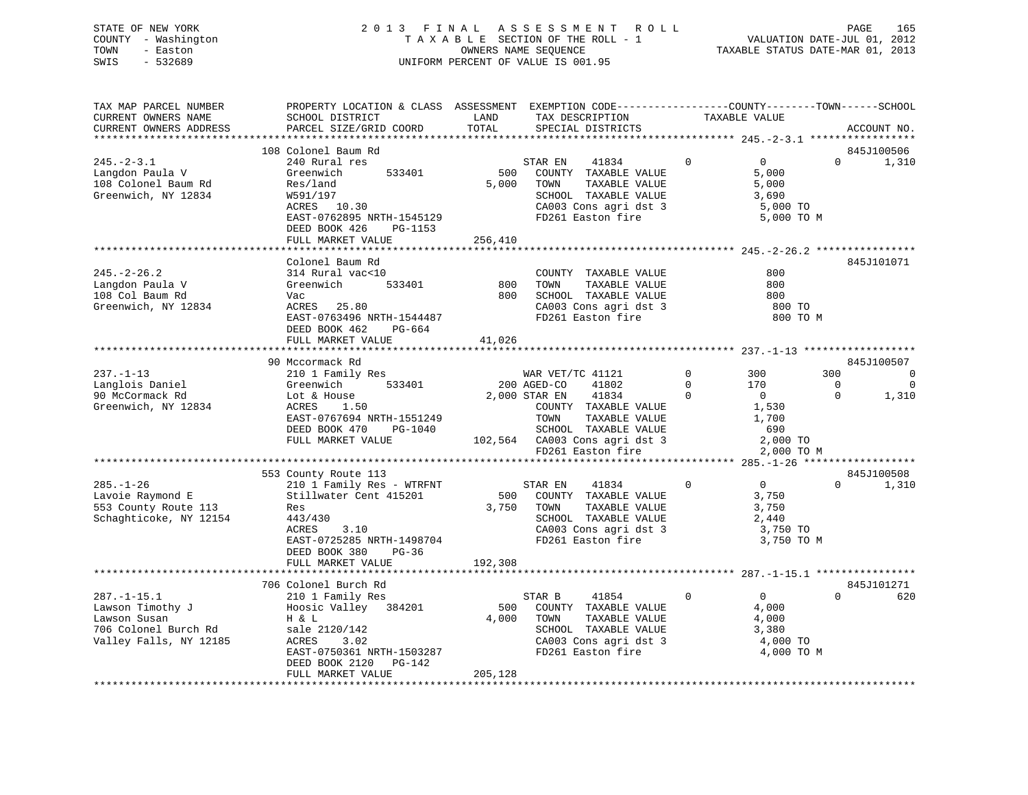STATE OF NEW YORK 2 0 1 3 F I N A L A S S E S S M E N T R O L L PAGE 165 COUNTY - Washington T A X A B L E SECTION OF THE ROLL - 1 VALUATION DATE-JUL 01, 2012

# TOWN - Easton OWNERS NAME SEQUENCE TAXABLE STATUS DATE-MAR 01, 2013 SWIS - 532689 UNIFORM PERCENT OF VALUE IS 001.95

| TAX MAP PARCEL NUMBER<br>CURRENT OWNERS NAME                                                                                                                          | PROPERTY LOCATION & CLASS ASSESSMENT<br>SCHOOL DISTRICT                                                                                                                                                                                                                                                                 | LAND                    | EXEMPTION CODE-----------------COUNTY-------TOWN------SCHOOL<br>TAX DESCRIPTION                                                                                                                                                                                                                                                                  |                                                  | TAXABLE VALUE                                                                                                                                          |                                         |                                                             |
|-----------------------------------------------------------------------------------------------------------------------------------------------------------------------|-------------------------------------------------------------------------------------------------------------------------------------------------------------------------------------------------------------------------------------------------------------------------------------------------------------------------|-------------------------|--------------------------------------------------------------------------------------------------------------------------------------------------------------------------------------------------------------------------------------------------------------------------------------------------------------------------------------------------|--------------------------------------------------|--------------------------------------------------------------------------------------------------------------------------------------------------------|-----------------------------------------|-------------------------------------------------------------|
| CURRENT OWNERS ADDRESS<br>***********************                                                                                                                     | PARCEL SIZE/GRID COORD<br>******************************                                                                                                                                                                                                                                                                | TOTAL                   | SPECIAL DISTRICTS                                                                                                                                                                                                                                                                                                                                |                                                  |                                                                                                                                                        |                                         | ACCOUNT NO.                                                 |
|                                                                                                                                                                       | 108 Colonel Baum Rd                                                                                                                                                                                                                                                                                                     |                         |                                                                                                                                                                                                                                                                                                                                                  |                                                  |                                                                                                                                                        |                                         | 845J100506                                                  |
| $245. - 2 - 3.1$<br>Langdon Paula V<br>108 Colonel Baum Rd<br>Greenwich, NY 12834                                                                                     | 240 Rural res<br>Greenwich<br>533401<br>Res/land<br>W591/197<br>ACRES 10.30<br>EAST-0762895 NRTH-1545129<br>DEED BOOK 426<br>PG-1153                                                                                                                                                                                    | 500<br>5,000            | 41834<br>STAR EN<br>COUNTY TAXABLE VALUE<br>TOWN<br>TAXABLE VALUE<br>SCHOOL TAXABLE VALUE<br>CA003 Cons agri dst 3<br>FD261 Easton fire                                                                                                                                                                                                          | $\mathbf 0$                                      | $\mathbf 0$<br>5,000<br>5,000<br>3,690<br>5,000 TO<br>5,000 TO M                                                                                       | $\Omega$                                | 1,310                                                       |
|                                                                                                                                                                       | FULL MARKET VALUE                                                                                                                                                                                                                                                                                                       | 256,410                 |                                                                                                                                                                                                                                                                                                                                                  |                                                  |                                                                                                                                                        |                                         |                                                             |
| $245. - 2 - 26.2$<br>Langdon Paula V<br>108 Col Baum Rd<br>Greenwich, NY 12834                                                                                        | Colonel Baum Rd<br>314 Rural vac<10<br>Greenwich<br>533401<br>Vac<br>ACRES 25.80<br>EAST-0763496 NRTH-1544487<br>DEED BOOK 462<br>PG-664<br>FULL MARKET VALUE                                                                                                                                                           | 800<br>800<br>41,026    | COUNTY TAXABLE VALUE<br>TOWN<br>TAXABLE VALUE<br>SCHOOL TAXABLE VALUE<br>CA003 Cons agri dst 3<br>FD261 Easton fire                                                                                                                                                                                                                              |                                                  | 800<br>800<br>800<br>800 TO<br>800 TO M                                                                                                                |                                         | 845J101071                                                  |
|                                                                                                                                                                       |                                                                                                                                                                                                                                                                                                                         |                         |                                                                                                                                                                                                                                                                                                                                                  |                                                  |                                                                                                                                                        |                                         |                                                             |
| $237. - 1 - 13$<br>Langlois Daniel<br>90 McCormack Rd<br>Greenwich, NY 12834<br>$285. - 1 - 26$<br>Lavoie Raymond E<br>553 County Route 113<br>Schaghticoke, NY 12154 | 90 Mccormack Rd<br>210 1 Family Res<br>533401<br>Greenwich<br>Lot & House<br>ACRES<br>1.50<br>EAST-0767694 NRTH-1551249<br>DEED BOOK 470<br>PG-1040<br>FULL MARKET VALUE<br>553 County Route 113<br>210 1 Family Res - WTRFNT<br>Stillwater Cent 415201<br>Res<br>443/430<br>ACRES<br>3.10<br>EAST-0725285 NRTH-1498704 | 3,750                   | WAR VET/TC 41121<br>200 AGED-CO<br>41802<br>2,000 STAR EN<br>41834<br>COUNTY TAXABLE VALUE<br>TOWN<br>TAXABLE VALUE<br>SCHOOL TAXABLE VALUE<br>102,564 CA003 Cons agri dst 3<br>FD261 Easton fire<br>STAR EN<br>41834<br>500 COUNTY TAXABLE VALUE<br>TOWN<br>TAXABLE VALUE<br>SCHOOL TAXABLE VALUE<br>CA003 Cons agri dst 3<br>FD261 Easton fire | $\mathbf{0}$<br>$\Omega$<br>$\Omega$<br>$\Omega$ | 300<br>170<br>$\overline{0}$<br>1,530<br>1,700<br>690<br>2,000 TO<br>2,000 TO M<br>$\overline{0}$<br>3,750<br>3,750<br>2,440<br>3,750 TO<br>3,750 TO M | 300<br>$\Omega$<br>$\Omega$<br>$\Omega$ | 845J100507<br>0<br>$\Omega$<br>1,310<br>845J100508<br>1,310 |
|                                                                                                                                                                       | DEED BOOK 380<br>PG-36<br>FULL MARKET VALUE                                                                                                                                                                                                                                                                             | 192,308                 |                                                                                                                                                                                                                                                                                                                                                  |                                                  |                                                                                                                                                        |                                         |                                                             |
|                                                                                                                                                                       | 706 Colonel Burch Rd                                                                                                                                                                                                                                                                                                    |                         |                                                                                                                                                                                                                                                                                                                                                  |                                                  |                                                                                                                                                        |                                         | 845J101271                                                  |
| $287. - 1 - 15.1$<br>Lawson Timothy J<br>Lawson Susan<br>706 Colonel Burch Rd<br>Valley Falls, NY 12185                                                               | 210 1 Family Res<br>Hoosic Valley<br>384201<br>H & L<br>sale 2120/142<br>3.02<br>ACRES<br>EAST-0750361 NRTH-1503287<br>DEED BOOK 2120 PG-142<br>FULL MARKET VALUE                                                                                                                                                       | 500<br>4,000<br>205,128 | STAR B<br>41854<br>COUNTY TAXABLE VALUE<br>TOWN<br>TAXABLE VALUE<br>SCHOOL TAXABLE VALUE<br>CA003 Cons agri dst 3<br>FD261 Easton fire                                                                                                                                                                                                           | $\mathbf{0}$                                     | $\overline{0}$<br>4,000<br>4,000<br>3,380<br>4,000 TO<br>4,000 TO M                                                                                    | $\Omega$                                | 620                                                         |
|                                                                                                                                                                       |                                                                                                                                                                                                                                                                                                                         |                         |                                                                                                                                                                                                                                                                                                                                                  |                                                  |                                                                                                                                                        |                                         |                                                             |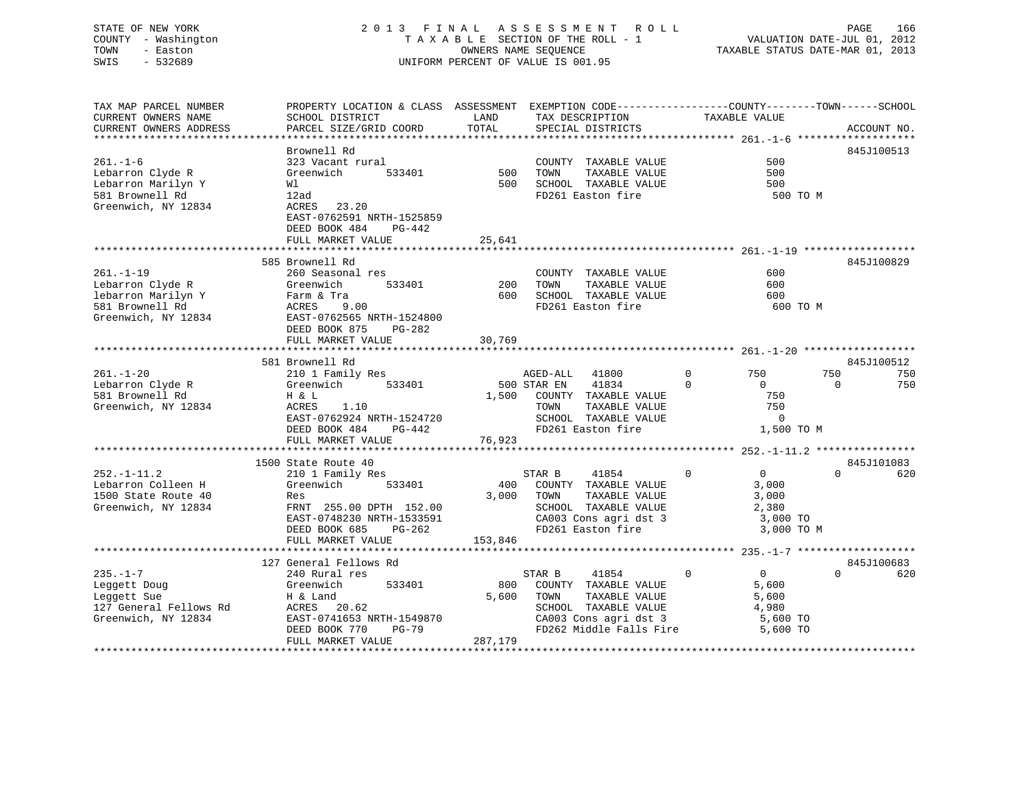### STATE OF NEW YORK 2 0 1 3 F I N A L A S S E S S M E N T R O L L PAGE 166 COUNTY - Washington T A X A B L E SECTION OF THE ROLL - 1 VALUATION DATE-JUL 01, 2012 TOWN - Easton OWNERS NAME SEQUENCE TAXABLE STATUS DATE-MAR 01, 2013 SWIS - 532689 UNIFORM PERCENT OF VALUE IS 001.95

| TAX MAP PARCEL NUMBER  | PROPERTY LOCATION & CLASS ASSESSMENT EXEMPTION CODE----------------COUNTY-------TOWN------SCHOOL |         |                                                  |                               |                 |
|------------------------|--------------------------------------------------------------------------------------------------|---------|--------------------------------------------------|-------------------------------|-----------------|
| CURRENT OWNERS NAME    | SCHOOL DISTRICT                                                                                  | LAND    | TAX DESCRIPTION                                  | TAXABLE VALUE                 |                 |
| CURRENT OWNERS ADDRESS | PARCEL SIZE/GRID COORD                                                                           | TOTAL   | SPECIAL DISTRICTS                                |                               | ACCOUNT NO.     |
|                        |                                                                                                  |         |                                                  |                               |                 |
|                        | Brownell Rd                                                                                      |         |                                                  |                               | 845J100513      |
| $261. - 1 - 6$         | 323 Vacant rural                                                                                 |         | COUNTY TAXABLE VALUE                             | 500                           |                 |
|                        |                                                                                                  | 500     |                                                  | 500                           |                 |
| Lebarron Clyde R       | 533401<br>Greenwich                                                                              |         | TAXABLE VALUE<br>TOWN                            |                               |                 |
| Lebarron Marilyn Y     | Wl                                                                                               | 500     | SCHOOL TAXABLE VALUE                             | 500                           |                 |
| 581 Brownell Rd        | 12ad                                                                                             |         | FD261 Easton fire                                |                               | 500 TO M        |
| Greenwich, NY 12834    | ACRES<br>23.20                                                                                   |         |                                                  |                               |                 |
|                        | EAST-0762591 NRTH-1525859                                                                        |         |                                                  |                               |                 |
|                        | DEED BOOK 484<br>$PG-442$                                                                        |         |                                                  |                               |                 |
|                        | FULL MARKET VALUE                                                                                | 25,641  |                                                  |                               |                 |
|                        |                                                                                                  |         |                                                  |                               |                 |
|                        | 585 Brownell Rd                                                                                  |         |                                                  |                               | 845J100829      |
| $261. - 1 - 19$        | 260 Seasonal res                                                                                 |         | COUNTY TAXABLE VALUE                             | 600                           |                 |
|                        |                                                                                                  |         | TOWN                                             | 600                           |                 |
| Lebarron Clyde R       | 533401<br>Greenwich                                                                              | 200     | TAXABLE VALUE                                    |                               |                 |
| lebarron Marilyn Y     | Farm & Tra                                                                                       | 600     | SCHOOL TAXABLE VALUE                             | 600                           |                 |
| 581 Brownell Rd        | 9.00<br>ACRES                                                                                    |         | FD261 Easton fire                                |                               | 600 TO M        |
| Greenwich, NY 12834    | EAST-0762565 NRTH-1524800                                                                        |         |                                                  |                               |                 |
|                        | DEED BOOK 875<br>PG-282                                                                          |         |                                                  |                               |                 |
|                        | FULL MARKET VALUE                                                                                | 30,769  |                                                  |                               |                 |
|                        |                                                                                                  |         |                                                  |                               |                 |
|                        | 581 Brownell Rd                                                                                  |         |                                                  |                               | 845J100512      |
| $261. - 1 - 20$        | 210 1 Family Res                                                                                 |         | AGED-ALL<br>41800                                | $\Omega$<br>750               | 750<br>750      |
| Lebarron Clyde R       | 533401<br>Greenwich                                                                              |         | 41834<br>500 STAR EN                             | $\Omega$<br>$\Omega$          | $\Omega$<br>750 |
| 581 Brownell Rd        | H & L                                                                                            |         | 1,500 COUNTY TAXABLE VALUE                       | 750                           |                 |
|                        |                                                                                                  |         |                                                  | 750                           |                 |
| Greenwich, NY 12834    | ACRES<br>1.10                                                                                    |         | TOWN<br>TAXABLE VALUE                            |                               |                 |
|                        | EAST-0762924 NRTH-1524720                                                                        |         | SCHOOL TAXABLE VALUE                             | $\overline{0}$                |                 |
|                        | DEED BOOK 484<br>PG-442                                                                          |         | FD261 Easton fire                                | 1,500 TO M                    |                 |
|                        | FULL MARKET VALUE                                                                                | 76,923  |                                                  |                               |                 |
|                        | *************************                                                                        |         |                                                  |                               |                 |
|                        | 1500 State Route 40                                                                              |         |                                                  |                               | 845J101083      |
| $252. - 1 - 11.2$      | 210 1 Family Res                                                                                 |         | 41854<br>STAR B                                  | $\Omega$<br>$\overline{0}$    | 620<br>$\Omega$ |
| Lebarron Colleen H     | Greenwich<br>533401                                                                              | 400     | COUNTY TAXABLE VALUE                             | 3,000                         |                 |
| 1500 State Route 40    | Res                                                                                              | 3,000   | TOWN<br>TAXABLE VALUE                            | 3,000                         |                 |
| Greenwich, NY 12834    | FRNT 255.00 DPTH 152.00                                                                          |         | SCHOOL TAXABLE VALUE                             | 2,380                         |                 |
|                        | EAST-0748230 NRTH-1533591                                                                        |         | CA003 Cons agri dst 3                            | 3,000 TO                      |                 |
|                        |                                                                                                  |         |                                                  |                               |                 |
|                        | DEED BOOK 685<br>PG-262                                                                          |         | FD261 Easton fire                                | 3,000 TO M                    |                 |
|                        | FULL MARKET VALUE                                                                                | 153,846 |                                                  |                               |                 |
|                        |                                                                                                  |         |                                                  |                               |                 |
|                        | 127 General Fellows Rd                                                                           |         |                                                  |                               | 845J100683      |
| $235. - 1 - 7$         | 240 Rural res                                                                                    |         | 41854<br>STAR B                                  | $\mathbf 0$<br>$\overline{0}$ | $\Omega$<br>620 |
| Leggett Doug           | Greenwich<br>533401                                                                              | 800     | COUNTY TAXABLE VALUE                             | 5,600                         |                 |
| Leggett Sue            | H & Land                                                                                         | 5,600   | TOWN<br>TAXABLE VALUE                            | 5,600                         |                 |
| 127 General Fellows Rd | ACRES<br>20.62                                                                                   |         | SCHOOL TAXABLE VALUE                             | 4,980                         |                 |
| Greenwich, NY 12834    | EAST-0741653 NRTH-1549870                                                                        |         |                                                  | 5,600 TO                      |                 |
|                        | DEED BOOK 770<br>$PG-79$                                                                         |         | CA003 Cons agri dst 3<br>FD262 Middle Falls Fire | 5,600 TO                      |                 |
|                        | FULL MARKET VALUE                                                                                | 287,179 |                                                  |                               |                 |
|                        |                                                                                                  |         |                                                  |                               |                 |
|                        |                                                                                                  |         |                                                  |                               |                 |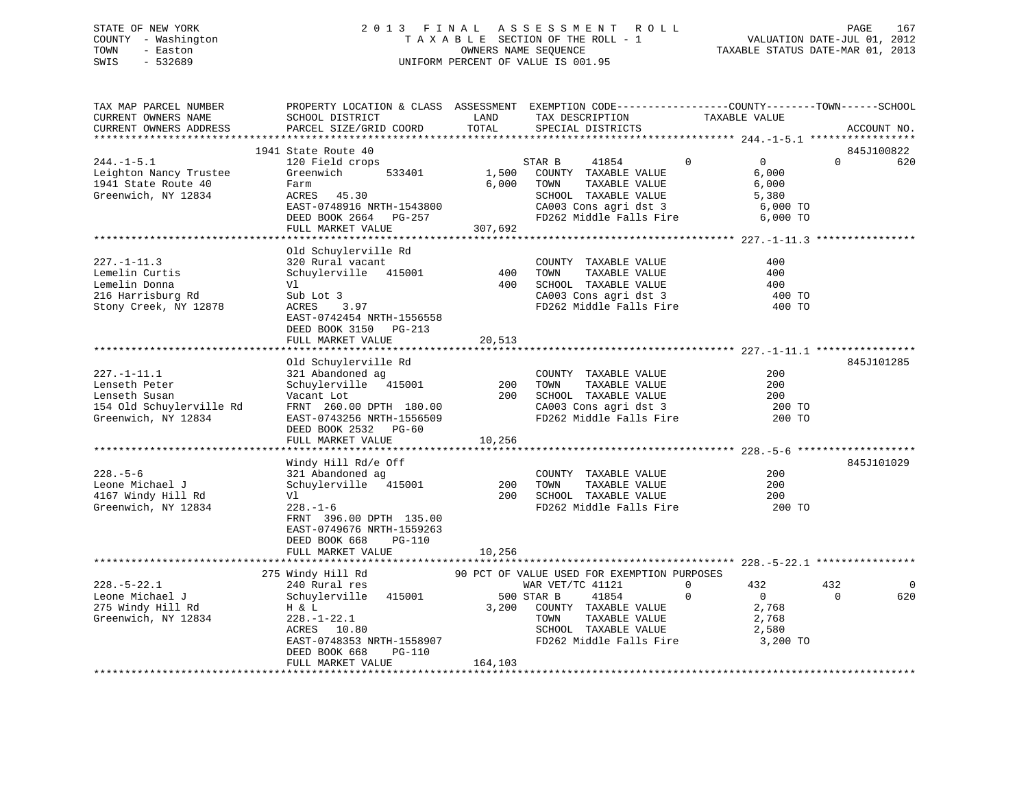### STATE OF NEW YORK 2 0 1 3 F I N A L A S S E S S M E N T R O L L PAGE 167 COUNTY - Washington T A X A B L E SECTION OF THE ROLL - 1 VALUATION DATE-JUL 01, 2012 TOWN - Easton OWNERS NAME SEQUENCE TAXABLE STATUS DATE-MAR 01, 2013 SWIS - 532689 UNIFORM PERCENT OF VALUE IS 001.95

| TAX MAP PARCEL NUMBER<br>CURRENT OWNERS NAME<br>CURRENT OWNERS ADDRESS                             | PROPERTY LOCATION & CLASS ASSESSMENT EXEMPTION CODE----------------COUNTY-------TOWN------SCHOOL<br>SCHOOL DISTRICT<br>PARCEL SIZE/GRID COORD                                       | LAND<br>TOTAL        | TAX DESCRIPTION<br>SPECIAL DISTRICTS                                                                                                                                               | TAXABLE VALUE                                                                      | ACCOUNT NO.                   |
|----------------------------------------------------------------------------------------------------|-------------------------------------------------------------------------------------------------------------------------------------------------------------------------------------|----------------------|------------------------------------------------------------------------------------------------------------------------------------------------------------------------------------|------------------------------------------------------------------------------------|-------------------------------|
|                                                                                                    |                                                                                                                                                                                     |                      |                                                                                                                                                                                    |                                                                                    |                               |
| $244. -1 - 5.1$<br>Leighton Nancy Trustee<br>1941 State Route 40<br>Greenwich, NY 12834            | 1941 State Route 40<br>120 Field crops<br>533401<br>Greenwich<br>Farm<br>ACRES 45.30<br>EAST-0748916 NRTH-1543800<br>DEED BOOK 2664 PG-257<br>FULL MARKET VALUE                     | 6,000<br>307,692     | STAR B<br>41854<br>1,500 COUNTY TAXABLE VALUE<br>TAXABLE VALUE<br>TOWN<br>SCHOOL TAXABLE VALUE<br>CA003 Cons agri dst 3<br>FD262 Middle Falls Fire                                 | $\mathbf 0$<br>$\overline{0}$<br>6,000<br>6,000<br>5,380<br>6,000 TO<br>6,000 TO   | 845J100822<br>$\Omega$<br>620 |
|                                                                                                    |                                                                                                                                                                                     |                      |                                                                                                                                                                                    |                                                                                    |                               |
| $227. - 1 - 11.3$<br>Lemelin Curtis<br>Lemelin Donna<br>216 Harrisburg Rd<br>Stony Creek, NY 12878 | Old Schuylerville Rd<br>320 Rural vacant<br>Schuylerville 415001<br>Vl<br>Sub Lot 3<br>ACRES 3.97<br>EAST-0742454 NRTH-1556558<br>DEED BOOK 3150 PG-213                             | 400<br>400           | COUNTY TAXABLE VALUE<br>TAXABLE VALUE<br>TOWN<br>SCHOOL TAXABLE VALUE<br>CA003 Cons agri dst 3<br>FD262 Middle Falls Fire                                                          | 400<br>400<br>400<br>400 TO<br>400 TO                                              |                               |
|                                                                                                    | FULL MARKET VALUE                                                                                                                                                                   | 20,513               |                                                                                                                                                                                    |                                                                                    |                               |
| 227.-1-11.1<br>Lenseth Peter<br>Lenseth Susan<br>154 Old Schuylerville Rd<br>Greenwich, NY 12834   | Old Schuylerville Rd<br>321 Abandoned ag<br>Schuylerville 415001<br>Vacant Lot<br>FRNT 260.00 DPTH 180.00<br>EAST-0743256 NRTH-1556509<br>DEED BOOK 2532 PG-60<br>FULL MARKET VALUE | 200<br>200<br>10,256 | COUNTY TAXABLE VALUE<br>TOWN      TAXABLE  VALUE<br>SCHOOL   TAXABLE  VALUE<br>CA003 Cons agri dst 3<br>FD262 Middle Falls Fire                                                    | 200<br>200<br>200<br>200 TO<br>200 TO                                              | 845J101285                    |
|                                                                                                    | Windy Hill Rd/e Off                                                                                                                                                                 |                      |                                                                                                                                                                                    |                                                                                    | 845J101029                    |
| $228. - 5 - 6$<br>Leone Michael J<br>4167 Windy Hill Rd<br>Greenwich, NY 12834                     | 321 Abandoned ag<br>Schuylerville 415001<br>Vl<br>$228. - 1 - 6$<br>FRNT 396.00 DPTH 135.00<br>EAST-0749676 NRTH-1559263<br>DEED BOOK 668<br>PG-110                                 | 200                  | COUNTY TAXABLE VALUE<br>TOWN<br>TAXABLE VALUE<br>200 SCHOOL TAXABLE VALUE<br>FD262 Middle Falls Fire                                                                               | 200<br>200<br>200<br>200 TO                                                        |                               |
|                                                                                                    | FULL MARKET VALUE                                                                                                                                                                   | 10,256               |                                                                                                                                                                                    |                                                                                    |                               |
|                                                                                                    |                                                                                                                                                                                     |                      |                                                                                                                                                                                    |                                                                                    |                               |
| $228. - 5 - 22.1$<br>Leone Michael J<br>275 Windy Hill Rd<br>Greenwich, NY 12834                   | 275 Windy Hill Rd<br>240 Rural res<br>Schuylerville 415001<br>H & L<br>$228. - 1 - 22.1$<br>ACRES 10.80<br>EAST-0748353 NRTH-1558907<br>DEED BOOK 668<br>PG-110                     | 500 STAR B           | 90 PCT OF VALUE USED FOR EXEMPTION PURPOSES<br>WAR VET/TC 41121<br>41854<br>3,200 COUNTY TAXABLE VALUE<br>TAXABLE VALUE<br>TOWN<br>SCHOOL TAXABLE VALUE<br>FD262 Middle Falls Fire | 432<br>$\mathbf{0}$<br>$\Omega$<br>$\Omega$<br>2,768<br>2,768<br>2,580<br>3,200 TO | 432<br>$\Omega$<br>620        |
|                                                                                                    | FULL MARKET VALUE                                                                                                                                                                   | 164,103              |                                                                                                                                                                                    |                                                                                    |                               |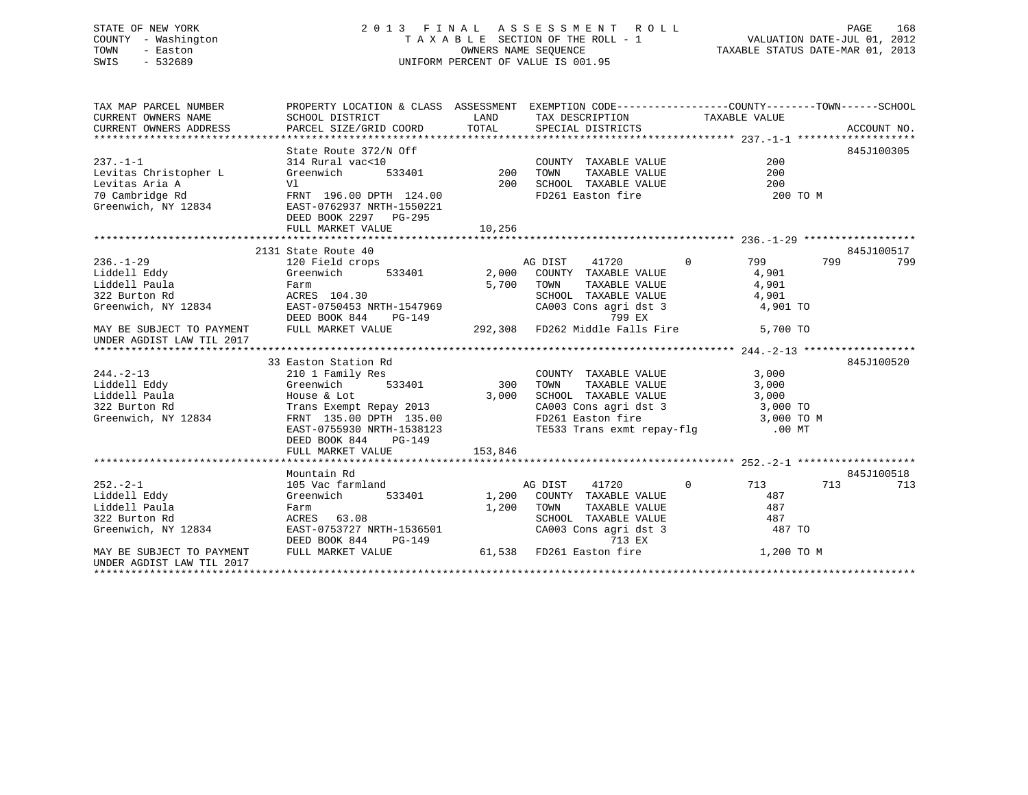### STATE OF NEW YORK 2 0 1 3 F I N A L A S S E S S M E N T R O L L PAGE 168 COUNTY - Washington T A X A B L E SECTION OF THE ROLL - 1 VALUATION DATE-JUL 01, 2012 TOWN - Easton **CONNERS NAME SEQUENCE** TAXABLE STATUS DATE-MAR 01, 2013 SWIS - 532689 UNIFORM PERCENT OF VALUE IS 001.95

| TAX MAP PARCEL NUMBER                                              | PROPERTY LOCATION & CLASS ASSESSMENT EXEMPTION CODE----------------COUNTY-------TOWN------SCHOOL    |             |                                                                                   |             |            |
|--------------------------------------------------------------------|-----------------------------------------------------------------------------------------------------|-------------|-----------------------------------------------------------------------------------|-------------|------------|
| CURRENT OWNERS NAME                                                | SCHOOL DISTRICT                                                                                     | <b>LAND</b> | TAX DESCRIPTION TAXABLE VALUE                                                     |             |            |
| CURRENT OWNERS ADDRESS                                             |                                                                                                     |             |                                                                                   |             |            |
|                                                                    |                                                                                                     |             |                                                                                   |             |            |
|                                                                    | State Route 372/N Off<br>314 Rural vac<10<br>Greenwich 533401 200                                   |             |                                                                                   |             | 845J100305 |
| $237. -1 - 1$                                                      |                                                                                                     |             | COUNTY TAXABLE VALUE                                                              | 200         |            |
| Levitas Christopher L Greenwich                                    |                                                                                                     |             | TAXABLE VALUE<br>TOWN                                                             | 200         |            |
| Levitas Aria A                                                     |                                                                                                     | 200         | SCHOOL TAXABLE VALUE                                                              | 200         |            |
|                                                                    |                                                                                                     |             | FD261 Easton fire                                                                 | 200 TO M    |            |
|                                                                    |                                                                                                     |             |                                                                                   |             |            |
|                                                                    | DEED BOOK 2297 PG-295                                                                               |             |                                                                                   |             |            |
|                                                                    | FULL MARKET VALUE                                                                                   | 10, 256     |                                                                                   |             |            |
|                                                                    |                                                                                                     |             |                                                                                   |             |            |
|                                                                    | 2131 State Route 40                                                                                 |             |                                                                                   |             | 845J100517 |
| 236.-1-29<br>Liddell Eddy                                          | 120 Field crops                                                                                     |             | AG DIST                                                                           | 41720 0 799 | 799<br>799 |
|                                                                    | Greenwich                                                                                           |             | 533401 2,000 COUNTY TAXABLE VALUE                                                 | 4,901       |            |
| Liddell Paula                                                      | Farm<br>$ACRES$ 104.30                                                                              |             | 5,700 TOWN<br>TOWN      TAXABLE VALUE<br>SCHOOL   TAXABLE VALUE                   | 4,901       |            |
| 322 Burton Rd                                                      |                                                                                                     |             |                                                                                   | 4,901       |            |
|                                                                    | Greenwich, NY 12834 EAST-0750453 NRTH-1547969                                                       |             | CA003 Cons agri dst 3 4,901 TO                                                    |             |            |
|                                                                    | DEED BOOK 844 PG-149<br>MAY BE SUBJECT TO PAYMENT FULL MARKET VALUE 292,308 FD262 Middle Falls Fire |             |                                                                                   |             |            |
| UNDER AGDIST LAW TIL 2017                                          |                                                                                                     |             |                                                                                   | 5,700 TO    |            |
|                                                                    |                                                                                                     |             |                                                                                   |             |            |
|                                                                    | 33 Easton Station Rd                                                                                |             |                                                                                   |             | 845J100520 |
| $244. -2 - 13$                                                     | 210 1 Family Res                                                                                    |             |                                                                                   | 3,000       |            |
| Liddell Eddy                                                       | Greenwich 533401                                                                                    | 300         | COUNTY TAXABLE VALUE<br>TOWN       TAXABLE  VALUE                                 | 3,000       |            |
| Liddell Paula                                                      | House & Lot                                                                                         | 3,000       | SCHOOL TAXABLE VALUE                                                              | 3,000       |            |
| 322 Burton Rd                                                      | Trans Exempt Repay 2013                                                                             |             | CA003 Cons agri dst 3 3,000 TO                                                    |             |            |
| Greenwich, NY 12834                                                |                                                                                                     |             |                                                                                   |             |            |
|                                                                    | FRNT 135.00 DPTH 135.00<br>EAST-0755930 NRTH-1538123                                                |             | FD261 Easton fire 3,000 TO M<br>TE533 Trans exmt repay-flg 0.00 MT                |             |            |
|                                                                    | DEED BOOK 844 PG-149                                                                                |             |                                                                                   |             |            |
|                                                                    | FULL MARKET VALUE                                                                                   | 153,846     |                                                                                   |             |            |
|                                                                    |                                                                                                     |             |                                                                                   |             |            |
|                                                                    | Mountain Rd                                                                                         |             |                                                                                   |             | 845J100518 |
| $252 - 2 - 1$                                                      | 105 Vac farmland                                                                                    |             | 41720<br>AG DIST                                                                  | 0 713       | 713<br>713 |
| Liddell Eddy                                                       | Greenwich 533401 1,200 COUNTY TAXABLE VALUE                                                         |             |                                                                                   | 487         |            |
| Liddell Paula                                                      |                                                                                                     |             | 1,200 TOWN<br>TOWN TAXABLE VALUE<br>SCHOOL TAXABLE VALUE<br>CA003 Cons agri dst 3 | 487         |            |
| 322 Burton Rd                                                      |                                                                                                     |             |                                                                                   | 487         |            |
|                                                                    | Greenwich, NY 12834 EAST-0753727 NRTH-1536501                                                       |             |                                                                                   | 487 TO      |            |
|                                                                    | DEED BOOK 844                                                                                       |             |                                                                                   |             |            |
| $\verb MAX BE SUBJECT TO PAYMENT \hspace{1.5cm} FULL MARKET VALUE$ |                                                                                                     |             | PG-149<br>LUE 61,538 FD261 Easton fire                                            | 1,200 TO M  |            |
| UNDER AGDIST LAW TIL 2017                                          |                                                                                                     |             |                                                                                   |             |            |
|                                                                    |                                                                                                     |             |                                                                                   |             |            |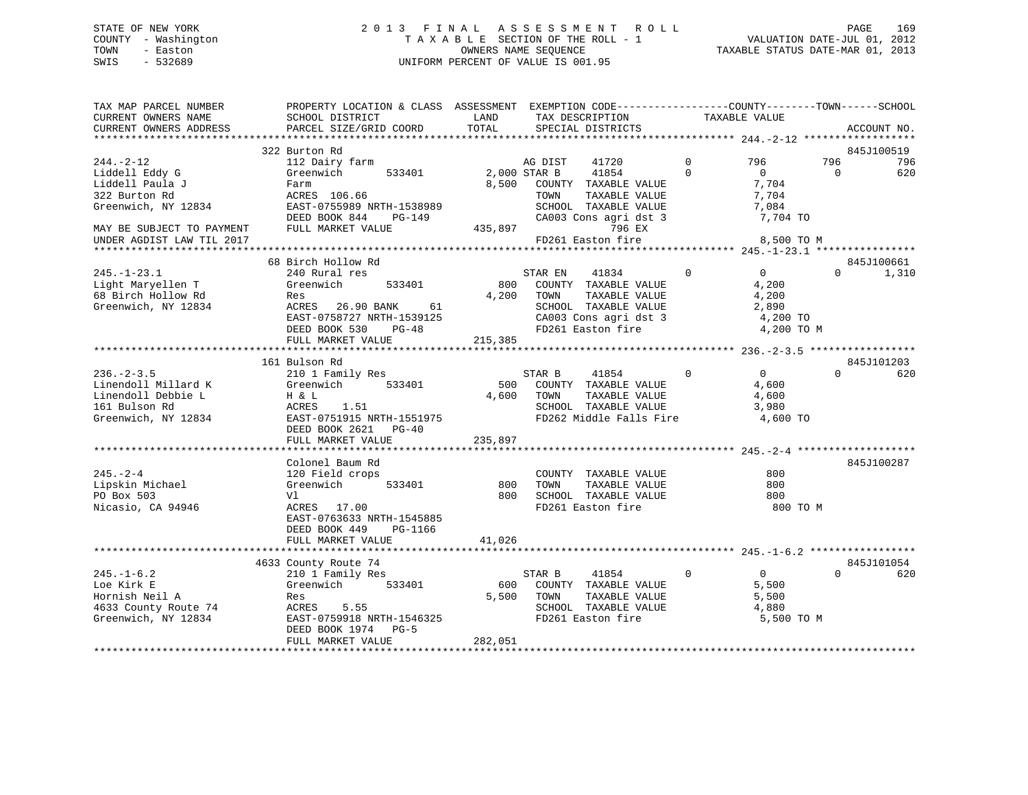### STATE OF NEW YORK 2 0 1 3 F I N A L A S S E S S M E N T R O L L PAGE 169 COUNTY - Washington T A X A B L E SECTION OF THE ROLL - 1 VALUATION DATE-JUL 01, 2012 TOWN - Easton **CONNERS NAME SEQUENCE** TAXABLE STATUS DATE-MAR 01, 2013 SWIS - 532689 UNIFORM PERCENT OF VALUE IS 001.95

| TAX MAP PARCEL NUMBER<br>CURRENT OWNERS NAME<br>CURRENT OWNERS ADDRESS | PROPERTY LOCATION & CLASS ASSESSMENT EXEMPTION CODE----------------COUNTY-------TOWN------SCHOOL<br>SCHOOL DISTRICT<br>PARCEL SIZE/GRID COORD | LAND<br>TOTAL | TAX DESCRIPTION<br>SPECIAL DISTRICTS          | TAXABLE VALUE               | ACCOUNT NO.                   |
|------------------------------------------------------------------------|-----------------------------------------------------------------------------------------------------------------------------------------------|---------------|-----------------------------------------------|-----------------------------|-------------------------------|
|                                                                        |                                                                                                                                               |               |                                               |                             |                               |
|                                                                        | 322 Burton Rd                                                                                                                                 |               |                                               |                             | 845J100519                    |
| $244. - 2 - 12$                                                        | 112 Dairy farm                                                                                                                                |               | AG DIST<br>41720                              | $\Omega$<br>796<br>$\Omega$ | 796<br>796                    |
| Liddell Eddy G<br>Liddell Paula J                                      | Greenwich<br>533401<br>Farm                                                                                                                   | 8,500         | 2,000 STAR B<br>41854<br>COUNTY TAXABLE VALUE | $\overline{0}$<br>7,704     | 620<br>$\Omega$               |
| 322 Burton Rd                                                          | ACRES 106.66                                                                                                                                  |               | TOWN<br>TAXABLE VALUE                         | 7,704                       |                               |
| Greenwich, NY 12834                                                    | EAST-0755989 NRTH-1538989                                                                                                                     |               | SCHOOL TAXABLE VALUE                          | 7,084                       |                               |
|                                                                        | DEED BOOK 844<br>PG-149                                                                                                                       |               | CA003 Cons agri dst 3                         | 7,704 TO                    |                               |
| MAY BE SUBJECT TO PAYMENT                                              | FULL MARKET VALUE                                                                                                                             | 435,897       | 796 EX                                        |                             |                               |
| UNDER AGDIST LAW TIL 2017                                              |                                                                                                                                               |               | FD261 Easton fire                             | 8,500 TO M                  |                               |
|                                                                        |                                                                                                                                               |               |                                               |                             |                               |
|                                                                        | 68 Birch Hollow Rd                                                                                                                            |               |                                               |                             | 845J100661                    |
| $245. - 1 - 23.1$                                                      | 240 Rural res                                                                                                                                 |               | STAR EN<br>41834                              | $\Omega$<br>$\Omega$        | 1,310<br>$\Omega$             |
| Light Maryellen T                                                      | Greenwich<br>533401                                                                                                                           | 800           | COUNTY TAXABLE VALUE                          | 4,200                       |                               |
| 68 Birch Hollow Rd                                                     | Res                                                                                                                                           | 4,200         | TOWN<br>TAXABLE VALUE                         | 4,200                       |                               |
| Greenwich, NY 12834                                                    | ACRES 26.90 BANK<br>61                                                                                                                        |               | SCHOOL TAXABLE VALUE                          | 2,890                       |                               |
|                                                                        | EAST-0758727 NRTH-1539125                                                                                                                     |               | CA003 Cons agri dst 3                         | 4,200 TO                    |                               |
|                                                                        | DEED BOOK 530<br>PG-48                                                                                                                        |               | FD261 Easton fire                             | 4,200 TO M                  |                               |
|                                                                        | FULL MARKET VALUE                                                                                                                             | 215,385       |                                               |                             |                               |
|                                                                        |                                                                                                                                               |               |                                               |                             |                               |
| $236. - 2 - 3.5$                                                       | 161 Bulson Rd<br>210 1 Family Res                                                                                                             |               | 41854<br>STAR B                               | $\Omega$<br>$\Omega$        | 845J101203<br>620<br>$\Omega$ |
| Linendoll Millard K                                                    | Greenwich<br>533401                                                                                                                           | 500           | COUNTY TAXABLE VALUE                          | 4,600                       |                               |
| Linendoll Debbie L                                                     | H & L                                                                                                                                         | 4,600         | TOWN<br>TAXABLE VALUE                         | 4,600                       |                               |
| 161 Bulson Rd                                                          | ACRES<br>1.51                                                                                                                                 |               | SCHOOL TAXABLE VALUE                          | 3,980                       |                               |
| Greenwich, NY 12834                                                    | EAST-0751915 NRTH-1551975                                                                                                                     |               | FD262 Middle Falls Fire                       | 4,600 TO                    |                               |
|                                                                        | DEED BOOK 2621<br>$PG-40$                                                                                                                     |               |                                               |                             |                               |
|                                                                        | FULL MARKET VALUE                                                                                                                             | 235,897       |                                               |                             |                               |
|                                                                        |                                                                                                                                               |               |                                               |                             |                               |
|                                                                        | Colonel Baum Rd                                                                                                                               |               |                                               |                             | 845J100287                    |
| $245. - 2 - 4$                                                         | 120 Field crops                                                                                                                               |               | COUNTY TAXABLE VALUE                          | 800                         |                               |
| Lipskin Michael                                                        | Greenwich<br>533401                                                                                                                           | 800           | TOWN<br>TAXABLE VALUE                         | 800                         |                               |
| PO Box 503                                                             | V1                                                                                                                                            | 800           | SCHOOL TAXABLE VALUE                          | 800                         |                               |
| Nicasio, CA 94946                                                      | ACRES 17.00                                                                                                                                   |               | FD261 Easton fire                             | 800 TO M                    |                               |
|                                                                        | EAST-0763633 NRTH-1545885                                                                                                                     |               |                                               |                             |                               |
|                                                                        | DEED BOOK 449<br>PG-1166                                                                                                                      |               |                                               |                             |                               |
|                                                                        | FULL MARKET VALUE                                                                                                                             | 41,026        |                                               |                             |                               |
|                                                                        | 4633 County Route 74                                                                                                                          |               |                                               |                             | 845J101054                    |
| $245. - 1 - 6.2$                                                       | 210 1 Family Res                                                                                                                              |               | 41854<br>STAR B                               | $\mathbf 0$<br>0            | $\Omega$<br>620               |
| Loe Kirk E                                                             | Greenwich<br>533401                                                                                                                           | 600           | COUNTY TAXABLE VALUE                          | 5,500                       |                               |
| Hornish Neil A                                                         | Res                                                                                                                                           | 5,500         | TOWN<br>TAXABLE VALUE                         | 5,500                       |                               |
| 4633 County Route 74                                                   | 5.55<br>ACRES                                                                                                                                 |               | SCHOOL TAXABLE VALUE                          | 4,880                       |                               |
| Greenwich, NY 12834                                                    | EAST-0759918 NRTH-1546325                                                                                                                     |               | FD261 Easton fire                             | 5,500 TO M                  |                               |
|                                                                        | DEED BOOK 1974 PG-5                                                                                                                           |               |                                               |                             |                               |
|                                                                        | FULL MARKET VALUE                                                                                                                             | 282,051       |                                               |                             |                               |
|                                                                        |                                                                                                                                               |               |                                               |                             |                               |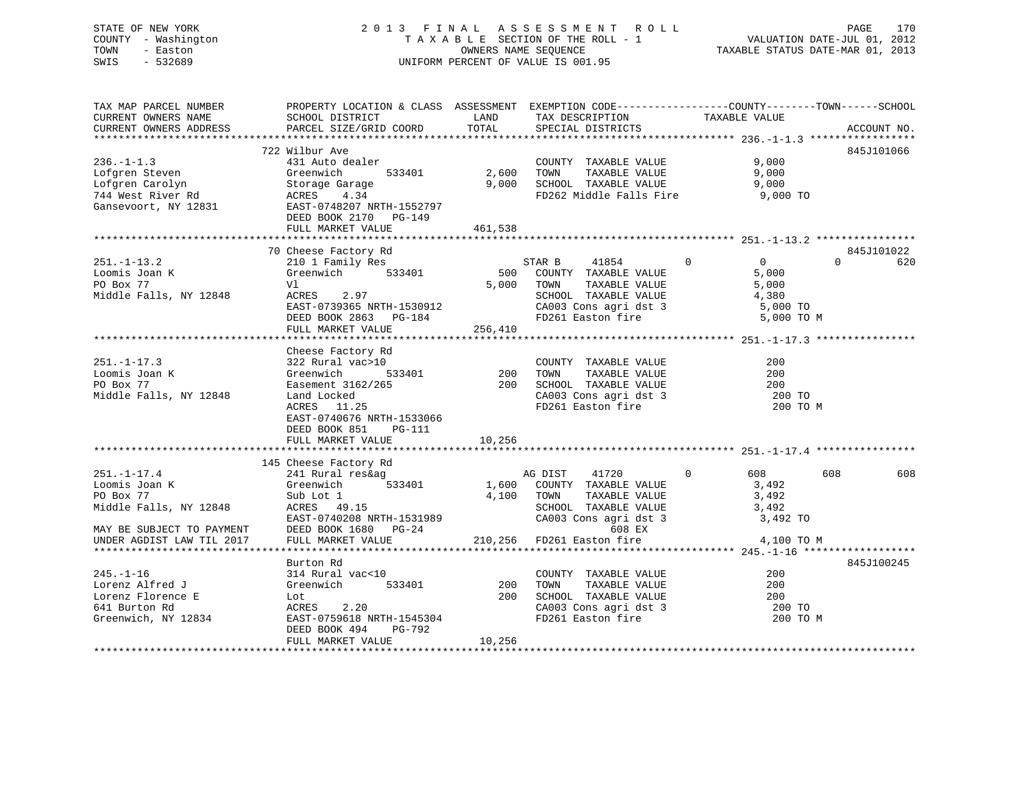| STATE OF NEW YORK<br>COUNTY - Washington<br>TOWN<br>- Easton<br>SWIS<br>$-532689$                                         | 2013 FINAL ASSESSMENT ROLL<br>TAXABLE SECTION OF THE ROLL - 1<br>UNIFORM PERCENT OF VALUE IS 001.95                                                                                                                                                                 | 170<br>PAGE<br>VALUATION DATE-JUL 01, 2012<br>TAXABLE STATUS DATE-MAR 01, 2013 |                                                                                                                                |                                                                 |                               |
|---------------------------------------------------------------------------------------------------------------------------|---------------------------------------------------------------------------------------------------------------------------------------------------------------------------------------------------------------------------------------------------------------------|--------------------------------------------------------------------------------|--------------------------------------------------------------------------------------------------------------------------------|-----------------------------------------------------------------|-------------------------------|
| TAX MAP PARCEL NUMBER<br>CURRENT OWNERS NAME<br>CURRENT OWNERS ADDRESS                                                    | PROPERTY LOCATION & CLASS ASSESSMENT EXEMPTION CODE---------------COUNTY-------TOWN-----SCHOOL<br>SCHOOL DISTRICT<br>PARCEL SIZE/GRID COORD                                                                                                                         | TOTAL                                                                          | LAND TAX DESCRIPTION TAXABLE VALUE<br>SPECIAL DISTRICTS                                                                        |                                                                 | ACCOUNT NO.                   |
| $236. - 1 - 1.3$<br>Lofgren Steven<br>Lofgren Carolyn<br>744 West River Rd<br>Cansevoort NY 12831<br>Gansevoort, NY 12831 | 722 Wilbur Ave<br>431 Auto dealer<br>Greenwich<br>533401<br>Storage Garage<br>ACRES 4.34<br>EAST-0748207 NRTH-1552797<br>DEED BOOK 2170 PG-149<br>FULL MARKET VALUE                                                                                                 | 461,538                                                                        | COUNTY TAXABLE VALUE 9,000<br>TAXABLE VALUE<br>9,000 SCHOOL TAXABLE VALUE 9,000<br>FD262 Middle Falls Fire 9,000 TO            | 9,000                                                           | 845J101066                    |
| $251. - 1 - 13.2$<br>Loomis Joan K<br>PO Box 77<br>Middle Falls, NY 12848                                                 | 70 Cheese Factory Rd<br>210 1 Family Res<br>Greenwich 533401<br>Vl<br>ACRES 2.97<br>ACRES 2.97<br>EAST-0739365 NRTH-1530912<br>DEED BOOK 2863 PG-184<br>DEED BOOK 2863 PG-184<br>PD261 Easton fire 5,000 TO M<br>DEED BOOK 2863 PG-184<br>FULL MARKET VALUE 256,410 |                                                                                | STAR B 41854 0<br>500 COUNTY TAXABLE VALUE<br>TAXABLE VALUE<br>5,000 TOWN                                                      | $\overline{0}$<br>5,000<br>5,000                                | 845J101022<br>$\Omega$<br>620 |
| $251. - 1 - 17.3$<br>Loomis Joan K<br>PO Box 77<br>Middle Falls, NY 12848                                                 | Cheese Factory Rd<br>322 Rural vac>10<br>Greenwich<br>Easement 3162/265 200 SCHOOL TAXABLE VALUE<br>Land Locked<br>ACRES 11.25<br>EAST-0740676 NRTH-1533066<br>DEED BOOK 851 PG-111<br>FULL MARKET VALUE                                                            | 10,256                                                                         | COUNTY TAXABLE VALUE<br>TAXABLE VALUE<br>CA003 Cons agri dst 3<br>FD261 Easton fire                                            | 200<br>200<br>200<br>200 TO<br>200 TO M                         |                               |
| $251. - 1 - 17.4$<br>Loomis Joan K<br>PO Box 77<br>Middle Falls, NY 12848<br>MAY RE SURJECT TO DAVMENT                    | 145 Cheese Factory Rd<br>241 Rural res&ag<br>533401<br>Greenwich<br>Sub Lot 1<br>ACRES 49.15<br>EAST-0740208 NRTH-1531989<br>$FFRD$ ROOK 1680 $DG-24$                                                                                                               |                                                                                | AG DIST<br>41720<br>1,600 COUNTY TAXABLE VALUE<br>4,100 TOWN<br>TAXABLE VALUE<br>SCHOOL TAXABLE VALUE<br>CA003 Cons agri dst 3 | $\mathbf{0}$<br>608 — 10<br>3,492<br>3,492<br>3,492<br>3,492 TO | 608<br>608                    |

MAY BE SUBJECT TO PAYMENT DEED BOOK 1680 PG-24 608 EX UNDER AGDIST LAW TIL 2017 FULL MARKET VALUE 210,256 FD261 Easton fire 4,100 TO M \*\*\*\*\*\*\*\*\*\*\*\*\*\*\*\*\*\*\*\*\*\*\*\*\*\*\*\*\*\*\*\*\*\*\*\*\*\*\*\*\*\*\*\*\*\*\*\*\*\*\*\*\*\*\*\*\*\*\*\*\*\*\*\*\*\*\*\*\*\*\*\*\*\*\*\*\*\*\*\*\*\*\*\*\*\*\*\*\*\*\*\*\*\*\*\*\*\*\*\*\*\*\* 245.-1-16 \*\*\*\*\*\*\*\*\*\*\*\*\*\*\*\*\*\*845J100245 Burton Rd 845J100245245.-1-16 314 Rural vac<10 COUNTY TAXABLE VALUE 200Lorenz Alfred J Greenwich 533401 200 TOWN TAXABLE VALUE 200200 Lorenz Florence E Lot 200 SCHOOL TAXABLE VALUE 200200 TO 641 Burton Rd ACRES 2.20 CA003 Cons agri dst 3 200 TO Greenwich, NY 12834 EAST-0759618 NRTH-1545304 FD261 Easton fire 200 TO M DEED BOOK 494 PG-792FULL MARKET VALUE 10,256 \*\*\*\*\*\*\*\*\*\*\*\*\*\*\*\*\*\*\*\*\*\*\*\*\*\*\*\*\*\*\*\*\*\*\*\*\*\*\*\*\*\*\*\*\*\*\*\*\*\*\*\*\*\*\*\*\*\*\*\*\*\*\*\*\*\*\*\*\*\*\*\*\*\*\*\*\*\*\*\*\*\*\*\*\*\*\*\*\*\*\*\*\*\*\*\*\*\*\*\*\*\*\*\*\*\*\*\*\*\*\*\*\*\*\*\*\*\*\*\*\*\*\*\*\*\*\*\*\*\*\*\*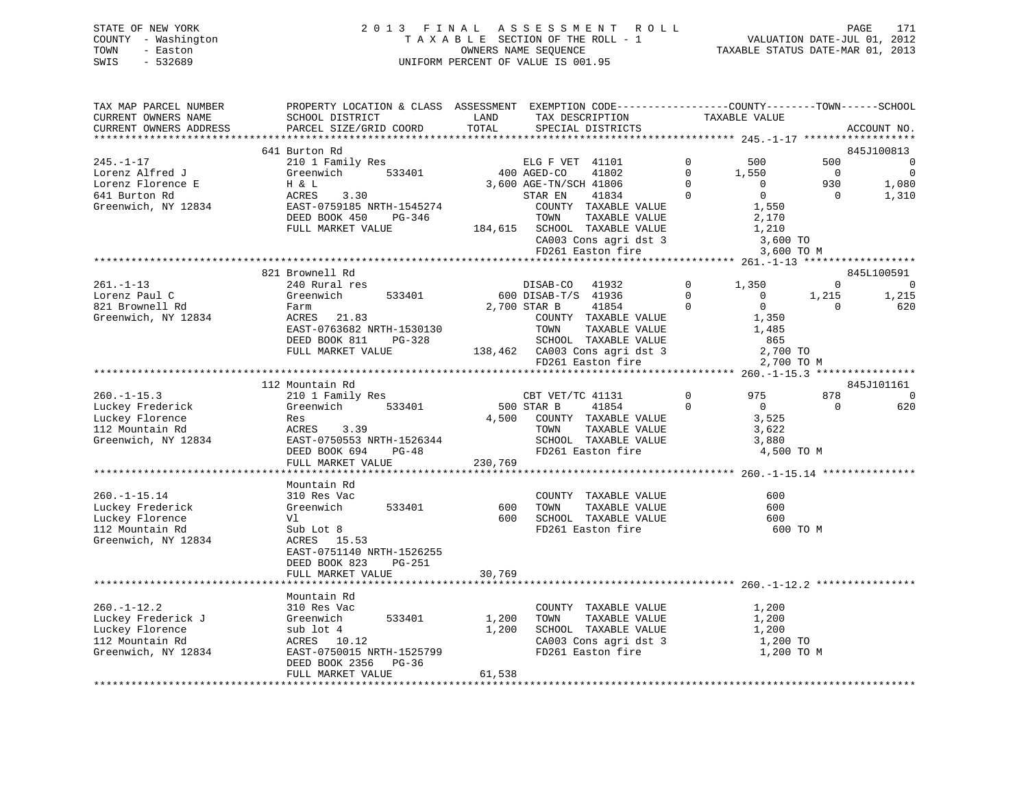| STATE OF NEW YORK   | 2013 FINAL ASSESSMENT ROLL         | 171<br>PAGE                      |
|---------------------|------------------------------------|----------------------------------|
| COUNTY - Washington | TAXABLE SECTION OF THE ROLL - 1    | VALUATION DATE-JUL 01, 2012      |
| TOWN<br>- Easton    | OWNERS NAME SEOUENCE               | TAXABLE STATUS DATE-MAR 01, 2013 |
| SWIS<br>- 532689    | UNIFORM PERCENT OF VALUE IS 001.95 |                                  |

| TAX MAP PARCEL NUMBER  | PROPERTY LOCATION & CLASS ASSESSMENT EXEMPTION CODE----------------COUNTY-------TOWN-----SCHOOL |         |                               |                |                |                |                |
|------------------------|-------------------------------------------------------------------------------------------------|---------|-------------------------------|----------------|----------------|----------------|----------------|
| CURRENT OWNERS NAME    | SCHOOL DISTRICT                                                                                 | LAND    | TAX DESCRIPTION               |                | TAXABLE VALUE  |                |                |
| CURRENT OWNERS ADDRESS | PARCEL SIZE/GRID COORD                                                                          | TOTAL   | SPECIAL DISTRICTS             |                |                |                | ACCOUNT NO.    |
|                        |                                                                                                 |         |                               |                |                |                |                |
|                        | 641 Burton Rd                                                                                   |         |                               |                |                |                | 845J100813     |
| $245. - 1 - 17$        | 210 1 Family Res                                                                                |         | ELG F VET 41101               | $\mathbf 0$    | 500            | 500            | $\overline{0}$ |
| Lorenz Alfred J        | 533401<br>Greenwich                                                                             |         | 400 AGED-CO<br>41802          | $\Omega$       | 1,550          | $\overline{0}$ | $\overline{0}$ |
| Lorenz Florence E      | H & L                                                                                           |         | 3,600 AGE-TN/SCH 41806        | $\Omega$       | $\overline{0}$ | 930            | 1,080          |
| 641 Burton Rd          | 3.30<br>ACRES                                                                                   |         | STAR EN<br>41834              | $\Omega$       | $\overline{0}$ | $\Omega$       | 1,310          |
| Greenwich, NY 12834    | EAST-0759185 NRTH-1545274                                                                       |         | COUNTY TAXABLE VALUE          |                | 1,550          |                |                |
|                        | DEED BOOK 450<br>PG-346                                                                         |         | TAXABLE VALUE<br>TOWN         |                | 2,170          |                |                |
|                        | FULL MARKET VALUE                                                                               |         | 184,615 SCHOOL TAXABLE VALUE  |                | 1,210          |                |                |
|                        |                                                                                                 |         | CA003 Cons agri dst 3         |                | 3,600 TO       |                |                |
|                        |                                                                                                 |         |                               |                |                |                |                |
|                        |                                                                                                 |         | FD261 Easton fire             |                | 3,600 TO M     |                |                |
|                        |                                                                                                 |         |                               |                |                |                |                |
|                        | 821 Brownell Rd                                                                                 |         |                               |                |                |                | 845L100591     |
| $261. -1 - 13$         | 240 Rural res                                                                                   |         | DISAB-CO 41932                | $\overline{0}$ | 1,350          | $\Omega$       | $\overline{0}$ |
| Lorenz Paul C          | 533401<br>Greenwich                                                                             |         | 600 DISAB-T/S 41936           | $\Omega$       | $\overline{0}$ | 1,215          | 1,215          |
| 821 Brownell Rd        | Farm                                                                                            |         | 2,700 STAR B<br>41854         | $\Omega$       | $\Omega$       | $\Omega$       | 620            |
| Greenwich, NY 12834    | ACRES 21.83                                                                                     |         | COUNTY TAXABLE VALUE          |                | 1,350          |                |                |
|                        | EAST-0763682 NRTH-1530130                                                                       |         | TOWN<br>TAXABLE VALUE         |                | 1,485          |                |                |
|                        | DEED BOOK 811<br>PG-328                                                                         |         | SCHOOL TAXABLE VALUE          |                | 865            |                |                |
|                        | FULL MARKET VALUE                                                                               |         | 138,462 CA003 Cons agri dst 3 |                | 2,700 TO       |                |                |
|                        |                                                                                                 |         | FD261 Easton fire             |                | 2,700 TO M     |                |                |
|                        |                                                                                                 |         |                               |                |                |                |                |
|                        | 112 Mountain Rd                                                                                 |         |                               |                |                |                | 845J101161     |
| $260. -1 - 15.3$       | 210 1 Family Res                                                                                |         | CBT VET/TC 41131              | $\mathbf 0$    | 975            | 878            | $\Omega$       |
| Luckey Frederick       | Greenwich<br>533401                                                                             |         | 500 STAR B<br>41854           | $\Omega$       | $\overline{0}$ | $\Omega$       | 620            |
| Luckey Florence        | Res                                                                                             |         | 4,500 COUNTY TAXABLE VALUE    |                | 3,525          |                |                |
| 112 Mountain Rd        | ACRES<br>3.39                                                                                   |         | TOWN<br>TAXABLE VALUE         |                | 3,622          |                |                |
| Greenwich, NY 12834    | EAST-0750553 NRTH-1526344                                                                       |         | SCHOOL TAXABLE VALUE          |                | 3,880          |                |                |
|                        | DEED BOOK 694<br>$PG-48$                                                                        |         | FD261 Easton fire             |                | 4,500 TO M     |                |                |
|                        | FULL MARKET VALUE                                                                               | 230,769 |                               |                |                |                |                |
|                        |                                                                                                 |         |                               |                |                |                |                |
|                        |                                                                                                 |         |                               |                |                |                |                |
|                        | Mountain Rd                                                                                     |         |                               |                |                |                |                |
| $260. -1 - 15.14$      | 310 Res Vac                                                                                     |         | COUNTY TAXABLE VALUE          |                | 600            |                |                |
| Luckey Frederick       | Greenwich<br>533401                                                                             | 600     | TAXABLE VALUE<br>TOWN         |                | 600            |                |                |
| Luckey Florence        | Vl                                                                                              | 600     | SCHOOL TAXABLE VALUE          |                | 600            |                |                |
| 112 Mountain Rd        | Sub Lot 8                                                                                       |         | FD261 Easton fire             |                | 600 TO M       |                |                |
| Greenwich, NY 12834    | ACRES 15.53                                                                                     |         |                               |                |                |                |                |
|                        | EAST-0751140 NRTH-1526255                                                                       |         |                               |                |                |                |                |
|                        | DEED BOOK 823<br>$PG-251$                                                                       |         |                               |                |                |                |                |
|                        | FULL MARKET VALUE                                                                               | 30,769  |                               |                |                |                |                |
|                        |                                                                                                 |         |                               |                |                |                |                |
|                        | Mountain Rd                                                                                     |         |                               |                |                |                |                |
| $260. - 1 - 12.2$      | 310 Res Vac                                                                                     |         | COUNTY TAXABLE VALUE          |                | 1,200          |                |                |
| Luckey Frederick J     | 533401<br>Greenwich                                                                             | 1,200   | TOWN<br>TAXABLE VALUE         |                | 1,200          |                |                |
| Luckey Florence        | sub lot 4                                                                                       | 1,200   | SCHOOL TAXABLE VALUE          |                | 1,200          |                |                |
| 112 Mountain Rd        | ACRES<br>10.12                                                                                  |         | CA003 Cons agri dst 3         |                | 1,200 TO       |                |                |
| Greenwich, NY 12834    | EAST-0750015 NRTH-1525799                                                                       |         | FD261 Easton fire             |                | 1,200 TO M     |                |                |
|                        | DEED BOOK 2356 PG-36                                                                            |         |                               |                |                |                |                |
|                        | FULL MARKET VALUE                                                                               | 61,538  |                               |                |                |                |                |
|                        |                                                                                                 |         |                               |                |                |                |                |
|                        |                                                                                                 |         |                               |                |                |                |                |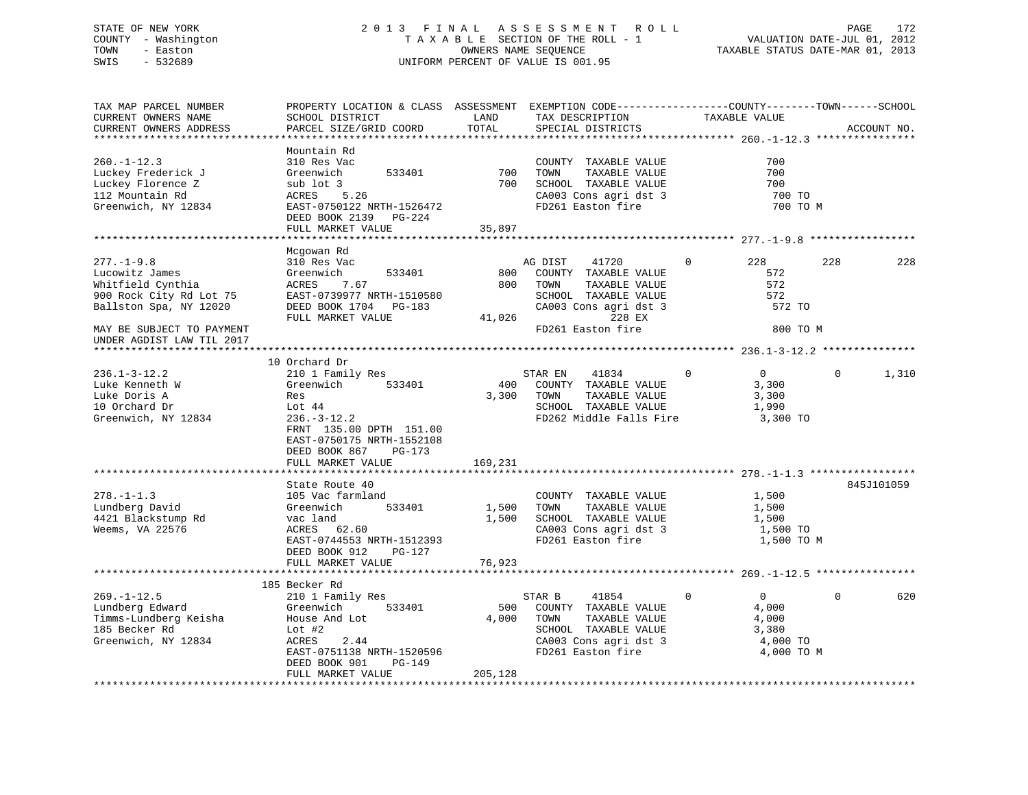### STATE OF NEW YORK 2 0 1 3 F I N A L A S S E S S M E N T R O L L PAGE 172 COUNTY - Washington T A X A B L E SECTION OF THE ROLL - 1 VALUATION DATE-JUL 01, 2012 TOWN - Easton OWNERS NAME SEQUENCE TAXABLE STATUS DATE-MAR 01, 2013 SWIS - 532689 UNIFORM PERCENT OF VALUE IS 001.95

TAX MAP PARCEL NUMBER PROPERTY LOCATION & CLASS ASSESSMENT EXEMPTION CODE------------------COUNTY--------TOWN------SCHOOL

CURRENT OWNERS NAME SCHOOL DISTRICT LAND TAX DESCRIPTION TAXABLE VALUECURRENT OWNERS ADDRESS PARCEL SIZE/GRID COORD TOTAL SPECIAL DISTRICTS ACCOUNT NO. \*\*\*\*\*\*\*\*\*\*\*\*\*\*\*\*\*\*\*\*\*\*\*\*\*\*\*\*\*\*\*\*\*\*\*\*\*\*\*\*\*\*\*\*\*\*\*\*\*\*\*\*\*\*\*\*\*\*\*\*\*\*\*\*\*\*\*\*\*\*\*\*\*\*\*\*\*\*\*\*\*\*\*\*\*\*\*\*\*\*\*\*\*\*\*\*\*\*\*\*\*\*\* 260.-1-12.3 \*\*\*\*\*\*\*\*\*\*\*\*\*\*\*\* Mountain Rd260.-1-12.3 310 Res Vac COUNTY TAXABLE VALUE 700Luckey Frederick J Greenwich 533401 700 TOWN TAXABLE VALUE 700 Luckey Florence Z sub lot 3 700 SCHOOL TAXABLE VALUE 700 112 Mountain Rd ACRES 5.26 CA003 Cons agri dst 3 700 TO Greenwich, NY 12834 EAST-0750122 NRTH-1526472 FD261 Easton fire 700 TO M DEED BOOK 2139 PG-224FULL MARKET VALUE 35,897 \*\*\*\*\*\*\*\*\*\*\*\*\*\*\*\*\*\*\*\*\*\*\*\*\*\*\*\*\*\*\*\*\*\*\*\*\*\*\*\*\*\*\*\*\*\*\*\*\*\*\*\*\*\*\*\*\*\*\*\*\*\*\*\*\*\*\*\*\*\*\*\*\*\*\*\*\*\*\*\*\*\*\*\*\*\*\*\*\*\*\*\*\*\*\*\*\*\*\*\*\*\*\* 277.-1-9.8 \*\*\*\*\*\*\*\*\*\*\*\*\*\*\*\*\* Mcgowan Rd 277.-1-9.8 310 Res Vac AG DIST 41720 0 228 228 228Lucowitz James Greenwich 533401 800 COUNTY TAXABLE VALUE 572Whitfield Cynthia ACRES 7.67 800 TOWN TAXABLE VALUE 572 900 Rock City Rd Lot 75 EAST-0739977 NRTH-1510580 SCHOOL TAXABLE VALUE 572 Ballston Spa, NY 12020 DEED BOOK 1704 PG-183 CA003 Cons agri dst 3 572 TO<br>FULL MARKET VALUE 41.026 228 EX FULL MARKET VALUE 41,026 228 EX MAY BE SUBJECT TO PAYMENT **FD261** Easton fire 800 TO M UNDER AGDIST LAW TIL 2017 \*\*\*\*\*\*\*\*\*\*\*\*\*\*\*\*\*\*\*\*\*\*\*\*\*\*\*\*\*\*\*\*\*\*\*\*\*\*\*\*\*\*\*\*\*\*\*\*\*\*\*\*\*\*\*\*\*\*\*\*\*\*\*\*\*\*\*\*\*\*\*\*\*\*\*\*\*\*\*\*\*\*\*\*\*\*\*\*\*\*\*\*\*\*\*\*\*\*\*\*\*\*\* 236.1-3-12.2 \*\*\*\*\*\*\*\*\*\*\*\*\*\*\* 10 Orchard Dr236.1-3-12.2 210 1 Family Res STAR EN 41834 0 0 0 1,310 Luke Kenneth W Greenwich 533401 400 COUNTY TAXABLE VALUE 3,300 Luke Doris A **Res** 8,300 TOWN TAXABLE VALUE 3,300 TOWN TAXABLE VALUE 10 Orchard Dr Lot 44 SCHOOL TAXABLE VALUE 1,990 Greenwich, NY 12834 236.-3-12.2 FD262 Middle Falls Fire 3,300 TO FRNT 135.00 DPTH 151.00 EAST-0750175 NRTH-1552108 DEED BOOK 867 PG-173FULL MARKET VALUE 169,231 \*\*\*\*\*\*\*\*\*\*\*\*\*\*\*\*\*\*\*\*\*\*\*\*\*\*\*\*\*\*\*\*\*\*\*\*\*\*\*\*\*\*\*\*\*\*\*\*\*\*\*\*\*\*\*\*\*\*\*\*\*\*\*\*\*\*\*\*\*\*\*\*\*\*\*\*\*\*\*\*\*\*\*\*\*\*\*\*\*\*\*\*\*\*\*\*\*\*\*\*\*\*\* 278.-1-1.3 \*\*\*\*\*\*\*\*\*\*\*\*\*\*\*\*\*State Route 40 845J101059 278.-1-1.3 105 Vac farmland COUNTY TAXABLE VALUE 1,500 Lundberg David Greenwich 533401 1,500 TOWN TAXABLE VALUE 1,500 4421 Blackstump Rd vac land 1,500 SCHOOL TAXABLE VALUE 1,500 Weems, VA 22576 ACRES 62.60 CA003 Cons agri dst 3 1,500 TO EAST-0744553 NRTH-1512393 FD261 Easton fire 1,500 TO M DEED BOOK 912 PG-127FULL MARKET VALUE 76,923 \*\*\*\*\*\*\*\*\*\*\*\*\*\*\*\*\*\*\*\*\*\*\*\*\*\*\*\*\*\*\*\*\*\*\*\*\*\*\*\*\*\*\*\*\*\*\*\*\*\*\*\*\*\*\*\*\*\*\*\*\*\*\*\*\*\*\*\*\*\*\*\*\*\*\*\*\*\*\*\*\*\*\*\*\*\*\*\*\*\*\*\*\*\*\*\*\*\*\*\*\*\*\* 269.-1-12.5 \*\*\*\*\*\*\*\*\*\*\*\*\*\*\*\* 185 Becker Rd269.-1-12.5 210 1 Family Res STAR B 41854 0 0 0 620 Lundberg Edward Greenwich 533401 500 COUNTY TAXABLE VALUE 4,000 Timms-Lundberg Keisha House And Lot 4,000 TOWN TAXABLE VALUE 4,000 185 Becker Rd Lot #2 SCHOOL TAXABLE VALUE 3,380 Greenwich, NY 12834 <br>Greenwich, NY 12834 ACRES 2.44 CANDIC CAOO CONS CONS agri dst 3 4,000 TO<br>EXST-0751138 NRTH-1520596 FD261 Easton fire 4,000 TO EAST-0751138 NRTH-1520596 FD261 Easton fire 4,000 TO M DEED BOOK 901 PG-149 FULL MARKET VALUE 205,128 \*\*\*\*\*\*\*\*\*\*\*\*\*\*\*\*\*\*\*\*\*\*\*\*\*\*\*\*\*\*\*\*\*\*\*\*\*\*\*\*\*\*\*\*\*\*\*\*\*\*\*\*\*\*\*\*\*\*\*\*\*\*\*\*\*\*\*\*\*\*\*\*\*\*\*\*\*\*\*\*\*\*\*\*\*\*\*\*\*\*\*\*\*\*\*\*\*\*\*\*\*\*\*\*\*\*\*\*\*\*\*\*\*\*\*\*\*\*\*\*\*\*\*\*\*\*\*\*\*\*\*\*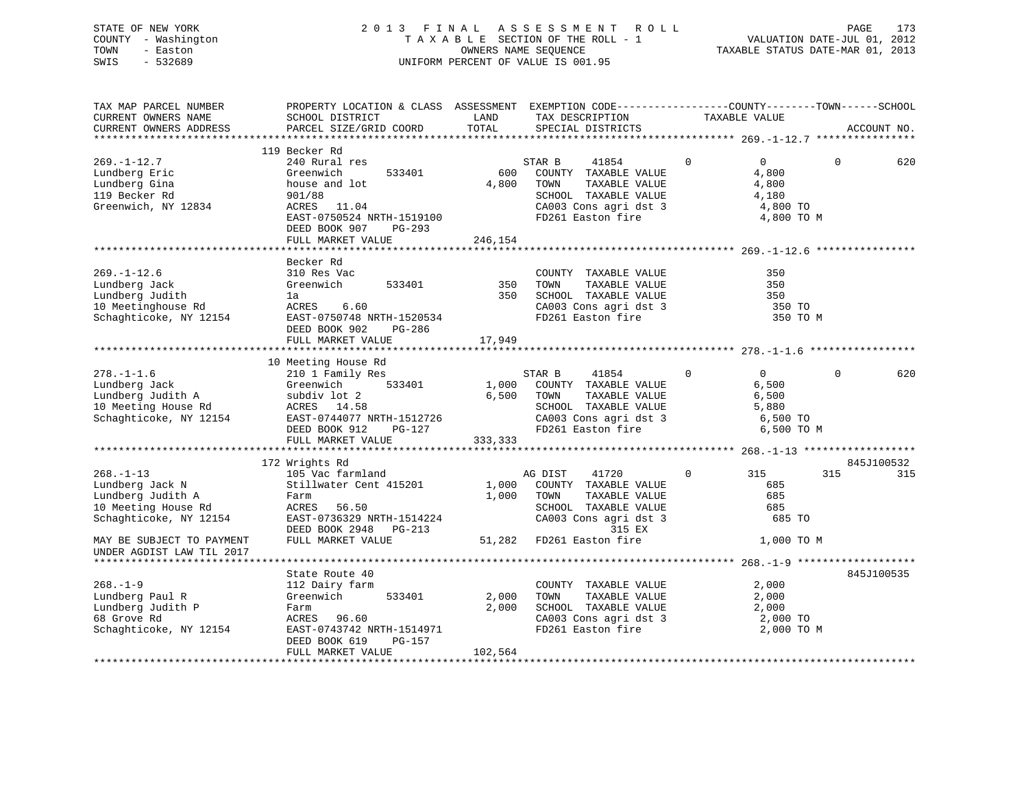### STATE OF NEW YORK 2 0 1 3 F I N A L A S S E S S M E N T R O L L PAGE 173 COUNTY - Washington T A X A B L E SECTION OF THE ROLL - 1 VALUATION DATE-JUL 01, 2012 TOWN - Easton OWNERS NAME SEQUENCE TAXABLE STATUS DATE-MAR 01, 2013 SWIS - 532689 UNIFORM PERCENT OF VALUE IS 001.95

| TAX MAP PARCEL NUMBER<br>CURRENT OWNERS NAME<br>CURRENT OWNERS ADDRESS                                                                                                          | PROPERTY LOCATION & CLASS ASSESSMENT EXEMPTION CODE----------------COUNTY-------TOWN-----SCHOOL<br>SCHOOL DISTRICT<br>PARCEL SIZE/GRID COORD                              | LAND<br>TOTAL           | TAX DESCRIPTION<br>SPECIAL DISTRICTS                                                                                                                                                      | TAXABLE VALUE                                                     | ACCOUNT NO.                                      |     |
|---------------------------------------------------------------------------------------------------------------------------------------------------------------------------------|---------------------------------------------------------------------------------------------------------------------------------------------------------------------------|-------------------------|-------------------------------------------------------------------------------------------------------------------------------------------------------------------------------------------|-------------------------------------------------------------------|--------------------------------------------------|-----|
|                                                                                                                                                                                 |                                                                                                                                                                           |                         |                                                                                                                                                                                           |                                                                   |                                                  |     |
| $269. - 1 - 12.7$<br>Lundberg Eric<br>Lundberg Gina<br>119 Becker Rd<br>Greenwich, NY 12834                                                                                     | 119 Becker Rd<br>240 Rural res<br>Greenwich<br>533401<br>house and lot<br>901/88<br>ACRES 11.04<br>EAST-0750524 NRTH-1519100<br>DEED BOOK 907 PG-293<br>FULL MARKET VALUE | 600<br>4,800<br>246,154 | STAR B<br>41854<br>COUNTY TAXABLE VALUE<br>TAXABLE VALUE<br>TOWN<br>SCHOOL TAXABLE VALUE<br>CA003 Cons agri dst 3<br>FD261 Easton fire                                                    | $\Omega$<br>$\overline{0}$<br>4,800<br>4,800<br>4,180<br>4,800 TO | $\Omega$<br>4,800 TO M                           | 620 |
|                                                                                                                                                                                 |                                                                                                                                                                           |                         |                                                                                                                                                                                           |                                                                   |                                                  |     |
| $269. - 1 - 12.6$<br>Lundberg Jack<br>Lundberg Judith<br>10 Meetinghouse Rd<br>Schaghticoke, NY 12154                                                                           | Becker Rd<br>310 Res Vac<br>Greenwich<br>533401<br>la<br>6.60<br>ACRES<br>EAST-0750748 NRTH-1520534<br>DEED BOOK 902<br>PG-286                                            | 350<br>350              | COUNTY TAXABLE VALUE<br>TAXABLE VALUE<br>TOWN<br>SCHOOL TAXABLE VALUE<br>CA003 Cons agri dst 3<br>FD261 Easton fire                                                                       |                                                                   | 350<br>350<br>350<br>350 TO<br>350 TO M          |     |
|                                                                                                                                                                                 | FULL MARKET VALUE                                                                                                                                                         | 17,949                  |                                                                                                                                                                                           |                                                                   |                                                  |     |
|                                                                                                                                                                                 |                                                                                                                                                                           |                         |                                                                                                                                                                                           |                                                                   |                                                  |     |
| $278. - 1 - 1.6$<br>Lundberg Jack Greenwich 533401 1<br>Lundberg Judith A subdiv lot 2 6<br>10 Meeting House Rd ACRES 14.58<br>Schaghticoke, NY 12154 EAST-0744077 NRTH-1512726 | 10 Meeting House Rd<br>210 1 Family Res<br>DEED BOOK 912 PG-127<br>FULL MARKET VALUE                                                                                      | 333, 333                | STAR B<br>41854<br>1,000 COUNTY TAXABLE VALUE<br>TAXABLE VALUE<br>6,500 TOWN<br>SCHOOL TAXABLE VALUE<br>SCHOOL TAXABLE VALUE 5,880<br>CA003 Cons agri dst 3 6,500 TO<br>FD261 Easton fire | $\overline{0}$<br>$\mathbf 0$<br>6,500<br>6,500<br>5,880          | $\Omega$<br>6,500 TO M                           | 620 |
|                                                                                                                                                                                 |                                                                                                                                                                           |                         |                                                                                                                                                                                           |                                                                   |                                                  |     |
|                                                                                                                                                                                 | 172 Wrights Rd                                                                                                                                                            |                         |                                                                                                                                                                                           |                                                                   | 845J100532                                       |     |
| $268. - 1 - 13$<br>Lundberg Jack N<br>Lundberg Judith A<br>10 Meeting House Rd<br>Schaghticoke, NY 12154<br>MAY BE SUBJECT TO PAYMENT<br>UNDER AGDIST LAW TIL 2017              | 105 Vac farmland<br>Stillwater Cent 415201 1,000<br>Farm<br>ACRES<br>56.50<br>EAST-0736329 NRTH-1514224<br>DEED BOOK 2948 PG-213<br>FULL MARKET VALUE                     | 1,000                   | AG DIST<br>41720<br>COUNTY TAXABLE VALUE<br>TOWN<br>TAXABLE VALUE<br>SCHOOL TAXABLE VALUE<br>CA003 Cons agri dst 3<br>315 EX<br>51,282 FD261 Easton fire                                  | $\mathbf 0$<br>315                                                | 315<br>685<br>685<br>685<br>685 TO<br>1,000 TO M | 315 |
|                                                                                                                                                                                 |                                                                                                                                                                           |                         |                                                                                                                                                                                           |                                                                   |                                                  |     |
| $268. - 1 - 9$<br>Lundberg Paul R<br>Lundberg Judith P<br>68 Grove Rd<br>Schaghticoke, NY 12154                                                                                 | State Route 40<br>112 Dairy farm<br>533401<br>Greenwich<br>Farm<br>ACRES 96.60<br>EAST-0743742 NRTH-1514971<br>DEED BOOK 619<br>PG-157                                    | 2,000<br>2,000          | COUNTY TAXABLE VALUE<br>TAXABLE VALUE<br>TOWN<br>SCHOOL TAXABLE VALUE<br>CA003 Cons agri dst 3<br>FD261 Easton fire                                                                       | 2,000<br>2,000<br>2,000                                           | 845J100535<br>2,000 TO<br>2,000 TO M             |     |
|                                                                                                                                                                                 | FULL MARKET VALUE                                                                                                                                                         | 102,564                 |                                                                                                                                                                                           |                                                                   |                                                  |     |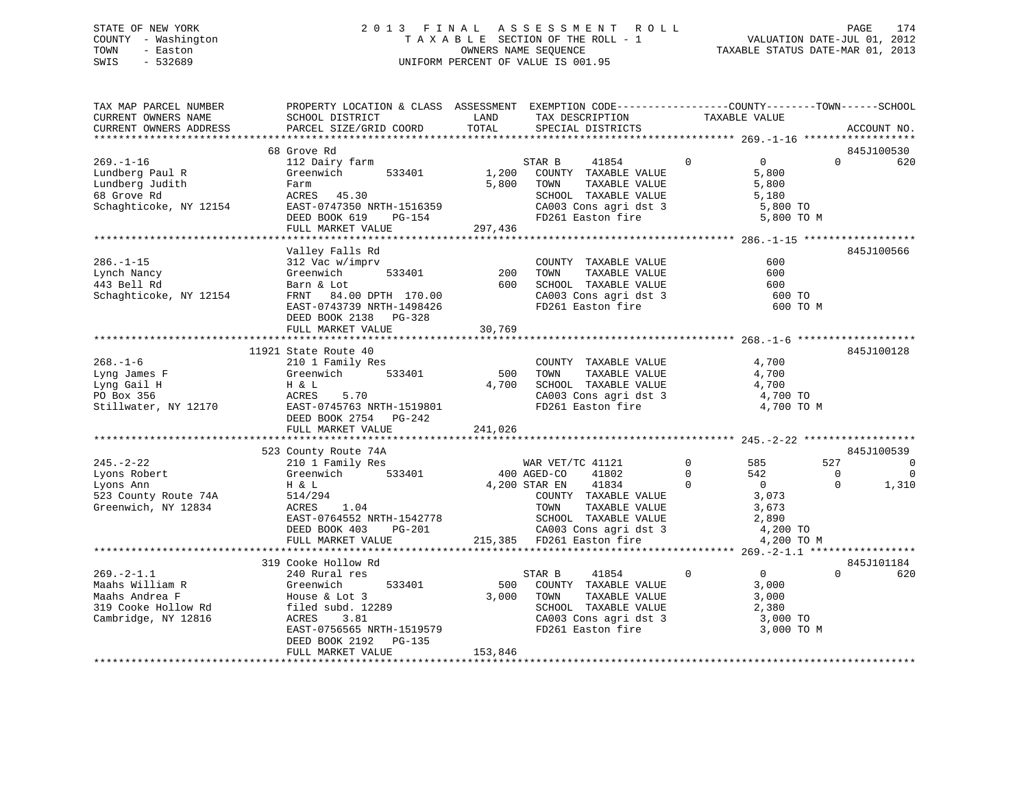### STATE OF NEW YORK 2 0 1 3 F I N A L A S S E S S M E N T R O L L PAGE 174 COUNTY - Washington T A X A B L E SECTION OF THE ROLL - 1 VALUATION DATE-JUL 01, 2012 TOWN - Easton OWNERS NAME SEQUENCE TAXABLE STATUS DATE-MAR 01, 2013 SWIS - 532689 UNIFORM PERCENT OF VALUE IS 001.95

| TAX MAP PARCEL NUMBER<br>CURRENT OWNERS NAME<br>CURRENT OWNERS ADDRESS                              | PROPERTY LOCATION & CLASS ASSESSMENT EXEMPTION CODE----------------COUNTY-------TOWN-----SCHOOL<br>SCHOOL DISTRICT<br>PARCEL SIZE/GRID COORD                                  | LAND<br>TOTAL               | TAX DESCRIPTION<br>SPECIAL DISTRICTS                                                                                                                                                                                                                                                                                                                                                                                                                                                                    | TAXABLE VALUE                                                    |                                             | ACCOUNT NO.                                                       |
|-----------------------------------------------------------------------------------------------------|-------------------------------------------------------------------------------------------------------------------------------------------------------------------------------|-----------------------------|---------------------------------------------------------------------------------------------------------------------------------------------------------------------------------------------------------------------------------------------------------------------------------------------------------------------------------------------------------------------------------------------------------------------------------------------------------------------------------------------------------|------------------------------------------------------------------|---------------------------------------------|-------------------------------------------------------------------|
|                                                                                                     |                                                                                                                                                                               |                             |                                                                                                                                                                                                                                                                                                                                                                                                                                                                                                         |                                                                  |                                             |                                                                   |
|                                                                                                     | 68 Grove Rd                                                                                                                                                                   |                             |                                                                                                                                                                                                                                                                                                                                                                                                                                                                                                         |                                                                  |                                             | 845J100530                                                        |
| $269. - 1 - 16$<br>Lundberg Paul R<br>Lundberg Judith<br>68 Grove Rd<br>Schaghticoke, NY 12154      | 112 Dairy farm<br>533401<br>Greenwich<br>Farm<br>raim<br>ACRES 45.30<br>EAST-0747350 NRTH-1516359<br>DEED BOOK 619 PG-154<br>FULL MARKET VALUE                                | 1,200<br>297,436            | $\overline{0}$<br>STAR B<br>41854<br>COUNTY TAXABLE VALUE<br>5,800 TOWN<br>TAXABLE VALUE<br>SCHOOL TAXABLE VALUE<br>SCHOOL TAXABLE VALUE 5,180<br>CA003 Cons agri dst 3 5,800 TO<br>FD261 Easton fire                                                                                                                                                                                                                                                                                                   | $\overline{0}$<br>5,800<br>5,800<br>5,180                        | $\Omega$<br>5,800 TO M                      | 620                                                               |
|                                                                                                     |                                                                                                                                                                               |                             |                                                                                                                                                                                                                                                                                                                                                                                                                                                                                                         |                                                                  |                                             |                                                                   |
| $286. - 1 - 15$<br>Lynch Nancy<br>443 Bell Rd<br>Schaghticoke, NY 12154                             | Valley Falls Rd<br>312 Vac w/imprv<br>Greenwich<br>Barn & Lot<br>FRNT 84.00 DPTH 170.00<br>EAST-0743739 NRTH-1498426<br>DEED BOOK 2138 PG-328<br>FULL MARKET VALUE            | 533401 200<br>600<br>30,769 | COUNTY TAXABLE VALUE<br>TOWN<br>TAXABLE VALUE<br>SCHOOL TAXABLE VALUE<br>CA003 Cons agri dst 3<br>FD261 Easton fire                                                                                                                                                                                                                                                                                                                                                                                     |                                                                  | 600<br>600<br>600<br>600 TO<br>600 TO M     | 845J100566                                                        |
|                                                                                                     |                                                                                                                                                                               |                             |                                                                                                                                                                                                                                                                                                                                                                                                                                                                                                         |                                                                  |                                             |                                                                   |
| $268. - 1 - 6$<br>Lyng James F<br>Lyng Gail H<br>PO Box 356<br>Stillwater, NY 12170                 | 11921 State Route 40<br>210 1 Family Res<br>Greenwich<br>533401<br>H & L<br>ACRES<br>5.70<br>EAST-0745763 NRTH-1519801<br>DEED BOOK 2754 PG-242<br>FULL MARKET VALUE          | 500<br>4,700<br>241,026     | COUNTY TAXABLE VALUE<br>TAXABLE VALUE<br>TOWN<br>SCHOOL TAXABLE VALUE 4,700<br>CA003 Cons agri dst 3 4,700 TO<br>FD261 Easton fire                                                                                                                                                                                                                                                                                                                                                                      | 4,700<br>4,700                                                   | 4,700 TO M                                  | 845J100128                                                        |
|                                                                                                     |                                                                                                                                                                               |                             |                                                                                                                                                                                                                                                                                                                                                                                                                                                                                                         |                                                                  |                                             |                                                                   |
| $245. - 2 - 22$<br>Lyons Robert<br>Lyons Ann<br>523 County Route 74A<br>Greenwich, NY 12834         | 523 County Route 74A<br>210 1 Family Res<br>Greenwich 533401 400 AGED-CO 41802<br>H & L<br>514/294<br>1.04<br>ACRES<br>EAST-0764552 NRTH-1542778<br>$PG-201$<br>DEED BOOK 403 | 4,200 STAR EN               | $\overline{0}$<br>41834<br>$\begin{tabular}{ccccc} & & & & & & & 3,073 \\ & & & & & & \texttt{ITAXABLE VALUE} & & & 3,673 \\ & & & & & & \texttt{SCHOOL} & \texttt{TAXABLE VALUE} & & 2,890 \\ & & & & & \texttt{CA003 Cons agri dist 3} & & 4,200 T0 \\ & & & & & \texttt{215,385} & \texttt{FD261 Easton fire} & & 4 200 T0 \\ \texttt{****}{\texttt{****}}{\texttt{****}}{\texttt{****}}{\texttt{****}}{\texttt{****}}{\texttt{****}}{\texttt{****}}{\texttt{****}}{\texttt{****}}{\texttt{****}}{\$ | $\overline{0}$<br>585<br>$\overline{0}$<br>542<br>$\overline{0}$ | 527<br>$\overline{\phantom{0}}$<br>$\Omega$ | 845J100539<br>$\overline{0}$<br>$\overline{\phantom{0}}$<br>1,310 |
|                                                                                                     | FULL MARKET VALUE                                                                                                                                                             |                             |                                                                                                                                                                                                                                                                                                                                                                                                                                                                                                         |                                                                  | 4,200 TO M                                  |                                                                   |
|                                                                                                     | 319 Cooke Hollow Rd                                                                                                                                                           |                             |                                                                                                                                                                                                                                                                                                                                                                                                                                                                                                         |                                                                  |                                             | 845J101184                                                        |
| $269. - 2 - 1.1$<br>Maahs William R<br>Maahs Andrea F<br>319 Cooke Hollow Rd<br>Cambridge, NY 12816 | 240 Rural res<br>Greenwich<br>533401<br>House & Lot 3<br>filed subd. 12289<br>ACRES<br>3.81<br>EAST-0756565 NRTH-1519579<br>DEED BOOK 2192 PG-135                             | 500<br>3,000                | $\overline{0}$<br>STAR B<br>41854<br>COUNTY TAXABLE VALUE<br>TOWN<br>TAXABLE VALUE<br><b>IOWN TAXABLE VALUE</b><br>SCHOOL TAXABLE VALUE<br>CA003 Cons agri dst 3<br>FD261 Easton fire                                                                                                                                                                                                                                                                                                                   | $\overline{0}$<br>3,000<br>3,000<br>2,380                        | $\Omega$<br>3,000 TO<br>3,000 TO M          | 620                                                               |
|                                                                                                     | FULL MARKET VALUE                                                                                                                                                             | 153,846                     |                                                                                                                                                                                                                                                                                                                                                                                                                                                                                                         |                                                                  |                                             |                                                                   |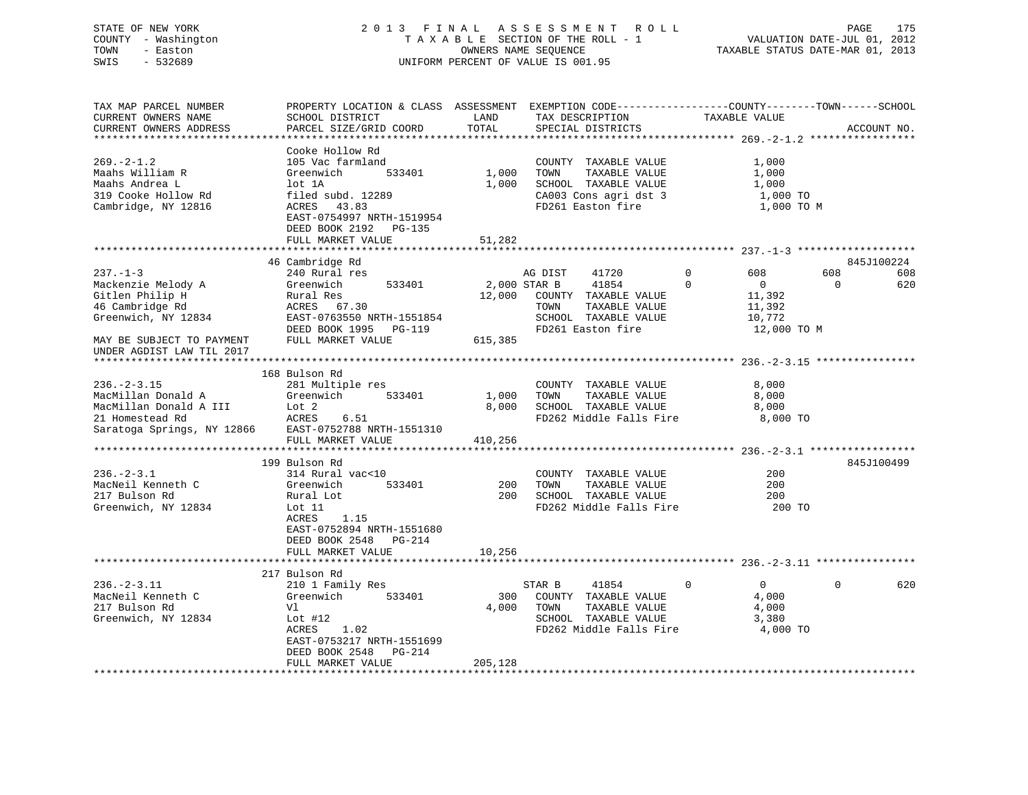### STATE OF NEW YORK 2 0 1 3 F I N A L A S S E S S M E N T R O L L PAGE 175 COUNTY - Washington T A X A B L E SECTION OF THE ROLL - 1 VALUATION DATE-JUL 01, 2012 TOWN - Easton OWNERS NAME SEQUENCE TAXABLE STATUS DATE-MAR 01, 2013 SWIS - 532689 UNIFORM PERCENT OF VALUE IS 001.95

| TAX MAP PARCEL NUMBER<br>CURRENT OWNERS NAME<br>CURRENT OWNERS ADDRESS                                                                                      | PROPERTY LOCATION & CLASS ASSESSMENT<br>SCHOOL DISTRICT<br>PARCEL SIZE/GRID COORD                                                                                                                             | LAND<br>TOTAL             | EXEMPTION CODE-----------------COUNTY-------TOWN------SCHOOL<br>TAX DESCRIPTION<br>SPECIAL DISTRICTS                                    | TAXABLE VALUE                                                                                 | ACCOUNT NO.                   |
|-------------------------------------------------------------------------------------------------------------------------------------------------------------|---------------------------------------------------------------------------------------------------------------------------------------------------------------------------------------------------------------|---------------------------|-----------------------------------------------------------------------------------------------------------------------------------------|-----------------------------------------------------------------------------------------------|-------------------------------|
| *********************<br>$269. - 2 - 1.2$<br>Maahs William R<br>Maahs Andrea L<br>319 Cooke Hollow Rd<br>Cambridge, NY 12816                                | Cooke Hollow Rd<br>105 Vac farmland<br>Greenwich<br>533401<br>lot 1A<br>filed subd. 12289<br>ACRES<br>43.83<br>EAST-0754997 NRTH-1519954<br>DEED BOOK 2192<br>PG-135<br>FULL MARKET VALUE<br>**************** | 1,000<br>1,000<br>51,282  | COUNTY TAXABLE VALUE<br>TOWN<br>TAXABLE VALUE<br>SCHOOL TAXABLE VALUE<br>CA003 Cons agri dst 3<br>FD261 Easton fire                     | 1,000<br>1,000<br>1,000<br>1,000 TO<br>1,000 TO M                                             | *****************             |
|                                                                                                                                                             | 46 Cambridge Rd                                                                                                                                                                                               |                           |                                                                                                                                         |                                                                                               | 845J100224                    |
| $237. - 1 - 3$<br>Mackenzie Melody A<br>Gitlen Philip H<br>46 Cambridge Rd<br>Greenwich, NY 12834<br>MAY BE SUBJECT TO PAYMENT<br>UNDER AGDIST LAW TIL 2017 | 240 Rural res<br>Greenwich<br>533401<br>Rural Res<br>ACRES 67.30<br>EAST-0763550 NRTH-1551854<br>DEED BOOK 1995<br>PG-119<br>FULL MARKET VALUE                                                                | 12,000<br>615,385         | 41720<br>AG DIST<br>41854<br>2,000 STAR B<br>COUNTY TAXABLE VALUE<br>TAXABLE VALUE<br>TOWN<br>SCHOOL TAXABLE VALUE<br>FD261 Easton fire | $\mathbf 0$<br>608<br>$\Omega$<br>$\overline{0}$<br>11,392<br>11,392<br>10,772<br>12,000 TO M | 608<br>608<br>620<br>$\Omega$ |
|                                                                                                                                                             |                                                                                                                                                                                                               |                           |                                                                                                                                         |                                                                                               |                               |
| $236. - 2 - 3.15$<br>MacMillan Donald A<br>MacMillan Donald A III<br>21 Homestead Rd<br>Saratoga Springs, NY 12866                                          | 168 Bulson Rd<br>281 Multiple res<br>533401<br>Greenwich<br>Lot 2<br>ACRES<br>6.51<br>EAST-0752788 NRTH-1551310<br>FULL MARKET VALUE                                                                          | 1,000<br>8,000<br>410,256 | COUNTY TAXABLE VALUE<br>TOWN<br>TAXABLE VALUE<br>SCHOOL TAXABLE VALUE<br>FD262 Middle Falls Fire                                        | 8,000<br>8,000<br>8,000<br>8,000 TO                                                           |                               |
|                                                                                                                                                             | ***********************<br>199 Bulson Rd                                                                                                                                                                      |                           |                                                                                                                                         |                                                                                               | 845J100499                    |
| $236. - 2 - 3.1$<br>MacNeil Kenneth C<br>217 Bulson Rd<br>Greenwich, NY 12834                                                                               | 314 Rural vac<10<br>Greenwich<br>533401<br>Rural Lot<br>Lot 11<br>1.15<br>ACRES<br>EAST-0752894 NRTH-1551680<br>DEED BOOK 2548<br><b>PG-214</b>                                                               | 200<br>200                | COUNTY<br>TAXABLE VALUE<br>TOWN<br>TAXABLE VALUE<br>SCHOOL TAXABLE VALUE<br>FD262 Middle Falls Fire                                     | 200<br>200<br>200<br>200 TO                                                                   |                               |
|                                                                                                                                                             | FULL MARKET VALUE                                                                                                                                                                                             | 10,256                    |                                                                                                                                         |                                                                                               |                               |
|                                                                                                                                                             | 217 Bulson Rd                                                                                                                                                                                                 |                           |                                                                                                                                         | *********************************** 236.-2-3.11 ****                                          |                               |
| $236. - 2 - 3.11$<br>MacNeil Kenneth C<br>217 Bulson Rd<br>Greenwich, NY 12834                                                                              | 210 1 Family Res<br>Greenwich<br>533401<br>Vl<br>Lot $#12$<br>ACRES<br>1.02<br>EAST-0753217 NRTH-1551699<br>DEED BOOK 2548<br>PG-214<br>FULL MARKET VALUE                                                     | 300<br>4,000<br>205,128   | 41854<br>STAR B<br>COUNTY TAXABLE VALUE<br>TAXABLE VALUE<br>TOWN<br>SCHOOL TAXABLE VALUE<br>FD262 Middle Falls Fire                     | $\mathbf 0$<br>$\overline{0}$<br>4,000<br>4,000<br>3,380<br>4,000 TO                          | 620<br>0                      |
|                                                                                                                                                             |                                                                                                                                                                                                               |                           |                                                                                                                                         |                                                                                               |                               |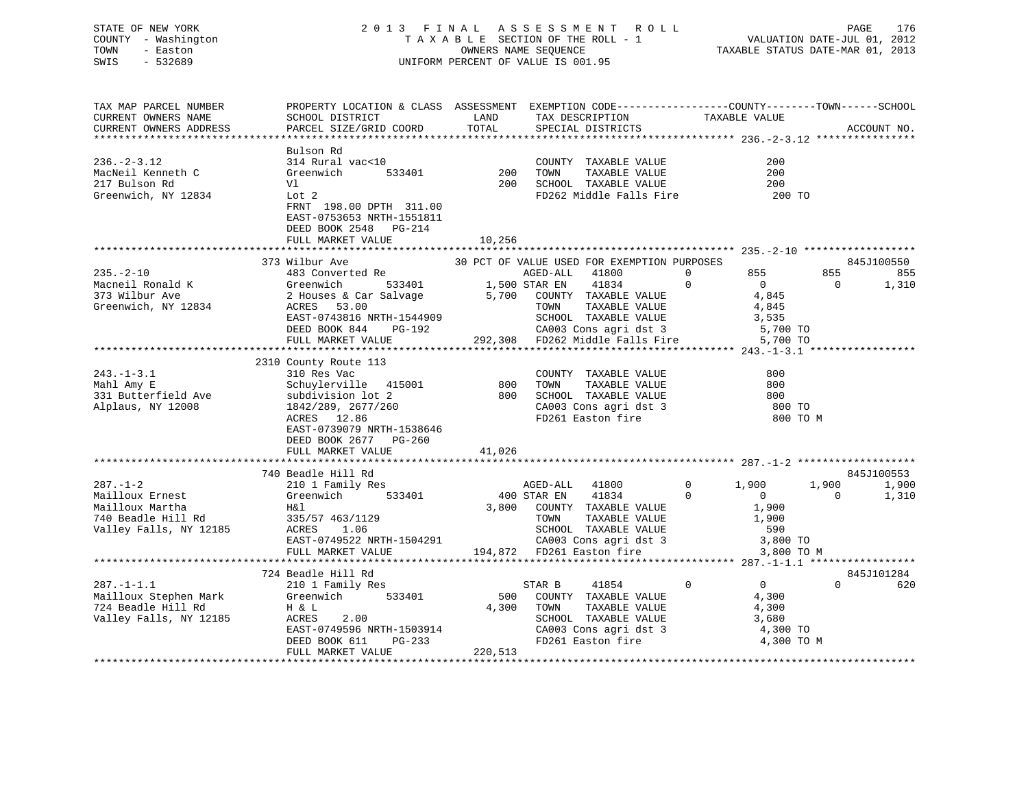### STATE OF NEW YORK 2 0 1 3 F I N A L A S S E S S M E N T R O L L PAGE 176 COUNTY - Washington T A X A B L E SECTION OF THE ROLL - 1 VALUATION DATE-JUL 01, 2012 TOWN - Easton OWNERS NAME SEQUENCE TAXABLE STATUS DATE-MAR 01, 2013 SWIS - 532689 UNIFORM PERCENT OF VALUE IS 001.95

| TAX MAP PARCEL NUMBER<br>CURRENT OWNERS NAME<br>CURRENT OWNERS ADDRESS                               | PROPERTY LOCATION & CLASS ASSESSMENT<br>SCHOOL DISTRICT<br>PARCEL SIZE/GRID COORD                                                                                                                 | LAND<br>TOTAL           | EXEMPTION CODE-----------------COUNTY-------TOWN------SCHOOL<br>TAX DESCRIPTION<br>SPECIAL DISTRICTS                                                                                                                            | TAXABLE VALUE                                                                                       | ACCOUNT NO.                                       |
|------------------------------------------------------------------------------------------------------|---------------------------------------------------------------------------------------------------------------------------------------------------------------------------------------------------|-------------------------|---------------------------------------------------------------------------------------------------------------------------------------------------------------------------------------------------------------------------------|-----------------------------------------------------------------------------------------------------|---------------------------------------------------|
| $236. - 2 - 3.12$<br>MacNeil Kenneth C<br>217 Bulson Rd<br>Greenwich, NY 12834                       | Bulson Rd<br>314 Rural vac<10<br>Greenwich<br>533401<br>Vl<br>Lot 2<br>FRNT 198.00 DPTH 311.00<br>EAST-0753653 NRTH-1551811<br>DEED BOOK 2548 PG-214                                              | 200<br>200              | COUNTY TAXABLE VALUE<br>TOWN<br>TAXABLE VALUE<br>SCHOOL TAXABLE VALUE<br>FD262 Middle Falls Fire                                                                                                                                | 200<br>200<br>200<br>200 TO                                                                         |                                                   |
|                                                                                                      | FULL MARKET VALUE                                                                                                                                                                                 | 10,256                  |                                                                                                                                                                                                                                 |                                                                                                     |                                                   |
| $235. - 2 - 10$<br>Macneil Ronald K<br>373 Wilbur Ave<br>Greenwich, NY 12834                         | 373 Wilbur Ave<br>483 Converted Re<br>Greenwich<br>533401<br>2 Houses & Car Salvage<br>ACRES<br>53.00<br>EAST-0743816 NRTH-1544909<br>DEED BOOK 844<br>PG-192<br>FULL MARKET VALUE                | 5,700                   | 30 PCT OF VALUE USED FOR EXEMPTION PURPOSES<br>AGED-ALL<br>41800<br>1,500 STAR EN<br>41834<br>COUNTY TAXABLE VALUE<br>TOWN<br>TAXABLE VALUE<br>SCHOOL TAXABLE VALUE<br>CA003 Cons agri dst 3<br>292,308 FD262 Middle Falls Fire | 855<br>0<br>$\mathbf 0$<br>$\mathbf{0}$<br>4,845<br>4,845<br>3,535<br>5,700 TO<br>5,700 TO          | 845J100550<br>855<br>855<br>$\Omega$<br>1,310     |
|                                                                                                      |                                                                                                                                                                                                   |                         |                                                                                                                                                                                                                                 |                                                                                                     |                                                   |
| $243. - 1 - 3.1$<br>Mahl Amy E<br>331 Butterfield Ave<br>Alplaus, NY 12008                           | 2310 County Route 113<br>310 Res Vac<br>Schuylerville 415001<br>subdivision lot 2<br>1842/289, 2677/260<br>ACRES 12.86<br>EAST-0739079 NRTH-1538646<br>DEED BOOK 2677 PG-260<br>FULL MARKET VALUE | 800<br>800<br>41,026    | COUNTY TAXABLE VALUE<br>TOWN<br>TAXABLE VALUE<br>SCHOOL TAXABLE VALUE<br>CA003 Cons agri dst 3<br>FD261 Easton fire                                                                                                             | 800<br>800<br>800<br>800 TO                                                                         | 800 TO M                                          |
|                                                                                                      |                                                                                                                                                                                                   |                         |                                                                                                                                                                                                                                 |                                                                                                     |                                                   |
| $287. - 1 - 2$<br>Mailloux Ernest<br>Mailloux Martha<br>740 Beadle Hill Rd<br>Valley Falls, NY 12185 | 740 Beadle Hill Rd<br>210 1 Family Res<br>Greenwich<br>533401<br>H&l<br>335/57 463/1129<br>ACRES<br>1.06<br>EAST-0749522 NRTH-1504291<br>FULL MARKET VALUE                                        | 3,800                   | AGED-ALL<br>41800<br>400 STAR EN<br>41834<br>COUNTY TAXABLE VALUE<br>TOWN<br>TAXABLE VALUE<br>SCHOOL TAXABLE VALUE<br>CA003 Cons agri dst 3<br>194,872 FD261 Easton fire                                                        | $\mathbf 0$<br>1,900<br>$\Omega$<br>$\mathbf{0}$<br>1,900<br>1,900<br>590<br>3,800 TO<br>3,800 TO M | 845J100553<br>1,900<br>1,900<br>$\Omega$<br>1,310 |
|                                                                                                      |                                                                                                                                                                                                   |                         |                                                                                                                                                                                                                                 |                                                                                                     |                                                   |
| $287. - 1 - 1.1$<br>Mailloux Stephen Mark<br>724 Beadle Hill Rd<br>Valley Falls, NY 12185            | 724 Beadle Hill Rd<br>210 1 Family Res<br>533401<br>Greenwich<br>H & L<br>ACRES<br>2.00<br>EAST-0749596 NRTH-1503914<br>DEED BOOK 611<br>PG-233<br>FULL MARKET VALUE                              | 500<br>4,300<br>220,513 | STAR B<br>41854<br>COUNTY TAXABLE VALUE<br>TOWN<br>TAXABLE VALUE<br>SCHOOL TAXABLE VALUE<br>CA003 Cons agri dst 3<br>FD261 Easton fire                                                                                          | $\Omega$<br>$\overline{0}$<br>4,300<br>4,300<br>3,680<br>4,300 TO<br>4,300 TO M                     | 845J101284<br>$\Omega$<br>620                     |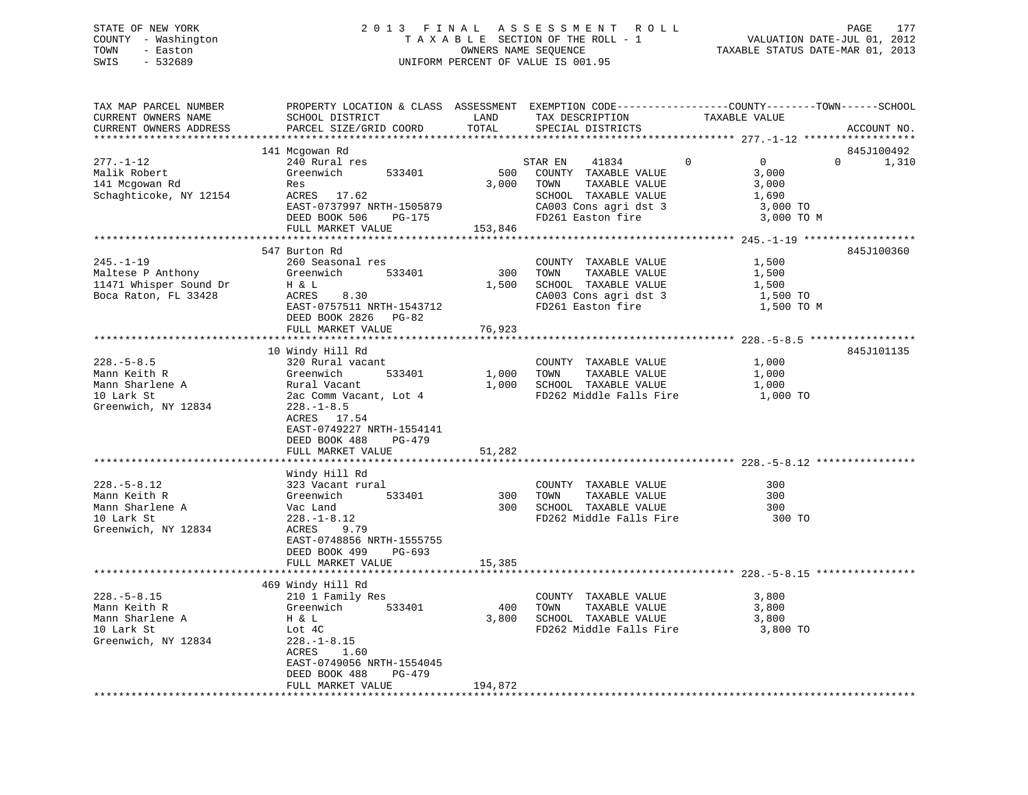### STATE OF NEW YORK 2 0 1 3 F I N A L A S S E S S M E N T R O L L PAGE 177 COUNTY - Washington T A X A B L E SECTION OF THE ROLL - 1 VALUATION DATE-JUL 01, 2012 TOWN - Easton OWNERS NAME SEQUENCE TAXABLE STATUS DATE-MAR 01, 2013 SWIS - 532689 UNIFORM PERCENT OF VALUE IS 001.95

| TAX MAP PARCEL NUMBER<br>CURRENT OWNERS NAME<br>CURRENT OWNERS ADDRESS                    | PROPERTY LOCATION & CLASS ASSESSMENT EXEMPTION CODE----------------COUNTY-------TOWN------SCHOOL<br>SCHOOL DISTRICT<br>PARCEL SIZE/GRID COORD                                                           | LAND<br>TOTAL                   | TAX DESCRIPTION<br>SPECIAL DISTRICTS                                                                                                    | TAXABLE VALUE                                                             | ACCOUNT NO.       |
|-------------------------------------------------------------------------------------------|---------------------------------------------------------------------------------------------------------------------------------------------------------------------------------------------------------|---------------------------------|-----------------------------------------------------------------------------------------------------------------------------------------|---------------------------------------------------------------------------|-------------------|
|                                                                                           |                                                                                                                                                                                                         |                                 |                                                                                                                                         |                                                                           |                   |
|                                                                                           | 141 Mcgowan Rd                                                                                                                                                                                          |                                 |                                                                                                                                         |                                                                           | 845J100492        |
| $277. - 1 - 12$<br>Malik Robert<br>141 Mcgowan Rd<br>Schaghticoke, NY 12154               | 240 Rural res<br>Greenwich<br>533401<br>Res<br>ACRES 17.62<br>EAST-0737997 NRTH-1505879<br>DEED BOOK 506<br>PG-175                                                                                      | 500<br>3,000                    | STAR EN<br>41834<br>COUNTY TAXABLE VALUE<br>TOWN<br>TAXABLE VALUE<br>SCHOOL TAXABLE VALUE<br>CA003 Cons agri dst 3<br>FD261 Easton fire | $\Omega$<br>$\Omega$<br>3,000<br>3,000<br>1,690<br>3,000 TO<br>3,000 TO M | $\Omega$<br>1,310 |
|                                                                                           | FULL MARKET VALUE                                                                                                                                                                                       | 153,846                         |                                                                                                                                         |                                                                           |                   |
|                                                                                           |                                                                                                                                                                                                         |                                 |                                                                                                                                         |                                                                           |                   |
| $245. - 1 - 19$<br>Maltese P Anthony<br>11471 Whisper Sound Dr<br>Boca Raton, FL 33428    | 547 Burton Rd<br>260 Seasonal res<br>Greenwich<br>533401<br>H & L<br>ACRES<br>8.30<br>EAST-0757511 NRTH-1543712<br>DEED BOOK 2826 PG-82<br>FULL MARKET VALUE                                            | 300<br>1,500<br>76,923          | COUNTY TAXABLE VALUE<br>TOWN<br>TAXABLE VALUE<br>SCHOOL TAXABLE VALUE<br>CA003 Cons agri dst 3<br>FD261 Easton fire                     | 1,500<br>1,500<br>1,500<br>1,500 TO<br>1,500 TO M                         | 845J100360        |
|                                                                                           |                                                                                                                                                                                                         |                                 |                                                                                                                                         |                                                                           |                   |
| $228. - 5 - 8.5$<br>Mann Keith R<br>Mann Sharlene A<br>10 Lark St<br>Greenwich, NY 12834  | 10 Windy Hill Rd<br>320 Rural vacant<br>Greenwich<br>533401<br>Rural Vacant<br>2ac Comm Vacant, Lot 4<br>$228. - 1 - 8.5$<br>ACRES 17.54<br>EAST-0749227 NRTH-1554141<br>DEED BOOK 488<br><b>PG-479</b> | 1,000<br>1,000                  | COUNTY TAXABLE VALUE<br>TAXABLE VALUE<br>TOWN<br>SCHOOL TAXABLE VALUE<br>FD262 Middle Falls Fire                                        | 1,000<br>1,000<br>1,000<br>1,000 TO                                       | 845J101135        |
|                                                                                           | FULL MARKET VALUE                                                                                                                                                                                       | 51,282                          |                                                                                                                                         |                                                                           |                   |
|                                                                                           |                                                                                                                                                                                                         |                                 |                                                                                                                                         |                                                                           |                   |
| $228. - 5 - 8.12$<br>Mann Keith R<br>Mann Sharlene A<br>10 Lark St<br>Greenwich, NY 12834 | Windy Hill Rd<br>323 Vacant rural<br>Greenwich<br>533401<br>Vac Land<br>$228. - 1 - 8.12$<br>ACRES<br>9.79<br>EAST-0748856 NRTH-1555755<br>DEED BOOK 499<br>$PG-693$                                    | 300<br>300                      | COUNTY TAXABLE VALUE<br>TOWN<br>TAXABLE VALUE<br>SCHOOL TAXABLE VALUE<br>FD262 Middle Falls Fire                                        | 300<br>300<br>300<br>300 TO                                               |                   |
|                                                                                           | FULL MARKET VALUE                                                                                                                                                                                       | 15,385<br>* * * * * * * * * * * |                                                                                                                                         |                                                                           |                   |
|                                                                                           |                                                                                                                                                                                                         |                                 |                                                                                                                                         |                                                                           |                   |
| $228. - 5 - 8.15$<br>Mann Keith R<br>Mann Sharlene A<br>10 Lark St<br>Greenwich, NY 12834 | 469 Windy Hill Rd<br>210 1 Family Res<br>Greenwich<br>533401<br>H & L<br>Lot 4C<br>$228. - 1 - 8.15$<br>ACRES<br>1.60<br>EAST-0749056 NRTH-1554045<br>DEED BOOK 488<br>PG-479                           | 400<br>3,800                    | COUNTY TAXABLE VALUE<br>TOWN<br>TAXABLE VALUE<br>SCHOOL TAXABLE VALUE<br>FD262 Middle Falls Fire                                        | 3,800<br>3,800<br>3,800<br>3,800 TO                                       |                   |
|                                                                                           | FULL MARKET VALUE                                                                                                                                                                                       | 194,872                         |                                                                                                                                         |                                                                           |                   |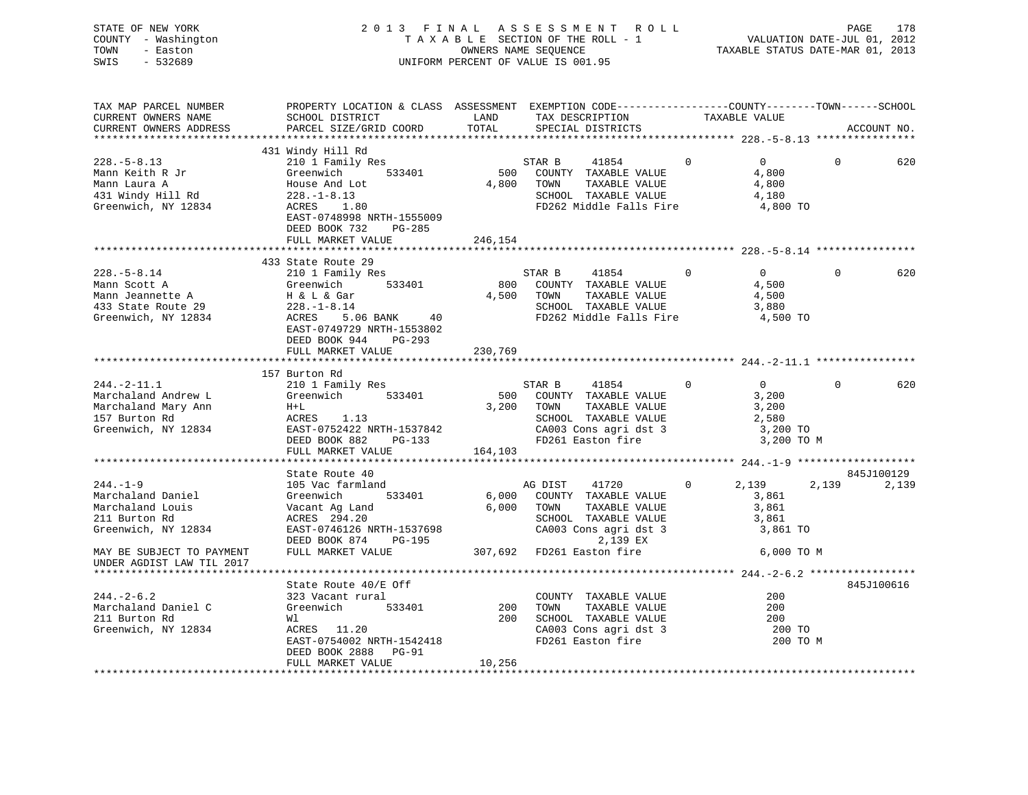STATE OF NEW YORK 2 0 1 3 F I N A L A S S E S S M E N T R O L L PAGE 178 COUNTY - Washington T A X A B L E SECTION OF THE ROLL - 1 VALUATION DATE-JUL 01, 2012 TOWN - Easton OWNERS NAME SEQUENCE TAXABLE STATUS DATE-MAR 01, 2013 SWIS - 532689 UNIFORM PERCENT OF VALUE IS 001.95

| TAX MAP PARCEL NUMBER     | PROPERTY LOCATION & CLASS ASSESSMENT EXEMPTION CODE----------------COUNTY-------TOWN------SCHOOL |            |                                                      |              |                |          |             |
|---------------------------|--------------------------------------------------------------------------------------------------|------------|------------------------------------------------------|--------------|----------------|----------|-------------|
| CURRENT OWNERS NAME       | SCHOOL DISTRICT                                                                                  | LAND       | TAX DESCRIPTION                                      |              |                |          |             |
| CURRENT OWNERS ADDRESS    | PARCEL SIZE/GRID COORD                                                                           | TOTAL      | SPECIAL DISTRICTS                                    |              | TAXABLE VALUE  |          | ACCOUNT NO. |
|                           |                                                                                                  |            |                                                      |              |                |          |             |
|                           | 431 Windy Hill Rd                                                                                |            |                                                      |              |                |          |             |
|                           |                                                                                                  |            |                                                      |              |                |          |             |
| $228. - 5 - 8.13$         | 210 1 Family Res                                                                                 |            | STAR B<br>41854                                      | $\Omega$     | $\overline{0}$ | $\Omega$ | 620         |
| Mann Keith R Jr           | 533401<br>Greenwich                                                                              |            | 500 COUNTY TAXABLE VALUE                             |              | 4,800          |          |             |
| Mann Laura A              | House And Lot                                                                                    |            | 4,800 TOWN<br>TAXABLE VALUE                          |              | 4,800          |          |             |
| 431 Windy Hill Rd         | 228.-1-8.13                                                                                      |            | SCHOOL TAXABLE VALUE                                 |              | 4,180          |          |             |
| Greenwich, NY 12834       | ACRES<br>1.80                                                                                    |            | FD262 Middle Falls Fire 4,800 TO                     |              |                |          |             |
|                           | EAST-0748998 NRTH-1555009                                                                        |            |                                                      |              |                |          |             |
|                           | DEED BOOK 732<br>PG-285                                                                          |            |                                                      |              |                |          |             |
|                           | FULL MARKET VALUE                                                                                | 246,154    |                                                      |              |                |          |             |
|                           |                                                                                                  |            |                                                      |              |                |          |             |
|                           |                                                                                                  |            |                                                      |              |                |          |             |
|                           | 433 State Route 29                                                                               |            |                                                      |              |                |          |             |
| $228. - 5 - 8.14$         | 210 1 Family Res                                                                                 |            | STAR B<br>41854                                      | $\Omega$     | $\overline{0}$ | $\Omega$ | 620         |
| Mann Scott A              | Greenwich 533401                                                                                 |            | 800 COUNTY TAXABLE VALUE                             |              | 4,500          |          |             |
| Mann Jeannette A          | H & L & Gar<br>228.-1-8.14                                                                       |            | 4,500 TOWN<br>TAXABLE VALUE                          |              | 4,500          |          |             |
| 433 State Route 29        |                                                                                                  |            | SCHOOL TAXABLE VALUE                                 |              | 3,880          |          |             |
| Greenwich, NY 12834       | ACRES 5.06 BANK 40                                                                               |            | FD262 Middle Falls Fire                              |              | 4,500 TO       |          |             |
|                           | EAST-0749729 NRTH-1553802                                                                        |            |                                                      |              |                |          |             |
|                           | DEED BOOK 944 PG-293                                                                             |            |                                                      |              |                |          |             |
|                           |                                                                                                  |            |                                                      |              |                |          |             |
|                           | FULL MARKET VALUE                                                                                | 230,769    |                                                      |              |                |          |             |
|                           |                                                                                                  |            |                                                      |              |                |          |             |
|                           | 157 Burton Rd                                                                                    |            |                                                      |              |                |          |             |
| $244. -2 - 11.1$          | 210 1 Family Res                                                                                 |            | STAR B<br>41854                                      | $\mathbf{0}$ | $\overline{0}$ | $\Omega$ | 620         |
| Marchaland Andrew L       | Greenwich 533401                                                                                 |            | 500 COUNTY TAXABLE VALUE<br>500 COUNTY TAXABLE VALUE |              | 3,200          |          |             |
| Marchaland Mary Ann       | $H+L$                                                                                            | 3,200 TOWN |                                                      |              | 3,200          |          |             |
| 157 Burton Rd             | ACRES 1.13                                                                                       |            | SCHOOL TAXABLE VALUE                                 |              | 2,580          |          |             |
| Greenwich, NY 12834       | EAST-0752422 NRTH-1537842                                                                        |            | CA003 Cons agri dst 3                                |              | 3,200 TO       |          |             |
|                           | DEED BOOK 882 PG-133                                                                             |            | FD261 Easton fire                                    |              | 3,200 TO M     |          |             |
|                           |                                                                                                  | 164,103    |                                                      |              |                |          |             |
|                           | FULL MARKET VALUE                                                                                |            |                                                      |              |                |          |             |
|                           |                                                                                                  |            |                                                      |              |                |          |             |
|                           | State Route 40                                                                                   |            |                                                      |              |                |          | 845J100129  |
| $244. - 1 - 9$            | 105 Vac farmland                                                                                 |            | 41720<br>AG DIST                                     | 0            | 2,139          | 2,139    | 2,139       |
| Marchaland Daniel         | 533401<br>Greenwich                                                                              |            | 6,000 COUNTY TAXABLE VALUE                           |              | 3,861          |          |             |
| Marchaland Louis          |                                                                                                  |            | 6,000 TOWN<br>TAXABLE VALUE                          |              | 3,861          |          |             |
| 211 Burton Rd             | Vacant Ag Land<br>ACRES 294.20                                                                   |            |                                                      |              | 3,861          |          |             |
| Greenwich, NY 12834       | EAST-0746126 NRTH-1537698                                                                        |            | SCHOOL TAXABLE VALUE<br>CA003 Cons agri dst 3        |              | 3,861 TO       |          |             |
|                           | DEED BOOK 874 PG-195                                                                             |            | 2,139 EX                                             |              |                |          |             |
| MAY BE SUBJECT TO PAYMENT | FULL MARKET VALUE                                                                                |            | 307,692 FD261 Easton fire                            |              | 6,000 TO M     |          |             |
|                           |                                                                                                  |            |                                                      |              |                |          |             |
| UNDER AGDIST LAW TIL 2017 |                                                                                                  |            |                                                      |              |                |          |             |
|                           |                                                                                                  |            |                                                      |              |                |          |             |
|                           | State Route 40/E Off                                                                             |            |                                                      |              |                |          | 845J100616  |
| $244. - 2 - 6.2$          | 323 Vacant rural                                                                                 |            | COUNTY TAXABLE VALUE                                 |              | 200            |          |             |
| Marchaland Daniel C       | Greenwich 533401                                                                                 | $200$ TOWN | TAXABLE VALUE                                        |              | 200            |          |             |
| 211 Burton Rd             | Wl                                                                                               |            | 200 SCHOOL TAXABLE VALUE                             |              | 200            |          |             |
| Greenwich, NY 12834       | ACRES 11.20                                                                                      |            | CA003 Cons agri dst 3                                |              | 200 TO         |          |             |
|                           | EAST-0754002 NRTH-1542418                                                                        |            | FD261 Easton fire                                    |              | 200 TO M       |          |             |
|                           | DEED BOOK 2888 PG-91                                                                             |            |                                                      |              |                |          |             |
|                           | FULL MARKET VALUE                                                                                | 10,256     |                                                      |              |                |          |             |
|                           |                                                                                                  |            |                                                      |              |                |          |             |
|                           |                                                                                                  |            |                                                      |              |                |          |             |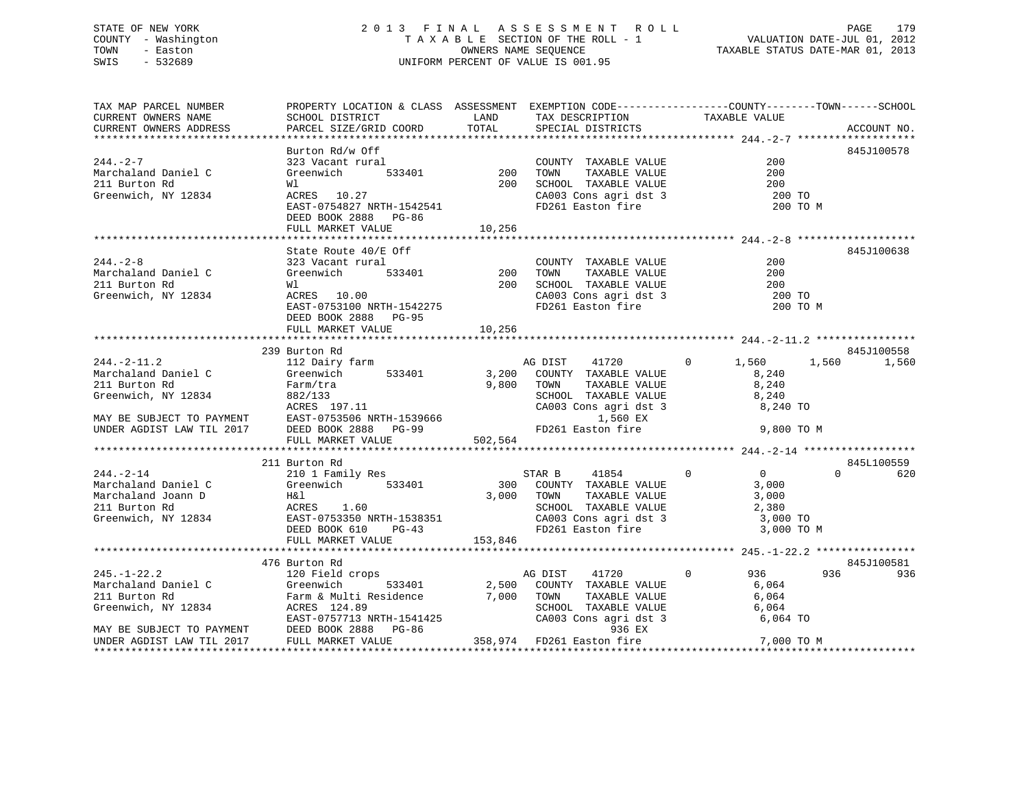### STATE OF NEW YORK 2 0 1 3 F I N A L A S S E S S M E N T R O L L PAGE 179 COUNTY - Washington T A X A B L E SECTION OF THE ROLL - 1 VALUATION DATE-JUL 01, 2012 TOWN - Easton **CONNERS NAME SEQUENCE** TAXABLE STATUS DATE-MAR 01, 2013 SWIS - 532689 UNIFORM PERCENT OF VALUE IS 001.95

| TAX MAP PARCEL NUMBER                                                                                                                                                                                | PROPERTY LOCATION & CLASS ASSESSMENT EXEMPTION CODE----------------COUNTY-------TOWN------SCHOOL                                                     |            |                                                                                                                                                               |               |             |
|------------------------------------------------------------------------------------------------------------------------------------------------------------------------------------------------------|------------------------------------------------------------------------------------------------------------------------------------------------------|------------|---------------------------------------------------------------------------------------------------------------------------------------------------------------|---------------|-------------|
| CURRENT OWNERS NAME                                                                                                                                                                                  | SCHOOL DISTRICT<br><b>LAND</b>                                                                                                                       |            | TAX DESCRIPTION TAXABLE VALUE                                                                                                                                 |               |             |
| CURRENT OWNERS ADDRESS                                                                                                                                                                               | PARCEL SIZE/GRID COORD                                                                                                                               | TOTAL      | SPECIAL DISTRICTS                                                                                                                                             |               | ACCOUNT NO. |
|                                                                                                                                                                                                      |                                                                                                                                                      |            |                                                                                                                                                               |               |             |
|                                                                                                                                                                                                      | Burton Rd/w Off                                                                                                                                      |            |                                                                                                                                                               |               | 845J100578  |
| $244. -2 - 7$                                                                                                                                                                                        |                                                                                                                                                      |            | COUNTY TAXABLE VALUE                                                                                                                                          | 200           |             |
| Marchaland Daniel C                                                                                                                                                                                  |                                                                                                                                                      |            |                                                                                                                                                               | 200           |             |
| 211 Burton Rd                                                                                                                                                                                        |                                                                                                                                                      |            |                                                                                                                                                               | 200<br>200 TO |             |
| Greenwich, NY 12834                                                                                                                                                                                  | 323 Vacant rural COUNTY TAXABLE VALUE<br>Greenwich 533401 200 TOWN TAXABLE VALUE<br>WI 200 SCHOOL TAXABLE VALUE<br>ACRES 10.27 CA003 Cons agri dst 3 |            | CA003 Cons agri dst 3<br>FD261 Easton fire                                                                                                                    |               |             |
|                                                                                                                                                                                                      | EAST-0754827 NRTH-1542541                                                                                                                            |            |                                                                                                                                                               | 200 TO M      |             |
|                                                                                                                                                                                                      | DEED BOOK 2888 PG-86                                                                                                                                 |            |                                                                                                                                                               |               |             |
|                                                                                                                                                                                                      | FULL MARKET VALUE                                                                                                                                    | 10,256     |                                                                                                                                                               |               |             |
|                                                                                                                                                                                                      |                                                                                                                                                      |            |                                                                                                                                                               |               |             |
|                                                                                                                                                                                                      | State Route 40/E Off                                                                                                                                 |            |                                                                                                                                                               |               | 845J100638  |
| $244. - 2 - 8$                                                                                                                                                                                       | 323 Vacant rural                                                                                                                                     |            | COUNTY TAXABLE VALUE                                                                                                                                          | 200           |             |
| Marchaland Daniel C                                                                                                                                                                                  | $533401$ 200<br>Greenwich                                                                                                                            |            | TOWN<br>TAXABLE VALUE                                                                                                                                         | 200           |             |
| 211 Burton Rd                                                                                                                                                                                        | Wl                                                                                                                                                   | 200        | SCHOOL TAXABLE VALUE 200<br>CA003 Cons agri dst 3 200 TO                                                                                                      |               |             |
| Greenwich, NY 12834                                                                                                                                                                                  | ACRES 10.00<br>ACKES 10.00<br>EAST-0753100 NRTH-1542275<br>EAST-0753100 NRTH-1542275                                                                 |            |                                                                                                                                                               |               |             |
|                                                                                                                                                                                                      |                                                                                                                                                      |            | FD261 Easton fire                                                                                                                                             | 200 TO M      |             |
|                                                                                                                                                                                                      | DEED BOOK 2888 PG-95                                                                                                                                 |            |                                                                                                                                                               |               |             |
|                                                                                                                                                                                                      | FULL MARKET VALUE                                                                                                                                    | 10,256     |                                                                                                                                                               |               |             |
|                                                                                                                                                                                                      |                                                                                                                                                      |            |                                                                                                                                                               |               |             |
|                                                                                                                                                                                                      | 239 Burton Rd                                                                                                                                        |            |                                                                                                                                                               |               | 845J100558  |
| $244. - 2 - 11.2$                                                                                                                                                                                    | 112 Dairy farm                                                                                                                                       |            | AG DIST<br>41720                                                                                                                                              | $0 \t 1,560$  | 1,560 1,560 |
| Marchaland Daniel C                                                                                                                                                                                  | Greenwich 533401                                                                                                                                     |            | 3,200 COUNTY TAXABLE VALUE                                                                                                                                    | 8,240         |             |
| 211 Burton Rd                                                                                                                                                                                        | Farm/tra<br>882/133                                                                                                                                  | 9,800 TOWN | TOWN TAXABLE VALUE 8,240<br>SCHOOL TAXABLE VALUE 8,240<br>CA003 Cons agri dst 3 8,240 TO                                                                      |               |             |
| Greenwich, NY 12834                                                                                                                                                                                  |                                                                                                                                                      |            |                                                                                                                                                               |               |             |
|                                                                                                                                                                                                      |                                                                                                                                                      |            | CA003 Cons agri dst<br>1,560 EX                                                                                                                               |               |             |
| ACRES 197.11<br>MAY BE SUBJECT TO PAYMENT EAST-0753506 NRTH-1539666<br>UNDER AGDIST LAW TIL 2017 DEED BOOK 2888 PG-99                                                                                |                                                                                                                                                      |            |                                                                                                                                                               |               |             |
|                                                                                                                                                                                                      |                                                                                                                                                      |            | FD261 Easton fire                                                                                                                                             | 9,800 TO M    |             |
|                                                                                                                                                                                                      | FULL MARKET VALUE                                                                                                                                    | 502,564    |                                                                                                                                                               |               |             |
|                                                                                                                                                                                                      |                                                                                                                                                      |            |                                                                                                                                                               |               | 845L100559  |
| $244. -2 - 14$                                                                                                                                                                                       | 211 Burton Rd                                                                                                                                        |            |                                                                                                                                                               |               | $\Omega$    |
|                                                                                                                                                                                                      |                                                                                                                                                      |            | $\begin{tabular}{lcccccc} \texttt{STAR} & B & 41854 & 0 & 0 \\ \texttt{COUNTY} & \texttt{TXABLE VALUE} & & & 3,000 \end{tabular}$<br>300 COUNTY TAXABLE VALUE |               | 620         |
| Marchaland Daniel C<br>Marchaland Joann D                                                                                                                                                            |                                                                                                                                                      | 3,000 TOWN |                                                                                                                                                               |               |             |
| 211 Burton Rd                                                                                                                                                                                        | 210 1 Family Res<br>Greenwich 533401<br>H&l<br>ACRES 1.60                                                                                            |            |                                                                                                                                                               |               |             |
|                                                                                                                                                                                                      |                                                                                                                                                      |            | TOWN TAXABLE VALUE 3,000<br>SCHOOL TAXABLE VALUE 2,380<br>CA003 Cons agri dst 3 3,000 TO                                                                      |               |             |
|                                                                                                                                                                                                      |                                                                                                                                                      |            |                                                                                                                                                               |               |             |
|                                                                                                                                                                                                      |                                                                                                                                                      |            |                                                                                                                                                               |               |             |
| 211 Burton Ry 12834<br>EAST-0753350 NRTH-1538351 CAOO3 Cons agri dst 3 3,000 TO<br>EED BOOK 610 PG-43 FD261 Easton fire 3,000 TO M<br>FULL MARKET VALUE 153,846 11 153,846 FULL MARKET VALUE 153,846 |                                                                                                                                                      |            |                                                                                                                                                               |               |             |
|                                                                                                                                                                                                      | 476 Burton Rd                                                                                                                                        |            |                                                                                                                                                               |               | 845J100581  |
| $245. - 1 - 22.2$                                                                                                                                                                                    | 120 Field crops                                                                                                                                      |            | $\overline{0}$<br>41720<br>AG DIST                                                                                                                            | 936           | 936<br>936  |
|                                                                                                                                                                                                      |                                                                                                                                                      |            |                                                                                                                                                               |               |             |
|                                                                                                                                                                                                      |                                                                                                                                                      |            |                                                                                                                                                               |               |             |
|                                                                                                                                                                                                      |                                                                                                                                                      |            |                                                                                                                                                               |               |             |
|                                                                                                                                                                                                      |                                                                                                                                                      |            |                                                                                                                                                               |               |             |
|                                                                                                                                                                                                      |                                                                                                                                                      |            |                                                                                                                                                               |               |             |
|                                                                                                                                                                                                      |                                                                                                                                                      |            |                                                                                                                                                               |               |             |
|                                                                                                                                                                                                      |                                                                                                                                                      |            |                                                                                                                                                               |               |             |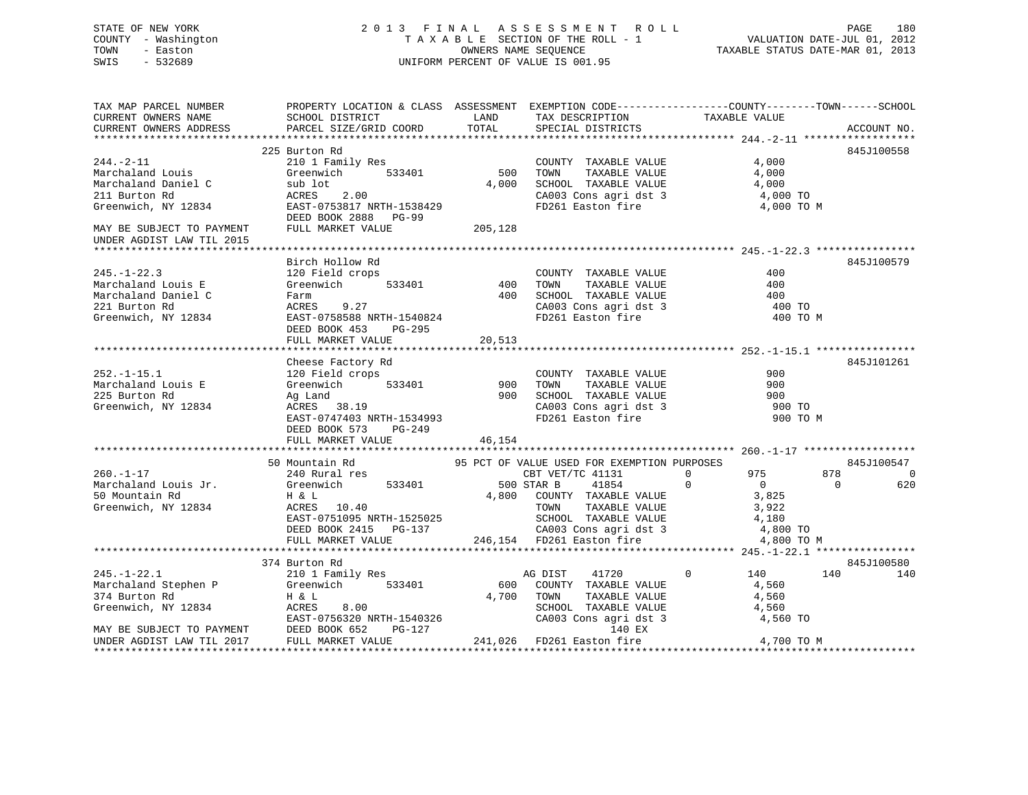### STATE OF NEW YORK 2013 FINAL ASSESSMENT ROLL PAGE 180 COUNTY - Washington  $T A X A B L E$  SECTION OF THE ROLL - 1<br>TOWN - Easton DATE-JUL 2001 OWNERS NAME SEQUENCE SWIS - 532689 UNIFORM PERCENT OF VALUE IS 001.95

VALUATION DATE-JUL 01, 2012

TAXABLE STATUS DATE-MAR 01, 2013

| TAX MAP PARCEL NUMBER                                                                                |                                                                                                                                                                                                                                                                    |                   |                                                                                          | PROPERTY LOCATION & CLASS ASSESSMENT EXEMPTION CODE----------------COUNTY-------TOWN------SCHOOL |                       |
|------------------------------------------------------------------------------------------------------|--------------------------------------------------------------------------------------------------------------------------------------------------------------------------------------------------------------------------------------------------------------------|-------------------|------------------------------------------------------------------------------------------|--------------------------------------------------------------------------------------------------|-----------------------|
| CURRENT OWNERS NAME                                                                                  | SCHOOL DISTRICT                                                                                                                                                                                                                                                    | <b>LAND</b>       | TAX DESCRIPTION                                                                          | TAXABLE VALUE                                                                                    |                       |
| CURRENT OWNERS ADDRESS                                                                               | PARCEL SIZE/GRID COORD                                                                                                                                                                                                                                             | TOTAL             | SPECIAL DISTRICTS                                                                        |                                                                                                  | ACCOUNT NO.           |
|                                                                                                      |                                                                                                                                                                                                                                                                    |                   |                                                                                          |                                                                                                  |                       |
|                                                                                                      | 225 Burton Rd                                                                                                                                                                                                                                                      |                   |                                                                                          |                                                                                                  | 845J100558            |
| $244. - 2 - 11$                                                                                      | 210 1 Family Res                                                                                                                                                                                                                                                   | 500               | COUNTY TAXABLE VALUE                                                                     | 4,000                                                                                            |                       |
| Marchaland Louis                                                                                     | Greenwich 533401                                                                                                                                                                                                                                                   |                   | TOWN<br>TAXABLE VALUE                                                                    | 4,000                                                                                            |                       |
| Marchaland Daniel C                                                                                  |                                                                                                                                                                                                                                                                    | 4,000             | SCHOOL TAXABLE VALUE                                                                     | 4,000                                                                                            |                       |
| 211 Burton Rd                                                                                        | sub lot<br>ACRES 2.00                                                                                                                                                                                                                                              |                   |                                                                                          | 4,000 TO                                                                                         |                       |
| Greenwich, NY 12834                                                                                  | EAST-0753817 NRTH-1538429                                                                                                                                                                                                                                          |                   | CA003 Cons agri dst 3<br>FD261 Easton fire                                               | 4,000 TO M                                                                                       |                       |
|                                                                                                      | DEED BOOK 2888 PG-99                                                                                                                                                                                                                                               |                   |                                                                                          |                                                                                                  |                       |
| MAY BE SUBJECT TO PAYMENT                                                                            | FULL MARKET VALUE                                                                                                                                                                                                                                                  | 205,128           |                                                                                          |                                                                                                  |                       |
| UNDER AGDIST LAW TIL 2015                                                                            |                                                                                                                                                                                                                                                                    |                   |                                                                                          |                                                                                                  |                       |
|                                                                                                      |                                                                                                                                                                                                                                                                    |                   |                                                                                          |                                                                                                  |                       |
|                                                                                                      | Birch Hollow Rd                                                                                                                                                                                                                                                    |                   |                                                                                          |                                                                                                  | 845J100579            |
| $245. - 1 - 22.3$                                                                                    | 120 Field crops                                                                                                                                                                                                                                                    |                   | COUNTY TAXABLE VALUE                                                                     | 400                                                                                              |                       |
| Marchaland Louis E                                                                                   | Greenwich 533401                                                                                                                                                                                                                                                   | $\frac{400}{400}$ | TAXABLE VALUE<br>TOWN                                                                    | 400                                                                                              |                       |
| Marchaland Daniel C                                                                                  | Farm                                                                                                                                                                                                                                                               |                   | SCHOOL TAXABLE VALUE                                                                     | 400                                                                                              |                       |
| 221 Burton Rd                                                                                        | ACRES 9.27                                                                                                                                                                                                                                                         |                   |                                                                                          | 400 TO                                                                                           |                       |
| Greenwich, NY 12834                                                                                  | EAST-0758588 NRTH-1540824                                                                                                                                                                                                                                          |                   | CA003 Cons agri dst 3<br>FD261 Easton fire                                               | 400 TO M                                                                                         |                       |
|                                                                                                      | DEED BOOK 453<br>PG-295                                                                                                                                                                                                                                            |                   |                                                                                          |                                                                                                  |                       |
|                                                                                                      | FULL MARKET VALUE                                                                                                                                                                                                                                                  | 20,513            |                                                                                          |                                                                                                  |                       |
|                                                                                                      |                                                                                                                                                                                                                                                                    |                   |                                                                                          |                                                                                                  |                       |
|                                                                                                      | Cheese Factory Rd                                                                                                                                                                                                                                                  |                   |                                                                                          |                                                                                                  | 845J101261            |
|                                                                                                      |                                                                                                                                                                                                                                                                    |                   |                                                                                          | 900                                                                                              |                       |
| $252. - 1 - 15.1$                                                                                    | 120 Field crops                                                                                                                                                                                                                                                    |                   | COUNTY TAXABLE VALUE                                                                     |                                                                                                  |                       |
| Marchaland Louis E                                                                                   | Greenwich 533401                                                                                                                                                                                                                                                   | 900               | TOWN<br>TAXABLE VALUE                                                                    | 900                                                                                              |                       |
| 225 Burton Rd                                                                                        | Ag Land<br>ACRES    38.19                                                                                                                                                                                                                                          |                   |                                                                                          |                                                                                                  |                       |
| Greenwich, NY 12834                                                                                  |                                                                                                                                                                                                                                                                    |                   |                                                                                          |                                                                                                  |                       |
|                                                                                                      | EAST-0747403 NRTH-1534993                                                                                                                                                                                                                                          |                   | 900 SCHOOL TAXABLE VALUE 900<br>CA003 Cons agri dst 3 900 TO<br>FD261 Easton fire 900 TO | 900 TO M                                                                                         |                       |
|                                                                                                      | DEED BOOK 573<br>$PG-249$                                                                                                                                                                                                                                          |                   |                                                                                          |                                                                                                  |                       |
|                                                                                                      | FULL MARKET VALUE                                                                                                                                                                                                                                                  | 46,154            |                                                                                          |                                                                                                  |                       |
|                                                                                                      |                                                                                                                                                                                                                                                                    |                   |                                                                                          |                                                                                                  |                       |
|                                                                                                      | 50 Mountain Rd                                                                                                                                                                                                                                                     |                   | 95 PCT OF VALUE USED FOR EXEMPTION PURPOSES                                              |                                                                                                  | 845J100547            |
| $260. -1 - 17$                                                                                       | 240 Rural res                                                                                                                                                                                                                                                      |                   | CBT VET/TC 41131                                                                         | 975 878<br>$\overline{0}$                                                                        | $\bigcirc$            |
| Marchaland Louis Jr.<br>50 Mountain Rd<br>Greenwich, NY 12834<br>ACRES 10.40<br>Marchaland Louis Jr. | Greenwich 533401                                                                                                                                                                                                                                                   | 500 STAR B        | 41854                                                                                    | $\overline{0}$<br>$\Omega$                                                                       | $\overline{0}$<br>620 |
|                                                                                                      |                                                                                                                                                                                                                                                                    |                   | 4,800 COUNTY TAXABLE VALUE                                                               | 3,825                                                                                            |                       |
|                                                                                                      |                                                                                                                                                                                                                                                                    |                   |                                                                                          |                                                                                                  |                       |
|                                                                                                      |                                                                                                                                                                                                                                                                    |                   |                                                                                          |                                                                                                  |                       |
|                                                                                                      |                                                                                                                                                                                                                                                                    |                   |                                                                                          |                                                                                                  |                       |
|                                                                                                      |                                                                                                                                                                                                                                                                    |                   |                                                                                          |                                                                                                  |                       |
|                                                                                                      |                                                                                                                                                                                                                                                                    |                   |                                                                                          |                                                                                                  |                       |
|                                                                                                      | 374 Burton Rd                                                                                                                                                                                                                                                      |                   |                                                                                          |                                                                                                  | 845J100580            |
|                                                                                                      |                                                                                                                                                                                                                                                                    |                   | 41720<br>AG DIST                                                                         | $\overline{0}$<br>140                                                                            | 140<br>140            |
|                                                                                                      |                                                                                                                                                                                                                                                                    | 600               | COUNTY TAXABLE VALUE                                                                     | 4,560                                                                                            |                       |
|                                                                                                      |                                                                                                                                                                                                                                                                    | 4,700             |                                                                                          |                                                                                                  |                       |
|                                                                                                      |                                                                                                                                                                                                                                                                    |                   | TOWN TAXABLE VALUE 4,560<br>SCHOOL TAXABLE VALUE 4,560                                   |                                                                                                  |                       |
|                                                                                                      | EAST-0756320 NRTH-1540326                                                                                                                                                                                                                                          |                   | CA003 Cons agri dst 3                                                                    | 4,560 TO                                                                                         |                       |
|                                                                                                      | 245.-1-22.1<br>Marchaland Stephen P<br>374 Burton Rd<br>374 Burton Rd<br>374 Burton Rd<br>533401<br>46 L<br>Greenwich, NY 12834<br>8.00<br>EAST-0756320 NRTH-1540326<br>MAY BE SUBJECT TO PAYMENT<br>TEED BOOK 652 PG-127<br>THILL MARKET VALUE<br>THILL<br>PG-127 |                   | 140 EX                                                                                   |                                                                                                  |                       |
|                                                                                                      |                                                                                                                                                                                                                                                                    |                   | 241,026 FD261 Easton fire                                                                | 4,700 TO M                                                                                       |                       |
|                                                                                                      |                                                                                                                                                                                                                                                                    |                   |                                                                                          |                                                                                                  |                       |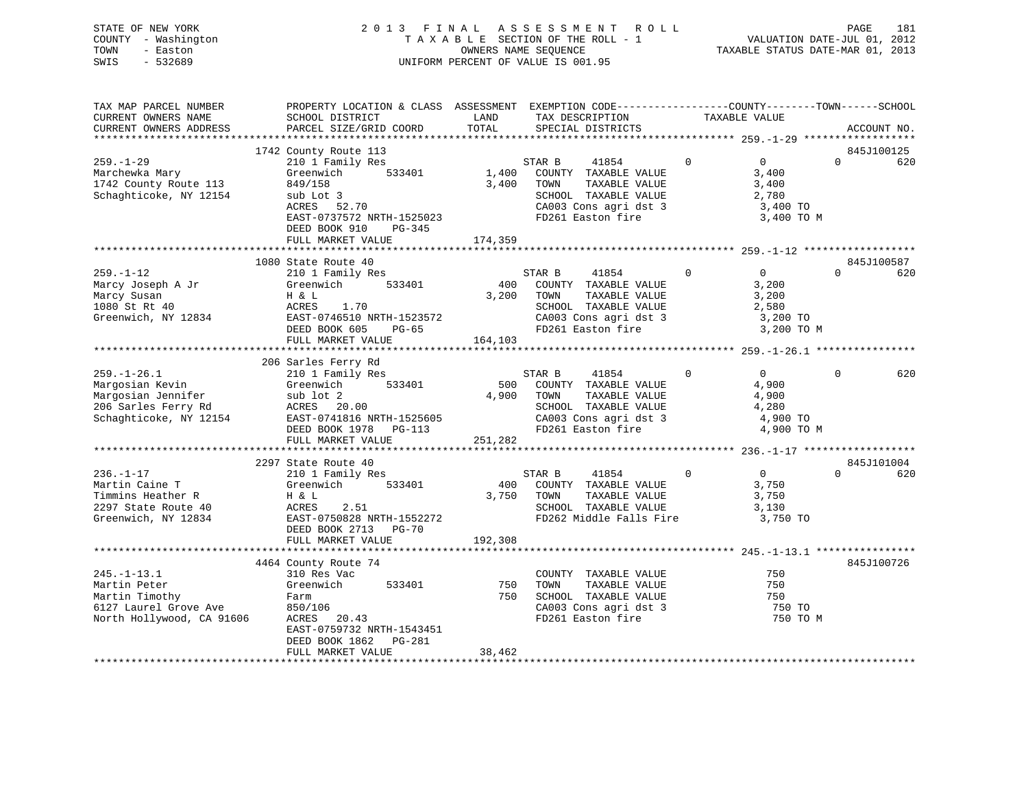| STATE OF NEW YORK   | 2013 FINAL ASSESSMENT ROLL         | 181<br>PAGE                      |
|---------------------|------------------------------------|----------------------------------|
| COUNTY - Washington | TAXABLE SECTION OF THE ROLL - 1    | VALUATION DATE-JUL 01, 2012      |
| TOWN<br>- Easton    | OWNERS NAME SEOUENCE               | TAXABLE STATUS DATE-MAR 01, 2013 |
| $-532689$<br>SWIS   | UNIFORM PERCENT OF VALUE IS 001.95 |                                  |

| TAX MAP PARCEL NUMBER                                            | PROPERTY LOCATION & CLASS ASSESSMENT EXEMPTION CODE-----------------COUNTY-------TOWN------SCHOOL |            |                                               |                |                   |          |             |
|------------------------------------------------------------------|---------------------------------------------------------------------------------------------------|------------|-----------------------------------------------|----------------|-------------------|----------|-------------|
| CURRENT OWNERS NAME                                              | SCHOOL DISTRICT                                                                                   | LAND       | TAX DESCRIPTION                               | TAXABLE VALUE  |                   |          |             |
| CURRENT OWNERS ADDRESS                                           | PARCEL SIZE/GRID COORD                                                                            | TOTAL      | SPECIAL DISTRICTS                             |                |                   |          | ACCOUNT NO. |
|                                                                  |                                                                                                   |            |                                               |                |                   |          |             |
|                                                                  | 1742 County Route 113                                                                             |            |                                               |                |                   |          | 845J100125  |
| $259. - 1 - 29$                                                  | 210 1 Family Res                                                                                  |            | STAR B<br>41854                               | $\overline{0}$ | $0 \qquad \qquad$ | $\Omega$ | 620         |
| Marchewka Mary                                                   | 533401<br>Greenwich                                                                               |            | 1,400 COUNTY TAXABLE VALUE                    |                | 3,400             |          |             |
| 1742 County Route 113                                            | 849/158                                                                                           | 3,400      | TOWN<br>TAXABLE VALUE                         |                | 3,400             |          |             |
| Schaghticoke, NY 12154                                           | sub Lot 3                                                                                         |            | SCHOOL TAXABLE VALUE                          |                | 2,780             |          |             |
|                                                                  | ACRES 52.70                                                                                       |            | CA003 Cons agri dst 3<br>FD261 Easton fire    |                | 3,400 TO          |          |             |
|                                                                  | EAST-0737572 NRTH-1525023                                                                         |            |                                               |                | 3,400 TO M        |          |             |
|                                                                  | DEED BOOK 910<br>PG-345                                                                           |            |                                               |                |                   |          |             |
|                                                                  | FULL MARKET VALUE                                                                                 | 174,359    |                                               |                |                   |          |             |
|                                                                  |                                                                                                   |            |                                               |                |                   |          |             |
|                                                                  | 1080 State Route 40                                                                               |            |                                               |                |                   |          | 845J100587  |
| $259. - 1 - 12$                                                  | 210 1 Family Res                                                                                  |            | STAR B<br>41854                               | $\overline{0}$ | $\overline{0}$    | $\Omega$ | 620         |
| Marcy Joseph A Jr                                                | 533401<br>Greenwich                                                                               |            | 400 COUNTY TAXABLE VALUE                      |                | 3,200             |          |             |
| Marcy Susan                                                      | H & L                                                                                             | 3,200 TOWN | TAXABLE VALUE                                 |                | 3,200             |          |             |
| 1080 St Rt 40                                                    |                                                                                                   |            |                                               |                | 2,580             |          |             |
| Greenwich, NY 12834                                              |                                                                                                   |            | SCHOOL TAXABLE VALUE<br>CA003 Cons agri dst 3 |                | 3,200 TO          |          |             |
|                                                                  | DEED BOOK 605<br>$PG-65$                                                                          |            | FD261 Easton fire                             |                | 3,200 TO M        |          |             |
|                                                                  | FULL MARKET VALUE                                                                                 | 164,103    |                                               |                |                   |          |             |
|                                                                  |                                                                                                   |            |                                               |                |                   |          |             |
|                                                                  | 206 Sarles Ferry Rd                                                                               |            |                                               |                |                   |          |             |
| $259. - 1 - 26.1$                                                | 210 1 Family Res                                                                                  |            | STAR B<br>41854                               | $\Omega$       | $\overline{0}$    | $\Omega$ | 620         |
| Margosian Kevin                                                  | 533401<br>Greenwich                                                                               | 500        | COUNTY TAXABLE VALUE                          |                | 4,900             |          |             |
| Margosian Jennifer<br>206 Sarles Ferry Rd<br>206 Sarles Ferry Rd | sub lot 2                                                                                         | 4,900      | TAXABLE VALUE<br>TOWN                         |                | 4,900             |          |             |
|                                                                  | ACRES 20.00                                                                                       |            | SCHOOL TAXABLE VALUE                          |                | 4,280             |          |             |
| Schaghticoke, NY 12154                                           | EAST-0741816 NRTH-1525605                                                                         |            |                                               |                | 4,900 TO          |          |             |
|                                                                  | DEED BOOK 1978 PG-113                                                                             |            | CA003 Cons agri dst 3<br>FD261 Easton fire    |                | 4,900 TO M        |          |             |
|                                                                  | FULL MARKET VALUE                                                                                 | 251,282    |                                               |                |                   |          |             |
|                                                                  |                                                                                                   |            |                                               |                |                   |          |             |
|                                                                  | 2297 State Route 40                                                                               |            |                                               |                |                   |          | 845J101004  |
| $236. - 1 - 17$                                                  | 210 1 Family Res                                                                                  |            | STAR B<br>41854                               | $\mathbf{0}$   | $\overline{0}$    | $\Omega$ | 620         |
| Martin Caine T                                                   | 533401<br>Greenwich                                                                               |            | 400 COUNTY TAXABLE VALUE                      |                | 3,750             |          |             |
| Martin Came<br>Timmins Heather R<br>Allen Poute 40               | H & L                                                                                             | 3,750 TOWN | TAXABLE VALUE                                 |                | 3,750             |          |             |
|                                                                  | ACRES<br>2.51                                                                                     |            | SCHOOL TAXABLE VALUE                          |                | 3,130             |          |             |
| Greenwich, NY 12834                                              | EAST-0750828 NRTH-1552272                                                                         |            | FD262 Middle Falls Fire 3,750 TO              |                |                   |          |             |
|                                                                  | DEED BOOK 2713 PG-70                                                                              |            |                                               |                |                   |          |             |
|                                                                  | FULL MARKET VALUE                                                                                 | 192,308    |                                               |                |                   |          |             |
|                                                                  |                                                                                                   |            |                                               |                |                   |          |             |
|                                                                  | 4464 County Route 74                                                                              |            |                                               |                |                   |          | 845J100726  |
| $245. - 1 - 13.1$                                                | ta a shekarar 1990.<br>Matukio<br>310 Res Vac                                                     |            | COUNTY TAXABLE VALUE                          | 250            |                   |          |             |
| Martin Peter                                                     | 533401<br>Greenwich                                                                               | 750        | TAXABLE VALUE<br>TOWN                         |                | 750               |          |             |
| Martin Timothy                                                   | Farm                                                                                              |            | 750 SCHOOL TAXABLE VALUE                      |                | 750               |          |             |
|                                                                  | 850/106                                                                                           |            |                                               |                | 750 TO            |          |             |
| 6127 Laurel Grove Ave<br>North Hollywood, CA 91606               | ACRES 20.43                                                                                       |            | CA003 Cons agri dst 3<br>FD261 Easton fire    |                | 750 TO M          |          |             |
|                                                                  | EAST-0759732 NRTH-1543451                                                                         |            |                                               |                |                   |          |             |
|                                                                  | DEED BOOK 1862 PG-281                                                                             |            |                                               |                |                   |          |             |
|                                                                  | FULL MARKET VALUE                                                                                 | 38,462     |                                               |                |                   |          |             |
|                                                                  |                                                                                                   |            |                                               |                |                   |          |             |
|                                                                  |                                                                                                   |            |                                               |                |                   |          |             |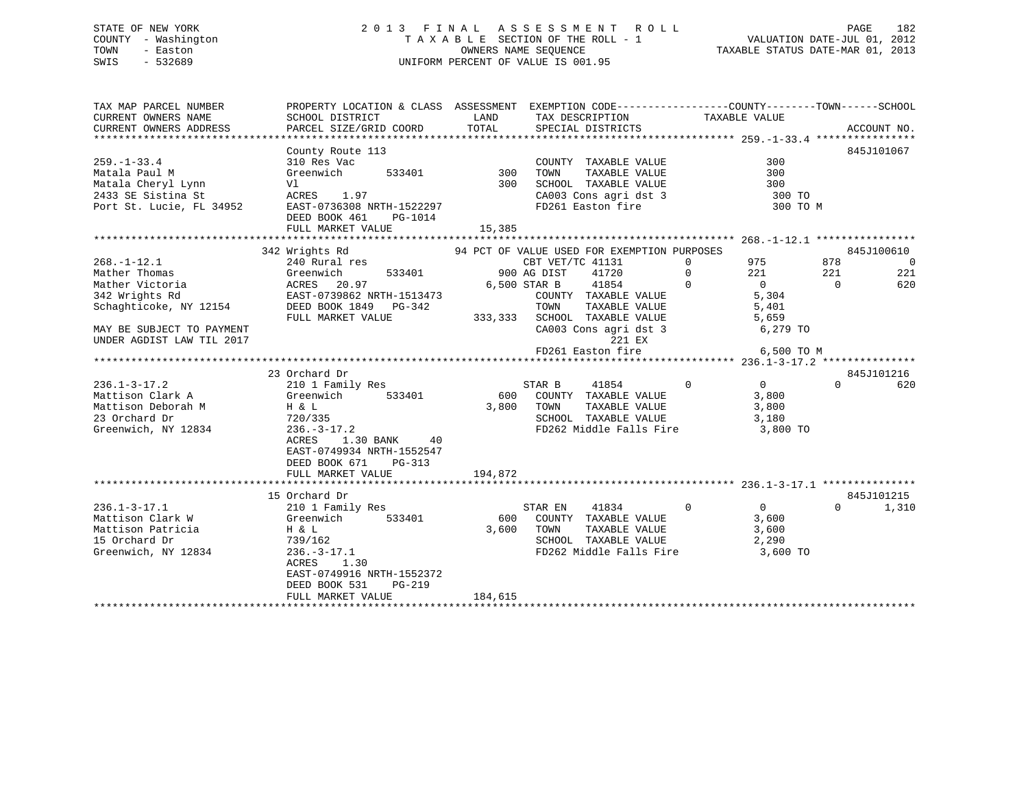# STATE OF NEW YORK 2 0 1 3 F I N A L A S S E S S M E N T R O L L PAGE 182 COUNTY - Washington T A X A B L E SECTION OF THE ROLL - 1 VALUATION DATE-JUL 01, 2012 TOWN - Easton OWNERS NAME SEQUENCE TAXABLE STATUS DATE-MAR 01, 2013 SWIS - 532689 UNIFORM PERCENT OF VALUE IS 001.95

| TAX MAP PARCEL NUMBER                                | PROPERTY LOCATION & CLASS ASSESSMENT EXEMPTION CODE---------------COUNTY-------TOWN-----SCHOOL |         |                                                                                   |              |                |          |                          |
|------------------------------------------------------|------------------------------------------------------------------------------------------------|---------|-----------------------------------------------------------------------------------|--------------|----------------|----------|--------------------------|
| CURRENT OWNERS NAME                                  | SCHOOL DISTRICT                                                                                | LAND    | TAX DESCRIPTION                                                                   |              | TAXABLE VALUE  |          |                          |
| CURRENT OWNERS ADDRESS                               | PARCEL SIZE/GRID COORD                                                                         | TOTAL   | SPECIAL DISTRICTS                                                                 |              |                |          | ACCOUNT NO.              |
|                                                      |                                                                                                |         |                                                                                   |              |                |          |                          |
|                                                      | County Route 113                                                                               |         |                                                                                   |              |                |          | 845J101067               |
| $259. - 1 - 33.4$                                    | 310 Res Vac                                                                                    |         | COUNTY TAXABLE VALUE                                                              |              | 300            |          |                          |
| Matala Paul M                                        | 533401<br>Greenwich                                                                            | 300     | TAXABLE VALUE<br>TOWN                                                             |              | 300            |          |                          |
| Matala Cheryl Lynn                                   | Vl                                                                                             | 300     | SCHOOL TAXABLE VALUE                                                              |              | 300            |          |                          |
| 2433 SE Sistina St                                   | ACRES 1.97                                                                                     |         | CA003 Cons agri dst 3                                                             |              | 300 TO         |          |                          |
| Port St. Lucie, FL 34952                             | EAST-0736308 NRTH-1522297                                                                      |         | FD261 Easton fire                                                                 |              | 300 TO M       |          |                          |
|                                                      | DEED BOOK 461<br>PG-1014                                                                       |         |                                                                                   |              |                |          |                          |
|                                                      | FULL MARKET VALUE                                                                              | 15,385  |                                                                                   |              |                |          |                          |
|                                                      |                                                                                                |         |                                                                                   |              |                |          |                          |
|                                                      | 342 Wrights Rd                                                                                 |         | 94 PCT OF VALUE USED FOR EXEMPTION PURPOSES                                       |              |                |          | 845J100610               |
| $268. - 1 - 12.1$                                    | 240 Rural res                                                                                  |         | CBT VET/TC 41131                                                                  | $\Omega$     | 975            | 878      | $\overline{\phantom{0}}$ |
| Mather Thomas                                        |                                                                                                |         | 900 AG DIST<br>41720                                                              | $\mathbf{0}$ | 221            | 221      | 221                      |
| Mather Victoria                                      | Greenwich 533401<br>ACRES 20.97<br>EAST-0739862 NRTH-1513473                                   |         | 6,500 STAR B<br>41854                                                             | $\mathbf 0$  | $\overline{0}$ | $\Omega$ | 620                      |
| 342 Wrights Rd                                       |                                                                                                |         | COUNTY TAXABLE VALUE                                                              |              | 5,304          |          |                          |
| Schaghticoke, NY 12154 DEED BOOK 1849 PG-342         |                                                                                                |         | TOWN<br>TAXABLE VALUE                                                             |              | 5,401          |          |                          |
|                                                      | FULL MARKET VALUE                                                                              |         |                                                                                   |              |                |          |                          |
| MAY BE SUBJECT TO PAYMENT                            |                                                                                                |         | 333,333 SCHOOL TAXABLE VALUE 5,659<br>$\frac{1}{2}$ CANO Cons agri dst 3 6,279 TO |              |                |          |                          |
| UNDER AGDIST LAW TIL 2017                            |                                                                                                |         | 221 EX                                                                            |              |                |          |                          |
|                                                      |                                                                                                |         |                                                                                   |              |                |          |                          |
|                                                      |                                                                                                |         |                                                                                   |              |                |          |                          |
|                                                      | 23 Orchard Dr                                                                                  |         |                                                                                   |              |                |          | 845J101216               |
| $236.1 - 3 - 17.2$                                   | 210 1 Family Res                                                                               |         | STAR B<br>41854                                                                   | $\Omega$     | $\overline{0}$ | $\Omega$ | 620                      |
| Mattison Clark A                                     | 533401<br>Greenwich                                                                            | 600     | COUNTY TAXABLE VALUE                                                              |              | 3,800          |          |                          |
|                                                      | H & L                                                                                          | 3,800   | TAXABLE VALUE<br>TOWN                                                             |              | 3,800          |          |                          |
| Mattison Deborah M<br>23 Orchard Dr<br>23 Orchard Dr | 720/335                                                                                        |         | SCHOOL TAXABLE VALUE                                                              |              | 3,180          |          |                          |
| Greenwich, NY 12834                                  | $236. - 3 - 17.2$                                                                              |         | FD262 Middle Falls Fire 3,800 TO                                                  |              |                |          |                          |
|                                                      | 1.30 BANK<br>40<br>ACRES                                                                       |         |                                                                                   |              |                |          |                          |
|                                                      | EAST-0749934 NRTH-1552547                                                                      |         |                                                                                   |              |                |          |                          |
|                                                      | DEED BOOK 671<br>PG-313                                                                        |         |                                                                                   |              |                |          |                          |
|                                                      | FULL MARKET VALUE                                                                              | 194,872 |                                                                                   |              |                |          |                          |
|                                                      |                                                                                                |         |                                                                                   |              |                |          |                          |
|                                                      | 15 Orchard Dr                                                                                  |         |                                                                                   |              |                |          | 845J101215               |
| $236.1 - 3 - 17.1$                                   | 210 1 Family Res                                                                               |         | 41834<br>STAR EN                                                                  | $\Omega$     | $\overline{0}$ | $\Omega$ | 1,310                    |
| Mattison Clark W                                     | 533401<br>Greenwich                                                                            | 600     | COUNTY TAXABLE VALUE                                                              |              | 3,600          |          |                          |
| Mattison Patricia                                    | H & L                                                                                          | 3,600   | TOWN<br>TAXABLE VALUE                                                             |              | 3,600          |          |                          |
| 15 Orchard Dr                                        | 739/162                                                                                        |         | SCHOOL TAXABLE VALUE                                                              |              | 2,290          |          |                          |
| Greenwich, NY 12834                                  | $236. - 3 - 17.1$                                                                              |         | FD262 Middle Falls Fire 3,600 TO                                                  |              |                |          |                          |
|                                                      | ACRES<br>1.30                                                                                  |         |                                                                                   |              |                |          |                          |
|                                                      | EAST-0749916 NRTH-1552372                                                                      |         |                                                                                   |              |                |          |                          |
|                                                      | DEED BOOK 531<br>$PG-219$                                                                      |         |                                                                                   |              |                |          |                          |
|                                                      | FULL MARKET VALUE                                                                              | 184,615 |                                                                                   |              |                |          |                          |
|                                                      |                                                                                                |         |                                                                                   |              |                |          |                          |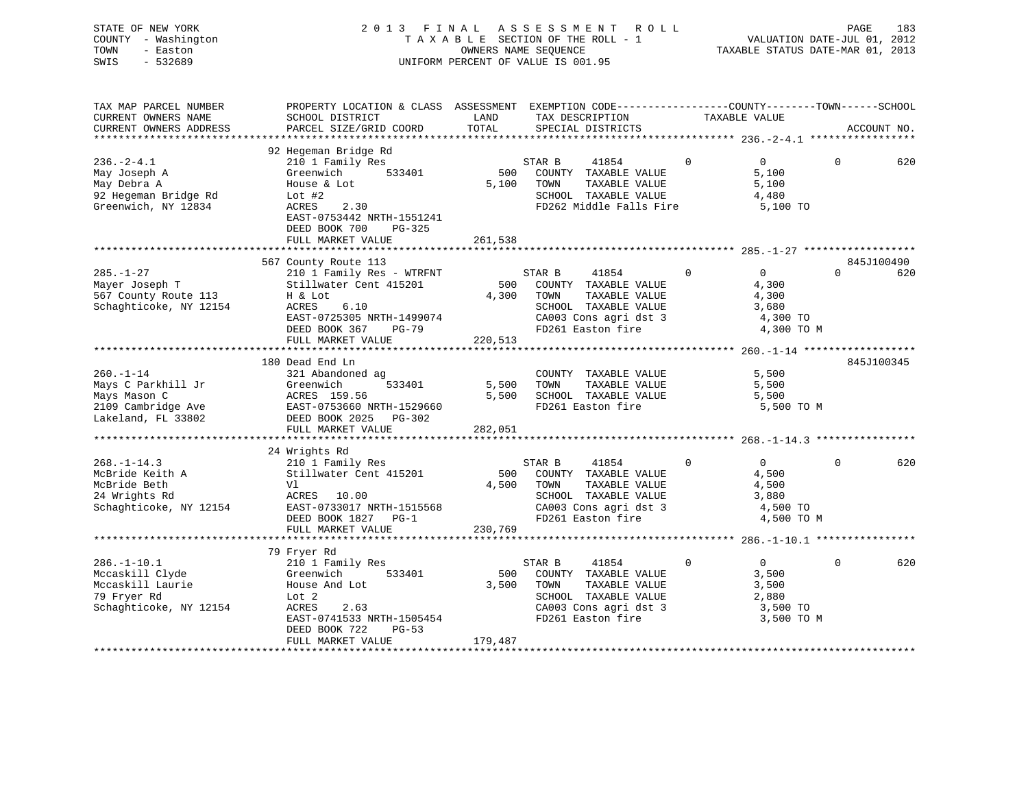| STATE OF NEW YORK   | 2013 FINAL ASSESSMENT ROLL         | 183<br>PAGE                      |
|---------------------|------------------------------------|----------------------------------|
| COUNTY - Washington | TAXABLE SECTION OF THE ROLL - 1    | VALUATION DATE-JUL 01, 2012      |
| TOWN<br>- Easton    | OWNERS NAME SEOUENCE               | TAXABLE STATUS DATE-MAR 01, 2013 |
| SWIS<br>- 532689    | UNIFORM PERCENT OF VALUE IS 001.95 |                                  |
|                     |                                    |                                  |

| TAX DESCRIPTION<br>TAXABLE VALUE<br>TOTAL<br>SPECIAL DISTRICTS<br>CURRENT OWNERS ADDRESS<br>PARCEL SIZE/GRID COORD<br>ACCOUNT NO.<br>92 Hegeman Bridge Rd<br>$236. - 2 - 4.1$<br>$\Omega$<br>$\Omega$<br>$\Omega$<br>210 1 Family Res<br>41854<br>620<br>STAR B<br>533401<br>500<br>5,100<br>May Joseph A<br>Greenwich<br>COUNTY TAXABLE VALUE<br>House & Lot<br>5,100<br>TOWN<br>TAXABLE VALUE<br>5,100<br>May Debra A<br>92 Hegeman Bridge Rd<br>SCHOOL TAXABLE VALUE<br>Lot $#2$<br>4,480<br>Greenwich, NY 12834<br>FD262 Middle Falls Fire<br>ACRES<br>2.30<br>5,100 TO<br>EAST-0753442 NRTH-1551241<br>DEED BOOK 700<br>PG-325<br>261,538<br>FULL MARKET VALUE<br>567 County Route 113<br>845J100490<br>$\Omega$<br>$\Omega$<br>$\Omega$<br>$285. - 1 - 27$<br>210 1 Family Res - WTRFNT<br>STAR B<br>41854<br>620<br>Stillwater Cent 415201<br>Mayer Joseph T<br>500<br>COUNTY TAXABLE VALUE<br>4,300<br>567 County Route 113<br>4,300<br>TOWN<br>TAXABLE VALUE<br>4,300<br>H & Lot<br>Schaghticoke, NY 12154<br>ACRES<br>6.10<br>SCHOOL TAXABLE VALUE<br>3,680<br>EAST-0725305 NRTH-1499074<br>CA003 Cons agri dst 3<br>4,300 TO<br>DEED BOOK 367<br>FD261 Easton fire<br>4,300 TO M<br>$PG-79$<br>FULL MARKET VALUE<br>220,513<br>180 Dead End Ln<br>845J100345<br>$260. - 1 - 14$<br>COUNTY TAXABLE VALUE<br>5,500<br>321 Abandoned ag<br>Mays C Parkhill Jr<br>533401<br>5,500<br>TAXABLE VALUE<br>5,500<br>Greenwich<br>TOWN<br>5,500<br>Mays Mason C<br>ACRES 159.56<br>SCHOOL TAXABLE VALUE<br>5,500<br>FD261 Easton fire<br>2109 Cambridge Ave<br>EAST-0753660 NRTH-1529660<br>5,500 TO M<br>Lakeland, FL 33802<br>DEED BOOK 2025 PG-302<br>282,051<br>FULL MARKET VALUE<br>24 Wrights Rd<br>210 1 Family Res<br>STAR B<br>41854<br>$\mathbf 0$<br>$\overline{0}$<br>$268. - 1 - 14.3$<br>$\Omega$<br>Stillwater Cent 415201<br>500<br>4,500<br>McBride Keith A<br>COUNTY TAXABLE VALUE<br>McBride Beth<br>4,500<br>TAXABLE VALUE<br>4,500<br>Vl<br>TOWN<br>24 Wrights Rd<br>SCHOOL TAXABLE VALUE<br>ACRES 10.00<br>3,880<br>Schaghticoke, NY 12154<br>EAST-0733017 NRTH-1515568<br>CA003 Cons agri dst 3<br>4,500 TO<br>FD261 Easton fire<br>DEED BOOK 1827 PG-1<br>4,500 TO M<br>FULL MARKET VALUE<br>230,769<br>***************************<br>79 Fryer Rd<br>$286. - 1 - 10.1$<br>210 1 Family Res<br>STAR B<br>41854<br>$\mathbf 0$<br>$\overline{0}$<br>$\Omega$<br>Mccaskill Clyde<br>500<br>3,500<br>Greenwich<br>533401<br>COUNTY TAXABLE VALUE<br>Mccaskill Laurie<br>3,500<br>TAXABLE VALUE<br>House And Lot<br>TOWN<br>3,500<br>79 Fryer Rd<br>Lot 2<br>SCHOOL TAXABLE VALUE<br>2,880<br>Schaghticoke, NY 12154<br>ACRES<br>CA003 Cons agri dst 3<br>3,500 TO<br>2.63<br>EAST-0741533 NRTH-1505454<br>FD261 Easton fire<br>3,500 TO M<br>DEED BOOK 722<br>$PG-53$<br>FULL MARKET VALUE<br>179,487 | TAX MAP PARCEL NUMBER<br>CURRENT OWNERS NAME | PROPERTY LOCATION & CLASS ASSESSMENT EXEMPTION CODE---------------COUNTY-------TOWN------SCHOOL<br>SCHOOL DISTRICT | LAND |  |  |     |
|-----------------------------------------------------------------------------------------------------------------------------------------------------------------------------------------------------------------------------------------------------------------------------------------------------------------------------------------------------------------------------------------------------------------------------------------------------------------------------------------------------------------------------------------------------------------------------------------------------------------------------------------------------------------------------------------------------------------------------------------------------------------------------------------------------------------------------------------------------------------------------------------------------------------------------------------------------------------------------------------------------------------------------------------------------------------------------------------------------------------------------------------------------------------------------------------------------------------------------------------------------------------------------------------------------------------------------------------------------------------------------------------------------------------------------------------------------------------------------------------------------------------------------------------------------------------------------------------------------------------------------------------------------------------------------------------------------------------------------------------------------------------------------------------------------------------------------------------------------------------------------------------------------------------------------------------------------------------------------------------------------------------------------------------------------------------------------------------------------------------------------------------------------------------------------------------------------------------------------------------------------------------------------------------------------------------------------------------------------------------------------------------------------------------------------------------------------------------------------------------------------------------------------------------------------------------------------------------------------------------------------------------------------------------------------------------------------------------------------------------------------------------------------------------------------------------------------|----------------------------------------------|--------------------------------------------------------------------------------------------------------------------|------|--|--|-----|
|                                                                                                                                                                                                                                                                                                                                                                                                                                                                                                                                                                                                                                                                                                                                                                                                                                                                                                                                                                                                                                                                                                                                                                                                                                                                                                                                                                                                                                                                                                                                                                                                                                                                                                                                                                                                                                                                                                                                                                                                                                                                                                                                                                                                                                                                                                                                                                                                                                                                                                                                                                                                                                                                                                                                                                                                                             |                                              |                                                                                                                    |      |  |  |     |
|                                                                                                                                                                                                                                                                                                                                                                                                                                                                                                                                                                                                                                                                                                                                                                                                                                                                                                                                                                                                                                                                                                                                                                                                                                                                                                                                                                                                                                                                                                                                                                                                                                                                                                                                                                                                                                                                                                                                                                                                                                                                                                                                                                                                                                                                                                                                                                                                                                                                                                                                                                                                                                                                                                                                                                                                                             |                                              |                                                                                                                    |      |  |  |     |
|                                                                                                                                                                                                                                                                                                                                                                                                                                                                                                                                                                                                                                                                                                                                                                                                                                                                                                                                                                                                                                                                                                                                                                                                                                                                                                                                                                                                                                                                                                                                                                                                                                                                                                                                                                                                                                                                                                                                                                                                                                                                                                                                                                                                                                                                                                                                                                                                                                                                                                                                                                                                                                                                                                                                                                                                                             |                                              |                                                                                                                    |      |  |  |     |
|                                                                                                                                                                                                                                                                                                                                                                                                                                                                                                                                                                                                                                                                                                                                                                                                                                                                                                                                                                                                                                                                                                                                                                                                                                                                                                                                                                                                                                                                                                                                                                                                                                                                                                                                                                                                                                                                                                                                                                                                                                                                                                                                                                                                                                                                                                                                                                                                                                                                                                                                                                                                                                                                                                                                                                                                                             |                                              |                                                                                                                    |      |  |  |     |
|                                                                                                                                                                                                                                                                                                                                                                                                                                                                                                                                                                                                                                                                                                                                                                                                                                                                                                                                                                                                                                                                                                                                                                                                                                                                                                                                                                                                                                                                                                                                                                                                                                                                                                                                                                                                                                                                                                                                                                                                                                                                                                                                                                                                                                                                                                                                                                                                                                                                                                                                                                                                                                                                                                                                                                                                                             |                                              |                                                                                                                    |      |  |  |     |
|                                                                                                                                                                                                                                                                                                                                                                                                                                                                                                                                                                                                                                                                                                                                                                                                                                                                                                                                                                                                                                                                                                                                                                                                                                                                                                                                                                                                                                                                                                                                                                                                                                                                                                                                                                                                                                                                                                                                                                                                                                                                                                                                                                                                                                                                                                                                                                                                                                                                                                                                                                                                                                                                                                                                                                                                                             |                                              |                                                                                                                    |      |  |  |     |
|                                                                                                                                                                                                                                                                                                                                                                                                                                                                                                                                                                                                                                                                                                                                                                                                                                                                                                                                                                                                                                                                                                                                                                                                                                                                                                                                                                                                                                                                                                                                                                                                                                                                                                                                                                                                                                                                                                                                                                                                                                                                                                                                                                                                                                                                                                                                                                                                                                                                                                                                                                                                                                                                                                                                                                                                                             |                                              |                                                                                                                    |      |  |  |     |
|                                                                                                                                                                                                                                                                                                                                                                                                                                                                                                                                                                                                                                                                                                                                                                                                                                                                                                                                                                                                                                                                                                                                                                                                                                                                                                                                                                                                                                                                                                                                                                                                                                                                                                                                                                                                                                                                                                                                                                                                                                                                                                                                                                                                                                                                                                                                                                                                                                                                                                                                                                                                                                                                                                                                                                                                                             |                                              |                                                                                                                    |      |  |  |     |
|                                                                                                                                                                                                                                                                                                                                                                                                                                                                                                                                                                                                                                                                                                                                                                                                                                                                                                                                                                                                                                                                                                                                                                                                                                                                                                                                                                                                                                                                                                                                                                                                                                                                                                                                                                                                                                                                                                                                                                                                                                                                                                                                                                                                                                                                                                                                                                                                                                                                                                                                                                                                                                                                                                                                                                                                                             |                                              |                                                                                                                    |      |  |  |     |
|                                                                                                                                                                                                                                                                                                                                                                                                                                                                                                                                                                                                                                                                                                                                                                                                                                                                                                                                                                                                                                                                                                                                                                                                                                                                                                                                                                                                                                                                                                                                                                                                                                                                                                                                                                                                                                                                                                                                                                                                                                                                                                                                                                                                                                                                                                                                                                                                                                                                                                                                                                                                                                                                                                                                                                                                                             |                                              |                                                                                                                    |      |  |  |     |
|                                                                                                                                                                                                                                                                                                                                                                                                                                                                                                                                                                                                                                                                                                                                                                                                                                                                                                                                                                                                                                                                                                                                                                                                                                                                                                                                                                                                                                                                                                                                                                                                                                                                                                                                                                                                                                                                                                                                                                                                                                                                                                                                                                                                                                                                                                                                                                                                                                                                                                                                                                                                                                                                                                                                                                                                                             |                                              |                                                                                                                    |      |  |  |     |
|                                                                                                                                                                                                                                                                                                                                                                                                                                                                                                                                                                                                                                                                                                                                                                                                                                                                                                                                                                                                                                                                                                                                                                                                                                                                                                                                                                                                                                                                                                                                                                                                                                                                                                                                                                                                                                                                                                                                                                                                                                                                                                                                                                                                                                                                                                                                                                                                                                                                                                                                                                                                                                                                                                                                                                                                                             |                                              |                                                                                                                    |      |  |  |     |
|                                                                                                                                                                                                                                                                                                                                                                                                                                                                                                                                                                                                                                                                                                                                                                                                                                                                                                                                                                                                                                                                                                                                                                                                                                                                                                                                                                                                                                                                                                                                                                                                                                                                                                                                                                                                                                                                                                                                                                                                                                                                                                                                                                                                                                                                                                                                                                                                                                                                                                                                                                                                                                                                                                                                                                                                                             |                                              |                                                                                                                    |      |  |  |     |
|                                                                                                                                                                                                                                                                                                                                                                                                                                                                                                                                                                                                                                                                                                                                                                                                                                                                                                                                                                                                                                                                                                                                                                                                                                                                                                                                                                                                                                                                                                                                                                                                                                                                                                                                                                                                                                                                                                                                                                                                                                                                                                                                                                                                                                                                                                                                                                                                                                                                                                                                                                                                                                                                                                                                                                                                                             |                                              |                                                                                                                    |      |  |  |     |
|                                                                                                                                                                                                                                                                                                                                                                                                                                                                                                                                                                                                                                                                                                                                                                                                                                                                                                                                                                                                                                                                                                                                                                                                                                                                                                                                                                                                                                                                                                                                                                                                                                                                                                                                                                                                                                                                                                                                                                                                                                                                                                                                                                                                                                                                                                                                                                                                                                                                                                                                                                                                                                                                                                                                                                                                                             |                                              |                                                                                                                    |      |  |  |     |
|                                                                                                                                                                                                                                                                                                                                                                                                                                                                                                                                                                                                                                                                                                                                                                                                                                                                                                                                                                                                                                                                                                                                                                                                                                                                                                                                                                                                                                                                                                                                                                                                                                                                                                                                                                                                                                                                                                                                                                                                                                                                                                                                                                                                                                                                                                                                                                                                                                                                                                                                                                                                                                                                                                                                                                                                                             |                                              |                                                                                                                    |      |  |  |     |
|                                                                                                                                                                                                                                                                                                                                                                                                                                                                                                                                                                                                                                                                                                                                                                                                                                                                                                                                                                                                                                                                                                                                                                                                                                                                                                                                                                                                                                                                                                                                                                                                                                                                                                                                                                                                                                                                                                                                                                                                                                                                                                                                                                                                                                                                                                                                                                                                                                                                                                                                                                                                                                                                                                                                                                                                                             |                                              |                                                                                                                    |      |  |  |     |
|                                                                                                                                                                                                                                                                                                                                                                                                                                                                                                                                                                                                                                                                                                                                                                                                                                                                                                                                                                                                                                                                                                                                                                                                                                                                                                                                                                                                                                                                                                                                                                                                                                                                                                                                                                                                                                                                                                                                                                                                                                                                                                                                                                                                                                                                                                                                                                                                                                                                                                                                                                                                                                                                                                                                                                                                                             |                                              |                                                                                                                    |      |  |  |     |
|                                                                                                                                                                                                                                                                                                                                                                                                                                                                                                                                                                                                                                                                                                                                                                                                                                                                                                                                                                                                                                                                                                                                                                                                                                                                                                                                                                                                                                                                                                                                                                                                                                                                                                                                                                                                                                                                                                                                                                                                                                                                                                                                                                                                                                                                                                                                                                                                                                                                                                                                                                                                                                                                                                                                                                                                                             |                                              |                                                                                                                    |      |  |  |     |
|                                                                                                                                                                                                                                                                                                                                                                                                                                                                                                                                                                                                                                                                                                                                                                                                                                                                                                                                                                                                                                                                                                                                                                                                                                                                                                                                                                                                                                                                                                                                                                                                                                                                                                                                                                                                                                                                                                                                                                                                                                                                                                                                                                                                                                                                                                                                                                                                                                                                                                                                                                                                                                                                                                                                                                                                                             |                                              |                                                                                                                    |      |  |  |     |
|                                                                                                                                                                                                                                                                                                                                                                                                                                                                                                                                                                                                                                                                                                                                                                                                                                                                                                                                                                                                                                                                                                                                                                                                                                                                                                                                                                                                                                                                                                                                                                                                                                                                                                                                                                                                                                                                                                                                                                                                                                                                                                                                                                                                                                                                                                                                                                                                                                                                                                                                                                                                                                                                                                                                                                                                                             |                                              |                                                                                                                    |      |  |  |     |
|                                                                                                                                                                                                                                                                                                                                                                                                                                                                                                                                                                                                                                                                                                                                                                                                                                                                                                                                                                                                                                                                                                                                                                                                                                                                                                                                                                                                                                                                                                                                                                                                                                                                                                                                                                                                                                                                                                                                                                                                                                                                                                                                                                                                                                                                                                                                                                                                                                                                                                                                                                                                                                                                                                                                                                                                                             |                                              |                                                                                                                    |      |  |  |     |
|                                                                                                                                                                                                                                                                                                                                                                                                                                                                                                                                                                                                                                                                                                                                                                                                                                                                                                                                                                                                                                                                                                                                                                                                                                                                                                                                                                                                                                                                                                                                                                                                                                                                                                                                                                                                                                                                                                                                                                                                                                                                                                                                                                                                                                                                                                                                                                                                                                                                                                                                                                                                                                                                                                                                                                                                                             |                                              |                                                                                                                    |      |  |  |     |
|                                                                                                                                                                                                                                                                                                                                                                                                                                                                                                                                                                                                                                                                                                                                                                                                                                                                                                                                                                                                                                                                                                                                                                                                                                                                                                                                                                                                                                                                                                                                                                                                                                                                                                                                                                                                                                                                                                                                                                                                                                                                                                                                                                                                                                                                                                                                                                                                                                                                                                                                                                                                                                                                                                                                                                                                                             |                                              |                                                                                                                    |      |  |  |     |
|                                                                                                                                                                                                                                                                                                                                                                                                                                                                                                                                                                                                                                                                                                                                                                                                                                                                                                                                                                                                                                                                                                                                                                                                                                                                                                                                                                                                                                                                                                                                                                                                                                                                                                                                                                                                                                                                                                                                                                                                                                                                                                                                                                                                                                                                                                                                                                                                                                                                                                                                                                                                                                                                                                                                                                                                                             |                                              |                                                                                                                    |      |  |  |     |
|                                                                                                                                                                                                                                                                                                                                                                                                                                                                                                                                                                                                                                                                                                                                                                                                                                                                                                                                                                                                                                                                                                                                                                                                                                                                                                                                                                                                                                                                                                                                                                                                                                                                                                                                                                                                                                                                                                                                                                                                                                                                                                                                                                                                                                                                                                                                                                                                                                                                                                                                                                                                                                                                                                                                                                                                                             |                                              |                                                                                                                    |      |  |  |     |
|                                                                                                                                                                                                                                                                                                                                                                                                                                                                                                                                                                                                                                                                                                                                                                                                                                                                                                                                                                                                                                                                                                                                                                                                                                                                                                                                                                                                                                                                                                                                                                                                                                                                                                                                                                                                                                                                                                                                                                                                                                                                                                                                                                                                                                                                                                                                                                                                                                                                                                                                                                                                                                                                                                                                                                                                                             |                                              |                                                                                                                    |      |  |  |     |
|                                                                                                                                                                                                                                                                                                                                                                                                                                                                                                                                                                                                                                                                                                                                                                                                                                                                                                                                                                                                                                                                                                                                                                                                                                                                                                                                                                                                                                                                                                                                                                                                                                                                                                                                                                                                                                                                                                                                                                                                                                                                                                                                                                                                                                                                                                                                                                                                                                                                                                                                                                                                                                                                                                                                                                                                                             |                                              |                                                                                                                    |      |  |  |     |
|                                                                                                                                                                                                                                                                                                                                                                                                                                                                                                                                                                                                                                                                                                                                                                                                                                                                                                                                                                                                                                                                                                                                                                                                                                                                                                                                                                                                                                                                                                                                                                                                                                                                                                                                                                                                                                                                                                                                                                                                                                                                                                                                                                                                                                                                                                                                                                                                                                                                                                                                                                                                                                                                                                                                                                                                                             |                                              |                                                                                                                    |      |  |  |     |
|                                                                                                                                                                                                                                                                                                                                                                                                                                                                                                                                                                                                                                                                                                                                                                                                                                                                                                                                                                                                                                                                                                                                                                                                                                                                                                                                                                                                                                                                                                                                                                                                                                                                                                                                                                                                                                                                                                                                                                                                                                                                                                                                                                                                                                                                                                                                                                                                                                                                                                                                                                                                                                                                                                                                                                                                                             |                                              |                                                                                                                    |      |  |  |     |
|                                                                                                                                                                                                                                                                                                                                                                                                                                                                                                                                                                                                                                                                                                                                                                                                                                                                                                                                                                                                                                                                                                                                                                                                                                                                                                                                                                                                                                                                                                                                                                                                                                                                                                                                                                                                                                                                                                                                                                                                                                                                                                                                                                                                                                                                                                                                                                                                                                                                                                                                                                                                                                                                                                                                                                                                                             |                                              |                                                                                                                    |      |  |  |     |
|                                                                                                                                                                                                                                                                                                                                                                                                                                                                                                                                                                                                                                                                                                                                                                                                                                                                                                                                                                                                                                                                                                                                                                                                                                                                                                                                                                                                                                                                                                                                                                                                                                                                                                                                                                                                                                                                                                                                                                                                                                                                                                                                                                                                                                                                                                                                                                                                                                                                                                                                                                                                                                                                                                                                                                                                                             |                                              |                                                                                                                    |      |  |  | 620 |
|                                                                                                                                                                                                                                                                                                                                                                                                                                                                                                                                                                                                                                                                                                                                                                                                                                                                                                                                                                                                                                                                                                                                                                                                                                                                                                                                                                                                                                                                                                                                                                                                                                                                                                                                                                                                                                                                                                                                                                                                                                                                                                                                                                                                                                                                                                                                                                                                                                                                                                                                                                                                                                                                                                                                                                                                                             |                                              |                                                                                                                    |      |  |  |     |
|                                                                                                                                                                                                                                                                                                                                                                                                                                                                                                                                                                                                                                                                                                                                                                                                                                                                                                                                                                                                                                                                                                                                                                                                                                                                                                                                                                                                                                                                                                                                                                                                                                                                                                                                                                                                                                                                                                                                                                                                                                                                                                                                                                                                                                                                                                                                                                                                                                                                                                                                                                                                                                                                                                                                                                                                                             |                                              |                                                                                                                    |      |  |  |     |
|                                                                                                                                                                                                                                                                                                                                                                                                                                                                                                                                                                                                                                                                                                                                                                                                                                                                                                                                                                                                                                                                                                                                                                                                                                                                                                                                                                                                                                                                                                                                                                                                                                                                                                                                                                                                                                                                                                                                                                                                                                                                                                                                                                                                                                                                                                                                                                                                                                                                                                                                                                                                                                                                                                                                                                                                                             |                                              |                                                                                                                    |      |  |  |     |
|                                                                                                                                                                                                                                                                                                                                                                                                                                                                                                                                                                                                                                                                                                                                                                                                                                                                                                                                                                                                                                                                                                                                                                                                                                                                                                                                                                                                                                                                                                                                                                                                                                                                                                                                                                                                                                                                                                                                                                                                                                                                                                                                                                                                                                                                                                                                                                                                                                                                                                                                                                                                                                                                                                                                                                                                                             |                                              |                                                                                                                    |      |  |  |     |
|                                                                                                                                                                                                                                                                                                                                                                                                                                                                                                                                                                                                                                                                                                                                                                                                                                                                                                                                                                                                                                                                                                                                                                                                                                                                                                                                                                                                                                                                                                                                                                                                                                                                                                                                                                                                                                                                                                                                                                                                                                                                                                                                                                                                                                                                                                                                                                                                                                                                                                                                                                                                                                                                                                                                                                                                                             |                                              |                                                                                                                    |      |  |  |     |
|                                                                                                                                                                                                                                                                                                                                                                                                                                                                                                                                                                                                                                                                                                                                                                                                                                                                                                                                                                                                                                                                                                                                                                                                                                                                                                                                                                                                                                                                                                                                                                                                                                                                                                                                                                                                                                                                                                                                                                                                                                                                                                                                                                                                                                                                                                                                                                                                                                                                                                                                                                                                                                                                                                                                                                                                                             |                                              |                                                                                                                    |      |  |  |     |
|                                                                                                                                                                                                                                                                                                                                                                                                                                                                                                                                                                                                                                                                                                                                                                                                                                                                                                                                                                                                                                                                                                                                                                                                                                                                                                                                                                                                                                                                                                                                                                                                                                                                                                                                                                                                                                                                                                                                                                                                                                                                                                                                                                                                                                                                                                                                                                                                                                                                                                                                                                                                                                                                                                                                                                                                                             |                                              |                                                                                                                    |      |  |  |     |
|                                                                                                                                                                                                                                                                                                                                                                                                                                                                                                                                                                                                                                                                                                                                                                                                                                                                                                                                                                                                                                                                                                                                                                                                                                                                                                                                                                                                                                                                                                                                                                                                                                                                                                                                                                                                                                                                                                                                                                                                                                                                                                                                                                                                                                                                                                                                                                                                                                                                                                                                                                                                                                                                                                                                                                                                                             |                                              |                                                                                                                    |      |  |  |     |
|                                                                                                                                                                                                                                                                                                                                                                                                                                                                                                                                                                                                                                                                                                                                                                                                                                                                                                                                                                                                                                                                                                                                                                                                                                                                                                                                                                                                                                                                                                                                                                                                                                                                                                                                                                                                                                                                                                                                                                                                                                                                                                                                                                                                                                                                                                                                                                                                                                                                                                                                                                                                                                                                                                                                                                                                                             |                                              |                                                                                                                    |      |  |  | 620 |
|                                                                                                                                                                                                                                                                                                                                                                                                                                                                                                                                                                                                                                                                                                                                                                                                                                                                                                                                                                                                                                                                                                                                                                                                                                                                                                                                                                                                                                                                                                                                                                                                                                                                                                                                                                                                                                                                                                                                                                                                                                                                                                                                                                                                                                                                                                                                                                                                                                                                                                                                                                                                                                                                                                                                                                                                                             |                                              |                                                                                                                    |      |  |  |     |
|                                                                                                                                                                                                                                                                                                                                                                                                                                                                                                                                                                                                                                                                                                                                                                                                                                                                                                                                                                                                                                                                                                                                                                                                                                                                                                                                                                                                                                                                                                                                                                                                                                                                                                                                                                                                                                                                                                                                                                                                                                                                                                                                                                                                                                                                                                                                                                                                                                                                                                                                                                                                                                                                                                                                                                                                                             |                                              |                                                                                                                    |      |  |  |     |
|                                                                                                                                                                                                                                                                                                                                                                                                                                                                                                                                                                                                                                                                                                                                                                                                                                                                                                                                                                                                                                                                                                                                                                                                                                                                                                                                                                                                                                                                                                                                                                                                                                                                                                                                                                                                                                                                                                                                                                                                                                                                                                                                                                                                                                                                                                                                                                                                                                                                                                                                                                                                                                                                                                                                                                                                                             |                                              |                                                                                                                    |      |  |  |     |
|                                                                                                                                                                                                                                                                                                                                                                                                                                                                                                                                                                                                                                                                                                                                                                                                                                                                                                                                                                                                                                                                                                                                                                                                                                                                                                                                                                                                                                                                                                                                                                                                                                                                                                                                                                                                                                                                                                                                                                                                                                                                                                                                                                                                                                                                                                                                                                                                                                                                                                                                                                                                                                                                                                                                                                                                                             |                                              |                                                                                                                    |      |  |  |     |
|                                                                                                                                                                                                                                                                                                                                                                                                                                                                                                                                                                                                                                                                                                                                                                                                                                                                                                                                                                                                                                                                                                                                                                                                                                                                                                                                                                                                                                                                                                                                                                                                                                                                                                                                                                                                                                                                                                                                                                                                                                                                                                                                                                                                                                                                                                                                                                                                                                                                                                                                                                                                                                                                                                                                                                                                                             |                                              |                                                                                                                    |      |  |  |     |
|                                                                                                                                                                                                                                                                                                                                                                                                                                                                                                                                                                                                                                                                                                                                                                                                                                                                                                                                                                                                                                                                                                                                                                                                                                                                                                                                                                                                                                                                                                                                                                                                                                                                                                                                                                                                                                                                                                                                                                                                                                                                                                                                                                                                                                                                                                                                                                                                                                                                                                                                                                                                                                                                                                                                                                                                                             |                                              |                                                                                                                    |      |  |  |     |
|                                                                                                                                                                                                                                                                                                                                                                                                                                                                                                                                                                                                                                                                                                                                                                                                                                                                                                                                                                                                                                                                                                                                                                                                                                                                                                                                                                                                                                                                                                                                                                                                                                                                                                                                                                                                                                                                                                                                                                                                                                                                                                                                                                                                                                                                                                                                                                                                                                                                                                                                                                                                                                                                                                                                                                                                                             |                                              |                                                                                                                    |      |  |  |     |
|                                                                                                                                                                                                                                                                                                                                                                                                                                                                                                                                                                                                                                                                                                                                                                                                                                                                                                                                                                                                                                                                                                                                                                                                                                                                                                                                                                                                                                                                                                                                                                                                                                                                                                                                                                                                                                                                                                                                                                                                                                                                                                                                                                                                                                                                                                                                                                                                                                                                                                                                                                                                                                                                                                                                                                                                                             |                                              |                                                                                                                    |      |  |  |     |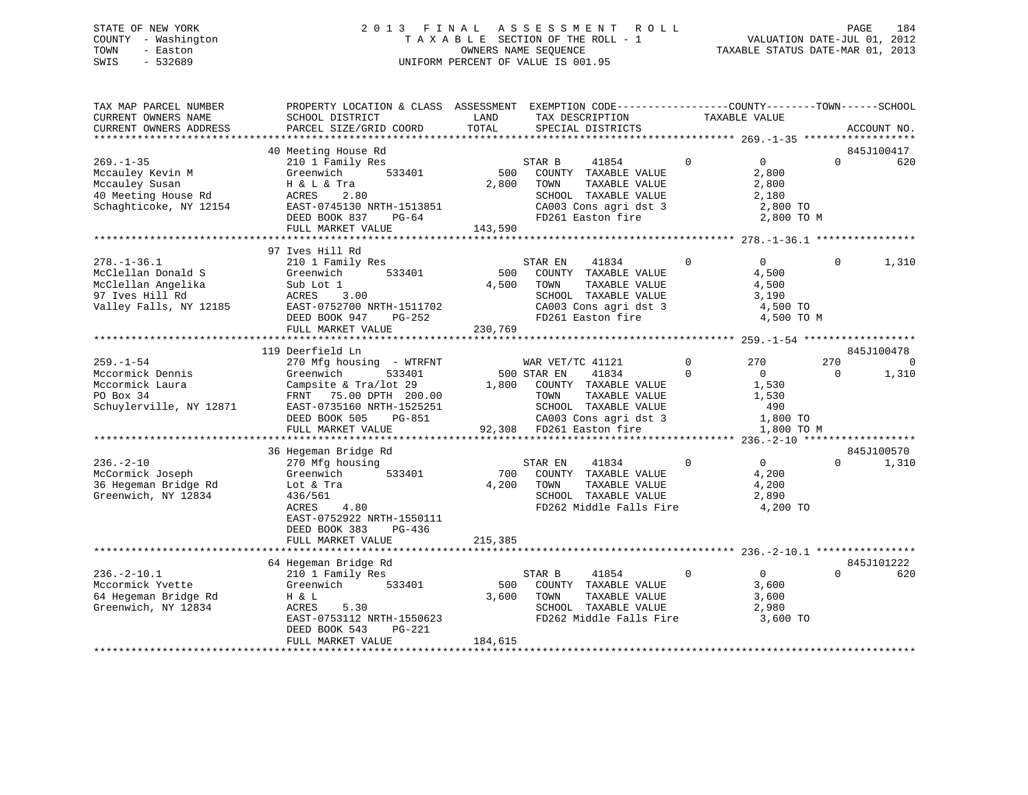# STATE OF NEW YORK 2 0 1 3 F I N A L A S S E S S M E N T R O L L PAGE 184 COUNTY - Washington T A X A B L E SECTION OF THE ROLL - 1 VALUATION DATE-JUL 01, 2012 TOWN - Easton OWNERS NAME SEQUENCE TAXABLE STATUS DATE-MAR 01, 2013 SWIS - 532689 UNIFORM PERCENT OF VALUE IS 001.95

| SCHOOL DISTRICT                                                                                                                                       | LAND                                                                                                                                                                                                               | TAX DESCRIPTION                                                                                                                         |                                                                                                                                                                      |                                                                             |                        | ACCOUNT NO.                                                                                                                                                                                          |
|-------------------------------------------------------------------------------------------------------------------------------------------------------|--------------------------------------------------------------------------------------------------------------------------------------------------------------------------------------------------------------------|-----------------------------------------------------------------------------------------------------------------------------------------|----------------------------------------------------------------------------------------------------------------------------------------------------------------------|-----------------------------------------------------------------------------|------------------------|------------------------------------------------------------------------------------------------------------------------------------------------------------------------------------------------------|
|                                                                                                                                                       |                                                                                                                                                                                                                    |                                                                                                                                         |                                                                                                                                                                      |                                                                             |                        |                                                                                                                                                                                                      |
| 210 1 Family Res<br>533401<br>Greenwich                                                                                                               |                                                                                                                                                                                                                    | STAR B<br>41854<br>COUNTY TAXABLE VALUE                                                                                                 | $\mathbf 0$                                                                                                                                                          | $\overline{0}$<br>2,800                                                     | $\Omega$               | 845J100417<br>620                                                                                                                                                                                    |
| ACRES<br>2.80<br>EAST-0745130 NRTH-1513851<br>DEED BOOK 837<br>PG-64                                                                                  |                                                                                                                                                                                                                    | SCHOOL TAXABLE VALUE<br>FD261 Easton fire                                                                                               |                                                                                                                                                                      | 2,180                                                                       |                        |                                                                                                                                                                                                      |
|                                                                                                                                                       |                                                                                                                                                                                                                    |                                                                                                                                         |                                                                                                                                                                      |                                                                             |                        |                                                                                                                                                                                                      |
| 210 1 Family Res<br>Greenwich<br>533401<br>Sub Lot 1<br>ACRES<br>3.00<br>EAST-0752700 NRTH-1511702<br>PG-252<br>DEED BOOK 947                         | 500                                                                                                                                                                                                                | STAR EN<br>41834<br>COUNTY TAXABLE VALUE<br>TOWN<br>TAXABLE VALUE<br>SCHOOL TAXABLE VALUE<br>CA003 Cons agri dst 3<br>FD261 Easton fire | 0                                                                                                                                                                    | $\Omega$<br>4,500<br>4,500<br>3,190                                         | $\Omega$               | 1,310                                                                                                                                                                                                |
|                                                                                                                                                       |                                                                                                                                                                                                                    |                                                                                                                                         |                                                                                                                                                                      |                                                                             |                        |                                                                                                                                                                                                      |
|                                                                                                                                                       |                                                                                                                                                                                                                    |                                                                                                                                         |                                                                                                                                                                      |                                                                             |                        | 845J100478                                                                                                                                                                                           |
| 270 Mfg housing - WTRFNT<br>533401<br>Greenwich<br>Campsite & Tra/lot 29<br>EAST-0735160 NRTH-1525251<br>DEED BOOK 505<br>PG-851<br>FULL MARKET VALUE |                                                                                                                                                                                                                    | WAR VET/TC 41121<br>41834<br>COUNTY TAXABLE VALUE<br>TAXABLE VALUE<br>TOWN<br>SCHOOL TAXABLE VALUE<br>CA003 Cons agri dst 3             | $\mathbf{0}$<br>$\Omega$                                                                                                                                             | 270<br>$\overline{0}$<br>1,530<br>1,530<br>490                              | 270<br>$\Omega$        | $\overline{0}$<br>1,310                                                                                                                                                                              |
|                                                                                                                                                       |                                                                                                                                                                                                                    |                                                                                                                                         |                                                                                                                                                                      |                                                                             |                        |                                                                                                                                                                                                      |
| 270 Mfg housing<br>Greenwich<br>533401<br>Lot & Tra<br>436/561<br>4.80<br>ACRES<br>EAST-0752922 NRTH-1550111<br>DEED BOOK 383<br>PG-436               |                                                                                                                                                                                                                    | STAR EN<br>41834<br>COUNTY TAXABLE VALUE<br>TAXABLE VALUE<br>TOWN<br>SCHOOL TAXABLE VALUE                                               | $\mathbf 0$                                                                                                                                                          | $0 \qquad \qquad$<br>4,200<br>4,200<br>2,890                                | $\Omega$               | 845J100570<br>1,310                                                                                                                                                                                  |
|                                                                                                                                                       |                                                                                                                                                                                                                    |                                                                                                                                         |                                                                                                                                                                      |                                                                             |                        |                                                                                                                                                                                                      |
|                                                                                                                                                       |                                                                                                                                                                                                                    |                                                                                                                                         |                                                                                                                                                                      |                                                                             |                        | 845J101222                                                                                                                                                                                           |
| 210 1 Family Res<br>Greenwich<br>533401<br>H & L<br>ACRES<br>5.30<br>EAST-0753112 NRTH-1550623<br>DEED BOOK 543<br>PG-221<br>FULL MARKET VALUE        | 3,600<br>184,615                                                                                                                                                                                                   | STAR B<br>41854<br>COUNTY TAXABLE VALUE<br>TAXABLE VALUE<br>TOWN<br>SCHOOL TAXABLE VALUE                                                | $\mathbf{0}$                                                                                                                                                         | $\overline{0}$<br>3,600<br>3,600<br>2,980                                   | $\Omega$               | 620                                                                                                                                                                                                  |
|                                                                                                                                                       | PARCEL SIZE/GRID COORD<br>40 Meeting House Rd<br>H & L & Tra<br>FULL MARKET VALUE<br>97 Ives Hill Rd<br>FULL MARKET VALUE<br>119 Deerfield Ln<br>36 Hegeman Bridge Rd<br>FULL MARKET VALUE<br>64 Hegeman Bridge Rd | TOTAL<br>FRNT 75.00 DPTH 200.00<br>215,385                                                                                              | SPECIAL DISTRICTS<br>500<br>2,800<br>TOWN<br>TAXABLE VALUE<br>143,590<br>4,500<br>230,769<br>500 STAR EN<br>1,800<br>92,308 FD261 Easton fire<br>700<br>4,200<br>500 | CA003 Cons agri dst 3<br>FD262 Middle Falls Fire<br>FD262 Middle Falls Fire | TAXABLE VALUE<br>2,800 | PROPERTY LOCATION & CLASS ASSESSMENT EXEMPTION CODE---------------COUNTY-------TOWN-----SCHOOL<br>2,800 TO<br>2,800 TO M<br>4,500 TO<br>4,500 TO M<br>1,800 TO<br>1,800 TO M<br>4,200 TO<br>3,600 TO |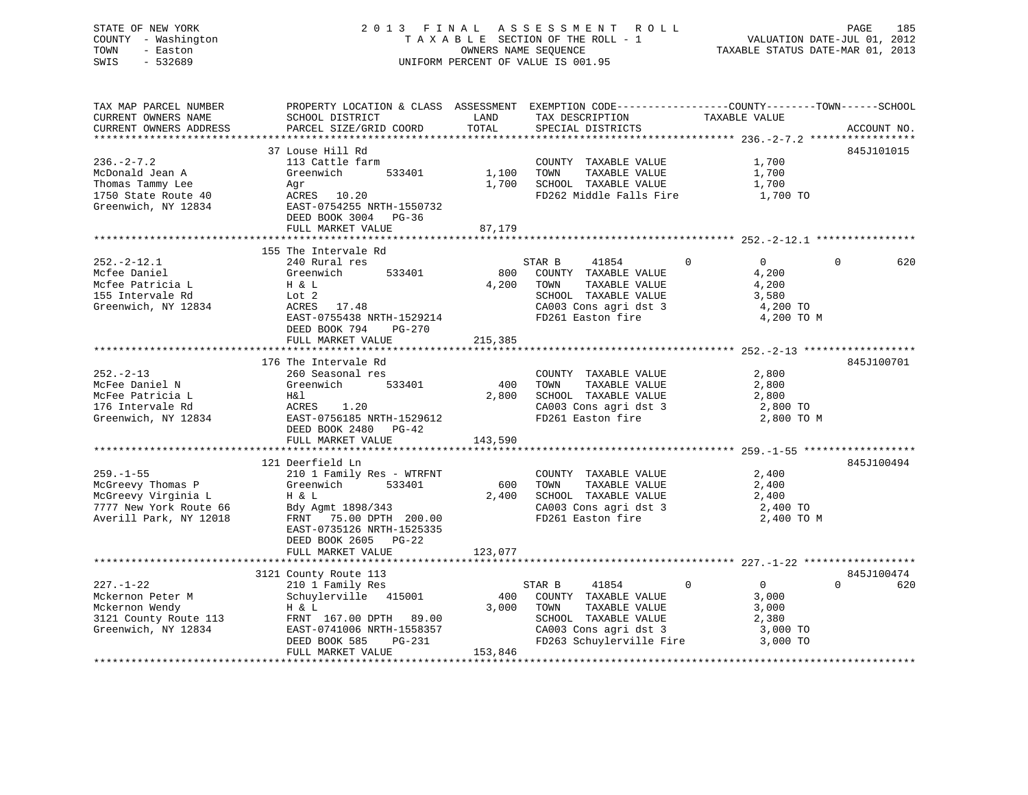STATE OF NEW YORK 2 0 1 3 F I N A L A S S E S S M E N T R O L L PAGE 185COUNTY - Washington  $T A X A B L E$  SECTION OF THE ROLL - 1<br>TOWN - Easton DATE-JUL 2012 OWNERS NAME SEQUENCE SWIS - 532689 UNIFORM PERCENT OF VALUE IS 001.95

VALUATION DATE-JUL 01, 2012

TAXABLE STATUS DATE-MAR 01, 2013

| TAX MAP PARCEL NUMBER  | PROPERTY LOCATION & CLASS ASSESSMENT EXEMPTION CODE---------------COUNTY-------TOWN-----SCHOOL |            |                          |                                |                 |
|------------------------|------------------------------------------------------------------------------------------------|------------|--------------------------|--------------------------------|-----------------|
| CURRENT OWNERS NAME    | SCHOOL DISTRICT                                                                                | LAND       | TAX DESCRIPTION          | TAXABLE VALUE                  |                 |
| CURRENT OWNERS ADDRESS | PARCEL SIZE/GRID COORD                                                                         | TOTAL      | SPECIAL DISTRICTS        |                                | ACCOUNT NO.     |
|                        |                                                                                                |            |                          |                                |                 |
|                        | 37 Louse Hill Rd                                                                               |            |                          |                                | 845J101015      |
| $236. -2 - 7.2$        | 113 Cattle farm                                                                                |            | COUNTY TAXABLE VALUE     | 1,700                          |                 |
| McDonald Jean A        | Greenwich<br>533401                                                                            | 1,100 TOWN | TAXABLE VALUE            | 1,700                          |                 |
| Thomas Tammy Lee       | Agr                                                                                            | 1,700      | SCHOOL TAXABLE VALUE     | 1,700                          |                 |
| 1750 State Route 40    | ACRES 10.20                                                                                    |            | FD262 Middle Falls Fire  | 1,700 TO                       |                 |
| Greenwich, NY 12834    | EAST-0754255 NRTH-1550732                                                                      |            |                          |                                |                 |
|                        | DEED BOOK 3004 PG-36                                                                           |            |                          |                                |                 |
|                        | FULL MARKET VALUE                                                                              | 87,179     |                          |                                |                 |
|                        |                                                                                                |            |                          |                                |                 |
|                        | 155 The Intervale Rd                                                                           |            |                          |                                |                 |
| $252. - 2 - 12.1$      | 240 Rural res                                                                                  |            | STAR B<br>41854          | $\Omega$<br>$\Omega$           | $\Omega$<br>620 |
| Mcfee Daniel           | 533401<br>Greenwich                                                                            | 800        | COUNTY TAXABLE VALUE     | 4,200                          |                 |
| Mcfee Patricia L       | H & L                                                                                          | 4,200      | TOWN<br>TAXABLE VALUE    | 4,200                          |                 |
| 155 Intervale Rd       | Lot 2                                                                                          |            | SCHOOL TAXABLE VALUE     | 3,580                          |                 |
| Greenwich, NY 12834    | ACRES 17.48                                                                                    |            | CA003 Cons agri dst 3    | 4,200 TO                       |                 |
|                        | EAST-0755438 NRTH-1529214                                                                      |            | FD261 Easton fire        | 4,200 TO M                     |                 |
|                        | DEED BOOK 794<br>$PG-270$                                                                      |            |                          |                                |                 |
|                        | FULL MARKET VALUE                                                                              | 215,385    |                          |                                |                 |
|                        |                                                                                                |            |                          |                                |                 |
|                        | 176 The Intervale Rd                                                                           |            |                          |                                | 845J100701      |
| $252 - 2 - 13$         | 260 Seasonal res                                                                               |            | COUNTY TAXABLE VALUE     | 2,800                          |                 |
| McFee Daniel N         | Greenwich<br>533401                                                                            | 400        | TAXABLE VALUE<br>TOWN    | 2,800                          |                 |
| McFee Patricia L       | H&l                                                                                            | 2,800      | SCHOOL TAXABLE VALUE     | 2,800                          |                 |
| 176 Intervale Rd       | ACRES 1.20                                                                                     |            | CA003 Cons agri dst 3    | 2,800 TO                       |                 |
| Greenwich, NY 12834    | EAST-0756185 NRTH-1529612                                                                      |            | FD261 Easton fire        | 2,800 TO M                     |                 |
|                        | DEED BOOK 2480 PG-42                                                                           |            |                          |                                |                 |
|                        | FULL MARKET VALUE                                                                              | 143,590    |                          |                                |                 |
|                        |                                                                                                |            |                          |                                |                 |
|                        | 121 Deerfield Ln                                                                               |            |                          |                                | 845J100494      |
| $259. - 1 - 55$        | 210 1 Family Res - WTRFNT                                                                      |            | COUNTY TAXABLE VALUE     | 2,400                          |                 |
| McGreevy Thomas P      | Greenwich<br>533401                                                                            | 600        | TAXABLE VALUE<br>TOWN    | 2,400                          |                 |
| McGreevy Virginia L    | H & L                                                                                          | 2,400      | SCHOOL TAXABLE VALUE     | 2,400                          |                 |
| 7777 New York Route 66 | Bdy Agmt 1898/343                                                                              |            | CA003 Cons agri dst 3    | 2,400 TO                       |                 |
| Averill Park, NY 12018 | FRNT 75.00 DPTH 200.00                                                                         |            | FD261 Easton fire        | 2,400 TO M                     |                 |
|                        | EAST-0735126 NRTH-1525335                                                                      |            |                          |                                |                 |
|                        | DEED BOOK 2605 PG-22                                                                           |            |                          |                                |                 |
|                        | FULL MARKET VALUE                                                                              | 123,077    |                          |                                |                 |
|                        |                                                                                                |            |                          |                                |                 |
|                        | 3121 County Route 113                                                                          |            |                          |                                | 845J100474      |
| $227. - 1 - 22$        | 210 1 Family Res                                                                               |            | STAR B<br>41854          | $\mathsf{O}$<br>$\overline{0}$ | $\Omega$<br>620 |
| Mckernon Peter M       | Schuylerville 415001                                                                           | 400        | COUNTY TAXABLE VALUE     | 3,000                          |                 |
| Mckernon Wendy         | H & L                                                                                          | 3,000      | TOWN<br>TAXABLE VALUE    | 3,000                          |                 |
| 3121 County Route 113  | FRNT 167.00 DPTH 89.00                                                                         |            | SCHOOL TAXABLE VALUE     | 2,380                          |                 |
| Greenwich, NY 12834    | EAST-0741006 NRTH-1558357                                                                      |            | CA003 Cons agri dst 3    | 3,000 TO                       |                 |
|                        | DEED BOOK 585<br>PG-231                                                                        |            | FD263 Schuylerville Fire | 3,000 TO                       |                 |
|                        | FULL MARKET VALUE                                                                              | 153,846    |                          |                                |                 |
|                        |                                                                                                |            |                          |                                |                 |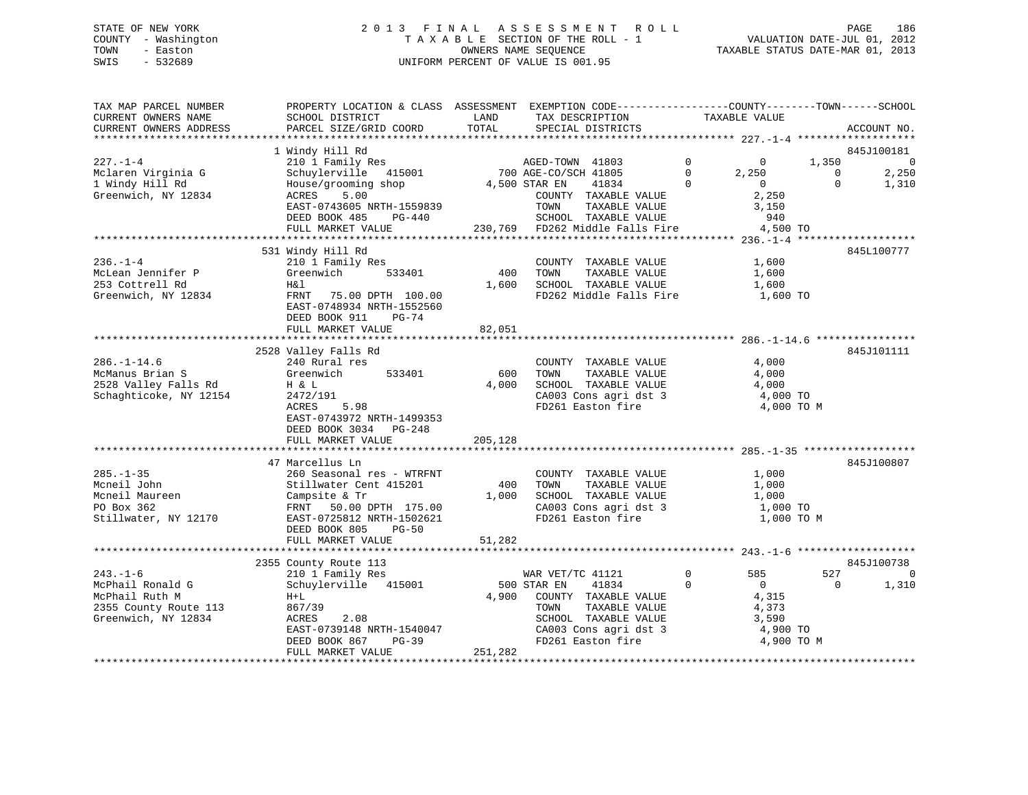# STATE OF NEW YORK 2 0 1 3 F I N A L A S S E S S M E N T R O L L PAGE 186 COUNTY - Washington T A X A B L E SECTION OF THE ROLL - 1 VALUATION DATE-JUL 01, 2012 TOWN - Easton OWNERS NAME SEQUENCE TAXABLE STATUS DATE-MAR 01, 2013 SWIS - 532689 UNIFORM PERCENT OF VALUE IS 001.95

| TAX MAP PARCEL NUMBER<br>CURRENT OWNERS NAME<br>CURRENT OWNERS ADDRESS                 | PROPERTY LOCATION & CLASS ASSESSMENT EXEMPTION CODE----------------COUNTY-------TOWN------SCHOOL<br>SCHOOL DISTRICT<br>PARCEL SIZE/GRID COORD           | LAND<br>TOTAL | TAX DESCRIPTION<br>SPECIAL DISTRICTS                                                                                | TAXABLE VALUE                                               |                   | ACCOUNT NO.             |
|----------------------------------------------------------------------------------------|---------------------------------------------------------------------------------------------------------------------------------------------------------|---------------|---------------------------------------------------------------------------------------------------------------------|-------------------------------------------------------------|-------------------|-------------------------|
|                                                                                        | 1 Windy Hill Rd                                                                                                                                         |               |                                                                                                                     |                                                             |                   | 845J100181              |
| $227. - 1 - 4$<br>Mclaren Virginia G                                                   | 210 1 Family Res<br>Schuylerville 415001                                                                                                                |               | AGED-TOWN 41803<br>700 AGE-CO/SCH 41805                                                                             | $\overline{0}$<br>$\overline{0}$<br>$\overline{0}$<br>2,250 | 1,350<br>$\Omega$ | $\overline{0}$<br>2,250 |
| 1 Windy Hill Rd<br>Greenwich, NY 12834                                                 | House/grooming shop<br>5.00<br>ACRES<br>EAST-0743605 NRTH-1559839<br>DEED BOOK 485 PG-440                                                               | 4,500 STAR EN | 41834<br>COUNTY TAXABLE VALUE<br>TOWN<br>TAXABLE VALUE<br>SCHOOL TAXABLE VALUE                                      | $\Omega$<br>$\overline{0}$<br>2,250<br>3,150<br>940         | $\Omega$          | 1,310                   |
|                                                                                        | FULL MARKET VALUE                                                                                                                                       |               | 230,769 FD262 Middle Falls Fire                                                                                     | 4,500 TO                                                    |                   |                         |
|                                                                                        | 531 Windy Hill Rd                                                                                                                                       |               |                                                                                                                     |                                                             |                   | 845L100777              |
| $236. - 1 - 4$<br>McLean Jennifer P<br>253 Cottrell Rd<br>Greenwich, NY 12834          | 210 1 Family Res<br>Greenwich<br>533401<br>Η&l<br>FRNT 75.00 DPTH 100.00<br>EAST-0748934 NRTH-1552560<br>DEED BOOK 911<br><b>PG-74</b>                  | 400<br>1,600  | COUNTY TAXABLE VALUE<br>TAXABLE VALUE<br>TOWN<br>SCHOOL TAXABLE VALUE<br>FD262 Middle Falls Fire 1,600 TO           | 1,600<br>1,600<br>1,600                                     |                   |                         |
|                                                                                        | FULL MARKET VALUE                                                                                                                                       | 82,051        |                                                                                                                     |                                                             |                   |                         |
|                                                                                        |                                                                                                                                                         |               |                                                                                                                     |                                                             |                   |                         |
|                                                                                        | 2528 Valley Falls Rd                                                                                                                                    |               |                                                                                                                     |                                                             |                   | 845J101111              |
| $286. - 1 - 14.6$                                                                      | 240 Rural res                                                                                                                                           |               | COUNTY TAXABLE VALUE                                                                                                | 4,000                                                       |                   |                         |
| McManus Brian S                                                                        | 533401<br>Greenwich                                                                                                                                     | 600           | TOWN<br>TAXABLE VALUE                                                                                               | 4,000                                                       |                   |                         |
| 2528 Valley Falls Rd                                                                   | H & L                                                                                                                                                   | 4,000         | SCHOOL TAXABLE VALUE<br>CA003 Cons agri dst 3                                                                       | 4,000                                                       |                   |                         |
| Schaghticoke, NY 12154                                                                 | 2472/191<br>ACRES<br>5.98<br>EAST-0743972 NRTH-1499353<br>DEED BOOK 3034 PG-248<br>FULL MARKET VALUE                                                    | 205,128       | FD261 Easton fire                                                                                                   | 4,000 TO<br>4,000 TO M                                      |                   |                         |
|                                                                                        |                                                                                                                                                         |               |                                                                                                                     |                                                             |                   |                         |
|                                                                                        | 47 Marcellus Ln                                                                                                                                         |               |                                                                                                                     |                                                             |                   | 845J100807              |
| $285. - 1 - 35$<br>Mcneil John<br>Mcneil Maureen<br>PO Box 362<br>Stillwater, NY 12170 | 260 Seasonal res - WTRFNT<br>Stillwater Cent 415201<br>Campsite & Tr<br>FRNT 50.00 DPTH 175.00<br>EAST-0725812 NRTH-1502621<br>DEED BOOK 805<br>$PG-50$ | 400<br>1,000  | COUNTY TAXABLE VALUE<br>TAXABLE VALUE<br>TOWN<br>SCHOOL TAXABLE VALUE<br>CA003 Cons agri dst 3<br>FD261 Easton fire | 1,000<br>1,000<br>1,000<br>1,000 TO<br>1,000 TO M           |                   |                         |
|                                                                                        | FULL MARKET VALUE                                                                                                                                       | 51,282        |                                                                                                                     |                                                             |                   |                         |
|                                                                                        |                                                                                                                                                         |               |                                                                                                                     |                                                             |                   |                         |
|                                                                                        | 2355 County Route 113                                                                                                                                   |               |                                                                                                                     |                                                             |                   | 845J100738              |
| $243. - 1 - 6$                                                                         | 210 1 Family Res                                                                                                                                        |               | WAR VET/TC 41121                                                                                                    | $\mathbf 0$<br>585                                          | 527               | $\Omega$                |
| McPhail Ronald G                                                                       | Schuylerville 415001                                                                                                                                    |               | 500 STAR EN<br>41834                                                                                                | $\mathbf 0$<br>$\overline{0}$                               | $\Omega$          | 1,310                   |
| McPhail Ruth M                                                                         | $H+L$                                                                                                                                                   |               | 4,900 COUNTY TAXABLE VALUE                                                                                          | 4,315                                                       |                   |                         |
| 2355 County Route 113<br>Greenwich, NY 12834                                           | 867/39<br>ACRES<br>2.08                                                                                                                                 |               | TOWN<br>TAXABLE VALUE<br>SCHOOL TAXABLE VALUE                                                                       | 4,373<br>3,590                                              |                   |                         |
|                                                                                        | EAST-0739148 NRTH-1540047                                                                                                                               |               | CA003 Cons agri dst 3                                                                                               | 4,900 TO                                                    |                   |                         |
|                                                                                        | DEED BOOK 867<br>PG-39                                                                                                                                  |               | FD261 Easton fire                                                                                                   | 4,900 TO M                                                  |                   |                         |
|                                                                                        | FULL MARKET VALUE                                                                                                                                       | 251,282       |                                                                                                                     |                                                             |                   |                         |
|                                                                                        |                                                                                                                                                         |               |                                                                                                                     |                                                             |                   |                         |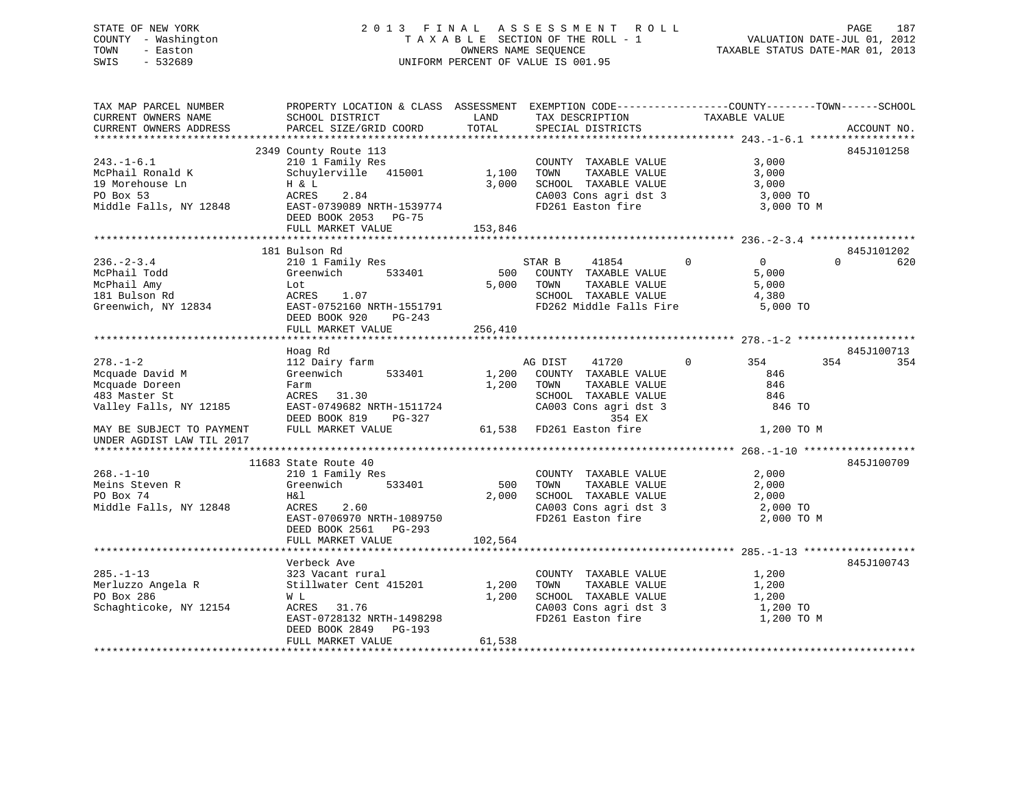# STATE OF NEW YORK 2 0 1 3 F I N A L A S S E S S M E N T R O L L PAGE 187 COUNTY - Washington T A X A B L E SECTION OF THE ROLL - 1 VALUATION DATE-JUL 01, 2012 TOWN - Easton **CONNERS NAME SEQUENCE** TAXABLE STATUS DATE-MAR 01, 2013 SWIS - 532689 UNIFORM PERCENT OF VALUE IS 001.95

| TAX MAP PARCEL NUMBER                            | PROPERTY LOCATION & CLASS ASSESSMENT EXEMPTION CODE---------------COUNTY-------TOWN------SCHOOL |         |                                                                                |                       |                 |
|--------------------------------------------------|-------------------------------------------------------------------------------------------------|---------|--------------------------------------------------------------------------------|-----------------------|-----------------|
| CURRENT OWNERS NAME                              | SCHOOL DISTRICT                                                                                 | LAND    | TAX DESCRIPTION                                                                | TAXABLE VALUE         |                 |
| CURRENT OWNERS ADDRESS                           | PARCEL SIZE/GRID COORD                                                                          | TOTAL   | SPECIAL DISTRICTS                                                              |                       | ACCOUNT NO.     |
|                                                  |                                                                                                 |         |                                                                                |                       |                 |
|                                                  | 2349 County Route 113                                                                           |         |                                                                                |                       | 845J101258      |
| $243. - 1 - 6.1$                                 | 210 1 Family Res                                                                                |         | COUNTY TAXABLE VALUE                                                           | 3,000                 |                 |
| McPhail Ronald K                                 | Schuylerville 415001 1,100                                                                      |         | TAXABLE VALUE<br>TOWN                                                          | 3,000                 |                 |
| 19 Morehouse Ln                                  | H & L                                                                                           | 3,000   | SCHOOL TAXABLE VALUE                                                           | 3,000                 |                 |
| PO Box 53                                        | ACRES<br>2.84                                                                                   |         | CA003 Cons agri dst 3 3,000 TO                                                 |                       |                 |
| Middle Falls, NY 12848                           | EAST-0739089 NRTH-1539774                                                                       |         | FD261 Easton fire                                                              | 3,000 TO M            |                 |
|                                                  | DEED BOOK 2053 PG-75                                                                            |         |                                                                                |                       |                 |
|                                                  | FULL MARKET VALUE                                                                               | 153,846 |                                                                                |                       |                 |
|                                                  |                                                                                                 |         |                                                                                |                       |                 |
|                                                  | 181 Bulson Rd                                                                                   |         |                                                                                |                       | 845J101202      |
| $236. - 2 - 3.4$                                 | 210 1 Family Res                                                                                |         | STAR B<br>41854                                                                | $\Omega$<br>$\Omega$  | $\Omega$<br>620 |
| McPhail Todd                                     | Greenwich<br>533401                                                                             | 500     | COUNTY TAXABLE VALUE                                                           | 5,000                 |                 |
| McPhail Amy                                      | Lot                                                                                             | 5,000   | TOWN<br>TAXABLE VALUE                                                          | 5,000                 |                 |
| 181 Bulson Rd                                    | ACRES 1.07                                                                                      |         |                                                                                | 4,380                 |                 |
| Greenwich, NY 12834                              | EAST-0752160 NRTH-1551791                                                                       |         | SCHOOL TAXABLE VALUE<br>FD262 Middle Falls Fire                                | 5,000 TO              |                 |
|                                                  | DEED BOOK 920<br>PG-243                                                                         |         |                                                                                |                       |                 |
|                                                  | FULL MARKET VALUE                                                                               | 256,410 |                                                                                |                       |                 |
|                                                  |                                                                                                 |         |                                                                                |                       |                 |
|                                                  | Hoag Rd                                                                                         |         |                                                                                |                       | 845J100713      |
| $278. - 1 - 2$                                   | 112 Dairy farm                                                                                  |         | 41720<br>AG DIST                                                               | $\overline{0}$<br>354 | 354<br>354      |
| Mcquade David M                                  | Greenwich<br>533401                                                                             | 1,200   | COUNTY TAXABLE VALUE                                                           | 846                   |                 |
|                                                  |                                                                                                 |         |                                                                                | 846                   |                 |
| Mcquade Doreen                                   | Farm                                                                                            | 1,200   | TOWN<br>TAXABLE VALUE<br>TOWN       TAXABLE  VALUE<br>SCHOOL    TAXABLE  VALUE |                       |                 |
| 483 Master St                                    | ACRES 31.30                                                                                     |         |                                                                                | 846                   |                 |
| Valley Falls, NY 12185 EAST-0749682 NRTH-1511724 |                                                                                                 |         | CA003 Cons agri dst 3                                                          | 846 TO                |                 |
|                                                  | DEED BOOK 819<br>PG-327                                                                         |         | 354 EX                                                                         |                       |                 |
| MAY BE SUBJECT TO PAYMENT FULL MARKET VALUE      |                                                                                                 |         | 61,538 FD261 Easton fire                                                       | 1,200 TO M            |                 |
| UNDER AGDIST LAW TIL 2017                        |                                                                                                 |         |                                                                                |                       |                 |
|                                                  |                                                                                                 |         |                                                                                |                       |                 |
|                                                  | 11683 State Route 40                                                                            |         |                                                                                |                       | 845J100709      |
| $268. - 1 - 10$                                  | 210 1 Family Res                                                                                |         | COUNTY TAXABLE VALUE                                                           | 2,000                 |                 |
| Meins Steven R                                   | Greenwich<br>533401                                                                             | 500     | TOWN<br>TAXABLE VALUE                                                          | 2,000                 |                 |
| PO Box 74                                        | H&l                                                                                             | 2,000   | SCHOOL TAXABLE VALUE 2,000                                                     |                       |                 |
| Middle Falls, NY 12848                           | 2.60<br>ACRES                                                                                   |         | CA003 Cons agri dst 3<br>FD261 Easton fire                                     | 2,000 TO              |                 |
|                                                  | EAST-0706970 NRTH-1089750                                                                       |         |                                                                                | 2,000 TO M            |                 |
|                                                  | DEED BOOK 2561 PG-293                                                                           |         |                                                                                |                       |                 |
|                                                  | FULL MARKET VALUE                                                                               | 102,564 |                                                                                |                       |                 |
|                                                  |                                                                                                 |         |                                                                                |                       |                 |
|                                                  | Verbeck Ave                                                                                     |         |                                                                                |                       | 845J100743      |
| $285. - 1 - 13$                                  | 323 Vacant rural                                                                                |         | COUNTY TAXABLE VALUE                                                           | 1,200                 |                 |
| Merluzzo Angela R                                | Stillwater Cent 415201 1,200                                                                    |         | TOWN<br>TAXABLE VALUE                                                          | 1,200                 |                 |
| PO Box 286                                       | W L                                                                                             | 1,200   | SCHOOL TAXABLE VALUE                                                           | 1,200                 |                 |
| Schaghticoke, NY 12154                           | ACRES 31.76                                                                                     |         | CA003 Cons agri dst 3                                                          | 1,200 TO              |                 |
|                                                  | EAST-0728132 NRTH-1498298                                                                       |         | FD261 Easton fire                                                              | 1,200 TO M            |                 |
|                                                  | DEED BOOK 2849 PG-193                                                                           |         |                                                                                |                       |                 |
|                                                  | FULL MARKET VALUE                                                                               | 61,538  |                                                                                |                       |                 |
|                                                  |                                                                                                 |         |                                                                                |                       |                 |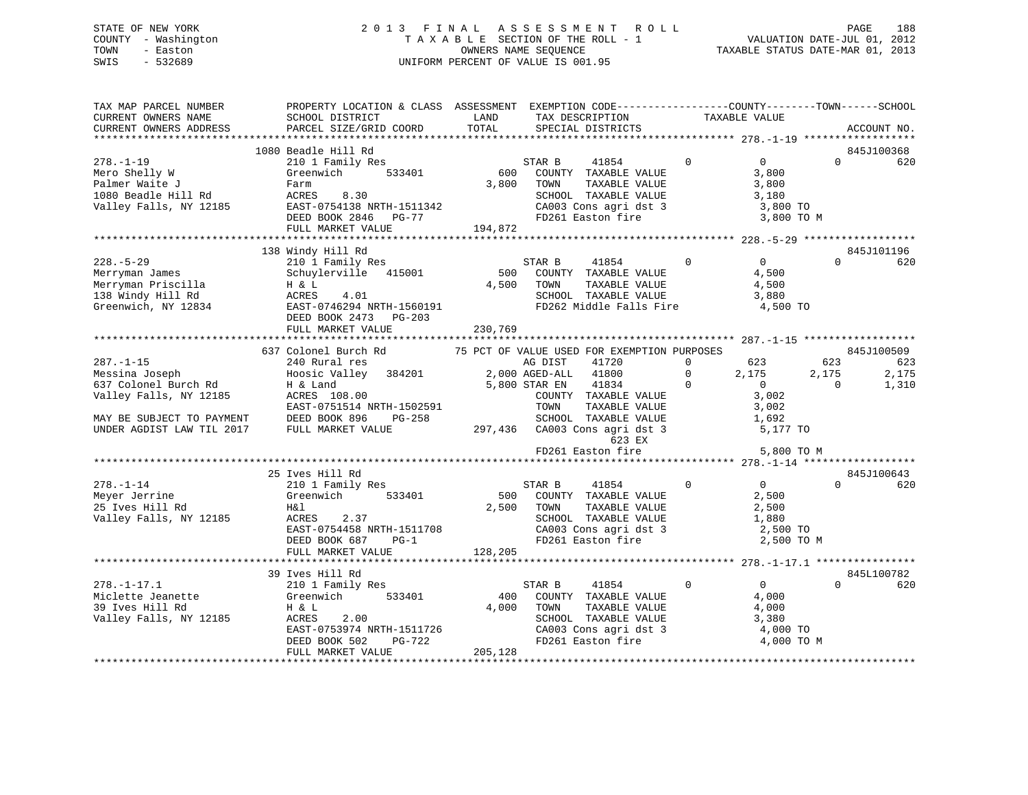# STATE OF NEW YORK 2 0 1 3 F I N A L A S S E S S M E N T R O L L PAGE 188 COUNTY - Washington T A X A B L E SECTION OF THE ROLL - 1 VALUATION DATE-JUL 01, 2012 TOWN - Easton OWNERS NAME SEQUENCE TAXABLE STATUS DATE-MAR 01, 2013 SWIS - 532689 UNIFORM PERCENT OF VALUE IS 001.95

| TAX MAP PARCEL NUMBER<br>CURRENT OWNERS NAME<br>CURRENT OWNERS ADDRESS                                                                        | PROPERTY LOCATION & CLASS ASSESSMENT EXEMPTION CODE----------------COUNTY-------TOWN------SCHOOL<br>SCHOOL DISTRICT<br>PARCEL SIZE/GRID COORD                         | LAND<br>TOTAL           | TAX DESCRIPTION<br>SPECIAL DISTRICTS                                                                                                                                                                           | TAXABLE VALUE                                                                                                   |                                        | ACCOUNT NO.           |
|-----------------------------------------------------------------------------------------------------------------------------------------------|-----------------------------------------------------------------------------------------------------------------------------------------------------------------------|-------------------------|----------------------------------------------------------------------------------------------------------------------------------------------------------------------------------------------------------------|-----------------------------------------------------------------------------------------------------------------|----------------------------------------|-----------------------|
|                                                                                                                                               |                                                                                                                                                                       |                         |                                                                                                                                                                                                                |                                                                                                                 |                                        |                       |
| $278. - 1 - 19$<br>Mero Shelly W<br>Palmer Waite J<br>1080 Beadle Hill Rd<br>Valley Falls, NY 12185                                           | 1080 Beadle Hill Rd<br>210 1 Family Res<br>533401<br>Greenwich<br>Farm<br>ACRES<br>8.30<br>EAST-0754138 NRTH-1511342<br>DEED BOOK 2846 PG-77                          | 600<br>3,800            | STAR B<br>41854<br>COUNTY TAXABLE VALUE<br>TOWN<br>TAXABLE VALUE<br>SCHOOL TAXABLE VALUE<br>CA003 Cons agri dst 3<br>FD261 Easton fire                                                                         | $\Omega$<br>$\overline{0}$<br>3,800<br>3,800<br>3,180<br>3,800 TO                                               | $\Omega$<br>3,800 TO M                 | 845J100368<br>620     |
|                                                                                                                                               | FULL MARKET VALUE                                                                                                                                                     | 194,872                 |                                                                                                                                                                                                                |                                                                                                                 |                                        |                       |
| $228. - 5 - 29$<br>Merryman James<br>Merryman Priscilla<br>138 Windy Hill Rd<br>Greenwich, NY 12834                                           | 138 Windy Hill Rd<br>210 1 Family Res<br>Schuylerville<br>415001<br>H & L<br>4.01<br>ACRES<br>EAST-0746294 NRTH-1560191<br>DEED BOOK 2473 PG-203<br>FULL MARKET VALUE | 500<br>4,500<br>230,769 | STAR B<br>41854<br>COUNTY TAXABLE VALUE<br>TOWN<br>TAXABLE VALUE<br>SCHOOL TAXABLE VALUE<br>FD262 Middle Falls Fire                                                                                            | $\Omega$<br>$\Omega$<br>4,500<br>4,500<br>3,880<br>4,500 TO                                                     | $\Omega$                               | 845J101196<br>620     |
|                                                                                                                                               | 637 Colonel Burch Rd                                                                                                                                                  |                         | 75 PCT OF VALUE USED FOR EXEMPTION PURPOSES                                                                                                                                                                    |                                                                                                                 |                                        | 845J100509            |
| $287. - 1 - 15$<br>Messina Joseph<br>637 Colonel Burch Rd<br>Valley Falls, NY 12185<br>MAY BE SUBJECT TO PAYMENT<br>UNDER AGDIST LAW TIL 2017 | 240 Rural res<br>Hoosic Valley<br>384201<br>H & Land<br>ACRES 108.00<br>EAST-0751514 NRTH-1502591<br>DEED BOOK 896<br>PG-258<br>FULL MARKET VALUE                     |                         | AG DIST<br>41720<br>2,000 AGED-ALL<br>41800<br>5,800 STAR EN<br>41834<br>COUNTY TAXABLE VALUE<br>TOWN<br>TAXABLE VALUE<br>SCHOOL TAXABLE VALUE<br>297,436 CA003 Cons agri dst 3<br>623 EX<br>FD261 Easton fire | 623<br>$\mathbf 0$<br>$\Omega$<br>2,175<br>$\overline{0}$<br>$\mathbf 0$<br>3,002<br>3,002<br>1,692<br>5,177 TO | 623<br>2,175<br>$\Omega$<br>5,800 TO M | 623<br>2,175<br>1,310 |
|                                                                                                                                               | 25 Ives Hill Rd                                                                                                                                                       |                         |                                                                                                                                                                                                                |                                                                                                                 |                                        | 845J100643            |
| $278. - 1 - 14$<br>Meyer Jerrine<br>25 Ives Hill Rd<br>Valley Falls, NY 12185                                                                 | 210 1 Family Res<br>Greenwich<br>533401<br>H&l<br>2.37<br>ACRES<br>EAST-0754458 NRTH-1511708<br>DEED BOOK 687<br>$PG-1$<br>FULL MARKET VALUE                          | 500<br>2,500<br>128,205 | STAR B<br>41854<br>COUNTY TAXABLE VALUE<br>TOWN<br>TAXABLE VALUE<br>SCHOOL TAXABLE VALUE<br>CA003 Cons agri dst 3<br>FD261 Easton fire                                                                         | $\Omega$<br>$\overline{0}$<br>2,500<br>2,500<br>1,880<br>2,500 TO                                               | $\cap$<br>2,500 TO M                   | 620                   |
|                                                                                                                                               |                                                                                                                                                                       |                         |                                                                                                                                                                                                                |                                                                                                                 |                                        |                       |
| $278. - 1 - 17.1$                                                                                                                             | 39 Ives Hill Rd<br>210 1 Family Res                                                                                                                                   |                         | 41854<br>STAR B                                                                                                                                                                                                | $\overline{0}$<br>$\Omega$                                                                                      | $\Omega$                               | 845L100782<br>620     |
| Miclette Jeanette<br>39 Ives Hill Rd<br>Valley Falls, NY 12185                                                                                | 533401<br>Greenwich<br>H & L<br>ACRES<br>2.00<br>EAST-0753974 NRTH-1511726<br>DEED BOOK 502<br>PG-722<br>FULL MARKET VALUE                                            | 400<br>4,000<br>205,128 | COUNTY TAXABLE VALUE<br>TAXABLE VALUE<br>TOWN<br>SCHOOL TAXABLE VALUE<br>CA003 Cons agri dst 3<br>FD261 Easton fire                                                                                            | 4,000<br>4,000<br>3,380<br>4,000 TO                                                                             | 4,000 TO M                             |                       |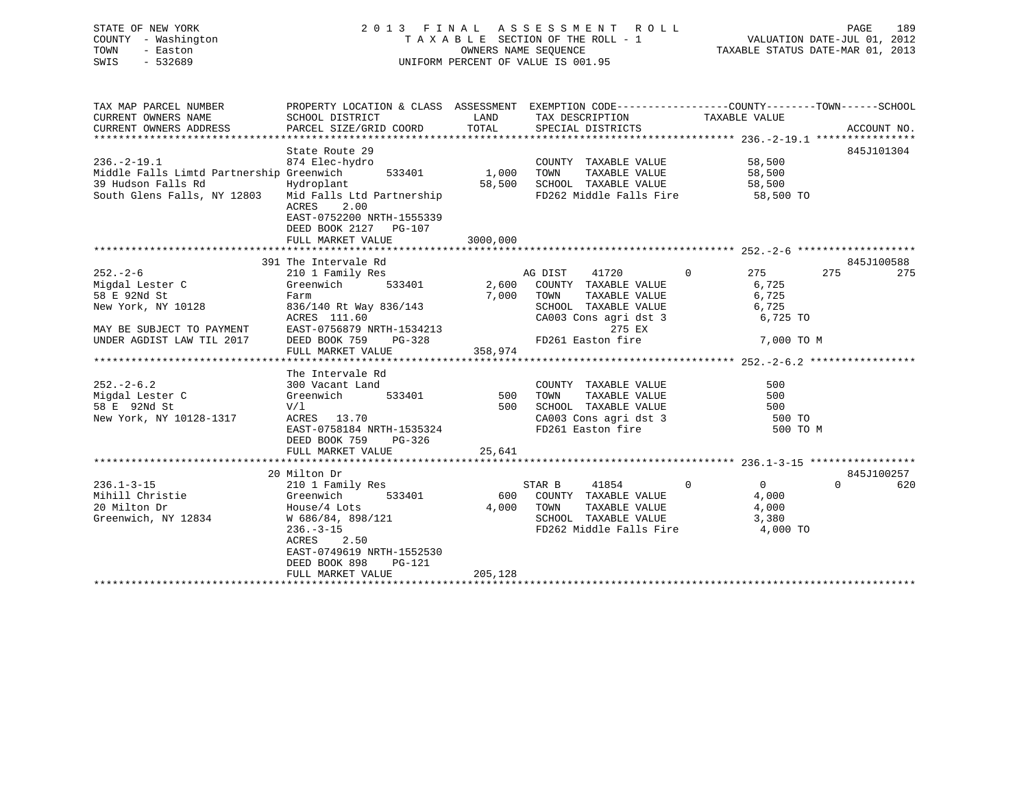| STATE OF NEW YORK<br>COUNTY - Washington<br>TOWN<br>- Easton<br>SWIS - 532689                                                                                                                                                                    |                                                                                                                                                                                                                                                                                                                                                                        | $\begin{tabular}{lllllllllllll} \multicolumn{3}{c}{2\ 0\ 1\ 3\quad & $\mathbf{F}\ \text{I}\ \text{N}\ \text{A}\ \text{L}\ & \text{A}\ \text{S}\ \text{S}\ \text{E}\ & \text{S}\ \text{S}\ & \text{M}\ \text{E}\ & \text{T}\ \text{A}\ \text{X}\ \text{A}\ \text{B}\ \text{L}\ & \text{E}\ & \text{SECTION OF THE ROLL} \ -\ 1 & & & \text{VALUATION DATE-JUL 01, 2012} \\ & & & & \text{OWNERS NAME SEQUENCE} & & \text{TAXABLE STATUS DATE-MAR 01, 2013} \\ &$ |                        |                   |
|--------------------------------------------------------------------------------------------------------------------------------------------------------------------------------------------------------------------------------------------------|------------------------------------------------------------------------------------------------------------------------------------------------------------------------------------------------------------------------------------------------------------------------------------------------------------------------------------------------------------------------|-----------------------------------------------------------------------------------------------------------------------------------------------------------------------------------------------------------------------------------------------------------------------------------------------------------------------------------------------------------------------------------------------------------------------------------------------------------------|------------------------|-------------------|
|                                                                                                                                                                                                                                                  |                                                                                                                                                                                                                                                                                                                                                                        |                                                                                                                                                                                                                                                                                                                                                                                                                                                                 |                        |                   |
| State Route 29<br>874 Elec-hydro<br>Middle Falls Limtd Partnership Greenwich<br>39 Hudson Falls Rd<br>South Glens Falls, NY 12803<br>Mid Falls Ltd Partnership<br>Mid Falls Ltd Partnership<br>2000 FD262 Middle Falls Fire<br>58,500<br>FD262 M | ACRES 2.00<br>EAST-0752200 NRTH-1555339<br>DEED BOOK 2127 PG-107                                                                                                                                                                                                                                                                                                       | FD262 Middle Falls Fire 58,500 TO                                                                                                                                                                                                                                                                                                                                                                                                                               |                        | 845J101304        |
|                                                                                                                                                                                                                                                  |                                                                                                                                                                                                                                                                                                                                                                        |                                                                                                                                                                                                                                                                                                                                                                                                                                                                 |                        |                   |
| $252 - 2 - 6$<br>Migdal Lester C<br>58 E 92Nd St<br>New York, NY 10128                                                                                                                                                                           | 391 The Intervale Rd<br>210 1 Family Res<br>Greenwich 533401 2,600 COUNTY TAXABLE VALUE 6,725<br>2,600 COUNTY TAXABLE VALUE 6,725<br>Farm $= 7,000$ TOWN TAXABLE VALUE (ALUE 6,725<br>836/140 Rt Way 836/143 SCHOOL TAXABLE VALUE 6,725<br>ACRES 111.60 CA003 Cons agri dst 3 6,725<br>EAST-0756879 NRTH-1534213 275 EX 275 EX 275 PG-328 FD261 Easton fire 7,000 TO M | AG DIST 41720 0 275 275                                                                                                                                                                                                                                                                                                                                                                                                                                         |                        | 845J100588<br>275 |
| MAY BE SUBJECT TO PAYMENT<br>UNDER AGDIST LAW TIL 2017                                                                                                                                                                                           | FULL MARKET VALUE 358,974                                                                                                                                                                                                                                                                                                                                              |                                                                                                                                                                                                                                                                                                                                                                                                                                                                 |                        |                   |
| V/1<br>58 E 92Nd St<br>New York, NY 10128-1317 ACRES 13.70                                                                                                                                                                                       | ACRES 13.70 CA003 Cons agri dst 3<br>EAST-0758184 NRTH-1535324 FD261 Easton fire<br>DEED BOOK 759 PG-326                                                                                                                                                                                                                                                               | COUNTY TAXABLE VALUE<br>TOWN TAXABLE VALUE<br>500 SCHOOL TAXABLE VALUE 600<br>CA003 Cons agri dst 3 500 TO                                                                                                                                                                                                                                                                                                                                                      | 500<br>500<br>500 TO M |                   |
|                                                                                                                                                                                                                                                  | 20 Milton Dr                                                                                                                                                                                                                                                                                                                                                           |                                                                                                                                                                                                                                                                                                                                                                                                                                                                 |                        | 845J100257        |

4,000 TOWN TAXABLE VALUE

\*\*\*\*\*\*\*\*\*\*\*\*\*\*\*\*\*\*\*\*\*\*\*\*\*\*\*\*\*\*\*\*\*\*\*\*\*\*\*\*\*\*\*\*\*\*\*\*\*\*\*\*\*\*\*\*\*\*\*\*\*\*\*\*\*\*\*\*\*\*\*\*\*\*\*\*\*\*\*\*\*\*\*\*\*\*\*\*\*\*\*\*\*\*\*\*\*\*\*\*\*\*\*\*\*\*\*\*\*\*\*\*\*\*\*\*\*\*\*\*\*\*\*\*\*\*\*\*\*\*\*\*

FD262 Middle Falls Fire

236.1-3-15 210 1 Family Res STAR B 41854 0 0 0 620 Mihill Christie Greenwich 533401 600 COUNTY TAXABLE VALUE 4,000

FULL MARKET VALUE 205,128

 ACRES 2.50 EAST-0749619 NRTH-1552530DEED BOOK 898 PG-121

Greenwich, NY 12834 W 686/84, 898/121 W SCHOOL TAXABLE VALUE 3,380<br>236.-3-15 TD262 Middle Falls Fire 4,000 TO

 $0 \qquad \qquad 620$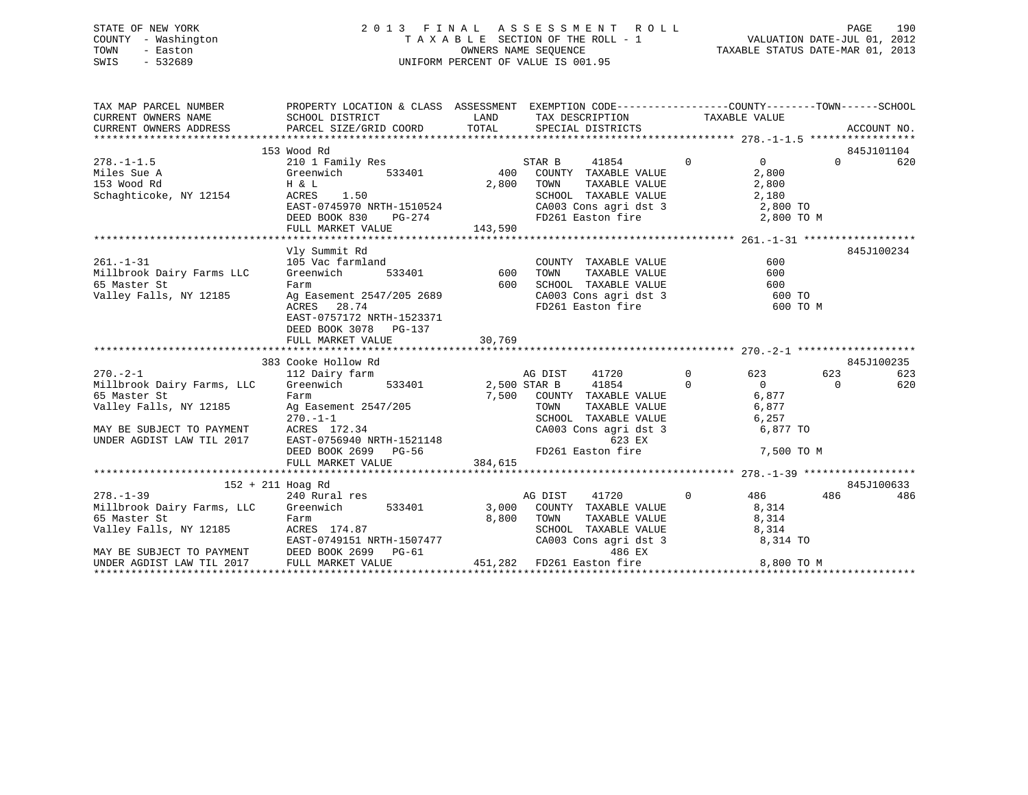# STATE OF NEW YORK 2 0 1 3 F I N A L A S S E S S M E N T R O L L PAGE 190 COUNTY - Washington T A X A B L E SECTION OF THE ROLL - 1 VALUATION DATE-JUL 01, 2012 TOWN - Easton OWNERS NAME SEQUENCE TAXABLE STATUS DATE-MAR 01, 2013 SWIS - 532689 UNIFORM PERCENT OF VALUE IS 001.95

| TAX MAP PARCEL NUMBER                                                                                                                                                                            | PROPERTY LOCATION & CLASS ASSESSMENT EXEMPTION CODE---------------COUNTY-------TOWN-----SCHOOL |            |            |                                                                                          |                |                       |                       |            |
|--------------------------------------------------------------------------------------------------------------------------------------------------------------------------------------------------|------------------------------------------------------------------------------------------------|------------|------------|------------------------------------------------------------------------------------------|----------------|-----------------------|-----------------------|------------|
| CURRENT OWNERS NAME SCHOOL DISTRICT                                                                                                                                                              |                                                                                                |            |            | LAND TAX DESCRIPTION TAXABLE VALUE                                                       |                |                       |                       |            |
|                                                                                                                                                                                                  |                                                                                                |            |            |                                                                                          |                |                       |                       |            |
|                                                                                                                                                                                                  |                                                                                                |            |            |                                                                                          |                |                       |                       |            |
|                                                                                                                                                                                                  | 153 Wood Rd                                                                                    |            |            |                                                                                          | $\overline{0}$ |                       |                       | 845J101104 |
| $278. -1 - 1.5$                                                                                                                                                                                  | 210 1 Family Res                                                                               |            | STAR B     | 41854                                                                                    |                | $\overline{0}$        | $\Omega$ and $\Omega$ | 620        |
| Miles Sue A                       Greenwich         533401            400   COUNTY TAXABLE VALUE                                                                                                 |                                                                                                |            |            |                                                                                          |                | 2,800                 |                       |            |
| 153 Wood Rd<br>153 Wood Rd<br>Schaghticoke, NY 12154                                                                                                                                             | H & L<br>H & L<br>ACRES 1.50                                                                   | 2,800 TOWN |            | TAXABLE VALUE                                                                            |                | 2,800                 |                       |            |
|                                                                                                                                                                                                  |                                                                                                |            |            | SCHOOL TAXABLE VALUE 2,180<br>CA003 Cons agri dst 3 2,800 TO                             |                |                       |                       |            |
|                                                                                                                                                                                                  | DEED BOOK 830                                                                                  | $PG-274$   |            | FD261 Easton fire $2,800$ TO M                                                           |                |                       |                       |            |
|                                                                                                                                                                                                  | FULL MARKET VALUE                                                                              | 143,590    |            |                                                                                          |                |                       |                       |            |
|                                                                                                                                                                                                  |                                                                                                |            |            |                                                                                          |                |                       |                       |            |
|                                                                                                                                                                                                  | Vly Summit Rd                                                                                  |            |            |                                                                                          |                |                       |                       | 845J100234 |
| $261. - 1 - 31$                                                                                                                                                                                  | 119 Summitted Advanced Articles<br>105 Vac farmland<br>Greenwich 533401 600                    |            |            | COUNTY TAXABLE VALUE                                                                     |                | 600                   |                       |            |
| Millbrook Dairy Farms LLC Greenwich                                                                                                                                                              |                                                                                                |            | TOWN       | TAXABLE VALUE                                                                            |                | 600                   |                       |            |
| 65 Master St                                                                                                                                                                                     | Farm                                                                                           | 600        |            | SCHOOL TAXABLE VALUE                                                                     |                |                       |                       |            |
| 65 Master St<br>Valley Falls, NY 12185                                                                                                                                                           |                                                                                                |            |            | CA003 Cons agri dst 3<br>ED261 Faston fire                                               |                | 600<br>600 TO         |                       |            |
|                                                                                                                                                                                                  | Ag Easement 2547/205 2689<br>ACRES 28.74<br>ACRES 28.74                                        |            |            | FD261 Easton fire                                                                        |                | 600 TO M              |                       |            |
|                                                                                                                                                                                                  | EAST-0757172 NRTH-1523371                                                                      |            |            |                                                                                          |                |                       |                       |            |
|                                                                                                                                                                                                  | DEED BOOK 3078 PG-137                                                                          |            |            |                                                                                          |                |                       |                       |            |
|                                                                                                                                                                                                  | FULL MARKET VALUE                                                                              | 30,769     |            |                                                                                          |                |                       |                       |            |
|                                                                                                                                                                                                  |                                                                                                |            |            |                                                                                          |                |                       |                       |            |
|                                                                                                                                                                                                  | 383 Cooke Hollow Rd                                                                            |            |            |                                                                                          |                |                       |                       | 845J100235 |
| $270. - 2 - 1$                                                                                                                                                                                   | 112 Dairy farm                                                                                 | AG DIST    |            | $41720$ 0 623<br>$41854$ 0 0                                                             |                |                       | 623                   | 623        |
|                                                                                                                                                                                                  |                                                                                                |            |            |                                                                                          |                |                       | $\bigcap$             | 620        |
| Millbrook Dairy Farms, LLC Greenwich 533401 2,500 STAR B 41854 0 0<br>65 Master St Farm 7,500 COUNTY TAXABLE VALUE 6,877<br>Valley Falls, NY 12185 Ag Easement 2547/205 TOWN TAXABLE VALUE 6,877 |                                                                                                |            |            |                                                                                          |                |                       |                       |            |
|                                                                                                                                                                                                  |                                                                                                |            |            |                                                                                          |                |                       |                       |            |
|                                                                                                                                                                                                  |                                                                                                |            |            | SCHOOL TAXABLE VALUE                                                                     |                | 6,257                 |                       |            |
|                                                                                                                                                                                                  |                                                                                                |            |            | CA003 Cons agri dst 3                                                                    |                | 6,877 TO              |                       |            |
| MAY BE SUBJECT TO PAYMENT<br>MAY BE SUBJECT TO PAYMENT<br>UNDER AGDIST LAW TIL 2017<br>DEED BOOK 2699 PG-56 FD261                                                                                |                                                                                                |            |            | 623 EX                                                                                   |                |                       |                       |            |
|                                                                                                                                                                                                  |                                                                                                |            |            | FD261 Easton fire 7,500 TO M                                                             |                |                       |                       |            |
|                                                                                                                                                                                                  | FULL MARKET VALUE 384,615                                                                      |            |            |                                                                                          |                |                       |                       |            |
| 152 + 211 Hoag Rd                                                                                                                                                                                |                                                                                                |            |            |                                                                                          |                |                       |                       | 845J100633 |
| $278. - 1 - 39$                                                                                                                                                                                  | 240 Rural res                                                                                  |            | AG DIST    | 41720                                                                                    |                | $0 \qquad \qquad 486$ | 486                   | 486        |
| Millbrook Dairy Farms, LLC Greenwich 533401 3,000 COUNTY TAXABLE VALUE 8,314                                                                                                                     |                                                                                                |            |            |                                                                                          |                |                       |                       |            |
|                                                                                                                                                                                                  |                                                                                                |            | 8,800 TOWN |                                                                                          |                |                       |                       |            |
|                                                                                                                                                                                                  | Farm<br>ACRES 174.87                                                                           |            |            |                                                                                          |                |                       |                       |            |
|                                                                                                                                                                                                  | EAST-0749151 NRTH-1507477                                                                      |            |            | TOWN TAXABLE VALUE 8,314<br>SCHOOL TAXABLE VALUE 8,314<br>CA003 Cons agri dst 3 8,314 TO |                |                       |                       |            |
|                                                                                                                                                                                                  |                                                                                                |            |            | 486 EX                                                                                   |                |                       |                       |            |
| MAY BE SUBJECT TO PAYMENT DEED BOOK 2699 PG-61 $486$ EX<br>UNDER AGDIST LAW TIL 2017 FULL MARKET VALUE 451,282 FD261 Easton fire                                                                 |                                                                                                |            |            |                                                                                          |                | 8,800 TO M            |                       |            |
|                                                                                                                                                                                                  |                                                                                                |            |            |                                                                                          |                |                       |                       |            |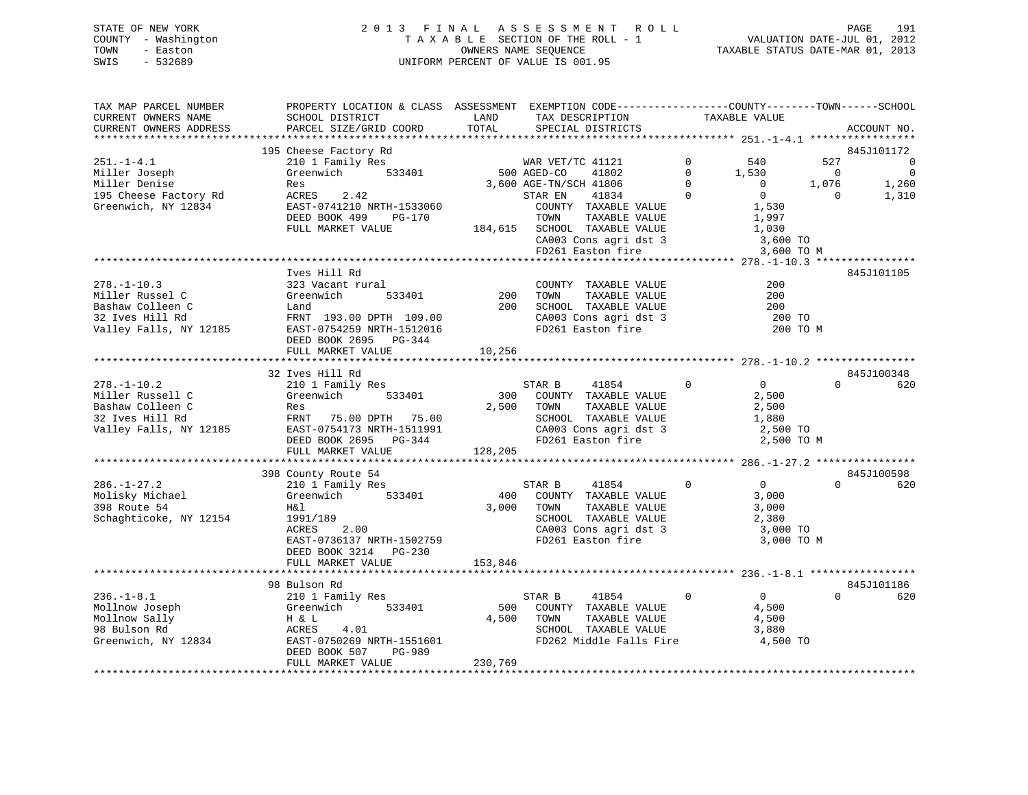| STATE OF NEW YORK   | 2013 FINAL ASSESSMENT ROLL         | 191<br>PAGE                      |
|---------------------|------------------------------------|----------------------------------|
| COUNTY - Washington | TAXABLE SECTION OF THE ROLL - 1    | VALUATION DATE-JUL 01, 2012      |
| TOWN<br>- Easton    | OWNERS NAME SEOUENCE               | TAXABLE STATUS DATE-MAR 01, 2013 |
| SWIS<br>- 532689    | UNIFORM PERCENT OF VALUE IS 001.95 |                                  |

| TAX MAP PARCEL NUMBER  | PROPERTY LOCATION & CLASS ASSESSMENT EXEMPTION CODE----------------COUNTY-------TOWN------SCHOOL |         |                              |                               |                                  |
|------------------------|--------------------------------------------------------------------------------------------------|---------|------------------------------|-------------------------------|----------------------------------|
| CURRENT OWNERS NAME    | SCHOOL DISTRICT                                                                                  | LAND    | TAX DESCRIPTION              | TAXABLE VALUE                 |                                  |
| CURRENT OWNERS ADDRESS | PARCEL SIZE/GRID COORD                                                                           | TOTAL   | SPECIAL DISTRICTS            |                               | ACCOUNT NO.                      |
|                        |                                                                                                  |         |                              |                               |                                  |
|                        | 195 Cheese Factory Rd                                                                            |         |                              |                               | 845J101172                       |
| $251. - 1 - 4.1$       | 210 1 Family Res                                                                                 |         | WAR VET/TC 41121             | $\mathbf 0$<br>540            | 527<br>$\overline{0}$            |
| Miller Joseph          | Greenwich<br>533401                                                                              |         | 500 AGED-CO<br>41802         | $\mathbf 0$<br>1,530          | $\overline{0}$<br>$\overline{0}$ |
| Miller Denise          | Res                                                                                              |         | 3,600 AGE-TN/SCH 41806       | $\Omega$<br>$\overline{0}$    | 1,076<br>1,260                   |
|                        |                                                                                                  |         |                              | $\Omega$<br>$\mathbf{0}$      |                                  |
| 195 Cheese Factory Rd  | ACRES<br>2.42                                                                                    |         | 41834<br>STAR EN             |                               | 1,310<br>$\overline{0}$          |
| Greenwich, NY 12834    | EAST-0741210 NRTH-1533060                                                                        |         | COUNTY TAXABLE VALUE         | 1,530                         |                                  |
|                        | DEED BOOK 499<br>PG-170                                                                          |         | TOWN<br>TAXABLE VALUE        | 1,997                         |                                  |
|                        | FULL MARKET VALUE                                                                                |         | 184,615 SCHOOL TAXABLE VALUE | 1,030                         |                                  |
|                        |                                                                                                  |         | CA003 Cons agri dst 3        | 3,600 TO                      |                                  |
|                        |                                                                                                  |         | FD261 Easton fire            | 3,600 TO M                    |                                  |
|                        |                                                                                                  |         |                              |                               |                                  |
|                        | Ives Hill Rd                                                                                     |         |                              |                               | 845J101105                       |
| $278. - 1 - 10.3$      | 323 Vacant rural                                                                                 |         | COUNTY TAXABLE VALUE         | 200                           |                                  |
| Miller Russel C        | 533401<br>Greenwich                                                                              | 200     | TAXABLE VALUE<br>TOWN        | 200                           |                                  |
| Bashaw Colleen C       | Land                                                                                             | 200     | SCHOOL TAXABLE VALUE         | 200                           |                                  |
| 32 Ives Hill Rd        | FRNT 193.00 DPTH 109.00                                                                          |         | CA003 Cons agri dst 3        | 200 TO                        |                                  |
| Valley Falls, NY 12185 | EAST-0754259 NRTH-1512016                                                                        |         | FD261 Easton fire            | 200 TO M                      |                                  |
|                        |                                                                                                  |         |                              |                               |                                  |
|                        | DEED BOOK 2695 PG-344                                                                            |         |                              |                               |                                  |
|                        | FULL MARKET VALUE                                                                                | 10,256  |                              |                               |                                  |
|                        |                                                                                                  |         |                              |                               |                                  |
|                        | 32 Ives Hill Rd                                                                                  |         |                              |                               | 845J100348                       |
| $278. - 1 - 10.2$      | 210 1 Family Res                                                                                 |         | STAR B<br>41854              | $\overline{0}$<br>$\mathbf 0$ | $\Omega$<br>620                  |
| Miller Russell C       | Greenwich<br>533401                                                                              |         | 300 COUNTY TAXABLE VALUE     | 2,500                         |                                  |
| Bashaw Colleen C       | Res                                                                                              | 2,500   | TAXABLE VALUE<br>TOWN        | 2,500                         |                                  |
| 32 Ives Hill Rd        | FRNT 75.00 DPTH 75.00                                                                            |         | SCHOOL TAXABLE VALUE         | 1,880                         |                                  |
| Valley Falls, NY 12185 | EAST-0754173 NRTH-1511991                                                                        |         | CA003 Cons agri dst 3        | 2,500 TO                      |                                  |
|                        | DEED BOOK 2695<br>PG-344                                                                         |         | FD261 Easton fire            | 2,500 TO M                    |                                  |
|                        | FULL MARKET VALUE                                                                                | 128,205 |                              |                               |                                  |
|                        |                                                                                                  |         |                              |                               |                                  |
|                        | 398 County Route 54                                                                              |         |                              |                               | 845J100598                       |
| $286. - 1 - 27.2$      | 210 1 Family Res                                                                                 |         | 41854<br>STAR B              | 0<br>$\Omega$                 | $\Omega$<br>620                  |
|                        |                                                                                                  |         | COUNTY TAXABLE VALUE         |                               |                                  |
| Molisky Michael        | 533401<br>Greenwich                                                                              | 400     |                              | 3,000                         |                                  |
| 398 Route 54           | H&l                                                                                              | 3,000   | TOWN<br>TAXABLE VALUE        | 3,000                         |                                  |
| Schaghticoke, NY 12154 | 1991/189                                                                                         |         | SCHOOL TAXABLE VALUE         | 2,380                         |                                  |
|                        | 2.00<br>ACRES                                                                                    |         | CA003 Cons agri dst 3        | 3,000 TO                      |                                  |
|                        | EAST-0736137 NRTH-1502759                                                                        |         | FD261 Easton fire            | 3,000 TO M                    |                                  |
|                        | DEED BOOK 3214 PG-230                                                                            |         |                              |                               |                                  |
|                        | FULL MARKET VALUE                                                                                | 153,846 |                              |                               |                                  |
|                        |                                                                                                  |         |                              |                               |                                  |
|                        | 98 Bulson Rd                                                                                     |         |                              |                               | 845J101186                       |
| $236. - 1 - 8.1$       | 210 1 Family Res                                                                                 |         | STAR B<br>41854              | $\mathbf 0$<br>$\overline{0}$ | $\Omega$<br>620                  |
| Mollnow Joseph         | Greenwich<br>533401                                                                              | 500     | COUNTY TAXABLE VALUE         | 4,500                         |                                  |
| Mollnow Sally          | H & L                                                                                            | 4,500   | TAXABLE VALUE<br>TOWN        | 4,500                         |                                  |
| 98 Bulson Rd           | ACRES<br>4.01                                                                                    |         | SCHOOL TAXABLE VALUE         | 3,880                         |                                  |
| Greenwich, NY 12834    | EAST-0750269 NRTH-1551601                                                                        |         | FD262 Middle Falls Fire      | 4,500 TO                      |                                  |
|                        | DEED BOOK 507<br>PG-989                                                                          |         |                              |                               |                                  |
|                        |                                                                                                  |         |                              |                               |                                  |
|                        | FULL MARKET VALUE                                                                                | 230,769 |                              |                               |                                  |
|                        |                                                                                                  |         |                              |                               |                                  |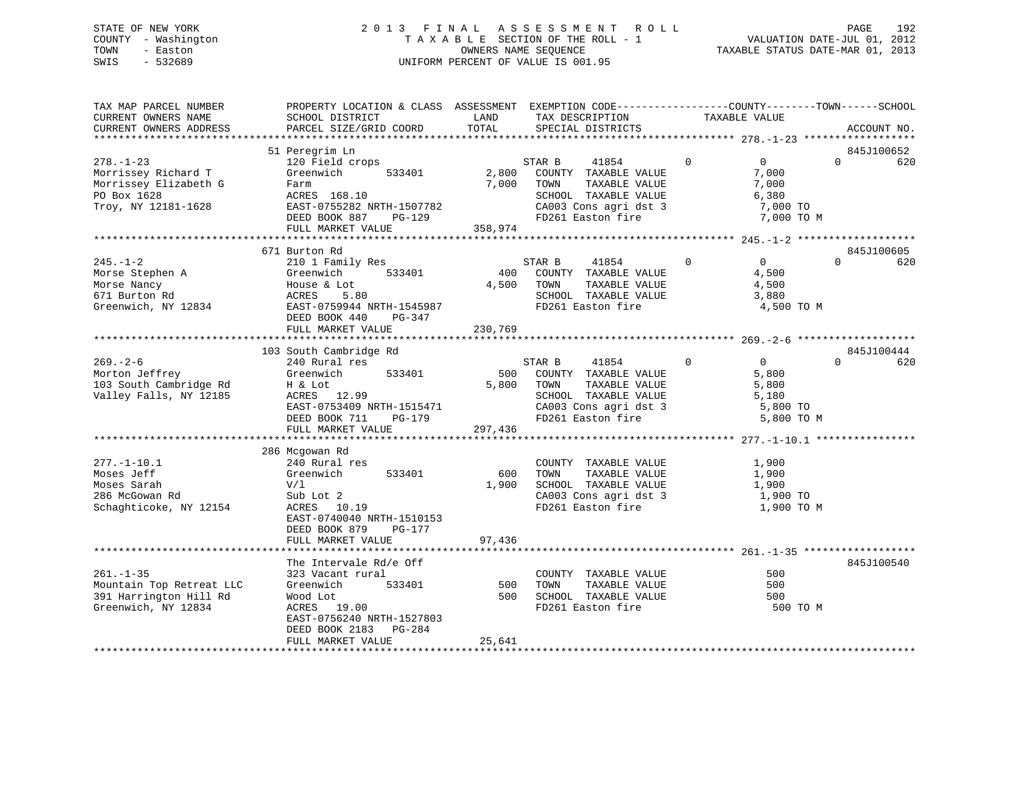# STATE OF NEW YORK 2 0 1 3 F I N A L A S S E S S M E N T R O L L PAGE 192 COUNTY - Washington T A X A B L E SECTION OF THE ROLL - 1 VALUATION DATE-JUL 01, 2012 TOWN - Easton OWNERS NAME SEQUENCE TAXABLE STATUS DATE-MAR 01, 2013 SWIS - 532689 UNIFORM PERCENT OF VALUE IS 001.95

| TAX MAP PARCEL NUMBER<br>CURRENT OWNERS NAME<br>CURRENT OWNERS ADDRESS                                | PROPERTY LOCATION & CLASS ASSESSMENT EXEMPTION CODE----------------COUNTY-------TOWN------SCHOOL<br>SCHOOL DISTRICT<br>PARCEL SIZE/GRID COORD                         | LAND<br>TOTAL             | TAX DESCRIPTION<br>SPECIAL DISTRICTS                                                                                                   | TAXABLE VALUE                                                                   | ACCOUNT NO.                   |
|-------------------------------------------------------------------------------------------------------|-----------------------------------------------------------------------------------------------------------------------------------------------------------------------|---------------------------|----------------------------------------------------------------------------------------------------------------------------------------|---------------------------------------------------------------------------------|-------------------------------|
|                                                                                                       |                                                                                                                                                                       |                           |                                                                                                                                        |                                                                                 |                               |
| $278. - 1 - 23$<br>Morrissey Richard T<br>Morrissey Elizabeth G<br>PO Box 1628<br>Troy, NY 12181-1628 | 51 Peregrim Ln<br>120 Field crops<br>Greenwich<br>533401<br>Farm<br>ACRES 168.10<br>EAST-0755282 NRTH-1507782<br>PG-129<br>DEED BOOK 887<br>FULL MARKET VALUE         | 2,800<br>7,000<br>358,974 | 41854<br>STAR B<br>COUNTY TAXABLE VALUE<br>TOWN<br>TAXABLE VALUE<br>SCHOOL TAXABLE VALUE<br>CA003 Cons agri dst 3<br>FD261 Easton fire | $\Omega$<br>$\overline{0}$<br>7,000<br>7,000<br>6,380<br>7,000 TO<br>7,000 TO M | 845J100652<br>620<br>$\Omega$ |
|                                                                                                       |                                                                                                                                                                       |                           |                                                                                                                                        |                                                                                 |                               |
| $245. - 1 - 2$<br>Morse Stephen A<br>Morse Nancy<br>671 Burton Rd<br>Greenwich, NY 12834              | 671 Burton Rd<br>210 1 Family Res<br>Greenwich<br>533401<br>House & Lot<br>5.80<br>ACRES<br>EAST-0759944 NRTH-1545987<br>DEED BOOK 440<br>PG-347<br>FULL MARKET VALUE | 400<br>4,500<br>230,769   | 41854<br>STAR B<br>COUNTY TAXABLE VALUE<br>TOWN<br>TAXABLE VALUE<br>SCHOOL TAXABLE VALUE<br>FD261 Easton fire                          | 0<br>$\mathbf 0$<br>4,500<br>4,500<br>3,880<br>4,500 TO M                       | 845J100605<br>$\Omega$<br>620 |
|                                                                                                       |                                                                                                                                                                       |                           |                                                                                                                                        |                                                                                 |                               |
|                                                                                                       | 103 South Cambridge Rd                                                                                                                                                |                           |                                                                                                                                        |                                                                                 | 845J100444                    |
| $269. - 2 - 6$<br>Morton Jeffrey<br>103 South Cambridge Rd<br>Valley Falls, NY 12185                  | 240 Rural res<br>Greenwich<br>533401<br>H & Lot<br>ACRES 12.99<br>EAST-0753409 NRTH-1515471<br>PG-179<br>DEED BOOK 711<br>FULL MARKET VALUE                           | 500<br>5,800<br>297,436   | STAR B<br>41854<br>COUNTY TAXABLE VALUE<br>TOWN<br>TAXABLE VALUE<br>SCHOOL TAXABLE VALUE<br>CA003 Cons agri dst 3<br>FD261 Easton fire | $\Omega$<br>$\Omega$<br>5,800<br>5,800<br>5,180<br>5,800 TO<br>5,800 TO M       | $\Omega$<br>620               |
|                                                                                                       |                                                                                                                                                                       |                           |                                                                                                                                        |                                                                                 |                               |
| $277. - 1 - 10.1$<br>Moses Jeff<br>Moses Sarah<br>286 McGowan Rd<br>Schaghticoke, NY 12154            | 286 Mcgowan Rd<br>240 Rural res<br>Greenwich<br>533401<br>V/1<br>Sub Lot 2<br>ACRES 10.19<br>EAST-0740040 NRTH-1510153<br>DEED BOOK 879<br>PG-177                     | 600<br>1,900              | COUNTY TAXABLE VALUE<br>TOWN<br>TAXABLE VALUE<br>SCHOOL TAXABLE VALUE<br>CA003 Cons agri dst 3<br>FD261 Easton fire                    | 1,900<br>1,900<br>1,900<br>1,900 TO<br>1,900 TO M                               |                               |
|                                                                                                       | FULL MARKET VALUE                                                                                                                                                     | 97,436                    |                                                                                                                                        |                                                                                 |                               |
|                                                                                                       |                                                                                                                                                                       |                           |                                                                                                                                        |                                                                                 |                               |
| $261. -1 - 35$<br>Mountain Top Retreat LLC<br>391 Harrington Hill Rd<br>Greenwich, NY 12834           | The Intervale Rd/e Off<br>323 Vacant rural<br>533401<br>Greenwich<br>Wood Lot<br>ACRES 19.00<br>EAST-0756240 NRTH-1527803<br>DEED BOOK 2183<br>PG-284                 | 500<br>500                | COUNTY TAXABLE VALUE<br>TOWN<br>TAXABLE VALUE<br>SCHOOL TAXABLE VALUE<br>FD261 Easton fire                                             | 500<br>500<br>500<br>500 TO M                                                   | 845J100540                    |
|                                                                                                       | FULL MARKET VALUE                                                                                                                                                     | 25,641                    |                                                                                                                                        |                                                                                 |                               |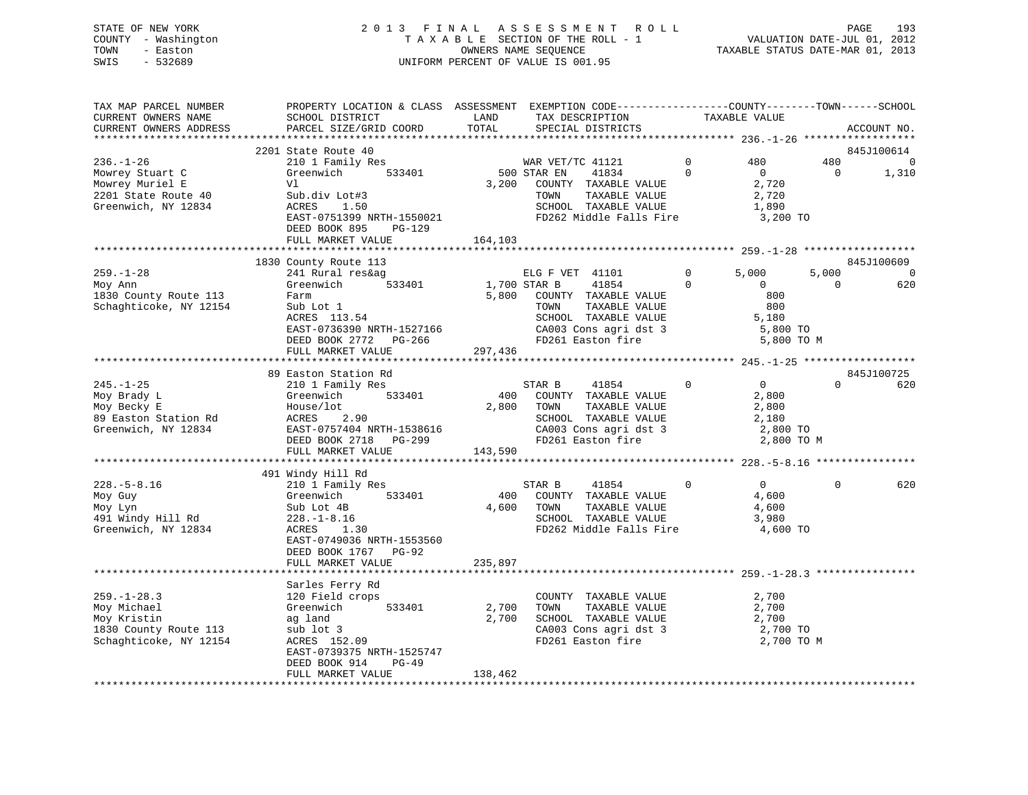# STATE OF NEW YORK 2 0 1 3 F I N A L A S S E S S M E N T R O L L PAGE 193 COUNTY - Washington T A X A B L E SECTION OF THE ROLL - 1 VALUATION DATE-JUL 01, 2012 TOWN - Easton OWNERS NAME SEQUENCE TAXABLE STATUS DATE-MAR 01, 2013 SWIS - 532689 UNIFORM PERCENT OF VALUE IS 001.95

| TAX MAP PARCEL NUMBER<br>CURRENT OWNERS NAME                                                                                                                                                                 | PROPERTY LOCATION & CLASS ASSESSMENT EXEMPTION CODE----------------COUNTY-------TOWN------SCHOOL<br>SCHOOL DISTRICT                                                                             | LAND<br>TOTAL           | TAX DESCRIPTION                                                                                                                                                     |                            | TAXABLE VALUE                                                            |                         |                                               |
|--------------------------------------------------------------------------------------------------------------------------------------------------------------------------------------------------------------|-------------------------------------------------------------------------------------------------------------------------------------------------------------------------------------------------|-------------------------|---------------------------------------------------------------------------------------------------------------------------------------------------------------------|----------------------------|--------------------------------------------------------------------------|-------------------------|-----------------------------------------------|
| CURRENT OWNERS ADDRESS<br>***********************                                                                                                                                                            | PARCEL SIZE/GRID COORD<br>*****************************                                                                                                                                         |                         | SPECIAL DISTRICTS                                                                                                                                                   |                            |                                                                          |                         | ACCOUNT NO.                                   |
|                                                                                                                                                                                                              | 2201 State Route 40                                                                                                                                                                             |                         |                                                                                                                                                                     |                            |                                                                          |                         | 845J100614                                    |
| $236. - 1 - 26$<br>Mowrey Stuart C<br>Mowrey Muriel E<br>2201 State Route 40<br>Greenwich, NY 12834                                                                                                          | 210 1 Family Res<br>Greenwich $533401$<br>Vl<br>Sub.div Lot#3<br>ACRES 1.50<br>EAST-0751399 NRTH-1550021<br>DEED BOOK 895<br>PG-129                                                             | 500 STAR EN<br>3,200    | WAR VET/TC 41121<br>41834<br>COUNTY TAXABLE VALUE<br>TOWN<br>TAXABLE VALUE<br>SCHOOL TAXABLE VALUE<br>FD262 Middle Falls Fire 3,200 TO                              | $\overline{0}$<br>$\Omega$ | 480<br>$\overline{0}$<br>2,720<br>2,720<br>1,890                         | 480<br>$\overline{0}$   | 0<br>1,310                                    |
|                                                                                                                                                                                                              | FULL MARKET VALUE                                                                                                                                                                               | 164,103                 |                                                                                                                                                                     |                            |                                                                          |                         |                                               |
|                                                                                                                                                                                                              |                                                                                                                                                                                                 |                         |                                                                                                                                                                     |                            |                                                                          |                         |                                               |
| $259. - 1 - 28$<br>Moy Ann<br>1830 County Route 113<br>Schaghticoke, NY 12154                                                                                                                                | 1830 County Route 113<br>241 Rural res&ag<br>Greenwich 533401 1,700 STAR B<br>Farm<br>rarm<br>Sub Lot 1<br>ACRES 113.54<br>EAST-0736390 NRTH-1527166<br>DEED BOOK 2772 PG-266 PD261 Easton fire | 5,800                   | ELG F VET 41101<br>$\overline{0}$<br>41854<br>---- -<br>COUNTY TAXABLE VALUE<br>TOWN TAXABLE VALUE<br>SCHOOL TAXABLE VALUE<br>CA003 Cons agri dst 3                 | $\overline{0}$             | 5,000<br>$\overline{0}$<br>800<br>800<br>5,180<br>5,800 TO<br>5,800 TO M | 5,000<br>$\overline{0}$ | 845J100609<br>$\overline{\phantom{0}}$<br>620 |
|                                                                                                                                                                                                              | FULL MARKET VALUE                                                                                                                                                                               | 297,436                 |                                                                                                                                                                     |                            |                                                                          |                         |                                               |
|                                                                                                                                                                                                              |                                                                                                                                                                                                 |                         |                                                                                                                                                                     |                            |                                                                          |                         |                                               |
|                                                                                                                                                                                                              | 89 Easton Station Rd                                                                                                                                                                            |                         |                                                                                                                                                                     |                            |                                                                          |                         | 845J100725                                    |
| 210 1 Fam.<br>Creenwich<br>$3$ Easton Station Rd<br>$3$ Easton Station Rd<br>$3$ Easton NY 12834<br>$\begin{array}{c}\n 2101 \text{ Fam.} \\  \text{House/lot} \\  2.2 \\  \text{EAST-075740}\n \end{array}$ | 210 1 Family Res<br>Greenwich 533401<br>t<br>2.90<br>ACRES 2.90<br>EAST-0757404 NRTH-1538616<br>DEED BOOK 2718 PG-299<br>DEED BOOK 2718 PG-299<br>FULL MARKET VALUE                             | 400<br>2,800<br>143,590 | STAR B<br>41854<br>COUNTY TAXABLE VALUE<br>TOWN<br>TAXABLE VALUE<br>TOWN      TAXABLE VALUE<br>SCHOOL   TAXABLE VALUE<br>CA003 Cons agri dst 3<br>FD261 Easton fire | $\overline{0}$             | $\overline{0}$<br>2,800<br>2,800<br>2,180<br>2,800 TO<br>2,800 TO M      | $\Omega$                | 620                                           |
|                                                                                                                                                                                                              |                                                                                                                                                                                                 |                         |                                                                                                                                                                     |                            |                                                                          |                         |                                               |
| $228. - 5 - 8.16$<br>Moy Guy<br>Moy Lyn<br>491 Windy Hill Rd<br>Greenwich, NY 12834                                                                                                                          | 491 Windy Hill Rd<br>$210$ 1 Family Res<br>533401<br>Greenwich<br>Sub Lot 4B<br>228.-1-8.16<br>ACRES 1.30<br>EAST-0749036 NRTH-1553560<br>DEED BOOK 1767 PG-92                                  | 400<br>4,600            | STAR B<br>41854<br>COUNTY TAXABLE VALUE<br>TOWN<br>TAXABLE VALUE<br>SCHOOL TAXABLE VALUE<br>FD262 Middle Falls Fire                                                 | $\overline{0}$             | $\overline{0}$<br>4,600<br>4,600<br>3,980<br>4,600 TO                    | $\Omega$                | 620                                           |
|                                                                                                                                                                                                              | FULL MARKET VALUE                                                                                                                                                                               | 235,897                 |                                                                                                                                                                     |                            |                                                                          |                         |                                               |
|                                                                                                                                                                                                              |                                                                                                                                                                                                 |                         |                                                                                                                                                                     |                            |                                                                          |                         |                                               |
| $259. - 1 - 28.3$<br>Moy Michael<br>Moy Kristin<br>1830 County Route 113<br>Schaghticoke, NY 12154                                                                                                           | Sarles Ferry Rd<br>120 Field crops<br>533401<br>Greenwich<br>ag land<br>sub lot 3<br>ACRES 152.09<br>EAST-0739375 NRTH-1525747<br>DEED BOOK 914<br>PG-49                                        | 2,700<br>2,700          | COUNTY TAXABLE VALUE<br>TAXABLE VALUE<br>TOWN<br>SCHOOL TAXABLE VALUE<br>$CA003$ Cons agri dst 3<br>FD261 Easton fire                                               |                            | 2,700<br>2,700<br>2,700<br>2,700 TO<br>2,700 TO M                        |                         |                                               |
|                                                                                                                                                                                                              | FULL MARKET VALUE                                                                                                                                                                               | 138,462                 |                                                                                                                                                                     |                            |                                                                          |                         |                                               |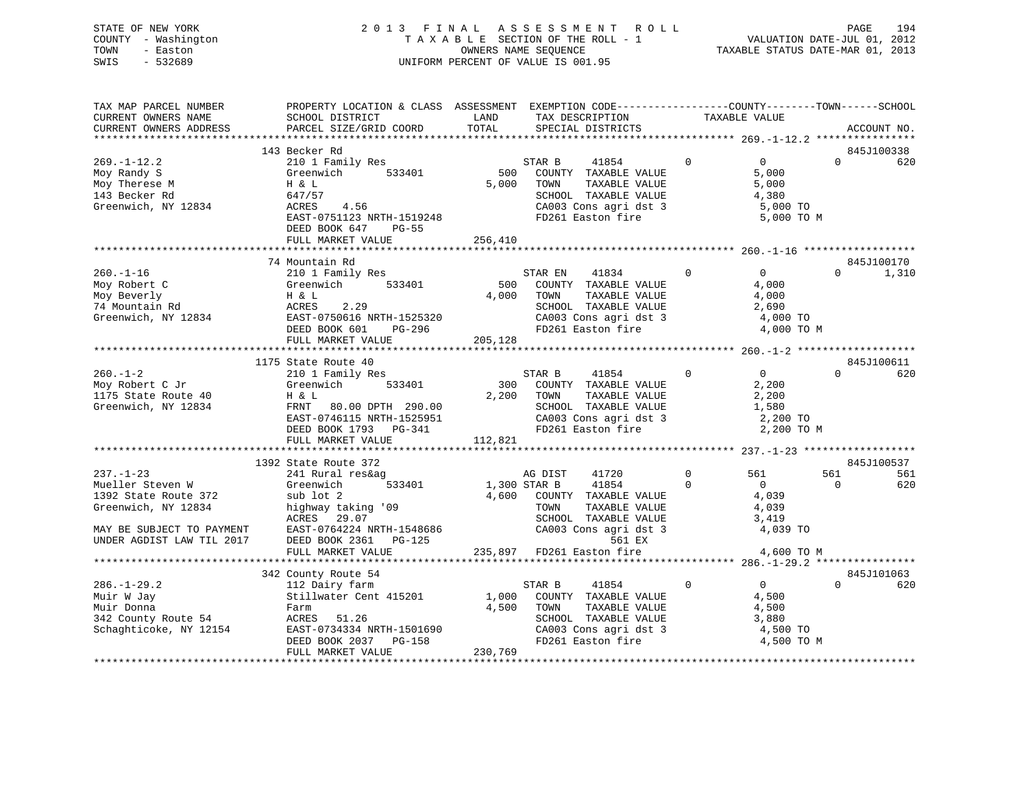# STATE OF NEW YORK 2 0 1 3 F I N A L A S S E S S M E N T R O L L PAGE 194 COUNTY - Washington T A X A B L E SECTION OF THE ROLL - 1 VALUATION DATE-JUL 01, 2012 TOWN - Easton OWNERS NAME SEQUENCE TAXABLE STATUS DATE-MAR 01, 2013 SWIS - 532689 UNIFORM PERCENT OF VALUE IS 001.95

| TAX MAP PARCEL NUMBER<br>CURRENT OWNERS NAME<br>CURRENT OWNERS ADDRESS                                                                       | PROPERTY LOCATION & CLASS ASSESSMENT EXEMPTION CODE---------------COUNTY-------TOWN-----SCHOOL<br>SCHOOL DISTRICT<br>PARCEL SIZE/GRID COORD                                | LAND<br>TOTAL             | TAX DESCRIPTION<br>SPECIAL DISTRICTS                                                                                                                               | TAXABLE VALUE                                                                                         |                 | ACCOUNT NO.         |
|----------------------------------------------------------------------------------------------------------------------------------------------|----------------------------------------------------------------------------------------------------------------------------------------------------------------------------|---------------------------|--------------------------------------------------------------------------------------------------------------------------------------------------------------------|-------------------------------------------------------------------------------------------------------|-----------------|---------------------|
|                                                                                                                                              |                                                                                                                                                                            |                           |                                                                                                                                                                    |                                                                                                       |                 |                     |
|                                                                                                                                              | 143 Becker Rd                                                                                                                                                              |                           |                                                                                                                                                                    |                                                                                                       |                 | 845J100338          |
| $269. - 1 - 12.2$<br>Moy Randy S<br>Moy Therese M<br>143 Becker Rd<br>Greenwich, NY 12834                                                    | 210 1 Family Res<br>533401<br>Greenwich<br>H & L<br>647/57<br>ACRES<br>4.56<br>EAST-0751123 NRTH-1519248<br>DEED BOOK 647<br>$PG-55$                                       | 500<br>5,000              | 41854<br>STAR B<br>COUNTY TAXABLE VALUE<br>TAXABLE VALUE<br>TOWN<br>SCHOOL TAXABLE VALUE<br>CA003 Cons agri dst 3<br>FD261 Easton fire                             | $\overline{0}$<br>$\Omega$<br>5,000<br>5,000<br>4,380<br>5,000 TO<br>5,000 TO M                       | $\Omega$        | 620                 |
|                                                                                                                                              | FULL MARKET VALUE                                                                                                                                                          | 256,410                   |                                                                                                                                                                    |                                                                                                       |                 |                     |
|                                                                                                                                              |                                                                                                                                                                            |                           |                                                                                                                                                                    |                                                                                                       |                 |                     |
| $260. -1 - 16$<br>Moy Robert C<br>Moy Beverly<br>74 Mountain Rd<br>Greenwich, NY 12834                                                       | 74 Mountain Rd<br>210 1 Family Res<br>533401<br>Greenwich<br>H & L<br>ACRES<br>2.29<br>EAST-0750616 NRTH-1525320<br>DEED BOOK 601<br>PG-296<br>FULL MARKET VALUE           | 500<br>4,000<br>205,128   | 41834<br>STAR EN<br>COUNTY TAXABLE VALUE<br>TOWN<br>TAXABLE VALUE<br>SCHOOL TAXABLE VALUE<br>CA003 Cons agri dst 3<br>FD261 Easton fire                            | $\overline{0}$<br>$\overline{0}$<br>4,000<br>4,000<br>2,690<br>4,000 TO<br>4,000 TO M                 | $\Omega$        | 845J100170<br>1,310 |
|                                                                                                                                              | 1175 State Route 40                                                                                                                                                        |                           |                                                                                                                                                                    |                                                                                                       |                 | 845J100611          |
| $260. -1 - 2$<br>Moy Robert C Jr<br>1175 State Route 40<br>Greenwich, NY 12834                                                               | 210 1 Family Res<br>Greenwich<br>533401<br>H & L<br>FRNT 80.00 DPTH 290.00<br>EAST-0746115 NRTH-1525951<br>DEED BOOK 1793 PG-341<br>FULL MARKET VALUE                      | 300<br>2,200<br>112,821   | STAR B<br>41854<br>COUNTY TAXABLE VALUE<br>TAXABLE VALUE<br>TOWN<br>SCHOOL TAXABLE VALUE<br>CA003 Cons agri dst 3<br>FD261 Easton fire                             | $\overline{0}$<br>$\overline{0}$<br>2,200<br>2,200<br>1,580<br>2,200 TO<br>2,200 TO M                 | $\Omega$        | 620                 |
|                                                                                                                                              |                                                                                                                                                                            |                           |                                                                                                                                                                    |                                                                                                       |                 |                     |
|                                                                                                                                              | 1392 State Route 372                                                                                                                                                       |                           |                                                                                                                                                                    |                                                                                                       |                 | 845J100537          |
| $237. - 1 - 23$<br>Mueller Steven W<br>1392 State Route 372<br>Greenwich, NY 12834<br>MAY BE SUBJECT TO PAYMENT<br>UNDER AGDIST LAW TIL 2017 | 241 Rural res&ag<br>533401<br>Greenwich<br>sub lot 2<br>highway taking '09<br>ACRES<br>29.07<br>EAST-0764224 NRTH-1548686<br>DEED BOOK 2361<br>PG-125<br>FULL MARKET VALUE | 1,300 STAR B<br>4,600     | 41720<br>AG DIST<br>41854<br>COUNTY TAXABLE VALUE<br>TAXABLE VALUE<br>TOWN<br>SCHOOL TAXABLE VALUE<br>CA003 Cons agri dst 3<br>561 EX<br>235,897 FD261 Easton fire | $\mathbf 0$<br>561<br>$\Omega$<br>$\overline{0}$<br>4,039<br>4,039<br>3,419<br>4,039 TO<br>4,600 TO M | 561<br>$\Omega$ | 561<br>620          |
|                                                                                                                                              |                                                                                                                                                                            |                           |                                                                                                                                                                    |                                                                                                       |                 |                     |
|                                                                                                                                              | 342 County Route 54                                                                                                                                                        |                           |                                                                                                                                                                    |                                                                                                       |                 | 845J101063          |
| $286. - 1 - 29.2$<br>Muir W Jay<br>Muir Donna<br>342 County Route 54<br>Schaghticoke, NY 12154                                               | 112 Dairy farm<br>Stillwater Cent 415201<br>Farm<br>ACRES 51.26<br>EAST-0734334 NRTH-1501690<br>DEED BOOK 2037 PG-158<br>FULL MARKET VALUE                                 | 1,000<br>4,500<br>230,769 | STAR B<br>41854<br>COUNTY TAXABLE VALUE<br>TAXABLE VALUE<br>TOWN<br>SCHOOL TAXABLE VALUE<br>CA003 Cons agri dst 3<br>FD261 Easton fire                             | $\mathbf 0$<br>$\overline{0}$<br>4,500<br>4,500<br>3,880<br>4,500 TO<br>4,500 TO M                    | $\Omega$        | 620                 |
|                                                                                                                                              |                                                                                                                                                                            |                           |                                                                                                                                                                    |                                                                                                       |                 |                     |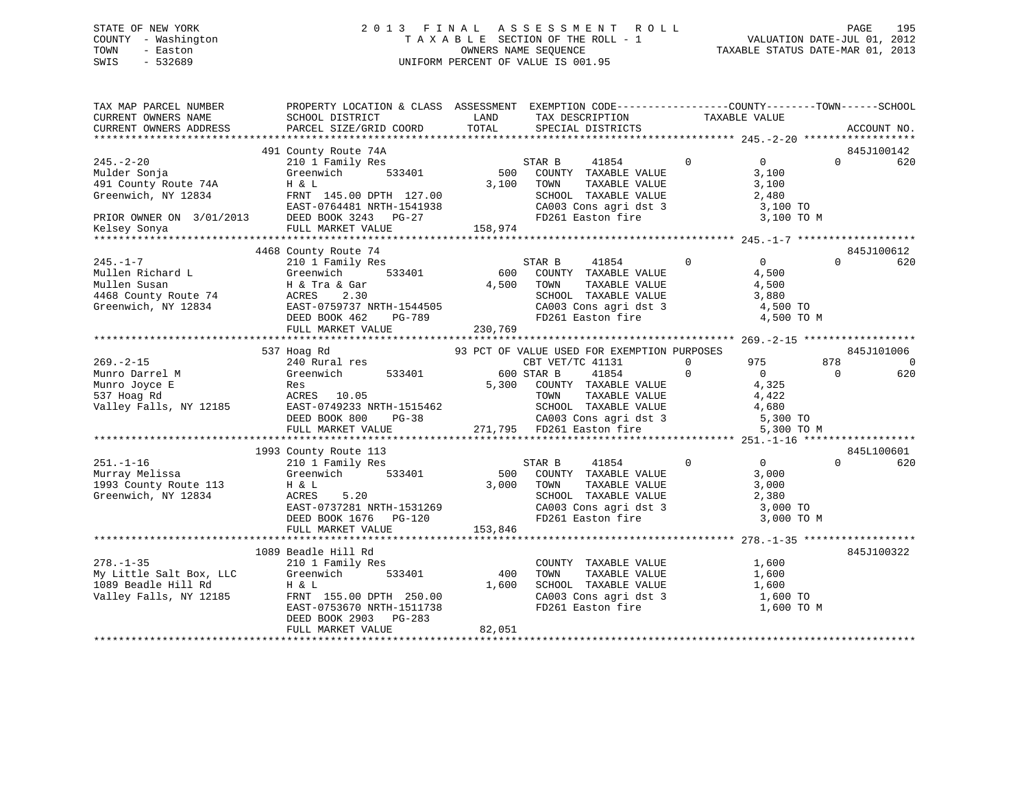# STATE OF NEW YORK 2 0 1 3 F I N A L A S S E S S M E N T R O L L PAGE 195 COUNTY - Washington T A X A B L E SECTION OF THE ROLL - 1 VALUATION DATE-JUL 01, 2012 TOWN - Easton OWNERS NAME SEQUENCE TAXABLE STATUS DATE-MAR 01, 2013 SWIS - 532689 UNIFORM PERCENT OF VALUE IS 001.95

| TAX MAP PARCEL NUMBER<br>CURRENT OWNERS NAME<br>CURRENT OWNERS ADDRESS                      | PROPERTY LOCATION & CLASS ASSESSMENT EXEMPTION CODE----------------COUNTY-------TOWN-----SCHOOL<br>SCHOOL DISTRICT<br>PARCEL SIZE/GRID COORD                                                                                                                                  | LAND<br>TOTAL          | $\begin{tabular}{ll} $\begin{array}{lcl} \multicolumn{2}{c}{\multicolumn{2}{c}{\multicolumn{2}{c}{\multicolumn{2}{c}{\multicolumn{2}{c}{\multicolumn{2}{c}{\multicolumn{2}{c}{\multicolumn{2}{c}{\multicolumn{2}{c}{\multicolumn{2}{c}{\multicolumn{2}{c}{\multicolumn{2}{c}{\multicolumn{2}{c}{\multicolumn{2}{c}{\multicolumn{2}{c}{\multicolumn{2}{c}{\multicolumn{2}{c}{\multicolumn{2}{c}{\multicolumn{2}{c}{\multicolumn{2}{c}{\multicolumn{2}{c}{\multicolumn{2}{c}{\multicolumn{2$ |                                                                                                                                                                                                                                                                                                      | ACCOUNT NO.                   |
|---------------------------------------------------------------------------------------------|-------------------------------------------------------------------------------------------------------------------------------------------------------------------------------------------------------------------------------------------------------------------------------|------------------------|--------------------------------------------------------------------------------------------------------------------------------------------------------------------------------------------------------------------------------------------------------------------------------------------------------------------------------------------------------------------------------------------------------------------------------------------------------------------------------------------|------------------------------------------------------------------------------------------------------------------------------------------------------------------------------------------------------------------------------------------------------------------------------------------------------|-------------------------------|
|                                                                                             |                                                                                                                                                                                                                                                                               |                        |                                                                                                                                                                                                                                                                                                                                                                                                                                                                                            |                                                                                                                                                                                                                                                                                                      |                               |
|                                                                                             | 491 County Route 74A                                                                                                                                                                                                                                                          |                        |                                                                                                                                                                                                                                                                                                                                                                                                                                                                                            |                                                                                                                                                                                                                                                                                                      | 845J100142                    |
| $245. - 2 - 20$<br>Mulder Sonja<br>491 County Route / 4m<br>Greenwich, NY 12834             | 210 1 Family Res<br>533401<br>Greenwich<br>H & L<br>FRNT 145.00 DPTH 127.00                                                                                                                                                                                                   | STAR B                 | 41854 0<br>500 COUNTY TAXABLE VALUE<br>3,100 TOWN<br>TOWN TAXABLE VALUE 3,100<br>SCHOOL TAXABLE VALUE 2,480                                                                                                                                                                                                                                                                                                                                                                                | $\overline{0}$<br>3,100                                                                                                                                                                                                                                                                              | $\Omega$<br>620               |
|                                                                                             | EAST-0764481 NRTH-1541938<br>PRIOR OWNER ON 3/01/2013 DEED BOOK 3243 PG-27                                                                                                                                                                                                    | $00$<br>$938$          | CA003 Cons agri dst 3<br>FD261 Easton fire                                                                                                                                                                                                                                                                                                                                                                                                                                                 | 3,100 TO<br>3,100 TO M                                                                                                                                                                                                                                                                               |                               |
|                                                                                             |                                                                                                                                                                                                                                                                               |                        |                                                                                                                                                                                                                                                                                                                                                                                                                                                                                            |                                                                                                                                                                                                                                                                                                      |                               |
|                                                                                             | 4468 County Route 74<br>%245.-1-7<br>Mullen Richard L<br>Mullen Susan<br>468 County Route 74<br>The ACRES 2.30<br>The Mullen Acres 2.30<br>The BOOK 462 PG-789<br>DEED BOOK 462 PG-789<br>The Mullen Susan<br>230,769<br>The Mullen Susan<br>PEED BOOK 462 PG-789<br>The Mull | 4,500 TOWN             | STAR B<br>41854 0<br>600 COUNTY TAXABLE VALUE<br>4,500 TOWN TAXABLE VALUE<br>SCHOOL TAXABLE VALUE $3,880$<br>CA003 Cons agridst 3 4,500 TO<br>FD261 Easton fire 4,500 TO M                                                                                                                                                                                                                                                                                                                 | $\overline{0}$<br>4,500<br>4,500                                                                                                                                                                                                                                                                     | 845J100612<br>$\Omega$<br>620 |
|                                                                                             |                                                                                                                                                                                                                                                                               |                        |                                                                                                                                                                                                                                                                                                                                                                                                                                                                                            |                                                                                                                                                                                                                                                                                                      |                               |
|                                                                                             | 537 Hoag Rd<br>240 Rural res                                                                                                                                                                                                                                                  |                        | 93 PCT OF VALUE USED FOR EXEMPTION PURPOSES                                                                                                                                                                                                                                                                                                                                                                                                                                                | $\sim$ 0 $\sim$ 0 $\sim$ 0 $\sim$ 0 $\sim$ 0 $\sim$ 0 $\sim$ 0 $\sim$ 0 $\sim$ 0 $\sim$ 0 $\sim$ 0 $\sim$ 0 $\sim$ 0 $\sim$ 0 $\sim$ 0 $\sim$ 0 $\sim$ 0 $\sim$ 0 $\sim$ 0 $\sim$ 0 $\sim$ 0 $\sim$ 0 $\sim$ 0 $\sim$ 0 $\sim$ 0 $\sim$ 0 $\sim$ 0 $\sim$ 0 $\sim$ 0 $\sim$ 0 $\sim$ 0 $\sim$<br>975 | 845J101006<br>878<br>$\Omega$ |
| $269. - 2 - 15$<br>Munro Darrel M<br>Munro Joyce E<br>537 Hoag Rd                           | Greenwich 533401<br>Res<br>ACRES 10.05<br>Valley Falls, NY 12185<br>Valley Falls, NY 12185<br>DEED BOOK 800 PG-38                                                                                                                                                             | CBT VET<br>600 STAR B  | CBT VET/TC 41131<br>41854<br>5,300 COUNTY TAXABLE VALUE<br>TOWN TAXABLE VALUE 4,422<br>SCHOOL TAXABLE VALUE 4,680<br>38 CA003 Cons agri dst 3 5,300 TO<br>271,795 FD261 Easton fire 5,300 TO M                                                                                                                                                                                                                                                                                             | $\bigcirc$<br>$\overline{0}$<br>$\begin{array}{c} 0 \\ 4,325 \end{array}$                                                                                                                                                                                                                            | 620<br>$\overline{0}$         |
|                                                                                             | FULL MARKET VALUE                                                                                                                                                                                                                                                             |                        |                                                                                                                                                                                                                                                                                                                                                                                                                                                                                            |                                                                                                                                                                                                                                                                                                      |                               |
|                                                                                             |                                                                                                                                                                                                                                                                               |                        |                                                                                                                                                                                                                                                                                                                                                                                                                                                                                            |                                                                                                                                                                                                                                                                                                      |                               |
| $251. - 1 - 16$<br>Murray Melissa<br>1993 County Route 113 H & L<br>Greenwich, NY 12834     | 1993 County Route 113<br>210 1 Family Res<br>Greenwich 533401<br>ACRES<br>5.20<br>EAST-0737281 NRTH-1531269<br>DEED BOOK 1676 PG-120                                                                                                                                          | 3,000                  | 41854<br>$\sim$ 0<br>STAR B<br>500 COUNTY TAXABLE VALUE<br>TOWN TAXABLE VALUE 3,000<br>SCHOOL TAXABLE VALUE 2,380<br>CA003 Cons agri dst 3 3,000 TO<br>FD261 Easton fire                                                                                                                                                                                                                                                                                                                   | $\overline{0}$<br>3,000<br>3,000 TO M                                                                                                                                                                                                                                                                | 845L100601<br>$\Omega$<br>620 |
|                                                                                             | FULL MARKET VALUE                                                                                                                                                                                                                                                             | 153,846                |                                                                                                                                                                                                                                                                                                                                                                                                                                                                                            |                                                                                                                                                                                                                                                                                                      |                               |
|                                                                                             | 1089 Beadle Hill Rd                                                                                                                                                                                                                                                           |                        |                                                                                                                                                                                                                                                                                                                                                                                                                                                                                            |                                                                                                                                                                                                                                                                                                      | 845J100322                    |
| $278. - 1 - 35$<br>My Little Salt Box, LLC<br>1089 Beadle Hill Rd<br>Valley Falls, NY 12185 | 210 1 Family Res<br>533401<br>Greenwich<br>H & L<br>FRNT 155.00 DPTH 250.00<br>EAST-0753670 NRTH-1511738<br>DEED BOOK 2903 PG-283<br>FULL MARKET VALUE                                                                                                                        | 400<br>1,600<br>82,051 | COUNTY TAXABLE VALUE<br>TAXABLE VALUE<br>TOWN<br>SCHOOL TAXABLE VALUE 1,600<br>CA003 Cons agri dst 3 1,600 TO<br>FD261 Easton fire                                                                                                                                                                                                                                                                                                                                                         | 1,600<br>1,600<br>1,600 TO M                                                                                                                                                                                                                                                                         |                               |
|                                                                                             |                                                                                                                                                                                                                                                                               |                        |                                                                                                                                                                                                                                                                                                                                                                                                                                                                                            |                                                                                                                                                                                                                                                                                                      |                               |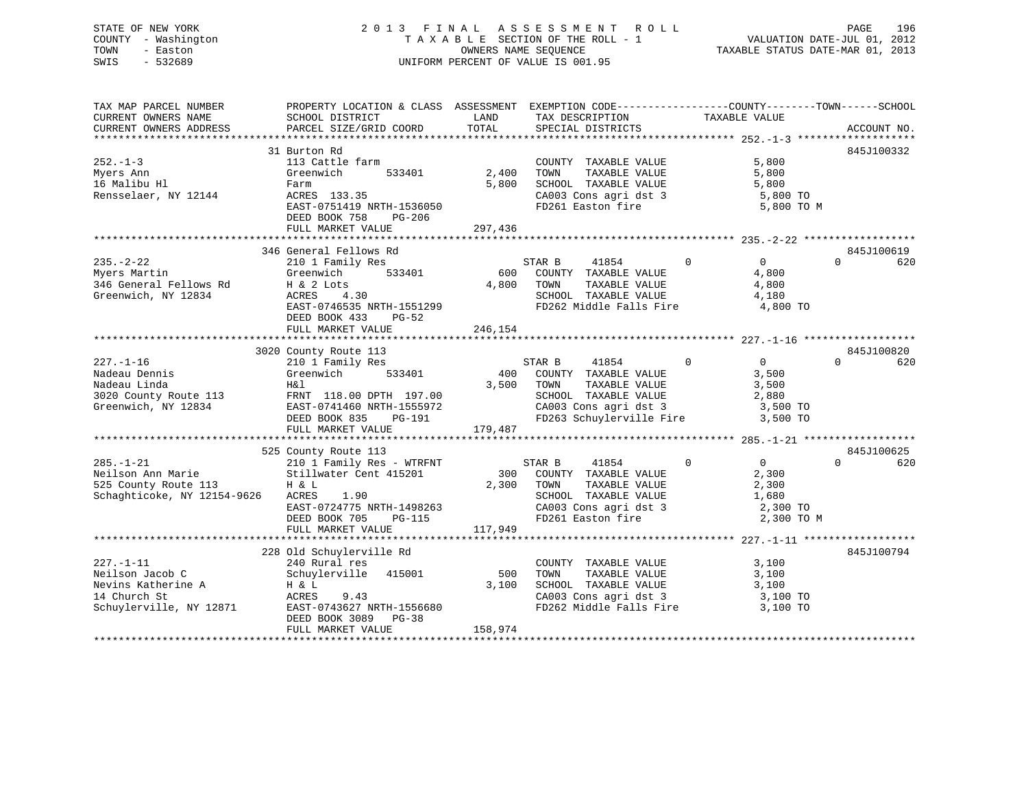# STATE OF NEW YORK 2 0 1 3 F I N A L A S S E S S M E N T R O L L PAGE 196 COUNTY - Washington T A X A B L E SECTION OF THE ROLL - 1 VALUATION DATE-JUL 01, 2012 TOWN - Easton **CONNERS NAME SEQUENCE** TAXABLE STATUS DATE-MAR 01, 2013 SWIS - 532689 UNIFORM PERCENT OF VALUE IS 001.95

| TAX MAP PARCEL NUMBER<br>CURRENT OWNERS NAME<br>CURRENT OWNERS ADDRESS | PROPERTY LOCATION & CLASS ASSESSMENT EXEMPTION CODE---------------COUNTY-------TOWN------SCHOOL<br>SCHOOL DISTRICT<br>PARCEL SIZE/GRID COORD | LAND<br>TOTAL | TAX DESCRIPTION<br>SPECIAL DISTRICTS            | TAXABLE VALUE                    | ACCOUNT NO.     |
|------------------------------------------------------------------------|----------------------------------------------------------------------------------------------------------------------------------------------|---------------|-------------------------------------------------|----------------------------------|-----------------|
|                                                                        |                                                                                                                                              |               |                                                 |                                  |                 |
|                                                                        | 31 Burton Rd                                                                                                                                 |               |                                                 |                                  | 845J100332      |
| $252. - 1 - 3$                                                         | 113 Cattle farm                                                                                                                              |               | COUNTY TAXABLE VALUE                            | 5,800                            |                 |
| Myers Ann                                                              | 533401<br>Greenwich                                                                                                                          | 2,400         | TOWN<br>TAXABLE VALUE                           | 5,800                            |                 |
| 16 Malibu Hl                                                           | Farm                                                                                                                                         | 5,800         | SCHOOL TAXABLE VALUE                            | 5,800                            |                 |
| Rensselaer, NY 12144                                                   | ACRES 133.35                                                                                                                                 |               | CA003 Cons agri dst 3                           | 5,800 TO                         |                 |
|                                                                        | EAST-0751419 NRTH-1536050                                                                                                                    |               | FD261 Easton fire                               | 5,800 TO M                       |                 |
|                                                                        | DEED BOOK 758<br>PG-206                                                                                                                      |               |                                                 |                                  |                 |
|                                                                        | FULL MARKET VALUE                                                                                                                            | 297,436       |                                                 |                                  |                 |
|                                                                        |                                                                                                                                              |               |                                                 |                                  |                 |
|                                                                        | 346 General Fellows Rd                                                                                                                       |               |                                                 |                                  | 845J100619      |
| $235. - 2 - 22$                                                        | 210 1 Family Res                                                                                                                             |               | STAR B<br>41854                                 | $\overline{0}$<br>$\overline{0}$ | $\Omega$<br>620 |
| Myers Martin                                                           | 533401<br>Greenwich                                                                                                                          |               | 600 COUNTY TAXABLE VALUE                        | 4,800                            |                 |
| 346 General Fellows Rd H & 2 Lots                                      |                                                                                                                                              | 4,800         | TOWN<br>TAXABLE VALUE                           | 4,800                            |                 |
| Greenwich, NY 12834                                                    | ACRES 4.30                                                                                                                                   |               | SCHOOL TAXABLE VALUE<br>FD262 Middle Falls Fire | 4,180                            |                 |
|                                                                        | EAST-0746535 NRTH-1551299                                                                                                                    |               |                                                 | 4,800 TO                         |                 |
|                                                                        | DEED BOOK 433<br>PG-52                                                                                                                       |               |                                                 |                                  |                 |
|                                                                        | FULL MARKET VALUE                                                                                                                            | 246,154       |                                                 |                                  |                 |
|                                                                        |                                                                                                                                              |               |                                                 |                                  |                 |
|                                                                        | 3020 County Route 113                                                                                                                        |               |                                                 |                                  | 845J100820      |
| $227. - 1 - 16$                                                        | 210 1 Family Res                                                                                                                             |               | STAR B<br>41854                                 | $\overline{0}$<br>$\Omega$       | $\Omega$<br>620 |
| Nadeau Dennis                                                          | Greenwich<br>533401                                                                                                                          | 400           | COUNTY TAXABLE VALUE                            | 3,500                            |                 |
| Nadeau Linda                                                           | H&l                                                                                                                                          | 3,500         | TOWN<br>TAXABLE VALUE                           | 3,500                            |                 |
| 3020 County Route 113                                                  | FRNT 118.00 DPTH 197.00                                                                                                                      |               | SCHOOL TAXABLE VALUE                            | 2,880                            |                 |
| Greenwich, NY 12834                                                    | EAST-0741460 NRTH-1555972                                                                                                                    |               | CA003 Cons agri dst 3                           | 3,500 TO                         |                 |
|                                                                        | DEED BOOK 835<br>PG-191<br>FULL MARKET VALUE                                                                                                 | 179,487       | FD263 Schuylerville Fire                        | 3,500 TO                         |                 |
|                                                                        |                                                                                                                                              |               |                                                 |                                  |                 |
|                                                                        | 525 County Route 113                                                                                                                         |               |                                                 |                                  | 845J100625      |
| $285. - 1 - 21$                                                        | 210 1 Family Res - WTRFNT                                                                                                                    |               | 41854<br>STAR B                                 | $\overline{0}$<br>$\overline{0}$ | $\Omega$<br>620 |
| Neilson Ann Marie                                                      | Stillwater Cent 415201                                                                                                                       | 300           | COUNTY TAXABLE VALUE                            | 2,300                            |                 |
| 525 County Route 113                                                   | H & L                                                                                                                                        | 2,300         | TOWN<br>TAXABLE VALUE                           | 2,300                            |                 |
| Schaghticoke, NY 12154-9626                                            | ACRES<br>1.90                                                                                                                                |               | SCHOOL TAXABLE VALUE                            | 1,680                            |                 |
|                                                                        | EAST-0724775 NRTH-1498263                                                                                                                    |               | CA003 Cons agri dst 3                           | 2,300 TO                         |                 |
|                                                                        | DEED BOOK 705<br>PG-115                                                                                                                      |               |                                                 | 2,300 TO M                       |                 |
|                                                                        | FULL MARKET VALUE                                                                                                                            | 117,949       |                                                 |                                  |                 |
|                                                                        |                                                                                                                                              |               |                                                 |                                  |                 |
|                                                                        | 228 Old Schuylerville Rd                                                                                                                     |               |                                                 |                                  | 845J100794      |
| $227. - 1 - 11$                                                        | 240 Rural res                                                                                                                                |               | COUNTY TAXABLE VALUE                            | 3,100                            |                 |
| Neilson Jacob C                                                        | Schuylerville<br>415001                                                                                                                      | 500           | TOWN<br>TAXABLE VALUE                           | 3,100                            |                 |
| Nevins Katherine A                                                     | H & L                                                                                                                                        | 3,100         | SCHOOL TAXABLE VALUE                            | 3,100                            |                 |
| 14 Church St                                                           | ACRES<br>9.43                                                                                                                                |               | CA003 Cons agri dst 3                           | 3,100 TO                         |                 |
| Schuylerville, NY 12871                                                | EAST-0743627 NRTH-1556680                                                                                                                    |               | FD262 Middle Falls Fire                         | 3,100 TO                         |                 |
|                                                                        | DEED BOOK 3089 PG-38                                                                                                                         |               |                                                 |                                  |                 |
|                                                                        | FULL MARKET VALUE                                                                                                                            | 158,974       |                                                 |                                  |                 |
|                                                                        |                                                                                                                                              |               |                                                 |                                  |                 |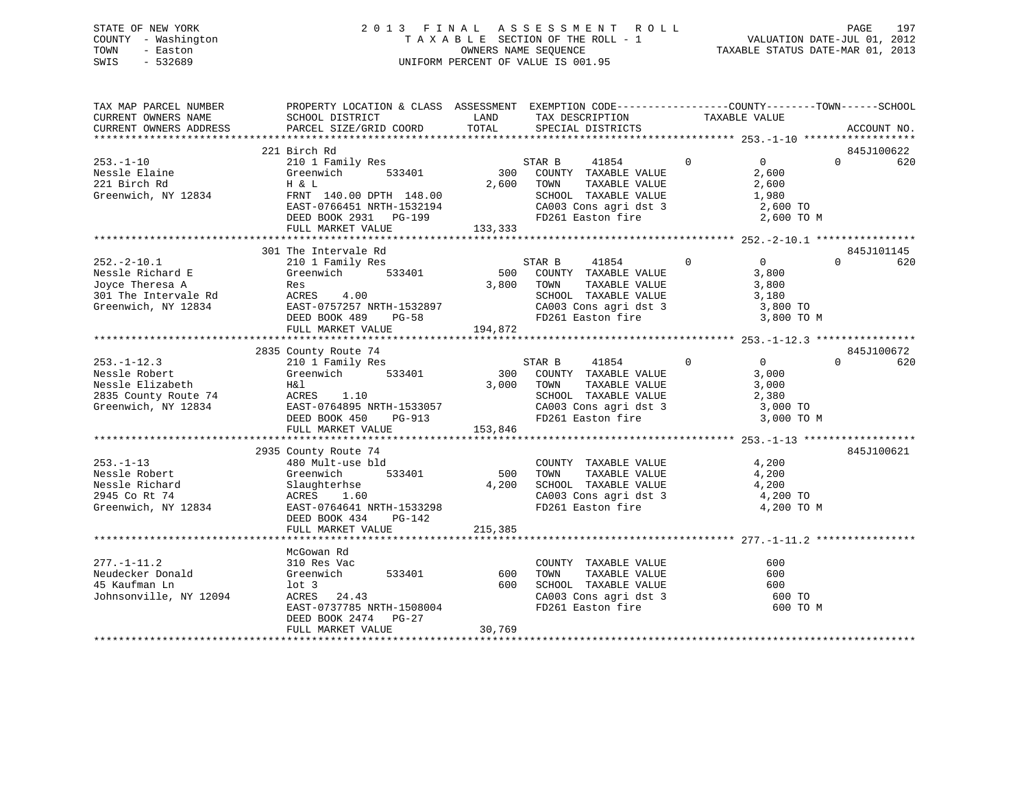# STATE OF NEW YORK 2 0 1 3 F I N A L A S S E S S M E N T R O L L PAGE 197 COUNTY - Washington T A X A B L E SECTION OF THE ROLL - 1 VALUATION DATE-JUL 01, 2012 TOWN - Easton **CONNERS NAME SEQUENCE** TAXABLE STATUS DATE-MAR 01, 2013 SWIS - 532689 UNIFORM PERCENT OF VALUE IS 001.95

| TAX MAP PARCEL NUMBER<br>CURRENT OWNERS NAME                                                           | PROPERTY LOCATION & CLASS ASSESSMENT EXEMPTION CODE----------------COUNTY-------TOWN------SCHOOL<br>SCHOOL DISTRICT                                                                                                                                                                                                      | LAND                        | TAX DESCRIPTION                                                                                                                                     | TAXABLE VALUE                                                                     |                               |
|--------------------------------------------------------------------------------------------------------|--------------------------------------------------------------------------------------------------------------------------------------------------------------------------------------------------------------------------------------------------------------------------------------------------------------------------|-----------------------------|-----------------------------------------------------------------------------------------------------------------------------------------------------|-----------------------------------------------------------------------------------|-------------------------------|
| CURRENT OWNERS ADDRESS                                                                                 | PARCEL SIZE/GRID COORD                                                                                                                                                                                                                                                                                                   | TOTAL                       | SPECIAL DISTRICTS                                                                                                                                   |                                                                                   | ACCOUNT NO.                   |
|                                                                                                        |                                                                                                                                                                                                                                                                                                                          |                             |                                                                                                                                                     |                                                                                   |                               |
| $253. - 1 - 10$<br>Nessle Elaine<br>221 Birch Rd<br>Greenwich, NY 12834                                | 221 Birch Rd<br>210 1 Family Res<br>533401<br>Greenwich<br>H & L<br>FRNT 140.00 DPTH 148.00<br>EAST-0766451 NRTH-1532194<br>DEED BOOK 2931 PG-199<br>FULL MARKET VALUE                                                                                                                                                   | 133,333                     | 41854 0<br>STAR B<br>300 COUNTY TAXABLE VALUE<br>2,600 TOWN TAXABLE VALUE<br>SCHOOL TAXABLE VALUE<br>CA003 Cons agri dst 3<br>FD261 Easton fire     | $\overline{0}$<br>2,600<br>2,600<br>1,980<br>$1,300$ TO<br>2,600 TO<br>2,600 TO M | 845J100622<br>$\Omega$<br>620 |
|                                                                                                        |                                                                                                                                                                                                                                                                                                                          |                             |                                                                                                                                                     |                                                                                   |                               |
| $252 - 2 - 10.1$<br>Nessle Richard E<br>Joyce Theresa A<br>301 The Intervale Rd<br>Greenwich, NY 12834 | 301 The Intervale Rd<br>210 1 Family Res<br>Greenwich 533401<br>Res<br>ACRES 4.00<br>EAST-0757257 NRTH-1532897<br>DEED BOOK 489 PG-58<br>FULL MARKET VALUE                                                                                                                                                               | 3,800 TOWN<br>194,872       | 41854 0<br>STAR B<br>500 COUNTY TAXABLE VALUE<br>TAXABLE VALUE<br>SCHOOL TAXABLE VALUE 3,180<br>CA003 Cons agri dst 3 3,800 TO<br>FD261 Easton fire | $\overline{0}$<br>3,800<br>3,800<br>3,800 TO M                                    | 845J101145<br>$\Omega$<br>620 |
|                                                                                                        |                                                                                                                                                                                                                                                                                                                          |                             |                                                                                                                                                     |                                                                                   |                               |
|                                                                                                        | 2835 County Route 74                                                                                                                                                                                                                                                                                                     |                             |                                                                                                                                                     |                                                                                   | 845J100672                    |
| $253. - 1 - 12.3$<br>Nessle Robert<br>Nessle Elizabeth<br>2835 County Route 74                         | 210 1 Family Res<br>Greenwich 533401<br>H&l<br>ACRES       1.10<br>EXECUTIVE TRANSPORT EXECUTIVE THE EXECUTIVE TRANSPORTED SERVICE PRESSURE THE PROOF OF POST OF POST OF POST OF POST OF POST OF POST OF POST OF POST OF POST OF POST OF POST OF POST OF POST OF POST OF POST OF POST OF POST OF<br>DEED BOOK 450 PG-913 | 3,000 TOWN                  | STAR B 41854 0<br>300 COUNTY TAXABLE VALUE<br>TAXABLE VALUE<br>SCHOOL TAXABLE VALUE 2,380<br>CA003 Cons agri dst 3 3,000 TO<br>FD261 Easton fire    | $\overline{0}$<br>3,000<br>3,000<br>3,000 TO M                                    | $\Omega$<br>620               |
|                                                                                                        | FULL MARKET VALUE                                                                                                                                                                                                                                                                                                        | 153,846                     |                                                                                                                                                     |                                                                                   |                               |
|                                                                                                        |                                                                                                                                                                                                                                                                                                                          |                             |                                                                                                                                                     |                                                                                   |                               |
| $253. - 1 - 13$<br>Nessle Robert<br>Nessle Richard<br>2945 Co Rt 74<br>Greenwich, NY 12834             | 2935 County Route 74<br>480 Mult-use bld<br>Greenwich<br>533401<br>Slaughternse<br>ACRES 1.60<br>EAST-0764641 NRTH-1533298<br>DEED BOOK 434 PG-142                                                                                                                                                                       | 500<br>4,200                | COUNTY TAXABLE VALUE<br>TOWN TAXABLE VALUE<br>SCHOOL TAXABLE VALUE 4,200<br>CA003 Cons agri dst 3 4,200 TO<br>FD261 Easton fire                     | 4,200<br>4,200<br>4,200 TO M                                                      | 845J100621                    |
|                                                                                                        | FULL MARKET VALUE                                                                                                                                                                                                                                                                                                        | 215,385                     |                                                                                                                                                     |                                                                                   |                               |
|                                                                                                        |                                                                                                                                                                                                                                                                                                                          |                             |                                                                                                                                                     |                                                                                   |                               |
| $277. - 1 - 11.2$<br>Neudecker Donald<br>45 Kaufman Ln<br>Johnsonville, NY 12094                       | McGowan Rd<br>310 Res Vac<br>Greenwich<br>$1$ ot 3<br>ACRES 24.43<br>EAST-0737785 NRTH-1508004<br>DEED BOOK 2474 PG-27<br>FULL MARKET VALUE                                                                                                                                                                              | 533401 600<br>600<br>30,769 | COUNTY TAXABLE VALUE<br>TAXABLE VALUE<br>TOWN<br>SCHOOL TAXABLE VALUE<br>CA003 Cons agri dst 3 600 TO<br>FD261 Easton fire                          | 600<br>600<br>600<br>600 TO M                                                     |                               |
|                                                                                                        |                                                                                                                                                                                                                                                                                                                          |                             |                                                                                                                                                     |                                                                                   |                               |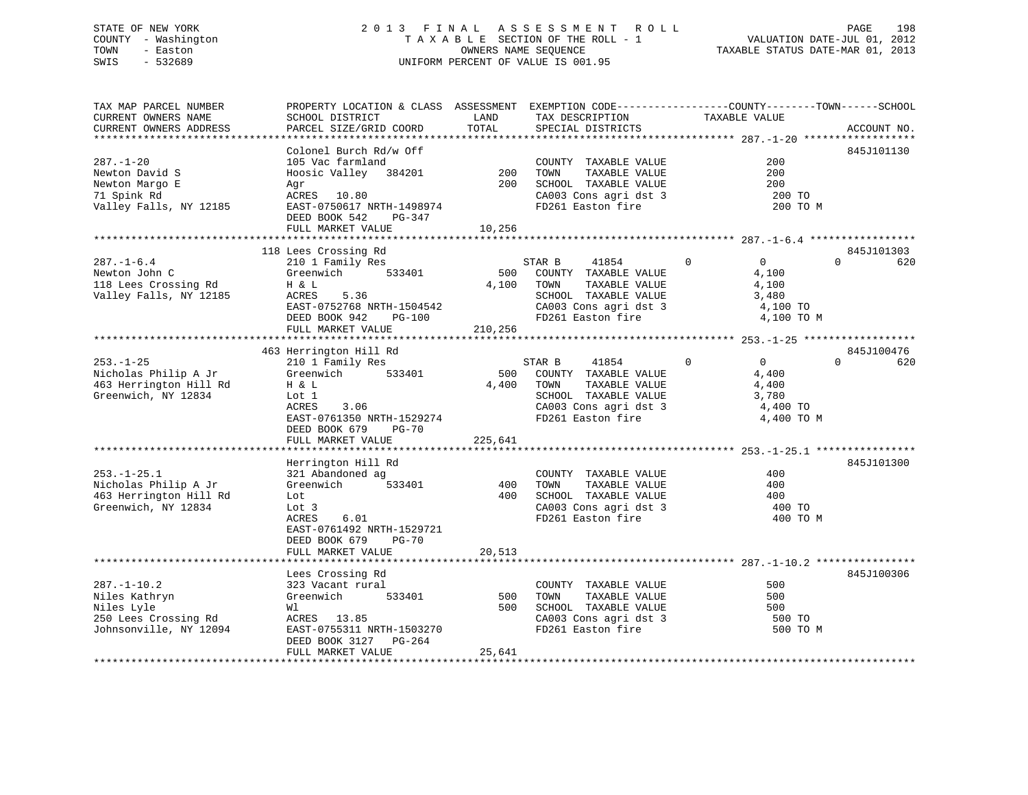# STATE OF NEW YORK 2 0 1 3 F I N A L A S S E S S M E N T R O L L PAGE 198 COUNTY - Washington T A X A B L E SECTION OF THE ROLL - 1 VALUATION DATE-JUL 01, 2012 TOWN - Easton OWNERS NAME SEQUENCE TAXABLE STATUS DATE-MAR 01, 2013 SWIS - 532689 UNIFORM PERCENT OF VALUE IS 001.95

| TAX MAP PARCEL NUMBER<br>CURRENT OWNERS NAME                                                       | PROPERTY LOCATION & CLASS ASSESSMENT EXEMPTION CODE----------------COUNTY-------TOWN------SCHOOL<br>SCHOOL DISTRICT                                          | LAND                    | TAX DESCRIPTION                                                                                                                            | TAXABLE VALUE                                                                      |                 |
|----------------------------------------------------------------------------------------------------|--------------------------------------------------------------------------------------------------------------------------------------------------------------|-------------------------|--------------------------------------------------------------------------------------------------------------------------------------------|------------------------------------------------------------------------------------|-----------------|
| CURRENT OWNERS ADDRESS<br>************************                                                 | PARCEL SIZE/GRID COORD                                                                                                                                       | TOTAL                   | SPECIAL DISTRICTS                                                                                                                          |                                                                                    | ACCOUNT NO.     |
| $287. - 1 - 20$                                                                                    | Colonel Burch Rd/w Off<br>105 Vac farmland                                                                                                                   | 200                     | COUNTY TAXABLE VALUE                                                                                                                       | 200<br>200                                                                         | 845J101130      |
| Newton David S<br>Newton Margo E<br>71 Spink Rd<br>Valley Falls, NY 12185                          | Hoosic Valley 384201<br>Agr<br>ACRES 10.80<br>EAST-0750617 NRTH-1498974                                                                                      | 200                     | TOWN<br>TAXABLE VALUE<br>SCHOOL TAXABLE VALUE<br>CA003 Cons agri dst 3<br>FD261 Easton fire                                                | 200<br>200 TO<br>200 TO M                                                          |                 |
|                                                                                                    | DEED BOOK 542<br>PG-347<br>FULL MARKET VALUE                                                                                                                 | 10,256                  |                                                                                                                                            |                                                                                    |                 |
|                                                                                                    | 118 Lees Crossing Rd                                                                                                                                         |                         |                                                                                                                                            |                                                                                    | 845J101303      |
| $287. - 1 - 6.4$<br>Newton John C<br>118 Lees Crossing Rd<br>Valley Falls, NY 12185                | 210 1 Family Res<br>Greenwich 533401<br>H & L<br>ACRES<br>5.36<br>EAST-0752768 NRTH-1504542<br>DEED BOOK 942<br>PG-100<br>FULL MARKET VALUE                  | 500<br>4,100<br>210,256 | STAR B<br>41854<br>COUNTY TAXABLE VALUE<br>TOWN<br>TAXABLE VALUE<br>SCHOOL TAXABLE VALUE<br>CA003 Cons agri dst 3<br>FD261 Easton fire     | $\Omega$<br>$\overline{0}$<br>4,100<br>4,100<br>3,480<br>4,100 TO<br>4,100 TO M    | $\Omega$<br>620 |
|                                                                                                    | 463 Herrington Hill Rd                                                                                                                                       |                         |                                                                                                                                            |                                                                                    | 845J100476      |
| $253. - 1 - 25$<br>Nicholas Philip A Jr<br>463 Herrington Hill Rd<br>Greenwich, NY 12834           | 210 1 Family Res<br>533401<br>Greenwich<br>H & L<br>Lot 1<br>ACRES<br>3.06<br>EAST-0761350 NRTH-1529274<br>DEED BOOK 679<br>$PG-70$<br>FULL MARKET VALUE     | 4,400<br>225,641        | STAR B<br>41854<br>500 COUNTY TAXABLE VALUE<br>TOWN<br>TAXABLE VALUE<br>SCHOOL TAXABLE VALUE<br>CA003 Cons agri dst 3<br>FD261 Easton fire | $\mathbf 0$<br>$\overline{0}$<br>4,400<br>4,400<br>3,780<br>4,400 TO<br>4,400 TO M | $\Omega$<br>620 |
|                                                                                                    |                                                                                                                                                              |                         |                                                                                                                                            |                                                                                    |                 |
| $253. - 1 - 25.1$<br>Nicholas Philip A Jr<br>463 Herrington Hill Rd<br>Greenwich, NY 12834         | Herrington Hill Rd<br>321 Abandoned ag<br>Greenwich<br>533401<br>Lot<br>Lot 3<br>ACRES<br>6.01<br>EAST-0761492 NRTH-1529721<br>DEED BOOK 679<br><b>PG-70</b> | 400<br>400              | COUNTY TAXABLE VALUE<br>TOWN<br>TAXABLE VALUE<br>SCHOOL TAXABLE VALUE<br>CA003 Cons agri dst 3<br>FD261 Easton fire                        | 400<br>400<br>400<br>400 TO<br>400 TO M                                            | 845J101300      |
|                                                                                                    | FULL MARKET VALUE                                                                                                                                            | 20,513                  |                                                                                                                                            |                                                                                    |                 |
|                                                                                                    |                                                                                                                                                              |                         |                                                                                                                                            |                                                                                    |                 |
| $287. - 1 - 10.2$<br>Niles Kathryn<br>Niles Lyle<br>250 Lees Crossing Rd<br>Johnsonville, NY 12094 | Lees Crossing Rd<br>323 Vacant rural<br>Greenwich<br>533401<br>Wl<br>ACRES 13.85<br>EAST-0755311 NRTH-1503270<br>DEED BOOK 3127 PG-264<br>FULL MARKET VALUE  | 500<br>500<br>25,641    | COUNTY TAXABLE VALUE<br>TOWN<br>TAXABLE VALUE<br>SCHOOL TAXABLE VALUE<br>CA003 Cons agri dst 3<br>FD261 Easton fire                        | 500<br>500<br>500<br>500 TO<br>500 TO M                                            | 845J100306      |
|                                                                                                    |                                                                                                                                                              |                         |                                                                                                                                            |                                                                                    |                 |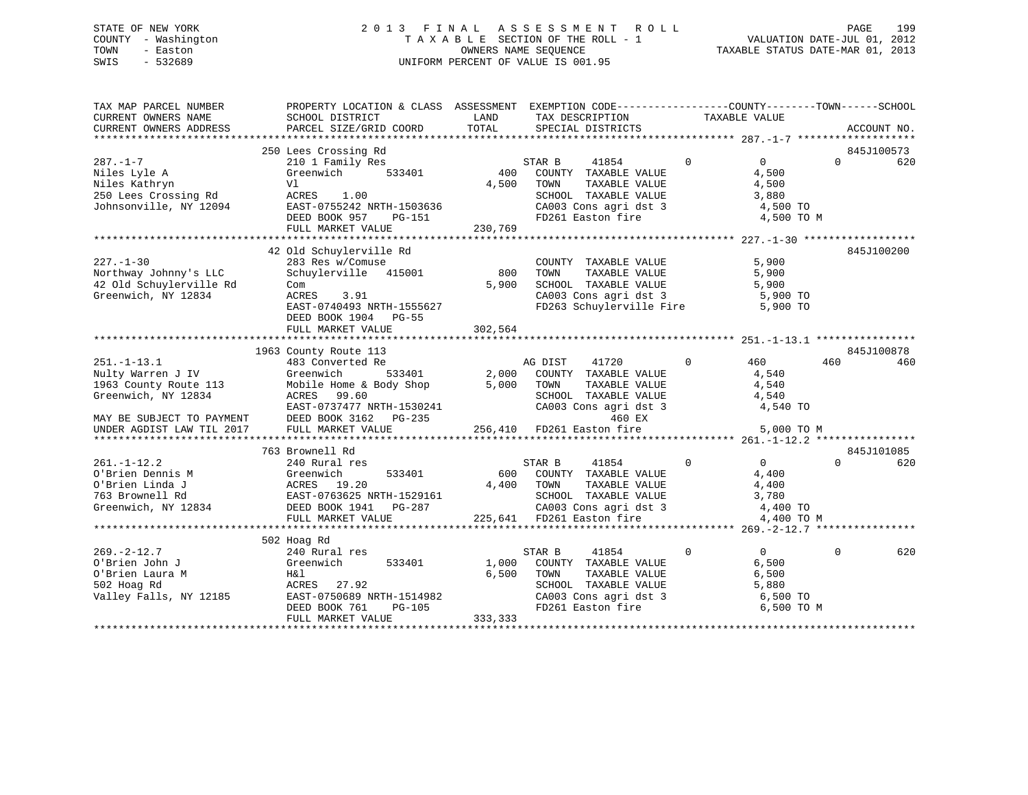# STATE OF NEW YORK 2 0 1 3 F I N A L A S S E S S M E N T R O L L PAGE 199 COUNTY - Washington T A X A B L E SECTION OF THE ROLL - 1 VALUATION DATE-JUL 01, 2012 TOWN - Easton **CONNERS NAME SEQUENCE** TAXABLE STATUS DATE-MAR 01, 2013 SWIS - 532689 UNIFORM PERCENT OF VALUE IS 001.95

| TAX MAP PARCEL NUMBER<br>CURRENT OWNERS NAME<br>CURRENT OWNERS ADDRESS                                                                           | PROPERTY LOCATION & CLASS ASSESSMENT EXEMPTION CODE---------------COUNTY-------TOWN------SCHOOL<br>SCHOOL DISTRICT<br>PARCEL SIZE/GRID COORD                                                      | LAND<br>TOTAL             | TAX DESCRIPTION<br>SPECIAL DISTRICTS                                                                                                                                                                          | TAXABLE VALUE                                                                         | ACCOUNT NO.                   |
|--------------------------------------------------------------------------------------------------------------------------------------------------|---------------------------------------------------------------------------------------------------------------------------------------------------------------------------------------------------|---------------------------|---------------------------------------------------------------------------------------------------------------------------------------------------------------------------------------------------------------|---------------------------------------------------------------------------------------|-------------------------------|
| $287. - 1 - 7$<br>Niles Lyle A<br>Niles Kathryn<br>250 Lees Crossing Rd<br>Johnsonville, NY 12094                                                | 250 Lees Crossing Rd<br>210 1 Family Res<br>Greenwich<br>533401<br>Vl<br>ACRES 1.00<br>ADJLE<br>EAST-0755242 NRTH-1503636<br>PERE BOOK 057 DG-151<br>DEED BOOK 957<br>PG-151<br>FULL MARKET VALUE | 400<br>4,500<br>230,769   | 41854<br>STAR B<br>COUNTY TAXABLE VALUE<br>TOWN<br>TAXABLE VALUE<br>SCHOOL TAXABLE VALUE<br>CA003 Cons agri dst 3<br>FD261 Easton fire                                                                        | $\overline{0}$<br>$\overline{0}$<br>4,500<br>4,500<br>3,880<br>4,500 TO<br>4,500 TO M | 845J100573<br>$\Omega$<br>620 |
| $227. - 1 - 30$<br>Northway Johnny's LLC<br>42 Old Schuylerville Rd<br>Greenwich, NY 12834                                                       | 42 Old Schuylerville Rd<br>283 Res w/Comuse<br>Schuylerville 415001<br>Com<br>3.91<br>ACRES<br>EAST-0740493 NRTH-1555627<br>DEED BOOK 1904 PG-55<br>FULL MARKET VALUE                             | 800<br>5,900<br>302,564   | COUNTY TAXABLE VALUE<br>TOWN<br>TAXABLE VALUE<br>SCHOOL TAXABLE VALUE<br>CA003 Cons agri dst 3<br>FD263 Schuylerville Fire 5,900 TO                                                                           | 5,900<br>5,900<br>5,900<br>5,900 TO                                                   | 845J100200                    |
| $251. - 1 - 13.1$<br>Nulty Warren J IV<br>1963 County Route 113<br>Greenwich, NY 12834<br>MAY BE SUBJECT TO PAYMENT<br>UNDER AGDIST LAW TIL 2017 | 1963 County Route 113<br>483 Converted Re<br>Greenwich<br>533401<br>Mobile Home & Body Shop 5,000<br>ACRES 99.60<br>EAST-0737477 NRTH-1530241<br>DEED BOOK 3162 PG-235<br>FULL MARKET VALUE       | 2,000                     | AG DIST<br>41720<br>COUNTY TAXABLE VALUE<br>TOWN<br>TAXABLE VALUE<br>TOWN      TAXABLE VALUE<br>SCHOOL   TAXABLE VALUE<br>CA003 Cons agri dst 3<br>460 EX<br>256,410 FD261 Easton fire                        | $\Omega$<br>460<br>4,540<br>4,540<br>4,540<br>4,540 TO<br>5,000 TO M                  | 845J100878<br>460<br>460      |
| $261. - 1 - 12.2$<br>O'Brien Dennis M<br>O'Brien Linda J<br>763 Brownell Rd                                                                      | 763 Brownell Rd<br>240 Rural res<br>Greenwich<br>533401<br>ACRES 19.20<br>EAST-0763625 NRTH-1529161<br>Greenwich, NY 12834 DEED BOOK 1941 PG-287<br>FULL MARKET VALUE                             | 600                       | 41854<br>STAR B<br>COUNTY TAXABLE VALUE<br>4,400<br>-,, 1000 TAXABLE VALUE<br>SCHOOL TAXABLE VALUE<br>CA003 Cons agri dst 3<br>225,641 FD261 Easton fire<br>1.400 TO<br>225,641 FD261 Easton fire<br>1.400 TO | $\overline{0}$<br>$\Omega$<br>4,400<br>4,400 TO M                                     | 845J101085<br>$\Omega$<br>620 |
| $269. - 2 - 12.7$<br>O'Brien John J<br>O'Brien Laura M<br>502 Hoag Rd<br>Valley Falls, NY 12185                                                  | 502 Hoag Rd<br>240 Rural res<br>Greenwich<br>533401<br>Η&l<br>ACRES 27.92<br>EAST-0750689 NRTH-1514982<br>DEED BOOK 761<br>PG-105<br>FULL MARKET VALUE                                            | 1,000<br>6,500<br>333,333 | 41854<br>STAR B<br>COUNTY TAXABLE VALUE<br>TOWN<br>TAXABLE VALUE<br>SCHOOL TAXABLE VALUE<br>SCHOOL TAXABLE VALUE<br>CA003 Cons agri dst 3<br>FD261 Easton fire                                                | $\Omega$<br>$\overline{0}$<br>6,500<br>6,500<br>5,880<br>6,500 TO<br>6,500 ТО М       | $\Omega$<br>620               |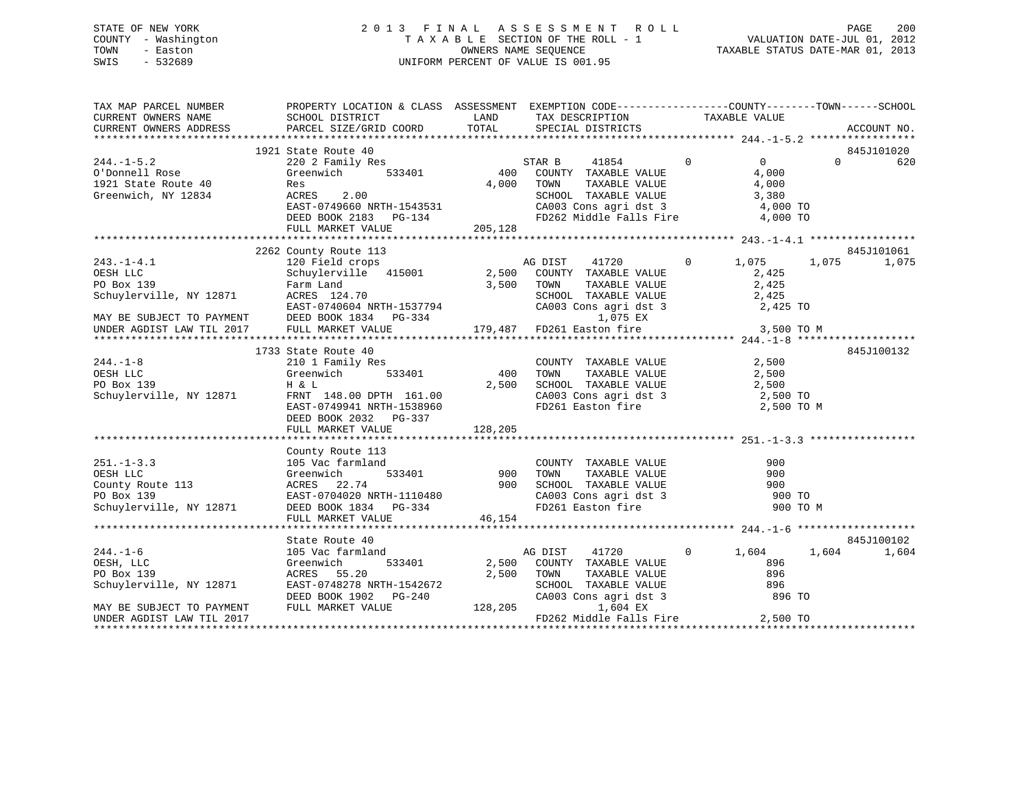# STATE OF NEW YORK 2 0 1 3 F I N A L A S S E S S M E N T R O L L PAGE 200 COUNTY - Washington T A X A B L E SECTION OF THE ROLL - 1 VALUATION DATE-JUL 01, 2012 TOWN - Easton OWNERS NAME SEQUENCE TAXABLE STATUS DATE-MAR 01, 2013 SWIS - 532689 UNIFORM PERCENT OF VALUE IS 001.95

| TAX MAP PARCEL NUMBER<br>CURRENT OWNERS NAME | PROPERTY LOCATION & CLASS ASSESSMENT EXEMPTION CODE---------------COUNTY-------TOWN-----SCHOOL<br>PROPERTY DUCATION                                                                                                                                                        |                               |                                                                                                                                                      |                |          |             |
|----------------------------------------------|----------------------------------------------------------------------------------------------------------------------------------------------------------------------------------------------------------------------------------------------------------------------------|-------------------------------|------------------------------------------------------------------------------------------------------------------------------------------------------|----------------|----------|-------------|
| CURRENT OWNERS ADDRESS                       |                                                                                                                                                                                                                                                                            |                               |                                                                                                                                                      |                |          | ACCOUNT NO. |
|                                              |                                                                                                                                                                                                                                                                            |                               |                                                                                                                                                      |                |          | 845J101020  |
| $244. -1 - 5.2$                              | 1921 State Route 40<br>State Route 40<br>220 2 Family Res<br>Greenwich 533401<br>100 COUNTY TAXABLE VALUE                                                                                                                                                                  |                               | $\begin{array}{ccc} 41854 & 0 & 0 \\ \text{TAXABLE VALUE} & & 4,000 \end{array}$                                                                     | $\overline{0}$ | $\Omega$ | 620         |
| 0'Donnell Rose                               |                                                                                                                                                                                                                                                                            |                               |                                                                                                                                                      |                |          |             |
|                                              |                                                                                                                                                                                                                                                                            | 4,000 TOWN                    |                                                                                                                                                      |                |          |             |
| 1921 State Route 40<br>Greenwich, NY 12834   | Res<br>2.00                                                                                                                                                                                                                                                                |                               |                                                                                                                                                      |                |          |             |
| Greenwich, NY 12834                          | ACRES                                                                                                                                                                                                                                                                      |                               |                                                                                                                                                      |                |          |             |
|                                              | EAST-0749660 NRTH-1543531<br>DEED BOOK 2183 PG-134                                                                                                                                                                                                                         |                               |                                                                                                                                                      |                |          |             |
|                                              |                                                                                                                                                                                                                                                                            | 205,128                       | COUNTI TAAABLE VALUE<br>TOWN TAXABLE VALUE 4,000<br>SCHOOL TAXABLE VALUE 3,380<br>CA003 Cons agri dst 3 4,000 TO<br>FD262 Middle Falls Fire 4,000 TO |                |          |             |
|                                              | FULL MARKET VALUE                                                                                                                                                                                                                                                          |                               |                                                                                                                                                      |                |          |             |
|                                              | 2262 County Route 113                                                                                                                                                                                                                                                      |                               |                                                                                                                                                      |                |          | 845J101061  |
| $243. -1 - 4.1$                              |                                                                                                                                                                                                                                                                            |                               |                                                                                                                                                      |                | 1,075    | 1,075       |
|                                              |                                                                                                                                                                                                                                                                            |                               |                                                                                                                                                      |                |          |             |
|                                              |                                                                                                                                                                                                                                                                            |                               |                                                                                                                                                      |                |          |             |
|                                              |                                                                                                                                                                                                                                                                            |                               |                                                                                                                                                      |                |          |             |
|                                              |                                                                                                                                                                                                                                                                            |                               |                                                                                                                                                      |                |          |             |
|                                              |                                                                                                                                                                                                                                                                            |                               |                                                                                                                                                      |                |          |             |
|                                              |                                                                                                                                                                                                                                                                            |                               |                                                                                                                                                      |                |          |             |
|                                              |                                                                                                                                                                                                                                                                            |                               |                                                                                                                                                      |                |          |             |
|                                              |                                                                                                                                                                                                                                                                            |                               |                                                                                                                                                      |                |          |             |
|                                              | 1733 State Route 40<br>10<br>ily Res 533401<br>9 500 70WN<br>200 7500 70WN<br>200 7500 70WN                                                                                                                                                                                |                               |                                                                                                                                                      |                |          | 845J100132  |
| 39<br>$244. -1 - 8$                          | 210 1 Family Res                                                                                                                                                                                                                                                           |                               |                                                                                                                                                      |                |          |             |
| OESH LLC                                     | Greenwich                                                                                                                                                                                                                                                                  |                               |                                                                                                                                                      |                |          |             |
| PO Box 139                                   | H & L                                                                                                                                                                                                                                                                      |                               | COUNTY TAXABLE VALUE<br>TOWN TAXABLE VALUE 2,500<br>SCHOOL TAXABLE VALUE 2,500<br>2,500<br>2,500                                                     |                |          |             |
| Schuylerville, NY 12871                      |                                                                                                                                                                                                                                                                            |                               |                                                                                                                                                      |                |          |             |
|                                              | H & L 2,500<br>FRNT 148.00 DPTH 161.00<br>EAST-0749941 NRTH-1538960                                                                                                                                                                                                        |                               | CA003 Cons agri dst 3 2,500 TO<br>FD261 Easton fire 2,500 TO M                                                                                       |                |          |             |
|                                              | DEED BOOK 2032 PG-337                                                                                                                                                                                                                                                      |                               |                                                                                                                                                      |                |          |             |
|                                              |                                                                                                                                                                                                                                                                            |                               |                                                                                                                                                      |                |          |             |
|                                              |                                                                                                                                                                                                                                                                            |                               |                                                                                                                                                      |                |          |             |
|                                              | County Route 113                                                                                                                                                                                                                                                           |                               |                                                                                                                                                      |                |          |             |
|                                              |                                                                                                                                                                                                                                                                            |                               |                                                                                                                                                      | 900            |          |             |
|                                              |                                                                                                                                                                                                                                                                            |                               |                                                                                                                                                      | 900            |          |             |
|                                              |                                                                                                                                                                                                                                                                            |                               |                                                                                                                                                      | 900            |          |             |
|                                              |                                                                                                                                                                                                                                                                            |                               |                                                                                                                                                      | 900 TO         |          |             |
|                                              | 251.-1-3.3<br>251.-1-3.3<br>251.-1-3.3<br>251.-1-3.3<br>2105 Vac farmland<br>251.com<br>2105 Vac farmland<br>233401<br>2371<br>22.74<br>22.74<br>22.74<br>22.74<br>2371<br>22.74<br>23800 COUNTY TAXABLE VALUE<br>22.74<br>23.74<br>23.74<br>23.74<br>23.74<br>23.74<br>23 |                               |                                                                                                                                                      | 900 TO M       |          |             |
|                                              | FULL MARKET VALUE                                                                                                                                                                                                                                                          | 46,154                        |                                                                                                                                                      |                |          |             |
|                                              |                                                                                                                                                                                                                                                                            |                               |                                                                                                                                                      |                |          |             |
|                                              | State Route 40                                                                                                                                                                                                                                                             |                               |                                                                                                                                                      |                |          | 845J100102  |
| $244. -1 - 6$                                | 105 Vac farmland                                                                                                                                                                                                                                                           |                               | 41720 0<br>AG DIST                                                                                                                                   | 1,604          | 1,604    | 1,604       |
| OESH, LLC                                    | Greenwich                                                                                                                                                                                                                                                                  | d<br>533401 2,500             | COUNTY TAXABLE VALUE                                                                                                                                 | 896            |          |             |
| PO Box 139                                   | ACRES 55.20                                                                                                                                                                                                                                                                | 2,500                         |                                                                                                                                                      |                |          |             |
| Schuylerville, NY 12871                      | EAST-0748278 NRTH-1542672                                                                                                                                                                                                                                                  |                               |                                                                                                                                                      |                |          |             |
|                                              | DEED BOOK 1902    PG-240                                                                                                                                                                                                                                                   |                               | TOWN TAXABLE VALUE 896<br>SCHOOL TAXABLE VALUE 896<br>CA003 Cons agri dst 3 896 TO                                                                   |                |          |             |
| MAY BE SUBJECT TO PAYMENT                    | FULL MARKET VALUE                                                                                                                                                                                                                                                          | $G-240$ SCHOOL<br>G-240 CA003 | 1,604 EX                                                                                                                                             |                |          |             |
| UNDER AGDIST LAW TIL 2017                    |                                                                                                                                                                                                                                                                            |                               | FD262 Middle Falls Fire 2,500 TO                                                                                                                     |                |          |             |
|                                              |                                                                                                                                                                                                                                                                            |                               |                                                                                                                                                      |                |          |             |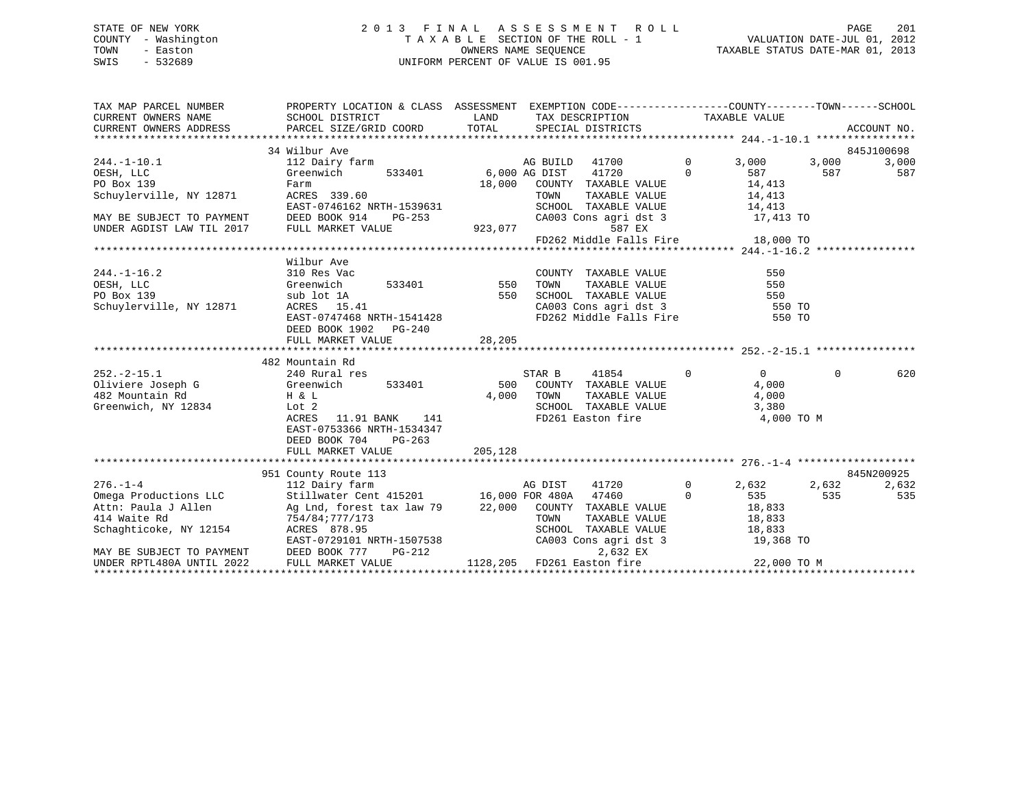# STATE OF NEW YORK 2 0 1 3 F I N A L A S S E S S M E N T R O L L PAGE 201 COUNTY - Washington T A X A B L E SECTION OF THE ROLL - 1 VALUATION DATE-JUL 01, 2012 TOWN - Easton **CONNERS NAME SEQUENCE** TAXABLE STATUS DATE-MAR 01, 2013 SWIS - 532689 UNIFORM PERCENT OF VALUE IS 001.95

| TAX MAP PARCEL NUMBER                                                                                                                                                                                                 | PROPERTY LOCATION & CLASS ASSESSMENT EXEMPTION CODE----------------COUNTY-------TOWN------SCHOOL |         |                                                                                             |                |                |            |
|-----------------------------------------------------------------------------------------------------------------------------------------------------------------------------------------------------------------------|--------------------------------------------------------------------------------------------------|---------|---------------------------------------------------------------------------------------------|----------------|----------------|------------|
|                                                                                                                                                                                                                       | 34 Wilbur Ave                                                                                    |         |                                                                                             |                |                | 845J100698 |
| $244. -1 - 10.1$                                                                                                                                                                                                      |                                                                                                  |         | AG BUILD 41700 0                                                                            | 3,000          | 3,000          | 3,000      |
| OESH, LLC                                                                                                                                                                                                             |                                                                                                  |         |                                                                                             | 587            | 587            | 587        |
| PO Box 139                                                                                                                                                                                                            | Farm                                                                                             | 18,000  | COUNTY TAXABLE VALUE 14,413                                                                 |                |                |            |
| Schuylerville, NY 12871                                                                                                                                                                                               | ACRES 339.60                                                                                     |         | TOWN<br>TAXABLE VALUE 14,413                                                                |                |                |            |
|                                                                                                                                                                                                                       | EAST-0746162 NRTH-1539631                                                                        |         |                                                                                             |                |                |            |
| MAY BE SUBJECT TO PAYMENT DEED BOOK 914                                                                                                                                                                               | $PG-253$                                                                                         |         | SCHOOL TAXABLE VALUE 14,413<br>CA003 Cons agri dst 3 17,413 TO                              |                |                |            |
| UNDER AGDIST LAW TIL 2017 FULL MARKET VALUE                                                                                                                                                                           |                                                                                                  |         | 923,077<br>587 EX                                                                           |                |                |            |
|                                                                                                                                                                                                                       |                                                                                                  |         | FD262 Middle Falls Fire 18,000 TO                                                           |                |                |            |
|                                                                                                                                                                                                                       |                                                                                                  |         |                                                                                             |                |                |            |
|                                                                                                                                                                                                                       | Wilbur Ave                                                                                       |         |                                                                                             |                |                |            |
| $244. -1 - 16.2$                                                                                                                                                                                                      | 310 Res Vac                                                                                      |         | COUNTY TAXABLE VALUE                                                                        | 550            |                |            |
| OESH, LLC<br>Greenwich<br>sub lot 1A                                                                                                                                                                                  | 533401 550                                                                                       |         | TAXABLE VALUE<br>TOWN                                                                       | 550            |                |            |
| PO Box 139                                                                                                                                                                                                            |                                                                                                  | 550     | SCHOOL TAXABLE VALUE 550<br>CA003 Cons agri dst 3 550 TO                                    |                |                |            |
| Schuylerville, NY 12871 ACRES 15.41                                                                                                                                                                                   |                                                                                                  |         |                                                                                             |                |                |            |
|                                                                                                                                                                                                                       | EAST-0747468 NRTH-1541428                                                                        |         | FD262 Middle Falls Fire 550 TO                                                              |                |                |            |
|                                                                                                                                                                                                                       | DEED BOOK 1902    PG-240                                                                         |         |                                                                                             |                |                |            |
|                                                                                                                                                                                                                       | FULL MARKET VALUE                                                                                | 28, 205 |                                                                                             |                |                |            |
|                                                                                                                                                                                                                       |                                                                                                  |         |                                                                                             |                |                |            |
|                                                                                                                                                                                                                       | 482 Mountain Rd                                                                                  |         |                                                                                             |                |                |            |
|                                                                                                                                                                                                                       |                                                                                                  |         | 41854 0<br>STAR B                                                                           | $\overline{0}$ | $\overline{0}$ | 620        |
|                                                                                                                                                                                                                       |                                                                                                  |         | 500 COUNTY TAXABLE VALUE                                                                    | 4,000          |                |            |
|                                                                                                                                                                                                                       |                                                                                                  | 4,000   | TOWN<br>TOWN       TAXABLE  VALUE<br>SCHOOL    TAXABLE  VALUE                               |                |                |            |
| Greenwich, NY 12834                                                                                                                                                                                                   | Lot 2                                                                                            |         |                                                                                             | 3,380          |                |            |
|                                                                                                                                                                                                                       | ACRES 11.91 BANK 141                                                                             |         | FD261 Easton fire 4,000 TO M                                                                |                |                |            |
|                                                                                                                                                                                                                       | EAST-0753366 NRTH-1534347                                                                        |         |                                                                                             |                |                |            |
|                                                                                                                                                                                                                       | DEED BOOK 704<br>PG-263                                                                          |         |                                                                                             |                |                |            |
|                                                                                                                                                                                                                       | FULL MARKET VALUE                                                                                | 205,128 |                                                                                             |                |                |            |
|                                                                                                                                                                                                                       | 951 County Route 113                                                                             |         |                                                                                             |                |                | 845N200925 |
| $276. - 1 - 4$                                                                                                                                                                                                        | 112 Dairy farm                                                                                   |         | AG DIST 41720 0                                                                             | 2,632          | 2,632          | 2,632      |
| Omega Productions LLC 5tillwater Cent 415201 16,000 FOR 480A 47460 0                                                                                                                                                  |                                                                                                  |         |                                                                                             | 535            | 535            | 535        |
|                                                                                                                                                                                                                       |                                                                                                  |         |                                                                                             |                |                |            |
|                                                                                                                                                                                                                       |                                                                                                  |         |                                                                                             |                |                |            |
| Attn: Paula J Allen 21.000 COUNTY TAXABLE VALUE 18,833<br>Attn: Paula J Allen 25,833<br>Schaghticoke, NY 12154 ACRES 878.95<br>EAST-0729101 NRTH-1507538 CA003 Cons agri dst 3 19,368<br>CA003 Cons agri dst 3 19,368 |                                                                                                  |         | TOWN TAXABLE VALUE 18,833<br>SCHOOL TAXABLE VALUE 18,833<br>CA003 Cons agri dst 3 19,368 TO |                |                |            |
|                                                                                                                                                                                                                       |                                                                                                  |         |                                                                                             |                |                |            |
| MAY BE SUBJECT TO PAYMENT                                                                                                                                                                                             | DEED BOOK 777<br>$PG-212$                                                                        |         | 2,632 EX                                                                                    |                |                |            |
|                                                                                                                                                                                                                       | FULL MARKET VALUE                                                                                |         | 1128,205 FD261 Easton fire 22,000 TO M                                                      |                |                |            |
|                                                                                                                                                                                                                       |                                                                                                  |         |                                                                                             |                |                |            |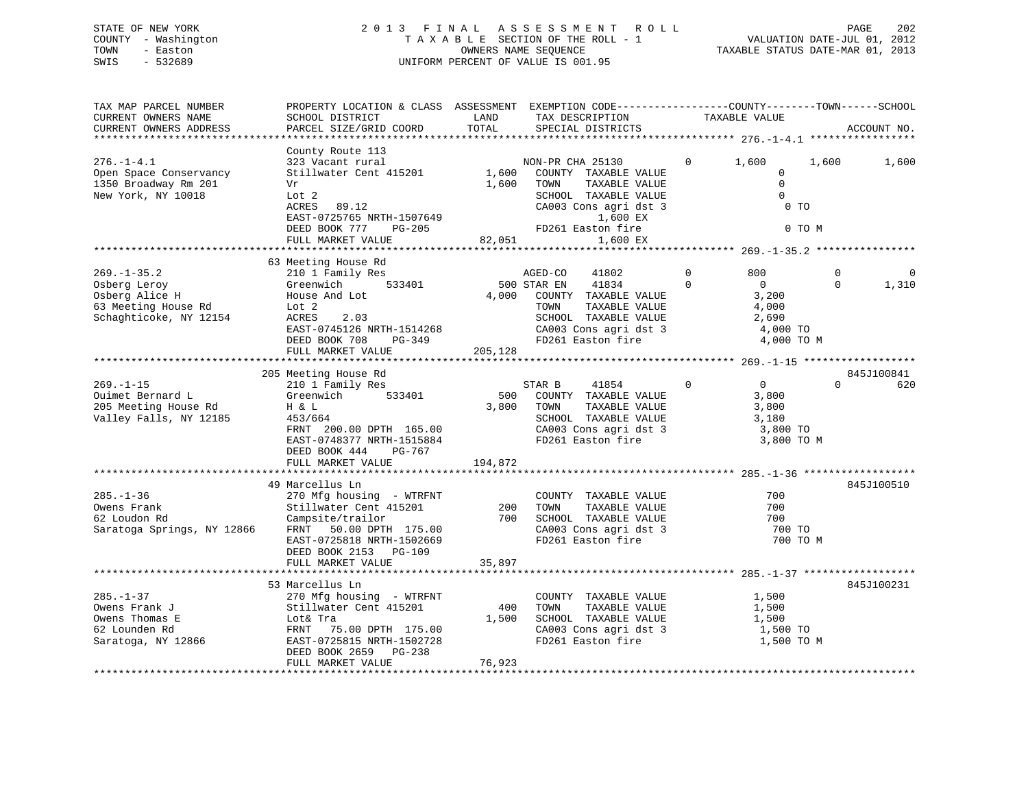# STATE OF NEW YORK 2 0 1 3 F I N A L A S S E S S M E N T R O L L PAGE 202 COUNTY - Washington T A X A B L E SECTION OF THE ROLL - 1 VALUATION DATE-JUL 01, 2012 TOWN - Easton OWNERS NAME SEQUENCE TAXABLE STATUS DATE-MAR 01, 2013 SWIS - 532689 UNIFORM PERCENT OF VALUE IS 001.95

| TAX MAP PARCEL NUMBER<br>CURRENT OWNERS NAME<br>CURRENT OWNERS ADDRESS                               | PROPERTY LOCATION & CLASS ASSESSMENT<br>SCHOOL DISTRICT<br>PARCEL SIZE/GRID COORD                                                                                                              | LAND<br>TOTAL            | EXEMPTION CODE-----------------COUNTY-------TOWN------SCHOOL<br>TAX DESCRIPTION<br>SPECIAL DISTRICTS                                                            | TAXABLE VALUE                                                                                         | ACCOUNT NO.                                  |
|------------------------------------------------------------------------------------------------------|------------------------------------------------------------------------------------------------------------------------------------------------------------------------------------------------|--------------------------|-----------------------------------------------------------------------------------------------------------------------------------------------------------------|-------------------------------------------------------------------------------------------------------|----------------------------------------------|
| *********************                                                                                |                                                                                                                                                                                                |                          |                                                                                                                                                                 |                                                                                                       |                                              |
| $276. - 1 - 4.1$<br>Open Space Conservancy<br>1350 Broadway Rm 201<br>New York, NY 10018             | County Route 113<br>323 Vacant rural<br>Stillwater Cent 415201<br>Vr<br>Lot 2<br>ACRES<br>89.12<br>EAST-0725765 NRTH-1507649<br>DEED BOOK 777<br>PG-205<br>FULL MARKET VALUE                   | 1,600<br>1,600<br>82,051 | NON-PR CHA 25130<br>COUNTY TAXABLE VALUE<br>TAXABLE VALUE<br>TOWN<br>SCHOOL TAXABLE VALUE<br>CA003 Cons agri dst 3<br>1,600 EX<br>FD261 Easton fire<br>1,600 EX | 1,600<br>$\mathbf{0}$<br>$\mathbf 0$<br>$\mathbf 0$<br>$\mathbf 0$                                    | 1,600<br>1,600<br>0 <sub>T</sub><br>0 TO M   |
|                                                                                                      |                                                                                                                                                                                                |                          |                                                                                                                                                                 |                                                                                                       |                                              |
| $269. - 1 - 35.2$<br>Osberg Leroy<br>Osberg Alice H<br>63 Meeting House Rd<br>Schaghticoke, NY 12154 | 63 Meeting House Rd<br>210 1 Family Res<br>533401<br>Greenwich<br>House And Lot<br>Lot 2<br>ACRES<br>2.03<br>EAST-0745126 NRTH-1514268<br>DEED BOOK 708<br>PG-349                              | 4,000                    | AGED-CO<br>41802<br>500 STAR EN<br>41834<br>COUNTY TAXABLE VALUE<br>TAXABLE VALUE<br>TOWN<br>SCHOOL TAXABLE VALUE<br>CA003 Cons agri dst 3<br>FD261 Easton fire | $\mathbf 0$<br>800<br>$\Omega$<br>$\overline{0}$<br>3,200<br>4,000<br>2,690<br>4,000 TO<br>4,000 TO M | $\mathbf 0$<br>$\Omega$<br>$\Omega$<br>1,310 |
|                                                                                                      | FULL MARKET VALUE                                                                                                                                                                              | 205,128                  |                                                                                                                                                                 |                                                                                                       |                                              |
|                                                                                                      |                                                                                                                                                                                                |                          |                                                                                                                                                                 |                                                                                                       |                                              |
|                                                                                                      | 205 Meeting House Rd                                                                                                                                                                           |                          |                                                                                                                                                                 |                                                                                                       | 845J100841                                   |
| $269. -1 - 15$<br>Ouimet Bernard L<br>205 Meeting House Rd<br>Valley Falls, NY 12185                 | 210 1 Family Res<br>533401<br>Greenwich<br>H & L<br>453/664<br>FRNT 200.00 DPTH 165.00<br>EAST-0748377 NRTH-1515884<br>DEED BOOK 444<br>PG-767<br>FULL MARKET VALUE                            | 500<br>3,800<br>194,872  | STAR B<br>41854<br>COUNTY TAXABLE VALUE<br>TOWN<br>TAXABLE VALUE<br>SCHOOL TAXABLE VALUE<br>CA003 Cons agri dst 3<br>FD261 Easton fire                          | $\mathbf 0$<br>$\overline{0}$<br>3,800<br>3,800<br>3,180<br>3,800 TO<br>3,800 TO M                    | $\Omega$<br>620                              |
|                                                                                                      |                                                                                                                                                                                                |                          |                                                                                                                                                                 |                                                                                                       |                                              |
| $285. - 1 - 36$<br>Owens Frank<br>62 Loudon Rd<br>Saratoga Springs, NY 12866                         | 49 Marcellus Ln<br>270 Mfg housing - WTRFNT<br>Stillwater Cent 415201<br>Campsite/trailor<br>FRNT 50.00 DPTH 175.00<br>EAST-0725818 NRTH-1502669<br>DEED BOOK 2153 PG-109<br>FULL MARKET VALUE | 200<br>700<br>35,897     | COUNTY TAXABLE VALUE<br>TOWN<br>TAXABLE VALUE<br>SCHOOL TAXABLE VALUE<br>CA003 Cons agri dst 3<br>FD261 Easton fire                                             | 700<br>700<br>700<br>700 TO                                                                           | 845J100510<br>700 TO M                       |
|                                                                                                      |                                                                                                                                                                                                |                          |                                                                                                                                                                 |                                                                                                       |                                              |
| $285. - 1 - 37$<br>Owens Frank J<br>Owens Thomas E<br>62 Lounden Rd<br>Saratoga, NY 12866            | 53 Marcellus Ln<br>270 Mfg housing - WTRFNT<br>Stillwater Cent 415201<br>Lot& Tra<br>FRNT<br>75.00 DPTH 175.00<br>EAST-0725815 NRTH-1502728<br>DEED BOOK 2659<br>PG-238<br>FULL MARKET VALUE   | 400<br>1,500<br>76,923   | COUNTY TAXABLE VALUE<br>TOWN<br>TAXABLE VALUE<br>SCHOOL TAXABLE VALUE<br>CA003 Cons agri dst 3<br>FD261 Easton fire                                             | 1,500<br>1,500<br>1,500<br>1,500 TO<br>1,500 TO M                                                     | 845J100231                                   |
|                                                                                                      |                                                                                                                                                                                                |                          |                                                                                                                                                                 |                                                                                                       |                                              |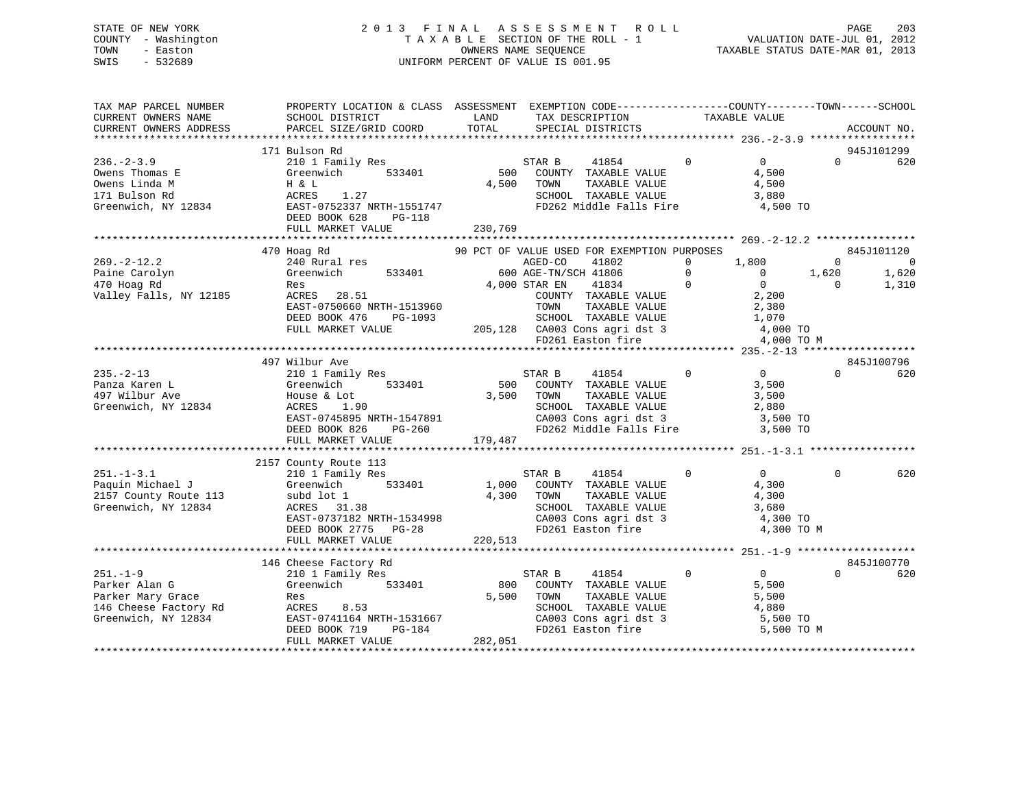# STATE OF NEW YORK 2 0 1 3 F I N A L A S S E S S M E N T R O L L PAGE 203 COUNTY - Washington T A X A B L E SECTION OF THE ROLL - 1 VALUATION DATE-JUL 01, 2012 TOWN - Easton OWNERS NAME SEQUENCE TAXABLE STATUS DATE-MAR 01, 2013 SWIS - 532689 UNIFORM PERCENT OF VALUE IS 001.95

| TAX MAP PARCEL NUMBER<br>CURRENT OWNERS NAME<br>CURRENT OWNERS ADDRESS                                                                                                                | PROPERTY LOCATION & CLASS ASSESSMENT EXEMPTION CODE---------------COUNTY-------TOWN------SCHOOL<br>SCHOOL DISTRICT<br>PARCEL SIZE/GRID COORD                     | LAND<br>TOTAL           | TAX DESCRIPTION<br>SPECIAL DISTRICTS                                                                                                                                                                                                          | TAXABLE VALUE                                                                             | ACCOUNT NO.                                                                  |
|---------------------------------------------------------------------------------------------------------------------------------------------------------------------------------------|------------------------------------------------------------------------------------------------------------------------------------------------------------------|-------------------------|-----------------------------------------------------------------------------------------------------------------------------------------------------------------------------------------------------------------------------------------------|-------------------------------------------------------------------------------------------|------------------------------------------------------------------------------|
|                                                                                                                                                                                       |                                                                                                                                                                  |                         |                                                                                                                                                                                                                                               |                                                                                           |                                                                              |
| $236. -2 - 3.9$<br>0 % Owens Thomas E<br>0 % Owens Linda M<br>171 Bulson Rd<br>171 Bulson Rd<br>33401<br>171 Bulson Rd<br>285T-0752337 NRTH-1551747<br>285T-0752337 NRTH-1551747      | 171 Bulson Rd<br>210 1 Family Res<br>533401<br>DEED BOOK 628<br>PG-118<br>FULL MARKET VALUE                                                                      | 230,769                 | 41854 0<br>STAR B<br>500 COUNTY TAXABLE VALUE<br>سسسد<br>TAXABLE VALUE<br>TAXABLE VIII<br>4,500 TOWN<br>SCHOOL TAXABLE VALUE<br>FD262 Middle Falls Fire                                                                                       | $\overline{0}$<br>4,500<br>4,500<br>3,880<br>$4,500$ TO                                   | 945J101299<br>$\Omega$<br>620                                                |
|                                                                                                                                                                                       |                                                                                                                                                                  |                         |                                                                                                                                                                                                                                               |                                                                                           |                                                                              |
| $269. -2 - 12.2$<br>Paine Carolyn<br>470 Hoag Rd<br>Valley Falls, NY 12185                                                                                                            | 470 Hoag Rd<br>240 Rural res<br>Res<br>ACRES 28.51<br>EAST-0750660 NRTH-1513960<br>PG-1093<br>DEED BOOK 476<br>FULL MARKET VALUE                                 |                         | 90 PCT OF VALUE USED FOR EXEMPTION PURPOSES<br>AGED-CO<br>41802<br>GE-TN/SCH 41806 0<br>TAR EN 41834 0<br>COUNTY TAXABLE VALUE<br>4,000 STAR EN 41834<br>-1513960<br>PG-1093<br>205,128 CA003 Cons agri dst 3<br>FD261 Easton fire 4,000 TO M | 1,800<br>$\overline{0}$<br>$0 \t 1,620$<br>$\begin{array}{c} 0 \\ 2 \, , 200 \end{array}$ | 845J101120<br>$\overline{0}$<br>$\sim$ 0<br>1,620<br>1,310<br>$\overline{0}$ |
|                                                                                                                                                                                       |                                                                                                                                                                  |                         |                                                                                                                                                                                                                                               |                                                                                           |                                                                              |
| $235. -2 - 13$<br>Panza Karen L<br>497 Wilbur Ave<br>Greenwich, NY 12834                                                                                                              | 497 Wilbur Ave<br>210 1 Family Res<br>Greenwich<br>533401<br>House & Lot<br>ACRES 1.90<br>EAST-0745895 NRTH-1547891<br>DEED BOOK 826 PG-260<br>FULL MARKET VALUE | 3,500 TOWN<br>179,487   | $\overline{0}$<br>STAR B 41854<br>500 COUNTY TAXABLE VALUE<br>TOWN TAXABLE VALUE 3,500<br>SCHOOL TAXABLE VALUE 2,880                                                                                                                          | $\overline{0}$<br>3,500                                                                   | 845J100796<br>$\Omega$<br>620                                                |
|                                                                                                                                                                                       | 2157 County Route 113                                                                                                                                            |                         |                                                                                                                                                                                                                                               |                                                                                           |                                                                              |
| $251. -1-3.1$<br>Paquin Michael J<br>2157 County Route 113<br>Greenwich MY 12834<br>$x = 533401$<br>Simple 113<br>$x = 533401$<br>$x = 533401$<br>$x = 533401$<br>Greenwich, NY 12834 | ACRES 31.38<br>EAST-0737182 NRTH-1534998<br>DEED BOOK 2775 PG-28                                                                                                 |                         | STAR B<br>41854<br>1,000 COUNTY TAXABLE VALUE<br>4,300 TOWN TAXABLE VALUE<br>SCHOOL TAXABLE VALUE 3,680<br>CA003 Cons agri dst 3 4,300 TO<br>FD261 Easton fire                                                                                | $\overline{0}$<br>$\Omega$<br>4,300<br>4,300<br>4,300 TO M                                | 620<br>$\Omega$                                                              |
|                                                                                                                                                                                       | FULL MARKET VALUE                                                                                                                                                | 220,513                 |                                                                                                                                                                                                                                               |                                                                                           |                                                                              |
|                                                                                                                                                                                       | 146 Cheese Factory Rd                                                                                                                                            |                         |                                                                                                                                                                                                                                               |                                                                                           | 845J100770                                                                   |
| $251. - 1 - 9$<br>Parker Alan G<br>Parker Mary Grace<br>146 Cheese Factory Rd<br>Greenwich, NY 12834<br>EAST-0741164 NRTH-1531667<br>DEED BOOK 719 PG-184                             | 210 1 Family Res<br>Greenwich 533401<br>FULL MARKET VALUE                                                                                                        | 800<br>5,500<br>282,051 | STAR B<br>41854<br>COUNTY TAXABLE VALUE<br>TOWN TAXABLE VALUE 5,500<br>SCHOOL TAXABLE VALUE 4,880<br>CA003 Cons agri dst 3 5,500 TO<br>FD261 Easton fire 5,500 TO M                                                                           | $\overline{0}$<br>$\overline{0}$<br>5,500                                                 | $\Omega$<br>620                                                              |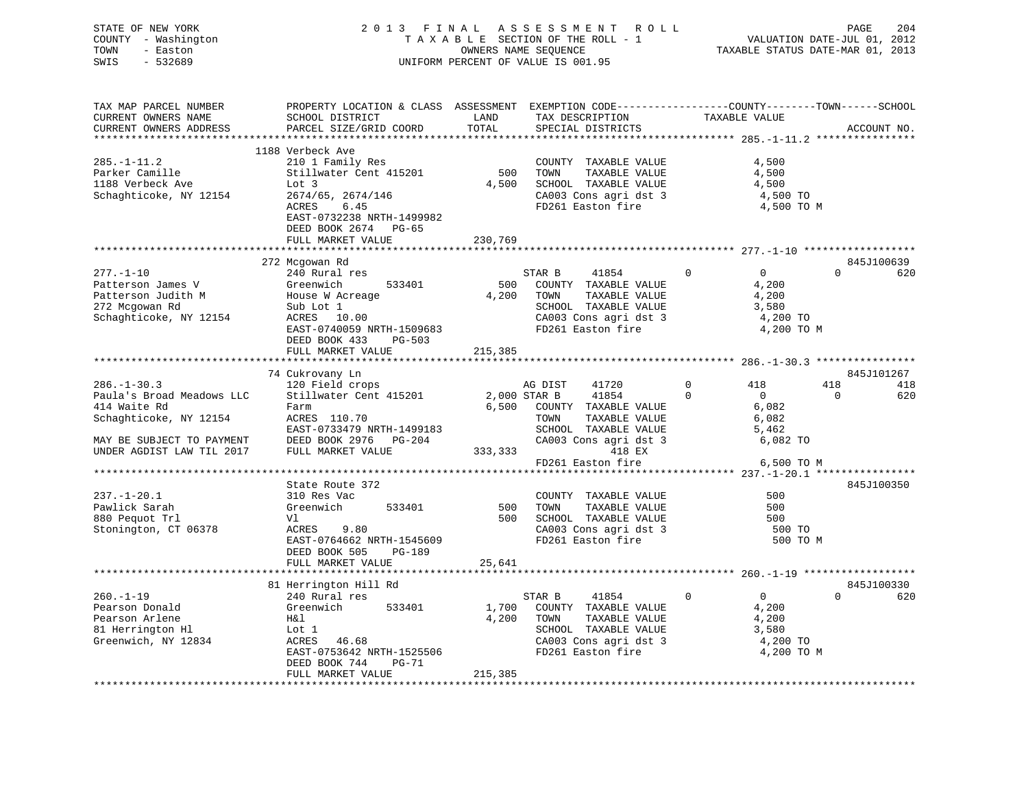STATE OF NEW YORK 2 0 1 3 F I N A L A S S E S S M E N T R O L L PAGE 204 COUNTY - Washington T A X A B L E SECTION OF THE ROLL - 1 VALUATION DATE-JUL 01, 2012 TOWN - Easton OWNERS NAME SEQUENCE TAXABLE STATUS DATE-MAR 01, 2013 SWIS - 532689 UNIFORM PERCENT OF VALUE IS 001.95

| TAX MAP PARCEL NUMBER<br>CURRENT OWNERS NAME | PROPERTY LOCATION & CLASS ASSESSMENT EXEMPTION CODE----------------COUNTY-------TOWN-----SCHOOL<br>SCHOOL DISTRICT | LAND        | TAX DESCRIPTION                               | TAXABLE VALUE                 |             |     |
|----------------------------------------------|--------------------------------------------------------------------------------------------------------------------|-------------|-----------------------------------------------|-------------------------------|-------------|-----|
| CURRENT OWNERS ADDRESS                       | PARCEL SIZE/GRID COORD                                                                                             | TOTAL       | SPECIAL DISTRICTS                             |                               | ACCOUNT NO. |     |
|                                              | 1188 Verbeck Ave                                                                                                   |             |                                               |                               |             |     |
| $285. - 1 - 11.2$                            | 210 1 Family Res                                                                                                   |             | COUNTY TAXABLE VALUE                          | 4,500                         |             |     |
| Parker Camille                               | Stillwater Cent 415201                                                                                             | 500         | TOWN<br>TAXABLE VALUE                         | 4,500                         |             |     |
| 1188 Verbeck Ave                             | Lot 3                                                                                                              | 4,500       | SCHOOL TAXABLE VALUE                          | 4,500                         |             |     |
| Schaghticoke, NY 12154                       | 2674/65, 2674/146                                                                                                  |             | CA003 Cons agri dst 3                         | 4,500 TO                      |             |     |
|                                              | ACRES<br>6.45                                                                                                      |             | FD261 Easton fire                             | 4,500 TO M                    |             |     |
|                                              | EAST-0732238 NRTH-1499982                                                                                          |             |                                               |                               |             |     |
|                                              | DEED BOOK 2674<br>PG-65                                                                                            |             |                                               |                               |             |     |
|                                              | FULL MARKET VALUE                                                                                                  | 230,769     |                                               |                               |             |     |
|                                              | ***********************                                                                                            | *********** |                                               |                               |             |     |
|                                              | 272 Mcgowan Rd                                                                                                     |             |                                               |                               | 845J100639  |     |
| $277. - 1 - 10$                              | 240 Rural res                                                                                                      |             | 41854<br>STAR B                               | $\Omega$<br>$\Omega$          | $\Omega$    | 620 |
| Patterson James V                            | Greenwich<br>533401                                                                                                | 500         | COUNTY TAXABLE VALUE                          | 4,200                         |             |     |
| Patterson Judith M                           | House W Acreage                                                                                                    | 4,200       | TOWN<br>TAXABLE VALUE                         | 4,200                         |             |     |
| 272 Mcgowan Rd                               | Sub Lot 1                                                                                                          |             | SCHOOL TAXABLE VALUE                          | 3,580                         |             |     |
| Schaghticoke, NY 12154                       | ACRES 10.00                                                                                                        |             | CA003 Cons agri dst 3                         | 4,200 TO                      |             |     |
|                                              | EAST-0740059 NRTH-1509683                                                                                          |             | FD261 Easton fire                             | 4,200 TO M                    |             |     |
|                                              | DEED BOOK 433<br>$PG-503$                                                                                          |             |                                               |                               |             |     |
|                                              | FULL MARKET VALUE                                                                                                  | 215,385     |                                               |                               |             |     |
|                                              |                                                                                                                    |             |                                               |                               |             |     |
|                                              | 74 Cukrovany Ln                                                                                                    |             |                                               |                               | 845J101267  |     |
| $286. - 1 - 30.3$                            | 120 Field crops                                                                                                    |             | AG DIST<br>41720                              | $\mathbf 0$<br>418            | 418         | 418 |
| Paula's Broad Meadows LLC                    | Stillwater Cent 415201                                                                                             |             | 2,000 STAR B<br>41854                         | $\Omega$<br>$\overline{0}$    | $\Omega$    | 620 |
| 414 Waite Rd                                 | Farm                                                                                                               | 6,500       | COUNTY TAXABLE VALUE                          | 6,082                         |             |     |
| Schaghticoke, NY 12154                       | ACRES 110.70                                                                                                       |             | TOWN<br>TAXABLE VALUE                         | 6,082                         |             |     |
|                                              | EAST-0733479 NRTH-1499183                                                                                          |             | SCHOOL TAXABLE VALUE                          | 5,462                         |             |     |
| MAY BE SUBJECT TO PAYMENT                    | DEED BOOK 2976 PG-204                                                                                              |             | CA003 Cons agri dst 3                         | 6,082 TO                      |             |     |
| UNDER AGDIST LAW TIL 2017                    | FULL MARKET VALUE                                                                                                  | 333,333     | 418 EX                                        |                               |             |     |
|                                              |                                                                                                                    |             | FD261 Easton fire                             | 6,500 TO M                    |             |     |
|                                              |                                                                                                                    |             |                                               |                               |             |     |
|                                              | State Route 372                                                                                                    |             |                                               |                               | 845J100350  |     |
| $237. - 1 - 20.1$                            | 310 Res Vac                                                                                                        |             | COUNTY TAXABLE VALUE                          | 500<br>500                    |             |     |
| Pawlick Sarah<br>880 Pequot Trl              | 533401<br>Greenwich                                                                                                | 500<br>500  | TAXABLE VALUE<br>TOWN<br>SCHOOL TAXABLE VALUE | 500                           |             |     |
| Stonington, CT 06378                         | Vl<br>ACRES<br>9.80                                                                                                |             | CA003 Cons agri dst 3                         | 500 TO                        |             |     |
|                                              | EAST-0764662 NRTH-1545609                                                                                          |             | FD261 Easton fire                             |                               | 500 TO M    |     |
|                                              | DEED BOOK 505<br>PG-189                                                                                            |             |                                               |                               |             |     |
|                                              | FULL MARKET VALUE                                                                                                  | 25,641      |                                               |                               |             |     |
|                                              |                                                                                                                    |             |                                               |                               |             |     |
|                                              | 81 Herrington Hill Rd                                                                                              |             |                                               |                               | 845J100330  |     |
| $260. -1 - 19$                               | 240 Rural res                                                                                                      |             | 41854<br>STAR B                               | $\mathbf 0$<br>$\overline{0}$ | $\Omega$    | 620 |
| Pearson Donald                               | Greenwich<br>533401                                                                                                | 1,700       | COUNTY TAXABLE VALUE                          | 4,200                         |             |     |
| Pearson Arlene                               | H&l                                                                                                                | 4,200       | TOWN<br>TAXABLE VALUE                         | 4,200                         |             |     |
| 81 Herrington Hl                             | Lot 1                                                                                                              |             | SCHOOL TAXABLE VALUE                          | 3,580                         |             |     |
| Greenwich, NY 12834                          | 46.68<br>ACRES                                                                                                     |             | CA003 Cons agri dst 3                         | 4,200 TO                      |             |     |
|                                              | EAST-0753642 NRTH-1525506                                                                                          |             | FD261 Easton fire                             | 4,200 TO M                    |             |     |
|                                              | $PG-71$<br>DEED BOOK 744                                                                                           |             |                                               |                               |             |     |
|                                              | FULL MARKET VALUE                                                                                                  | 215,385     |                                               |                               |             |     |
|                                              |                                                                                                                    |             |                                               |                               |             |     |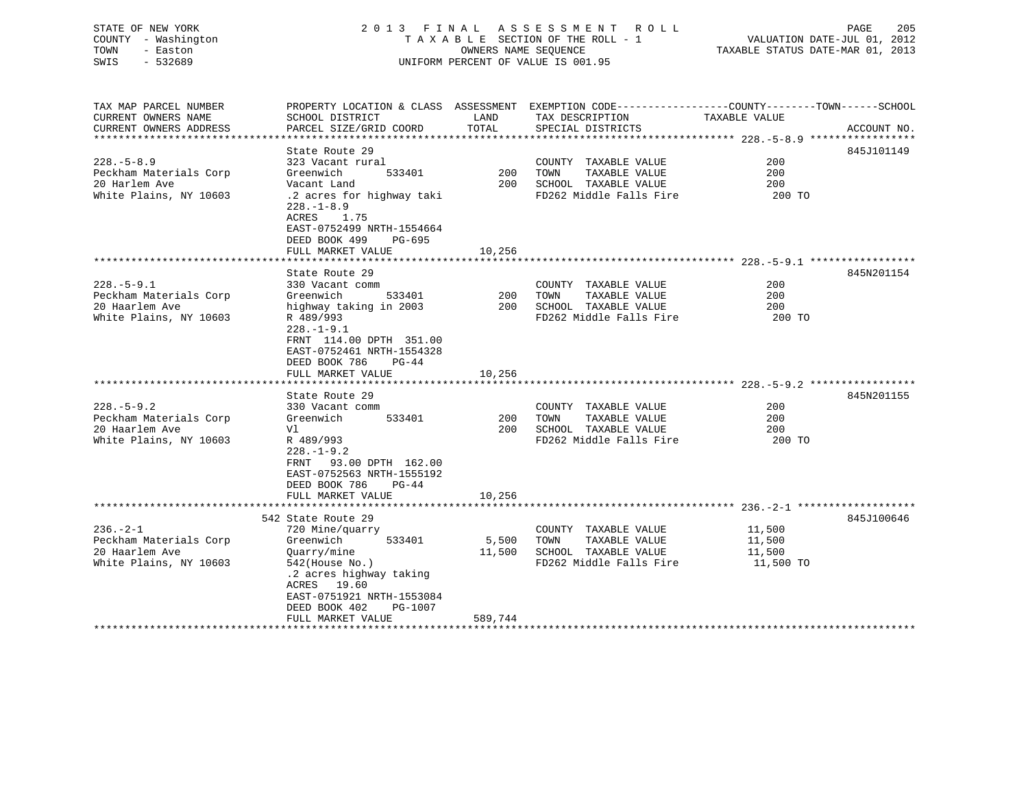| STATE OF NEW YORK<br>COUNTY - Washington<br>TOWN<br>- Easton<br>SWIS<br>$-532689$      |                                                                                                                                                                                                                              | OWNERS NAME SEQUENCE | 2013 FINAL ASSESSMENT<br>R O L L<br>TAXABLE SECTION OF THE ROLL - 1<br>UNIFORM PERCENT OF VALUE IS 001.95                               | VALUATION DATE-JUL 01, 2012<br>TAXABLE STATUS DATE-MAR 01, 2013 | 205<br>PAGE |
|----------------------------------------------------------------------------------------|------------------------------------------------------------------------------------------------------------------------------------------------------------------------------------------------------------------------------|----------------------|-----------------------------------------------------------------------------------------------------------------------------------------|-----------------------------------------------------------------|-------------|
| TAX MAP PARCEL NUMBER<br>CURRENT OWNERS NAME<br>CURRENT OWNERS ADDRESS                 | SCHOOL DISTRICT<br>PARCEL SIZE/GRID COORD                                                                                                                                                                                    | LAND<br>TOTAL        | PROPERTY LOCATION & CLASS ASSESSMENT EXEMPTION CODE----------------COUNTY-------TOWN-----SCHOOL<br>TAX DESCRIPTION<br>SPECIAL DISTRICTS | TAXABLE VALUE                                                   | ACCOUNT NO. |
| $228. - 5 - 8.9$<br>Peckham Materials Corp<br>20 Harlem Ave<br>White Plains, NY 10603  | State Route 29<br>323 Vacant rural<br>Greenwich<br>533401<br>Vacant Land<br>.2 acres for highway taki<br>$228. - 1 - 8.9$<br>ACRES<br>1.75<br>EAST-0752499 NRTH-1554664<br>$PG-695$<br>DEED BOOK 499<br>FULL MARKET VALUE    | 200<br>10,256        | COUNTY TAXABLE VALUE<br>TOWN<br>TAXABLE VALUE<br>200 SCHOOL TAXABLE VALUE<br>FD262 Middle Falls Fire                                    | 200<br>200<br>200<br>200 TO                                     | 845J101149  |
| $228. - 5 - 9.1$<br>Peckham Materials Corp<br>20 Haarlem Ave<br>White Plains, NY 10603 | State Route 29<br>330 Vacant comm<br>Greenwich<br>533401<br>highway taking in 2003<br>R 489/993<br>$228. - 1 - 9.1$<br>FRNT 114.00 DPTH 351.00<br>EAST-0752461 NRTH-1554328<br>DEED BOOK 786<br>$PG-44$<br>FULL MARKET VALUE | 200<br>10,256        | COUNTY TAXABLE VALUE<br>TOWN<br>TAXABLE VALUE<br>200 SCHOOL TAXABLE VALUE<br>FD262 Middle Falls Fire                                    | 200<br>200<br>200<br>200 TO                                     | 845N201154  |
| $228. - 5 - 9.2$<br>Peckham Materials Corp<br>20 Haarlem Ave<br>White Plains, NY 10603 | State Route 29<br>330 Vacant comm<br>Greenwich<br>533401<br>V1<br>R 489/993<br>$228. - 1 - 9.2$<br>93.00 DPTH 162.00<br>FRNT<br>EAST-0752563 NRTH-1555192<br>DEED BOOK 786<br>$PG-44$<br>FULL MARKET VALUE                   | 200<br>10,256        | COUNTY TAXABLE VALUE<br>TAXABLE VALUE<br>TOWN<br>200 SCHOOL TAXABLE VALUE<br>FD262 Middle Falls Fire                                    | 200<br>200<br>200<br>200 TO                                     | 845N201155  |
| $236. - 2 - 1$<br>Peckham Materials Corp<br>20 Haarlem Ave<br>White Plains, NY 10603   | 542 State Route 29<br>720 Mine/quarry<br>533401<br>Greenwich<br>Quarry/mine<br>$542$ (House No.)<br>.2 acres highway taking                                                                                                  | 5,500<br>11,500      | COUNTY TAXABLE VALUE<br>TOWN<br>TAXABLE VALUE<br>SCHOOL TAXABLE VALUE<br>FD262 Middle Falls Fire                                        | 11,500<br>11,500<br>11,500<br>11,500 TO                         | 845J100646  |

\*\*\*\*\*\*\*\*\*\*\*\*\*\*\*\*\*\*\*\*\*\*\*\*\*\*\*\*\*\*\*\*\*\*\*\*\*\*\*\*\*\*\*\*\*\*\*\*\*\*\*\*\*\*\*\*\*\*\*\*\*\*\*\*\*\*\*\*\*\*\*\*\*\*\*\*\*\*\*\*\*\*\*\*\*\*\*\*\*\*\*\*\*\*\*\*\*\*\*\*\*\*\*\*\*\*\*\*\*\*\*\*\*\*\*\*\*\*\*\*\*\*\*\*\*\*\*\*\*\*\*\*

ACRES 19.60

 EAST-0751921 NRTH-1553084 DEED BOOK 402 PG-1007

FULL MARKET VALUE 589,744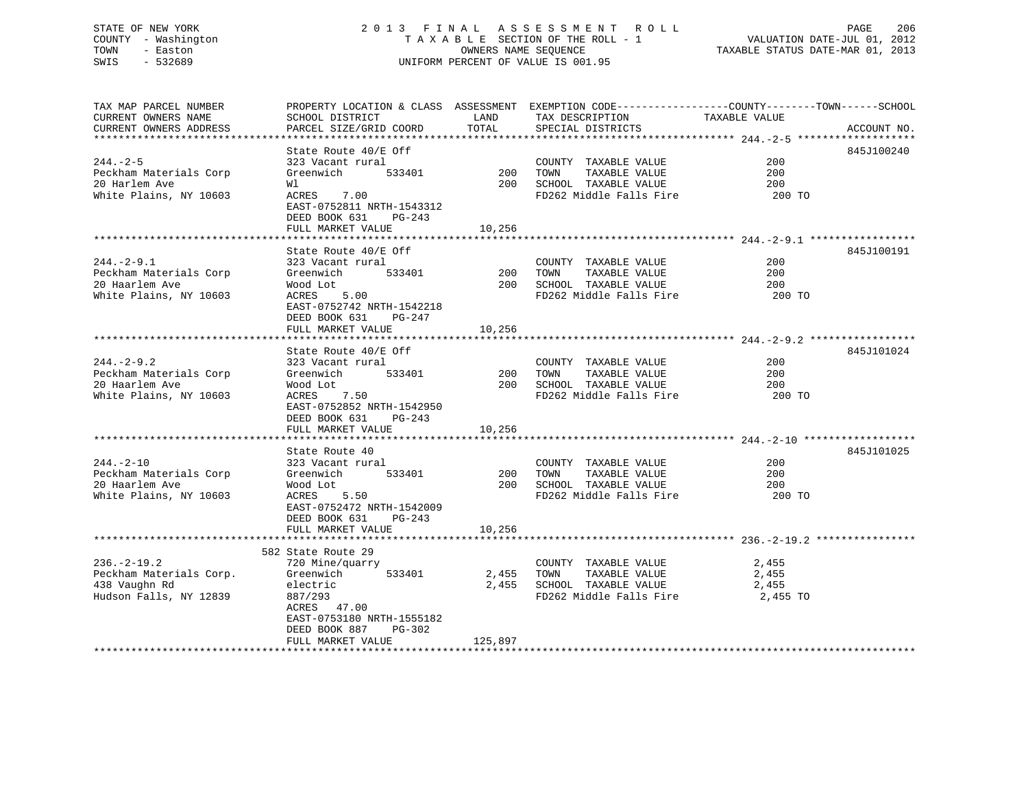# STATE OF NEW YORK 2 0 1 3 F I N A L A S S E S S M E N T R O L L PAGE 206 COUNTY - Washington T A X A B L E SECTION OF THE ROLL - 1 VALUATION DATE-JUL 01, 2012 TOWN - Easton OWNERS NAME SEQUENCE TAXABLE STATUS DATE-MAR 01, 2013 SWIS - 532689 UNIFORM PERCENT OF VALUE IS 001.95

| TAX MAP PARCEL NUMBER   | PROPERTY LOCATION & CLASS ASSESSMENT EXEMPTION CODE----------------COUNTY-------TOWN------SCHOOL |              |                                                                    |               |             |
|-------------------------|--------------------------------------------------------------------------------------------------|--------------|--------------------------------------------------------------------|---------------|-------------|
| CURRENT OWNERS NAME     | SCHOOL DISTRICT                                                                                  | LAND         | TAX DESCRIPTION                                                    | TAXABLE VALUE |             |
| CURRENT OWNERS ADDRESS  | PARCEL SIZE/GRID COORD                                                                           | TOTAL        | SPECIAL DISTRICTS                                                  |               | ACCOUNT NO. |
|                         |                                                                                                  |              |                                                                    |               |             |
|                         | State Route 40/E Off                                                                             |              |                                                                    |               | 845J100240  |
| $244. - 2 - 5$          | 323 Vacant rural                                                                                 |              | COUNTY TAXABLE VALUE                                               | 200           |             |
| Peckham Materials Corp  | Greenwich                                                                                        | $533401$ 200 | TAXABLE VALUE<br>TOWN                                              | 200           |             |
|                         |                                                                                                  |              |                                                                    |               |             |
| 20 Harlem Ave           | Wl                                                                                               |              | 200 SCHOOL TAXABLE VALUE                                           | 200           |             |
| White Plains, NY 10603  | 7.00<br>ACRES                                                                                    |              | FD262 Middle Falls Fire 200 TO                                     |               |             |
|                         | EAST-0752811 NRTH-1543312                                                                        |              |                                                                    |               |             |
|                         | DEED BOOK 631 PG-243                                                                             |              |                                                                    |               |             |
|                         | FULL MARKET VALUE                                                                                | 10,256       |                                                                    |               |             |
|                         |                                                                                                  |              |                                                                    |               |             |
|                         | State Route 40/E Off                                                                             |              |                                                                    |               | 845J100191  |
| $244. - 2 - 9.1$        | 323 Vacant rural                                                                                 |              | COUNTY TAXABLE VALUE                                               | 200           |             |
| Peckham Materials Corp  | 533401<br>Greenwich                                                                              |              |                                                                    | 200           |             |
| 20 Haarlem Ave          | Wood Lot                                                                                         |              | 200    TOWN       TAXABLE  VALUE<br>200    SCHOOL   TAXABLE  VALUE | 200           |             |
|                         | ACRES 5.00                                                                                       |              | FD262 Middle Falls Fire                                            | 200 TO        |             |
| White Plains, NY 10603  |                                                                                                  |              |                                                                    |               |             |
|                         | EAST-0752742 NRTH-1542218                                                                        |              |                                                                    |               |             |
|                         | DEED BOOK 631<br>PG-247                                                                          |              |                                                                    |               |             |
|                         | FULL MARKET VALUE                                                                                | 10,256       |                                                                    |               |             |
|                         |                                                                                                  |              |                                                                    |               |             |
|                         | State Route 40/E Off                                                                             |              |                                                                    |               | 845J101024  |
| $244. - 2 - 9.2$        | 323 Vacant rural                                                                                 |              | COUNTY TAXABLE VALUE                                               | 200           |             |
| Peckham Materials Corp  | 533401<br>Greenwich                                                                              | $200$ TOWN   | TAXABLE VALUE                                                      | 200           |             |
| 20 Haarlem Ave          | Wood Lot                                                                                         |              | 200 SCHOOL TAXABLE VALUE                                           | 200           |             |
| White Plains, NY 10603  | $0t$ 7.50<br>ACRES                                                                               |              | FD262 Middle Falls Fire                                            | 200 TO        |             |
|                         | EAST-0752852 NRTH-1542950                                                                        |              |                                                                    |               |             |
|                         | DEED BOOK 631<br>PG-243                                                                          |              |                                                                    |               |             |
|                         |                                                                                                  |              |                                                                    |               |             |
|                         | FULL MARKET VALUE                                                                                | 10,256       |                                                                    |               |             |
|                         |                                                                                                  |              |                                                                    |               |             |
|                         | State Route 40                                                                                   |              |                                                                    |               | 845J101025  |
| $244. - 2 - 10$         | 323 Vacant rural                                                                                 |              | COUNTY TAXABLE VALUE                                               | 200           |             |
| Peckham Materials Corp  | 533401<br>Greenwich                                                                              | $200$ TOWN   | TAXABLE VALUE                                                      | 200           |             |
| 20 Haarlem Ave          | Wood Lot                                                                                         |              | 200 SCHOOL TAXABLE VALUE                                           | 200           |             |
| White Plains, NY 10603  | ACRES<br>5.50                                                                                    |              | FD262 Middle Falls Fire 200 TO                                     |               |             |
|                         | EAST-0752472 NRTH-1542009                                                                        |              |                                                                    |               |             |
|                         | DEED BOOK 631<br>$PG-243$                                                                        |              |                                                                    |               |             |
|                         | FULL MARKET VALUE                                                                                | 10,256       |                                                                    |               |             |
|                         |                                                                                                  |              |                                                                    |               |             |
|                         | 582 State Route 29                                                                               |              |                                                                    |               |             |
| $236. -2 - 19.2$        | 720 Mine/quarry                                                                                  |              | COUNTY TAXABLE VALUE 2,455                                         |               |             |
|                         |                                                                                                  |              |                                                                    |               |             |
| Peckham Materials Corp. | 533401<br>Greenwich                                                                              |              | 2,455 TOWN<br>TAXABLE VALUE                                        | 2,455         |             |
| 438 Vaughn Rd           | electric                                                                                         |              | 2,455 SCHOOL TAXABLE VALUE                                         | 2,455         |             |
| Hudson Falls, NY 12839  | 887/293                                                                                          |              | FD262 Middle Falls Fire 2,455 TO                                   |               |             |
|                         | ACRES 47.00                                                                                      |              |                                                                    |               |             |
|                         | EAST-0753180 NRTH-1555182                                                                        |              |                                                                    |               |             |
|                         | DEED BOOK 887<br>PG-302                                                                          |              |                                                                    |               |             |
|                         | FULL MARKET VALUE                                                                                | 125,897      |                                                                    |               |             |
|                         |                                                                                                  |              |                                                                    |               |             |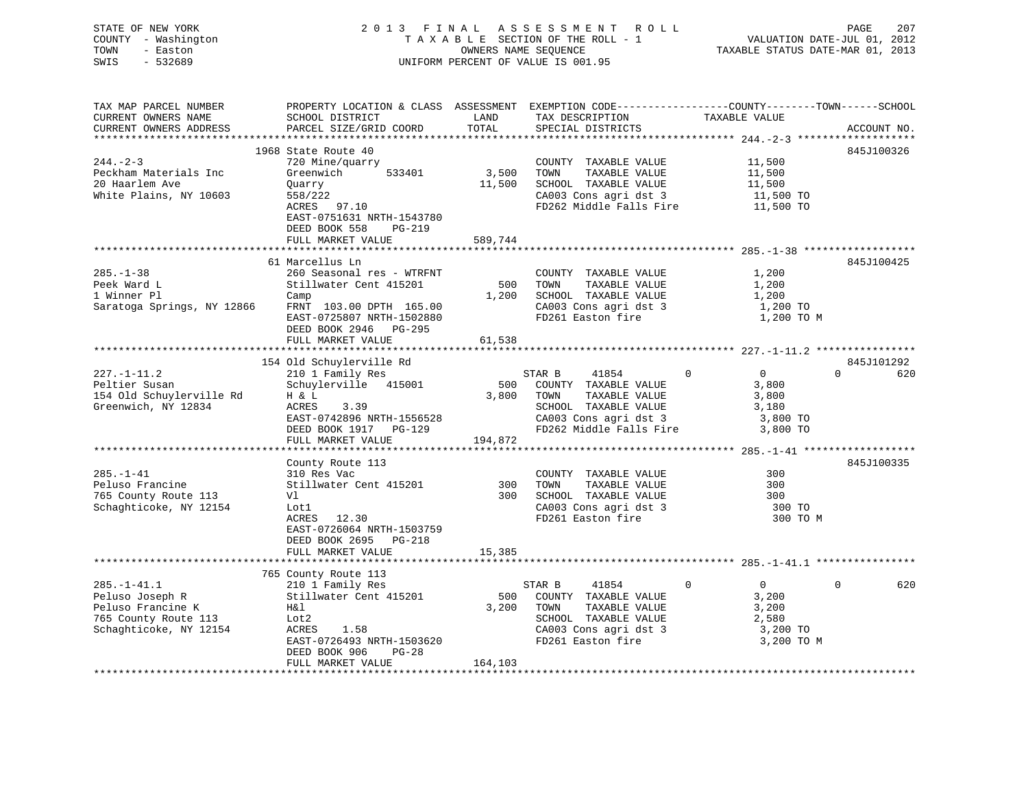| STATE OF NEW YORK<br>COUNTY - Washington<br>- Easton<br>TOWN<br>$-532689$<br>SWIS                           |                                                                                                                                                                                      |                            | 2013 FINAL ASSESSMENT ROLL<br>TAXABLE SECTION OF THE ROLL - 1<br>OWNERS NAME SEQUENCE<br>UNIFORM PERCENT OF VALUE IS 001.95            | PAGE<br>207<br>VALUATION DATE-JUL 01, 2012<br>TAXABLE STATUS DATE-MAR 01, 2013                                                 |
|-------------------------------------------------------------------------------------------------------------|--------------------------------------------------------------------------------------------------------------------------------------------------------------------------------------|----------------------------|----------------------------------------------------------------------------------------------------------------------------------------|--------------------------------------------------------------------------------------------------------------------------------|
| TAX MAP PARCEL NUMBER<br>CURRENT OWNERS NAME<br>CURRENT OWNERS ADDRESS                                      | SCHOOL DISTRICT<br>PARCEL SIZE/GRID COORD                                                                                                                                            | LAND<br>TOTAL              | TAX DESCRIPTION<br>SPECIAL DISTRICTS                                                                                                   | PROPERTY LOCATION & CLASS ASSESSMENT EXEMPTION CODE---------------COUNTY-------TOWN-----SCHOOL<br>TAXABLE VALUE<br>ACCOUNT NO. |
| $244. - 2 - 3$<br>Peckham Materials Inc<br>20 Haarlem Ave<br>White Plains, NY 10603                         | 1968 State Route 40<br>720 Mine/quarry<br>533401<br>Greenwich<br>Quarry<br>558/222<br>ACRES 97.10<br>EAST-0751631 NRTH-1543780<br>DEED BOOK 558<br>PG-219<br>FULL MARKET VALUE       | 3,500<br>11,500<br>589,744 | COUNTY TAXABLE VALUE<br>TOWN<br>TAXABLE VALUE<br>SCHOOL TAXABLE VALUE<br>CA003 Cons agri dst 3<br>FD262 Middle Falls Fire              | 845J100326<br>11,500<br>11,500<br>11,500<br>11,500 TO<br>11,500 TO                                                             |
|                                                                                                             |                                                                                                                                                                                      |                            |                                                                                                                                        |                                                                                                                                |
| $285. - 1 - 38$<br>Peek Ward L<br>1 Winner Pl<br>Saratoga Springs, NY 12866                                 | 61 Marcellus Ln<br>260 Seasonal res - WTRFNT<br>Stillwater Cent 415201<br>Camp<br>FRNT 103.00 DPTH 165.00<br>EAST-0725807 NRTH-1502880<br>DEED BOOK 2946 PG-295<br>FULL MARKET VALUE | 500<br>1,200<br>61,538     | COUNTY TAXABLE VALUE<br>TOWN<br>TAXABLE VALUE<br>SCHOOL TAXABLE VALUE<br>CA003 Cons agri dst 3<br>FD261 Easton fire                    | 845J100425<br>1,200<br>1,200<br>1,200<br>1,200 TO<br>1,200 TO M                                                                |
|                                                                                                             |                                                                                                                                                                                      |                            |                                                                                                                                        |                                                                                                                                |
| $227. - 1 - 11.2$<br>Peltier Susan<br>154 Old Schuylerville Rd<br>Greenwich, NY 12834                       | 154 Old Schuylerville Rd<br>210 1 Family Res<br>Schuylerville 415001<br>H & L<br>ACRES<br>3.39<br>EAST-0742896 NRTH-1556528                                                          | 500<br>3,800               | STAR B<br>41854<br>COUNTY TAXABLE VALUE<br>TOWN<br>TAXABLE VALUE<br>SCHOOL TAXABLE VALUE<br>CA003 Cons agri dst 3                      | 845J101292<br>$\Omega$<br>$\overline{0}$<br>$\Omega$<br>620<br>3,800<br>3,800<br>3,180<br>3,800 TO                             |
|                                                                                                             | DEED BOOK 1917 PG-129                                                                                                                                                                |                            | FD262 Middle Falls Fire                                                                                                                | 3,800 TO                                                                                                                       |
|                                                                                                             | FULL MARKET VALUE                                                                                                                                                                    | 194,872                    |                                                                                                                                        |                                                                                                                                |
| $285. - 1 - 41$<br>Peluso Francine<br>765 County Route 113<br>Schaghticoke, NY 12154                        | County Route 113<br>310 Res Vac<br>Stillwater Cent 415201<br>Vl<br>Lot1<br>ACRES 12.30<br>EAST-0726064 NRTH-1503759<br>DEED BOOK 2695 PG-218<br>FULL MARKET VALUE                    | 300<br>300<br>15,385       | COUNTY TAXABLE VALUE<br>TOWN<br>TAXABLE VALUE<br>SCHOOL TAXABLE VALUE<br>CA003 Cons agri dst 3<br>FD261 Easton fire                    | 845J100335<br>300<br>300<br>300<br>300 TO<br>300 TO M                                                                          |
|                                                                                                             |                                                                                                                                                                                      |                            |                                                                                                                                        |                                                                                                                                |
|                                                                                                             | 765 County Route 113                                                                                                                                                                 |                            |                                                                                                                                        |                                                                                                                                |
| $285. - 1 - 41.1$<br>Peluso Joseph R<br>Peluso Francine K<br>765 County Route 113<br>Schaghticoke, NY 12154 | 210 1 Family Res<br>Stillwater Cent 415201<br>H&l<br>Lot2<br>ACRES<br>1.58<br>EAST-0726493 NRTH-1503620<br>PG-28<br>DEED BOOK 906<br>FULL MARKET VALUE                               | 500<br>3,200<br>164,103    | 41854<br>STAR B<br>COUNTY TAXABLE VALUE<br>TAXABLE VALUE<br>TOWN<br>SCHOOL TAXABLE VALUE<br>CA003 Cons agri dst 3<br>FD261 Easton fire | $\mathbf 0$<br>$\mathbf 0$<br>620<br>$\overline{0}$<br>3,200<br>3,200<br>2,580<br>3,200 TO<br>3,200 TO M                       |
|                                                                                                             |                                                                                                                                                                                      |                            |                                                                                                                                        |                                                                                                                                |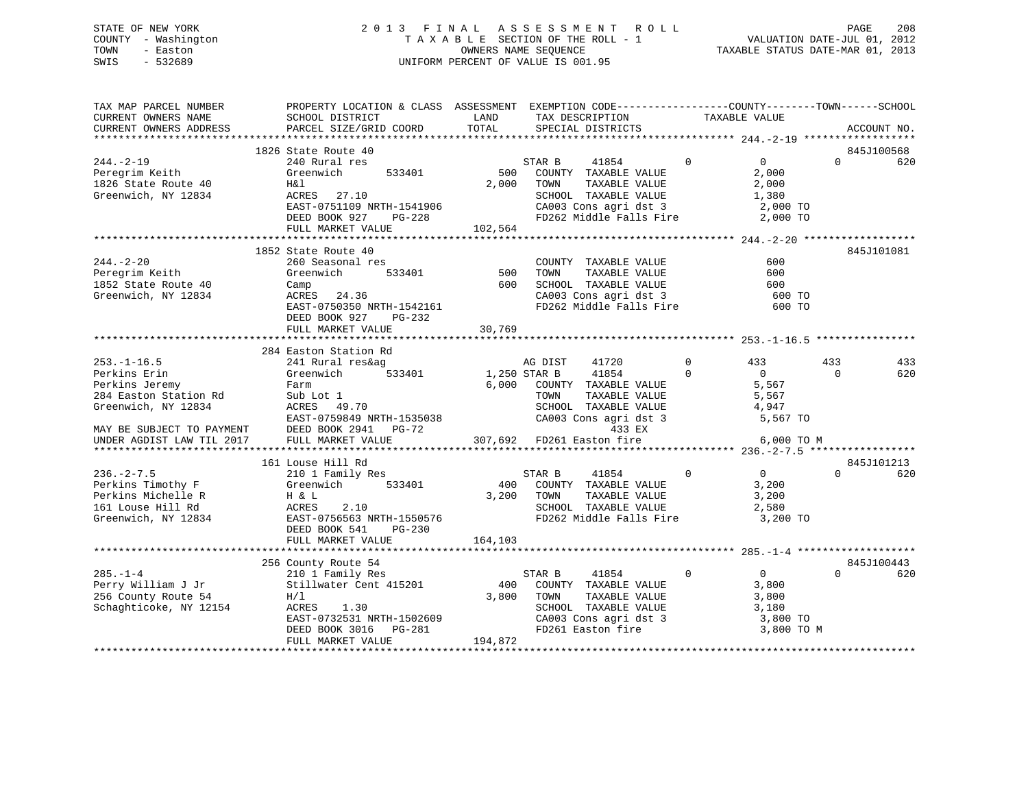# STATE OF NEW YORK 2 0 1 3 F I N A L A S S E S S M E N T R O L L PAGE 208 COUNTY - Washington T A X A B L E SECTION OF THE ROLL - 1 VALUATION DATE-JUL 01, 2012 TOWN - Easton OWNERS NAME SEQUENCE TAXABLE STATUS DATE-MAR 01, 2013 SWIS - 532689 UNIFORM PERCENT OF VALUE IS 001.95

| TAX MAP PARCEL NUMBER<br>CURRENT OWNERS NAME<br>CURRENT OWNERS ADDRESS | PROPERTY LOCATION & CLASS ASSESSMENT EXEMPTION CODE----------------COUNTY-------TOWN------SCHOOL<br><b>EXAMPLE SERVICE SERVICE SERVICE SERVICE SERVICE SERVICE SERVICE SERVICE SERVICE SERVICE SERVICE SERVICE SERVICE</b><br>SCHOOL DISTRICT<br>PARCEL SIZE/GRID COORD | TOTAL      | TAX DESCRIPTION TAXABLE VALUE<br>SPECIAL DISTRICTS<br>TAX DESCRIPTION                                                      |                         |                         | ACCOUNT NO.     |
|------------------------------------------------------------------------|-------------------------------------------------------------------------------------------------------------------------------------------------------------------------------------------------------------------------------------------------------------------------|------------|----------------------------------------------------------------------------------------------------------------------------|-------------------------|-------------------------|-----------------|
|                                                                        |                                                                                                                                                                                                                                                                         |            |                                                                                                                            |                         |                         |                 |
|                                                                        | 1826 State Route 40                                                                                                                                                                                                                                                     |            |                                                                                                                            |                         |                         | 845J100568      |
| $244. - 2 - 19$                                                        | 240 Rural res                                                                                                                                                                                                                                                           |            | STAR B<br>41854                                                                                                            | $\overline{0}$          | $\overline{0}$          | $\Omega$<br>620 |
| Peregrim Keith                                                         | Greenwich 533401                                                                                                                                                                                                                                                        |            | 500 COUNTY TAXABLE VALUE                                                                                                   |                         | 2,000                   |                 |
| 1826 State Route 40                                                    | H&l                                                                                                                                                                                                                                                                     |            | 2,000 TOWN<br>TAXABLE VALUE                                                                                                |                         | 2,000                   |                 |
| Greenwich, NY 12834                                                    | ACRES 27.10                                                                                                                                                                                                                                                             |            | SCHOOL TAXABLE VALUE 1,380<br>CA003 Cons agri dst 3 2,000 TO<br>CA003 Cons agri dst 3                                      |                         |                         |                 |
|                                                                        | EAST-0751109 NRTH-1541906<br>DEED BOOK 927 PG-228<br>FIILL MARKET VALUE                                                                                                                                                                                                 |            | FD262 Middle Falls Fire 2,000 TO                                                                                           |                         |                         |                 |
|                                                                        | FULL MARKET VALUE                                                                                                                                                                                                                                                       | 102,564    |                                                                                                                            |                         |                         |                 |
|                                                                        |                                                                                                                                                                                                                                                                         |            |                                                                                                                            |                         |                         |                 |
|                                                                        | 1852 State Route 40                                                                                                                                                                                                                                                     |            |                                                                                                                            |                         |                         | 845J101081      |
| $244. - 2 - 20$                                                        | 260 Seasonal res<br>Greenwich 533401                                                                                                                                                                                                                                    |            | COUNTY TAXABLE VALUE                                                                                                       | 600                     |                         |                 |
| Peregrim Keith                                                         |                                                                                                                                                                                                                                                                         | 500        | TOWN<br>TAXABLE VALUE                                                                                                      |                         | 600                     |                 |
| 1852 State Route 40                                                    | Camp                                                                                                                                                                                                                                                                    |            |                                                                                                                            |                         |                         |                 |
| Greenwich, NY 12834                                                    | ACRES 24.36                                                                                                                                                                                                                                                             |            | 600 SCHOOL TAXABLE VALUE 600 SCHOOL TAXABLE VALUE 600 TO<br>CA003 Cons agri dst 3 600 TO<br>FD262 Middle Falls Fire 600 TO |                         |                         |                 |
|                                                                        | EAST-0750350 NRTH-1542161                                                                                                                                                                                                                                               |            |                                                                                                                            |                         |                         |                 |
|                                                                        | DEED BOOK 927 PG-232                                                                                                                                                                                                                                                    |            |                                                                                                                            |                         |                         |                 |
|                                                                        | FULL MARKET VALUE                                                                                                                                                                                                                                                       | 30,769     |                                                                                                                            |                         |                         |                 |
|                                                                        |                                                                                                                                                                                                                                                                         |            |                                                                                                                            |                         |                         |                 |
|                                                                        | 284 Easton Station Rd                                                                                                                                                                                                                                                   |            |                                                                                                                            |                         |                         |                 |
| $253. - 1 - 16.5$                                                      | 241 Rural res&ag                                                                                                                                                                                                                                                        |            | AG DIST<br>41720                                                                                                           | $\mathbf 0$<br>$\Omega$ | 433<br>433              | 433<br>$\Omega$ |
| Perkins Erin<br>Perkins Jeremy                                         | 533401 1,250 STAR B<br>Greenwich<br>Farm                                                                                                                                                                                                                                |            | 41854<br>6,000 COUNTY TAXABLE VALUE                                                                                        |                         | $\overline{0}$<br>5,567 | 620             |
| Perains versal<br>284 Easton Station Rd<br>Greenwich, NY 12834         |                                                                                                                                                                                                                                                                         |            | TOWN<br>TAXABLE VALUE                                                                                                      |                         | 5,567                   |                 |
|                                                                        | Sub Lot 1<br>ACRES 49.70                                                                                                                                                                                                                                                |            |                                                                                                                            |                         |                         |                 |
|                                                                        |                                                                                                                                                                                                                                                                         |            |                                                                                                                            |                         |                         |                 |
| MAY BE SUBJECT TO PAYMENT                                              | DEED BOOK 2941 PG-72                                                                                                                                                                                                                                                    |            |                                                                                                                            |                         |                         |                 |
| UNDER AGDIST LAW TIL 2017                                              | FULL MARKET VALUE                                                                                                                                                                                                                                                       |            | 307,692 FD261 Easton fire                                                                                                  |                         | 6,000 TO M              |                 |
|                                                                        |                                                                                                                                                                                                                                                                         |            |                                                                                                                            |                         |                         |                 |
|                                                                        | 161 Louse Hill Rd                                                                                                                                                                                                                                                       |            |                                                                                                                            |                         |                         | 845J101213      |
| $236. - 2 - 7.5$                                                       | 210 1 Family Res                                                                                                                                                                                                                                                        |            | STAR B<br>41854                                                                                                            | $\overline{0}$ 0        |                         | $\Omega$<br>620 |
| Perkins Timothy F                                                      | Greenwich 533401                                                                                                                                                                                                                                                        |            | 400 COUNTY TAXABLE VALUE                                                                                                   |                         | 3,200                   |                 |
|                                                                        |                                                                                                                                                                                                                                                                         | 3,200 TOWN | TAXABLE VALUE                                                                                                              |                         | 3,200                   |                 |
|                                                                        |                                                                                                                                                                                                                                                                         |            | SCHOOL TAXABLE VALUE 2,580                                                                                                 |                         |                         |                 |
|                                                                        |                                                                                                                                                                                                                                                                         |            | FD262 Middle Falls Fire                                                                                                    |                         | 3,200 TO                |                 |
|                                                                        | DEED BOOK 541<br>$PG-230$                                                                                                                                                                                                                                               |            |                                                                                                                            |                         |                         |                 |
|                                                                        | FULL MARKET VALUE                                                                                                                                                                                                                                                       | 164,103    |                                                                                                                            |                         |                         |                 |
|                                                                        |                                                                                                                                                                                                                                                                         |            |                                                                                                                            |                         |                         | 845J100443      |
| $285. - 1 - 4$                                                         | 256 County Route 54                                                                                                                                                                                                                                                     |            |                                                                                                                            | $\mathbf 0$             | $\overline{0}$          | $\Omega$<br>620 |
|                                                                        |                                                                                                                                                                                                                                                                         |            |                                                                                                                            |                         | 3,800                   |                 |
|                                                                        |                                                                                                                                                                                                                                                                         |            |                                                                                                                            |                         | 3,800                   |                 |
| Perry William J Jr<br>256 County Route 54<br>Schaghticoke, NY 12154    | County Route 54<br>210 1 Family Res<br>Stillwater Cent 415201<br>H/1 3,800 TOWN TAXABLE VALUE<br>H/1 3,800 TOWN TAXABLE VALUE<br>SCHOOL TAXABLE VALUE<br>CA003 Cons agri dst 3                                                                                          |            |                                                                                                                            |                         | 3,180                   |                 |
|                                                                        | ALRES 1.30<br>EAST-0732531 NRTH-1502609<br>$P = 281$                                                                                                                                                                                                                    |            |                                                                                                                            |                         | 3,800 TO                |                 |
|                                                                        | DEED BOOK 3016 PG-281                                                                                                                                                                                                                                                   |            | FD261 Easton fire                                                                                                          |                         | 3,800 TO M              |                 |
|                                                                        | FULL MARKET VALUE                                                                                                                                                                                                                                                       | 194,872    |                                                                                                                            |                         |                         |                 |
|                                                                        |                                                                                                                                                                                                                                                                         |            |                                                                                                                            |                         |                         |                 |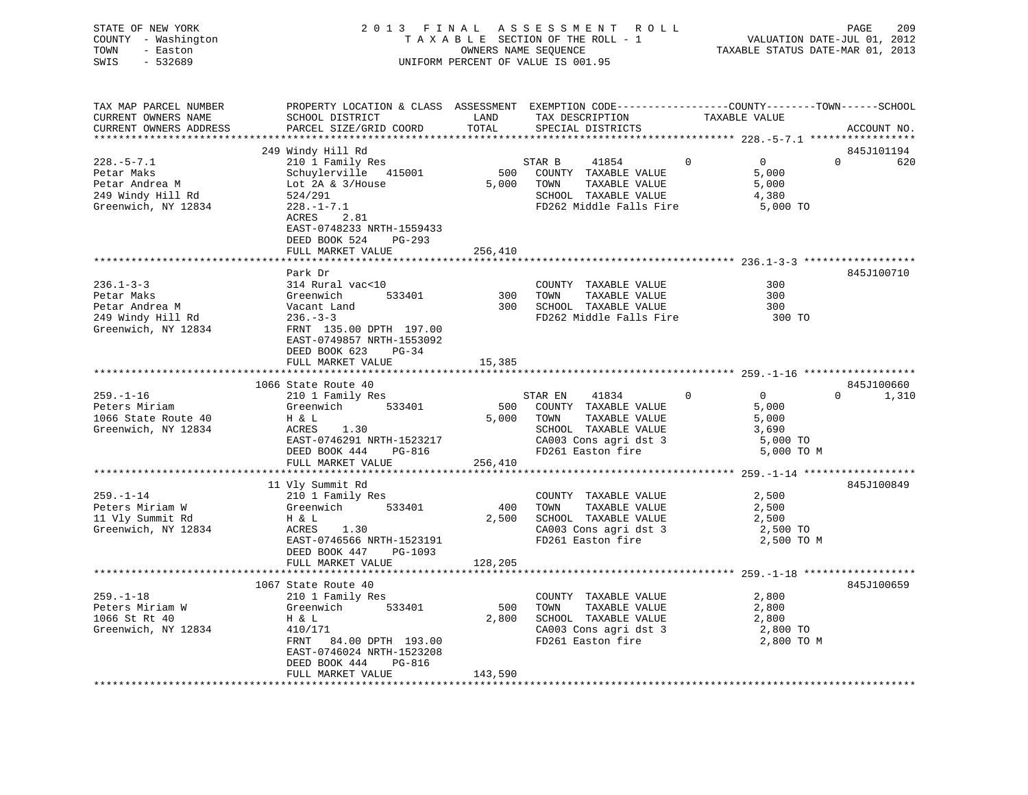| STATE OF NEW YORK<br>- Washington<br>COUNTY<br>TOWN<br>- Easton<br>SWIS<br>- 532689 |                                                     |             | 2013 FINAL ASSESSMENT ROLL<br>T A X A B L E SECTION OF THE ROLL - 1 VALUATION DATE-JUL 01, 2012<br>OWNERS NAME SEQUENCE TAXABLE STATUS DATE-MAR 01, 2013<br>UNIFORM PERCENT OF VALUE IS 001.95 |                | 209<br>PAGE     |
|-------------------------------------------------------------------------------------|-----------------------------------------------------|-------------|------------------------------------------------------------------------------------------------------------------------------------------------------------------------------------------------|----------------|-----------------|
| TAX MAP PARCEL NUMBER                                                               | PROPERTY LOCATION & CLASS ASSESSMENT                |             | EXEMPTION CODE-----------------COUNTY-------TOWN------SCHOOL                                                                                                                                   |                |                 |
| CURRENT OWNERS NAME                                                                 | SCHOOL DISTRICT                                     | <b>LAND</b> | TAX DESCRIPTION                                                                                                                                                                                | TAXABLE VALUE  |                 |
| CURRENT OWNERS ADDRESS     PARCEL SIZE/GRID COORD     TOTAL     SPECIAL DISTRICTS   |                                                     |             |                                                                                                                                                                                                |                | ACCOUNT NO.     |
|                                                                                     |                                                     |             |                                                                                                                                                                                                |                |                 |
|                                                                                     | 249 Windy Hill Rd                                   |             |                                                                                                                                                                                                |                | 845J101194      |
| $228. -5 - 7.1$                                                                     |                                                     |             | STAR B 41854 0                                                                                                                                                                                 | $\overline{0}$ | $\Omega$<br>620 |
| Petar Maks                                                                          | 210 1 Family Res<br>Schuylerville 415001 500 COUNTY |             | TAXABLE VALUE                                                                                                                                                                                  | 5,000          |                 |
| Petar Andrea M [101] Lot 2A & 3/House                                               |                                                     | 5,000       | TAXABLE VALUE<br>TOWN                                                                                                                                                                          | 5,000          |                 |
| 249 Windy Hill Rd                                                                   | 524/291                                             |             | TAXABLE VALUE<br>SCHOOL                                                                                                                                                                        | 4,380          |                 |
| Greenwich, NY 12834                                                                 | 524/291<br>228.-1-7.1                               |             | FD262 Middle Falls Fire                                                                                                                                                                        | 5,000 TO       |                 |
|                                                                                     | ACRES 2.81                                          |             |                                                                                                                                                                                                |                |                 |
|                                                                                     | EAST-0748233 NRTH-1559433                           |             |                                                                                                                                                                                                |                |                 |
|                                                                                     | DEED BOOK 524<br>PG-293                             |             |                                                                                                                                                                                                |                |                 |
|                                                                                     | FULL MARKET VALUE                                   | 256,410     |                                                                                                                                                                                                |                |                 |
|                                                                                     |                                                     |             |                                                                                                                                                                                                |                |                 |

|                     | Park Dr                   |     |                         |        | 845J100710 |
|---------------------|---------------------------|-----|-------------------------|--------|------------|
| $236.1 - 3 - 3$     | 314 Rural vac<10          |     | TAXABLE VALUE<br>COUNTY | 300    |            |
| Petar Maks          | Greenwich<br>533401       | 300 | TAXABLE VALUE<br>TOWN   | 300    |            |
| Petar Andrea M      | Vacant Land               | 300 | SCHOOL TAXABLE VALUE    | 300    |            |
| 249 Windy Hill Rd   | $236 - 3 - 3$             |     | FD262 Middle Falls Fire | 300 TO |            |
| Greenwich, NY 12834 | FRNT 135.00 DPTH 197.00   |     |                         |        |            |
|                     | EAST-0749857 NRTH-1553092 |     |                         |        |            |

| DEED BOOK 623 PG-34                                                                                                                                          |                                                           |                                                                                                                                   |                                                          |                                                                                                                                                           |                                                                                                                                                                             |
|--------------------------------------------------------------------------------------------------------------------------------------------------------------|-----------------------------------------------------------|-----------------------------------------------------------------------------------------------------------------------------------|----------------------------------------------------------|-----------------------------------------------------------------------------------------------------------------------------------------------------------|-----------------------------------------------------------------------------------------------------------------------------------------------------------------------------|
|                                                                                                                                                              |                                                           |                                                                                                                                   |                                                          |                                                                                                                                                           |                                                                                                                                                                             |
|                                                                                                                                                              |                                                           |                                                                                                                                   |                                                          |                                                                                                                                                           | 845J100660                                                                                                                                                                  |
| 210 1 Family Res<br>Peters Miriam Greenwich<br>1066 State Route 40 H & L<br>Greenwich, NY 12834<br>ACRES 1.30                                                |                                                           |                                                                                                                                   | $\overline{0}$                                           | $\Omega$<br>5,000<br>5,000<br>3,690                                                                                                                       | 1,310<br>$\Omega$                                                                                                                                                           |
|                                                                                                                                                              |                                                           |                                                                                                                                   |                                                          |                                                                                                                                                           |                                                                                                                                                                             |
|                                                                                                                                                              |                                                           |                                                                                                                                   |                                                          |                                                                                                                                                           |                                                                                                                                                                             |
| 11 Vly Summit Rd<br>210 1 Family Res<br>Greenwich<br>$H \& L$<br>ACRES 1.30<br>DEED BOOK 447 PG-1093<br>FULL MARKET VALUE                                    | 2,500                                                     | TOWN                                                                                                                              |                                                          | 2,500<br>2,500<br>2,500                                                                                                                                   | 845J100849                                                                                                                                                                  |
| 1067 State Route 40<br>210 1 Family Res<br>Greenwich<br>533401<br>H & L<br>410/171<br>EAST-0746024 NRTH-1523208<br>DEED BOOK 444 PG-816<br>FULL MARKET VALUE | 500<br>2,800<br>143,590                                   | TOWN<br>CA003 Cons agri dst 3<br>FD261 Easton fire                                                                                |                                                          | 2,800<br>2,800<br>2,800<br>2,800 TO M                                                                                                                     | 845J100659                                                                                                                                                                  |
|                                                                                                                                                              | 1066 State Route 40<br>DEED BOOK 444<br>FULL MARKET VALUE | EAST-0746291 NRTH-1523217<br>$PG-816$<br>256,410<br>533401 400<br>EAST-0746566 NRTH-1523191<br>128, 205<br>FRNT 84.00 DPTH 193.00 | STAR EN<br>533401 500 COUNTY TAXABLE VALUE<br>5,000 TOWN | 41834<br>TAXABLE VALUE<br>COUNTY TAXABLE VALUE<br>TAXABLE VALUE<br>SCHOOL TAXABLE VALUE<br>CA003 Cons agri dst 3<br>COUNTY TAXABLE VALUE<br>TAXABLE VALUE | SCHOOL TAXABLE VALUE<br>CA003 Cons agri dst 3 5,000 TO<br>FD261 Easton fire<br>5,000 TO M<br>2,500 TO<br>FD261 Easton fire 2,500 TO M<br>SCHOOL TAXABLE VALUE<br>$2,800$ TO |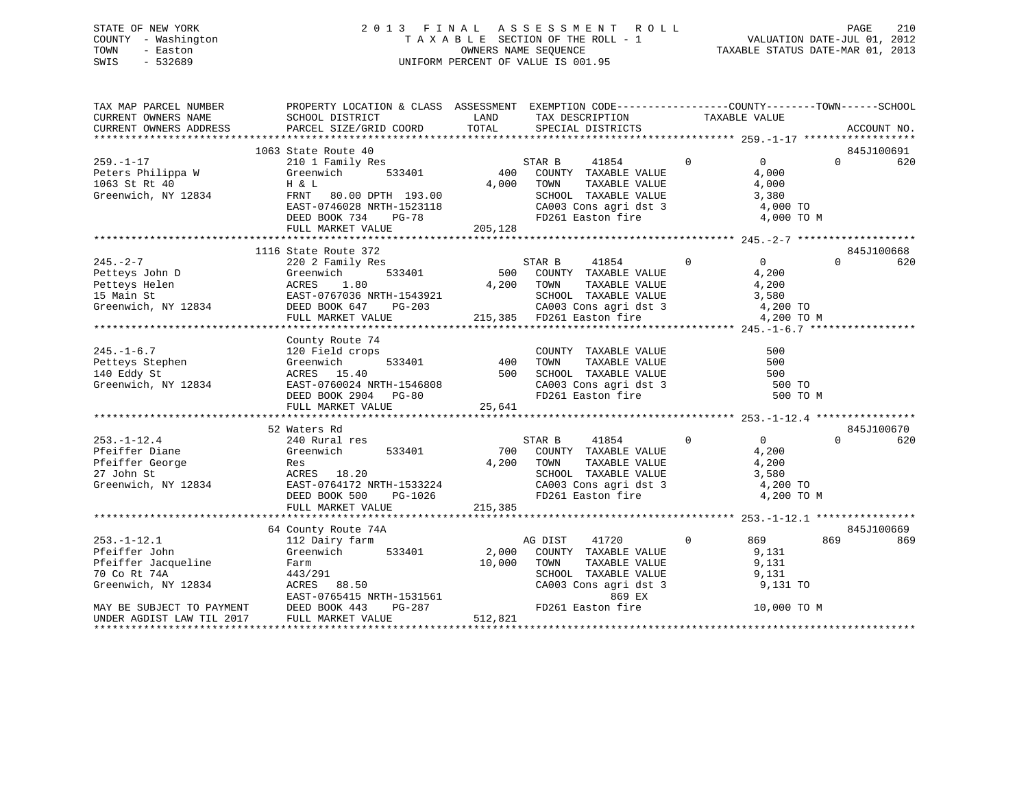# STATE OF NEW YORK 2 0 1 3 F I N A L A S S E S S M E N T R O L L PAGE 210 COUNTY - Washington T A X A B L E SECTION OF THE ROLL - 1 VALUATION DATE-JUL 01, 2012 TOWN - Easton OWNERS NAME SEQUENCE TAXABLE STATUS DATE-MAR 01, 2013 SWIS - 532689 UNIFORM PERCENT OF VALUE IS 001.95

| TAX MAP PARCEL NUMBER                         | PROPERTY LOCATION & CLASS ASSESSMENT EXEMPTION CODE----------------COUNTY-------TOWN------SCHOOL                                                                                                                                                                                                                                                                                                                                                                          |            |                                                                                                                                                                                          |                                                                      |                |          |                |
|-----------------------------------------------|---------------------------------------------------------------------------------------------------------------------------------------------------------------------------------------------------------------------------------------------------------------------------------------------------------------------------------------------------------------------------------------------------------------------------------------------------------------------------|------------|------------------------------------------------------------------------------------------------------------------------------------------------------------------------------------------|----------------------------------------------------------------------|----------------|----------|----------------|
| CURRENT OWNERS NAME<br>CURRENT OWNERS ADDRESS |                                                                                                                                                                                                                                                                                                                                                                                                                                                                           |            |                                                                                                                                                                                          |                                                                      |                |          | ACCOUNT NO.    |
|                                               |                                                                                                                                                                                                                                                                                                                                                                                                                                                                           |            |                                                                                                                                                                                          |                                                                      |                |          |                |
|                                               | 1063 State Route 40                                                                                                                                                                                                                                                                                                                                                                                                                                                       |            |                                                                                                                                                                                          |                                                                      |                |          | 845J100691     |
| $259. - 1 - 17$                               |                                                                                                                                                                                                                                                                                                                                                                                                                                                                           |            |                                                                                                                                                                                          |                                                                      |                |          | $0 \qquad 620$ |
|                                               |                                                                                                                                                                                                                                                                                                                                                                                                                                                                           |            |                                                                                                                                                                                          |                                                                      |                |          |                |
|                                               |                                                                                                                                                                                                                                                                                                                                                                                                                                                                           |            |                                                                                                                                                                                          |                                                                      |                |          |                |
|                                               |                                                                                                                                                                                                                                                                                                                                                                                                                                                                           |            |                                                                                                                                                                                          |                                                                      |                |          |                |
|                                               |                                                                                                                                                                                                                                                                                                                                                                                                                                                                           |            |                                                                                                                                                                                          |                                                                      |                |          |                |
|                                               |                                                                                                                                                                                                                                                                                                                                                                                                                                                                           |            |                                                                                                                                                                                          |                                                                      |                |          |                |
|                                               | 259.-1-17<br>Peters Philippa W Greenwich 533401<br>1063 St Rt 40 H & L<br>Greenwich, NY 12834<br>EAST-0746028 NRTH-1523118<br>DEED BOOK 734 PG-78<br>205,128<br>205,128<br>205,128<br>205,128<br>205,128<br>205,128<br>205,128                                                                                                                                                                                                                                            |            |                                                                                                                                                                                          |                                                                      |                |          |                |
|                                               |                                                                                                                                                                                                                                                                                                                                                                                                                                                                           |            |                                                                                                                                                                                          |                                                                      |                |          |                |
| $245. -2 - 7$                                 | 1116 State Route 372                                                                                                                                                                                                                                                                                                                                                                                                                                                      |            |                                                                                                                                                                                          |                                                                      |                | $\Omega$ | 845J100668     |
|                                               |                                                                                                                                                                                                                                                                                                                                                                                                                                                                           |            |                                                                                                                                                                                          |                                                                      |                |          | 620            |
|                                               |                                                                                                                                                                                                                                                                                                                                                                                                                                                                           |            |                                                                                                                                                                                          |                                                                      |                |          |                |
|                                               |                                                                                                                                                                                                                                                                                                                                                                                                                                                                           |            |                                                                                                                                                                                          |                                                                      |                |          |                |
|                                               |                                                                                                                                                                                                                                                                                                                                                                                                                                                                           |            |                                                                                                                                                                                          |                                                                      |                |          |                |
|                                               |                                                                                                                                                                                                                                                                                                                                                                                                                                                                           |            |                                                                                                                                                                                          |                                                                      |                |          |                |
|                                               | $\begin{tabular}{lllllllllllllllllll} \hline 245.-2-7 & 220 & \text{Family kes} & 533401 & 500 & \text{COMITY TAXABLE VALUE} & 4,200 & 4,200 & 4,200 & 4,200 & 4,200 & 4,200 & 4,200 & 4,200 & 4,200 & 4,200 & 4,200 & 4,200 & 4,200 & 4,200 & 4,200 & 4,200 & 4,200 & 4,200 & 4,200 & 4,200 & 4,200 & 4,200$                                                                                                                                                             |            |                                                                                                                                                                                          |                                                                      |                |          |                |
|                                               | County Route 74                                                                                                                                                                                                                                                                                                                                                                                                                                                           |            |                                                                                                                                                                                          |                                                                      |                |          |                |
|                                               |                                                                                                                                                                                                                                                                                                                                                                                                                                                                           |            |                                                                                                                                                                                          |                                                                      |                |          |                |
|                                               |                                                                                                                                                                                                                                                                                                                                                                                                                                                                           |            |                                                                                                                                                                                          |                                                                      |                |          |                |
|                                               |                                                                                                                                                                                                                                                                                                                                                                                                                                                                           |            |                                                                                                                                                                                          |                                                                      |                |          |                |
|                                               |                                                                                                                                                                                                                                                                                                                                                                                                                                                                           |            |                                                                                                                                                                                          |                                                                      |                |          |                |
|                                               |                                                                                                                                                                                                                                                                                                                                                                                                                                                                           |            |                                                                                                                                                                                          |                                                                      |                |          |                |
|                                               |                                                                                                                                                                                                                                                                                                                                                                                                                                                                           |            | E 74<br>1998<br>533401 120 TOWN TAXABLE VALUE<br>533401 120 TOWN TAXABLE VALUE<br>500 SCHOOL TAXABLE VALUE<br>24 NRTH-1546808 2900 CA003 Cons agri dst 3<br>2904 PG-80 125 641<br>25 641 |                                                                      |                |          |                |
|                                               | $\begin{tabular}{lllllllllllllllllllll} \multicolumn{3}{c}{245,-1-6.7} & \multicolumn{3}{c}{\text{COURY}} & \multicolumn{3}{c}{\text{COURY}} & \multicolumn{3}{c}{\text{COURY}} & \multicolumn{3}{c}{\text{COURY}} & \multicolumn{3}{c}{\text{TAXABLE VALUE}} & \multicolumn{3}{c}{\text{S00}} \\ \multicolumn{3}{c}{\text{Peters}} & \multicolumn{3}{c}{\text{Greenwich}} & \multicolumn{3}{c}{\text{S33401}} & \multicolumn{3}{c}{\text{COURY}} & \multicolumn{3}{c}{\$ |            |                                                                                                                                                                                          |                                                                      |                |          |                |
|                                               | 52 Waters Rd                                                                                                                                                                                                                                                                                                                                                                                                                                                              |            |                                                                                                                                                                                          |                                                                      |                |          | 845J100670     |
|                                               |                                                                                                                                                                                                                                                                                                                                                                                                                                                                           |            | $\begin{tabular}{ccccc} \multicolumn{2}{c}{STAR} & B & 41854 & 0 & 0 \\ \multicolumn{2}{c}{700} & COUNTY & TAXABLE VALUE & 4,200 \\ \end{tabular}$                                       |                                                                      | $\overline{0}$ | $\Omega$ | 620            |
|                                               |                                                                                                                                                                                                                                                                                                                                                                                                                                                                           |            |                                                                                                                                                                                          |                                                                      |                |          |                |
|                                               |                                                                                                                                                                                                                                                                                                                                                                                                                                                                           | 4,200 TOWN |                                                                                                                                                                                          |                                                                      |                |          |                |
|                                               |                                                                                                                                                                                                                                                                                                                                                                                                                                                                           |            |                                                                                                                                                                                          |                                                                      |                |          |                |
|                                               |                                                                                                                                                                                                                                                                                                                                                                                                                                                                           |            | TOWN TAXABLE VALUE 4,200<br>SCHOOL TAXABLE VALUE 3,580<br>CA003 Cons agri dst 3 4,200 TO                                                                                                 |                                                                      |                |          |                |
|                                               | 253.-1-12.4<br>Pfeiffer Diane 240 Rural res<br>Pfeiffer George Res<br>27 John St ACRES 18.20<br>Greenwich, NY 12834<br>DEED BOOK 500 PG-1026<br>THE BOOK 500 PG-1026<br>PE-1026<br>27 John St BAST-0764172 NRTH-1533224<br>DEED BOOK 500 PG-1026                                                                                                                                                                                                                          |            | FD261 Easton fire                                                                                                                                                                        |                                                                      | 4,200 TO M     |          |                |
|                                               | FULL MARKET VALUE                                                                                                                                                                                                                                                                                                                                                                                                                                                         | 215,385    |                                                                                                                                                                                          |                                                                      |                |          |                |
|                                               |                                                                                                                                                                                                                                                                                                                                                                                                                                                                           |            |                                                                                                                                                                                          |                                                                      |                |          |                |
|                                               | 64 County Route 74A                                                                                                                                                                                                                                                                                                                                                                                                                                                       |            |                                                                                                                                                                                          |                                                                      |                |          | 845J100669     |
|                                               | 112 Dairy farm<br>Greenwich 533401                                                                                                                                                                                                                                                                                                                                                                                                                                        |            |                                                                                                                                                                                          | $\begin{array}{ccc} & 0 & 869 \\ \text{VALUE} & & 9,131 \end{array}$ |                | 869      | 869            |
| $253.-1-12.1$<br>$Tohn$                       |                                                                                                                                                                                                                                                                                                                                                                                                                                                                           |            | AG DIST 41720 0<br>2,000 COUNTY TAXABLE VALUE                                                                                                                                            |                                                                      |                |          |                |
|                                               |                                                                                                                                                                                                                                                                                                                                                                                                                                                                           |            | TOWN TAXABLE VALUE<br>TOWN TAXABLE VALUE 9,131<br>SCHOOL TAXABLE VALUE 9,131<br>CA003 Cons agri dst 3 9,131 TO                                                                           |                                                                      |                |          |                |
|                                               |                                                                                                                                                                                                                                                                                                                                                                                                                                                                           |            |                                                                                                                                                                                          |                                                                      |                |          |                |
|                                               |                                                                                                                                                                                                                                                                                                                                                                                                                                                                           |            |                                                                                                                                                                                          |                                                                      |                |          |                |
|                                               |                                                                                                                                                                                                                                                                                                                                                                                                                                                                           |            | 869 EX                                                                                                                                                                                   |                                                                      |                |          |                |
|                                               | Feiffer Jacqueline Farm $70 \text{ Co } RL$ 7AX<br>The Term $70 \text{ Co } RL$ 7AX<br>The Term $70 \text{ Co } RL$ 7AX<br>The SUBJECT TO PAYMENT BEED BOOK 443 PG-287<br>TONE RAST-0765415 NRTH-1531561<br>MAY BE SUBJECT TO PAYMENT DEED BOOK 443 PG-287<br>THE MAY                                                                                                                                                                                                     |            | FD261 Easton fire                                                                                                                                                                        |                                                                      | 10,000 TO M    |          |                |
|                                               |                                                                                                                                                                                                                                                                                                                                                                                                                                                                           |            |                                                                                                                                                                                          |                                                                      |                |          |                |
|                                               |                                                                                                                                                                                                                                                                                                                                                                                                                                                                           |            |                                                                                                                                                                                          |                                                                      |                |          |                |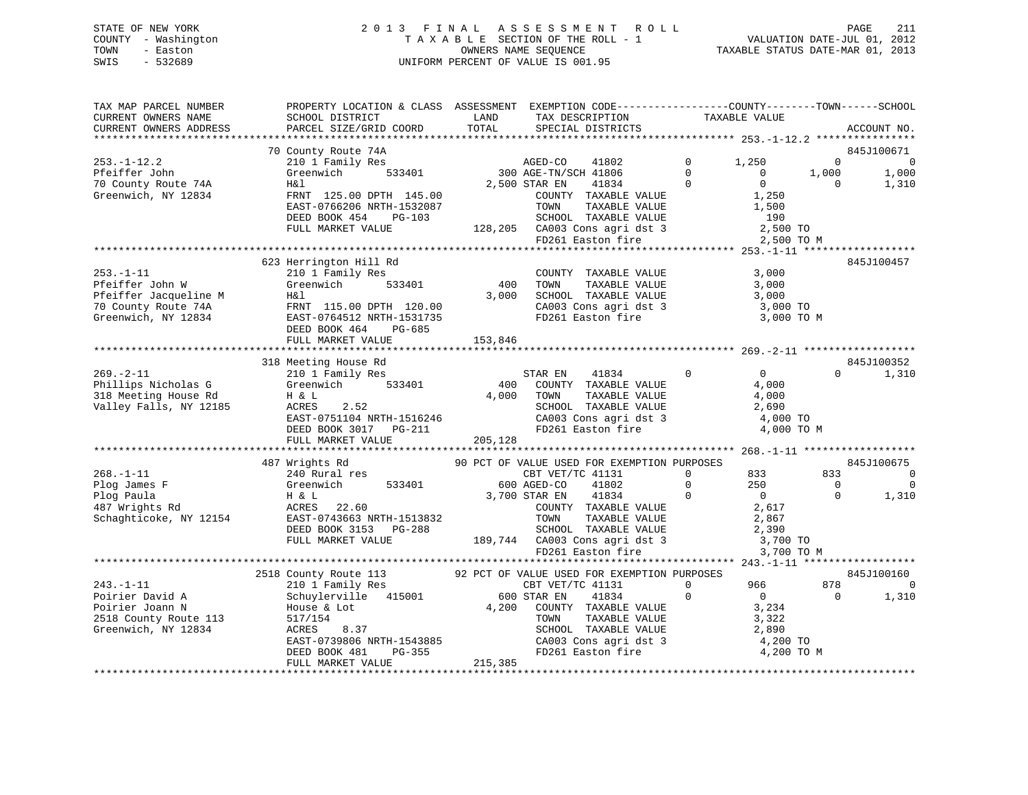# STATE OF NEW YORK 2 0 1 3 F I N A L A S S E S S M E N T R O L L PAGE 211 COUNTY - Washington T A X A B L E SECTION OF THE ROLL - 1 VALUATION DATE-JUL 01, 2012 TOWN - Easton OWNERS NAME SEQUENCE TAXABLE STATUS DATE-MAR 01, 2013 SWIS - 532689 UNIFORM PERCENT OF VALUE IS 001.95

| TAX MAP PARCEL NUMBER                                               | PROPERTY LOCATION & CLASS ASSESSMENT EXEMPTION CODE---------------COUNTY-------TOWN-----SCHOOL        |                    |                                                                                                                                                                                                                                                                                                                                                                                                                                                                                              |                                  |                |       |
|---------------------------------------------------------------------|-------------------------------------------------------------------------------------------------------|--------------------|----------------------------------------------------------------------------------------------------------------------------------------------------------------------------------------------------------------------------------------------------------------------------------------------------------------------------------------------------------------------------------------------------------------------------------------------------------------------------------------------|----------------------------------|----------------|-------|
| CURRENT OWNERS NAME                                                 | SCHOOL DISTRICT                                                                                       | LAND               |                                                                                                                                                                                                                                                                                                                                                                                                                                                                                              |                                  |                |       |
| CURRENT OWNERS ADDRESS                                              | PARCEL SIZE/GRID COORD                                                                                | TOTAL              | $\begin{tabular}{ll} \multicolumn{2}{c}{\begin{tabular}{lcccc} \multicolumn{2}{c}{\multicolumn{2}{c}{\multicolumn{2}{c}{\multicolumn{2}{c}{\multicolumn{2}{c}{\multicolumn{2}{c}{\multicolumn{2}{c}{\multicolumn{2}{c}{\multicolumn{2}{c}{\multicolumn{2}{c}{\multicolumn{2}{c}{\multicolumn{2}{c}{\multicolumn{2}{c}{\multicolumn{2}{c}{\multicolumn{2}{c}{\multicolumn{2}{c}{\multicolumn{2}{c}{\multicolumn{2}{c}{\multicolumn{2}{c}{\multicolumn{2}{c}{\multicolumn{2}{c}{\multicolumn{$ |                                  | ACCOUNT NO.    |       |
|                                                                     |                                                                                                       |                    |                                                                                                                                                                                                                                                                                                                                                                                                                                                                                              |                                  |                |       |
|                                                                     | 70 County Route 74A                                                                                   |                    |                                                                                                                                                                                                                                                                                                                                                                                                                                                                                              |                                  | 845J100671     |       |
| $253. - 1 - 12.2$                                                   | 210 1 Family Res                                                                                      |                    | AGED-CO<br>41802                                                                                                                                                                                                                                                                                                                                                                                                                                                                             | $0 \t 1,250$                     | $\Omega$       | - 0   |
| Pfeiffer John                                                       | 533401<br>Greenwich                                                                                   |                    | 300 AGE-TN/SCH 41806                                                                                                                                                                                                                                                                                                                                                                                                                                                                         | $\overline{0}$<br>$\overline{0}$ | 1,000          | 1,000 |
|                                                                     |                                                                                                       |                    | $41806$ 0<br>$41834$ 0                                                                                                                                                                                                                                                                                                                                                                                                                                                                       | $\overline{0}$                   | $\overline{0}$ |       |
| 70 County Route 74A                                                 | Η&l                                                                                                   |                    | 2,500 STAR EN                                                                                                                                                                                                                                                                                                                                                                                                                                                                                |                                  |                | 1,310 |
| Greenwich, NY 12834                                                 | FRNT 125.00 DPTH 145.00                                                                               |                    | COUNTY TAXABLE VALUE<br>TOWN     TAXABLE VALUE                                                                                                                                                                                                                                                                                                                                                                                                                                               | 1,250                            |                |       |
|                                                                     | EAST-0766206 NRTH-1532087                                                                             |                    |                                                                                                                                                                                                                                                                                                                                                                                                                                                                                              | 1,500                            |                |       |
|                                                                     | DEED BOOK 454<br>PG-103                                                                               |                    | SCHOOL TAXABLE VALUE                                                                                                                                                                                                                                                                                                                                                                                                                                                                         | 190                              |                |       |
|                                                                     | FULL MARKET VALUE                                                                                     |                    |                                                                                                                                                                                                                                                                                                                                                                                                                                                                                              |                                  |                |       |
|                                                                     |                                                                                                       |                    | FD261 Easton fire                                                                                                                                                                                                                                                                                                                                                                                                                                                                            | 2,500 TO M                       |                |       |
|                                                                     |                                                                                                       |                    |                                                                                                                                                                                                                                                                                                                                                                                                                                                                                              |                                  |                |       |
|                                                                     | 623 Herrington Hill Rd                                                                                |                    |                                                                                                                                                                                                                                                                                                                                                                                                                                                                                              |                                  | 845J100457     |       |
| $253. - 1 - 11$                                                     | 210 1 Family Res                                                                                      |                    | COUNTY TAXABLE VALUE                                                                                                                                                                                                                                                                                                                                                                                                                                                                         | 3,000                            |                |       |
| Pfeiffer John W                                                     | _<br>533401<br>Greenwich                                                                              | 400                | TAXABLE VALUE<br>TAXABLE VALUE<br>TOWN                                                                                                                                                                                                                                                                                                                                                                                                                                                       | 3,000                            |                |       |
| Pfeiffer Jacqueline M                                               | H&l                                                                                                   | 3,000              |                                                                                                                                                                                                                                                                                                                                                                                                                                                                                              |                                  |                |       |
| Prefiler Jacqueline M<br>70 County Route 74A<br>Greenwich, NY 12834 | FRNT 115.00 DPTH 120.00                                                                               |                    | SCHOOL TAXABLE VALUE 3,000<br>CA003 Cons agri dst 3 3,000 TO                                                                                                                                                                                                                                                                                                                                                                                                                                 |                                  |                |       |
|                                                                     |                                                                                                       |                    | FD261 Easton fire                                                                                                                                                                                                                                                                                                                                                                                                                                                                            |                                  |                |       |
|                                                                     | EAST-0764512 NRTH-1531735                                                                             |                    |                                                                                                                                                                                                                                                                                                                                                                                                                                                                                              | 3,000 TO M                       |                |       |
|                                                                     | DEED BOOK 464<br>PG-685                                                                               |                    |                                                                                                                                                                                                                                                                                                                                                                                                                                                                                              |                                  |                |       |
|                                                                     | FULL MARKET VALUE                                                                                     | 153,846            |                                                                                                                                                                                                                                                                                                                                                                                                                                                                                              |                                  |                |       |
|                                                                     |                                                                                                       |                    |                                                                                                                                                                                                                                                                                                                                                                                                                                                                                              |                                  |                |       |
|                                                                     | 318 Meeting House Rd                                                                                  |                    |                                                                                                                                                                                                                                                                                                                                                                                                                                                                                              |                                  | 845J100352     |       |
| $269. - 2 - 11$                                                     | 210 1 Family Res                                                                                      |                    | $\overline{0}$<br>STAR EN<br>41834                                                                                                                                                                                                                                                                                                                                                                                                                                                           | $\overline{0}$                   | $\Omega$       | 1,310 |
| Phillips Nicholas G                                                 | Greenwich<br>533401                                                                                   | 400                | COUNTY TAXABLE VALUE                                                                                                                                                                                                                                                                                                                                                                                                                                                                         | 4,000                            |                |       |
| 318 Meeting House Rd                                                | H & L                                                                                                 | 4,000 TOWN         | TOWN      TAXABLE  VALUE<br>SCHOOL   TAXABLE  VALUE                                                                                                                                                                                                                                                                                                                                                                                                                                          | 4,000                            |                |       |
| Valley Falls, NY 12185                                              | 2.52<br>ACRES                                                                                         |                    |                                                                                                                                                                                                                                                                                                                                                                                                                                                                                              | 2,690                            |                |       |
|                                                                     | EAST-0751104 NRTH-1516246<br>DEED BOOK 3017 PG-211                                                    |                    | CA003 Cons agri dst 3<br>FD261 Easton fire                                                                                                                                                                                                                                                                                                                                                                                                                                                   | 4,000 TO                         |                |       |
|                                                                     |                                                                                                       |                    |                                                                                                                                                                                                                                                                                                                                                                                                                                                                                              | 4,000 TO M                       |                |       |
|                                                                     | FULL MARKET VALUE                                                                                     | 205,128            |                                                                                                                                                                                                                                                                                                                                                                                                                                                                                              |                                  |                |       |
|                                                                     |                                                                                                       |                    |                                                                                                                                                                                                                                                                                                                                                                                                                                                                                              |                                  |                |       |
|                                                                     |                                                                                                       |                    |                                                                                                                                                                                                                                                                                                                                                                                                                                                                                              |                                  | 845J100675     |       |
|                                                                     | 487 Wrights Rd                                                                                        |                    | 90 PCT OF VALUE USED FOR EXEMPTION PURPOSES                                                                                                                                                                                                                                                                                                                                                                                                                                                  |                                  |                |       |
| $268. - 1 - 11$                                                     | 240 Rural res                                                                                         |                    | CBT VET/TC 41131                                                                                                                                                                                                                                                                                                                                                                                                                                                                             | $\overline{0}$<br>833            | 833            | 0     |
| Plog James F                                                        | Greenwich                                                                                             | 533401 600 AGED-CO | 41802                                                                                                                                                                                                                                                                                                                                                                                                                                                                                        | $\overline{0}$<br>250            | $\overline{0}$ | 0     |
| Plog Paula                                                          | H & L                                                                                                 | 3,700 STAR EN      | 41834<br>$\sim$ 0                                                                                                                                                                                                                                                                                                                                                                                                                                                                            | $\overline{0}$                   | $\Omega$       | 1,310 |
| 487 Wrights Rd                                                      | ACRES 22.60                                                                                           |                    | COUNTY TAXABLE VALUE                                                                                                                                                                                                                                                                                                                                                                                                                                                                         | 2,617                            |                |       |
| Schaghticoke, NY 12154                                              | EAST-0743663 NRTH-1513832                                                                             |                    | TOWN<br>TAXABLE VALUE                                                                                                                                                                                                                                                                                                                                                                                                                                                                        | 2,867                            |                |       |
|                                                                     | DEED BOOK 3153 PG-288                                                                                 |                    |                                                                                                                                                                                                                                                                                                                                                                                                                                                                                              | 2,390                            |                |       |
|                                                                     | FULL MARKET VALUE                                                                                     |                    |                                                                                                                                                                                                                                                                                                                                                                                                                                                                                              | 3,700 TO                         |                |       |
|                                                                     |                                                                                                       |                    | SCHOOL TAXABLE VALUE<br>189,744 CA003 Cons agri dst 3                                                                                                                                                                                                                                                                                                                                                                                                                                        | 3,700 TO M                       |                |       |
|                                                                     |                                                                                                       |                    |                                                                                                                                                                                                                                                                                                                                                                                                                                                                                              |                                  |                |       |
|                                                                     |                                                                                                       |                    |                                                                                                                                                                                                                                                                                                                                                                                                                                                                                              |                                  | 845J100160     |       |
| $243. - 1 - 11$                                                     | 2518 County Route 113 92 PCT OF VALUE USED FOR EXEMPTION PURPOSES 210 1 Family Res CBT VET/TC 41131 0 |                    |                                                                                                                                                                                                                                                                                                                                                                                                                                                                                              | 966 190                          | 878            | 0     |
|                                                                     |                                                                                                       |                    |                                                                                                                                                                                                                                                                                                                                                                                                                                                                                              |                                  |                |       |
| Poirier David A                                                     | Schuylerville 415001                                                                                  |                    | 600 STAR EN<br>41834                                                                                                                                                                                                                                                                                                                                                                                                                                                                         | $\overline{0}$<br>$\Omega$       | $\Omega$       | 1,310 |
| Poirier Joann N                                                     | House & Lot                                                                                           |                    | 4,200 COUNTY TAXABLE VALUE                                                                                                                                                                                                                                                                                                                                                                                                                                                                   | 3,234                            |                |       |
| 2518 County Route 113                                               | 517/154                                                                                               |                    | TAXABLE VALUE<br>TOWN                                                                                                                                                                                                                                                                                                                                                                                                                                                                        | 3,322                            |                |       |
| Greenwich, NY 12834                                                 |                                                                                                       |                    | SCHOOL TAXABLE VALUE                                                                                                                                                                                                                                                                                                                                                                                                                                                                         | 2,890                            |                |       |
|                                                                     |                                                                                                       |                    |                                                                                                                                                                                                                                                                                                                                                                                                                                                                                              |                                  |                |       |
|                                                                     | ACRES 8.37<br>EAST-0739806 NRTH-1543885                                                               |                    | CA003 Cons agri dst 3 4,200 TO<br>FD261 Easton fire 4,200 TO M                                                                                                                                                                                                                                                                                                                                                                                                                               |                                  |                |       |
|                                                                     | FULL MARKET VALUE                                                                                     | 215, 385           |                                                                                                                                                                                                                                                                                                                                                                                                                                                                                              |                                  |                |       |
|                                                                     |                                                                                                       |                    |                                                                                                                                                                                                                                                                                                                                                                                                                                                                                              |                                  |                |       |
|                                                                     |                                                                                                       |                    |                                                                                                                                                                                                                                                                                                                                                                                                                                                                                              |                                  |                |       |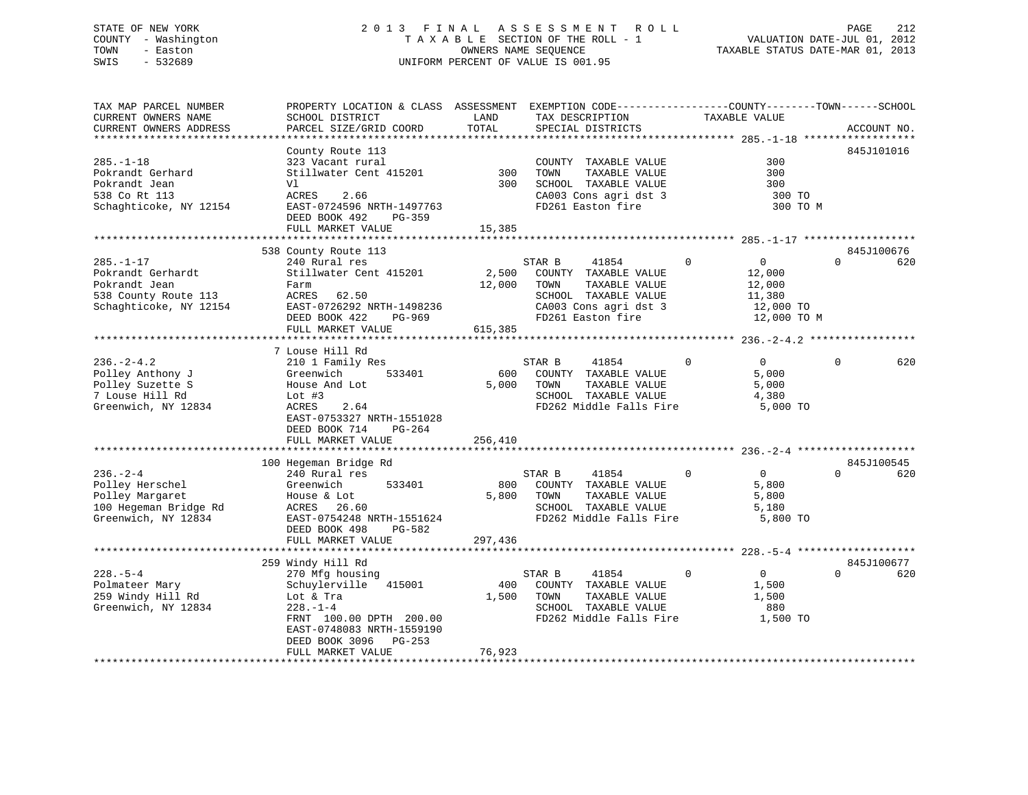# STATE OF NEW YORK 2 0 1 3 F I N A L A S S E S S M E N T R O L L PAGE 212 COUNTY - Washington T A X A B L E SECTION OF THE ROLL - 1 VALUATION DATE-JUL 01, 2012 TOWN - Easton **CONNERS NAME SEQUENCE** TAXABLE STATUS DATE-MAR 01, 2013 SWIS - 532689 UNIFORM PERCENT OF VALUE IS 001.95

| TAX MAP PARCEL NUMBER  | PROPERTY LOCATION & CLASS ASSESSMENT EXEMPTION CODE---------------COUNTY-------TOWN------SCHOOL |         |                         |                            |                 |
|------------------------|-------------------------------------------------------------------------------------------------|---------|-------------------------|----------------------------|-----------------|
| CURRENT OWNERS NAME    | SCHOOL DISTRICT                                                                                 | LAND    | TAX DESCRIPTION         | TAXABLE VALUE              |                 |
| CURRENT OWNERS ADDRESS | PARCEL SIZE/GRID COORD                                                                          | TOTAL   | SPECIAL DISTRICTS       |                            | ACCOUNT NO.     |
|                        |                                                                                                 |         |                         |                            |                 |
|                        | County Route 113                                                                                |         |                         |                            | 845J101016      |
| $285. - 1 - 18$        | 323 Vacant rural                                                                                |         |                         | 300                        |                 |
|                        |                                                                                                 |         | COUNTY TAXABLE VALUE    |                            |                 |
| Pokrandt Gerhard       | Stillwater Cent 415201                                                                          | 300     | TAXABLE VALUE<br>TOWN   | 300                        |                 |
| Pokrandt Jean          | Vl                                                                                              | 300     | SCHOOL TAXABLE VALUE    | 300                        |                 |
| 538 Co Rt 113          | ACRES<br>2.66                                                                                   |         | CA003 Cons agri dst 3   | 300 TO                     |                 |
| Schaghticoke, NY 12154 | EAST-0724596 NRTH-1497763                                                                       |         | FD261 Easton fire       | 300 TO M                   |                 |
|                        | DEED BOOK 492<br>PG-359                                                                         |         |                         |                            |                 |
|                        | FULL MARKET VALUE                                                                               | 15,385  |                         |                            |                 |
|                        |                                                                                                 |         |                         |                            |                 |
|                        |                                                                                                 |         |                         |                            | 845J100676      |
|                        | 538 County Route 113                                                                            |         |                         |                            |                 |
| $285. - 1 - 17$        | 240 Rural res                                                                                   |         | STAR B<br>41854         | $\Omega$<br>0              | $\Omega$<br>620 |
| Pokrandt Gerhardt      | Stillwater Cent 415201 2,500                                                                    |         | COUNTY TAXABLE VALUE    | 12,000                     |                 |
| Pokrandt Jean          | Farm                                                                                            | 12,000  | TOWN<br>TAXABLE VALUE   | 12,000                     |                 |
| 538 County Route 113   | ACRES 62.50                                                                                     |         | SCHOOL TAXABLE VALUE    | 11,380                     |                 |
| Schaghticoke, NY 12154 | EAST-0726292 NRTH-1498236                                                                       |         | CA003 Cons agri dst 3   | 12,000 TO                  |                 |
|                        | DEED BOOK 422<br>PG-969                                                                         |         | FD261 Easton fire       | 12,000 TO M                |                 |
|                        | FULL MARKET VALUE                                                                               | 615,385 |                         |                            |                 |
|                        |                                                                                                 |         |                         |                            |                 |
|                        |                                                                                                 |         |                         |                            |                 |
|                        | 7 Louse Hill Rd                                                                                 |         |                         |                            |                 |
| $236. - 2 - 4.2$       | 210 1 Family Res                                                                                |         | STAR B<br>41854         | $\Omega$<br>$\overline{0}$ | 620<br>$\Omega$ |
| Polley Anthony J       | 533401<br>Greenwich                                                                             | 600     | COUNTY TAXABLE VALUE    | 5,000                      |                 |
| Polley Suzette S       | House And Lot                                                                                   | 5,000   | TOWN<br>TAXABLE VALUE   | 5,000                      |                 |
| 7 Louse Hill Rd        | Lot $#3$                                                                                        |         | SCHOOL TAXABLE VALUE    | 4,380                      |                 |
| Greenwich, NY 12834    | ACRES<br>2.64                                                                                   |         | FD262 Middle Falls Fire | 5,000 TO                   |                 |
|                        | EAST-0753327 NRTH-1551028                                                                       |         |                         |                            |                 |
|                        |                                                                                                 |         |                         |                            |                 |
|                        | DEED BOOK 714<br>$PG-264$                                                                       |         |                         |                            |                 |
|                        | FULL MARKET VALUE                                                                               | 256,410 |                         |                            |                 |
|                        |                                                                                                 |         |                         |                            |                 |
|                        | 100 Hegeman Bridge Rd                                                                           |         |                         |                            | 845J100545      |
| $236. - 2 - 4$         | 240 Rural res                                                                                   |         | STAR B<br>41854         | $\Omega$<br>$\overline{0}$ | $\Omega$<br>620 |
| Polley Herschel        | Greenwich<br>533401                                                                             | 800     | COUNTY TAXABLE VALUE    | 5,800                      |                 |
| Polley Margaret        | House & Lot                                                                                     | 5,800   | TOWN<br>TAXABLE VALUE   | 5,800                      |                 |
| 100 Hegeman Bridge Rd  | 26.60<br>ACRES                                                                                  |         | SCHOOL TAXABLE VALUE    | 5,180                      |                 |
|                        |                                                                                                 |         |                         |                            |                 |
| Greenwich, NY 12834    | EAST-0754248 NRTH-1551624                                                                       |         | FD262 Middle Falls Fire | 5,800 TO                   |                 |
|                        | DEED BOOK 498<br>PG-582                                                                         |         |                         |                            |                 |
|                        | FULL MARKET VALUE                                                                               | 297,436 |                         |                            |                 |
|                        |                                                                                                 |         |                         |                            |                 |
|                        | 259 Windy Hill Rd                                                                               |         |                         |                            | 845J100677      |
| $228. - 5 - 4$         | 270 Mfg housing                                                                                 |         | STAR B<br>41854         | $\Omega$<br>$\overline{0}$ | $\Omega$<br>620 |
| Polmateer Mary         | Schuylerville 415001                                                                            | 400     | COUNTY TAXABLE VALUE    | 1,500                      |                 |
| 259 Windy Hill Rd      |                                                                                                 | 1,500   | TOWN<br>TAXABLE VALUE   | 1,500                      |                 |
|                        | Lot & Tra                                                                                       |         |                         |                            |                 |
| Greenwich, NY 12834    | $228. - 1 - 4$                                                                                  |         | SCHOOL TAXABLE VALUE    | 880                        |                 |
|                        | FRNT 100.00 DPTH 200.00                                                                         |         | FD262 Middle Falls Fire | 1,500 TO                   |                 |
|                        | EAST-0748083 NRTH-1559190                                                                       |         |                         |                            |                 |
|                        | DEED BOOK 3096<br>PG-253                                                                        |         |                         |                            |                 |
|                        | FULL MARKET VALUE                                                                               | 76,923  |                         |                            |                 |
|                        |                                                                                                 |         |                         |                            |                 |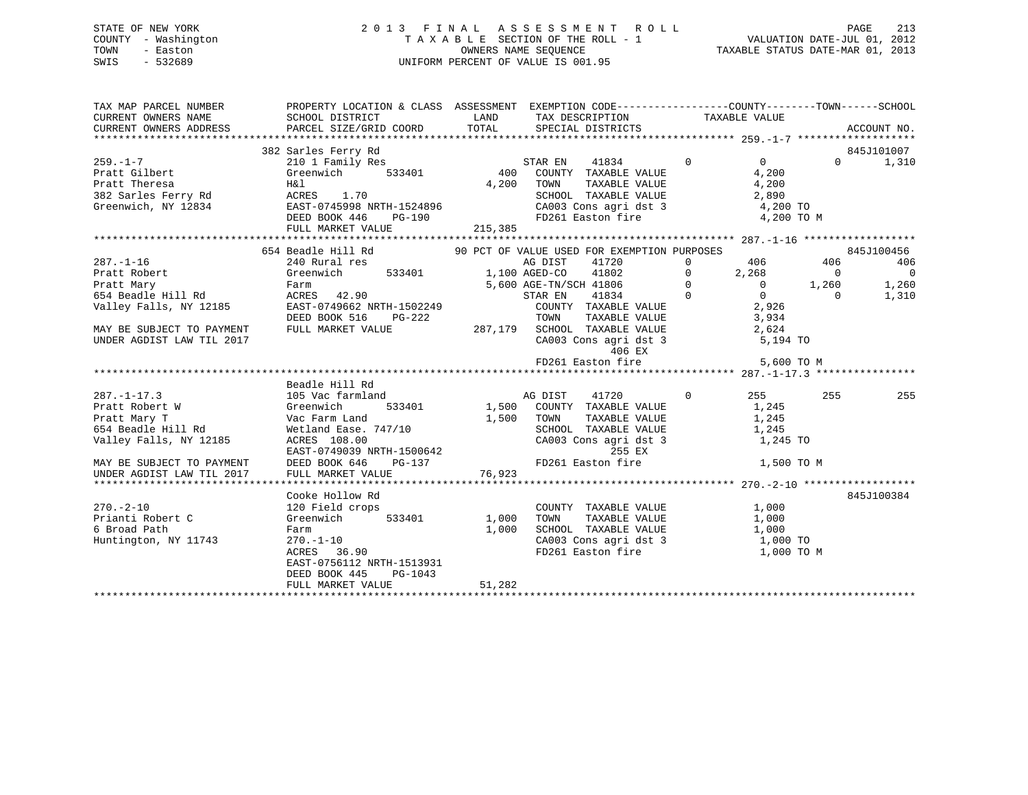# STATE OF NEW YORK 2 0 1 3 F I N A L A S S E S S M E N T R O L L PAGE 213 COUNTY - Washington T A X A B L E SECTION OF THE ROLL - 1 VALUATION DATE-JUL 01, 2012 TOWN - Easton OWNERS NAME SEQUENCE TAXABLE STATUS DATE-MAR 01, 2013 SWIS - 532689 UNIFORM PERCENT OF VALUE IS 001.95

| TAX MAP PARCEL NUMBER                                                       | PROPERTY LOCATION & CLASS ASSESSMENT EXEMPTION CODE-----------------COUNTY-------TOWN------SCHOOL                                                                                                                                                                                                                                                                                                                                                                                                  |                 |                                                                                                                                                                                                                                                                                      |                                         |                                                 |
|-----------------------------------------------------------------------------|----------------------------------------------------------------------------------------------------------------------------------------------------------------------------------------------------------------------------------------------------------------------------------------------------------------------------------------------------------------------------------------------------------------------------------------------------------------------------------------------------|-----------------|--------------------------------------------------------------------------------------------------------------------------------------------------------------------------------------------------------------------------------------------------------------------------------------|-----------------------------------------|-------------------------------------------------|
| $259. - 1 - 7$<br>259.-1-7<br>Pratt Gilbert Green<br>H&l                    | 382 Sarles Ferry Rd<br>Salies Feliy Au<br>210 1 Family Res<br>Greenwich 533401 (200 M) 7AXABLE VALUE<br>200 MOUNTY TAXABLE VALUE<br>Pratt Theresa (1.70 MK)<br>382 Sarles Ferry Rd (1.70 MCRES 1.70 MM)<br>382 Sarles Ferry Rd (1.70 MCRES 1.70 SCHOOL SCHOOL CA003 C<br>382 Sarles Ferry Rd (2003 CLACKER 1.70 MCRES 1.70 MM)<br>FULL MARKET VALUE                                                                                                                                                | 215,385         | TOWN TAXABLE VALUE 4,200<br>SCHOOL TAXABLE VALUE 2,890<br>CA003 Cons agri dst 3 4,200 TO<br>FD261 Easton fire                                                                                                                                                                        | $\overline{0}$ 0<br>4,200<br>4,200 TO M | 845J101007<br>$0 \t 1,310$                      |
|                                                                             |                                                                                                                                                                                                                                                                                                                                                                                                                                                                                                    |                 |                                                                                                                                                                                                                                                                                      |                                         |                                                 |
|                                                                             | 287.-1-16 240 Rural res<br>Pratt Robert (310 Rural res (40 Rural res (40 Rural res (40 Rural res (40 Rural res (40 Rural res (40 Rural res (40 Rural res (40 Rural res (40 Rural res (40 Rural res (40 Rural res (40 Rural res (<br>654 Beadle Hill Rd valley Falls, NY 12185<br>Valley Falls, NY 12185<br>DEED BOOK 516 PG-222<br>MAY BE SUBJECT TO PAYMENT FULL MARKET VALUE<br>TOWN TAXABLE VALUE 3,934<br>DEED BOOK 516 PG-222<br>287,179 SCHOOL TAXABLE VALUE 2624<br>CA003<br>Beadle Hill Rd | AG DIST         | 406 EX<br>FD261 Easton fire $5,600$ TO M                                                                                                                                                                                                                                             |                                         | 845J100456<br>406<br>$\sim$ 0<br>1,260<br>1,310 |
| $287. - 1 - 17.3$                                                           | 105 Vac farmland<br>Cooke Hollow Rd                                                                                                                                                                                                                                                                                                                                                                                                                                                                |                 | 41720<br>$\sim$ 0<br>533401 1,500 COUNTY TAXABLE VALUE 1,245<br>TOWN TAXABLE VALUE 1,245<br>SCHOOL TAXABLE VALUE 1,245<br>CA003 Cons agri dst 3 1,245 TO                                                                                                                             | 255<br>1,500 TO M                       | 255<br>255<br>845J100384                        |
| $270. - 2 - 10$<br>Prianti Robert C<br>6 Broad Path<br>Huntington, NY 11743 | 120 Field crops<br>Greenwich 533401 1,000<br>Farm<br>270.-1-10<br>ACRES 36.90<br>EAST-0756112 NRTH-1513931<br>DEED BOOK 445<br>PG-1043<br>FULL MARKET VALUE                                                                                                                                                                                                                                                                                                                                        | 1,000<br>51,282 | $\begin{tabular}{lllllll} \multicolumn{2}{l}{{\small \texttt{COUNTY}}} & \multicolumn{2}{l}{\small \texttt{TAXABLE} } \texttt{VALUE} & & & & 1,000 \end{tabular}$<br>TOWN TAXABLE VALUE 1,000<br>SCHOOL TAXABLE VALUE 1,000<br>CA003 Cons agri dst 3 $1,000$ TO<br>FD261 Easton fire | 1,000 TO M                              |                                                 |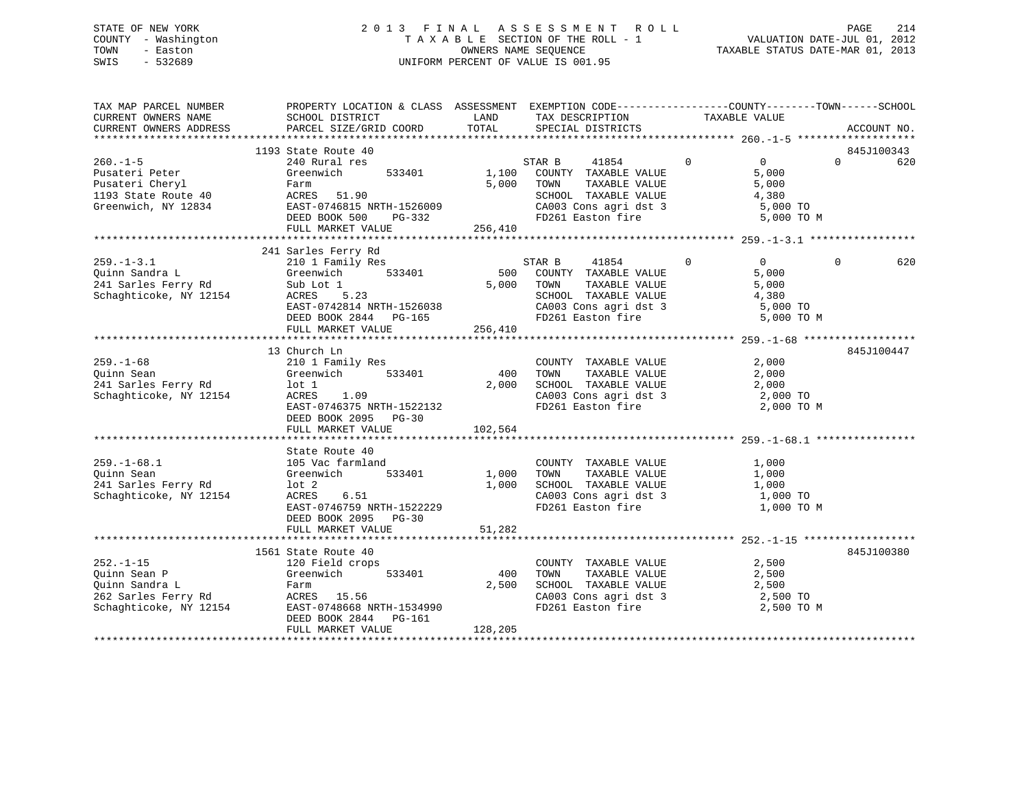# STATE OF NEW YORK 2 0 1 3 F I N A L A S S E S S M E N T R O L L PAGE 214 COUNTY - Washington T A X A B L E SECTION OF THE ROLL - 1 VALUATION DATE-JUL 01, 2012 TOWN - Easton OWNERS NAME SEQUENCE TAXABLE STATUS DATE-MAR 01, 2013 SWIS - 532689 UNIFORM PERCENT OF VALUE IS 001.95

| TAX MAP PARCEL NUMBER<br>CURRENT OWNERS NAME<br>CURRENT OWNERS ADDRESS                                                                                                                  | PROPERTY LOCATION & CLASS ASSESSMENT EXEMPTION CODE----------------COUNTY-------TOWN-----SCHOOL<br>SCHOOL DISTRICT<br>PARCEL SIZE/GRID COORD | <b>LAND</b><br>TOTAL | TAX DESCRIPTION TAXABLE VALUE<br>SPECIAL DISTRICTS                 |                                                                                                | ACCOUNT NO.                  |
|-----------------------------------------------------------------------------------------------------------------------------------------------------------------------------------------|----------------------------------------------------------------------------------------------------------------------------------------------|----------------------|--------------------------------------------------------------------|------------------------------------------------------------------------------------------------|------------------------------|
|                                                                                                                                                                                         |                                                                                                                                              |                      |                                                                    |                                                                                                |                              |
|                                                                                                                                                                                         | 1193 State Route 40<br>State Route 40<br>240 Rural res                                                                                       |                      |                                                                    |                                                                                                | 845J100343                   |
| $260 - 1 - 5$                                                                                                                                                                           |                                                                                                                                              |                      | 41854 0<br>STAR B                                                  | $\overline{0}$                                                                                 | $\Omega$ and $\Omega$<br>620 |
| Pusateri Peter                                                                                                                                                                          | Greenwich 533401 1,100 COUNTY TAXABLE VALUE                                                                                                  |                      |                                                                    | 5,000                                                                                          |                              |
| Pusateri Cheryl                                                                                                                                                                         |                                                                                                                                              |                      | 5,000 TOWN<br>TAXABLE VALUE                                        | 5,000                                                                                          |                              |
|                                                                                                                                                                                         |                                                                                                                                              |                      | SCHOOL TAXABLE VALUE                                               | 4,380                                                                                          |                              |
|                                                                                                                                                                                         |                                                                                                                                              |                      |                                                                    | 5,000 TO                                                                                       |                              |
| Pusateri Cheryl Pusater Cheryl Cheryl Cheryl Cheryl Cheryl ACRES 51.90<br>Greenwich, NY 12834 EAST-0746815 NRTH-1526009 CA003 Cons agri dst 3<br>DEED BOOK 500 PG-332 FD261 Easton fire |                                                                                                                                              |                      |                                                                    | 5,000 TO M                                                                                     |                              |
|                                                                                                                                                                                         |                                                                                                                                              |                      |                                                                    |                                                                                                |                              |
|                                                                                                                                                                                         |                                                                                                                                              |                      |                                                                    |                                                                                                |                              |
|                                                                                                                                                                                         | 241 Sarles Ferry Rd                                                                                                                          |                      |                                                                    |                                                                                                |                              |
| $259. - 1 - 3.1$                                                                                                                                                                        |                                                                                                                                              |                      | STAR B 41854                                                       | $\overline{0}$<br>$\overline{0}$                                                               | 620<br>$\Omega$              |
|                                                                                                                                                                                         |                                                                                                                                              |                      | 500 COUNTY TAXABLE VALUE<br>5,000 TOWN TAXABLE VALUE               | 5,000                                                                                          |                              |
|                                                                                                                                                                                         |                                                                                                                                              |                      |                                                                    | 5,000                                                                                          |                              |
| 233.1 Sundra L<br>241 Sarles Ferry Rd<br>31401 Schaghticoke, NY 12154 ACRES 5.23                                                                                                        |                                                                                                                                              |                      |                                                                    |                                                                                                |                              |
|                                                                                                                                                                                         | $\begin{tabular}{ll} EAST-0742814 & NRFH-1526038 \\ DEED BOOK & 2844 & PG-165 \\ FILL & MARKET & VATITE \\ \end{tabular}$                    |                      |                                                                    | SCHOOL TAXABLE VALUE $4,380$<br>CA003 Cons agri dst 3 5,000 TO<br>FD261 Easton fire 5,000 TO M |                              |
|                                                                                                                                                                                         |                                                                                                                                              |                      |                                                                    |                                                                                                |                              |
|                                                                                                                                                                                         | FULL MARKET VALUE                                                                                                                            | 256,410              |                                                                    |                                                                                                |                              |
|                                                                                                                                                                                         |                                                                                                                                              |                      |                                                                    |                                                                                                |                              |
|                                                                                                                                                                                         | 13 Church Ln                                                                                                                                 |                      |                                                                    |                                                                                                | 845J100447                   |
| $259. - 1 - 68$                                                                                                                                                                         |                                                                                                                                              |                      | COUNTY TAXABLE VALUE                                               | 2,000                                                                                          |                              |
|                                                                                                                                                                                         | 210 1 Family Res<br>Greenwich 533401                                                                                                         | COUNTY<br>400 TOWN   |                                                                    |                                                                                                |                              |
|                                                                                                                                                                                         |                                                                                                                                              |                      |                                                                    |                                                                                                |                              |
|                                                                                                                                                                                         | lot 1<br>ACRES 1.09                                                                                                                          |                      | CA003 Cons agri dst 3<br>FD261 Easton fire                         | 2,000 TO                                                                                       |                              |
|                                                                                                                                                                                         | EAST-0746375 NRTH-1522132                                                                                                                    |                      |                                                                    | 2,000 TO M                                                                                     |                              |
|                                                                                                                                                                                         | DEED BOOK 2095 PG-30                                                                                                                         |                      |                                                                    |                                                                                                |                              |
|                                                                                                                                                                                         | FULL MARKET VALUE                                                                                                                            | 102,564              |                                                                    |                                                                                                |                              |
|                                                                                                                                                                                         |                                                                                                                                              |                      |                                                                    |                                                                                                |                              |
|                                                                                                                                                                                         | State Route 40                                                                                                                               |                      |                                                                    |                                                                                                |                              |
| $259. - 1 - 68.1$                                                                                                                                                                       |                                                                                                                                              |                      |                                                                    | $\frac{1}{1}$ , 000                                                                            |                              |
|                                                                                                                                                                                         |                                                                                                                                              | COUNTY<br>1,000 TOWN | COUNTY TAXABLE VALUE<br>TOWN TAXABLE VALUE                         |                                                                                                |                              |
|                                                                                                                                                                                         |                                                                                                                                              |                      |                                                                    |                                                                                                |                              |
| Quinn Sean<br>241 Sarles Ferry Rd 10t 2<br>241 Sarles Ferry Rd 10t 2                                                                                                                    | $ACRES$ 6.51                                                                                                                                 |                      | 1,000 SCHOOL TAXABLE VALUE 1,000<br>CA003 Cons agri dst 3 1,000 TO |                                                                                                |                              |
|                                                                                                                                                                                         | EAST-0746759 NRTH-1522229                                                                                                                    |                      | CA003 Cons agri dst 3<br>FD261 Easton fire                         | 1,000 TO M                                                                                     |                              |
|                                                                                                                                                                                         | DEED BOOK 2095 PG-30                                                                                                                         |                      |                                                                    |                                                                                                |                              |
|                                                                                                                                                                                         |                                                                                                                                              | 51,282               |                                                                    |                                                                                                |                              |
|                                                                                                                                                                                         | FULL MARKET VALUE                                                                                                                            |                      |                                                                    |                                                                                                |                              |
|                                                                                                                                                                                         |                                                                                                                                              |                      |                                                                    |                                                                                                | 845J100380                   |
|                                                                                                                                                                                         | 1561 State Route 40                                                                                                                          |                      |                                                                    |                                                                                                |                              |
| $252. - 1 - 15$                                                                                                                                                                         | 120 Field crops                                                                                                                              |                      | COUNTY TAXABLE VALUE<br>TAXABLE VALUE                              | 2,500                                                                                          |                              |
| Ouinn Sean P                                                                                                                                                                            | 533401<br>Greenwich                                                                                                                          | 400                  | TOWN                                                               | 2,500                                                                                          |                              |
| Ouinn Sandra L<br>Quinn Sandra L<br>262 Sarles Ferry Rd                                                                                                                                 | Farm<br>ACRES 15.56                                                                                                                          | 2,500                | SCHOOL TAXABLE VALUE 2,500<br>CA003 Cons agri dst 3 2,500 TO       |                                                                                                |                              |
|                                                                                                                                                                                         |                                                                                                                                              |                      |                                                                    |                                                                                                |                              |
| Schaghticoke, NY 12154 EAST-0748668 NRTH-1534990                                                                                                                                        |                                                                                                                                              |                      | FD261 Easton fire                                                  | 2,500 TO M                                                                                     |                              |
|                                                                                                                                                                                         | DEED BOOK 2844 PG-161                                                                                                                        |                      |                                                                    |                                                                                                |                              |
|                                                                                                                                                                                         | FULL MARKET VALUE                                                                                                                            | 128, 205             |                                                                    |                                                                                                |                              |
|                                                                                                                                                                                         |                                                                                                                                              |                      |                                                                    |                                                                                                |                              |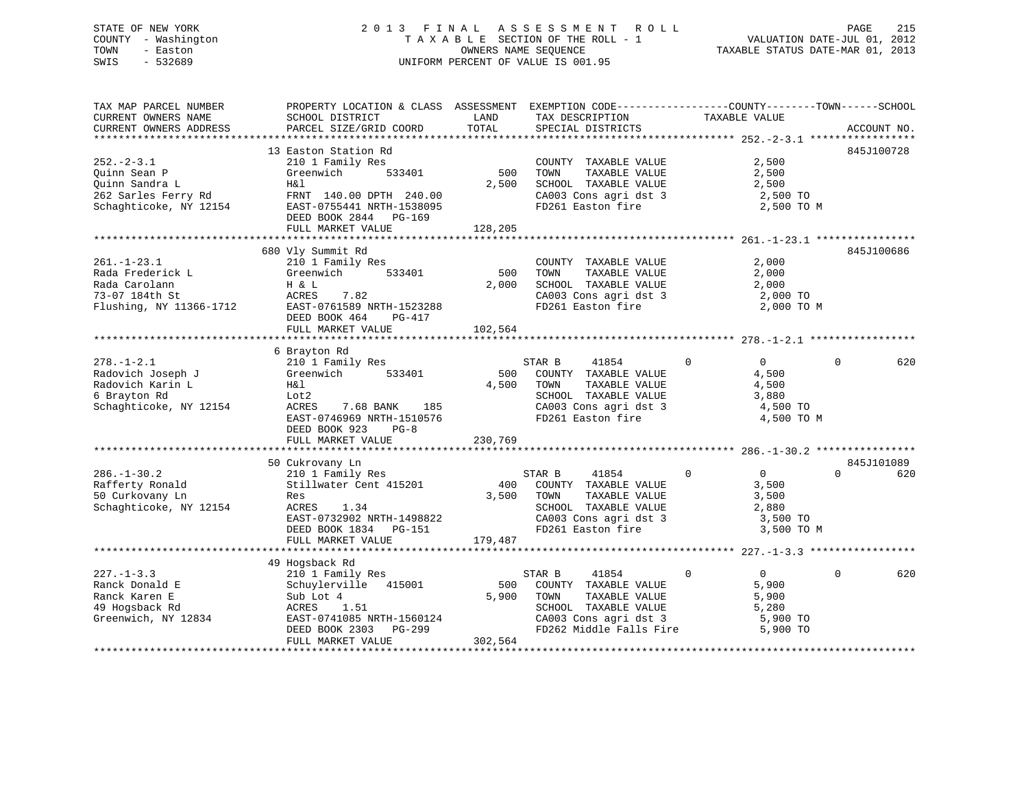# STATE OF NEW YORK 2 0 1 3 F I N A L A S S E S S M E N T R O L L PAGE 215 COUNTY - Washington T A X A B L E SECTION OF THE ROLL - 1 VALUATION DATE-JUL 01, 2012 TOWN - Easton OWNERS NAME SEQUENCE TAXABLE STATUS DATE-MAR 01, 2013 SWIS - 532689 UNIFORM PERCENT OF VALUE IS 001.95

| TAX MAP PARCEL NUMBER              | PROPERTY LOCATION & CLASS ASSESSMENT EXEMPTION CODE---------------COUNTY-------TOWN-----SCHOOL |         |                                                                       |                                  |                               |
|------------------------------------|------------------------------------------------------------------------------------------------|---------|-----------------------------------------------------------------------|----------------------------------|-------------------------------|
| CURRENT OWNERS NAME                | SCHOOL DISTRICT                                                                                | LAND    | TAX DESCRIPTION                                                       | TAXABLE VALUE                    |                               |
| CURRENT OWNERS ADDRESS             | PARCEL SIZE/GRID COORD                                                                         | TOTAL   | SPECIAL DISTRICTS                                                     |                                  | ACCOUNT NO.                   |
|                                    |                                                                                                |         |                                                                       |                                  |                               |
|                                    | 13 Easton Station Rd                                                                           |         |                                                                       |                                  | 845J100728                    |
| $252. - 2 - 3.1$                   | 210 1 Family Res                                                                               |         | COUNTY TAXABLE VALUE                                                  | 2,500                            |                               |
| Quinn Sean P                       | 533401<br>Greenwich                                                                            | 500     | TOWN<br>TAXABLE VALUE                                                 | 2,500                            |                               |
| Quinn Sandra L                     | H&l                                                                                            | 2,500   | SCHOOL TAXABLE VALUE                                                  | 2,500                            |                               |
| 262 Sarles Ferry Rd                | FRNT 140.00 DPTH 240.00                                                                        |         | CA003 Cons agri dst 3<br>FD261 Easton fire                            | 2,500 TO                         |                               |
| Schaghticoke, NY 12154             | EAST-0755441 NRTH-1538095                                                                      |         |                                                                       | 2,500 TO M                       |                               |
|                                    | DEED BOOK 2844 PG-169                                                                          |         |                                                                       |                                  |                               |
|                                    | FULL MARKET VALUE                                                                              | 128,205 |                                                                       |                                  |                               |
|                                    |                                                                                                |         |                                                                       |                                  |                               |
|                                    | 680 Vly Summit Rd                                                                              |         |                                                                       |                                  | 845J100686                    |
| $261. - 1 - 23.1$                  | 210 1 Family Res                                                                               |         | COUNTY TAXABLE VALUE                                                  | 2,000                            |                               |
| Rada Frederick L                   | 533401<br>Greenwich                                                                            | 500     | TOWN<br>TAXABLE VALUE                                                 | 2,000                            |                               |
| Rada Carolann                      | H & L                                                                                          | 2,000   | SCHOOL TAXABLE VALUE                                                  | 2,000                            |                               |
| 73-07 184th St                     | ACRES<br>7.82                                                                                  |         | CA003 Cons agri dst 3                                                 | 2,000 TO                         |                               |
| Flushing, NY 11366-1712            | EAST-0761589 NRTH-1523288                                                                      |         | FD261 Easton fire                                                     | 2,000 TO M                       |                               |
|                                    | DEED BOOK 464 PG-417                                                                           |         |                                                                       |                                  |                               |
|                                    | FULL MARKET VALUE                                                                              | 102,564 |                                                                       |                                  |                               |
|                                    |                                                                                                |         |                                                                       |                                  |                               |
|                                    | 6 Brayton Rd                                                                                   |         |                                                                       |                                  |                               |
| $278. - 1 - 2.1$                   | 210 1 Family Res                                                                               |         | STAR B<br>41854                                                       | $\Omega$<br>$\overline{0}$       | $\Omega$<br>620               |
| Radovich Joseph J                  | Greenwich<br>533401                                                                            | 500     | COUNTY TAXABLE VALUE                                                  | 4,500                            |                               |
| Radovich Karin L                   | H&l                                                                                            | 4,500   | TOWN<br>TAXABLE VALUE                                                 | 4,500                            |                               |
| 6 Brayton Rd                       | Lot2                                                                                           |         | SCHOOL TAXABLE VALUE<br>SCHOOL TAXABLE VALUE<br>CA003 Cons agri dst 3 | 3,880                            |                               |
| Schaghticoke, NY 12154             | ACRES<br>7.68 BANK 185                                                                         |         |                                                                       | 4,500 TO                         |                               |
|                                    | EAST-0746969 NRTH-1510576                                                                      |         | FD261 Easton fire                                                     | 4,500 TO M                       |                               |
|                                    | DEED BOOK 923<br>$PG-8$                                                                        |         |                                                                       |                                  |                               |
|                                    | FULL MARKET VALUE                                                                              | 230,769 |                                                                       |                                  |                               |
|                                    |                                                                                                |         |                                                                       |                                  |                               |
| $286. - 1 - 30.2$                  | 50 Cukrovany Ln<br>210 1 Family Res                                                            |         | STAR B<br>41854                                                       | $\mathbf{0}$<br>$\overline{0}$   | 845J101089<br>$\Omega$<br>620 |
|                                    | Stillwater Cent 415201                                                                         |         | 400 COUNTY TAXABLE VALUE                                              |                                  |                               |
| Rafferty Ronald<br>50 Curkovany Ln | Res                                                                                            |         | 3,500 TOWN<br>TAXABLE VALUE                                           | 3,500<br>3,500                   |                               |
| Schaghticoke, NY 12154             | ACRES<br>1.34                                                                                  |         | SCHOOL TAXABLE VALUE                                                  | 2,880                            |                               |
|                                    | EAST-0732902 NRTH-1498822                                                                      |         | CA003 Cons agri dst 3<br>CA003 Cons agri dst 3                        | 3,500 TO                         |                               |
|                                    | DEED BOOK 1834    PG-151                                                                       |         | FD261 Easton fire                                                     | 3,500 TO M                       |                               |
|                                    | FULL MARKET VALUE                                                                              | 179,487 |                                                                       |                                  |                               |
|                                    |                                                                                                |         |                                                                       |                                  |                               |
|                                    | 49 Hogsback Rd                                                                                 |         |                                                                       |                                  |                               |
| $227 - 1 - 3.3$                    | 210 1 Family Res                                                                               |         | STAR B<br>41854                                                       | $\overline{0}$<br>$\overline{0}$ | $\Omega$<br>620               |
| Ranck Donald E                     | Schuylerville 415001                                                                           | 500     | COUNTY TAXABLE VALUE                                                  | 5,900                            |                               |
| Ranck Karen E                      | Sub Lot 4                                                                                      | 5,900   | TAXABLE VALUE<br>TOWN                                                 | 5,900                            |                               |
| 49 Hogsback Rd                     | ACRES<br>1.51                                                                                  |         | SCHOOL TAXABLE VALUE                                                  | 5,280                            |                               |
| Greenwich, NY 12834                |                                                                                                |         | CA003 Cons agri dst 3                                                 | 5,900 TO                         |                               |
|                                    | EAST-0741085 NRTH-1560124<br>DEED BOOK 2303 PG-299                                             |         | FD262 Middle Falls Fire                                               | 5,900 TO                         |                               |
|                                    | FULL MARKET VALUE                                                                              | 302,564 |                                                                       |                                  |                               |
|                                    |                                                                                                |         |                                                                       |                                  |                               |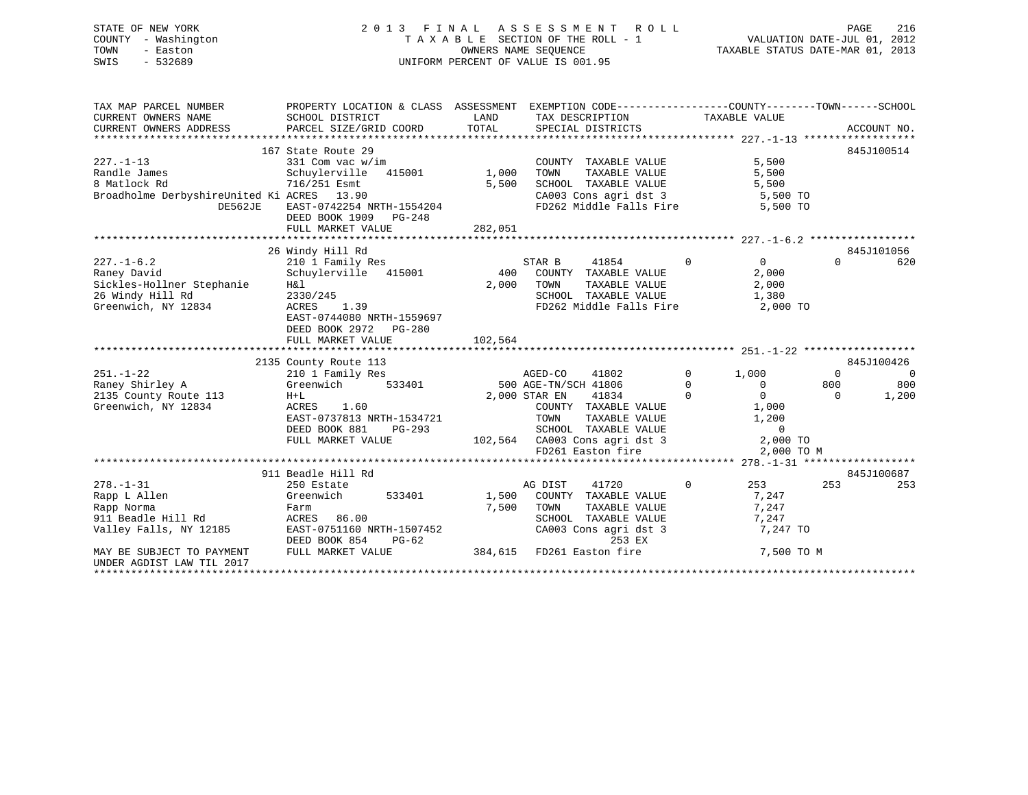# STATE OF NEW YORK 2 0 1 3 F I N A L A S S E S S M E N T R O L L PAGE 216 COUNTY - Washington T A X A B L E SECTION OF THE ROLL - 1 VALUATION DATE-JUL 01, 2012 TOWN - Easton OWNERS NAME SEQUENCE TAXABLE STATUS DATE-MAR 01, 2013 SWIS - 532689 UNIFORM PERCENT OF VALUE IS 001.95

| TAX MAP PARCEL NUMBER<br>CURRENT OWNERS NAME<br>CURRENT OWNERS ADDRESS                                   | PROPERTY LOCATION & CLASS ASSESSMENT EXEMPTION CODE----------------COUNTY-------TOWN-----SCHOOL<br>SCHOOL DISTRICT<br>PARCEL SIZE/GRID COORD              | LAND<br>TOTAL             | TAX DESCRIPTION<br>SPECIAL DISTRICTS                                                                                                                                                              | TAXABLE VALUE                                                                                                                                | ACCOUNT NO.                                                   |
|----------------------------------------------------------------------------------------------------------|-----------------------------------------------------------------------------------------------------------------------------------------------------------|---------------------------|---------------------------------------------------------------------------------------------------------------------------------------------------------------------------------------------------|----------------------------------------------------------------------------------------------------------------------------------------------|---------------------------------------------------------------|
| $227. - 1 - 13$<br>Randle James<br>8 Matlock Rd<br>Broadholme DerbyshireUnited Ki ACRES 13.90<br>DE562JE | 167 State Route 29<br>331 Com vac w/im<br>Schuylerville 415001<br>716/251 Esmt<br>EAST-0742254 NRTH-1554204<br>DEED BOOK 1909 PG-248<br>FULL MARKET VALUE | 1,000<br>5,500<br>282,051 | COUNTY TAXABLE VALUE<br>TAXABLE VALUE<br>TOWN<br>SCHOOL TAXABLE VALUE<br>CA003 Cons agri dst 3 5,500 TO<br>FD262 Middle Falls Fire                                                                | 5,500<br>5,500<br>5,500<br>5,500 TO                                                                                                          | 845J100514                                                    |
|                                                                                                          |                                                                                                                                                           |                           |                                                                                                                                                                                                   |                                                                                                                                              |                                                               |
| $227. - 1 - 6.2$<br>Raney David<br>Sickles-Hollner Stephanie<br>26 Windy Hill Rd<br>Greenwich, NY 12834  | 26 Windy Hill Rd<br>210 1 Family Res<br>Schuylerville 415001<br>H&l<br>2330/245<br>1.39<br>ACRES<br>EAST-0744080 NRTH-1559697<br>DEED BOOK 2972<br>PG-280 | 400<br>2,000              | STAR B<br>41854<br>COUNTY TAXABLE VALUE<br>TOWN<br>TAXABLE VALUE<br>SCHOOL TAXABLE VALUE<br>FD262 Middle Falls Fire                                                                               | $\Omega$<br>$\Omega$<br>2,000<br>2,000<br>1,380<br>2,000 TO                                                                                  | 845J101056<br>$\Omega$<br>620                                 |
|                                                                                                          | FULL MARKET VALUE                                                                                                                                         | 102,564                   |                                                                                                                                                                                                   |                                                                                                                                              |                                                               |
|                                                                                                          |                                                                                                                                                           |                           |                                                                                                                                                                                                   |                                                                                                                                              |                                                               |
|                                                                                                          | 2135 County Route 113                                                                                                                                     |                           |                                                                                                                                                                                                   |                                                                                                                                              | 845J100426                                                    |
| $251. - 1 - 22$<br>Raney Shirley A<br>2135 County Route 113<br>Greenwich, NY 12834                       | 210 1 Family Res<br>Greenwich<br>533401<br>$H+L$<br>ACRES 1.60<br>EAST-0737813 NRTH-1534721<br>DEED BOOK 881<br>PG-293<br>FULL MARKET VALUE               |                           | AGED-CO<br>41802<br>500 AGE-TN/SCH 41806<br>2,000 STAR EN<br>41834<br>COUNTY TAXABLE VALUE<br>TOWN<br>TAXABLE VALUE<br>SCHOOL TAXABLE VALUE<br>102,564 CA003 Cons agri dst 3<br>FD261 Easton fire | $\mathbf{0}$<br>1,000<br>$\overline{0}$<br>$\mathbf 0$<br>$\Omega$<br>$\Omega$<br>1,000<br>1,200<br>$\overline{0}$<br>2,000 TO<br>2,000 TO M | $\Omega$<br>$\overline{0}$<br>800<br>800<br>1,200<br>$\Omega$ |
|                                                                                                          | 911 Beadle Hill Rd                                                                                                                                        |                           |                                                                                                                                                                                                   |                                                                                                                                              | 845J100687                                                    |
| $278. - 1 - 31$<br>Rapp L Allen<br>Rapp Norma<br>911 Beadle Hill Rd<br>Valley Falls, NY 12185            | 250 Estate<br>Greenwich<br>533401<br>Farm<br>ACRES 86.00<br>EAST-0751160 NRTH-1507452<br>DEED BOOK 854<br>PG-62                                           | 1,500<br>7,500            | 41720<br>AG DIST<br>COUNTY TAXABLE VALUE<br>TOWN<br>TAXABLE VALUE<br>SCHOOL TAXABLE VALUE<br>CA003 Cons agri dst 3<br>253 EX                                                                      | $\overline{0}$<br>253 and 253<br>7,247<br>7,247<br>7,247<br>7,247 TO                                                                         | 253<br>253                                                    |
| MAY BE SUBJECT TO PAYMENT<br>UNDER AGDIST LAW TIL 2017                                                   | FULL MARKET VALUE                                                                                                                                         |                           | 384,615 FD261 Easton fire                                                                                                                                                                         | 7,500 TO M                                                                                                                                   |                                                               |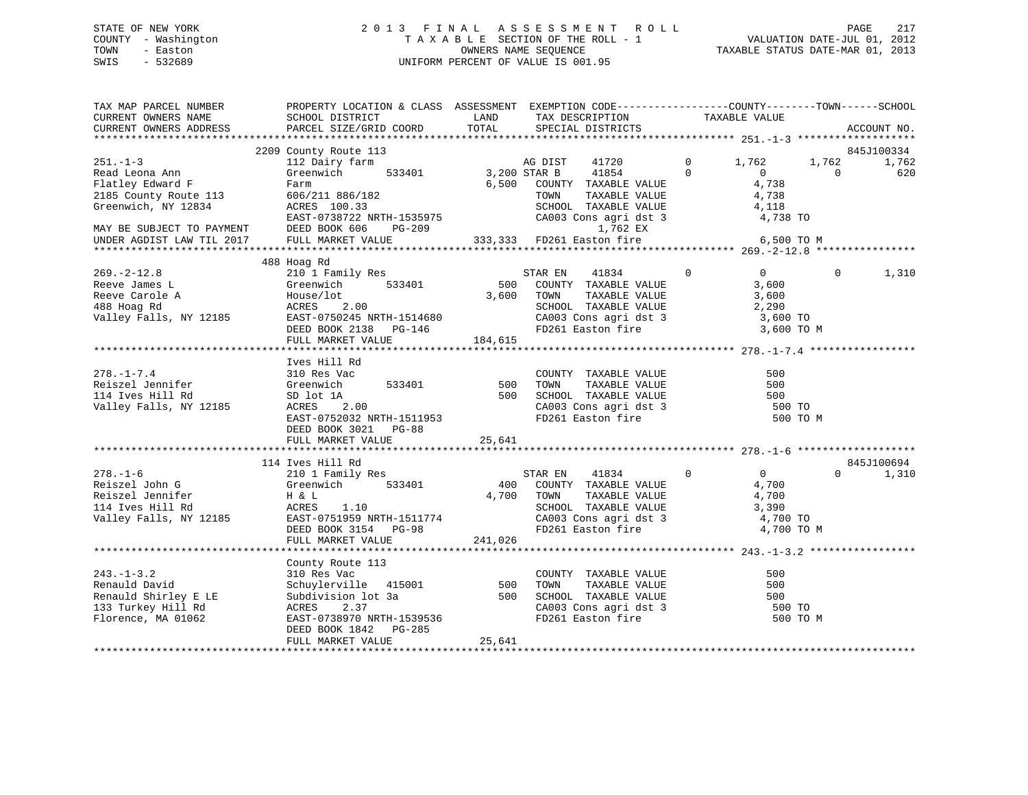# STATE OF NEW YORK 2 0 1 3 F I N A L A S S E S S M E N T R O L L PAGE 217 COUNTY - Washington T A X A B L E SECTION OF THE ROLL - 1 VALUATION DATE-JUL 01, 2012 TOWN - Easton OWNERS NAME SEQUENCE TAXABLE STATUS DATE-MAR 01, 2013 SWIS - 532689 UNIFORM PERCENT OF VALUE IS 001.95

| TAX MAP PARCEL NUMBER<br>CURRENT OWNERS NAME<br>CURRENT OWNERS ADDRESS | PROPERTY LOCATION & CLASS ASSESSMENT EXEMPTION CODE-----------------COUNTY-------TOWN------SCHOOL<br>SCHOOL DISTRICT<br>PARCEL SIZE/GRID COORD | LAND<br>TOTAL       | TAX DESCRIPTION TAXABLE VALUE SPECIAL DISTRICTS                                      |                |                |          | ACCOUNT NO. |
|------------------------------------------------------------------------|------------------------------------------------------------------------------------------------------------------------------------------------|---------------------|--------------------------------------------------------------------------------------|----------------|----------------|----------|-------------|
|                                                                        |                                                                                                                                                |                     |                                                                                      |                |                |          |             |
|                                                                        | 2209 County Route 113                                                                                                                          |                     |                                                                                      |                |                |          | 845J100334  |
| $251. - 1 - 3$                                                         | 112 Dairy farm                                                                                                                                 |                     | AG DIST<br>41720                                                                     | $\overline{0}$ | 1,762          | 1,762    | 1,762       |
| Read Leona Ann                                                         | Greenwich                                                                                                                                      | 533401 3,200 STAR B | 41854                                                                                | $\Omega$       | $\overline{0}$ | $\Omega$ | 620         |
| Flatley Edward F                                                       | Farm                                                                                                                                           |                     | 6,500 COUNTY TAXABLE VALUE<br>TAXABLE VALUE<br>TAXABLE VALUE                         |                | 4,738          |          |             |
| 2185 County Route 113                                                  | 606/211 886/182<br>ACRES 100.33                                                                                                                |                     | TOWN                                                                                 |                | 4,738          |          |             |
| Greenwich, NY 12834                                                    |                                                                                                                                                |                     | SCHOOL TAXABLE VALUE<br>SCHOOL TAXABLE VALUE 4,118<br>CA003 Cons agri dst 3 4,738 TO |                |                |          |             |
|                                                                        | EAST-0738722 NRTH-1535975                                                                                                                      |                     |                                                                                      |                |                |          |             |
| MAY BE SUBJECT TO PAYMENT<br>UNDER AGDIST LAW TILL                     | DEED BOOK 606 PG-209                                                                                                                           |                     | 1,762 EX                                                                             |                |                |          |             |
|                                                                        | FULL MARKET VALUE                                                                                                                              |                     | 333,333 FD261 Easton fire 6,500 TO M                                                 |                |                |          |             |
|                                                                        |                                                                                                                                                |                     |                                                                                      |                |                |          |             |
|                                                                        | 488 Hoag Rd                                                                                                                                    |                     |                                                                                      |                |                |          |             |
| $269. - 2 - 12.8$                                                      | 210 1 Family Res<br>533401                                                                                                                     |                     | STAR EN 41834                                                                        | $\mathbf{0}$   | $\overline{0}$ | $\Omega$ | 1,310       |
| Reeve James L                                                          | Greenwich                                                                                                                                      | 500                 | COUNTY TAXABLE VALUE                                                                 |                | 3,600          |          |             |
| Reeve Carole A                                                         | House/lot                                                                                                                                      | 3,600               | TAXABLE VALUE<br>TOWN<br>SCHOOL TAXABLE VALUE                                        |                | 3,600          |          |             |
| 488 Hoag Rd                                                            | 2.00<br>ACRES                                                                                                                                  |                     |                                                                                      |                | 2,290          |          |             |
| Valley Falls, NY 12185                                                 |                                                                                                                                                |                     | CA003 Cons agri dst 3 3,600 TO<br>FD261 Easton fire 3,600 TO M                       |                |                |          |             |
|                                                                        | EAST-0750245 NRTH-1514680<br>DEED BOOK 2138 PG-146<br>FULL MARKET VALUE<br>FULL MARKET VALUE<br>184,615                                        |                     |                                                                                      |                |                |          |             |
|                                                                        |                                                                                                                                                |                     |                                                                                      |                |                |          |             |
|                                                                        | Ives Hill Rd                                                                                                                                   |                     |                                                                                      |                |                |          |             |
| $278. - 1 - 7.4$                                                       | 310 Res Vac                                                                                                                                    |                     |                                                                                      |                | 500            |          |             |
| Reiszel Jennifer                                                       | 533401<br>Greenwich                                                                                                                            | 500                 |                                                                                      |                | 500            |          |             |
| 114 Ives Hill Rd                                                       |                                                                                                                                                | 500                 | COUNTY TAXABLE VALUE<br>TOWN TAXABLE VALUE<br>SCHOOL TAXABLE VALUE                   |                | 500            |          |             |
| Valley Falls, NY 12185                                                 | SD lot 1A<br>ACRES 2.00                                                                                                                        |                     |                                                                                      |                | 500 TO         |          |             |
|                                                                        | EAST-0752032 NRTH-1511953                                                                                                                      |                     | CA003 Cons agri dst 3<br>FD261 Easton fire                                           |                | 500 TO M       |          |             |
|                                                                        | DEED BOOK 3021 PG-88                                                                                                                           |                     |                                                                                      |                |                |          |             |
|                                                                        | FULL MARKET VALUE                                                                                                                              | 25,641              |                                                                                      |                |                |          |             |
|                                                                        |                                                                                                                                                |                     |                                                                                      |                |                |          |             |
|                                                                        | 114 Ives Hill Rd                                                                                                                               |                     |                                                                                      |                |                |          | 845J100694  |
| $278. - 1 - 6$                                                         | 210 1 Family Res                                                                                                                               |                     | $\sim$ 0<br>STAR EN 41834                                                            |                | $\overline{0}$ | $\Omega$ | 1,310       |
| Reiszel John G                                                         | Greenwich<br>533401                                                                                                                            |                     | 400 COUNTY TAXABLE VALUE                                                             |                | 4,700          |          |             |
| Reiszel Jennifer                                                       | H & L                                                                                                                                          |                     | 4,700 TOWN                                                                           |                |                |          |             |
| 114 Ives Hill Rd                                                       | ACRES 1.10                                                                                                                                     |                     | TOWN TAXABLE VALUE 4,700<br>SCHOOL TAXABLE VALUE 3,390                               |                |                |          |             |
| Valley Falls, NY 12185                                                 | EAST-0751959 NRTH-1511774<br>DEED BOOK 3154 PG-98                                                                                              |                     |                                                                                      |                | 4,700 TO       |          |             |
|                                                                        |                                                                                                                                                |                     | CA003 Cons agri dst 3<br>FD261 Easton fire                                           |                | 4,700 TO M     |          |             |
|                                                                        | FULL MARKET VALUE                                                                                                                              | 241,026             |                                                                                      |                |                |          |             |
|                                                                        |                                                                                                                                                |                     |                                                                                      |                |                |          |             |
|                                                                        | County Route 113                                                                                                                               |                     |                                                                                      |                |                |          |             |
| $243. - 1 - 3.2$                                                       |                                                                                                                                                |                     |                                                                                      |                | 500            |          |             |
| Renauld David                                                          | County Route 113<br>310 Res Vac<br>Schuylerville 415001 500 TOWN TAXABLE VALUE<br>Subdivision lot 3a 500 SCHOOL TAXABLE VALUE                  |                     |                                                                                      |                | 500            |          |             |
| Renauld Shirley E LE                                                   |                                                                                                                                                |                     |                                                                                      |                | 500            |          |             |
| 133 Turkey Hill Rd                                                     | ACRES<br>2.37                                                                                                                                  |                     | CA003 Cons agri dst 3<br>FD261 Easton fire                                           |                | 500 TO         |          |             |
| Florence, MA 01062                                                     | EAST-0738970 NRTH-1539536                                                                                                                      |                     |                                                                                      |                | 500 TO M       |          |             |
|                                                                        | DEED BOOK 1842 PG-285                                                                                                                          |                     |                                                                                      |                |                |          |             |
|                                                                        | FULL MARKET VALUE                                                                                                                              | 25,641              |                                                                                      |                |                |          |             |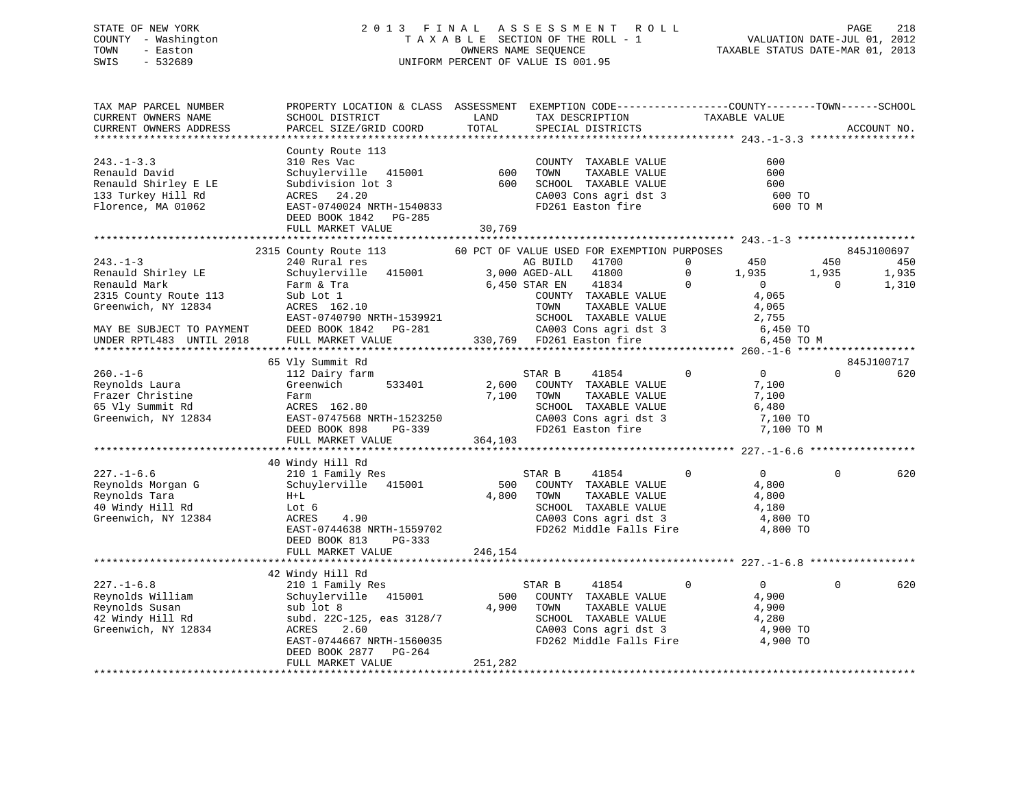# STATE OF NEW YORK 2 0 1 3 F I N A L A S S E S S M E N T R O L L PAGE 218 COUNTY - Washington T A X A B L E SECTION OF THE ROLL - 1 VALUATION DATE-JUL 01, 2012 TOWN - Easton OWNERS NAME SEQUENCE TAXABLE STATUS DATE-MAR 01, 2013 SWIS - 532689 UNIFORM PERCENT OF VALUE IS 001.95

| TAX MAP PARCEL NUMBER<br>CURRENT OWNERS NAME<br>CURRENT OWNERS ADDRESS                                                                                       | PROPERTY LOCATION & CLASS ASSESSMENT EXEMPTION CODE---------------COUNTY-------TOWN------SCHOOL<br>SCHOOL DISTRICT<br>PARCEL SIZE/GRID COORD                                                                                            | LAND<br>TOTAL             | TAX DESCRIPTION<br>SPECIAL DISTRICTS                                                                                                                                                                                                                                                             | TAXABLE VALUE                                                                                                           |                                        | ACCOUNT NO.                         |
|--------------------------------------------------------------------------------------------------------------------------------------------------------------|-----------------------------------------------------------------------------------------------------------------------------------------------------------------------------------------------------------------------------------------|---------------------------|--------------------------------------------------------------------------------------------------------------------------------------------------------------------------------------------------------------------------------------------------------------------------------------------------|-------------------------------------------------------------------------------------------------------------------------|----------------------------------------|-------------------------------------|
| *************************                                                                                                                                    |                                                                                                                                                                                                                                         |                           |                                                                                                                                                                                                                                                                                                  |                                                                                                                         |                                        |                                     |
| $243. -1 - 3.3$<br>Renauld David<br>Renauld Shirley E LE<br>133 Turkey Hill Rd<br>Florence, MA 01062                                                         | County Route 113<br>310 Res Vac<br>Schuylerville 415001<br>Subdivision lot 3<br>ACRES 24.20<br>EAST-0740024 NRTH-1540833<br>DEED BOOK 1842 PG-285                                                                                       | 600<br>600                | COUNTY TAXABLE VALUE<br>TOWN<br>TAXABLE VALUE<br>SCHOOL TAXABLE VALUE<br>CA003 Cons agri dst 3<br>FD261 Easton fire                                                                                                                                                                              | 600<br>600<br>600<br>600 TO                                                                                             | 600 TO M                               |                                     |
|                                                                                                                                                              | FULL MARKET VALUE                                                                                                                                                                                                                       | 30,769                    |                                                                                                                                                                                                                                                                                                  |                                                                                                                         |                                        |                                     |
|                                                                                                                                                              |                                                                                                                                                                                                                                         |                           |                                                                                                                                                                                                                                                                                                  |                                                                                                                         |                                        |                                     |
| $243 - 1 - 3$<br>Renauld Shirley LE<br>Renauld Mark<br>2315 County Route 113<br>Greenwich, NY 12834<br>MAY BE SUBJECT TO PAYMENT<br>UNDER RPTL483 UNTIL 2018 | 2315 County Route 113<br>240 Rural res<br>Schuylerville 415001<br>Farm & Tra<br>Sub Lot 1<br>ACRES 162.10<br>EAST-0740790 NRTH-1539921<br>DEED BOOK 1842 PG-281<br>FULL MARKET VALUE                                                    |                           | 60 PCT OF VALUE USED FOR EXEMPTION PURPOSES<br>41700<br>AG BUILD<br>3,000 AGED-ALL 41800<br>6,450 STAR EN 41834<br>COUNTY TAXABLE VALUE<br>TAXABLE VALUE<br>TOWN<br>TOWN      TAXABLE VALUE<br>SCHOOL   TAXABLE VALUE<br>CA003 Cons agri dst 3<br>FD261 Easton fire<br>330,769 FD261 Easton fire | 450<br>$\Omega$<br>$\mathbf 0$<br>1,935<br>$\Omega$<br>$\overline{0}$<br>4,065<br>4,065<br>2,755<br>6,450 TO            | 450<br>1,935<br>$\Omega$<br>6,450 TO M | 845J100697<br>450<br>1,935<br>1,310 |
|                                                                                                                                                              |                                                                                                                                                                                                                                         |                           |                                                                                                                                                                                                                                                                                                  |                                                                                                                         |                                        |                                     |
| $260. - 1 - 6$<br>Reynolds Laura<br>Frazer Christine<br>65 Vly Summit Rd<br>Greenwich, NY 12834<br>$227. - 1 - 6.6$<br>Reynolds Morgan G<br>Reynolds Tara    | 65 Vly Summit Rd<br>112 Dairy farm<br>533401<br>Greenwich<br>Farm<br>ACRES 162.80<br>EAST-0747568 NRTH-1523250<br>DEED BOOK 898<br>PG-339<br>FULL MARKET VALUE<br>40 Windy Hill Rd<br>210 1 Family Res<br>Schuylerville 415001<br>$H+L$ | 2,600<br>7,100<br>364,103 | STAR B<br>41854<br>COUNTY TAXABLE VALUE<br>TOWN<br>TAXABLE VALUE<br>SCHOOL TAXABLE VALUE<br>SCHOOL TAXABLE VALUE<br>CA003 Cons agri dst 3<br>FD261 Easton fire<br>41854<br>STAR B<br>500 COUNTY TAXABLE VALUE<br>4,800 TOWN<br>TAXABLE VALUE                                                     | $\overline{0}$<br>$\mathbf 0$<br>7,100<br>7,100<br>6,480<br>7,100 TO<br>$\mathbf 0$<br>$\overline{0}$<br>4,800<br>4,800 | $\Omega$<br>7,100 TO M<br>$\Omega$     | 845J100717<br>620<br>620            |
| 40 Windy Hill Rd<br>Greenwich, NY 12384                                                                                                                      | Lot 6<br>ACRES<br>4.90<br>EAST-0744638 NRTH-1559702<br>DEED BOOK 813<br>PG-333<br>FULL MARKET VALUE                                                                                                                                     | 246,154                   | SCHOOL TAXABLE VALUE<br>CA003 Cons agri dst 3<br>FD262 Middle Falls Fire                                                                                                                                                                                                                         | 4,180<br>4,800 TO<br>4,800 TO                                                                                           |                                        |                                     |
|                                                                                                                                                              | 42 Windy Hill Rd                                                                                                                                                                                                                        |                           |                                                                                                                                                                                                                                                                                                  |                                                                                                                         |                                        |                                     |
| $227. - 1 - 6.8$<br>Reynolds William<br>Reynolds Susan<br>42 Windy Hill Rd<br>Greenwich, NY 12834                                                            | 210 1 Family Res<br>Schuylerville<br>415001<br>sub lot 8<br>subd. 22C-125, eas 3128/7<br>ACRES<br>2.60<br>EAST-0744667 NRTH-1560035<br>DEED BOOK 2877 PG-264                                                                            | 500<br>4,900              | 41854<br>STAR B<br>COUNTY TAXABLE VALUE<br>TOWN<br>TAXABLE VALUE<br>SCHOOL TAXABLE VALUE<br>CA003 Cons agri dst 3<br>FD262 Middle Falls Fire 4,900 TO                                                                                                                                            | $0 \qquad \qquad$<br>$\mathbf 0$<br>4,900<br>4,900<br>4,280<br>4,900 TO                                                 | $\Omega$                               | 620                                 |
|                                                                                                                                                              | FULL MARKET VALUE                                                                                                                                                                                                                       | 251,282                   |                                                                                                                                                                                                                                                                                                  |                                                                                                                         |                                        |                                     |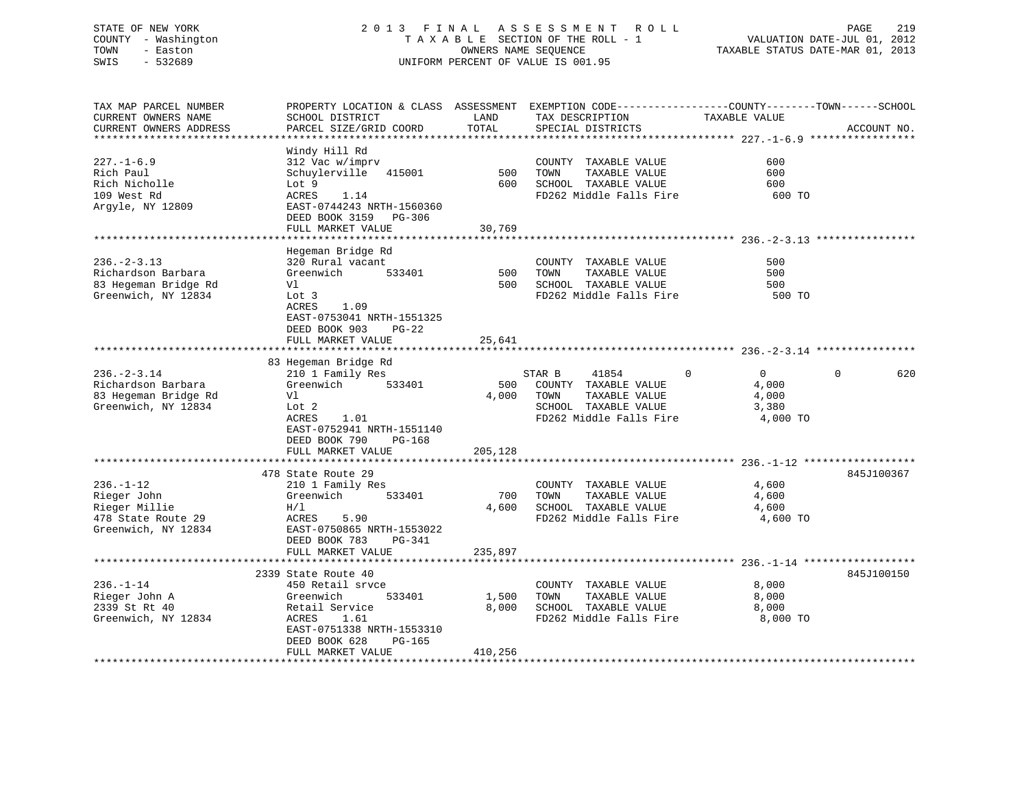# STATE OF NEW YORK 2 0 1 3 F I N A L A S S E S S M E N T R O L L PAGE 219 COUNTY - Washington T A X A B L E SECTION OF THE ROLL - 1 VALUATION DATE-JUL 01, 2012 TOWN - Easton OWNERS NAME SEQUENCE TAXABLE STATUS DATE-MAR 01, 2013 SWIS - 532689 UNIFORM PERCENT OF VALUE IS 001.95

| TAX MAP PARCEL NUMBER<br>CURRENT OWNERS NAME<br>CURRENT OWNERS ADDRESS                       | SCHOOL DISTRICT<br>PARCEL SIZE/GRID COORD                                                                                                                                      | LAND<br>TOTAL             | PROPERTY LOCATION & CLASS ASSESSMENT EXEMPTION CODE----------------COUNTY-------TOWN------SCHOOL<br>TAX DESCRIPTION<br>SPECIAL DISTRICTS | TAXABLE VALUE                                                     | ACCOUNT NO.     |
|----------------------------------------------------------------------------------------------|--------------------------------------------------------------------------------------------------------------------------------------------------------------------------------|---------------------------|------------------------------------------------------------------------------------------------------------------------------------------|-------------------------------------------------------------------|-----------------|
|                                                                                              |                                                                                                                                                                                |                           |                                                                                                                                          |                                                                   |                 |
| $227. - 1 - 6.9$<br>Rich Paul<br>Rich Nicholle<br>109 West Rd<br>Argyle, NY 12809            | Windy Hill Rd<br>312 Vac w/imprv<br>Schuylerville 415001<br>Lot 9<br>ACRES<br>1.14<br>EAST-0744243 NRTH-1560360<br>DEED BOOK 3159 PG-306                                       | 500<br>600                | COUNTY TAXABLE VALUE<br>TOWN<br>TAXABLE VALUE<br>SCHOOL TAXABLE VALUE<br>FD262 Middle Falls Fire                                         | 600<br>600<br>600<br>600 TO                                       |                 |
|                                                                                              | FULL MARKET VALUE                                                                                                                                                              | 30,769                    |                                                                                                                                          |                                                                   |                 |
| $236. - 2 - 3.13$<br>Richardson Barbara<br>83 Hegeman Bridge Rd<br>Greenwich, NY 12834       | Hegeman Bridge Rd<br>320 Rural vacant<br>Greenwich<br>533401<br>Vl<br>Lot 3<br>ACRES<br>1.09<br>EAST-0753041 NRTH-1551325<br>DEED BOOK 903<br>$PG-22$<br>FULL MARKET VALUE     | 500<br>500<br>25,641      | COUNTY TAXABLE VALUE<br>TOWN<br>TAXABLE VALUE<br>SCHOOL TAXABLE VALUE<br>FD262 Middle Falls Fire                                         | 500<br>500<br>500<br>500 TO                                       |                 |
|                                                                                              |                                                                                                                                                                                |                           |                                                                                                                                          |                                                                   |                 |
| $236. - 2 - 3.14$<br>Richardson Barbara<br>83 Hegeman Bridge Rd<br>Greenwich, NY 12834       | 83 Hegeman Bridge Rd<br>210 1 Family Res<br>Greenwich<br>533401<br>Vl<br>Lot 2<br>ACRES<br>1.01<br>EAST-0752941 NRTH-1551140<br>DEED BOOK 790<br>PG-168<br>FULL MARKET VALUE   | 500<br>4,000<br>205,128   | STAR B<br>41854<br>COUNTY TAXABLE VALUE<br>TAXABLE VALUE<br>TOWN<br>SCHOOL TAXABLE VALUE<br>FD262 Middle Falls Fire                      | $\Omega$<br>$\overline{0}$<br>4,000<br>4,000<br>3,380<br>4,000 TO | 620<br>$\Omega$ |
|                                                                                              |                                                                                                                                                                                |                           |                                                                                                                                          |                                                                   |                 |
| $236. - 1 - 12$<br>Rieger John<br>Rieger Millie<br>478 State Route 29<br>Greenwich, NY 12834 | 478 State Route 29<br>210 1 Family Res<br>Greenwich<br>533401<br>H/L<br>ACRES<br>5.90<br>EAST-0750865 NRTH-1553022<br>DEED BOOK 783<br>$PG-341$<br>FULL MARKET VALUE           | 700<br>4,600<br>235,897   | COUNTY TAXABLE VALUE<br>TAXABLE VALUE<br>TOWN<br>SCHOOL TAXABLE VALUE<br>FD262 Middle Falls Fire                                         | 4,600<br>4,600<br>4,600<br>4,600 TO                               | 845J100367      |
|                                                                                              | ***********************************                                                                                                                                            |                           |                                                                                                                                          |                                                                   |                 |
| $236. - 1 - 14$<br>Rieger John A<br>2339 St Rt 40<br>Greenwich, NY 12834                     | 2339 State Route 40<br>450 Retail srvce<br>Greenwich<br>533401<br>Retail Service<br>ACRES<br>1.61<br>EAST-0751338 NRTH-1553310<br>DEED BOOK 628<br>PG-165<br>FULL MARKET VALUE | 1,500<br>8,000<br>410,256 | COUNTY TAXABLE VALUE<br>TOWN<br>TAXABLE VALUE<br>SCHOOL TAXABLE VALUE<br>FD262 Middle Falls Fire                                         | 8,000<br>8,000<br>8,000<br>8,000 TO                               | 845J100150      |
|                                                                                              |                                                                                                                                                                                |                           |                                                                                                                                          |                                                                   |                 |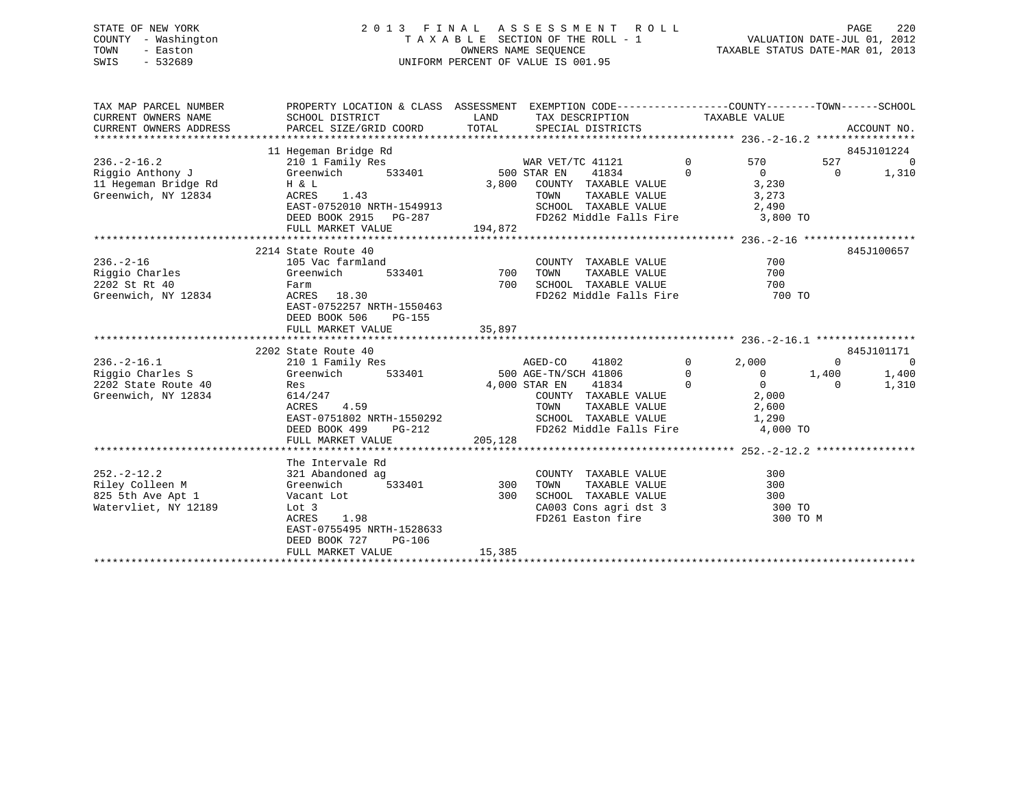# STATE OF NEW YORK 2 0 1 3 F I N A L A S S E S S M E N T R O L L PAGE 220 COUNTY - Washington T A X A B L E SECTION OF THE ROLL - 1 VALUATION DATE-JUL 01, 2012 TOWN - Easton OWNERS NAME SEQUENCE TAXABLE STATUS DATE-MAR 01, 2013 SWIS - 532689 UNIFORM PERCENT OF VALUE IS 001.95

| TAX MAP PARCEL NUMBER<br>CURRENT OWNERS NAME | PROPERTY LOCATION & CLASS ASSESSMENT<br>SCHOOL DISTRICT | LAND    | EXEMPTION CODE-----------------COUNTY-------TOWN------SCHOOL<br>TAX DESCRIPTION TAXABLE VALUE |                |                         |                   |                              |
|----------------------------------------------|---------------------------------------------------------|---------|-----------------------------------------------------------------------------------------------|----------------|-------------------------|-------------------|------------------------------|
| CURRENT OWNERS ADDRESS                       | PARCEL SIZE/GRID COORD                                  | TOTAL   | SPECIAL DISTRICTS                                                                             |                |                         |                   | ACCOUNT NO.                  |
|                                              | 11 Hegeman Bridge Rd                                    |         |                                                                                               |                |                         |                   | 845J101224                   |
| $236. - 2 - 16.2$                            | 210 1 Family Res                                        |         | WAR VET/TC 41121                                                                              | $\overline{0}$ | 570                     | 527               | $\overline{0}$               |
| Riggio Anthony J                             | 533401<br>Greenwich                                     |         | $500$ STAR EN<br>41834                                                                        | $\Omega$       | $\overline{0}$          | $\Omega$          | 1,310                        |
| 11 Hegeman Bridge Rd                         | H & L                                                   | 3,800   | COUNTY TAXABLE VALUE                                                                          |                | 3,230                   |                   |                              |
| Greenwich, NY 12834                          | ACRES<br>1.43                                           |         | TAXABLE VALUE<br>TOWN                                                                         |                | 3,273                   |                   |                              |
|                                              | EAST-0752010 NRTH-1549913                               |         | SCHOOL TAXABLE VALUE                                                                          |                | 2,490                   |                   |                              |
|                                              | DEED BOOK 2915 PG-287                                   |         | FD262 Middle Falls Fire                                                                       |                | 3,800 TO                |                   |                              |
|                                              | FULL MARKET VALUE                                       | 194,872 |                                                                                               |                |                         |                   |                              |
|                                              | 2214 State Route 40                                     |         |                                                                                               |                |                         |                   | 845J100657                   |
| $236. - 2 - 16$                              | 105 Vac farmland                                        |         | COUNTY TAXABLE VALUE                                                                          |                | 700                     |                   |                              |
| Riggio Charles                               | 533401<br>Greenwich                                     | 700     | TAXABLE VALUE<br>TOWN                                                                         |                | 700                     |                   |                              |
| 2202 St Rt 40                                | Farm                                                    | 700     | SCHOOL TAXABLE VALUE                                                                          |                | 700                     |                   |                              |
| Greenwich, NY 12834                          | ACRES 18.30                                             |         | FD262 Middle Falls Fire 700 TO                                                                |                |                         |                   |                              |
|                                              | EAST-0752257 NRTH-1550463                               |         |                                                                                               |                |                         |                   |                              |
|                                              | DEED BOOK 506<br>$PG-155$                               |         |                                                                                               |                |                         |                   |                              |
|                                              | FULL MARKET VALUE                                       | 35,897  |                                                                                               |                |                         |                   |                              |
|                                              |                                                         |         |                                                                                               |                |                         |                   |                              |
|                                              | 2202 State Route 40                                     |         |                                                                                               | $\mathbf 0$    |                         |                   | 845J101171<br>$\overline{0}$ |
| $236. - 2 - 16.1$<br>Riggio Charles S        | 210 1 Family Res<br>533401<br>Greenwich                 |         | AGED-CO<br>41802<br>500 AGE-TN/SCH 41806                                                      | $\Omega$       | 2,000<br>$\overline{0}$ | $\Omega$<br>1,400 | 1,400                        |
| 2202 State Route 40                          | Res                                                     |         | 4,000 STAR EN<br>41834                                                                        | $\Omega$       | $\overline{0}$          | $\Omega$          | 1,310                        |
| Greenwich, NY 12834                          | 614/247                                                 |         | COUNTY TAXABLE VALUE                                                                          |                | 2,000                   |                   |                              |
|                                              | ACRES<br>4.59                                           |         | TAXABLE VALUE<br>TOWN                                                                         |                | 2,600                   |                   |                              |
|                                              | EAST-0751802 NRTH-1550292                               |         | SCHOOL TAXABLE VALUE                                                                          |                | 1,290                   |                   |                              |
|                                              | DEED BOOK 499<br>$PG-212$                               |         | FD262 Middle Falls Fire                                                                       |                | 4,000 TO                |                   |                              |
|                                              | FULL MARKET VALUE                                       | 205,128 |                                                                                               |                |                         |                   |                              |
|                                              |                                                         |         |                                                                                               |                |                         |                   |                              |
|                                              | The Intervale Rd                                        |         |                                                                                               |                |                         |                   |                              |
| $252. - 2 - 12.2$                            | 321 Abandoned ag                                        |         | COUNTY TAXABLE VALUE                                                                          |                | 300                     |                   |                              |
| Riley Colleen M                              | 533401<br>Greenwich                                     | 300     | TAXABLE VALUE<br>TOWN                                                                         |                | 300                     |                   |                              |
| 825 5th Ave Apt 1                            | Vacant Lot                                              | 300     | SCHOOL TAXABLE VALUE                                                                          |                | 300                     |                   |                              |
| Watervliet, NY 12189                         | Lot 3                                                   |         | CA003 Cons agri dst 3                                                                         |                | 300 TO                  |                   |                              |
|                                              | ACRES<br>1.98                                           |         | FD261 Easton fire                                                                             |                | 300 TO M                |                   |                              |
|                                              | EAST-0755495 NRTH-1528633                               |         |                                                                                               |                |                         |                   |                              |
|                                              | DEED BOOK 727<br><b>PG-106</b>                          |         |                                                                                               |                |                         |                   |                              |
|                                              | FULL MARKET VALUE                                       | 15,385  |                                                                                               |                |                         |                   |                              |
|                                              |                                                         |         |                                                                                               |                |                         |                   |                              |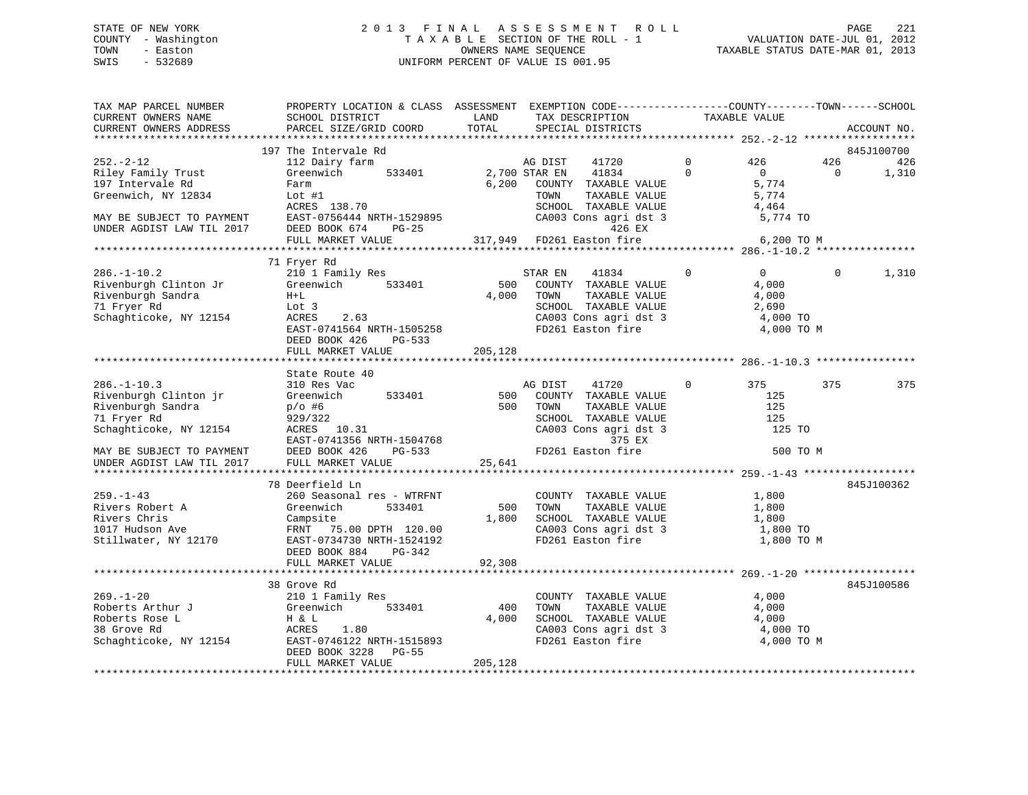# STATE OF NEW YORK 2 0 1 3 F I N A L A S S E S S M E N T R O L L PAGE 221 COUNTY - Washington T A X A B L E SECTION OF THE ROLL - 1 VALUATION DATE-JUL 01, 2012 TOWN - Easton OWNERS NAME SEQUENCE TAXABLE STATUS DATE-MAR 01, 2013 SWIS - 532689 UNIFORM PERCENT OF VALUE IS 001.95

| SCHOOL DISTRICT<br>PARCEL SIZE/GRID COORD                                                                                                                     | LAND<br>TOTAL                                                                                    | TAX DESCRIPTION<br>SPECIAL DISTRICTS                                                                                                                       | TAXABLE VALUE                                                               |                                                | ACCOUNT NO.                                                                                                                                                                                                                    |
|---------------------------------------------------------------------------------------------------------------------------------------------------------------|--------------------------------------------------------------------------------------------------|------------------------------------------------------------------------------------------------------------------------------------------------------------|-----------------------------------------------------------------------------|------------------------------------------------|--------------------------------------------------------------------------------------------------------------------------------------------------------------------------------------------------------------------------------|
|                                                                                                                                                               |                                                                                                  |                                                                                                                                                            |                                                                             |                                                |                                                                                                                                                                                                                                |
| 112 Dairy farm<br>Greenwich<br>533401<br>Farm<br>Lot $#1$<br>ACRES 138.70<br>DEED BOOK 674<br>$PG-25$<br>FULL MARKET VALUE                                    | 6,200                                                                                            | AG DIST<br>41720<br>41834<br>COUNTY TAXABLE VALUE<br>TOWN<br>TAXABLE VALUE<br>SCHOOL TAXABLE VALUE<br>CA003 Cons agri dst 3<br>426 EX<br>FD261 Easton fire | 426<br>$\mathbf 0$<br>$\Omega$<br>$\overline{0}$<br>5,774<br>5,774<br>4,464 | 426<br>$\Omega$                                | 845J100700<br>426<br>1,310                                                                                                                                                                                                     |
|                                                                                                                                                               |                                                                                                  |                                                                                                                                                            |                                                                             |                                                |                                                                                                                                                                                                                                |
| 210 1 Family Res<br>Greenwich<br>533401<br>$H+L$<br>Lot 3<br>ACRES<br>2.63<br>EAST-0741564 NRTH-1505258<br>DEED BOOK 426<br>PG-533                            |                                                                                                  | 41834<br>STAR EN<br>COUNTY TAXABLE VALUE<br>TOWN<br>TAXABLE VALUE<br>SCHOOL TAXABLE VALUE<br>FD261 Easton fire                                             | $\Omega$<br>$\overline{0}$<br>4,000<br>4,000<br>2,690                       | $\Omega$                                       | 1,310                                                                                                                                                                                                                          |
|                                                                                                                                                               |                                                                                                  |                                                                                                                                                            |                                                                             |                                                |                                                                                                                                                                                                                                |
| State Route 40<br>310 Res Vac<br>533401<br>Greenwich<br>$p/O$ #6<br>929/322<br>ACRES 10.31<br>DEED BOOK 426<br>PG-533<br>FULL MARKET VALUE                    | 500                                                                                              | AG DIST<br>41720<br>COUNTY TAXABLE VALUE<br>TOWN<br>TAXABLE VALUE<br>SCHOOL TAXABLE VALUE<br>CA003 Cons agri dst 3<br>375 EX<br>FD261 Easton fire          | $\mathbf{0}$<br>375<br>125<br>125<br>125                                    | 375                                            | 375                                                                                                                                                                                                                            |
|                                                                                                                                                               |                                                                                                  |                                                                                                                                                            |                                                                             |                                                |                                                                                                                                                                                                                                |
| 260 Seasonal res - WTRFNT<br>Greenwich<br>533401<br>Campsite<br>FRNT 75.00 DPTH 120.00<br>EAST-0734730 NRTH-1524192<br>DEED BOOK 884<br>PG-342                | 1,800                                                                                            | COUNTY TAXABLE VALUE<br>TAXABLE VALUE<br>TOWN<br>SCHOOL TAXABLE VALUE<br>FD261 Easton fire                                                                 | 1,800<br>1,800<br>1,800                                                     |                                                | 845J100362                                                                                                                                                                                                                     |
|                                                                                                                                                               |                                                                                                  |                                                                                                                                                            |                                                                             |                                                |                                                                                                                                                                                                                                |
| 38 Grove Rd<br>210 1 Family Res<br>Greenwich<br>533401<br>H & L<br>ACRES<br>1.80<br>EAST-0746122 NRTH-1515893<br>DEED BOOK 3228<br>PG-55<br>FULL MARKET VALUE | 400<br>4,000<br>205,128                                                                          | COUNTY TAXABLE VALUE<br>TOWN<br>TAXABLE VALUE<br>SCHOOL TAXABLE VALUE<br>CA003 Cons agri dst 3<br>FD261 Easton fire                                        | 4,000<br>4,000<br>4,000                                                     |                                                | 845J100586                                                                                                                                                                                                                     |
|                                                                                                                                                               | 197 The Intervale Rd<br>71 Fryer Rd<br>FULL MARKET VALUE<br>78 Deerfield Ln<br>FULL MARKET VALUE | EAST-0756444 NRTH-1529895<br>205,128<br>EAST-0741356 NRTH-1504768<br>92,308                                                                                | 2,700 STAR EN<br>317,949<br>500<br>4,000<br>500<br>25,641<br>500            | CA003 Cons agri dst 3<br>CA003 Cons agri dst 3 | PROPERTY LOCATION & CLASS ASSESSMENT EXEMPTION CODE----------------COUNTY-------TOWN------SCHOOL<br>5,774 TO<br>6,200 TO M<br>4,000 TO<br>4,000 TO M<br>125 TO<br>500 TO M<br>1,800 TO<br>1,800 TO M<br>4,000 TO<br>4,000 TO M |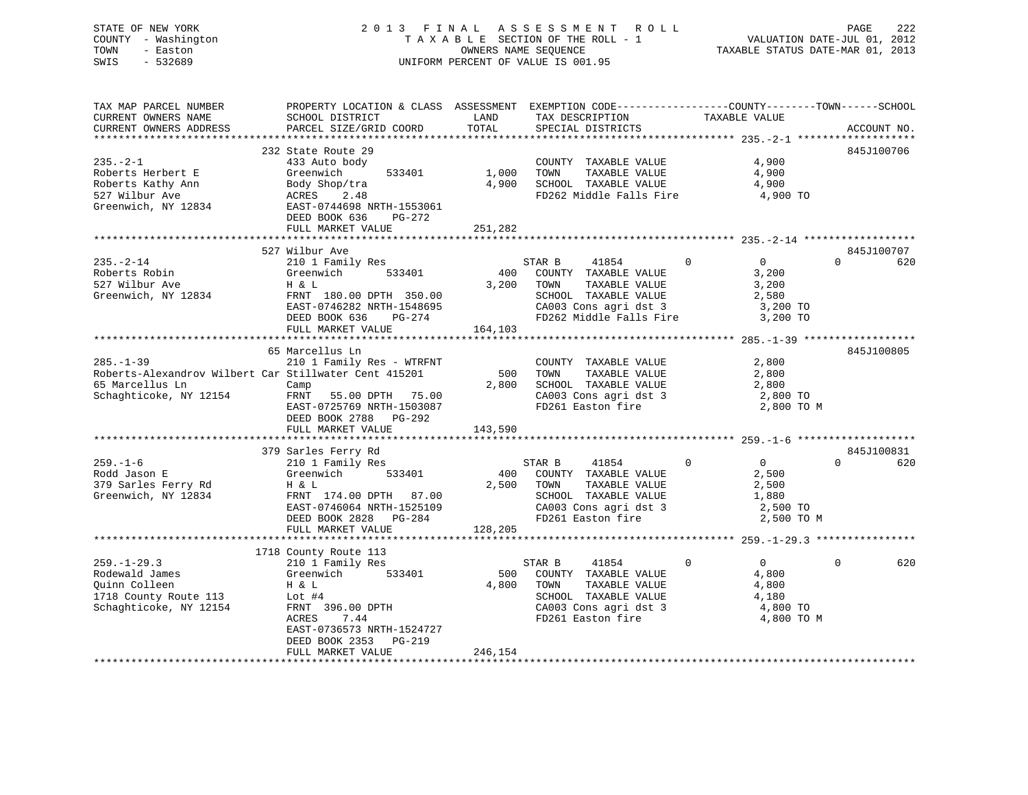# STATE OF NEW YORK 2 0 1 3 F I N A L A S S E S S M E N T R O L L PAGE 222 COUNTY - Washington T A X A B L E SECTION OF THE ROLL - 1 VALUATION DATE-JUL 01, 2012 TOWN - Easton OWNERS NAME SEQUENCE TAXABLE STATUS DATE-MAR 01, 2013 SWIS - 532689 UNIFORM PERCENT OF VALUE IS 001.95

| TAX MAP PARCEL NUMBER  | PROPERTY LOCATION & CLASS ASSESSMENT EXEMPTION CODE---------------COUNTY-------TOWN-----SCHOOL                                                                                                                                                                                                                                                                                                                            |            |                                                                       |                                            |                               |
|------------------------|---------------------------------------------------------------------------------------------------------------------------------------------------------------------------------------------------------------------------------------------------------------------------------------------------------------------------------------------------------------------------------------------------------------------------|------------|-----------------------------------------------------------------------|--------------------------------------------|-------------------------------|
| CURRENT OWNERS NAME    | SCHOOL DISTRICT                                                                                                                                                                                                                                                                                                                                                                                                           | LAND       | TAX DESCRIPTION TAXABLE VALUE SPECIAL DISTRICTS                       |                                            |                               |
| CURRENT OWNERS ADDRESS | PARCEL SIZE/GRID COORD                                                                                                                                                                                                                                                                                                                                                                                                    | TOTAL      |                                                                       |                                            | ACCOUNT NO.                   |
|                        |                                                                                                                                                                                                                                                                                                                                                                                                                           |            |                                                                       |                                            |                               |
|                        | 232 State Route 29                                                                                                                                                                                                                                                                                                                                                                                                        |            |                                                                       |                                            | 845J100706                    |
| $235 - 2 - 1$          | 433 Auto body                                                                                                                                                                                                                                                                                                                                                                                                             |            | COUNTY TAXABLE VALUE                                                  | 4,900                                      |                               |
|                        | 533401                                                                                                                                                                                                                                                                                                                                                                                                                    | 1,000 TOWN |                                                                       | TAXABLE VALUE 4,900<br>TAXABLE VALUE 4,900 |                               |
|                        |                                                                                                                                                                                                                                                                                                                                                                                                                           |            | 4,900 SCHOOL TAXABLE VALUE                                            |                                            |                               |
|                        | Roberts Herbert E Greenwich 533401<br>Roberts Kathy Ann Body Shop/tra<br>527 Wilbur Ave ACRES 2.48<br>Greenwich, NY 12834<br>EAST-0744698 NRTH-1553061                                                                                                                                                                                                                                                                    |            | FD262 Middle Falls Fire 4,900 TO                                      |                                            |                               |
|                        |                                                                                                                                                                                                                                                                                                                                                                                                                           |            |                                                                       |                                            |                               |
|                        | DEED BOOK 636<br>PG-272                                                                                                                                                                                                                                                                                                                                                                                                   |            |                                                                       |                                            |                               |
|                        | FULL MARKET VALUE                                                                                                                                                                                                                                                                                                                                                                                                         | 251,282    |                                                                       |                                            |                               |
|                        |                                                                                                                                                                                                                                                                                                                                                                                                                           |            |                                                                       |                                            |                               |
|                        | 527 Wilbur Ave                                                                                                                                                                                                                                                                                                                                                                                                            |            |                                                                       |                                            | 845J100707                    |
| $235. -2 - 14$         | 210 1 Family Res<br>Greenwich 533401                                                                                                                                                                                                                                                                                                                                                                                      |            | STAR B<br>41854                                                       | $\Omega$<br>$\overline{0}$                 | $\Omega$<br>620               |
| Roberts Robin          |                                                                                                                                                                                                                                                                                                                                                                                                                           |            | 400 COUNTY TAXABLE VALUE                                              | 3,200                                      |                               |
| 527 Wilbur Ave         | H & L                                                                                                                                                                                                                                                                                                                                                                                                                     |            | 3,200 TOWN<br>TAXABLE VALUE                                           | 3,200                                      |                               |
| Greenwich, NY 12834    |                                                                                                                                                                                                                                                                                                                                                                                                                           |            |                                                                       | 2,580                                      |                               |
|                        |                                                                                                                                                                                                                                                                                                                                                                                                                           |            |                                                                       |                                            |                               |
|                        | FRNT 180.00 DPTH 350.00 SCHOOL TAXABLE VALUE 2,580<br>EAST-0746282 NRTH-1548695 CA003 Cons agri dst 3 3,200 TO<br>DEED BOOK 636 PG-274 FD262 Middle Falls Fire 3,200 TO<br>FULL MARKET VALUE 164,103                                                                                                                                                                                                                      |            |                                                                       |                                            |                               |
|                        |                                                                                                                                                                                                                                                                                                                                                                                                                           |            |                                                                       |                                            |                               |
|                        |                                                                                                                                                                                                                                                                                                                                                                                                                           |            |                                                                       |                                            |                               |
| $285. -1 - 39$         | 65 Marcellus Ln                                                                                                                                                                                                                                                                                                                                                                                                           |            |                                                                       |                                            | 845J100805                    |
|                        | 210 1 Family Res - WTRFNT                                                                                                                                                                                                                                                                                                                                                                                                 |            | COUNTY TAXABLE VALUE                                                  | 2,800                                      |                               |
|                        | Roberts-Alexandrov Wilbert Car Stillwater Cent 415201                                                                                                                                                                                                                                                                                                                                                                     |            | TAXABLE VALUE<br>500 TOWN                                             | 2,800                                      |                               |
| 65 Marcellus Ln        | Camp<br>Schaghticoke, NY 12154 FRNT 55.00 DPTH 75.00                                                                                                                                                                                                                                                                                                                                                                      |            | 2,800 SCHOOL TAXABLE VALUE 2,800 TO<br>CA003 Cons agri dst 3 2,800 TO |                                            |                               |
|                        |                                                                                                                                                                                                                                                                                                                                                                                                                           |            |                                                                       |                                            |                               |
|                        | EAST-0725769 NRTH-1503087                                                                                                                                                                                                                                                                                                                                                                                                 |            | FD261 Easton fire                                                     | 2,800 TO M                                 |                               |
|                        | DEED BOOK 2788 PG-292                                                                                                                                                                                                                                                                                                                                                                                                     |            |                                                                       |                                            |                               |
|                        | FULL MARKET VALUE                                                                                                                                                                                                                                                                                                                                                                                                         | 143,590    |                                                                       |                                            |                               |
|                        |                                                                                                                                                                                                                                                                                                                                                                                                                           |            |                                                                       |                                            |                               |
| $259. - 1 - 6$         | 379 Sarles Ferry Rd                                                                                                                                                                                                                                                                                                                                                                                                       |            | $\overline{0}$<br>STAR B<br>41854                                     | $\overline{0}$                             | 845J100831<br>$\Omega$<br>620 |
| Rodd Jason E           | 210 1 Family Res<br>Greenwich 533401                                                                                                                                                                                                                                                                                                                                                                                      |            | 400 COUNTY TAXABLE VALUE                                              | 2,500                                      |                               |
| 379 Sarles Ferry Rd    | H & L                                                                                                                                                                                                                                                                                                                                                                                                                     | 2,500 TOWN |                                                                       | 2,500                                      |                               |
| Greenwich, NY 12834    |                                                                                                                                                                                                                                                                                                                                                                                                                           |            | TOWN      TAXABLE VALUE<br>SCHOOL   TAXABLE VALUE                     |                                            |                               |
|                        |                                                                                                                                                                                                                                                                                                                                                                                                                           |            |                                                                       |                                            |                               |
|                        | FRNT 174.00 DPTH 87.00<br>EAST-0746064 NRTH-1525109 CA003 Cons agri dst 3 2,500 TO<br>DEED BOOK 2828 PG-284 FD261 Easton fire 2,500 TO M<br>FULL MARKET VALUE 128,205 PC-281 FULL MARKET VALUE                                                                                                                                                                                                                            |            |                                                                       |                                            |                               |
|                        |                                                                                                                                                                                                                                                                                                                                                                                                                           |            |                                                                       |                                            |                               |
|                        |                                                                                                                                                                                                                                                                                                                                                                                                                           |            |                                                                       |                                            |                               |
|                        | 1718 County Route 113                                                                                                                                                                                                                                                                                                                                                                                                     |            |                                                                       |                                            |                               |
|                        |                                                                                                                                                                                                                                                                                                                                                                                                                           |            | STAR B<br>41854                                                       | $\mathbf{0}$<br>$\overline{0}$             | $\Omega$<br>620               |
|                        |                                                                                                                                                                                                                                                                                                                                                                                                                           |            | 500 COUNTY TAXABLE VALUE                                              | 4,800                                      |                               |
|                        |                                                                                                                                                                                                                                                                                                                                                                                                                           |            | 4,800 TOWN TAXABLE VALUE                                              | 4,800                                      |                               |
|                        | $\begin{tabular}{lllllllllllll} \textbf{259.-1--29.3} & & & & \textbf{210 1} \textbf{ Family Res} \\ \textbf{Rodewald James} & & & \textbf{Greenwich} & & \textbf{533401} \\ \textbf{Quinn College} & & & \textbf{H & & L} & \\ \textbf{1718 County Route 113} & & & \textbf{Lot #4} & \\ \textbf{Schaghticoke, NY 12154} & & & \textbf{FRNT 396.00 DPTH} & \\ & & & & \textbf{ACRES} & \textbf{7.44} & \\ \end{tabular}$ |            | SCHOOL TAXABLE VALUE                                                  | 4,180                                      |                               |
|                        |                                                                                                                                                                                                                                                                                                                                                                                                                           |            |                                                                       | 4,800 TO                                   |                               |
|                        |                                                                                                                                                                                                                                                                                                                                                                                                                           |            | CA003 Cons agri dst 3<br>FD261 Easton fire                            | 4,800 TO M                                 |                               |
|                        | EAST-0736573 NRTH-1524727                                                                                                                                                                                                                                                                                                                                                                                                 |            |                                                                       |                                            |                               |
|                        | DEED BOOK 2353 PG-219                                                                                                                                                                                                                                                                                                                                                                                                     |            |                                                                       |                                            |                               |
|                        | FULL MARKET VALUE                                                                                                                                                                                                                                                                                                                                                                                                         | 246,154    |                                                                       |                                            |                               |
|                        |                                                                                                                                                                                                                                                                                                                                                                                                                           |            |                                                                       |                                            |                               |
|                        |                                                                                                                                                                                                                                                                                                                                                                                                                           |            |                                                                       |                                            |                               |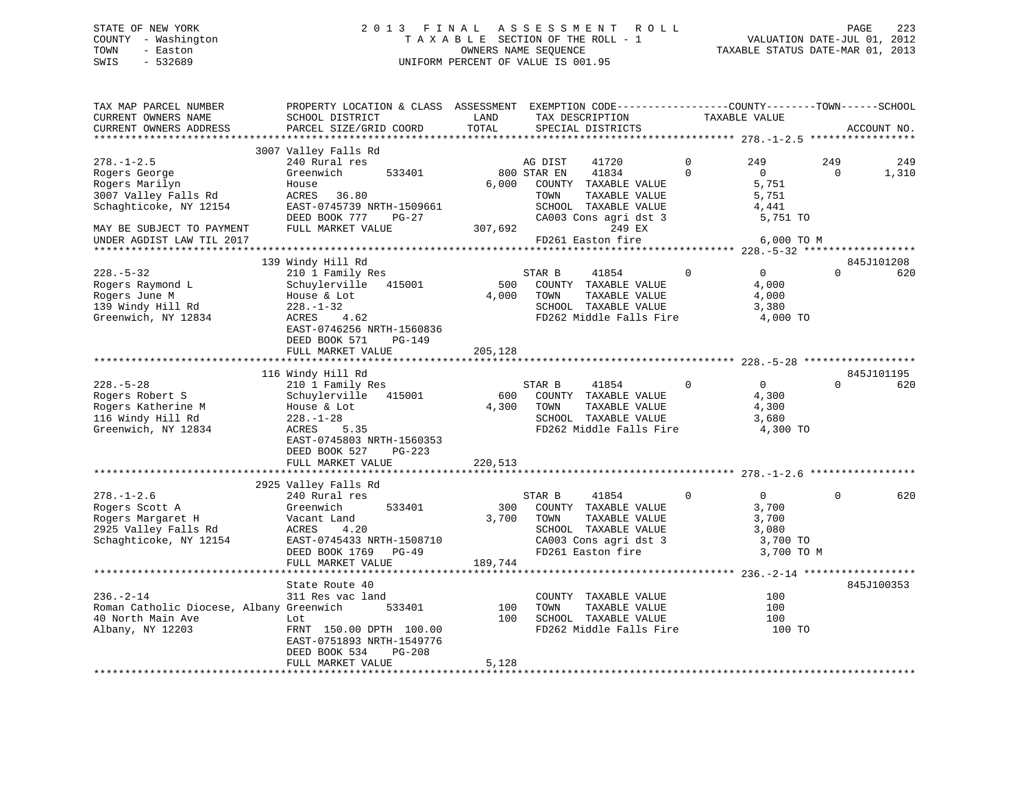# STATE OF NEW YORK 2 0 1 3 F I N A L A S S E S S M E N T R O L L PAGE 223 COUNTY - Washington T A X A B L E SECTION OF THE ROLL - 1 VALUATION DATE-JUL 01, 2012 TOWN - Easton OWNERS NAME SEQUENCE TAXABLE STATUS DATE-MAR 01, 2013 SWIS - 532689 UNIFORM PERCENT OF VALUE IS 001.95

| TAX MAP PARCEL NUMBER<br>CURRENT OWNERS NAME<br>CURRENT OWNERS ADDRESS                                                                                          | PROPERTY LOCATION & CLASS ASSESSMENT EXEMPTION CODE----------------COUNTY-------TOWN------SCHOOL<br>SCHOOL DISTRICT<br>PARCEL SIZE/GRID COORD                                                    | LAND<br>TOTAL           | TAX DESCRIPTION<br>SPECIAL DISTRICTS                                                                                                                                      |               | TAXABLE VALUE                                                        |                 | ACCOUNT NO.       |
|-----------------------------------------------------------------------------------------------------------------------------------------------------------------|--------------------------------------------------------------------------------------------------------------------------------------------------------------------------------------------------|-------------------------|---------------------------------------------------------------------------------------------------------------------------------------------------------------------------|---------------|----------------------------------------------------------------------|-----------------|-------------------|
| *************************                                                                                                                                       |                                                                                                                                                                                                  |                         |                                                                                                                                                                           |               |                                                                      |                 |                   |
| $278. - 1 - 2.5$<br>Rogers George<br>Rogers Marilyn<br>3007 Valley Falls Rd<br>Schaghticoke, NY 12154<br>MAY BE SUBJECT TO PAYMENT<br>UNDER AGDIST LAW TIL 2017 | 3007 Valley Falls Rd<br>240 Rural res<br>Greenwich<br>533401<br>House<br>ACRES 36.80<br>EAST-0745739 NRTH-1509661<br>DEED BOOK 777<br>PG-27<br>FULL MARKET VALUE                                 | 6,000<br>307,692        | AG DIST<br>41720<br>41834<br>800 STAR EN<br>COUNTY TAXABLE VALUE<br>TOWN<br>TAXABLE VALUE<br>SCHOOL TAXABLE VALUE<br>CA003 Cons agri dst 3<br>249 EX<br>FD261 Easton fire | 0<br>$\Omega$ | 249<br>$\Omega$<br>5,751<br>5,751<br>4,441<br>5,751 TO<br>6,000 TO M | 249<br>$\Omega$ | 249<br>1,310      |
|                                                                                                                                                                 |                                                                                                                                                                                                  |                         |                                                                                                                                                                           |               |                                                                      |                 |                   |
| $228. - 5 - 32$<br>Rogers Raymond L<br>Rogers June M<br>139 Windy Hill Rd<br>Greenwich, NY 12834                                                                | 139 Windy Hill Rd<br>210 1 Family Res<br>Schuylerville 415001<br>House & Lot<br>$228. - 1 - 32$<br>ACRES<br>4.62<br>EAST-0746256 NRTH-1560836<br>DEED BOOK 571<br>PG-149                         | 500<br>4,000            | STAR B<br>41854<br>COUNTY TAXABLE VALUE<br>TOWN<br>TAXABLE VALUE<br>SCHOOL TAXABLE VALUE<br>FD262 Middle Falls Fire                                                       | $\mathbf 0$   | $\overline{0}$<br>4,000<br>4,000<br>3,380<br>4,000 TO                | $\Omega$        | 845J101208<br>620 |
|                                                                                                                                                                 | FULL MARKET VALUE                                                                                                                                                                                | 205,128                 |                                                                                                                                                                           |               |                                                                      |                 |                   |
|                                                                                                                                                                 |                                                                                                                                                                                                  |                         |                                                                                                                                                                           |               |                                                                      |                 |                   |
| $228. - 5 - 28$<br>Rogers Robert S<br>Rogers Katherine M<br>116 Windy Hill Rd<br>Greenwich, NY 12834                                                            | 116 Windy Hill Rd<br>210 1 Family Res<br>Schuylerville<br>415001<br>House & Lot<br>$228. - 1 - 28$<br>ACRES<br>5.35<br>EAST-0745803 NRTH-1560353<br>DEED BOOK 527<br>PG-223<br>FULL MARKET VALUE | 600<br>4,300<br>220,513 | STAR B<br>41854<br>COUNTY TAXABLE VALUE<br>TOWN<br>TAXABLE VALUE<br>SCHOOL TAXABLE VALUE<br>FD262 Middle Falls Fire                                                       | $\Omega$      | $\Omega$<br>4,300<br>4,300<br>3,680<br>4,300 TO                      | $\Omega$        | 845J101195<br>620 |
|                                                                                                                                                                 | 2925 Valley Falls Rd                                                                                                                                                                             |                         |                                                                                                                                                                           |               |                                                                      |                 |                   |
| $278. - 1 - 2.6$<br>Rogers Scott A<br>Rogers Margaret H<br>2925 Valley Falls Rd<br>Schaghticoke, NY 12154                                                       | 240 Rural res<br>Greenwich<br>533401<br>Vacant Land<br>4.20<br>ACRES<br>EAST-0745433 NRTH-1508710<br>DEED BOOK 1769 PG-49                                                                        | 300<br>3,700            | STAR B<br>41854<br>COUNTY TAXABLE VALUE<br>TOWN<br>TAXABLE VALUE<br>SCHOOL TAXABLE VALUE<br>CA003 Cons agri dst 3<br>FD261 Easton fire                                    | $\mathbf 0$   | $\overline{0}$<br>3,700<br>3,700<br>3,080<br>3,700 TO<br>3,700 TO M  | $\Omega$        | 620               |
|                                                                                                                                                                 | FULL MARKET VALUE                                                                                                                                                                                | 189,744                 |                                                                                                                                                                           |               |                                                                      |                 |                   |
| $236. - 2 - 14$<br>Roman Catholic Diocese, Albany Greenwich<br>40 North Main Ave<br>Albany, NY 12203                                                            | State Route 40<br>311 Res vac land<br>533401<br>Lot<br>FRNT 150.00 DPTH 100.00<br>EAST-0751893 NRTH-1549776                                                                                      | 100<br>100              | COUNTY TAXABLE VALUE<br>TOWN<br>TAXABLE VALUE<br>SCHOOL TAXABLE VALUE<br>FD262 Middle Falls Fire                                                                          |               | 100<br>100<br>100<br>100 TO                                          |                 | 845J100353        |
|                                                                                                                                                                 | DEED BOOK 534<br>PG-208<br>FULL MARKET VALUE                                                                                                                                                     | 5,128                   |                                                                                                                                                                           |               |                                                                      |                 |                   |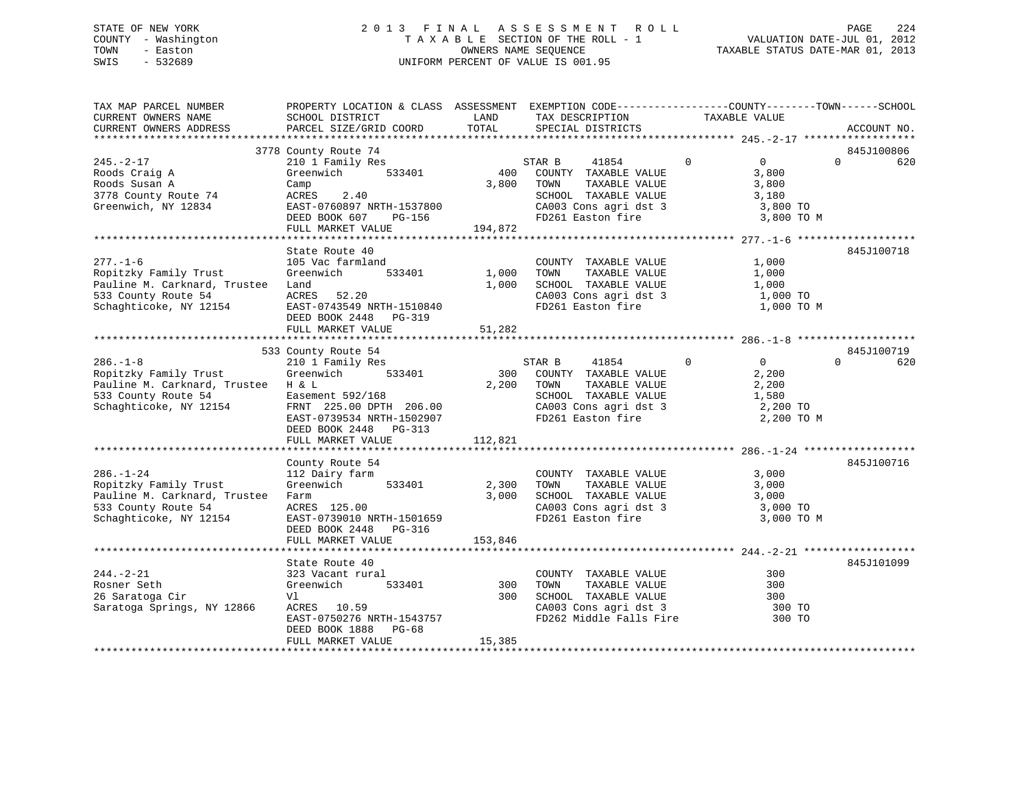# STATE OF NEW YORK 2 0 1 3 F I N A L A S S E S S M E N T R O L L PAGE 224 COUNTY - Washington T A X A B L E SECTION OF THE ROLL - 1 VALUATION DATE-JUL 01, 2012 TOWN - Easton **CONNERS NAME SEQUENCE** TAXABLE STATUS DATE-MAR 01, 2013 SWIS - 532689 UNIFORM PERCENT OF VALUE IS 001.95

| TAX MAP PARCEL NUMBER<br>CURRENT OWNERS NAME<br>CURRENT OWNERS ADDRESS                                                                                                  | PROPERTY LOCATION & CLASS ASSESSMENT EXEMPTION CODE---------------COUNTY-------TOWN-----SCHOOL<br>SCHOOL DISTRICT<br>PARCEL SIZE/GRID COORD                  | LAND<br>TOTAL         | TAX DESCRIPTION<br>SPECIAL DISTRICTS                                                                                                       | TAXABLE VALUE                                                                         | ACCOUNT NO.     |
|-------------------------------------------------------------------------------------------------------------------------------------------------------------------------|--------------------------------------------------------------------------------------------------------------------------------------------------------------|-----------------------|--------------------------------------------------------------------------------------------------------------------------------------------|---------------------------------------------------------------------------------------|-----------------|
|                                                                                                                                                                         |                                                                                                                                                              |                       |                                                                                                                                            |                                                                                       |                 |
|                                                                                                                                                                         | 3778 County Route 74                                                                                                                                         |                       |                                                                                                                                            |                                                                                       | 845J100806      |
| $245. -2 - 17$<br>Roods Craig A<br>Roods Susan A<br>3778 County Route 74<br>Greenwich, NY 12834                                                                         | 210 1 Family Res<br>533401<br>Greenwich<br>Camp<br>ACRES 2.40<br>EAST-0760897 NRTH-1537800<br>DEED BOOK 607<br>PG-156<br>FULL MARKET VALUE                   | 3,800 TOWN<br>194,872 | 41854<br>STAR B<br>400 COUNTY TAXABLE VALUE<br>TAXABLE VALUE<br>SCHOOL TAXABLE VALUE<br>CA003 Cons agri dst 3<br>FD261 Easton fire         | $\overline{0}$<br>$\overline{0}$<br>3,800<br>3,800<br>3,180<br>3,800 TO<br>3,800 TO M | $\Omega$<br>620 |
|                                                                                                                                                                         |                                                                                                                                                              |                       |                                                                                                                                            |                                                                                       |                 |
| $277. - 1 - 6$<br>Ropitzky Family Trust<br>Pauline M. Carknard, Trustee Land<br>533 County Route 54<br>Schaghticoke, NY 12154                                           | State Route 40<br>105 Vac farmland<br>rmland<br>533401 1,000<br>Greenwich<br>ACRES 52.20<br>EAST-0743549 NRTH-1510840<br>DEED BOOK 2448 PG-319               | 1,000                 | COUNTY TAXABLE VALUE<br>TOWN     TAXABLE VALUE<br>SCHOOL TAXABLE VALUE 1,000<br>CA003 Cons agri dst 3 1,000 TO<br>FD261 Easton fire        | 1,000<br>1,000<br>1,000 TO M                                                          | 845J100718      |
|                                                                                                                                                                         | FULL MARKET VALUE                                                                                                                                            | 51,282                |                                                                                                                                            |                                                                                       |                 |
|                                                                                                                                                                         | 533 County Route 54                                                                                                                                          |                       |                                                                                                                                            |                                                                                       | 845J100719      |
| $286. - 1 - 8$<br>Ropitzky Family Trust<br>Pauline M. Carknard, Trustee H & L<br>533 County Route 54 Easement 592/168<br>Schaghticoke, NY 12154 FRNT 225.00 DPTH 206.00 | 210 1 Family Res<br>Greenwich 533401<br>Easement 592/168<br>EAST-0739534 NRTH-1502907<br>DEED BOOK 2448 PG-313<br>FULL MARKET VALUE                          | 2,200<br>112,821      | 41854<br>STAR B<br>300 COUNTY TAXABLE VALUE<br>TOWN<br>TAXABLE VALUE<br>SCHOOL TAXABLE VALUE<br>CA003 Cons agri dst 3<br>FD261 Easton fire | $\Omega$<br>$\overline{0}$<br>2,200<br>2,200<br>1,580<br>2,200 TO<br>2,200 TO M       | $\Omega$<br>620 |
|                                                                                                                                                                         |                                                                                                                                                              |                       |                                                                                                                                            |                                                                                       |                 |
| $286. - 1 - 24$<br>Ropitzky Family Trust<br>Pauline M. Carknard, Trustee Farm<br>533 County Route 54<br>Schaghticoke, NY 12154                                          | County Route 54<br>112 Dairy farm<br>Greenwich 533401<br>ACRES 125.00<br>EAST-0739010 NRTH-1501659<br>DEED BOOK 2448 PG-316                                  | 2,300<br>3,000        | COUNTY TAXABLE VALUE 3,000<br>TOWN<br>TAXABLE VALUE<br>SCHOOL TAXABLE VALUE 3,000<br>CA003 Cons agri dst 3<br>FD261 Easton fire            | 3,000<br>3,000 TO<br>3,000 TO M                                                       | 845J100716      |
|                                                                                                                                                                         | FULL MARKET VALUE                                                                                                                                            | 153,846               |                                                                                                                                            |                                                                                       |                 |
|                                                                                                                                                                         |                                                                                                                                                              |                       |                                                                                                                                            |                                                                                       |                 |
| $244. - 2 - 21$<br>Rosner Seth<br>26 Saratoga Cir<br>Saratoga Springs, NY 12866                                                                                         | State Route 40<br>323 Vacant rural<br>533401 300<br>Greenwich<br>Vl<br>ACRES 10.59<br>EAST-0750276 NRTH-1543757<br>DEED BOOK 1888 PG-68<br>FULL MARKET VALUE | 300<br>15,385         | COUNTY TAXABLE VALUE<br>TOWN<br>TAXABLE VALUE<br>SCHOOL TAXABLE VALUE 300<br>CA003 Cons agri dst 3 300 TO<br>FD262 Middle Falls Fire       | 300<br>300<br>300 TO                                                                  | 845J101099      |
|                                                                                                                                                                         |                                                                                                                                                              |                       |                                                                                                                                            |                                                                                       |                 |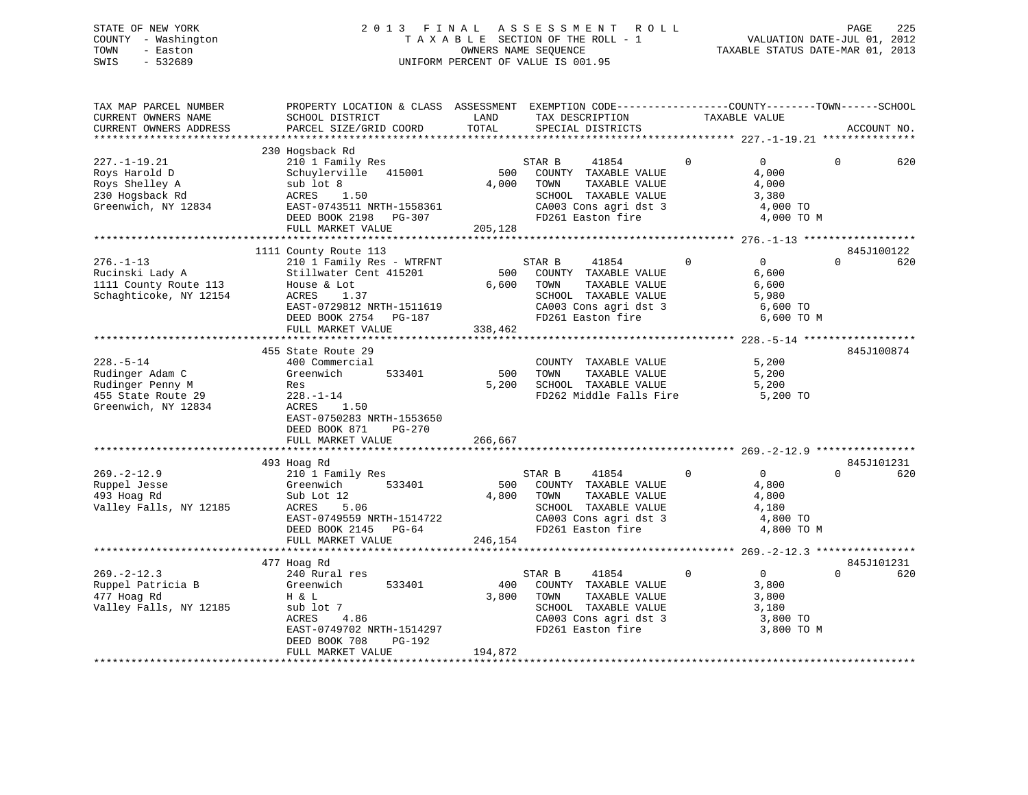# STATE OF NEW YORK 2 0 1 3 F I N A L A S S E S S M E N T R O L L PAGE 225 COUNTY - Washington T A X A B L E SECTION OF THE ROLL - 1 VALUATION DATE-JUL 01, 2012 TOWN - Easton OWNERS NAME SEQUENCE TAXABLE STATUS DATE-MAR 01, 2013 SWIS - 532689 UNIFORM PERCENT OF VALUE IS 001.95

| TAX MAP PARCEL NUMBER<br>CURRENT OWNERS NAME<br>CURRENT OWNERS ADDRESS                              | PROPERTY LOCATION & CLASS ASSESSMENT EXEMPTION CODE----------------COUNTY-------TOWN------SCHOOL<br>SCHOOL DISTRICT<br>PARCEL SIZE/GRID COORD                                           | LAND<br>TOTAL           | TAX DESCRIPTION<br>SPECIAL DISTRICTS                                                                                                         | TAXABLE VALUE |                                                                                 | ACCOUNT NO.       |
|-----------------------------------------------------------------------------------------------------|-----------------------------------------------------------------------------------------------------------------------------------------------------------------------------------------|-------------------------|----------------------------------------------------------------------------------------------------------------------------------------------|---------------|---------------------------------------------------------------------------------|-------------------|
|                                                                                                     |                                                                                                                                                                                         |                         |                                                                                                                                              |               |                                                                                 |                   |
| $227. - 1 - 19.21$<br>Roys Harold D<br>Roys Shelley A<br>230 Hogsback Rd<br>Greenwich, NY 12834     | 230 Hogsback Rd<br>210 1 Family Res<br>Schuylerville 415001<br>sub lot 8<br>ACRES 1.50<br>EAST-0743511 NRTH-1558361<br>DEED BOOK 2198 PG-307<br>FULL MARKET VALUE                       | 500<br>205,128          | STAR B<br>41854<br>COUNTY TAXABLE VALUE<br>4,000 TOWN<br>TAXABLE VALUE<br>SCHOOL TAXABLE VALUE<br>CA003 Cons agri dst 3<br>FD261 Easton fire | $\mathbf 0$   | $\overline{0}$<br>$\Omega$<br>4,000<br>4,000<br>3,380<br>4,000 TO<br>4,000 TO M | 620               |
|                                                                                                     |                                                                                                                                                                                         |                         |                                                                                                                                              |               |                                                                                 |                   |
| $276. - 1 - 13$<br>Rucinski Lady A<br>1111 County Route 113<br>Schaghticoke, NY 12154               | 1111 County Route 113<br>210 1 Family Res - WTRFNT<br>Stillwater Cent 415201<br>House & Lot<br>ACRES<br>1.37<br>EAST-0729812 NRTH-1511619<br>DEED BOOK 2754 PG-187<br>FULL MARKET VALUE | 500<br>6,600<br>338,462 | STAR B<br>41854<br>COUNTY TAXABLE VALUE<br>TOWN<br>TAXABLE VALUE<br>SCHOOL TAXABLE VALUE<br>CA003 Cons agri dst 3<br>FD261 Easton fire       | $\mathbf 0$   | $\Omega$<br>$\Omega$<br>6,600<br>6,600<br>5,980<br>6,600 TO<br>6,600 TO M       | 845J100122<br>620 |
|                                                                                                     |                                                                                                                                                                                         |                         |                                                                                                                                              |               |                                                                                 |                   |
| $228. - 5 - 14$<br>Rudinger Adam C<br>Rudinger Penny M<br>455 State Route 29<br>Greenwich, NY 12834 | 455 State Route 29<br>400 Commercial<br>533401<br>Greenwich<br>Res<br>$228. - 1 - 14$<br>ACRES 1.50<br>EAST-0750283 NRTH-1553650<br>DEED BOOK 871<br>PG-270<br>FULL MARKET VALUE        | 500<br>5,200<br>266,667 | COUNTY TAXABLE VALUE<br>TOWN<br>TAXABLE VALUE                                                                                                |               | 5,200<br>5,200                                                                  | 845J100874        |
|                                                                                                     |                                                                                                                                                                                         |                         |                                                                                                                                              |               |                                                                                 |                   |
| $269. - 2 - 12.9$<br>Ruppel Jesse<br>493 Hoag Rd<br>Valley Falls, NY 12185                          | 493 Hoag Rd<br>210 1 Family Res<br>533401<br>Greenwich<br>Sub Lot 12<br>ACRES 5.06<br>EAST-0749559 NRTH-1514722<br>DEED BOOK 2145 PG-64<br>FULL MARKET VALUE                            | 500<br>4,800<br>246,154 | 41854<br>STAR B<br>COUNTY TAXABLE VALUE<br>TOWN<br>TAXABLE VALUE<br>SCHOOL TAXABLE VALUE<br>CA003 Cons agri dst 3<br>FD261 Easton fire       | $\mathbf 0$   | $\Omega$<br>$\Omega$<br>4,800<br>4,800<br>4,180<br>4,800 TO<br>4,800 TO M       | 845J101231<br>620 |
|                                                                                                     |                                                                                                                                                                                         |                         |                                                                                                                                              |               |                                                                                 |                   |
| $269. - 2 - 12.3$<br>Ruppel Patricia B<br>477 Hoag Rd<br>Valley Falls, NY 12185                     | 477 Hoag Rd<br>240 Rural res<br>533401<br>Greenwich<br>H & L<br>sub lot 7<br>ACRES<br>4.86<br>EAST-0749702 NRTH-1514297<br>DEED BOOK 708<br>PG-192<br>FULL MARKET VALUE                 | 400<br>3,800<br>194,872 | STAR B<br>41854<br>COUNTY TAXABLE VALUE<br>TOWN<br>TAXABLE VALUE<br>SCHOOL TAXABLE VALUE<br>CA003 Cons agri dst 3<br>FD261 Easton fire       | $\Omega$      | $\Omega$<br>$\Omega$<br>3,800<br>3,800<br>3,180<br>3,800 TO<br>3,800 TO M       | 845J101231<br>620 |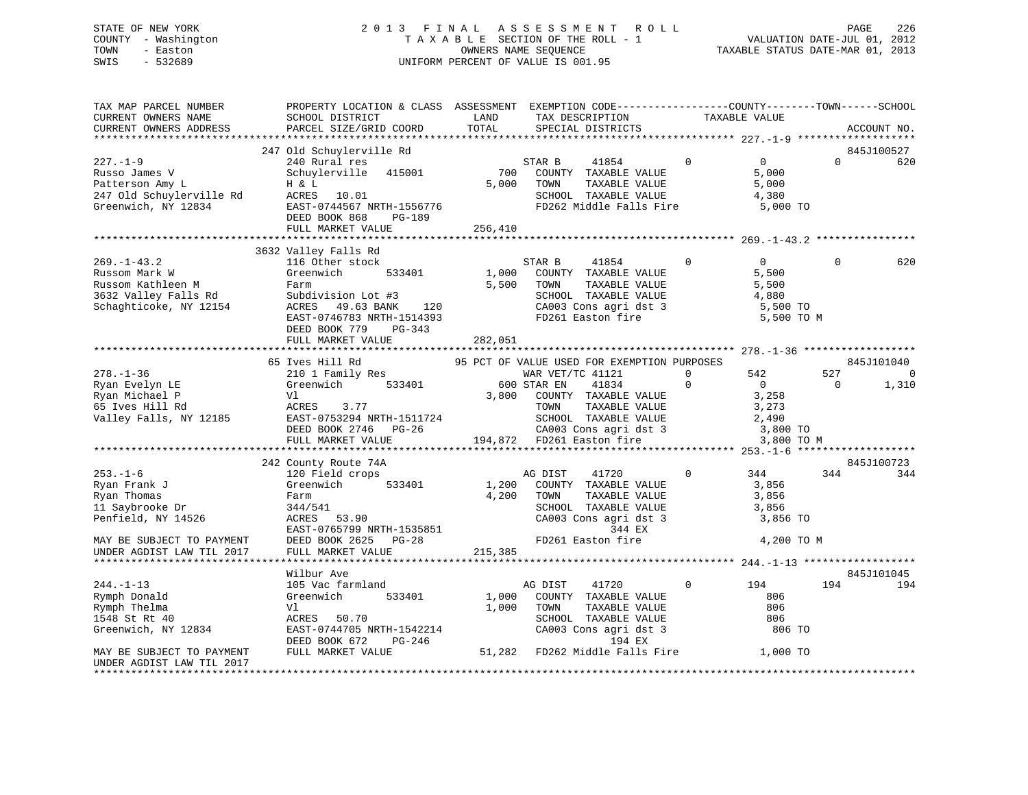# STATE OF NEW YORK 2 0 1 3 F I N A L A S S E S S M E N T R O L L PAGE 226 COUNTY - Washington T A X A B L E SECTION OF THE ROLL - 1 VALUATION DATE-JUL 01, 2012 TOWN - Easton OWNERS NAME SEQUENCE TAXABLE STATUS DATE-MAR 01, 2013 SWIS - 532689 UNIFORM PERCENT OF VALUE IS 001.95

| TAX MAP PARCEL NUMBER<br>CURRENT OWNERS NAME                                                                                                                                                                                                   | PROPERTY LOCATION & CLASS ASSESSMENT EXEMPTION CODE----------------COUNTY-------TOWN------SCHOOL<br>SCHOOL DISTRICT                                                                                                                                                                                                                                      | LAND       | TAX DESCRIPTION                                                                                                                                      | TAXABLE VALUE |                                                               |                       |                                                            |
|------------------------------------------------------------------------------------------------------------------------------------------------------------------------------------------------------------------------------------------------|----------------------------------------------------------------------------------------------------------------------------------------------------------------------------------------------------------------------------------------------------------------------------------------------------------------------------------------------------------|------------|------------------------------------------------------------------------------------------------------------------------------------------------------|---------------|---------------------------------------------------------------|-----------------------|------------------------------------------------------------|
| CURRENT OWNERS ADDRESS                                                                                                                                                                                                                         | PARCEL SIZE/GRID COORD                                                                                                                                                                                                                                                                                                                                   | TOTAL      | SPECIAL DISTRICTS                                                                                                                                    |               |                                                               |                       | ACCOUNT NO.                                                |
|                                                                                                                                                                                                                                                |                                                                                                                                                                                                                                                                                                                                                          |            |                                                                                                                                                      |               |                                                               |                       |                                                            |
| $227. - 1 - 9$                                                                                                                                                                                                                                 | 247 Old Schuylerville Rd<br>240 Rural res<br>Schuylerville 415001<br>EAST-0744567 NRTH-1556776<br>DEED BOOK 868 PG-189                                                                                                                                                                                                                                   | 5,000 TOWN | 41854 0<br>STAR B<br>700 COUNTY TAXABLE VALUE<br>TOWN      TAXABLE VALUE<br>SCHOOL   TAXABLE VALUE<br>FD262 Middle Falls Fire 5,000 TO               |               | $\overline{0}$<br>5,000<br>$\frac{5}{4}, \frac{000}{380}$     | $\Omega$              | 845J100527<br>620                                          |
|                                                                                                                                                                                                                                                |                                                                                                                                                                                                                                                                                                                                                          |            |                                                                                                                                                      |               |                                                               |                       |                                                            |
| 269.-1-43.2<br>Russom Mark W Greenwich 533401<br>Russom Kathleen M Farm School TAXABLE VALUE<br>3632 Valley Falls Rd Subdivision Lot #3<br>Schaghticoke, NY 12154 ACRES 49.63 BANK 120<br>EAST-0746783 NRTH-1514393<br>PG-343<br>PG-343<br>200 | 3632 Valley Falls Rd                                                                                                                                                                                                                                                                                                                                     |            |                                                                                                                                                      |               |                                                               | $\Omega$              | 620                                                        |
|                                                                                                                                                                                                                                                |                                                                                                                                                                                                                                                                                                                                                          |            |                                                                                                                                                      |               |                                                               |                       |                                                            |
| $253. - 1 - 6$<br>Ryan Frank J<br>Ryan Thomas<br>11 Saybrooke Dr<br>Penfield, NY 14526<br>MAY BE SUBJECT TO PAYMENT<br>UNDER AGDIST LAW TIL 2017                                                                                               | 65 Ives Hill Rd<br>242 County Route 74A<br>Journey Adduce / 7A<br>120 Field crops<br>Greenwich 533401<br>Greenwich 33.35<br>Farm $\frac{1}{4}$ , 200 TOWN TAXABLE VALUE<br>34.4/541<br>ACRES 53.90 CA003 Cons agri dst 3 3,856 TO<br>EAST-0765799 NRTH-1535851 344 EX<br>DEED BOOK 2625 PG-28 FD261 Easton fire 4, 200 TO M<br>FULL MARKET VALUE 215,385 |            | 95 PCT OF VALUE USED FOR EXEMPTION PURPOSES<br>AG DIST<br>41720<br>1,200 COUNTY TAXABLE VALUE 3,856                                                  |               | 3,800 TO M<br>$\begin{array}{cccc} 0 & 344 & 344 \end{array}$ | 527<br>$\overline{0}$ | 845J101040<br>$\overline{0}$<br>1,310<br>845J100723<br>344 |
|                                                                                                                                                                                                                                                | Wilbur Ave                                                                                                                                                                                                                                                                                                                                               |            |                                                                                                                                                      |               |                                                               |                       | 845J101045                                                 |
| $244. -1 - 13$<br>Rymph Donald<br>Rymph Thelma<br>1548 St Rt 40<br>Greenwich, NY 12834<br>MAY BE SUBJECT TO PAYMENT                                                                                                                            | 105 Vac farmland<br>533401<br>Greenwich<br>EAST-0744705 NRTH-1542214<br>DEED BOOK 672 PG-246<br>FULL MARKET VALUE 51,282 FD262 Middle Falls Fire 1,000 TO                                                                                                                                                                                                |            | AG DIST<br>41720<br>1,000 COUNTY TAXABLE VALUE<br>1,000 TOWN<br>TOWN TAXABLE VALUE<br>SCHOOL TAXABLE VALUE<br>CA003 Cons agri dst 3 806 TO<br>194 EX | $\mathbf{0}$  | 194<br>806                                                    | 194                   | 194                                                        |
| UNDER AGDIST LAW TIL 2017                                                                                                                                                                                                                      |                                                                                                                                                                                                                                                                                                                                                          |            |                                                                                                                                                      |               |                                                               |                       |                                                            |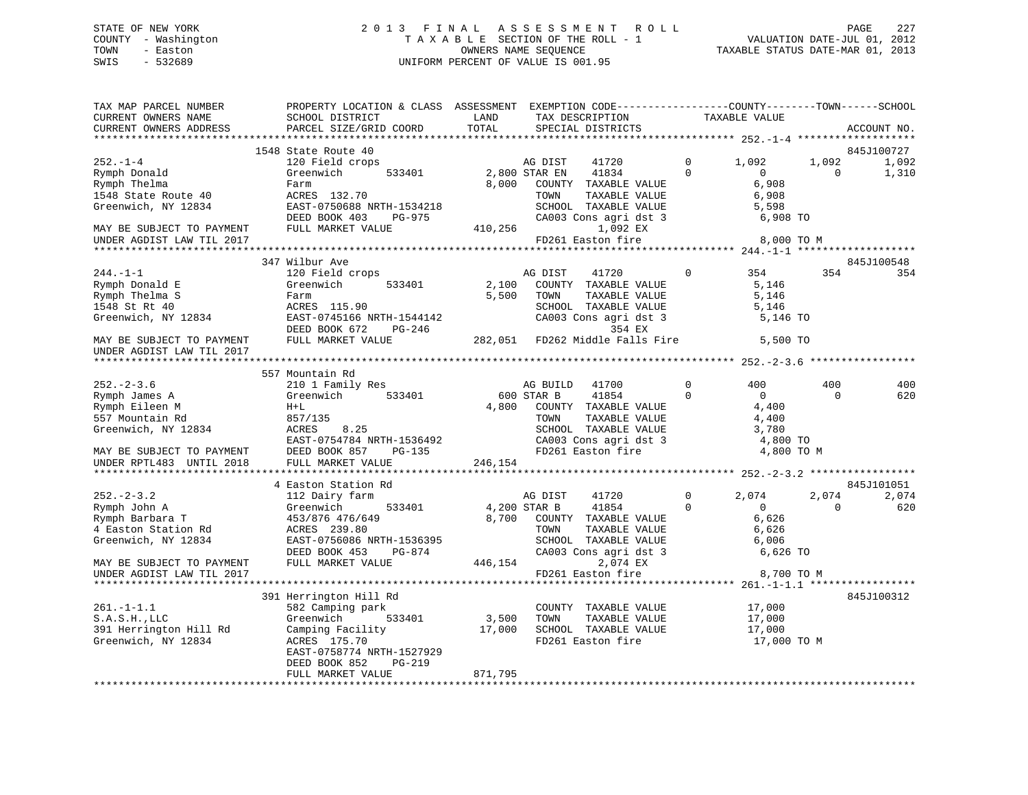# STATE OF NEW YORK 2 0 1 3 F I N A L A S S E S S M E N T R O L L PAGE 227 COUNTY - Washington T A X A B L E SECTION OF THE ROLL - 1 VALUATION DATE-JUL 01, 2012 TOWN - Easton OWNERS NAME SEQUENCE TAXABLE STATUS DATE-MAR 01, 2013 SWIS - 532689 UNIFORM PERCENT OF VALUE IS 001.95

| TAX MAP PARCEL NUMBER<br>CURRENT OWNERS NAME<br>CURRENT OWNERS ADDRESS                                 | PROPERTY LOCATION & CLASS ASSESSMENT<br>SCHOOL DISTRICT<br>PARCEL SIZE/GRID COORD                                                                             | LAND<br>TOTAL   | EXEMPTION CODE-----------------COUNTY-------TOWN------SCHOOL<br>TAX DESCRIPTION<br>SPECIAL DISTRICTS                                              |                         | TAXABLE VALUE                                                  |                      | ACCOUNT NO.                  |
|--------------------------------------------------------------------------------------------------------|---------------------------------------------------------------------------------------------------------------------------------------------------------------|-----------------|---------------------------------------------------------------------------------------------------------------------------------------------------|-------------------------|----------------------------------------------------------------|----------------------|------------------------------|
| *************************                                                                              |                                                                                                                                                               |                 |                                                                                                                                                   |                         |                                                                |                      |                              |
| $252. - 1 - 4$<br>Rymph Donald<br>Rymph Thelma<br>1548 State Route 40<br>Greenwich, NY 12834           | 1548 State Route 40<br>120 Field crops<br>Greenwich<br>533401<br>Farm<br>ACRES 132.70<br>EAST-0750688 NRTH-1534218<br>DEED BOOK 403<br>PG-975                 | 8,000           | AG DIST<br>41720<br>2,800 STAR EN<br>41834<br>COUNTY TAXABLE VALUE<br>TOWN<br>TAXABLE VALUE<br>SCHOOL TAXABLE VALUE<br>CA003 Cons agri dst 3      | $\Omega$<br>$\Omega$    | 1,092<br>$\mathbf{0}$<br>6,908<br>6,908<br>5,598<br>6,908 TO   | 1,092<br>$\mathbf 0$ | 845J100727<br>1,092<br>1,310 |
| MAY BE SUBJECT TO PAYMENT                                                                              | FULL MARKET VALUE                                                                                                                                             | 410,256         | 1,092 EX                                                                                                                                          |                         |                                                                |                      |                              |
| UNDER AGDIST LAW TIL 2017                                                                              |                                                                                                                                                               |                 | FD261 Easton fire                                                                                                                                 |                         | 8,000 TO M                                                     |                      |                              |
|                                                                                                        | 347 Wilbur Ave                                                                                                                                                |                 |                                                                                                                                                   |                         |                                                                |                      | 845J100548                   |
| $244. -1 -1$<br>Rymph Donald E<br>Rymph Thelma S<br>1548 St Rt 40<br>Greenwich, NY 12834               | 120 Field crops<br>Greenwich<br>533401<br>Farm<br>ACRES 115.90<br>EAST-0745166 NRTH-1544142<br>DEED BOOK 672<br>PG-246                                        | 2,100<br>5,500  | AG DIST<br>41720<br>COUNTY TAXABLE VALUE<br>TOWN<br>TAXABLE VALUE<br>SCHOOL TAXABLE VALUE<br>CA003 Cons agri dst 3<br>354 EX                      | $\mathbf 0$             | 354<br>5,146<br>5,146<br>5,146<br>5,146 TO                     | 354                  | 354                          |
| MAY BE SUBJECT TO PAYMENT<br>UNDER AGDIST LAW TIL 2017                                                 | FULL MARKET VALUE                                                                                                                                             |                 | 282,051 FD262 Middle Falls Fire                                                                                                                   |                         | 5,500 TO                                                       |                      |                              |
|                                                                                                        |                                                                                                                                                               |                 |                                                                                                                                                   |                         |                                                                |                      |                              |
|                                                                                                        | 557 Mountain Rd                                                                                                                                               |                 |                                                                                                                                                   |                         |                                                                |                      |                              |
| $252 - 2 - 3.6$                                                                                        | 210 1 Family Res                                                                                                                                              |                 | 41700<br>AG BUILD                                                                                                                                 | $\Omega$                | 400                                                            | 400                  | 400                          |
| Rymph James A<br>Rymph Eileen M<br>557 Mountain Rd<br>Greenwich, NY 12834<br>MAY BE SUBJECT TO PAYMENT | Greenwich<br>533401<br>$H+L$<br>857/135<br>ACRES<br>8.25<br>EAST-0754784 NRTH-1536492<br>DEED BOOK 857<br>PG-135                                              | 4,800           | 600 STAR B<br>41854<br>COUNTY TAXABLE VALUE<br>TOWN<br>TAXABLE VALUE<br>SCHOOL TAXABLE VALUE<br>CA003 Cons agri dst 3<br>FD261 Easton fire        | $\Omega$                | $\Omega$<br>4,400<br>4,400<br>3,780<br>4,800 TO<br>4,800 TO M  | $\Omega$             | 620                          |
| UNDER RPTL483 UNTIL 2018                                                                               | FULL MARKET VALUE                                                                                                                                             | 246,154         |                                                                                                                                                   |                         |                                                                |                      |                              |
|                                                                                                        |                                                                                                                                                               |                 |                                                                                                                                                   |                         |                                                                |                      |                              |
|                                                                                                        | 4 Easton Station Rd                                                                                                                                           |                 |                                                                                                                                                   |                         |                                                                |                      | 845J101051                   |
| $252 - 2 - 3.2$<br>Rymph John A<br>Rymph Barbara T<br>4 Easton Station Rd<br>Greenwich, NY 12834       | 112 Dairy farm<br>Greenwich<br>533401<br>453/876 476/649<br>ACRES 239.80<br>EAST-0756086 NRTH-1536395<br>DEED BOOK 453<br>PG-874                              |                 | AG DIST<br>41720<br>4,200 STAR B<br>41854<br>8,700 COUNTY TAXABLE VALUE<br>TOWN<br>TAXABLE VALUE<br>SCHOOL TAXABLE VALUE<br>CA003 Cons agri dst 3 | $\mathbf 0$<br>$\Omega$ | 2,074<br>$\overline{0}$<br>6,626<br>6,626<br>6,006<br>6,626 TO | 2,074<br>$\Omega$    | 2,074<br>620                 |
| MAY BE SUBJECT TO PAYMENT                                                                              | FULL MARKET VALUE                                                                                                                                             | 446,154         | 2,074 EX                                                                                                                                          |                         |                                                                |                      |                              |
| UNDER AGDIST LAW TIL 2017                                                                              |                                                                                                                                                               |                 | FD261 Easton fire                                                                                                                                 |                         | 8,700 TO M                                                     |                      |                              |
|                                                                                                        |                                                                                                                                                               |                 |                                                                                                                                                   |                         |                                                                |                      |                              |
| $261. -1 - 1.1$<br>S.A.S.H.JLLC<br>391 Herrington Hill Rd<br>Greenwich, NY 12834                       | 391 Herrington Hill Rd<br>582 Camping park<br>533401<br>Greenwich<br>Camping Facility<br>ACRES 175.70<br>EAST-0758774 NRTH-1527929<br>DEED BOOK 852<br>PG-219 | 3,500<br>17,000 | COUNTY TAXABLE VALUE<br>TOWN<br>TAXABLE VALUE<br>SCHOOL TAXABLE VALUE<br>FD261 Easton fire                                                        |                         | 17,000<br>17,000<br>17,000<br>17,000 TO M                      |                      | 845J100312                   |
|                                                                                                        | FULL MARKET VALUE                                                                                                                                             | 871,795         |                                                                                                                                                   |                         |                                                                |                      |                              |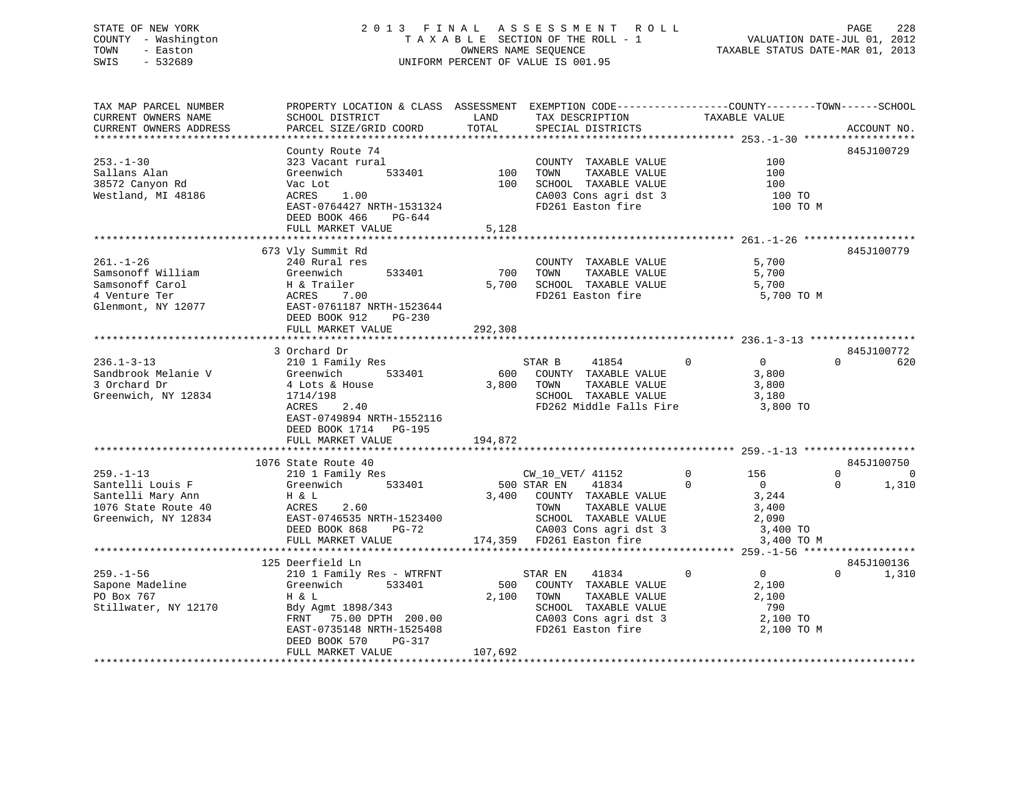# STATE OF NEW YORK 2 0 1 3 F I N A L A S S E S S M E N T R O L L PAGE 228 COUNTY - Washington T A X A B L E SECTION OF THE ROLL - 1 VALUATION DATE-JUL 01, 2012 TOWN - Easton OWNERS NAME SEQUENCE TAXABLE STATUS DATE-MAR 01, 2013 SWIS - 532689 UNIFORM PERCENT OF VALUE IS 001.95

| TAX MAP PARCEL NUMBER  | PROPERTY LOCATION & CLASS ASSESSMENT EXEMPTION CODE----------------COUNTY-------TOWN------SCHOOL |         |                             |                               |                      |
|------------------------|--------------------------------------------------------------------------------------------------|---------|-----------------------------|-------------------------------|----------------------|
| CURRENT OWNERS NAME    | SCHOOL DISTRICT                                                                                  | LAND    | TAX DESCRIPTION             | TAXABLE VALUE                 |                      |
| CURRENT OWNERS ADDRESS | PARCEL SIZE/GRID COORD                                                                           | TOTAL   | SPECIAL DISTRICTS           |                               | ACCOUNT NO.          |
|                        |                                                                                                  |         |                             |                               |                      |
|                        | County Route 74                                                                                  |         |                             |                               | 845J100729           |
| $253. - 1 - 30$        | 323 Vacant rural                                                                                 |         | COUNTY TAXABLE VALUE        | 100                           |                      |
| Sallans Alan           | 533401<br>Greenwich                                                                              | 100     | TAXABLE VALUE<br>TOWN       | 100                           |                      |
| 38572 Canyon Rd        | Vac Lot                                                                                          | 100     | SCHOOL TAXABLE VALUE        | 100                           |                      |
|                        |                                                                                                  |         |                             |                               |                      |
| Westland, MI 48186     | ACRES<br>1.00                                                                                    |         | CA003 Cons agri dst 3       | 100 TO                        |                      |
|                        | EAST-0764427 NRTH-1531324                                                                        |         | FD261 Easton fire           | 100 TO M                      |                      |
|                        | DEED BOOK 466<br>PG-644                                                                          |         |                             |                               |                      |
|                        | FULL MARKET VALUE                                                                                | 5,128   |                             |                               |                      |
|                        |                                                                                                  |         |                             |                               |                      |
|                        | 673 Vly Summit Rd                                                                                |         |                             |                               | 845J100779           |
| $261. - 1 - 26$        | 240 Rural res                                                                                    |         | COUNTY TAXABLE VALUE        | 5,700                         |                      |
| Samsonoff William      | 533401<br>Greenwich                                                                              | 700     | TOWN<br>TAXABLE VALUE       | 5,700                         |                      |
| Samsonoff Carol        | H & Trailer                                                                                      | 5,700   | SCHOOL TAXABLE VALUE        | 5,700                         |                      |
| 4 Venture Ter          | ACRES<br>7.00                                                                                    |         | FD261 Easton fire           | 5,700 TO M                    |                      |
| Glenmont, NY 12077     | EAST-0761187 NRTH-1523644                                                                        |         |                             |                               |                      |
|                        | DEED BOOK 912<br>PG-230                                                                          |         |                             |                               |                      |
|                        | FULL MARKET VALUE                                                                                | 292,308 |                             |                               |                      |
|                        |                                                                                                  |         |                             |                               |                      |
|                        | 3 Orchard Dr                                                                                     |         |                             |                               | 845J100772           |
|                        |                                                                                                  |         |                             |                               |                      |
| $236.1 - 3 - 13$       | 210 1 Family Res                                                                                 |         | STAR B<br>41854             | $\overline{0}$<br>$\Omega$    | $\Omega$<br>620      |
| Sandbrook Melanie V    | Greenwich<br>533401                                                                              |         | 600 COUNTY TAXABLE VALUE    | 3,800                         |                      |
| 3 Orchard Dr           | 4 Lots & House                                                                                   |         | 3,800 TOWN<br>TAXABLE VALUE | 3,800                         |                      |
| Greenwich, NY 12834    | 1714/198                                                                                         |         | SCHOOL TAXABLE VALUE        | 3,180                         |                      |
|                        | 2.40<br>ACRES                                                                                    |         | FD262 Middle Falls Fire     | 3,800 TO                      |                      |
|                        | EAST-0749894 NRTH-1552116                                                                        |         |                             |                               |                      |
|                        | DEED BOOK 1714 PG-195                                                                            |         |                             |                               |                      |
|                        | FULL MARKET VALUE                                                                                | 194,872 |                             |                               |                      |
|                        |                                                                                                  |         |                             |                               |                      |
|                        | 1076 State Route 40                                                                              |         |                             |                               | 845J100750           |
| $259. - 1 - 13$        | 210 1 Family Res                                                                                 |         | CW 10 VET/ 41152            | $\Omega$<br>156               | $\Omega$<br>$\Omega$ |
| Santelli Louis F       | 533401<br>Greenwich                                                                              |         | 500 STAR EN<br>41834        | $\Omega$<br>$\overline{0}$    | 1,310<br>$\Omega$    |
| Santelli Mary Ann      | H & L                                                                                            |         | 3,400 COUNTY TAXABLE VALUE  | 3,244                         |                      |
| 1076 State Route 40    | 2.60<br>ACRES                                                                                    |         | TAXABLE VALUE<br>TOWN       | 3,400                         |                      |
| Greenwich, NY 12834    | EAST-0746535 NRTH-1523400                                                                        |         | SCHOOL TAXABLE VALUE        | 2,090                         |                      |
|                        |                                                                                                  |         |                             |                               |                      |
|                        | DEED BOOK 868<br>$PG-72$                                                                         |         | CA003 Cons agri dst 3       | 3,400 TO                      |                      |
|                        | FULL MARKET VALUE                                                                                |         | 174,359 FD261 Easton fire   | 3,400 TO M                    |                      |
|                        |                                                                                                  |         |                             |                               |                      |
|                        | 125 Deerfield Ln                                                                                 |         |                             |                               | 845J100136           |
| $259. - 1 - 56$        | 210 1 Family Res - WTRFNT                                                                        |         | 41834<br>STAR EN            | $\mathbf 0$<br>$\overline{0}$ | $\Omega$<br>1,310    |
| Sapone Madeline        | 533401<br>Greenwich                                                                              |         | 500 COUNTY TAXABLE VALUE    | 2,100                         |                      |
| PO Box 767             | H & L                                                                                            |         | 2,100 TOWN<br>TAXABLE VALUE | 2,100                         |                      |
| Stillwater, NY 12170   | Bdy Agmt 1898/343                                                                                |         | SCHOOL TAXABLE VALUE        | 790                           |                      |
|                        | FRNT 75.00 DPTH 200.00                                                                           |         | CA003 Cons agri dst 3       | 2,100 TO                      |                      |
|                        | EAST-0735148 NRTH-1525408                                                                        |         | FD261 Easton fire           | 2,100 TO M                    |                      |
|                        | DEED BOOK 570<br>PG-317                                                                          |         |                             |                               |                      |
|                        | FULL MARKET VALUE                                                                                | 107,692 |                             |                               |                      |
|                        |                                                                                                  |         |                             |                               |                      |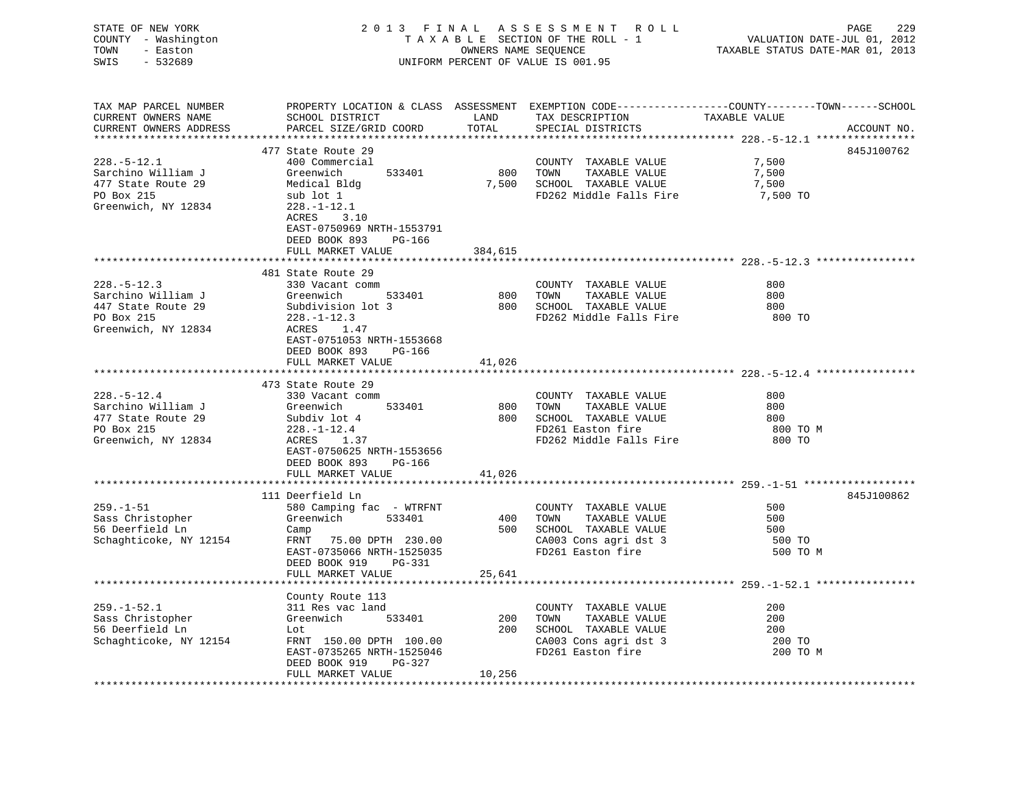| STATE OF NEW YORK<br>COUNTY - Washington<br>TOWN<br>- Easton<br>$-532689$<br>SWIS                  | 2013 FINAL ASSESSMENT ROLL<br>TAXABLE SECTION OF THE ROLL - 1<br>OWNERS NAME SEQUENCE<br>UNIFORM PERCENT OF VALUE IS 001.95                                 |               |                                                                                                                         | 229<br>PAGE<br>VALUATION DATE-JUL 01, 2012<br>TAXABLE STATUS DATE-MAR 01, 2013                                    |             |  |
|----------------------------------------------------------------------------------------------------|-------------------------------------------------------------------------------------------------------------------------------------------------------------|---------------|-------------------------------------------------------------------------------------------------------------------------|-------------------------------------------------------------------------------------------------------------------|-------------|--|
| TAX MAP PARCEL NUMBER<br>CURRENT OWNERS NAME<br>CURRENT OWNERS ADDRESS                             | SCHOOL DISTRICT<br>PARCEL SIZE/GRID COORD                                                                                                                   | LAND<br>TOTAL | TAX DESCRIPTION<br>SPECIAL DISTRICTS                                                                                    | PROPERTY LOCATION & CLASS ASSESSMENT EXEMPTION CODE----------------COUNTY-------TOWN------SCHOOL<br>TAXABLE VALUE | ACCOUNT NO. |  |
|                                                                                                    |                                                                                                                                                             |               |                                                                                                                         |                                                                                                                   |             |  |
| $228. - 5 - 12.1$<br>Sarchino William J<br>477 State Route 29<br>PO Box 215<br>Greenwich, NY 12834 | 477 State Route 29<br>400 Commercial<br>Greenwich<br>533401<br>Medical Bldg<br>sub lot 1<br>$228. - 1 - 12.1$<br>ACRES<br>3.10<br>EAST-0750969 NRTH-1553791 | 800           | COUNTY TAXABLE VALUE<br>TOWN<br>TAXABLE VALUE<br>7,500 SCHOOL TAXABLE VALUE<br>FD262 Middle Falls Fire                  | 7,500<br>7,500<br>7,500<br>7,500 TO                                                                               | 845J100762  |  |
|                                                                                                    | DEED BOOK 893<br>PG-166<br>FULL MARKET VALUE                                                                                                                | 384,615       |                                                                                                                         |                                                                                                                   |             |  |
|                                                                                                    |                                                                                                                                                             |               |                                                                                                                         |                                                                                                                   |             |  |
| $228. - 5 - 12.3$<br>Sarchino William J<br>447 State Route 29<br>PO Box 215                        | 481 State Route 29<br>330 Vacant comm<br>533401<br>Greenwich<br>Subdivision lot 3<br>$228. - 1 - 12.3$                                                      |               | COUNTY TAXABLE VALUE<br>800 TOWN<br>TAXABLE VALUE<br>800 SCHOOL TAXABLE VALUE<br>FD262 Middle Falls Fire                | 800<br>800<br>800<br>800 TO                                                                                       |             |  |
| Greenwich, NY 12834                                                                                | ACRES 1.47<br>EAST-0751053 NRTH-1553668<br>DEED BOOK 893 PG-166<br>FULL MARKET VALUE                                                                        | 41,026        |                                                                                                                         |                                                                                                                   |             |  |
|                                                                                                    |                                                                                                                                                             |               |                                                                                                                         |                                                                                                                   |             |  |
| $228. - 5 - 12.4$                                                                                  | 473 State Route 29<br>330 Vacant comm                                                                                                                       |               | COUNTY TAXABLE VALUE                                                                                                    | 800                                                                                                               |             |  |
| Sarchino William J<br>477 State Route 29<br>PO Box 215<br>Greenwich, NY 12834                      | Greenwich<br>533401<br>Subdiv lot 4<br>228.-1-12.4<br>ACRES 1.37<br>EAST-0750625 NRTH-1553656<br>DEED BOOK 893 PG-166                                       | 800           | TOWN<br>TAXABLE VALUE<br>800 SCHOOL TAXABLE VALUE<br>FD261 Easton fire<br>FD262 Middle Falls Fire                       | 800<br>800<br>800 TO M<br>800 TO                                                                                  |             |  |
|                                                                                                    | FULL MARKET VALUE                                                                                                                                           | 41,026        |                                                                                                                         |                                                                                                                   |             |  |
|                                                                                                    | 111 Deerfield Ln                                                                                                                                            |               |                                                                                                                         |                                                                                                                   | 845J100862  |  |
| $259. - 1 - 51$<br>Sass Christopher<br>56 Deerfield Ln<br>Schaghticoke, NY 12154                   | 580 Camping fac - WTRFNT<br>Greenwich 533401<br>Camp<br>FRNT 75.00 DPTH 230.00<br>EAST-0735066 NRTH-1525035<br>DEED BOOK 919<br>PG-331                      | 400           | COUNTY TAXABLE VALUE<br>TOWN<br>TAXABLE VALUE<br>500 SCHOOL TAXABLE VALUE<br>CA003 Cons agri dst 3<br>FD261 Easton fire | 500<br>500<br>500<br>500 TO<br>500 TO M                                                                           |             |  |
|                                                                                                    | FULL MARKET VALUE                                                                                                                                           | 25,641        |                                                                                                                         |                                                                                                                   |             |  |
| $259. - 1 - 52.1$<br>Sass Christopher<br>56 Deerfield Ln                                           | County Route 113<br>311 Res vac land<br>Greenwich 533401<br>Lot                                                                                             |               | COUNTY TAXABLE VALUE<br>200 TOWN<br>TAXABLE VALUE<br>200 SCHOOL TAXABLE VALUE                                           | 200<br>200<br>200                                                                                                 |             |  |
| Schaghticoke, NY 12154                                                                             | FRNT 150.00 DPTH 100.00<br>EAST-0735265 NRTH-1525046<br>DEED BOOK 919<br>PG-327<br>FULL MARKET VALUE                                                        | 10,256        | CA003 Cons agri dst 3<br>FD261 Easton fire                                                                              | 200 TO<br>200 TO M                                                                                                |             |  |
|                                                                                                    |                                                                                                                                                             |               |                                                                                                                         |                                                                                                                   |             |  |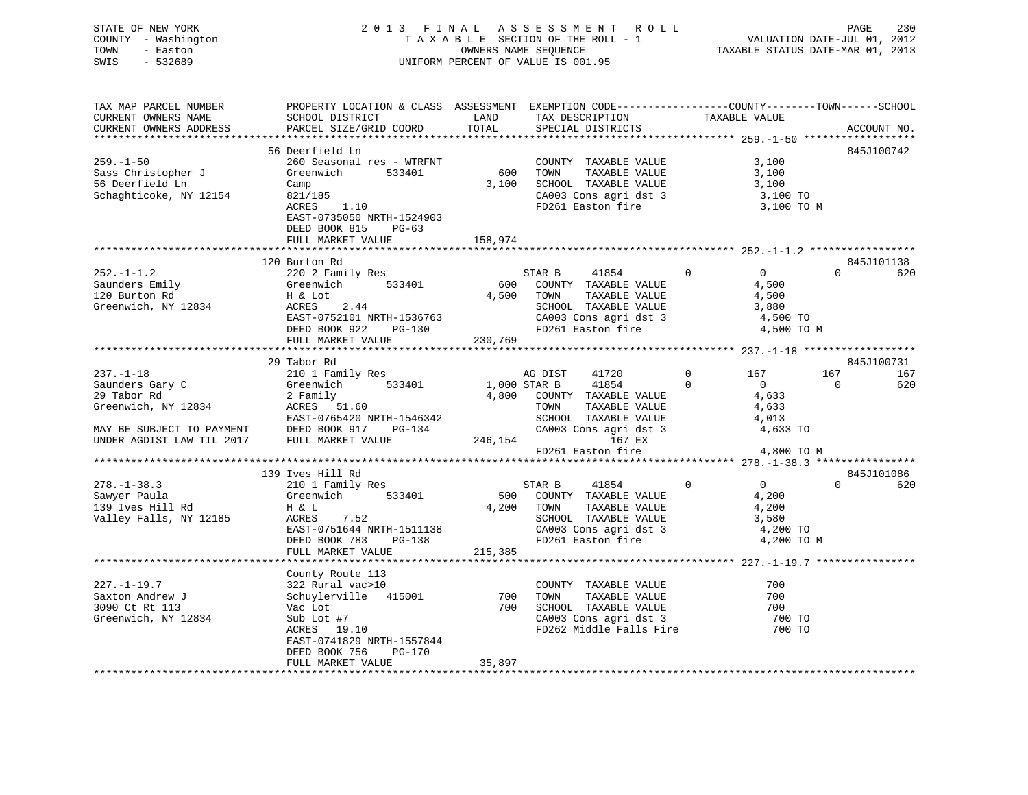| STATE OF NEW YORK<br>COUNTY - Washington<br>- Easton<br>TOWN<br>SWIS<br>- 532689 | 2 0 1 3 F I N A L A S S E S S M E N T R O L L<br>T A X A B L E SECTION OF THE ROLL - 1 VALUATION DATE-JUL 01, 2012<br>OWNERS NAME SEQUENCE TAXABLE STATUS DATE-MAR 01, 2013<br>UNIFORM PERCENT OF VALUE IS 001.95                                        |        |                                  |            |
|----------------------------------------------------------------------------------|----------------------------------------------------------------------------------------------------------------------------------------------------------------------------------------------------------------------------------------------------------|--------|----------------------------------|------------|
| TAX MAP PARCEL NUMBER                                                            |                                                                                                                                                                                                                                                          |        |                                  |            |
| CURRENT OWNERS NAME<br>CURRENT OWNERS ADDRESS                                    |                                                                                                                                                                                                                                                          |        |                                  |            |
|                                                                                  |                                                                                                                                                                                                                                                          |        |                                  |            |
| $259. - 1 - 50$                                                                  | Control Lind<br>260 Seasonal res - WTRFNT<br>Greenwich                                                                                                                                                                                                   |        |                                  | 845J100742 |
|                                                                                  |                                                                                                                                                                                                                                                          |        |                                  |            |
| Sass Christopher J<br>56 Deerfield Ln                                            | Camp                                                                                                                                                                                                                                                     |        |                                  |            |
| Schaghticoke, NY 12154                                                           |                                                                                                                                                                                                                                                          |        |                                  |            |
|                                                                                  |                                                                                                                                                                                                                                                          |        |                                  |            |
|                                                                                  | EAST-0735050 NRTH-1524903                                                                                                                                                                                                                                |        |                                  |            |
|                                                                                  | DEED BOOK 815 PG-63                                                                                                                                                                                                                                      |        |                                  |            |
|                                                                                  | FULL MARKET VALUE 158,974                                                                                                                                                                                                                                |        |                                  |            |
|                                                                                  |                                                                                                                                                                                                                                                          |        |                                  |            |
|                                                                                  |                                                                                                                                                                                                                                                          |        |                                  |            |
|                                                                                  |                                                                                                                                                                                                                                                          |        |                                  |            |
|                                                                                  |                                                                                                                                                                                                                                                          |        |                                  |            |
|                                                                                  |                                                                                                                                                                                                                                                          |        |                                  |            |
|                                                                                  |                                                                                                                                                                                                                                                          |        |                                  |            |
|                                                                                  |                                                                                                                                                                                                                                                          |        |                                  |            |
|                                                                                  |                                                                                                                                                                                                                                                          |        |                                  |            |
|                                                                                  |                                                                                                                                                                                                                                                          |        |                                  |            |
|                                                                                  |                                                                                                                                                                                                                                                          |        |                                  |            |
|                                                                                  | 29 Tabor Rd                                                                                                                                                                                                                                              |        |                                  | 845J100731 |
|                                                                                  |                                                                                                                                                                                                                                                          |        |                                  |            |
|                                                                                  |                                                                                                                                                                                                                                                          |        |                                  |            |
|                                                                                  |                                                                                                                                                                                                                                                          |        |                                  |            |
|                                                                                  |                                                                                                                                                                                                                                                          |        |                                  |            |
|                                                                                  |                                                                                                                                                                                                                                                          |        |                                  |            |
|                                                                                  |                                                                                                                                                                                                                                                          |        |                                  |            |
|                                                                                  |                                                                                                                                                                                                                                                          |        | $FD261$ Easton fire $4,800$ TO M |            |
|                                                                                  |                                                                                                                                                                                                                                                          |        |                                  |            |
|                                                                                  |                                                                                                                                                                                                                                                          |        |                                  |            |
|                                                                                  |                                                                                                                                                                                                                                                          |        |                                  |            |
|                                                                                  |                                                                                                                                                                                                                                                          |        |                                  |            |
|                                                                                  |                                                                                                                                                                                                                                                          |        |                                  |            |
|                                                                                  |                                                                                                                                                                                                                                                          |        |                                  |            |
|                                                                                  |                                                                                                                                                                                                                                                          |        |                                  |            |
|                                                                                  |                                                                                                                                                                                                                                                          |        |                                  |            |
|                                                                                  |                                                                                                                                                                                                                                                          |        |                                  |            |
|                                                                                  |                                                                                                                                                                                                                                                          |        |                                  |            |
|                                                                                  |                                                                                                                                                                                                                                                          |        |                                  |            |
|                                                                                  |                                                                                                                                                                                                                                                          |        |                                  |            |
|                                                                                  |                                                                                                                                                                                                                                                          |        |                                  |            |
|                                                                                  | County Route 113<br>22 Rural vac>10<br>322 Rural vac>10<br>3090 Ct Rt 113<br>3090 Ct Rt 113<br>Greenwich, NY 12834<br>3090 Ct Rt 113<br>3090 Ct Rt 113<br>3090 Ct Rt 113<br>3090 Ct Rt 113<br>3090 Ct Rt 113<br>3090 Ct Rt 113<br>3090 Ct Rt 113<br>3090 |        |                                  |            |
|                                                                                  |                                                                                                                                                                                                                                                          |        |                                  |            |
|                                                                                  |                                                                                                                                                                                                                                                          |        |                                  |            |
|                                                                                  | EAST-0741829 NRTH-1557844<br>DEED BOOK 756 PG-170                                                                                                                                                                                                        |        |                                  |            |
|                                                                                  | FULL MARKET VALUE                                                                                                                                                                                                                                        | 35,897 |                                  |            |
|                                                                                  |                                                                                                                                                                                                                                                          |        |                                  |            |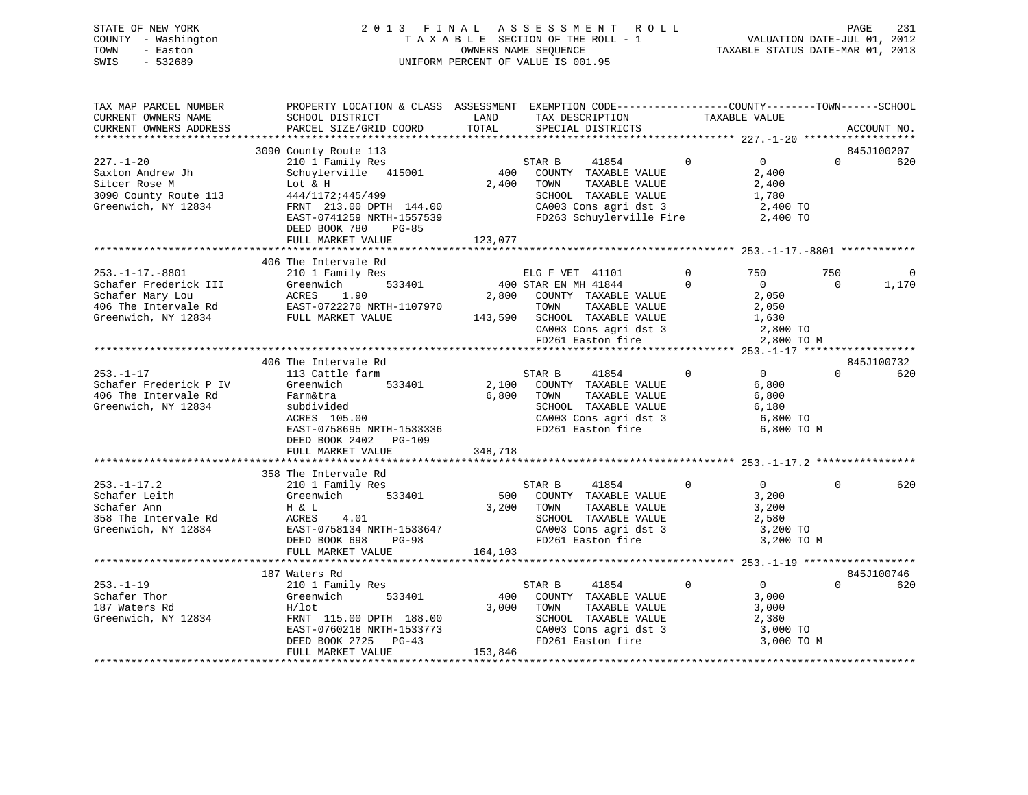# STATE OF NEW YORK 2 0 1 3 F I N A L A S S E S S M E N T R O L L PAGE 231 COUNTY - Washington T A X A B L E SECTION OF THE ROLL - 1 VALUATION DATE-JUL 01, 2012 TOWN - Easton **CONNERS NAME SEQUENCE** TAXABLE STATUS DATE-MAR 01, 2013 SWIS - 532689 UNIFORM PERCENT OF VALUE IS 001.95

| TAX MAP PARCEL NUMBER<br>CURRENT OWNERS NAME                                                                                          | PROPERTY LOCATION & CLASS ASSESSMENT EXEMPTION CODE----------------COUNTY-------TOWN------SCHOOL<br>SCHOOL DISTRICT                                                            | LAND                    | TAX DESCRIPTION                                                                                                                                                                                   | TAXABLE VALUE        |                                                                        |                 |                   |
|---------------------------------------------------------------------------------------------------------------------------------------|--------------------------------------------------------------------------------------------------------------------------------------------------------------------------------|-------------------------|---------------------------------------------------------------------------------------------------------------------------------------------------------------------------------------------------|----------------------|------------------------------------------------------------------------|-----------------|-------------------|
| CURRENT OWNERS ADDRESS                                                                                                                | PARCEL SIZE/GRID COORD                                                                                                                                                         | TOTAL                   | SPECIAL DISTRICTS                                                                                                                                                                                 |                      |                                                                        |                 | ACCOUNT NO.       |
|                                                                                                                                       | 3090 County Route 113                                                                                                                                                          |                         |                                                                                                                                                                                                   |                      |                                                                        |                 | 845J100207        |
| $227. - 1 - 20$<br>Saxton Andrew Jh<br>Sitcer Rose M<br>3090 County Route 113<br>Greenwich, NY 12834                                  | 210 1 Family Res<br>Schuylerville 415001<br>Lot & H<br>444/1172;445/499<br>FRNT 213.00 DPTH 144.00<br>EAST-0741259 NRTH-1557539<br>DEED BOOK 780<br>PG-85<br>FULL MARKET VALUE | 2,400<br>123,077        | STAR B 41854<br>400 COUNTY TAXABLE VALUE<br>TOWN<br>TAXABLE VALUE<br>SCHOOL TAXABLE VALUE<br>$\frac{1}{2}$ CA003 Cons agri dst 3 2,400 TO<br>FD263 Schuylerville Fire                             | $\overline{0}$       | $\overline{0}$<br>2,400<br>2,400<br>1,780<br>2,400 TO                  | $\Omega$        | 620               |
|                                                                                                                                       |                                                                                                                                                                                |                         |                                                                                                                                                                                                   |                      |                                                                        |                 |                   |
| $253. - 1 - 17. - 8801$<br>Schafer Frederick III<br>Schafer Mary Lou<br>406 The Intervale Rd<br>Greenwich, NY 12834 FULL MARKET VALUE | 406 The Intervale Rd<br>210 1 Family Res<br>533401<br>Greenwich<br>ACRES 1.90<br>EAST-0722270 NRTH-1107970                                                                     |                         | ELG F VET 41101<br>400 STAR EN MH 41844<br>2,800 COUNTY TAXABLE VALUE<br>TOWN TAXABLE VALUE<br>143,590 SCHOOL TAXABLE VALUE 1,630<br>CA003 Cons agri dst 3 2,800 TO<br>FD261 Easton fire 2,800 TO | $\Omega$<br>$\Omega$ | 750<br>$\overline{0}$<br>2,050<br>2,050<br>2,800 TO M                  | 750<br>$\Omega$ | $\Omega$<br>1,170 |
|                                                                                                                                       |                                                                                                                                                                                |                         |                                                                                                                                                                                                   |                      |                                                                        |                 |                   |
|                                                                                                                                       | 406 The Intervale Rd                                                                                                                                                           |                         |                                                                                                                                                                                                   |                      |                                                                        |                 | 845J100732        |
| $253. - 1 - 17$<br>Schafer Frederick P IV<br>406 The Intervale Rd<br>Greenwich, NY 12834                                              | 113 Cattle farm<br>533401<br>Greenwich<br>Farm&tra<br>subdivided<br>ACRES 105.00<br>EAST-0758695 NRTH-1533336<br>DEED BOOK 2402 PG-109<br>FULL MARKET VALUE                    | 6,800<br>348,718        | $\sim$ 0<br>STAR B<br>41854<br>2,100 COUNTY TAXABLE VALUE<br>TAXABLE VALUE<br>TOWN<br>SCHOOL TAXABLE VALUE<br>CA003 Cons agri dst 3<br>FD261 Easton fire                                          |                      | $0 \qquad \qquad$<br>6,800<br>6,800<br>6,180<br>6,800 TO<br>6,800 TO M | $\Omega$        | 620               |
|                                                                                                                                       |                                                                                                                                                                                |                         |                                                                                                                                                                                                   |                      |                                                                        |                 |                   |
|                                                                                                                                       | 358 The Intervale Rd                                                                                                                                                           |                         |                                                                                                                                                                                                   |                      |                                                                        |                 |                   |
| $253. - 1 - 17.2$<br>Schafer Leith<br>Schafer Ann<br>358 The Intervale Rd<br>Greenwich, NY 12834                                      | 210 1 Family Res<br>Greenwich<br>533401<br>H & L<br>4.01<br>ACRES<br>DEED BOOK 698<br><b>PG-98</b><br>FULL MARKET VALUE                                                        | 3,200<br>164,103        | STAR B<br>41854<br>500 COUNTY TAXABLE VALUE<br>TAXABLE VALUE<br>TOWN<br>SCHOOL TAXABLE VALUE<br>--<br>CA003 Cons agri dst 3<br>FD261 Easton fire                                                  | $\overline{0}$       | 0<br>3,200<br>3,200<br>2,580<br>3,200 TO<br>3,200 TO M                 | $\Omega$        | 620               |
|                                                                                                                                       |                                                                                                                                                                                |                         |                                                                                                                                                                                                   |                      |                                                                        |                 |                   |
|                                                                                                                                       | 187 Waters Rd                                                                                                                                                                  |                         |                                                                                                                                                                                                   |                      |                                                                        |                 | 845J100746        |
| $253. - 1 - 19$<br>Schafer Thor<br>187 Waters Rd<br>Greenwich, NY 12834                                                               | 210 1 Family Res<br>Greenwich<br>533401<br>$H/1$ ot<br>FRNT 115.00 DPTH 188.00<br>EAST-0760218 NRTH-1533773<br>DEED BOOK 2725<br>$PG-43$<br>FULL MARKET VALUE                  | 400<br>3,000<br>153,846 | STAR B<br>41854<br>COUNTY TAXABLE VALUE<br>TOWN<br>TAXABLE VALUE<br>SCHOOL TAXABLE VALUE<br>CA003 Cons agri dst 3<br>FD261 Easton fire                                                            | $\overline{0}$       | $\overline{0}$<br>3,000<br>3,000<br>2,380<br>3,000 TO<br>3,000 TO M    | $\Omega$        | 620               |
|                                                                                                                                       |                                                                                                                                                                                |                         |                                                                                                                                                                                                   |                      |                                                                        |                 |                   |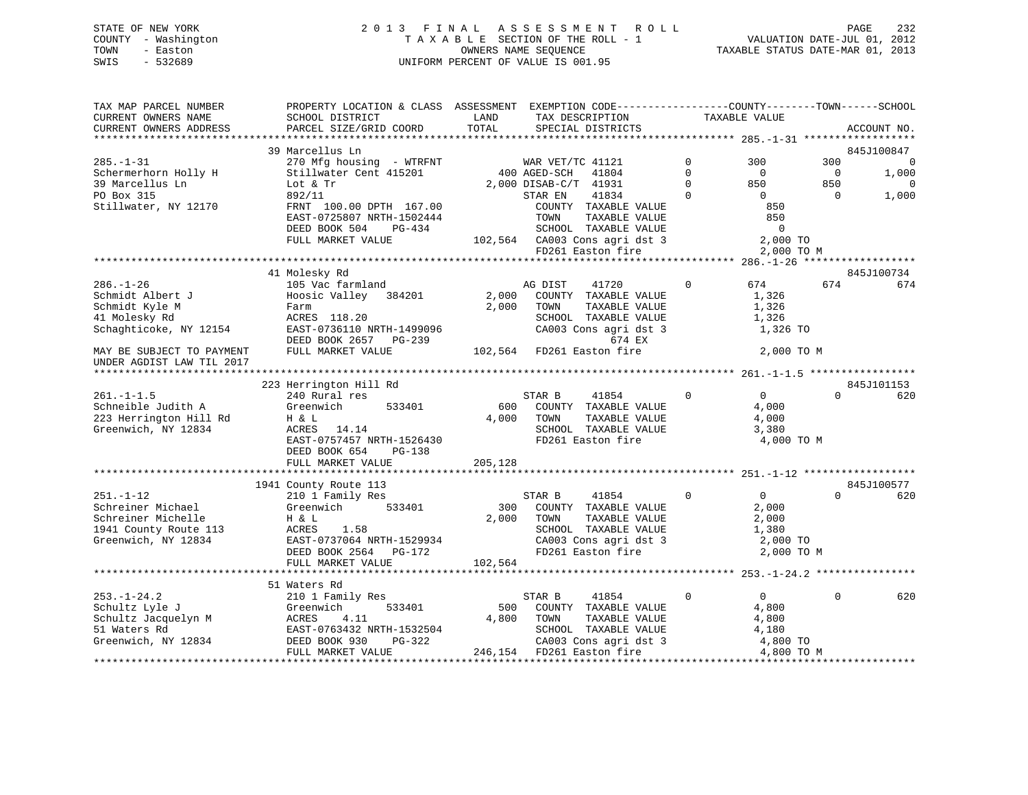# STATE OF NEW YORK 2 0 1 3 F I N A L A S S E S S M E N T R O L L PAGE 232 COUNTY - Washington T A X A B L E SECTION OF THE ROLL - 1 VALUATION DATE-JUL 01, 2012 TOWN - Easton OWNERS NAME SEQUENCE TAXABLE STATUS DATE-MAR 01, 2013 SWIS - 532689 UNIFORM PERCENT OF VALUE IS 001.95

| TAX MAP PARCEL NUMBER<br>CURRENT OWNERS NAME | PROPERTY LOCATION & CLASS ASSESSMENT EXEMPTION CODE----------------COUNTY-------TOWN------SCHOOL<br>SCHOOL DISTRICT                                                                                                                                    | LAND    | TAX DESCRIPTION                                                                                        |                | TAXABLE VALUE  |                |                          |
|----------------------------------------------|--------------------------------------------------------------------------------------------------------------------------------------------------------------------------------------------------------------------------------------------------------|---------|--------------------------------------------------------------------------------------------------------|----------------|----------------|----------------|--------------------------|
|                                              | PARCEL SIZE/GRID COORD                                                                                                                                                                                                                                 | TOTAL   | SPECIAL DISTRICTS                                                                                      |                |                |                |                          |
| CURRENT OWNERS ADDRESS                       |                                                                                                                                                                                                                                                        |         |                                                                                                        |                |                |                | ACCOUNT NO.              |
|                                              | 39 Marcellus Ln                                                                                                                                                                                                                                        |         |                                                                                                        |                |                |                | 845J100847               |
| $285. - 1 - 31$                              |                                                                                                                                                                                                                                                        |         |                                                                                                        | $\mathbf 0$    | 300            | 300            | $\overline{\phantom{0}}$ |
| Schermerhorn Holly H                         | 270 Mfg housing - WTRFNT WAR VET/TC 41121<br>Stillwater Cent 415201 400 AGED-SCH 41804                                                                                                                                                                 |         |                                                                                                        | $\Omega$       | $\overline{0}$ | $\overline{0}$ | 1,000                    |
| 39 Marcellus Ln                              | Lot & Tr                                                                                                                                                                                                                                               |         | 2,000 DISAB-C/T 41931                                                                                  | $\Omega$       | 850            | 850            | $\overline{0}$           |
| PO Box 315                                   | 892/11                                                                                                                                                                                                                                                 |         | 41834<br>STAR EN                                                                                       | $\mathbf 0$    | $\overline{0}$ | $\overline{0}$ | 1,000                    |
| Stillwater, NY 12170                         | FRNT 100.00 DPTH 167.00                                                                                                                                                                                                                                |         | COUNTY TAXABLE VALUE                                                                                   |                | 850            |                |                          |
|                                              | EAST-0725807 NRTH-1502444                                                                                                                                                                                                                              |         | TOWN<br>TAXABLE VALUE                                                                                  |                | 850            |                |                          |
|                                              | DEED BOOK 504<br>PG-434                                                                                                                                                                                                                                |         | SCHOOL TAXABLE VALUE                                                                                   |                | $\overline{0}$ |                |                          |
|                                              | FULL MARKET VALUE                                                                                                                                                                                                                                      |         | 102,564 CA003 Cons agri dst 3 2,000 TO                                                                 |                |                |                |                          |
|                                              |                                                                                                                                                                                                                                                        |         | FD261 Easton fire                                                                                      |                | 2,000 TO M     |                |                          |
|                                              |                                                                                                                                                                                                                                                        |         |                                                                                                        |                |                |                |                          |
|                                              |                                                                                                                                                                                                                                                        |         |                                                                                                        |                |                |                | 845J100734               |
| $286. - 1 - 26$                              | Long Rd<br>105 Vac farmland<br>Hoosin Valley                                                                                                                                                                                                           |         | 41720<br>AG DIST                                                                                       | $\mathbf 0$    | 674 679        | 674            | 674                      |
| Schmidt Albert J                             | Hoosic Valley 384201                                                                                                                                                                                                                                   |         | 2,000 COUNTY TAXABLE VALUE                                                                             |                | 1,326          |                |                          |
|                                              | Schmidt Kirch (Schmidt Kirch (Schmidt Kirch (Schmidt Kirch (Schmidt Kirch (Schmidt Kirch (Schmidt Kirch (Schmidt America) (Schmidt America) (Schmidt America) (Schmidt America) (Schmidt America) (Schmidt America) (Schmidt A                         | 2,000   | TOWN<br>TAXABLE VALUE                                                                                  |                | 1,326          |                |                          |
|                                              |                                                                                                                                                                                                                                                        |         | SCHOOL TAXABLE VALUE                                                                                   |                | 1,326          |                |                          |
|                                              |                                                                                                                                                                                                                                                        |         |                                                                                                        |                |                |                |                          |
|                                              |                                                                                                                                                                                                                                                        |         | CA003 Cons agri dst 3                                                                                  |                | 1,326 TO       |                |                          |
|                                              | DEED BOOK 2657 PG-239                                                                                                                                                                                                                                  |         | 674 EX<br>102,564 FD261 Easton fire                                                                    |                |                |                |                          |
| MAY BE SUBJECT TO PAYMENT                    | FULL MARKET VALUE                                                                                                                                                                                                                                      |         |                                                                                                        |                | 2,000 TO M     |                |                          |
| UNDER AGDIST LAW TIL 2017                    |                                                                                                                                                                                                                                                        |         |                                                                                                        |                |                |                |                          |
|                                              |                                                                                                                                                                                                                                                        |         |                                                                                                        |                |                |                | 845J101153               |
| $261. -1 -1.5$                               | 223 Herrington Hill Rd<br>240 Rural res                                                                                                                                                                                                                |         | STAR B<br>41854                                                                                        | $\mathbf 0$    | $\overline{0}$ | $\Omega$       | 620                      |
| Schneible Judith A                           | Greenwich<br>533401                                                                                                                                                                                                                                    | 600     | COUNTY TAXABLE VALUE                                                                                   |                | 4,000          |                |                          |
|                                              |                                                                                                                                                                                                                                                        |         |                                                                                                        |                |                |                |                          |
| 223 Herrington Hill Rd<br>Transmith NY 12834 | H & L<br>ACRES 14.14                                                                                                                                                                                                                                   |         | 4,000 TOWN<br>TOWN      TAXABLE VALUE<br>SCHOOL   TAXABLE VALUE                                        |                | 4,000<br>3,380 |                |                          |
| Greenwich, NY 12834                          | EAST-0757457 NRTH-1526430                                                                                                                                                                                                                              |         |                                                                                                        |                |                |                |                          |
|                                              |                                                                                                                                                                                                                                                        |         | FD261 Easton fire                                                                                      |                | 4,000 TO M     |                |                          |
|                                              | DEED BOOK 654<br>$PG-138$                                                                                                                                                                                                                              |         |                                                                                                        |                |                |                |                          |
|                                              | FULL MARKET VALUE                                                                                                                                                                                                                                      | 205,128 |                                                                                                        |                |                |                |                          |
|                                              |                                                                                                                                                                                                                                                        |         |                                                                                                        |                |                |                | 845J100577               |
| $251. - 1 - 12$                              | 1941 County Route 113                                                                                                                                                                                                                                  |         |                                                                                                        | $\overline{0}$ | $\overline{0}$ | $\Omega$       | 620                      |
| Schreiner Michael                            | 210 1 Family Res<br>Greenwich 533401                                                                                                                                                                                                                   |         | STAR B 41854<br>300 COUNTY TAXABLE VALUE                                                               |                |                |                |                          |
|                                              |                                                                                                                                                                                                                                                        |         | 2,000 TOWN                                                                                             |                | 2,000          |                |                          |
| Schreiner Michelle                           | H & L<br>13 ACRES                                                                                                                                                                                                                                      |         | TAXABLE VALUE                                                                                          |                | 2,000          |                |                          |
| 1941 County Route 113<br>Greenwich, NY 12834 | 1.58                                                                                                                                                                                                                                                   |         | SCHOOL TAXABLE VALUE 1,380<br>CA003 Cons agri dst 3 2,000 TO<br>2,000 TO<br>2,000 TO                   |                |                |                |                          |
|                                              | EAST-0737064 NRTH-1529934<br>DEED BOOK 2564 PG-172                                                                                                                                                                                                     |         |                                                                                                        |                |                |                |                          |
|                                              |                                                                                                                                                                                                                                                        |         | FD261 Easton fire                                                                                      |                | 2,000 TO M     |                |                          |
|                                              | FULL MARKET VALUE                                                                                                                                                                                                                                      | 102,564 |                                                                                                        |                |                |                |                          |
|                                              |                                                                                                                                                                                                                                                        |         |                                                                                                        |                |                |                |                          |
|                                              |                                                                                                                                                                                                                                                        |         |                                                                                                        | $\Omega$       |                | $\Omega$       |                          |
|                                              |                                                                                                                                                                                                                                                        |         | STAR B<br>41854                                                                                        |                | $\overline{0}$ |                | 620                      |
|                                              |                                                                                                                                                                                                                                                        | 500     | COUNTY TAXABLE VALUE                                                                                   |                | 4,800          |                |                          |
|                                              |                                                                                                                                                                                                                                                        |         | 4,800 TOWN<br>TAXABLE VALUE                                                                            |                | 4,800          |                |                          |
|                                              |                                                                                                                                                                                                                                                        |         | SCHOOL TAXABLE VALUE<br>SCHOOL TAXABLE VALUE 4,180<br>CA003 Cons agri dst 3 4,800 TO                   |                |                |                |                          |
|                                              |                                                                                                                                                                                                                                                        |         |                                                                                                        |                |                |                |                          |
|                                              | 3.1 waters Rd<br>210 1 Family Res<br>210 1 Family Res<br>210 1 Family Res<br>333401<br>51 Waters Rd<br>32 MRTH-1532504<br>32 Seenwich, NY 12834<br>32 DEED BOOK 930 PG-322<br>32 MRTH-1532504<br>32 MRTH-1532504<br>32 MRTH-1532504<br>32 MRTH-1532504 |         | E H-1532504<br>PG-322<br>E 246,154 FD261 E 246.154<br>PG-322<br>PG-322<br>PE 246.154 FD261 Easten fire |                | 4,800 TO M     |                |                          |
|                                              |                                                                                                                                                                                                                                                        |         |                                                                                                        |                |                |                |                          |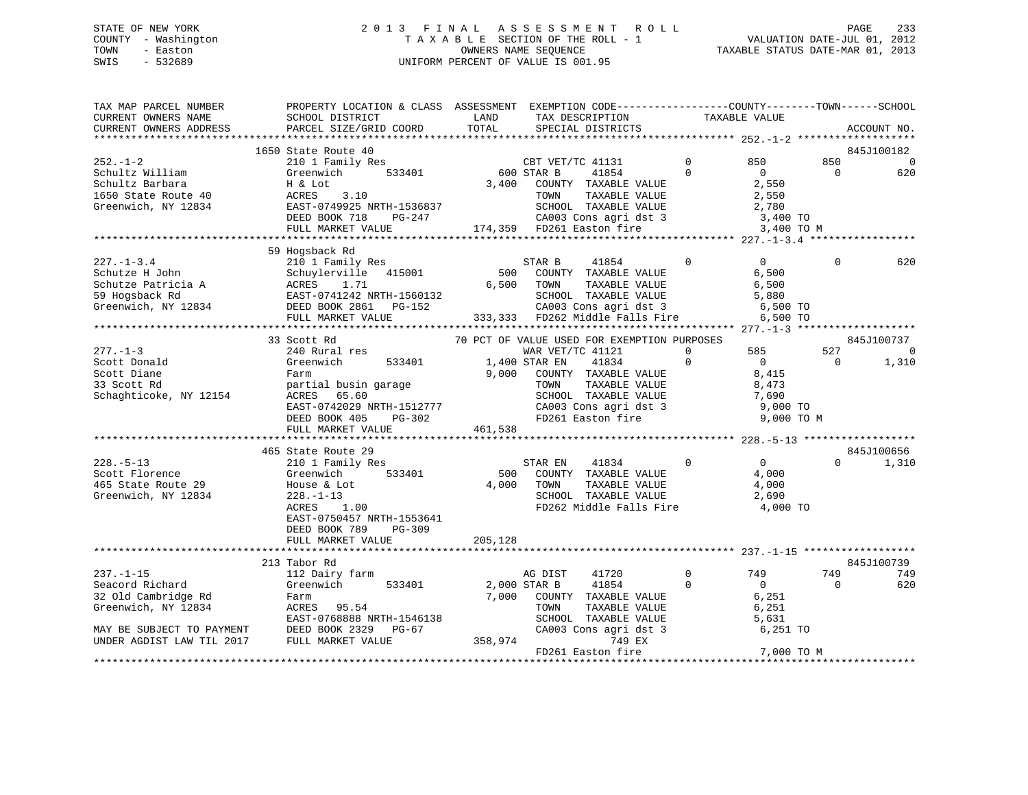# STATE OF NEW YORK 2 0 1 3 F I N A L A S S E S S M E N T R O L L PAGE 233 COUNTY - Washington T A X A B L E SECTION OF THE ROLL - 1 VALUATION DATE-JUL 01, 2012 TOWN - Easton OWNERS NAME SEQUENCE TAXABLE STATUS DATE-MAR 01, 2013 SWIS - 532689 UNIFORM PERCENT OF VALUE IS 001.95

| TAX MAP PARCEL NUMBER<br>CURRENT OWNERS NAME<br>CURRENT OWNERS ADDRESS                                                                                                     | PROPERTY LOCATION & CLASS ASSESSMENT EXEMPTION CODE----------------COUNTY-------TOWN------SCHOOL<br>SCHOOL DISTRICT<br>PARCEL SIZE/GRID COORD                                                                                                                                                                                                                       | LAND<br>TOTAL                               | TAX DESCRIPTION<br>SPECIAL DISTRICTS                                                                                                                                                                                                                                                                                                | TAXABLE VALUE            |                                                                                                                         |                             | ACCOUNT NO.                                 |
|----------------------------------------------------------------------------------------------------------------------------------------------------------------------------|---------------------------------------------------------------------------------------------------------------------------------------------------------------------------------------------------------------------------------------------------------------------------------------------------------------------------------------------------------------------|---------------------------------------------|-------------------------------------------------------------------------------------------------------------------------------------------------------------------------------------------------------------------------------------------------------------------------------------------------------------------------------------|--------------------------|-------------------------------------------------------------------------------------------------------------------------|-----------------------------|---------------------------------------------|
|                                                                                                                                                                            |                                                                                                                                                                                                                                                                                                                                                                     |                                             |                                                                                                                                                                                                                                                                                                                                     |                          |                                                                                                                         |                             |                                             |
|                                                                                                                                                                            | 1650 State Route 40                                                                                                                                                                                                                                                                                                                                                 |                                             |                                                                                                                                                                                                                                                                                                                                     |                          |                                                                                                                         |                             | 845J100182                                  |
| $252. - 1 - 2$<br>Schultz William<br>Schultz Barbara<br>1650 State Route 40<br>Greenwich, NY 12834                                                                         | 210 1 Family Res<br>533401<br>Greenwich<br>H & Lot<br>ACRES<br>3.10<br>EAST-0749925 NRTH-1536837                                                                                                                                                                                                                                                                    | 600 STAR B                                  | CBT VET/TC 41131<br>41854<br>3,400 COUNTY TAXABLE VALUE<br>TAXABLE VALUE<br>TOWN<br>SCHOOL TAXABLE VALUE                                                                                                                                                                                                                            | $\mathbf{0}$<br>$\Omega$ | 850<br>$\overline{0}$<br>2,550<br>2,550<br>2,780                                                                        | 850<br>$\Omega$             | 0<br>620                                    |
|                                                                                                                                                                            | DEED BOOK 718 PG-247<br>FULL MARKET VALUE                                                                                                                                                                                                                                                                                                                           |                                             | CA003 Cons agri dst 3<br>FD261 Easton fire<br>174,359 FD261 Easton fire                                                                                                                                                                                                                                                             |                          | 3,400 TO<br>3,400 TO M                                                                                                  |                             |                                             |
|                                                                                                                                                                            |                                                                                                                                                                                                                                                                                                                                                                     |                                             |                                                                                                                                                                                                                                                                                                                                     |                          |                                                                                                                         |                             |                                             |
|                                                                                                                                                                            | 59 Hogsback Rd                                                                                                                                                                                                                                                                                                                                                      |                                             |                                                                                                                                                                                                                                                                                                                                     |                          |                                                                                                                         |                             |                                             |
| $227. - 1 - 3.4$<br>Schutze H John<br>Schutze Patricia A (Schutzerville 415001)<br>59 Hogsback Rd (EAST-0741242 NRTH-1560132<br>Greenwich, NY 12834 (DEED BOOK 2861 PG-152 | 210 1 Family Res<br>FULL MARKET VALUE                                                                                                                                                                                                                                                                                                                               | 500<br>6,500                                | STAR B<br>41854<br>COUNTY TAXABLE VALUE<br>TOWN<br>TAXABLE VALUE<br>SCHOOL TAXABLE VALUE<br>CA003 Cons agri dst 3<br>333,333 FD262 Middle Falls Fire                                                                                                                                                                                | $\Omega$                 | $\Omega$<br>6,500<br>6,500<br>5,880<br>6,500 TO<br>6,500 TO                                                             | $\Omega$                    | 620                                         |
|                                                                                                                                                                            |                                                                                                                                                                                                                                                                                                                                                                     |                                             |                                                                                                                                                                                                                                                                                                                                     |                          |                                                                                                                         |                             |                                             |
|                                                                                                                                                                            | 33 Scott Rd                                                                                                                                                                                                                                                                                                                                                         |                                             | 70 PCT OF VALUE USED FOR EXEMPTION PURPOSES                                                                                                                                                                                                                                                                                         |                          |                                                                                                                         |                             | 845J100737                                  |
| $277. - 1 - 3$<br>Scott Donald<br>Scott Diane<br>33 Scott Rd<br>Schaghticoke, NY 12154<br>$228. - 5 - 13$<br>Scott Florence<br>465 State Route 29<br>Greenwich, NY 12834   | 240 Rural res<br>Greenwich<br>533401<br>Farm<br>partial busin garage<br>ACRES 65.60<br>EAST-0742029 NRTH-1512777<br>DEED BOOK 405<br>PG-302<br>FULL MARKET VALUE<br>465 State Route 29<br>210 1 Family Res<br>533401<br>Greenwich<br>House & Lot<br>$228. - 1 - 13$<br>ACRES<br>1.00<br>EAST-0750457 NRTH-1553641<br>DEED BOOK 789<br>$PG-309$<br>FULL MARKET VALUE | 9,000<br>461,538<br>500<br>4,000<br>205,128 | WAR VET/TC 41121<br>1,400 STAR EN<br>41834<br>COUNTY TAXABLE VALUE<br>TOWN<br>TAXABLE VALUE<br>SCHOOL TAXABLE VALUE<br>CA003 Cons agri dst 3<br>FD261 Easton fire<br>FD261 Easton fire<br>$\sim$ 0<br>STAR EN<br>41834<br>COUNTY TAXABLE VALUE<br>TOWN<br>TAXABLE VALUE<br>SCHOOL TAXABLE VALUE<br>FD262 Middle Falls Fire 4,000 TO | $\Omega$<br>$\Omega$     | 585<br>$\overline{0}$<br>8,415<br>8,473<br>7,690<br>9,000 TO<br>9,000 TO M<br>$\overline{0}$<br>4,000<br>4,000<br>2,690 | 527<br>$\Omega$<br>$\Omega$ | $\mathbf 0$<br>1,310<br>845J100656<br>1,310 |
|                                                                                                                                                                            | 213 Tabor Rd                                                                                                                                                                                                                                                                                                                                                        |                                             |                                                                                                                                                                                                                                                                                                                                     |                          |                                                                                                                         |                             | 845J100739                                  |
| $237. - 1 - 15$                                                                                                                                                            | 112 Dairy farm                                                                                                                                                                                                                                                                                                                                                      |                                             | 41720<br>AG DIST                                                                                                                                                                                                                                                                                                                    | $\Omega$                 | 749                                                                                                                     | 749                         | 749                                         |
| Seacord Richard<br>32 Old Cambridge Rd<br>Greenwich, NY 12834<br>MAY BE SUBJECT TO PAYMENT                                                                                 | Greenwich<br>533401<br>Farm<br>ACRES 95.54<br>EAST-0768888 NRTH-1546138<br>DEED BOOK 2329 PG-67                                                                                                                                                                                                                                                                     | 7,000                                       | 2,000 STAR B<br>41854<br>COUNTY TAXABLE VALUE<br>TOWN<br>TAXABLE VALUE<br>SCHOOL TAXABLE VALUE<br>CA003 Cons agri dst 3                                                                                                                                                                                                             | $\Omega$                 | $\Omega$<br>$6,251$<br>6,251<br>5,631<br>6,251 TO                                                                       | $\Omega$                    | 620                                         |
| UNDER AGDIST LAW TIL 2017                                                                                                                                                  | FULL MARKET VALUE                                                                                                                                                                                                                                                                                                                                                   | 358,974                                     | 749 EX                                                                                                                                                                                                                                                                                                                              |                          |                                                                                                                         |                             |                                             |
|                                                                                                                                                                            |                                                                                                                                                                                                                                                                                                                                                                     |                                             | FD261 Easton fire                                                                                                                                                                                                                                                                                                                   |                          | 7,000 TO M                                                                                                              |                             |                                             |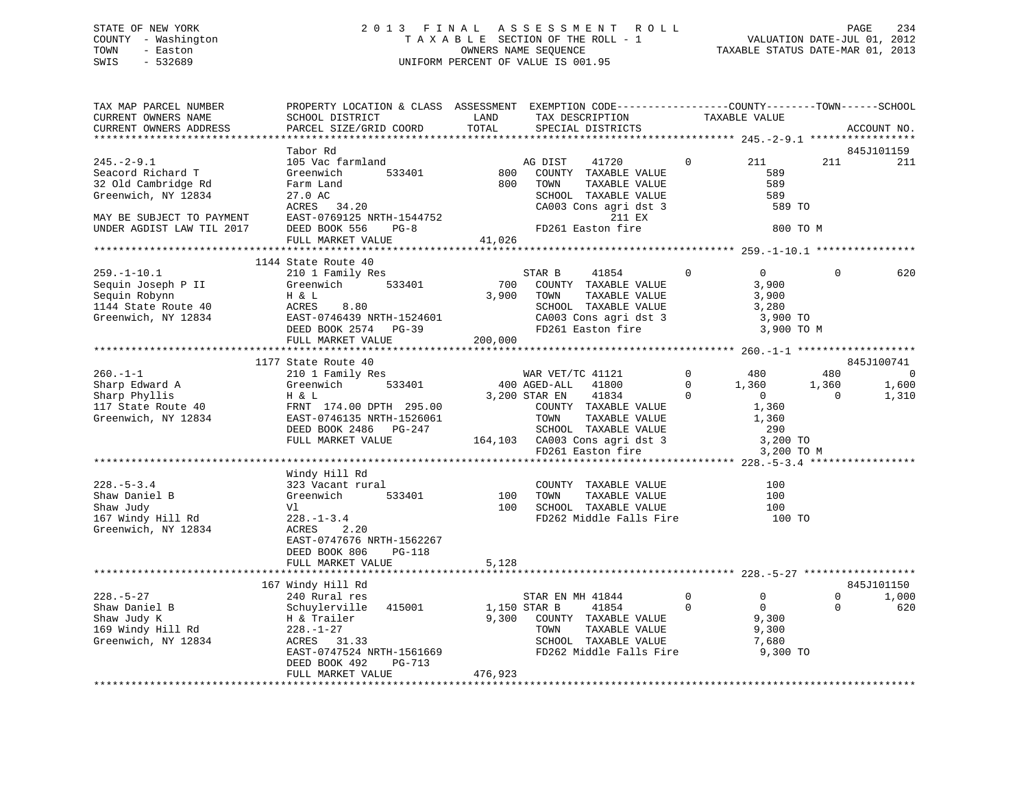# STATE OF NEW YORK 2 0 1 3 F I N A L A S S E S S M E N T R O L L PAGE 234 COUNTY - Washington T A X A B L E SECTION OF THE ROLL - 1 VALUATION DATE-JUL 01, 2012 TOWN - Easton COMPUTERS NAME SEQUENCE TAXABLE STATUS DATE-MAR 01, 2013<br>SWIS - 532689 SWIS - 532689 UNIFORM PERCENT OF VALUE IS 001.95

| TAX MAP PARCEL NUMBER                                                                                                                                 | PROPERTY LOCATION & CLASS ASSESSMENT EXEMPTION CODE---------------COUNTY-------TOWN------SCHOOL | LAND         |                                                                                                                                |                   |                                                                          |                       |
|-------------------------------------------------------------------------------------------------------------------------------------------------------|-------------------------------------------------------------------------------------------------|--------------|--------------------------------------------------------------------------------------------------------------------------------|-------------------|--------------------------------------------------------------------------|-----------------------|
| CURRENT OWNERS NAME                                                                                                                                   | SCHOOL DISTRICT                                                                                 | TOTAL        | TAX DESCRIPTION TAXABLE VALUE                                                                                                  |                   |                                                                          |                       |
| CURRENT OWNERS ADDRESS                                                                                                                                | PARCEL SIZE/GRID COORD                                                                          |              | SPECIAL DISTRICTS                                                                                                              |                   |                                                                          | ACCOUNT NO.           |
|                                                                                                                                                       |                                                                                                 |              |                                                                                                                                |                   |                                                                          |                       |
|                                                                                                                                                       | Tabor Rd                                                                                        |              |                                                                                                                                |                   |                                                                          | 845J101159            |
| $245. - 2 - 9.1$                                                                                                                                      | 105 Vac farmland                                                                                |              | AG DIST<br>41720                                                                                                               | $0 \qquad \qquad$ | 211                                                                      | 211<br>211            |
| Seacord Richard T                                                                                                                                     | Greenwich                                                                                       | 533401 800   | COUNTY TAXABLE VALUE                                                                                                           |                   | 589                                                                      |                       |
| 32 Old Cambridge Rd                                                                                                                                   | Farm Land                                                                                       | 800          | TOWN<br>TAXABLE VALUE                                                                                                          |                   | 589                                                                      |                       |
| Greenwich, NY 12834                                                                                                                                   | 27.0 AC                                                                                         |              |                                                                                                                                |                   | 589                                                                      |                       |
|                                                                                                                                                       | ACRES 34.20                                                                                     |              | SCHOOL TAXABLE VALUE<br>CA003 Cons agri dst 3<br>211 EX                                                                        |                   | 589 TO                                                                   |                       |
| MAY BE SUBJECT TO PAYMENT                                                                                                                             | EAST-0769125 NRTH-1544752                                                                       |              | 211 EX                                                                                                                         |                   |                                                                          |                       |
| UNDER AGDIST LAW TIL 2017                                                                                                                             | DEED BOOK 556<br>$PG-8$                                                                         |              | FD261 Easton fire                                                                                                              |                   | 800 TO M                                                                 |                       |
|                                                                                                                                                       | FULL MARKET VALUE                                                                               | 41,026       |                                                                                                                                |                   |                                                                          |                       |
|                                                                                                                                                       |                                                                                                 |              |                                                                                                                                |                   |                                                                          |                       |
|                                                                                                                                                       | 1144 State Route 40                                                                             |              |                                                                                                                                |                   |                                                                          |                       |
|                                                                                                                                                       |                                                                                                 |              | STAR B<br>41854                                                                                                                | $\mathbf{0}$      | $\overline{0}$                                                           | $\Omega$<br>620       |
|                                                                                                                                                       |                                                                                                 |              | COUNTY TAXABLE VALUE                                                                                                           |                   | 3,900                                                                    |                       |
|                                                                                                                                                       |                                                                                                 |              | TAXABLE VALUE<br>TOWN                                                                                                          |                   | 3,900                                                                    |                       |
|                                                                                                                                                       |                                                                                                 |              | SCHOOL TAXABLE VALUE                                                                                                           |                   | 3,280                                                                    |                       |
|                                                                                                                                                       |                                                                                                 |              |                                                                                                                                |                   | 3,900 TO                                                                 |                       |
|                                                                                                                                                       |                                                                                                 |              | CA003 Cons agri dst 3<br>FD261 Easton fire                                                                                     |                   | 3,900 TO M                                                               |                       |
|                                                                                                                                                       |                                                                                                 |              |                                                                                                                                |                   |                                                                          |                       |
|                                                                                                                                                       |                                                                                                 |              |                                                                                                                                |                   |                                                                          |                       |
|                                                                                                                                                       | 1177 State Route 40                                                                             |              |                                                                                                                                |                   |                                                                          | 845J100741            |
| $260. -1 - 1$                                                                                                                                         |                                                                                                 |              |                                                                                                                                | $0$ 480           |                                                                          | 480<br>$\overline{0}$ |
|                                                                                                                                                       |                                                                                                 |              | 400 AGED-ALL 41800                                                                                                             |                   |                                                                          | 1,600                 |
| Sharp Edward A Greenwich 533401<br>Sharp Phyllis H & L<br>117 State Route 40 FRNT 174.00 DPTH 295.00<br>Greenwich, NY 12834 EAST-0746135 NRTH-1526061 |                                                                                                 |              | $41834$ 0<br>3,200 STAR EN                                                                                                     |                   | $\begin{array}{cccc} 0 & & 1,360 & & 1,360 \\ 0 & & 0 & & 0 \end{array}$ | 1,310                 |
|                                                                                                                                                       |                                                                                                 |              |                                                                                                                                |                   |                                                                          |                       |
|                                                                                                                                                       |                                                                                                 |              | COUNTY TAXABLE VALUE<br>TOWN TAXABLE VALUE                                                                                     |                   | 1,360<br>1,360                                                           |                       |
|                                                                                                                                                       | DEED BOOK 2486 PG-247                                                                           |              |                                                                                                                                |                   |                                                                          |                       |
|                                                                                                                                                       | FULL MARKET VALUE                                                                               |              |                                                                                                                                |                   |                                                                          |                       |
|                                                                                                                                                       |                                                                                                 |              | 247 SCHOOL TAXABLE VALUE 290<br>164,103 CA003 Cons agri dst 3 3,200 TO<br>FD261 Easton fire 3,200 TO M                         |                   |                                                                          |                       |
|                                                                                                                                                       |                                                                                                 |              |                                                                                                                                |                   |                                                                          |                       |
|                                                                                                                                                       | Windy Hill Rd                                                                                   |              |                                                                                                                                |                   |                                                                          |                       |
| $228. - 5 - 3.4$                                                                                                                                      | 323 Vacant rural                                                                                |              | COUNTY TAXABLE VALUE                                                                                                           |                   | 100                                                                      |                       |
|                                                                                                                                                       |                                                                                                 |              |                                                                                                                                |                   |                                                                          |                       |
| Shaw Daniel B                                                                                                                                         | Greenwich                                                                                       |              | $\begin{tabular}{ccccc} 533401 & 100 & TOWN & TAXABLE VALUE \\ 100 & SCHOOL & TAXABLE VALUE \\ \end{tabular}$<br>TAXABLE VALUE |                   | 100                                                                      |                       |
| Shaw Judy                                                                                                                                             |                                                                                                 |              |                                                                                                                                |                   | 100                                                                      |                       |
| $167$ Windy Hill Rd                                                                                                                                   | V1<br>228.-1-3.4<br>ACRES 2.                                                                    |              | FD262 Middle Falls Fire 100 TO                                                                                                 |                   |                                                                          |                       |
| Greenwich, NY 12834                                                                                                                                   | 2.20                                                                                            |              |                                                                                                                                |                   |                                                                          |                       |
|                                                                                                                                                       | EAST-0747676 NRTH-1562267                                                                       |              |                                                                                                                                |                   |                                                                          |                       |
|                                                                                                                                                       | DEED BOOK 806<br>PG-118                                                                         |              |                                                                                                                                |                   |                                                                          |                       |
|                                                                                                                                                       | FULL MARKET VALUE                                                                               | 5,128        |                                                                                                                                |                   |                                                                          |                       |
|                                                                                                                                                       |                                                                                                 |              |                                                                                                                                |                   |                                                                          |                       |
|                                                                                                                                                       | windy Hill Rd<br>240 Rural res<br>Schuvler<br>167 Windy Hill Rd                                 |              |                                                                                                                                |                   |                                                                          | 845J101150            |
| $228. - 5 - 27$                                                                                                                                       |                                                                                                 |              | $41844$ 0<br>$41854$ 0<br>STAR EN MH 41844                                                                                     |                   | $\overline{0}$                                                           | $\mathbf 0$<br>1,000  |
| Shaw Daniel B                                                                                                                                         | 240 Rural res<br>Schuylerville 415001<br>H & Trailer<br>228.-1-27<br>ACRES 31.33                | 1,150 STAR B |                                                                                                                                |                   | $\overline{0}$                                                           | $\Omega$<br>620       |
| Shaw Judy K                                                                                                                                           |                                                                                                 |              | 9,300 COUNTY TAXABLE VALUE 9,300<br>9,300 COUNTY TAXABLE VALUE 9,300<br>TOWN TAXABLE VALUE 9,300                               |                   |                                                                          |                       |
| 169 Windy Hill Rd                                                                                                                                     |                                                                                                 |              |                                                                                                                                |                   |                                                                          |                       |
| Greenwich, NY 12834                                                                                                                                   |                                                                                                 |              | SCHOOL TAXABLE VALUE                                                                                                           |                   | 7,680                                                                    |                       |
|                                                                                                                                                       | EAST-0747524 NRTH-1561669                                                                       |              | FD262 Middle Falls Fire 9,300 TO                                                                                               |                   |                                                                          |                       |
|                                                                                                                                                       | DEED BOOK 492<br>PG-713                                                                         |              |                                                                                                                                |                   |                                                                          |                       |
|                                                                                                                                                       | FULL MARKET VALUE                                                                               | 476,923      |                                                                                                                                |                   |                                                                          |                       |
|                                                                                                                                                       |                                                                                                 |              |                                                                                                                                |                   |                                                                          |                       |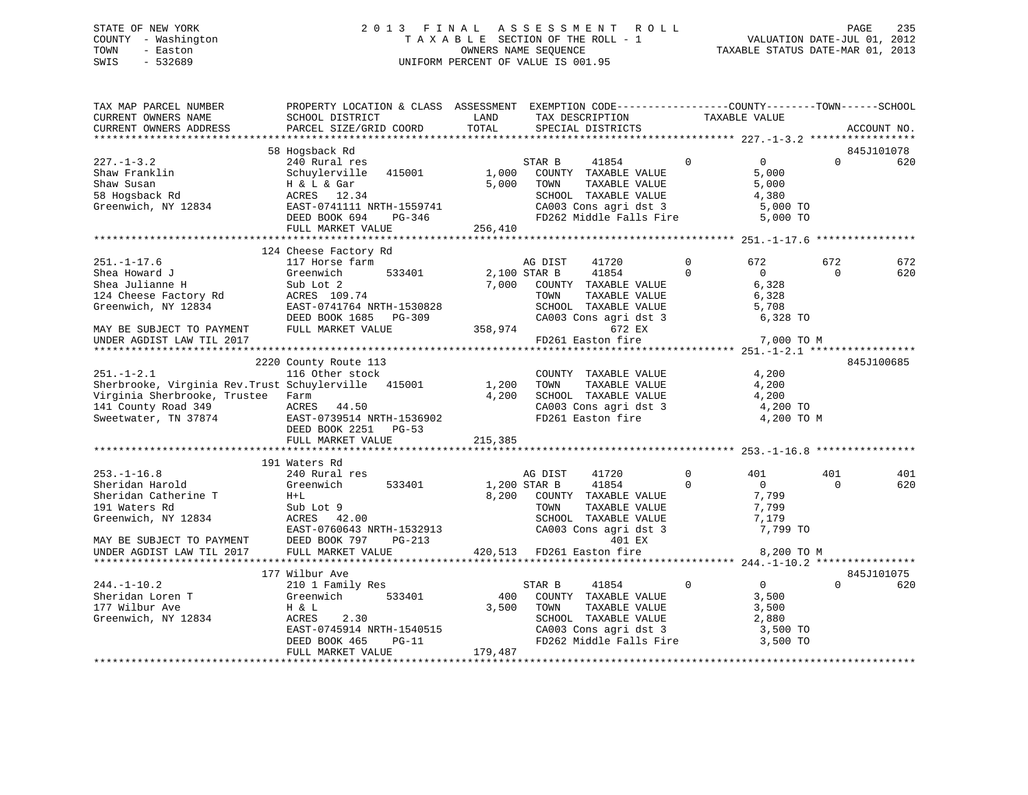# STATE OF NEW YORK 2 0 1 3 F I N A L A S S E S S M E N T R O L L PAGE 235 COUNTY - Washington T A X A B L E SECTION OF THE ROLL - 1 VALUATION DATE-JUL 01, 2012 TOWN - Easton OWNERS NAME SEQUENCE TAXABLE STATUS DATE-MAR 01, 2013 SWIS - 532689 UNIFORM PERCENT OF VALUE IS 001.95

| TAX MAP PARCEL NUMBER<br>CURRENT OWNERS NAME<br>CURRENT OWNERS ADDRESS                                                                                      | PROPERTY LOCATION & CLASS ASSESSMENT EXEMPTION CODE---------------COUNTY-------TOWN-----SCHOOL<br>SCHOOL DISTRICT<br>PARCEL SIZE/GRID COORD                     | LAND<br>TOTAL           |                                 | TAX DESCRIPTION<br>SPECIAL DISTRICTS                                                                                       |                         | TAXABLE VALUE                                                     |                 | ACCOUNT NO.       |
|-------------------------------------------------------------------------------------------------------------------------------------------------------------|-----------------------------------------------------------------------------------------------------------------------------------------------------------------|-------------------------|---------------------------------|----------------------------------------------------------------------------------------------------------------------------|-------------------------|-------------------------------------------------------------------|-----------------|-------------------|
|                                                                                                                                                             |                                                                                                                                                                 |                         |                                 |                                                                                                                            |                         |                                                                   |                 |                   |
|                                                                                                                                                             | 58 Hogsback Rd                                                                                                                                                  |                         |                                 |                                                                                                                            |                         |                                                                   |                 | 845J101078        |
| $227. - 1 - 3.2$<br>Shaw Franklin<br>Shaw Susan<br>58 Hogsback Rd                                                                                           | 240 Rural res<br>Schuylerville 415001<br>H & L & Gar<br>ACRES 12.34                                                                                             | 1,000<br>5,000          | STAR B<br>TOWN                  | 41854<br>COUNTY TAXABLE VALUE<br>TAXABLE VALUE<br>SCHOOL TAXABLE VALUE                                                     | $\Omega$                | $\overline{0}$<br>5,000<br>5,000<br>4,380                         | $\Omega$        | 620               |
| Greenwich, NY 12834 EAST-0741111 NRTH-1559741                                                                                                               | DEED BOOK 694<br>PG-346<br>FULL MARKET VALUE                                                                                                                    | 256,410                 |                                 | CA003 Cons agri dst 3<br>FD262 Middle Falls Fire                                                                           |                         | 5,000 TO<br>5,000 TO                                              |                 |                   |
|                                                                                                                                                             |                                                                                                                                                                 |                         |                                 |                                                                                                                            |                         |                                                                   |                 |                   |
|                                                                                                                                                             | 124 Cheese Factory Rd                                                                                                                                           |                         |                                 |                                                                                                                            |                         |                                                                   |                 |                   |
| $251. - 1 - 17.6$<br>Shea Howard J<br>Shea Julianne H<br>Shea Julianne<br>124 Cheese Factory Rd<br>12934                                                    | 117 Horse farm<br>533401<br>Greenwich<br>Sub Lot 2<br>ACRES 109.74<br>EAST-0741764 NRTH-1530828                                                                 | 2,100 STAR B<br>7,000   | AG DIST<br>TOWN                 | 41720<br>41854<br>COUNTY TAXABLE VALUE<br>TAXABLE VALUE<br>SCHOOL TAXABLE VALUE                                            | $\Omega$<br>$\mathbf 0$ | 672<br>$\overline{0}$<br>6,328<br>6,328<br>5,708                  | 672<br>$\Omega$ | 672<br>620        |
| MAY BE SUBJECT TO PAYMENT                                                                                                                                   | DEED BOOK 1685 PG-309<br>FULL MARKET VALUE                                                                                                                      | 358,974                 |                                 | CA003 Cons agri dst 3<br>672 EX                                                                                            |                         | 6,328 TO                                                          |                 |                   |
| UNDER AGDIST LAW TIL 2017                                                                                                                                   |                                                                                                                                                                 |                         |                                 | FD261 Easton fire                                                                                                          |                         | 7,000 TO M                                                        |                 |                   |
|                                                                                                                                                             | 2220 County Route 113                                                                                                                                           |                         |                                 |                                                                                                                            |                         |                                                                   |                 | 845J100685        |
| $251. - 1 - 2.1$<br>Sherbrooke, Virginia Rev.Trust Schuylerville 415001<br>Virginia Sherbrooke, Trustee Farm<br>141 County Road 349<br>Sweetwater, TN 37874 | 116 Other stock<br>ACRES 44.50<br>EAST-0739514 NRTH-1536902<br>DEED BOOK 2251 PG-53                                                                             | 1,200<br>4,200          | TOWN                            | COUNTY TAXABLE VALUE<br>TAXABLE VALUE<br>SCHOOL TAXABLE VALUE<br>CA003 Cons agri dst 3<br>FD261 Easton fire                |                         | 4,200<br>4,200<br>4,200<br>4,200 TO<br>4,200 TO M                 |                 |                   |
|                                                                                                                                                             | FULL MARKET VALUE                                                                                                                                               | 215,385                 |                                 |                                                                                                                            |                         |                                                                   |                 |                   |
|                                                                                                                                                             | 191 Waters Rd                                                                                                                                                   |                         |                                 |                                                                                                                            |                         |                                                                   |                 |                   |
| $253. - 1 - 16.8$<br>Sheridan Harold<br>Sheridan Catherine T<br>191 Waters Rd<br>Greenwich, NY 12834                                                        | 240 Rural res<br>Greenwich<br>533401<br>$H+L$<br>Sub Lot 9<br>ACRES 42.00<br>EAST-0760643 NRTH-1532913                                                          | 8,200                   | AG DIST<br>1,200 STAR B<br>TOWN | 41720<br>41854<br>COUNTY TAXABLE VALUE<br>TAXABLE VALUE<br>SCHOOL TAXABLE VALUE<br>CA003 Cons agri dst 3                   | $\mathbf 0$<br>$\Omega$ | 401<br>$\overline{0}$<br>7,799<br>7,799<br>7,179<br>7,799 TO      | 401<br>$\Omega$ | 401<br>620        |
| MAY BE SUBJECT TO PAYMENT<br>UNDER AGDIST LAW TIL 2017                                                                                                      | DEED BOOK 797<br>PG-213<br>FULL MARKET VALUE                                                                                                                    |                         |                                 | 401 EX<br>420,513 FD261 Easton fire                                                                                        |                         | 8,200 TO M                                                        |                 |                   |
|                                                                                                                                                             |                                                                                                                                                                 |                         |                                 |                                                                                                                            |                         |                                                                   |                 |                   |
| $244. -1 - 10.2$<br>Sheridan Loren T<br>177 Wilbur Ave<br>Greenwich, NY 12834                                                                               | 177 Wilbur Ave<br>210 1 Family Res<br>Greenwich<br>533401<br>H & L<br>ACRES<br>2.30<br>EAST-0745914 NRTH-1540515<br>DEED BOOK 465<br>PG-11<br>FULL MARKET VALUE | 400<br>3,500<br>179,487 | STAR B<br>TOWN                  | 41854<br>COUNTY TAXABLE VALUE<br>TAXABLE VALUE<br>SCHOOL TAXABLE VALUE<br>CA003 Cons agri dst 3<br>FD262 Middle Falls Fire | $\mathbf 0$             | $\overline{0}$<br>3,500<br>3,500<br>2,880<br>3,500 TO<br>3,500 TO | $\Omega$        | 845J101075<br>620 |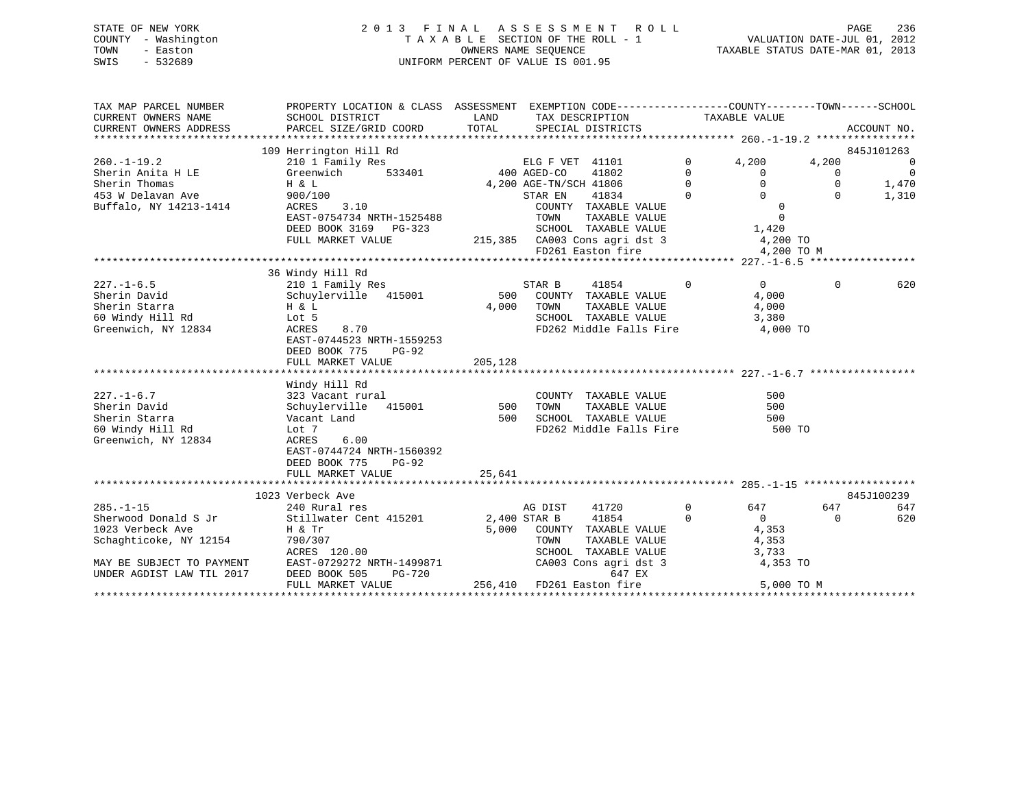| STATE OF NEW YORK   | 2013 FINAL ASSESSMENT ROLL         | 236<br>PAGE                      |
|---------------------|------------------------------------|----------------------------------|
| COUNTY - Washington | TAXABLE SECTION OF THE ROLL - 1    | VALUATION DATE-JUL 01, 2012      |
| TOWN<br>- Easton    | OWNERS NAME SEOUENCE               | TAXABLE STATUS DATE-MAR 01, 2013 |
| SWIS<br>- 532689    | UNIFORM PERCENT OF VALUE IS 001.95 |                                  |

| TAX MAP PARCEL NUMBER     | PROPERTY LOCATION & CLASS ASSESSMENT EXEMPTION CODE---------------COUNTY-------TOWN-----SCHOOL |          |                                                                      |                                                          |                      |                          |
|---------------------------|------------------------------------------------------------------------------------------------|----------|----------------------------------------------------------------------|----------------------------------------------------------|----------------------|--------------------------|
| CURRENT OWNERS NAME       | SCHOOL DISTRICT                                                                                |          | LAND TAX DESCRIPTION                                                 | TAXABLE VALUE                                            |                      |                          |
| CURRENT OWNERS ADDRESS    | PARCEL SIZE/GRID COORD TOTAL SPECIAL DISTRICTS                                                 |          |                                                                      |                                                          |                      | ACCOUNT NO.              |
|                           |                                                                                                |          |                                                                      |                                                          |                      |                          |
|                           | 109 Herrington Hill Rd                                                                         |          |                                                                      |                                                          |                      | 845J101263               |
| $260. -1 - 19.2$          | 210 1 Family Res                                                                               |          | ELG F VET 41101                                                      | $\overline{0}$<br>4,200                                  | 4,200                | $\overline{\phantom{0}}$ |
| Sherin Anita H LE         | Greenwich<br>533401                                                                            |          | 400 AGED-CO<br>41802                                                 | $\mathbf{0}$<br>$\mathbf{0}$                             | $\overline{0}$       | $\overline{0}$           |
| Sherin Thomas             | H & L                                                                                          |          | 4,200 AGE-TN/SCH 41806                                               | $\Omega$<br>$\overline{0}$<br>$\Omega$<br>$\overline{0}$ | $\Omega$<br>$\Omega$ | 1,470                    |
| 453 W Delavan Ave         | 900/100                                                                                        |          | 41834<br>STAR EN                                                     |                                                          |                      | 1,310                    |
| Buffalo, NY 14213-1414    | ACRES 3.10<br>EAST-0754734 NRTH-1525488                                                        |          | COUNTY TAXABLE VALUE<br>TOWN<br>TAXABLE VALUE                        | $\overline{0}$<br>$\Omega$                               |                      |                          |
|                           | DEED BOOK 3169 PG-323                                                                          |          | SCHOOL TAXABLE VALUE 1,420                                           |                                                          |                      |                          |
|                           | FULL MARKET VALUE                                                                              |          |                                                                      |                                                          |                      |                          |
|                           |                                                                                                |          | 215,385 CA003 Cons agri dst 3 4,200 TO<br>FD261 Easton fire 4,200 TO | 4,200 TO M                                               |                      |                          |
|                           |                                                                                                |          |                                                                      |                                                          |                      |                          |
|                           | 36 Windy Hill Rd                                                                               |          |                                                                      |                                                          |                      |                          |
| $227. - 1 - 6.5$          | 210 1 Family Res                                                                               |          | STAR B<br>41854                                                      | $\Omega$<br>$\Omega$                                     | $\Omega$             | 620                      |
| Sherin David              | Schuylerville 415001                                                                           |          | 500 COUNTY TAXABLE VALUE                                             | 4,000                                                    |                      |                          |
| Sherin Starra             |                                                                                                | 4,000    | TOWN<br>TAXABLE VALUE                                                | 4,000                                                    |                      |                          |
| 60 Windy Hill Rd          | $H$ & $L$<br>$L$ ot 5<br>Lot 5                                                                 |          | SCHOOL TAXABLE VALUE                                                 | 3,380                                                    |                      |                          |
| Greenwich, NY 12834       | ACRES<br>8.70                                                                                  |          | FD262 Middle Falls Fire 4,000 TO                                     |                                                          |                      |                          |
|                           | EAST-0744523 NRTH-1559253                                                                      |          |                                                                      |                                                          |                      |                          |
|                           | DEED BOOK 775<br>PG-92                                                                         |          |                                                                      |                                                          |                      |                          |
|                           | FULL MARKET VALUE                                                                              | 205,128  |                                                                      |                                                          |                      |                          |
|                           |                                                                                                |          |                                                                      |                                                          |                      |                          |
|                           | Windy Hill Rd                                                                                  |          |                                                                      |                                                          |                      |                          |
| $227. - 1 - 6.7$          | 323 Vacant rural                                                                               |          | COUNTY TAXABLE VALUE                                                 | 500                                                      |                      |                          |
| Sherin David              | Schuylerville 415001                                                                           | 500 TOWN | TAXABLE VALUE                                                        | 500                                                      |                      |                          |
| Sherin Starra             | Vacant Land                                                                                    |          | 500    SCHOOL   TAXABLE VALUE<br>FD262 Middle Falls Fire             | 500<br>500 TO                                            |                      |                          |
| 60 Windy Hill Rd          | Lot 7                                                                                          |          |                                                                      |                                                          |                      |                          |
| Greenwich, NY 12834       | ACRES<br>6.00                                                                                  |          |                                                                      |                                                          |                      |                          |
|                           | EAST-0744724 NRTH-1560392                                                                      |          |                                                                      |                                                          |                      |                          |
|                           | DEED BOOK 775<br>PG-92                                                                         |          |                                                                      |                                                          |                      |                          |
|                           | FULL MARKET VALUE                                                                              | 25,641   |                                                                      |                                                          |                      |                          |
|                           |                                                                                                |          |                                                                      |                                                          |                      |                          |
|                           | 1023 Verbeck Ave                                                                               |          |                                                                      |                                                          |                      | 845J100239               |
| $285. -1 - 15$            | 240 Rural res                                                                                  |          | AG DIST<br>41720                                                     | $\mathbf{0}$<br>647                                      | 647                  | 647                      |
| Sherwood Donald S Jr      | Stillwater Cent 415201 2,400 STAR B                                                            |          | 41854                                                                | $\Omega$<br>$\overline{0}$                               | $\Omega$             | 620                      |
| 1023 Verbeck Ave          | Η & Tr                                                                                         |          | 5,000 COUNTY TAXABLE VALUE                                           | 4,353                                                    |                      |                          |
| Schaghticoke, NY 12154    | 790/307                                                                                        |          | TOWN<br>TAXABLE VALUE                                                | 4,353                                                    |                      |                          |
|                           | ACRES 120.00<br>MAY BE SUBJECT TO PAYMENT EAST-0729272 NRTH-1499871                            |          | SCHOOL TAXABLE VALUE                                                 | 3,733                                                    |                      |                          |
| UNDER AGDIST LAW TIL 2017 | DEED BOOK 505<br>PG-720                                                                        |          | CA003 Cons agri dst 3<br>647 EX                                      | 4,353 TO                                                 |                      |                          |
|                           | FULL MARKET VALUE                                                                              |          | 256,410 FD261 Easton fire                                            |                                                          | 5,000 TO M           |                          |
|                           |                                                                                                |          |                                                                      |                                                          |                      |                          |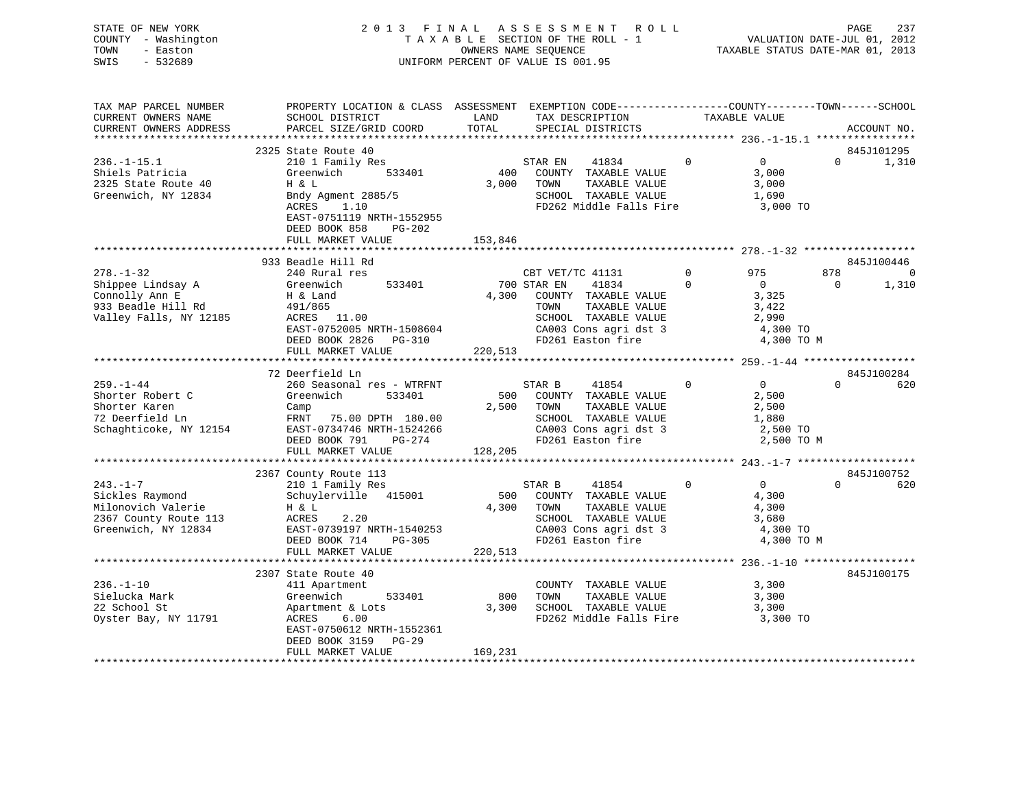| STATE OF NEW YORK   | 2013 FINAL ASSESSMENT ROLL         | 237<br>PAGE                      |  |
|---------------------|------------------------------------|----------------------------------|--|
| COUNTY - Washington | TAXABLE SECTION OF THE ROLL - 1    | VALUATION DATE-JUL 01, 2012      |  |
| TOWN<br>- Easton    | OWNERS NAME SEOUENCE               | TAXABLE STATUS DATE-MAR 01, 2013 |  |
| SWIS<br>- 532689    | UNIFORM PERCENT OF VALUE IS 001.95 |                                  |  |
|                     |                                    |                                  |  |

| TAX MAP PARCEL NUMBER<br>CURRENT OWNERS NAME                                                            | PROPERTY LOCATION & CLASS ASSESSMENT EXEMPTION CODE---------------COUNTY-------TOWN------SCHOOL<br>SCHOOL DISTRICT                                                   | LAND                    | TAX DESCRIPTION                                                                                                                                   | TAXABLE VALUE  |                                                                     |          |             |
|---------------------------------------------------------------------------------------------------------|----------------------------------------------------------------------------------------------------------------------------------------------------------------------|-------------------------|---------------------------------------------------------------------------------------------------------------------------------------------------|----------------|---------------------------------------------------------------------|----------|-------------|
| CURRENT OWNERS ADDRESS                                                                                  | PARCEL SIZE/GRID COORD                                                                                                                                               | TOTAL                   | SPECIAL DISTRICTS                                                                                                                                 |                |                                                                     |          | ACCOUNT NO. |
|                                                                                                         |                                                                                                                                                                      |                         |                                                                                                                                                   |                |                                                                     |          |             |
|                                                                                                         | 2325 State Route 40                                                                                                                                                  |                         |                                                                                                                                                   |                |                                                                     |          | 845J101295  |
| $236. - 1 - 15.1$<br>Shiels Patricia<br>2325 State Route 40<br>Greenwich, NY 12834                      | 210 1 Family Res<br>Greenwich<br>533401<br>H & L<br>Bndy Agment 2885/5<br>ACRES<br>1.10<br>EAST-0751119 NRTH-1552955<br>DEED BOOK 858<br>PG-202<br>FULL MARKET VALUE | 400<br>3,000<br>153,846 | STAR EN<br>41834<br>COUNTY TAXABLE VALUE<br>TAXABLE VALUE<br>TOWN<br>SCHOOL TAXABLE VALUE<br>FD262 Middle Falls Fire                              | $\Omega$       | $\overline{0}$<br>3,000<br>3,000<br>1,690<br>3,000 TO               | $\Omega$ | 1,310       |
|                                                                                                         |                                                                                                                                                                      |                         |                                                                                                                                                   |                |                                                                     |          |             |
|                                                                                                         | 933 Beadle Hill Rd                                                                                                                                                   |                         |                                                                                                                                                   |                |                                                                     |          | 845J100446  |
| $278. - 1 - 32$                                                                                         | 240 Rural res                                                                                                                                                        |                         | CBT VET/TC 41131                                                                                                                                  | $\overline{0}$ | 975                                                                 | 878      | $\Omega$    |
| -<br>Shippee Lindsay A<br>Connolly Ann E<br>933 Beadle Hill Rd<br>Valley Falls, NY 12185                | 533401<br>Greenwich<br>H & Land<br>491/865<br>$ACRES$ 11.00<br>EAST-0752005 NRTH-1508604<br>DEED BOOK 2826 PG-310<br>FIILT. MADEED FOR THE STATE OF 2000             |                         | 700 STAR EN<br>41834<br>4,300 COUNTY TAXABLE VALUE<br>TAXABLE VALUE<br>TOWN<br>SCHOOL TAXABLE VALUE<br>CA003 Cons agri dst 3<br>FD261 Easton fire | $\Omega$       | $\overline{0}$<br>3,325<br>3,422<br>2,990<br>4,300 TO<br>4,300 TO M | $\Omega$ | 1,310       |
|                                                                                                         | FULL MARKET VALUE                                                                                                                                                    | 220,513                 |                                                                                                                                                   |                |                                                                     |          |             |
|                                                                                                         |                                                                                                                                                                      |                         |                                                                                                                                                   |                |                                                                     |          |             |
|                                                                                                         | 72 Deerfield Ln                                                                                                                                                      |                         |                                                                                                                                                   |                |                                                                     |          | 845J100284  |
| $259. - 1 - 44$<br>Shorter Robert C<br>Shorter Karen<br>72 Deerfield Ln<br>Schaghticoke, NY 12154       | 260 Seasonal res - WTRFNT<br>Greenwich<br>533401<br>Camp<br>FRNT 75.00 DPTH 180.00<br>EAST-0734746 NRTH-1524266<br>DEED BOOK 791<br>PG-274                           | 2,500                   | 41854<br>STAR B<br>500 COUNTY TAXABLE VALUE<br>TOWN<br>TAXABLE VALUE<br>SCHOOL TAXABLE VALUE<br>CA003 Cons agri dst 3<br>FD261 Easton fire        | $\Omega$       | 0<br>2,500<br>2,500<br>1,880<br>2,500 TO<br>2,500 TO M              | $\Omega$ | 620         |
|                                                                                                         | FULL MARKET VALUE                                                                                                                                                    | 128,205                 |                                                                                                                                                   |                |                                                                     |          |             |
|                                                                                                         |                                                                                                                                                                      |                         |                                                                                                                                                   |                |                                                                     |          |             |
|                                                                                                         | 2367 County Route 113                                                                                                                                                |                         |                                                                                                                                                   |                |                                                                     |          | 845J100752  |
| $243. - 1 - 7$<br>Sickles Raymond<br>Milonovich Valerie<br>2367 County Route 113<br>Greenwich, NY 12834 | 210 1 Family Res<br>Schuylerville 415001<br>H & L<br>ACRES<br>2.20<br>EAST-0739197 NRTH-1540253<br>PG-305<br>DEED BOOK 714<br>FULL MARKET VALUE                      | 220,513                 | STAR B<br>41854<br>500 COUNTY TAXABLE VALUE<br>4,300 TOWN<br>TAXABLE VALUE<br>SCHOOL TAXABLE VALUE<br>CA003 Cons agri dst 3<br>FD261 Easton fire  | $\overline{0}$ | $\overline{0}$<br>4,300<br>4,300<br>3,680<br>4,300 TO<br>4,300 TO M | $\Omega$ | 620         |
|                                                                                                         |                                                                                                                                                                      |                         |                                                                                                                                                   |                |                                                                     |          |             |
|                                                                                                         | 2307 State Route 40                                                                                                                                                  |                         |                                                                                                                                                   |                |                                                                     |          | 845J100175  |
| $236. - 1 - 10$<br>Sielucka Mark<br>22 School St<br>Oyster Bay, NY 11791                                | 411 Apartment<br>Greenwich<br>533401<br>Apartment & Lots<br>6.00<br>ACRES<br>EAST-0750612 NRTH-1552361<br>DEED BOOK 3159 PG-29                                       | 800<br>3,300            | COUNTY TAXABLE VALUE<br>TOWN<br>TAXABLE VALUE<br>SCHOOL TAXABLE VALUE<br>FD262 Middle Falls Fire                                                  |                | 3,300<br>3,300<br>3,300<br>3,300 TO                                 |          |             |
|                                                                                                         | FULL MARKET VALUE                                                                                                                                                    | 169,231                 |                                                                                                                                                   |                |                                                                     |          |             |
|                                                                                                         |                                                                                                                                                                      |                         |                                                                                                                                                   |                |                                                                     |          |             |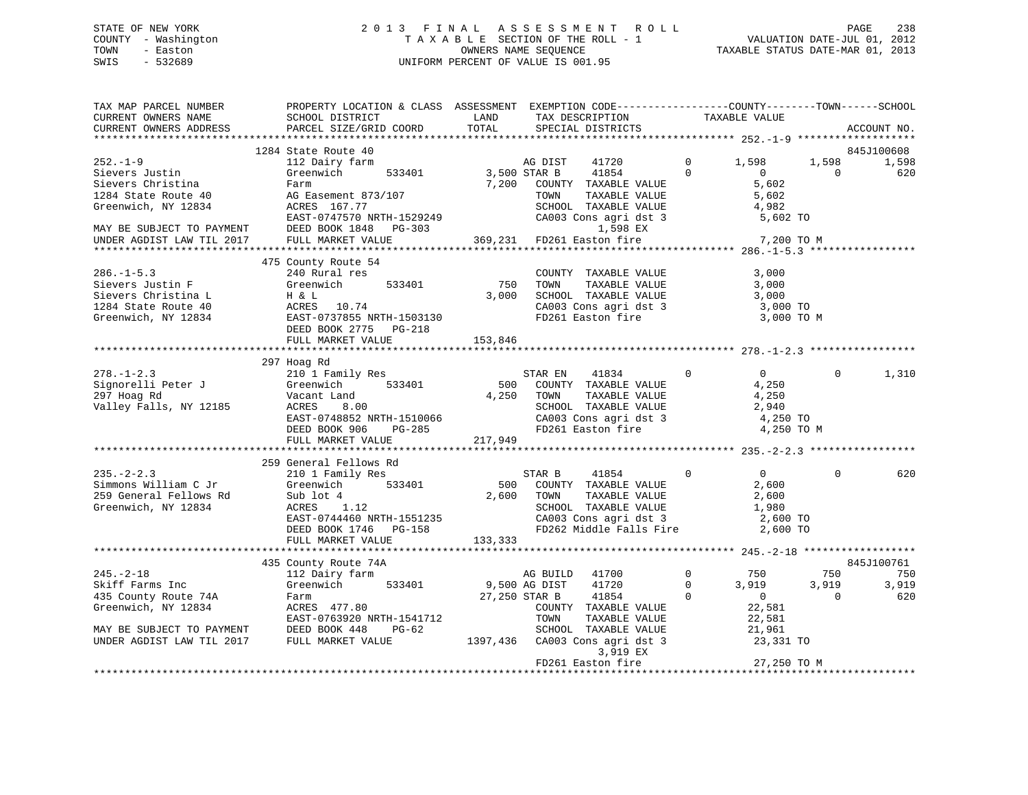# STATE OF NEW YORK 2 0 1 3 F I N A L A S S E S S M E N T R O L L PAGE 238 COUNTY - Washington T A X A B L E SECTION OF THE ROLL - 1 VALUATION DATE-JUL 01, 2012 TOWN - Easton **CONNERS NAME SEQUENCE** TAXABLE STATUS DATE-MAR 01, 2013 SWIS - 532689 UNIFORM PERCENT OF VALUE IS 001.95

| TAX MAP PARCEL NUMBER<br>CURRENT OWNERS NAME<br>CURRENT OWNERS ADDRESS                           | PROPERTY LOCATION & CLASS ASSESSMENT EXEMPTION CODE----------------COUNTY-------TOWN------SCHOOL<br>SCHOOL DISTRICT<br>PARCEL SIZE/GRID COORD | LAND<br>TOTAL                    | TAX DESCRIPTION<br>SPECIAL DISTRICTS                                                               |                         | TAXABLE VALUE                         |                   | ACCOUNT NO.  |
|--------------------------------------------------------------------------------------------------|-----------------------------------------------------------------------------------------------------------------------------------------------|----------------------------------|----------------------------------------------------------------------------------------------------|-------------------------|---------------------------------------|-------------------|--------------|
|                                                                                                  |                                                                                                                                               |                                  |                                                                                                    |                         |                                       |                   |              |
|                                                                                                  | 1284 State Route 40                                                                                                                           |                                  |                                                                                                    |                         |                                       |                   | 845J100608   |
| $252. - 1 - 9$<br>Sievers Justin<br>Sievers Christina                                            | 112 Dairy farm<br>Greenwich 533401<br>Farm                                                                                                    | AG DIST<br>3,500 STAR B<br>7,200 | AG DIST<br>41720<br>41854<br>COUNTY TAXABLE VALUE                                                  | $\mathbf 0$<br>$\Omega$ | 1,598<br>$\overline{0}$<br>5,602      | 1,598<br>$\Omega$ | 1,598<br>620 |
| 1284 State Route 40<br>Greenwich, NY 12834                                                       | AG Easement 873/107<br>ACRES 167.77                                                                                                           |                                  | TOWN<br>TAXABLE VALUE<br>SCHOOL TAXABLE VALUE                                                      |                         | 5,602<br>4,982                        |                   |              |
| MAY BE SUBJECT TO PAYMENT<br>UNDER AGDIST LAW TIL 2017                                           | EAST-0747570 NRTH-1529249<br>DEED BOOK 1848 PG-303<br>FULL MARKET VALUE                                                                       |                                  | CA003 Cons agri dst 3<br>1,598 EX<br>$369,231$ FD261 Easton fire                                   |                         | 5,602 TO<br>7,200 TO M                |                   |              |
|                                                                                                  |                                                                                                                                               |                                  |                                                                                                    |                         |                                       |                   |              |
|                                                                                                  | 475 County Route 54                                                                                                                           |                                  |                                                                                                    |                         |                                       |                   |              |
| $286. -1 - 5.3$<br>Sievers Justin F                                                              | 240 Rural res<br>533401<br>Greenwich                                                                                                          | 750                              | COUNTY TAXABLE VALUE<br>TAXABLE VALUE<br>TOWN                                                      |                         | 3,000<br>3,000                        |                   |              |
| Sievers Christina L<br>1284 State Route 40                                                       | H & L<br>ACRES 10.74                                                                                                                          | 3,000                            | SCHOOL TAXABLE VALUE                                                                               |                         | 3,000<br>3,000 TO                     |                   |              |
| Greenwich, NY 12834                                                                              | ACRES 10:74<br>EAST-0737855 NRTH-1503130<br>DEED BOOK 2775 PG-218<br>FULL MARKET VALUE                                                        | 153,846                          | CA003 Cons agri dst 3<br>FD261 Easton fire                                                         |                         | 3,000 TO M                            |                   |              |
|                                                                                                  |                                                                                                                                               |                                  |                                                                                                    |                         |                                       |                   |              |
|                                                                                                  | 297 Hoag Rd                                                                                                                                   |                                  |                                                                                                    |                         |                                       |                   |              |
| $278. - 1 - 2.3$                                                                                 | 210 1 Family Res<br>533401                                                                                                                    | 500                              | STAR EN<br>41834<br>COUNTY TAXABLE VALUE                                                           | $\Omega$                | $\Omega$<br>4,250                     | $\Omega$          | 1,310        |
| Signorelli Peter J<br>Signorelli Peter J<br>297 Hoag Rd<br>297 Hoag Rd<br>Valley Falls, NY 12185 | <b>ACRES</b><br>8.00                                                                                                                          | 4,250                            | TOWN<br>TAXABLE VALUE<br>SCHOOL TAXABLE VALUE                                                      |                         | 4,250<br>2,940                        |                   |              |
|                                                                                                  | EAST-0748852 NRTH-1510066<br>DEED BOOK 906<br>PG-285                                                                                          |                                  | CA003 Cons agri dst 3<br>FD261 Easton fire                                                         |                         | 4,250 TO<br>4,250 TO M                |                   |              |
|                                                                                                  | FULL MARKET VALUE                                                                                                                             | 217,949                          |                                                                                                    |                         |                                       |                   |              |
|                                                                                                  |                                                                                                                                               |                                  |                                                                                                    |                         |                                       |                   |              |
| $235. - 2 - 2.3$                                                                                 | 259 General Fellows Rd<br>210 1 Family Res                                                                                                    |                                  | 41854<br>STAR B                                                                                    | $\overline{0}$          | $\overline{0}$                        | $\Omega$          | 620          |
| Simmons William C Jr<br>259 General Fellows Rd<br>Greenwich, NY 12834                            | 533401<br>Greenwich<br>Sub lot 4<br>ACRES 1.12<br>EAST-0744460 NRTH-1551235                                                                   | 2,600                            | 500 COUNTY TAXABLE VALUE<br>TOWN<br>TAXABLE VALUE<br>SCHOOL TAXABLE VALUE<br>CA003 Cons agri dst 3 |                         | 2,600<br>2,600<br>1,980<br>$2,600$ TO |                   |              |
|                                                                                                  | DEED BOOK 1746 PG-158<br>FULL MARKET VALUE                                                                                                    | 133,333                          | FD262 Middle Falls Fire                                                                            |                         | 2,600 TO                              |                   |              |
|                                                                                                  |                                                                                                                                               |                                  |                                                                                                    |                         |                                       |                   |              |
|                                                                                                  | 435 County Route 74A                                                                                                                          |                                  |                                                                                                    |                         |                                       |                   | 845J100761   |
| $245. - 2 - 18$                                                                                  | 112 Dairy farm                                                                                                                                |                                  | AG BUILD 41700                                                                                     | $\mathbf 0$             | 750                                   | 750               | 750          |
| Skiff Farms Inc                                                                                  | Greenwich 533401                                                                                                                              | 9,500 AG DIST                    | 41720                                                                                              | $\mathbf 0$             | 3,919                                 | 3,919             | 3,919        |
| 435 County Route 74A<br>Greenwich, NY 12834                                                      | Farm<br>ACRES 477.80                                                                                                                          |                                  | 27,250 STAR B<br>41854<br>COUNTY TAXABLE VALUE                                                     | $\Omega$                | $\overline{0}$<br>22,581              | $\Omega$          | 620          |
|                                                                                                  | EAST-0763920 NRTH-1541712                                                                                                                     |                                  | TOWN<br>TAXABLE VALUE                                                                              |                         | 22,581                                |                   |              |
| MAY BE SUBJECT TO PAYMENT<br>UNDER AGDIST LAW TIL 2017                                           | DEED BOOK 448<br>$PG-62$<br>FULL MARKET VALUE                                                                                                 |                                  | SCHOOL TAXABLE VALUE<br>1397,436 CA003 Cons agri dst 3                                             |                         | 21,961<br>23,331 TO                   |                   |              |
|                                                                                                  |                                                                                                                                               |                                  | 3,919 EX<br>FD261 Easton fire                                                                      |                         | 27,250 TO M                           |                   |              |
|                                                                                                  |                                                                                                                                               |                                  |                                                                                                    |                         |                                       |                   |              |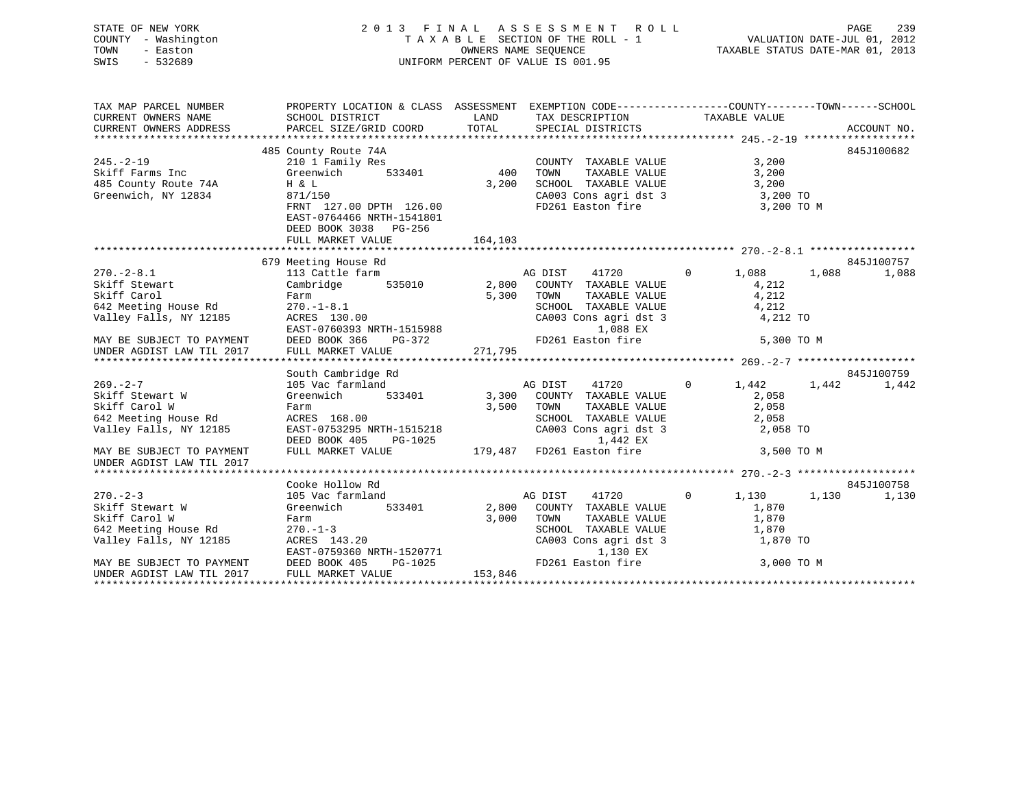# STATE OF NEW YORK 2 0 1 3 F I N A L A S S E S S M E N T R O L L PAGE 239 COUNTY - Washington T A X A B L E SECTION OF THE ROLL - 1 VALUATION DATE-JUL 01, 2012 TOWN - Easton OWNERS NAME SEQUENCE TAXABLE STATUS DATE-MAR 01, 2013 SWIS - 532689 UNIFORM PERCENT OF VALUE IS 001.95

| TAX MAP PARCEL NUMBER                                                                    | PROPERTY LOCATION & CLASS ASSESSMENT EXEMPTION CODE---------------COUNTY-------TOWN-----SCHOOL                      |             |                                                              |                      |                |
|------------------------------------------------------------------------------------------|---------------------------------------------------------------------------------------------------------------------|-------------|--------------------------------------------------------------|----------------------|----------------|
| CURRENT OWNERS NAME                                                                      | SCHOOL DISTRICT                                                                                                     | <b>LAND</b> | TAX DESCRIPTION TAXABLE VALUE                                |                      |                |
| CURRENT OWNERS ADDRESS                                                                   | PARCEL SIZE/GRID COORD                                                                                              | TOTAL       | SPECIAL DISTRICTS                                            |                      | ACCOUNT NO.    |
|                                                                                          |                                                                                                                     |             |                                                              |                      |                |
|                                                                                          | 485 County Route 74A                                                                                                |             |                                                              |                      | 845J100682     |
| $245. - 2 - 19$                                                                          | 210 1 Family Res                                                                                                    |             | COUNTY TAXABLE VALUE                                         | 3,200                |                |
| Skiff Farms Inc                                                                          | 533401 400<br>Greenwich                                                                                             |             | TAXABLE VALUE<br>TOWN                                        | 3,200                |                |
| 485 County Route 74A<br>Greenwich, NY 12834                                              | $H \& L$                                                                                                            | 3,200       | SCHOOL TAXABLE VALUE 3,200<br>CA003 Cons agri dst 3 3,200 TO |                      |                |
|                                                                                          | 871/150                                                                                                             |             |                                                              |                      |                |
|                                                                                          | FRNT 127.00 DPTH 126.00                                                                                             |             | FD261 Easton fire 3,200 TO M                                 |                      |                |
|                                                                                          | EAST-0764466 NRTH-1541801                                                                                           |             |                                                              |                      |                |
|                                                                                          | DEED BOOK 3038 PG-256                                                                                               |             |                                                              |                      |                |
|                                                                                          | FULL MARKET VALUE                                                                                                   | 164,103     |                                                              |                      |                |
|                                                                                          |                                                                                                                     |             |                                                              |                      |                |
|                                                                                          | 679 Meeting House Rd                                                                                                |             |                                                              |                      | 845J100757     |
| $270. - 2 - 8.1$                                                                         | meeting nouse Ru<br>113 Cattle farm                                                                                 |             | AG DIST 41720 0 1,088 1,088                                  |                      | 1,088          |
| Skiff Stewart                                                                            | Cambridge 535010 2,800 COUNTY TAXABLE VALUE                                                                         |             |                                                              | 4,212                |                |
|                                                                                          | Farm                                                                                                                |             | 5,300 TOWN                                                   | TAXABLE VALUE 4, 212 |                |
| Skiff Carol<br>642 Meeting House Rd<br>Valley Falls, NY 12185                            | $-1 - 8.1$<br>3 130.00<br>$270. - 1 - 8.1$                                                                          |             | SCHOOL TAXABLE VALUE 4,212<br>CA003 Cons agri dst 3 4,212 TO |                      |                |
|                                                                                          | ACRES 130.00                                                                                                        |             |                                                              |                      |                |
|                                                                                          | EAST-0760393 NRTH-1515988<br>DEED BOOK 366 PG-372<br>FULL MARKET VALUE 271,795                                      |             | 1,088 EX                                                     |                      |                |
|                                                                                          |                                                                                                                     |             |                                                              |                      |                |
|                                                                                          |                                                                                                                     |             |                                                              |                      |                |
|                                                                                          |                                                                                                                     |             |                                                              |                      |                |
|                                                                                          | South Cambridge Rd                                                                                                  |             |                                                              |                      | 845J100759     |
| $269. - 2 - 7$                                                                           | 105 Vac farmland                                                                                                    |             | AG DIST 41720                                                | $0 \t 1,442$         | 1,442<br>1,442 |
| Skiff Stewart W                                                                          | Greenwich                                                                                                           |             | 533401 3,300 COUNTY TAXABLE VALUE                            | 2,058                |                |
| Skiff Carol W                                                                            | Farm                                                                                                                | 3,500       | TOWN<br>TAXABLE VALUE                                        | 2,058                |                |
|                                                                                          | 642 Meeting House Rd                 ACRES  168.00<br>Valley Falls, NY 12185              EAST-0753295 NRTH-1515218 |             | SCHOOL TAXABLE VALUE 2,058<br>CA003 Cons agri dst 3 2,058    |                      |                |
|                                                                                          |                                                                                                                     |             |                                                              | 2,058 TO             |                |
|                                                                                          | PG-1025<br>DEED BOOK 405                                                                                            |             | 1,442 EX                                                     |                      |                |
| MAY BE SUBJECT TO PAYMENT                                                                | FULL MARKET VALUE                                                                                                   |             | 179,487 FD261 Easton fire                                    | 3,500 TO M           |                |
| UNDER AGDIST LAW TIL 2017                                                                |                                                                                                                     |             |                                                              |                      |                |
|                                                                                          | Cooke Hollow Rd                                                                                                     |             |                                                              |                      | 845J100758     |
| $270 - 2 - 3$                                                                            | 105 Vac farmland                                                                                                    |             | AG DIST 41720                                                | 0 $1,130$ $1,130$    |                |
| Skiff Stewart W                                                                          | 533401<br>Greenwich                                                                                                 |             | 2,800 COUNTY TAXABLE VALUE                                   | 1,870                | 1,130          |
| Skiff Carol W                                                                            |                                                                                                                     | 3,000       | TAXABLE VALUE<br>TOWN                                        | 1,870                |                |
|                                                                                          | Farm<br>$\cdot$ . 20                                                                                                |             |                                                              |                      |                |
|                                                                                          | ACRES 143.20                                                                                                        |             | SCHOOL TAXABLE VALUE 1,870                                   | 1,870 TO             |                |
| SALL To The House Rd<br>542 Meeting House Rd<br>14 Malley Falls, NY 12185<br>20050 PACES |                                                                                                                     |             | CA003 Cons agri dst 3<br>1,130 EX                            |                      |                |
| MAY BE SUBJECT TO PAYMENT                                                                | EAST-0759360 NRTH-1520771<br>DEED BOOK 405 PG-1025<br>FIILL MAPKET WALLER                                           |             | FD261 Easton fire 3,000 TO M                                 |                      |                |
| UNDER AGDIST LAW TIL 2017                                                                | FULL MARKET VALUE                                                                                                   | 153,846     |                                                              |                      |                |
|                                                                                          |                                                                                                                     |             |                                                              |                      |                |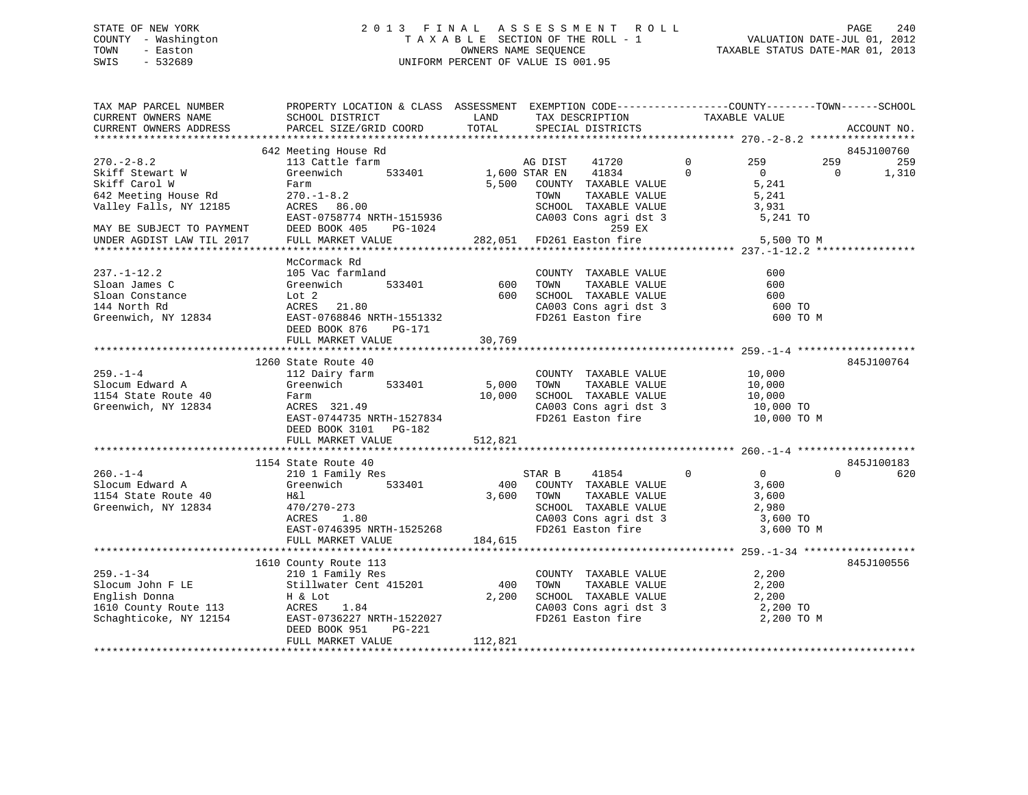# STATE OF NEW YORK 2 0 1 3 F I N A L A S S E S S M E N T R O L L PAGE 240 COUNTY - Washington T A X A B L E SECTION OF THE ROLL - 1 VALUATION DATE-JUL 01, 2012 TOWN - Easton OWNERS NAME SEQUENCE TAXABLE STATUS DATE-MAR 01, 2013 SWIS - 532689 UNIFORM PERCENT OF VALUE IS 001.95

| TAX MAP PARCEL NUMBER<br>CURRENT OWNERS NAME<br>CURRENT OWNERS ADDRESS                                  | PROPERTY LOCATION & CLASS ASSESSMENT EXEMPTION CODE---------------COUNTY-------TOWN-----SCHOOL<br>SCHOOL DISTRICT<br>PARCEL SIZE/GRID COORD                       | LAND<br>TOTAL        | TAX DESCRIPTION<br>SPECIAL DISTRICTS                                                                                                             | TAXABLE VALUE                                                                         |                 | ACCOUNT NO.                |
|---------------------------------------------------------------------------------------------------------|-------------------------------------------------------------------------------------------------------------------------------------------------------------------|----------------------|--------------------------------------------------------------------------------------------------------------------------------------------------|---------------------------------------------------------------------------------------|-----------------|----------------------------|
|                                                                                                         |                                                                                                                                                                   |                      |                                                                                                                                                  |                                                                                       |                 |                            |
| $270. - 2 - 8.2$<br>Skiff Stewart W<br>Skiff Carol W<br>642 Meeting House Rd<br>Valley Falls, NY 12185  | 642 Meeting House Rd<br>113 Cattle farm<br>Greenwich<br>533401<br>Farm<br>$270. - 1 - 8.2$<br>$ACRES$ 86.00                                                       | 1,600 STAR EN        | AG DIST<br>41720<br>41834<br>5,500 COUNTY TAXABLE VALUE<br>TAXABLE VALUE<br>TOWN<br>SCHOOL TAXABLE VALUE                                         | $\mathbf{0}$<br>259<br>$\Omega$<br>$\overline{0}$<br>5,241<br>5,241<br>3,931          | 259<br>$\Omega$ | 845J100760<br>259<br>1,310 |
| MAY BE SUBJECT TO PAYMENT<br>UNDER AGDIST LAW TIL 2017                                                  | EAST-0758774 NRTH-1515936<br>DEED BOOK 405 PG-1024<br>FULL MARKET VALUE                                                                                           |                      | CA003 Cons agri dst 3<br>259 EX<br>282,051 FD261 Easton fire                                                                                     | 5,241 TO<br>5,500 TO M                                                                |                 |                            |
| $237. - 1 - 12.2$<br>Sloan James C<br>Sloan Constance<br>144 North Rd<br>Greenwich, NY 12834            | McCormack Rd<br>105 Vac farmland<br>Greenwich<br>533401<br>Lot 2<br>ACRES 21.80<br>EAST-0768846 NRTH-1551332<br>DEED BOOK 876<br>PG-171<br>FULL MARKET VALUE      | 600<br>600<br>30,769 | COUNTY TAXABLE VALUE<br>TOWN<br>TAXABLE VALUE<br>SCHOOL TAXABLE VALUE<br>CA003 Cons agri dst 3<br>FD261 Easton fire                              | 600<br>600<br>600<br>600 TO<br>600 TO M                                               |                 |                            |
|                                                                                                         | 1260 State Route 40                                                                                                                                               |                      |                                                                                                                                                  |                                                                                       |                 | 845J100764                 |
| $259. - 1 - 4$<br>Slocum Edward A<br>1154 State Route 40<br>Greenwich, NY 12834                         | 112 Dairy farm<br>533401<br>Greenwich<br>Farm<br>ACRES 321.49<br>EAST-0744735 NRTH-1527834<br>DEED BOOK 3101 PG-182                                               | 5,000<br>10,000      | COUNTY TAXABLE VALUE<br>TAXABLE VALUE<br>TOWN<br>SCHOOL TAXABLE VALUE<br>CA003 Cons agri dst 3<br>FD261 Easton fire                              | 10,000<br>10,000<br>10,000<br>10,000 TO<br>10,000 TO M                                |                 |                            |
|                                                                                                         | FULL MARKET VALUE                                                                                                                                                 | 512,821              |                                                                                                                                                  |                                                                                       |                 |                            |
|                                                                                                         | 1154 State Route 40                                                                                                                                               |                      |                                                                                                                                                  |                                                                                       |                 | 845J100183                 |
| $260. - 1 - 4$<br>Slocum Edward A<br>1154 State Route 40<br>Greenwich, NY 12834                         | 210 1 Family Res<br>533401<br>Greenwich<br>H&l<br>470/270-273<br>1.80<br>ACRES<br>EAST-0746395 NRTH-1525268<br>FULL MARKET VALUE                                  | 184,615              | 41854<br>STAR B<br>400 COUNTY TAXABLE VALUE<br>3,600 TOWN<br>TAXABLE VALUE<br>SCHOOL TAXABLE VALUE<br>CA003 Cons agri dst 3<br>FD261 Easton fire | $\overline{0}$<br>$\overline{0}$<br>3,600<br>3,600<br>2,980<br>3,600 TO<br>3,600 TO M | $\Omega$        | 620                        |
|                                                                                                         |                                                                                                                                                                   |                      |                                                                                                                                                  |                                                                                       |                 |                            |
| $259. - 1 - 34$<br>Slocum John F LE<br>English Donna<br>1610 County Route 113<br>Schaghticoke, NY 12154 | 1610 County Route 113<br>210 l <sup>T</sup> Family Res<br>Stillwater Cent 415201<br>H & Lot<br>ACRES 1.84<br>EAST-0736227 NRTH-1522027<br>DEED BOOK 951<br>PG-221 | 400<br>2,200         | COUNTY TAXABLE VALUE<br>TOWN<br>TAXABLE VALUE<br>SCHOOL TAXABLE VALUE<br>CA003 Cons agri dst 3<br>FD261 Easton fire                              | 2,200<br>2,200<br>2,200<br>2,200 TO<br>2,200 TO M                                     |                 | 845J100556                 |
|                                                                                                         | FULL MARKET VALUE                                                                                                                                                 | 112,821              |                                                                                                                                                  |                                                                                       |                 |                            |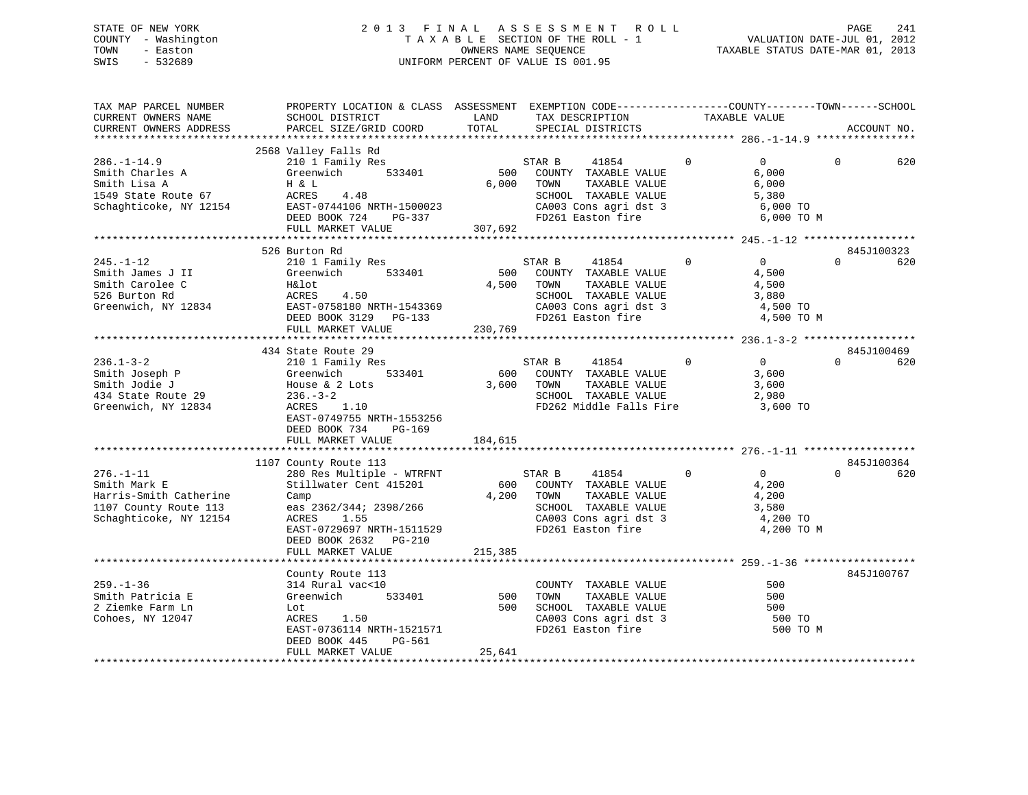# STATE OF NEW YORK 2 0 1 3 F I N A L A S S E S S M E N T R O L L PAGE 241 COUNTY - Washington T A X A B L E SECTION OF THE ROLL - 1 VALUATION DATE-JUL 01, 2012 TOWN - Easton OWNERS NAME SEQUENCE TAXABLE STATUS DATE-MAR 01, 2013 SWIS - 532689 UNIFORM PERCENT OF VALUE IS 001.95

| TAX MAP PARCEL NUMBER<br>CURRENT OWNERS NAME<br>CURRENT OWNERS ADDRESS                                                          | PROPERTY LOCATION & CLASS ASSESSMENT EXEMPTION CODE---------------COUNTY-------TOWN------SCHOOL<br>SCHOOL DISTRICT<br>PARCEL SIZE/GRID COORD                                                               | LAND<br>TOTAL           | TAX DESCRIPTION<br>SPECIAL DISTRICTS                                                                                                             | TAXABLE VALUE                                                                         |          | ACCOUNT NO.       |
|---------------------------------------------------------------------------------------------------------------------------------|------------------------------------------------------------------------------------------------------------------------------------------------------------------------------------------------------------|-------------------------|--------------------------------------------------------------------------------------------------------------------------------------------------|---------------------------------------------------------------------------------------|----------|-------------------|
|                                                                                                                                 |                                                                                                                                                                                                            |                         |                                                                                                                                                  |                                                                                       |          |                   |
| $286. - 1 - 14.9$<br>Smith Charles A<br>Smith Lisa A<br>1549 State Route 67<br>Schaghticoke, NY 12154 EAST-0744106 NRTH-1500023 | 2568 Valley Falls Rd<br>210 1 Family Res<br>533401<br>Greenwich<br>Η & L<br>ACRES<br>4.48<br>DEED BOOK 724 PG-337<br>FULL MARKET VALUE                                                                     | 307,692                 | STAR B<br>41854<br>500 COUNTY TAXABLE VALUE<br>6,000 TOWN<br>TAXABLE VALUE<br>SCHOOL TAXABLE VALUE<br>CA003 Cons agri dst 3<br>FD261 Easton fire | $\Omega$<br>$\overline{0}$<br>6,000<br>6,000<br>5,380<br>6,000 TO<br>6,000 TO M       | $\Omega$ | 620               |
|                                                                                                                                 |                                                                                                                                                                                                            |                         |                                                                                                                                                  |                                                                                       |          |                   |
| $245. - 1 - 12$<br>Smith James J II<br>Smith Carolee C<br>526 Burton Rd<br>Greenwich, NY 12834                                  | 526 Burton Rd<br>210 1 Family Res<br>Greenwich<br>533401<br>H&lot<br>ACRES<br>4.50<br>EAST-0758180 NRTH-1543369<br>DEED BOOK 3129 PG-133<br>FULL MARKET VALUE                                              | 500<br>4,500<br>230,769 | 41854<br>STAR B<br>COUNTY TAXABLE VALUE<br>TAXABLE VALUE<br>TOWN<br>SCHOOL TAXABLE VALUE<br>CA003 Cons agri dst 3<br>FD261 Easton fire           | $\Omega$<br>$\Omega$<br>4,500<br>4,500<br>3,880<br>4,500 TO<br>4,500 TO M             | $\Omega$ | 845J100323<br>620 |
|                                                                                                                                 |                                                                                                                                                                                                            |                         |                                                                                                                                                  |                                                                                       |          | 845J100469        |
| $236.1 - 3 - 2$<br>Smith Joseph P<br>Smith Jodie J<br>434 State Route 29<br>Greenwich, NY 12834                                 | 434 State Route 29<br>210 1 Family Res<br>Greenwich<br>533401<br>House & 2 Lots<br>$236. - 3 - 2$<br>ACRES 1.10<br>EAST-0749755 NRTH-1553256<br>DEED BOOK 734<br>PG-169                                    |                         | $\overline{0}$<br>STAR B<br>41854<br>600 COUNTY TAXABLE VALUE<br>3,600 TOWN<br>TAXABLE VALUE<br>SCHOOL TAXABLE VALUE<br>FD262 Middle Falls Fire  | $\Omega$<br>3,600<br>3,600<br>2,980<br>3,600 TO                                       | $\Omega$ | 620               |
|                                                                                                                                 | FULL MARKET VALUE                                                                                                                                                                                          | 184,615                 |                                                                                                                                                  |                                                                                       |          |                   |
|                                                                                                                                 |                                                                                                                                                                                                            |                         |                                                                                                                                                  |                                                                                       |          |                   |
| $276. - 1 - 11$<br>Smith Mark E<br>Harris-Smith Catherine<br>1107 County Route 113<br>Schaghticoke, NY 12154                    | 1107 County Route 113<br>280 Res Multiple - WTRFNT<br>Stillwater Cent 415201<br>Camp<br>eas 2362/344; 2398/266<br>ACRES<br>1.55<br>EAST-0729697 NRTH-1511529<br>DEED BOOK 2632 PG-210<br>FULL MARKET VALUE | 215,385                 | STAR B<br>41854<br>600 COUNTY TAXABLE VALUE<br>4,200 TOWN<br>TAXABLE VALUE<br>SCHOOL TAXABLE VALUE<br>CA003 Cons agri dst 3<br>FD261 Easton fire | $\overline{0}$<br>$\overline{0}$<br>4,200<br>4,200<br>3,580<br>4,200 TO<br>4,200 TO M | $\Omega$ | 845J100364<br>620 |
|                                                                                                                                 |                                                                                                                                                                                                            |                         |                                                                                                                                                  |                                                                                       |          |                   |
| $259. - 1 - 36$<br>Smith Patricia E<br>2 Ziemke Farm Ln<br>Cohoes, NY 12047                                                     | County Route 113<br>314 Rural vac<10<br>Greenwich<br>533401<br>Lot<br>ACRES 1.50<br>EAST-0736114 NRTH-1521571<br>DEED BOOK 445<br>PG-561                                                                   | 500                     | COUNTY TAXABLE VALUE<br>TOWN<br>TAXABLE VALUE<br>500 SCHOOL TAXABLE VALUE<br>CA003 Cons agri dst 3<br>FD261 Easton fire                          | 500<br>500<br>500<br>500 TO<br>500 TO M                                               |          | 845J100767        |
|                                                                                                                                 | FULL MARKET VALUE                                                                                                                                                                                          | 25,641                  |                                                                                                                                                  |                                                                                       |          |                   |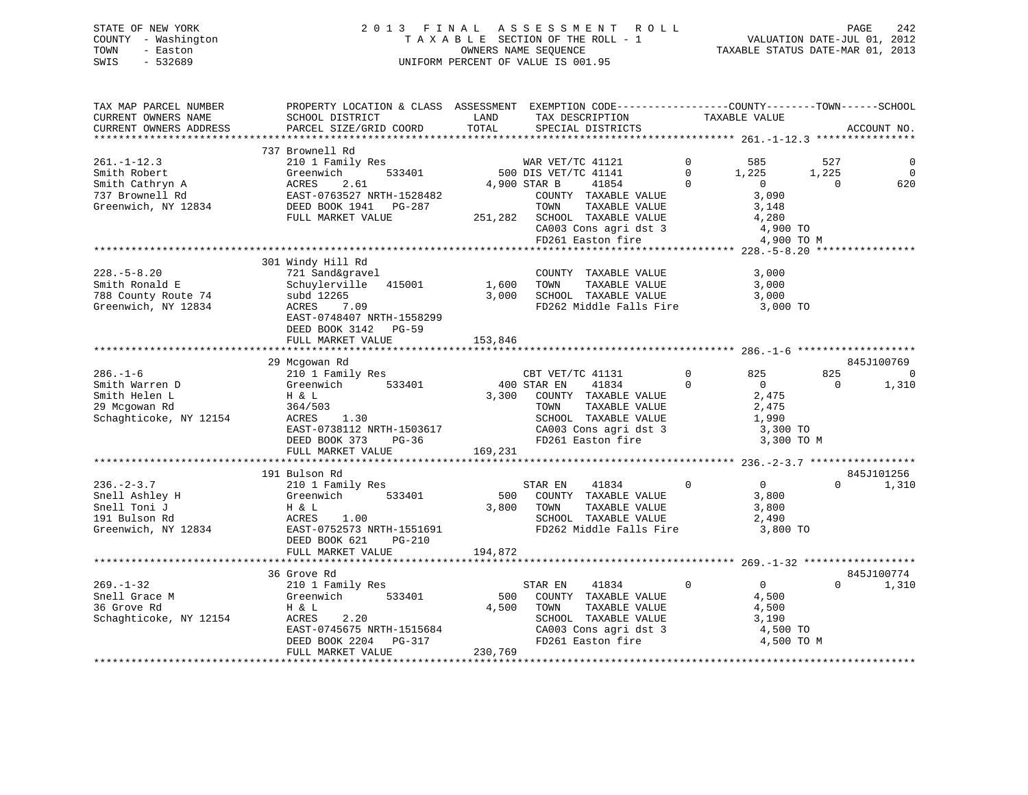# STATE OF NEW YORK 2 0 1 3 F I N A L A S S E S S M E N T R O L L PAGE 242 COUNTY - Washington T A X A B L E SECTION OF THE ROLL - 1 VALUATION DATE-JUL 01, 2012 TOWN - Easton **CONNERS NAME SEQUENCE** TAXABLE STATUS DATE-MAR 01, 2013 SWIS - 532689 UNIFORM PERCENT OF VALUE IS 001.95

| TAX MAP PARCEL NUMBER<br>CURRENT OWNERS NAME<br>CURRENT OWNERS ADDRESS                         | PROPERTY LOCATION & CLASS ASSESSMENT EXEMPTION CODE---------------COUNTY-------TOWN-----SCHOOL<br>SCHOOL DISTRICT<br>PARCEL SIZE/GRID COORD                                   | LAND<br>TOTAL             | TAX DESCRIPTION<br>SPECIAL DISTRICTS                                                                                                                                                     | TAXABLE VALUE                                                   | ACCOUNT NO.                                                                                              |
|------------------------------------------------------------------------------------------------|-------------------------------------------------------------------------------------------------------------------------------------------------------------------------------|---------------------------|------------------------------------------------------------------------------------------------------------------------------------------------------------------------------------------|-----------------------------------------------------------------|----------------------------------------------------------------------------------------------------------|
|                                                                                                |                                                                                                                                                                               |                           |                                                                                                                                                                                          |                                                                 |                                                                                                          |
| $261. - 1 - 12.3$<br>Smith Robert<br>Smith Cathryn A<br>737 Brownell Rd<br>Greenwich, NY 12834 | 737 Brownell Rd<br>210 1 Family Res<br>533401<br>Greenwich<br>2.61<br>ACRES<br>EAST-0763527 NRTH-1528482<br>DEED BOOK 1941    PG-287<br>FULL MARKET VALUE                     | 251,282                   | WAR VET/TC 41121<br>500 DIS VET/TC 41141<br>4,900 STAR B<br>41854<br>COUNTY TAXABLE VALUE<br>TOWN<br>TAXABLE VALUE<br>SCHOOL TAXABLE VALUE<br>CA003 Cons agri dst 3<br>FD261 Easton fire | $\Omega$<br>585<br>$\mathbf 0$<br>1,225<br>$\Omega$<br>$\Omega$ | 527<br>0<br>$\mathbf 0$<br>1,225<br>620<br>$\Omega$<br>3,090<br>3,148<br>4,280<br>4,900 TO<br>4,900 TO M |
|                                                                                                |                                                                                                                                                                               |                           |                                                                                                                                                                                          |                                                                 |                                                                                                          |
| $228. - 5 - 8.20$<br>Smith Ronald E<br>788 County Route 74<br>Greenwich, NY 12834              | 301 Windy Hill Rd<br>721 Sand&gravel<br>Schuylerville<br>415001<br>subd 12265<br>ACRES<br>7.09<br>EAST-0748407 NRTH-1558299<br>DEED BOOK 3142<br>$PG-59$<br>FULL MARKET VALUE | 1,600<br>3,000<br>153,846 | COUNTY TAXABLE VALUE<br>TAXABLE VALUE<br>TOWN<br>SCHOOL TAXABLE VALUE<br>FD262 Middle Falls Fire                                                                                         |                                                                 | 3,000<br>3,000<br>3,000<br>3,000 TO                                                                      |
|                                                                                                |                                                                                                                                                                               |                           |                                                                                                                                                                                          |                                                                 |                                                                                                          |
| $286. - 1 - 6$<br>Smith Warren D<br>Smith Helen L<br>29 Mcgowan Rd<br>Schaghticoke, NY 12154   | 29 Mcgowan Rd<br>210 1 Family Res<br>Greenwich<br>533401<br>H & L<br>364/503<br>ACRES<br>1.30<br>EAST-0738112 NRTH-1503617<br>DEED BOOK 373<br>$PG-36$<br>FULL MARKET VALUE   | 3,300<br>169,231          | CBT VET/TC 41131<br>41834<br>400 STAR EN<br>COUNTY TAXABLE VALUE<br>TOWN<br>TAXABLE VALUE<br>SCHOOL TAXABLE VALUE<br>SCHOOD Income<br>CA003 Cons agri dst 3<br>The Faston fire           | $\Omega$<br>825<br>$\Omega$<br>$\overline{0}$                   | 845J100769<br>825<br>0<br>1,310<br>0<br>2,475<br>2,475<br>1,990<br>3,300 TO<br>3,300 TO M                |
|                                                                                                |                                                                                                                                                                               |                           |                                                                                                                                                                                          |                                                                 |                                                                                                          |
| $236. - 2 - 3.7$<br>Snell Ashley H<br>Snell Toni J<br>191 Bulson Rd<br>Greenwich, NY 12834     | 191 Bulson Rd<br>210 1 Family Res<br>533401<br>Greenwich<br>H & L<br>ACRES<br>1.00<br>EAST-0752573 NRTH-1551691<br>DEED BOOK 621<br>$PG-210$<br>FULL MARKET VALUE             | 500<br>3,800<br>194,872   | STAR EN<br>41834<br>COUNTY TAXABLE VALUE<br>TOWN<br>TAXABLE VALUE<br>SCHOOL TAXABLE VALUE<br>FD262 Middle Falls Fire                                                                     | $\mathbf 0$                                                     | 845J101256<br>$\overline{0}$<br>$\Omega$<br>1,310<br>3,800<br>3,800<br>2,490<br>3,800 TO                 |
|                                                                                                |                                                                                                                                                                               |                           |                                                                                                                                                                                          |                                                                 |                                                                                                          |
| $269. - 1 - 32$<br>Snell Grace M<br>36 Grove Rd<br>Schaghticoke, NY 12154                      | 36 Grove Rd<br>210 1 Family Res<br>533401<br>Greenwich<br>H & L<br>ACRES<br>2.20<br>EAST-0745675 NRTH-1515684<br>DEED BOOK 2204<br>PG-317<br>FULL MARKET VALUE                | 500<br>4,500<br>230,769   | 41834<br>STAR EN<br>COUNTY TAXABLE VALUE<br>TOWN<br>TAXABLE VALUE<br>SCHOOL TAXABLE VALUE<br>CA003 Cons agri dst 3<br>FD261 Easton fire                                                  | $\Omega$                                                        | 845J100774<br>0<br>$\Omega$<br>1,310<br>4,500<br>4,500<br>3,190<br>4,500 TO<br>4,500 TO M                |
|                                                                                                |                                                                                                                                                                               |                           |                                                                                                                                                                                          |                                                                 |                                                                                                          |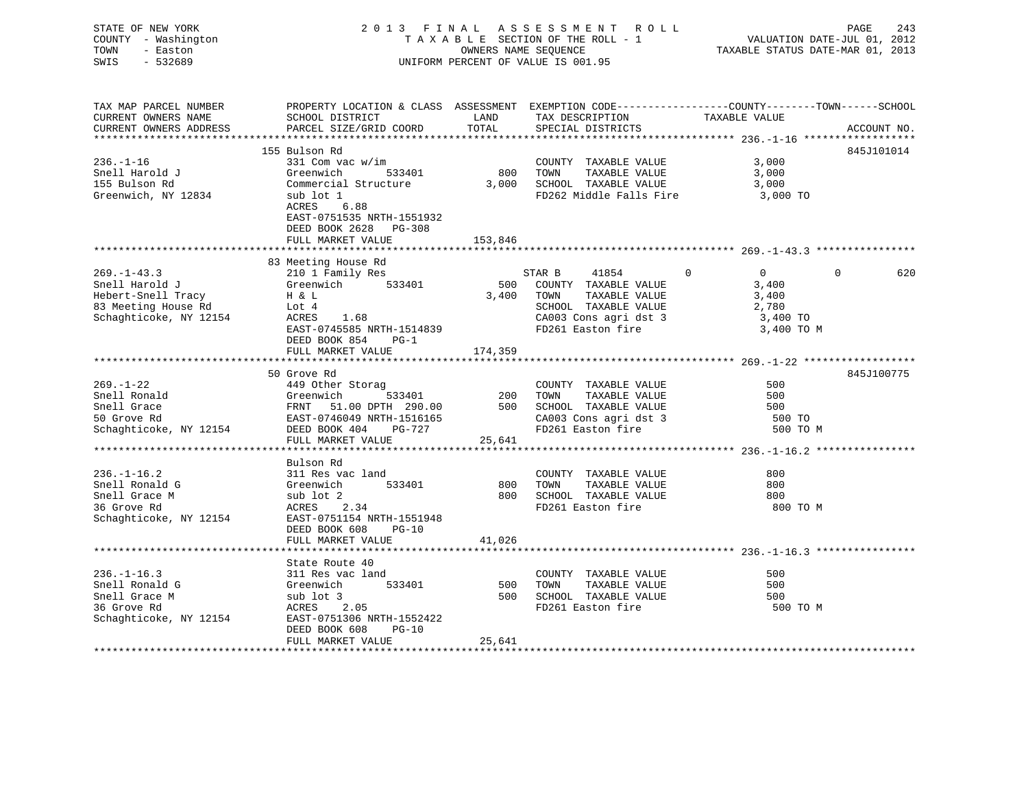| STATE OF NEW YORK<br>COUNTY - Washington<br>- Easton<br>TOWN<br>$-532689$<br>SWIS                                                                                                                                              |                                                                                                                                               | OWNERS NAME SEQUENCE | 2013 FINAL ASSESSMENT ROLL<br>TAXABLE SECTION OF THE ROLL - 1<br>UNIFORM PERCENT OF VALUE IS 001.95 | PAGE 243<br>VALUATION DATE-JUL 01, 2012<br>TAXABLE STATUS DATE-MAR 01, 2013 |             |
|--------------------------------------------------------------------------------------------------------------------------------------------------------------------------------------------------------------------------------|-----------------------------------------------------------------------------------------------------------------------------------------------|----------------------|-----------------------------------------------------------------------------------------------------|-----------------------------------------------------------------------------|-------------|
| TAX MAP PARCEL NUMBER<br>CURRENT OWNERS NAME                                                                                                                                                                                   | PROPERTY LOCATION & CLASS ASSESSMENT EXEMPTION CODE---------------COUNTY-------TOWN------SCHOOL<br>SCHOOL DISTRICT                            | LAND                 | TAX DESCRIPTION TAXABLE VALUE                                                                       |                                                                             |             |
| CURRENT OWNERS ADDRESS                                                                                                                                                                                                         | PARCEL SIZE/GRID COORD                                                                                                                        | TOTAL                | SPECIAL DISTRICTS                                                                                   |                                                                             | ACCOUNT NO. |
|                                                                                                                                                                                                                                |                                                                                                                                               |                      |                                                                                                     |                                                                             |             |
|                                                                                                                                                                                                                                | 155 Bulson Rd                                                                                                                                 |                      |                                                                                                     |                                                                             | 845J101014  |
| $236. - 1 - 16$                                                                                                                                                                                                                | 331 Com vac w/im                                                                                                                              |                      | COUNTY TAXABLE VALUE                                                                                | 3,000                                                                       |             |
| Snell Harold J                                                                                                                                                                                                                 | Greenwich 533401                                                                                                                              | 800 TOWN             | TAXABLE VALUE                                                                                       | 3,000                                                                       |             |
| 155 Bulson Rd<br>Greenwich, NY 12834                                                                                                                                                                                           | Commercial Structure 3,000 SCHOOL TAXABLE VALUE<br>sub lot 1<br>ACRES 6.88<br>EAST-0751535 NRTH-1551932                                       |                      | FD262 Middle Falls Fire                                                                             | 3,000<br>3,000 TO                                                           |             |
|                                                                                                                                                                                                                                | DEED BOOK 2628 PG-308                                                                                                                         |                      |                                                                                                     |                                                                             |             |
|                                                                                                                                                                                                                                | FULL MARKET VALUE                                                                                                                             | 153,846              |                                                                                                     |                                                                             |             |
|                                                                                                                                                                                                                                |                                                                                                                                               |                      |                                                                                                     |                                                                             |             |
|                                                                                                                                                                                                                                | 83 Meeting House Rd                                                                                                                           |                      |                                                                                                     |                                                                             |             |
| $269. - 1 - 43.3$                                                                                                                                                                                                              | 210 1 Family Res                                                                                                                              |                      | STAR B 41854<br>$\mathbf 0$                                                                         | $\overline{0}$                                                              | 620<br>0    |
| Snell Harold J                                                                                                                                                                                                                 | Greenwich 533401                                                                                                                              |                      | 500 COUNTY TAXABLE VALUE                                                                            | 3,400                                                                       |             |
|                                                                                                                                                                                                                                |                                                                                                                                               |                      | 3,400 TOWN TAXABLE VALUE                                                                            | 3,400                                                                       |             |
| Separat Harbora Hard Harbora Harbora Harbora Harbora Harbora Harbora Harbora Harbora Harbora Harbora Harbora Harbora Harbora Harbora Harbora Harbora Harbora Harbora Harbora Harbora Harbora Harbora Harbora Harbora Harbora H |                                                                                                                                               |                      | SCHOOL TAXABLE VALUE                                                                                | 2,780                                                                       |             |
|                                                                                                                                                                                                                                | EAST-0745585 NRTH-1514839                                                                                                                     |                      | CA003 Cons agri dst 3<br>FD261 Easton fire                                                          | 3,400 TO<br>3,400 TO M                                                      |             |
|                                                                                                                                                                                                                                | DEED BOOK 854 PG-1                                                                                                                            |                      |                                                                                                     |                                                                             |             |
|                                                                                                                                                                                                                                | FULL MARKET VALUE                                                                                                                             | 174,359              |                                                                                                     |                                                                             |             |
|                                                                                                                                                                                                                                |                                                                                                                                               |                      |                                                                                                     |                                                                             |             |
|                                                                                                                                                                                                                                | 50 Grove Rd                                                                                                                                   |                      |                                                                                                     |                                                                             | 845J100775  |
| $269. - 1 - 22$                                                                                                                                                                                                                | 449 Other Storag                                                                                                                              |                      | COUNTY TAXABLE VALUE                                                                                | 500                                                                         |             |
| Snell Ronald                                                                                                                                                                                                                   | 533401                                                                                                                                        |                      |                                                                                                     | 500                                                                         |             |
| Snell Grace                                                                                                                                                                                                                    | Greenwich 533401 200 TOWN TAXABLE VALUE<br>FRNT 51.00 DPTH 290.00 500 SCHOOL TAXABLE VALUE<br>EAST-0746049 NRTH-1516165 CA003 Cons agri dst 3 |                      |                                                                                                     | 500                                                                         |             |
| 50 Grove Rd                                                                                                                                                                                                                    |                                                                                                                                               |                      |                                                                                                     | 500 TO                                                                      |             |
| Schaghticoke, NY 12154 DEED BOOK 404 PG-727                                                                                                                                                                                    |                                                                                                                                               |                      | FD261 Easton fire                                                                                   | 500 TO M                                                                    |             |
|                                                                                                                                                                                                                                | FULL MARKET VALUE                                                                                                                             | 25,641               |                                                                                                     |                                                                             |             |
|                                                                                                                                                                                                                                | *****************************                                                                                                                 |                      |                                                                                                     |                                                                             |             |
|                                                                                                                                                                                                                                | Bulson Rd                                                                                                                                     |                      |                                                                                                     |                                                                             |             |
| $236. - 1 - 16.2$                                                                                                                                                                                                              | 311 Res vac land                                                                                                                              |                      | COUNTY TAXABLE VALUE                                                                                | 800                                                                         |             |
| Snell Ronald G                                                                                                                                                                                                                 | Greenwich<br>533401                                                                                                                           | 800                  | TOWN TAXABLE VALUE                                                                                  | 800                                                                         |             |
| Snell Grace M                                                                                                                                                                                                                  | sub lot 2                                                                                                                                     |                      | 800 SCHOOL TAXABLE VALUE                                                                            | 800                                                                         |             |
| 36 Grove Rd                                                                                                                                                                                                                    | ACRES 2.34                                                                                                                                    |                      | FD261 Easton fire                                                                                   | 800 TO M                                                                    |             |
| Schaghticoke, NY 12154                                                                                                                                                                                                         | EAST-0751154 NRTH-1551948<br>DEED BOOK 608<br>PG-10                                                                                           |                      |                                                                                                     |                                                                             |             |
|                                                                                                                                                                                                                                | FULL MARKET VALUE                                                                                                                             | 41,026               |                                                                                                     |                                                                             |             |
|                                                                                                                                                                                                                                | State Route 40                                                                                                                                |                      |                                                                                                     |                                                                             |             |
| $236. - 1 - 16.3$                                                                                                                                                                                                              | 311 Res vac land                                                                                                                              |                      | COUNTY TAXABLE VALUE                                                                                | 500                                                                         |             |
| Snell Ronald G                                                                                                                                                                                                                 | Greenwich 533401                                                                                                                              | 500 TOWN             | TAXABLE VALUE                                                                                       | 500                                                                         |             |
| Snell Grace M                                                                                                                                                                                                                  | sub lot 3                                                                                                                                     |                      | 500 SCHOOL TAXABLE VALUE                                                                            | 500                                                                         |             |
| 36 Grove Rd                                                                                                                                                                                                                    | ACRES 2.05                                                                                                                                    |                      | FD261 Easton fire                                                                                   | 500 TO M                                                                    |             |
| Schaghticoke, NY 12154 EAST-0751306 NRTH-1552422                                                                                                                                                                               |                                                                                                                                               |                      |                                                                                                     |                                                                             |             |
|                                                                                                                                                                                                                                | DEED BOOK 608<br>$PG-10$                                                                                                                      |                      |                                                                                                     |                                                                             |             |
|                                                                                                                                                                                                                                | FULL MARKET VALUE                                                                                                                             | 25,641               |                                                                                                     |                                                                             |             |
|                                                                                                                                                                                                                                |                                                                                                                                               |                      |                                                                                                     |                                                                             |             |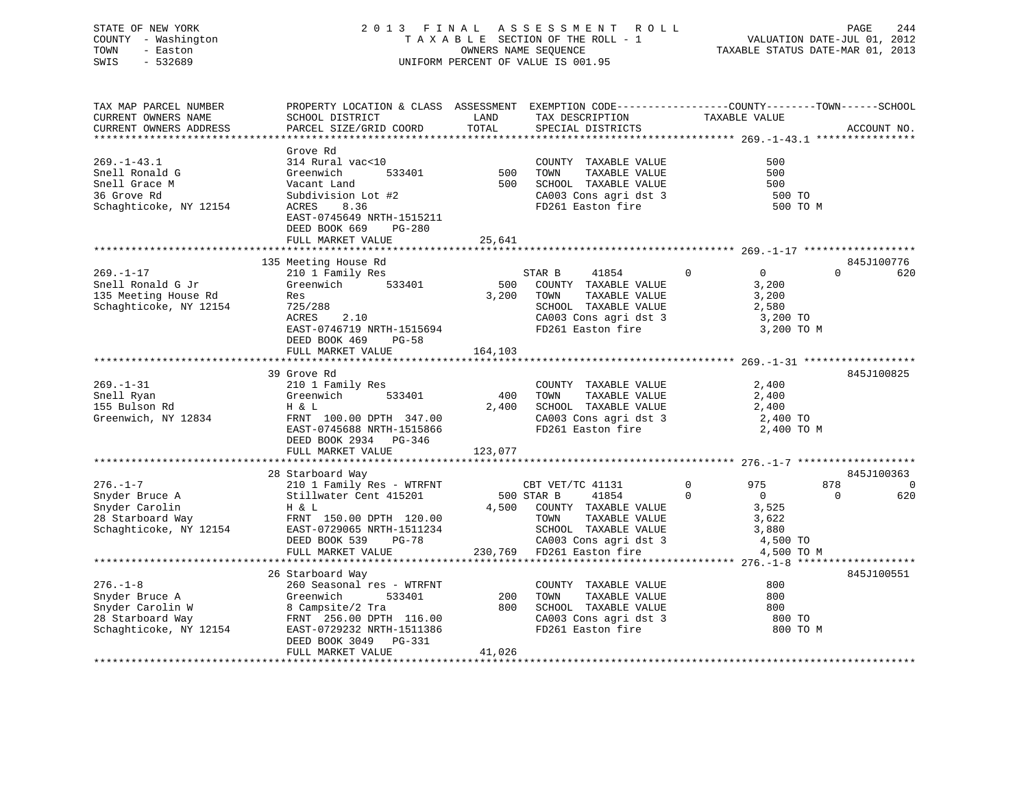STATE OF NEW YORK 2 0 1 3 F I N A L A S S E S S M E N T R O L L PAGE 244 COUNTY - Washington T A X A B L E SECTION OF THE ROLL - 1 VALUATION DATE-JUL 01, 2012 TOWN - Easton OWNERS NAME SEQUENCE TAXABLE STATUS DATE-MAR 01, 2013

# SWIS - 532689 UNIFORM PERCENT OF VALUE IS 001.95

| TAX MAP PARCEL NUMBER  | PROPERTY LOCATION & CLASS ASSESSMENT EXEMPTION CODE----------------COUNTY-------TOWN------SCHOOL |         |                            |                                |                 |
|------------------------|--------------------------------------------------------------------------------------------------|---------|----------------------------|--------------------------------|-----------------|
| CURRENT OWNERS NAME    | SCHOOL DISTRICT                                                                                  | LAND    | TAX DESCRIPTION            | TAXABLE VALUE                  |                 |
| CURRENT OWNERS ADDRESS | PARCEL SIZE/GRID COORD                                                                           | TOTAL   | SPECIAL DISTRICTS          |                                | ACCOUNT NO.     |
|                        |                                                                                                  |         |                            |                                |                 |
|                        | Grove Rd                                                                                         |         |                            |                                |                 |
| $269. - 1 - 43.1$      | 314 Rural vac<10                                                                                 |         | COUNTY TAXABLE VALUE       | 500                            |                 |
| Snell Ronald G         | Greenwich<br>533401                                                                              | 500     | TAXABLE VALUE<br>TOWN      | 500                            |                 |
| Snell Grace M          | Vacant Land                                                                                      | 500     | SCHOOL TAXABLE VALUE       | 500                            |                 |
| 36 Grove Rd            | Subdivision Lot #2                                                                               |         | CA003 Cons agri dst 3      | 500 TO                         |                 |
| Schaghticoke, NY 12154 | 8.36<br>ACRES                                                                                    |         | FD261 Easton fire          | 500 TO M                       |                 |
|                        | EAST-0745649 NRTH-1515211                                                                        |         |                            |                                |                 |
|                        | DEED BOOK 669<br>$PG-280$                                                                        |         |                            |                                |                 |
|                        | FULL MARKET VALUE                                                                                | 25,641  |                            |                                |                 |
|                        |                                                                                                  |         |                            |                                |                 |
|                        | 135 Meeting House Rd                                                                             |         |                            |                                | 845J100776      |
| $269. - 1 - 17$        | 210 1 Family Res                                                                                 |         | STAR B<br>41854            | $\mathsf{O}$<br>$\overline{0}$ | $\Omega$<br>620 |
| Snell Ronald G Jr      | Greenwich<br>533401                                                                              | 500     | COUNTY TAXABLE VALUE       | 3,200                          |                 |
| 135 Meeting House Rd   | Res                                                                                              | 3,200   | TOWN<br>TAXABLE VALUE      | 3,200                          |                 |
| Schaghticoke, NY 12154 | 725/288                                                                                          |         | SCHOOL TAXABLE VALUE       | 2,580                          |                 |
|                        | 2.10<br>ACRES                                                                                    |         |                            |                                |                 |
|                        |                                                                                                  |         | CA003 Cons agri dst 3      | 3,200 TO                       |                 |
|                        | EAST-0746719 NRTH-1515694                                                                        |         | FD261 Easton fire          | 3,200 TO M                     |                 |
|                        | DEED BOOK 469<br>PG-58                                                                           |         |                            |                                |                 |
|                        | FULL MARKET VALUE                                                                                | 164,103 |                            |                                |                 |
|                        |                                                                                                  |         |                            |                                |                 |
|                        | 39 Grove Rd                                                                                      |         |                            |                                | 845J100825      |
| $269. - 1 - 31$        | 210 1 Family Res                                                                                 |         | COUNTY TAXABLE VALUE       | 2,400                          |                 |
| Snell Ryan             | 533401<br>Greenwich                                                                              | 400     | TOWN<br>TAXABLE VALUE      | 2,400                          |                 |
| 155 Bulson Rd          | H & L                                                                                            | 2,400   | SCHOOL TAXABLE VALUE       | 2,400                          |                 |
| Greenwich, NY 12834    | FRNT 100.00 DPTH 347.00                                                                          |         | CA003 Cons agri dst 3      | 2,400 TO                       |                 |
|                        | EAST-0745688 NRTH-1515866                                                                        |         | FD261 Easton fire          | 2,400 TO M                     |                 |
|                        | DEED BOOK 2934 PG-346                                                                            |         |                            |                                |                 |
|                        | FULL MARKET VALUE                                                                                | 123,077 |                            |                                |                 |
|                        |                                                                                                  |         |                            |                                |                 |
|                        | 28 Starboard Way                                                                                 |         |                            |                                | 845J100363      |
| $276. - 1 - 7$         | 210 1 Family Res - WTRFNT                                                                        |         | CBT VET/TC 41131           | $\mathbf{0}$<br>975            | 878<br>0        |
| Snyder Bruce A         | Stillwater Cent 415201                                                                           |         | 500 STAR B<br>41854        | $\Omega$<br>$\overline{0}$     | $\Omega$<br>620 |
| Snyder Carolin         | H & L                                                                                            |         | 4,500 COUNTY TAXABLE VALUE | 3,525                          |                 |
| 28 Starboard Way       | FRNT 150.00 DPTH 120.00                                                                          |         | TAXABLE VALUE<br>TOWN      | 3,622                          |                 |
| Schaghticoke, NY 12154 | EAST-0729065 NRTH-1511234                                                                        |         | SCHOOL TAXABLE VALUE       | 3,880                          |                 |
|                        |                                                                                                  |         |                            |                                |                 |
|                        | DEED BOOK 539<br>PG-78                                                                           |         | CA003 Cons agri dst 3      | 4,500 TO                       |                 |
|                        | FULL MARKET VALUE                                                                                |         | 230,769 FD261 Easton fire  | 4,500 TO M                     |                 |
|                        |                                                                                                  |         |                            |                                |                 |
|                        | 26 Starboard Way                                                                                 |         |                            |                                | 845J100551      |
| $276. - 1 - 8$         | 260 Seasonal res - WTRFNT                                                                        |         | COUNTY TAXABLE VALUE       | 800                            |                 |
| Snyder Bruce A         | 533401<br>Greenwich                                                                              | 200     | TOWN<br>TAXABLE VALUE      | 800                            |                 |
| Snyder Carolin W       | 8 Campsite/2 Tra                                                                                 | 800     | SCHOOL TAXABLE VALUE       | 800                            |                 |
| 28 Starboard Way       | FRNT 256.00 DPTH 116.00                                                                          |         | CA003 Cons agri dst 3      | 800 TO                         |                 |
| Schaghticoke, NY 12154 | EAST-0729232 NRTH-1511386                                                                        |         | FD261 Easton fire          | 800 TO M                       |                 |
|                        | DEED BOOK 3049 PG-331                                                                            |         |                            |                                |                 |
|                        | FULL MARKET VALUE                                                                                | 41,026  |                            |                                |                 |
|                        |                                                                                                  |         |                            |                                |                 |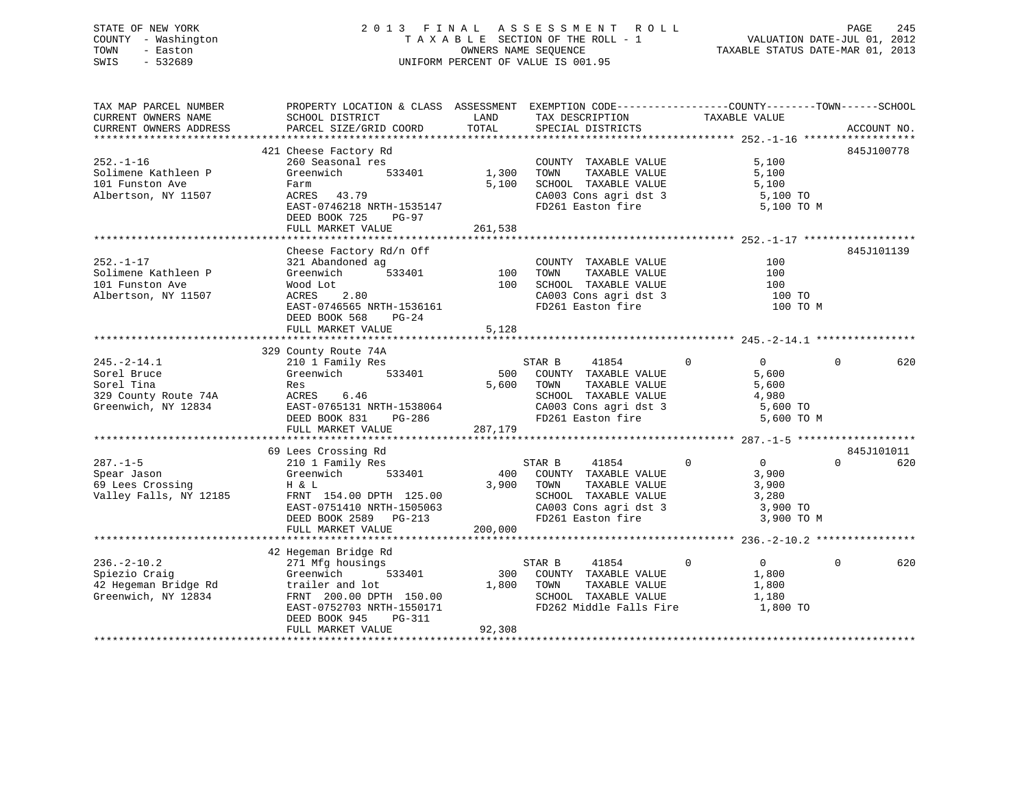# STATE OF NEW YORK 2 0 1 3 F I N A L A S S E S S M E N T R O L L PAGE 245 COUNTY - Washington T A X A B L E SECTION OF THE ROLL - 1 VALUATION DATE-JUL 01, 2012 TOWN - Easton OWNERS NAME SEQUENCE TAXABLE STATUS DATE-MAR 01, 2013 SWIS - 532689 UNIFORM PERCENT OF VALUE IS 001.95

| TAX MAP PARCEL NUMBER                                                             | PROPERTY LOCATION & CLASS ASSESSMENT EXEMPTION CODE----------------COUNTY-------TOWN------SCHOOL                      |                |                                                 |                                  |          |             |
|-----------------------------------------------------------------------------------|-----------------------------------------------------------------------------------------------------------------------|----------------|-------------------------------------------------|----------------------------------|----------|-------------|
| CURRENT OWNERS NAME                                                               | SCHOOL DISTRICT                                                                                                       | LAND           | TAX DESCRIPTION                                 | TAXABLE VALUE                    |          |             |
| CURRENT OWNERS ADDRESS                                                            | PARCEL SIZE/GRID COORD                                                                                                | TOTAL          | SPECIAL DISTRICTS                               |                                  |          | ACCOUNT NO. |
|                                                                                   |                                                                                                                       |                |                                                 |                                  |          |             |
|                                                                                   |                                                                                                                       |                |                                                 |                                  |          | 845J100778  |
|                                                                                   | 421 Cheese Factory Rd                                                                                                 |                |                                                 |                                  |          |             |
| $252 - 1 - 16$                                                                    | 260 Seasonal res                                                                                                      |                | COUNTY TAXABLE VALUE<br>TOWN      TAXABLE VALUE | 5,100                            |          |             |
| Solimene Kathleen P                                                               | Greenwich                                                                                                             | $533401$ 1,300 |                                                 | 5,100                            |          |             |
| 101 Funston Ave                                                                   | Farm                                                                                                                  | 5,100          | SCHOOL TAXABLE VALUE                            | 5,100<br>5,100 TO                |          |             |
| Albertson, NY 11507                                                               | ACRES 43.79                                                                                                           |                | CA003 Cons agri dst 3                           |                                  |          |             |
|                                                                                   | EAST-0746218 NRTH-1535147                                                                                             |                | FD261 Easton fire 5,100 TO M                    |                                  |          |             |
|                                                                                   | DEED BOOK 725 PG-97                                                                                                   |                |                                                 |                                  |          |             |
|                                                                                   | FULL MARKET VALUE                                                                                                     | 261,538        |                                                 |                                  |          |             |
|                                                                                   |                                                                                                                       |                |                                                 |                                  |          |             |
|                                                                                   |                                                                                                                       |                |                                                 |                                  |          |             |
|                                                                                   | Cheese Factory Rd/n Off                                                                                               |                |                                                 |                                  |          | 845J101139  |
| $252. - 1 - 17$                                                                   | $-4$ $-4$ $-533401$ 100<br>321 Abandoned ag                                                                           |                | COUNTY TAXABLE VALUE                            | 100                              |          |             |
| Solimene Kathleen P                                                               | Greenwich                                                                                                             |                | TAXABLE VALUE<br>TOWN                           | 100                              |          |             |
| 101 Funston Ave                                                                   | Wood Lot                                                                                                              |                | 100 SCHOOL TAXABLE VALUE                        | 100                              |          |             |
| Albertson, NY 11507                                                               | 2.80<br>ACRES                                                                                                         |                |                                                 |                                  |          |             |
|                                                                                   | EAST-0746565 NRTH-1536161                                                                                             |                | FD261 Easton fire                               | 100 TO M                         |          |             |
|                                                                                   |                                                                                                                       |                |                                                 |                                  |          |             |
|                                                                                   | DEED BOOK 568 PG-24                                                                                                   |                |                                                 |                                  |          |             |
|                                                                                   | FULL MARKET VALUE                                                                                                     | 5,128          |                                                 |                                  |          |             |
|                                                                                   |                                                                                                                       |                |                                                 |                                  |          |             |
|                                                                                   | 329 County Route 74A                                                                                                  |                |                                                 |                                  |          |             |
| $245. -2 - 14.1$                                                                  | 210 1 Family Res                                                                                                      |                | STAR B 41854                                    | $\overline{0}$<br>$\Omega$       | $\Omega$ | 620         |
| Sorel Bruce                                                                       |                                                                                                                       |                | 500 COUNTY TAXABLE VALUE                        | 5,600                            |          |             |
| Sorel Tina                                                                        | Res                                                                                                                   |                | TAXABLE VALUE<br>5,600 TOWN                     | 5,600                            |          |             |
| 329 County Route 74A                                                              | ACRES 6.46                                                                                                            |                | SCHOOL TAXABLE VALUE                            | 4,980                            |          |             |
|                                                                                   |                                                                                                                       |                |                                                 |                                  |          |             |
| Greenwich, NY 12834                                                               |                                                                                                                       |                |                                                 | 5,600 TO                         |          |             |
|                                                                                   |                                                                                                                       |                |                                                 | 5,600 TO M                       |          |             |
|                                                                                   | FULL MARKET VALUE                                                                                                     | 287,179        |                                                 |                                  |          |             |
|                                                                                   |                                                                                                                       |                |                                                 |                                  |          |             |
|                                                                                   | 69 Lees Crossing Rd                                                                                                   |                |                                                 |                                  |          | 845J101011  |
| $287. - 1 - 5$                                                                    | 210 1 Family Res                                                                                                      |                | STAR B<br>41854                                 | $\overline{0}$<br>$\overline{0}$ | $\Omega$ | 620         |
|                                                                                   | 533401                                                                                                                |                | 400 COUNTY TAXABLE VALUE                        | 3,900                            |          |             |
| Spear Jason<br>69 Lees Crossing                                                   | Greenwich<br>H & L<br>H & L                                                                                           |                | 3,900 TOWN<br>TAXABLE VALUE                     | 3,900                            |          |             |
| Valley Falls, NY 12185                                                            |                                                                                                                       |                | SCHOOL TAXABLE VALUE 3,280                      |                                  |          |             |
|                                                                                   |                                                                                                                       |                |                                                 |                                  |          |             |
|                                                                                   | FRNT 154.00 DPTH 125.00<br>EAST-0751410 NRTH-1505063 CA003 Cons agri dst 3<br>DEED BOOK 2589 PG-213 FD261 Easton fire |                |                                                 | 3,900 TO                         |          |             |
|                                                                                   |                                                                                                                       |                |                                                 | 3,900 TO M                       |          |             |
|                                                                                   | FULL MARKET VALUE                                                                                                     | 200,000        |                                                 |                                  |          |             |
|                                                                                   |                                                                                                                       |                |                                                 |                                  |          |             |
|                                                                                   | 42 Hegeman Bridge Rd                                                                                                  |                |                                                 |                                  |          |             |
| $236. - 2 - 10.2$                                                                 | 271 Mfg housings                                                                                                      |                | 41854<br>STAR B                                 | $\Omega$<br>$\overline{0}$       | $\Omega$ | 620         |
|                                                                                   |                                                                                                                       |                | 300 COUNTY TAXABLE VALUE                        | 1,800                            |          |             |
|                                                                                   | 533401                                                                                                                |                |                                                 |                                  |          |             |
|                                                                                   |                                                                                                                       | 1,800 TOWN     | TAXABLE VALUE                                   | 1,800                            |          |             |
| Principal Craig<br>42 Hegeman Bridge Rd<br>Greenwich, NY 12834<br>FRNT 200.00 DPT |                                                                                                                       |                | SCHOOL TAXABLE VALUE                            | 1,180                            |          |             |
|                                                                                   |                                                                                                                       |                | FD262 Middle Falls Fire                         | 1,800 TO                         |          |             |
|                                                                                   | DEED BOOK 945<br>PG-311                                                                                               |                |                                                 |                                  |          |             |
|                                                                                   | FULL MARKET VALUE                                                                                                     | 92,308         |                                                 |                                  |          |             |
|                                                                                   |                                                                                                                       |                |                                                 |                                  |          |             |
|                                                                                   |                                                                                                                       |                |                                                 |                                  |          |             |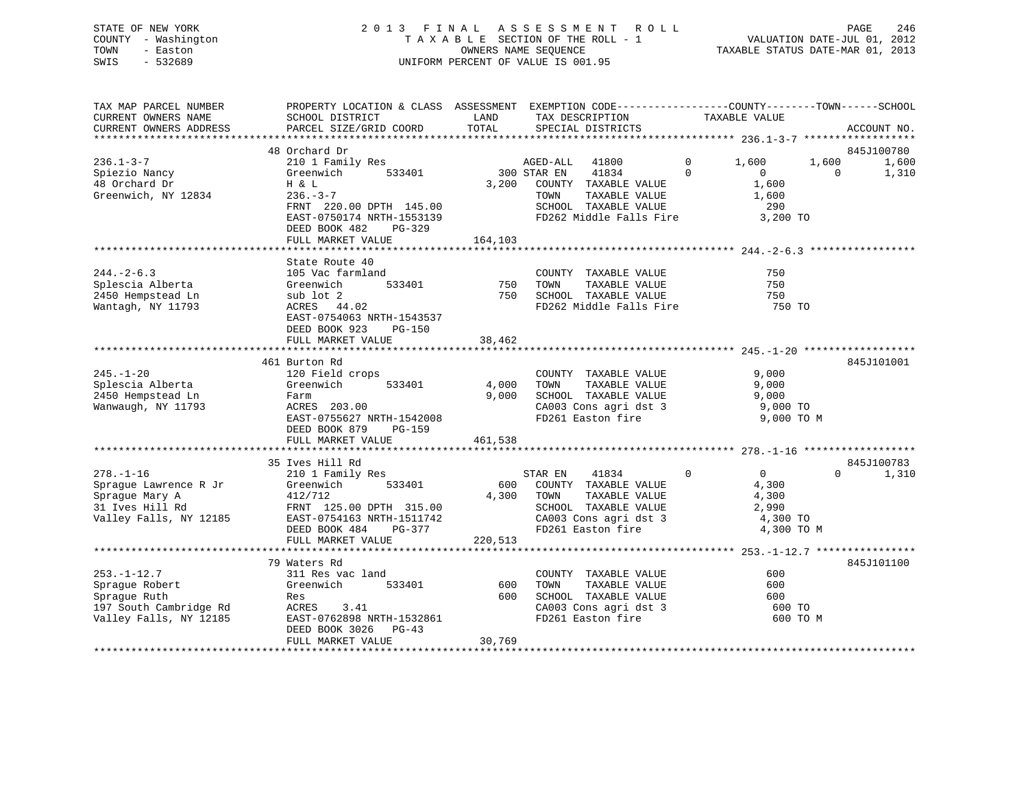# STATE OF NEW YORK 2 0 1 3 F I N A L A S S E S S M E N T R O L L PAGE 246 COUNTY - Washington T A X A B L E SECTION OF THE ROLL - 1 VALUATION DATE-JUL 01, 2012 TOWN - Easton **CONNERS NAME SEQUENCE** TAXABLE STATUS DATE-MAR 01, 2013 SWIS - 532689 UNIFORM PERCENT OF VALUE IS 001.95

| TAX MAP PARCEL NUMBER<br>CURRENT OWNERS NAME                                                            | PROPERTY LOCATION & CLASS ASSESSMENT EXEMPTION CODE----------------COUNTY-------TOWN------SCHOOL<br>SCHOOL DISTRICT                                                                         | LAND                      | TAX DESCRIPTION                                                                                                                               | TAXABLE VALUE                                                                         |                                            |
|---------------------------------------------------------------------------------------------------------|---------------------------------------------------------------------------------------------------------------------------------------------------------------------------------------------|---------------------------|-----------------------------------------------------------------------------------------------------------------------------------------------|---------------------------------------------------------------------------------------|--------------------------------------------|
| CURRENT OWNERS ADDRESS                                                                                  | PARCEL SIZE/GRID COORD                                                                                                                                                                      | TOTAL                     | SPECIAL DISTRICTS                                                                                                                             |                                                                                       | ACCOUNT NO.                                |
| ******************                                                                                      |                                                                                                                                                                                             |                           |                                                                                                                                               |                                                                                       |                                            |
| $236.1 - 3 - 7$<br>Spiezio Nancy<br>48 Orchard Dr<br>Greenwich, NY 12834                                | 48 Orchard Dr<br>210 1 Family Res<br>Greenwich<br>533401<br>H & L<br>$236. - 3 - 7$<br>FRNT 220.00 DPTH 145.00<br>EAST-0750174 NRTH-1553139<br>DEED BOOK 482<br>PG-329<br>FULL MARKET VALUE | 3,200<br>164,103          | AGED-ALL<br>41800<br>300 STAR EN<br>41834<br>COUNTY TAXABLE VALUE<br>TOWN<br>TAXABLE VALUE<br>SCHOOL TAXABLE VALUE<br>FD262 Middle Falls Fire | $\mathbf 0$<br>1,600<br>$\Omega$<br>$\mathbf{0}$<br>1,600<br>1,600<br>290<br>3,200 TO | 845J100780<br>1,600<br>1,600<br>0<br>1,310 |
|                                                                                                         |                                                                                                                                                                                             |                           |                                                                                                                                               |                                                                                       |                                            |
| $244. - 2 - 6.3$<br>Splescia Alberta<br>2450 Hempstead Ln<br>Wantagh, NY 11793                          | State Route 40<br>105 Vac farmland<br>Greenwich<br>533401<br>sub lot 2<br>ACRES 44.02<br>EAST-0754063 NRTH-1543537<br>DEED BOOK 923<br><b>PG-150</b><br>FULL MARKET VALUE                   | 750<br>750<br>38,462      | COUNTY TAXABLE VALUE<br>TOWN<br>TAXABLE VALUE<br>SCHOOL TAXABLE VALUE<br>FD262 Middle Falls Fire                                              | 750<br>750<br>750<br>750 TO                                                           |                                            |
|                                                                                                         |                                                                                                                                                                                             |                           |                                                                                                                                               |                                                                                       |                                            |
| $245. - 1 - 20$<br>Splescia Alberta<br>2450 Hempstead Ln<br>Wanwaugh, NY 11793                          | 461 Burton Rd<br>120 Field crops<br>Greenwich<br>533401<br>Farm<br>ACRES 203.00<br>EAST-0755627 NRTH-1542008<br>DEED BOOK 879<br>PG-159<br>FULL MARKET VALUE                                | 4,000<br>9,000<br>461,538 | COUNTY TAXABLE VALUE<br>TAXABLE VALUE<br>TOWN<br>SCHOOL TAXABLE VALUE<br>CA003 Cons agri dst 3<br>FD261 Easton fire                           | 9,000<br>9,000<br>9,000<br>9,000 TO<br>9,000 TO M                                     | 845J101001                                 |
|                                                                                                         | 35 Ives Hill Rd                                                                                                                                                                             |                           |                                                                                                                                               |                                                                                       | 845J100783                                 |
| $278. - 1 - 16$<br>Sprague Lawrence R Jr<br>Sprague Mary A<br>31 Ives Hill Rd<br>Valley Falls, NY 12185 | 210 1 Family Res<br>Greenwich<br>533401<br>412/712<br>FRNT 125.00 DPTH 315.00<br>EAST-0754163 NRTH-1511742<br>DEED BOOK 484<br>PG-377<br>FULL MARKET VALUE                                  | 600<br>4,300<br>220,513   | STAR EN<br>41834<br>COUNTY TAXABLE VALUE<br>TOWN<br>TAXABLE VALUE<br>SCHOOL TAXABLE VALUE<br>CA003 Cons agri dst 3<br>FD261 Easton fire       | $\Omega$<br>$\overline{0}$<br>4,300<br>4,300<br>2,990<br>4,300 TO<br>4,300 TO M       | $\Omega$<br>1,310                          |
|                                                                                                         |                                                                                                                                                                                             |                           |                                                                                                                                               |                                                                                       |                                            |
| $253. - 1 - 12.7$<br>Sprague Robert<br>Sprague Ruth<br>197 South Cambridge Rd<br>Valley Falls, NY 12185 | 79 Waters Rd<br>311 Res vac land<br>Greenwich<br>533401<br>Res<br>3.41<br>ACRES<br>EAST-0762898 NRTH-1532861<br>DEED BOOK 3026<br>$PG-43$<br>FULL MARKET VALUE                              | 600<br>600<br>30,769      | COUNTY TAXABLE VALUE<br>TOWN<br>TAXABLE VALUE<br>SCHOOL TAXABLE VALUE<br>CA003 Cons agri dst 3<br>FD261 Easton fire                           | 600<br>600<br>600<br>600 TO<br>600 TO M                                               | 845J101100                                 |
|                                                                                                         |                                                                                                                                                                                             |                           |                                                                                                                                               |                                                                                       |                                            |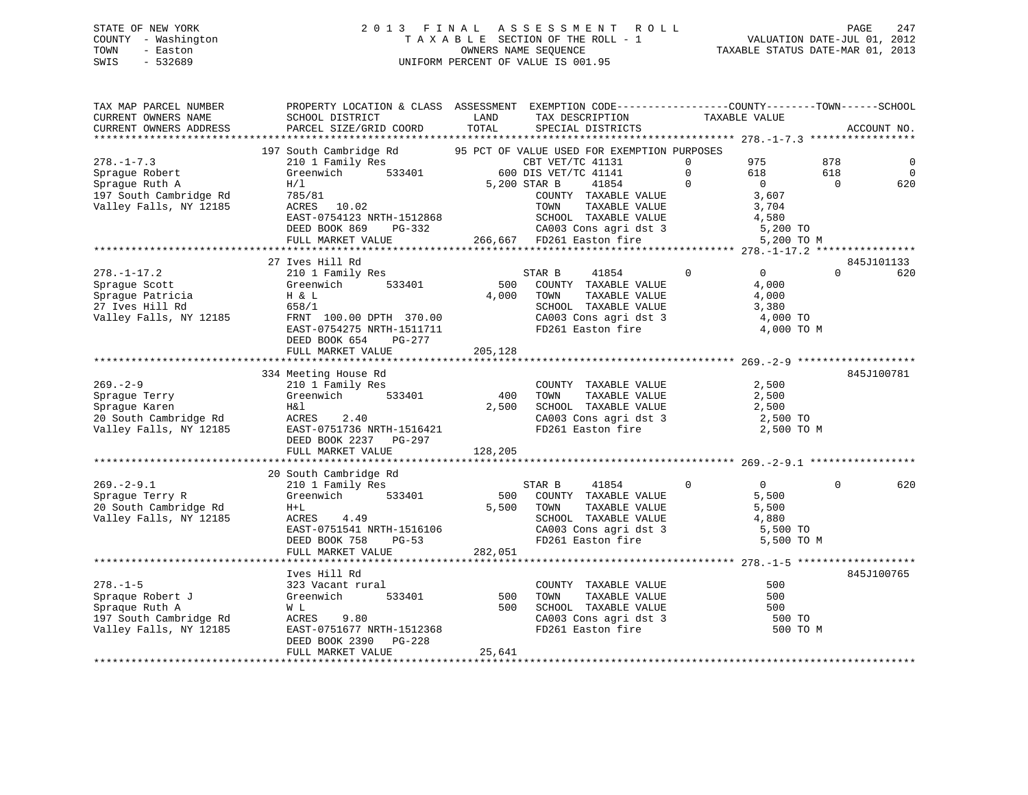# STATE OF NEW YORK 2 0 1 3 F I N A L A S S E S S M E N T R O L L PAGE 247 COUNTY - Washington T A X A B L E SECTION OF THE ROLL - 1 VALUATION DATE-JUL 01, 2012 TOWN - Easton OWNERS NAME SEQUENCE TAXABLE STATUS DATE-MAR 01, 2013 SWIS - 532689 UNIFORM PERCENT OF VALUE IS 001.95

| PARCEL SIZE/GRID COORD<br>TOTAL<br>CURRENT OWNERS ADDRESS<br>SPECIAL DISTRICTS<br>ACCOUNT NO.<br>197 South Cambridge Rd 95 PCT OF VALUE USED FOR EXEMPTION PURPOSES<br>$278. - 1 - 7.3$<br>210 1 Family Res<br>$\overline{0}$<br>975<br>878<br>S<br>533401 600 DIS VET/TC 41141<br>0<br>$\overline{0}$<br>618<br>$\overline{0}$<br>Sprague Robert<br>Greenwich<br>618<br>Sprague Ruth A<br>5,200 STAR B<br>41854<br>$\Omega$<br>$\overline{0}$<br>$\overline{0}$<br>620<br>H/1<br>3,607<br>197 South Cambridge Rd<br>785/81<br>COUNTY TAXABLE VALUE<br>3,704<br>EAST-0754123 NRTH-1512868<br>DEED BOOK 869 PG-332<br>FULL MARKET VALUE<br>FULL MARKET VALUE<br>4,580<br>DEED BOOK 869 PG-332 CA003 Cons agri dst 3<br>FULL MARKET VALUE 266,667 FD261 Easton fire<br>5,200 TO<br>5,200 TO M<br>27 Ives Hill Rd<br>845J101133<br>$\overline{0}$<br>210 1 Family Res<br>$\overline{0}$<br>$\Omega$<br>620<br>$278. - 1 - 17.2$<br>STAR B<br>41854<br>500<br>4,000<br>533401<br>COUNTY TAXABLE VALUE<br>Sprague Scott<br>Greenwich<br>4,000 TOWN<br>H & L<br>TAXABLE VALUE<br>4,000<br>SCHOOL TAXABLE VALUE 3,380<br>27 Ives Hill Rd<br>658/1<br>FRNT 100.00 DPTH 370.00<br>CA003 Cons agri dst 3<br>FD261 Easton fire<br>4,000 TO<br>EAST-0754275 NRTH-1511711<br>4,000 TO M<br>DEED BOOK 654 PG-277<br>FULL MARKET VALUE<br>205,128<br>334 Meeting House Rd<br>845J100781<br>$269. - 2 - 9$<br>2,500<br>210 1 Family Res<br>COUNTY TAXABLE VALUE<br>Greenwich 533401<br>400<br>TAXABLE VALUE<br>2,500<br>Sprague Terry<br>Sprague Karen<br>TOWN<br>2,500<br>Sprague Karen<br>H&l<br>SCHOOL TAXABLE VALUE<br>2,500<br>Sprayue Karen<br>20 South Cambridge Rd<br>Vallev Falls, NY 12185<br>CA003 Cons agri dst 3<br>2,500 TO<br>EAST-0751736 NRTH-1516421<br>FD261 Easton fire<br>2,500 TO M<br>DEED BOOK 2237 PG-297<br>128,205<br>FULL MARKET VALUE<br>20 South Cambridge Rd<br>$\overline{0}$<br>$269. - 2 - 9.1$<br>$\overline{0}$<br>$\Omega$<br>210 1 Family Res<br>STAR B<br>41854<br>620<br>533401<br>Greenwich<br>500 COUNTY TAXABLE VALUE<br>5,500<br>Sprague Terry R<br>5,500 TOWN<br>20 South Cambridge Rd<br>TAXABLE VALUE<br>5,500<br>$H+L$<br>SCHOOL TAXABLE VALUE 4,880<br>4.49<br>Valley Falls, NY 12185<br>ACRES<br>ACRES 4.42<br>EAST-0751541 NRTH-1516106<br>DEED BOOK 758 PG-53<br>CA003 Cons agri dst 3<br>FD261 Easton fire<br>5,500 TO<br>5,500 TO M<br>FULL MARKET VALUE<br>282,051<br>Ives Hill Rd<br>845J100765<br>$278. - 1 - 5$<br>323 Vacant rural<br>COUNTY TAXABLE VALUE<br>500<br>500<br>Spraque Robert J<br>Spraque Ruth A<br>Greenwich 533401<br>TOWN<br>TAXABLE VALUE<br>500<br>500<br>SCHOOL TAXABLE VALUE<br>SCHOOL TAXABLE VALUE<br>CA003 Cons agri dst 3<br>Spraque Ruth A<br>500<br>W L<br>197 South Cambridge Rd<br>ACRES 9.80<br>500 TO<br>EAST-0751677 NRTH-1512368<br>FD261 Easton fire<br>Valley Falls, NY 12185<br>500 TO M<br>DEED BOOK 2390 PG-228<br>FULL MARKET VALUE<br>25,641<br>************************************ | TAX MAP PARCEL NUMBER<br>CURRENT OWNERS NAME | PROPERTY LOCATION & CLASS ASSESSMENT EXEMPTION CODE-----------------COUNTY-------TOWN------SCHOOL<br>SCHOOL DISTRICT | LAND | TAX DESCRIPTION | TAXABLE VALUE |  |
|-------------------------------------------------------------------------------------------------------------------------------------------------------------------------------------------------------------------------------------------------------------------------------------------------------------------------------------------------------------------------------------------------------------------------------------------------------------------------------------------------------------------------------------------------------------------------------------------------------------------------------------------------------------------------------------------------------------------------------------------------------------------------------------------------------------------------------------------------------------------------------------------------------------------------------------------------------------------------------------------------------------------------------------------------------------------------------------------------------------------------------------------------------------------------------------------------------------------------------------------------------------------------------------------------------------------------------------------------------------------------------------------------------------------------------------------------------------------------------------------------------------------------------------------------------------------------------------------------------------------------------------------------------------------------------------------------------------------------------------------------------------------------------------------------------------------------------------------------------------------------------------------------------------------------------------------------------------------------------------------------------------------------------------------------------------------------------------------------------------------------------------------------------------------------------------------------------------------------------------------------------------------------------------------------------------------------------------------------------------------------------------------------------------------------------------------------------------------------------------------------------------------------------------------------------------------------------------------------------------------------------------------------------------------------------------------------------------------------------------------------------------------------------------------------------------------------------------------------------------------------------------------------------------------------------------------------------------------------|----------------------------------------------|----------------------------------------------------------------------------------------------------------------------|------|-----------------|---------------|--|
|                                                                                                                                                                                                                                                                                                                                                                                                                                                                                                                                                                                                                                                                                                                                                                                                                                                                                                                                                                                                                                                                                                                                                                                                                                                                                                                                                                                                                                                                                                                                                                                                                                                                                                                                                                                                                                                                                                                                                                                                                                                                                                                                                                                                                                                                                                                                                                                                                                                                                                                                                                                                                                                                                                                                                                                                                                                                                                                                                                         |                                              |                                                                                                                      |      |                 |               |  |
|                                                                                                                                                                                                                                                                                                                                                                                                                                                                                                                                                                                                                                                                                                                                                                                                                                                                                                                                                                                                                                                                                                                                                                                                                                                                                                                                                                                                                                                                                                                                                                                                                                                                                                                                                                                                                                                                                                                                                                                                                                                                                                                                                                                                                                                                                                                                                                                                                                                                                                                                                                                                                                                                                                                                                                                                                                                                                                                                                                         |                                              |                                                                                                                      |      |                 |               |  |
|                                                                                                                                                                                                                                                                                                                                                                                                                                                                                                                                                                                                                                                                                                                                                                                                                                                                                                                                                                                                                                                                                                                                                                                                                                                                                                                                                                                                                                                                                                                                                                                                                                                                                                                                                                                                                                                                                                                                                                                                                                                                                                                                                                                                                                                                                                                                                                                                                                                                                                                                                                                                                                                                                                                                                                                                                                                                                                                                                                         |                                              |                                                                                                                      |      |                 |               |  |
|                                                                                                                                                                                                                                                                                                                                                                                                                                                                                                                                                                                                                                                                                                                                                                                                                                                                                                                                                                                                                                                                                                                                                                                                                                                                                                                                                                                                                                                                                                                                                                                                                                                                                                                                                                                                                                                                                                                                                                                                                                                                                                                                                                                                                                                                                                                                                                                                                                                                                                                                                                                                                                                                                                                                                                                                                                                                                                                                                                         |                                              |                                                                                                                      |      |                 |               |  |
|                                                                                                                                                                                                                                                                                                                                                                                                                                                                                                                                                                                                                                                                                                                                                                                                                                                                                                                                                                                                                                                                                                                                                                                                                                                                                                                                                                                                                                                                                                                                                                                                                                                                                                                                                                                                                                                                                                                                                                                                                                                                                                                                                                                                                                                                                                                                                                                                                                                                                                                                                                                                                                                                                                                                                                                                                                                                                                                                                                         |                                              |                                                                                                                      |      |                 |               |  |
|                                                                                                                                                                                                                                                                                                                                                                                                                                                                                                                                                                                                                                                                                                                                                                                                                                                                                                                                                                                                                                                                                                                                                                                                                                                                                                                                                                                                                                                                                                                                                                                                                                                                                                                                                                                                                                                                                                                                                                                                                                                                                                                                                                                                                                                                                                                                                                                                                                                                                                                                                                                                                                                                                                                                                                                                                                                                                                                                                                         |                                              |                                                                                                                      |      |                 |               |  |
|                                                                                                                                                                                                                                                                                                                                                                                                                                                                                                                                                                                                                                                                                                                                                                                                                                                                                                                                                                                                                                                                                                                                                                                                                                                                                                                                                                                                                                                                                                                                                                                                                                                                                                                                                                                                                                                                                                                                                                                                                                                                                                                                                                                                                                                                                                                                                                                                                                                                                                                                                                                                                                                                                                                                                                                                                                                                                                                                                                         |                                              |                                                                                                                      |      |                 |               |  |
|                                                                                                                                                                                                                                                                                                                                                                                                                                                                                                                                                                                                                                                                                                                                                                                                                                                                                                                                                                                                                                                                                                                                                                                                                                                                                                                                                                                                                                                                                                                                                                                                                                                                                                                                                                                                                                                                                                                                                                                                                                                                                                                                                                                                                                                                                                                                                                                                                                                                                                                                                                                                                                                                                                                                                                                                                                                                                                                                                                         | Valley Falls, NY 12185                       |                                                                                                                      |      |                 |               |  |
|                                                                                                                                                                                                                                                                                                                                                                                                                                                                                                                                                                                                                                                                                                                                                                                                                                                                                                                                                                                                                                                                                                                                                                                                                                                                                                                                                                                                                                                                                                                                                                                                                                                                                                                                                                                                                                                                                                                                                                                                                                                                                                                                                                                                                                                                                                                                                                                                                                                                                                                                                                                                                                                                                                                                                                                                                                                                                                                                                                         |                                              |                                                                                                                      |      |                 |               |  |
|                                                                                                                                                                                                                                                                                                                                                                                                                                                                                                                                                                                                                                                                                                                                                                                                                                                                                                                                                                                                                                                                                                                                                                                                                                                                                                                                                                                                                                                                                                                                                                                                                                                                                                                                                                                                                                                                                                                                                                                                                                                                                                                                                                                                                                                                                                                                                                                                                                                                                                                                                                                                                                                                                                                                                                                                                                                                                                                                                                         |                                              |                                                                                                                      |      |                 |               |  |
|                                                                                                                                                                                                                                                                                                                                                                                                                                                                                                                                                                                                                                                                                                                                                                                                                                                                                                                                                                                                                                                                                                                                                                                                                                                                                                                                                                                                                                                                                                                                                                                                                                                                                                                                                                                                                                                                                                                                                                                                                                                                                                                                                                                                                                                                                                                                                                                                                                                                                                                                                                                                                                                                                                                                                                                                                                                                                                                                                                         |                                              |                                                                                                                      |      |                 |               |  |
|                                                                                                                                                                                                                                                                                                                                                                                                                                                                                                                                                                                                                                                                                                                                                                                                                                                                                                                                                                                                                                                                                                                                                                                                                                                                                                                                                                                                                                                                                                                                                                                                                                                                                                                                                                                                                                                                                                                                                                                                                                                                                                                                                                                                                                                                                                                                                                                                                                                                                                                                                                                                                                                                                                                                                                                                                                                                                                                                                                         |                                              |                                                                                                                      |      |                 |               |  |
|                                                                                                                                                                                                                                                                                                                                                                                                                                                                                                                                                                                                                                                                                                                                                                                                                                                                                                                                                                                                                                                                                                                                                                                                                                                                                                                                                                                                                                                                                                                                                                                                                                                                                                                                                                                                                                                                                                                                                                                                                                                                                                                                                                                                                                                                                                                                                                                                                                                                                                                                                                                                                                                                                                                                                                                                                                                                                                                                                                         |                                              |                                                                                                                      |      |                 |               |  |
|                                                                                                                                                                                                                                                                                                                                                                                                                                                                                                                                                                                                                                                                                                                                                                                                                                                                                                                                                                                                                                                                                                                                                                                                                                                                                                                                                                                                                                                                                                                                                                                                                                                                                                                                                                                                                                                                                                                                                                                                                                                                                                                                                                                                                                                                                                                                                                                                                                                                                                                                                                                                                                                                                                                                                                                                                                                                                                                                                                         |                                              |                                                                                                                      |      |                 |               |  |
|                                                                                                                                                                                                                                                                                                                                                                                                                                                                                                                                                                                                                                                                                                                                                                                                                                                                                                                                                                                                                                                                                                                                                                                                                                                                                                                                                                                                                                                                                                                                                                                                                                                                                                                                                                                                                                                                                                                                                                                                                                                                                                                                                                                                                                                                                                                                                                                                                                                                                                                                                                                                                                                                                                                                                                                                                                                                                                                                                                         |                                              |                                                                                                                      |      |                 |               |  |
|                                                                                                                                                                                                                                                                                                                                                                                                                                                                                                                                                                                                                                                                                                                                                                                                                                                                                                                                                                                                                                                                                                                                                                                                                                                                                                                                                                                                                                                                                                                                                                                                                                                                                                                                                                                                                                                                                                                                                                                                                                                                                                                                                                                                                                                                                                                                                                                                                                                                                                                                                                                                                                                                                                                                                                                                                                                                                                                                                                         | Sprague Patricia                             |                                                                                                                      |      |                 |               |  |
|                                                                                                                                                                                                                                                                                                                                                                                                                                                                                                                                                                                                                                                                                                                                                                                                                                                                                                                                                                                                                                                                                                                                                                                                                                                                                                                                                                                                                                                                                                                                                                                                                                                                                                                                                                                                                                                                                                                                                                                                                                                                                                                                                                                                                                                                                                                                                                                                                                                                                                                                                                                                                                                                                                                                                                                                                                                                                                                                                                         |                                              |                                                                                                                      |      |                 |               |  |
|                                                                                                                                                                                                                                                                                                                                                                                                                                                                                                                                                                                                                                                                                                                                                                                                                                                                                                                                                                                                                                                                                                                                                                                                                                                                                                                                                                                                                                                                                                                                                                                                                                                                                                                                                                                                                                                                                                                                                                                                                                                                                                                                                                                                                                                                                                                                                                                                                                                                                                                                                                                                                                                                                                                                                                                                                                                                                                                                                                         | Valley Falls, NY 12185                       |                                                                                                                      |      |                 |               |  |
|                                                                                                                                                                                                                                                                                                                                                                                                                                                                                                                                                                                                                                                                                                                                                                                                                                                                                                                                                                                                                                                                                                                                                                                                                                                                                                                                                                                                                                                                                                                                                                                                                                                                                                                                                                                                                                                                                                                                                                                                                                                                                                                                                                                                                                                                                                                                                                                                                                                                                                                                                                                                                                                                                                                                                                                                                                                                                                                                                                         |                                              |                                                                                                                      |      |                 |               |  |
|                                                                                                                                                                                                                                                                                                                                                                                                                                                                                                                                                                                                                                                                                                                                                                                                                                                                                                                                                                                                                                                                                                                                                                                                                                                                                                                                                                                                                                                                                                                                                                                                                                                                                                                                                                                                                                                                                                                                                                                                                                                                                                                                                                                                                                                                                                                                                                                                                                                                                                                                                                                                                                                                                                                                                                                                                                                                                                                                                                         |                                              |                                                                                                                      |      |                 |               |  |
|                                                                                                                                                                                                                                                                                                                                                                                                                                                                                                                                                                                                                                                                                                                                                                                                                                                                                                                                                                                                                                                                                                                                                                                                                                                                                                                                                                                                                                                                                                                                                                                                                                                                                                                                                                                                                                                                                                                                                                                                                                                                                                                                                                                                                                                                                                                                                                                                                                                                                                                                                                                                                                                                                                                                                                                                                                                                                                                                                                         |                                              |                                                                                                                      |      |                 |               |  |
|                                                                                                                                                                                                                                                                                                                                                                                                                                                                                                                                                                                                                                                                                                                                                                                                                                                                                                                                                                                                                                                                                                                                                                                                                                                                                                                                                                                                                                                                                                                                                                                                                                                                                                                                                                                                                                                                                                                                                                                                                                                                                                                                                                                                                                                                                                                                                                                                                                                                                                                                                                                                                                                                                                                                                                                                                                                                                                                                                                         |                                              |                                                                                                                      |      |                 |               |  |
|                                                                                                                                                                                                                                                                                                                                                                                                                                                                                                                                                                                                                                                                                                                                                                                                                                                                                                                                                                                                                                                                                                                                                                                                                                                                                                                                                                                                                                                                                                                                                                                                                                                                                                                                                                                                                                                                                                                                                                                                                                                                                                                                                                                                                                                                                                                                                                                                                                                                                                                                                                                                                                                                                                                                                                                                                                                                                                                                                                         |                                              |                                                                                                                      |      |                 |               |  |
|                                                                                                                                                                                                                                                                                                                                                                                                                                                                                                                                                                                                                                                                                                                                                                                                                                                                                                                                                                                                                                                                                                                                                                                                                                                                                                                                                                                                                                                                                                                                                                                                                                                                                                                                                                                                                                                                                                                                                                                                                                                                                                                                                                                                                                                                                                                                                                                                                                                                                                                                                                                                                                                                                                                                                                                                                                                                                                                                                                         |                                              |                                                                                                                      |      |                 |               |  |
|                                                                                                                                                                                                                                                                                                                                                                                                                                                                                                                                                                                                                                                                                                                                                                                                                                                                                                                                                                                                                                                                                                                                                                                                                                                                                                                                                                                                                                                                                                                                                                                                                                                                                                                                                                                                                                                                                                                                                                                                                                                                                                                                                                                                                                                                                                                                                                                                                                                                                                                                                                                                                                                                                                                                                                                                                                                                                                                                                                         |                                              |                                                                                                                      |      |                 |               |  |
|                                                                                                                                                                                                                                                                                                                                                                                                                                                                                                                                                                                                                                                                                                                                                                                                                                                                                                                                                                                                                                                                                                                                                                                                                                                                                                                                                                                                                                                                                                                                                                                                                                                                                                                                                                                                                                                                                                                                                                                                                                                                                                                                                                                                                                                                                                                                                                                                                                                                                                                                                                                                                                                                                                                                                                                                                                                                                                                                                                         |                                              |                                                                                                                      |      |                 |               |  |
|                                                                                                                                                                                                                                                                                                                                                                                                                                                                                                                                                                                                                                                                                                                                                                                                                                                                                                                                                                                                                                                                                                                                                                                                                                                                                                                                                                                                                                                                                                                                                                                                                                                                                                                                                                                                                                                                                                                                                                                                                                                                                                                                                                                                                                                                                                                                                                                                                                                                                                                                                                                                                                                                                                                                                                                                                                                                                                                                                                         |                                              |                                                                                                                      |      |                 |               |  |
|                                                                                                                                                                                                                                                                                                                                                                                                                                                                                                                                                                                                                                                                                                                                                                                                                                                                                                                                                                                                                                                                                                                                                                                                                                                                                                                                                                                                                                                                                                                                                                                                                                                                                                                                                                                                                                                                                                                                                                                                                                                                                                                                                                                                                                                                                                                                                                                                                                                                                                                                                                                                                                                                                                                                                                                                                                                                                                                                                                         |                                              |                                                                                                                      |      |                 |               |  |
|                                                                                                                                                                                                                                                                                                                                                                                                                                                                                                                                                                                                                                                                                                                                                                                                                                                                                                                                                                                                                                                                                                                                                                                                                                                                                                                                                                                                                                                                                                                                                                                                                                                                                                                                                                                                                                                                                                                                                                                                                                                                                                                                                                                                                                                                                                                                                                                                                                                                                                                                                                                                                                                                                                                                                                                                                                                                                                                                                                         |                                              |                                                                                                                      |      |                 |               |  |
|                                                                                                                                                                                                                                                                                                                                                                                                                                                                                                                                                                                                                                                                                                                                                                                                                                                                                                                                                                                                                                                                                                                                                                                                                                                                                                                                                                                                                                                                                                                                                                                                                                                                                                                                                                                                                                                                                                                                                                                                                                                                                                                                                                                                                                                                                                                                                                                                                                                                                                                                                                                                                                                                                                                                                                                                                                                                                                                                                                         |                                              |                                                                                                                      |      |                 |               |  |
|                                                                                                                                                                                                                                                                                                                                                                                                                                                                                                                                                                                                                                                                                                                                                                                                                                                                                                                                                                                                                                                                                                                                                                                                                                                                                                                                                                                                                                                                                                                                                                                                                                                                                                                                                                                                                                                                                                                                                                                                                                                                                                                                                                                                                                                                                                                                                                                                                                                                                                                                                                                                                                                                                                                                                                                                                                                                                                                                                                         |                                              |                                                                                                                      |      |                 |               |  |
|                                                                                                                                                                                                                                                                                                                                                                                                                                                                                                                                                                                                                                                                                                                                                                                                                                                                                                                                                                                                                                                                                                                                                                                                                                                                                                                                                                                                                                                                                                                                                                                                                                                                                                                                                                                                                                                                                                                                                                                                                                                                                                                                                                                                                                                                                                                                                                                                                                                                                                                                                                                                                                                                                                                                                                                                                                                                                                                                                                         |                                              |                                                                                                                      |      |                 |               |  |
|                                                                                                                                                                                                                                                                                                                                                                                                                                                                                                                                                                                                                                                                                                                                                                                                                                                                                                                                                                                                                                                                                                                                                                                                                                                                                                                                                                                                                                                                                                                                                                                                                                                                                                                                                                                                                                                                                                                                                                                                                                                                                                                                                                                                                                                                                                                                                                                                                                                                                                                                                                                                                                                                                                                                                                                                                                                                                                                                                                         |                                              |                                                                                                                      |      |                 |               |  |
|                                                                                                                                                                                                                                                                                                                                                                                                                                                                                                                                                                                                                                                                                                                                                                                                                                                                                                                                                                                                                                                                                                                                                                                                                                                                                                                                                                                                                                                                                                                                                                                                                                                                                                                                                                                                                                                                                                                                                                                                                                                                                                                                                                                                                                                                                                                                                                                                                                                                                                                                                                                                                                                                                                                                                                                                                                                                                                                                                                         |                                              |                                                                                                                      |      |                 |               |  |
|                                                                                                                                                                                                                                                                                                                                                                                                                                                                                                                                                                                                                                                                                                                                                                                                                                                                                                                                                                                                                                                                                                                                                                                                                                                                                                                                                                                                                                                                                                                                                                                                                                                                                                                                                                                                                                                                                                                                                                                                                                                                                                                                                                                                                                                                                                                                                                                                                                                                                                                                                                                                                                                                                                                                                                                                                                                                                                                                                                         |                                              |                                                                                                                      |      |                 |               |  |
|                                                                                                                                                                                                                                                                                                                                                                                                                                                                                                                                                                                                                                                                                                                                                                                                                                                                                                                                                                                                                                                                                                                                                                                                                                                                                                                                                                                                                                                                                                                                                                                                                                                                                                                                                                                                                                                                                                                                                                                                                                                                                                                                                                                                                                                                                                                                                                                                                                                                                                                                                                                                                                                                                                                                                                                                                                                                                                                                                                         |                                              |                                                                                                                      |      |                 |               |  |
|                                                                                                                                                                                                                                                                                                                                                                                                                                                                                                                                                                                                                                                                                                                                                                                                                                                                                                                                                                                                                                                                                                                                                                                                                                                                                                                                                                                                                                                                                                                                                                                                                                                                                                                                                                                                                                                                                                                                                                                                                                                                                                                                                                                                                                                                                                                                                                                                                                                                                                                                                                                                                                                                                                                                                                                                                                                                                                                                                                         |                                              |                                                                                                                      |      |                 |               |  |
|                                                                                                                                                                                                                                                                                                                                                                                                                                                                                                                                                                                                                                                                                                                                                                                                                                                                                                                                                                                                                                                                                                                                                                                                                                                                                                                                                                                                                                                                                                                                                                                                                                                                                                                                                                                                                                                                                                                                                                                                                                                                                                                                                                                                                                                                                                                                                                                                                                                                                                                                                                                                                                                                                                                                                                                                                                                                                                                                                                         |                                              |                                                                                                                      |      |                 |               |  |
|                                                                                                                                                                                                                                                                                                                                                                                                                                                                                                                                                                                                                                                                                                                                                                                                                                                                                                                                                                                                                                                                                                                                                                                                                                                                                                                                                                                                                                                                                                                                                                                                                                                                                                                                                                                                                                                                                                                                                                                                                                                                                                                                                                                                                                                                                                                                                                                                                                                                                                                                                                                                                                                                                                                                                                                                                                                                                                                                                                         |                                              |                                                                                                                      |      |                 |               |  |
|                                                                                                                                                                                                                                                                                                                                                                                                                                                                                                                                                                                                                                                                                                                                                                                                                                                                                                                                                                                                                                                                                                                                                                                                                                                                                                                                                                                                                                                                                                                                                                                                                                                                                                                                                                                                                                                                                                                                                                                                                                                                                                                                                                                                                                                                                                                                                                                                                                                                                                                                                                                                                                                                                                                                                                                                                                                                                                                                                                         |                                              |                                                                                                                      |      |                 |               |  |
|                                                                                                                                                                                                                                                                                                                                                                                                                                                                                                                                                                                                                                                                                                                                                                                                                                                                                                                                                                                                                                                                                                                                                                                                                                                                                                                                                                                                                                                                                                                                                                                                                                                                                                                                                                                                                                                                                                                                                                                                                                                                                                                                                                                                                                                                                                                                                                                                                                                                                                                                                                                                                                                                                                                                                                                                                                                                                                                                                                         |                                              |                                                                                                                      |      |                 |               |  |
|                                                                                                                                                                                                                                                                                                                                                                                                                                                                                                                                                                                                                                                                                                                                                                                                                                                                                                                                                                                                                                                                                                                                                                                                                                                                                                                                                                                                                                                                                                                                                                                                                                                                                                                                                                                                                                                                                                                                                                                                                                                                                                                                                                                                                                                                                                                                                                                                                                                                                                                                                                                                                                                                                                                                                                                                                                                                                                                                                                         |                                              |                                                                                                                      |      |                 |               |  |
|                                                                                                                                                                                                                                                                                                                                                                                                                                                                                                                                                                                                                                                                                                                                                                                                                                                                                                                                                                                                                                                                                                                                                                                                                                                                                                                                                                                                                                                                                                                                                                                                                                                                                                                                                                                                                                                                                                                                                                                                                                                                                                                                                                                                                                                                                                                                                                                                                                                                                                                                                                                                                                                                                                                                                                                                                                                                                                                                                                         |                                              |                                                                                                                      |      |                 |               |  |
|                                                                                                                                                                                                                                                                                                                                                                                                                                                                                                                                                                                                                                                                                                                                                                                                                                                                                                                                                                                                                                                                                                                                                                                                                                                                                                                                                                                                                                                                                                                                                                                                                                                                                                                                                                                                                                                                                                                                                                                                                                                                                                                                                                                                                                                                                                                                                                                                                                                                                                                                                                                                                                                                                                                                                                                                                                                                                                                                                                         |                                              |                                                                                                                      |      |                 |               |  |
|                                                                                                                                                                                                                                                                                                                                                                                                                                                                                                                                                                                                                                                                                                                                                                                                                                                                                                                                                                                                                                                                                                                                                                                                                                                                                                                                                                                                                                                                                                                                                                                                                                                                                                                                                                                                                                                                                                                                                                                                                                                                                                                                                                                                                                                                                                                                                                                                                                                                                                                                                                                                                                                                                                                                                                                                                                                                                                                                                                         |                                              |                                                                                                                      |      |                 |               |  |
|                                                                                                                                                                                                                                                                                                                                                                                                                                                                                                                                                                                                                                                                                                                                                                                                                                                                                                                                                                                                                                                                                                                                                                                                                                                                                                                                                                                                                                                                                                                                                                                                                                                                                                                                                                                                                                                                                                                                                                                                                                                                                                                                                                                                                                                                                                                                                                                                                                                                                                                                                                                                                                                                                                                                                                                                                                                                                                                                                                         |                                              |                                                                                                                      |      |                 |               |  |
|                                                                                                                                                                                                                                                                                                                                                                                                                                                                                                                                                                                                                                                                                                                                                                                                                                                                                                                                                                                                                                                                                                                                                                                                                                                                                                                                                                                                                                                                                                                                                                                                                                                                                                                                                                                                                                                                                                                                                                                                                                                                                                                                                                                                                                                                                                                                                                                                                                                                                                                                                                                                                                                                                                                                                                                                                                                                                                                                                                         |                                              |                                                                                                                      |      |                 |               |  |
|                                                                                                                                                                                                                                                                                                                                                                                                                                                                                                                                                                                                                                                                                                                                                                                                                                                                                                                                                                                                                                                                                                                                                                                                                                                                                                                                                                                                                                                                                                                                                                                                                                                                                                                                                                                                                                                                                                                                                                                                                                                                                                                                                                                                                                                                                                                                                                                                                                                                                                                                                                                                                                                                                                                                                                                                                                                                                                                                                                         |                                              |                                                                                                                      |      |                 |               |  |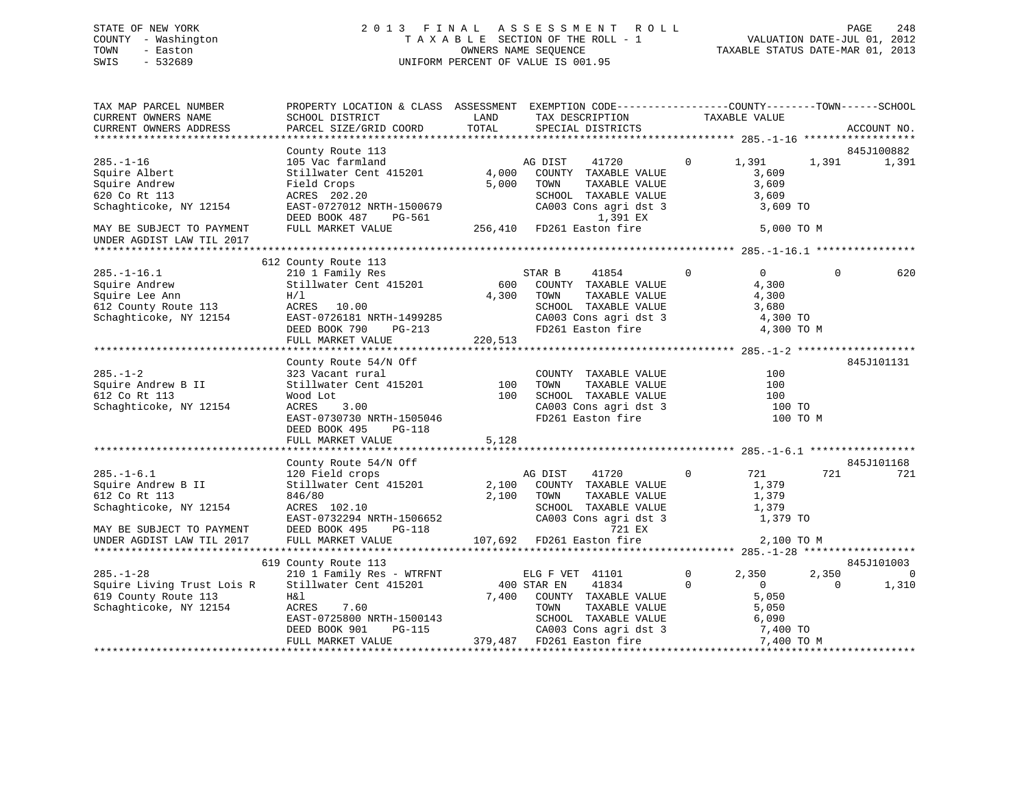# STATE OF NEW YORK 2 0 1 3 F I N A L A S S E S S M E N T R O L L PAGE 248 COUNTY - Washington T A X A B L E SECTION OF THE ROLL - 1 VALUATION DATE-JUL 01, 2012 TOWN - Easton OWNERS NAME SEQUENCE TAXABLE STATUS DATE-MAR 01, 2013 SWIS - 532689 UNIFORM PERCENT OF VALUE IS 001.95

| TAX MAP PARCEL NUMBER<br>CURRENT OWNERS NAME | PROPERTY LOCATION & CLASS ASSESSMENT EXEMPTION CODE----------------COUNTY-------TOWN------SCHOOL<br>SCHOOL DISTRICT | LAND    | TAX DESCRIPTION           |              | TAXABLE VALUE  |          |                |
|----------------------------------------------|---------------------------------------------------------------------------------------------------------------------|---------|---------------------------|--------------|----------------|----------|----------------|
| CURRENT OWNERS ADDRESS                       | PARCEL SIZE/GRID COORD                                                                                              | TOTAL   | SPECIAL DISTRICTS         |              |                |          | ACCOUNT NO.    |
| *************************                    |                                                                                                                     |         |                           |              |                |          |                |
|                                              | County Route 113                                                                                                    |         |                           |              |                |          | 845J100882     |
| $285. - 1 - 16$                              | 105 Vac farmland                                                                                                    |         | AG DIST<br>41720          | $\Omega$     | 1,391          | 1,391    | 1,391          |
| Squire Albert                                | Stillwater Cent 415201                                                                                              | 4,000   | COUNTY TAXABLE VALUE      |              | 3,609          |          |                |
| Squire Andrew                                | Field Crops                                                                                                         | 5,000   | TOWN<br>TAXABLE VALUE     |              | 3,609          |          |                |
| 620 Co Rt 113                                | ACRES 202.20                                                                                                        |         | SCHOOL TAXABLE VALUE      |              | 3,609          |          |                |
| Schaghticoke, NY 12154                       | EAST-0727012 NRTH-1500679                                                                                           |         | CA003 Cons agri dst 3     |              | 3,609 TO       |          |                |
|                                              | DEED BOOK 487<br>PG-561                                                                                             |         | 1,391 EX                  |              |                |          |                |
| MAY BE SUBJECT TO PAYMENT                    | FULL MARKET VALUE                                                                                                   |         | 256,410 FD261 Easton fire |              | 5,000 TO M     |          |                |
| UNDER AGDIST LAW TIL 2017                    |                                                                                                                     |         |                           |              |                |          |                |
|                                              |                                                                                                                     |         |                           |              |                |          |                |
|                                              | 612 County Route 113                                                                                                |         |                           |              |                |          |                |
| $285. - 1 - 16.1$                            | 210 1 Family Res                                                                                                    |         | STAR B<br>41854           | $\Omega$     | $\overline{0}$ | $\Omega$ | 620            |
| Squire Andrew                                | Stillwater Cent 415201                                                                                              | 600     | COUNTY TAXABLE VALUE      |              | 4,300          |          |                |
| Squire Lee Ann                               | H/1                                                                                                                 | 4,300   | TOWN<br>TAXABLE VALUE     |              | 4,300          |          |                |
| 612 County Route 113                         | ACRES 10.00                                                                                                         |         | SCHOOL TAXABLE VALUE      |              | 3,680          |          |                |
| Schaghticoke, NY 12154                       | EAST-0726181 NRTH-1499285                                                                                           |         | CA003 Cons agri dst 3     |              | 4,300 TO       |          |                |
|                                              | DEED BOOK 790<br>PG-213                                                                                             |         | FD261 Easton fire         |              | 4,300 TO M     |          |                |
|                                              | FULL MARKET VALUE                                                                                                   | 220,513 |                           |              |                |          |                |
|                                              |                                                                                                                     |         |                           |              |                |          |                |
|                                              | County Route 54/N Off                                                                                               |         |                           |              |                |          | 845J101131     |
| $285. - 1 - 2$                               | 323 Vacant rural                                                                                                    |         | COUNTY TAXABLE VALUE      |              | 100            |          |                |
| Squire Andrew B II                           |                                                                                                                     | 100     | TOWN<br>TAXABLE VALUE     |              | 100            |          |                |
| 612 Co Rt 113                                | Stillwater Cent 415201                                                                                              | 100     | SCHOOL TAXABLE VALUE      |              |                |          |                |
|                                              | Wood Lot                                                                                                            |         |                           |              | 100            |          |                |
| Schaghticoke, NY 12154                       | 3.00<br>ACRES                                                                                                       |         | CA003 Cons agri dst 3     |              | 100 TO         |          |                |
|                                              | EAST-0730730 NRTH-1505046                                                                                           |         | FD261 Easton fire         |              | 100 TO M       |          |                |
|                                              | DEED BOOK 495<br>PG-118                                                                                             |         |                           |              |                |          |                |
|                                              | FULL MARKET VALUE                                                                                                   | 5,128   |                           |              |                |          |                |
|                                              |                                                                                                                     |         |                           |              |                |          |                |
|                                              | County Route 54/N Off                                                                                               |         |                           |              |                |          | 845J101168     |
| $285. - 1 - 6.1$                             | 120 Field crops                                                                                                     |         | AG DIST<br>41720          | $\mathbf{0}$ | 721            | 721      | 721            |
| Squire Andrew B II                           | Stillwater Cent 415201                                                                                              | 2,100   | COUNTY TAXABLE VALUE      |              | 1,379          |          |                |
| 612 Co Rt 113                                | 846/80                                                                                                              | 2,100   | TAXABLE VALUE<br>TOWN     |              | 1,379          |          |                |
| Schaghticoke, NY 12154                       | ACRES 102.10                                                                                                        |         | SCHOOL TAXABLE VALUE      |              | 1,379          |          |                |
|                                              | EAST-0732294 NRTH-1506652                                                                                           |         | CA003 Cons agri dst 3     |              | 1,379 TO       |          |                |
| MAY BE SUBJECT TO PAYMENT                    | DEED BOOK 495 PG-118                                                                                                |         | 721 EX                    |              |                |          |                |
| UNDER AGDIST LAW TIL 2017                    | FULL MARKET VALUE                                                                                                   |         | 107,692 FD261 Easton fire |              | 2,100 TO M     |          |                |
|                                              |                                                                                                                     |         |                           |              |                |          |                |
|                                              | 619 County Route 113                                                                                                |         |                           |              |                |          | 845J101003     |
| $285. - 1 - 28$                              | 210 1 Family Res - WTRFNT                                                                                           |         | ELG F VET 41101           | $\mathbf{0}$ | 2,350          | 2,350    | $\overline{0}$ |
| Squire Living Trust Lois R                   | Stillwater Cent 415201                                                                                              |         | 400 STAR EN<br>41834      | $\Omega$     | $\overline{0}$ | $\Omega$ | 1,310          |
| 619 County Route 113                         | H&l                                                                                                                 | 7,400   | COUNTY TAXABLE VALUE      |              | 5,050          |          |                |
| Schaghticoke, NY 12154                       | ACRES<br>7.60                                                                                                       |         | TAXABLE VALUE<br>TOWN     |              | 5,050          |          |                |
|                                              | EAST-0725800 NRTH-1500143                                                                                           |         | SCHOOL TAXABLE VALUE      |              | 6,090          |          |                |
|                                              | DEED BOOK 901<br>PG-115                                                                                             |         | CA003 Cons agri dst 3     |              | 7,400 TO       |          |                |
|                                              | FULL MARKET VALUE                                                                                                   |         | 379,487 FD261 Easton fire |              | 7,400 TO M     |          |                |
|                                              |                                                                                                                     |         |                           |              |                |          |                |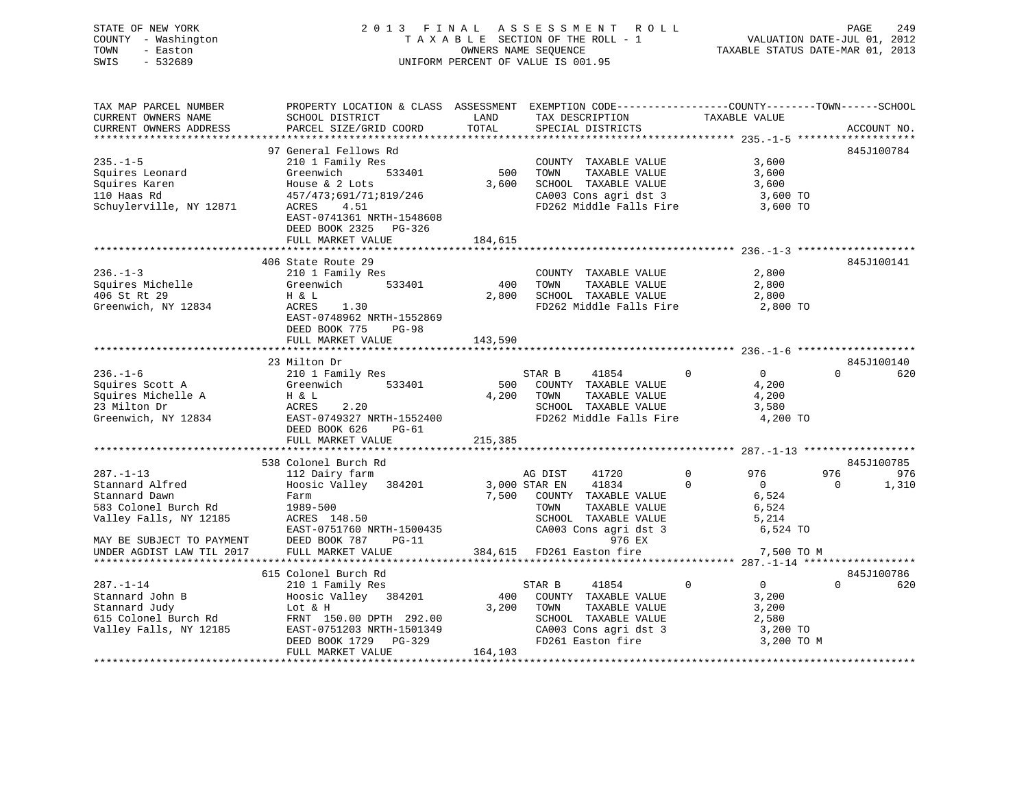STATE OF NEW YORK 2 0 1 3 F I N A L A S S E S S M E N T R O L L PAGE 249VALUATION DATE-JUL 01, 2012 COUNTY - Washington T A X A B L E SECTION OF THE ROLL - 1 VALUATION DATE-JUL 01, 2012 TOWN - Easton **CONNERS NAME SEQUENCE** TAXABLE STATUS DATE-MAR 01, 2013 SWIS - 532689 UNIFORM PERCENT OF VALUE IS 001.95

| TAX MAP PARCEL NUMBER                              | PROPERTY LOCATION & CLASS ASSESSMENT EXEMPTION CODE----------------COUNTY-------TOWN------SCHOOL |         |                                      |                            |                         |
|----------------------------------------------------|--------------------------------------------------------------------------------------------------|---------|--------------------------------------|----------------------------|-------------------------|
| CURRENT OWNERS NAME                                | SCHOOL DISTRICT                                                                                  | LAND    | TAX DESCRIPTION                      | TAXABLE VALUE              |                         |
| CURRENT OWNERS ADDRESS                             | PARCEL SIZE/GRID COORD                                                                           | TOTAL   | SPECIAL DISTRICTS                    |                            | ACCOUNT NO.             |
|                                                    |                                                                                                  |         |                                      |                            |                         |
|                                                    | 97 General Fellows Rd                                                                            |         |                                      |                            | 845J100784              |
| $235. -1 - 5$                                      | 210 1 Family Res                                                                                 |         |                                      | 3,600                      |                         |
|                                                    | 533401                                                                                           |         | COUNTY TAXABLE VALUE                 |                            |                         |
| Squires Leonard                                    | Greenwich                                                                                        | 500     | TOWN<br>TAXABLE VALUE                | 3,600                      |                         |
| Squires Karen                                      | House $\&$ 2 Lots                                                                                | 3,600   | SCHOOL TAXABLE VALUE                 | 3,600                      |                         |
| 110 Haas Rd                                        | 457/473;691/71;819/246                                                                           |         | CA003 Cons agri dst 3 3,600 TO       |                            |                         |
| Schuylerville, NY 12871                            | 4.51<br>ACRES                                                                                    |         | FD262 Middle Falls Fire 3,600 TO     |                            |                         |
|                                                    | EAST-0741361 NRTH-1548608                                                                        |         |                                      |                            |                         |
|                                                    | DEED BOOK 2325 PG-326                                                                            |         |                                      |                            |                         |
|                                                    | FULL MARKET VALUE                                                                                | 184,615 |                                      |                            |                         |
|                                                    |                                                                                                  |         |                                      |                            |                         |
|                                                    |                                                                                                  |         |                                      |                            |                         |
|                                                    | 406 State Route 29                                                                               |         |                                      |                            | 845J100141              |
| $236. - 1 - 3$                                     | 210 1 Family Res                                                                                 |         | COUNTY TAXABLE VALUE                 | 2,800                      |                         |
| Squires Michelle                                   | 533401<br>Greenwich                                                                              | 400     | TOWN<br>TAXABLE VALUE                | 2,800                      |                         |
| 406 St Rt 29                                       | H & L                                                                                            |         |                                      |                            |                         |
| Greenwich, NY 12834                                | ACRES<br>1.30                                                                                    |         |                                      |                            |                         |
|                                                    | EAST-0748962 NRTH-1552869                                                                        |         |                                      |                            |                         |
|                                                    | DEED BOOK 775<br>$PG-98$                                                                         |         |                                      |                            |                         |
|                                                    | FULL MARKET VALUE                                                                                | 143,590 |                                      |                            |                         |
|                                                    |                                                                                                  |         |                                      |                            |                         |
|                                                    | 23 Milton Dr                                                                                     |         |                                      |                            | 845J100140              |
| $236. - 1 - 6$                                     | 210 1 Family Res                                                                                 |         | 41854                                | $\Omega$                   | $\Omega$<br>620         |
|                                                    |                                                                                                  |         | STAR B                               | $\overline{0}$             |                         |
| Squires Scott A Greenv<br>Squires Michelle A H & L | Greenwich 533401                                                                                 |         | 500 COUNTY TAXABLE VALUE             | 4,200                      |                         |
|                                                    |                                                                                                  |         | 4,200 TOWN<br>TAXABLE VALUE          | 4,200                      |                         |
| 23 Milton Dr                                       | ACRES<br>2.20                                                                                    |         | SCHOOL TAXABLE VALUE                 | 3,580                      |                         |
|                                                    | Greenwich, NY 12834 EAST-0749327 NRTH-1552400                                                    |         | FD262 Middle Falls Fire              | 4,200 TO                   |                         |
|                                                    | DEED BOOK 626<br>PG-61                                                                           |         |                                      |                            |                         |
|                                                    | FULL MARKET VALUE                                                                                | 215,385 |                                      |                            |                         |
|                                                    |                                                                                                  |         |                                      |                            |                         |
|                                                    | 538 Colonel Burch Rd                                                                             |         |                                      |                            | 845J100785              |
| $287. - 1 - 13$                                    | 112 Dairy farm                                                                                   |         | AG DIST<br>41720                     | $0 \qquad \qquad$<br>976   | 976<br>976              |
|                                                    | Hoosic Valley 384201 3,000 STAR EN                                                               |         |                                      |                            |                         |
| Stannard Alfred                                    |                                                                                                  |         | 41834                                | $\overline{0}$<br>$\Omega$ | 1,310<br>$\overline{0}$ |
| Stannard Dawn                                      | Farm                                                                                             |         | 7,500 COUNTY TAXABLE VALUE           | 6,524<br>6,524             |                         |
| 583 Colonel Burch Rd                               | 1989-500                                                                                         |         | TOWN<br>TAXABLE VALUE                |                            |                         |
| Valley Falls, NY 12185                             | ACRES 148.50                                                                                     |         | SCHOOL TAXABLE VALUE                 | 5,214                      |                         |
|                                                    | EAST-0751760 NRTH-1500435                                                                        |         | CA003 Cons agri dst 3                | 6,524 TO                   |                         |
| MAY BE SUBJECT TO PAYMENT                          | $PG-11$<br>DEED BOOK 787                                                                         |         | 976 EX                               |                            |                         |
| UNDER AGDIST LAW TIL 2017                          | FULL MARKET VALUE                                                                                |         | 384,615 FD261 Easton fire 7,500 TO M |                            |                         |
|                                                    |                                                                                                  |         |                                      |                            |                         |
|                                                    | 615 Colonel Burch Rd                                                                             |         |                                      |                            | 845J100786              |
| $287. - 1 - 14$                                    |                                                                                                  |         | 41854<br>STAR B                      | $\Omega$<br>$\overline{0}$ | $\Omega$                |
|                                                    | 210 1 Family Res<br>Hoosic Valley 384201                                                         |         |                                      |                            | 620                     |
| Stannard John B                                    |                                                                                                  |         | 400 COUNTY TAXABLE VALUE             | 3,200                      |                         |
| Stannard Judy<br>615 Colonel Burch Rd              | Lot & H                                                                                          | 3,200   | TOWN<br>TAXABLE VALUE                | 3,200                      |                         |
|                                                    | FRNT 150.00 DPTH 292.00                                                                          |         | SCHOOL TAXABLE VALUE                 | 2,580                      |                         |
| Valley Falls, NY 12185                             | EAST-0751203 NRTH-1501349                                                                        |         | CA003 Cons agri dst 3                | 3,200 TO                   |                         |
|                                                    | DEED BOOK 1729 PG-329                                                                            |         | FD261 Easton fire                    | 3,200 TO M                 |                         |
|                                                    | FULL MARKET VALUE                                                                                | 164,103 |                                      |                            |                         |

\*\*\*\*\*\*\*\*\*\*\*\*\*\*\*\*\*\*\*\*\*\*\*\*\*\*\*\*\*\*\*\*\*\*\*\*\*\*\*\*\*\*\*\*\*\*\*\*\*\*\*\*\*\*\*\*\*\*\*\*\*\*\*\*\*\*\*\*\*\*\*\*\*\*\*\*\*\*\*\*\*\*\*\*\*\*\*\*\*\*\*\*\*\*\*\*\*\*\*\*\*\*\*\*\*\*\*\*\*\*\*\*\*\*\*\*\*\*\*\*\*\*\*\*\*\*\*\*\*\*\*\*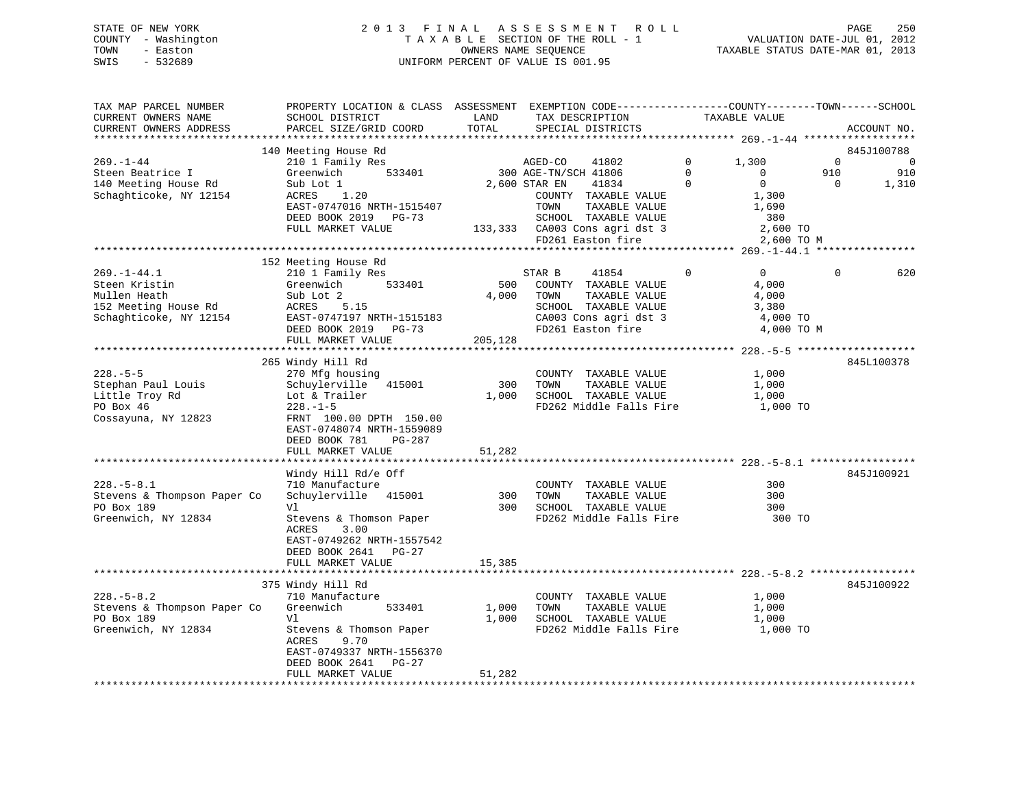# STATE OF NEW YORK 2 0 1 3 F I N A L A S S E S S M E N T R O L L PAGE 250 COUNTY - Washington T A X A B L E SECTION OF THE ROLL - 1 VALUATION DATE-JUL 01, 2012 TOWN - Easton OWNERS NAME SEQUENCE TAXABLE STATUS DATE-MAR 01, 2013 SWIS - 532689 UNIFORM PERCENT OF VALUE IS 001.95

| TAX MAP PARCEL NUMBER<br>CURRENT OWNERS NAME<br>CURRENT OWNERS ADDRESS                               | PROPERTY LOCATION & CLASS ASSESSMENT EXEMPTION CODE----------------COUNTY-------TOWN-----SCHOOL<br>SCHOOL DISTRICT<br>PARCEL SIZE/GRID COORD                                                            | LAND<br>TOTAL            | TAX DESCRIPTION<br>SPECIAL DISTRICTS                                                                                                                                                              | TAXABLE VALUE                                                                                                               |                             | ACCOUNT NO.                                  |
|------------------------------------------------------------------------------------------------------|---------------------------------------------------------------------------------------------------------------------------------------------------------------------------------------------------------|--------------------------|---------------------------------------------------------------------------------------------------------------------------------------------------------------------------------------------------|-----------------------------------------------------------------------------------------------------------------------------|-----------------------------|----------------------------------------------|
| $269. - 1 - 44$<br>Steen Beatrice I<br>140 Meeting House Rd<br>Schaghticoke, NY 12154                | 140 Meeting House Rd<br>210 1 Family Res<br>533401<br>Greenwich<br>Sub Lot 1<br>1.20<br>ACRES<br>EAST-0747016 NRTH-1515407<br>DEED BOOK 2019 PG-73<br>FULL MARKET VALUE                                 |                          | 41802<br>AGED-CO<br>300 AGE-TN/SCH 41806<br>2,600 STAR EN<br>41834<br>COUNTY TAXABLE VALUE<br>TOWN<br>TAXABLE VALUE<br>SCHOOL TAXABLE VALUE<br>133,333 CA003 Cons agri dst 3<br>FD261 Easton fire | $\mathbf 0$<br>1,300<br>$\Omega$<br>$\mathbf{0}$<br>$\Omega$<br>$\Omega$<br>1,300<br>1,690<br>380<br>2,600 TO<br>2,600 TO M | $\Omega$<br>910<br>$\Omega$ | 845J100788<br>$\overline{0}$<br>910<br>1,310 |
| $269. - 1 - 44.1$<br>Steen Kristin<br>Mullen Heath<br>152 Meeting House Rd<br>Schaghticoke, NY 12154 | 152 Meeting House Rd<br>210 1 Family Res<br>Greenwich<br>533401<br>Sub Lot 2<br>5.15<br>ACRES<br>EAST-0747197 NRTH-1515183<br>DEED BOOK 2019 PG-73<br>FULL MARKET VALUE                                 | 500<br>4,000<br>205,128  | STAR B<br>41854<br>COUNTY TAXABLE VALUE<br>TAXABLE VALUE<br>TOWN<br>SCHOOL TAXABLE VALUE<br>CA003 Cons agri dst 3                                                                                 | $\overline{0}$<br>0<br>4,000<br>4,000<br>3,380<br>4,000 TO<br>4,000 TO M                                                    | 0                           | 620                                          |
| $228. - 5 - 5$<br>Stephan Paul Louis<br>Little Troy Rd<br>PO Box 46<br>Cossayuna, NY 12823           | 265 Windy Hill Rd<br>270 Mfg housing<br>Schuylerville 415001<br>Lot & Trailer<br>$228. - 1 - 5$<br>FRNT 100.00 DPTH 150.00<br>EAST-0748074 NRTH-1559089<br>DEED BOOK 781<br>PG-287<br>FULL MARKET VALUE | 300<br>1,000<br>51,282   | COUNTY TAXABLE VALUE<br>TOWN<br>TAXABLE VALUE<br>SCHOOL TAXABLE VALUE<br>FD262 Middle Falls Fire                                                                                                  | 1,000<br>1,000<br>1,000<br>1,000 TO                                                                                         |                             | 845L100378                                   |
| $228. - 5 - 8.1$<br>Stevens & Thompson Paper Co<br>PO Box 189<br>Greenwich, NY 12834                 | Windy Hill Rd/e Off<br>710 Manufacture<br>Schuylerville 415001<br>V1<br>Stevens & Thomson Paper<br><b>ACRES</b><br>3.00<br>EAST-0749262 NRTH-1557542<br>DEED BOOK 2641 PG-27<br>FULL MARKET VALUE       | 300<br>300<br>15,385     | COUNTY TAXABLE VALUE<br>TOWN<br>TAXABLE VALUE<br>SCHOOL TAXABLE VALUE<br>FD262 Middle Falls Fire                                                                                                  | 300<br>300<br>300<br>300 TO                                                                                                 |                             | 845J100921                                   |
| $228. - 5 - 8.2$<br>Stevens & Thompson Paper Co<br>PO Box 189<br>Greenwich, NY 12834                 | 375 Windy Hill Rd<br>710 Manufacture<br>Greenwich<br>533401<br>V1<br>Stevens & Thomson Paper<br>9.70<br><b>ACRES</b><br>EAST-0749337 NRTH-1556370<br>DEED BOOK 2641 PG-27<br>FULL MARKET VALUE          | 1,000<br>1,000<br>51,282 | COUNTY TAXABLE VALUE<br>TOWN<br>TAXABLE VALUE<br>SCHOOL TAXABLE VALUE<br>FD262 Middle Falls Fire                                                                                                  | 1,000<br>1,000<br>1,000<br>1,000 TO                                                                                         |                             | 845J100922                                   |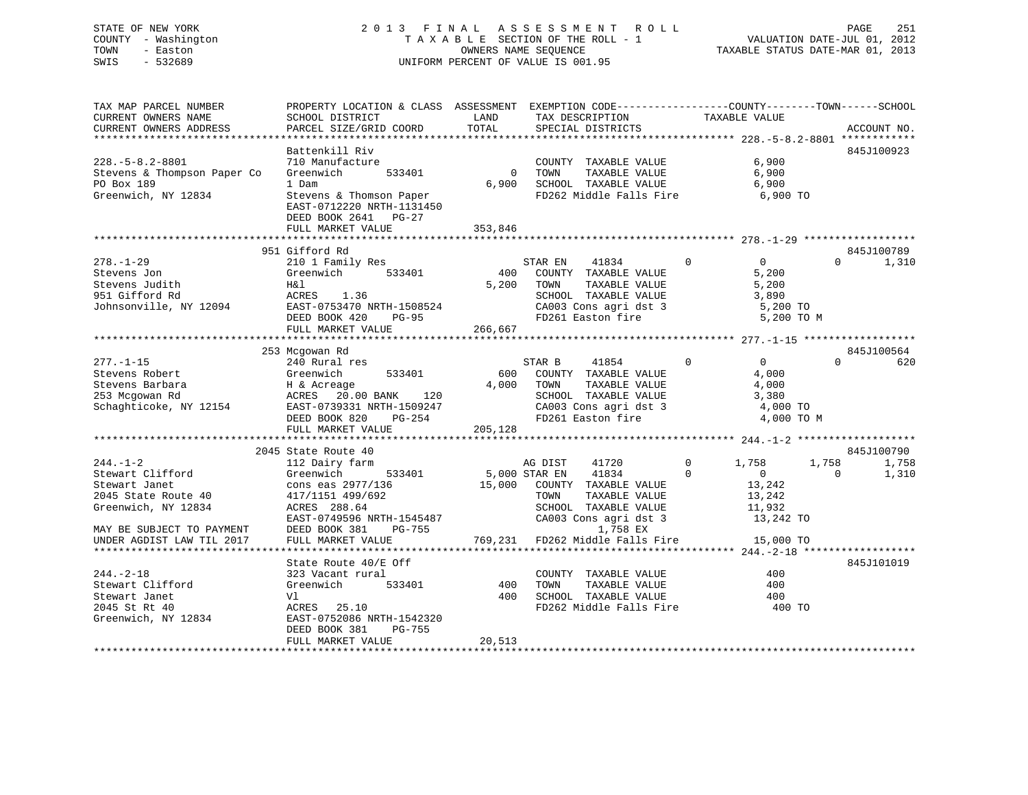# STATE OF NEW YORK 2 0 1 3 F I N A L A S S E S S M E N T R O L L PAGE 251 COUNTY - Washington T A X A B L E SECTION OF THE ROLL - 1 VALUATION DATE-JUL 01, 2012 TOWN - Easton **CONNERS NAME SEQUENCE** TAXABLE STATUS DATE-MAR 01, 2013 SWIS - 532689 UNIFORM PERCENT OF VALUE IS 001.95

| TAX MAP PARCEL NUMBER<br>CURRENT OWNERS NAME<br>CURRENT OWNERS ADDRESS | PROPERTY LOCATION & CLASS ASSESSMENT EXEMPTION CODE----------------COUNTY-------TOWN------SCHOOL<br>SCHOOL DISTRICT<br>PARCEL SIZE/GRID COORD | LAND<br>TOTAL     | TAX DESCRIPTION<br>SPECIAL DISTRICTS            | TAXABLE VALUE                 | ACCOUNT NO.       |
|------------------------------------------------------------------------|-----------------------------------------------------------------------------------------------------------------------------------------------|-------------------|-------------------------------------------------|-------------------------------|-------------------|
| $228. - 5 - 8.2 - 8801$                                                | Battenkill Riv<br>710 Manufacture                                                                                                             |                   | COUNTY TAXABLE VALUE                            | 6,900                         | 845J100923        |
| Stevens & Thompson Paper Co<br>PO Box 189                              | 533401<br>Greenwich<br>1 Dam                                                                                                                  | $\Omega$<br>6,900 | TOWN<br>TAXABLE VALUE<br>SCHOOL TAXABLE VALUE   | 6,900<br>6,900                |                   |
| Greenwich, NY 12834                                                    | Stevens & Thomson Paper<br>EAST-0712220 NRTH-1131450<br>DEED BOOK 2641<br>$PG-27$                                                             |                   | FD262 Middle Falls Fire                         | 6,900 TO                      |                   |
|                                                                        | FULL MARKET VALUE                                                                                                                             | 353,846           |                                                 |                               |                   |
|                                                                        | 951 Gifford Rd                                                                                                                                |                   |                                                 |                               | 845J100789        |
| $278. - 1 - 29$                                                        | 210 1 Family Res                                                                                                                              |                   | STAR EN<br>41834                                | $\Omega$<br>$\overline{0}$    | 1,310<br>$\Omega$ |
| Stevens Jon                                                            | Greenwich<br>533401                                                                                                                           | 400               | COUNTY TAXABLE VALUE                            | 5,200                         |                   |
| Stevens Judith                                                         | H&l                                                                                                                                           | 5,200             | TOWN<br>TAXABLE VALUE                           | 5,200                         |                   |
| 951 Gifford Rd                                                         | ACRES<br>1.36                                                                                                                                 |                   | SCHOOL TAXABLE VALUE                            | 3,890                         |                   |
| Johnsonville, NY 12094                                                 | EAST-0753470 NRTH-1508524                                                                                                                     |                   | CA003 Cons agri dst 3                           | 5,200 TO                      |                   |
|                                                                        | DEED BOOK 420<br>$PG-95$                                                                                                                      |                   | FD261 Easton fire                               | 5,200 TO M                    |                   |
|                                                                        | FULL MARKET VALUE                                                                                                                             | 266,667           |                                                 |                               |                   |
|                                                                        |                                                                                                                                               |                   |                                                 |                               |                   |
|                                                                        | 253 Mcgowan Rd                                                                                                                                |                   |                                                 |                               | 845J100564        |
| $277. - 1 - 15$                                                        | 240 Rural res                                                                                                                                 |                   | STAR B<br>41854                                 | $\Omega$<br>$\Omega$          | $\Omega$<br>620   |
| Stevens Robert                                                         | Greenwich<br>533401                                                                                                                           | 600               | COUNTY TAXABLE VALUE                            | 4,000                         |                   |
| Stevens Barbara                                                        | H & Acreage                                                                                                                                   | 4,000             | TOWN<br>TAXABLE VALUE                           | 4,000                         |                   |
| 253 Mcgowan Rd                                                         | ACRES 20.00 BANK<br>120                                                                                                                       |                   | SCHOOL TAXABLE VALUE                            | 3,380                         |                   |
| Schaghticoke, NY 12154                                                 | EAST-0739331 NRTH-1509247                                                                                                                     |                   | CA003 Cons agri dst 3<br>FD261 Easton fire      | 4,000 TO<br>4,000 TO M        |                   |
|                                                                        | DEED BOOK 820<br>PG-254<br>FULL MARKET VALUE                                                                                                  | 205,128           |                                                 |                               |                   |
|                                                                        |                                                                                                                                               |                   |                                                 |                               |                   |
|                                                                        | 2045 State Route 40                                                                                                                           |                   |                                                 |                               | 845J100790        |
| $244. - 1 - 2$                                                         | 112 Dairy farm                                                                                                                                |                   | AG DIST<br>41720                                | $\mathbf 0$<br>1,758<br>1,758 | 1,758             |
| Stewart Clifford                                                       | Greenwich<br>533401                                                                                                                           |                   | 41834<br>5,000 STAR EN                          | $\Omega$<br>$\mathbf{0}$      | $\Omega$<br>1,310 |
| Stewart Janet                                                          | cons eas 2977/136                                                                                                                             | 15,000            | COUNTY TAXABLE VALUE                            | 13,242                        |                   |
| 2045 State Route 40                                                    | 417/1151 499/692                                                                                                                              |                   | TOWN<br>TAXABLE VALUE                           | 13,242                        |                   |
| Greenwich, NY 12834                                                    | ACRES 288.64                                                                                                                                  |                   | SCHOOL TAXABLE VALUE                            | 11,932                        |                   |
|                                                                        | EAST-0749596 NRTH-1545487                                                                                                                     |                   | CA003 Cons agri dst 3                           | 13,242 TO                     |                   |
| MAY BE SUBJECT TO PAYMENT                                              | DEED BOOK 381<br>PG-755                                                                                                                       |                   | 1,758 EX                                        |                               |                   |
| UNDER AGDIST LAW TIL 2017                                              | FULL MARKET VALUE                                                                                                                             | 769,231           | FD262 Middle Falls Fire                         | 15,000 TO                     |                   |
|                                                                        |                                                                                                                                               |                   |                                                 |                               |                   |
|                                                                        | State Route 40/E Off                                                                                                                          |                   |                                                 |                               | 845J101019        |
| $244. - 2 - 18$                                                        | 323 Vacant rural                                                                                                                              |                   | COUNTY TAXABLE VALUE                            | 400                           |                   |
| Stewart Clifford                                                       | Greenwich<br>533401                                                                                                                           | 400               | TAXABLE VALUE<br>TOWN                           | 400                           |                   |
| Stewart Janet<br>2045 St Rt 40                                         | Vl<br>ACRES<br>25.10                                                                                                                          | 400               | SCHOOL TAXABLE VALUE<br>FD262 Middle Falls Fire | 400<br>400 TO                 |                   |
| Greenwich, NY 12834                                                    | EAST-0752086 NRTH-1542320                                                                                                                     |                   |                                                 |                               |                   |
|                                                                        | DEED BOOK 381<br>PG-755                                                                                                                       |                   |                                                 |                               |                   |
|                                                                        | FULL MARKET VALUE                                                                                                                             | 20,513            |                                                 |                               |                   |
|                                                                        |                                                                                                                                               |                   |                                                 |                               |                   |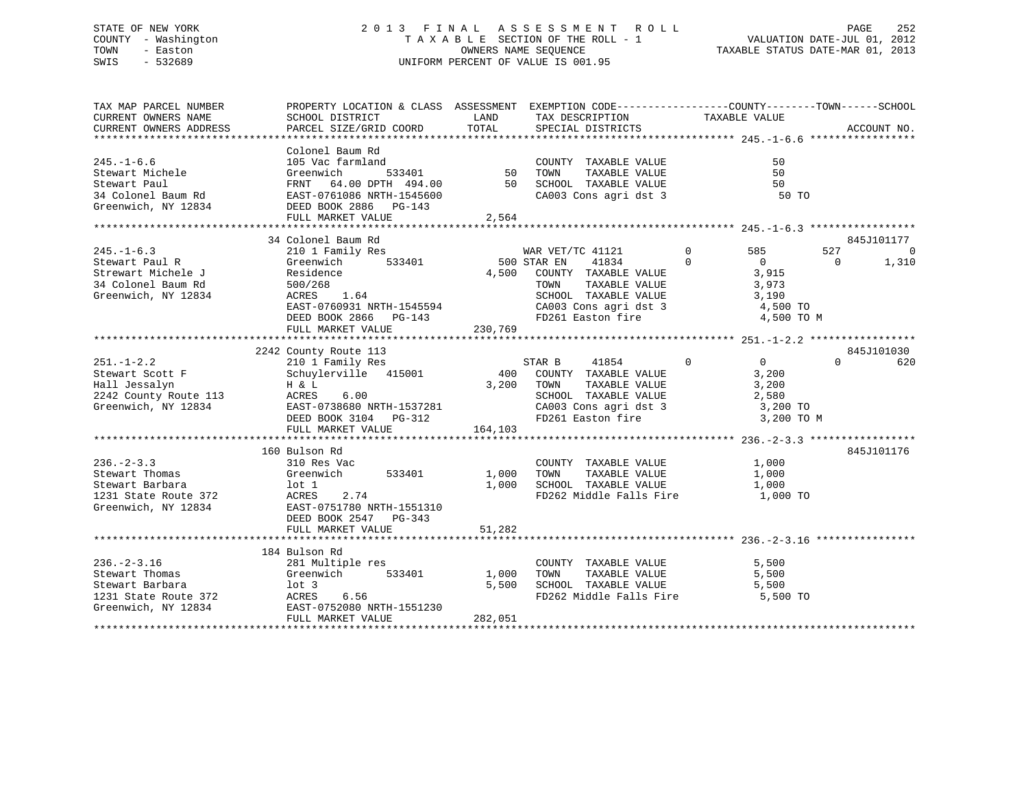# STATE OF NEW YORK 2 0 1 3 F I N A L A S S E S S M E N T R O L L PAGE 252 COUNTY - Washington T A X A B L E SECTION OF THE ROLL - 1 VALUATION DATE-JUL 01, 2012 TOWN - Easton OWNERS NAME SEQUENCE TAXABLE STATUS DATE-MAR 01, 2013 SWIS - 532689 UNIFORM PERCENT OF VALUE IS 001.95

| TAX MAP PARCEL NUMBER                         | PROPERTY LOCATION & CLASS ASSESSMENT EXEMPTION CODE--------------COUNTY-------TOWN-----SCHOOL                                                                                                   |                                          |                                                        |                            |                   |
|-----------------------------------------------|-------------------------------------------------------------------------------------------------------------------------------------------------------------------------------------------------|------------------------------------------|--------------------------------------------------------|----------------------------|-------------------|
| CURRENT OWNERS NAME<br>CURRENT OWNERS ADDRESS | SCHOOL DISTRICT<br>PARCEL SIZE/GRID COORD                                                                                                                                                       | LAND<br>TOTAL                            | TAX DESCRIPTION<br>SPECIAL DISTRICTS                   | TAXABLE VALUE              | ACCOUNT NO.       |
|                                               |                                                                                                                                                                                                 |                                          |                                                        |                            |                   |
|                                               | Colonel Baum Rd                                                                                                                                                                                 |                                          |                                                        |                            |                   |
| $245. - 1 - 6.6$                              | 105 Vac farmland                                                                                                                                                                                |                                          | COUNTY TAXABLE VALUE                                   | 50                         |                   |
| Stewart Michele                               | Greenwich                                                                                                                                                                                       | d<br>533401                           50 | TOWN<br>TAXABLE VALUE                                  | 50                         |                   |
|                                               |                                                                                                                                                                                                 |                                          |                                                        | 50                         |                   |
|                                               |                                                                                                                                                                                                 |                                          |                                                        | 50 TO                      |                   |
|                                               | Stewart Paul<br>Stewart Paul<br>Stewart Paul<br>Stewart Paul<br>ERST-0761086 NRTH-1545600<br>ERST-0761086 NRTH-1545600<br>CA003 Cons agri dst 3<br>Greenwich, NY 12834<br>DEED BOOK 2886 PG-143 |                                          |                                                        |                            |                   |
|                                               | FULL MARKET VALUE                                                                                                                                                                               | 2,564                                    |                                                        |                            |                   |
|                                               |                                                                                                                                                                                                 |                                          |                                                        |                            |                   |
|                                               | 34 Colonel Baum Rd                                                                                                                                                                              |                                          |                                                        |                            | 845J101177        |
| $245. - 1 - 6.3$                              | 210 1 Family Res                                                                                                                                                                                |                                          | WAR VET/TC 41121                                       | $\overline{0}$<br>585      | 527<br>0          |
| Stewart Paul R                                | Greenwich<br>533401                                                                                                                                                                             |                                          | 500 STAR EN<br>41834                                   | $\Omega$<br>$\overline{0}$ | 1,310<br>$\Omega$ |
|                                               | Residence                                                                                                                                                                                       |                                          |                                                        | 3,915                      |                   |
| Strewart Michele J<br>34 Colonel Baum Rd      | 500/268                                                                                                                                                                                         |                                          | 4,500 COUNTY TAXABLE VALUE<br>TOWN TAXABLE VALUE       | 3,973                      |                   |
| Greenwich, NY 12834                           | 1.64<br>ACRES                                                                                                                                                                                   |                                          | SCHOOL TAXABLE VALUE                                   |                            |                   |
|                                               | EAST-0760931 NRTH-1545594                                                                                                                                                                       |                                          |                                                        | 3,190<br>4,500 TO          |                   |
|                                               |                                                                                                                                                                                                 |                                          | CA003 Cons agri dst 3<br>FD261 Easton fire             | 4,500 TO M                 |                   |
|                                               | DEED BOOK 2866 PG-143                                                                                                                                                                           |                                          |                                                        |                            |                   |
|                                               | FULL MARKET VALUE                                                                                                                                                                               | 230,769                                  |                                                        |                            |                   |
|                                               |                                                                                                                                                                                                 |                                          |                                                        |                            | 845J101030        |
|                                               | 2242 County Route 113                                                                                                                                                                           |                                          | $\sim$ 0                                               | $\sim$ 0                   | $\Omega$          |
| $251. - 1 - 2.2$                              | 210 1 Family Res                                                                                                                                                                                |                                          | STAR B<br>41854<br>400 COUNTY TAXABLE VALUE            | 3,200                      | 620               |
| Stewart Scott F                               | Schuylerville 415001                                                                                                                                                                            |                                          | 3,200 TOWN                                             |                            |                   |
| Hall Jessalyn                                 |                                                                                                                                                                                                 |                                          | TOWN TAXABLE VALUE 3,200<br>SCHOOL TAXABLE VALUE 2,580 |                            |                   |
|                                               | 6.00                                                                                                                                                                                            |                                          |                                                        |                            |                   |
| Greenwich, NY 12834                           | EAST-0738680 NRTH-1537281<br>DEED BOOK 3104 $PG-312$                                                                                                                                            |                                          | CA003 Cons agri dst 3<br>FD261 Easton fire             | 3,200 TO                   |                   |
|                                               |                                                                                                                                                                                                 |                                          |                                                        | 3,200 TO M                 |                   |
|                                               | FULL MARKET VALUE                                                                                                                                                                               | 164,103                                  |                                                        |                            |                   |
|                                               |                                                                                                                                                                                                 |                                          |                                                        |                            |                   |
|                                               | 160 Bulson Rd                                                                                                                                                                                   |                                          |                                                        |                            | 845J101176        |
| $236. - 2 - 3.3$                              | 310 Res Vac                                                                                                                                                                                     |                                          | COUNTY TAXABLE VALUE<br>TAXABLE VALUE                  | 1,000                      |                   |
| Stewart Thomas                                | 533401<br>Greenwich                                                                                                                                                                             |                                          | 1,000 TOWN                                             | 1,000                      |                   |
| Stewart Barbara                               | lot 1<br>ACRES                                                                                                                                                                                  | 1,000                                    | SCHOOL TAXABLE VALUE                                   | 1,000                      |                   |
| 1231 State Route 372                          | ACRES<br>2.74                                                                                                                                                                                   |                                          | FD262 Middle Falls Fire                                | 1,000 TO                   |                   |
| Greenwich, NY 12834                           | EAST-0751780 NRTH-1551310                                                                                                                                                                       |                                          |                                                        |                            |                   |
|                                               | DEED BOOK 2547 PG-343                                                                                                                                                                           |                                          |                                                        |                            |                   |
|                                               | FULL MARKET VALUE                                                                                                                                                                               | 51,282                                   |                                                        |                            |                   |
|                                               |                                                                                                                                                                                                 |                                          |                                                        |                            |                   |
|                                               | 184 Bulson Rd                                                                                                                                                                                   |                                          |                                                        |                            |                   |
| $236. - 2 - 3.16$                             | 281 Multiple res                                                                                                                                                                                |                                          | COUNTY TAXABLE VALUE                                   | 5,500                      |                   |
| Stewart Thomas                                | Greenwich<br>533401                                                                                                                                                                             | 1,000                                    | TAXABLE VALUE<br>TOWN<br>SCHOOL TAXABLE VALUE 5,500    | 5,500                      |                   |
| Stewart Barbara                               | $1$ ot $3$                                                                                                                                                                                      | 5,500                                    |                                                        |                            |                   |
| 1231 State Route 372                          | ACRES       6.56<br>EAST-0752080 NRTH-1551230                                                                                                                                                   |                                          | FD262 Middle Falls Fire                                | 5,500 TO                   |                   |
| Greenwich, NY 12834                           |                                                                                                                                                                                                 |                                          |                                                        |                            |                   |
|                                               | FULL MARKET VALUE                                                                                                                                                                               | 282,051                                  |                                                        |                            |                   |
|                                               |                                                                                                                                                                                                 |                                          |                                                        |                            |                   |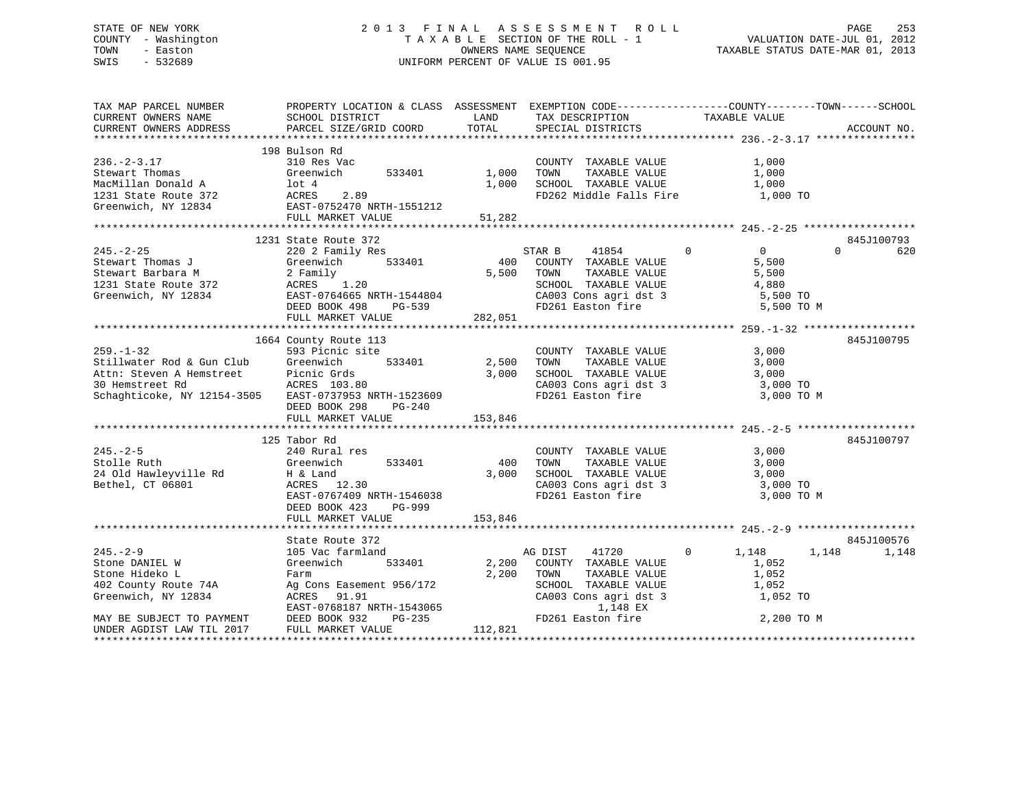# STATE OF NEW YORK 2 0 1 3 F I N A L A S S E S S M E N T R O L L PAGE 253 COUNTY - Washington T A X A B L E SECTION OF THE ROLL - 1 VALUATION DATE-JUL 01, 2012 TOWN - Easton OWNERS NAME SEQUENCE TAXABLE STATUS DATE-MAR 01, 2013 SWIS - 532689 UNIFORM PERCENT OF VALUE IS 001.95

| TAX MAP PARCEL NUMBER<br>CURRENT OWNERS NAME<br>CURRENT OWNERS ADDRESS                                                                                                                                                                                                                                                                           | PROPERTY LOCATION & CLASS ASSESSMENT EXEMPTION CODE---------------COUNTY-------TOWN-----SCHOOL<br>SCHOOL DISTRICT<br>PARCEL SIZE/GRID COORD                                             | <b>LAND</b><br>TOTAL | TAX DESCRIPTION TAXABLE VALUE SPECIAL DISTRICTS                                                                                                  |                                                                                 | ACCOUNT NO.         |
|--------------------------------------------------------------------------------------------------------------------------------------------------------------------------------------------------------------------------------------------------------------------------------------------------------------------------------------------------|-----------------------------------------------------------------------------------------------------------------------------------------------------------------------------------------|----------------------|--------------------------------------------------------------------------------------------------------------------------------------------------|---------------------------------------------------------------------------------|---------------------|
| $236 - 2 - 3.17$<br>Stewart Thomas<br>MacMillan Donald A 10t 4<br>1231 State Route 372<br>Greenwich, NY 12834<br>EAST-0752470 NRTH-1551212<br>ENGLE POST-0752470 NRTH-1551212                                                                                                                                                                    | 198 Bulson Rd<br>310 Res Vac<br>533401 1,000<br>FULL MARKET VALUE 51,282                                                                                                                |                      | COUNTY TAXABLE VALUE<br>TAXABLE VALUE<br>TOWN<br>1,000 SCHOOL TAXABLE VALUE 1,000<br>FD262 Middle Falls Fire 1,000 TO                            | 1,000<br>1,000                                                                  |                     |
|                                                                                                                                                                                                                                                                                                                                                  | 1231 State Route 372                                                                                                                                                                    |                      |                                                                                                                                                  |                                                                                 | 845J100793          |
| $\begin{tabular}{lcccccc} & & & & & 1231 State Route 372 & & & & & & 1231 State Route 372 & & & & & & 1854 & & & 1854 & & & 1854 & & & 1854 & & & 1854 & & & 1854 & & & 1854 & & & 1854 & & & 1854 & & & 1854 & & & 1854 & & & 1854 & & & 1854 & & & 1854 & & & 1854 & & & 1854 & & & 1854 & & & 1854 & & & 1854 & & & 1854 & & & 1854 & & & 18$ | FULL MARKET VALUE                                                                                                                                                                       | 282,051              | $\overline{0}$<br>SCHOOL TAXABLE VALUE<br>CA003 Cons agri dst 3 5,500 TO<br>FD261 Easton fire                                                    | $\overline{0}$<br>5,500<br>5,500<br>4,880<br>5,500 TO M                         | $\Omega$<br>620     |
|                                                                                                                                                                                                                                                                                                                                                  | 1664 County Route 113                                                                                                                                                                   |                      |                                                                                                                                                  |                                                                                 | 845J100795          |
| $259. - 1 - 32$<br>Stillwater Rod & Gun Club Greenwich 533401 2,500<br>Attn: Steven A Hemstreet Picnic Grds 3,000<br>30 Hemstreet Rd ACRES 103.80<br>Schaghticoke, NY 12154-3505 EAST-0737953 NRTH-1523609                                                                                                                                       | 593 Picnic site<br>533401 2,500 TOWN<br>DEED BOOK 298<br>PG-240<br>FULL MARKET VALUE                                                                                                    | 3,000<br>153,846     | COUNTY TAXABLE VALUE<br>TOWN TAXABLE VALUE<br>SCHOOL TAXABLE VALUE 3,000<br>CA003 Cons agri dst 3 3,000 TO<br>FD261 Easton fire 3,000 TO         | 3,000<br>3,000<br>3,000 TO M                                                    |                     |
|                                                                                                                                                                                                                                                                                                                                                  | 125 Tabor Rd                                                                                                                                                                            |                      |                                                                                                                                                  |                                                                                 | 845J100797          |
| $245. - 2 - 5$<br>Stolle Ruth<br>24 Old Hawleyville Rd<br>Bethel, CT 06801                                                                                                                                                                                                                                                                       | 240 Rural res<br>533401<br>Greenwich<br>H & Land<br>ACRES 12.30<br>EAST-0767409 NRTH-1546038<br>DEED BOOK 423<br>PG-999                                                                 | 400<br>3,000         | COUNTY TAXABLE VALUE<br>TAXABLE VALUE<br>TOWN<br>SCHOOL TAXABLE VALUE 3,000<br>CA003 Cons agri dst 3 3,000 TO<br>FD261 Easton fire               | 3,000<br>3,000<br>3,000 TO M                                                    |                     |
|                                                                                                                                                                                                                                                                                                                                                  | FULL MARKET VALUE                                                                                                                                                                       | 153,846              |                                                                                                                                                  |                                                                                 |                     |
|                                                                                                                                                                                                                                                                                                                                                  |                                                                                                                                                                                         |                      |                                                                                                                                                  |                                                                                 |                     |
| $245. - 2 - 9$<br>Stone DANIEL W<br>Stone Hideko L<br>402 County Route 74A<br>Greenwich, NY 12834<br>MAY BE SUBJECT TO PAYMENT                                                                                                                                                                                                                   | State Route 372<br>105 Vac farmland<br>Greenwich<br>533401<br>Farm<br>Ag Cons Easement 956/172<br>ACRES 91.91<br>EAST-0768187 NRTH-1543065<br>DEED BOOK 932 PG-235<br>FULL MARKET VALUE | 2,200<br>112,821     | AG DIST<br>2,200 COUNTY TAXABLE VALUE<br>TAXABLE VALUE<br>TOWN<br>SCHOOL TAXABLE VALUE<br>CA003 Cons agri dst 3<br>1,148 EX<br>FD261 Easton fire | 41720 0 1,148<br>1,148<br>$1\,,052$<br>1,052<br>1,052<br>1,052 TO<br>2,200 TO M | 845J100576<br>1,148 |
| UNDER AGDIST LAW TIL 2017                                                                                                                                                                                                                                                                                                                        |                                                                                                                                                                                         |                      |                                                                                                                                                  |                                                                                 |                     |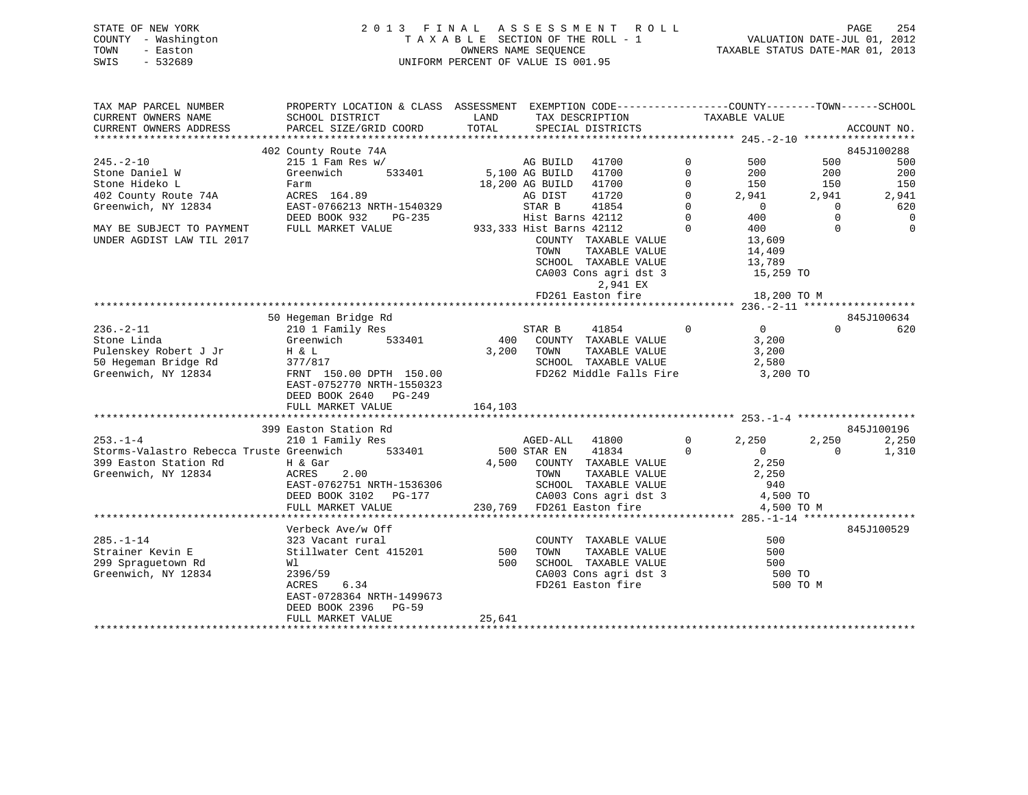# STATE OF NEW YORK 2 0 1 3 F I N A L A S S E S S M E N T R O L L PAGE 254 COUNTY - Washington T A X A B L E SECTION OF THE ROLL - 1 VALUATION DATE-JUL 01, 2012 TOWN - Easton OWNERS NAME SEQUENCE TAXABLE STATUS DATE-MAR 01, 2013 SWIS - 532689 UNIFORM PERCENT OF VALUE IS 001.95

| TAX MAP PARCEL NUMBER<br>CURRENT OWNERS NAME                                                                       | PROPERTY LOCATION & CLASS ASSESSMENT EXEMPTION CODE---------------COUNTY-------TOWN------SCHOOL<br>SCHOOL DISTRICT                                                 | LAND       | TAX DESCRIPTION                                                                                                                                                                                    | TAXABLE VALUE                                                                                      |                                     |                                |
|--------------------------------------------------------------------------------------------------------------------|--------------------------------------------------------------------------------------------------------------------------------------------------------------------|------------|----------------------------------------------------------------------------------------------------------------------------------------------------------------------------------------------------|----------------------------------------------------------------------------------------------------|-------------------------------------|--------------------------------|
| CURRENT OWNERS ADDRESS                                                                                             | PARCEL SIZE/GRID COORD                                                                                                                                             | TOTAL      | SPECIAL DISTRICTS                                                                                                                                                                                  |                                                                                                    |                                     | ACCOUNT NO.                    |
|                                                                                                                    | 402 County Route 74A                                                                                                                                               |            |                                                                                                                                                                                                    |                                                                                                    |                                     | 845J100288                     |
| $245. - 2 - 10$<br>Stone Daniel W<br>Stone Hideko L                                                                | $215$ 1 Fam Res w/<br>533401<br>Greenwich<br>Farm                                                                                                                  |            | AG BUILD 41700<br>5,100 AG BUILD 41700<br>18,200 AG BUILD 41700                                                                                                                                    | $\overline{0}$<br>500<br>$\Omega$<br>$200$<br>150<br>$\Omega$                                      | 500<br>200<br>150                   | 500<br>200<br>150              |
| 402 County Route 74A<br>Greenwich, NY 12834                                                                        | ACRES 164.89<br>EAST-0766213 NRTH-1540329<br>DEED BOOK 932<br>PG-235                                                                                               |            | 41720<br>AG DIST<br>41854<br>STAR B<br>Hist Barns 42112                                                                                                                                            | 2,941<br>$\Omega$<br>$\begin{array}{c}0\\400\end{array}$<br>$\begin{matrix}0\\0\end{matrix}$       | 2,941<br>$\overline{0}$<br>$\Omega$ | 2,941<br>620<br>$\overline{0}$ |
| MAY BE SUBJECT TO PAYMENT<br>UNDER AGDIST LAW TIL 2017                                                             | FULL MARKET VALUE                                                                                                                                                  |            | 933,333 Hist Barns 42112<br>COUNTY TAXABLE VALUE<br>TAXABLE VALUE<br>TOWN<br>SCHOOL TAXABLE VALUE<br>CA003 Cons agri dst $3$ 15,259 TO<br>2,941 EX<br>FD261 Easton fire                            | $\Omega$<br>400<br>13,609<br>14,409<br>13,789<br>18,200 TO M                                       | $\Omega$                            | $\overline{0}$                 |
|                                                                                                                    |                                                                                                                                                                    |            |                                                                                                                                                                                                    |                                                                                                    |                                     |                                |
|                                                                                                                    |                                                                                                                                                                    |            |                                                                                                                                                                                                    |                                                                                                    |                                     | 845J100634                     |
| $236. - 2 - 11$<br>Stone Linda<br>$H \& L$<br>Pulenskey Robert J Jr<br>50 Hegeman Bridge Rd<br>Greenwich, NY 12834 | 210 1 Family Res<br>210 1 Family Res<br>Greenwich<br>377/817<br>FRNT 150.00 DPTH 150.00<br>EAST-0752770 NRTH-1550323<br>DEED BOOK 2640 PG-249<br>FULL MARKET VALUE | 164,103    | STAR B<br>41854<br>400 COUNTY TAXABLE VALUE<br>3,200 TOWN<br>TAXABLE VALUE<br>SCHOOL TAXABLE VALUE<br>FD262 Middle Falls Fire 3,200 TO                                                             | $\overline{0}$<br>$\overline{0}$<br>3,200<br>3,200<br>2,580                                        | $\Omega$                            | 620                            |
|                                                                                                                    | 399 Easton Station Rd                                                                                                                                              |            |                                                                                                                                                                                                    |                                                                                                    |                                     | 845J100196                     |
| $253 - 1 - 4$<br>Storms-Valastro Rebecca Truste Greenwich 533401<br>399 Easton Station Rd<br>Greenwich, NY 12834   | 210 1 Family Res<br>H & Gar<br>2.00<br>ACRES<br>EAST-0762751 NRTH-1536306<br>DEED BOOK 3102 PG-177<br>FULL MARKET VALUE                                            |            | AGED-ALL 41800<br>500 STAR EN 41834<br>4,500 COUNTY TAXABLE VALUE<br>TOWN TAXABLE VALUE<br>SCHOOL TAXABLE VALUE<br>CA003 Cons agri dst 3<br>230,769 FD261 Easton fire<br>230,769 FD261 Easton fire | $\Omega$<br>2,250<br>$\Omega$<br>$\overline{0}$<br>2,250<br>2,250<br>940<br>4,500 TO<br>4,500 TO M | 2,250<br>$\Omega$                   | 2,250<br>1,310                 |
|                                                                                                                    | Verbeck Ave/w Off                                                                                                                                                  |            |                                                                                                                                                                                                    |                                                                                                    |                                     | 845J100529                     |
| $285. - 1 - 14$<br>Strainer Kevin E<br>299 Spraguetown Rd<br>Greenwich, NY 12834                                   | 323 Vacant rural<br>Stillwater Cent 415201<br>Wl<br>2396/59<br>ACRES<br>6.34<br>EAST-0728364 NRTH-1499673<br>DEED BOOK 2396<br><b>PG-59</b>                        | 500<br>500 | COUNTY TAXABLE VALUE<br>TOWN<br>TAXABLE VALUE<br>SCHOOL TAXABLE VALUE<br>CA003 Cons agri dst 3<br>FD261 Easton fire                                                                                | 500<br>500<br>500<br>500 TO                                                                        | 500 TO M                            |                                |
|                                                                                                                    | FULL MARKET VALUE                                                                                                                                                  | 25,641     |                                                                                                                                                                                                    |                                                                                                    |                                     |                                |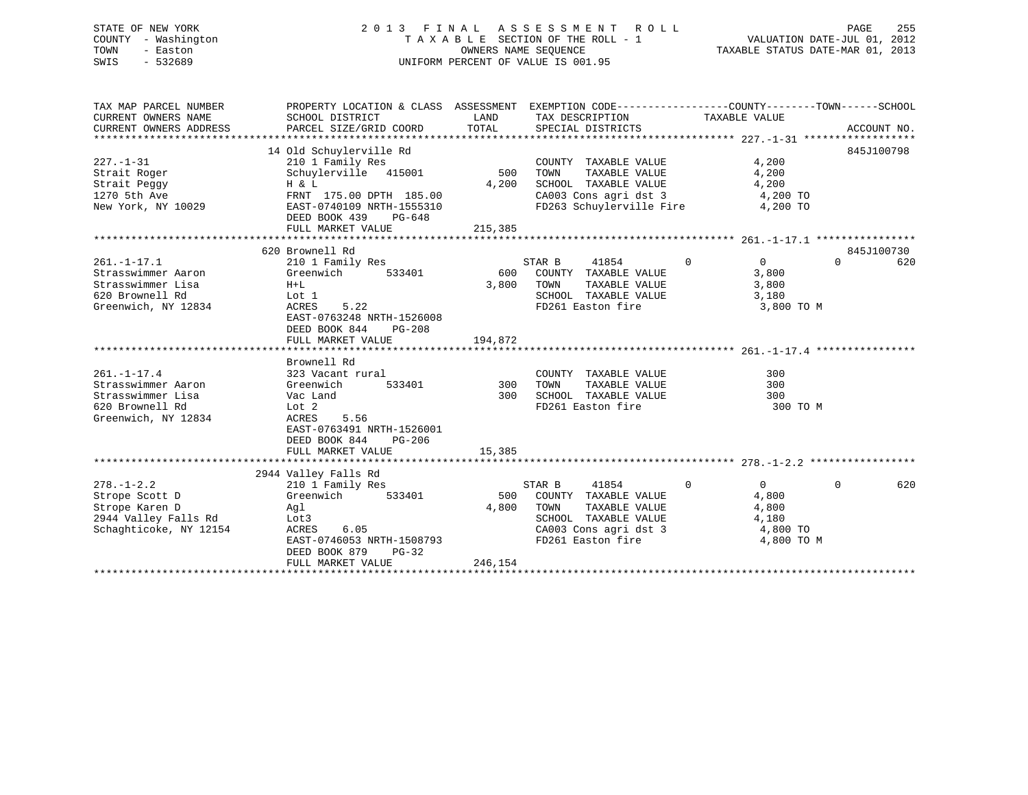#### STATE OF NEW YORK 2 0 1 3 F I N A L A S S E S S M E N T R O L L PAGE 255COUNTY - Washington T A X A B L E SECTION OF THE ROLL - 1 TOWN - Easton **CONNERS NAME SEQUENCE** TAXABLE STATUS DATE-MAR 01, 2013 SWIS - 532689 UNIFORM PERCENT OF VALUE IS 001.95

| TAX MAP PARCEL NUMBER<br>CURRENT OWNERS NAME<br>CURRENT OWNERS ADDRESS                                 | PROPERTY LOCATION & CLASS ASSESSMENT EXEMPTION CODE---------------COUNTY-------TOWN-----SCHOOL<br>SCHOOL DISTRICT<br>PARCEL SIZE/GRID COORD                                          | LAND<br>TOTAL           | TAX DESCRIPTION<br>SPECIAL DISTRICTS                                                                                                   | TAXABLE VALUE                                                                       | ACCOUNT NO.                   |
|--------------------------------------------------------------------------------------------------------|--------------------------------------------------------------------------------------------------------------------------------------------------------------------------------------|-------------------------|----------------------------------------------------------------------------------------------------------------------------------------|-------------------------------------------------------------------------------------|-------------------------------|
| $227. - 1 - 31$<br>Strait Roger<br>Strait Peggy<br>1270 5th Ave<br>New York, NY 10029                  | 14 Old Schuylerville Rd<br>210 1 Family Res<br>Schuylerville 415001<br>H & L<br>FRNT 175.00 DPTH 185.00<br>EAST-0740109 NRTH-1555310<br>DEED BOOK 439<br>PG-648<br>FULL MARKET VALUE | 500<br>4,200<br>215,385 | COUNTY TAXABLE VALUE<br>TAXABLE VALUE<br>TOWN<br>SCHOOL TAXABLE VALUE<br>CA003 Cons agri dst 3<br>FD263 Schuylerville Fire 4,200 TO    | 4,200<br>4,200<br>4,200<br>4,200 TO                                                 | 845J100798                    |
|                                                                                                        |                                                                                                                                                                                      |                         |                                                                                                                                        |                                                                                     |                               |
| $261. - 1 - 17.1$<br>Strasswimmer Aaron<br>Strasswimmer Lisa<br>620 Brownell Rd<br>Greenwich, NY 12834 | 620 Brownell Rd<br>210 1 Family Res<br>Greenwich<br>533401<br>$H+L$<br>Lot 1<br>5.22<br>ACRES<br>EAST-0763248 NRTH-1526008<br>DEED BOOK 844<br>$PG-208$<br>FULL MARKET VALUE         | 600<br>3,800<br>194,872 | STAR B<br>41854<br>COUNTY TAXABLE VALUE<br>TOWN<br>TAXABLE VALUE<br>SCHOOL TAXABLE VALUE<br>FD261 Easton fire                          | $\Omega$<br>$\Omega$<br>3,800<br>3,800<br>3,180<br>3,800 TO M                       | 845J100730<br>$\Omega$<br>620 |
|                                                                                                        |                                                                                                                                                                                      |                         |                                                                                                                                        |                                                                                     |                               |
| $261. - 1 - 17.4$<br>Strasswimmer Aaron<br>Strasswimmer Lisa<br>620 Brownell Rd<br>Greenwich, NY 12834 | Brownell Rd<br>323 Vacant rural<br>Greenwich<br>533401<br>Vac Land<br>Lot 2<br>ACRES<br>5.56<br>EAST-0763491 NRTH-1526001<br>DEED BOOK 844<br>PG-206                                 | 300<br>300              | COUNTY TAXABLE VALUE<br>TAXABLE VALUE<br>TOWN<br>SCHOOL TAXABLE VALUE<br>FD261 Easton fire                                             | 300<br>300<br>300<br>300 TO M                                                       |                               |
|                                                                                                        | FULL MARKET VALUE                                                                                                                                                                    | 15,385                  |                                                                                                                                        |                                                                                     |                               |
|                                                                                                        | 2944 Valley Falls Rd                                                                                                                                                                 |                         |                                                                                                                                        |                                                                                     |                               |
| $278. - 1 - 2.2$<br>Strope Scott D<br>Strope Karen D<br>2944 Valley Falls Rd<br>Schaghticoke, NY 12154 | 210 1 Family Res<br>Greenwich<br>533401<br>Aql<br>Lot3<br>ACRES<br>6.05<br>EAST-0746053 NRTH-1508793<br>DEED BOOK 879<br>$PG-32$<br>FULL MARKET VALUE                                | 500<br>4,800<br>246,154 | 41854<br>STAR B<br>COUNTY TAXABLE VALUE<br>TOWN<br>TAXABLE VALUE<br>SCHOOL TAXABLE VALUE<br>CA003 Cons agri dst 3<br>FD261 Easton fire | $\mathbf{0}$<br>$\overline{0}$<br>4,800<br>4,800<br>4,180<br>4,800 TO<br>4,800 TO M | 620<br>$\Omega$               |
|                                                                                                        |                                                                                                                                                                                      |                         |                                                                                                                                        |                                                                                     |                               |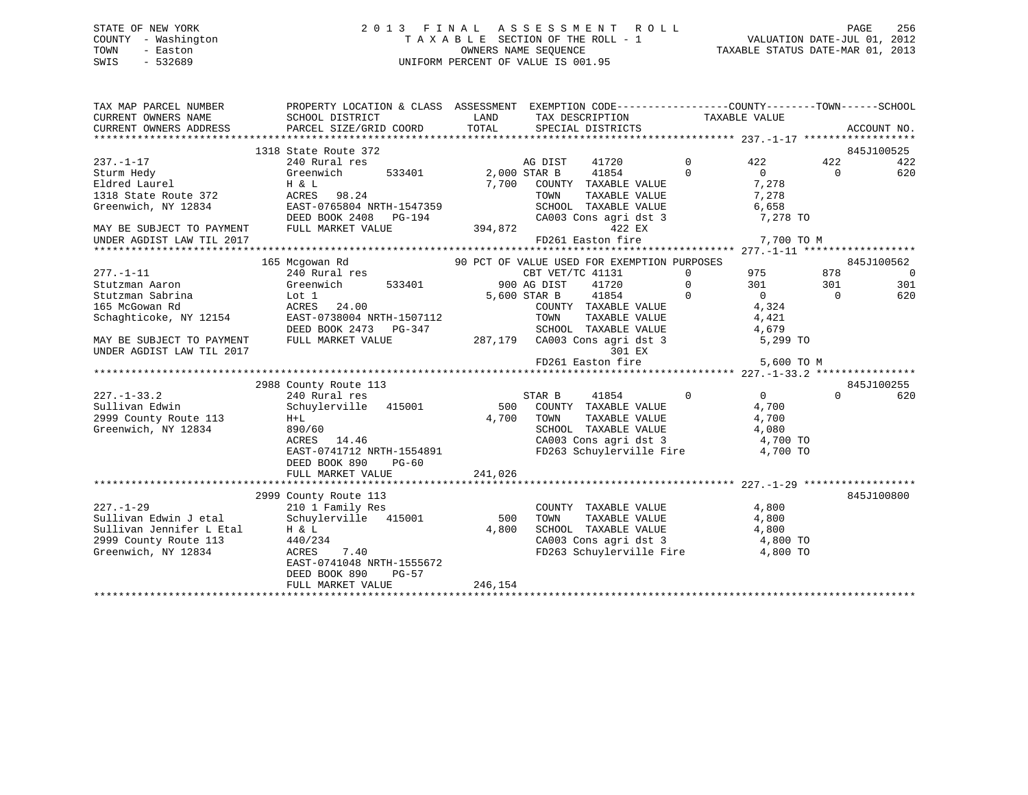# STATE OF NEW YORK 2 0 1 3 F I N A L A S S E S S M E N T R O L L PAGE 256 COUNTY - Washington T A X A B L E SECTION OF THE ROLL - 1 VALUATION DATE-JUL 01, 2012 TOWN - Easton OWNERS NAME SEQUENCE TAXABLE STATUS DATE-MAR 01, 2013 SWIS - 532689 UNIFORM PERCENT OF VALUE IS 001.95

| TAX MAP PARCEL NUMBER<br>CURRENT OWNERS NAME | PROPERTY LOCATION & CLASS ASSESSMENT EXEMPTION CODE---------------COUNTY-------TOWN-----SCHOOL<br>SCHOOL DISTRICT | LAND                  | TAX DESCRIPTION                                                          | TAXABLE VALUE  |                   |           |                |
|----------------------------------------------|-------------------------------------------------------------------------------------------------------------------|-----------------------|--------------------------------------------------------------------------|----------------|-------------------|-----------|----------------|
| CURRENT OWNERS ADDRESS                       | PARCEL SIZE/GRID COORD                                                                                            | TOTAL                 | SPECIAL DISTRICTS                                                        |                |                   |           | ACCOUNT NO.    |
|                                              |                                                                                                                   |                       |                                                                          |                |                   |           |                |
|                                              | 1318 State Route 372                                                                                              |                       |                                                                          |                |                   |           | 845J100525     |
| $237. - 1 - 17$                              | 240 Rural res                                                                                                     |                       | AG DIST<br>41720                                                         | $\Omega$       | 422               | 422       | 422            |
| Sturm Hedy                                   | Greenwich<br>533401                                                                                               | 2,000 STAR B<br>7,700 | 41854                                                                    | $\Omega$       | $\Omega$<br>7,278 | $\Omega$  | 620            |
| Eldred Laurel<br>1318 State Route 372        | H & L<br>ACRES 98.24                                                                                              |                       | COUNTY TAXABLE VALUE<br>TAXABLE VALUE<br>TOWN                            |                | 7,278             |           |                |
| Greenwich, NY 12834                          | EAST-0765804 NRTH-1547359                                                                                         |                       | SCHOOL TAXABLE VALUE                                                     |                | 6,658             |           |                |
|                                              | DEED BOOK 2408 PG-194                                                                                             |                       | CA003 Cons agri dst 3                                                    |                | 7,278 TO          |           |                |
| MAY BE SUBJECT TO PAYMENT                    | FULL MARKET VALUE                                                                                                 | 394,872               | 422 EX                                                                   |                |                   |           |                |
| UNDER AGDIST LAW TIL 2017                    |                                                                                                                   |                       | FD261 Easton fire                                                        |                | 7,700 TO M        |           |                |
|                                              |                                                                                                                   |                       |                                                                          |                |                   |           |                |
|                                              | 165 Mcgowan Rd                                                                                                    |                       | 90 PCT OF VALUE USED FOR EXEMPTION PURPOSES                              |                |                   |           | 845J100562     |
| $277. - 1 - 11$                              | 240 Rural res                                                                                                     |                       | CBT VET/TC 41131                                                         | $\overline{0}$ | 975               | 878       | $\overline{0}$ |
| Stutzman Aaron                               | 533401<br>Greenwich                                                                                               |                       | 900 AG DIST<br>41720                                                     | $\Omega$       | 301               | 301       | 301            |
| Stutzman Sabrina                             | Lot 1                                                                                                             |                       | 41854<br>5,600 STAR B                                                    | $\Omega$       | $\overline{0}$    | $\bigcap$ | 620            |
| 165 McGowan Rd                               | ACRES 24.00                                                                                                       |                       | COUNTY TAXABLE VALUE                                                     |                | 4,324             |           |                |
| Schaghticoke, NY 12154                       | EAST-0738004 NRTH-1507112                                                                                         |                       | TOWN<br>TAXABLE VALUE                                                    |                | 4,421             |           |                |
|                                              | DEED BOOK 2473 PG-347                                                                                             |                       | SCHOOL TAXABLE VALUE                                                     |                | 4,679             |           |                |
| MAY BE SUBJECT TO PAYMENT                    | FULL MARKET VALUE                                                                                                 |                       | 287,179 CA003 Cons agri dst 3                                            |                | 5,299 TO          |           |                |
| UNDER AGDIST LAW TIL 2017                    |                                                                                                                   |                       | 301 EX                                                                   |                |                   |           |                |
|                                              |                                                                                                                   |                       | FD261 Easton fire                                                        |                | 5,600 TO M        |           |                |
|                                              |                                                                                                                   |                       |                                                                          |                |                   |           |                |
|                                              | 2988 County Route 113                                                                                             |                       |                                                                          |                |                   |           | 845J100255     |
| $227. - 1 - 33.2$                            | 240 Rural res                                                                                                     |                       | 41854<br>STAR B                                                          | $\mathbf 0$    | $\overline{0}$    | $\Omega$  | 620            |
| Sullivan Edwin                               | Schuylerville 415001                                                                                              |                       | 500 COUNTY TAXABLE VALUE                                                 |                | 4,700             |           |                |
| 2999 County Route 113                        | $H+L$                                                                                                             | 4,700                 | TOWN<br>TAXABLE VALUE                                                    |                | 4,700             |           |                |
| Greenwich, NY 12834                          | 890/60                                                                                                            |                       | SCHOOL TAXABLE VALUE                                                     |                | 4,080             |           |                |
|                                              | ACRES 14.46                                                                                                       |                       | CA003 Cons agri dst 3                                                    |                | 4,700 TO          |           |                |
|                                              | EAST-0741712 NRTH-1554891<br>DEED BOOK 890                                                                        |                       | FD263 Schuylerville Fire                                                 |                | 4,700 TO          |           |                |
|                                              | PG-60<br>FULL MARKET VALUE                                                                                        | 241,026               |                                                                          |                |                   |           |                |
|                                              |                                                                                                                   |                       |                                                                          |                |                   |           |                |
|                                              | 2999 County Route 113                                                                                             |                       |                                                                          |                |                   |           | 845J100800     |
| $227. - 1 - 29$                              | 210 1 Family Res                                                                                                  |                       | COUNTY TAXABLE VALUE                                                     |                | 4,800             |           |                |
| Sullivan Edwin J etal                        | Schuylerville 415001                                                                                              | 500                   | TAXABLE VALUE<br>TOWN                                                    |                | 4,800             |           |                |
| Sullivan Jennifer L Etal                     | H & L                                                                                                             | 4,800                 | SCHOOL TAXABLE VALUE                                                     |                | 4,800             |           |                |
| 2999 County Route 113                        | 440/234                                                                                                           |                       |                                                                          |                |                   |           |                |
| Greenwich, NY 12834                          | ACRES<br>7.40                                                                                                     |                       | CA003 Cons agri dst 3 (a) 4,800 TO<br>FD263 Schuylerville Fire (4,800 TO |                |                   |           |                |
|                                              | EAST-0741048 NRTH-1555672                                                                                         |                       |                                                                          |                |                   |           |                |
|                                              | DEED BOOK 890<br>PG-57                                                                                            |                       |                                                                          |                |                   |           |                |
|                                              | FULL MARKET VALUE                                                                                                 | 246,154               |                                                                          |                |                   |           |                |
|                                              |                                                                                                                   |                       |                                                                          |                |                   |           |                |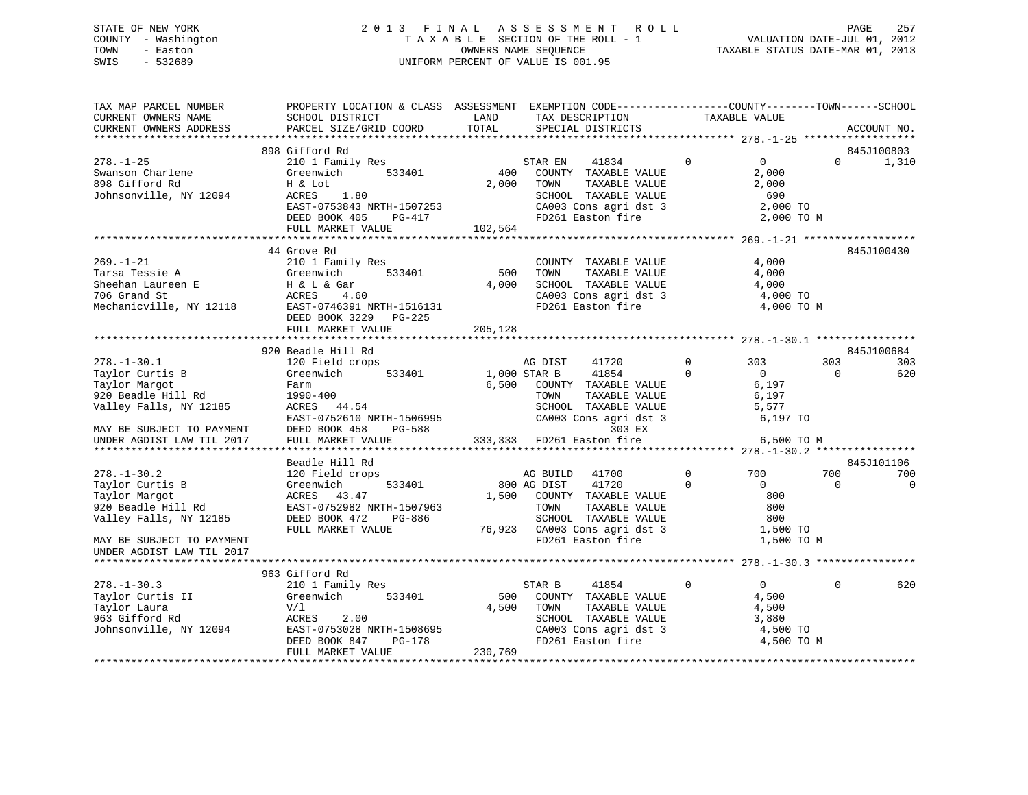# STATE OF NEW YORK 2 0 1 3 F I N A L A S S E S S M E N T R O L L PAGE 257 COUNTY - Washington T A X A B L E SECTION OF THE ROLL - 1 VALUATION DATE-JUL 01, 2012 TOWN - Easton OWNERS NAME SEQUENCE TAXABLE STATUS DATE-MAR 01, 2013 SWIS - 532689 UNIFORM PERCENT OF VALUE IS 001.95

| TAX MAP PARCEL NUMBER<br>CURRENT OWNERS NAME<br>CURRENT OWNERS ADDRESS                            | PROPERTY LOCATION & CLASS ASSESSMENT EXEMPTION CODE----------------COUNTY-------TOWN------SCHOOL<br>SCHOOL DISTRICT<br>PARCEL SIZE/GRID COORD | LAND<br>TAX DESCRIPTION<br>TOTAL<br>SPECIAL DISTRICTS |                                                                                        | TAXABLE VALUE                                                     | ACCOUNT NO.         |
|---------------------------------------------------------------------------------------------------|-----------------------------------------------------------------------------------------------------------------------------------------------|-------------------------------------------------------|----------------------------------------------------------------------------------------|-------------------------------------------------------------------|---------------------|
|                                                                                                   |                                                                                                                                               |                                                       |                                                                                        |                                                                   |                     |
| $278. - 1 - 25$<br>Swanson Charlene<br>898 Gifford Rd                                             | 898 Gifford Rd<br>210 1 Family Res<br>533401<br>Greenwich<br>H & Lot                                                                          | STAR EN<br>400<br>2,000 TOWN                          | $\Omega$<br>41834<br>COUNTY TAXABLE VALUE<br>TAXABLE VALUE                             | $\overline{0}$<br>$\Omega$<br>2,000<br>2,000                      | 845J100803<br>1,310 |
| Johnsonville, NY 12094                                                                            | ACRES<br>1.80<br>EAST-0753843 NRTH-1507253<br>DEED BOOK 405<br>PG-417                                                                         | FD261 Easton fire                                     | SCHOOL TAXABLE VALUE<br>CA003 Cons agri dst 3                                          | 690<br>2,000 TO<br>2,000 TO M                                     |                     |
|                                                                                                   | FULL MARKET VALUE                                                                                                                             | 102,564                                               |                                                                                        |                                                                   |                     |
|                                                                                                   |                                                                                                                                               |                                                       |                                                                                        |                                                                   |                     |
| $269. - 1 - 21$<br>Tarsa Tessie A<br>Sheehan Laureen E<br>706 Grand St<br>Mechanicville, NY 12118 | 44 Grove Rd<br>210 1 Family Res<br>Greenwich<br>533401<br>H & L & Gar<br>ACRES<br>4.60<br>EAST-0746391 NRTH-1516131                           | 500<br>TOWN<br>4,000<br>FD261 Easton fire             | COUNTY TAXABLE VALUE<br>TAXABLE VALUE<br>SCHOOL TAXABLE VALUE<br>CA003 Cons agri dst 3 | 4,000<br>4,000<br>4,000<br>4,000 TO<br>4,000 TO M                 | 845J100430          |
|                                                                                                   | DEED BOOK 3229 PG-225                                                                                                                         |                                                       |                                                                                        |                                                                   |                     |
|                                                                                                   | FULL MARKET VALUE                                                                                                                             | 205,128                                               |                                                                                        |                                                                   |                     |
|                                                                                                   | 920 Beadle Hill Rd                                                                                                                            |                                                       |                                                                                        |                                                                   | 845J100684          |
| $278. - 1 - 30.1$                                                                                 | 120 Field crops                                                                                                                               | AG DIST                                               | $\Omega$<br>41720                                                                      | 303<br>303                                                        | 303                 |
| Taylor Curtis B<br>Taylor Margot<br>920 Beadle Hill Rd<br>Valley Falls, NY 12185                  | 533401<br>Greenwich<br>Farm<br>1990-400<br>ACRES 44.54<br>EAST-0752610 NRTH-1506995                                                           | 1,000 STAR B<br>6,500 COUNTY TAXABLE VALUE<br>TOWN    | 41854<br>$\Omega$<br>TAXABLE VALUE<br>SCHOOL TAXABLE VALUE<br>CA003 Cons agri dst 3    | $\overline{0}$<br>$\Omega$<br>6,197<br>6,197<br>5,577<br>6,197 TO | 620                 |
| MAY BE SUBJECT TO PAYMENT                                                                         | DEED BOOK 458<br>PG-588                                                                                                                       |                                                       | 303 EX                                                                                 |                                                                   |                     |
| UNDER AGDIST LAW TIL 2017                                                                         | FULL MARKET VALUE                                                                                                                             | 333,333 FD261 Easton fire                             |                                                                                        | 6,500 TO M                                                        |                     |
|                                                                                                   | Beadle Hill Rd                                                                                                                                |                                                       |                                                                                        |                                                                   | 845J101106          |
| $278. - 1 - 30.2$                                                                                 | 120 Field crops                                                                                                                               | AG BUILD                                              | $\mathbf 0$<br>41700                                                                   | 700<br>700                                                        | 700                 |
| Taylor Curtis B<br>Taylor Margot<br>920 Beadle Hill Rd                                            | 533401<br>Greenwich<br>ACRES 43.47<br>EAST-0752982 NRTH-1507963                                                                               | 800 AG DIST<br>1,500<br>COUNTY TAXABLE VALUE<br>TOWN  | 41720<br>$\Omega$<br>TAXABLE VALUE                                                     | $\Omega$<br>$\Omega$<br>800<br>800                                | $\mathbf 0$         |
| Valley Falls, NY 12185                                                                            | DEED BOOK 472<br>PG-886<br>FULL MARKET VALUE                                                                                                  | 76,923 CA003 Cons agri dst 3                          | SCHOOL TAXABLE VALUE                                                                   | 800<br>1,500 TO                                                   |                     |
| MAY BE SUBJECT TO PAYMENT<br>UNDER AGDIST LAW TIL 2017                                            |                                                                                                                                               | FD261 Easton fire                                     |                                                                                        | 1,500 TO M                                                        |                     |
|                                                                                                   |                                                                                                                                               |                                                       |                                                                                        |                                                                   |                     |
|                                                                                                   | 963 Gifford Rd                                                                                                                                |                                                       |                                                                                        |                                                                   |                     |
| $278. - 1 - 30.3$<br>Taylor Curtis II                                                             | 210 1 Family Res<br>533401<br>Greenwich                                                                                                       | STAR B<br>500                                         | 41854<br>$\mathbf{0}$<br>COUNTY TAXABLE VALUE                                          | $\overline{0}$<br>$\Omega$<br>4,500                               | 620                 |
| Taylor Laura                                                                                      | V/l                                                                                                                                           | 4,500 TOWN                                            | TAXABLE VALUE                                                                          | 4,500                                                             |                     |
| 963 Gifford Rd                                                                                    | ACRES<br>2.00                                                                                                                                 |                                                       | SCHOOL TAXABLE VALUE                                                                   | 3,880                                                             |                     |
| Johnsonville, NY 12094                                                                            | EAST-0753028 NRTH-1508695                                                                                                                     |                                                       | CA003 Cons agri dst 3                                                                  | 4,500 TO                                                          |                     |
|                                                                                                   | DEED BOOK 847<br>PG-178<br>FULL MARKET VALUE                                                                                                  | FD261 Easton fire<br>230,769                          |                                                                                        | 4,500 TO M                                                        |                     |
|                                                                                                   |                                                                                                                                               |                                                       |                                                                                        |                                                                   |                     |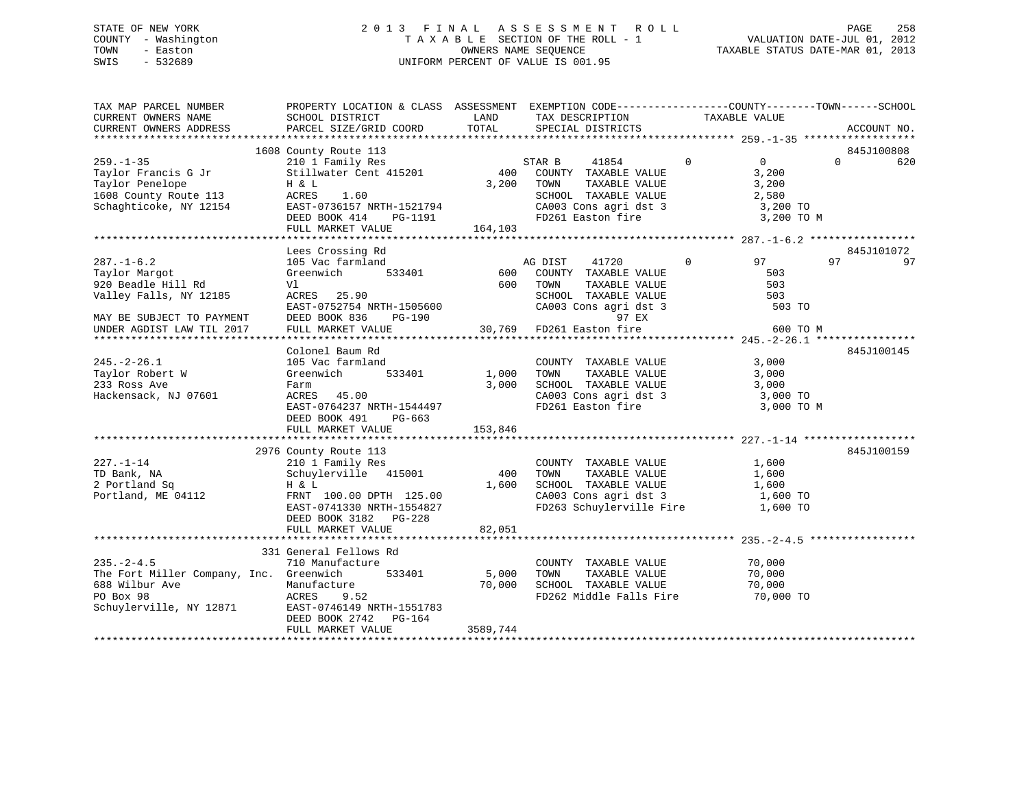# STATE OF NEW YORK 2 0 1 3 F I N A L A S S E S S M E N T R O L L PAGE 258 COUNTY - Washington T A X A B L E SECTION OF THE ROLL - 1 VALUATION DATE-JUL 01, 2012 TOWN - Easton OWNERS NAME SEQUENCE TAXABLE STATUS DATE-MAR 01, 2013 SWIS - 532689 UNIFORM PERCENT OF VALUE IS 001.95

| TOTAL<br>CURRENT OWNERS ADDRESS<br>PARCEL SIZE/GRID COORD<br>SPECIAL DISTRICTS<br>ACCOUNT NO.<br>1608 County Route 113<br>845J100808<br>County Route 113<br>210 1 Family Res<br>$\mathbf{0}$<br>$\overline{0}$<br>$259. - 1 - 35$<br>STAR B<br>41854<br>$\Omega$<br>620<br>400 COUNTY TAXABLE VALUE<br>Stillwater Cent 415201<br>3,200<br>Taylor Francis G Jr<br>Taylor Penelope<br>Taylor Penelope<br>3,200 TOWN<br>TAXABLE VALUE<br>H & L<br>3,200<br>Taylor Penelope<br>1608 County Route 113 (ACRES 1.60<br>Schaghticoke, NY 12154 (EAST-0736157 NRTH-1521794<br>SCHOOL TAXABLE VALUE<br>CA003 Cons agri dst 3<br>2,580<br>3,200 TO<br>FD261 Easton fire<br>3,200 TO M<br>DEED BOOK 414<br>PG-1191<br>FULL MARKET VALUE<br>164,103<br>845J101072<br>Lees Crossing Rd<br>105 Vac farmland<br>AG DIST 41720 0<br>600 COUNTY TAXABLE VALUE<br>600 TOWN TAXABLE VALUE<br>$287. - 1 - 6.2$<br>97<br>97<br>97<br>Greenwich 533401<br>Taylor Margot<br>503<br>920 Beadle Hill Rd<br>503<br>Vl<br>SCHOOL TAXABLE VALUE<br>CA003 Cons agri dst 3<br>Valley Falls, NY 12185<br>ACRES 25.90<br>503<br>EAST-0752754 NRTH-1505600<br>503 TO<br>MAY BE SUBJECT TO PAYMENT<br>UNDER AGDIST LAW TIL 2017<br>DEED BOOK 836<br>97 EX<br>PG-190<br>30,769 FD261 Easton fire<br>30,769 FD261 Easton fire<br>600 TO M<br>UNDER AGDIST LAW TIL 2017<br>FULL MARKET VALUE<br>845J100145<br>Colonel Baum Rd<br>$245. - 2 - 26.1$<br>3,000<br>105 Vac farmland<br>COUNTY TAXABLE VALUE<br>TOWN      TAXABLE VALUE<br>1,000 TOWN<br>533401<br>Taylor Robert W<br>Greenwich<br>3,000<br>233 Ross Ave<br>$3,000$ SCHOOL TAXABLE VALUE $3,000$<br>CA003 Cons agri dst 3 $3,000$ TO<br>Farm<br>CA003 Cons agri dst 3<br>FD261 Easton fire<br>Hackensack, NJ 07601<br>ACRES 45.00<br>EAST-0764237 NRTH-1544497<br>3,000 TO M<br>DEED BOOK 491 PG-663<br>FULL MARKET VALUE<br>153,846<br>2976 County Route 113<br>845J100159<br>$227. - 1 - 14$<br>1,600<br>210 1 Family Res<br>COUNTY TAXABLE VALUE<br>Schuylerville 415001<br>TAXABLE VALUE<br>400<br>TOWN<br>1,600<br>SCHOOL TAXABLE VALUE 1,600<br>CA003 Cons agri dst 3 1,600 TO<br>H & L<br>1,600<br>Portland, ME 04112<br>FRNT 100.00 DPTH 125.00<br>FD263 Schuylerville Fire 1,600 TO<br>EAST-0741330 NRTH-1554827<br>DEED BOOK 3182 PG-228<br>82,051<br>FULL MARKET VALUE<br>331 General Fellows Rd<br>$235. - 2 - 4.5$<br>710 Manufacture<br>COUNTY TAXABLE VALUE<br>70,000<br>The Fort Miller Company, Inc. Greenwich<br>533401<br>5,000<br>TOWN<br>TAXABLE VALUE<br>70,000<br>SCHOOL TAXABLE VALUE<br>Manufacture<br>70,000<br>70,000<br>688 Wilbur Ave<br>PO Box 98<br>Schuylerville, NY 12871<br>FD262 Middle Falls Fire 70,000 TO<br>ACRES<br>9.52<br>EAST-0746149 NRTH-1551783<br>DEED BOOK 2742 PG-164<br>FULL MARKET VALUE<br>3589,744 | TAX MAP PARCEL NUMBER<br>CURRENT OWNERS NAME | PROPERTY LOCATION & CLASS ASSESSMENT EXEMPTION CODE---------------COUNTY-------TOWN------SCHOOL<br>SCHOOL DISTRICT | LAND | TAX DESCRIPTION | TAXABLE VALUE |  |
|------------------------------------------------------------------------------------------------------------------------------------------------------------------------------------------------------------------------------------------------------------------------------------------------------------------------------------------------------------------------------------------------------------------------------------------------------------------------------------------------------------------------------------------------------------------------------------------------------------------------------------------------------------------------------------------------------------------------------------------------------------------------------------------------------------------------------------------------------------------------------------------------------------------------------------------------------------------------------------------------------------------------------------------------------------------------------------------------------------------------------------------------------------------------------------------------------------------------------------------------------------------------------------------------------------------------------------------------------------------------------------------------------------------------------------------------------------------------------------------------------------------------------------------------------------------------------------------------------------------------------------------------------------------------------------------------------------------------------------------------------------------------------------------------------------------------------------------------------------------------------------------------------------------------------------------------------------------------------------------------------------------------------------------------------------------------------------------------------------------------------------------------------------------------------------------------------------------------------------------------------------------------------------------------------------------------------------------------------------------------------------------------------------------------------------------------------------------------------------------------------------------------------------------------------------------------------------------------------------------------------------------------------------------------------------------------------------------------------------------------------------------------------|----------------------------------------------|--------------------------------------------------------------------------------------------------------------------|------|-----------------|---------------|--|
|                                                                                                                                                                                                                                                                                                                                                                                                                                                                                                                                                                                                                                                                                                                                                                                                                                                                                                                                                                                                                                                                                                                                                                                                                                                                                                                                                                                                                                                                                                                                                                                                                                                                                                                                                                                                                                                                                                                                                                                                                                                                                                                                                                                                                                                                                                                                                                                                                                                                                                                                                                                                                                                                                                                                                                              |                                              |                                                                                                                    |      |                 |               |  |
|                                                                                                                                                                                                                                                                                                                                                                                                                                                                                                                                                                                                                                                                                                                                                                                                                                                                                                                                                                                                                                                                                                                                                                                                                                                                                                                                                                                                                                                                                                                                                                                                                                                                                                                                                                                                                                                                                                                                                                                                                                                                                                                                                                                                                                                                                                                                                                                                                                                                                                                                                                                                                                                                                                                                                                              |                                              |                                                                                                                    |      |                 |               |  |
|                                                                                                                                                                                                                                                                                                                                                                                                                                                                                                                                                                                                                                                                                                                                                                                                                                                                                                                                                                                                                                                                                                                                                                                                                                                                                                                                                                                                                                                                                                                                                                                                                                                                                                                                                                                                                                                                                                                                                                                                                                                                                                                                                                                                                                                                                                                                                                                                                                                                                                                                                                                                                                                                                                                                                                              |                                              |                                                                                                                    |      |                 |               |  |
|                                                                                                                                                                                                                                                                                                                                                                                                                                                                                                                                                                                                                                                                                                                                                                                                                                                                                                                                                                                                                                                                                                                                                                                                                                                                                                                                                                                                                                                                                                                                                                                                                                                                                                                                                                                                                                                                                                                                                                                                                                                                                                                                                                                                                                                                                                                                                                                                                                                                                                                                                                                                                                                                                                                                                                              |                                              |                                                                                                                    |      |                 |               |  |
|                                                                                                                                                                                                                                                                                                                                                                                                                                                                                                                                                                                                                                                                                                                                                                                                                                                                                                                                                                                                                                                                                                                                                                                                                                                                                                                                                                                                                                                                                                                                                                                                                                                                                                                                                                                                                                                                                                                                                                                                                                                                                                                                                                                                                                                                                                                                                                                                                                                                                                                                                                                                                                                                                                                                                                              |                                              |                                                                                                                    |      |                 |               |  |
|                                                                                                                                                                                                                                                                                                                                                                                                                                                                                                                                                                                                                                                                                                                                                                                                                                                                                                                                                                                                                                                                                                                                                                                                                                                                                                                                                                                                                                                                                                                                                                                                                                                                                                                                                                                                                                                                                                                                                                                                                                                                                                                                                                                                                                                                                                                                                                                                                                                                                                                                                                                                                                                                                                                                                                              |                                              |                                                                                                                    |      |                 |               |  |
|                                                                                                                                                                                                                                                                                                                                                                                                                                                                                                                                                                                                                                                                                                                                                                                                                                                                                                                                                                                                                                                                                                                                                                                                                                                                                                                                                                                                                                                                                                                                                                                                                                                                                                                                                                                                                                                                                                                                                                                                                                                                                                                                                                                                                                                                                                                                                                                                                                                                                                                                                                                                                                                                                                                                                                              |                                              |                                                                                                                    |      |                 |               |  |
|                                                                                                                                                                                                                                                                                                                                                                                                                                                                                                                                                                                                                                                                                                                                                                                                                                                                                                                                                                                                                                                                                                                                                                                                                                                                                                                                                                                                                                                                                                                                                                                                                                                                                                                                                                                                                                                                                                                                                                                                                                                                                                                                                                                                                                                                                                                                                                                                                                                                                                                                                                                                                                                                                                                                                                              |                                              |                                                                                                                    |      |                 |               |  |
|                                                                                                                                                                                                                                                                                                                                                                                                                                                                                                                                                                                                                                                                                                                                                                                                                                                                                                                                                                                                                                                                                                                                                                                                                                                                                                                                                                                                                                                                                                                                                                                                                                                                                                                                                                                                                                                                                                                                                                                                                                                                                                                                                                                                                                                                                                                                                                                                                                                                                                                                                                                                                                                                                                                                                                              |                                              |                                                                                                                    |      |                 |               |  |
|                                                                                                                                                                                                                                                                                                                                                                                                                                                                                                                                                                                                                                                                                                                                                                                                                                                                                                                                                                                                                                                                                                                                                                                                                                                                                                                                                                                                                                                                                                                                                                                                                                                                                                                                                                                                                                                                                                                                                                                                                                                                                                                                                                                                                                                                                                                                                                                                                                                                                                                                                                                                                                                                                                                                                                              |                                              |                                                                                                                    |      |                 |               |  |
|                                                                                                                                                                                                                                                                                                                                                                                                                                                                                                                                                                                                                                                                                                                                                                                                                                                                                                                                                                                                                                                                                                                                                                                                                                                                                                                                                                                                                                                                                                                                                                                                                                                                                                                                                                                                                                                                                                                                                                                                                                                                                                                                                                                                                                                                                                                                                                                                                                                                                                                                                                                                                                                                                                                                                                              |                                              |                                                                                                                    |      |                 |               |  |
|                                                                                                                                                                                                                                                                                                                                                                                                                                                                                                                                                                                                                                                                                                                                                                                                                                                                                                                                                                                                                                                                                                                                                                                                                                                                                                                                                                                                                                                                                                                                                                                                                                                                                                                                                                                                                                                                                                                                                                                                                                                                                                                                                                                                                                                                                                                                                                                                                                                                                                                                                                                                                                                                                                                                                                              |                                              |                                                                                                                    |      |                 |               |  |
|                                                                                                                                                                                                                                                                                                                                                                                                                                                                                                                                                                                                                                                                                                                                                                                                                                                                                                                                                                                                                                                                                                                                                                                                                                                                                                                                                                                                                                                                                                                                                                                                                                                                                                                                                                                                                                                                                                                                                                                                                                                                                                                                                                                                                                                                                                                                                                                                                                                                                                                                                                                                                                                                                                                                                                              |                                              |                                                                                                                    |      |                 |               |  |
|                                                                                                                                                                                                                                                                                                                                                                                                                                                                                                                                                                                                                                                                                                                                                                                                                                                                                                                                                                                                                                                                                                                                                                                                                                                                                                                                                                                                                                                                                                                                                                                                                                                                                                                                                                                                                                                                                                                                                                                                                                                                                                                                                                                                                                                                                                                                                                                                                                                                                                                                                                                                                                                                                                                                                                              |                                              |                                                                                                                    |      |                 |               |  |
|                                                                                                                                                                                                                                                                                                                                                                                                                                                                                                                                                                                                                                                                                                                                                                                                                                                                                                                                                                                                                                                                                                                                                                                                                                                                                                                                                                                                                                                                                                                                                                                                                                                                                                                                                                                                                                                                                                                                                                                                                                                                                                                                                                                                                                                                                                                                                                                                                                                                                                                                                                                                                                                                                                                                                                              |                                              |                                                                                                                    |      |                 |               |  |
|                                                                                                                                                                                                                                                                                                                                                                                                                                                                                                                                                                                                                                                                                                                                                                                                                                                                                                                                                                                                                                                                                                                                                                                                                                                                                                                                                                                                                                                                                                                                                                                                                                                                                                                                                                                                                                                                                                                                                                                                                                                                                                                                                                                                                                                                                                                                                                                                                                                                                                                                                                                                                                                                                                                                                                              |                                              |                                                                                                                    |      |                 |               |  |
|                                                                                                                                                                                                                                                                                                                                                                                                                                                                                                                                                                                                                                                                                                                                                                                                                                                                                                                                                                                                                                                                                                                                                                                                                                                                                                                                                                                                                                                                                                                                                                                                                                                                                                                                                                                                                                                                                                                                                                                                                                                                                                                                                                                                                                                                                                                                                                                                                                                                                                                                                                                                                                                                                                                                                                              |                                              |                                                                                                                    |      |                 |               |  |
|                                                                                                                                                                                                                                                                                                                                                                                                                                                                                                                                                                                                                                                                                                                                                                                                                                                                                                                                                                                                                                                                                                                                                                                                                                                                                                                                                                                                                                                                                                                                                                                                                                                                                                                                                                                                                                                                                                                                                                                                                                                                                                                                                                                                                                                                                                                                                                                                                                                                                                                                                                                                                                                                                                                                                                              |                                              |                                                                                                                    |      |                 |               |  |
|                                                                                                                                                                                                                                                                                                                                                                                                                                                                                                                                                                                                                                                                                                                                                                                                                                                                                                                                                                                                                                                                                                                                                                                                                                                                                                                                                                                                                                                                                                                                                                                                                                                                                                                                                                                                                                                                                                                                                                                                                                                                                                                                                                                                                                                                                                                                                                                                                                                                                                                                                                                                                                                                                                                                                                              |                                              |                                                                                                                    |      |                 |               |  |
|                                                                                                                                                                                                                                                                                                                                                                                                                                                                                                                                                                                                                                                                                                                                                                                                                                                                                                                                                                                                                                                                                                                                                                                                                                                                                                                                                                                                                                                                                                                                                                                                                                                                                                                                                                                                                                                                                                                                                                                                                                                                                                                                                                                                                                                                                                                                                                                                                                                                                                                                                                                                                                                                                                                                                                              |                                              |                                                                                                                    |      |                 |               |  |
|                                                                                                                                                                                                                                                                                                                                                                                                                                                                                                                                                                                                                                                                                                                                                                                                                                                                                                                                                                                                                                                                                                                                                                                                                                                                                                                                                                                                                                                                                                                                                                                                                                                                                                                                                                                                                                                                                                                                                                                                                                                                                                                                                                                                                                                                                                                                                                                                                                                                                                                                                                                                                                                                                                                                                                              |                                              |                                                                                                                    |      |                 |               |  |
|                                                                                                                                                                                                                                                                                                                                                                                                                                                                                                                                                                                                                                                                                                                                                                                                                                                                                                                                                                                                                                                                                                                                                                                                                                                                                                                                                                                                                                                                                                                                                                                                                                                                                                                                                                                                                                                                                                                                                                                                                                                                                                                                                                                                                                                                                                                                                                                                                                                                                                                                                                                                                                                                                                                                                                              |                                              |                                                                                                                    |      |                 |               |  |
|                                                                                                                                                                                                                                                                                                                                                                                                                                                                                                                                                                                                                                                                                                                                                                                                                                                                                                                                                                                                                                                                                                                                                                                                                                                                                                                                                                                                                                                                                                                                                                                                                                                                                                                                                                                                                                                                                                                                                                                                                                                                                                                                                                                                                                                                                                                                                                                                                                                                                                                                                                                                                                                                                                                                                                              |                                              |                                                                                                                    |      |                 |               |  |
|                                                                                                                                                                                                                                                                                                                                                                                                                                                                                                                                                                                                                                                                                                                                                                                                                                                                                                                                                                                                                                                                                                                                                                                                                                                                                                                                                                                                                                                                                                                                                                                                                                                                                                                                                                                                                                                                                                                                                                                                                                                                                                                                                                                                                                                                                                                                                                                                                                                                                                                                                                                                                                                                                                                                                                              |                                              |                                                                                                                    |      |                 |               |  |
|                                                                                                                                                                                                                                                                                                                                                                                                                                                                                                                                                                                                                                                                                                                                                                                                                                                                                                                                                                                                                                                                                                                                                                                                                                                                                                                                                                                                                                                                                                                                                                                                                                                                                                                                                                                                                                                                                                                                                                                                                                                                                                                                                                                                                                                                                                                                                                                                                                                                                                                                                                                                                                                                                                                                                                              |                                              |                                                                                                                    |      |                 |               |  |
|                                                                                                                                                                                                                                                                                                                                                                                                                                                                                                                                                                                                                                                                                                                                                                                                                                                                                                                                                                                                                                                                                                                                                                                                                                                                                                                                                                                                                                                                                                                                                                                                                                                                                                                                                                                                                                                                                                                                                                                                                                                                                                                                                                                                                                                                                                                                                                                                                                                                                                                                                                                                                                                                                                                                                                              |                                              |                                                                                                                    |      |                 |               |  |
|                                                                                                                                                                                                                                                                                                                                                                                                                                                                                                                                                                                                                                                                                                                                                                                                                                                                                                                                                                                                                                                                                                                                                                                                                                                                                                                                                                                                                                                                                                                                                                                                                                                                                                                                                                                                                                                                                                                                                                                                                                                                                                                                                                                                                                                                                                                                                                                                                                                                                                                                                                                                                                                                                                                                                                              |                                              |                                                                                                                    |      |                 |               |  |
|                                                                                                                                                                                                                                                                                                                                                                                                                                                                                                                                                                                                                                                                                                                                                                                                                                                                                                                                                                                                                                                                                                                                                                                                                                                                                                                                                                                                                                                                                                                                                                                                                                                                                                                                                                                                                                                                                                                                                                                                                                                                                                                                                                                                                                                                                                                                                                                                                                                                                                                                                                                                                                                                                                                                                                              |                                              |                                                                                                                    |      |                 |               |  |
|                                                                                                                                                                                                                                                                                                                                                                                                                                                                                                                                                                                                                                                                                                                                                                                                                                                                                                                                                                                                                                                                                                                                                                                                                                                                                                                                                                                                                                                                                                                                                                                                                                                                                                                                                                                                                                                                                                                                                                                                                                                                                                                                                                                                                                                                                                                                                                                                                                                                                                                                                                                                                                                                                                                                                                              |                                              |                                                                                                                    |      |                 |               |  |
|                                                                                                                                                                                                                                                                                                                                                                                                                                                                                                                                                                                                                                                                                                                                                                                                                                                                                                                                                                                                                                                                                                                                                                                                                                                                                                                                                                                                                                                                                                                                                                                                                                                                                                                                                                                                                                                                                                                                                                                                                                                                                                                                                                                                                                                                                                                                                                                                                                                                                                                                                                                                                                                                                                                                                                              |                                              |                                                                                                                    |      |                 |               |  |
|                                                                                                                                                                                                                                                                                                                                                                                                                                                                                                                                                                                                                                                                                                                                                                                                                                                                                                                                                                                                                                                                                                                                                                                                                                                                                                                                                                                                                                                                                                                                                                                                                                                                                                                                                                                                                                                                                                                                                                                                                                                                                                                                                                                                                                                                                                                                                                                                                                                                                                                                                                                                                                                                                                                                                                              | TD Bank, NA                                  |                                                                                                                    |      |                 |               |  |
|                                                                                                                                                                                                                                                                                                                                                                                                                                                                                                                                                                                                                                                                                                                                                                                                                                                                                                                                                                                                                                                                                                                                                                                                                                                                                                                                                                                                                                                                                                                                                                                                                                                                                                                                                                                                                                                                                                                                                                                                                                                                                                                                                                                                                                                                                                                                                                                                                                                                                                                                                                                                                                                                                                                                                                              | 2 Portland Sq                                |                                                                                                                    |      |                 |               |  |
|                                                                                                                                                                                                                                                                                                                                                                                                                                                                                                                                                                                                                                                                                                                                                                                                                                                                                                                                                                                                                                                                                                                                                                                                                                                                                                                                                                                                                                                                                                                                                                                                                                                                                                                                                                                                                                                                                                                                                                                                                                                                                                                                                                                                                                                                                                                                                                                                                                                                                                                                                                                                                                                                                                                                                                              |                                              |                                                                                                                    |      |                 |               |  |
|                                                                                                                                                                                                                                                                                                                                                                                                                                                                                                                                                                                                                                                                                                                                                                                                                                                                                                                                                                                                                                                                                                                                                                                                                                                                                                                                                                                                                                                                                                                                                                                                                                                                                                                                                                                                                                                                                                                                                                                                                                                                                                                                                                                                                                                                                                                                                                                                                                                                                                                                                                                                                                                                                                                                                                              |                                              |                                                                                                                    |      |                 |               |  |
|                                                                                                                                                                                                                                                                                                                                                                                                                                                                                                                                                                                                                                                                                                                                                                                                                                                                                                                                                                                                                                                                                                                                                                                                                                                                                                                                                                                                                                                                                                                                                                                                                                                                                                                                                                                                                                                                                                                                                                                                                                                                                                                                                                                                                                                                                                                                                                                                                                                                                                                                                                                                                                                                                                                                                                              |                                              |                                                                                                                    |      |                 |               |  |
|                                                                                                                                                                                                                                                                                                                                                                                                                                                                                                                                                                                                                                                                                                                                                                                                                                                                                                                                                                                                                                                                                                                                                                                                                                                                                                                                                                                                                                                                                                                                                                                                                                                                                                                                                                                                                                                                                                                                                                                                                                                                                                                                                                                                                                                                                                                                                                                                                                                                                                                                                                                                                                                                                                                                                                              |                                              |                                                                                                                    |      |                 |               |  |
|                                                                                                                                                                                                                                                                                                                                                                                                                                                                                                                                                                                                                                                                                                                                                                                                                                                                                                                                                                                                                                                                                                                                                                                                                                                                                                                                                                                                                                                                                                                                                                                                                                                                                                                                                                                                                                                                                                                                                                                                                                                                                                                                                                                                                                                                                                                                                                                                                                                                                                                                                                                                                                                                                                                                                                              |                                              |                                                                                                                    |      |                 |               |  |
|                                                                                                                                                                                                                                                                                                                                                                                                                                                                                                                                                                                                                                                                                                                                                                                                                                                                                                                                                                                                                                                                                                                                                                                                                                                                                                                                                                                                                                                                                                                                                                                                                                                                                                                                                                                                                                                                                                                                                                                                                                                                                                                                                                                                                                                                                                                                                                                                                                                                                                                                                                                                                                                                                                                                                                              |                                              |                                                                                                                    |      |                 |               |  |
|                                                                                                                                                                                                                                                                                                                                                                                                                                                                                                                                                                                                                                                                                                                                                                                                                                                                                                                                                                                                                                                                                                                                                                                                                                                                                                                                                                                                                                                                                                                                                                                                                                                                                                                                                                                                                                                                                                                                                                                                                                                                                                                                                                                                                                                                                                                                                                                                                                                                                                                                                                                                                                                                                                                                                                              |                                              |                                                                                                                    |      |                 |               |  |
|                                                                                                                                                                                                                                                                                                                                                                                                                                                                                                                                                                                                                                                                                                                                                                                                                                                                                                                                                                                                                                                                                                                                                                                                                                                                                                                                                                                                                                                                                                                                                                                                                                                                                                                                                                                                                                                                                                                                                                                                                                                                                                                                                                                                                                                                                                                                                                                                                                                                                                                                                                                                                                                                                                                                                                              |                                              |                                                                                                                    |      |                 |               |  |
|                                                                                                                                                                                                                                                                                                                                                                                                                                                                                                                                                                                                                                                                                                                                                                                                                                                                                                                                                                                                                                                                                                                                                                                                                                                                                                                                                                                                                                                                                                                                                                                                                                                                                                                                                                                                                                                                                                                                                                                                                                                                                                                                                                                                                                                                                                                                                                                                                                                                                                                                                                                                                                                                                                                                                                              |                                              |                                                                                                                    |      |                 |               |  |
|                                                                                                                                                                                                                                                                                                                                                                                                                                                                                                                                                                                                                                                                                                                                                                                                                                                                                                                                                                                                                                                                                                                                                                                                                                                                                                                                                                                                                                                                                                                                                                                                                                                                                                                                                                                                                                                                                                                                                                                                                                                                                                                                                                                                                                                                                                                                                                                                                                                                                                                                                                                                                                                                                                                                                                              |                                              |                                                                                                                    |      |                 |               |  |
|                                                                                                                                                                                                                                                                                                                                                                                                                                                                                                                                                                                                                                                                                                                                                                                                                                                                                                                                                                                                                                                                                                                                                                                                                                                                                                                                                                                                                                                                                                                                                                                                                                                                                                                                                                                                                                                                                                                                                                                                                                                                                                                                                                                                                                                                                                                                                                                                                                                                                                                                                                                                                                                                                                                                                                              |                                              |                                                                                                                    |      |                 |               |  |
|                                                                                                                                                                                                                                                                                                                                                                                                                                                                                                                                                                                                                                                                                                                                                                                                                                                                                                                                                                                                                                                                                                                                                                                                                                                                                                                                                                                                                                                                                                                                                                                                                                                                                                                                                                                                                                                                                                                                                                                                                                                                                                                                                                                                                                                                                                                                                                                                                                                                                                                                                                                                                                                                                                                                                                              |                                              |                                                                                                                    |      |                 |               |  |
|                                                                                                                                                                                                                                                                                                                                                                                                                                                                                                                                                                                                                                                                                                                                                                                                                                                                                                                                                                                                                                                                                                                                                                                                                                                                                                                                                                                                                                                                                                                                                                                                                                                                                                                                                                                                                                                                                                                                                                                                                                                                                                                                                                                                                                                                                                                                                                                                                                                                                                                                                                                                                                                                                                                                                                              |                                              |                                                                                                                    |      |                 |               |  |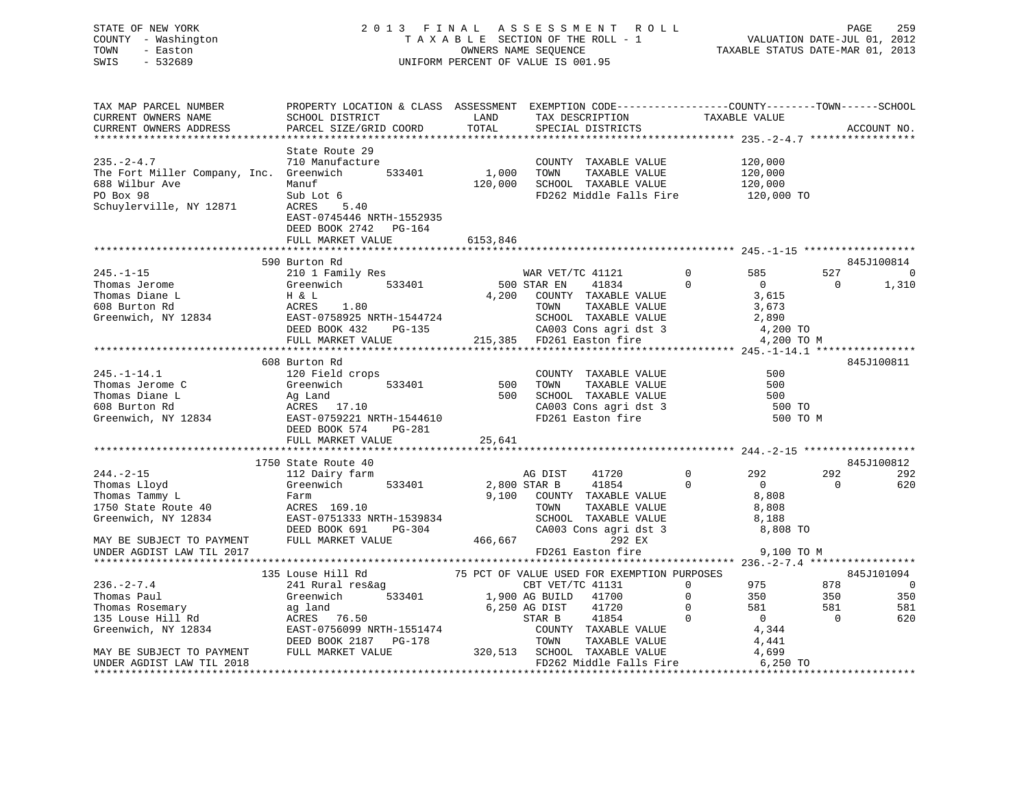STATE OF NEW YORK 2 0 1 3 F I N A L A S S E S S M E N T R O L L PAGE 259 COUNTY - Washington T A X A B L E SECTION OF THE ROLL - 1 VALUATION DATE-JUL 01, 2012 TOWN - Easton OWNERS NAME SEQUENCE TAXABLE STATUS DATE-MAR 01, 2013 SWIS - 532689 UNIFORM PERCENT OF VALUE IS 001.95

| TAX MAP PARCEL NUMBER                                      | PROPERTY LOCATION & CLASS ASSESSMENT EXEMPTION CODE----------------COUNTY-------TOWN-----SCHOOL                  |              |                                             |                               |                          |                |
|------------------------------------------------------------|------------------------------------------------------------------------------------------------------------------|--------------|---------------------------------------------|-------------------------------|--------------------------|----------------|
| CURRENT OWNERS NAME                                        | SCHOOL DISTRICT                                                                                                  | LAND         | TAX DESCRIPTION                             | TAXABLE VALUE                 |                          |                |
| CURRENT OWNERS ADDRESS                                     | PARCEL SIZE/GRID COORD                                                                                           | TOTAL        | SPECIAL DISTRICTS                           |                               |                          | ACCOUNT NO.    |
|                                                            |                                                                                                                  |              |                                             |                               |                          |                |
|                                                            | State Route 29                                                                                                   |              |                                             |                               |                          |                |
| $235. - 2 - 4.7$                                           | 710 Manufacture                                                                                                  |              | COUNTY TAXABLE VALUE                        | 120,000                       |                          |                |
|                                                            | 533401                                                                                                           | 1,000        |                                             |                               |                          |                |
| The Fort Miller Company, Inc. Greenwich                    |                                                                                                                  |              | TOWN<br>TAXABLE VALUE                       | 120,000<br>120,000            |                          |                |
| 688 Wilbur Ave                                             | Manuf                                                                                                            | 120,000      | SCHOOL TAXABLE VALUE                        |                               |                          |                |
| PO Box 98                                                  | Sub Lot 6                                                                                                        |              | FD262 Middle Falls Fire 120,000 TO          |                               |                          |                |
| Schuylerville, NY 12871                                    | ACRES<br>5.40                                                                                                    |              |                                             |                               |                          |                |
|                                                            | EAST-0745446 NRTH-1552935                                                                                        |              |                                             |                               |                          |                |
|                                                            | DEED BOOK 2742<br>PG-164                                                                                         |              |                                             |                               |                          |                |
|                                                            | FULL MARKET VALUE                                                                                                | 6153,846     |                                             |                               |                          |                |
|                                                            |                                                                                                                  |              |                                             |                               |                          |                |
|                                                            | 590 Burton Rd                                                                                                    |              |                                             |                               |                          | 845J100814     |
| $245. - 1 - 15$                                            | 210 1 Family Res                                                                                                 |              | WAR VET/TC 41121                            | $\mathbf 0$<br>585            | 527                      | $\sim$ 0       |
| Thomas Jerome                                              | 210 1 Family Res<br>Greenwich 533401                                                                             |              | WAR VET/<br>500 STAR EN<br>41834            | $\mathbf 0$<br>$\overline{0}$ | $\overline{\phantom{0}}$ | 1,310          |
| Thomas Diane L                                             |                                                                                                                  |              | 4,200 COUNTY TAXABLE VALUE                  | 3,615                         |                          |                |
| 608 Burton Rd                                              | H & L<br>ACRES<br>1.80                                                                                           |              | TAXABLE VALUE<br>TOWN                       | 3,673                         |                          |                |
|                                                            |                                                                                                                  |              |                                             |                               |                          |                |
| Greenwich, NY 12834                                        | EAST-0758925 NRTH-1544724<br>DEED BOOK 432 PG-135                                                                |              | SCHOOL TAXABLE VALUE                        | 2,890                         |                          |                |
|                                                            |                                                                                                                  |              | CA003 Cons agri dst 3                       | 4,200 TO                      |                          |                |
|                                                            | FULL MARKET VALUE                                                                                                |              | 215,385 FD261 Easton fire                   |                               | 4,200 TO M               |                |
|                                                            |                                                                                                                  |              |                                             |                               |                          |                |
|                                                            | 608 Burton Rd                                                                                                    |              |                                             |                               |                          | 845J100811     |
| $245. - 1 - 14.1$                                          | 120 Field crops                                                                                                  |              | COUNTY TAXABLE VALUE                        | 500                           |                          |                |
| Thomas Jerome C                                            | Greenwich<br>533401                                                                                              | 500          | TAXABLE VALUE<br>TOWN                       | 500                           |                          |                |
|                                                            |                                                                                                                  | 500          | SCHOOL TAXABLE VALUE                        | 500                           |                          |                |
|                                                            |                                                                                                                  |              |                                             | 500 TO                        |                          |                |
|                                                            | Thomas Diane L<br>608 Burton Rd<br>Greenwich, NY 12834<br>EAST-0759221 NRTH-1544610<br>EAST-0759221 NRTH-1544610 |              | CA003 Cons agri dst 3<br>FD261 Easton fire  |                               | 500 TO M                 |                |
|                                                            | DEED BOOK 574<br>PG-281                                                                                          |              |                                             |                               |                          |                |
|                                                            |                                                                                                                  |              |                                             |                               |                          |                |
|                                                            | FULL MARKET VALUE                                                                                                | 25,641       |                                             |                               |                          |                |
|                                                            |                                                                                                                  |              |                                             |                               |                          |                |
|                                                            | 1750 State Route 40                                                                                              |              |                                             |                               |                          | 845J100812     |
| $244. - 2 - 15$                                            | 112 Dairy farm                                                                                                   |              | AG DIST<br>41720                            | $\overline{0}$<br>292         | 292                      | 292            |
| Thomas Lloyd                                               | Greenwich 533401                                                                                                 | 2,800 STAR B | 41854                                       | $\Omega$<br>$\overline{0}$    | $\Omega$                 | 620            |
| Thomas Tammy L                                             | Farm                                                                                                             |              | 9,100 COUNTY TAXABLE VALUE                  | 8,808                         |                          |                |
| 1750 State Route 40                                        | ACRES 169.10                                                                                                     |              | TOWN<br>TAXABLE VALUE                       | 8,808                         |                          |                |
| Greenwich, NY 12834                                        | EAST-0751333 NRTH-1539834                                                                                        |              | SCHOOL TAXABLE VALUE                        | 8,188                         |                          |                |
|                                                            | $PG-304$<br>DEED BOOK 691                                                                                        |              | CA003 Cons agri dst 3                       | 8,808 TO                      |                          |                |
| MAY BE SUBJECT TO PAYMENT                                  | FULL MARKET VALUE                                                                                                | 466,667      | 292 EX                                      |                               |                          |                |
| UNDER AGDIST LAW TIL 2017                                  |                                                                                                                  |              | FD261 Easton fire                           |                               | 9,100 TO M               |                |
|                                                            |                                                                                                                  |              |                                             |                               |                          |                |
|                                                            | 135 Louse Hill Rd                                                                                                |              | 75 PCT OF VALUE USED FOR EXEMPTION PURPOSES |                               |                          | 845J101094     |
|                                                            |                                                                                                                  |              |                                             | $\Omega$<br>975               | 878                      | $\overline{0}$ |
| $236. - 2 - 7.4$                                           | 241 Rural res&ag                                                                                                 |              | CBT VET/TC 41131                            |                               |                          |                |
| Thomas Paul                                                | Greenwich                                                                                                        |              | 533401 1,900 AG BUILD 41700                 | $\mathbf 0$<br>350            | 350                      | 350            |
| Thomas Rosemary                                            | ag land                                                                                                          |              | 6,250 AG DIST<br>41720                      | $\mathbf 0$<br>581            | 581                      | 581            |
| 135 Louse Hill Rd<br>Greenwich, NY 12834<br>EAST-0756099 N |                                                                                                                  |              | STAR B<br>41854                             | $\Omega$<br>$\overline{0}$    | $\overline{0}$           | 620            |
|                                                            | EAST-0756099 NRTH-1551474                                                                                        |              | COUNTY TAXABLE VALUE                        | 4,344                         |                          |                |
|                                                            | DEED BOOK 2187 PG-178                                                                                            |              | TOWN<br>TAXABLE VALUE                       | 4,441                         |                          |                |
| MAY BE SUBJECT TO PAYMENT                                  | FULL MARKET VALUE                                                                                                |              | 320,513 SCHOOL TAXABLE VALUE                | 4,699                         |                          |                |
| UNDER AGDIST LAW TIL 2018                                  |                                                                                                                  |              | FD262 Middle Falls Fire                     | 6,250 TO                      |                          |                |
|                                                            |                                                                                                                  |              |                                             |                               |                          |                |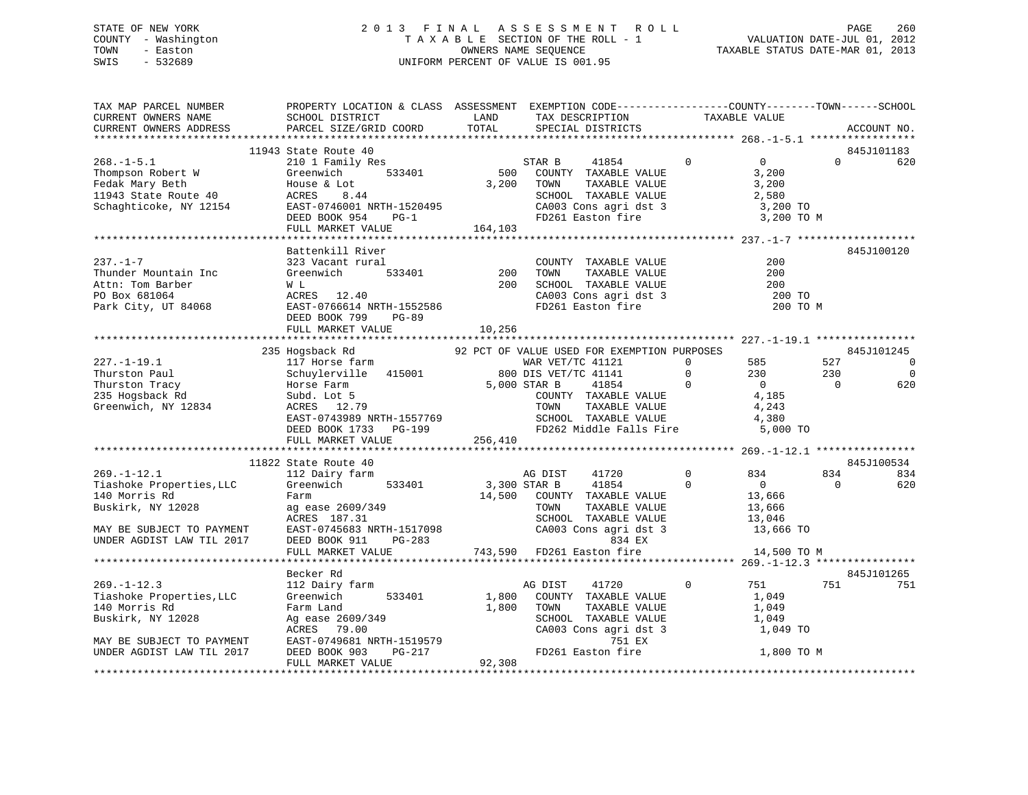# STATE OF NEW YORK 2 0 1 3 F I N A L A S S E S S M E N T R O L L PAGE 260 COUNTY - Washington T A X A B L E SECTION OF THE ROLL - 1 VALUATION DATE-JUL 01, 2012 TOWN - Easton OWNERS NAME SEQUENCE TAXABLE STATUS DATE-MAR 01, 2013 SWIS - 532689 UNIFORM PERCENT OF VALUE IS 001.95

| TAX MAP PARCEL NUMBER<br>CURRENT OWNERS NAME<br>CURRENT OWNERS ADDRESS                                                                                                                                                             | PROPERTY LOCATION & CLASS ASSESSMENT EXEMPTION CODE----------------COUNTY-------TOWN-----SCHOOL<br>SCHOOL DISTRICT                        LAND        TAX DESCRIPTION                  TAXABLE VALUE<br>PARCEL SIZE/GRID COORD TOTAL                                                   |            | SPECIAL DISTRICTS                                                                                                                                                                                                                                                                             |                                             |                                                          |                         | ACCOUNT NO.                                                         |
|------------------------------------------------------------------------------------------------------------------------------------------------------------------------------------------------------------------------------------|----------------------------------------------------------------------------------------------------------------------------------------------------------------------------------------------------------------------------------------------------------------------------------------|------------|-----------------------------------------------------------------------------------------------------------------------------------------------------------------------------------------------------------------------------------------------------------------------------------------------|---------------------------------------------|----------------------------------------------------------|-------------------------|---------------------------------------------------------------------|
|                                                                                                                                                                                                                                    |                                                                                                                                                                                                                                                                                        |            |                                                                                                                                                                                                                                                                                               |                                             |                                                          |                         |                                                                     |
|                                                                                                                                                                                                                                    | 11943 State Route 40                                                                                                                                                                                                                                                                   |            |                                                                                                                                                                                                                                                                                               |                                             |                                                          |                         | 845J101183                                                          |
| 268.-1-5.1<br>Thompson Robert W Greenwich 533401 500<br>Fedak Mary Beth House & Lot 3,200<br>11943 State Route 40 ACRES 8.44<br>Schaghticoke, NY 12154 EAST-0746001 NRTH-1520495<br>DEED BOOK 954 PG-1<br>THE MARKET VALUE 164,103 | 210 1 Family Res<br>Greenwich 533401 500 COUNTY TAXABLE VALUE                                                                                                                                                                                                                          | 3,200 TOWN | 41854 0<br>TAXABLE VALUE<br>SCHOOL TAXABLE VALUE<br>CA003 Cons agri dst 3 3 3,200 TO<br>FD261 Easton fire 3 3,200 TO M                                                                                                                                                                        |                                             | $\overline{0}$<br>3,200<br>3,200<br>2,580                | $\Omega$                | 620                                                                 |
|                                                                                                                                                                                                                                    |                                                                                                                                                                                                                                                                                        |            |                                                                                                                                                                                                                                                                                               |                                             |                                                          |                         |                                                                     |
| $237. - 1 - 7$<br>237.-1-7<br>Thunder Mountain Inc Greenwich 533401 200<br>Attn: Tom Barber W L 200<br>PO Box 681064 ACRES 12.40<br>Park City, UT 84068 EAST-0766614 NRTH-1552586<br>NERD BOOK 799 PG-89                           | Battenkill River<br>323 Vacant rural<br>DEED BOOK 799<br>PG-89                                                                                                                                                                                                                         |            | THE TIME TO COUNTY TAXABLE VALUE<br>THE 533401 200 TOWN TAXABLE VALUE<br>200 SCHOOL TAXABLE VALUE<br>200 SCHOOL TAXABLE VALUE<br>200 SCHOOL TAXABLE VALUE<br>200 SCHOOL TAXABLE VALUE<br>200 SCHOOL TAXABLE VALUE<br>200 SCHOOL TAXABLE VALU                                                  |                                             | 200<br>200<br>200<br>200 TO<br>200 TO M                  |                         | 845J100120                                                          |
|                                                                                                                                                                                                                                    | FULL MARKET VALUE                                                                                                                                                                                                                                                                      | 10,256     |                                                                                                                                                                                                                                                                                               |                                             |                                                          |                         |                                                                     |
|                                                                                                                                                                                                                                    |                                                                                                                                                                                                                                                                                        |            |                                                                                                                                                                                                                                                                                               |                                             |                                                          |                         |                                                                     |
| $227. - 1 - 19.1$<br>Thurston Paul<br>Thurston Tracy<br>235 Hogsback Rd<br>Greenwich, NY 12834                                                                                                                                     | EXEREM AND HOTSE FAR AND THE PRINCE COUNTY TAXABLE VALUE ON THAT A SUBARDER ON THAT AND TOWN TAXABLE VALUE AND TOWN TAXABLE VALUE 4, 185<br>2834 EAST-0743989 NRTH-1557769 TOWN TAXABLE VALUE 4, 243<br>EAST-0743989 NRTH-1557769<br>FULL MARKET VALUE 256,410<br>11822 State Route 40 |            | WAR VET/TC 41121 0 585<br>DIS VET/TC 41141 0 230<br>CTAD D 41954 0 0 0                                                                                                                                                                                                                        | $\begin{bmatrix} 0 \\ 0 \\ 0 \end{bmatrix}$ | $\begin{array}{c} 230 \\ 0 \end{array}$                  | 527<br>230<br>$\bigcap$ | 845J101245<br>$\overline{0}$<br>$\overline{0}$<br>620<br>845J100534 |
| $269. - 1 - 12.1$                                                                                                                                                                                                                  | State Route 40<br>112 Dairy farm                                                                                                                                                                                                                                                       | AG DIST    | 41720                                                                                                                                                                                                                                                                                         | 0 834                                       |                                                          | 834                     | 834                                                                 |
| Tiashoke Properties, LLC<br>140 Morris Rd<br>Buskirk, NY 12028<br>MAY BE SUBJECT TO PAYMENT<br>UNDER AGDIST LAW TIL 2017                                                                                                           | Greenwich 533401<br>Farm<br>ag ease 2609/349<br>ACRES 187.31<br>ACRES 187.31 SCHOOL TAAABLE VALUE 13,046<br>EAST-0745683 NRTH-1517098 CA003 Cons agridst 3 13,666 TO<br>DEED BOOK 911 PG-283 743,590 FD261 Easton fire 14,500 TO M                                                     |            | 3,300 STAR B 41854 0<br>14,500 COUNTY TAXABLE VALUE<br>TAXABLE VALUE<br>TOWN<br>TOWN      TAXABLE VALUE<br>SCHOOL   TAXABLE VALUE                                                                                                                                                             |                                             | $\frac{13,666}{13,666}$<br>13,666<br>13,046<br>13,666 TO | $\overline{0}$          | 620                                                                 |
|                                                                                                                                                                                                                                    |                                                                                                                                                                                                                                                                                        |            |                                                                                                                                                                                                                                                                                               |                                             |                                                          |                         |                                                                     |
|                                                                                                                                                                                                                                    | Becker Rd                                                                                                                                                                                                                                                                              |            |                                                                                                                                                                                                                                                                                               |                                             |                                                          |                         | 845J101265                                                          |
| $269. -1 - 12.3$<br>Tiashoke Properties, LLC<br>140 Morris Rd<br>Buskirk, NY 12028<br>MAY BE SUBJECT TO PAYMENT<br>UNDER AGDIST LAW TIL 2017                                                                                       | 112 Dairy farm<br>Greenwich<br>Farm Land<br>Farm Land<br>Ag ease 2609/349<br>ACRES 79.00<br>EAST-0749681 NRTH-1519579<br>DEED BOOK 903 PG-217<br>FULL MARKET VALUE 92,308                                                                                                              |            | AG DIST<br>41720<br>533401 1,800 COUNTY TAXABLE VALUE<br>1,800 TOWN<br>$\begin{tabular}{lllllllllll} \textsc{TONN} & \textsc{TAXABLE VALUE} & & & & 1,049 \\ \textsc{SCHOOL} & \textsc{TAXABLE VALUE} & & & 1,049 \\ \end{tabular}$<br>$CAO03$ Cons agri dst 3<br>751 EX<br>FD261 Easton fire | $\mathbf{0}$                                | 751<br>1,049<br>1,049 TO<br>1,800 TO M                   |                         | 751 751                                                             |
|                                                                                                                                                                                                                                    |                                                                                                                                                                                                                                                                                        |            |                                                                                                                                                                                                                                                                                               |                                             |                                                          |                         |                                                                     |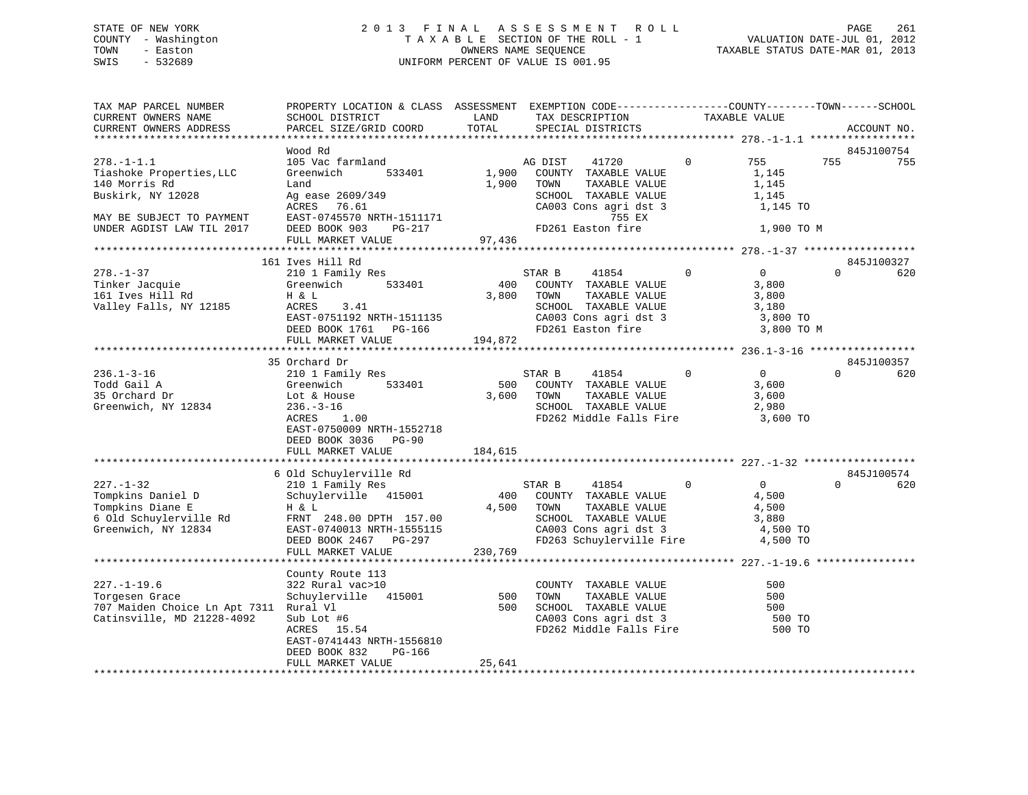# STATE OF NEW YORK 2 0 1 3 F I N A L A S S E S S M E N T R O L L PAGE 261 COUNTY - Washington T A X A B L E SECTION OF THE ROLL - 1 VALUATION DATE-JUL 01, 2012 TOWN - Easton OWNERS NAME SEQUENCE TAXABLE STATUS DATE-MAR 01, 2013 SWIS - 532689 UNIFORM PERCENT OF VALUE IS 001.95

| 845J100754<br>Wood Rd<br>755<br>$278. - 1 - 1.1$<br>105 Vac farmland<br>755<br>755<br>AG DIST<br>41720<br>$\overline{0}$<br>Tiashoke Properties, LLC<br>1,900 COUNTY TAXABLE VALUE<br>Greenwich<br>533401<br>1,145<br>140 Morris Rd<br>1,900<br>TOWN<br>TAXABLE VALUE<br>1,145<br>Land<br>Buskirk, NY 12028<br>SCHOOL TAXABLE VALUE<br>1,145<br>Ag ease 2609/349<br>ACRES 76.61<br>CA003 Cons agri dst 3<br>1,145 TO<br>EAST-0745570 NRTH-1511171<br>755 EX<br>MAY BE SUBJECT TO PAYMENT<br>FD261 Easton fire<br>UNDER AGDIST LAW TIL 2017<br>DEED BOOK 903<br>PG-217<br>1,900 TO M<br>97,436<br>FULL MARKET VALUE<br>161 Ives Hill Rd<br>845J100327<br>210 1 Family Res<br>$\mathbf 0$<br>$\overline{0}$<br>$\Omega$<br>$278. - 1 - 37$<br>STAR B<br>41854<br>620<br>400 COUNTY TAXABLE VALUE<br>Greenwich 533401<br>Tinker Jacquie<br>3,800<br>161 Ives Hill Rd<br>3,800 TOWN<br>TAXABLE VALUE<br>3,800<br>H & L<br>Valley Falls, NY 12185<br>ACRES<br>3.41<br>SCHOOL TAXABLE VALUE<br>3,180<br>CA003 Cons agri dst 3<br>EAST-0751192 NRTH-1511135<br>3,800 TO<br>FD261 Easton fire<br>DEED BOOK 1761 PG-166<br>3,800 TO M<br>194,872<br>FULL MARKET VALUE<br>35 Orchard Dr<br>845J100357<br>$\overline{0}$<br>$236.1 - 3 - 16$<br>$\Omega$<br>$\Omega$<br>620<br>210 1 Family Res<br>STAR B<br>41854<br>Todd Gail A<br>533401<br>500<br>COUNTY TAXABLE VALUE<br>Greenwich<br>3,600<br>35 Orchard Dr<br>3,600 TOWN<br>TAXABLE VALUE<br>3,600<br>Lot & House<br>Greenwich, NY 12834<br>$236. - 3 - 16$<br>SCHOOL TAXABLE VALUE<br>2,980<br>ACRES<br>1.00<br>FD262 Middle Falls Fire 3,600 TO<br>EAST-0750009 NRTH-1552718<br>DEED BOOK 3036 PG-90<br>FULL MARKET VALUE<br>184,615<br>845J100574<br>6 Old Schuylerville Rd<br>$\overline{0}$<br>$\Omega$<br>$227. - 1 - 32$<br>210 1 Family Res<br>$\mathbf{0}$<br>620<br>STAR B<br>41854<br>Tompkins Daniel D<br>Schuylerville 415001<br>400 COUNTY TAXABLE VALUE<br>4,500<br>Tompkins Diane E<br>4,500 TOWN<br>H & L<br>TAXABLE VALUE<br>4,500<br>6 Old Schuylerville Rd<br>FRNT 248.00 DPTH 157.00<br>SCHOOL TAXABLE VALUE<br>3,880<br>Greenwich, NY 12834<br>CA003 Cons agri dst 3<br>EAST-0740013 NRTH-1555115<br>4,500 TO<br>FD263 Schuylerville Fire 4,500 TO<br>DEED BOOK 2467 PG-297<br>230,769<br>FULL MARKET VALUE<br>County Route 113<br>$227. - 1 - 19.6$<br>322 Rural vac>10<br>COUNTY TAXABLE VALUE<br>500<br>Schuylerville 415001<br>500<br>TAXABLE VALUE<br>500<br>Torgesen Grace<br>TOWN<br>707 Maiden Choice Ln Apt 7311 Rural Vl<br>SCHOOL TAXABLE VALUE<br>500<br>500<br>Sub Lot #6<br>ACRES 15.54<br>CA003 Cons agri dst 3<br>Catinsville, MD 21228-4092<br>500 TO<br>FD262 Middle Falls Fire<br>500 TO<br>EAST-0741443 NRTH-1556810<br>DEED BOOK 832<br>PG-166<br>FULL MARKET VALUE<br>25,641 | TAX MAP PARCEL NUMBER<br>CURRENT OWNERS NAME<br>CURRENT OWNERS ADDRESS | PROPERTY LOCATION & CLASS ASSESSMENT EXEMPTION CODE----------------COUNTY-------TOWN------SCHOOL<br>SCHOOL DISTRICT<br>PARCEL SIZE/GRID COORD | LAND<br>TOTAL | TAX DESCRIPTION<br>SPECIAL DISTRICTS | TAXABLE VALUE | ACCOUNT NO. |
|----------------------------------------------------------------------------------------------------------------------------------------------------------------------------------------------------------------------------------------------------------------------------------------------------------------------------------------------------------------------------------------------------------------------------------------------------------------------------------------------------------------------------------------------------------------------------------------------------------------------------------------------------------------------------------------------------------------------------------------------------------------------------------------------------------------------------------------------------------------------------------------------------------------------------------------------------------------------------------------------------------------------------------------------------------------------------------------------------------------------------------------------------------------------------------------------------------------------------------------------------------------------------------------------------------------------------------------------------------------------------------------------------------------------------------------------------------------------------------------------------------------------------------------------------------------------------------------------------------------------------------------------------------------------------------------------------------------------------------------------------------------------------------------------------------------------------------------------------------------------------------------------------------------------------------------------------------------------------------------------------------------------------------------------------------------------------------------------------------------------------------------------------------------------------------------------------------------------------------------------------------------------------------------------------------------------------------------------------------------------------------------------------------------------------------------------------------------------------------------------------------------------------------------------------------------------------------------------------------------------------------------------------------------------------------------------------------------------------------------------------------------------|------------------------------------------------------------------------|-----------------------------------------------------------------------------------------------------------------------------------------------|---------------|--------------------------------------|---------------|-------------|
|                                                                                                                                                                                                                                                                                                                                                                                                                                                                                                                                                                                                                                                                                                                                                                                                                                                                                                                                                                                                                                                                                                                                                                                                                                                                                                                                                                                                                                                                                                                                                                                                                                                                                                                                                                                                                                                                                                                                                                                                                                                                                                                                                                                                                                                                                                                                                                                                                                                                                                                                                                                                                                                                                                                                                                      |                                                                        |                                                                                                                                               |               |                                      |               |             |
|                                                                                                                                                                                                                                                                                                                                                                                                                                                                                                                                                                                                                                                                                                                                                                                                                                                                                                                                                                                                                                                                                                                                                                                                                                                                                                                                                                                                                                                                                                                                                                                                                                                                                                                                                                                                                                                                                                                                                                                                                                                                                                                                                                                                                                                                                                                                                                                                                                                                                                                                                                                                                                                                                                                                                                      |                                                                        |                                                                                                                                               |               |                                      |               |             |
|                                                                                                                                                                                                                                                                                                                                                                                                                                                                                                                                                                                                                                                                                                                                                                                                                                                                                                                                                                                                                                                                                                                                                                                                                                                                                                                                                                                                                                                                                                                                                                                                                                                                                                                                                                                                                                                                                                                                                                                                                                                                                                                                                                                                                                                                                                                                                                                                                                                                                                                                                                                                                                                                                                                                                                      |                                                                        |                                                                                                                                               |               |                                      |               |             |
|                                                                                                                                                                                                                                                                                                                                                                                                                                                                                                                                                                                                                                                                                                                                                                                                                                                                                                                                                                                                                                                                                                                                                                                                                                                                                                                                                                                                                                                                                                                                                                                                                                                                                                                                                                                                                                                                                                                                                                                                                                                                                                                                                                                                                                                                                                                                                                                                                                                                                                                                                                                                                                                                                                                                                                      |                                                                        |                                                                                                                                               |               |                                      |               |             |
|                                                                                                                                                                                                                                                                                                                                                                                                                                                                                                                                                                                                                                                                                                                                                                                                                                                                                                                                                                                                                                                                                                                                                                                                                                                                                                                                                                                                                                                                                                                                                                                                                                                                                                                                                                                                                                                                                                                                                                                                                                                                                                                                                                                                                                                                                                                                                                                                                                                                                                                                                                                                                                                                                                                                                                      |                                                                        |                                                                                                                                               |               |                                      |               |             |
|                                                                                                                                                                                                                                                                                                                                                                                                                                                                                                                                                                                                                                                                                                                                                                                                                                                                                                                                                                                                                                                                                                                                                                                                                                                                                                                                                                                                                                                                                                                                                                                                                                                                                                                                                                                                                                                                                                                                                                                                                                                                                                                                                                                                                                                                                                                                                                                                                                                                                                                                                                                                                                                                                                                                                                      |                                                                        |                                                                                                                                               |               |                                      |               |             |
|                                                                                                                                                                                                                                                                                                                                                                                                                                                                                                                                                                                                                                                                                                                                                                                                                                                                                                                                                                                                                                                                                                                                                                                                                                                                                                                                                                                                                                                                                                                                                                                                                                                                                                                                                                                                                                                                                                                                                                                                                                                                                                                                                                                                                                                                                                                                                                                                                                                                                                                                                                                                                                                                                                                                                                      |                                                                        |                                                                                                                                               |               |                                      |               |             |
|                                                                                                                                                                                                                                                                                                                                                                                                                                                                                                                                                                                                                                                                                                                                                                                                                                                                                                                                                                                                                                                                                                                                                                                                                                                                                                                                                                                                                                                                                                                                                                                                                                                                                                                                                                                                                                                                                                                                                                                                                                                                                                                                                                                                                                                                                                                                                                                                                                                                                                                                                                                                                                                                                                                                                                      |                                                                        |                                                                                                                                               |               |                                      |               |             |
|                                                                                                                                                                                                                                                                                                                                                                                                                                                                                                                                                                                                                                                                                                                                                                                                                                                                                                                                                                                                                                                                                                                                                                                                                                                                                                                                                                                                                                                                                                                                                                                                                                                                                                                                                                                                                                                                                                                                                                                                                                                                                                                                                                                                                                                                                                                                                                                                                                                                                                                                                                                                                                                                                                                                                                      |                                                                        |                                                                                                                                               |               |                                      |               |             |
|                                                                                                                                                                                                                                                                                                                                                                                                                                                                                                                                                                                                                                                                                                                                                                                                                                                                                                                                                                                                                                                                                                                                                                                                                                                                                                                                                                                                                                                                                                                                                                                                                                                                                                                                                                                                                                                                                                                                                                                                                                                                                                                                                                                                                                                                                                                                                                                                                                                                                                                                                                                                                                                                                                                                                                      |                                                                        |                                                                                                                                               |               |                                      |               |             |
|                                                                                                                                                                                                                                                                                                                                                                                                                                                                                                                                                                                                                                                                                                                                                                                                                                                                                                                                                                                                                                                                                                                                                                                                                                                                                                                                                                                                                                                                                                                                                                                                                                                                                                                                                                                                                                                                                                                                                                                                                                                                                                                                                                                                                                                                                                                                                                                                                                                                                                                                                                                                                                                                                                                                                                      |                                                                        |                                                                                                                                               |               |                                      |               |             |
|                                                                                                                                                                                                                                                                                                                                                                                                                                                                                                                                                                                                                                                                                                                                                                                                                                                                                                                                                                                                                                                                                                                                                                                                                                                                                                                                                                                                                                                                                                                                                                                                                                                                                                                                                                                                                                                                                                                                                                                                                                                                                                                                                                                                                                                                                                                                                                                                                                                                                                                                                                                                                                                                                                                                                                      |                                                                        |                                                                                                                                               |               |                                      |               |             |
|                                                                                                                                                                                                                                                                                                                                                                                                                                                                                                                                                                                                                                                                                                                                                                                                                                                                                                                                                                                                                                                                                                                                                                                                                                                                                                                                                                                                                                                                                                                                                                                                                                                                                                                                                                                                                                                                                                                                                                                                                                                                                                                                                                                                                                                                                                                                                                                                                                                                                                                                                                                                                                                                                                                                                                      |                                                                        |                                                                                                                                               |               |                                      |               |             |
|                                                                                                                                                                                                                                                                                                                                                                                                                                                                                                                                                                                                                                                                                                                                                                                                                                                                                                                                                                                                                                                                                                                                                                                                                                                                                                                                                                                                                                                                                                                                                                                                                                                                                                                                                                                                                                                                                                                                                                                                                                                                                                                                                                                                                                                                                                                                                                                                                                                                                                                                                                                                                                                                                                                                                                      |                                                                        |                                                                                                                                               |               |                                      |               |             |
|                                                                                                                                                                                                                                                                                                                                                                                                                                                                                                                                                                                                                                                                                                                                                                                                                                                                                                                                                                                                                                                                                                                                                                                                                                                                                                                                                                                                                                                                                                                                                                                                                                                                                                                                                                                                                                                                                                                                                                                                                                                                                                                                                                                                                                                                                                                                                                                                                                                                                                                                                                                                                                                                                                                                                                      |                                                                        |                                                                                                                                               |               |                                      |               |             |
|                                                                                                                                                                                                                                                                                                                                                                                                                                                                                                                                                                                                                                                                                                                                                                                                                                                                                                                                                                                                                                                                                                                                                                                                                                                                                                                                                                                                                                                                                                                                                                                                                                                                                                                                                                                                                                                                                                                                                                                                                                                                                                                                                                                                                                                                                                                                                                                                                                                                                                                                                                                                                                                                                                                                                                      |                                                                        |                                                                                                                                               |               |                                      |               |             |
|                                                                                                                                                                                                                                                                                                                                                                                                                                                                                                                                                                                                                                                                                                                                                                                                                                                                                                                                                                                                                                                                                                                                                                                                                                                                                                                                                                                                                                                                                                                                                                                                                                                                                                                                                                                                                                                                                                                                                                                                                                                                                                                                                                                                                                                                                                                                                                                                                                                                                                                                                                                                                                                                                                                                                                      |                                                                        |                                                                                                                                               |               |                                      |               |             |
|                                                                                                                                                                                                                                                                                                                                                                                                                                                                                                                                                                                                                                                                                                                                                                                                                                                                                                                                                                                                                                                                                                                                                                                                                                                                                                                                                                                                                                                                                                                                                                                                                                                                                                                                                                                                                                                                                                                                                                                                                                                                                                                                                                                                                                                                                                                                                                                                                                                                                                                                                                                                                                                                                                                                                                      |                                                                        |                                                                                                                                               |               |                                      |               |             |
|                                                                                                                                                                                                                                                                                                                                                                                                                                                                                                                                                                                                                                                                                                                                                                                                                                                                                                                                                                                                                                                                                                                                                                                                                                                                                                                                                                                                                                                                                                                                                                                                                                                                                                                                                                                                                                                                                                                                                                                                                                                                                                                                                                                                                                                                                                                                                                                                                                                                                                                                                                                                                                                                                                                                                                      |                                                                        |                                                                                                                                               |               |                                      |               |             |
|                                                                                                                                                                                                                                                                                                                                                                                                                                                                                                                                                                                                                                                                                                                                                                                                                                                                                                                                                                                                                                                                                                                                                                                                                                                                                                                                                                                                                                                                                                                                                                                                                                                                                                                                                                                                                                                                                                                                                                                                                                                                                                                                                                                                                                                                                                                                                                                                                                                                                                                                                                                                                                                                                                                                                                      |                                                                        |                                                                                                                                               |               |                                      |               |             |
|                                                                                                                                                                                                                                                                                                                                                                                                                                                                                                                                                                                                                                                                                                                                                                                                                                                                                                                                                                                                                                                                                                                                                                                                                                                                                                                                                                                                                                                                                                                                                                                                                                                                                                                                                                                                                                                                                                                                                                                                                                                                                                                                                                                                                                                                                                                                                                                                                                                                                                                                                                                                                                                                                                                                                                      |                                                                        |                                                                                                                                               |               |                                      |               |             |
|                                                                                                                                                                                                                                                                                                                                                                                                                                                                                                                                                                                                                                                                                                                                                                                                                                                                                                                                                                                                                                                                                                                                                                                                                                                                                                                                                                                                                                                                                                                                                                                                                                                                                                                                                                                                                                                                                                                                                                                                                                                                                                                                                                                                                                                                                                                                                                                                                                                                                                                                                                                                                                                                                                                                                                      |                                                                        |                                                                                                                                               |               |                                      |               |             |
|                                                                                                                                                                                                                                                                                                                                                                                                                                                                                                                                                                                                                                                                                                                                                                                                                                                                                                                                                                                                                                                                                                                                                                                                                                                                                                                                                                                                                                                                                                                                                                                                                                                                                                                                                                                                                                                                                                                                                                                                                                                                                                                                                                                                                                                                                                                                                                                                                                                                                                                                                                                                                                                                                                                                                                      |                                                                        |                                                                                                                                               |               |                                      |               |             |
|                                                                                                                                                                                                                                                                                                                                                                                                                                                                                                                                                                                                                                                                                                                                                                                                                                                                                                                                                                                                                                                                                                                                                                                                                                                                                                                                                                                                                                                                                                                                                                                                                                                                                                                                                                                                                                                                                                                                                                                                                                                                                                                                                                                                                                                                                                                                                                                                                                                                                                                                                                                                                                                                                                                                                                      |                                                                        |                                                                                                                                               |               |                                      |               |             |
|                                                                                                                                                                                                                                                                                                                                                                                                                                                                                                                                                                                                                                                                                                                                                                                                                                                                                                                                                                                                                                                                                                                                                                                                                                                                                                                                                                                                                                                                                                                                                                                                                                                                                                                                                                                                                                                                                                                                                                                                                                                                                                                                                                                                                                                                                                                                                                                                                                                                                                                                                                                                                                                                                                                                                                      |                                                                        |                                                                                                                                               |               |                                      |               |             |
|                                                                                                                                                                                                                                                                                                                                                                                                                                                                                                                                                                                                                                                                                                                                                                                                                                                                                                                                                                                                                                                                                                                                                                                                                                                                                                                                                                                                                                                                                                                                                                                                                                                                                                                                                                                                                                                                                                                                                                                                                                                                                                                                                                                                                                                                                                                                                                                                                                                                                                                                                                                                                                                                                                                                                                      |                                                                        |                                                                                                                                               |               |                                      |               |             |
|                                                                                                                                                                                                                                                                                                                                                                                                                                                                                                                                                                                                                                                                                                                                                                                                                                                                                                                                                                                                                                                                                                                                                                                                                                                                                                                                                                                                                                                                                                                                                                                                                                                                                                                                                                                                                                                                                                                                                                                                                                                                                                                                                                                                                                                                                                                                                                                                                                                                                                                                                                                                                                                                                                                                                                      |                                                                        |                                                                                                                                               |               |                                      |               |             |
|                                                                                                                                                                                                                                                                                                                                                                                                                                                                                                                                                                                                                                                                                                                                                                                                                                                                                                                                                                                                                                                                                                                                                                                                                                                                                                                                                                                                                                                                                                                                                                                                                                                                                                                                                                                                                                                                                                                                                                                                                                                                                                                                                                                                                                                                                                                                                                                                                                                                                                                                                                                                                                                                                                                                                                      |                                                                        |                                                                                                                                               |               |                                      |               |             |
|                                                                                                                                                                                                                                                                                                                                                                                                                                                                                                                                                                                                                                                                                                                                                                                                                                                                                                                                                                                                                                                                                                                                                                                                                                                                                                                                                                                                                                                                                                                                                                                                                                                                                                                                                                                                                                                                                                                                                                                                                                                                                                                                                                                                                                                                                                                                                                                                                                                                                                                                                                                                                                                                                                                                                                      |                                                                        |                                                                                                                                               |               |                                      |               |             |
|                                                                                                                                                                                                                                                                                                                                                                                                                                                                                                                                                                                                                                                                                                                                                                                                                                                                                                                                                                                                                                                                                                                                                                                                                                                                                                                                                                                                                                                                                                                                                                                                                                                                                                                                                                                                                                                                                                                                                                                                                                                                                                                                                                                                                                                                                                                                                                                                                                                                                                                                                                                                                                                                                                                                                                      |                                                                        |                                                                                                                                               |               |                                      |               |             |
|                                                                                                                                                                                                                                                                                                                                                                                                                                                                                                                                                                                                                                                                                                                                                                                                                                                                                                                                                                                                                                                                                                                                                                                                                                                                                                                                                                                                                                                                                                                                                                                                                                                                                                                                                                                                                                                                                                                                                                                                                                                                                                                                                                                                                                                                                                                                                                                                                                                                                                                                                                                                                                                                                                                                                                      |                                                                        |                                                                                                                                               |               |                                      |               |             |
|                                                                                                                                                                                                                                                                                                                                                                                                                                                                                                                                                                                                                                                                                                                                                                                                                                                                                                                                                                                                                                                                                                                                                                                                                                                                                                                                                                                                                                                                                                                                                                                                                                                                                                                                                                                                                                                                                                                                                                                                                                                                                                                                                                                                                                                                                                                                                                                                                                                                                                                                                                                                                                                                                                                                                                      |                                                                        |                                                                                                                                               |               |                                      |               |             |
|                                                                                                                                                                                                                                                                                                                                                                                                                                                                                                                                                                                                                                                                                                                                                                                                                                                                                                                                                                                                                                                                                                                                                                                                                                                                                                                                                                                                                                                                                                                                                                                                                                                                                                                                                                                                                                                                                                                                                                                                                                                                                                                                                                                                                                                                                                                                                                                                                                                                                                                                                                                                                                                                                                                                                                      |                                                                        |                                                                                                                                               |               |                                      |               |             |
|                                                                                                                                                                                                                                                                                                                                                                                                                                                                                                                                                                                                                                                                                                                                                                                                                                                                                                                                                                                                                                                                                                                                                                                                                                                                                                                                                                                                                                                                                                                                                                                                                                                                                                                                                                                                                                                                                                                                                                                                                                                                                                                                                                                                                                                                                                                                                                                                                                                                                                                                                                                                                                                                                                                                                                      |                                                                        |                                                                                                                                               |               |                                      |               |             |
|                                                                                                                                                                                                                                                                                                                                                                                                                                                                                                                                                                                                                                                                                                                                                                                                                                                                                                                                                                                                                                                                                                                                                                                                                                                                                                                                                                                                                                                                                                                                                                                                                                                                                                                                                                                                                                                                                                                                                                                                                                                                                                                                                                                                                                                                                                                                                                                                                                                                                                                                                                                                                                                                                                                                                                      |                                                                        |                                                                                                                                               |               |                                      |               |             |
|                                                                                                                                                                                                                                                                                                                                                                                                                                                                                                                                                                                                                                                                                                                                                                                                                                                                                                                                                                                                                                                                                                                                                                                                                                                                                                                                                                                                                                                                                                                                                                                                                                                                                                                                                                                                                                                                                                                                                                                                                                                                                                                                                                                                                                                                                                                                                                                                                                                                                                                                                                                                                                                                                                                                                                      |                                                                        |                                                                                                                                               |               |                                      |               |             |
|                                                                                                                                                                                                                                                                                                                                                                                                                                                                                                                                                                                                                                                                                                                                                                                                                                                                                                                                                                                                                                                                                                                                                                                                                                                                                                                                                                                                                                                                                                                                                                                                                                                                                                                                                                                                                                                                                                                                                                                                                                                                                                                                                                                                                                                                                                                                                                                                                                                                                                                                                                                                                                                                                                                                                                      |                                                                        |                                                                                                                                               |               |                                      |               |             |
|                                                                                                                                                                                                                                                                                                                                                                                                                                                                                                                                                                                                                                                                                                                                                                                                                                                                                                                                                                                                                                                                                                                                                                                                                                                                                                                                                                                                                                                                                                                                                                                                                                                                                                                                                                                                                                                                                                                                                                                                                                                                                                                                                                                                                                                                                                                                                                                                                                                                                                                                                                                                                                                                                                                                                                      |                                                                        |                                                                                                                                               |               |                                      |               |             |
|                                                                                                                                                                                                                                                                                                                                                                                                                                                                                                                                                                                                                                                                                                                                                                                                                                                                                                                                                                                                                                                                                                                                                                                                                                                                                                                                                                                                                                                                                                                                                                                                                                                                                                                                                                                                                                                                                                                                                                                                                                                                                                                                                                                                                                                                                                                                                                                                                                                                                                                                                                                                                                                                                                                                                                      |                                                                        |                                                                                                                                               |               |                                      |               |             |
|                                                                                                                                                                                                                                                                                                                                                                                                                                                                                                                                                                                                                                                                                                                                                                                                                                                                                                                                                                                                                                                                                                                                                                                                                                                                                                                                                                                                                                                                                                                                                                                                                                                                                                                                                                                                                                                                                                                                                                                                                                                                                                                                                                                                                                                                                                                                                                                                                                                                                                                                                                                                                                                                                                                                                                      |                                                                        |                                                                                                                                               |               |                                      |               |             |
|                                                                                                                                                                                                                                                                                                                                                                                                                                                                                                                                                                                                                                                                                                                                                                                                                                                                                                                                                                                                                                                                                                                                                                                                                                                                                                                                                                                                                                                                                                                                                                                                                                                                                                                                                                                                                                                                                                                                                                                                                                                                                                                                                                                                                                                                                                                                                                                                                                                                                                                                                                                                                                                                                                                                                                      |                                                                        |                                                                                                                                               |               |                                      |               |             |
|                                                                                                                                                                                                                                                                                                                                                                                                                                                                                                                                                                                                                                                                                                                                                                                                                                                                                                                                                                                                                                                                                                                                                                                                                                                                                                                                                                                                                                                                                                                                                                                                                                                                                                                                                                                                                                                                                                                                                                                                                                                                                                                                                                                                                                                                                                                                                                                                                                                                                                                                                                                                                                                                                                                                                                      |                                                                        |                                                                                                                                               |               |                                      |               |             |
|                                                                                                                                                                                                                                                                                                                                                                                                                                                                                                                                                                                                                                                                                                                                                                                                                                                                                                                                                                                                                                                                                                                                                                                                                                                                                                                                                                                                                                                                                                                                                                                                                                                                                                                                                                                                                                                                                                                                                                                                                                                                                                                                                                                                                                                                                                                                                                                                                                                                                                                                                                                                                                                                                                                                                                      |                                                                        |                                                                                                                                               |               |                                      |               |             |
|                                                                                                                                                                                                                                                                                                                                                                                                                                                                                                                                                                                                                                                                                                                                                                                                                                                                                                                                                                                                                                                                                                                                                                                                                                                                                                                                                                                                                                                                                                                                                                                                                                                                                                                                                                                                                                                                                                                                                                                                                                                                                                                                                                                                                                                                                                                                                                                                                                                                                                                                                                                                                                                                                                                                                                      |                                                                        |                                                                                                                                               |               |                                      |               |             |
|                                                                                                                                                                                                                                                                                                                                                                                                                                                                                                                                                                                                                                                                                                                                                                                                                                                                                                                                                                                                                                                                                                                                                                                                                                                                                                                                                                                                                                                                                                                                                                                                                                                                                                                                                                                                                                                                                                                                                                                                                                                                                                                                                                                                                                                                                                                                                                                                                                                                                                                                                                                                                                                                                                                                                                      |                                                                        |                                                                                                                                               |               |                                      |               |             |
|                                                                                                                                                                                                                                                                                                                                                                                                                                                                                                                                                                                                                                                                                                                                                                                                                                                                                                                                                                                                                                                                                                                                                                                                                                                                                                                                                                                                                                                                                                                                                                                                                                                                                                                                                                                                                                                                                                                                                                                                                                                                                                                                                                                                                                                                                                                                                                                                                                                                                                                                                                                                                                                                                                                                                                      |                                                                        |                                                                                                                                               |               |                                      |               |             |
|                                                                                                                                                                                                                                                                                                                                                                                                                                                                                                                                                                                                                                                                                                                                                                                                                                                                                                                                                                                                                                                                                                                                                                                                                                                                                                                                                                                                                                                                                                                                                                                                                                                                                                                                                                                                                                                                                                                                                                                                                                                                                                                                                                                                                                                                                                                                                                                                                                                                                                                                                                                                                                                                                                                                                                      |                                                                        |                                                                                                                                               |               |                                      |               |             |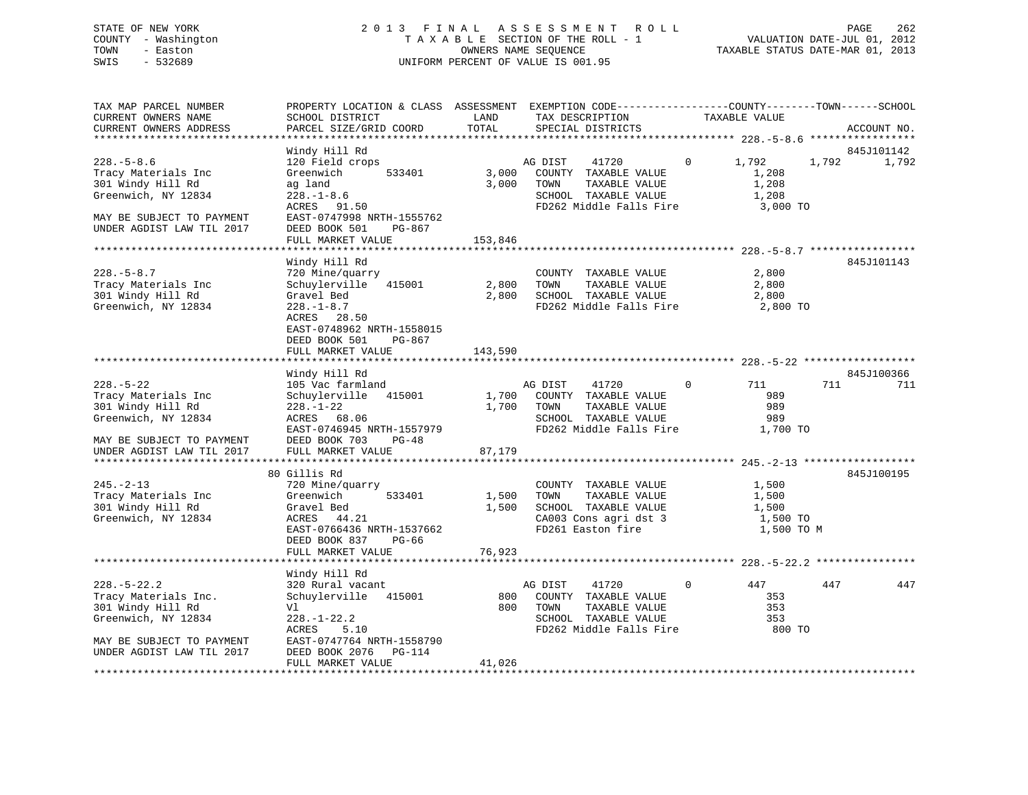# STATE OF NEW YORK 2 0 1 3 F I N A L A S S E S S M E N T R O L L PAGE 262 COUNTY - Washington T A X A B L E SECTION OF THE ROLL - 1 VALUATION DATE-JUL 01, 2012 TOWN - Easton OWNERS NAME SEQUENCE TAXABLE STATUS DATE-MAR 01, 2013 SWIS - 532689 UNIFORM PERCENT OF VALUE IS 001.95

| TAX MAP PARCEL NUMBER<br>CURRENT OWNERS NAME<br>CURRENT OWNERS ADDRESS<br>*********************                                               | PROPERTY LOCATION & CLASS ASSESSMENT EXEMPTION CODE----------------COUNTY-------TOWN------SCHOOL<br>SCHOOL DISTRICT<br>PARCEL SIZE/GRID COORD                                      | LAND<br>TOTAL             | TAX DESCRIPTION<br>SPECIAL DISTRICTS                                                                                 |          | TAXABLE VALUE                                     |       | ACCOUNT NO.<br>***************** |
|-----------------------------------------------------------------------------------------------------------------------------------------------|------------------------------------------------------------------------------------------------------------------------------------------------------------------------------------|---------------------------|----------------------------------------------------------------------------------------------------------------------|----------|---------------------------------------------------|-------|----------------------------------|
|                                                                                                                                               |                                                                                                                                                                                    |                           |                                                                                                                      |          |                                                   |       |                                  |
| $228. - 5 - 8.6$<br>Tracy Materials Inc<br>301 Windy Hill Rd<br>Greenwich, NY 12834<br>MAY BE SUBJECT TO PAYMENT<br>UNDER AGDIST LAW TIL 2017 | Windy Hill Rd<br>120 Field crops<br>Greenwich<br>533401<br>ag land<br>$228. - 1 - 8.6$<br>ACRES 91.50<br>EAST-0747998 NRTH-1555762<br>DEED BOOK 501<br>PG-867<br>FULL MARKET VALUE | 3,000<br>3,000<br>153,846 | AG DIST<br>41720<br>COUNTY TAXABLE VALUE<br>TAXABLE VALUE<br>TOWN<br>SCHOOL TAXABLE VALUE<br>FD262 Middle Falls Fire | $\Omega$ | 1,792<br>1,208<br>1,208<br>1,208<br>3,000 TO      | 1,792 | 845J101142<br>1,792              |
|                                                                                                                                               |                                                                                                                                                                                    |                           |                                                                                                                      |          |                                                   |       |                                  |
| $228. - 5 - 8.7$<br>Tracy Materials Inc<br>301 Windy Hill Rd<br>Greenwich, NY 12834                                                           | Windy Hill Rd<br>720 Mine/quarry<br>Schuylerville<br>415001<br>Gravel Bed<br>$228. - 1 - 8.7$<br>ACRES 28.50<br>EAST-0748962 NRTH-1558015<br>DEED BOOK 501<br>PG-867               | 2,800<br>2,800            | COUNTY TAXABLE VALUE<br>TOWN<br>TAXABLE VALUE<br>SCHOOL TAXABLE VALUE<br>FD262 Middle Falls Fire                     |          | 2,800<br>2,800<br>2,800<br>2,800 TO               |       | 845J101143                       |
|                                                                                                                                               | FULL MARKET VALUE                                                                                                                                                                  | 143,590                   |                                                                                                                      |          |                                                   |       |                                  |
|                                                                                                                                               |                                                                                                                                                                                    |                           | ********************************** 228.-5-22 **                                                                      |          |                                                   |       |                                  |
| $228. - 5 - 22$<br>Tracy Materials Inc<br>301 Windy Hill Rd<br>Greenwich, NY 12834                                                            | Windy Hill Rd<br>105 Vac farmland<br>Schuylerville<br>415001<br>$228. - 1 - 22$<br>ACRES 68.06<br>EAST-0746945 NRTH-1557979                                                        | 1,700<br>1,700            | AG DIST<br>41720<br>COUNTY TAXABLE VALUE<br>TOWN<br>TAXABLE VALUE<br>SCHOOL TAXABLE VALUE<br>FD262 Middle Falls Fire | 0        | 711<br>989<br>989<br>989<br>1,700 TO              | 711   | 845J100366<br>711                |
| MAY BE SUBJECT TO PAYMENT<br>UNDER AGDIST LAW TIL 2017                                                                                        | DEED BOOK 703<br>$PG-48$<br>FULL MARKET VALUE                                                                                                                                      | 87,179                    |                                                                                                                      |          |                                                   |       |                                  |
| **************************                                                                                                                    | *************************                                                                                                                                                          |                           |                                                                                                                      |          |                                                   |       |                                  |
| $245. - 2 - 13$<br>Tracy Materials Inc<br>301 Windy Hill Rd<br>Greenwich, NY 12834                                                            | 80 Gillis Rd<br>720 Mine/quarry<br>533401<br>Greenwich<br>Gravel Bed<br>ACRES<br>44.21<br>EAST-0766436 NRTH-1537662<br>DEED BOOK 837<br>PG-66                                      | 1,500<br>1,500            | COUNTY TAXABLE VALUE<br>TOWN<br>TAXABLE VALUE<br>SCHOOL TAXABLE VALUE<br>CA003 Cons agri dst 3<br>FD261 Easton fire  |          | 1,500<br>1,500<br>1,500<br>1,500 TO<br>1,500 TO M |       | 845J100195                       |
|                                                                                                                                               | FULL MARKET VALUE                                                                                                                                                                  | 76,923                    |                                                                                                                      |          |                                                   |       |                                  |
|                                                                                                                                               |                                                                                                                                                                                    |                           |                                                                                                                      |          |                                                   |       |                                  |
| $228. - 5 - 22.2$<br>Tracy Materials Inc.<br>301 Windy Hill Rd<br>Greenwich, NY 12834<br>MAY BE SUBJECT TO PAYMENT                            | Windy Hill Rd<br>320 Rural vacant<br>Schuylerville<br>415001<br>Vl<br>$228. - 1 - 22.2$<br>ACRES<br>5.10<br>EAST-0747764 NRTH-1558790                                              | 800<br>800                | AG DIST<br>41720<br>COUNTY TAXABLE VALUE<br>TOWN<br>TAXABLE VALUE<br>SCHOOL TAXABLE VALUE<br>FD262 Middle Falls Fire | 0        | 447<br>353<br>353<br>353<br>800 TO                | 447   | 447                              |
| UNDER AGDIST LAW TIL 2017                                                                                                                     | DEED BOOK 2076<br>PG-114<br>FULL MARKET VALUE                                                                                                                                      | 41,026                    |                                                                                                                      |          |                                                   |       |                                  |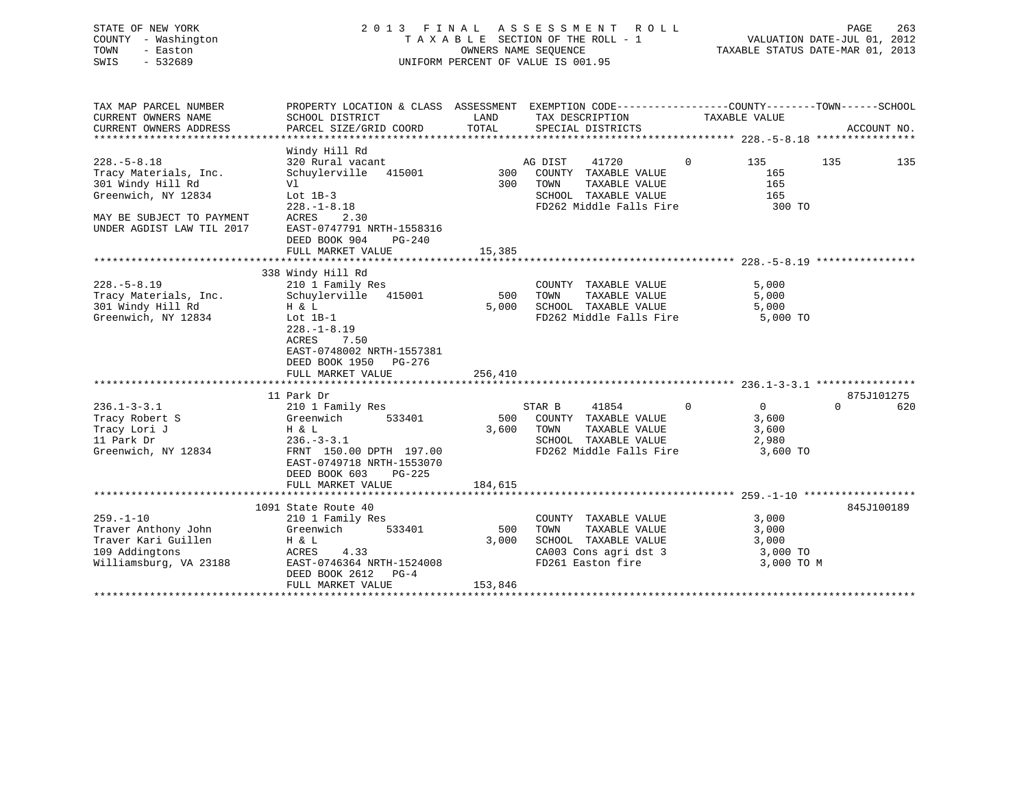| STATE OF NEW YORK   | 2013 FINAL ASSESSMENT ROLL         | 263<br>PAGE                      |
|---------------------|------------------------------------|----------------------------------|
| COUNTY - Washington | TAXABLE SECTION OF THE ROLL - 1    | VALUATION DATE-JUL 01, 2012      |
| TOWN<br>- Easton    | OWNERS NAME SEOUENCE               | TAXABLE STATUS DATE-MAR 01, 2013 |
| SWIS<br>- 532689    | UNIFORM PERCENT OF VALUE IS 001.95 |                                  |
|                     |                                    |                                  |

| TAX MAP PARCEL NUMBER<br>CURRENT OWNERS NAME<br>CURRENT OWNERS ADDRESS                                    | PROPERTY LOCATION & CLASS ASSESSMENT EXEMPTION CODE--------------COUNTY-------TOWN-----SCHOOL<br>SCHOOL DISTRICT<br>PARCEL SIZE/GRID COORD                                                          | LAND<br>TOTAL           | TAX DESCRIPTION<br>SPECIAL DISTRICTS                                                                                         |                | TAXABLE VALUE                                     |          | ACCOUNT NO. |
|-----------------------------------------------------------------------------------------------------------|-----------------------------------------------------------------------------------------------------------------------------------------------------------------------------------------------------|-------------------------|------------------------------------------------------------------------------------------------------------------------------|----------------|---------------------------------------------------|----------|-------------|
|                                                                                                           |                                                                                                                                                                                                     |                         |                                                                                                                              |                |                                                   |          |             |
| $228. - 5 - 8.18$<br>Tracy Materials, Inc.<br>301 Windy Hill Rd<br>Greenwich, NY 12834                    | Windy Hill Rd<br>320 Rural vacant<br>Schuylerville 415001<br>Vl<br>Lot $1B-3$<br>$228. - 1 - 8.18$                                                                                                  |                         | 41720<br>AG DIST<br>300 COUNTY TAXABLE VALUE<br>300 TOWN<br>TAXABLE VALUE<br>SCHOOL TAXABLE VALUE<br>FD262 Middle Falls Fire | $\overline{0}$ | 135<br>165<br>165<br>165<br>300 TO                | 135      | 135         |
| MAY BE SUBJECT TO PAYMENT<br>UNDER AGDIST LAW TIL 2017                                                    | ACRES<br>2.30<br>EAST-0747791 NRTH-1558316<br>DEED BOOK 904<br>$PG-240$<br>FULL MARKET VALUE                                                                                                        | 15,385                  |                                                                                                                              |                |                                                   |          |             |
|                                                                                                           |                                                                                                                                                                                                     |                         |                                                                                                                              |                |                                                   |          |             |
| $228. - 5 - 8.19$<br>Tracy Materials, Inc.<br>301 Windy Hill Rd<br>Greenwich, NY 12834                    | 338 Windy Hill Rd<br>210 1 Family Res<br>Schuylerville 415001<br>H & L<br>Lot 1B-1<br>$228. - 1 - 8.19$<br>7.50<br>ACRES<br>EAST-0748002 NRTH-1557381<br>DEED BOOK 1950 PG-276<br>FULL MARKET VALUE | 500<br>5,000<br>256,410 | COUNTY TAXABLE VALUE<br>TOWN<br>TAXABLE VALUE<br>SCHOOL TAXABLE VALUE<br>FD262 Middle Falls Fire                             |                | 5,000<br>5,000<br>5,000<br>5,000 TO               |          |             |
|                                                                                                           |                                                                                                                                                                                                     |                         |                                                                                                                              |                |                                                   |          |             |
|                                                                                                           | 11 Park Dr                                                                                                                                                                                          |                         |                                                                                                                              |                |                                                   |          | 875J101275  |
| $236.1 - 3 - 3.1$<br>Tracy Robert S<br>Tracy Lori J<br>11 Park Dr<br>Greenwich, NY 12834                  | 210 1 Family Res<br>533401<br>Greenwich<br>H & L<br>$236. - 3 - 3.1$<br>FRNT 150.00 DPTH 197.00<br>EAST-0749718 NRTH-1553070<br>DEED BOOK 603<br>PG-225<br>FULL MARKET VALUE                        | 500<br>3,600<br>184,615 | STAR B<br>41854<br>COUNTY TAXABLE VALUE<br>TOWN<br>TAXABLE VALUE<br>SCHOOL TAXABLE VALUE<br>FD262 Middle Falls Fire          | $\Omega$       | $\Omega$<br>3,600<br>3,600<br>2,980<br>3,600 TO   | $\Omega$ | 620         |
|                                                                                                           |                                                                                                                                                                                                     |                         |                                                                                                                              |                |                                                   |          |             |
| $259. - 1 - 10$<br>Traver Anthony John<br>Traver Kari Guillen<br>109 Addingtons<br>Williamsburg, VA 23188 | 1091 State Route 40<br>210 1 Family Res<br>Greenwich<br>533401<br>H & L<br>ACRES<br>4.33<br>EAST-0746364 NRTH-1524008<br>DEED BOOK 2612 PG-4<br>FULL MARKET VALUE                                   | 500<br>3,000<br>153,846 | COUNTY TAXABLE VALUE<br>TAXABLE VALUE<br>TOWN<br>SCHOOL TAXABLE VALUE<br>CA003 Cons agri dst 3<br>FD261 Easton fire          |                | 3,000<br>3,000<br>3,000<br>3,000 TO<br>3,000 TO M |          | 845J100189  |
|                                                                                                           |                                                                                                                                                                                                     |                         |                                                                                                                              |                |                                                   |          |             |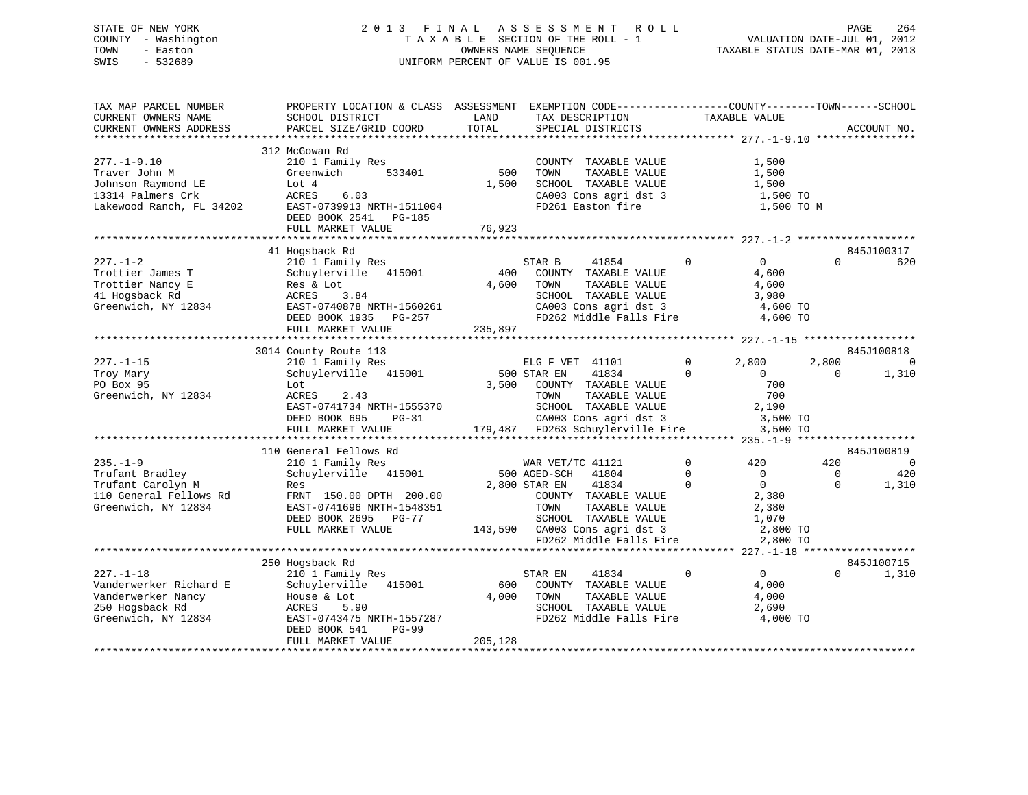# STATE OF NEW YORK 2 0 1 3 F I N A L A S S E S S M E N T R O L L PAGE 264 COUNTY - Washington T A X A B L E SECTION OF THE ROLL - 1 VALUATION DATE-JUL 01, 2012 TOWN - Easton OWNERS NAME SEQUENCE TAXABLE STATUS DATE-MAR 01, 2013 SWIS - 532689 UNIFORM PERCENT OF VALUE IS 001.95

| TAX MAP PARCEL NUMBER<br>CURRENT OWNERS NAME<br>CURRENT OWNERS ADDRESS                                    | PROPERTY LOCATION & CLASS ASSESSMENT<br>SCHOOL DISTRICT<br>PARCEL SIZE/GRID COORD                                                                                       | LAND<br>TOTAL           | EXEMPTION CODE-----------------COUNTY-------TOWN------SCHOOL<br>TAX DESCRIPTION<br>SPECIAL DISTRICTS                                                                          | TAXABLE VALUE                                                                                          |                                 | ACCOUNT NO.             |
|-----------------------------------------------------------------------------------------------------------|-------------------------------------------------------------------------------------------------------------------------------------------------------------------------|-------------------------|-------------------------------------------------------------------------------------------------------------------------------------------------------------------------------|--------------------------------------------------------------------------------------------------------|---------------------------------|-------------------------|
| $277. - 1 - 9.10$<br>Traver John M<br>Johnson Raymond LE<br>13314 Palmers Crk<br>Lakewood Ranch, FL 34202 | 312 McGowan Rd<br>210 1 Family Res<br>Greenwich<br>533401<br>Lot 4<br>6.03<br>ACRES<br>EAST-0739913 NRTH-1511004<br>DEED BOOK 2541 PG-185<br>FULL MARKET VALUE          | 500<br>1,500<br>76,923  | COUNTY TAXABLE VALUE<br>TOWN<br>TAXABLE VALUE<br>SCHOOL TAXABLE VALUE<br>CA003 Cons agri dst 3<br>FD261 Easton fire                                                           | 1,500<br>1,500<br>1,500<br>1,500 TO<br>1,500 TO M                                                      |                                 |                         |
|                                                                                                           | 41 Hogsback Rd                                                                                                                                                          |                         |                                                                                                                                                                               |                                                                                                        |                                 | 845J100317              |
| $227. - 1 - 2$<br>Trottier James T<br>Trottier Nancy E<br>41 Hogsback Rd<br>Greenwich, NY 12834           | 210 1 Family Res<br>Schuylerville 415001<br>Res & Lot<br>3.84<br>ACRES<br>EAST-0740878 NRTH-1560261<br>DEED BOOK 1935 PG-257<br>FULL MARKET VALUE                       | 400<br>4,600<br>235,897 | STAR B<br>41854<br>COUNTY TAXABLE VALUE<br>TOWN<br>TAXABLE VALUE<br>SCHOOL TAXABLE VALUE<br>CA003 Cons agri dst 3<br>FD262 Middle Falls Fire                                  | $\overline{0}$<br>$\mathbf{0}$<br>4,600<br>4,600<br>3,980<br>4,600 TO<br>4,600 TO                      | $\Omega$                        | 620                     |
|                                                                                                           |                                                                                                                                                                         |                         |                                                                                                                                                                               |                                                                                                        |                                 |                         |
| $227. - 1 - 15$<br>Troy Mary<br>PO Box 95<br>Greenwich, NY 12834                                          | 3014 County Route 113<br>210 1 Family Res<br>Schuylerville 415001<br>Lot<br>2.43<br>ACRES<br>EAST-0741734 NRTH-1555370<br>DEED BOOK 695<br>$PG-31$<br>FULL MARKET VALUE | 3,500                   | ELG F VET 41101<br>500 STAR EN<br>41834<br>COUNTY TAXABLE VALUE<br>TOWN<br>TAXABLE VALUE<br>SCHOOL TAXABLE VALUE<br>CA003 Cons agri dst 3<br>179,487 FD263 Schuylerville Fire | 2,800<br>$\mathbf{0}$<br>$\mathbf{0}$<br>$\overline{0}$<br>700<br>700<br>2,190<br>3,500 TO<br>3,500 TO | 845J100818<br>2,800<br>$\Omega$ | $\overline{0}$<br>1,310 |
|                                                                                                           | 110 General Fellows Rd                                                                                                                                                  |                         |                                                                                                                                                                               |                                                                                                        |                                 | 845J100819              |
| $235. - 1 - 9$                                                                                            | 210 1 Family Res                                                                                                                                                        |                         | WAR VET/TC 41121                                                                                                                                                              | $\mathbf{0}$<br>420                                                                                    | 420                             | $\overline{0}$          |
| Trufant Bradley<br>Trufant Carolyn M<br>110 General Fellows Rd<br>Greenwich, NY 12834                     | Schuylerville 415001<br>Res<br>FRNT 150.00 DPTH 200.00<br>EAST-0741696 NRTH-1548351<br>DEED BOOK 2695 PG-77<br>FULL MARKET VALUE                                        |                         | 500 AGED-SCH<br>41804<br>2,800 STAR EN<br>41834<br>COUNTY TAXABLE VALUE<br>TOWN<br>TAXABLE VALUE<br>SCHOOL TAXABLE VALUE<br>143,590 CA003 Cons agri dst 3                     | $\mathbf 0$<br>$\mathbf{0}$<br>$\mathbf 0$<br>$\overline{0}$<br>2,380<br>2,380<br>1,070<br>2,800 TO    | $\Omega$<br>$\Omega$            | 420<br>1,310            |
|                                                                                                           |                                                                                                                                                                         |                         | FD262 Middle Falls Fire                                                                                                                                                       | 2,800 TO                                                                                               |                                 |                         |
| $227. - 1 - 18$<br>Vanderwerker Richard E<br>Vanderwerker Nancy<br>250 Hogsback Rd<br>Greenwich, NY 12834 | 250 Hogsback Rd<br>210 1 Family Res<br>Schuylerville 415001<br>House & Lot<br>ACRES<br>5.90<br>EAST-0743475 NRTH-1557287<br>DEED BOOK 541<br>$PG-99$                    | 600<br>4,000            | STAR EN<br>41834<br>COUNTY TAXABLE VALUE<br>TAXABLE VALUE<br>TOWN<br>SCHOOL TAXABLE VALUE<br>FD262 Middle Falls Fire                                                          | $\mathbf 0$<br>$\overline{0}$<br>4,000<br>4,000<br>2,690<br>4,000 TO                                   | $\Omega$                        | 845J100715<br>1,310     |
|                                                                                                           | FULL MARKET VALUE                                                                                                                                                       | 205,128                 |                                                                                                                                                                               |                                                                                                        |                                 |                         |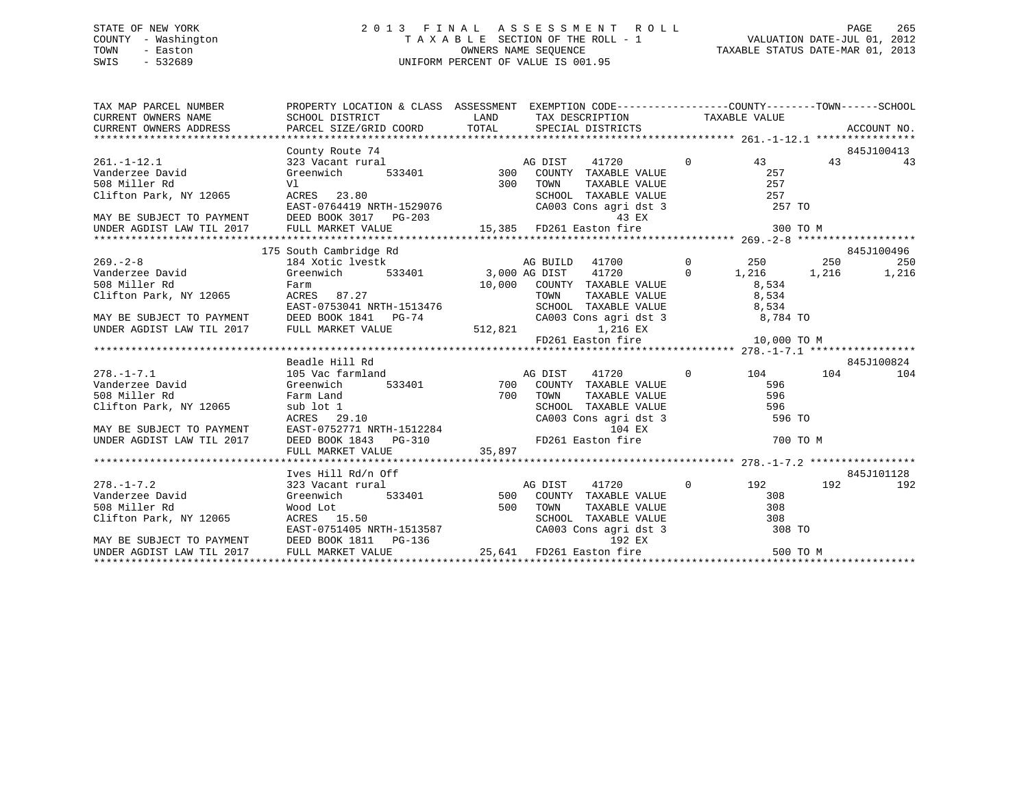# STATE OF NEW YORK 2 0 1 3 F I N A L A S S E S S M E N T R O L L PAGE 265 COUNTY - Washington T A X A B L E SECTION OF THE ROLL - 1 VALUATION DATE-JUL 01, 2012 TOWN - Easton **CONNERS NAME SEQUENCE** TAXABLE STATUS DATE-MAR 01, 2013 SWIS - 532689 UNIFORM PERCENT OF VALUE IS 001.95

| $\begin{tabular}{lllllllllll} \textsc{TAX} \textsc{MAP} \textsc{PACEL} \textsc{NUMBER} & \textsc{PROBERT} \textsc{LOCATION} \textsc{c} \textsc{LASS} \textsc{SSESSMENT} & \textsc{EXEMPTION} \textsc{CODE---------------COUNTY--------TOWN------SCHOOL} \\ \textsc{CURRENT} \textsc{OMNERS} \textsc{NAME} & \textsc{SCHOOL} \textsc{DISTRTC} & \textsc{LAND} & \textsc{TAX} \textsc{DECRIPTION} & \textsc{TAXABLE} \textsc{VALUE} \\ \textsc{CURRENT} \textsc{ONRES} & \$ |  |  |            |         |
|---------------------------------------------------------------------------------------------------------------------------------------------------------------------------------------------------------------------------------------------------------------------------------------------------------------------------------------------------------------------------------------------------------------------------------------------------------------------------|--|--|------------|---------|
| 3451100413<br>261.-1-12.1<br>261.-1-12.1<br>261.-1-12.1<br>261.-1-12.1<br>261.-1-12.1<br>261.-1-12.1<br>261.-1-12.1<br>261.-1-12.1<br>261.-1-12.1<br>261.-1-12.1<br>261.-1-12.1<br>261.-1-12.1<br>261.-1-12.1<br>261.-1-12.1<br>261.-1-12.1<br>261.-1-12.1<br>26                                                                                                                                                                                                          |  |  |            |         |
|                                                                                                                                                                                                                                                                                                                                                                                                                                                                           |  |  |            |         |
|                                                                                                                                                                                                                                                                                                                                                                                                                                                                           |  |  |            |         |
|                                                                                                                                                                                                                                                                                                                                                                                                                                                                           |  |  |            |         |
|                                                                                                                                                                                                                                                                                                                                                                                                                                                                           |  |  |            |         |
|                                                                                                                                                                                                                                                                                                                                                                                                                                                                           |  |  |            |         |
|                                                                                                                                                                                                                                                                                                                                                                                                                                                                           |  |  |            |         |
|                                                                                                                                                                                                                                                                                                                                                                                                                                                                           |  |  |            |         |
|                                                                                                                                                                                                                                                                                                                                                                                                                                                                           |  |  |            |         |
|                                                                                                                                                                                                                                                                                                                                                                                                                                                                           |  |  |            |         |
|                                                                                                                                                                                                                                                                                                                                                                                                                                                                           |  |  |            |         |
|                                                                                                                                                                                                                                                                                                                                                                                                                                                                           |  |  |            |         |
|                                                                                                                                                                                                                                                                                                                                                                                                                                                                           |  |  |            |         |
|                                                                                                                                                                                                                                                                                                                                                                                                                                                                           |  |  |            |         |
|                                                                                                                                                                                                                                                                                                                                                                                                                                                                           |  |  |            |         |
|                                                                                                                                                                                                                                                                                                                                                                                                                                                                           |  |  |            |         |
| VALUE VALUE VALUE 10.000 PAIR, NI 12003<br>MAY BE SUBJECT TO PAYMENT DEED BOOK 1841 PG-74 CA003 CONS agri dst 3 8,784 TO<br>UNDER AGDIST LAW TIL 2017 FULL MARKET VALUE 512,821 FD261 Easton fire 10,000 TO M<br>*******************                                                                                                                                                                                                                                      |  |  |            |         |
|                                                                                                                                                                                                                                                                                                                                                                                                                                                                           |  |  |            |         |
|                                                                                                                                                                                                                                                                                                                                                                                                                                                                           |  |  |            |         |
| Beadle Hill Rd                                                                                                                                                                                                                                                                                                                                                                                                                                                            |  |  | 845J100824 |         |
|                                                                                                                                                                                                                                                                                                                                                                                                                                                                           |  |  |            |         |
|                                                                                                                                                                                                                                                                                                                                                                                                                                                                           |  |  |            |         |
|                                                                                                                                                                                                                                                                                                                                                                                                                                                                           |  |  |            |         |
|                                                                                                                                                                                                                                                                                                                                                                                                                                                                           |  |  |            |         |
|                                                                                                                                                                                                                                                                                                                                                                                                                                                                           |  |  |            |         |
|                                                                                                                                                                                                                                                                                                                                                                                                                                                                           |  |  |            |         |
|                                                                                                                                                                                                                                                                                                                                                                                                                                                                           |  |  |            |         |
|                                                                                                                                                                                                                                                                                                                                                                                                                                                                           |  |  |            |         |
| Ives Hill Rd/n Off                                                                                                                                                                                                                                                                                                                                                                                                                                                        |  |  | 845J101128 |         |
|                                                                                                                                                                                                                                                                                                                                                                                                                                                                           |  |  |            | 192 192 |
|                                                                                                                                                                                                                                                                                                                                                                                                                                                                           |  |  |            |         |
|                                                                                                                                                                                                                                                                                                                                                                                                                                                                           |  |  |            |         |
|                                                                                                                                                                                                                                                                                                                                                                                                                                                                           |  |  |            |         |
|                                                                                                                                                                                                                                                                                                                                                                                                                                                                           |  |  |            |         |
|                                                                                                                                                                                                                                                                                                                                                                                                                                                                           |  |  |            |         |
|                                                                                                                                                                                                                                                                                                                                                                                                                                                                           |  |  |            |         |
|                                                                                                                                                                                                                                                                                                                                                                                                                                                                           |  |  |            |         |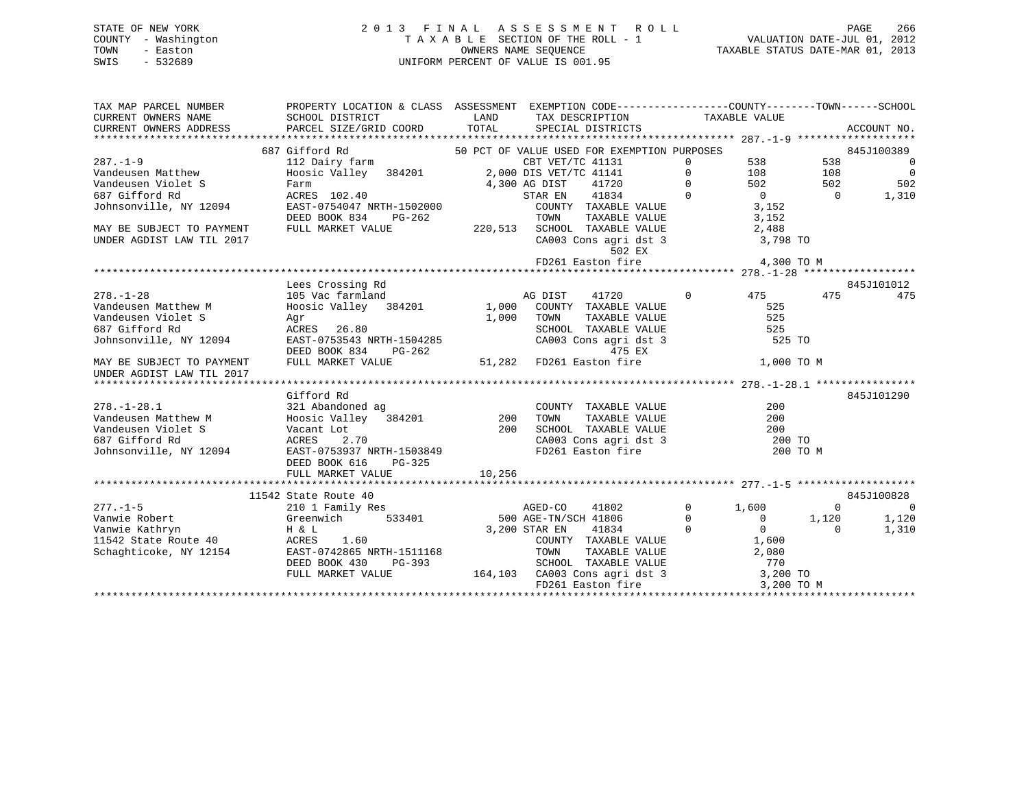# STATE OF NEW YORK 2 0 1 3 F I N A L A S S E S S M E N T R O L L PAGE 266 COUNTY - Washington T A X A B L E SECTION OF THE ROLL - 1 VALUATION DATE-JUL 01, 2012 TOWN - Easton OWNERS NAME SEQUENCE TAXABLE STATUS DATE-MAR 01, 2013 SWIS - 532689 UNIFORM PERCENT OF VALUE IS 001.95

| TAX MAP PARCEL NUMBER                                                                                  |                                    | PROPERTY LOCATION & CLASS ASSESSMENT EXEMPTION CODE---------------COUNTY-------TOWN------SCHOOL                                                                                                                                                              |               |                                            |
|--------------------------------------------------------------------------------------------------------|------------------------------------|--------------------------------------------------------------------------------------------------------------------------------------------------------------------------------------------------------------------------------------------------------------|---------------|--------------------------------------------|
| CURRENT OWNERS NAME                                                                                    |                                    | SCHOOL DISTRICT TAND TAX DESCRIPTION                                                                                                                                                                                                                         | TAXABLE VALUE |                                            |
| CURRENT OWNERS ADDRESS                                                                                 |                                    | PARCEL SIZE/GRID COORD TOTAL SPECIAL DISTRICTS                                                                                                                                                                                                               |               | ACCOUNT NO.                                |
|                                                                                                        |                                    |                                                                                                                                                                                                                                                              |               |                                            |
| $287. - 1 - 9$                                                                                         | 687 Gifford Rd                     | 50 PCT OF VALUE USED FOR EXEMPTION PURPOSES                                                                                                                                                                                                                  |               | 845J100389                                 |
|                                                                                                        |                                    |                                                                                                                                                                                                                                                              |               | $\overline{\phantom{0}}$                   |
| Vandeusen Matthew                                                                                      |                                    |                                                                                                                                                                                                                                                              |               | $\overline{\phantom{0}}$<br>502            |
| Vandeusen Violet S                                                                                     |                                    |                                                                                                                                                                                                                                                              |               | 1,310                                      |
| 687 Gifford Rd<br>Johnsonville, NY 12094                                                               |                                    |                                                                                                                                                                                                                                                              |               |                                            |
|                                                                                                        |                                    |                                                                                                                                                                                                                                                              |               |                                            |
|                                                                                                        | FULL MARKET VALUE                  |                                                                                                                                                                                                                                                              |               |                                            |
| MAY BE SUBJECT TO PAYMENT<br>UNDER AGDIST LAW TIL 2017                                                 |                                    | 220,513 SCHOOL TAXABLE VALUE 2,488<br>CA003 Cons agrid st 3 3,798 TO                                                                                                                                                                                         |               |                                            |
|                                                                                                        |                                    | 502 EX                                                                                                                                                                                                                                                       |               |                                            |
|                                                                                                        |                                    |                                                                                                                                                                                                                                                              |               |                                            |
|                                                                                                        |                                    |                                                                                                                                                                                                                                                              |               |                                            |
|                                                                                                        | Lees Crossing Rd                   |                                                                                                                                                                                                                                                              |               | 845J101012                                 |
| $278. - 1 - 28$                                                                                        | 105 Vac farmland                   | AG DIST<br>41720                                                                                                                                                                                                                                             | 0 475 475     | 475                                        |
| Vandeusen Matthew M                                                                                    |                                    |                                                                                                                                                                                                                                                              | 525           |                                            |
| Vandeusen Violet S                                                                                     |                                    | Hoosic Valley 384201 1,000 COUNTY TAXABLE VALUE<br>Agr 1,000 TOWN TAXABLE VALUE                                                                                                                                                                              |               |                                            |
| 687 Gifford Rd                                                                                         |                                    |                                                                                                                                                                                                                                                              |               |                                            |
| Johnsonville, NY 12094                                                                                 |                                    |                                                                                                                                                                                                                                                              |               |                                            |
|                                                                                                        |                                    |                                                                                                                                                                                                                                                              |               |                                            |
| MAY BE SUBJECT TO PAYMENT                                                                              |                                    | S<br>Agr = 26.80<br>1,000 TOWN TAXABLE VALUE 525<br>ACRES 26.80<br>EAST-0753543 NRTH-1504285<br>DEED BOOK 834 PG-262<br>25 CA003 Cons agri dst 3<br>475 EX<br>26.80<br>25 CA003 Cons agri dst 3<br>25 TO<br>475 EX<br>275 EX<br>275 EX<br>276 PAYMENT<br>276 |               |                                            |
| UNDER AGDIST LAW TIL 2017                                                                              |                                    |                                                                                                                                                                                                                                                              |               |                                            |
|                                                                                                        |                                    |                                                                                                                                                                                                                                                              |               |                                            |
|                                                                                                        | Gifford Rd                         |                                                                                                                                                                                                                                                              |               | 845J101290                                 |
|                                                                                                        |                                    |                                                                                                                                                                                                                                                              |               |                                            |
| 278.-1-28.1 321 Abandoned ag COUNT<br>Vandeusen Matthew M Hoosic Valley 384201 200 TOWN                |                                    | $\begin{tabular}{lllllllll} \multicolumn{2}{c}{\text{COUNTY}} & \text{TAXABLE} & \text{VALUE} & \text{200} \\ \multicolumn{2}{c}{\text{TOWN}} & \text{TAXABLE} & \text{VALUE} & \text{200} \\ \end{tabular}$                                                 |               |                                            |
| Vandeusen Violet S<br>687 Gifford Rd<br>Johnsonville, NY 12094<br>EAST-0753937 NRTH-1503849            |                                    | $200$ $200$ $5$ CHOOL TAXABLE VALUE $200$ TO $200$ TO $200$ TO $200$ TO $200$ TO $200$ TO $200$ TO $200$ TO $200$ TO $200$ TO $200$ TO $200$ TO $200$ TO $200$ TO $200$ TO $200$ TO $200$ TO $200$ TO $200$ TO $200$ TO $200$                                |               |                                            |
|                                                                                                        |                                    |                                                                                                                                                                                                                                                              |               |                                            |
|                                                                                                        |                                    | CA003 Cons agri dst 3<br>FD261 Easton fire                                                                                                                                                                                                                   | 200 TO M      |                                            |
|                                                                                                        | DEED BOOK 616<br>PG-325            |                                                                                                                                                                                                                                                              |               |                                            |
|                                                                                                        | FULL MARKET VALUE                  | 10,256                                                                                                                                                                                                                                                       |               |                                            |
|                                                                                                        |                                    |                                                                                                                                                                                                                                                              |               |                                            |
|                                                                                                        | 11542 State Route 40               |                                                                                                                                                                                                                                                              |               | 845J100828                                 |
|                                                                                                        | State Route 40<br>210 1 Family Res | AGED-CO                                                                                                                                                                                                                                                      | 41802 0 1,600 | $\overline{0}$<br>$\overline{\phantom{0}}$ |
|                                                                                                        |                                    |                                                                                                                                                                                                                                                              |               | 1,120                                      |
|                                                                                                        |                                    |                                                                                                                                                                                                                                                              |               | 1,310                                      |
|                                                                                                        |                                    |                                                                                                                                                                                                                                                              |               |                                            |
| Vanwie Kathryn<br>11542 State Route 40 (CRES 1.60<br>Schaghticoke, NY 12154 (EAST-0742865 NRTH-1511168 |                                    |                                                                                                                                                                                                                                                              |               |                                            |
|                                                                                                        | DEED BOOK 430                      |                                                                                                                                                                                                                                                              |               |                                            |
|                                                                                                        | FULL MARKET VALUE                  |                                                                                                                                                                                                                                                              |               |                                            |
|                                                                                                        |                                    | 33401 500 AGED-CO 41802 0 1,600 0<br>533401 500 AGE-TN/SCH 41806 0 0 1,120<br>3,200 STAR EN 41834 0 0 0 0<br>TOWNTY TAXABLE VALUE 1,600<br>FG-393 SCHOOL TAXABLE VALUE 2,080<br>FG-393 SCHOOL TAXABLE VALUE 770<br>164,103 CA003 Cons agri                   |               |                                            |
|                                                                                                        |                                    |                                                                                                                                                                                                                                                              |               |                                            |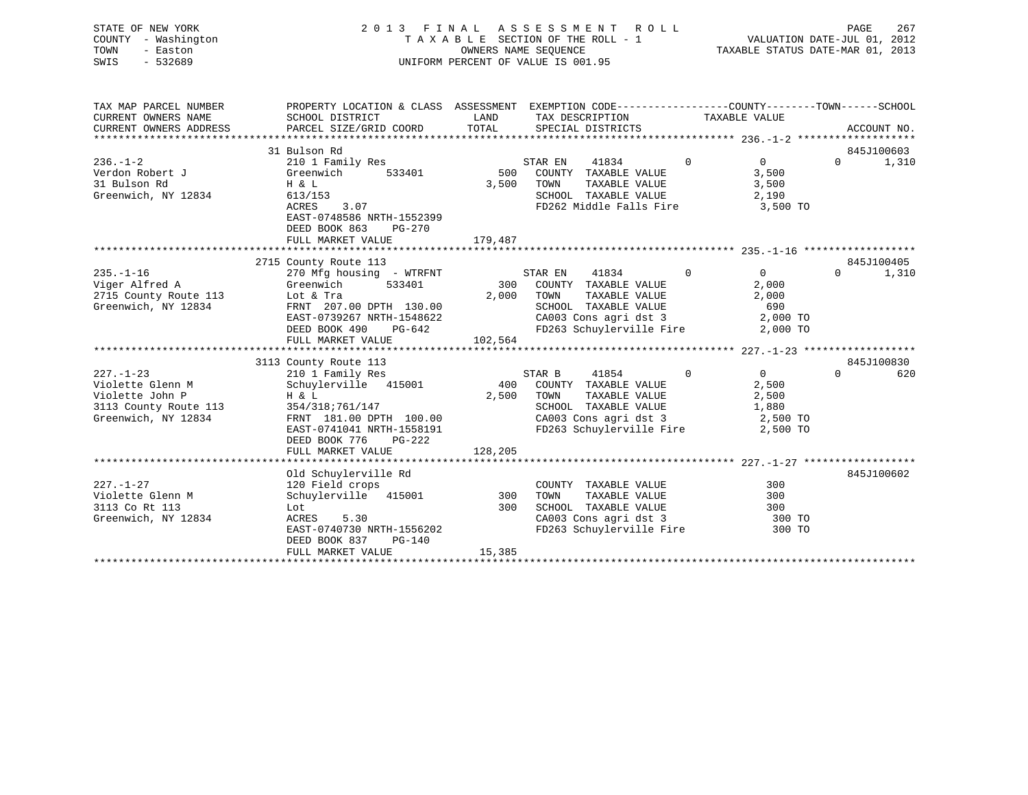| STATE OF NEW YORK<br>COUNTY - Washington<br>- Easton<br>TOWN<br>SWIS<br>$-532689$                      | 2013 FINAL ASSESSMENT ROLL<br>TAXABLE SECTION OF THE ROLL - 1<br>UNIFORM PERCENT OF VALUE IS 001.95                                                                                           | PAGE<br>267<br>VALUATION DATE-JUL 01, 2012<br>TAXABLE STATUS DATE-MAR 01, 2013 |                                                                                                                                                         |                |                                                       |                                 |
|--------------------------------------------------------------------------------------------------------|-----------------------------------------------------------------------------------------------------------------------------------------------------------------------------------------------|--------------------------------------------------------------------------------|---------------------------------------------------------------------------------------------------------------------------------------------------------|----------------|-------------------------------------------------------|---------------------------------|
| TAX MAP PARCEL NUMBER<br>CURRENT OWNERS NAME<br>CURRENT OWNERS ADDRESS                                 | PROPERTY LOCATION & CLASS ASSESSMENT EXEMPTION CODE----------------COUNTY-------TOWN------SCHOOL<br>SCHOOL DISTRICT<br>PARCEL SIZE/GRID COORD                                                 | LAND<br>TOTAL                                                                  | TAX DESCRIPTION<br>SPECIAL DISTRICTS                                                                                                                    |                | TAXABLE VALUE                                         | ACCOUNT NO.                     |
|                                                                                                        | 31 Bulson Rd                                                                                                                                                                                  |                                                                                |                                                                                                                                                         |                |                                                       | 845J100603                      |
| $236. - 1 - 2$<br>Verdon Robert J<br>31 Bulson Rd<br>Greenwich, NY 12834                               | 210 1 Family Res<br>Greenwich<br>533401<br>H & L<br>613/153<br><b>ACRES</b><br>3.07<br>EAST-0748586 NRTH-1552399<br>DEED BOOK 863<br>PG-270<br>FULL MARKET VALUE                              | 500<br>3,500<br>179,487                                                        | STAR EN<br>41834<br>COUNTY TAXABLE VALUE<br>TOWN<br>TAXABLE VALUE<br>SCHOOL TAXABLE VALUE<br>FD262 Middle Falls Fire 3,500 TO                           | $\overline{0}$ | $0 \qquad \qquad$<br>3,500<br>3,500<br>2,190          | $\Omega$<br>1,310               |
|                                                                                                        |                                                                                                                                                                                               |                                                                                |                                                                                                                                                         |                |                                                       |                                 |
| $235. - 1 - 16$<br>Viger Alfred A<br>2715 County Route 113<br>Greenwich, NY 12834                      | 2715 County Route 113<br>270 Mfg housing - WTRFNT<br>533401<br>Greenwich<br>Lot & Tra<br>FRNT 207.00 DPTH 130.00<br>EAST-0739267 NRTH-1548622<br>DEED BOOK 490<br>PG-642<br>FULL MARKET VALUE | 300<br>2,000<br>102,564                                                        | STAR EN<br>41834<br>COUNTY TAXABLE VALUE<br>TOWN<br>TAXABLE VALUE<br>SCHOOL TAXABLE VALUE<br>CA003 Cons agri dst 3<br>FD263 Schuylerville Fire 2,000 TO | $\Omega$       | $\Omega$<br>2,000<br>2,000<br>690<br>2,000 TO         | 845J100405<br>$\Omega$<br>1,310 |
|                                                                                                        | 3113 County Route 113                                                                                                                                                                         |                                                                                |                                                                                                                                                         |                |                                                       | 845J100830                      |
| $227. - 1 - 23$<br>Violette Glenn M<br>Violette John P<br>3113 County Route 113<br>Greenwich, NY 12834 | 210 1 Family Res<br>Schuylerville 415001<br>H & L<br>354/318;761/147<br>FRNT 181.00 DPTH 100.00<br>EAST-0741041 NRTH-1558191<br>DEED BOOK 776<br>$PG-222$<br>FULL MARKET VALUE                | 400<br>2,500<br>128,205                                                        | STAR B<br>41854<br>COUNTY TAXABLE VALUE<br>TOWN<br>TAXABLE VALUE<br>SCHOOL TAXABLE VALUE<br>CA003 Cons agri dst 3<br>FD263 Schuylerville Fire 2,500 TO  | $\Omega$       | $\overline{0}$<br>2,500<br>2,500<br>1,880<br>2,500 TO | $\Omega$<br>620                 |
|                                                                                                        |                                                                                                                                                                                               |                                                                                |                                                                                                                                                         |                |                                                       |                                 |
| $227. - 1 - 27$<br>Violette Glenn M<br>3113 Co Rt 113<br>Greenwich, NY 12834                           | Old Schuylerville Rd<br>120 Field crops<br>Schuylerville 415001<br>Lot<br><b>ACRES</b><br>5.30<br>EAST-0740730 NRTH-1556202<br>DEED BOOK 837<br>$PG-140$<br>FULL MARKET VALUE                 | 300<br>300<br>15,385                                                           | COUNTY TAXABLE VALUE<br>TOWN<br>TAXABLE VALUE<br>SCHOOL TAXABLE VALUE<br>CA003 Cons agri dst 3<br>FD263 Schuylerville Fire                              |                | 300<br>300<br>300<br>300 TO<br>300 TO                 | 845J100602                      |

\*\*\*\*\*\*\*\*\*\*\*\*\*\*\*\*\*\*\*\*\*\*\*\*\*\*\*\*\*\*\*\*\*\*\*\*\*\*\*\*\*\*\*\*\*\*\*\*\*\*\*\*\*\*\*\*\*\*\*\*\*\*\*\*\*\*\*\*\*\*\*\*\*\*\*\*\*\*\*\*\*\*\*\*\*\*\*\*\*\*\*\*\*\*\*\*\*\*\*\*\*\*\*\*\*\*\*\*\*\*\*\*\*\*\*\*\*\*\*\*\*\*\*\*\*\*\*\*\*\*\*\*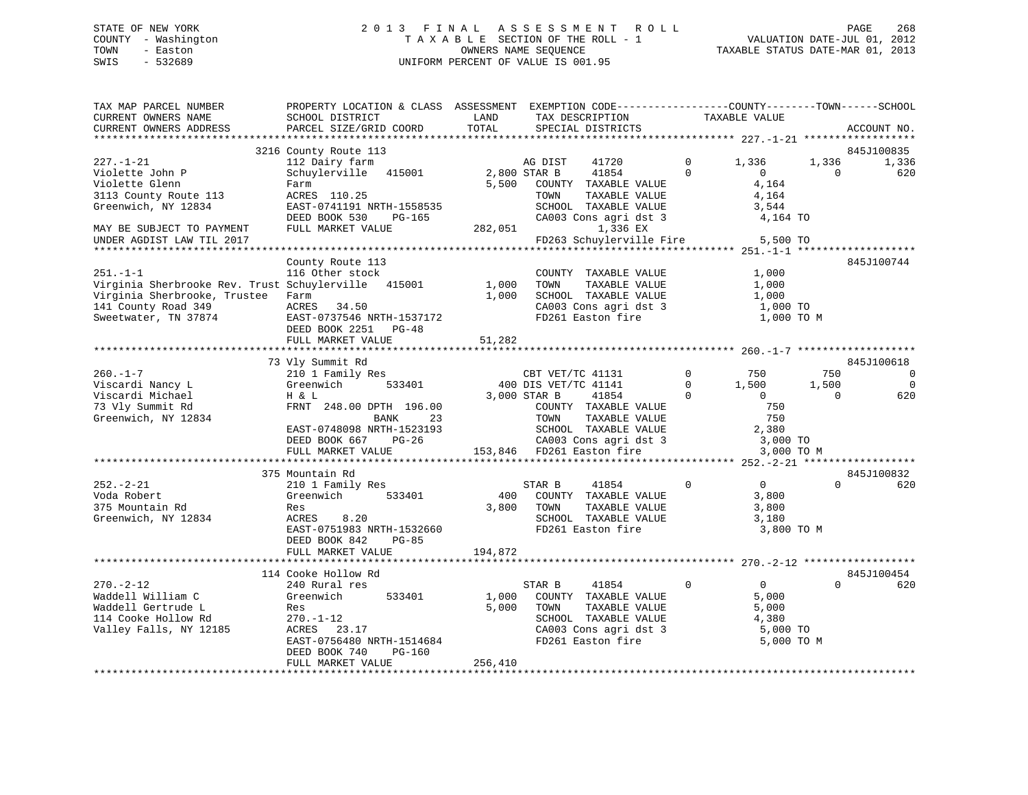# STATE OF NEW YORK 2 0 1 3 F I N A L A S S E S S M E N T R O L L PAGE 268 COUNTY - Washington T A X A B L E SECTION OF THE ROLL - 1 VALUATION DATE-JUL 01, 2012 TOWN - Easton OWNERS NAME SEQUENCE TAXABLE STATUS DATE-MAR 01, 2013 SWIS - 532689 UNIFORM PERCENT OF VALUE IS 001.95

| TAX MAP PARCEL NUMBER<br>CURRENT OWNERS NAME<br>CURRENT OWNERS ADDRESS | PROPERTY LOCATION & CLASS ASSESSMENT EXEMPTION CODE----------------COUNTY-------TOWN------SCHOOL<br>SCHOOL DISTRICT<br>PARCEL SIZE/GRID COORD | LAND<br>TOTAL | TAX DESCRIPTION<br>SPECIAL DISTRICTS               |             | TAXABLE VALUE  |          | ACCOUNT NO. |
|------------------------------------------------------------------------|-----------------------------------------------------------------------------------------------------------------------------------------------|---------------|----------------------------------------------------|-------------|----------------|----------|-------------|
|                                                                        |                                                                                                                                               |               |                                                    |             |                |          |             |
|                                                                        | 3216 County Route 113                                                                                                                         |               |                                                    |             |                |          | 845J100835  |
| $227. - 1 - 21$                                                        | 112 Dairy farm                                                                                                                                |               | AG DIST<br>41720                                   | $\Omega$    | 1,336          | 1,336    | 1,336       |
| Violette John P                                                        | Schuylerville 415001                                                                                                                          | 2,800 STAR B  | 41854                                              | $\Omega$    | $\Omega$       | $\Omega$ | 620         |
| Violette Glenn                                                         | Farm                                                                                                                                          | 5,500         | COUNTY TAXABLE VALUE                               |             | 4,164          |          |             |
| 3113 County Route 113                                                  | ACRES 110.25                                                                                                                                  |               | TOWN<br>TAXABLE VALUE                              |             | 4,164          |          |             |
| Greenwich, NY 12834                                                    | EAST-0741191 NRTH-1558535                                                                                                                     |               | SCHOOL TAXABLE VALUE                               |             | 3,544          |          |             |
|                                                                        | DEED BOOK 530<br>PG-165                                                                                                                       |               | CA003 Cons agri dst 3                              |             | 4,164 TO       |          |             |
| MAY BE SUBJECT TO PAYMENT                                              | FULL MARKET VALUE                                                                                                                             | 282,051       | 1,336 EX                                           |             |                |          |             |
| UNDER AGDIST LAW TIL 2017                                              |                                                                                                                                               |               | FD263 Schuylerville Fire                           |             | 5,500 TO       |          |             |
|                                                                        |                                                                                                                                               |               |                                                    |             |                |          |             |
|                                                                        | County Route 113                                                                                                                              |               |                                                    |             |                |          | 845J100744  |
| $251. - 1 - 1$                                                         | 116 Other stock                                                                                                                               |               | COUNTY TAXABLE VALUE                               |             | 1,000          |          |             |
| Virginia Sherbrooke Rev. Trust Schuylerville 415001                    |                                                                                                                                               | 1,000         | TOWN<br>TAXABLE VALUE                              |             | 1,000          |          |             |
| Virginia Sherbrooke, Trustee                                           | Farm                                                                                                                                          | 1,000         | SCHOOL TAXABLE VALUE                               |             | 1,000          |          |             |
| 141 County Road 349                                                    | ACRES 34.50                                                                                                                                   |               | CA003 Cons agri dst 3                              |             | 1,000 TO       |          |             |
| Sweetwater, TN 37874                                                   | EAST-0737546 NRTH-1537172                                                                                                                     |               | FD261 Easton fire                                  |             | 1,000 TO M     |          |             |
|                                                                        | DEED BOOK 2251 PG-48                                                                                                                          |               |                                                    |             |                |          |             |
|                                                                        | FULL MARKET VALUE                                                                                                                             | 51,282        |                                                    |             |                |          |             |
|                                                                        |                                                                                                                                               |               |                                                    |             |                |          |             |
|                                                                        | 73 Vly Summit Rd                                                                                                                              |               |                                                    | $\Omega$    |                |          | 845J100618  |
| $260 - 1 - 7$                                                          | 210 1 Family Res                                                                                                                              |               | CBT VET/TC 41131                                   |             | 750            | 750      | $\mathbf 0$ |
| Viscardi Nancy L                                                       | 533401<br>Greenwich                                                                                                                           |               | 400 DIS VET/TC 41141                               | $\mathbf 0$ | 1,500          | 1,500    | $\Omega$    |
| Viscardi Michael                                                       | H & L                                                                                                                                         |               | 3,000 STAR B<br>41854                              | $\Omega$    | $\overline{0}$ | $\Omega$ | 620         |
| 73 Vly Summit Rd                                                       | FRNT 248.00 DPTH 196.00                                                                                                                       |               | COUNTY TAXABLE VALUE                               |             | 750            |          |             |
| Greenwich, NY 12834                                                    | BANK<br>23                                                                                                                                    |               | TOWN<br>TAXABLE VALUE                              |             | 750            |          |             |
|                                                                        | EAST-0748098 NRTH-1523193                                                                                                                     |               | SCHOOL TAXABLE VALUE                               |             | 2,380          |          |             |
|                                                                        | DEED BOOK 667<br>$PG-26$                                                                                                                      |               | CA003 Cons agri dst 3<br>153,846 FD261 Easton fire |             | 3,000 TO       |          |             |
|                                                                        | FULL MARKET VALUE                                                                                                                             |               |                                                    |             | 3,000 TO M     |          |             |
|                                                                        |                                                                                                                                               |               |                                                    |             |                |          | 845J100832  |
| $252 - 2 - 21$                                                         | 375 Mountain Rd<br>210 1 Family Res                                                                                                           |               | STAR B<br>41854                                    | $\mathbf 0$ | $\overline{0}$ | $\Omega$ | 620         |
| Voda Robert                                                            | Greenwich<br>533401                                                                                                                           | 400           | COUNTY TAXABLE VALUE                               |             | 3,800          |          |             |
| 375 Mountain Rd                                                        |                                                                                                                                               | 3,800         | TAXABLE VALUE<br>TOWN                              |             |                |          |             |
| Greenwich, NY 12834                                                    | Res<br>ACRES<br>8.20                                                                                                                          |               | SCHOOL TAXABLE VALUE                               |             | 3,800<br>3,180 |          |             |
|                                                                        | EAST-0751983 NRTH-1532660                                                                                                                     |               | FD261 Easton fire                                  |             | 3,800 TO M     |          |             |
|                                                                        | DEED BOOK 842<br><b>PG-85</b>                                                                                                                 |               |                                                    |             |                |          |             |
|                                                                        | FULL MARKET VALUE                                                                                                                             | 194,872       |                                                    |             |                |          |             |
|                                                                        |                                                                                                                                               |               |                                                    |             |                |          |             |
|                                                                        | 114 Cooke Hollow Rd                                                                                                                           |               |                                                    |             |                |          | 845J100454  |
| $270. - 2 - 12$                                                        | 240 Rural res                                                                                                                                 |               | STAR B<br>41854                                    | $\mathbf 0$ | $\overline{0}$ | $\Omega$ | 620         |
| Waddell William C                                                      | Greenwich<br>533401                                                                                                                           | 1,000         | COUNTY TAXABLE VALUE                               |             | 5,000          |          |             |
| Waddell Gertrude L                                                     | Res                                                                                                                                           | 5,000         | TOWN<br>TAXABLE VALUE                              |             | 5,000          |          |             |
| 114 Cooke Hollow Rd                                                    | $270. - 1 - 12$                                                                                                                               |               | SCHOOL TAXABLE VALUE                               |             | 4,380          |          |             |
| Valley Falls, NY 12185                                                 | ACRES 23.17                                                                                                                                   |               | CA003 Cons agri dst 3                              |             | 5,000 TO       |          |             |
|                                                                        | EAST-0756480 NRTH-1514684                                                                                                                     |               | FD261 Easton fire                                  |             | 5,000 TO M     |          |             |
|                                                                        | DEED BOOK 740<br>PG-160                                                                                                                       |               |                                                    |             |                |          |             |
|                                                                        | FULL MARKET VALUE                                                                                                                             | 256,410       |                                                    |             |                |          |             |
|                                                                        |                                                                                                                                               |               |                                                    |             |                |          |             |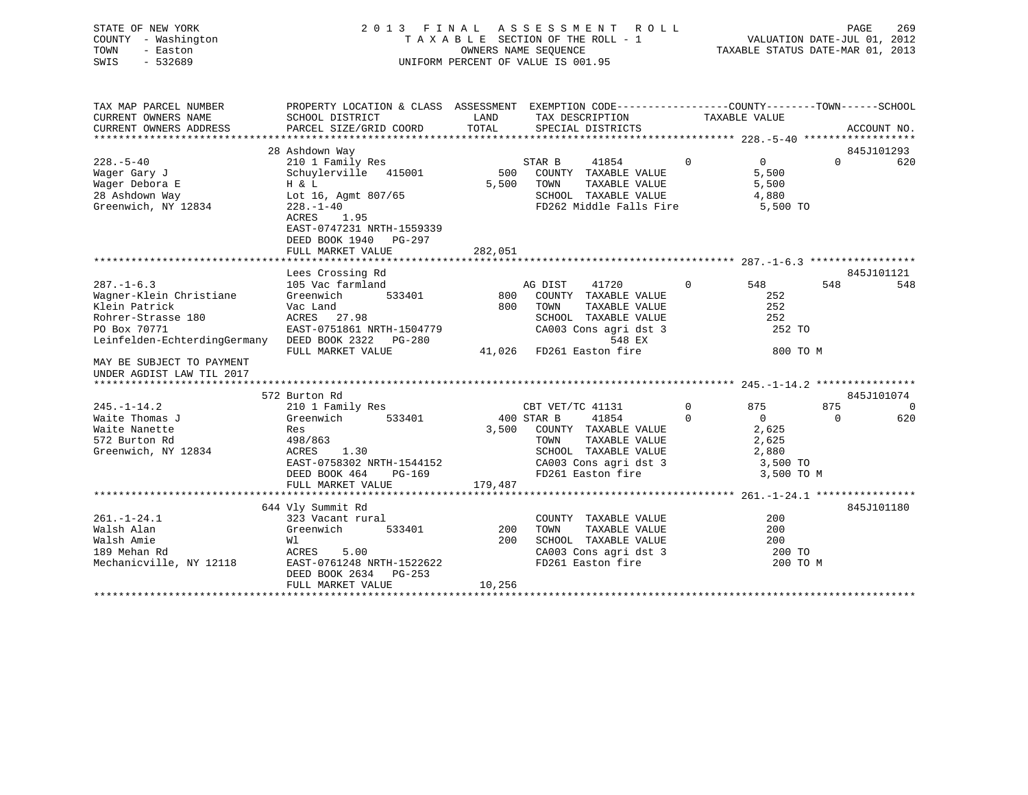STATE OF NEW YORK 2 0 1 3 F I N A L A S S E S S M E N T R O L L PAGE 269 COUNTY - Washington T A X A B L E SECTION OF THE ROLL - 1 VALUATION DATE-JUL 01, 2012 TOWN - Easton **CONNERS NAME SEQUENCE** TAXABLE STATUS DATE-MAR 01, 2013

| TAX MAP PARCEL NUMBER                                                                                                                                    | PROPERTY LOCATION & CLASS ASSESSMENT EXEMPTION CODE----------------COUNTY-------TOWN------SCHOOL                                          |                                |                                                                                                                                       |                                                                     |                               |
|----------------------------------------------------------------------------------------------------------------------------------------------------------|-------------------------------------------------------------------------------------------------------------------------------------------|--------------------------------|---------------------------------------------------------------------------------------------------------------------------------------|---------------------------------------------------------------------|-------------------------------|
| CURRENT OWNERS NAME                                                                                                                                      | SCHOOL DISTRICT                                                                                                                           | LAND                           | TAX DESCRIPTION                                                                                                                       | TAXABLE VALUE                                                       |                               |
| CURRENT OWNERS ADDRESS                                                                                                                                   | PARCEL SIZE/GRID COORD                                                                                                                    | TOTAL                          | SPECIAL DISTRICTS                                                                                                                     |                                                                     | ACCOUNT NO.                   |
|                                                                                                                                                          |                                                                                                                                           |                                |                                                                                                                                       |                                                                     |                               |
| $228. - 5 - 40$<br>Wager Gary J<br>Wager Debora E                                                                                                        | 28 Ashdown Way<br>210 1 Family Res<br>Schuylerville 415001<br>H & L                                                                       | 500<br>5,500                   | STAR B<br>41854<br>COUNTY TAXABLE VALUE<br>TOWN<br>TAXABLE VALUE                                                                      | $\Omega$<br>$\Omega$<br>5,500<br>5,500                              | 845J101293<br>$\Omega$<br>620 |
| 28 Ashdown Way<br>Greenwich, NY 12834                                                                                                                    | Lot 16, Agmt 807/65<br>$228. - 1 - 40$<br>ACRES<br>1.95<br>EAST-0747231 NRTH-1559339<br>DEED BOOK 1940 PG-297<br>FULL MARKET VALUE        | 282,051                        | SCHOOL TAXABLE VALUE<br>FD262 Middle Falls Fire                                                                                       | 4,880<br>5,500 TO                                                   |                               |
|                                                                                                                                                          |                                                                                                                                           |                                |                                                                                                                                       |                                                                     |                               |
|                                                                                                                                                          | Lees Crossing Rd                                                                                                                          |                                |                                                                                                                                       |                                                                     | 845J101121                    |
| $287. - 1 - 6.3$<br>Wagner-Klein Christiane<br>Klein Patrick<br>Rohrer-Strasse 180<br>PO Box 70771<br>Leinfelden-EchterdingGermany DEED BOOK 2322 PG-280 | 105 Vac farmland<br>533401<br>Greenwich<br>Vac Land<br>ACRES 27.98<br>EAST-0751861 NRTH-1504779                                           | 800<br>800                     | AG DIST<br>41720<br>COUNTY TAXABLE VALUE<br>TOWN<br>TAXABLE VALUE<br>SCHOOL TAXABLE VALUE<br>CA003 Cons agri dst 3<br>548 EX          | $\Omega$<br>548<br>252<br>252<br>252<br>252 TO                      | 548<br>548                    |
|                                                                                                                                                          | FULL MARKET VALUE                                                                                                                         |                                | 41,026 FD261 Easton fire                                                                                                              | 800 TO M                                                            |                               |
| MAY BE SUBJECT TO PAYMENT<br>UNDER AGDIST LAW TIL 2017                                                                                                   |                                                                                                                                           |                                |                                                                                                                                       |                                                                     |                               |
|                                                                                                                                                          |                                                                                                                                           |                                |                                                                                                                                       |                                                                     |                               |
|                                                                                                                                                          | 572 Burton Rd                                                                                                                             |                                |                                                                                                                                       |                                                                     | 845J101074                    |
| $245. - 1 - 14.2$                                                                                                                                        | 210 1 Family Res                                                                                                                          |                                | CBT VET/TC 41131                                                                                                                      | $\Omega$<br>875                                                     | 875<br>$\Omega$               |
| Waite Thomas J<br>Waite Nanette<br>572 Burton Rd<br>Greenwich, NY 12834                                                                                  | 533401<br>Greenwich<br>Res<br>498/863<br>1.30<br>ACRES<br>EAST-0758302 NRTH-1544152<br>DEED BOOK 464<br>PG-169<br>FULL MARKET VALUE       | 400 STAR B<br>3,500<br>179,487 | 41854<br>COUNTY TAXABLE VALUE<br>TOWN<br>TAXABLE VALUE<br>SCHOOL TAXABLE VALUE<br>CA003 Cons agri dst 3 3,500 TO<br>FD261 Easton fire | $\Omega$<br>$\overline{0}$<br>2,625<br>2,625<br>2,880<br>3,500 TO M | $\Omega$<br>620               |
|                                                                                                                                                          |                                                                                                                                           |                                |                                                                                                                                       |                                                                     |                               |
| $261. - 1 - 24.1$<br>Walsh Alan<br>Walsh Amie<br>189 Mehan Rd<br>Mechanicville, NY 12118                                                                 | 644 Vly Summit Rd<br>323 Vacant rural<br>Greenwich<br>533401<br>Wl<br>ACRES<br>5.00<br>EAST-0761248 NRTH-1522622<br>DEED BOOK 2634 PG-253 | 200<br>200                     | COUNTY TAXABLE VALUE<br>TOWN<br>TAXABLE VALUE<br>SCHOOL TAXABLE VALUE<br>CA003 Cons agri dst 3<br>FD261 Easton fire                   | 200<br>200<br>200<br>200 TO<br>200 TO M                             | 845J101180                    |
|                                                                                                                                                          | FULL MARKET VALUE                                                                                                                         | 10,256                         |                                                                                                                                       |                                                                     |                               |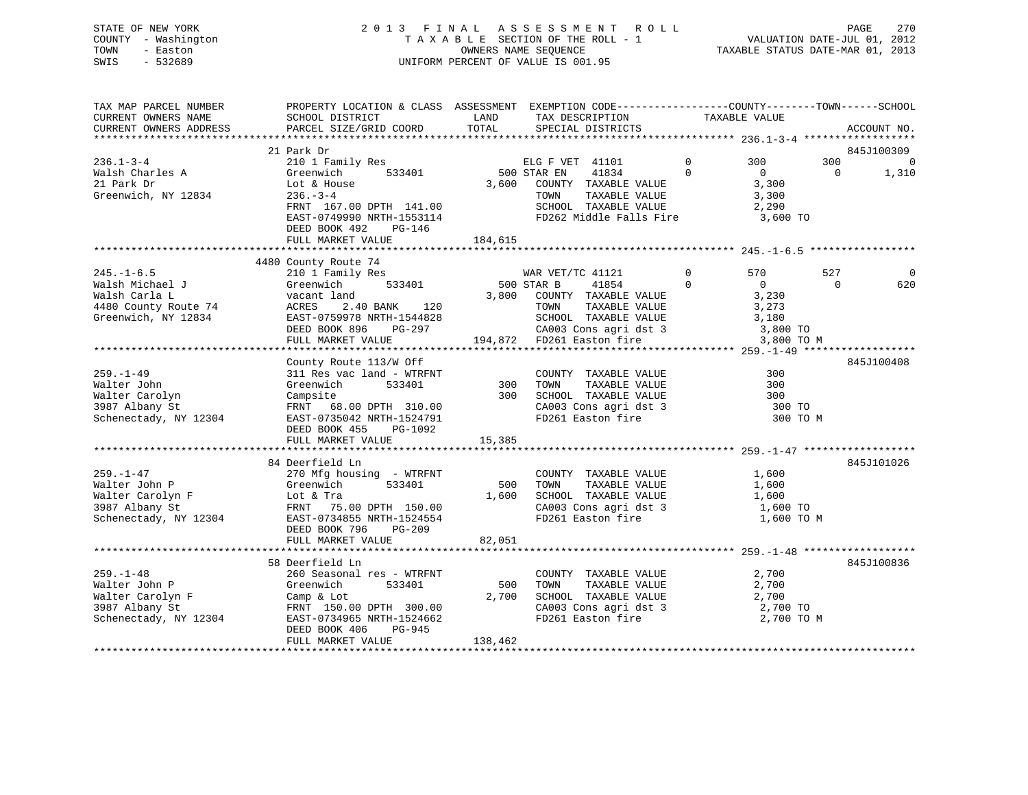# STATE OF NEW YORK 2 0 1 3 F I N A L A S S E S S M E N T R O L L PAGE 270 COUNTY - Washington T A X A B L E SECTION OF THE ROLL - 1 VALUATION DATE-JUL 01, 2012 TOWN - Easton OWNERS NAME SEQUENCE TAXABLE STATUS DATE-MAR 01, 2013 SWIS - 532689 UNIFORM PERCENT OF VALUE IS 001.95

| TAX MAP PARCEL NUMBER                         | PROPERTY LOCATION & CLASS ASSESSMENT EXEMPTION CODE-----------------COUNTY-------TOWN------SCHOOL                                                                                                                                                    |         |                                                                                                                                                                                               |            |                |                                    |
|-----------------------------------------------|------------------------------------------------------------------------------------------------------------------------------------------------------------------------------------------------------------------------------------------------------|---------|-----------------------------------------------------------------------------------------------------------------------------------------------------------------------------------------------|------------|----------------|------------------------------------|
|                                               |                                                                                                                                                                                                                                                      |         |                                                                                                                                                                                               |            |                |                                    |
|                                               |                                                                                                                                                                                                                                                      |         |                                                                                                                                                                                               |            |                |                                    |
|                                               | 21 Park Dr<br>210 1 Family Res<br>Creenwich 533401 500 STAR EN 41834 0<br>Lot & House 3,600 COUNTY TAXABLE VALUE<br>236.-3-4 TOWN TAXABLE VALUE                                                                                                      |         |                                                                                                                                                                                               |            |                | 845J100309                         |
| $236.1 - 3 - 4$<br>Z30.1-3<br>Walsh Charles A | 210 1 Family<br>Greenwich<br>Lot & House<br>236.-3-4                                                                                                                                                                                                 |         |                                                                                                                                                                                               | 300        | $\overline{0}$ | 300 000<br>$\overline{0}$<br>1,310 |
|                                               |                                                                                                                                                                                                                                                      |         | 500 STAR EN 41834 0 0<br>3,600 COUNTY TAXABLE VALUE 3,300                                                                                                                                     |            |                |                                    |
| Greenwich, NY 12834                           |                                                                                                                                                                                                                                                      |         |                                                                                                                                                                                               |            |                |                                    |
|                                               |                                                                                                                                                                                                                                                      |         |                                                                                                                                                                                               |            |                |                                    |
|                                               |                                                                                                                                                                                                                                                      |         |                                                                                                                                                                                               | 3,600 TO   |                |                                    |
|                                               | FRNT 167.00 DPTH 141.00<br>FRNT 167.00 DPTH 141.00<br>EAST-0749990 NRTH-1553114<br>EAST-076 492<br>PERD BOOK 492<br>PERD BOOK 492<br>PERD BOOK 492<br>PERD BOOK 492                                                                                  |         |                                                                                                                                                                                               |            |                |                                    |
|                                               |                                                                                                                                                                                                                                                      |         |                                                                                                                                                                                               |            |                |                                    |
|                                               |                                                                                                                                                                                                                                                      |         |                                                                                                                                                                                               |            |                |                                    |
|                                               | 4480 County Route 74                                                                                                                                                                                                                                 |         |                                                                                                                                                                                               |            |                |                                    |
|                                               |                                                                                                                                                                                                                                                      |         |                                                                                                                                                                                               |            | 527            | - 0                                |
|                                               |                                                                                                                                                                                                                                                      |         |                                                                                                                                                                                               |            | $\overline{0}$ | 620                                |
|                                               |                                                                                                                                                                                                                                                      |         |                                                                                                                                                                                               |            |                |                                    |
|                                               |                                                                                                                                                                                                                                                      |         |                                                                                                                                                                                               |            |                |                                    |
|                                               |                                                                                                                                                                                                                                                      |         |                                                                                                                                                                                               |            |                |                                    |
|                                               |                                                                                                                                                                                                                                                      |         |                                                                                                                                                                                               |            |                |                                    |
|                                               | 4480 County Route 74<br>WAR VET/TC 41121 0 570<br>WAR VET/TC 41121 0 570<br>Walsh Michael J<br>Walsh Carla L<br>4480 County Route 74<br>WAR VET/TC 41121 0 570<br>500 STAR B<br>41854 0 0<br>4480 County Route 74<br>4480 County Route 74<br>4280 Co |         |                                                                                                                                                                                               | 3,800 TO M |                |                                    |
|                                               | 259.-1-49<br>Walter John (County Route 113/W Off<br>Walter John (Greenwich 113/W Off COUNTY TAXABLE VALUE<br>Walter John (Greenwich 113/A) County TAXABLE VALUE<br>Walter Carolyn (Greenwich 113/A) (Schenectary Campsite<br>2008) (Sche             |         |                                                                                                                                                                                               |            |                |                                    |
|                                               |                                                                                                                                                                                                                                                      |         |                                                                                                                                                                                               |            |                | 845J100408                         |
|                                               |                                                                                                                                                                                                                                                      |         |                                                                                                                                                                                               |            |                |                                    |
|                                               |                                                                                                                                                                                                                                                      |         |                                                                                                                                                                                               |            |                |                                    |
|                                               |                                                                                                                                                                                                                                                      |         |                                                                                                                                                                                               |            |                |                                    |
|                                               |                                                                                                                                                                                                                                                      |         |                                                                                                                                                                                               |            |                |                                    |
|                                               |                                                                                                                                                                                                                                                      |         |                                                                                                                                                                                               | 300 TO M   |                |                                    |
|                                               |                                                                                                                                                                                                                                                      |         |                                                                                                                                                                                               |            |                |                                    |
|                                               | FULL MARKET VALUE 15,385                                                                                                                                                                                                                             |         |                                                                                                                                                                                               |            |                |                                    |
|                                               |                                                                                                                                                                                                                                                      |         |                                                                                                                                                                                               |            |                |                                    |
|                                               | 84 Deerfield Ln                                                                                                                                                                                                                                      |         |                                                                                                                                                                                               |            |                | 845J101026                         |
| $259. -1 - 47$                                | 270 Mfg housing - WTRFNT                                                                                                                                                                                                                             |         | COUNTY TAXABLE VALUE 1,600                                                                                                                                                                    |            |                |                                    |
|                                               |                                                                                                                                                                                                                                                      |         | $\begin{tabular}{lllllllllllll} 500 & TOWN & TAXABLE VALUE & & & 1,600 \\ 1,600 & SCHOOL & TAXABLE VALUE & & & 1,600 \end{tabular}$                                                           |            |                |                                    |
|                                               |                                                                                                                                                                                                                                                      |         |                                                                                                                                                                                               |            |                |                                    |
|                                               |                                                                                                                                                                                                                                                      |         | CA003 Cons agri dst 3<br>FD261 Easton fire                                                                                                                                                    | 1,600 TO   |                |                                    |
|                                               | 259.-1-47 270 Mfg housing - WTRFNT<br>Walter John P Greenwich 533401 500<br>Walter Carolyn F Lot & Tra 1,600<br>3987 Albany St FRNT 75.00 DPTH 150.00<br>Schenectady, NY 12304 EAST-0734855 NRTH-1524554                                             |         |                                                                                                                                                                                               | 1,600 TO M |                |                                    |
|                                               | DEED BOOK 796 PG-209                                                                                                                                                                                                                                 |         |                                                                                                                                                                                               |            |                |                                    |
|                                               | FULL MARKET VALUE 82,051                                                                                                                                                                                                                             |         |                                                                                                                                                                                               |            |                |                                    |
|                                               | 58 Deerfield Ln                                                                                                                                                                                                                                      |         |                                                                                                                                                                                               |            |                | 845J100836                         |
| $259. - 1 - 48$                               | 260 Seasonal res - WTRFNT                                                                                                                                                                                                                            |         |                                                                                                                                                                                               |            |                |                                    |
|                                               | 533401 500                                                                                                                                                                                                                                           |         | $\begin{tabular}{lllllllll} \multicolumn{2}{c}{\textbf{COUNTY}} & \textbf{TXABLE VALUE} & & & & 2,700 \\ \multicolumn{2}{c}{\textbf{TOWN}} & \textbf{TXABLE VALUE} & & & 2,700 \end{tabular}$ |            |                |                                    |
|                                               | 259.-1-48 260 Seasonal res - WTRFNT<br>Walter John P Greenwich 533401 500<br>Walter Carolyn F Camp & Lot 2,700<br>3987 Albany St FRNT 150.00 DPTH 300.00<br>Schenectady, NY 12304 EAST-0734965 NRTH-1524662<br>DEED BOOK 406 PG-945                  |         |                                                                                                                                                                                               |            |                |                                    |
|                                               |                                                                                                                                                                                                                                                      |         |                                                                                                                                                                                               |            |                |                                    |
|                                               |                                                                                                                                                                                                                                                      |         | FD261 Easton fire                                                                                                                                                                             | 2,700 TO M |                |                                    |
|                                               |                                                                                                                                                                                                                                                      |         |                                                                                                                                                                                               |            |                |                                    |
|                                               | FULL MARKET VALUE                                                                                                                                                                                                                                    | 138,462 |                                                                                                                                                                                               |            |                |                                    |
|                                               |                                                                                                                                                                                                                                                      |         |                                                                                                                                                                                               |            |                |                                    |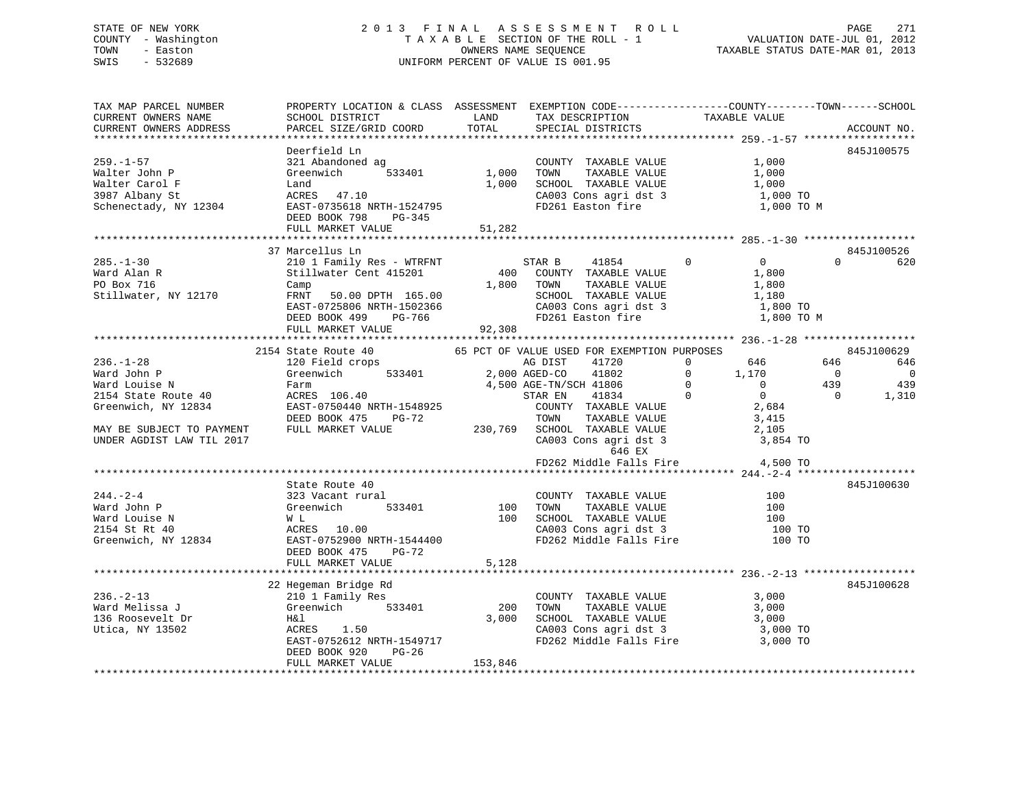# STATE OF NEW YORK 2 0 1 3 F I N A L A S S E S S M E N T R O L L PAGE 271 COUNTY - Washington T A X A B L E SECTION OF THE ROLL - 1 VALUATION DATE-JUL 01, 2012 TOWN - Easton OWNERS NAME SEQUENCE TAXABLE STATUS DATE-MAR 01, 2013 SWIS - 532689 UNIFORM PERCENT OF VALUE IS 001.95

| TAX MAP PARCEL NUMBER<br>CURRENT OWNERS NAME<br>CURRENT OWNERS ADDRESS                        | PROPERTY LOCATION & CLASS ASSESSMENT EXEMPTION CODE---------------COUNTY-------TOWN-----SCHOOL<br>SCHOOL DISTRICT<br>PARCEL SIZE/GRID COORD                                              | LAND<br>TOTAL           | TAX DESCRIPTION<br>SPECIAL DISTRICTS                                                                                                                                            | TAXABLE VALUE                                                                                                | ACCOUNT NO.                                                                          |
|-----------------------------------------------------------------------------------------------|------------------------------------------------------------------------------------------------------------------------------------------------------------------------------------------|-------------------------|---------------------------------------------------------------------------------------------------------------------------------------------------------------------------------|--------------------------------------------------------------------------------------------------------------|--------------------------------------------------------------------------------------|
|                                                                                               |                                                                                                                                                                                          |                         |                                                                                                                                                                                 |                                                                                                              |                                                                                      |
| $259. - 1 - 57$<br>Walter John P<br>Walter Carol F<br>3987 Albany St<br>Schenectady, NY 12304 | Deerfield Ln<br>321 Abandoned ag<br>533401<br>Greenwich<br>Land<br>ACRES 47.10<br>EAST-0735618 NRTH-1524795<br>DEED BOOK 798 PG-345<br>FULL MARKET VALUE                                 | 1,000<br>51,282         | COUNTY TAXABLE VALUE<br>TOWN<br>TAXABLE VALUE<br>1,000 SCHOOL TAXABLE VALUE<br>CA003 Cons agri dst 3<br>FD261 Easton fire                                                       | 1,000<br>1,000<br>1,000<br>1,000 TO<br>1,000 TO M                                                            | 845J100575                                                                           |
|                                                                                               |                                                                                                                                                                                          |                         |                                                                                                                                                                                 |                                                                                                              |                                                                                      |
| $285. - 1 - 30$<br>Ward Alan R<br>PO Box 716<br>Stillwater, NY 12170                          | 37 Marcellus Ln<br>210 1 Family Res - WTRFNT<br>Stillwater Cent 415201<br>Camp<br>FRNT<br>50.00 DPTH 165.00<br>EAST-0725806 NRTH-1502366<br>PG-766<br>DEED BOOK 499<br>FULL MARKET VALUE | 92,308                  | STAR B<br>41854<br>400 COUNTY TAXABLE VALUE<br>1,800 TOWN<br>TAXABLE VALUE<br>SCHOOL TAXABLE VALUE<br>CA003 Cons agri dst 3<br>FD261 Easton fire                                | $\Omega$<br>$\Omega$<br>1,800<br>1,800<br>1,180<br>1,800 TO<br>1,800 TO M                                    | 845J100526<br>$\Omega$<br>620                                                        |
|                                                                                               |                                                                                                                                                                                          |                         |                                                                                                                                                                                 |                                                                                                              |                                                                                      |
| $236. - 1 - 28$<br>Ward John P<br>Ward Louise N<br>2154 State Route 40                        | 2154 State Route 40<br>120 Field crops<br>Greenwich 533401<br>Farm<br>ACRES 106.40                                                                                                       |                         | 65 PCT OF VALUE USED FOR EXEMPTION PURPOSES<br>AG DIST<br>41720<br>2,000 AGED-CO<br>41802<br>4,500 AGE-TN/SCH 41806<br>41834<br>STAR EN                                         | $\Omega$<br>646<br>$\overline{0}$<br>1,170<br>$\overline{0}$<br>$\overline{0}$<br>$\Omega$<br>$\overline{0}$ | 845J100629<br>646<br>646<br>$\overline{0}$<br>- 0<br>439<br>439<br>$\Omega$<br>1,310 |
| Greenwich, NY 12834<br>MAY BE SUBJECT TO PAYMENT<br>UNDER AGDIST LAW TIL 2017                 | EAST-0750440 NRTH-1548925<br>DEED BOOK 475<br>$PG-72$<br>FULL MARKET VALUE                                                                                                               |                         | COUNTY TAXABLE VALUE<br>TOWN      TAXABLE VALUE<br>TOWN<br>TAXABLE VALUE<br>230,769 SCHOOL TAXABLE VALUE<br>CA003 Cons agri dst 3<br>646 EX<br>FD262 Middle Falls Fire 4,500 TO | 2,684<br>3,415<br>2,105<br>3,854 TO                                                                          |                                                                                      |
|                                                                                               |                                                                                                                                                                                          |                         |                                                                                                                                                                                 |                                                                                                              |                                                                                      |
| $244. - 2 - 4$<br>Ward John P<br>Ward Louise N<br>2154 St Rt 40<br>Greenwich, NY 12834        | State Route 40<br>323 Vacant rural<br>533401<br>Greenwich<br>W L<br>ACRES 10.00<br>EAST-0752900 NRTH-1544400<br>DEED BOOK 475<br>PG-72<br>FULL MARKET VALUE                              | 100<br>100<br>5,128     | COUNTY TAXABLE VALUE<br>TOWN<br>SCHOOL TAXABLE VALUE<br>CA003 Cons agri dst 3<br>FD262 Middle Falls Fire 100 TO                                                                 | 100<br>100<br>100<br>100 TO                                                                                  | 845J100630                                                                           |
|                                                                                               |                                                                                                                                                                                          |                         |                                                                                                                                                                                 |                                                                                                              |                                                                                      |
| $236. - 2 - 13$<br>Ward Melissa J<br>136 Roosevelt Dr<br>Utica, NY 13502                      | 22 Hegeman Bridge Rd<br>210 1 Family Res<br>Greenwich 533401<br>H&l<br>ACRES 1.50<br>EAST-0752612 NRTH-1549717<br>DEED BOOK 920<br>PG-26<br>FULL MARKET VALUE                            | 200<br>3,000<br>153,846 | COUNTY TAXABLE VALUE<br>TOWN<br>TAXABLE VALUE<br>SCHOOL TAXABLE VALUE<br>CA003 Cons agri dst 3<br>FD262 Middle Falls Fire 3,000 TO                                              | 3,000<br>3,000<br>3,000<br>3,000 TO                                                                          | 845J100628                                                                           |
| ********************************                                                              |                                                                                                                                                                                          |                         |                                                                                                                                                                                 |                                                                                                              |                                                                                      |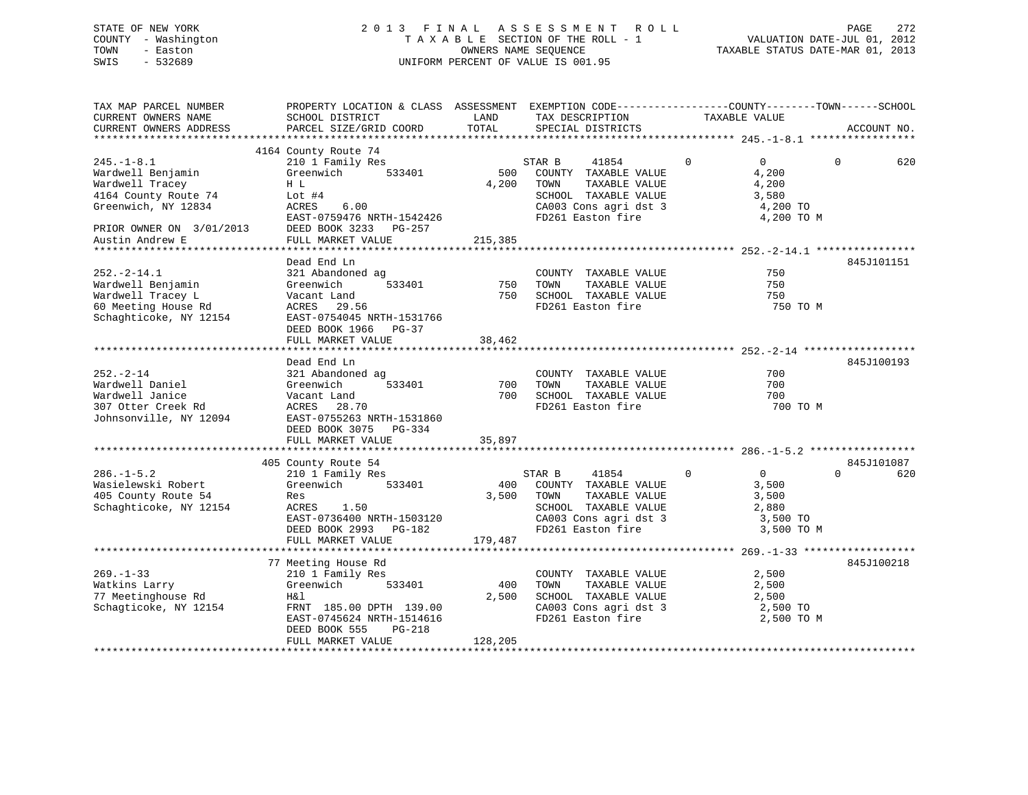# STATE OF NEW YORK 2 0 1 3 F I N A L A S S E S S M E N T R O L L PAGE 272 COUNTY - Washington T A X A B L E SECTION OF THE ROLL - 1 VALUATION DATE-JUL 01, 2012 TOWN - Easton OWNERS NAME SEQUENCE TAXABLE STATUS DATE-MAR 01, 2013 SWIS - 532689 UNIFORM PERCENT OF VALUE IS 001.95

| TAX MAP PARCEL NUMBER<br>CURRENT OWNERS NAME<br>CURRENT OWNERS ADDRESS                                                                                | PROPERTY LOCATION & CLASS ASSESSMENT EXEMPTION CODE----------------COUNTY-------TOWN------SCHOOL<br>SCHOOL DISTRICT<br>PARCEL SIZE/GRID COORD                                  | LAND<br>TOTAL           | TAX DESCRIPTION<br>SPECIAL DISTRICTS                                                                                                   | TAXABLE VALUE                                                                       | ACCOUNT NO.                   |
|-------------------------------------------------------------------------------------------------------------------------------------------------------|--------------------------------------------------------------------------------------------------------------------------------------------------------------------------------|-------------------------|----------------------------------------------------------------------------------------------------------------------------------------|-------------------------------------------------------------------------------------|-------------------------------|
|                                                                                                                                                       |                                                                                                                                                                                |                         |                                                                                                                                        |                                                                                     |                               |
| $245. -1 - 8.1$<br>Wardwell Benjamin<br>Wardwell Tracey<br>4164 County Route 74<br>Greenwich, NY 12834<br>PRIOR OWNER ON 3/01/2013<br>Austin Andrew E | 4164 County Route 74<br>210 1 Family Res<br>Greenwich<br>533401<br>H L<br>Lot $#4$<br>ACRES<br>6.00<br>EAST-0759476 NRTH-1542426<br>DEED BOOK 3233 PG-257<br>FULL MARKET VALUE | 500<br>4,200<br>215,385 | STAR B<br>41854<br>COUNTY TAXABLE VALUE<br>TAXABLE VALUE<br>TOWN<br>SCHOOL TAXABLE VALUE<br>CA003 Cons agri dst 3<br>FD261 Easton fire | $\Omega$<br>$\overline{0}$<br>4,200<br>4,200<br>3,580<br>4,200 TO<br>4,200 TO M     | 620<br>$\Omega$               |
|                                                                                                                                                       |                                                                                                                                                                                |                         |                                                                                                                                        |                                                                                     |                               |
| $252. - 2 - 14.1$<br>Wardwell Benjamin<br>Wardwell Tracey L<br>60 Meeting House Rd<br>Schaghticoke, NY 12154                                          | Dead End Ln<br>321 Abandoned ag<br>Greenwich<br>533401<br>Vacant Land<br>ACRES 29.56<br>EAST-0754045 NRTH-1531766<br>DEED BOOK 1966 PG-37<br>FULL MARKET VALUE                 | 750<br>750<br>38,462    | COUNTY TAXABLE VALUE<br>TAXABLE VALUE<br>TOWN<br>SCHOOL TAXABLE VALUE<br>FD261 Easton fire                                             | 750<br>750<br>750<br>750 TO M                                                       | 845J101151                    |
|                                                                                                                                                       | Dead End Ln                                                                                                                                                                    |                         |                                                                                                                                        |                                                                                     | 845J100193                    |
| $252 - 2 - 14$<br>Wardwell Daniel<br>Wardwell Janice<br>307 Otter Creek Rd<br>Johnsonville, NY 12094                                                  | 321 Abandoned ag<br>Greenwich<br>533401<br>Vacant Land<br>ACRES<br>28.70<br>EAST-0755263 NRTH-1531860<br>DEED BOOK 3075 PG-334<br>FULL MARKET VALUE                            | 700<br>700<br>35,897    | COUNTY TAXABLE VALUE<br>TAXABLE VALUE<br>TOWN<br>SCHOOL TAXABLE VALUE<br>FD261 Easton fire                                             | 700<br>700<br>700<br>700 TO M                                                       |                               |
|                                                                                                                                                       |                                                                                                                                                                                |                         |                                                                                                                                        |                                                                                     |                               |
| $286. - 1 - 5.2$<br>Wasielewski Robert<br>405 County Route 54<br>Schaghticoke, NY 12154                                                               | 405 County Route 54<br>210 1 Family Res<br>533401<br>Greenwich<br>Res<br>ACRES<br>1.50<br>EAST-0736400 NRTH-1503120<br>DEED BOOK 2993 PG-182<br>FULL MARKET VALUE              | 400<br>3,500<br>179,487 | STAR B<br>41854<br>COUNTY TAXABLE VALUE<br>TOWN<br>TAXABLE VALUE<br>SCHOOL TAXABLE VALUE<br>CA003 Cons agri dst 3<br>FD261 Easton fire | $\mathbf{0}$<br>$\overline{0}$<br>3,500<br>3,500<br>2,880<br>3,500 TO<br>3,500 TO M | 845J101087<br>$\Omega$<br>620 |
|                                                                                                                                                       |                                                                                                                                                                                |                         |                                                                                                                                        |                                                                                     |                               |
| $269. -1 - 33$<br>Watkins Larry<br>77 Meetinghouse Rd<br>Schagticoke, NY 12154                                                                        | 77 Meeting House Rd<br>210 1 Family Res<br>Greenwich<br>533401<br>H&l<br>FRNT 185.00 DPTH 139.00<br>EAST-0745624 NRTH-1514616<br>DEED BOOK 555<br>$PG-218$                     | 400<br>2,500            | COUNTY TAXABLE VALUE<br>TAXABLE VALUE<br>TOWN<br>SCHOOL TAXABLE VALUE<br>CA003 Cons agri dst 3<br>FD261 Easton fire                    | 2,500<br>2,500<br>2,500<br>2,500 TO<br>2,500 TO M                                   | 845J100218                    |
|                                                                                                                                                       | FULL MARKET VALUE                                                                                                                                                              | 128,205                 |                                                                                                                                        |                                                                                     |                               |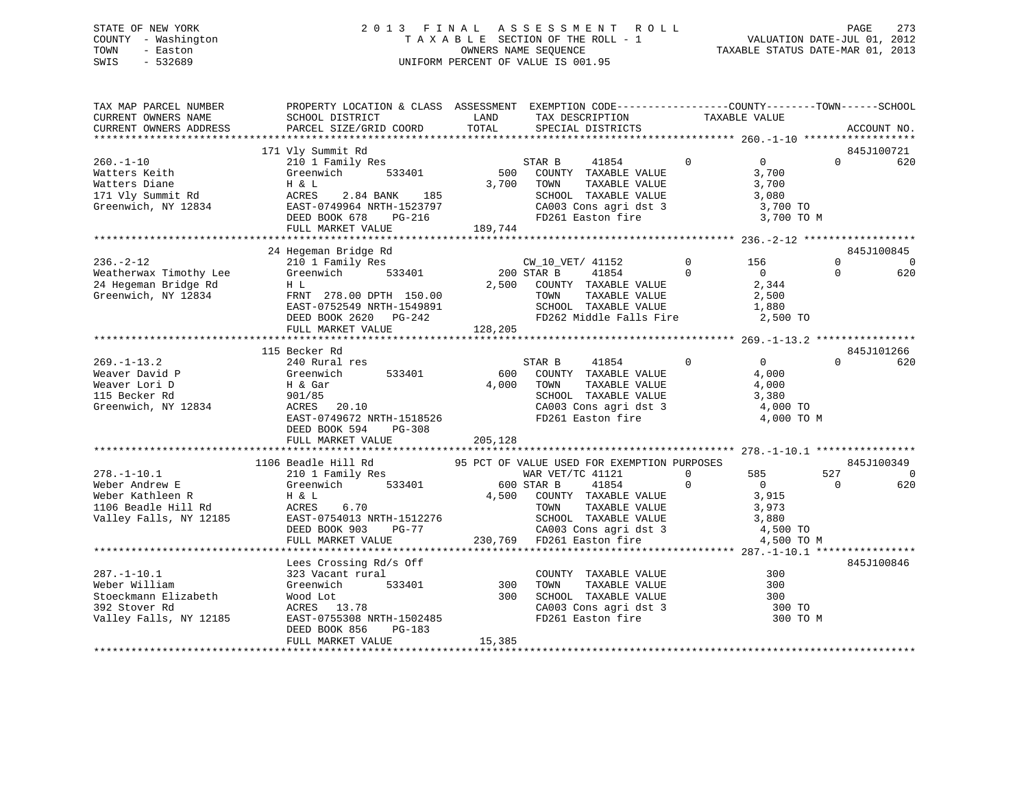# STATE OF NEW YORK 2 0 1 3 F I N A L A S S E S S M E N T R O L L PAGE 273 COUNTY - Washington T A X A B L E SECTION OF THE ROLL - 1 VALUATION DATE-JUL 01, 2012 TOWN - Easton OWNERS NAME SEQUENCE TAXABLE STATUS DATE-MAR 01, 2013 SWIS - 532689 UNIFORM PERCENT OF VALUE IS 001.95

| TAX MAP PARCEL NUMBER<br>CURRENT OWNERS NAME                                                             | PROPERTY LOCATION & CLASS ASSESSMENT EXEMPTION CODE----------------COUNTY-------TOWN------SCHOOL<br>SCHOOL DISTRICT                                               | LAND                    | TAX DESCRIPTION                                                                                                                                                                                                                                  | TAXABLE VALUE            |                                                                            |                      |                                  |
|----------------------------------------------------------------------------------------------------------|-------------------------------------------------------------------------------------------------------------------------------------------------------------------|-------------------------|--------------------------------------------------------------------------------------------------------------------------------------------------------------------------------------------------------------------------------------------------|--------------------------|----------------------------------------------------------------------------|----------------------|----------------------------------|
| CURRENT OWNERS ADDRESS                                                                                   | PARCEL SIZE/GRID COORD                                                                                                                                            | TOTAL                   | SPECIAL DISTRICTS                                                                                                                                                                                                                                |                          |                                                                            |                      | ACCOUNT NO.                      |
|                                                                                                          |                                                                                                                                                                   |                         |                                                                                                                                                                                                                                                  |                          |                                                                            |                      |                                  |
|                                                                                                          | 171 Vly Summit Rd                                                                                                                                                 |                         |                                                                                                                                                                                                                                                  |                          |                                                                            |                      | 845J100721                       |
| $260. - 1 - 10$<br>Watters Keith<br>Watters Diane<br>171 Vly Summit Rd<br>Greenwich, NY 12834            | 210 1 Family Res<br>Greenwich<br>533401<br>H & L<br>ACRES<br>2.84 BANK 185<br>EAST-0749964 NRTH-1523797                                                           | 500                     | STAR B<br>41854<br>COUNTY TAXABLE VALUE<br>3,700 TOWN<br>TAXABLE VALUE<br>SCHOOL TAXABLE VALUE<br>CA003 Cons agri dst 3                                                                                                                          | $\mathbf 0$              | $\overline{0}$<br>3,700<br>3,700<br>3,080<br>3,700 TO                      | $\Omega$             | 620                              |
|                                                                                                          | DEED BOOK 678<br>PG-216                                                                                                                                           |                         | FD261 Easton fire                                                                                                                                                                                                                                |                          | 3,700 TO M                                                                 |                      |                                  |
|                                                                                                          | FULL MARKET VALUE                                                                                                                                                 | 189,744                 |                                                                                                                                                                                                                                                  |                          |                                                                            |                      |                                  |
|                                                                                                          |                                                                                                                                                                   |                         |                                                                                                                                                                                                                                                  |                          |                                                                            |                      |                                  |
| $236. - 2 - 12$<br>Weatherwax Timothy Lee<br>24 Hegeman Bridge Rd<br>Greenwich, NY 12834                 | 24 Hegeman Bridge Rd<br>210 1 Family Res<br>Greenwich<br>533401<br>H L<br>FRNT 278.00 DPTH 150.00<br>EAST-0752549 NRTH-1549891<br>DEED BOOK 2620 PG-242           | 2,500                   | CW_10_VET/ 41152<br>200 STAR B<br>41854<br>COUNTY TAXABLE VALUE<br>TOWN<br>TAXABLE VALUE<br>SCHOOL TAXABLE VALUE<br>FD262 Middle Falls Fire                                                                                                      | $\mathsf{O}$<br>$\Omega$ | 156<br>$\overline{0}$<br>2,344<br>2,500<br>1,880<br>2,500 TO               | $\Omega$<br>$\Omega$ | 845J100845<br>$\mathbf 0$<br>620 |
|                                                                                                          | FULL MARKET VALUE                                                                                                                                                 | 128, 205                |                                                                                                                                                                                                                                                  |                          |                                                                            |                      |                                  |
|                                                                                                          | 115 Becker Rd                                                                                                                                                     |                         |                                                                                                                                                                                                                                                  |                          |                                                                            |                      | 845J101266                       |
| $269. - 1 - 13.2$<br>Weaver David P<br>Weaver Lori D<br>115 Becker Rd<br>Greenwich, NY 12834             | 240 Rural res<br>Greenwich<br>533401<br>H & Gar<br>901/85<br>ACRES<br>20.10<br>EAST-0749672 NRTH-1518526<br>DEED BOOK 594<br>PG-308<br>FULL MARKET VALUE          | 600<br>4,000<br>205,128 | 41854<br>STAR B<br>COUNTY TAXABLE VALUE<br>TOWN<br>TAXABLE VALUE<br>SCHOOL TAXABLE VALUE<br>CA003 Cons agri dst 3<br>FD261 Easton fire                                                                                                           | $\mathbf{0}$             | $\overline{0}$<br>4,000<br>4,000<br>3,380<br>4,000 TO<br>4,000 TO M        | $\cap$               | 620                              |
|                                                                                                          |                                                                                                                                                                   |                         |                                                                                                                                                                                                                                                  |                          |                                                                            |                      |                                  |
| $278. - 1 - 10.1$<br>Weber Andrew E<br>Weber Kathleen R<br>1106 Beadle Hill Rd<br>Valley Falls, NY 12185 | 1106 Beadle Hill Rd<br>210 1 Family Res<br>Greenwich 533401<br>H & L<br>ACRES<br>6.70<br>EAST-0754013 NRTH-1512276<br>DEED BOOK 903<br>PG-77<br>FULL MARKET VALUE |                         | 95 PCT OF VALUE USED FOR EXEMPTION PURPOSES<br>WAR VET/TC 41121<br>600 STAR B<br>41854<br>4,500 COUNTY TAXABLE VALUE<br>TAXABLE VALUE<br>TOWN<br>SCHOOL TAXABLE VALUE<br>CA003 Cons agri dst 3<br>FD261 Easton fire<br>230,769 FD261 Easton fire | $\Omega$<br>$\Omega$     | 585<br>$\overline{0}$<br>3,915<br>3,973<br>3,880<br>4,500 TO<br>4,500 TO M | 527<br>$\Omega$      | 845J100349<br>$\Omega$<br>620    |
|                                                                                                          |                                                                                                                                                                   |                         |                                                                                                                                                                                                                                                  |                          |                                                                            |                      |                                  |
| $287. - 1 - 10.1$<br>Weber William<br>Stoeckmann Elizabeth<br>392 Stover Rd<br>Valley Falls, NY 12185    | Lees Crossing Rd/s Off<br>323 Vacant rural<br>Greenwich<br>533401<br>Wood Lot<br>ACRES 13.78<br>EAST-0755308 NRTH-1502485<br>DEED BOOK 856<br>PG-183              | 300<br>300              | COUNTY TAXABLE VALUE<br>TAXABLE VALUE<br>TOWN<br>SCHOOL TAXABLE VALUE<br>CA003 Cons agri dst 3<br>FD261 Easton fire                                                                                                                              |                          | 300<br>300<br>300<br>300 TO<br>300 TO M                                    |                      | 845J100846                       |
|                                                                                                          | FULL MARKET VALUE                                                                                                                                                 | 15,385                  |                                                                                                                                                                                                                                                  |                          |                                                                            |                      |                                  |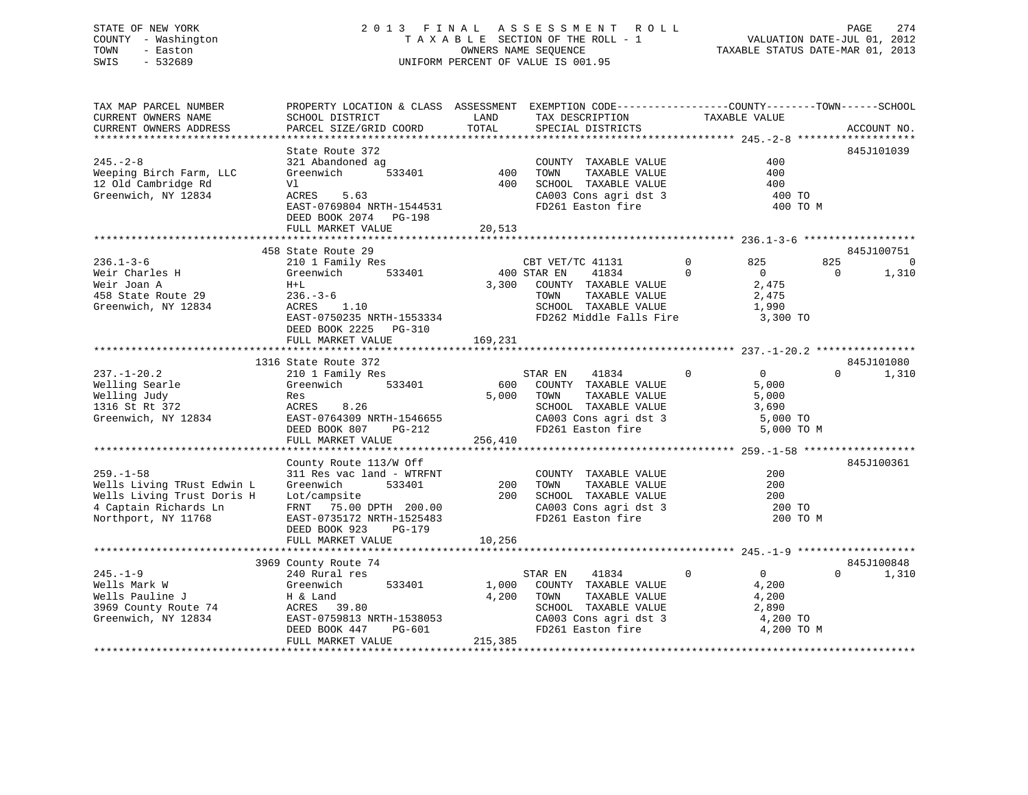# STATE OF NEW YORK 274 2013 FINAL ASSESSMENT ROLL PAGE 274 COUNTY - Washington  $T A X A B L E$  SECTION OF THE ROLL - 1<br>TOWN - Easton DATE-JUL 2012 OWNERS NAME SEQUENCE SWIS - 532689 UNIFORM PERCENT OF VALUE IS 001.95

TAXABLE STATUS DATE-MAR 01, 2013

| PARCEL SIZE/GRID COORD<br>TOTAL<br>SPECIAL DISTRICTS<br>ACCOUNT NO.<br>State Route 372<br>845J101039<br>321 Abandoned ag<br>COUNTY TAXABLE VALUE<br>400<br>533401<br>400<br>TOWN<br>TAXABLE VALUE<br>Greenwich<br>400<br>12 Old Cambridge Rd<br>Vl<br>400<br>SCHOOL TAXABLE VALUE<br>400<br>Greenwich, NY 12834<br>CA003 Cons agri dst 3<br>ACRES<br>5.63<br>400 TO<br>FD261 Easton fire<br>EAST-0769804 NRTH-1544531<br>400 TO M<br>DEED BOOK 2074 PG-198<br>FULL MARKET VALUE<br>20,513<br>458 State Route 29<br>845J100751<br>$236.1 - 3 - 6$<br>210 1 Family Res<br>825<br>825<br>CBT VET/TC 41131<br>$\mathbf 0$<br>$\mathbf 0$<br>400 STAR EN<br>41834<br>Weir Charles H<br>Greenwich<br>533401<br>$\Omega$<br>$\overline{0}$<br>1,310<br>$\Omega$<br>Weir Joan A<br>$H+L$<br>3,300<br>COUNTY TAXABLE VALUE<br>2,475<br>458 State Route 29<br>$236. - 3 - 6$<br>TOWN<br>TAXABLE VALUE<br>2,475<br>Greenwich, NY 12834<br>ACRES 1.10<br>SCHOOL TAXABLE VALUE<br>1,990<br>EAST-0750235 NRTH-1553334<br>FD262 Middle Falls Fire<br>3,300 TO<br>DEED BOOK 2225 PG-310<br>FULL MARKET VALUE<br>169,231<br>1316 State Route 372<br>845J101080<br>$\mathbf 0$<br>0<br>1,310<br>$237. - 1 - 20.2$<br>210 1 Family Res<br>STAR EN<br>41834<br>$\Omega$<br>Welling Searle<br>Greenwich<br>533401<br>600<br>COUNTY TAXABLE VALUE<br>5,000<br>Welling Judy<br>5,000<br>TOWN<br>TAXABLE VALUE<br>5,000<br>Res<br>1316 St Rt 372<br>8.26<br>SCHOOL TAXABLE VALUE<br>ACRES<br>3,690<br>Greenwich, NY 12834<br>EAST-0764309 NRTH-1546655<br>CA003 Cons agri dst 3<br>5,000 TO<br>FD261 Easton fire<br>DEED BOOK 807<br>5,000 TO M<br>PG-212<br>256,410<br>FULL MARKET VALUE<br>County Route 113/W Off<br>845J100361<br>$259. - 1 - 58$<br>311 Res vac land - WTRFNT<br>COUNTY TAXABLE VALUE<br>200<br>Wells Living TRust Edwin L<br>Greenwich<br>533401<br>200<br>TOWN<br>TAXABLE VALUE<br>200<br>Wells Living Trust Doris H<br>Lot/campsite<br>200<br>SCHOOL TAXABLE VALUE<br>200<br>4 Captain Richards Ln<br>FRNT 75.00 DPTH 200.00<br>CA003 Cons agri dst 3<br>200 TO<br>FD261 Easton fire<br>Northport, NY 11768<br>EAST-0735172 NRTH-1525483<br>200 TO M<br>DEED BOOK 923<br>PG-179<br>FULL MARKET VALUE<br>10,256<br>845J100848<br>3969 County Route 74<br>$245. - 1 - 9$<br>$\mathbf 0$<br>0<br>240 Rural res<br>STAR EN<br>41834<br>$\Omega$<br>1,310<br>Wells Mark W<br>Greenwich<br>533401<br>1,000<br>COUNTY TAXABLE VALUE<br>4,200<br>Wells Pauline J<br>4,200<br>TOWN<br>TAXABLE VALUE<br>4,200<br>H & Land<br>3969 County Route 74<br>39.80<br>SCHOOL TAXABLE VALUE<br>2,890<br>ACRES<br>Greenwich, NY 12834<br>EAST-0759813 NRTH-1538053<br>CA003 Cons agri dst 3<br>4,200 TO<br>DEED BOOK 447<br>FD261 Easton fire<br>4,200 TO M<br>PG-601<br>FULL MARKET VALUE<br>215,385 | TAX MAP PARCEL NUMBER<br>CURRENT OWNERS NAME | PROPERTY LOCATION & CLASS ASSESSMENT<br>SCHOOL DISTRICT | LAND | EXEMPTION CODE-----------------COUNTY-------TOWN------SCHOOL<br>TAX DESCRIPTION | TAXABLE VALUE |  |
|----------------------------------------------------------------------------------------------------------------------------------------------------------------------------------------------------------------------------------------------------------------------------------------------------------------------------------------------------------------------------------------------------------------------------------------------------------------------------------------------------------------------------------------------------------------------------------------------------------------------------------------------------------------------------------------------------------------------------------------------------------------------------------------------------------------------------------------------------------------------------------------------------------------------------------------------------------------------------------------------------------------------------------------------------------------------------------------------------------------------------------------------------------------------------------------------------------------------------------------------------------------------------------------------------------------------------------------------------------------------------------------------------------------------------------------------------------------------------------------------------------------------------------------------------------------------------------------------------------------------------------------------------------------------------------------------------------------------------------------------------------------------------------------------------------------------------------------------------------------------------------------------------------------------------------------------------------------------------------------------------------------------------------------------------------------------------------------------------------------------------------------------------------------------------------------------------------------------------------------------------------------------------------------------------------------------------------------------------------------------------------------------------------------------------------------------------------------------------------------------------------------------------------------------------------------------------------------------------------------------------------------------------------------------------------------------------------------------------------------------------------------------------------|----------------------------------------------|---------------------------------------------------------|------|---------------------------------------------------------------------------------|---------------|--|
|                                                                                                                                                                                                                                                                                                                                                                                                                                                                                                                                                                                                                                                                                                                                                                                                                                                                                                                                                                                                                                                                                                                                                                                                                                                                                                                                                                                                                                                                                                                                                                                                                                                                                                                                                                                                                                                                                                                                                                                                                                                                                                                                                                                                                                                                                                                                                                                                                                                                                                                                                                                                                                                                                                                                                                                  | CURRENT OWNERS ADDRESS                       |                                                         |      |                                                                                 |               |  |
|                                                                                                                                                                                                                                                                                                                                                                                                                                                                                                                                                                                                                                                                                                                                                                                                                                                                                                                                                                                                                                                                                                                                                                                                                                                                                                                                                                                                                                                                                                                                                                                                                                                                                                                                                                                                                                                                                                                                                                                                                                                                                                                                                                                                                                                                                                                                                                                                                                                                                                                                                                                                                                                                                                                                                                                  |                                              |                                                         |      |                                                                                 |               |  |
|                                                                                                                                                                                                                                                                                                                                                                                                                                                                                                                                                                                                                                                                                                                                                                                                                                                                                                                                                                                                                                                                                                                                                                                                                                                                                                                                                                                                                                                                                                                                                                                                                                                                                                                                                                                                                                                                                                                                                                                                                                                                                                                                                                                                                                                                                                                                                                                                                                                                                                                                                                                                                                                                                                                                                                                  | $245. - 2 - 8$                               |                                                         |      |                                                                                 |               |  |
|                                                                                                                                                                                                                                                                                                                                                                                                                                                                                                                                                                                                                                                                                                                                                                                                                                                                                                                                                                                                                                                                                                                                                                                                                                                                                                                                                                                                                                                                                                                                                                                                                                                                                                                                                                                                                                                                                                                                                                                                                                                                                                                                                                                                                                                                                                                                                                                                                                                                                                                                                                                                                                                                                                                                                                                  | Weeping Birch Farm, LLC                      |                                                         |      |                                                                                 |               |  |
|                                                                                                                                                                                                                                                                                                                                                                                                                                                                                                                                                                                                                                                                                                                                                                                                                                                                                                                                                                                                                                                                                                                                                                                                                                                                                                                                                                                                                                                                                                                                                                                                                                                                                                                                                                                                                                                                                                                                                                                                                                                                                                                                                                                                                                                                                                                                                                                                                                                                                                                                                                                                                                                                                                                                                                                  |                                              |                                                         |      |                                                                                 |               |  |
|                                                                                                                                                                                                                                                                                                                                                                                                                                                                                                                                                                                                                                                                                                                                                                                                                                                                                                                                                                                                                                                                                                                                                                                                                                                                                                                                                                                                                                                                                                                                                                                                                                                                                                                                                                                                                                                                                                                                                                                                                                                                                                                                                                                                                                                                                                                                                                                                                                                                                                                                                                                                                                                                                                                                                                                  |                                              |                                                         |      |                                                                                 |               |  |
|                                                                                                                                                                                                                                                                                                                                                                                                                                                                                                                                                                                                                                                                                                                                                                                                                                                                                                                                                                                                                                                                                                                                                                                                                                                                                                                                                                                                                                                                                                                                                                                                                                                                                                                                                                                                                                                                                                                                                                                                                                                                                                                                                                                                                                                                                                                                                                                                                                                                                                                                                                                                                                                                                                                                                                                  |                                              |                                                         |      |                                                                                 |               |  |
|                                                                                                                                                                                                                                                                                                                                                                                                                                                                                                                                                                                                                                                                                                                                                                                                                                                                                                                                                                                                                                                                                                                                                                                                                                                                                                                                                                                                                                                                                                                                                                                                                                                                                                                                                                                                                                                                                                                                                                                                                                                                                                                                                                                                                                                                                                                                                                                                                                                                                                                                                                                                                                                                                                                                                                                  |                                              |                                                         |      |                                                                                 |               |  |
|                                                                                                                                                                                                                                                                                                                                                                                                                                                                                                                                                                                                                                                                                                                                                                                                                                                                                                                                                                                                                                                                                                                                                                                                                                                                                                                                                                                                                                                                                                                                                                                                                                                                                                                                                                                                                                                                                                                                                                                                                                                                                                                                                                                                                                                                                                                                                                                                                                                                                                                                                                                                                                                                                                                                                                                  |                                              |                                                         |      |                                                                                 |               |  |
|                                                                                                                                                                                                                                                                                                                                                                                                                                                                                                                                                                                                                                                                                                                                                                                                                                                                                                                                                                                                                                                                                                                                                                                                                                                                                                                                                                                                                                                                                                                                                                                                                                                                                                                                                                                                                                                                                                                                                                                                                                                                                                                                                                                                                                                                                                                                                                                                                                                                                                                                                                                                                                                                                                                                                                                  |                                              |                                                         |      |                                                                                 |               |  |
|                                                                                                                                                                                                                                                                                                                                                                                                                                                                                                                                                                                                                                                                                                                                                                                                                                                                                                                                                                                                                                                                                                                                                                                                                                                                                                                                                                                                                                                                                                                                                                                                                                                                                                                                                                                                                                                                                                                                                                                                                                                                                                                                                                                                                                                                                                                                                                                                                                                                                                                                                                                                                                                                                                                                                                                  |                                              |                                                         |      |                                                                                 |               |  |
|                                                                                                                                                                                                                                                                                                                                                                                                                                                                                                                                                                                                                                                                                                                                                                                                                                                                                                                                                                                                                                                                                                                                                                                                                                                                                                                                                                                                                                                                                                                                                                                                                                                                                                                                                                                                                                                                                                                                                                                                                                                                                                                                                                                                                                                                                                                                                                                                                                                                                                                                                                                                                                                                                                                                                                                  |                                              |                                                         |      |                                                                                 |               |  |
|                                                                                                                                                                                                                                                                                                                                                                                                                                                                                                                                                                                                                                                                                                                                                                                                                                                                                                                                                                                                                                                                                                                                                                                                                                                                                                                                                                                                                                                                                                                                                                                                                                                                                                                                                                                                                                                                                                                                                                                                                                                                                                                                                                                                                                                                                                                                                                                                                                                                                                                                                                                                                                                                                                                                                                                  |                                              |                                                         |      |                                                                                 |               |  |
|                                                                                                                                                                                                                                                                                                                                                                                                                                                                                                                                                                                                                                                                                                                                                                                                                                                                                                                                                                                                                                                                                                                                                                                                                                                                                                                                                                                                                                                                                                                                                                                                                                                                                                                                                                                                                                                                                                                                                                                                                                                                                                                                                                                                                                                                                                                                                                                                                                                                                                                                                                                                                                                                                                                                                                                  |                                              |                                                         |      |                                                                                 |               |  |
|                                                                                                                                                                                                                                                                                                                                                                                                                                                                                                                                                                                                                                                                                                                                                                                                                                                                                                                                                                                                                                                                                                                                                                                                                                                                                                                                                                                                                                                                                                                                                                                                                                                                                                                                                                                                                                                                                                                                                                                                                                                                                                                                                                                                                                                                                                                                                                                                                                                                                                                                                                                                                                                                                                                                                                                  |                                              |                                                         |      |                                                                                 |               |  |
|                                                                                                                                                                                                                                                                                                                                                                                                                                                                                                                                                                                                                                                                                                                                                                                                                                                                                                                                                                                                                                                                                                                                                                                                                                                                                                                                                                                                                                                                                                                                                                                                                                                                                                                                                                                                                                                                                                                                                                                                                                                                                                                                                                                                                                                                                                                                                                                                                                                                                                                                                                                                                                                                                                                                                                                  |                                              |                                                         |      |                                                                                 |               |  |
|                                                                                                                                                                                                                                                                                                                                                                                                                                                                                                                                                                                                                                                                                                                                                                                                                                                                                                                                                                                                                                                                                                                                                                                                                                                                                                                                                                                                                                                                                                                                                                                                                                                                                                                                                                                                                                                                                                                                                                                                                                                                                                                                                                                                                                                                                                                                                                                                                                                                                                                                                                                                                                                                                                                                                                                  |                                              |                                                         |      |                                                                                 |               |  |
|                                                                                                                                                                                                                                                                                                                                                                                                                                                                                                                                                                                                                                                                                                                                                                                                                                                                                                                                                                                                                                                                                                                                                                                                                                                                                                                                                                                                                                                                                                                                                                                                                                                                                                                                                                                                                                                                                                                                                                                                                                                                                                                                                                                                                                                                                                                                                                                                                                                                                                                                                                                                                                                                                                                                                                                  |                                              |                                                         |      |                                                                                 |               |  |
|                                                                                                                                                                                                                                                                                                                                                                                                                                                                                                                                                                                                                                                                                                                                                                                                                                                                                                                                                                                                                                                                                                                                                                                                                                                                                                                                                                                                                                                                                                                                                                                                                                                                                                                                                                                                                                                                                                                                                                                                                                                                                                                                                                                                                                                                                                                                                                                                                                                                                                                                                                                                                                                                                                                                                                                  |                                              |                                                         |      |                                                                                 |               |  |
|                                                                                                                                                                                                                                                                                                                                                                                                                                                                                                                                                                                                                                                                                                                                                                                                                                                                                                                                                                                                                                                                                                                                                                                                                                                                                                                                                                                                                                                                                                                                                                                                                                                                                                                                                                                                                                                                                                                                                                                                                                                                                                                                                                                                                                                                                                                                                                                                                                                                                                                                                                                                                                                                                                                                                                                  |                                              |                                                         |      |                                                                                 |               |  |
|                                                                                                                                                                                                                                                                                                                                                                                                                                                                                                                                                                                                                                                                                                                                                                                                                                                                                                                                                                                                                                                                                                                                                                                                                                                                                                                                                                                                                                                                                                                                                                                                                                                                                                                                                                                                                                                                                                                                                                                                                                                                                                                                                                                                                                                                                                                                                                                                                                                                                                                                                                                                                                                                                                                                                                                  |                                              |                                                         |      |                                                                                 |               |  |
|                                                                                                                                                                                                                                                                                                                                                                                                                                                                                                                                                                                                                                                                                                                                                                                                                                                                                                                                                                                                                                                                                                                                                                                                                                                                                                                                                                                                                                                                                                                                                                                                                                                                                                                                                                                                                                                                                                                                                                                                                                                                                                                                                                                                                                                                                                                                                                                                                                                                                                                                                                                                                                                                                                                                                                                  |                                              |                                                         |      |                                                                                 |               |  |
|                                                                                                                                                                                                                                                                                                                                                                                                                                                                                                                                                                                                                                                                                                                                                                                                                                                                                                                                                                                                                                                                                                                                                                                                                                                                                                                                                                                                                                                                                                                                                                                                                                                                                                                                                                                                                                                                                                                                                                                                                                                                                                                                                                                                                                                                                                                                                                                                                                                                                                                                                                                                                                                                                                                                                                                  |                                              |                                                         |      |                                                                                 |               |  |
|                                                                                                                                                                                                                                                                                                                                                                                                                                                                                                                                                                                                                                                                                                                                                                                                                                                                                                                                                                                                                                                                                                                                                                                                                                                                                                                                                                                                                                                                                                                                                                                                                                                                                                                                                                                                                                                                                                                                                                                                                                                                                                                                                                                                                                                                                                                                                                                                                                                                                                                                                                                                                                                                                                                                                                                  |                                              |                                                         |      |                                                                                 |               |  |
|                                                                                                                                                                                                                                                                                                                                                                                                                                                                                                                                                                                                                                                                                                                                                                                                                                                                                                                                                                                                                                                                                                                                                                                                                                                                                                                                                                                                                                                                                                                                                                                                                                                                                                                                                                                                                                                                                                                                                                                                                                                                                                                                                                                                                                                                                                                                                                                                                                                                                                                                                                                                                                                                                                                                                                                  |                                              |                                                         |      |                                                                                 |               |  |
|                                                                                                                                                                                                                                                                                                                                                                                                                                                                                                                                                                                                                                                                                                                                                                                                                                                                                                                                                                                                                                                                                                                                                                                                                                                                                                                                                                                                                                                                                                                                                                                                                                                                                                                                                                                                                                                                                                                                                                                                                                                                                                                                                                                                                                                                                                                                                                                                                                                                                                                                                                                                                                                                                                                                                                                  |                                              |                                                         |      |                                                                                 |               |  |
|                                                                                                                                                                                                                                                                                                                                                                                                                                                                                                                                                                                                                                                                                                                                                                                                                                                                                                                                                                                                                                                                                                                                                                                                                                                                                                                                                                                                                                                                                                                                                                                                                                                                                                                                                                                                                                                                                                                                                                                                                                                                                                                                                                                                                                                                                                                                                                                                                                                                                                                                                                                                                                                                                                                                                                                  |                                              |                                                         |      |                                                                                 |               |  |
|                                                                                                                                                                                                                                                                                                                                                                                                                                                                                                                                                                                                                                                                                                                                                                                                                                                                                                                                                                                                                                                                                                                                                                                                                                                                                                                                                                                                                                                                                                                                                                                                                                                                                                                                                                                                                                                                                                                                                                                                                                                                                                                                                                                                                                                                                                                                                                                                                                                                                                                                                                                                                                                                                                                                                                                  |                                              |                                                         |      |                                                                                 |               |  |
|                                                                                                                                                                                                                                                                                                                                                                                                                                                                                                                                                                                                                                                                                                                                                                                                                                                                                                                                                                                                                                                                                                                                                                                                                                                                                                                                                                                                                                                                                                                                                                                                                                                                                                                                                                                                                                                                                                                                                                                                                                                                                                                                                                                                                                                                                                                                                                                                                                                                                                                                                                                                                                                                                                                                                                                  |                                              |                                                         |      |                                                                                 |               |  |
|                                                                                                                                                                                                                                                                                                                                                                                                                                                                                                                                                                                                                                                                                                                                                                                                                                                                                                                                                                                                                                                                                                                                                                                                                                                                                                                                                                                                                                                                                                                                                                                                                                                                                                                                                                                                                                                                                                                                                                                                                                                                                                                                                                                                                                                                                                                                                                                                                                                                                                                                                                                                                                                                                                                                                                                  |                                              |                                                         |      |                                                                                 |               |  |
|                                                                                                                                                                                                                                                                                                                                                                                                                                                                                                                                                                                                                                                                                                                                                                                                                                                                                                                                                                                                                                                                                                                                                                                                                                                                                                                                                                                                                                                                                                                                                                                                                                                                                                                                                                                                                                                                                                                                                                                                                                                                                                                                                                                                                                                                                                                                                                                                                                                                                                                                                                                                                                                                                                                                                                                  |                                              |                                                         |      |                                                                                 |               |  |
|                                                                                                                                                                                                                                                                                                                                                                                                                                                                                                                                                                                                                                                                                                                                                                                                                                                                                                                                                                                                                                                                                                                                                                                                                                                                                                                                                                                                                                                                                                                                                                                                                                                                                                                                                                                                                                                                                                                                                                                                                                                                                                                                                                                                                                                                                                                                                                                                                                                                                                                                                                                                                                                                                                                                                                                  |                                              |                                                         |      |                                                                                 |               |  |
|                                                                                                                                                                                                                                                                                                                                                                                                                                                                                                                                                                                                                                                                                                                                                                                                                                                                                                                                                                                                                                                                                                                                                                                                                                                                                                                                                                                                                                                                                                                                                                                                                                                                                                                                                                                                                                                                                                                                                                                                                                                                                                                                                                                                                                                                                                                                                                                                                                                                                                                                                                                                                                                                                                                                                                                  |                                              |                                                         |      |                                                                                 |               |  |
|                                                                                                                                                                                                                                                                                                                                                                                                                                                                                                                                                                                                                                                                                                                                                                                                                                                                                                                                                                                                                                                                                                                                                                                                                                                                                                                                                                                                                                                                                                                                                                                                                                                                                                                                                                                                                                                                                                                                                                                                                                                                                                                                                                                                                                                                                                                                                                                                                                                                                                                                                                                                                                                                                                                                                                                  |                                              |                                                         |      |                                                                                 |               |  |
|                                                                                                                                                                                                                                                                                                                                                                                                                                                                                                                                                                                                                                                                                                                                                                                                                                                                                                                                                                                                                                                                                                                                                                                                                                                                                                                                                                                                                                                                                                                                                                                                                                                                                                                                                                                                                                                                                                                                                                                                                                                                                                                                                                                                                                                                                                                                                                                                                                                                                                                                                                                                                                                                                                                                                                                  |                                              |                                                         |      |                                                                                 |               |  |
|                                                                                                                                                                                                                                                                                                                                                                                                                                                                                                                                                                                                                                                                                                                                                                                                                                                                                                                                                                                                                                                                                                                                                                                                                                                                                                                                                                                                                                                                                                                                                                                                                                                                                                                                                                                                                                                                                                                                                                                                                                                                                                                                                                                                                                                                                                                                                                                                                                                                                                                                                                                                                                                                                                                                                                                  |                                              |                                                         |      |                                                                                 |               |  |
|                                                                                                                                                                                                                                                                                                                                                                                                                                                                                                                                                                                                                                                                                                                                                                                                                                                                                                                                                                                                                                                                                                                                                                                                                                                                                                                                                                                                                                                                                                                                                                                                                                                                                                                                                                                                                                                                                                                                                                                                                                                                                                                                                                                                                                                                                                                                                                                                                                                                                                                                                                                                                                                                                                                                                                                  |                                              |                                                         |      |                                                                                 |               |  |
|                                                                                                                                                                                                                                                                                                                                                                                                                                                                                                                                                                                                                                                                                                                                                                                                                                                                                                                                                                                                                                                                                                                                                                                                                                                                                                                                                                                                                                                                                                                                                                                                                                                                                                                                                                                                                                                                                                                                                                                                                                                                                                                                                                                                                                                                                                                                                                                                                                                                                                                                                                                                                                                                                                                                                                                  |                                              |                                                         |      |                                                                                 |               |  |
|                                                                                                                                                                                                                                                                                                                                                                                                                                                                                                                                                                                                                                                                                                                                                                                                                                                                                                                                                                                                                                                                                                                                                                                                                                                                                                                                                                                                                                                                                                                                                                                                                                                                                                                                                                                                                                                                                                                                                                                                                                                                                                                                                                                                                                                                                                                                                                                                                                                                                                                                                                                                                                                                                                                                                                                  |                                              |                                                         |      |                                                                                 |               |  |
|                                                                                                                                                                                                                                                                                                                                                                                                                                                                                                                                                                                                                                                                                                                                                                                                                                                                                                                                                                                                                                                                                                                                                                                                                                                                                                                                                                                                                                                                                                                                                                                                                                                                                                                                                                                                                                                                                                                                                                                                                                                                                                                                                                                                                                                                                                                                                                                                                                                                                                                                                                                                                                                                                                                                                                                  |                                              |                                                         |      |                                                                                 |               |  |
|                                                                                                                                                                                                                                                                                                                                                                                                                                                                                                                                                                                                                                                                                                                                                                                                                                                                                                                                                                                                                                                                                                                                                                                                                                                                                                                                                                                                                                                                                                                                                                                                                                                                                                                                                                                                                                                                                                                                                                                                                                                                                                                                                                                                                                                                                                                                                                                                                                                                                                                                                                                                                                                                                                                                                                                  |                                              |                                                         |      |                                                                                 |               |  |
|                                                                                                                                                                                                                                                                                                                                                                                                                                                                                                                                                                                                                                                                                                                                                                                                                                                                                                                                                                                                                                                                                                                                                                                                                                                                                                                                                                                                                                                                                                                                                                                                                                                                                                                                                                                                                                                                                                                                                                                                                                                                                                                                                                                                                                                                                                                                                                                                                                                                                                                                                                                                                                                                                                                                                                                  |                                              |                                                         |      |                                                                                 |               |  |
|                                                                                                                                                                                                                                                                                                                                                                                                                                                                                                                                                                                                                                                                                                                                                                                                                                                                                                                                                                                                                                                                                                                                                                                                                                                                                                                                                                                                                                                                                                                                                                                                                                                                                                                                                                                                                                                                                                                                                                                                                                                                                                                                                                                                                                                                                                                                                                                                                                                                                                                                                                                                                                                                                                                                                                                  |                                              |                                                         |      |                                                                                 |               |  |
|                                                                                                                                                                                                                                                                                                                                                                                                                                                                                                                                                                                                                                                                                                                                                                                                                                                                                                                                                                                                                                                                                                                                                                                                                                                                                                                                                                                                                                                                                                                                                                                                                                                                                                                                                                                                                                                                                                                                                                                                                                                                                                                                                                                                                                                                                                                                                                                                                                                                                                                                                                                                                                                                                                                                                                                  |                                              |                                                         |      |                                                                                 |               |  |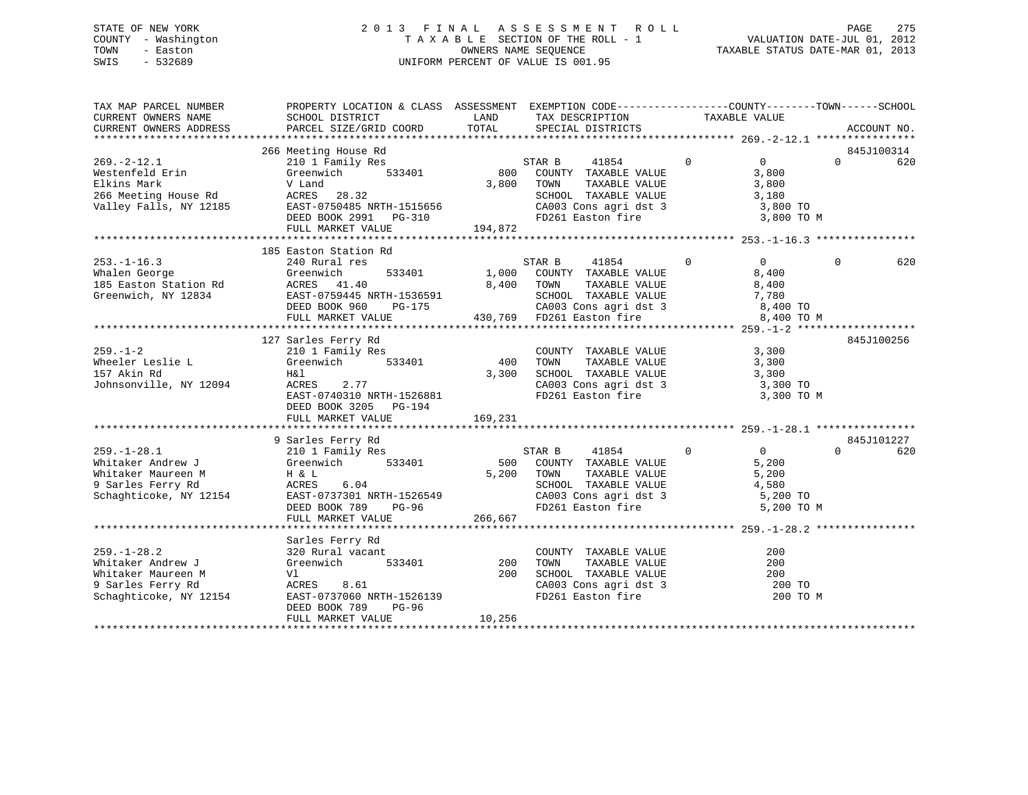# STATE OF NEW YORK 2 0 1 3 F I N A L A S S E S S M E N T R O L L PAGE 275 COUNTY - Washington T A X A B L E SECTION OF THE ROLL - 1 VALUATION DATE-JUL 01, 2012 TOWN - Easton OWNERS NAME SEQUENCE TAXABLE STATUS DATE-MAR 01, 2013 SWIS - 532689 UNIFORM PERCENT OF VALUE IS 001.95

| TAX MAP PARCEL NUMBER<br>CURRENT OWNERS NAME                                                                | PROPERTY LOCATION & CLASS ASSESSMENT EXEMPTION CODE---------------COUNTY-------TOWN-----SCHOOL<br>SCHOOL DISTRICT                                                                                                                                                                                                                                               | LAND                  | TAX DESCRIPTION                                                                                                                                  | TAXABLE VALUE                                                                   |          |                   |
|-------------------------------------------------------------------------------------------------------------|-----------------------------------------------------------------------------------------------------------------------------------------------------------------------------------------------------------------------------------------------------------------------------------------------------------------------------------------------------------------|-----------------------|--------------------------------------------------------------------------------------------------------------------------------------------------|---------------------------------------------------------------------------------|----------|-------------------|
| CURRENT OWNERS ADDRESS                                                                                      | PARCEL SIZE/GRID COORD                                                                                                                                                                                                                                                                                                                                          | TOTAL                 | SPECIAL DISTRICTS                                                                                                                                |                                                                                 |          | ACCOUNT NO.       |
|                                                                                                             | 266 Meeting House Rd                                                                                                                                                                                                                                                                                                                                            |                       |                                                                                                                                                  |                                                                                 |          | 845J100314        |
| $269. -2 - 12.1$<br>Westenfeld Erin                                                                         | 210 1 Family Res<br>533401<br>Greenwich<br>Valley Falls, NY 12185 EAST-0750485 NRTH-1515656<br>DEED BOOK 2991 PG-310<br>FULL MARKET VALUE                                                                                                                                                                                                                       | 3,800 TOWN<br>194,872 | STAR B<br>$\overline{0}$<br>41854<br>800 COUNTY TAXABLE VALUE<br>CA003 Cons agri dst 3 $3,800$ TO<br>FD261 Easton fire                           | $\overline{0}$<br>3,800<br>3,800<br>3,800 TO M                                  | $\Omega$ | 620               |
|                                                                                                             |                                                                                                                                                                                                                                                                                                                                                                 |                       |                                                                                                                                                  |                                                                                 |          |                   |
| $253. - 1 - 16.3$<br>Whalen George<br>185 Easton Station Rd<br>Greenwich, NY 12834                          | 185 Easton Station Rd<br>240 Rural res<br>533401<br>Greenwich<br>ACRES 41.40<br>EAST-0759445 NRTH-1536591<br>DEED BOOK 960 PG-175<br>PULL MARKET VALUE 430,769 FD261 Easton fire 8,400 TO                                                                                                                                                                       |                       | STAR B 41854<br>$\sim$ 0<br>1,000 COUNTY TAXABLE VALUE                                                                                           | $\overline{0}$<br>8,400<br>8,400 TO M                                           | $\Omega$ | 620               |
|                                                                                                             | 127 Sarles Ferry Rd                                                                                                                                                                                                                                                                                                                                             |                       |                                                                                                                                                  |                                                                                 |          | 845J100256        |
| $259. - 1 - 2$<br>Wheeler Leslie L<br>157 Akin Rd<br>Johnsonville, NY 12094                                 | 210 1 Family Res<br>533401<br>Greenwich<br>H&l<br>ACRES 2.77<br>EAST-0740310 NRTH-1526881<br>DEED BOOK 3205 PG-194                                                                                                                                                                                                                                              | 400<br>3,300          | COUNTY TAXABLE VALUE<br>TAXABLE VALUE<br>TOWN<br>SCHOOL TAXABLE VALUE<br>CA003 Cons agri dst 3 3,300 TO<br>FD261 Easton fire                     | 3,300<br>3,300<br>3,300<br>3,300 TO M                                           |          |                   |
|                                                                                                             |                                                                                                                                                                                                                                                                                                                                                                 |                       |                                                                                                                                                  |                                                                                 |          |                   |
| Schaghticoke, NY 12154                                                                                      | 9 Sarles Ferry Rd<br>Whitaker Andrew J<br>Whitaker Andrew J<br>Whitaker Maureen M<br>The Sample Schachtiche<br>The Maureen M<br>Schachtiche<br>Note Note Note<br>Note Note<br>Note Note<br>Note ACRES<br>Schachtiche<br>Note<br>Schachtiche<br>Note<br>Note<br>Schachtiche<br>Note<br><br>EAST-0737301 NRTH-1526549<br>DEED BOOK 789 PG-96<br>FULL MARKET VALUE | 266,667               | 41854<br>STAR B<br>500 COUNTY TAXABLE VALUE<br>5,200 TOWN<br>TAXABLE VALUE<br>SCHOOL TAXABLE VALUE<br>CA003 Cons agri dst 3<br>FD261 Easton fire | $\overline{0}$<br>$\sim$ 0<br>5,200<br>5,200<br>4,580<br>5,200 TO<br>5,200 TO M | $\Omega$ | 845J101227<br>620 |
|                                                                                                             | Sarles Ferry Rd                                                                                                                                                                                                                                                                                                                                                 |                       |                                                                                                                                                  |                                                                                 |          |                   |
| $259. - 1 - 28.2$<br>Whitaker Andrew J<br>Whitaker Maureen M<br>9 Sarles Ferry Rd<br>Schaghticoke, NY 12154 | 320 Rural vacant<br>Greenwich 533401 200<br>Vl<br>8.61<br>ACRES<br>EAST-0737060 NRTH-1526139<br>DEED BOOK 789<br>PG-96<br>FULL MARKET VALUE                                                                                                                                                                                                                     | 200<br>10,256         | COUNTY TAXABLE VALUE<br>TOWN<br>TAXABLE VALUE<br>SCHOOL TAXABLE VALUE<br>SCHOOL TAXABLE VALUE<br>CA003 Cons agri dst 3<br>FD261 Easton fire      | 200<br>200<br>200<br>200 TO<br>200 TO M                                         |          |                   |
|                                                                                                             |                                                                                                                                                                                                                                                                                                                                                                 |                       |                                                                                                                                                  |                                                                                 |          |                   |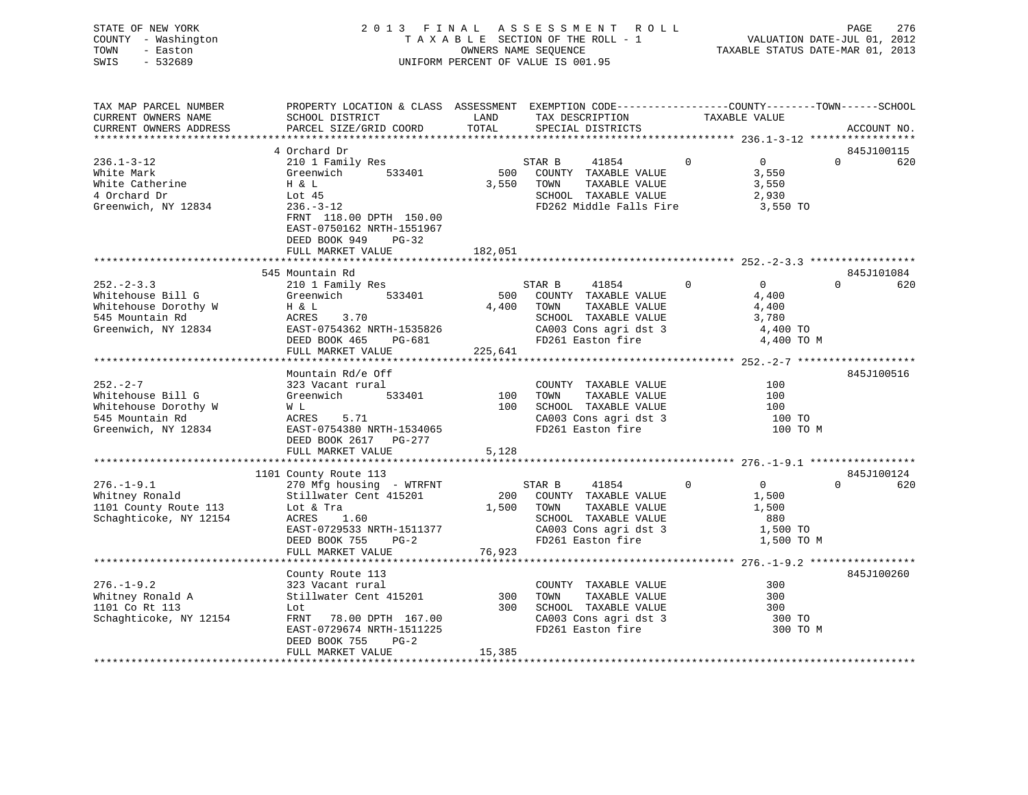| STATE OF NEW YORK   | 2013 FINAL ASSESSMENT ROLL         | 276<br>PAGE                      |
|---------------------|------------------------------------|----------------------------------|
| COUNTY - Washington | TAXABLE SECTION OF THE ROLL - 1    | VALUATION DATE-JUL 01, 2012      |
| TOWN<br>- Easton    | OWNERS NAME SEOUENCE               | TAXABLE STATUS DATE-MAR 01, 2013 |
| - 532689<br>SWIS    | UNIFORM PERCENT OF VALUE IS 001.95 |                                  |
|                     |                                    |                                  |

| TAX MAP PARCEL NUMBER<br>CURRENT OWNERS NAME           | PROPERTY LOCATION & CLASS ASSESSMENT EXEMPTION CODE----------------COUNTY-------TOWN-----SCHOOL<br>SCHOOL DISTRICT | LAND       | TAX DESCRIPTION                                                          | TAXABLE VALUE                 |                               |
|--------------------------------------------------------|--------------------------------------------------------------------------------------------------------------------|------------|--------------------------------------------------------------------------|-------------------------------|-------------------------------|
| CURRENT OWNERS ADDRESS                                 | PARCEL SIZE/GRID COORD                                                                                             | TOTAL      | SPECIAL DISTRICTS                                                        |                               | ACCOUNT NO.                   |
|                                                        |                                                                                                                    |            |                                                                          |                               |                               |
| $236.1 - 3 - 12$<br>White Mark                         | 4 Orchard Dr<br>210 1 Family Res<br>Greenwich<br>533401                                                            | 500        | STAR B<br>41854<br>COUNTY TAXABLE VALUE                                  | $\Omega$<br>$\Omega$<br>3,550 | 845J100115<br>$\Omega$<br>620 |
| White Catherine<br>4 Orchard Dr<br>Greenwich, NY 12834 | H & L<br>Lot $45$<br>$236. - 3 - 12$                                                                               | 3,550      | TOWN<br>TAXABLE VALUE<br>SCHOOL TAXABLE VALUE<br>FD262 Middle Falls Fire | 3,550<br>2,930<br>3,550 TO    |                               |
|                                                        | FRNT 118.00 DPTH 150.00<br>EAST-0750162 NRTH-1551967<br>DEED BOOK 949<br>$PG-32$<br>FULL MARKET VALUE              | 182,051    |                                                                          |                               |                               |
|                                                        |                                                                                                                    |            |                                                                          |                               |                               |
|                                                        | 545 Mountain Rd                                                                                                    |            |                                                                          |                               | 845J101084                    |
| $252 - 2 - 3.3$                                        | 210 1 Family Res                                                                                                   |            | STAR B<br>41854                                                          | $\overline{0}$<br>$\Omega$    | $\Omega$<br>620               |
| Whitehouse Bill G                                      | Greenwich 533401                                                                                                   | 500        | COUNTY TAXABLE VALUE                                                     | 4,400                         |                               |
| Whitehouse Dorothy W                                   | H & L                                                                                                              | 4,400      | TOWN<br>TAXABLE VALUE                                                    | 4,400                         |                               |
| 545 Mountain Rd                                        | 3.70<br>ACRES                                                                                                      |            | SCHOOL TAXABLE VALUE                                                     | 3,780                         |                               |
| Greenwich, NY 12834                                    | EAST-0754362 NRTH-1535826                                                                                          |            | CA003 Cons agri dst 3                                                    | 4,400 TO                      |                               |
|                                                        | DEED BOOK 465 PG-681                                                                                               |            | FD261 Easton fire                                                        | 4,400 TO M                    |                               |
|                                                        | FULL MARKET VALUE                                                                                                  | 225,641    |                                                                          |                               |                               |
|                                                        |                                                                                                                    |            |                                                                          |                               |                               |
| $252 - 2 - 7$                                          | Mountain Rd/e Off<br>323 Vacant rural                                                                              |            | COUNTY TAXABLE VALUE                                                     | 100                           | 845J100516                    |
| Whitehouse Bill G                                      | Greenwich<br>533401                                                                                                | 100        | TAXABLE VALUE<br>TOWN                                                    | 100                           |                               |
| Whitehouse Dorothy W                                   | W L                                                                                                                | 100        | SCHOOL TAXABLE VALUE                                                     | 100                           |                               |
| 545 Mountain Rd                                        | ACRES<br>5.71                                                                                                      |            | CA003 Cons agri dst 3                                                    | 100 TO                        |                               |
| Greenwich, NY 12834                                    | EAST-0754380 NRTH-1534065                                                                                          |            | FD261 Easton fire                                                        | 100 TO M                      |                               |
|                                                        | DEED BOOK 2617 PG-277                                                                                              |            |                                                                          |                               |                               |
|                                                        | FULL MARKET VALUE                                                                                                  | 5,128      |                                                                          |                               |                               |
|                                                        |                                                                                                                    |            |                                                                          |                               |                               |
|                                                        | 1101 County Route 113                                                                                              |            |                                                                          |                               | 845J100124                    |
| $276. - 1 - 9.1$                                       | 270 Mfg housing - WTRFNT                                                                                           |            | STAR B<br>41854                                                          | $\Omega$<br>$\overline{0}$    | $\Omega$<br>620               |
| Whitney Ronald                                         | Stillwater Cent 415201                                                                                             |            | 200 COUNTY TAXABLE VALUE                                                 | 1,500                         |                               |
| 1101 County Route 113                                  | Lot & Tra                                                                                                          |            | 1,500 TOWN<br>TAXABLE VALUE                                              | 1,500                         |                               |
| Schaghticoke, NY 12154                                 | 1.60<br>ACRES                                                                                                      |            | SCHOOL TAXABLE VALUE                                                     | 880                           |                               |
|                                                        | EAST-0729533 NRTH-1511377                                                                                          |            | CA003 Cons agri dst 3                                                    | 1,500 TO                      |                               |
|                                                        | DEED BOOK 755<br>$PG-2$                                                                                            |            | FD261 Easton fire                                                        | 1,500 TO M                    |                               |
|                                                        | FULL MARKET VALUE                                                                                                  | 76,923     |                                                                          |                               |                               |
|                                                        |                                                                                                                    |            |                                                                          |                               |                               |
|                                                        | County Route 113                                                                                                   |            |                                                                          |                               | 845J100260                    |
| $276. - 1 - 9.2$                                       | 323 Vacant rural                                                                                                   |            | COUNTY TAXABLE VALUE                                                     | 300                           |                               |
| Whitney Ronald A                                       | Stillwater Cent 415201                                                                                             | 300<br>300 | TOWN<br>TAXABLE VALUE                                                    | 300                           |                               |
| 1101 Co Rt 113                                         | Lot                                                                                                                |            | SCHOOL TAXABLE VALUE                                                     | 300                           |                               |
| Schaghticoke, NY 12154                                 | FRNT 78.00 DPTH 167.00<br>EAST-0729674 NRTH-1511225                                                                |            | CA003 Cons agri dst 3<br>FD261 Easton fire                               | 300 TO<br>300 TO M            |                               |
|                                                        | DEED BOOK 755<br>$PG-2$                                                                                            |            |                                                                          |                               |                               |
|                                                        | FULL MARKET VALUE                                                                                                  | 15,385     |                                                                          |                               |                               |
|                                                        |                                                                                                                    |            |                                                                          |                               |                               |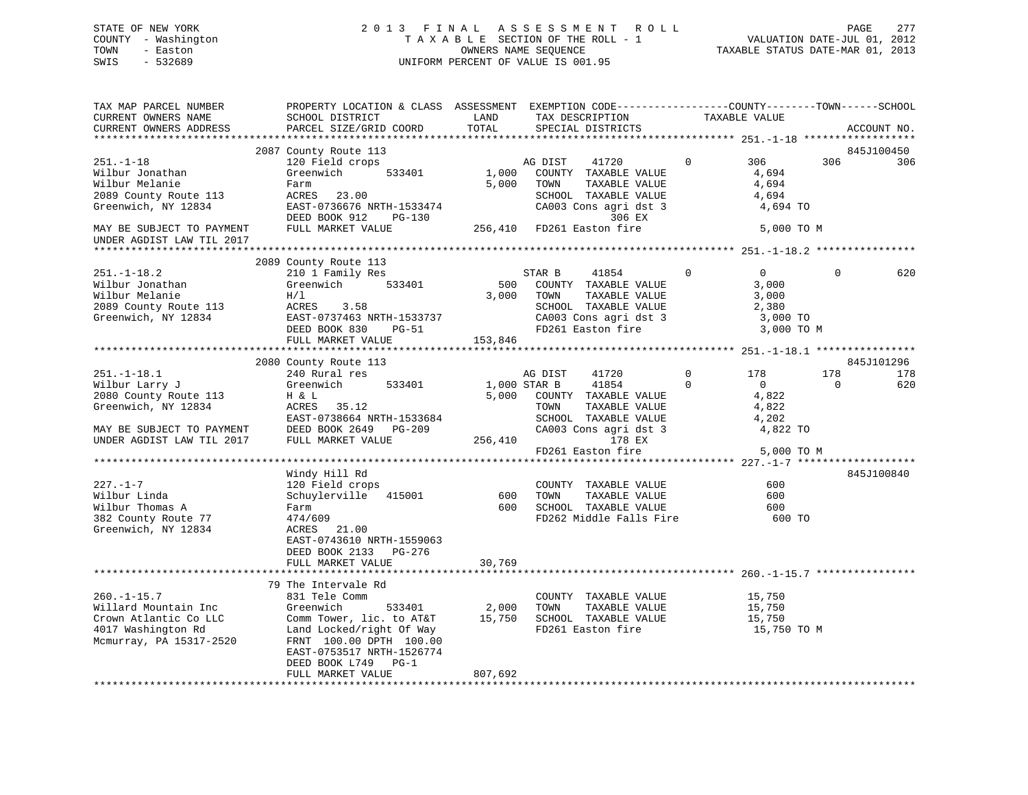# STATE OF NEW YORK 2 0 1 3 F I N A L A S S E S S M E N T R O L L PAGE 277 COUNTY - Washington T A X A B L E SECTION OF THE ROLL - 1 VALUATION DATE-JUL 01, 2012 TOWN - Easton OWNERS NAME SEQUENCE TAXABLE STATUS DATE-MAR 01, 2013 SWIS - 532689 UNIFORM PERCENT OF VALUE IS 001.95

| TAX MAP PARCEL NUMBER<br>CURRENT OWNERS NAME<br>CURRENT OWNERS ADDRESS                                                                                                      | PROPERTY LOCATION & CLASS ASSESSMENT EXEMPTION CODE----------------COUNTY-------TOWN------SCHOOL<br>SCHOOL DISTRICT<br>PARCEL SIZE/GRID COORD                                                                 | LAND<br>TOTAL           | TAX DESCRIPTION<br>SPECIAL DISTRICTS                                                                                                                        |              | TAXABLE VALUE                                                       |          | ACCOUNT NO.       |
|-----------------------------------------------------------------------------------------------------------------------------------------------------------------------------|---------------------------------------------------------------------------------------------------------------------------------------------------------------------------------------------------------------|-------------------------|-------------------------------------------------------------------------------------------------------------------------------------------------------------|--------------|---------------------------------------------------------------------|----------|-------------------|
| ***********************                                                                                                                                                     |                                                                                                                                                                                                               |                         |                                                                                                                                                             |              |                                                                     |          |                   |
| $251. - 1 - 18$<br>Wilbur Jonathan<br>Wilbur Melanie<br>2089 County Route 113<br>Greenwich, NY 12834<br>MAY BE SUBJECT TO PAYMENT                                           | 2087 County Route 113<br>120 Field crops<br>533401<br>Greenwich<br>Farm<br>ACRES 23.00<br>EAST-0736676 NRTH-1533474<br>DEED BOOK 912<br>PG-130<br>FULL MARKET VALUE                                           | 1,000<br>5,000          | AG DIST<br>41720<br>COUNTY TAXABLE VALUE<br>TOWN<br>TAXABLE VALUE<br>SCHOOL TAXABLE VALUE<br>CA003 Cons agri dst 3<br>306 EX<br>256,410 FD261 Easton fire   | $\mathbf 0$  | 306<br>4,694<br>4,694<br>4,694<br>4,694 TO<br>5,000 TO M            | 306      | 845J100450<br>306 |
| UNDER AGDIST LAW TIL 2017                                                                                                                                                   |                                                                                                                                                                                                               |                         |                                                                                                                                                             |              |                                                                     |          |                   |
|                                                                                                                                                                             |                                                                                                                                                                                                               |                         |                                                                                                                                                             |              |                                                                     |          |                   |
| $251. - 1 - 18.2$<br>Wilbur Jonathan<br>Wilbur Melanie<br>2089 County Route 113<br>Greenwich, NY 12834                                                                      | 2089 County Route 113<br>210 1 Family Res<br>Greenwich<br>533401<br>H/1<br>ACRES<br>3.58<br>EAST-0737463 NRTH-1533737<br>DEED BOOK 830 PG-51                                                                  | 500<br>3,000            | STAR B<br>41854<br>COUNTY TAXABLE VALUE<br>TOWN<br>TAXABLE VALUE<br>SCHOOL TAXABLE VALUE<br>CA003 Cons agri dst 3<br>FD261 Easton fire                      | $\mathbf{0}$ | $\overline{0}$<br>3,000<br>3,000<br>2,380<br>3,000 TO<br>3,000 TO M | $\Omega$ | 620               |
|                                                                                                                                                                             | FULL MARKET VALUE                                                                                                                                                                                             | 153,846                 |                                                                                                                                                             |              |                                                                     |          |                   |
|                                                                                                                                                                             |                                                                                                                                                                                                               |                         |                                                                                                                                                             |              |                                                                     |          |                   |
|                                                                                                                                                                             | 2080 County Route 113<br>240 Rural res                                                                                                                                                                        |                         |                                                                                                                                                             | $\Omega$     | 178                                                                 | 178      | 845J101296<br>178 |
| $251. - 1 - 18.1$<br>Wilbur Larry J<br>2080 County Route 113<br>Greenwich, NY 12834<br>MAY BE SUBJECT TO PAYMENT DEED BOOK 2649 INDER AGDIST LAW TIL 2017 FULL MARKET VALUE | Greenwich<br>533401<br>H & L<br>ACRES 35.12<br>EAST-0738664 NRTH-1533684<br>DEED BOOK 2649 PG-209                                                                                                             | 256,410                 | AG DIST<br>41720<br>1,000 STAR B<br>41854<br>5,000 COUNTY TAXABLE VALUE<br>TOWN<br>TAXABLE VALUE<br>SCHOOL TAXABLE VALUE<br>CA003 Cons agri dst 3<br>178 EX | $\Omega$     | $\overline{0}$<br>4,822<br>4,822<br>4,202<br>4,822 TO               | $\Omega$ | 620               |
|                                                                                                                                                                             |                                                                                                                                                                                                               |                         | FD261 Easton fire                                                                                                                                           |              | 5,000 TO M                                                          |          |                   |
|                                                                                                                                                                             |                                                                                                                                                                                                               |                         |                                                                                                                                                             |              |                                                                     |          |                   |
| $227. - 1 - 7$<br>Wilbur Linda<br>Wilbur Thomas A<br>382 County Route 77<br>Greenwich, NY 12834                                                                             | Windy Hill Rd<br>120 Field crops<br>Schuylerville 415001<br>Farm<br>474/609<br>ACRES 21.00<br>EAST-0743610 NRTH-1559063<br>DEED BOOK 2133 PG-276                                                              | 600                     | COUNTY TAXABLE VALUE<br>TAXABLE VALUE<br>TOWN<br>600 SCHOOL TAXABLE VALUE<br>FD262 Middle Falls Fire 600 TO                                                 |              | 600<br>600<br>600                                                   |          | 845J100840        |
|                                                                                                                                                                             | FULL MARKET VALUE                                                                                                                                                                                             | 30,769                  |                                                                                                                                                             |              |                                                                     |          |                   |
|                                                                                                                                                                             |                                                                                                                                                                                                               |                         |                                                                                                                                                             |              |                                                                     |          |                   |
| $260. -1 - 15.7$<br>Willard Mountain Inc<br>Crown Atlantic Co LLC<br>4017 Washington Rd<br>Mcmurray, PA 15317-2520                                                          | 79 The Intervale Rd<br>831 Tele Comm<br>Greenwich<br>Comm Tower, lic. to AT&T<br>Land Locked/right Of Way<br>FRNT 100.00 DPTH 100.00<br>EAST-0753517 NRTH-1526774<br>DEED BOOK L749 PG-1<br>FULL MARKET VALUE | 533401 2,000<br>807,692 | COUNTY TAXABLE VALUE<br>TOWN<br>TAXABLE VALUE<br>15,750 SCHOOL TAXABLE VALUE<br>FD261 Easton fire                                                           |              | 15,750<br>15,750<br>15,750<br>15,750 TO M                           |          |                   |
|                                                                                                                                                                             |                                                                                                                                                                                                               |                         |                                                                                                                                                             |              |                                                                     |          |                   |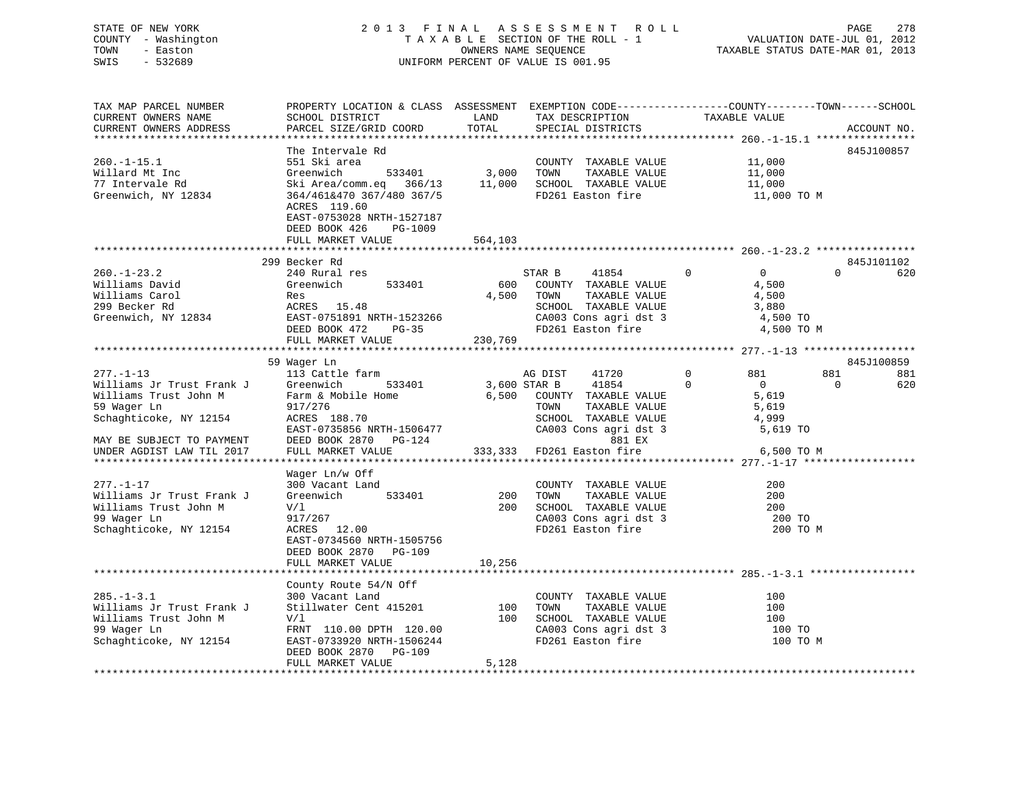# STATE OF NEW YORK 2 0 1 3 F I N A L A S S E S S M E N T R O L L PAGE 278 COUNTY - Washington T A X A B L E SECTION OF THE ROLL - 1 VALUATION DATE-JUL 01, 2012 TOWN - Easton OWNERS NAME SEQUENCE TAXABLE STATUS DATE-MAR 01, 2013 SWIS - 532689 UNIFORM PERCENT OF VALUE IS 001.95

| TAX MAP PARCEL NUMBER                         | PROPERTY LOCATION & CLASS ASSESSMENT EXEMPTION CODE---------------COUNTY-------TOWN-----SCHOOL |               |                                      | TAXABLE VALUE                                        |                 |
|-----------------------------------------------|------------------------------------------------------------------------------------------------|---------------|--------------------------------------|------------------------------------------------------|-----------------|
| CURRENT OWNERS NAME<br>CURRENT OWNERS ADDRESS | SCHOOL DISTRICT<br>PARCEL SIZE/GRID COORD                                                      | LAND<br>TOTAL | TAX DESCRIPTION<br>SPECIAL DISTRICTS |                                                      | ACCOUNT NO.     |
|                                               |                                                                                                |               |                                      |                                                      |                 |
|                                               | The Intervale Rd                                                                               |               |                                      |                                                      | 845J100857      |
| $260. -1 - 15.1$                              | 551 Ski area                                                                                   |               | COUNTY TAXABLE VALUE                 | 11,000                                               |                 |
|                                               |                                                                                                |               |                                      |                                                      |                 |
| Willard Mt Inc                                | Greenwich<br>533401                                                                            | 3,000         | TAXABLE VALUE<br>TOWN                | 11,000                                               |                 |
| 77 Intervale Rd                               | Ski Area/comm.eq 366/13                                                                        | 11,000        | SCHOOL TAXABLE VALUE                 | 11,000                                               |                 |
| Greenwich, NY 12834                           | 364/461&470 367/480 367/5                                                                      |               | FD261 Easton fire                    | 11,000 TO M                                          |                 |
|                                               | ACRES 119.60                                                                                   |               |                                      |                                                      |                 |
|                                               | EAST-0753028 NRTH-1527187                                                                      |               |                                      |                                                      |                 |
|                                               | DEED BOOK 426<br>PG-1009                                                                       |               |                                      |                                                      |                 |
|                                               | FULL MARKET VALUE                                                                              | 564,103       |                                      |                                                      |                 |
|                                               |                                                                                                |               |                                      |                                                      |                 |
|                                               | 299 Becker Rd                                                                                  |               |                                      |                                                      | 845J101102      |
| $260. - 1 - 23.2$                             | 240 Rural res                                                                                  |               | STAR B<br>41854                      | $\overline{0}$<br>$\Omega$                           | $\Omega$<br>620 |
| Williams David                                | 533401<br>Greenwich                                                                            | 600           | COUNTY TAXABLE VALUE                 | 4,500                                                |                 |
| Williams Carol                                | Res                                                                                            | 4,500         | TOWN<br>TAXABLE VALUE                | 4,500                                                |                 |
| 299 Becker Rd                                 | ACRES 15.48                                                                                    |               | SCHOOL TAXABLE VALUE                 | 3,880                                                |                 |
| Greenwich, NY 12834                           | EAST-0751891 NRTH-1523266                                                                      |               | CA003 Cons agri dst 3                | 4,500 TO                                             |                 |
|                                               | $PG-35$<br>DEED BOOK 472                                                                       |               | FD261 Easton fire                    | 4,500 TO M                                           |                 |
|                                               | FULL MARKET VALUE                                                                              | 230,769       |                                      |                                                      |                 |
|                                               |                                                                                                |               |                                      |                                                      |                 |
|                                               | 59 Wager Ln                                                                                    |               |                                      |                                                      | 845J100859      |
| $277. - 1 - 13$                               | 113 Cattle farm                                                                                |               | 41720<br>AG DIST                     | $\mathbf 0$<br>881                                   | 881<br>881      |
| Williams Jr Trust Frank J                     | Greenwich<br>533401                                                                            |               | 41854<br>3,600 STAR B                | $\mathbf 0$<br>$\overline{0}$                        | 620<br>0        |
| Williams Trust John M                         | Farm & Mobile Home                                                                             | 6,500         | COUNTY TAXABLE VALUE                 | 5,619                                                |                 |
| 59 Wager Ln                                   | 917/276                                                                                        |               | TOWN<br>TAXABLE VALUE                | 5,619                                                |                 |
| Schaghticoke, NY 12154                        | ACRES 188.70                                                                                   |               | SCHOOL TAXABLE VALUE                 | 4,999                                                |                 |
|                                               | EAST-0735856 NRTH-1506477                                                                      |               | CA003 Cons agri dst 3                | 5,619 TO                                             |                 |
|                                               | DEED BOOK 2870<br>PG-124                                                                       |               | 881 EX                               |                                                      |                 |
| MAY BE SUBJECT TO PAYMENT                     |                                                                                                | 333,333       |                                      |                                                      |                 |
| UNDER AGDIST LAW TIL 2017                     | FULL MARKET VALUE                                                                              |               | FD261 Easton fire                    | 6,500 TO M                                           |                 |
|                                               |                                                                                                |               |                                      |                                                      |                 |
|                                               | Wager Ln/w Off                                                                                 |               |                                      |                                                      |                 |
| $277. - 1 - 17$                               | 300 Vacant Land                                                                                |               | COUNTY TAXABLE VALUE                 | 200                                                  |                 |
| Williams Jr Trust Frank J                     | Greenwich<br>533401                                                                            | 200           | TAXABLE VALUE<br>TOWN                | 200                                                  |                 |
| Williams Trust John M                         | V/1                                                                                            | 200           | SCHOOL TAXABLE VALUE                 | 200                                                  |                 |
| 99 Wager Ln                                   | 917/267                                                                                        |               | CA003 Cons agri dst 3                | 200 TO                                               |                 |
| Schaghticoke, NY 12154                        | ACRES<br>12.00                                                                                 |               | FD261 Easton fire                    | 200 TO M                                             |                 |
|                                               | EAST-0734560 NRTH-1505756                                                                      |               |                                      |                                                      |                 |
|                                               | DEED BOOK 2870<br>PG-109                                                                       |               |                                      |                                                      |                 |
|                                               | FULL MARKET VALUE                                                                              | 10,256        |                                      |                                                      |                 |
|                                               | ******************                                                                             |               |                                      | *********************************** 285.-1-3.1 ***** |                 |
|                                               | County Route 54/N Off                                                                          |               |                                      |                                                      |                 |
| $285. - 1 - 3.1$                              | 300 Vacant Land                                                                                |               | COUNTY TAXABLE VALUE                 | 100                                                  |                 |
| Williams Jr Trust Frank J                     | Stillwater Cent 415201                                                                         | 100           | TOWN<br>TAXABLE VALUE                | 100                                                  |                 |
| Williams Trust John M                         | V/1                                                                                            | 100           | SCHOOL TAXABLE VALUE                 | 100                                                  |                 |
| 99 Wager Ln                                   | FRNT 110.00 DPTH 120.00                                                                        |               | CA003 Cons agri dst 3                | 100 TO                                               |                 |
| Schaghticoke, NY 12154                        | EAST-0733920 NRTH-1506244                                                                      |               | FD261 Easton fire                    | 100 TO M                                             |                 |
|                                               | DEED BOOK 2870 PG-109                                                                          |               |                                      |                                                      |                 |
|                                               | FULL MARKET VALUE                                                                              | 5,128         |                                      |                                                      |                 |
|                                               |                                                                                                |               |                                      |                                                      |                 |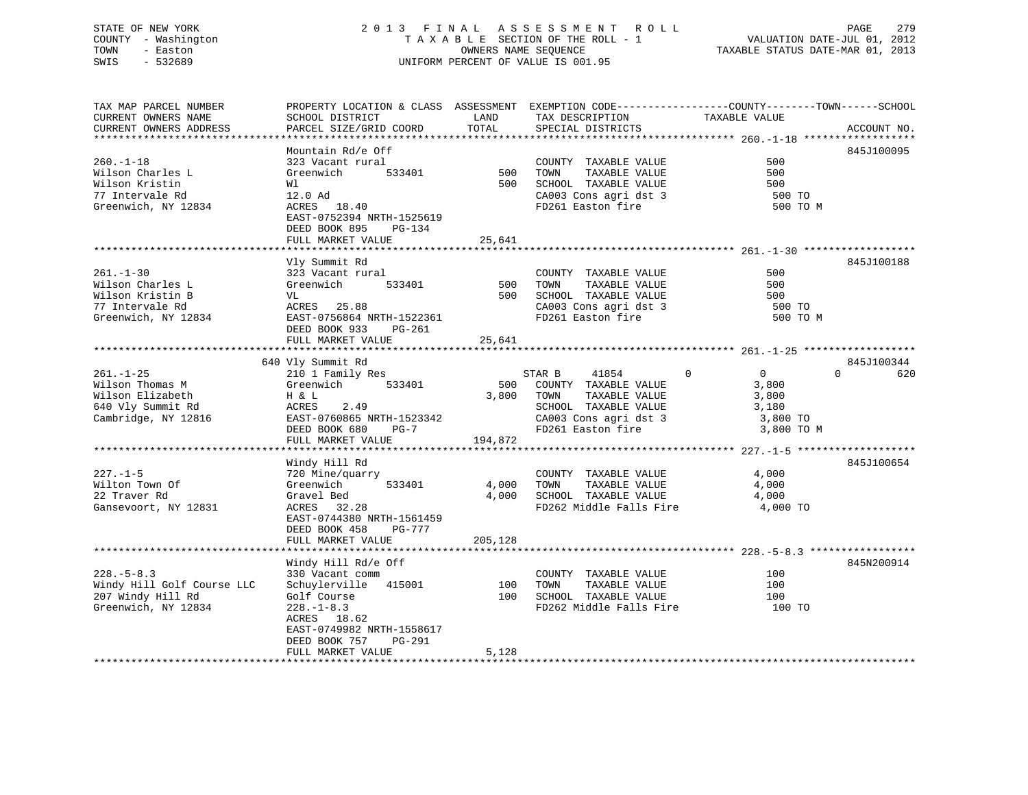#### STATE OF NEW YORK 2 0 1 3 F I N A L A S S E S S M E N T R O L L PAGE 279COUNTY - Washington T A X A B L E SECTION OF THE ROLL - 1 TOWN - Easton **CONNERS NAME SEQUENCE** TAXABLE STATUS DATE-MAR 01, 2013 SWIS - 532689 UNIFORM PERCENT OF VALUE IS 001.95

| TAX MAP PARCEL NUMBER                         | PROPERTY LOCATION & CLASS ASSESSMENT EXEMPTION CODE----------------COUNTY-------TOWN------SCHOOL | LAND       |                                            | TAXABLE VALUE                          |             |
|-----------------------------------------------|--------------------------------------------------------------------------------------------------|------------|--------------------------------------------|----------------------------------------|-------------|
| CURRENT OWNERS NAME<br>CURRENT OWNERS ADDRESS | SCHOOL DISTRICT<br>PARCEL SIZE/GRID COORD                                                        | TOTAL      | TAX DESCRIPTION<br>SPECIAL DISTRICTS       |                                        | ACCOUNT NO. |
| ***********************                       |                                                                                                  |            |                                            |                                        |             |
|                                               | Mountain Rd/e Off                                                                                |            |                                            |                                        | 845J100095  |
| $260. -1 - 18$                                | 323 Vacant rural                                                                                 |            | COUNTY TAXABLE VALUE                       | 500                                    |             |
| Wilson Charles L                              | Greenwich<br>533401                                                                              | 500 TOWN   | TAXABLE VALUE                              | 500                                    |             |
| Wilson Kristin                                | Wl                                                                                               | 500        | SCHOOL TAXABLE VALUE                       | 500                                    |             |
| 77 Intervale Rd                               | 12.0 Ad                                                                                          |            |                                            |                                        |             |
|                                               | ACRES 18.40                                                                                      |            | CA003 Cons agri dst 3<br>FD261 Easton fire | 500 TO                                 |             |
| Greenwich, NY 12834                           |                                                                                                  |            |                                            | 500 TO M                               |             |
|                                               | EAST-0752394 NRTH-1525619                                                                        |            |                                            |                                        |             |
|                                               | DEED BOOK 895<br>PG-134                                                                          |            |                                            |                                        |             |
|                                               | FULL MARKET VALUE                                                                                | 25,641     |                                            |                                        |             |
|                                               |                                                                                                  |            |                                            |                                        |             |
| 261.-1-30                                     | Vly Summit Rd                                                                                    |            |                                            | 500                                    | 845J100188  |
|                                               | 323 Vacant rural                                                                                 |            | COUNTY TAXABLE VALUE                       | 500                                    |             |
| Wilson Charles L                              | Greenwich<br>533401                                                                              | 500        | TAXABLE VALUE<br>TOWN                      |                                        |             |
| Wilson Kristin B                              | VL                                                                                               |            | 500 SCHOOL TAXABLE VALUE                   | 500                                    |             |
| 77 Intervale Rd                               | ACRES 25.88                                                                                      |            | CA003 Cons agri dst 3                      | 500 TO                                 |             |
| Greenwich, NY 12834                           | EAST-0756864 NRTH-1522361                                                                        |            | FD261 Easton fire                          | 500 TO M                               |             |
|                                               | DEED BOOK 933<br>PG-261                                                                          |            |                                            |                                        |             |
|                                               | FULL MARKET VALUE                                                                                | 25,641     |                                            |                                        |             |
|                                               |                                                                                                  |            |                                            |                                        |             |
|                                               | 640 Vly Summit Rd                                                                                |            |                                            |                                        | 845J100344  |
| $261. - 1 - 25$                               | 210 1 Family Res                                                                                 |            | STAR B<br>41854                            | $\Omega$<br>$\overline{0}$<br>$\Omega$ | 620         |
| Wilson Thomas M                               | Greenwich<br>533401                                                                              | 500        | COUNTY TAXABLE VALUE                       | 3,800                                  |             |
| Wilson Elizabeth                              | H & L                                                                                            |            | 3,800 TOWN<br>TAXABLE VALUE                | 3,800                                  |             |
| 640 Vly Summit Rd                             | ACRES<br>2.49                                                                                    |            | SCHOOL TAXABLE VALUE                       | 3,180                                  |             |
| Cambridge, NY 12816                           | EAST-0760865 NRTH-1523342                                                                        |            | CA003 Cons agri dst 3<br>FD261 Easton fire | 3,800 TO                               |             |
|                                               | DEED BOOK 680 PG-7                                                                               |            |                                            | 3,800 TO M                             |             |
|                                               | FULL MARKET VALUE                                                                                | 194,872    |                                            |                                        |             |
|                                               |                                                                                                  |            |                                            |                                        |             |
|                                               | Windy Hill Rd                                                                                    |            |                                            |                                        | 845J100654  |
| $227. - 1 - 5$                                | 720 Mine/quarry                                                                                  |            | COUNTY TAXABLE VALUE                       | 4,000                                  |             |
| Wilton Town Of                                | 533401<br>Greenwich                                                                              | 4,000 TOWN | TAXABLE VALUE                              | 4,000                                  |             |
| 22 Traver Rd                                  | Gravel Bed<br>AGRES - 22.28                                                                      |            | 4,000 SCHOOL TAXABLE VALUE                 | 4,000                                  |             |
| Gansevoort, NY 12831                          | ACRES 32.28                                                                                      |            | FD262 Middle Falls Fire                    | 4,000 TO                               |             |
|                                               | EAST-0744380 NRTH-1561459                                                                        |            |                                            |                                        |             |
|                                               | DEED BOOK 458<br>PG-777                                                                          |            |                                            |                                        |             |
|                                               | FULL MARKET VALUE                                                                                | 205,128    |                                            |                                        |             |
|                                               | Windy Hill Rd/e Off                                                                              |            |                                            |                                        | 845N200914  |
| $228. - 5 - 8.3$                              |                                                                                                  |            | COUNTY TAXABLE VALUE                       | 100                                    |             |
| Windy Hill Golf Course LLC                    | 330 Vacant comm<br>Schuylerville 415001                                                          |            | 100 TOWN<br>TAXABLE VALUE                  | 100                                    |             |
| 207 Windy Hill Rd                             | Golf Course                                                                                      |            | 100 SCHOOL TAXABLE VALUE                   | 100                                    |             |
|                                               |                                                                                                  |            |                                            |                                        |             |
| Greenwich, NY 12834                           | $228. - 1 - 8.3$                                                                                 |            | FD262 Middle Falls Fire                    | 100 TO                                 |             |
|                                               | ACRES 18.62                                                                                      |            |                                            |                                        |             |
|                                               | EAST-0749982 NRTH-1558617                                                                        |            |                                            |                                        |             |
|                                               | DEED BOOK 757<br>PG-291<br>FULL MARKET VALUE                                                     | 5,128      |                                            |                                        |             |
|                                               |                                                                                                  |            |                                            |                                        |             |
|                                               |                                                                                                  |            |                                            |                                        |             |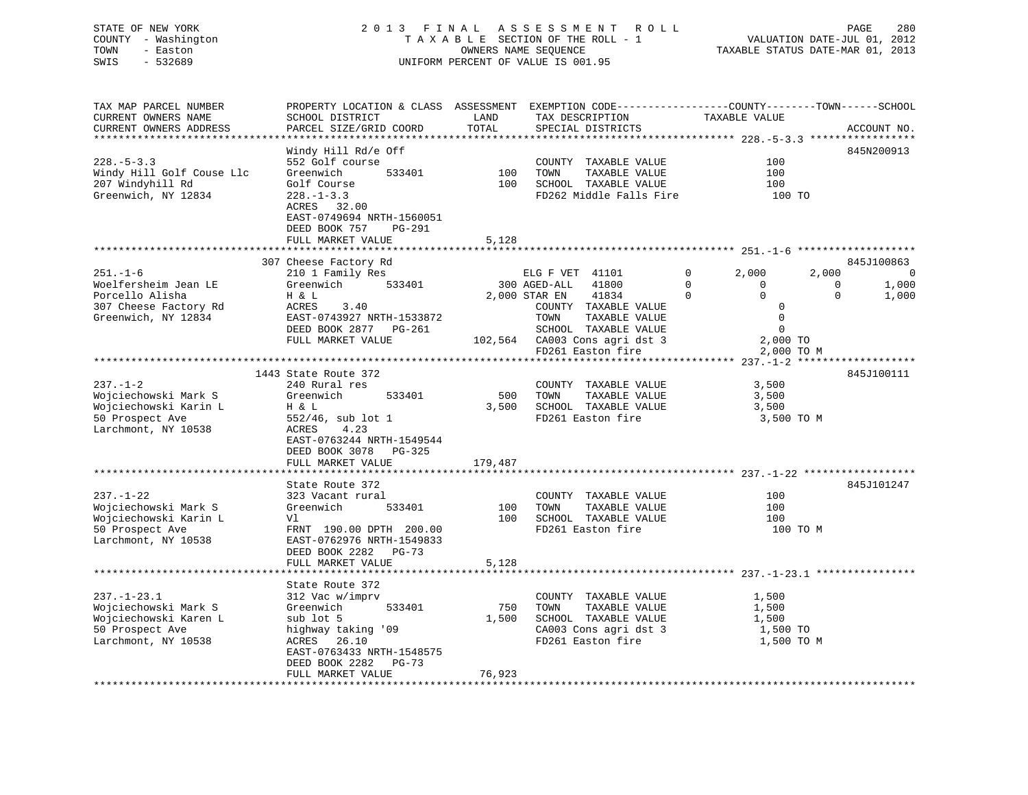# STATE OF NEW YORK 2 0 1 3 F I N A L A S S E S S M E N T R O L L PAGE 280 COUNTY - Washington T A X A B L E SECTION OF THE ROLL - 1 VALUATION DATE-JUL 01, 2012 TOWN - Easton OWNERS NAME SEQUENCE TAXABLE STATUS DATE-MAR 01, 2013 SWIS - 532689 UNIFORM PERCENT OF VALUE IS 001.95

TAX MAP PARCEL NUMBER PROPERTY LOCATION & CLASS ASSESSMENT EXEMPTION CODE------------------COUNTY--------TOWN------SCHOOL CURRENT OWNERS NAME SCHOOL DISTRICT THE LAND TAX DESCRIPTION TAXABLE VALUE CURRENT OWNERS ADDRESS PARCEL SIZE/GRID COORD TOTAL SPECIAL DISTRICTS ACCOUNT NO. \*\*\*\*\*\*\*\*\*\*\*\*\*\*\*\*\*\*\*\*\*\*\*\*\*\*\*\*\*\*\*\*\*\*\*\*\*\*\*\*\*\*\*\*\*\*\*\*\*\*\*\*\*\*\*\*\*\*\*\*\*\*\*\*\*\*\*\*\*\*\*\*\*\*\*\*\*\*\*\*\*\*\*\*\*\*\*\*\*\*\*\*\*\*\*\*\*\*\*\*\*\*\* 228.-5-3.3 \*\*\*\*\*\*\*\*\*\*\*\*\*\*\*\*\* Windy Hill Rd/e Off 845N200913 228.-5-3.3 552 Golf course COUNTY TAXABLE VALUE 100Windy Hill Golf Couse Llc Greenwich 533401 100 TOWN TAXABLE VALUE 100<br>100 SCHOOL TAXABLE VALUE 100 SCHOOL TAXABLE VALUE 100 207 Windyhill Rd Golf Course 100 SCHOOL TAXABLE VALUE 100 Greenwich, NY 12834 228.-1-3.3 FD262 Middle Falls Fire 100 TO ACRES 32.00 EAST-0749694 NRTH-1560051 DEED BOOK 757 PG-291FULL MARKET VALUE 5,128 \*\*\*\*\*\*\*\*\*\*\*\*\*\*\*\*\*\*\*\*\*\*\*\*\*\*\*\*\*\*\*\*\*\*\*\*\*\*\*\*\*\*\*\*\*\*\*\*\*\*\*\*\*\*\*\*\*\*\*\*\*\*\*\*\*\*\*\*\*\*\*\*\*\*\*\*\*\*\*\*\*\*\*\*\*\*\*\*\*\*\*\*\*\*\*\*\*\*\*\*\*\*\* 251.-1-6 \*\*\*\*\*\*\*\*\*\*\*\*\*\*\*\*\*\*\*and the second state of the second state of the second state of the second state of the second state of the second state of the second state of the second state of the second state of the second state of the second state o 251.-1-6 210 1 Family Res 210 ELG F VET 41101 0 2,000 2,000 0<br>1,000 1,000 2 1,000 1,000 1,000 2,000 1,000 1,000 0 0 0 1,000 Woelfersheim Jean LE Greenwich 533401 300 AGED-ALL 41800 0 0 0 0 1,000<br>Demolio Nicholas Unicolarum Unicolarum 2000 9000 9000 PM Porcello Alisha H & L 2,000 STAR EN 41834 0 0 0 1,000 307 Cheese Factory Rd ACRES 3.40 COUNTY TAXABLE VALUE 0 Greenwich, NY 12834 EAST-0743927 NRTH-1533872 TOWN TAXABLE VALUE 0 DEED BOOK 2877 PG-261 SCHOOL TAXABLE VALUE 0 FULL MARKET VALUE 102,564 CA003 Cons agri dst 3 2,000 TO FD261 Easton fire 2,000 TO M \*\*\*\*\*\*\*\*\*\*\*\*\*\*\*\*\*\*\*\*\*\*\*\*\*\*\*\*\*\*\*\*\*\*\*\*\*\*\*\*\*\*\*\*\*\*\*\*\*\*\*\*\*\*\*\*\*\*\*\*\*\*\*\*\*\*\*\*\*\*\*\*\*\*\*\*\*\*\*\*\*\*\*\*\*\*\*\*\*\*\*\*\*\*\*\*\*\*\*\*\*\*\* 237.-1-2 \*\*\*\*\*\*\*\*\*\*\*\*\*\*\*\*\*\*\* 1443 State Route 372 845J100111237.-1-2 240 Rural res COUNTY TAXABLE VALUE 3,500 Wojciechowski Mark S Greenwich 533401 500 TOWN TAXABLE VALUE 3,500 Wojciechowski Karin L H & L 3,500 SCHOOL TAXABLE VALUE 3,500 50 Prospect Ave 552/46, sub lot 1 FD261 Easton fire 3,500 TO M Larchmont, NY 10538 ACRES 4.23 EAST-0763244 NRTH-1549544 DEED BOOK 3078 PG-325FULL MARKET VALUE 179,487 \*\*\*\*\*\*\*\*\*\*\*\*\*\*\*\*\*\*\*\*\*\*\*\*\*\*\*\*\*\*\*\*\*\*\*\*\*\*\*\*\*\*\*\*\*\*\*\*\*\*\*\*\*\*\*\*\*\*\*\*\*\*\*\*\*\*\*\*\*\*\*\*\*\*\*\*\*\*\*\*\*\*\*\*\*\*\*\*\*\*\*\*\*\*\*\*\*\*\*\*\*\*\* 237.-1-22 \*\*\*\*\*\*\*\*\*\*\*\*\*\*\*\*\*\*State Route 372 845J101247

| 237.-1-22             | 323 Vacant rural          |        | TAXABLE VALUE<br>COUNTY | 100        |
|-----------------------|---------------------------|--------|-------------------------|------------|
| Wojciechowski Mark S  | Greenwich<br>533401       | 100    | TAXABLE VALUE<br>TOWN   | 100        |
| Wojciechowski Karin L | Vl                        | 100    | SCHOOL<br>TAXABLE VALUE | 100        |
| 50 Prospect Ave       | FRNT 190.00 DPTH 200.00   |        | FD261 Easton fire       | 100 TO M   |
| Larchmont, NY 10538   | EAST-0762976 NRTH-1549833 |        |                         |            |
|                       | DEED BOOK 2282 PG-73      |        |                         |            |
|                       | FULL MARKET VALUE         | 5,128  |                         |            |
|                       |                           |        |                         |            |
|                       | State Route 372           |        |                         |            |
| 237.-1-23.1           | 312 Vac w/imprv           |        | TAXABLE VALUE<br>COUNTY | 1,500      |
| Wojciechowski Mark S  | 533401<br>Greenwich       | 750    | TOWN<br>TAXABLE VALUE   | 1,500      |
| Wojciechowski Karen L | sub lot 5                 | 1,500  | SCHOOL TAXABLE VALUE    | 1,500      |
| 50 Prospect Ave       | highway taking '09        |        | CA003 Cons agri dst 3   | 1,500 TO   |
| Larchmont, NY 10538   | ACRES 26.10               |        | FD261 Easton fire       | 1,500 TO M |
|                       | EAST-0763433 NRTH-1548575 |        |                         |            |
|                       | DEED BOOK 2282 PG-73      |        |                         |            |
|                       | FULL MARKET VALUE         | 76,923 |                         |            |
|                       |                           |        |                         |            |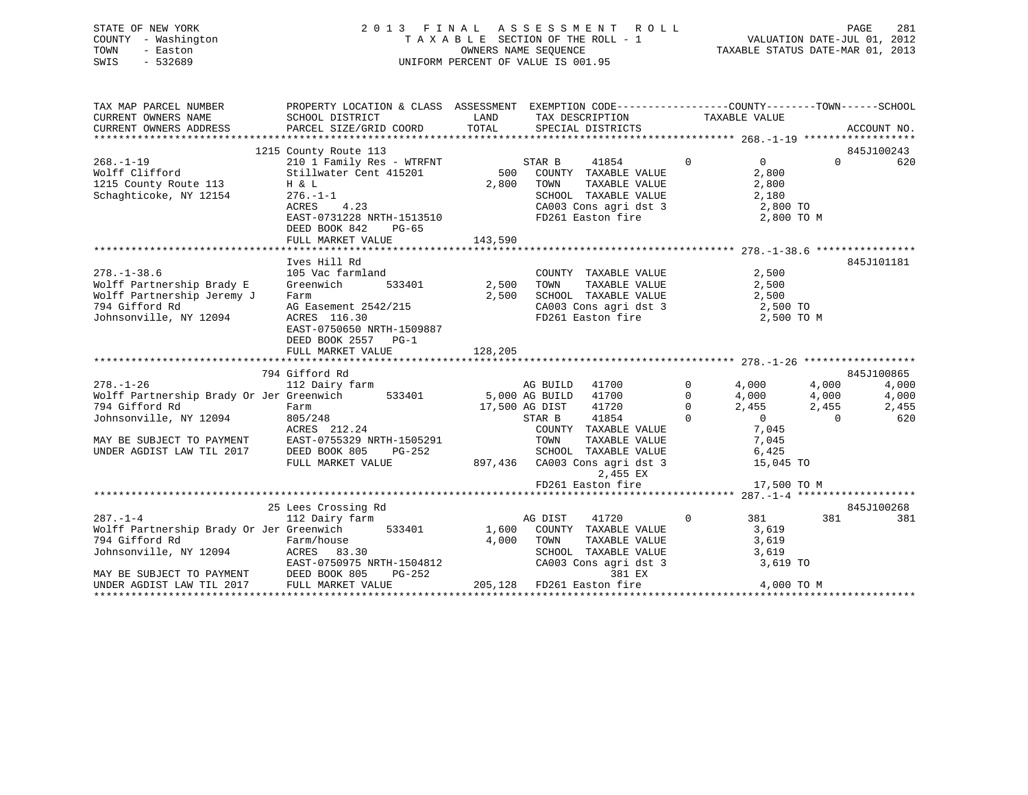|      | STATE OF NEW YORK   | 2013 FINAL ASSESSMENT ROLL         | PAGE                             | 281 |
|------|---------------------|------------------------------------|----------------------------------|-----|
|      | COUNTY - Washington | TAXABLE SECTION OF THE ROLL - 1    | VALUATION DATE-JUL 01, 2012      |     |
| TOWN | - Easton            | OWNERS NAME SEOUENCE               | TAXABLE STATUS DATE-MAR 01, 2013 |     |
| SWIS | - 532689            | UNIFORM PERCENT OF VALUE IS 001.95 |                                  |     |

| TAX MAP PARCEL NUMBER                                                                                                                                                                                                                                                                                                                                            | PROPERTY LOCATION & CLASS ASSESSMENT EXEMPTION CODE----------------COUNTY-------TOWN------SCHOOL |             |                                                                                                                 |                |                 |
|------------------------------------------------------------------------------------------------------------------------------------------------------------------------------------------------------------------------------------------------------------------------------------------------------------------------------------------------------------------|--------------------------------------------------------------------------------------------------|-------------|-----------------------------------------------------------------------------------------------------------------|----------------|-----------------|
| CURRENT OWNERS NAME                                                                                                                                                                                                                                                                                                                                              | SCHOOL DISTRICT                                                                                  | <b>LAND</b> | TAX DESCRIPTION TAXABLE VALUE                                                                                   |                |                 |
| CURRENT OWNERS ADDRESS                                                                                                                                                                                                                                                                                                                                           | PARCEL SIZE/GRID COORD TOTAL                                                                     |             | SPECIAL DISTRICTS                                                                                               |                | ACCOUNT NO.     |
|                                                                                                                                                                                                                                                                                                                                                                  |                                                                                                  |             |                                                                                                                 |                |                 |
|                                                                                                                                                                                                                                                                                                                                                                  | 1215 County Route 113                                                                            |             |                                                                                                                 |                | 845J100243      |
| $268. - 1 - 19$                                                                                                                                                                                                                                                                                                                                                  | 210 1 Family Res - WTRFNT                                                                        |             | STAR B 41854 0<br>500 COUNTY TAXABLE VALUE                                                                      | $\overline{0}$ | $\Omega$<br>620 |
|                                                                                                                                                                                                                                                                                                                                                                  |                                                                                                  |             |                                                                                                                 | 2,800          |                 |
| 1215 County Route 113                                                                                                                                                                                                                                                                                                                                            | H & L                                                                                            | 2,800 TOWN  | TAXABLE VALUE                                                                                                   | 2,800          |                 |
| Schaghticoke, NY 12154                                                                                                                                                                                                                                                                                                                                           | .23<br>$276. - 1 - 1$                                                                            |             |                                                                                                                 |                |                 |
|                                                                                                                                                                                                                                                                                                                                                                  | ACRES 4.23                                                                                       |             |                                                                                                                 |                |                 |
|                                                                                                                                                                                                                                                                                                                                                                  | EAST-0731228 NRTH-1513510                                                                        |             | SCHOOL TAXABLE VALUE $2,180$<br>CA003 Cons agri dst 3 $2,800$ TO<br>FD261 Easton fire $2,800$ TO M              |                |                 |
|                                                                                                                                                                                                                                                                                                                                                                  | DEED BOOK 842<br>PG-65                                                                           |             |                                                                                                                 |                |                 |
|                                                                                                                                                                                                                                                                                                                                                                  |                                                                                                  |             |                                                                                                                 |                |                 |
|                                                                                                                                                                                                                                                                                                                                                                  |                                                                                                  |             |                                                                                                                 |                |                 |
|                                                                                                                                                                                                                                                                                                                                                                  | Ives Hill Rd                                                                                     |             |                                                                                                                 |                | 845J101181      |
| $278. - 1 - 38.6$                                                                                                                                                                                                                                                                                                                                                | 105 Vac farmland                                                                                 |             | COUNTY TAXABLE VALUE                                                                                            | 2,500          |                 |
| Wolff Partnership Brady E                                                                                                                                                                                                                                                                                                                                        | 533401 2,500<br>Greenwich                                                                        |             | TAXABLE VALUE 2,500<br>TOWN                                                                                     |                |                 |
| Wolff Partnership Jeremy J                                                                                                                                                                                                                                                                                                                                       | Farm                                                                                             | 2,500       | SCHOOL TAXABLE VALUE 2,500<br>CA003 Cons agri dst 3 2,500 TO                                                    |                |                 |
| 794 Gifford Rd                                                                                                                                                                                                                                                                                                                                                   | AG Easement 2542/215<br>ACRES 116.30                                                             |             | CA003 Cons agri dst 3<br>FD261 Easton fire                                                                      |                |                 |
| Johnsonville, NY 12094                                                                                                                                                                                                                                                                                                                                           | ACRES 116.30                                                                                     |             |                                                                                                                 | 2,500 TO M     |                 |
|                                                                                                                                                                                                                                                                                                                                                                  | EAST-0750650 NRTH-1509887                                                                        |             |                                                                                                                 |                |                 |
|                                                                                                                                                                                                                                                                                                                                                                  | DEED BOOK 2557 PG-1                                                                              |             |                                                                                                                 |                |                 |
|                                                                                                                                                                                                                                                                                                                                                                  | FULL MARKET VALUE                                                                                | 128,205     |                                                                                                                 |                |                 |
|                                                                                                                                                                                                                                                                                                                                                                  |                                                                                                  |             |                                                                                                                 |                |                 |
|                                                                                                                                                                                                                                                                                                                                                                  | 794 Gifford Rd                                                                                   |             |                                                                                                                 |                | 845J100865      |
| $278. - 1 - 26$                                                                                                                                                                                                                                                                                                                                                  | 112 Dairy farm <b>being a computed by AC BUILD</b> 41700 <b>by 30 4,000</b> 4,000                |             |                                                                                                                 |                | 4,000           |
|                                                                                                                                                                                                                                                                                                                                                                  |                                                                                                  |             |                                                                                                                 |                | 4,000           |
| Wolff Partnership Brady Or Jer Greenwich 533401 5,000 AG BUILD 41700 0 4,000 4,000<br>794 Gifford Rd Farm Farm 17,500 AG DIST 41720 0 2,455 2,455<br>794 Gifford Rd Farm 805/248 5TAR B 41854 0 0 0<br>794 Gifford Rd<br>Johnsonville, NY 12094 805/248<br>MAY BE SUBJECT TO PAYMENT EAST-0755329 NRTH-1505291<br>UNDER AGDIST LAW TIL 2017 DEED BOOK 805 PG-252 |                                                                                                  |             |                                                                                                                 |                | 2,455           |
|                                                                                                                                                                                                                                                                                                                                                                  |                                                                                                  |             |                                                                                                                 |                | 620             |
|                                                                                                                                                                                                                                                                                                                                                                  |                                                                                                  |             | COUNTY TAXABLE VALUE                                                                                            | 7,045          |                 |
|                                                                                                                                                                                                                                                                                                                                                                  |                                                                                                  |             |                                                                                                                 |                |                 |
|                                                                                                                                                                                                                                                                                                                                                                  |                                                                                                  |             |                                                                                                                 |                |                 |
|                                                                                                                                                                                                                                                                                                                                                                  | FULL MARKET VALUE                                                                                |             | 1505291 TOWN TAXABLE VALUE 7,045<br>G-252 SCHOOL TAXABLE VALUE 6,425<br>897,436 CA003 Cons agri dst 3 15,045 TO |                |                 |
|                                                                                                                                                                                                                                                                                                                                                                  |                                                                                                  |             | 2,455 EX                                                                                                        |                |                 |
|                                                                                                                                                                                                                                                                                                                                                                  |                                                                                                  |             | FD261 Easton fire 17,500 TO M                                                                                   |                |                 |
|                                                                                                                                                                                                                                                                                                                                                                  |                                                                                                  |             |                                                                                                                 |                |                 |
|                                                                                                                                                                                                                                                                                                                                                                  | 25 Lees Crossing Rd                                                                              |             |                                                                                                                 |                | 845J100268      |
| $287. - 1 - 4$                                                                                                                                                                                                                                                                                                                                                   | ever crossing Rd<br>112 Dairy farm                                                               | AG DIST     | 41720                                                                                                           | $0$ 381        | 381 381<br>381  |
| Wolff Partnership Brady Or Jer Greenwich 533401 1,600 COUNTY TAXABLE VALUE 3,619                                                                                                                                                                                                                                                                                 |                                                                                                  |             |                                                                                                                 |                |                 |
|                                                                                                                                                                                                                                                                                                                                                                  |                                                                                                  |             | 4,000 TOWN<br>TOWN TAXABLE VALUE 3,619<br>SCHOOL TAXABLE VALUE 3,619                                            |                |                 |
|                                                                                                                                                                                                                                                                                                                                                                  |                                                                                                  |             |                                                                                                                 |                |                 |
| EAST-0750975 NRTH-1504812<br>MAY BE SUBJECT TO PAYMENT DEED BOOK 805 PG-252<br>UNDER AGDIST LAW TIL 2017 FULL MARKET VALUE 205,128                                                                                                                                                                                                                               |                                                                                                  |             | CA003 Cons agri dst 3 3,619 TO                                                                                  |                |                 |
|                                                                                                                                                                                                                                                                                                                                                                  |                                                                                                  |             | 381 EX                                                                                                          |                |                 |
|                                                                                                                                                                                                                                                                                                                                                                  |                                                                                                  |             |                                                                                                                 |                |                 |
|                                                                                                                                                                                                                                                                                                                                                                  |                                                                                                  |             |                                                                                                                 |                |                 |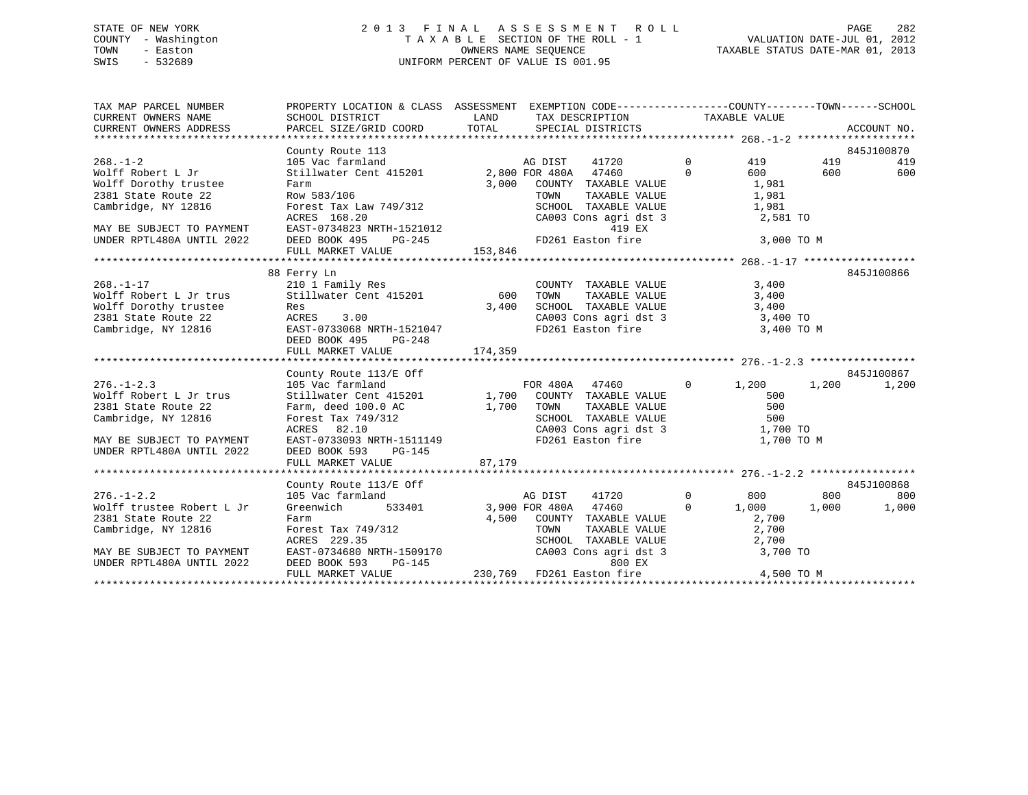# STATE OF NEW YORK 2 0 1 3 F I N A L A S S E S S M E N T R O L L PAGE 282 COUNTY - Washington T A X A B L E SECTION OF THE ROLL - 1 VALUATION DATE-JUL 01, 2012 TOWN - Easton **CONNERS NAME SEQUENCE** TAXABLE STATUS DATE-MAR 01, 2013 SWIS - 532689 UNIFORM PERCENT OF VALUE IS 001.95

| TAX MAP PARCEL NUMBER                                                                                                                                                                                                                             | PROPERTY LOCATION & CLASS ASSESSMENT EXEMPTION CODE---------------COUNTY-------TOWN------SCHOOL |        |                                                                                                                          |            |         |             |
|---------------------------------------------------------------------------------------------------------------------------------------------------------------------------------------------------------------------------------------------------|-------------------------------------------------------------------------------------------------|--------|--------------------------------------------------------------------------------------------------------------------------|------------|---------|-------------|
|                                                                                                                                                                                                                                                   |                                                                                                 |        |                                                                                                                          |            |         |             |
|                                                                                                                                                                                                                                                   |                                                                                                 |        |                                                                                                                          |            |         | 845J100870  |
| $268. - 1 - 2$                                                                                                                                                                                                                                    |                                                                                                 |        |                                                                                                                          | 419        | 419     | 419         |
| Wolff Robert L Jr                                                                                                                                                                                                                                 |                                                                                                 |        |                                                                                                                          | 600        | 600 000 | 600         |
|                                                                                                                                                                                                                                                   |                                                                                                 |        |                                                                                                                          |            |         |             |
|                                                                                                                                                                                                                                                   |                                                                                                 |        |                                                                                                                          |            |         |             |
|                                                                                                                                                                                                                                                   |                                                                                                 |        |                                                                                                                          |            |         |             |
|                                                                                                                                                                                                                                                   |                                                                                                 |        |                                                                                                                          |            |         |             |
|                                                                                                                                                                                                                                                   |                                                                                                 |        |                                                                                                                          |            |         |             |
|                                                                                                                                                                                                                                                   |                                                                                                 |        |                                                                                                                          |            |         |             |
|                                                                                                                                                                                                                                                   |                                                                                                 |        |                                                                                                                          |            |         |             |
| Wolff Robert L Jr<br>Wolff Robert L Jr<br>Wolff Dorothy trustee<br>Cambridge, NY 12816<br>CRES 168.20<br>MAY BE SUBJECT TO PAYMENT<br>MAY BE SUBJECT TO PAYMENT<br>MAY BE SUBJECT TO PAYMENT<br>DEED BOOK 495 PG-245<br>FOLL MARKET VALUE<br>TOWN |                                                                                                 |        |                                                                                                                          |            |         |             |
|                                                                                                                                                                                                                                                   |                                                                                                 |        |                                                                                                                          |            |         | 845J100866  |
|                                                                                                                                                                                                                                                   |                                                                                                 |        | COUNTY TAXABLE VALUE 3,400                                                                                               |            |         |             |
|                                                                                                                                                                                                                                                   |                                                                                                 |        | TOWN TAXABLE VALUE 3,400<br>SCHOOL TAXABLE VALUE 3,400<br>CA003 Cons agri dst 3 3,400 TO<br>FD261 Easton fire 3,400 TO M |            |         |             |
|                                                                                                                                                                                                                                                   |                                                                                                 |        |                                                                                                                          |            |         |             |
|                                                                                                                                                                                                                                                   |                                                                                                 |        |                                                                                                                          |            |         |             |
| 268.-1-17<br>Wolff Robert L Jr trus<br>Wolff Dorothy trustee<br>2381 State Route 22<br>2381 State Route 22<br>2381 State Route 22<br>2381 State Route 22<br>2381 State Route 22<br>2381 State Route 22<br>2381 State Route 22<br>2381 State Route |                                                                                                 |        |                                                                                                                          |            |         |             |
|                                                                                                                                                                                                                                                   | DEED BOOK 495<br>PG-248                                                                         |        |                                                                                                                          |            |         |             |
|                                                                                                                                                                                                                                                   |                                                                                                 |        |                                                                                                                          |            |         |             |
|                                                                                                                                                                                                                                                   |                                                                                                 |        |                                                                                                                          |            |         |             |
|                                                                                                                                                                                                                                                   | County Route 113/E Off                                                                          |        |                                                                                                                          |            |         | 845J100867  |
|                                                                                                                                                                                                                                                   |                                                                                                 |        |                                                                                                                          |            |         | 1,200 1,200 |
|                                                                                                                                                                                                                                                   |                                                                                                 |        |                                                                                                                          |            |         |             |
| 2381 State Route 22                                                                                                                                                                                                                               | Farm, deed 100.0 AC<br>Forest Tax 749/312<br>ACRES 82.10 CA003                                  |        | TAXABLE VALUE 500                                                                                                        |            |         |             |
| Cambridge, NY 12816                                                                                                                                                                                                                               |                                                                                                 |        | SCHOOL TAXABLE VALUE 500<br>CA003 Cons agri dst 3 1,700 TO<br>FD261 Easton fire 1,700 TO                                 |            |         |             |
|                                                                                                                                                                                                                                                   |                                                                                                 |        |                                                                                                                          |            |         |             |
| MAY BE SUBJECT TO PAYMENT                                                                                                                                                                                                                         | EAST-0733093 NRTH-1511149                                                                       |        |                                                                                                                          | 1,700 TO M |         |             |
| UNDER RPTL480A UNTIL 2022                                                                                                                                                                                                                         | DEED BOOK 593 PG-145                                                                            |        |                                                                                                                          |            |         |             |
|                                                                                                                                                                                                                                                   | FULL MARKET VALUE                                                                               | 87,179 |                                                                                                                          |            |         |             |
|                                                                                                                                                                                                                                                   | County Route 113/E Off                                                                          |        |                                                                                                                          |            |         | 845J100868  |
| $276. - 1 - 2.2$                                                                                                                                                                                                                                  |                                                                                                 |        |                                                                                                                          |            | 800     | 800         |
| Wolff trustee Robert L Jr                                                                                                                                                                                                                         |                                                                                                 |        |                                                                                                                          |            | 1,000   | 1,000       |
|                                                                                                                                                                                                                                                   |                                                                                                 |        |                                                                                                                          |            |         |             |
|                                                                                                                                                                                                                                                   |                                                                                                 |        |                                                                                                                          |            |         |             |
|                                                                                                                                                                                                                                                   |                                                                                                 |        |                                                                                                                          |            |         |             |
| 2381 State Route 22 Farm 4,500 COUNTY TAXABLE VALUE 2,700<br>Cambridge, NY 12816 Forest Tax 749/312 TOWN TAXABLE VALUE 2,700<br>ACRES 229.35 SCHOOL TAXABLE VALUE 2,700<br>MAY BE SUBJECT TO PAYMENT EAST-0734680 NRTH-1509170 CA003              |                                                                                                 |        |                                                                                                                          |            |         |             |
| UNDER RPTL480A UNTIL 2022                                                                                                                                                                                                                         | DEED BOOK 593                                                                                   |        | 800 EX                                                                                                                   |            |         |             |
|                                                                                                                                                                                                                                                   | FULL MARKET VALUE                                                                               |        | BC-145 800 EX<br>E 230,769 FD261 Easton fire                                                                             | 4,500 TO M |         |             |
|                                                                                                                                                                                                                                                   |                                                                                                 |        |                                                                                                                          |            |         |             |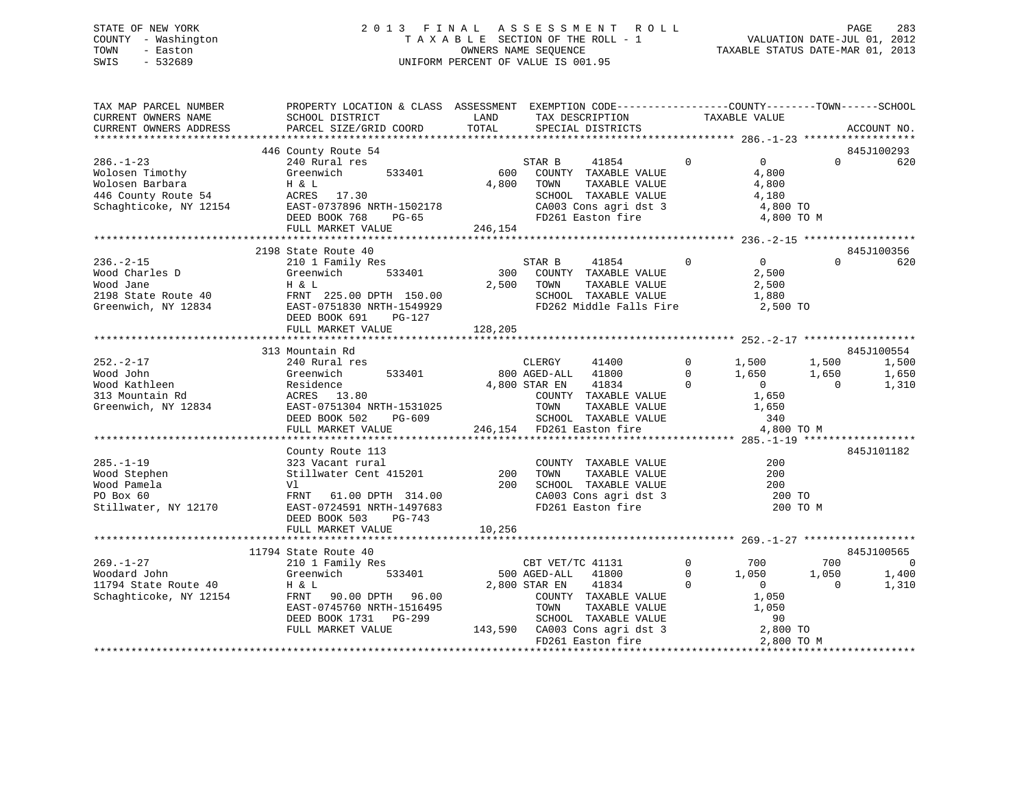# STATE OF NEW YORK 2 0 1 3 F I N A L A S S E S S M E N T R O L L PAGE 283 COUNTY - Washington T A X A B L E SECTION OF THE ROLL - 1 VALUATION DATE-JUL 01, 2012 TOWN - Easton OWNERS NAME SEQUENCE TAXABLE STATUS DATE-MAR 01, 2013 SWIS - 532689 UNIFORM PERCENT OF VALUE IS 001.95

| TAX MAP PARCEL NUMBER<br>CURRENT OWNERS NAME                                                 | PROPERTY LOCATION & CLASS ASSESSMENT EXEMPTION CODE----------------COUNTY-------TOWN------SCHOOL<br>SCHOOL DISTRICT                                              | LAND         | TAX DESCRIPTION                                                                                                                                                                   | TAXABLE VALUE                                                                                                                     |                                                                                         |                |
|----------------------------------------------------------------------------------------------|------------------------------------------------------------------------------------------------------------------------------------------------------------------|--------------|-----------------------------------------------------------------------------------------------------------------------------------------------------------------------------------|-----------------------------------------------------------------------------------------------------------------------------------|-----------------------------------------------------------------------------------------|----------------|
| CURRENT OWNERS ADDRESS                                                                       | PARCEL SIZE/GRID COORD                                                                                                                                           | TOTAL        | SPECIAL DISTRICTS                                                                                                                                                                 |                                                                                                                                   | ACCOUNT NO.                                                                             |                |
|                                                                                              |                                                                                                                                                                  |              |                                                                                                                                                                                   |                                                                                                                                   |                                                                                         |                |
| $286. - 1 - 23$<br>Wolosen Timothy<br>Wolosen Barbara                                        | 446 County Route 54<br>240 Rural res<br>Greenwich<br>533401<br>H & L                                                                                             | 600<br>4,800 | 41854<br>STAR B<br>COUNTY TAXABLE VALUE<br>TOWN<br>TAXABLE VALUE<br>SCHOOL TAXABLE VALUE<br>SCHOOL TAXABLE VALUE<br>CA003 Cons agri dst 3                                         | $\Omega$<br>$\overline{0}$<br>4,800<br>4,800<br>4,180<br>4,800 TO                                                                 | 845J100293<br>$\Omega$                                                                  | 620            |
|                                                                                              | DEED BOOK 768<br>PG-65                                                                                                                                           |              | FD261 Easton fire                                                                                                                                                                 |                                                                                                                                   | 4,800 TO M                                                                              |                |
|                                                                                              | FULL MARKET VALUE                                                                                                                                                | 246,154      |                                                                                                                                                                                   |                                                                                                                                   |                                                                                         |                |
|                                                                                              | 2198 State Route 40                                                                                                                                              |              |                                                                                                                                                                                   |                                                                                                                                   | 845J100356                                                                              |                |
| $236. - 2 - 15$<br>Wood Charles D<br>Wood Jane<br>2198 State Route 40<br>Greenwich, NY 12834 | 210 1 Family Res<br>。<br>533401<br>Greenwich<br>H & L<br>FRNT 225.00 DPTH 150.00<br>EAST-0751830 NRTH-1549929<br>DEED BOOK 691<br>PG-127                         | 300<br>2,500 | STAR B<br>41854<br>COUNTY TAXABLE VALUE<br>TOWN      TAXABLE VALUE<br>SCHOOL   TAXABLE VALUE<br>FD262 Middle Falls Fire                                                           | $\Omega$<br>$\overline{0}$<br>2,500<br>2,500<br>1,880<br>2,500 TO                                                                 | $\Omega$                                                                                | 620            |
|                                                                                              | FULL MARKET VALUE                                                                                                                                                | 128,205      |                                                                                                                                                                                   |                                                                                                                                   |                                                                                         |                |
|                                                                                              |                                                                                                                                                                  |              |                                                                                                                                                                                   |                                                                                                                                   |                                                                                         |                |
| $252 - 2 - 17$<br>Wood John<br>Wood Kathleen<br>313 Mountain Rd<br>Greenwich, NY 12834       | 313 Mountain Rd<br>240 Rural res<br>Greenwich<br>533401<br>Residence<br>ACRES 13.80<br>EAST-0751304 NRTH-1531025<br>PG-609<br>DEED BOOK 502<br>FULL MARKET VALUE |              | CLERGY<br>41400<br>800 AGED-ALL<br>41800<br>4,800 STAR EN<br>41834<br>COUNTY TAXABLE VALUE<br>TOWN     TAXABLE VALUE<br>TOWN<br>SCHOOL TAXABLE VALUE<br>246,154 FD261 Easton fire | $\overline{0}$<br>1,500<br>$\mathbf 0$<br>1,650<br>$\overline{0}$<br>$\overline{0}$<br>1,650<br>1,650<br>340<br>LUE <b>AUGUST</b> | 845J100554<br>1,500<br>1,500<br>1,650<br>1,650<br>$\overline{0}$<br>1,310<br>4,800 TO M |                |
|                                                                                              |                                                                                                                                                                  |              |                                                                                                                                                                                   |                                                                                                                                   |                                                                                         |                |
| $285. - 1 - 19$<br>Wood Stephen<br>Wood Pamela<br>PO Box 60<br>Stillwater, NY 12170          | County Route 113<br>323 Vacant rural<br>Stillwater Cent 415201<br>Vl<br>FRNT 61.00 DPTH 314.00<br>EAST-0724591 NRTH-1497683<br>DEED BOOK 503<br>$PG-743$         | 200<br>200   | COUNTY TAXABLE VALUE<br>TAXABLE VALUE<br>TOWN<br>SCHOOL TAXABLE VALUE<br>CA003 Cons agri dst 3<br>FD261 Easton fire                                                               | 200<br>200<br>200                                                                                                                 | 845J101182<br>200 TO<br>200 TO M                                                        |                |
|                                                                                              | FULL MARKET VALUE                                                                                                                                                | 10,256       |                                                                                                                                                                                   |                                                                                                                                   |                                                                                         |                |
|                                                                                              |                                                                                                                                                                  |              |                                                                                                                                                                                   |                                                                                                                                   |                                                                                         |                |
| $269. - 1 - 27$                                                                              | 11794 State Route 40<br>210 1 Family Res                                                                                                                         |              | CBT VET/TC 41131                                                                                                                                                                  | 0 700                                                                                                                             | 845J100565<br>700                                                                       | $\overline{0}$ |
| Woodard John<br>11794 State Route 40<br>Schaghticoke, NY 12154                               | 533401<br>Greenwich<br>H & L<br>FRNT<br>90.00 DPTH 96.00<br>EAST-0745760 NRTH-1516495                                                                            |              | 500 AGED-ALL<br>41800<br>2,800 STAR EN<br>41834<br>COUNTY TAXABLE VALUE                                                                                                           | 1,050<br>$\overline{0}$<br>$\Omega$<br>$\overline{0}$<br>1,050                                                                    | 1,050<br>1,400<br>1,310<br>$\overline{0}$                                               |                |
|                                                                                              | DEED BOOK 1731 PG-299<br>FULL MARKET VALUE                                                                                                                       |              | COUNTE TANABLE VALUE 1,050<br>TOWN TAXABLE VALUE 1,050<br>SCHOOL TAXABLE VALUE 90<br>143,590 CA003 Cons agri dst 3 2,800 TO<br>FD261 Easton fire 2,800 TO                         |                                                                                                                                   | 2,800 TO M                                                                              |                |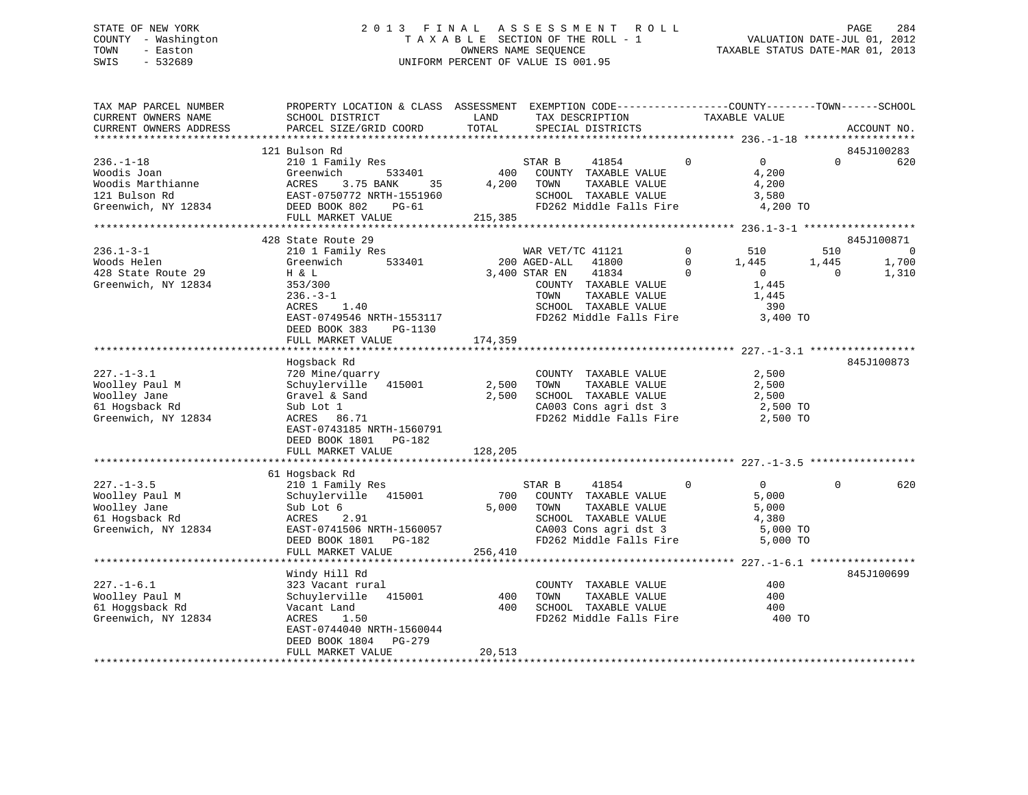# STATE OF NEW YORK 2 0 1 3 F I N A L A S S E S S M E N T R O L L PAGE 284 COUNTY - Washington T A X A B L E SECTION OF THE ROLL - 1 VALUATION DATE-JUL 01, 2012 TOWN - Easton OWNERS NAME SEQUENCE TAXABLE STATUS DATE-MAR 01, 2013 SWIS - 532689 UNIFORM PERCENT OF VALUE IS 001.95

| TAX MAP PARCEL NUMBER<br>CURRENT OWNERS NAME<br>CURRENT OWNERS ADDRESS                                                                                                     | PROPERTY LOCATION & CLASS ASSESSMENT<br>SCHOOL DISTRICT<br>PARCEL SIZE/GRID COORD                                                                                                                                                                                                                                                            | LAND<br>TOTAL             | EXEMPTION CODE-----------------COUNTY-------TOWN------SCHOOL<br>TAX DESCRIPTION<br>SPECIAL DISTRICTS                                                                                                                                                                                                 |                           | TAXABLE VALUE                                                                                                                                      | ACCOUNT NO.                                    |
|----------------------------------------------------------------------------------------------------------------------------------------------------------------------------|----------------------------------------------------------------------------------------------------------------------------------------------------------------------------------------------------------------------------------------------------------------------------------------------------------------------------------------------|---------------------------|------------------------------------------------------------------------------------------------------------------------------------------------------------------------------------------------------------------------------------------------------------------------------------------------------|---------------------------|----------------------------------------------------------------------------------------------------------------------------------------------------|------------------------------------------------|
|                                                                                                                                                                            |                                                                                                                                                                                                                                                                                                                                              |                           |                                                                                                                                                                                                                                                                                                      |                           |                                                                                                                                                    |                                                |
|                                                                                                                                                                            | 121 Bulson Rd                                                                                                                                                                                                                                                                                                                                |                           |                                                                                                                                                                                                                                                                                                      |                           |                                                                                                                                                    | 845J100283                                     |
| $236. - 1 - 18$<br>Woodis Joan<br>Woodis Marthianne<br>121 Bulson Rd<br>Greenwich, NY 12834                                                                                | 210 1 Family Res<br>533401<br>Greenwich<br>ACRES<br>3.75 BANK<br>35<br>EAST-0750772 NRTH-1551960<br>DEED BOOK 802<br>PG-61                                                                                                                                                                                                                   | 400<br>4,200              | STAR B<br>41854<br>COUNTY TAXABLE VALUE<br>TOWN<br>TAXABLE VALUE<br>SCHOOL TAXABLE VALUE<br>FD262 Middle Falls Fire                                                                                                                                                                                  | $\Omega$                  | $\overline{0}$<br>$\Omega$<br>4,200<br>4,200<br>3,580<br>4,200 TO                                                                                  | 620                                            |
|                                                                                                                                                                            | FULL MARKET VALUE                                                                                                                                                                                                                                                                                                                            | 215,385                   |                                                                                                                                                                                                                                                                                                      |                           |                                                                                                                                                    |                                                |
|                                                                                                                                                                            | 428 State Route 29                                                                                                                                                                                                                                                                                                                           |                           |                                                                                                                                                                                                                                                                                                      |                           |                                                                                                                                                    | 845J100871                                     |
| $236.1 - 3 - 1$<br>Woods Helen<br>428 State Route 29<br>Greenwich, NY 12834<br>$227. - 1 - 3.1$<br>Woolley Paul M<br>Woolley Jane<br>61 Hogsback Rd<br>Greenwich, NY 12834 | 210 1 Family Res<br>533401<br>Greenwich<br>H & L<br>353/300<br>$236. - 3 - 1$<br>ACRES<br>1.40<br>EAST-0749546 NRTH-1553117<br>DEED BOOK 383<br>PG-1130<br>FULL MARKET VALUE<br>Hogsback Rd<br>720 Mine/quarry<br>Schuylerville 415001<br>Gravel & Sand<br>Sub Lot 1<br>ACRES 86.71<br>EAST-0743185 NRTH-1560791<br>DEED BOOK 1801<br>PG-182 | 174,359<br>2,500<br>2,500 | WAR VET/TC 41121<br>200 AGED-ALL<br>41800<br>3,400 STAR EN<br>41834<br>COUNTY TAXABLE VALUE<br>TOWN<br>TAXABLE VALUE<br>SCHOOL TAXABLE VALUE<br>FD262 Middle Falls Fire<br>COUNTY TAXABLE VALUE<br>TOWN<br>TAXABLE VALUE<br>SCHOOL TAXABLE VALUE<br>CA003 Cons agri dst 3<br>FD262 Middle Falls Fire | 0<br>$\Omega$<br>$\Omega$ | 510<br>510<br>1,445<br>1,445<br>$\overline{0}$<br>$\Omega$<br>1,445<br>1,445<br>390<br>3,400 TO<br>2,500<br>2,500<br>2,500<br>2,500 TO<br>2,500 TO | $\overline{0}$<br>1,700<br>1,310<br>845J100873 |
|                                                                                                                                                                            | FULL MARKET VALUE                                                                                                                                                                                                                                                                                                                            | 128,205                   |                                                                                                                                                                                                                                                                                                      |                           |                                                                                                                                                    |                                                |
|                                                                                                                                                                            | 61 Hogsback Rd                                                                                                                                                                                                                                                                                                                               |                           |                                                                                                                                                                                                                                                                                                      |                           |                                                                                                                                                    |                                                |
| $227. - 1 - 3.5$<br>Woolley Paul M<br>Woolley Jane<br>61 Hogsback Rd<br>Greenwich, NY 12834                                                                                | 210 1 Family Res<br>Schuylerville<br>415001<br>Sub Lot 6<br>2.91<br>ACRES<br>EAST-0741506 NRTH-1560057<br>DEED BOOK 1801<br>PG-182<br>FULL MARKET VALUE                                                                                                                                                                                      | 700<br>5,000<br>256,410   | STAR B<br>41854<br>COUNTY TAXABLE VALUE<br>TOWN<br>TAXABLE VALUE<br>SCHOOL TAXABLE VALUE<br>CA003 Cons agri dst 3<br>FD262 Middle Falls Fire                                                                                                                                                         | $\mathbf 0$               | $\overline{0}$<br>$\Omega$<br>5,000<br>5,000<br>4,380<br>5,000 TO<br>5,000 TO                                                                      | 620                                            |
|                                                                                                                                                                            |                                                                                                                                                                                                                                                                                                                                              |                           |                                                                                                                                                                                                                                                                                                      |                           |                                                                                                                                                    |                                                |
| $227. - 1 - 6.1$<br>Woolley Paul M<br>61 Hoggsback Rd<br>Greenwich, NY 12834                                                                                               | Windy Hill Rd<br>323 Vacant rural<br>Schuylerville<br>415001<br>Vacant Land<br>ACRES<br>1.50<br>EAST-0744040 NRTH-1560044<br>DEED BOOK 1804<br>PG-279                                                                                                                                                                                        | 400<br>400                | COUNTY TAXABLE VALUE<br>TOWN<br>TAXABLE VALUE<br>SCHOOL TAXABLE VALUE<br>FD262 Middle Falls Fire                                                                                                                                                                                                     |                           | 400<br>400<br>400<br>400 TO                                                                                                                        | 845J100699                                     |
|                                                                                                                                                                            | FULL MARKET VALUE                                                                                                                                                                                                                                                                                                                            | 20,513                    |                                                                                                                                                                                                                                                                                                      |                           |                                                                                                                                                    |                                                |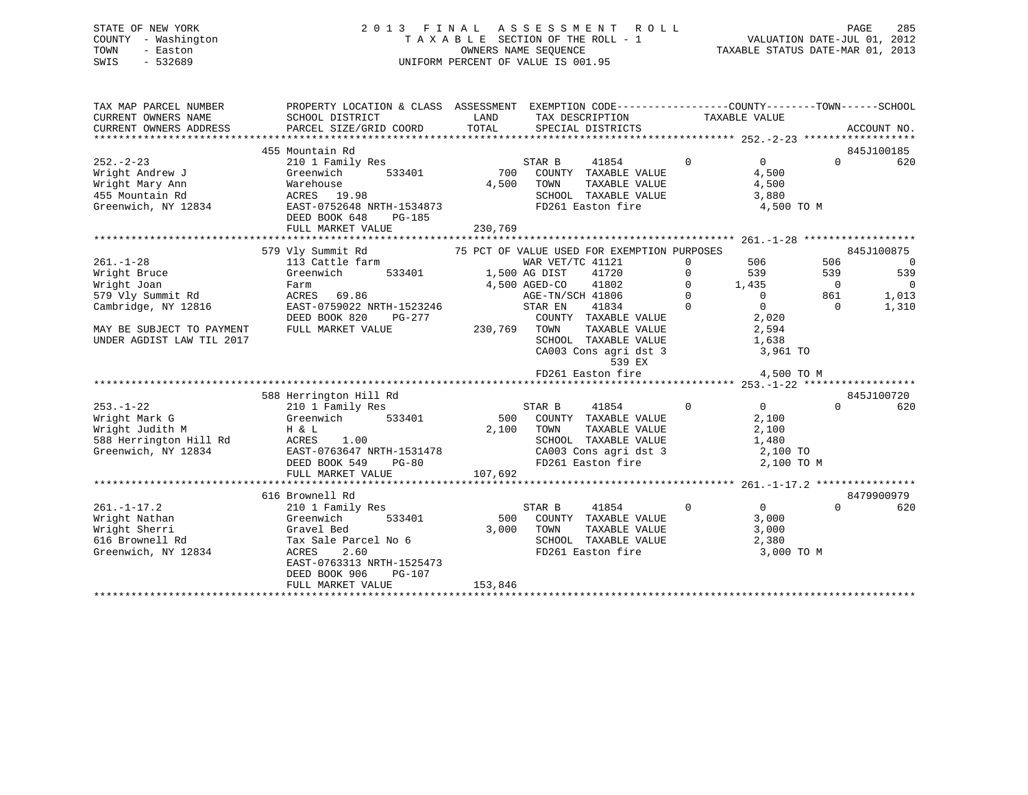# STATE OF NEW YORK 2 0 1 3 F I N A L A S S E S S M E N T R O L L PAGE 285 COUNTY - Washington T A X A B L E SECTION OF THE ROLL - 1 VALUATION DATE-JUL 01, 2012 TOWN - Easton OWNERS NAME SEQUENCE TAXABLE STATUS DATE-MAR 01, 2013 SWIS - 532689 UNIFORM PERCENT OF VALUE IS 001.95

| TAX MAP PARCEL NUMBER          | PROPERTY LOCATION & CLASS ASSESSMENT EXEMPTION CODE---------------COUNTY-------TOWN-----SCHOOL |               |                                                              |                               |                |                          |
|--------------------------------|------------------------------------------------------------------------------------------------|---------------|--------------------------------------------------------------|-------------------------------|----------------|--------------------------|
| CURRENT OWNERS NAME            | SCHOOL DISTRICT                                                                                | LAND          | TAX DESCRIPTION                                              | TAXABLE VALUE                 |                |                          |
| CURRENT OWNERS ADDRESS         | PARCEL SIZE/GRID COORD                                                                         | TOTAL         | SPECIAL DISTRICTS                                            |                               |                | ACCOUNT NO.              |
|                                | 455 Mountain Rd                                                                                |               |                                                              |                               |                | 845J100185               |
| $252 - 2 - 23$                 | 210 1 Family Res                                                                               |               | STAR B<br>41854                                              | $\Omega$<br>$\overline{0}$    | $\cap$         | 620                      |
| Wright Andrew J                | Greenwich<br>533401                                                                            | 700           | COUNTY TAXABLE VALUE                                         | 4,500                         |                |                          |
| Wright Mary Ann                | Warehouse                                                                                      | 4,500         | TOWN<br>TAXABLE VALUE                                        | 4,500                         |                |                          |
| 455 Mountain Rd                | ACRES 19.98                                                                                    |               | SCHOOL TAXABLE VALUE                                         | 3,880                         |                |                          |
| Greenwich, NY 12834            | EAST-0752648 NRTH-1534873                                                                      |               | FD261 Easton fire                                            | 4,500 TO M                    |                |                          |
|                                | DEED BOOK 648<br>PG-185                                                                        |               |                                                              |                               |                |                          |
|                                | FULL MARKET VALUE                                                                              | 230,769       |                                                              |                               |                |                          |
|                                |                                                                                                |               |                                                              |                               |                |                          |
|                                | 579 Vly Summit Rd                                                                              |               | 75 PCT OF VALUE USED FOR EXEMPTION PURPOSES                  |                               |                | 845J100875               |
| $261. - 1 - 28$                | 113 Cattle farm                                                                                |               | WAR VET/TC 41121                                             | 506<br>$\Omega$               | 506            | $\overline{\phantom{0}}$ |
| Wright Bruce                   | Greenwich<br>533401                                                                            | 1,500 AG DIST | 41720                                                        | $\Omega$<br>539               | 539            | 539                      |
| Wright Joan                    | Farm                                                                                           | 4,500 AGED-CO | 41802                                                        | 1,435<br>$\Omega$             | $\overline{0}$ | $\overline{0}$           |
| 579 Vly Summit Rd              | ACRES 69.86                                                                                    |               | AGE-TN/SCH 41806                                             | $\Omega$<br>$\overline{0}$    | 861            | 1,013                    |
| Cambridge, NY 12816            | EAST-0759022 NRTH-1523246                                                                      |               | STAR EN<br>41834                                             | $\mathbf 0$<br>$\overline{0}$ | $\Omega$       | 1,310                    |
|                                | DEED BOOK 820<br>PG-277                                                                        |               | COUNTY TAXABLE VALUE                                         | 2,020                         |                |                          |
| MAY BE SUBJECT TO PAYMENT      | FULL MARKET VALUE                                                                              | 230,769 TOWN  | TAXABLE VALUE                                                | 2,594                         |                |                          |
| UNDER AGDIST LAW TIL 2017      |                                                                                                |               | SCHOOL TAXABLE VALUE 1,638<br>CA003 Cons agri dst 3 3,961 TO |                               |                |                          |
|                                |                                                                                                |               | 539 EX                                                       |                               |                |                          |
|                                |                                                                                                |               | FD261 Easton fire                                            | 4,500 TO M                    |                |                          |
|                                |                                                                                                |               |                                                              |                               |                |                          |
|                                | 588 Herrington Hill Rd                                                                         |               |                                                              |                               |                | 845J100720               |
| $253. - 1 - 22$                | 210 1 Family Res                                                                               |               | STAR B<br>41854                                              | $\Omega$<br>$0 \qquad \qquad$ | $\Omega$       | 620                      |
| Wright Mark G                  | 533401<br>Greenwich                                                                            |               | 500 COUNTY TAXABLE VALUE                                     | 2,100                         |                |                          |
| Wright Judith M                | H & L                                                                                          | 2,100 TOWN    | TAXABLE VALUE                                                | 2,100                         |                |                          |
| 588 Herrington Hill Rd         | ACRES<br>1.00                                                                                  |               | SCHOOL TAXABLE VALUE                                         | 1,480                         |                |                          |
| Greenwich, NY 12834            | EAST-0763647 NRTH-1531478                                                                      |               |                                                              |                               |                |                          |
|                                | DEED BOOK 549<br>$PG-80$                                                                       |               | FD261 Easton fire                                            | 2,100 TO M                    |                |                          |
|                                | FULL MARKET VALUE                                                                              | 107,692       |                                                              |                               |                |                          |
|                                |                                                                                                |               |                                                              |                               |                |                          |
|                                | 616 Brownell Rd                                                                                |               |                                                              |                               |                | 8479900979               |
| $261. - 1 - 17.2$              | 210 1 Family Res                                                                               |               | STAR B<br>41854                                              | $\mathbf 0$<br>$\overline{0}$ | $\Omega$       | 620                      |
| Wright Nathan<br>Wright Sherri | 533401<br>Greenwich<br>Gravel Bed                                                              | 3,000         | 500 COUNTY TAXABLE VALUE<br>TOWN<br>TAXABLE VALUE            | 3,000<br>3,000                |                |                          |
| 616 Brownell Rd                | Tax Sale Parcel No 6                                                                           |               | SCHOOL TAXABLE VALUE                                         | 2,380                         |                |                          |
| Greenwich, NY 12834            | 2.60<br>ACRES                                                                                  |               | FD261 Easton fire                                            | 3,000 TO M                    |                |                          |
|                                | EAST-0763313 NRTH-1525473                                                                      |               |                                                              |                               |                |                          |
|                                | DEED BOOK 906<br>PG-107                                                                        |               |                                                              |                               |                |                          |
|                                | FULL MARKET VALUE                                                                              | 153,846       |                                                              |                               |                |                          |
|                                |                                                                                                |               |                                                              |                               |                |                          |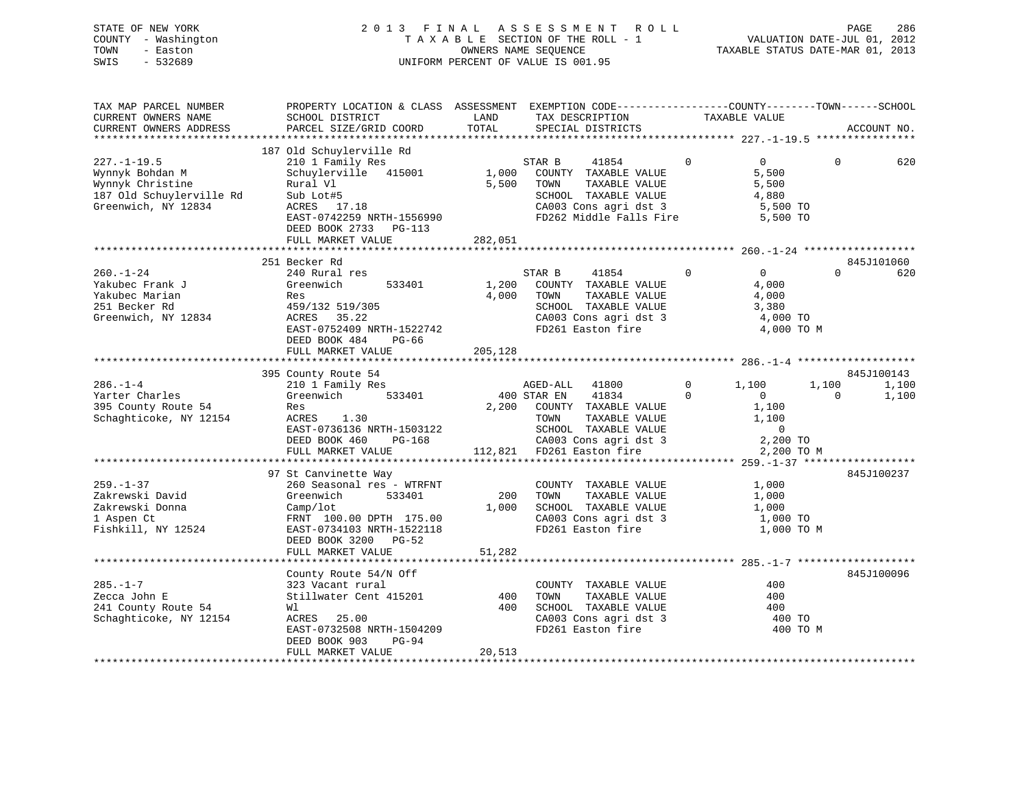# STATE OF NEW YORK 2 0 1 3 F I N A L A S S E S S M E N T R O L L PAGE 286 COUNTY - Washington T A X A B L E SECTION OF THE ROLL - 1 VALUATION DATE-JUL 01, 2012 TOWN - Easton OWNERS NAME SEQUENCE TAXABLE STATUS DATE-MAR 01, 2013 SWIS - 532689 UNIFORM PERCENT OF VALUE IS 001.95

| TAX MAP PARCEL NUMBER<br>CURRENT OWNERS NAME<br>CURRENT OWNERS ADDRESS                                      | PROPERTY LOCATION & CLASS ASSESSMENT EXEMPTION CODE---------------COUNTY-------TOWN------SCHOOL<br>SCHOOL DISTRICT<br>PARCEL SIZE/GRID COORD                                            | LAND<br>TOTAL             | TAX DESCRIPTION<br>SPECIAL DISTRICTS                                                                                                                                                                     | TAXABLE VALUE                                                                                                     |                   | ACCOUNT NO.                  |
|-------------------------------------------------------------------------------------------------------------|-----------------------------------------------------------------------------------------------------------------------------------------------------------------------------------------|---------------------------|----------------------------------------------------------------------------------------------------------------------------------------------------------------------------------------------------------|-------------------------------------------------------------------------------------------------------------------|-------------------|------------------------------|
|                                                                                                             |                                                                                                                                                                                         |                           |                                                                                                                                                                                                          |                                                                                                                   |                   |                              |
| $227. - 1 - 19.5$<br>Wynnyk Bohdan M<br>Wynnyk Christine<br>187 Old Schuylerville Rd<br>Greenwich, NY 12834 | 187 Old Schuylerville Rd<br>210 1 Family Res<br>Schuylerville 415001<br>Rural Vl<br>Sub Lot#5<br>ACRES 17.18<br>EAST-0742259 NRTH-1556990<br>DEED BOOK 2733 PG-113<br>FULL MARKET VALUE | 1,000<br>5,500<br>282,051 | STAR B<br>41854<br>COUNTY TAXABLE VALUE<br>TOWN<br>TAXABLE VALUE<br>SCHOOL TAXABLE VALUE<br>CA003 Cons agri dst 3<br>FD262 Middle Falls Fire                                                             | $\Omega$<br>$\overline{0}$<br>5,500<br>5,500<br>4,880<br>5,500 TO<br>5,500 TO                                     | $\Omega$          | 620                          |
|                                                                                                             | 251 Becker Rd                                                                                                                                                                           |                           |                                                                                                                                                                                                          |                                                                                                                   |                   | 845J101060                   |
| $260. - 1 - 24$<br>Yakubec Frank J<br>Yakubec Marian<br>251 Becker Rd<br>Greenwich, NY 12834                | 240 Rural res<br>533401<br>Greenwich<br>Res<br>459/132 519/305<br>ACRES 35.22<br>EAST-0752409 NRTH-1522742<br>DEED BOOK 484<br>PG-66<br>FULL MARKET VALUE                               | 1,200<br>4,000<br>205,128 | STAR B<br>41854<br>COUNTY TAXABLE VALUE<br>TOWN<br>TAXABLE VALUE<br>SCHOOL TAXABLE VALUE<br>CA003 Cons agri dst 3<br>FD261 Easton fire                                                                   | $\mathbf 0$<br>$0 \qquad \qquad$<br>4,000<br>4,000<br>3,380<br>4,000 TO<br>4,000 TO M                             | $\Omega$          | 620                          |
|                                                                                                             |                                                                                                                                                                                         |                           |                                                                                                                                                                                                          |                                                                                                                   |                   |                              |
| $286. - 1 - 4$<br>Yarter Charles<br>395 County Route 54<br>Schaghticoke, NY 12154                           | 395 County Route 54<br>210 1 Family Res<br>533401<br>Greenwich<br>Res<br>ACRES 1.30<br>EAST-0736136 NRTH-1503122<br>DEED BOOK 460<br>PG-168<br>FULL MARKET VALUE                        |                           | AGED-ALL 41800<br>400 STAR EN<br>41834<br>2,200 COUNTY TAXABLE VALUE<br>TOWN<br>TAXABLE VALUE<br>TOWN      TAXABLE VALUE<br>SCHOOL   TAXABLE VALUE<br>CA003 Cons agri dst 3<br>112,821 FD261 Easton fire | $\mathbf{0}$<br>1,100<br>$\Omega$<br>$\overline{0}$<br>1,100<br>1,100<br>$\overline{0}$<br>2,200 TO<br>2,200 TO M | 1,100<br>$\Omega$ | 845J100143<br>1,100<br>1,100 |
|                                                                                                             | 97 St Canvinette Way                                                                                                                                                                    |                           |                                                                                                                                                                                                          |                                                                                                                   |                   | 845J100237                   |
| $259. - 1 - 37$<br>Zakrewski David<br>Zakrewski Donna<br>1 Aspen Ct<br>Fishkill, NY 12524                   | 260 Seasonal res - WTRFNT<br>Greenwich<br>533401<br>Camp/lot<br>FRNT 100.00 DPTH 175.00<br>EAST-0734103 NRTH-1522118<br>DEED BOOK 3200 PG-52                                            | 200<br>1,000              | COUNTY TAXABLE VALUE<br>TOWN<br>TAXABLE VALUE<br>SCHOOL TAXABLE VALUE<br>CA003 Cons agri dst 3<br>FD261 Easton fire                                                                                      | 1,000<br>1,000<br>1,000<br>1,000 TO<br>1,000 TO M                                                                 |                   |                              |
|                                                                                                             | FULL MARKET VALUE                                                                                                                                                                       | 51,282                    |                                                                                                                                                                                                          |                                                                                                                   |                   |                              |
| $285. - 1 - 7$<br>Zecca John E<br>241 County Route 54<br>Schaghticoke, NY 12154                             | County Route 54/N Off<br>323 Vacant rural<br>Stillwater Cent 415201<br>Wl<br>ACRES<br>25.00<br>EAST-0732508 NRTH-1504209<br>DEED BOOK 903<br>PG-94<br>FULL MARKET VALUE                 | 400<br>400<br>20,513      | COUNTY TAXABLE VALUE<br>TAXABLE VALUE<br>TOWN<br>SCHOOL TAXABLE VALUE<br>CA003 Cons agri dst 3<br>FD261 Easton fire                                                                                      | 400<br>400<br>400<br>400 TO<br>400 TO M                                                                           |                   | 845J100096                   |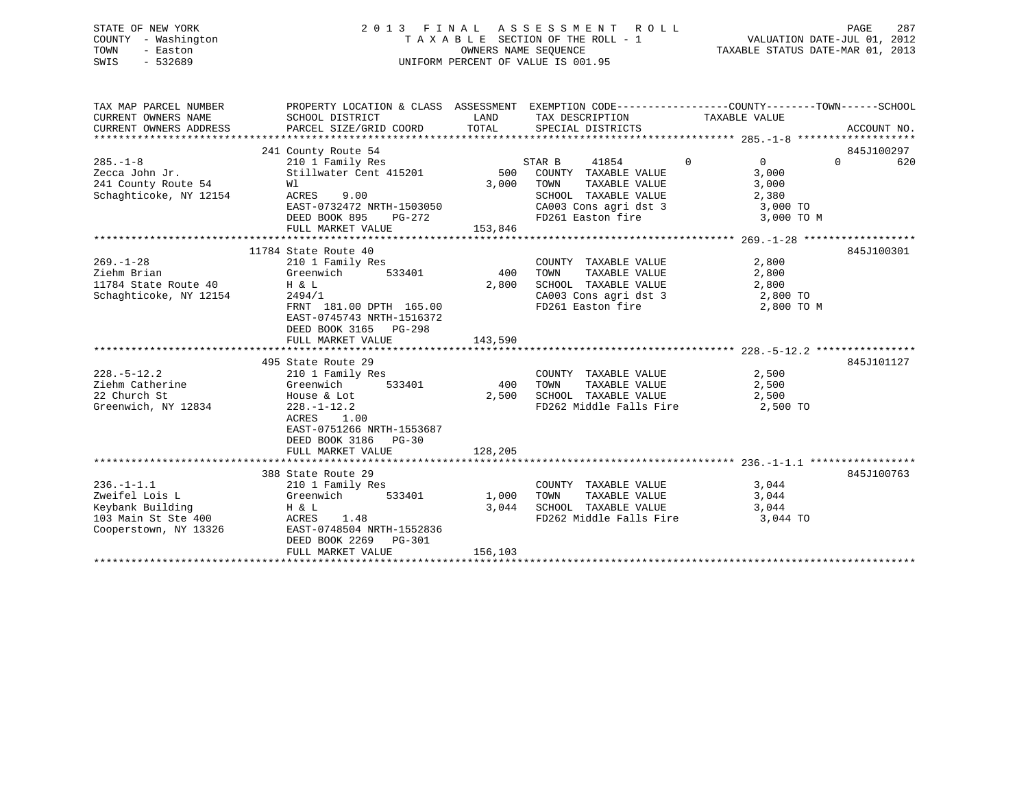# STATE OF NEW YORK 2 0 1 3 F I N A L A S S E S S M E N T R O L L PAGE 287 COUNTY - Washington T A X A B L E SECTION OF THE ROLL - 1 VALUATION DATE-JUL 01, 2012 TOWN - Easton **CONNERS NAME SEQUENCE** TAXABLE STATUS DATE-MAR 01, 2013 SWIS - 532689 UNIFORM PERCENT OF VALUE IS 001.95

| SCHOOL DISTRICT<br>PARCEL SIZE/GRID COORD                                                                                                                                                                   | LAND<br>TOTAL                                                                             | TAX DESCRIPTION<br>SPECIAL DISTRICTS                                                 |                                                                                 | ACCOUNT NO.                                                                                                                                                                                                                                                                                                                                     |
|-------------------------------------------------------------------------------------------------------------------------------------------------------------------------------------------------------------|-------------------------------------------------------------------------------------------|--------------------------------------------------------------------------------------|---------------------------------------------------------------------------------|-------------------------------------------------------------------------------------------------------------------------------------------------------------------------------------------------------------------------------------------------------------------------------------------------------------------------------------------------|
|                                                                                                                                                                                                             |                                                                                           |                                                                                      |                                                                                 | 845J100297                                                                                                                                                                                                                                                                                                                                      |
| 210 1 Family Res<br>Stillwater Cent 415201<br>Wl<br>ACRES<br>9.00<br>DEED BOOK 895<br>PG-272<br>FULL MARKET VALUE                                                                                           | 3,000                                                                                     | 41854<br>COUNTY TAXABLE VALUE<br>TOWN<br>SCHOOL TAXABLE VALUE                        | $\overline{0}$<br>$\Omega$<br>3,000<br>3,000<br>2,380<br>3,000 TO<br>3,000 TO M | $\Omega$<br>620                                                                                                                                                                                                                                                                                                                                 |
|                                                                                                                                                                                                             |                                                                                           |                                                                                      |                                                                                 |                                                                                                                                                                                                                                                                                                                                                 |
| 210 1 Family Res<br>Greenwich<br>533401<br>11784 State Route 40<br>H & L<br>2494/1<br>EAST-0745743 NRTH-1516372                                                                                             | 400<br>2,800                                                                              | COUNTY TAXABLE VALUE                                                                 | 2,800<br>2,800<br>2,800<br>2,800 TO M                                           | 845J100301                                                                                                                                                                                                                                                                                                                                      |
| FULL MARKET VALUE                                                                                                                                                                                           | 143,590                                                                                   |                                                                                      |                                                                                 |                                                                                                                                                                                                                                                                                                                                                 |
|                                                                                                                                                                                                             |                                                                                           |                                                                                      |                                                                                 |                                                                                                                                                                                                                                                                                                                                                 |
| 495 State Route 29<br>210 1 Family Res<br>Greenwich<br>533401<br>House & Lot<br>$228. - 1 - 12.2$<br>ACRES 1.00<br>EAST-0751266 NRTH-1553687<br>DEED BOOK 3186 PG-30                                        | 400<br>2,500                                                                              | COUNTY TAXABLE VALUE<br>TOWN                                                         | 2,500<br>2,500<br>2,500                                                         | 845J101127                                                                                                                                                                                                                                                                                                                                      |
|                                                                                                                                                                                                             |                                                                                           |                                                                                      |                                                                                 |                                                                                                                                                                                                                                                                                                                                                 |
| 388 State Route 29<br>210 1 Family Res<br>Greenwich<br>H & L<br>103 Main St Ste 400<br>Cooperstown, NY 13326<br>ACRES<br>1.48<br>EAST-0748504 NRTH-1552836<br>DEED BOOK 2269<br>PG-301<br>FULL MARKET VALUE | 1,000<br>156,103                                                                          | COUNTY TAXABLE VALUE<br>TOWN<br>TAXABLE VALUE<br>SCHOOL TAXABLE VALUE                | 3,044<br>3,044<br>3,044<br>3,044 TO                                             | 845J100763                                                                                                                                                                                                                                                                                                                                      |
|                                                                                                                                                                                                             | 241 County Route 54<br>11784 State Route 40<br>DEED BOOK 3165 PG-298<br>FULL MARKET VALUE | EAST-0732472 NRTH-1503050<br>153,846<br>FRNT 181.00 DPTH 165.00<br>128,205<br>533401 | STAR B<br>500<br>3,044                                                          | PROPERTY LOCATION & CLASS ASSESSMENT EXEMPTION CODE----------------COUNTY-------TOWN------SCHOOL<br>TAXABLE VALUE<br>TAXABLE VALUE<br>CA003 Cons agri dst 3<br>FD261 Easton fire<br>CA003 Cons agri dst 3 2,800 TO<br>FD261 Easton fire<br>TAXABLE VALUE<br>SCHOOL TAXABLE VALUE<br>FD262 Middle Falls Fire 2,500 TO<br>FD262 Middle Falls Fire |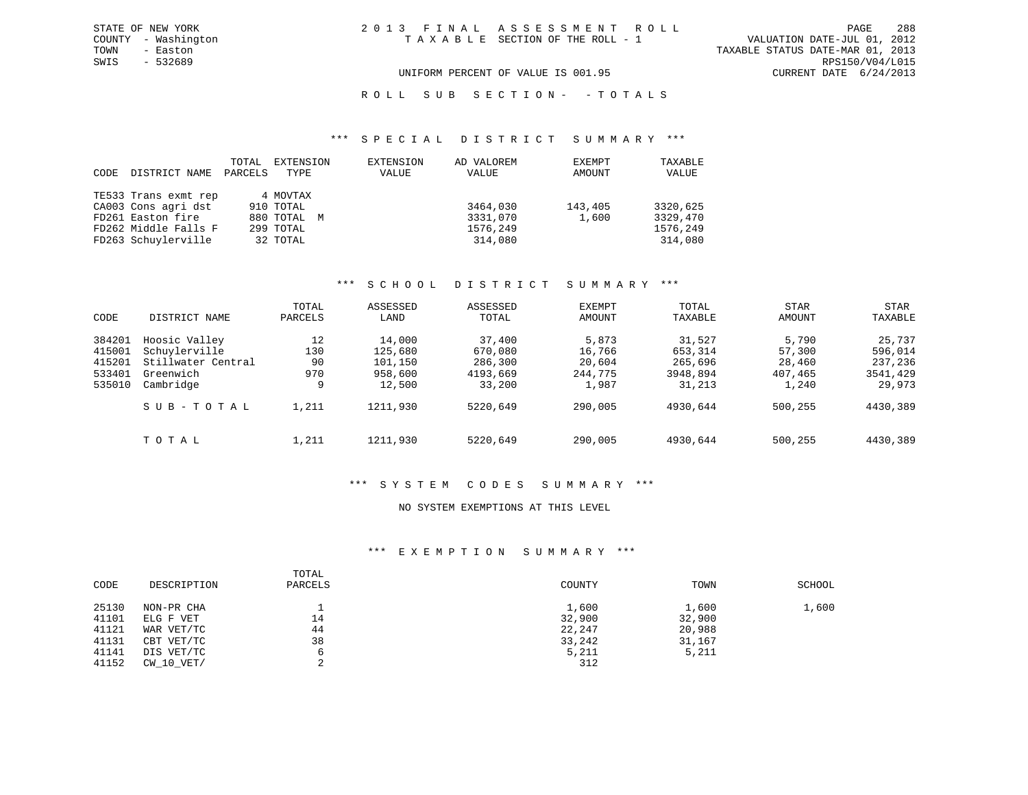TOWN - Easton TAXABLE STATUS DATE-MAR 01, 2013 SWIS - 532689 RPS150/V04/L015 UNIFORM PERCENT OF VALUE IS 001.95 CURRENT DATE 6/24/2013

R O L L S U B S E C T I O N - - T O T A L S

#### \*\*\* S P E C I A L D I S T R I C T S U M M A R Y \*\*\*

| CODE | DISTRICT NAME        | TOTAL<br>PARCELS | EXTENSION<br>TYPE | EXTENSION<br>VALUE | AD VALOREM<br>VALUE | EXEMPT<br>AMOUNT | TAXABLE<br>VALUE |
|------|----------------------|------------------|-------------------|--------------------|---------------------|------------------|------------------|
|      | TE533 Trans exmt rep |                  | 4 MOVTAX          |                    |                     |                  |                  |
|      | CA003 Cons agri dst  |                  | 910 TOTAL         |                    | 3464,030            | 143,405          | 3320,625         |
|      | FD261 Easton fire    |                  | 880 TOTAL M       |                    | 3331,070            | 1,600            | 3329,470         |
|      | FD262 Middle Falls F |                  | 299 TOTAL         |                    | 1576,249            |                  | 1576,249         |
|      | FD263 Schuylerville  |                  | 32 TOTAL          |                    | 314,080             |                  | 314,080          |

#### \*\*\* S C H O O L D I S T R I C T S U M M A R Y \*\*\*

|        |                    | TOTAL   | ASSESSED | ASSESSED | <b>EXEMPT</b> | TOTAL    | <b>STAR</b> | STAR     |
|--------|--------------------|---------|----------|----------|---------------|----------|-------------|----------|
| CODE   | DISTRICT NAME      | PARCELS | LAND     | TOTAL    | AMOUNT        | TAXABLE  | AMOUNT      | TAXABLE  |
| 384201 | Hoosic Valley      | 12      | 14,000   | 37,400   | 5,873         | 31,527   | 5,790       | 25,737   |
| 415001 | Schuylerville      | 130     | 125,680  | 670,080  | 16,766        | 653,314  | 57,300      | 596,014  |
| 415201 | Stillwater Central | 90      | 101,150  | 286,300  | 20,604        | 265,696  | 28,460      | 237,236  |
| 533401 | Greenwich          | 970     | 958,600  | 4193,669 | 244,775       | 3948,894 | 407,465     | 3541,429 |
| 535010 | Cambridge          | 9       | 12,500   | 33,200   | 1,987         | 31,213   | 1,240       | 29,973   |
|        | SUB-TOTAL          | 1,211   | 1211,930 | 5220,649 | 290,005       | 4930,644 | 500,255     | 4430,389 |
|        | TOTAL              | 1,211   | 1211,930 | 5220,649 | 290,005       | 4930,644 | 500,255     | 4430,389 |

#### \*\*\* S Y S T E M C O D E S S U M M A R Y \*\*\*

#### NO SYSTEM EXEMPTIONS AT THIS LEVEL

#### \*\*\* E X E M P T I O N S U M M A R Y \*\*\*

| CODE  | DESCRIPTION    | TOTAL<br>PARCELS | COUNTY | TOWN   | SCHOOL |
|-------|----------------|------------------|--------|--------|--------|
| 25130 | NON-PR CHA     |                  | 1,600  | 1,600  | 1,600  |
| 41101 | ELG F VET      | 14               | 32,900 | 32,900 |        |
| 41121 | WAR VET/TC     | 44               | 22,247 | 20,988 |        |
| 41131 | CBT VET/TC     | 38               | 33,242 | 31,167 |        |
| 41141 | DIS VET/TC     |                  | 5,211  | 5,211  |        |
| 41152 | $CW$ 10 $VET/$ | ⌒                | 312    |        |        |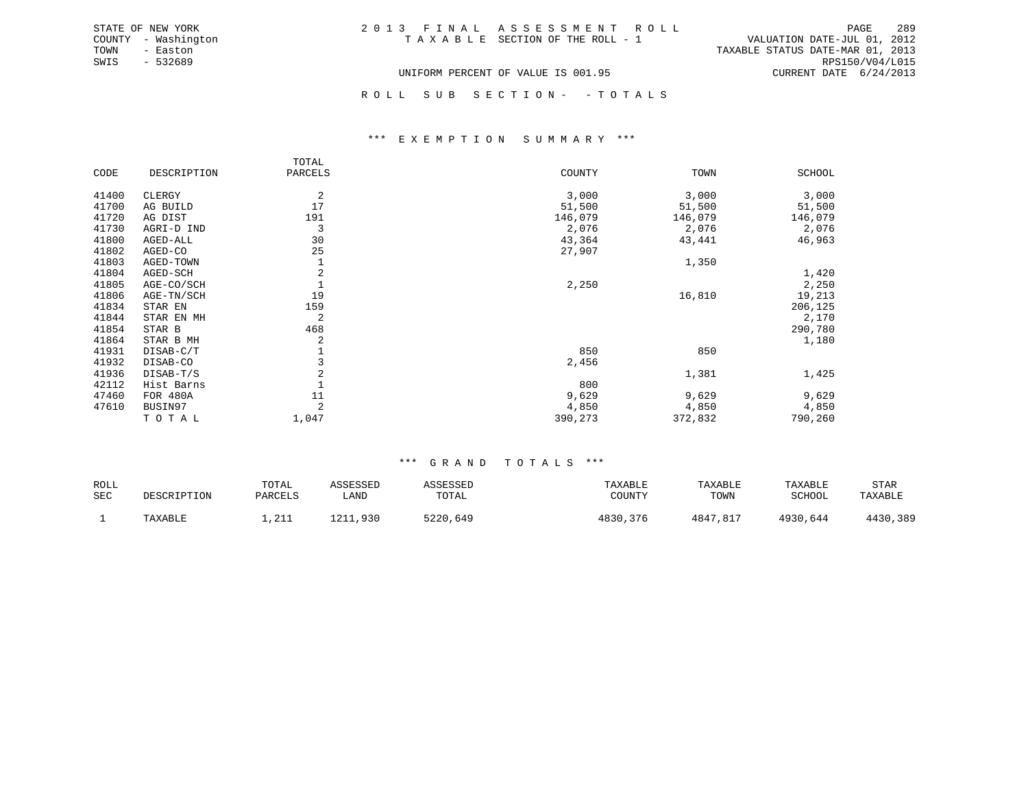| STATE OF NEW YORK   | 2013 FINAL ASSESSMENT ROLL         | -289<br>PAGE                     |
|---------------------|------------------------------------|----------------------------------|
| COUNTY - Washington | TAXABLE SECTION OF THE ROLL - 1    | VALUATION DATE-JUL 01, 2012      |
| TOWN<br>- Easton    |                                    | TAXABLE STATUS DATE-MAR 01, 2013 |
| $-532689$<br>SWIS   |                                    | RPS150/V04/L015                  |
|                     | UNIFORM PERCENT OF VALUE IS 001.95 | CURRENT DATE $6/24/2013$         |

ROLL SUB SECTION - - TOTALS

#### \*\*\* E X E M P T I O N S U M M A R Y \*\*\*

|       |             | TOTAL   |         |         |         |
|-------|-------------|---------|---------|---------|---------|
| CODE  | DESCRIPTION | PARCELS | COUNTY  | TOWN    | SCHOOL  |
| 41400 | CLERGY      | 2       | 3,000   | 3,000   | 3,000   |
| 41700 | AG BUILD    | 17      | 51,500  | 51,500  | 51,500  |
| 41720 | AG DIST     | 191     | 146,079 | 146,079 | 146,079 |
| 41730 | AGRI-D IND  | 3       | 2,076   | 2,076   | 2,076   |
| 41800 | AGED-ALL    | 30      | 43,364  | 43,441  | 46,963  |
| 41802 | AGED-CO     | 25      | 27,907  |         |         |
| 41803 | AGED-TOWN   |         |         | 1,350   |         |
| 41804 | AGED-SCH    | 2       |         |         | 1,420   |
| 41805 | AGE-CO/SCH  |         | 2,250   |         | 2,250   |
| 41806 | AGE-TN/SCH  | 19      |         | 16,810  | 19,213  |
| 41834 | STAR EN     | 159     |         |         | 206,125 |
| 41844 | STAR EN MH  | 2       |         |         | 2,170   |
| 41854 | STAR B      | 468     |         |         | 290,780 |
| 41864 | STAR B MH   | 2       |         |         | 1,180   |
| 41931 | DISAB-C/T   |         | 850     | 850     |         |
| 41932 | DISAB-CO    |         | 2,456   |         |         |
| 41936 | DISAB-T/S   | 2       |         | 1,381   | 1,425   |
| 42112 | Hist Barns  |         | 800     |         |         |
| 47460 | FOR 480A    | 11      | 9,629   | 9,629   | 9,629   |
| 47610 | BUSIN97     | 2       | 4,850   | 4,850   | 4,850   |
|       | TOTAL       | 1,047   | 390,273 | 372,832 | 790,260 |

| ROLL<br>SEC | DESCRIPTION | TOTAL<br>PARCELS     | ASSESSED<br>LAND | ASSESSED<br>TOTAL | TAXABLE<br>COUNTY | TAXABLE<br>TOWN | TAXABLE<br>SCHOOL | STAR<br>TAXABLE |
|-------------|-------------|----------------------|------------------|-------------------|-------------------|-----------------|-------------------|-----------------|
|             | TAXABLE     | 2212<br><b>+,4++</b> | 1 0 1 1<br>.,930 | 5220<br>.649      | 4830<br>376       | 4847<br>7,817   | 4930,644          | 1120<br>,389    |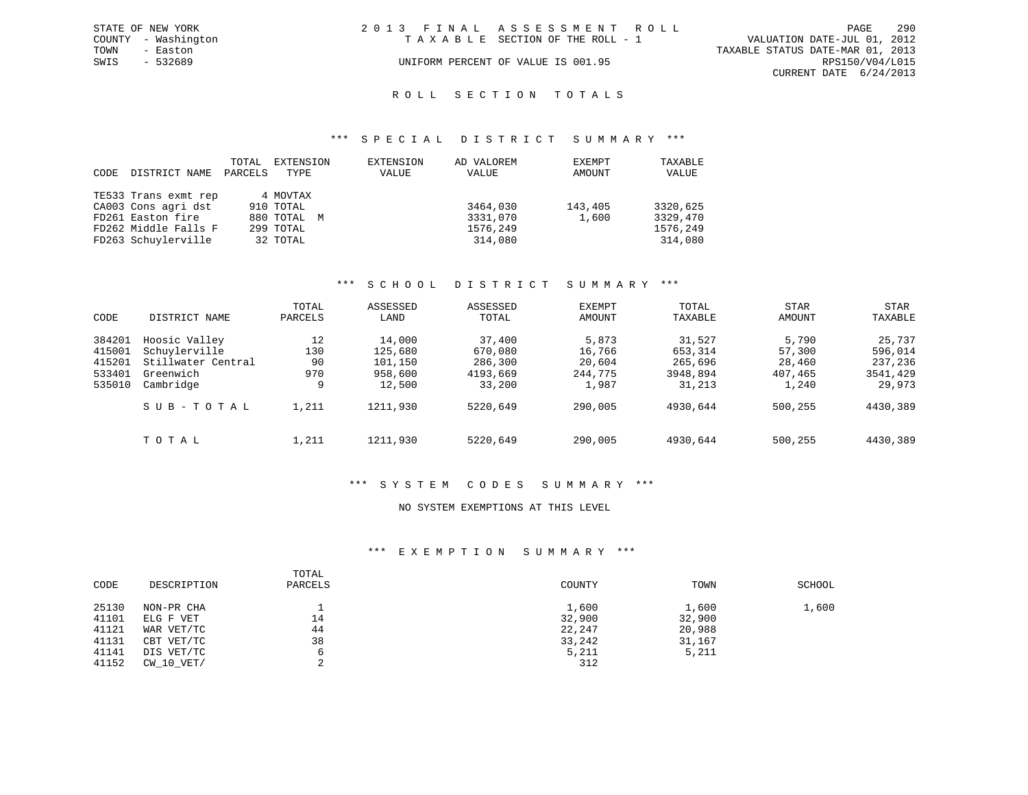|      | STATE OF NEW YORK   | 2013 FINAL ASSESSMENT ROLL |                                    |                                  | PAGE                   | 290 |
|------|---------------------|----------------------------|------------------------------------|----------------------------------|------------------------|-----|
|      | COUNTY - Washington |                            | TAXABLE SECTION OF THE ROLL - 1    | VALUATION DATE-JUL 01, 2012      |                        |     |
| TOWN | - Easton            |                            |                                    | TAXABLE STATUS DATE-MAR 01, 2013 |                        |     |
| SWIS | $-532689$           |                            | UNIFORM PERCENT OF VALUE IS 001.95 |                                  | RPS150/V04/L015        |     |
|      |                     |                            |                                    |                                  | CURRENT DATE 6/24/2013 |     |
|      |                     |                            |                                    |                                  |                        |     |

### ROLL SECTION TOTALS

#### \*\*\* S P E C I A L D I S T R I C T S U M M A R Y \*\*\*

| CODE | DISTRICT NAME        | TOTAL<br>PARCELS | EXTENSION   | EXTENSION | AD VALOREM | EXEMPT  | TAXABLE  |
|------|----------------------|------------------|-------------|-----------|------------|---------|----------|
|      |                      |                  | TYPE        | VALUE     | VALUE      | AMOUNT  | VALUE    |
|      | TE533 Trans exmt rep |                  | 4 MOVTAX    |           |            |         |          |
|      | CA003 Cons agri dst  |                  | 910 TOTAL   |           | 3464,030   | 143,405 | 3320,625 |
|      | FD261 Easton fire    |                  | 880 TOTAL M |           | 3331,070   | 1,600   | 3329,470 |
|      | FD262 Middle Falls F |                  | 299 TOTAL   |           | 1576,249   |         | 1576,249 |
|      | FD263 Schuylerville  |                  | 32 TOTAL    |           | 314,080    |         | 314,080  |

#### \*\*\* S C H O O L D I S T R I C T S U M M A R Y \*\*\*

| CODE   | DISTRICT NAME      | TOTAL<br>PARCELS | ASSESSED<br>LAND | ASSESSED<br>TOTAL | <b>EXEMPT</b><br>AMOUNT | TOTAL<br>TAXABLE | <b>STAR</b><br>AMOUNT | STAR<br>TAXABLE |
|--------|--------------------|------------------|------------------|-------------------|-------------------------|------------------|-----------------------|-----------------|
|        |                    |                  |                  |                   |                         |                  |                       |                 |
| 384201 | Hoosic Valley      | 12               | 14,000           | 37,400            | 5,873                   | 31,527           | 5,790                 | 25,737          |
| 415001 | Schuylerville      | 130              | 125,680          | 670,080           | 16,766                  | 653,314          | 57,300                | 596,014         |
| 415201 | Stillwater Central | 90               | 101,150          | 286,300           | 20,604                  | 265,696          | 28,460                | 237,236         |
| 533401 | Greenwich          | 970              | 958,600          | 4193,669          | 244,775                 | 3948,894         | 407,465               | 3541,429        |
| 535010 | Cambridge          | 9                | 12,500           | 33,200            | 1,987                   | 31,213           | 1,240                 | 29,973          |
|        | SUB-TOTAL          | 1,211            | 1211,930         | 5220,649          | 290,005                 | 4930,644         | 500,255               | 4430,389        |
|        | TOTAL              | 1,211            | 1211,930         | 5220,649          | 290,005                 | 4930,644         | 500,255               | 4430,389        |

#### \*\*\* S Y S T E M C O D E S S U M M A R Y \*\*\*

#### NO SYSTEM EXEMPTIONS AT THIS LEVEL

#### \*\*\* E X E M P T I O N S U M M A R Y \*\*\*

| CODE  | DESCRIPTION    | TOTAL<br>PARCELS | COUNTY | TOWN   | SCHOOL |
|-------|----------------|------------------|--------|--------|--------|
| 25130 | NON-PR CHA     |                  | 1,600  | 1,600  | 1,600  |
| 41101 | ELG F VET      | 14               | 32,900 | 32,900 |        |
| 41121 | WAR VET/TC     | 44               | 22,247 | 20,988 |        |
| 41131 | CBT VET/TC     | 38               | 33,242 | 31,167 |        |
| 41141 | DIS VET/TC     |                  | 5,211  | 5,211  |        |
| 41152 | $CW$ 10 $VET/$ |                  | 312    |        |        |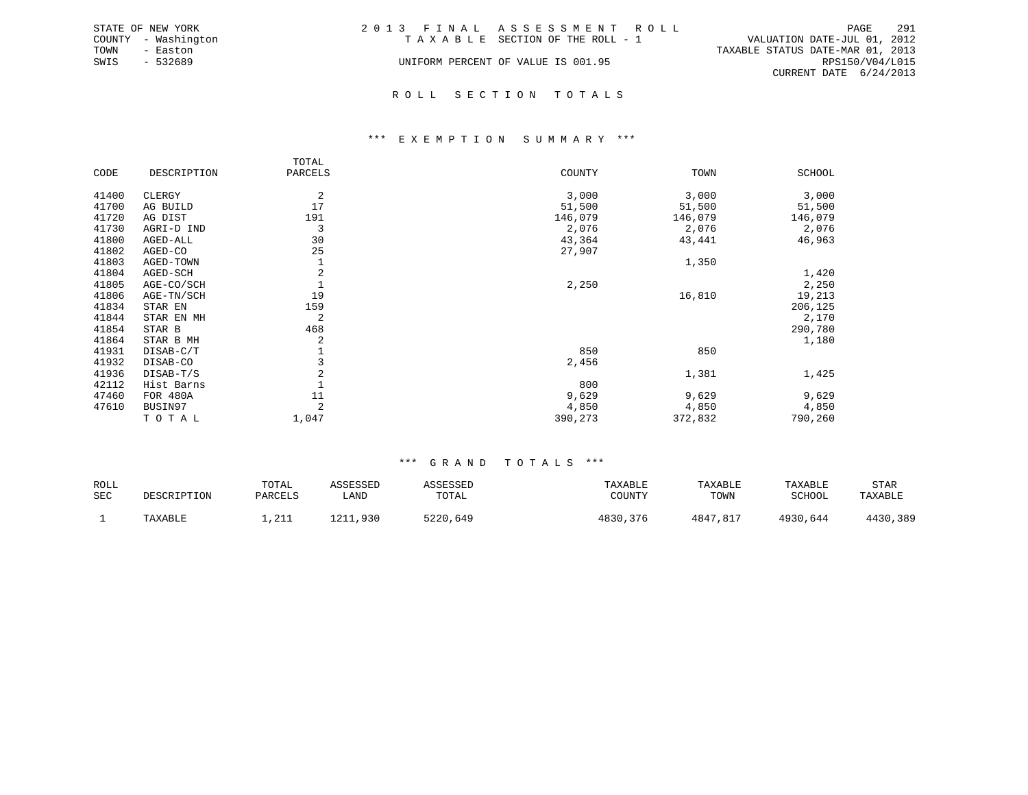|      | STATE OF NEW YORK   | 2013 FINAL ASSESSMENT ROLL                                     | PAGE            | 291 |
|------|---------------------|----------------------------------------------------------------|-----------------|-----|
|      | COUNTY - Washington | VALUATION DATE-JUL 01, 2012<br>TAXABLE SECTION OF THE ROLL - 1 |                 |     |
| TOWN | - Easton            | TAXABLE STATUS DATE-MAR 01, 2013                               |                 |     |
| SWIS | $-532689$           | UNIFORM PERCENT OF VALUE IS 001.95                             | RPS150/V04/L015 |     |
|      |                     | CURRENT DATE 6/24/2013                                         |                 |     |
|      |                     |                                                                |                 |     |

#### R O L L S E C T I O N T O T A L S

#### \*\*\* E X E M P T I O N S U M M A R Y \*\*\*

|       |                 | TOTAL          |         |         |               |
|-------|-----------------|----------------|---------|---------|---------------|
| CODE  | DESCRIPTION     | PARCELS        | COUNTY  | TOWN    | <b>SCHOOL</b> |
| 41400 | CLERGY          | 2              | 3,000   | 3,000   | 3,000         |
| 41700 | AG BUILD        | 17             | 51,500  | 51,500  | 51,500        |
| 41720 | AG DIST         | 191            | 146,079 | 146,079 | 146,079       |
| 41730 | AGRI-D IND      | 3              | 2,076   | 2,076   | 2,076         |
| 41800 | AGED-ALL        | 30             | 43,364  | 43,441  | 46,963        |
| 41802 | AGED-CO         | 25             | 27,907  |         |               |
| 41803 | AGED-TOWN       | 1              |         | 1,350   |               |
| 41804 | AGED-SCH        | $\overline{2}$ |         |         | 1,420         |
| 41805 | AGE-CO/SCH      | 1              | 2,250   |         | 2,250         |
| 41806 | AGE-TN/SCH      | 19             |         | 16,810  | 19,213        |
| 41834 | STAR EN         | 159            |         |         | 206,125       |
| 41844 | STAR EN MH      | 2              |         |         | 2,170         |
| 41854 | STAR B          | 468            |         |         | 290,780       |
| 41864 | STAR B MH       | 2              |         |         | 1,180         |
| 41931 | DISAB-C/T       | 1              | 850     | 850     |               |
| 41932 | DISAB-CO        | 3              | 2,456   |         |               |
| 41936 | DISAB-T/S       | $\overline{2}$ |         | 1,381   | 1,425         |
| 42112 | Hist Barns      |                | 800     |         |               |
| 47460 | <b>FOR 480A</b> | 11             | 9,629   | 9,629   | 9,629         |
| 47610 | BUSIN97         | $\overline{2}$ | 4,850   | 4,850   | 4,850         |
|       | TOTAL           | 1,047          | 390,273 | 372,832 | 790,260       |

| ROLL       |             | TOTAL                | ASSESSED | 1 C C F C C F I | TAXABLE  | TAXABLE  | TAXABLE  | STAR     |
|------------|-------------|----------------------|----------|-----------------|----------|----------|----------|----------|
| <b>SEC</b> | DESCRIPTION | PARCELS              | LAND     | TOTAL           | COUNTY   | TOWN     | SCHOOL   | TAXABLE  |
|            | TAXABLE     | $\cap$ $\cap$ $\cap$ | 1211,930 | 5220,649        | 4830,376 | 4847,817 | 4930,644 | 4430,389 |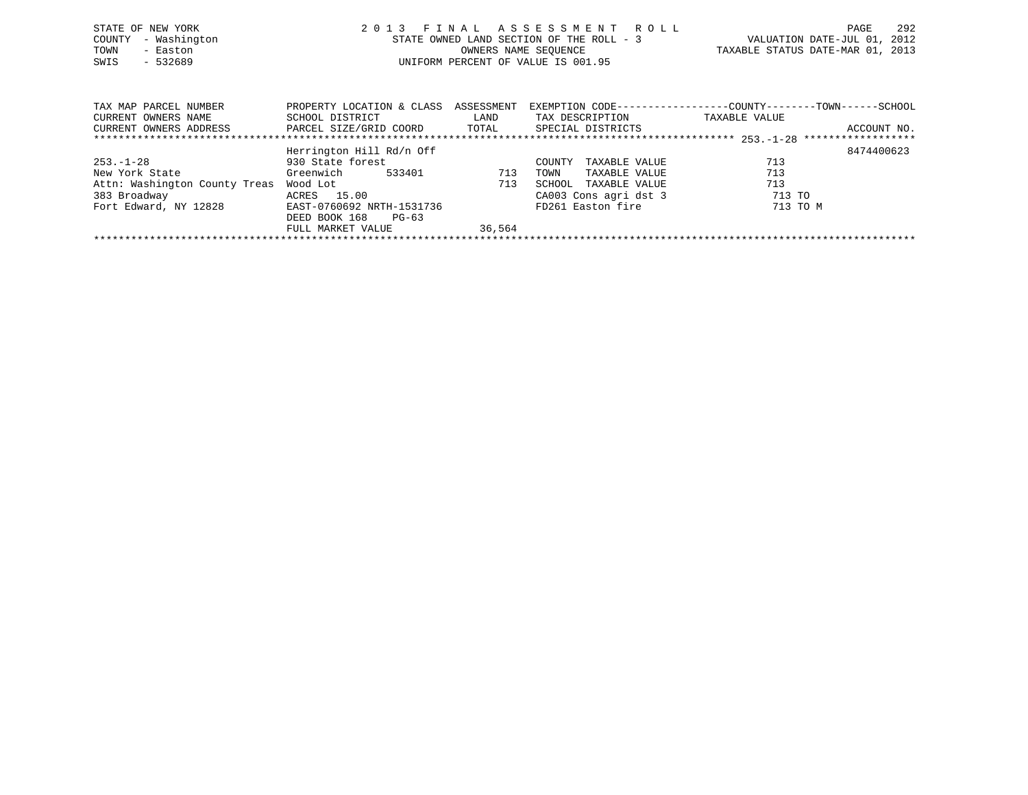| STATE OF NEW YORK<br>- Washington<br>COUNTY<br>- Easton<br>TOWN<br>$-532689$<br>SWIS |                                                                        |                             | 2013 FINAL ASSESSMENT ROLL<br>STATE OWNED LAND SECTION OF THE ROLL - 3<br>OWNERS NAME SEOUENCE<br>UNIFORM PERCENT OF VALUE IS 001.95 | TAXABLE STATUS DATE-MAR 01, 2013                                              | PAGE<br>VALUATION DATE-JUL 01, 2012 | 292         |
|--------------------------------------------------------------------------------------|------------------------------------------------------------------------|-----------------------------|--------------------------------------------------------------------------------------------------------------------------------------|-------------------------------------------------------------------------------|-------------------------------------|-------------|
| TAX MAP PARCEL NUMBER<br>CURRENT OWNERS NAME<br>CURRENT OWNERS ADDRESS               | PROPERTY LOCATION & CLASS<br>SCHOOL DISTRICT<br>PARCEL SIZE/GRID COORD | ASSESSMENT<br>LAND<br>TOTAL | TAX DESCRIPTION<br>SPECIAL DISTRICTS                                                                                                 | EXEMPTION CODE-----------------COUNTY-------TOWN------SCHOOL<br>TAXABLE VALUE |                                     | ACCOUNT NO. |

|                               | Herrington Hill Rd/n Off  |        |                         | 8474400623 |
|-------------------------------|---------------------------|--------|-------------------------|------------|
| $253. - 1 - 28$               | 930 State forest          |        | TAXABLE VALUE<br>COUNTY | 713        |
| New York State                | Greenwich<br>533401       | 713    | TAXABLE VALUE<br>TOWN   | 713        |
| Attn: Washington County Treas | Wood Lot                  | 713    | TAXABLE VALUE<br>SCHOOL | 713        |
| 383 Broadway                  | 15.00<br>ACRES            |        | CA003 Cons agri dst 3   | 713 TO     |
| Fort Edward, NY 12828         | EAST-0760692 NRTH-1531736 |        | FD261 Easton fire       | 713 TO M   |
|                               | DEED BOOK 168<br>$PG-63$  |        |                         |            |
|                               | FULL MARKET VALUE         | 36,564 |                         |            |
|                               |                           |        |                         |            |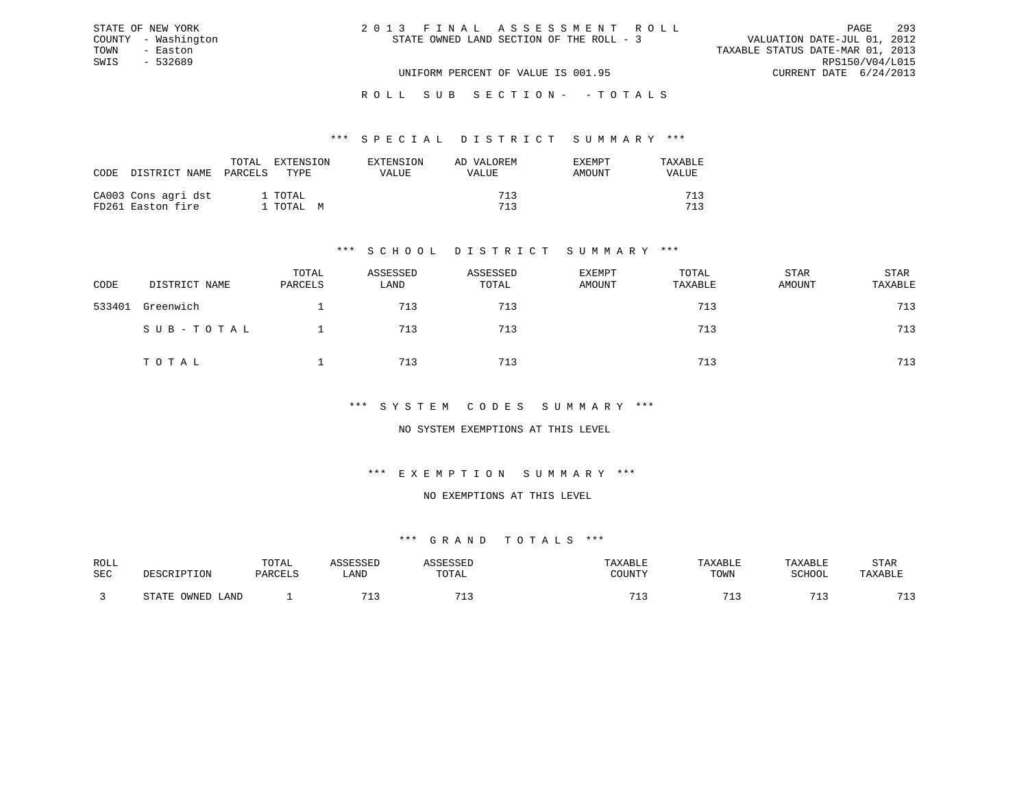| 2013 FINAL ASSESSMENT ROLL               |                                  | PAGE            | 293 |
|------------------------------------------|----------------------------------|-----------------|-----|
| STATE OWNED LAND SECTION OF THE ROLL - 3 | VALUATION DATE-JUL 01, 2012      |                 |     |
|                                          | TAXABLE STATUS DATE-MAR 01, 2013 |                 |     |
|                                          |                                  | RPS150/V04/L015 |     |
| UNIFORM PERCENT OF VALUE IS 001.95       | CURRENT DATE 6/24/2013           |                 |     |

#### \*\*\* S P E C I A L D I S T R I C T S U M M A R Y \*\*\*

| CODE | DISTRICT NAME                            | TOTAL<br>PARCELS | <b>EXTENSION</b><br>TYPE. | EXTENSION<br>VALUE | AD VALOREM<br>VALUE | EXEMPT<br>AMOUNT | TAXARLE<br>VALUE |
|------|------------------------------------------|------------------|---------------------------|--------------------|---------------------|------------------|------------------|
|      | CA003 Cons agri dst<br>FD261 Easton fire |                  | 1 TOTAL<br>1 TOTAL M      |                    | 713<br>713          |                  | 712<br>712       |

STATE OF NEW YORK COUNTY - Washington TOWN - Easton SWIS - 532689

### \*\*\* S C H O O L D I S T R I C T S U M M A R Y \*\*\*

| CODE   | DISTRICT NAME | TOTAL<br>PARCELS | ASSESSED<br>LAND | ASSESSED<br>TOTAL | <b>EXEMPT</b><br>AMOUNT | TOTAL<br>TAXABLE | STAR<br>AMOUNT | STAR<br>TAXABLE |
|--------|---------------|------------------|------------------|-------------------|-------------------------|------------------|----------------|-----------------|
| 533401 | Greenwich     |                  | 713              | 713               |                         | 713              |                | 713             |
|        | SUB-TOTAL     |                  | 713              | 713               |                         | 713              |                | 713             |
|        | TOTAL         |                  | 713              | 713               |                         | 713              |                | 713             |

#### \*\*\* S Y S T E M C O D E S S U M M A R Y \*\*\*

#### NO SYSTEM EXEMPTIONS AT THIS LEVEL

#### \*\*\* E X E M P T I O N S U M M A R Y \*\*\*

#### NO EXEMPTIONS AT THIS LEVEL

| ROLL       |                        | TOTAL   | <b>ACCTCCTT</b>       | <b>ACCECCET</b>       | TAXABLE | TAXABLE | TAXABLE    | STAR               |
|------------|------------------------|---------|-----------------------|-----------------------|---------|---------|------------|--------------------|
|            |                        |         |                       |                       |         |         |            |                    |
| <b>SEC</b> | DESCRIPTION            | PARCELS | LAND                  | TOTAL                 | COUNTY  | TOWN    | SCHOOL     | TAXABLE            |
|            |                        |         |                       |                       |         |         |            |                    |
|            |                        |         |                       |                       |         |         |            |                    |
|            | OWNED<br>STATE<br>LAND |         | <b>m</b> <sup>1</sup> | <b>m</b> <sup>1</sup> | 71.     |         | $-1$<br>-- | 712<br><u>ے بل</u> |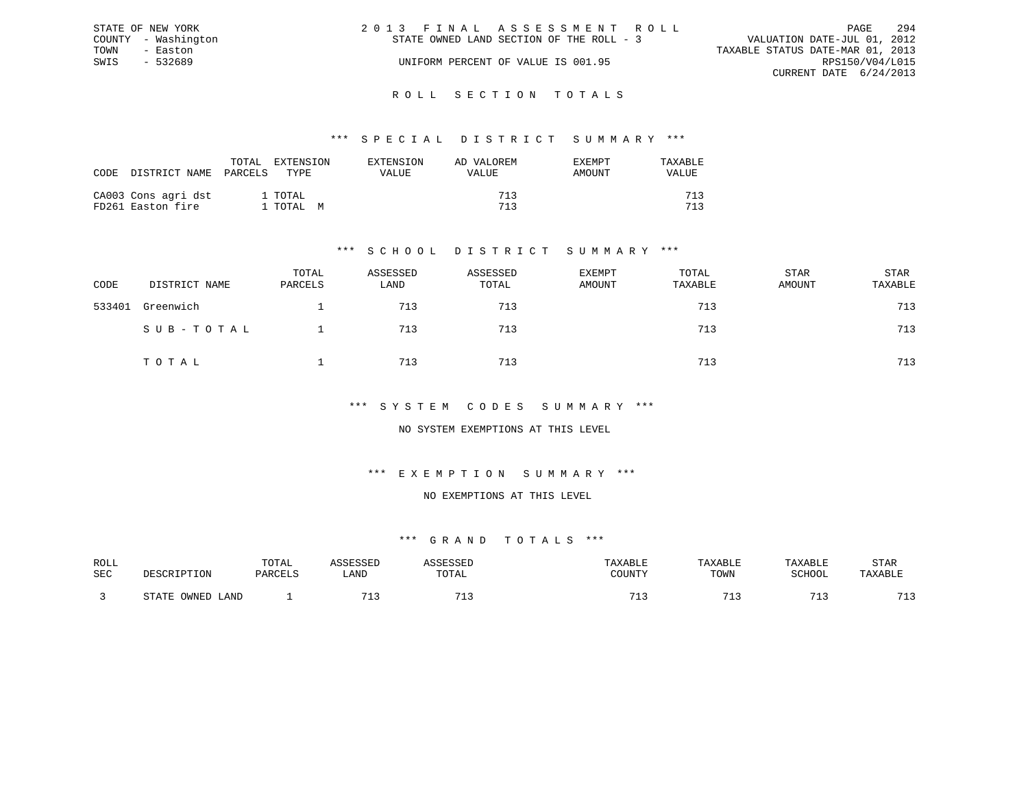|      | STATE OF NEW YORK   | 2013 FINAL ASSESSMENT ROLL               | PAGE                             | 294 |
|------|---------------------|------------------------------------------|----------------------------------|-----|
|      | COUNTY - Washington | STATE OWNED LAND SECTION OF THE ROLL - 3 | VALUATION DATE-JUL 01, 2012      |     |
| TOWN | - Easton            |                                          | TAXABLE STATUS DATE-MAR 01, 2013 |     |
| SWIS | $-532689$           | UNIFORM PERCENT OF VALUE IS 001.95       | RPS150/V04/L015                  |     |
|      |                     |                                          | CURRENT DATE 6/24/2013           |     |
|      |                     |                                          |                                  |     |

#### R O L L S E C T I O N T O T A L S

#### \*\*\* S P E C I A L D I S T R I C T S U M M A R Y \*\*\*

| CODE | DISTRICT NAME                            | TOTAL<br>PARCELS<br>TYPE. | EXTENSION | EXTENSION<br>VALUE | AD VALOREM<br>VALUE | <b>EXEMPT</b><br>AMOUNT | TAXABLE<br>VALUE |
|------|------------------------------------------|---------------------------|-----------|--------------------|---------------------|-------------------------|------------------|
|      | CA003 Cons agri dst<br>FD261 Easton fire | 1 TOTAL<br>1 ТОТАL М      |           |                    | 713<br>713          |                         | 712<br>712       |

### \*\*\* S C H O O L D I S T R I C T S U M M A R Y \*\*\*

| CODE   | DISTRICT NAME | TOTAL<br>PARCELS | ASSESSED<br>LAND | ASSESSED<br>TOTAL | <b>EXEMPT</b><br>AMOUNT | TOTAL<br>TAXABLE | STAR<br>AMOUNT | STAR<br>TAXABLE |
|--------|---------------|------------------|------------------|-------------------|-------------------------|------------------|----------------|-----------------|
| 533401 | Greenwich     |                  | 713              | 713               |                         | 713              |                | 713             |
|        | SUB-TOTAL     |                  | 713              | 713               |                         | 713              |                | 713             |
|        | TOTAL         |                  | 713              | 713               |                         | 713              |                | 713             |

#### \*\*\* S Y S T E M C O D E S S U M M A R Y \*\*\*

#### NO SYSTEM EXEMPTIONS AT THIS LEVEL

### \*\*\* E X E M P T I O N S U M M A R Y \*\*\*

#### NO EXEMPTIONS AT THIS LEVEL

| ROLL       |                        | TOTAL   | <b>ACCTCCTT</b>       | <b>ACCECCET</b>       | TAXABLE | TAXABLE | TAXABLE    | STAR               |
|------------|------------------------|---------|-----------------------|-----------------------|---------|---------|------------|--------------------|
|            |                        |         |                       |                       |         |         |            |                    |
| <b>SEC</b> | DESCRIPTION            | PARCELS | LAND                  | TOTAL                 | COUNTY  | TOWN    | SCHOOL     | TAXABLE            |
|            |                        |         |                       |                       |         |         |            |                    |
|            |                        |         |                       |                       |         |         |            |                    |
|            | OWNED<br>STATE<br>LAND |         | <b>m</b> <sup>1</sup> | <b>m</b> <sup>1</sup> | 71.     |         | $-1$<br>-- | 712<br><u>ے بل</u> |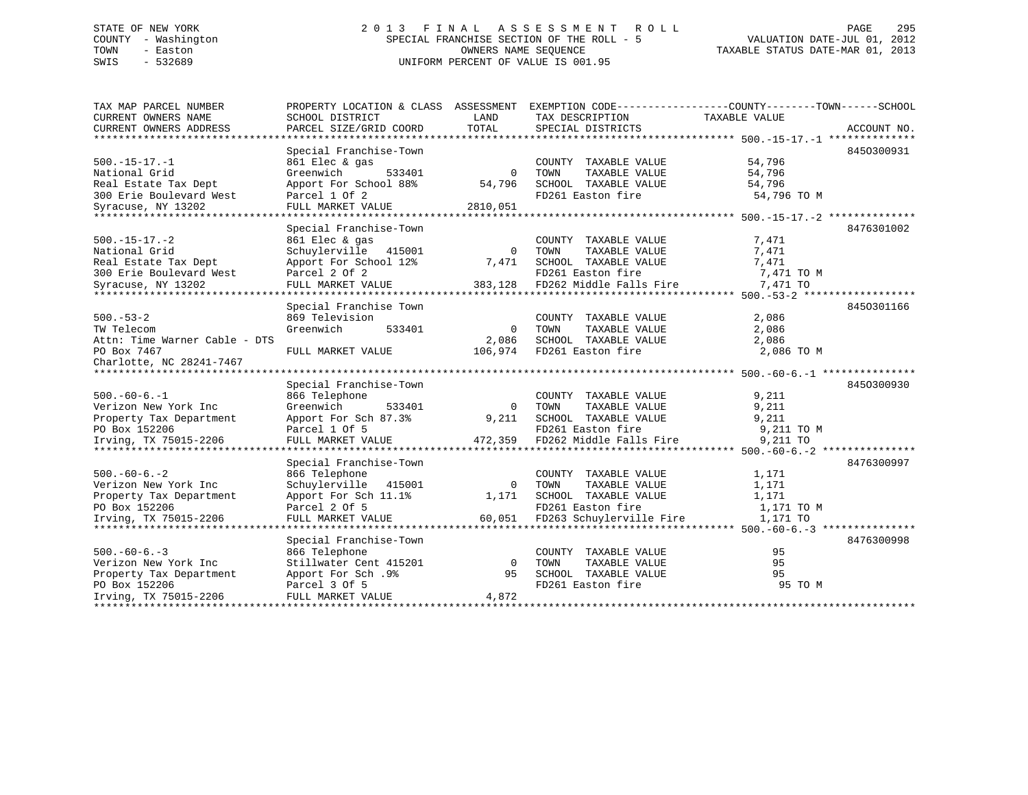## STATE OF NEW YORK 2 0 1 3 F I N A L A S S E S S M E N T R O L L PAGE 295 COUNTY - Washington SPECIAL FRANCHISE SECTION OF THE ROLL - 5 VALUATION DATE-JUL 01, 2012 TOWN - Easton OWNERS NAME SEQUENCE TAXABLE STATUS DATE-MAR 01, 2013 SWIS - 532689 UNIFORM PERCENT OF VALUE IS 001.95

| TAX MAP PARCEL NUMBER<br>CURRENT OWNERS NAME | PROPERTY LOCATION & CLASS ASSESSMENT<br>SCHOOL DISTRICT | LAND         | TAX DESCRIPTION                               | EXEMPTION CODE-----------------COUNTY-------TOWN------SCHOOL<br>TAXABLE VALUE |
|----------------------------------------------|---------------------------------------------------------|--------------|-----------------------------------------------|-------------------------------------------------------------------------------|
| CURRENT OWNERS ADDRESS                       | PARCEL SIZE/GRID COORD                                  | TOTAL        | SPECIAL DISTRICTS                             | ACCOUNT NO.                                                                   |
|                                              |                                                         |              |                                               | 8450300931                                                                    |
|                                              | Special Franchise-Town<br>861 Elec & gas                |              |                                               | 54,796                                                                        |
| $500.-15-17.-1$<br>National Grid             | Greenwich<br>533401                                     | $\Omega$     | COUNTY TAXABLE VALUE<br>TAXABLE VALUE<br>TOWN | 54,796                                                                        |
| Real Estate Tax Dept                         | Apport For School 88%                                   | 54,796       | SCHOOL TAXABLE VALUE                          | 54,796                                                                        |
| 300 Erie Boulevard West                      | Parcel 1 Of 2                                           |              | FD261 Easton fire                             | 54,796 TO M                                                                   |
| Syracuse, NY 13202                           | FULL MARKET VALUE                                       | 2810,051     |                                               |                                                                               |
| ***************************                  |                                                         |              |                                               |                                                                               |
|                                              | Special Franchise-Town                                  |              |                                               | 8476301002                                                                    |
| $500. -15 - 17. -2$                          | 861 Elec & gas                                          |              | COUNTY TAXABLE VALUE                          | 7,471                                                                         |
| National Grid                                | Schuylerville<br>415001                                 | 0            | TAXABLE VALUE<br>TOWN                         | 7,471                                                                         |
| Real Estate Tax Dept                         | Apport For School 12%                                   | 7,471        | SCHOOL TAXABLE VALUE                          | 7,471                                                                         |
| 300 Erie Boulevard West                      | Parcel 2 Of 2                                           |              | FD261 Easton fire                             | 7,471 TO M                                                                    |
| Syracuse, NY 13202                           | FULL MARKET VALUE                                       | 383,128      | FD262 Middle Falls Fire                       | 7,471 TO                                                                      |
|                                              |                                                         |              |                                               |                                                                               |
|                                              | Special Franchise Town                                  |              |                                               | 8450301166                                                                    |
| $500 - 53 - 2$                               | 869 Television                                          |              | COUNTY TAXABLE VALUE                          | 2,086                                                                         |
| TW Telecom                                   | Greenwich<br>533401                                     | $\mathbf 0$  | TOWN<br>TAXABLE VALUE                         | 2,086                                                                         |
| Attn: Time Warner Cable - DTS                |                                                         | 2,086        | SCHOOL TAXABLE VALUE                          | 2,086                                                                         |
| PO Box 7467                                  | FULL MARKET VALUE                                       | 106,974      | FD261 Easton fire                             | 2,086 TO M                                                                    |
| Charlotte, NC 28241-7467                     |                                                         |              |                                               |                                                                               |
|                                              |                                                         |              |                                               |                                                                               |
|                                              | Special Franchise-Town                                  |              |                                               | 8450300930                                                                    |
| $500. -60 - 6. -1$                           | 866 Telephone                                           |              | COUNTY TAXABLE VALUE                          | 9,211                                                                         |
| Verizon New York Inc                         | Greenwich<br>533401                                     | $\Omega$     | TAXABLE VALUE<br>TOWN                         | 9,211                                                                         |
| Property Tax Department                      | Apport For Sch 87.3%                                    | 9,211        | SCHOOL TAXABLE VALUE                          | 9,211                                                                         |
| PO Box 152206                                | Parcel 1 Of 5                                           |              | FD261 Easton fire                             | 9,211 TO M                                                                    |
| Irving, TX 75015-2206                        | FULL MARKET VALUE                                       | 472,359      | FD262 Middle Falls Fire                       | 9,211 TO                                                                      |
|                                              |                                                         |              |                                               |                                                                               |
|                                              | Special Franchise-Town                                  |              |                                               | 8476300997                                                                    |
| $500. -60 - 6. - 2$                          | 866 Telephone                                           |              | COUNTY TAXABLE VALUE                          | 1,171                                                                         |
| Verizon New York Inc                         | Schuylerville<br>415001                                 | $\mathbf{0}$ | TAXABLE VALUE<br>TOWN                         | 1,171                                                                         |
| Property Tax Department                      | Apport For Sch 11.1%                                    | 1,171        | SCHOOL TAXABLE VALUE                          | 1,171                                                                         |
| PO Box 152206                                | Parcel 2 Of 5                                           |              | FD261 Easton fire                             | 1,171 TO M                                                                    |
| Irving, TX 75015-2206                        | FULL MARKET VALUE                                       | 60,051       | FD263 Schuylerville Fire                      | 1,171 TO                                                                      |
| ******************************               |                                                         |              |                                               |                                                                               |
|                                              | Special Franchise-Town                                  |              |                                               | 8476300998                                                                    |
| $500. -60 - 6. -3$                           | 866 Telephone                                           |              | COUNTY TAXABLE VALUE                          | 95                                                                            |
| Verizon New York Inc                         | Stillwater Cent 415201                                  | $\Omega$     | TOWN<br>TAXABLE VALUE                         | 95                                                                            |
| Property Tax Department                      | Apport For Sch.9%                                       | 95           | SCHOOL TAXABLE VALUE                          | 95                                                                            |
| PO Box 152206                                | Parcel 3 Of 5                                           |              | FD261 Easton fire                             | 95 TO M                                                                       |
| Irving, TX 75015-2206                        | FULL MARKET VALUE                                       | 4,872        |                                               |                                                                               |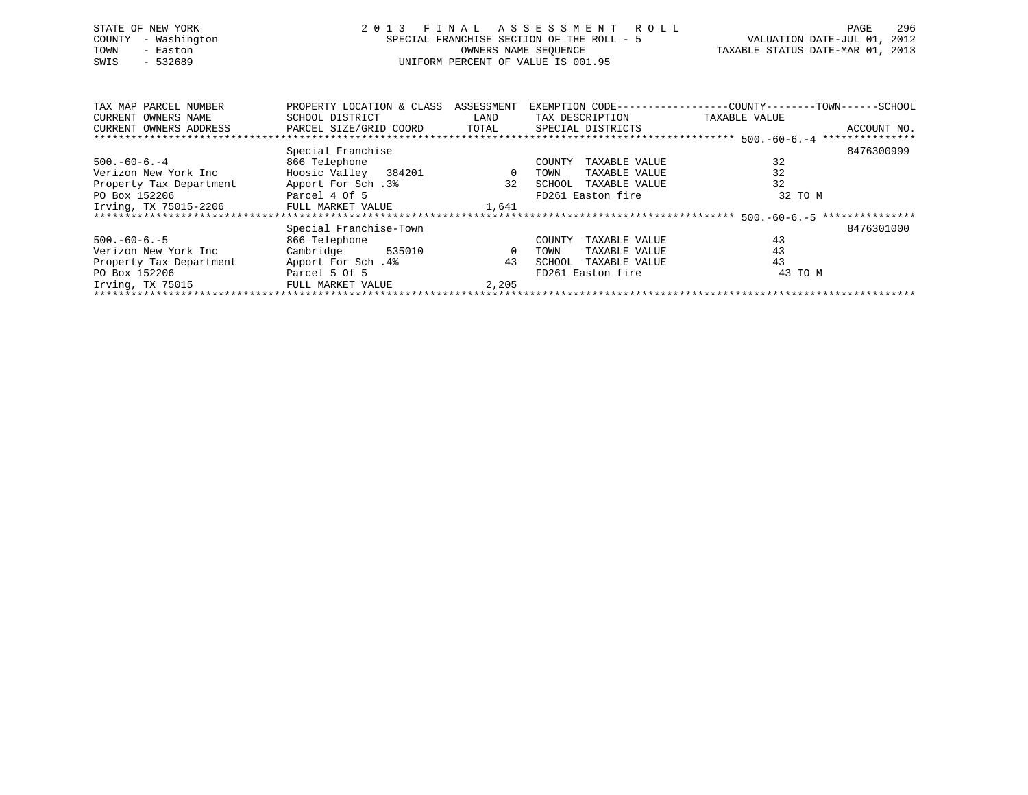| STATE OF NEW YORK<br>COUNTY - Washington<br>TOWN<br>- Easton<br>$-532689$<br>SWIS | 2013 FINAL ASSESSMENT ROLL<br>SPECIAL FRANCHISE SECTION OF THE ROLL - 5<br>OWNERS NAME SEOUENCE<br>UNIFORM PERCENT OF VALUE IS 001.95 | 296<br>PAGE<br>VALUATION DATE-JUL 01, 2012<br>TAXABLE STATUS DATE-MAR 01, 2013 |  |
|-----------------------------------------------------------------------------------|---------------------------------------------------------------------------------------------------------------------------------------|--------------------------------------------------------------------------------|--|
| TAX MAP PARCEL NUMBER                                                             | PROPERTY LOCATION & CLASS ASSESSMENT EXEMPTION CODE---------------COUNTY-------TOWN------SCHOOL                                       |                                                                                |  |

| TURI LUM TURICIN INOLIDINI              | INVITINI I DUCAIIUN & CEADD | - AUU BUULIBIY L | EXERIL IION CODE        | COUNT T       | <b>IVILY</b><br>uuuuu |
|-----------------------------------------|-----------------------------|------------------|-------------------------|---------------|-----------------------|
| CURRENT OWNERS NAME                     | SCHOOL DISTRICT             | LAND             | TAX DESCRIPTION         | TAXABLE VALUE |                       |
| CURRENT OWNERS ADDRESS                  | PARCEL SIZE/GRID COORD      | TOTAL            | SPECIAL DISTRICTS       |               | ACCOUNT NO.           |
|                                         |                             |                  |                         |               |                       |
|                                         | Special Franchise           |                  |                         |               | 8476300999            |
| $500. -60 - 6. - 4$                     | 866 Telephone               |                  | TAXABLE VALUE<br>COUNTY | 32            |                       |
| Verizon New York Inc                    | Hoosic Valley 384201        | $\mathbf{0}$     | TAXABLE VALUE<br>TOWN   | 32            |                       |
| Property Tax Department                 | Apport For Sch.3%           | 32               | TAXABLE VALUE<br>SCHOOL | 32            |                       |
| PO Box 152206                           | Parcel 4 Of 5               |                  | FD261 Easton fire       | 32 TO M       |                       |
| Irving, TX 75015-2206 FULL MARKET VALUE |                             | 1,641            |                         |               |                       |
|                                         |                             |                  |                         |               |                       |
|                                         | Special Franchise-Town      |                  |                         |               | 8476301000            |
| $500. -60 - 6. - 5$                     | 866 Telephone               |                  | COUNTY<br>TAXABLE VALUE | 43            |                       |
| Verizon New York Inc                    | Cambridge<br>535010         | $\Omega$         | TAXABLE VALUE<br>TOWN   | 43            |                       |
| Property Tax Department                 | Apport For Sch.4%           | 43               | TAXABLE VALUE<br>SCHOOL | 43            |                       |
| PO Box 152206                           | Parcel 5 Of 5               |                  | FD261 Easton fire       | 43 TO M       |                       |
| Irving, TX 75015                        | FULL MARKET VALUE           | 2,205            |                         |               |                       |
|                                         |                             |                  |                         |               |                       |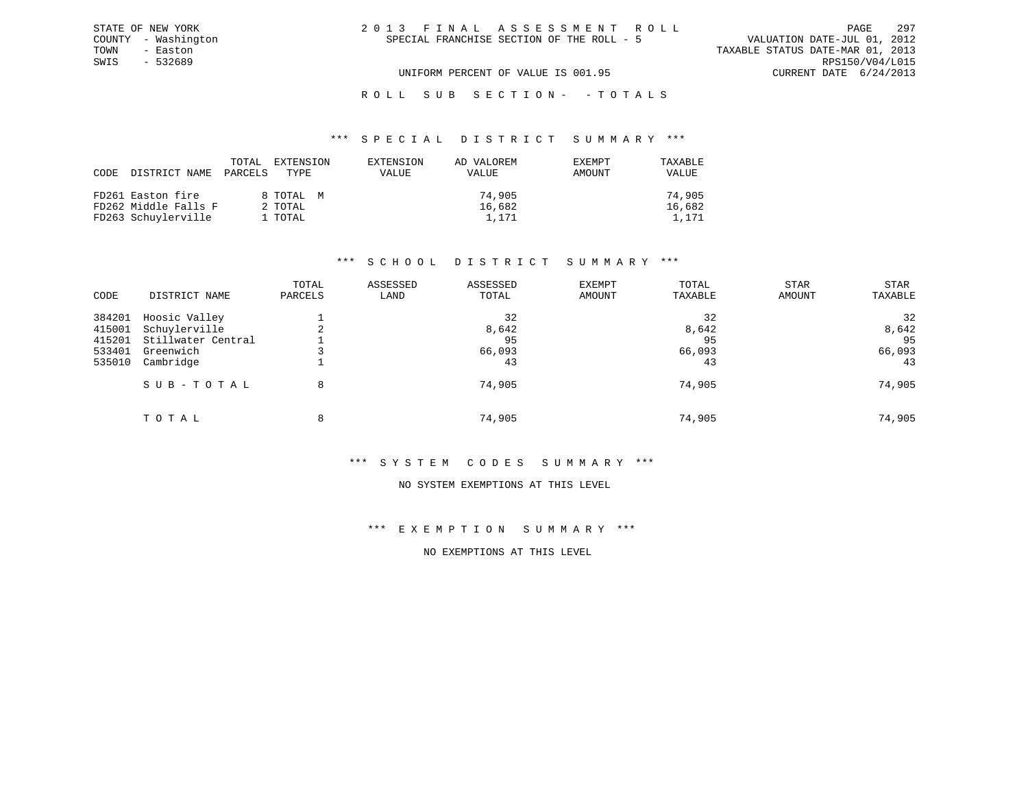ROLL SUB SECTION - - TOTALS

#### \*\*\* S P E C I A L D I S T R I C T S U M M A R Y \*\*\*

| CODE DISTRICT NAME   | TOTAL<br>PARCELS | EXTENSION<br>TYPE. | EXTENSION<br>VALUE | AD VALOREM<br><b>VALUE</b> | <b>EXEMPT</b><br>AMOUNT | TAXABLE<br>VALUE |
|----------------------|------------------|--------------------|--------------------|----------------------------|-------------------------|------------------|
| FD261 Easton fire    |                  | 8 TOTAL M          |                    | 74,905                     |                         | 74,905           |
| FD262 Middle Falls F |                  | 2 TOTAL            |                    | 16,682                     |                         | 16,682           |
| FD263 Schuylerville  |                  | 1 TOTAL            |                    | 1,171                      |                         | 1,171            |

#### \*\*\* S C H O O L D I S T R I C T S U M M A R Y \*\*\*

| CODE   | DISTRICT NAME      | TOTAL<br>PARCELS | ASSESSED<br>LAND | ASSESSED<br>TOTAL | <b>EXEMPT</b><br>AMOUNT | TOTAL<br>TAXABLE | <b>STAR</b><br>AMOUNT | <b>STAR</b><br>TAXABLE |
|--------|--------------------|------------------|------------------|-------------------|-------------------------|------------------|-----------------------|------------------------|
| 384201 | Hoosic Valley      |                  |                  | 32                |                         | 32               |                       | 32                     |
| 415001 | Schuylerville      |                  |                  | 8,642             |                         | 8,642            |                       | 8,642                  |
| 415201 | Stillwater Central |                  |                  | 95                |                         | 95               |                       | 95                     |
| 533401 | Greenwich          |                  |                  | 66,093            |                         | 66,093           |                       | 66,093                 |
| 535010 | Cambridge          |                  |                  | 43                |                         | 43               |                       | 43                     |
|        | SUB-TOTAL          | 8                |                  | 74,905            |                         | 74,905           |                       | 74,905                 |
|        | TOTAL              | 8                |                  | 74,905            |                         | 74,905           |                       | 74,905                 |

#### \*\*\* S Y S T E M C O D E S S U M M A R Y \*\*\*

#### NO SYSTEM EXEMPTIONS AT THIS LEVEL

### \*\*\* E X E M P T I O N S U M M A R Y \*\*\*

### NO EXEMPTIONS AT THIS LEVEL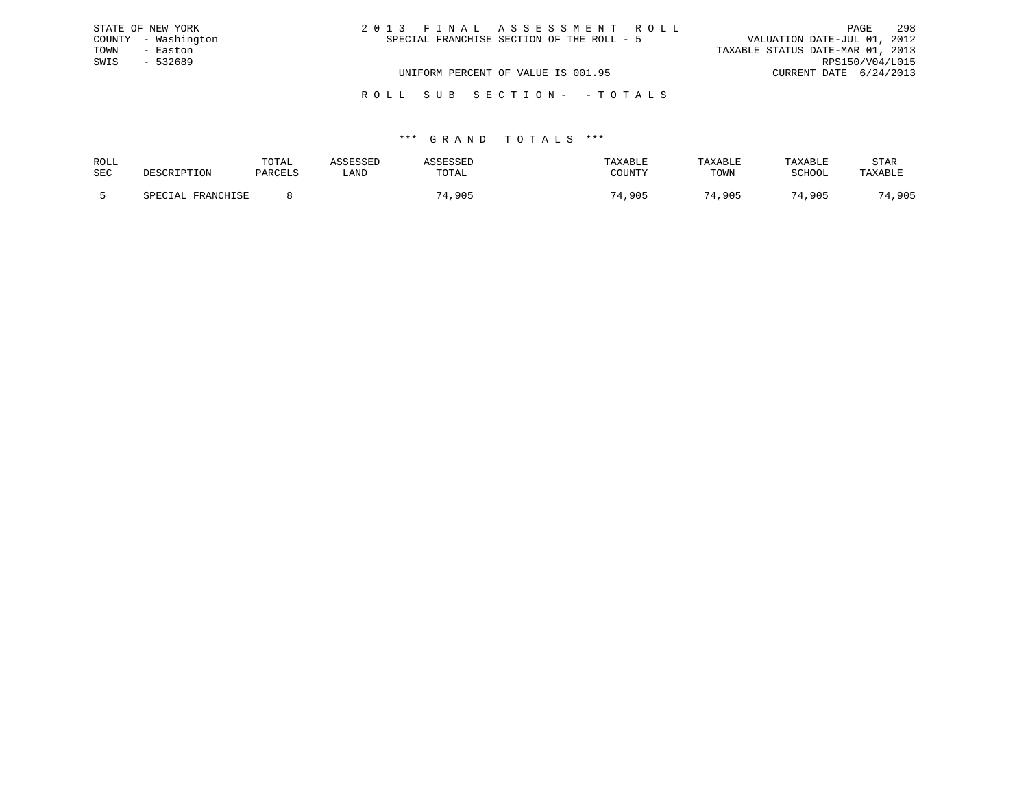|      | STATE OF NEW YORK   | 2013 FINAL ASSESSMENT ROLL                | PAGE                             | 298             |
|------|---------------------|-------------------------------------------|----------------------------------|-----------------|
|      | COUNTY - Washington | SPECIAL FRANCHISE SECTION OF THE ROLL - 5 | VALUATION DATE-JUL 01, 2012      |                 |
| TOWN | - Easton            |                                           | TAXABLE STATUS DATE-MAR 01, 2013 |                 |
| SWIS | - 532689            |                                           |                                  | RPS150/V04/L015 |
|      |                     | UNIFORM PERCENT OF VALUE IS 001.95        | CURRENT DATE 6/24/2013           |                 |
|      |                     |                                           |                                  |                 |

R O L L S U B S E C T I O N - - T O T A L S

| ROLL       |                          | TOTAL   |       |                  |                | TAXABLE                  | TAXABLE                | STAR                |
|------------|--------------------------|---------|-------|------------------|----------------|--------------------------|------------------------|---------------------|
| <b>SEC</b> | ואר דידים דיקרי פי       | DARCTIC | ' AND | ጥሰጥ አ ፣<br>LUIAL | <b>POTINT'</b> | <b>THOLETAT</b><br>LUWIN | $CATI\cap\cap T$       | TAXABL <sup>T</sup> |
|            | ED ANTAILE OF<br>CDECTAT |         |       | .90 $F$          | , 905          | ,905                     | $\overline{a}$<br>,905 | 905                 |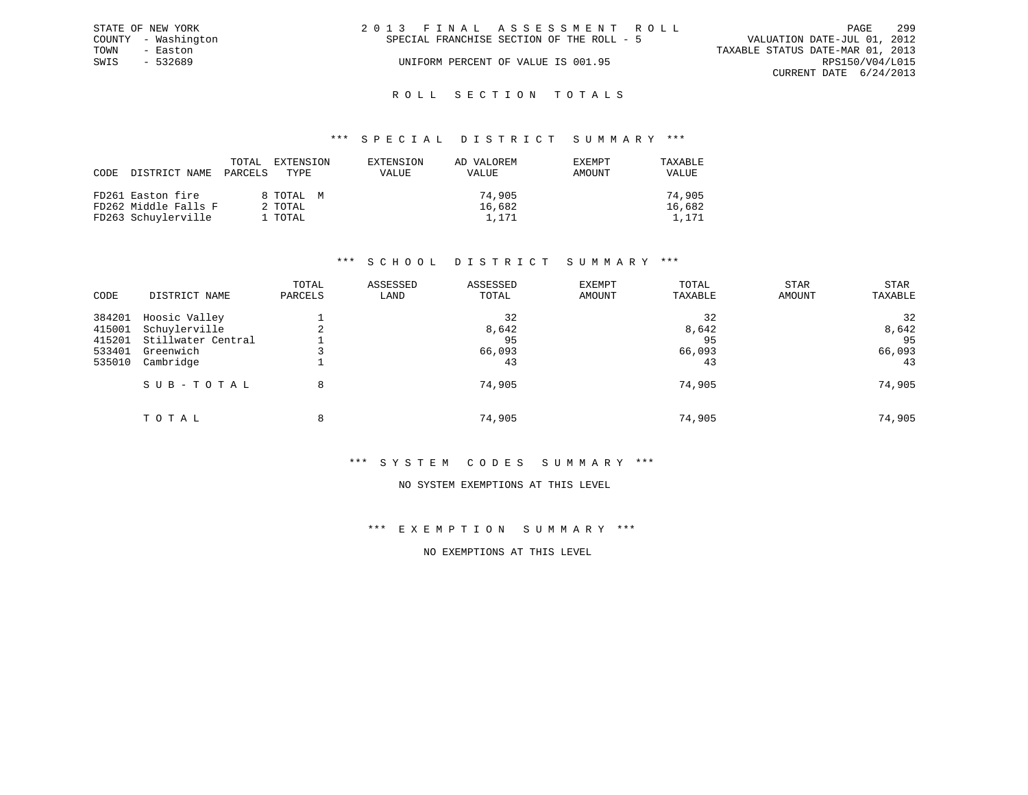|      | STATE OF NEW YORK   | 2013 FINAL ASSESSMENT ROLL                                               | PAGE            | 299 |
|------|---------------------|--------------------------------------------------------------------------|-----------------|-----|
|      | COUNTY - Washington | VALUATION DATE-JUL 01, 2012<br>SPECIAL FRANCHISE SECTION OF THE ROLL - 5 |                 |     |
| TOWN | - Easton            | TAXABLE STATUS DATE-MAR 01, 2013                                         |                 |     |
| SWIS | - 532689            | UNIFORM PERCENT OF VALUE IS 001.95                                       | RPS150/V04/L015 |     |
|      |                     | CURRENT DATE 6/24/2013                                                   |                 |     |
|      |                     |                                                                          |                 |     |

### ROLL SECTION TOTALS

#### \*\*\* S P E C I A L D I S T R I C T S U M M A R Y \*\*\*

| CODE | DISTRICT NAME        | TOTAL<br>PARCELS | EXTENSION<br>TYPE. | EXTENSION<br>VALUE | AD VALOREM<br>VALUE | EXEMPT<br>AMOUNT | TAXABLE<br>VALUE |
|------|----------------------|------------------|--------------------|--------------------|---------------------|------------------|------------------|
|      | FD261 Easton fire    |                  | 8 TOTAL M          |                    | 74,905              |                  | 74,905           |
|      | FD262 Middle Falls F | 2 TOTAL          |                    |                    | 16,682              |                  | 16,682           |
|      | FD263 Schuylerville  | 1 TOTAL          |                    |                    | 1,171               |                  | 1,171            |

#### \*\*\* S C H O O L D I S T R I C T S U M M A R Y \*\*\*

| CODE   | DISTRICT NAME      | TOTAL<br>PARCELS | ASSESSED<br>LAND | ASSESSED<br>TOTAL | <b>EXEMPT</b><br>AMOUNT | TOTAL<br>TAXABLE | STAR<br>AMOUNT | <b>STAR</b><br>TAXABLE |
|--------|--------------------|------------------|------------------|-------------------|-------------------------|------------------|----------------|------------------------|
|        |                    |                  |                  |                   |                         |                  |                |                        |
| 384201 | Hoosic Valley      |                  |                  | 32                |                         | 32               |                | 32                     |
| 415001 | Schuylerville      |                  |                  | 8,642             |                         | 8,642            |                | 8,642                  |
| 415201 | Stillwater Central |                  |                  | 95                |                         | 95               |                | 95                     |
| 533401 | Greenwich          |                  |                  | 66,093            |                         | 66,093           |                | 66,093                 |
| 535010 | Cambridge          |                  |                  | 43                |                         | 43               |                | 43                     |
|        | SUB-TOTAL          | 8                |                  | 74,905            |                         | 74,905           |                | 74,905                 |
|        | TOTAL              | 8                |                  | 74,905            |                         | 74,905           |                | 74,905                 |

#### \*\*\* S Y S T E M C O D E S S U M M A R Y \*\*\*

#### NO SYSTEM EXEMPTIONS AT THIS LEVEL

### \*\*\* E X E M P T I O N S U M M A R Y \*\*\*

### NO EXEMPTIONS AT THIS LEVEL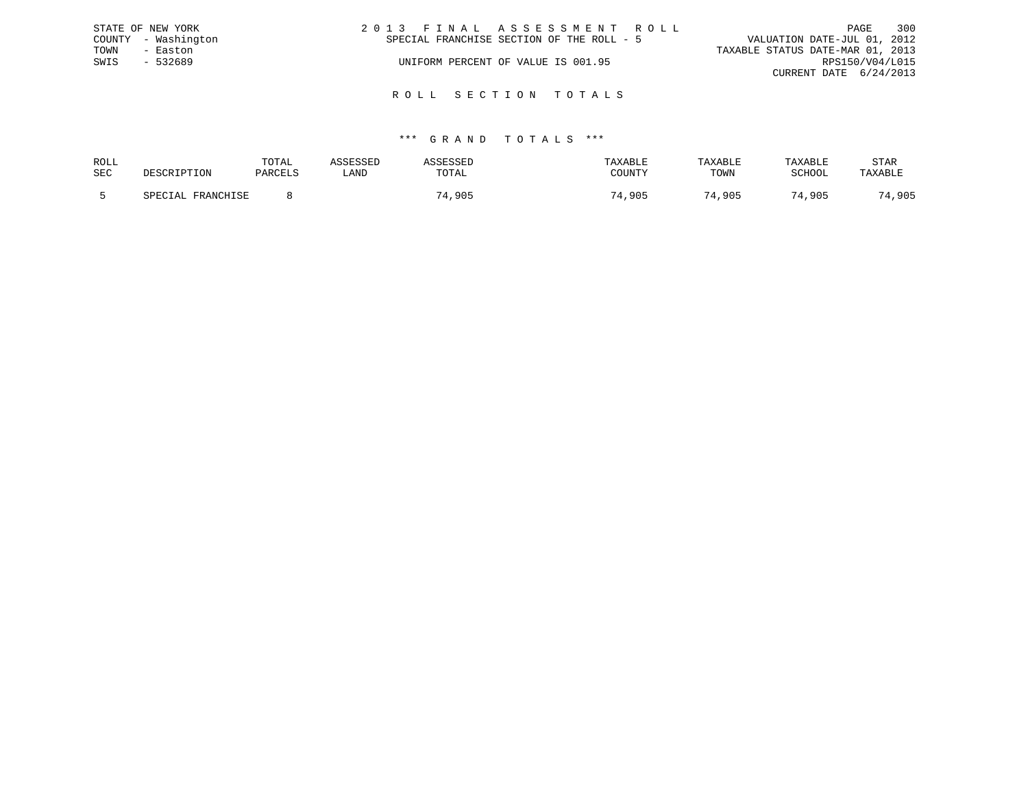|      | STATE OF NEW YORK   | 2013 FINAL ASSESSMENT ROLL                                               |                        | PAGE | 300 |
|------|---------------------|--------------------------------------------------------------------------|------------------------|------|-----|
|      | COUNTY - Washington | VALUATION DATE-JUL 01, 2012<br>SPECIAL FRANCHISE SECTION OF THE ROLL - 5 |                        |      |     |
| TOWN | - Easton            | TAXABLE STATUS DATE-MAR 01, 2013                                         |                        |      |     |
| SWIS | $-532689$           | UNIFORM PERCENT OF VALUE IS 001.95                                       | RPS150/V04/L015        |      |     |
|      |                     |                                                                          | CURRENT DATE 6/24/2013 |      |     |
|      |                     |                                                                          |                        |      |     |

R O L L S E C T I O N T O T A L S

| ROLL       |                    | TOTAL   |      |       | TAXABLE | TAXABLE | TAXABLE     | STAR    |
|------------|--------------------|---------|------|-------|---------|---------|-------------|---------|
| <b>SEC</b> |                    | PARCELS | LAND | TOTAL | COUNTY  | TOWN    | SCHOOL      | TAXABLE |
|            |                    |         |      |       |         |         |             |         |
|            | ם השמא מת<br>CDFA. |         |      | .905  | ,905    | 74,905  | 74<br>4,905 | .,905   |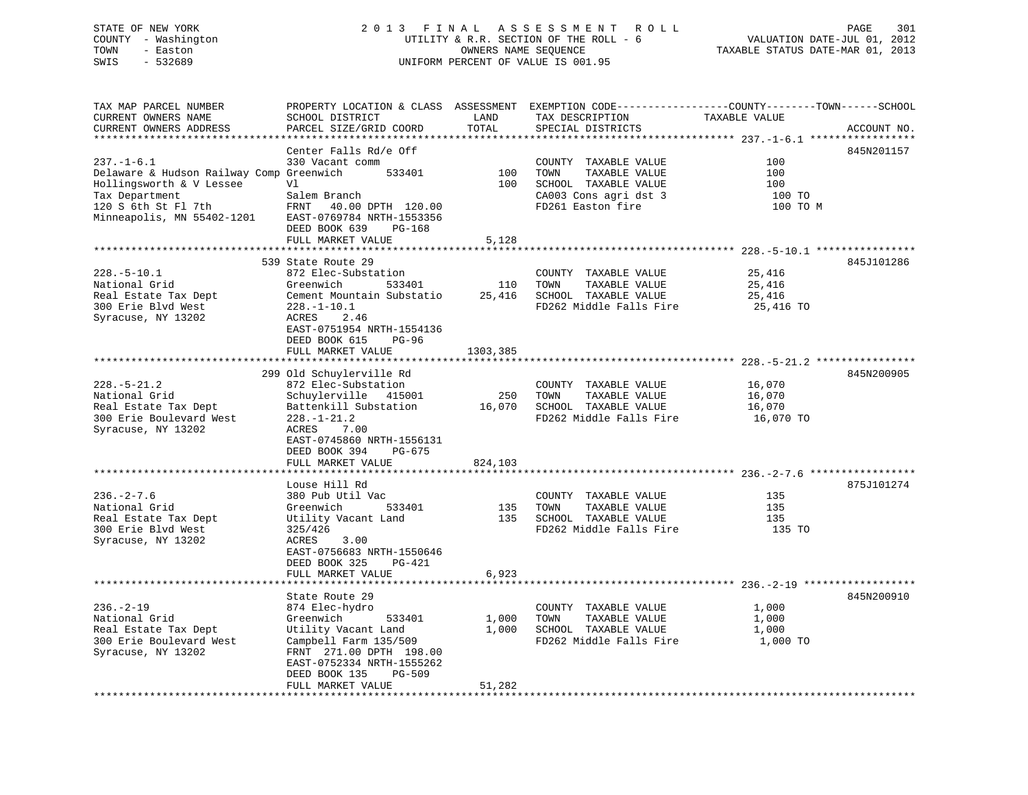## STATE OF NEW YORK 2 0 1 3 F I N A L A S S E S S M E N T R O L L PAGE 301 COUNTY - Washington UTILITY & R.R. SECTION OF THE ROLL - 6 VALUATION DATE-JUL 01, 2012 TOWN - Easton OWNERS NAME SEQUENCE TAXABLE STATUS DATE-MAR 01, 2013 SWIS - 532689 UNIFORM PERCENT OF VALUE IS 001.95

| TAX MAP PARCEL NUMBER                    | PROPERTY LOCATION & CLASS ASSESSMENT EXEMPTION CODE----------------COUNTY-------TOWN------SCHOOL |          |                             |                                                |             |
|------------------------------------------|--------------------------------------------------------------------------------------------------|----------|-----------------------------|------------------------------------------------|-------------|
| CURRENT OWNERS NAME                      | SCHOOL DISTRICT                                                                                  | LAND     | TAX DESCRIPTION             | TAXABLE VALUE                                  |             |
| CURRENT OWNERS ADDRESS                   | PARCEL SIZE/GRID COORD                                                                           | TOTAL    | SPECIAL DISTRICTS           |                                                | ACCOUNT NO. |
|                                          |                                                                                                  |          |                             | ***************** 237.-1-6.1 ***************** |             |
|                                          | Center Falls Rd/e Off                                                                            |          |                             |                                                | 845N201157  |
| $237. - 1 - 6.1$                         | 330 Vacant comm                                                                                  |          | COUNTY TAXABLE VALUE        | 100                                            |             |
| Delaware & Hudson Railway Comp Greenwich | 533401                                                                                           | 100      | TOWN<br>TAXABLE VALUE       | 100                                            |             |
| Hollingsworth & V Lessee                 | Vl                                                                                               | 100      | SCHOOL TAXABLE VALUE        | 100                                            |             |
| Tax Department                           | Salem Branch                                                                                     |          | CA003 Cons agri dst 3       | 100 TO                                         |             |
|                                          | FRNT 40.00 DPTH 120.00                                                                           |          | FD261 Easton fire           |                                                |             |
| 120 S 6th St Fl 7th                      |                                                                                                  |          |                             | 100 TO M                                       |             |
| Minneapolis, MN 55402-1201               | EAST-0769784 NRTH-1553356                                                                        |          |                             |                                                |             |
|                                          | DEED BOOK 639<br>PG-168                                                                          |          |                             |                                                |             |
|                                          | FULL MARKET VALUE                                                                                | 5,128    |                             |                                                |             |
|                                          |                                                                                                  |          |                             |                                                |             |
|                                          | 539 State Route 29                                                                               |          |                             |                                                | 845J101286  |
| $228. - 5 - 10.1$                        | 872 Elec-Substation                                                                              |          | COUNTY TAXABLE VALUE        | 25,416                                         |             |
| National Grid                            | Greenwich<br>533401                                                                              |          | 110 TOWN<br>TAXABLE VALUE   | 25,416                                         |             |
| Real Estate Tax Dept                     | Cement Mountain Substatio                                                                        |          | 25,416 SCHOOL TAXABLE VALUE | 25,416                                         |             |
| 300 Erie Blvd West                       | $228. - 1 - 10.1$                                                                                |          | FD262 Middle Falls Fire     | 25,416 TO                                      |             |
| Syracuse, NY 13202                       | ACRES<br>2.46                                                                                    |          |                             |                                                |             |
|                                          | EAST-0751954 NRTH-1554136                                                                        |          |                             |                                                |             |
|                                          | DEED BOOK 615<br>PG-96                                                                           |          |                             |                                                |             |
|                                          | FULL MARKET VALUE                                                                                | 1303,385 |                             |                                                |             |
|                                          |                                                                                                  |          |                             |                                                |             |
|                                          | 299 Old Schuylerville Rd                                                                         |          |                             |                                                | 845N200905  |
| $228. - 5 - 21.2$                        | 872 Elec-Substation                                                                              |          | COUNTY TAXABLE VALUE        | 16,070                                         |             |
| National Grid                            | Schuylerville 415001                                                                             |          | 250 TOWN<br>TAXABLE VALUE   | 16,070                                         |             |
| Real Estate Tax Dept                     | Battenkill Substation 16,070 SCHOOL TAXABLE VALUE                                                |          |                             | 16,070                                         |             |
|                                          |                                                                                                  |          |                             |                                                |             |
| 300 Erie Boulevard West                  | $228. - 1 - 21.2$                                                                                |          | FD262 Middle Falls Fire     | 16,070 TO                                      |             |
| Syracuse, NY 13202                       | ACRES<br>7.00                                                                                    |          |                             |                                                |             |
|                                          | EAST-0745860 NRTH-1556131                                                                        |          |                             |                                                |             |
|                                          | DEED BOOK 394 PG-675                                                                             |          |                             |                                                |             |
|                                          | FULL MARKET VALUE                                                                                | 824,103  |                             |                                                |             |
|                                          |                                                                                                  |          |                             |                                                |             |
|                                          | Louse Hill Rd                                                                                    |          |                             |                                                | 875J101274  |
| $236. - 2 - 7.6$                         | 380 Pub Util Vac                                                                                 |          | COUNTY TAXABLE VALUE        | 135                                            |             |
| National Grid                            | Greenwich<br>533401                                                                              | 135      | TAXABLE VALUE<br>TOWN       | 135                                            |             |
| Real Estate Tax Dept                     | Utility Vacant Land                                                                              |          | 135 SCHOOL TAXABLE VALUE    | 135                                            |             |
| 300 Erie Blvd West                       | 325/426                                                                                          |          | FD262 Middle Falls Fire     | 135 TO                                         |             |
| Syracuse, NY 13202                       | 3.00<br>ACRES                                                                                    |          |                             |                                                |             |
|                                          | EAST-0756683 NRTH-1550646                                                                        |          |                             |                                                |             |
|                                          | DEED BOOK 325<br>PG-421                                                                          |          |                             |                                                |             |
|                                          | FULL MARKET VALUE                                                                                | 6,923    |                             |                                                |             |
|                                          |                                                                                                  |          |                             |                                                |             |
|                                          | State Route 29                                                                                   |          |                             |                                                | 845N200910  |
| $236. - 2 - 19$                          |                                                                                                  |          |                             |                                                |             |
|                                          | 874 Elec-hydro                                                                                   |          | COUNTY TAXABLE VALUE        | 1,000                                          |             |
| National Grid                            | Greenwich<br>533401                                                                              | 1,000    | TAXABLE VALUE<br>TOWN       | 1,000                                          |             |
| Real Estate Tax Dept                     | Utility Vacant Land                                                                              |          | 1,000 SCHOOL TAXABLE VALUE  | 1,000                                          |             |
| 300 Erie Boulevard West                  | Campbell Farm 135/509                                                                            |          | FD262 Middle Falls Fire     | 1,000 TO                                       |             |
| Syracuse, NY 13202                       | FRNT 271.00 DPTH 198.00                                                                          |          |                             |                                                |             |
|                                          | EAST-0752334 NRTH-1555262                                                                        |          |                             |                                                |             |
|                                          | DEED BOOK 135<br>PG-509                                                                          |          |                             |                                                |             |
|                                          | FULL MARKET VALUE                                                                                | 51,282   |                             |                                                |             |
|                                          |                                                                                                  |          |                             |                                                |             |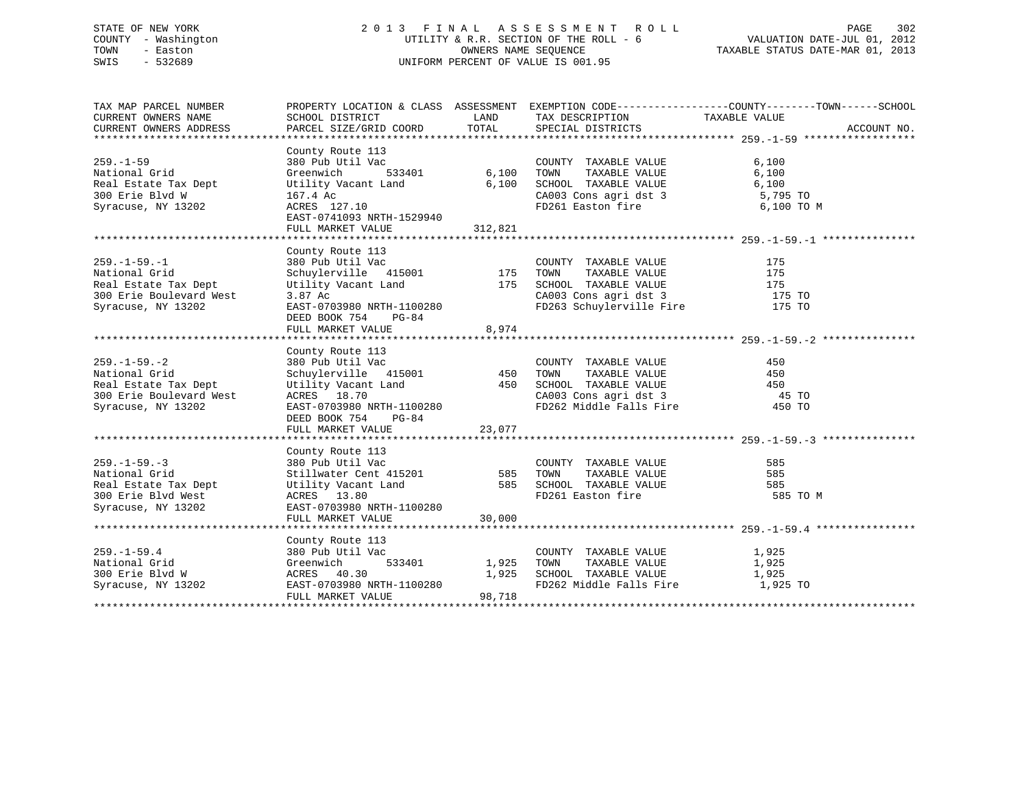## STATE OF NEW YORK 2 0 1 3 F I N A L A S S E S S M E N T R O L L PAGE 302 COUNTY - Washington UTILITY & R.R. SECTION OF THE ROLL - 6 VALUATION DATE-JUL 01, 2012 TOWN - Easton OWNERS NAME SEQUENCE TAXABLE STATUS DATE-MAR 01, 2013 SWIS - 532689 UNIFORM PERCENT OF VALUE IS 001.95

| LAND<br>TAX DESCRIPTION TAXABLE VALUE<br>SCHOOL DISTRICT<br>TOTAL<br>PARCEL SIZE/GRID COORD<br>SPECIAL DISTRICTS<br>ACCOUNT NO.<br>County Route 113<br>。<br>-<br>533401     6,100<br>380 Pub Util Vac<br>6,100<br>COUNTY TAXABLE VALUE<br>6,100<br>National Grid<br>Greenwich<br>TOWN<br>TAXABLE VALUE<br>SCHOOL TAXABLE VALUE<br>Real Estate Tax Dept <b>Utility Vacant Land</b> 6,100<br>6,100<br>CA003 Cons agri dst 3 5,795 TO<br>FD261 Easton fire 6,100 TO M<br>300 Erie Blvd W<br>167.4 Ac<br>ACRES 127.10<br>Syracuse, NY 13202<br>EAST-0741093 NRTH-1529940<br>FULL MARKET VALUE 312,821<br>County Route 113<br>380 Pub Util Vac<br>Schuylerville 415001 175<br>$259. - 1 - 59. - 1$<br>COUNTY TAXABLE VALUE<br>175<br>TAXABLE VALUE<br>175<br>National Grid<br>TOWN<br>Utility Vacant Land 175 SCHOOL TAXABLE VALUE 175 175<br>3.87 Ac 62003 CA003 Consagri dst 3 175 TO<br>Real Estate Tax Dept<br>300 Erie Boulevard West<br>FD263 Schuylerville Fire 175 TO<br>EAST-0703980 NRTH-1100280<br>Syracuse, NY 13202<br>DEED BOOK 754 PG-84<br>8,974<br>FULL MARKET VALUE<br>County Route 113<br>380 Pub Util Vac<br>Stillwater Cent 415201<br>Utility Vacant Land<br>Marken Stillwater Cent 415201<br>Stillwater Stillwater Still States<br>Stillity Vacant Land<br>Stillwater Still Still Still Still Still Still Still<br>ACRES 13.80<br>PD2<br>585<br>COUNTY TAXABLE VALUE<br>585<br>585<br>Real Estate Tax Dept<br>FD261 Easton fire<br>585 TO M<br>300 Erie Blvd West<br>Syracuse, NY 13202<br>EAST-0703980 NRTH-1100280<br>30,000<br>FULL MARKET VALUE<br>County Route 113<br>$259. - 1 - 59.4$<br>380 Pub Util Vac<br>COUNTY TAXABLE VALUE 1,925<br>533401 1,925 TOWN<br>Greenwich<br>ACRES 40.30<br>-----0703980 !<br>TAXABLE VALUE 1,925<br>National Grid<br>1,925 SCHOOL TAXABLE VALUE<br>1,925<br>300 Erie Blvd W<br>Syracuse, NY 13202 EAST-0703980 NRTH-1100280<br>FD262 Middle Falls Fire 1,925 TO<br>98,718<br>FULL MARKET VALUE | TAX MAP PARCEL NUMBER   |  | PROPERTY LOCATION & CLASS ASSESSMENT EXEMPTION CODE----------------COUNTY-------TOWN-----SCHOOL |
|---------------------------------------------------------------------------------------------------------------------------------------------------------------------------------------------------------------------------------------------------------------------------------------------------------------------------------------------------------------------------------------------------------------------------------------------------------------------------------------------------------------------------------------------------------------------------------------------------------------------------------------------------------------------------------------------------------------------------------------------------------------------------------------------------------------------------------------------------------------------------------------------------------------------------------------------------------------------------------------------------------------------------------------------------------------------------------------------------------------------------------------------------------------------------------------------------------------------------------------------------------------------------------------------------------------------------------------------------------------------------------------------------------------------------------------------------------------------------------------------------------------------------------------------------------------------------------------------------------------------------------------------------------------------------------------------------------------------------------------------------------------------------------------------------------------------------------------------------------------------------------------------------------------------------------------------------------|-------------------------|--|-------------------------------------------------------------------------------------------------|
|                                                                                                                                                                                                                                                                                                                                                                                                                                                                                                                                                                                                                                                                                                                                                                                                                                                                                                                                                                                                                                                                                                                                                                                                                                                                                                                                                                                                                                                                                                                                                                                                                                                                                                                                                                                                                                                                                                                                                         | CURRENT OWNERS NAME     |  |                                                                                                 |
|                                                                                                                                                                                                                                                                                                                                                                                                                                                                                                                                                                                                                                                                                                                                                                                                                                                                                                                                                                                                                                                                                                                                                                                                                                                                                                                                                                                                                                                                                                                                                                                                                                                                                                                                                                                                                                                                                                                                                         | CURRENT OWNERS ADDRESS  |  |                                                                                                 |
|                                                                                                                                                                                                                                                                                                                                                                                                                                                                                                                                                                                                                                                                                                                                                                                                                                                                                                                                                                                                                                                                                                                                                                                                                                                                                                                                                                                                                                                                                                                                                                                                                                                                                                                                                                                                                                                                                                                                                         |                         |  |                                                                                                 |
|                                                                                                                                                                                                                                                                                                                                                                                                                                                                                                                                                                                                                                                                                                                                                                                                                                                                                                                                                                                                                                                                                                                                                                                                                                                                                                                                                                                                                                                                                                                                                                                                                                                                                                                                                                                                                                                                                                                                                         | $259. - 1 - 59$         |  |                                                                                                 |
|                                                                                                                                                                                                                                                                                                                                                                                                                                                                                                                                                                                                                                                                                                                                                                                                                                                                                                                                                                                                                                                                                                                                                                                                                                                                                                                                                                                                                                                                                                                                                                                                                                                                                                                                                                                                                                                                                                                                                         |                         |  |                                                                                                 |
|                                                                                                                                                                                                                                                                                                                                                                                                                                                                                                                                                                                                                                                                                                                                                                                                                                                                                                                                                                                                                                                                                                                                                                                                                                                                                                                                                                                                                                                                                                                                                                                                                                                                                                                                                                                                                                                                                                                                                         |                         |  |                                                                                                 |
|                                                                                                                                                                                                                                                                                                                                                                                                                                                                                                                                                                                                                                                                                                                                                                                                                                                                                                                                                                                                                                                                                                                                                                                                                                                                                                                                                                                                                                                                                                                                                                                                                                                                                                                                                                                                                                                                                                                                                         |                         |  |                                                                                                 |
|                                                                                                                                                                                                                                                                                                                                                                                                                                                                                                                                                                                                                                                                                                                                                                                                                                                                                                                                                                                                                                                                                                                                                                                                                                                                                                                                                                                                                                                                                                                                                                                                                                                                                                                                                                                                                                                                                                                                                         |                         |  |                                                                                                 |
|                                                                                                                                                                                                                                                                                                                                                                                                                                                                                                                                                                                                                                                                                                                                                                                                                                                                                                                                                                                                                                                                                                                                                                                                                                                                                                                                                                                                                                                                                                                                                                                                                                                                                                                                                                                                                                                                                                                                                         |                         |  |                                                                                                 |
|                                                                                                                                                                                                                                                                                                                                                                                                                                                                                                                                                                                                                                                                                                                                                                                                                                                                                                                                                                                                                                                                                                                                                                                                                                                                                                                                                                                                                                                                                                                                                                                                                                                                                                                                                                                                                                                                                                                                                         |                         |  |                                                                                                 |
|                                                                                                                                                                                                                                                                                                                                                                                                                                                                                                                                                                                                                                                                                                                                                                                                                                                                                                                                                                                                                                                                                                                                                                                                                                                                                                                                                                                                                                                                                                                                                                                                                                                                                                                                                                                                                                                                                                                                                         |                         |  |                                                                                                 |
|                                                                                                                                                                                                                                                                                                                                                                                                                                                                                                                                                                                                                                                                                                                                                                                                                                                                                                                                                                                                                                                                                                                                                                                                                                                                                                                                                                                                                                                                                                                                                                                                                                                                                                                                                                                                                                                                                                                                                         |                         |  |                                                                                                 |
|                                                                                                                                                                                                                                                                                                                                                                                                                                                                                                                                                                                                                                                                                                                                                                                                                                                                                                                                                                                                                                                                                                                                                                                                                                                                                                                                                                                                                                                                                                                                                                                                                                                                                                                                                                                                                                                                                                                                                         |                         |  |                                                                                                 |
|                                                                                                                                                                                                                                                                                                                                                                                                                                                                                                                                                                                                                                                                                                                                                                                                                                                                                                                                                                                                                                                                                                                                                                                                                                                                                                                                                                                                                                                                                                                                                                                                                                                                                                                                                                                                                                                                                                                                                         |                         |  |                                                                                                 |
|                                                                                                                                                                                                                                                                                                                                                                                                                                                                                                                                                                                                                                                                                                                                                                                                                                                                                                                                                                                                                                                                                                                                                                                                                                                                                                                                                                                                                                                                                                                                                                                                                                                                                                                                                                                                                                                                                                                                                         |                         |  |                                                                                                 |
|                                                                                                                                                                                                                                                                                                                                                                                                                                                                                                                                                                                                                                                                                                                                                                                                                                                                                                                                                                                                                                                                                                                                                                                                                                                                                                                                                                                                                                                                                                                                                                                                                                                                                                                                                                                                                                                                                                                                                         |                         |  |                                                                                                 |
|                                                                                                                                                                                                                                                                                                                                                                                                                                                                                                                                                                                                                                                                                                                                                                                                                                                                                                                                                                                                                                                                                                                                                                                                                                                                                                                                                                                                                                                                                                                                                                                                                                                                                                                                                                                                                                                                                                                                                         |                         |  |                                                                                                 |
|                                                                                                                                                                                                                                                                                                                                                                                                                                                                                                                                                                                                                                                                                                                                                                                                                                                                                                                                                                                                                                                                                                                                                                                                                                                                                                                                                                                                                                                                                                                                                                                                                                                                                                                                                                                                                                                                                                                                                         |                         |  |                                                                                                 |
|                                                                                                                                                                                                                                                                                                                                                                                                                                                                                                                                                                                                                                                                                                                                                                                                                                                                                                                                                                                                                                                                                                                                                                                                                                                                                                                                                                                                                                                                                                                                                                                                                                                                                                                                                                                                                                                                                                                                                         |                         |  |                                                                                                 |
|                                                                                                                                                                                                                                                                                                                                                                                                                                                                                                                                                                                                                                                                                                                                                                                                                                                                                                                                                                                                                                                                                                                                                                                                                                                                                                                                                                                                                                                                                                                                                                                                                                                                                                                                                                                                                                                                                                                                                         |                         |  |                                                                                                 |
|                                                                                                                                                                                                                                                                                                                                                                                                                                                                                                                                                                                                                                                                                                                                                                                                                                                                                                                                                                                                                                                                                                                                                                                                                                                                                                                                                                                                                                                                                                                                                                                                                                                                                                                                                                                                                                                                                                                                                         |                         |  |                                                                                                 |
|                                                                                                                                                                                                                                                                                                                                                                                                                                                                                                                                                                                                                                                                                                                                                                                                                                                                                                                                                                                                                                                                                                                                                                                                                                                                                                                                                                                                                                                                                                                                                                                                                                                                                                                                                                                                                                                                                                                                                         | $259. - 1 - 59. - 2$    |  |                                                                                                 |
|                                                                                                                                                                                                                                                                                                                                                                                                                                                                                                                                                                                                                                                                                                                                                                                                                                                                                                                                                                                                                                                                                                                                                                                                                                                                                                                                                                                                                                                                                                                                                                                                                                                                                                                                                                                                                                                                                                                                                         | National Grid           |  |                                                                                                 |
|                                                                                                                                                                                                                                                                                                                                                                                                                                                                                                                                                                                                                                                                                                                                                                                                                                                                                                                                                                                                                                                                                                                                                                                                                                                                                                                                                                                                                                                                                                                                                                                                                                                                                                                                                                                                                                                                                                                                                         | Real Estate Tax Dept    |  |                                                                                                 |
|                                                                                                                                                                                                                                                                                                                                                                                                                                                                                                                                                                                                                                                                                                                                                                                                                                                                                                                                                                                                                                                                                                                                                                                                                                                                                                                                                                                                                                                                                                                                                                                                                                                                                                                                                                                                                                                                                                                                                         | 300 Erie Boulevard West |  |                                                                                                 |
|                                                                                                                                                                                                                                                                                                                                                                                                                                                                                                                                                                                                                                                                                                                                                                                                                                                                                                                                                                                                                                                                                                                                                                                                                                                                                                                                                                                                                                                                                                                                                                                                                                                                                                                                                                                                                                                                                                                                                         | Syracuse, NY 13202      |  |                                                                                                 |
|                                                                                                                                                                                                                                                                                                                                                                                                                                                                                                                                                                                                                                                                                                                                                                                                                                                                                                                                                                                                                                                                                                                                                                                                                                                                                                                                                                                                                                                                                                                                                                                                                                                                                                                                                                                                                                                                                                                                                         |                         |  |                                                                                                 |
|                                                                                                                                                                                                                                                                                                                                                                                                                                                                                                                                                                                                                                                                                                                                                                                                                                                                                                                                                                                                                                                                                                                                                                                                                                                                                                                                                                                                                                                                                                                                                                                                                                                                                                                                                                                                                                                                                                                                                         |                         |  |                                                                                                 |
|                                                                                                                                                                                                                                                                                                                                                                                                                                                                                                                                                                                                                                                                                                                                                                                                                                                                                                                                                                                                                                                                                                                                                                                                                                                                                                                                                                                                                                                                                                                                                                                                                                                                                                                                                                                                                                                                                                                                                         |                         |  |                                                                                                 |
|                                                                                                                                                                                                                                                                                                                                                                                                                                                                                                                                                                                                                                                                                                                                                                                                                                                                                                                                                                                                                                                                                                                                                                                                                                                                                                                                                                                                                                                                                                                                                                                                                                                                                                                                                                                                                                                                                                                                                         |                         |  |                                                                                                 |
|                                                                                                                                                                                                                                                                                                                                                                                                                                                                                                                                                                                                                                                                                                                                                                                                                                                                                                                                                                                                                                                                                                                                                                                                                                                                                                                                                                                                                                                                                                                                                                                                                                                                                                                                                                                                                                                                                                                                                         | $259. - 1 - 59. - 3$    |  |                                                                                                 |
|                                                                                                                                                                                                                                                                                                                                                                                                                                                                                                                                                                                                                                                                                                                                                                                                                                                                                                                                                                                                                                                                                                                                                                                                                                                                                                                                                                                                                                                                                                                                                                                                                                                                                                                                                                                                                                                                                                                                                         | National Grid           |  |                                                                                                 |
|                                                                                                                                                                                                                                                                                                                                                                                                                                                                                                                                                                                                                                                                                                                                                                                                                                                                                                                                                                                                                                                                                                                                                                                                                                                                                                                                                                                                                                                                                                                                                                                                                                                                                                                                                                                                                                                                                                                                                         |                         |  |                                                                                                 |
|                                                                                                                                                                                                                                                                                                                                                                                                                                                                                                                                                                                                                                                                                                                                                                                                                                                                                                                                                                                                                                                                                                                                                                                                                                                                                                                                                                                                                                                                                                                                                                                                                                                                                                                                                                                                                                                                                                                                                         |                         |  |                                                                                                 |
|                                                                                                                                                                                                                                                                                                                                                                                                                                                                                                                                                                                                                                                                                                                                                                                                                                                                                                                                                                                                                                                                                                                                                                                                                                                                                                                                                                                                                                                                                                                                                                                                                                                                                                                                                                                                                                                                                                                                                         |                         |  |                                                                                                 |
|                                                                                                                                                                                                                                                                                                                                                                                                                                                                                                                                                                                                                                                                                                                                                                                                                                                                                                                                                                                                                                                                                                                                                                                                                                                                                                                                                                                                                                                                                                                                                                                                                                                                                                                                                                                                                                                                                                                                                         |                         |  |                                                                                                 |
|                                                                                                                                                                                                                                                                                                                                                                                                                                                                                                                                                                                                                                                                                                                                                                                                                                                                                                                                                                                                                                                                                                                                                                                                                                                                                                                                                                                                                                                                                                                                                                                                                                                                                                                                                                                                                                                                                                                                                         |                         |  |                                                                                                 |
|                                                                                                                                                                                                                                                                                                                                                                                                                                                                                                                                                                                                                                                                                                                                                                                                                                                                                                                                                                                                                                                                                                                                                                                                                                                                                                                                                                                                                                                                                                                                                                                                                                                                                                                                                                                                                                                                                                                                                         |                         |  |                                                                                                 |
|                                                                                                                                                                                                                                                                                                                                                                                                                                                                                                                                                                                                                                                                                                                                                                                                                                                                                                                                                                                                                                                                                                                                                                                                                                                                                                                                                                                                                                                                                                                                                                                                                                                                                                                                                                                                                                                                                                                                                         |                         |  |                                                                                                 |
|                                                                                                                                                                                                                                                                                                                                                                                                                                                                                                                                                                                                                                                                                                                                                                                                                                                                                                                                                                                                                                                                                                                                                                                                                                                                                                                                                                                                                                                                                                                                                                                                                                                                                                                                                                                                                                                                                                                                                         |                         |  |                                                                                                 |
|                                                                                                                                                                                                                                                                                                                                                                                                                                                                                                                                                                                                                                                                                                                                                                                                                                                                                                                                                                                                                                                                                                                                                                                                                                                                                                                                                                                                                                                                                                                                                                                                                                                                                                                                                                                                                                                                                                                                                         |                         |  |                                                                                                 |
|                                                                                                                                                                                                                                                                                                                                                                                                                                                                                                                                                                                                                                                                                                                                                                                                                                                                                                                                                                                                                                                                                                                                                                                                                                                                                                                                                                                                                                                                                                                                                                                                                                                                                                                                                                                                                                                                                                                                                         |                         |  |                                                                                                 |
|                                                                                                                                                                                                                                                                                                                                                                                                                                                                                                                                                                                                                                                                                                                                                                                                                                                                                                                                                                                                                                                                                                                                                                                                                                                                                                                                                                                                                                                                                                                                                                                                                                                                                                                                                                                                                                                                                                                                                         |                         |  |                                                                                                 |
|                                                                                                                                                                                                                                                                                                                                                                                                                                                                                                                                                                                                                                                                                                                                                                                                                                                                                                                                                                                                                                                                                                                                                                                                                                                                                                                                                                                                                                                                                                                                                                                                                                                                                                                                                                                                                                                                                                                                                         |                         |  |                                                                                                 |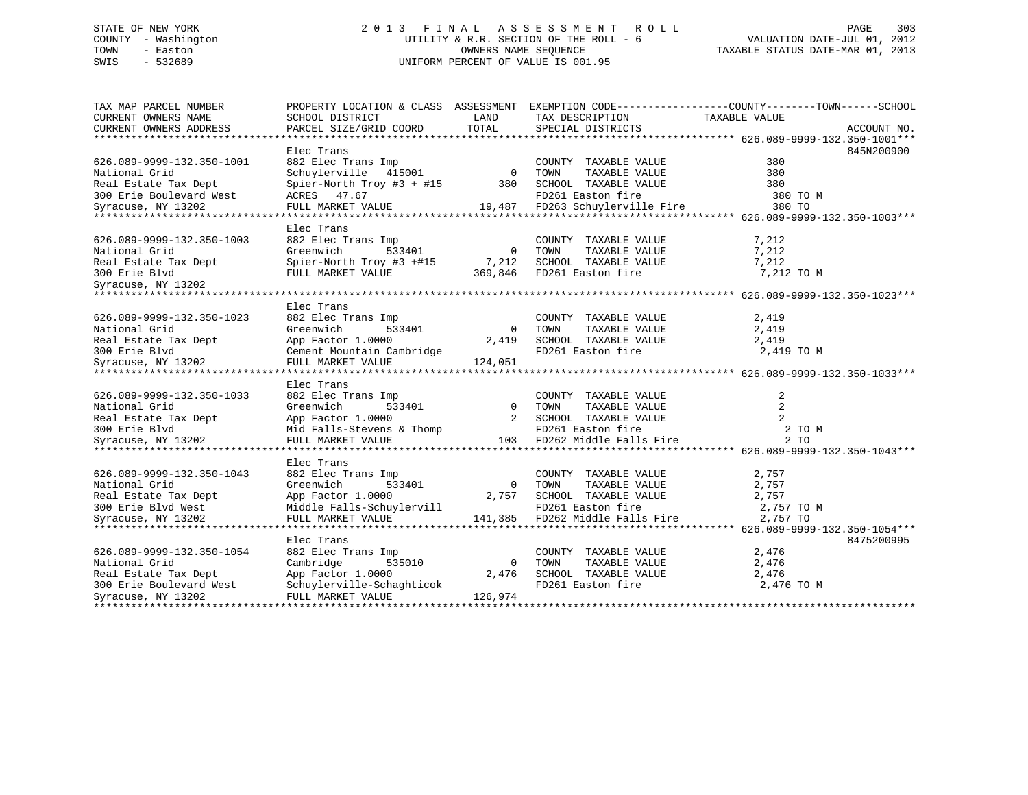## STATE OF NEW YORK 2 0 1 3 F I N A L A S S E S S M E N T R O L L PAGE 303 COUNTY - Washington UTILITY & R.R. SECTION OF THE ROLL - 6 VALUATION DATE-JUL 01, 2012 TOWN - Easton OWNERS NAME SEQUENCE TAXABLE STATUS DATE-MAR 01, 2013 SWIS - 532689 UNIFORM PERCENT OF VALUE IS 001.95

| TAX MAP PARCEL NUMBER     |                               |                |                                 | PROPERTY LOCATION & CLASS ASSESSMENT EXEMPTION CODE----------------COUNTY-------TOWN------SCHOOL |
|---------------------------|-------------------------------|----------------|---------------------------------|--------------------------------------------------------------------------------------------------|
| CURRENT OWNERS NAME       | SCHOOL DISTRICT               | LAND           | TAX DESCRIPTION                 | TAXABLE VALUE                                                                                    |
| CURRENT OWNERS ADDRESS    | PARCEL SIZE/GRID COORD        | TOTAL          | SPECIAL DISTRICTS               | ACCOUNT NO.                                                                                      |
|                           |                               |                |                                 |                                                                                                  |
|                           | Elec Trans                    |                |                                 | 845N200900                                                                                       |
| 626.089-9999-132.350-1001 | 882 Elec Trans Imp            | $\overline{a}$ | COUNTY TAXABLE VALUE            | 380                                                                                              |
| National Grid             | Schuylerville 415001          |                | TAXABLE VALUE<br>TOWN           | 380                                                                                              |
| Real Estate Tax Dept      | Spier-North Troy #3 + #15 380 |                | SCHOOL TAXABLE VALUE            | 380                                                                                              |
| 300 Erie Boulevard West   | ACRES 47.67                   |                | FD261 Easton fire               | 380 TO M                                                                                         |
| Syracuse, NY 13202        | FULL MARKET VALUE             |                | 19,487 FD263 Schuylerville Fire | 380 TO                                                                                           |
|                           |                               |                |                                 |                                                                                                  |
|                           | Elec Trans                    |                |                                 |                                                                                                  |
| 626.089-9999-132.350-1003 | 882 Elec Trans Imp            |                | COUNTY TAXABLE VALUE            | 7,212                                                                                            |
| National Grid             | Greenwich<br>533401           | $\overline{0}$ | TOWN<br>TAXABLE VALUE           | 7,212                                                                                            |
|                           |                               |                | SCHOOL TAXABLE VALUE            |                                                                                                  |
|                           |                               |                |                                 |                                                                                                  |
|                           |                               |                |                                 |                                                                                                  |
|                           |                               |                |                                 |                                                                                                  |
|                           | Elec Trans                    |                |                                 |                                                                                                  |
| 626.089-9999-132.350-1023 | 882 Elec Trans Imp            |                | COUNTY TAXABLE VALUE            | 2,419                                                                                            |
| National Grid             | Greenwich<br>533401           | $\bigcirc$     | TOWN<br>TAXABLE VALUE           | 2,419                                                                                            |
| Real Estate Tax Dept      | App Factor 1.0000             | 2,419          | SCHOOL TAXABLE VALUE            | 2,419                                                                                            |
| 300 Erie Blvd             | Cement Mountain Cambridge     |                | FD261 Easton fire               | 2,419 TO M                                                                                       |
|                           |                               |                |                                 |                                                                                                  |
|                           | Elec Trans                    |                |                                 |                                                                                                  |
| 626.089-9999-132.350-1033 | 882 Elec Trans Imp            |                | COUNTY TAXABLE VALUE            | 2                                                                                                |
| National Grid             | Greenwich                     | $\overline{0}$ | TOWN<br>TAXABLE VALUE           | 2                                                                                                |
| Real Estate Tax Dept      | 533401<br>App Factor 1.0000   | 2              | SCHOOL TAXABLE VALUE            | $\overline{2}$                                                                                   |
| 300 Erie Blyd             | Mid Falls-Stevens & Thomp     |                | FD261 Easton fire               | 2 TO M                                                                                           |
| Syracuse, NY 13202        | FULL MARKET VALUE             | 103            | FD262 Middle Falls Fire         | 2T0                                                                                              |
|                           |                               |                |                                 |                                                                                                  |
|                           | Elec Trans                    |                |                                 |                                                                                                  |
| 626.089-9999-132.350-1043 | 882 Elec Trans Imp            |                | COUNTY TAXABLE VALUE            | 2,757                                                                                            |
| National Grid             | 533401<br>Greenwich           | $\bigcirc$     | TOWN<br>TAXABLE VALUE           | 2,757                                                                                            |
| Real Estate Tax Dept      | App Factor 1.0000             | 2,757          | SCHOOL TAXABLE VALUE            | 2,757                                                                                            |
| 300 Erie Blvd West        | Middle Falls-Schuylervill     |                | FD261 Easton fire               | 2,757 TO M                                                                                       |
| Syracuse, NY 13202        | FULL MARKET VALUE             |                | 141,385 FD262 Middle Falls Fire | 2,757 TO                                                                                         |
|                           |                               |                |                                 |                                                                                                  |
|                           | Elec Trans                    |                |                                 | 8475200995                                                                                       |
| 626.089-9999-132.350-1054 | 882 Elec Trans Imp            |                | COUNTY TAXABLE VALUE            | 2,476                                                                                            |
| National Grid             | 535010<br>Cambridge           | $\bigcirc$     | TOWN<br>TAXABLE VALUE           | 2,476                                                                                            |
| Real Estate Tax Dept      | App Factor 1.0000             | 2,476          | SCHOOL TAXABLE VALUE            | 2,476                                                                                            |
| 300 Erie Boulevard West   | Schuylerville-Schaghticok     |                | FD261 Easton fire               | 2,476 TO M                                                                                       |
| Syracuse, NY 13202        | FULL MARKET VALUE             | 126,974        |                                 |                                                                                                  |
|                           |                               |                |                                 |                                                                                                  |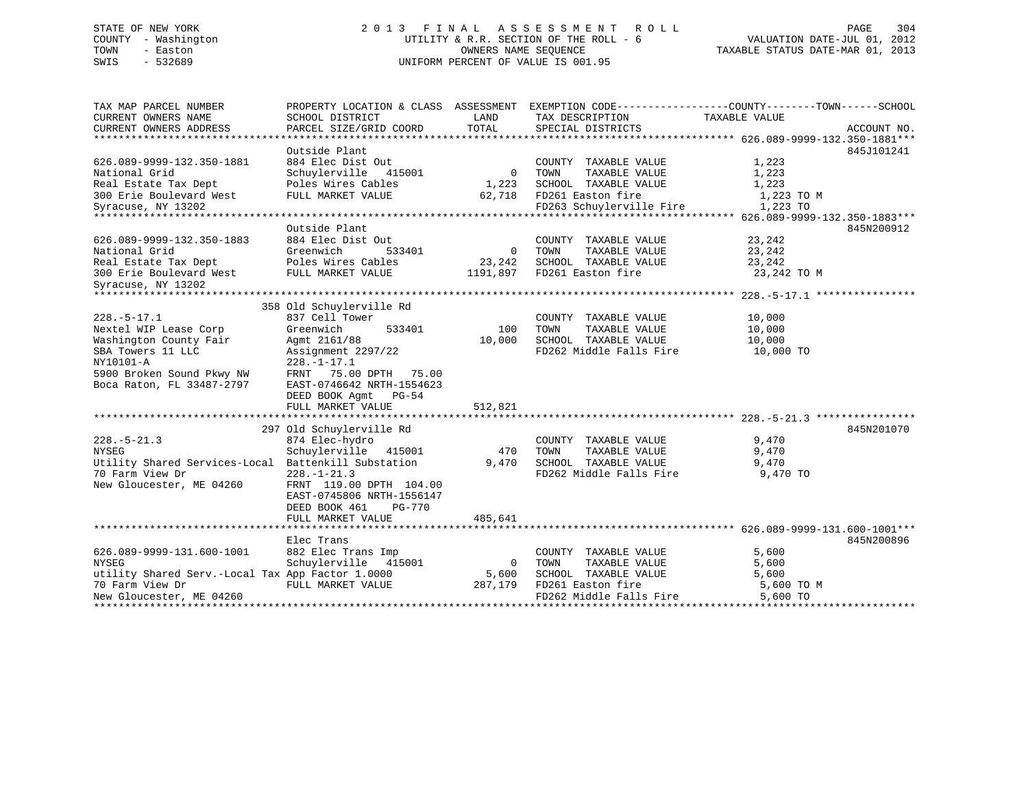## STATE OF NEW YORK 2 0 1 3 F I N A L A S S E S S M E N T R O L L PAGE 304 COUNTY - Washington UTILITY & R.R. SECTION OF THE ROLL - 6 VALUATION DATE-JUL 01, 2012 TOWN - Easton OWNERS NAME SEQUENCE TAXABLE STATUS DATE-MAR 01, 2013 SWIS - 532689 UNIFORM PERCENT OF VALUE IS 001.95

| TAX MAP PARCEL NUMBER<br>CURRENT OWNERS NAME     | SCHOOL DISTRICT           | LAND           | PROPERTY LOCATION & CLASS ASSESSMENT EXEMPTION CODE----------------COUNTY-------TOWN-----SCHOOL<br>TAX DESCRIPTION | TAXABLE VALUE |             |
|--------------------------------------------------|---------------------------|----------------|--------------------------------------------------------------------------------------------------------------------|---------------|-------------|
| CURRENT OWNERS ADDRESS                           | PARCEL SIZE/GRID COORD    | TOTAL          | SPECIAL DISTRICTS                                                                                                  |               | ACCOUNT NO. |
|                                                  |                           |                |                                                                                                                    |               |             |
|                                                  | Outside Plant             |                |                                                                                                                    |               | 845J101241  |
| 626.089-9999-132.350-1881                        | 884 Elec Dist Out         |                | COUNTY TAXABLE VALUE                                                                                               | 1,223         |             |
| National Grid                                    | Schuylerville 415001      |                | 0 TOWN<br>TAXABLE VALUE                                                                                            | 1,223         |             |
| Real Estate Tax Dept                             | Poles Wires Cables        |                | 1,223 SCHOOL TAXABLE VALUE                                                                                         | 1,223         |             |
| 300 Erie Boulevard West                          | FULL MARKET VALUE         |                | 62,718 FD261 Easton fire                                                                                           | 1,223 TO M    |             |
| Syracuse, NY 13202                               |                           |                | FD263 Schuylerville Fire                                                                                           | 1,223 TO      |             |
|                                                  |                           |                |                                                                                                                    |               |             |
|                                                  | Outside Plant             |                |                                                                                                                    |               | 845N200912  |
| 626.089-9999-132.350-1883                        | 884 Elec Dist Out         |                | COUNTY TAXABLE VALUE                                                                                               | 23,242        |             |
| National Grid                                    | Greenwich<br>533401       | 0 TOWN         | TAXABLE VALUE                                                                                                      | 23,242        |             |
|                                                  |                           |                | 23,242 SCHOOL TAXABLE VALUE                                                                                        | 23,242        |             |
|                                                  |                           |                | 1191,897 FD261 Easton fire                                                                                         | 23,242 TO M   |             |
| Syracuse, NY 13202                               |                           |                |                                                                                                                    |               |             |
|                                                  |                           |                |                                                                                                                    |               |             |
|                                                  | 358 Old Schuylerville Rd  |                |                                                                                                                    |               |             |
| $228. - 5 - 17.1$                                | 837 Cell Tower            |                | COUNTY TAXABLE VALUE                                                                                               | 10,000        |             |
| Nextel WIP Lease Corp                            | Greenwich<br>533401       | 100            | TOWN<br>TAXABLE VALUE                                                                                              | 10,000        |             |
| Washington County Fair                           | Agmt 2161/88              | 10,000         | SCHOOL TAXABLE VALUE                                                                                               | 10,000        |             |
| SBA Towers 11 LLC                                | Assignment 2297/22        |                | FD262 Middle Falls Fire 10,000 TO                                                                                  |               |             |
| NY10101-A                                        | $228. - 1 - 17.1$         |                |                                                                                                                    |               |             |
| 5900 Broken Sound Pkwy NW                        | FRNT 75.00 DPTH 75.00     |                |                                                                                                                    |               |             |
| Boca Raton, FL 33487-2797                        | EAST-0746642 NRTH-1554623 |                |                                                                                                                    |               |             |
|                                                  | DEED BOOK Agmt PG-54      |                |                                                                                                                    |               |             |
|                                                  | FULL MARKET VALUE         | 512,821        |                                                                                                                    |               |             |
|                                                  |                           |                |                                                                                                                    |               |             |
|                                                  | 297 Old Schuylerville Rd  |                |                                                                                                                    |               | 845N201070  |
| $228. - 5 - 21.3$                                | 874 Elec-hydro            |                | COUNTY TAXABLE VALUE                                                                                               | 9,470         |             |
| <b>NYSEG</b>                                     | Schuylerville 415001      | 470            | TOWN<br>TAXABLE VALUE                                                                                              | 9,470         |             |
| Utility Shared Services-Local                    | Battenkill Substation     | 9,470          | SCHOOL TAXABLE VALUE 9,470                                                                                         |               |             |
| 70 Farm View Dr                                  | $228. - 1 - 21.3$         |                | FD262 Middle Falls Fire 9,470 TO                                                                                   |               |             |
| New Gloucester, ME 04260                         | FRNT 119.00 DPTH 104.00   |                |                                                                                                                    |               |             |
|                                                  | EAST-0745806 NRTH-1556147 |                |                                                                                                                    |               |             |
|                                                  | DEED BOOK 461<br>PG-770   |                |                                                                                                                    |               |             |
|                                                  | FULL MARKET VALUE         | 485,641        |                                                                                                                    |               |             |
|                                                  |                           |                |                                                                                                                    |               |             |
|                                                  | Elec Trans                |                |                                                                                                                    |               | 845N200896  |
| 626.089-9999-131.600-1001                        | 882 Elec Trans Imp        |                | COUNTY TAXABLE VALUE                                                                                               | 5,600         |             |
| <b>NYSEG</b>                                     | Schuylerville 415001      | $\overline{0}$ | TOWN<br>TAXABLE VALUE                                                                                              | 5,600         |             |
| utility Shared Serv.-Local Tax App Factor 1.0000 |                           | 5,600          | SCHOOL TAXABLE VALUE                                                                                               | 5,600         |             |
| 70 Farm View Dr                                  | FULL MARKET VALUE         | 287,179        | FD261 Easton fire                                                                                                  | 5,600 TO M    |             |
| New Gloucester, ME 04260                         |                           |                | FD262 Middle Falls Fire                                                                                            | $5,600$ TO    |             |
|                                                  |                           |                |                                                                                                                    |               |             |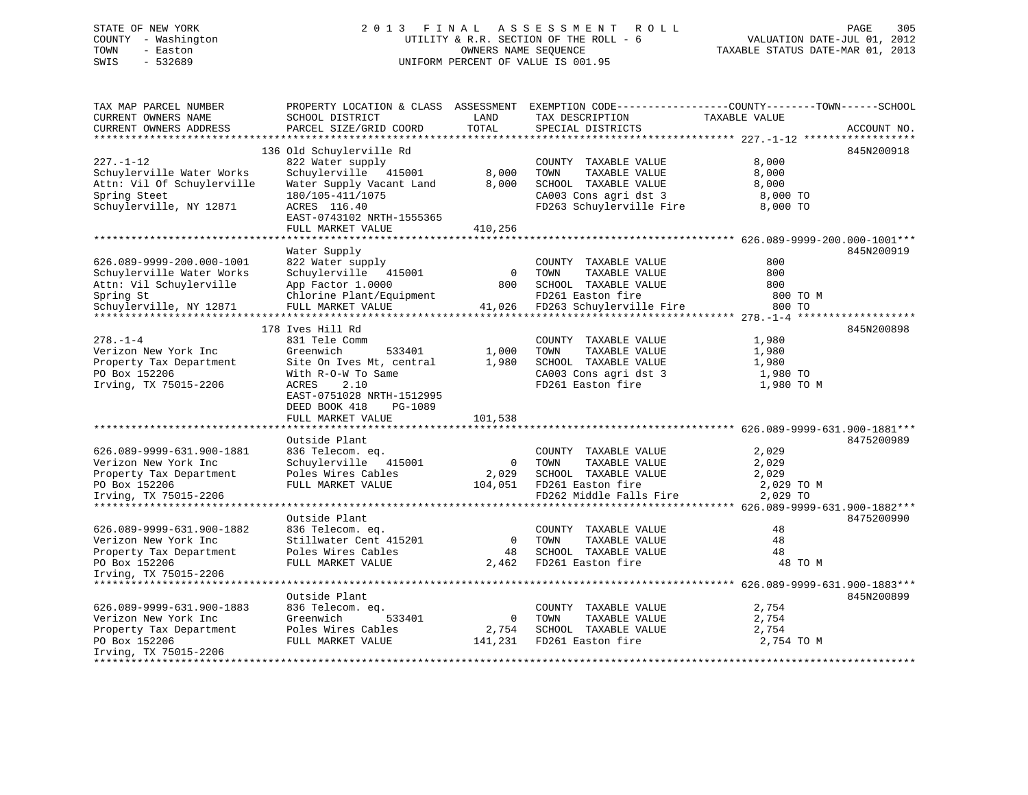## STATE OF NEW YORK 2 0 1 3 F I N A L A S S E S S M E N T R O L L PAGE 305 COUNTY - Washington UTILITY & R.R. SECTION OF THE ROLL - 6 VALUATION DATE-JUL 01, 2012 TOWN - Easton OWNERS NAME SEQUENCE TAXABLE STATUS DATE-MAR 01, 2013 SWIS - 532689 UNIFORM PERCENT OF VALUE IS 001.95

| TAX MAP PARCEL NUMBER<br>CURRENT OWNERS NAME<br>CURRENT OWNERS ADDRESS                                                    | SCHOOL DISTRICT<br>PARCEL SIZE/GRID COORD                                                                                                                                              | LAND<br>TOTAL             | PROPERTY LOCATION & CLASS ASSESSMENT EXEMPTION CODE----------------COUNTY-------TOWN------SCHOOL<br>TAX DESCRIPTION<br>SPECIAL DISTRICTS | TAXABLE VALUE                                     | ACCOUNT NO. |
|---------------------------------------------------------------------------------------------------------------------------|----------------------------------------------------------------------------------------------------------------------------------------------------------------------------------------|---------------------------|------------------------------------------------------------------------------------------------------------------------------------------|---------------------------------------------------|-------------|
| **********************                                                                                                    |                                                                                                                                                                                        |                           |                                                                                                                                          |                                                   |             |
| $227. - 1 - 12$<br>Schuylerville Water Works<br>Attn: Vil Of Schuylerville<br>Spring Steet<br>Schuylerville, NY 12871     | 136 Old Schuylerville Rd<br>822 Water supply<br>Schuylerville 415001<br>Water Supply Vacant Land<br>180/105-411/1075<br>ACRES 116.40<br>EAST-0743102 NRTH-1555365<br>FULL MARKET VALUE | 8,000<br>8,000<br>410,256 | COUNTY TAXABLE VALUE<br>TOWN<br>TAXABLE VALUE<br>SCHOOL TAXABLE VALUE<br>CA003 Cons agri dst 3<br>FD263 Schuylerville Fire 8,000 TO      | 8,000<br>8,000<br>8,000<br>8,000 TO               | 845N200918  |
|                                                                                                                           |                                                                                                                                                                                        |                           |                                                                                                                                          |                                                   |             |
| 626.089-9999-200.000-1001<br>Schuylerville Water Works<br>Attn: Vil Schuylerville<br>Spring St<br>Schuylerville, NY 12871 | Water Supply<br>822 Water supply<br>Schuylerville 415001<br>App Factor 1.0000<br>Chlorine Plant/Equipment<br>FULL MARKET VALUE                                                         | $\overline{0}$<br>800     | COUNTY TAXABLE VALUE<br>TAXABLE VALUE<br>TOWN<br>SCHOOL TAXABLE VALUE<br>FD261 Easton fire<br>41,026 FD263 Schuylerville Fire            | 800<br>800<br>800<br>800 TO M<br>800 TO           | 845N200919  |
|                                                                                                                           | 178 Ives Hill Rd                                                                                                                                                                       |                           |                                                                                                                                          |                                                   | 845N200898  |
| $278. - 1 - 4$<br>Verizon New York Inc<br>Property Tax Department<br>PO Box 152206<br>Irving, TX 75015-2206               | 831 Tele Comm<br>Greenwich<br>533401<br>Site On Ives Mt, central<br>With R-O-W To Same<br>ACRES<br>2.10<br>EAST-0751028 NRTH-1512995<br>DEED BOOK 418<br>PG-1089<br>FULL MARKET VALUE  | 1,000<br>1,980<br>101,538 | COUNTY TAXABLE VALUE<br>TAXABLE VALUE<br>TOWN<br>SCHOOL TAXABLE VALUE<br>CA003 Cons agri dst 3<br>FD261 Easton fire                      | 1,980<br>1,980<br>1,980<br>1,980 TO<br>1,980 TO M |             |
|                                                                                                                           |                                                                                                                                                                                        |                           |                                                                                                                                          |                                                   |             |
| 626.089-9999-631.900-1881<br>Verizon New York Inc<br>Property Tax Department<br>PO Box 152206<br>Irving, TX 75015-2206    | Outside Plant<br>836 Telecom. eq.<br>Schuylerville 415001<br>Poles Wires Cables<br>FULL MARKET VALUE                                                                                   |                           | COUNTY TAXABLE VALUE<br>0 TOWN<br>TAXABLE VALUE<br>2,029 SCHOOL TAXABLE VALUE<br>104,051 FD261 Easton fire<br>FD262 Middle Falls Fire    | 2,029<br>2,029<br>2,029<br>2,029 TO M<br>2,029 TO | 8475200989  |
|                                                                                                                           | Outside Plant                                                                                                                                                                          |                           |                                                                                                                                          |                                                   | 8475200990  |
| 626.089-9999-631.900-1882<br>Verizon New York Inc<br>Property Tax Department<br>PO Box 152206<br>Irving, TX 75015-2206    | 836 Telecom. eq.<br>Stillwater Cent 415201<br>Poles Wires Cables<br>FULL MARKET VALUE                                                                                                  | $\overline{0}$            | COUNTY TAXABLE VALUE<br>TOWN<br>TAXABLE VALUE<br>48 SCHOOL TAXABLE VALUE<br>2,462 FD261 Easton fire                                      | 48<br>48<br>48<br>48 TO M                         |             |
|                                                                                                                           | Outside Plant                                                                                                                                                                          |                           |                                                                                                                                          |                                                   | 845N200899  |
| 626.089-9999-631.900-1883<br>Verizon New York Inc<br>Property Tax Department<br>PO Box 152206<br>Irving, TX 75015-2206    | 836 Telecom. eq.<br>Greenwich<br>533401<br>Poles Wires Cables<br>FULL MARKET VALUE 141,231 FD261 Easton fire                                                                           | $\overline{0}$            | COUNTY TAXABLE VALUE<br>TOWN<br>TAXABLE VALUE<br>2,754 SCHOOL TAXABLE VALUE                                                              | 2,754<br>2,754<br>2,754<br>2,754 TO M             |             |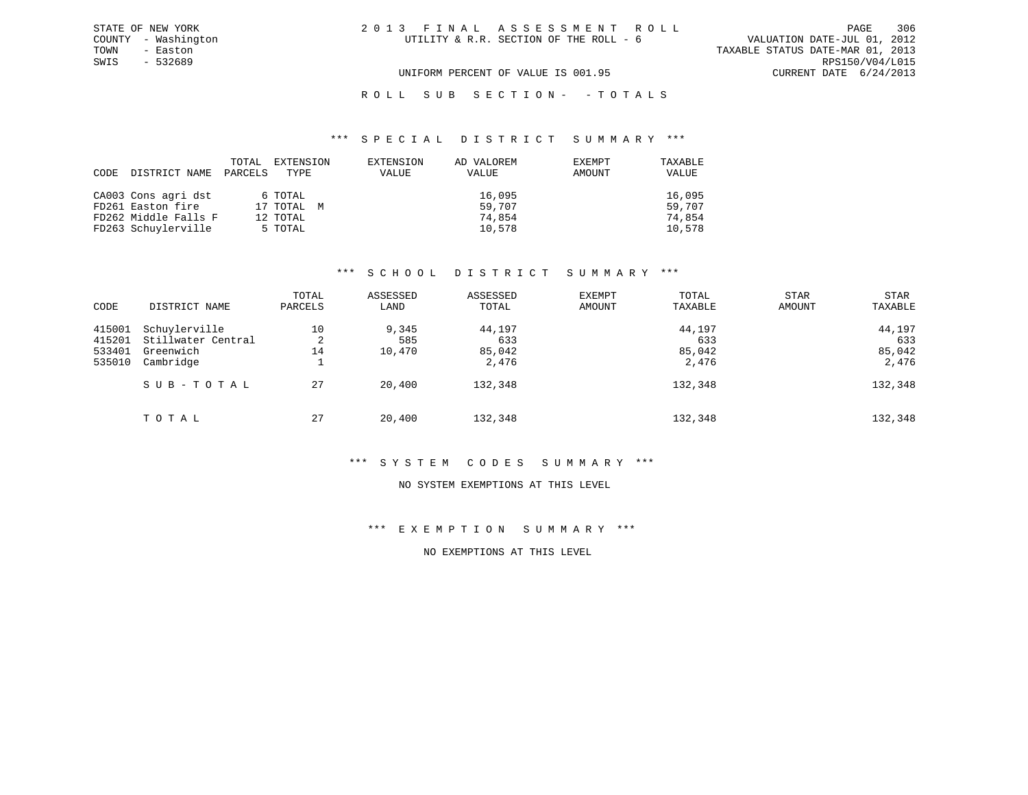TOWN - Easton TAXABLE STATUS DATE-MAR 01, 2013 SWIS - 532689 RPS150/V04/L015 UNIFORM PERCENT OF VALUE IS 001.95 CURRENT DATE 6/24/2013

### ROLL SUB SECTION - - TOTALS

#### \*\*\* S P E C I A L D I S T R I C T S U M M A R Y \*\*\*

| CODE | DISTRICT NAME        | TOTAL<br>PARCELS | EXTENSION<br>TYPE | EXTENSION<br>VALUE | AD VALOREM<br>VALUE | EXEMPT<br>AMOUNT | TAXABLE<br>VALUE |
|------|----------------------|------------------|-------------------|--------------------|---------------------|------------------|------------------|
|      | CA003 Cons agri dst  |                  | 6 TOTAL           |                    | 16,095              |                  | 16,095           |
|      | FD261 Easton fire    |                  | 17 TOTAL M        |                    | 59,707              |                  | 59,707           |
|      | FD262 Middle Falls F |                  | 12 TOTAL          |                    | 74,854              |                  | 74,854           |
|      | FD263 Schuylerville  |                  | 5 TOTAL           |                    | 10,578              |                  | 10,578           |

#### \*\*\* S C H O O L D I S T R I C T S U M M A R Y \*\*\*

| CODE                                 | DISTRICT NAME                                                 | TOTAL<br>PARCELS   | ASSESSED<br>LAND       | ASSESSED<br>TOTAL                | EXEMPT<br><b>AMOUNT</b> | TOTAL<br>TAXABLE                 | <b>STAR</b><br>AMOUNT | STAR<br>TAXABLE                  |
|--------------------------------------|---------------------------------------------------------------|--------------------|------------------------|----------------------------------|-------------------------|----------------------------------|-----------------------|----------------------------------|
| 415001<br>415201<br>533401<br>535010 | Schuylerville<br>Stillwater Central<br>Greenwich<br>Cambridge | 10<br>2<br>14<br>÷ | 9,345<br>585<br>10,470 | 44,197<br>633<br>85,042<br>2,476 |                         | 44,197<br>633<br>85,042<br>2,476 |                       | 44,197<br>633<br>85,042<br>2,476 |
|                                      | SUB-TOTAL                                                     | 27                 | 20,400                 | 132,348                          |                         | 132,348                          |                       | 132,348                          |
|                                      | TOTAL                                                         | 27                 | 20,400                 | 132,348                          |                         | 132,348                          |                       | 132,348                          |

#### \*\*\* S Y S T E M C O D E S S U M M A R Y \*\*\*

#### NO SYSTEM EXEMPTIONS AT THIS LEVEL

### \*\*\* E X E M P T I O N S U M M A R Y \*\*\*

### NO EXEMPTIONS AT THIS LEVEL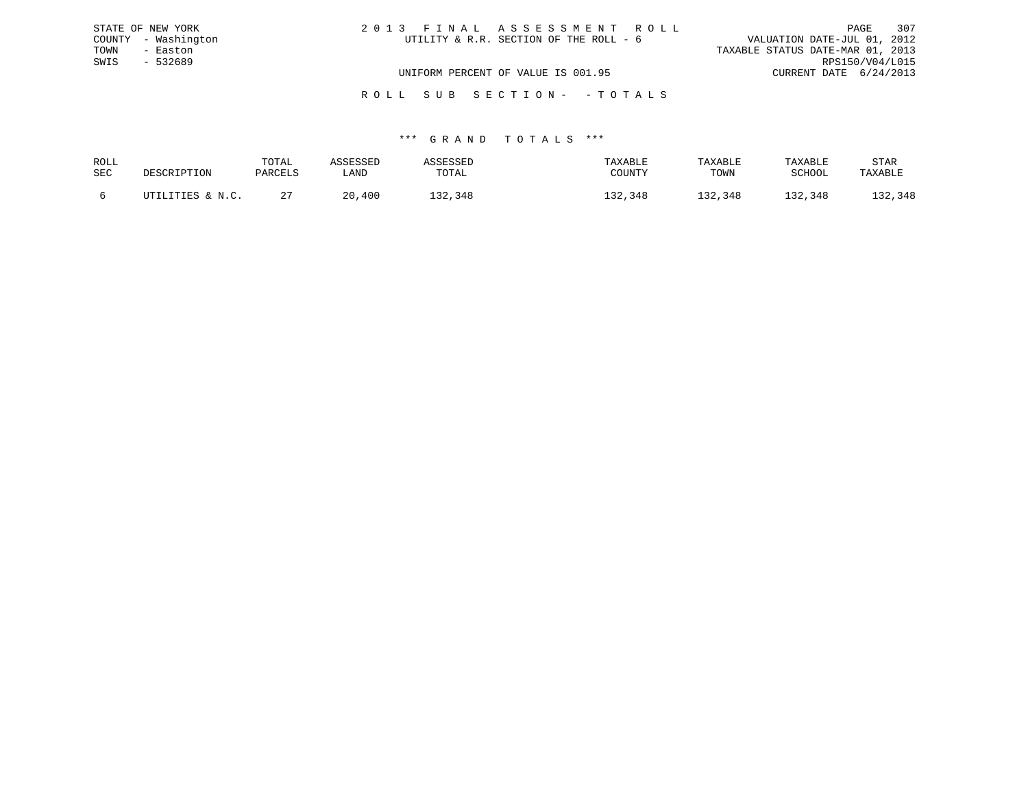|      | STATE OF NEW YORK   | 2013 FINAL ASSESSMENT ROLL             |                                  | PAGE            | 307 |
|------|---------------------|----------------------------------------|----------------------------------|-----------------|-----|
|      | COUNTY - Washington | UTILITY & R.R. SECTION OF THE ROLL - 6 | VALUATION DATE-JUL 01, 2012      |                 |     |
| TOWN | - Easton            |                                        | TAXABLE STATUS DATE-MAR 01, 2013 |                 |     |
| SWIS | - 532689            |                                        |                                  | RPS150/V04/L015 |     |
|      |                     | UNIFORM PERCENT OF VALUE IS 001.95     | CURRENT DATE 6/24/2013           |                 |     |
|      |                     |                                        |                                  |                 |     |

# R O L L S U B S E C T I O N - - T O T A L S

| ROLL |                  | TOTAL       | \SSESSED | <b><i>\SSESSED</i></b> | TAXABLE | TAXABLE | TAXABLE       | STAR    |
|------|------------------|-------------|----------|------------------------|---------|---------|---------------|---------|
| SEC  | DESCRIPTION      | PARCELS     | LAND     | TOTAL                  | COUNTY  | TOWN    | <b>SCHOOL</b> | TAXABLE |
|      | UTILITIES & N.C. | $\sim$<br>4 | 20,400   | 132,348                | 132,348 | 132,348 | 132,348       | 132,348 |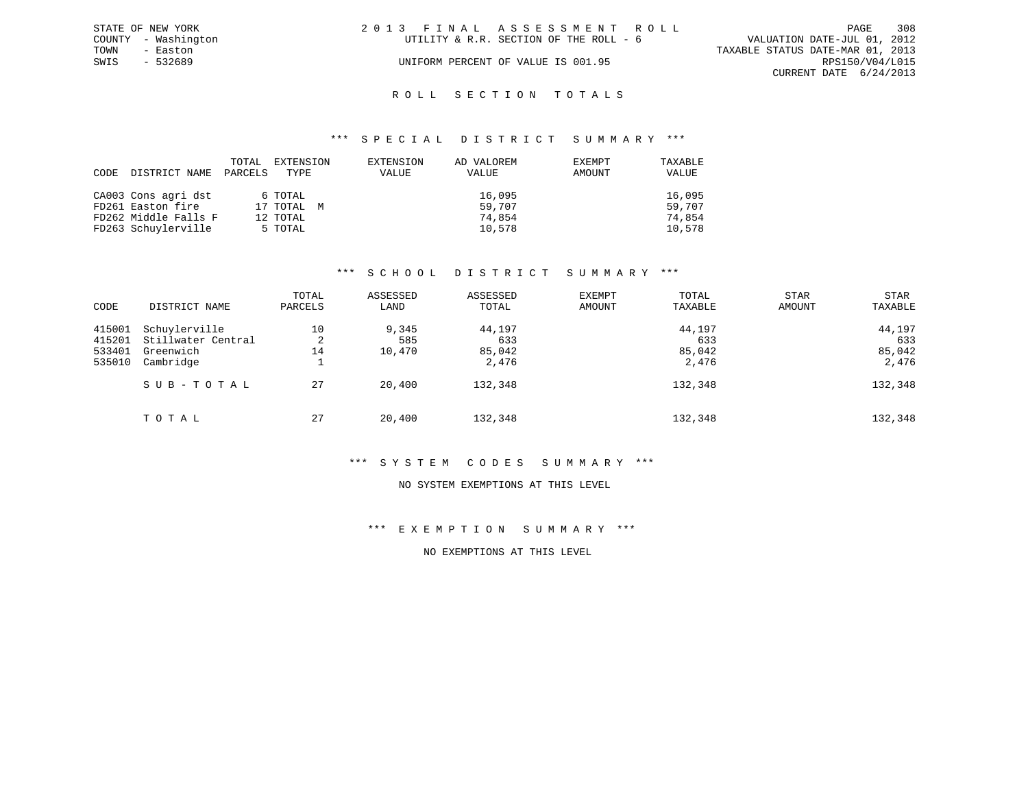|      | STATE OF NEW YORK   | 2013 FINAL ASSESSMENT ROLL             |                             | PAGE            | 308 |
|------|---------------------|----------------------------------------|-----------------------------|-----------------|-----|
|      | COUNTY - Washington | UTILITY & R.R. SECTION OF THE ROLL - 6 | VALUATION DATE-JUL 01, 2012 |                 |     |
| TOWN | - Easton            | TAXABLE STATUS DATE-MAR 01, 2013       |                             |                 |     |
| SWIS | - 532689            | UNIFORM PERCENT OF VALUE IS 001.95     |                             | RPS150/V04/L015 |     |
|      |                     |                                        | CURRENT DATE 6/24/2013      |                 |     |
|      |                     |                                        |                             |                 |     |

### ROLL SECTION TOTALS

#### \*\*\* S P E C I A L D I S T R I C T S U M M A R Y \*\*\*

| CODE | DISTRICT NAME        | TOTAL<br>PARCELS | EXTENSION<br>TYPE | EXTENSION<br>VALUE | AD VALOREM<br>VALUE | EXEMPT<br>AMOUNT | TAXABLE<br>VALUE |
|------|----------------------|------------------|-------------------|--------------------|---------------------|------------------|------------------|
|      | CA003 Cons agri dst  |                  | 6 TOTAL           |                    | 16,095              |                  | 16,095           |
|      | FD261 Easton fire    |                  | 17 TOTAL M        |                    | 59,707              |                  | 59,707           |
|      | FD262 Middle Falls F |                  | 12 TOTAL          |                    | 74,854              |                  | 74,854           |
|      | FD263 Schuylerville  |                  | 5 TOTAL           |                    | 10,578              |                  | 10,578           |

### \*\*\* S C H O O L D I S T R I C T S U M M A R Y \*\*\*

| CODE                                 | DISTRICT NAME                                                 | TOTAL<br>PARCELS   | ASSESSED<br>LAND       | ASSESSED<br>TOTAL                | EXEMPT<br><b>AMOUNT</b> | TOTAL<br>TAXABLE                 | <b>STAR</b><br>AMOUNT | <b>STAR</b><br>TAXABLE           |
|--------------------------------------|---------------------------------------------------------------|--------------------|------------------------|----------------------------------|-------------------------|----------------------------------|-----------------------|----------------------------------|
| 415001<br>415201<br>533401<br>535010 | Schuylerville<br>Stillwater Central<br>Greenwich<br>Cambridge | 10<br>2<br>14<br>÷ | 9,345<br>585<br>10,470 | 44,197<br>633<br>85,042<br>2,476 |                         | 44,197<br>633<br>85,042<br>2,476 |                       | 44,197<br>633<br>85,042<br>2,476 |
|                                      | SUB-TOTAL                                                     | 27                 | 20,400                 | 132,348                          |                         | 132,348                          |                       | 132,348                          |
|                                      | TOTAL                                                         | 27                 | 20,400                 | 132,348                          |                         | 132,348                          |                       | 132,348                          |

#### \*\*\* S Y S T E M C O D E S S U M M A R Y \*\*\*

#### NO SYSTEM EXEMPTIONS AT THIS LEVEL

### \*\*\* E X E M P T I O N S U M M A R Y \*\*\*

### NO EXEMPTIONS AT THIS LEVEL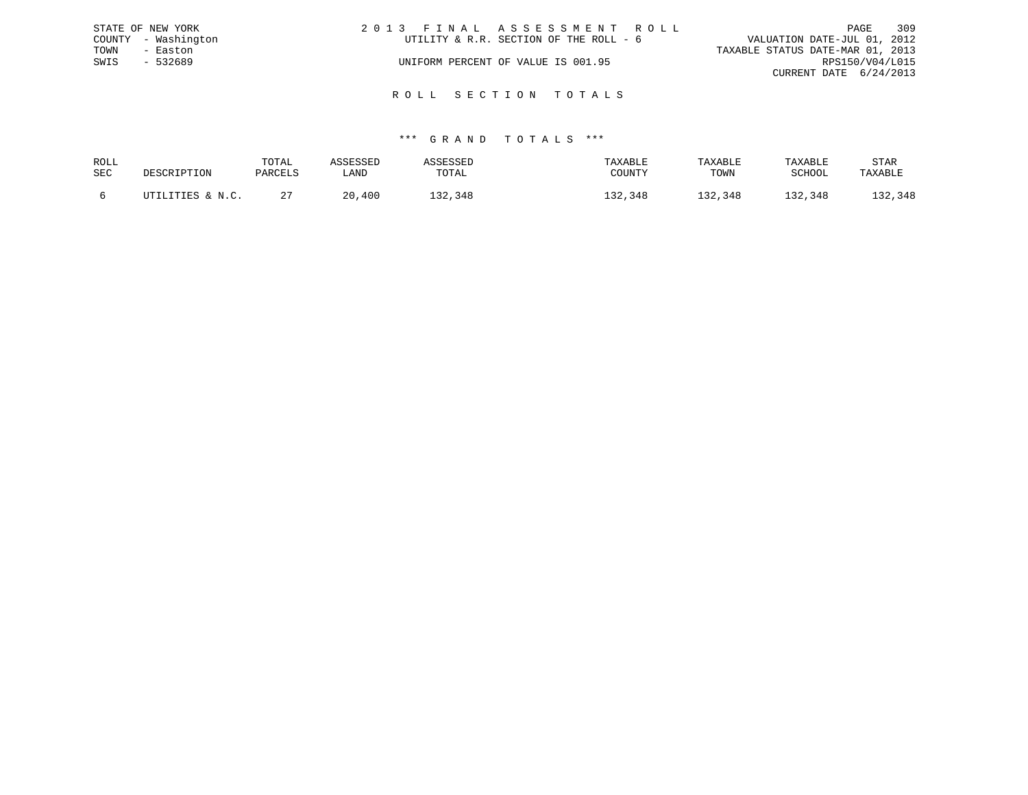|      | STATE OF NEW YORK   | 2013 FINAL ASSESSMENT ROLL             | 309<br>PAGE                      |
|------|---------------------|----------------------------------------|----------------------------------|
|      | COUNTY - Washington | UTILITY & R.R. SECTION OF THE ROLL - 6 | VALUATION DATE-JUL 01, 2012      |
| TOWN | - Easton            |                                        | TAXABLE STATUS DATE-MAR 01, 2013 |
| SWIS | - 532689            | UNIFORM PERCENT OF VALUE IS 001.95     | RPS150/V04/L015                  |
|      |                     |                                        | CURRENT DATE 6/24/2013           |
|      |                     |                                        |                                  |

R O L L S E C T I O N T O T A L S

| ROLL |                  | TOTAL   | <b>ICCFCCFT</b> | <i><b>SSESSED</b></i> | TAXABLE | TAXABLE | TAXABLE     | STAR    |
|------|------------------|---------|-----------------|-----------------------|---------|---------|-------------|---------|
| SEC  | DESCRIPTION      | PARCELS | LAND            | TOTAL                 | COUNTY  | TOWN    | SCHOOL      | TAXABLE |
|      | UTILITIES & N.C. | ▵       | , 400<br>20.    | 132,348               | 132,348 | 132,348 | 32.<br>,348 | 132,348 |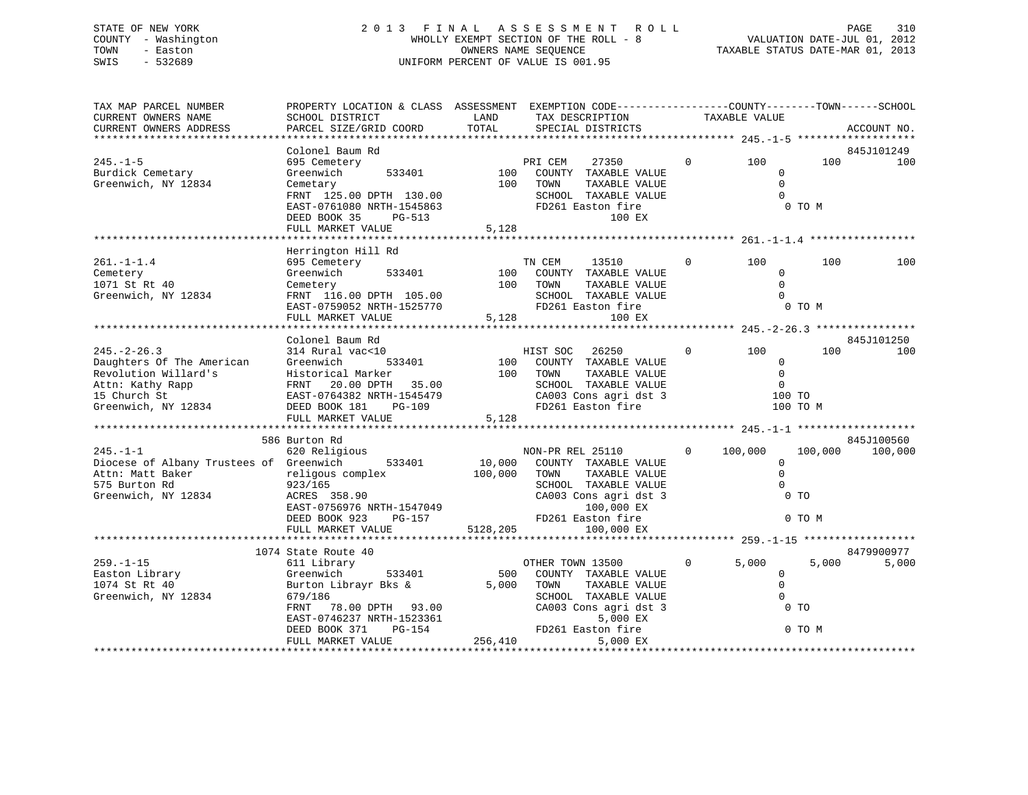## STATE OF NEW YORK 2 0 1 3 F I N A L A S S E S S M E N T R O L L PAGE 310 COUNTY - Washington WHOLLY EXEMPT SECTION OF THE ROLL - 8 VALUATION DATE-JUL 01, 2012 TOWN - Easton COMPUTERS NAME SEQUENCE TAXABLE STATUS DATE-MAR 01, 2013<br>SWIS - 532689 SWIS - 532689 UNIFORM PERCENT OF VALUE IS 001.95

| TAX MAP PARCEL NUMBER<br>CURRENT OWNERS NAME<br>CURRENT OWNERS ADDRESS                                                            | PROPERTY LOCATION & CLASS ASSESSMENT EXEMPTION CODE----------------COUNTY-------TOWN------SCHOOL<br>SCHOOL DISTRICT<br>PARCEL SIZE/GRID COORD                                  | LAND<br>TOTAL           | TAX DESCRIPTION<br>SPECIAL DISTRICTS                                                                                                                            |                | TAXABLE VALUE                                           |                                     | ACCOUNT NO.           |
|-----------------------------------------------------------------------------------------------------------------------------------|--------------------------------------------------------------------------------------------------------------------------------------------------------------------------------|-------------------------|-----------------------------------------------------------------------------------------------------------------------------------------------------------------|----------------|---------------------------------------------------------|-------------------------------------|-----------------------|
|                                                                                                                                   |                                                                                                                                                                                |                         |                                                                                                                                                                 |                |                                                         |                                     |                       |
| $245. - 1 - 5$<br>Burdick Cemetary<br>Greenwich, NY 12834                                                                         | Colonel Baum Rd<br>695 Cemetery<br>533401<br>Greenwich<br>Cemetary<br>FRNT 125.00 DPTH 130.00<br>EAST-0761080 NRTH-1545863<br>DEED BOOK 35<br>PG-513<br>FULL MARKET VALUE      | 100<br>100<br>5,128     | 27350<br>PRI CEM<br>COUNTY TAXABLE VALUE<br>TOWN<br>TAXABLE VALUE<br>SCHOOL TAXABLE VALUE<br>FD261 Easton fire<br>100 EX                                        | $\mathbf 0$    | 100<br>$\mathbf 0$<br>$\Omega$<br>$\Omega$              | 100<br>0 TO M                       | 845J101249<br>100     |
|                                                                                                                                   |                                                                                                                                                                                |                         |                                                                                                                                                                 |                |                                                         |                                     |                       |
| $261. -1 -1.4$<br>Cemetery<br>1071 St Rt 40<br>Greenwich, NY 12834                                                                | Herrington Hill Rd<br>695 Cemetery<br>Greenwich<br>533401<br>Cemetery<br>FRNT 116.00 DPTH 105.00<br>EAST-0759052 NRTH-1525770                                                  | 100<br>100              | TN CEM<br>13510<br>COUNTY TAXABLE VALUE<br>TOWN<br>TAXABLE VALUE<br>SCHOOL TAXABLE VALUE<br>FD261 Easton fire                                                   | $\overline{0}$ | 100<br>$\Omega$<br>$\Omega$<br>$\Omega$                 | 100<br>0 TO M                       | 100                   |
|                                                                                                                                   | FULL MARKET VALUE                                                                                                                                                              | 5,128                   | 100 EX                                                                                                                                                          |                |                                                         |                                     |                       |
|                                                                                                                                   | Colonel Baum Rd                                                                                                                                                                |                         |                                                                                                                                                                 |                |                                                         |                                     | 845J101250            |
| $245. - 2 - 26.3$<br>Daughters Of The American<br>Revolution Willard's<br>Attn: Kathy Rapp<br>15 Church St<br>Greenwich, NY 12834 | 314 Rural vac<10<br>Greenwich<br>533401<br>Historical Marker<br>FRNT 20.00 DPTH<br>35.00<br>EAST-0764382 NRTH-1545479<br>DEED BOOK 181<br>PG-109                               | 100<br>100              | HIST SOC<br>26250<br>COUNTY TAXABLE VALUE<br>TOWN<br>TAXABLE VALUE<br>SCHOOL TAXABLE VALUE<br>CA003 Cons agri dst 3<br>FD261 Easton fire                        | $\overline{0}$ | 100<br>$\Omega$<br>$\mathbf 0$<br>$\mathbf 0$<br>100 TO | 100<br>100 TO M                     | 100                   |
|                                                                                                                                   | FULL MARKET VALUE                                                                                                                                                              | 5,128                   |                                                                                                                                                                 |                |                                                         |                                     |                       |
| $245. - 1 - 1$<br>Diocese of Albany Trustees of Greenwich<br>Attn: Matt Baker<br>575 Burton Rd<br>Greenwich, NY 12834             | 586 Burton Rd<br>620 Religious<br>533401<br>religous complex<br>923/165<br>ACRES 358.90<br>EAST-0756976 NRTH-1547049<br>DEED BOOK 923<br>PG-157                                | 10,000<br>100,000       | NON-PR REL 25110<br>COUNTY TAXABLE VALUE<br>TOWN<br>TAXABLE VALUE<br>SCHOOL TAXABLE VALUE<br>CA003 Cons agri dst 3<br>100,000 EX<br>FD261 Easton fire           | $\Omega$       | 100,000<br>$\mathbf 0$<br>$\mathbf 0$<br>$\mathbf 0$    | 100,000<br>0 <sub>T</sub><br>0 TO M | 845J100560<br>100,000 |
|                                                                                                                                   | FULL MARKET VALUE                                                                                                                                                              | 5128,205                | 100,000 EX                                                                                                                                                      |                |                                                         |                                     |                       |
|                                                                                                                                   | 1074 State Route 40                                                                                                                                                            |                         |                                                                                                                                                                 |                |                                                         |                                     | 8479900977            |
| $259. - 1 - 15$<br>Easton Library<br>1074 St Rt 40<br>Greenwich, NY 12834                                                         | 611 Library<br>Greenwich<br>533401<br>Burton Librayr Bks &<br>679/186<br>78.00 DPTH 93.00<br>FRNT<br>EAST-0746237 NRTH-1523361<br>PG-154<br>DEED BOOK 371<br>FULL MARKET VALUE | 500<br>5,000<br>256,410 | OTHER TOWN 13500<br>COUNTY TAXABLE VALUE<br>TOWN<br>TAXABLE VALUE<br>SCHOOL TAXABLE VALUE<br>CA003 Cons agri dst 3<br>5,000 EX<br>FD261 Easton fire<br>5,000 EX | $\mathbf{0}$   | 5.000<br>$\overline{0}$<br>$\Omega$<br>$\Omega$         | 5.000<br>$0$ TO<br>0 TO M           | 5,000                 |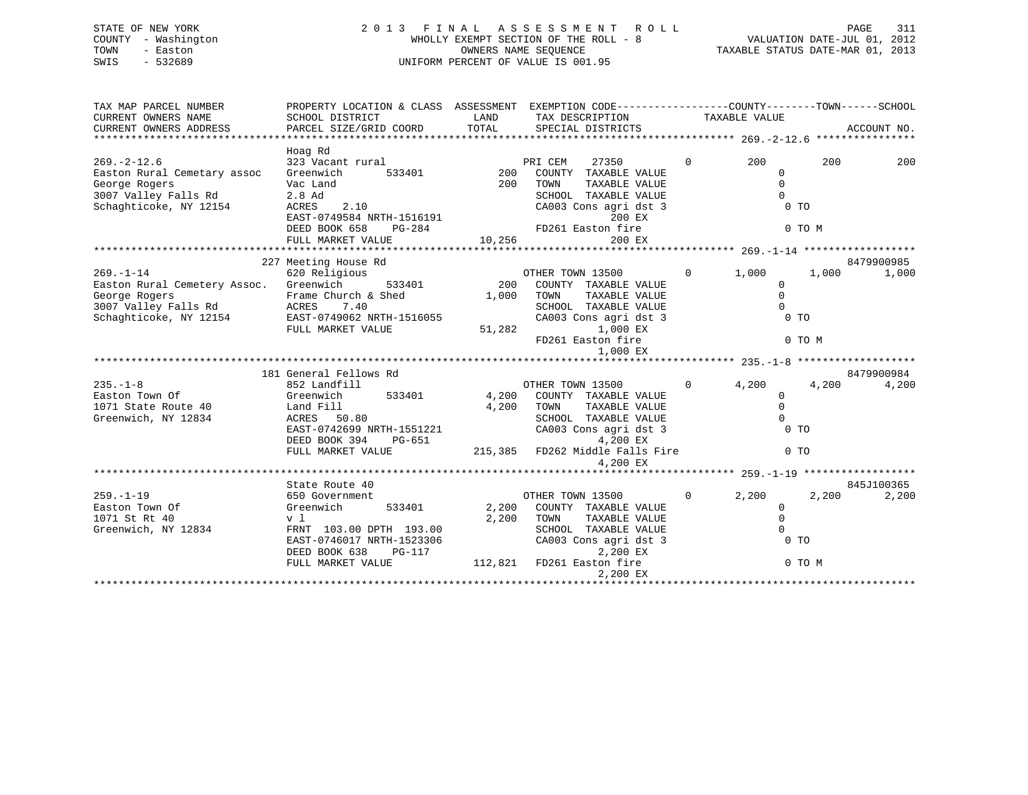## STATE OF NEW YORK 2 0 1 3 F I N A L A S S E S S M E N T R O L L PAGE 311 COUNTY - Washington WHOLLY EXEMPT SECTION OF THE ROLL - 8 VALUATION DATE-JUL 01, 2012 TOWN - Easton OWNERS NAME SEQUENCE TAXABLE STATUS DATE-MAR 01, 2013 SWIS - 532689 UNIFORM PERCENT OF VALUE IS 001.95

| TAX MAP PARCEL NUMBER<br>CURRENT OWNERS NAME<br>CURRENT OWNERS ADDRESS                                                                                                                                 | PROPERTY LOCATION & CLASS ASSESSMENT EXEMPTION CODE---------------COUNTY-------TOWN------SCHOOL                                                                 |                             |                                                                                                                                                                               |                |                                                                                         |                              |
|--------------------------------------------------------------------------------------------------------------------------------------------------------------------------------------------------------|-----------------------------------------------------------------------------------------------------------------------------------------------------------------|-----------------------------|-------------------------------------------------------------------------------------------------------------------------------------------------------------------------------|----------------|-----------------------------------------------------------------------------------------|------------------------------|
| $269. - 2 - 12.6$<br>Easton Rural Cemetary assoc<br>George Rogers<br>3007 Valley Falls Rd<br>Schaghticoke, NY 12154                                                                                    | Hoag Rd<br>323 Vacant rural<br>Greenwich<br>Vac Land<br>$2.8$ Ad<br>ACRES 2.10<br>EAST-0749584 NRTH-1516191<br>DEED BOOK 658<br>PG-284<br>FULL MARKET VALUE     | 533401 200<br>200<br>10,256 | PRI CEM<br>27350<br>COUNTY TAXABLE VALUE<br>TAXABLE VALUE<br>TOWN<br>SCHOOL TAXABLE VALUE<br>CA003 Cons agri dst 3<br>200 EX<br>200 EX                                        | $\Omega$       | 200<br>$\mathbf{0}$<br>$\overline{0}$<br>$\Omega$<br>0 <sub>T</sub><br>0 TO M           | 200<br>200                   |
|                                                                                                                                                                                                        |                                                                                                                                                                 |                             |                                                                                                                                                                               |                |                                                                                         |                              |
| $269. - 1 - 14$<br>Easton Rural Cemetery Assoc. Greenwich 533401 200<br>George Rogers Trame Church & Shed 1,000<br>3007 Valley Falls Rd ACRES 7.40<br>Schaghticoke, NY 12154 EAST-0749062 NRTH-1516055 | 227 Meeting House Rd<br>620 Religious<br>FULL MARKET VALUE                                                                                                      | 1,000<br>51,282             | OTHER TOWN 13500 0<br>COUNTY TAXABLE VALUE<br>TOWN<br>TAXABLE VALUE<br>SCHOOL TAXABLE VALUE<br>CA003 Cons agri dst 3<br>1,000 EX<br>FD261 Easton fire<br>1,000 EX             |                | 1,000<br>$\Omega$<br>$\overline{0}$<br>$\Omega$<br>0 <sub>T</sub><br>0 TO M             | 8479900985<br>1,000<br>1,000 |
|                                                                                                                                                                                                        |                                                                                                                                                                 |                             |                                                                                                                                                                               |                |                                                                                         |                              |
| $235. - 1 - 8$<br>Easton Town Of<br>1071 State Route 40 Land Fill<br>Greenwich NY 12834 ACRES 50<br>Greenwich, NY 12834                                                                                | 181 General Fellows Rd<br>852 Landfill<br>533401 4,200<br>Greenwich<br>ACRES 50.80<br>EAST-0742699 NRTH-1551221<br>DEED BOOK 394<br>PG-651<br>FULL MARKET VALUE | 4,200                       | OTHER TOWN 13500<br>COUNTY TAXABLE VALUE<br>TOWN<br>TAXABLE VALUE<br>SCHOOL TAXABLE VALUE<br>CA003 Cons agri dst 3<br>4,200 EX<br>215,385 FD262 Middle Falls Fire<br>4,200 EX | $\overline{0}$ | 4,200<br>$\mathbf{0}$<br>$\overline{0}$<br>$\Omega$<br>0 <sub>T</sub><br>0 <sub>T</sub> | 8479900984<br>4,200<br>4,200 |
|                                                                                                                                                                                                        | State Route 40                                                                                                                                                  |                             |                                                                                                                                                                               |                |                                                                                         | 845J100365                   |
| $259. -1 - 19$<br>Easton Town Of<br>1071 St Rt 40<br>Greenwich, NY 12834                                                                                                                               | 650 Government<br>533401<br>Greenwich<br>v l<br>FRNT 103.00 DPTH 193.00<br>EAST-0746017 NRTH-1523306<br>DEED BOOK 638<br>PG-117<br>FULL MARKET VALUE            | 2,200<br>2,200              | OTHER TOWN 13500<br>COUNTY TAXABLE VALUE<br>TOWN<br>TAXABLE VALUE<br>SCHOOL TAXABLE VALUE<br>CA003 Cons agri dst 3<br>2,200 EX<br>112,821 FD261 Easton fire<br>2,200 EX       | $\overline{0}$ | 2,200<br>$\overline{0}$<br>$\overline{0}$<br>$\Omega$<br>0 <sub>T</sub><br>0 TO M       | 2,200<br>2,200               |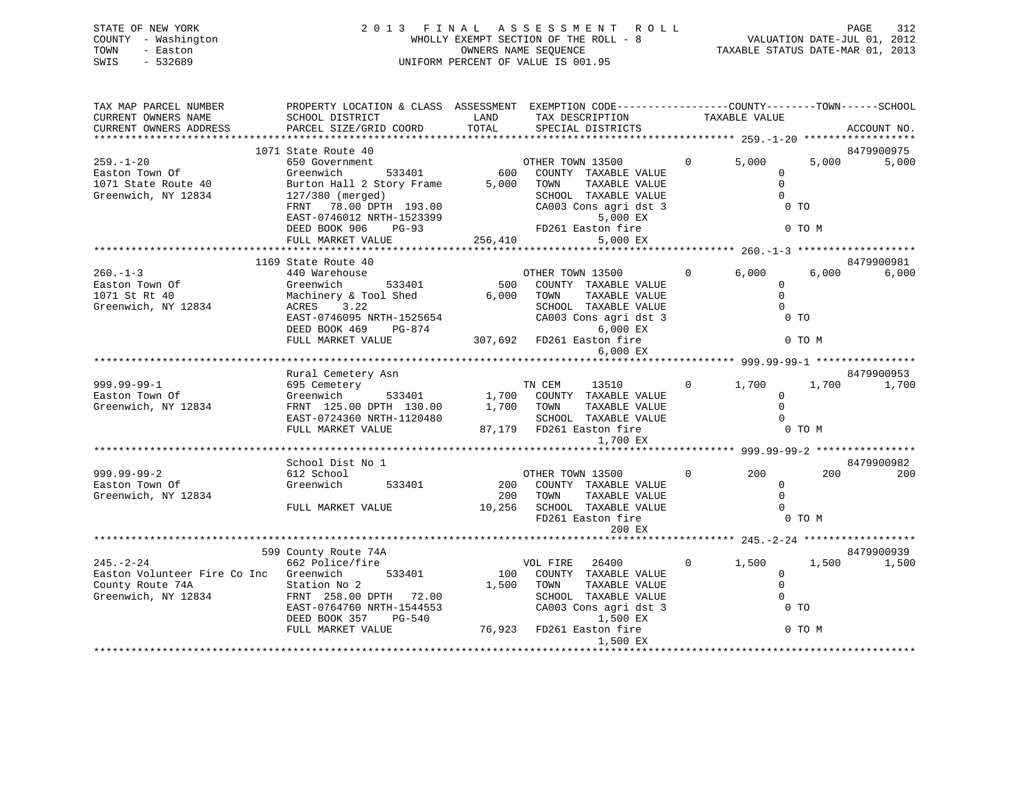|      | STATE OF NEW YORK   |  | 2013 FINAL ASSESSMENT ROLL            |                                  | PAGE | 312 |
|------|---------------------|--|---------------------------------------|----------------------------------|------|-----|
|      | COUNTY - Washington |  | WHOLLY EXEMPT SECTION OF THE ROLL - 8 | VALUATION DATE-JUL 01, 2012      |      |     |
| TOWN | - Easton            |  | OWNERS NAME SEQUENCE                  | TAXABLE STATUS DATE-MAR 01, 2013 |      |     |
| SWIS | - 532689            |  | UNIFORM PERCENT OF VALUE IS 001.95    |                                  |      |     |
|      |                     |  |                                       |                                  |      |     |

| SCHOOL DISTRICT                                  | LAND                                                                                                                                                                                                                                                                                                   |                                                |                                                                                                                                   |                                                                                                                                                                                                                                                                                                                                                                                                                                                                                 |                                                                |                                                                                                                                                 |                                                                                                                                                                                            |
|--------------------------------------------------|--------------------------------------------------------------------------------------------------------------------------------------------------------------------------------------------------------------------------------------------------------------------------------------------------------|------------------------------------------------|-----------------------------------------------------------------------------------------------------------------------------------|---------------------------------------------------------------------------------------------------------------------------------------------------------------------------------------------------------------------------------------------------------------------------------------------------------------------------------------------------------------------------------------------------------------------------------------------------------------------------------|----------------------------------------------------------------|-------------------------------------------------------------------------------------------------------------------------------------------------|--------------------------------------------------------------------------------------------------------------------------------------------------------------------------------------------|
| PARCEL SIZE/GRID COORD                           | TOTAL                                                                                                                                                                                                                                                                                                  |                                                |                                                                                                                                   |                                                                                                                                                                                                                                                                                                                                                                                                                                                                                 |                                                                |                                                                                                                                                 | ACCOUNT NO.                                                                                                                                                                                |
|                                                  |                                                                                                                                                                                                                                                                                                        |                                                |                                                                                                                                   |                                                                                                                                                                                                                                                                                                                                                                                                                                                                                 |                                                                |                                                                                                                                                 |                                                                                                                                                                                            |
|                                                  |                                                                                                                                                                                                                                                                                                        |                                                |                                                                                                                                   |                                                                                                                                                                                                                                                                                                                                                                                                                                                                                 |                                                                |                                                                                                                                                 | 8479900975                                                                                                                                                                                 |
| 650 Government                                   |                                                                                                                                                                                                                                                                                                        |                                                |                                                                                                                                   |                                                                                                                                                                                                                                                                                                                                                                                                                                                                                 |                                                                | 5,000                                                                                                                                           | 5,000                                                                                                                                                                                      |
| Greenwich                                        |                                                                                                                                                                                                                                                                                                        |                                                |                                                                                                                                   |                                                                                                                                                                                                                                                                                                                                                                                                                                                                                 | $\Omega$                                                       |                                                                                                                                                 |                                                                                                                                                                                            |
|                                                  |                                                                                                                                                                                                                                                                                                        |                                                | TAXABLE VALUE                                                                                                                     |                                                                                                                                                                                                                                                                                                                                                                                                                                                                                 | $\mathbf{0}$                                                   |                                                                                                                                                 |                                                                                                                                                                                            |
| 127/380 (merged)                                 |                                                                                                                                                                                                                                                                                                        |                                                |                                                                                                                                   |                                                                                                                                                                                                                                                                                                                                                                                                                                                                                 | $\overline{0}$                                                 |                                                                                                                                                 |                                                                                                                                                                                            |
|                                                  |                                                                                                                                                                                                                                                                                                        |                                                |                                                                                                                                   |                                                                                                                                                                                                                                                                                                                                                                                                                                                                                 |                                                                |                                                                                                                                                 |                                                                                                                                                                                            |
|                                                  |                                                                                                                                                                                                                                                                                                        |                                                |                                                                                                                                   |                                                                                                                                                                                                                                                                                                                                                                                                                                                                                 |                                                                |                                                                                                                                                 |                                                                                                                                                                                            |
|                                                  |                                                                                                                                                                                                                                                                                                        |                                                |                                                                                                                                   |                                                                                                                                                                                                                                                                                                                                                                                                                                                                                 |                                                                |                                                                                                                                                 |                                                                                                                                                                                            |
|                                                  |                                                                                                                                                                                                                                                                                                        |                                                |                                                                                                                                   |                                                                                                                                                                                                                                                                                                                                                                                                                                                                                 |                                                                |                                                                                                                                                 |                                                                                                                                                                                            |
|                                                  |                                                                                                                                                                                                                                                                                                        |                                                |                                                                                                                                   |                                                                                                                                                                                                                                                                                                                                                                                                                                                                                 |                                                                |                                                                                                                                                 |                                                                                                                                                                                            |
|                                                  |                                                                                                                                                                                                                                                                                                        |                                                |                                                                                                                                   |                                                                                                                                                                                                                                                                                                                                                                                                                                                                                 |                                                                |                                                                                                                                                 | 8479900981                                                                                                                                                                                 |
|                                                  |                                                                                                                                                                                                                                                                                                        |                                                |                                                                                                                                   | $\overline{0}$                                                                                                                                                                                                                                                                                                                                                                                                                                                                  |                                                                |                                                                                                                                                 | 6,000                                                                                                                                                                                      |
|                                                  |                                                                                                                                                                                                                                                                                                        |                                                |                                                                                                                                   |                                                                                                                                                                                                                                                                                                                                                                                                                                                                                 | $\Omega$                                                       |                                                                                                                                                 |                                                                                                                                                                                            |
|                                                  |                                                                                                                                                                                                                                                                                                        |                                                |                                                                                                                                   |                                                                                                                                                                                                                                                                                                                                                                                                                                                                                 | $\Omega$                                                       |                                                                                                                                                 |                                                                                                                                                                                            |
|                                                  |                                                                                                                                                                                                                                                                                                        |                                                |                                                                                                                                   |                                                                                                                                                                                                                                                                                                                                                                                                                                                                                 | $\Omega$                                                       |                                                                                                                                                 |                                                                                                                                                                                            |
|                                                  |                                                                                                                                                                                                                                                                                                        |                                                |                                                                                                                                   |                                                                                                                                                                                                                                                                                                                                                                                                                                                                                 |                                                                |                                                                                                                                                 |                                                                                                                                                                                            |
|                                                  |                                                                                                                                                                                                                                                                                                        |                                                |                                                                                                                                   |                                                                                                                                                                                                                                                                                                                                                                                                                                                                                 |                                                                |                                                                                                                                                 |                                                                                                                                                                                            |
|                                                  |                                                                                                                                                                                                                                                                                                        |                                                |                                                                                                                                   |                                                                                                                                                                                                                                                                                                                                                                                                                                                                                 |                                                                |                                                                                                                                                 |                                                                                                                                                                                            |
|                                                  |                                                                                                                                                                                                                                                                                                        |                                                |                                                                                                                                   |                                                                                                                                                                                                                                                                                                                                                                                                                                                                                 |                                                                |                                                                                                                                                 |                                                                                                                                                                                            |
|                                                  |                                                                                                                                                                                                                                                                                                        |                                                |                                                                                                                                   |                                                                                                                                                                                                                                                                                                                                                                                                                                                                                 |                                                                |                                                                                                                                                 |                                                                                                                                                                                            |
|                                                  |                                                                                                                                                                                                                                                                                                        |                                                |                                                                                                                                   |                                                                                                                                                                                                                                                                                                                                                                                                                                                                                 |                                                                |                                                                                                                                                 | 8479900953                                                                                                                                                                                 |
|                                                  |                                                                                                                                                                                                                                                                                                        |                                                |                                                                                                                                   |                                                                                                                                                                                                                                                                                                                                                                                                                                                                                 |                                                                |                                                                                                                                                 | 1,700                                                                                                                                                                                      |
|                                                  |                                                                                                                                                                                                                                                                                                        |                                                |                                                                                                                                   |                                                                                                                                                                                                                                                                                                                                                                                                                                                                                 |                                                                |                                                                                                                                                 |                                                                                                                                                                                            |
|                                                  |                                                                                                                                                                                                                                                                                                        |                                                |                                                                                                                                   |                                                                                                                                                                                                                                                                                                                                                                                                                                                                                 |                                                                |                                                                                                                                                 |                                                                                                                                                                                            |
|                                                  |                                                                                                                                                                                                                                                                                                        |                                                |                                                                                                                                   |                                                                                                                                                                                                                                                                                                                                                                                                                                                                                 |                                                                |                                                                                                                                                 |                                                                                                                                                                                            |
|                                                  |                                                                                                                                                                                                                                                                                                        |                                                |                                                                                                                                   |                                                                                                                                                                                                                                                                                                                                                                                                                                                                                 |                                                                |                                                                                                                                                 |                                                                                                                                                                                            |
|                                                  |                                                                                                                                                                                                                                                                                                        |                                                |                                                                                                                                   |                                                                                                                                                                                                                                                                                                                                                                                                                                                                                 |                                                                |                                                                                                                                                 |                                                                                                                                                                                            |
|                                                  |                                                                                                                                                                                                                                                                                                        |                                                |                                                                                                                                   |                                                                                                                                                                                                                                                                                                                                                                                                                                                                                 |                                                                |                                                                                                                                                 |                                                                                                                                                                                            |
|                                                  |                                                                                                                                                                                                                                                                                                        |                                                |                                                                                                                                   |                                                                                                                                                                                                                                                                                                                                                                                                                                                                                 |                                                                |                                                                                                                                                 | 8479900982                                                                                                                                                                                 |
|                                                  |                                                                                                                                                                                                                                                                                                        |                                                |                                                                                                                                   |                                                                                                                                                                                                                                                                                                                                                                                                                                                                                 |                                                                |                                                                                                                                                 | 200                                                                                                                                                                                        |
|                                                  |                                                                                                                                                                                                                                                                                                        |                                                |                                                                                                                                   |                                                                                                                                                                                                                                                                                                                                                                                                                                                                                 |                                                                |                                                                                                                                                 |                                                                                                                                                                                            |
|                                                  |                                                                                                                                                                                                                                                                                                        |                                                |                                                                                                                                   |                                                                                                                                                                                                                                                                                                                                                                                                                                                                                 |                                                                |                                                                                                                                                 |                                                                                                                                                                                            |
|                                                  |                                                                                                                                                                                                                                                                                                        |                                                |                                                                                                                                   |                                                                                                                                                                                                                                                                                                                                                                                                                                                                                 |                                                                |                                                                                                                                                 |                                                                                                                                                                                            |
|                                                  |                                                                                                                                                                                                                                                                                                        |                                                |                                                                                                                                   |                                                                                                                                                                                                                                                                                                                                                                                                                                                                                 |                                                                |                                                                                                                                                 |                                                                                                                                                                                            |
|                                                  |                                                                                                                                                                                                                                                                                                        |                                                |                                                                                                                                   |                                                                                                                                                                                                                                                                                                                                                                                                                                                                                 |                                                                |                                                                                                                                                 |                                                                                                                                                                                            |
|                                                  |                                                                                                                                                                                                                                                                                                        |                                                |                                                                                                                                   |                                                                                                                                                                                                                                                                                                                                                                                                                                                                                 |                                                                |                                                                                                                                                 |                                                                                                                                                                                            |
|                                                  |                                                                                                                                                                                                                                                                                                        |                                                |                                                                                                                                   |                                                                                                                                                                                                                                                                                                                                                                                                                                                                                 |                                                                |                                                                                                                                                 | 8479900939                                                                                                                                                                                 |
|                                                  |                                                                                                                                                                                                                                                                                                        |                                                |                                                                                                                                   |                                                                                                                                                                                                                                                                                                                                                                                                                                                                                 |                                                                | 1,500                                                                                                                                           | 1,500                                                                                                                                                                                      |
| 599 County Route 74A                             |                                                                                                                                                                                                                                                                                                        |                                                |                                                                                                                                   |                                                                                                                                                                                                                                                                                                                                                                                                                                                                                 |                                                                |                                                                                                                                                 |                                                                                                                                                                                            |
| 662 Police/fire                                  | <b>VOL FIRE</b> 26400                                                                                                                                                                                                                                                                                  |                                                |                                                                                                                                   |                                                                                                                                                                                                                                                                                                                                                                                                                                                                                 | $0 \t 1,500$                                                   |                                                                                                                                                 |                                                                                                                                                                                            |
| Easton Volunteer Fire Co Inc Greenwich<br>533401 |                                                                                                                                                                                                                                                                                                        |                                                | 100 COUNTY TAXABLE VALUE                                                                                                          |                                                                                                                                                                                                                                                                                                                                                                                                                                                                                 | $\overline{0}$                                                 |                                                                                                                                                 |                                                                                                                                                                                            |
| Station No 2                                     |                                                                                                                                                                                                                                                                                                        | 1,500 TOWN                                     | TAXABLE VALUE                                                                                                                     |                                                                                                                                                                                                                                                                                                                                                                                                                                                                                 | $\Omega$                                                       |                                                                                                                                                 |                                                                                                                                                                                            |
| FRNT 258.00 DPTH 72.00                           |                                                                                                                                                                                                                                                                                                        |                                                | SCHOOL TAXABLE VALUE                                                                                                              |                                                                                                                                                                                                                                                                                                                                                                                                                                                                                 | $\Omega$                                                       |                                                                                                                                                 |                                                                                                                                                                                            |
| EAST-0764760 NRTH-1544553                        |                                                                                                                                                                                                                                                                                                        |                                                | CA003 Cons agri dst 3                                                                                                             |                                                                                                                                                                                                                                                                                                                                                                                                                                                                                 |                                                                | 0 <sub>T</sub>                                                                                                                                  |                                                                                                                                                                                            |
| PG-540<br>DEED BOOK 357                          |                                                                                                                                                                                                                                                                                                        |                                                | 1,500 EX                                                                                                                          |                                                                                                                                                                                                                                                                                                                                                                                                                                                                                 |                                                                |                                                                                                                                                 |                                                                                                                                                                                            |
| FULL MARKET VALUE                                | CA003 Cons agri dst<br>1,500 EX<br>76,923 FD261 Easton fire                                                                                                                                                                                                                                            |                                                | 1,500 EX                                                                                                                          |                                                                                                                                                                                                                                                                                                                                                                                                                                                                                 |                                                                | 0 TO M                                                                                                                                          |                                                                                                                                                                                            |
|                                                  | 1071 State Route 40<br>1169 State Route 40<br>440 Warehouse<br>Greenwich<br>533401<br>ACRES 3.22<br>FULL MARKET VALUE<br>Rural Cemetery Asn<br>FRNT 125.00 DPTH 130.00<br>EAST-0724360 NRTH-1120480<br>FULL MARKET VALUE<br>School Dist No 1<br>612 School<br>Greenwich<br>533401<br>FULL MARKET VALUE | FRNT 78.00 DPTH 193.00<br>DEED BOOK 469 PG-874 | Burton Hall 2 Story Frame 5,000 TOWN<br>Machinery & Tool Shed 6,000 TOWN<br>ACRES 5.22<br>EAST-0746095 NRTH-1525654<br>1,700 TOWN | TAX DESCRIPTION<br>SPECIAL DISTRICTS<br>OTHER TOWN 13500<br>533401 600 COUNTY TAXABLE VALUE<br>SCHOOL TAXABLE VALUE<br>CA003 Cons agri dst 3<br>OTHER TOWN 13500<br>500 COUNTY TAXABLE VALUE<br>TAXABLE VALUE<br>SCHOOL TAXABLE VALUE<br>6,000 EX<br>307,692 FD261 Easton fire<br>$6.000$ EX<br>TAXABLE VALUE<br>SCHOOL TAXABLE VALUE<br>87,179 FD261 Easton fire<br>1,700 EX<br>200 COUNTY TAXABLE VALUE<br>200 TOWN<br>TAXABLE VALUE<br>10,256 SCHOOL TAXABLE VALUE<br>200 EX | CA003 Cons agri dst 3<br>OTHER TOWN 13500<br>FD261 Easton fire | TAXABLE VALUE<br>$0 \t 5,000$<br>6,000<br>$0 \t 1,700$<br>$\Omega$<br>$\Omega$<br>$0 \qquad \qquad 200$<br>$\mathbf{0}$<br>$\Omega$<br>$\Omega$ | PROPERTY LOCATION & CLASS ASSESSMENT EXEMPTION CODE---------------COUNTY-------TOWN------SCHOOL<br>0 <sub>T</sub><br>6,000<br>0 <sub>T</sub><br>0 TO M<br>1,700<br>0 TO M<br>200<br>0 TO M |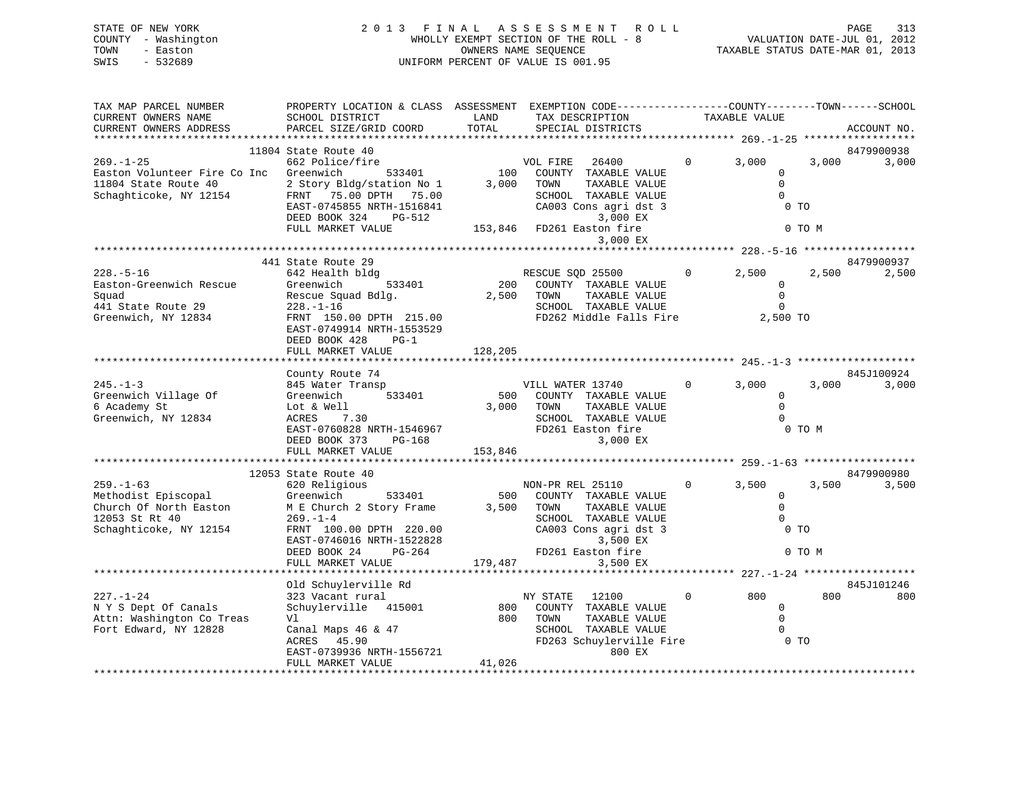| STATE OF NEW YORK   | 2013 FINAL ASSESSMENT ROLL            | 313<br>PAGE                      |
|---------------------|---------------------------------------|----------------------------------|
| COUNTY - Washington | WHOLLY EXEMPT SECTION OF THE ROLL - 8 | VALUATION DATE-JUL 01, 2012      |
| TOWN<br>- Easton    | OWNERS NAME SEOUENCE                  | TAXABLE STATUS DATE-MAR 01, 2013 |
| $-532689$<br>SWIS   | UNIFORM PERCENT OF VALUE IS 001.95    |                                  |
|                     |                                       |                                  |

| TAX MAP PARCEL NUMBER        | PROPERTY LOCATION & CLASS ASSESSMENT EXEMPTION CODE---------------COUNTY-------TOWN------SCHOOL |            |                           |                |                        |        |             |
|------------------------------|-------------------------------------------------------------------------------------------------|------------|---------------------------|----------------|------------------------|--------|-------------|
| CURRENT OWNERS NAME          | SCHOOL DISTRICT                                                                                 | LAND       | TAX DESCRIPTION           |                | TAXABLE VALUE          |        |             |
| CURRENT OWNERS ADDRESS       | PARCEL SIZE/GRID COORD                                                                          | TOTAL      | SPECIAL DISTRICTS         |                |                        |        | ACCOUNT NO. |
|                              |                                                                                                 |            |                           |                |                        |        |             |
|                              | 11804 State Route 40                                                                            |            |                           |                |                        |        | 8479900938  |
| $269. - 1 - 25$              | 662 Police/fire                                                                                 |            | VOL FIRE 26400            | $\mathbf{0}$   | 3,000                  | 3,000  | 3,000       |
| Easton Volunteer Fire Co Inc | Greenwich<br>533401                                                                             | 100        | COUNTY TAXABLE VALUE      |                | 0                      |        |             |
| 11804 State Route 40         | 2 Story Bldg/station No 1                                                                       | 3,000      | TOWN<br>TAXABLE VALUE     |                | $\Omega$               |        |             |
| Schaghticoke, NY 12154       | FRNT 75.00 DPTH 75.00                                                                           |            | SCHOOL TAXABLE VALUE      |                | $\Omega$               |        |             |
|                              | EAST-0745855 NRTH-1516841                                                                       |            | CA003 Cons agri dst 3     |                | $0$ TO                 |        |             |
|                              |                                                                                                 |            |                           |                |                        |        |             |
|                              | DEED BOOK 324<br>PG-512                                                                         |            | 3,000 EX                  |                |                        |        |             |
|                              | FULL MARKET VALUE                                                                               |            | 153,846 FD261 Easton fire |                |                        | 0 TO M |             |
|                              |                                                                                                 |            | 3,000 EX                  |                |                        |        |             |
|                              |                                                                                                 |            |                           |                |                        |        |             |
|                              | 441 State Route 29                                                                              |            |                           |                |                        |        | 8479900937  |
| $228. - 5 - 16$              | 642 Health bldg                                                                                 |            | RESCUE SOD 25500          | $\overline{0}$ | 2,500                  | 2,500  | 2,500       |
| Easton-Greenwich Rescue      | Greenwich<br>533401                                                                             |            | 200 COUNTY TAXABLE VALUE  |                | $\Omega$               |        |             |
| Squad                        | Rescue Squad Bdlg.                                                                              | 2,500 TOWN | TAXABLE VALUE             |                | $\mathbf 0$            |        |             |
| 441 State Route 29           | $228. - 1 - 16$                                                                                 |            | SCHOOL TAXABLE VALUE      |                | $\Omega$               |        |             |
| Greenwich, NY 12834          | FRNT 150.00 DPTH 215.00                                                                         |            | FD262 Middle Falls Fire   |                | 2,500 TO               |        |             |
|                              | EAST-0749914 NRTH-1553529                                                                       |            |                           |                |                        |        |             |
|                              | DEED BOOK 428<br>$PG-1$                                                                         |            |                           |                |                        |        |             |
|                              | FULL MARKET VALUE                                                                               | 128,205    |                           |                |                        |        |             |
|                              |                                                                                                 |            |                           |                |                        |        |             |
|                              | County Route 74                                                                                 |            |                           |                |                        |        | 845J100924  |
| $245. - 1 - 3$               | 845 Water Transp                                                                                |            | VILL WATER 13740          | $0 \qquad$     | 3,000                  | 3,000  | 3,000       |
|                              | 533401                                                                                          |            |                           |                |                        |        |             |
| Greenwich Village Of         | Greenwich                                                                                       |            | 500 COUNTY TAXABLE VALUE  |                | $\mathbf{0}$<br>$\cap$ |        |             |
| 6 Academy St                 | Lot & Well                                                                                      | 3,000 TOWN | TAXABLE VALUE             |                |                        |        |             |
| Greenwich, NY 12834          | ACRES 7.30                                                                                      |            | SCHOOL TAXABLE VALUE      |                | $\Omega$               |        |             |
|                              | EAST-0760828 NRTH-1546967                                                                       |            | FD261 Easton fire         |                |                        | 0 TO M |             |
|                              | DEED BOOK 373<br>PG-168                                                                         |            | 3,000 EX                  |                |                        |        |             |
|                              | FULL MARKET VALUE                                                                               | 153,846    |                           |                |                        |        |             |
|                              |                                                                                                 |            |                           |                |                        |        |             |
|                              | 12053 State Route 40                                                                            |            |                           |                |                        |        | 8479900980  |
| $259. - 1 - 63$              | 620 Religious                                                                                   |            | NON-PR REL 25110          | $\overline{0}$ | 3,500                  | 3,500  | 3,500       |
| Methodist Episcopal          | 533401<br>Greenwich                                                                             |            | 500 COUNTY TAXABLE VALUE  |                | $\mathbf{0}$           |        |             |
| Church Of North Easton       | M E Church 2 Story Frame                                                                        | 3,500 TOWN | TAXABLE VALUE             |                | $\Omega$               |        |             |
| 12053 St Rt 40               | $269. - 1 - 4$                                                                                  |            | SCHOOL TAXABLE VALUE      |                | $\Omega$               |        |             |
| Schaghticoke, NY 12154       | FRNT 100.00 DPTH 220.00                                                                         |            | CA003 Cons agri dst 3     |                | 0 <sub>T</sub>         |        |             |
|                              | EAST-0746016 NRTH-1522828                                                                       |            | 3,500 EX                  |                |                        |        |             |
|                              | DEED BOOK 24<br>PG-264                                                                          |            | FD261 Easton fire         |                |                        | 0 TO M |             |
|                              | FULL MARKET VALUE                                                                               | 179,487    | 3,500 EX                  |                |                        |        |             |
|                              |                                                                                                 |            |                           |                |                        |        |             |
|                              | Old Schuylerville Rd                                                                            |            |                           |                |                        |        | 845J101246  |
|                              |                                                                                                 |            |                           | $\mathbf{0}$   | 800                    | 800    |             |
| $227. - 1 - 24$              | 323 Vacant rural                                                                                |            | NY STATE<br>12100         |                |                        |        | 800         |
| N Y S Dept Of Canals         | Schuylerville 415001                                                                            | 800        | COUNTY TAXABLE VALUE      |                | $\mathbf{0}$           |        |             |
| Attn: Washington Co Treas    | Vl                                                                                              | 800        | TOWN<br>TAXABLE VALUE     |                | $\Omega$               |        |             |
| Fort Edward, NY 12828        | Canal Maps 46 & 47                                                                              |            | SCHOOL TAXABLE VALUE      |                | $\Omega$               |        |             |
|                              | ACRES 45.90                                                                                     |            | FD263 Schuylerville Fire  |                | 0 TO                   |        |             |
|                              | EAST-0739936 NRTH-1556721                                                                       |            | 800 EX                    |                |                        |        |             |
|                              | FULL MARKET VALUE                                                                               | 41,026     |                           |                |                        |        |             |
|                              |                                                                                                 |            |                           |                |                        |        |             |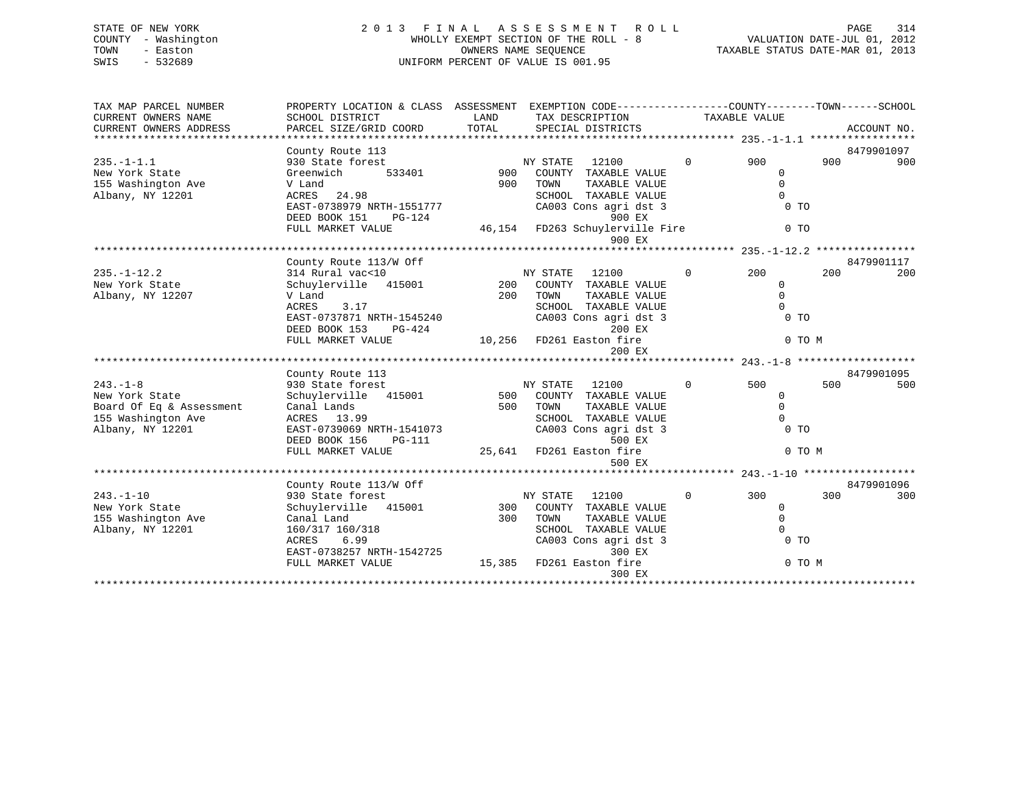| STATE OF NEW YORK   | 2013 FINAL ASSESSMENT ROLL            | 314<br>PAGE                      |
|---------------------|---------------------------------------|----------------------------------|
| COUNTY - Washington | WHOLLY EXEMPT SECTION OF THE ROLL - 8 | VALUATION DATE-JUL 01, 2012      |
| TOWN<br>- Easton    | OWNERS NAME SEOUENCE                  | TAXABLE STATUS DATE-MAR 01, 2013 |
| - 532689<br>SWIS    | UNIFORM PERCENT OF VALUE IS 001.95    |                                  |

| TAX MAP PARCEL NUMBER<br>CURRENT OWNERS NAME<br>CURRENT OWNERS ADDRESS | PROPERTY LOCATION & CLASS ASSESSMENT EXEMPTION CODE----------------COUNTY-------TOWN------SCHOOL<br>SCHOOL DISTRICT<br>PARCEL SIZE/GRID COORD | LAND<br>TOTAL            |                | TAX DESCRIPTION TAXABLE VALUE<br>SPECIAL DISTRICTS |                |                |        | ACCOUNT NO. |
|------------------------------------------------------------------------|-----------------------------------------------------------------------------------------------------------------------------------------------|--------------------------|----------------|----------------------------------------------------|----------------|----------------|--------|-------------|
|                                                                        |                                                                                                                                               |                          |                |                                                    |                |                |        |             |
|                                                                        | County Route 113                                                                                                                              |                          |                |                                                    |                |                |        | 8479901097  |
| $235. - 1 - 1.1$                                                       | 930 State forest                                                                                                                              |                          | NY STATE 12100 |                                                    | $\overline{0}$ | 900            | 900    | 900         |
| New York State                                                         | 533401<br>Greenwich                                                                                                                           | 900                      |                | COUNTY TAXABLE VALUE                               |                | $\mathbf{0}$   |        |             |
| 155 Washington Ave                                                     | V Land                                                                                                                                        | 900                      | TOWN           | TAXABLE VALUE                                      |                | $\mathbf{0}$   |        |             |
| Albany, NY 12201                                                       | ACRES 24.98                                                                                                                                   |                          |                | SCHOOL TAXABLE VALUE                               |                | $\overline{0}$ |        |             |
|                                                                        | EAST-0738979 NRTH-1551777                                                                                                                     |                          |                | CA003 Cons agri dst 3                              |                | $0$ TO         |        |             |
|                                                                        | DEED BOOK 151<br>PG-124                                                                                                                       |                          |                | 900 EX                                             |                |                |        |             |
|                                                                        | FULL MARKET VALUE                                                                                                                             |                          |                | 46,154 FD263 Schuylerville Fire                    |                | 0 <sub>T</sub> |        |             |
|                                                                        |                                                                                                                                               |                          |                | 900 EX                                             |                |                |        |             |
|                                                                        |                                                                                                                                               |                          |                |                                                    |                |                |        |             |
|                                                                        | County Route 113/W Off                                                                                                                        |                          |                |                                                    |                |                |        | 8479901117  |
| $235. - 1 - 12.2$                                                      | 314 Rural vac<10                                                                                                                              |                          | NY STATE       | 12100                                              | $\overline{0}$ | 200            | 200    | 200         |
| New York State                                                         | Schuylerville 415001<br>V Land                                                                                                                |                          |                | 200 COUNTY TAXABLE VALUE                           |                | $\mathbf 0$    |        |             |
| Albany, NY 12207                                                       |                                                                                                                                               | 200                      | TOWN           | TAXABLE VALUE                                      |                | $\mathbf 0$    |        |             |
|                                                                        | 3.17<br>ACRES                                                                                                                                 |                          |                | SCHOOL TAXABLE VALUE                               |                | $\mathbf{0}$   |        |             |
|                                                                        | EAST-0737871 NRTH-1545240                                                                                                                     |                          |                | CA003 Cons agri dst 3                              |                | $0$ TO         |        |             |
|                                                                        | DEED BOOK 153<br>PG-424                                                                                                                       |                          |                | 200 EX                                             |                |                |        |             |
|                                                                        | FULL MARKET VALUE                                                                                                                             | 10,256 FD261 Easton fire |                |                                                    |                |                | 0 TO M |             |
|                                                                        |                                                                                                                                               |                          |                | 200 EX                                             |                |                |        |             |
|                                                                        |                                                                                                                                               |                          |                |                                                    |                |                |        |             |
|                                                                        | County Route 113                                                                                                                              |                          |                |                                                    |                |                |        | 8479901095  |
| $243. -1 - 8$                                                          | 930 State forest                                                                                                                              |                          | NY STATE 12100 |                                                    | $\overline{0}$ | 500            | 500    | 500         |
| New York State                                                         | Schuylerville 415001                                                                                                                          |                          |                | 500 COUNTY TAXABLE VALUE<br>500 TOWN TAXABLE VALUE |                | 0              |        |             |
| Board Of Eq & Assessment                                               | Canal Lands                                                                                                                                   |                          |                | TAXABLE VALUE                                      |                | $\Omega$       |        |             |
| 155 Washington Ave                                                     | ACRES 13.99                                                                                                                                   |                          |                | SCHOOL TAXABLE VALUE                               |                | $\Omega$       |        |             |
| Albany, NY 12201                                                       | EAST-0739069 NRTH-1541073                                                                                                                     |                          |                | CA003 Cons agri dst 3                              |                | 0 <sub>T</sub> |        |             |
|                                                                        | $PG-111$<br>DEED BOOK 156                                                                                                                     |                          |                | 500 EX                                             |                |                |        |             |
|                                                                        | FULL MARKET VALUE                                                                                                                             | 25,641 FD261 Easton fire |                |                                                    |                |                | 0 TO M |             |
|                                                                        |                                                                                                                                               |                          |                | 500 EX                                             |                |                |        |             |
|                                                                        |                                                                                                                                               |                          |                |                                                    |                |                |        |             |
|                                                                        | County Route 113/W Off                                                                                                                        |                          |                |                                                    |                |                |        | 8479901096  |
| $243. - 1 - 10$                                                        | 930 State forest<br>Schuylerville   415001                                                                                                    |                          | NY STATE 12100 |                                                    | $\overline{0}$ | 300            | 300    | 300         |
| New York State                                                         |                                                                                                                                               |                          |                | 300 COUNTY TAXABLE VALUE                           |                | $\overline{0}$ |        |             |
| 155 Washington Ave                                                     | Canal Land                                                                                                                                    | 300                      | TOWN           | TAXABLE VALUE                                      |                | $\Omega$       |        |             |
| Albany, NY 12201                                                       | 160/317 160/318                                                                                                                               |                          |                | SCHOOL TAXABLE VALUE                               |                | $\mathbf{0}$   |        |             |
|                                                                        | 6.99<br>ACRES                                                                                                                                 |                          |                | CA003 Cons agri dst 3                              |                | $0$ TO         |        |             |
|                                                                        | EAST-0738257 NRTH-1542725                                                                                                                     |                          |                | 300 EX                                             |                |                |        |             |
|                                                                        | FULL MARKET VALUE                                                                                                                             | 15,385 FD261 Easton fire |                |                                                    |                |                | 0 TO M |             |
|                                                                        |                                                                                                                                               |                          |                | 300 EX                                             |                |                |        |             |
|                                                                        |                                                                                                                                               |                          |                |                                                    |                |                |        |             |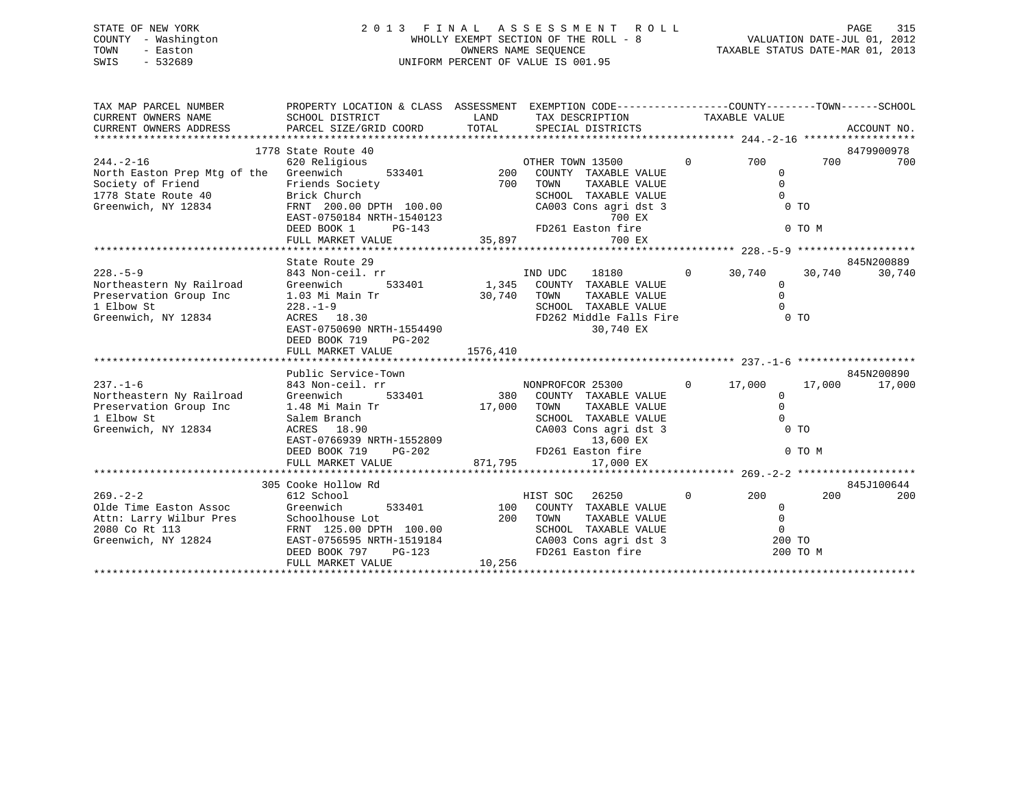## STATE OF NEW YORK 2 0 1 3 F I N A L A S S E S S M E N T R O L L PAGE 315 COUNTY - Washington WHOLLY EXEMPT SECTION OF THE ROLL - 8 VALUATION DATE-JUL 01, 2012 TOWN - Easton CONNERS NAME SEQUENCE TAXABLE STATUS DATE-MAR 01, 2013<br>SWIS - 532689 SWIS - 532689 UNIFORM PERCENT OF VALUE IS 001.95

| TAX MAP PARCEL NUMBER                                                                                                  | PROPERTY LOCATION & CLASS ASSESSMENT EXEMPTION CODE---------------COUNTY-------TOWN-----SCHOOL |                      |                                                                            |                                  |          |                      |
|------------------------------------------------------------------------------------------------------------------------|------------------------------------------------------------------------------------------------|----------------------|----------------------------------------------------------------------------|----------------------------------|----------|----------------------|
|                                                                                                                        |                                                                                                |                      |                                                                            |                                  |          |                      |
|                                                                                                                        |                                                                                                |                      |                                                                            |                                  |          |                      |
|                                                                                                                        | 1778 State Route 40                                                                            |                      |                                                                            |                                  |          | 8479900978           |
| $244. - 2 - 16$                                                                                                        | 620 Religious                                                                                  |                      |                                                                            | 0 700                            |          | 700<br>700           |
| North Easton Prep Mtg of the Greenwich                                                                                 |                                                                                                |                      |                                                                            | $\overline{0}$                   |          |                      |
| Society of Friend                                                                                                      | Friends Society                                                                                | 700 TOWN             | TAXABLE VALUE                                                              | $\Omega$                         |          |                      |
|                                                                                                                        |                                                                                                |                      | SCHOOL TAXABLE VALUE                                                       | $\overline{0}$                   |          |                      |
| Society of Friend Friends Socie<br>1778 State Route 40<br>Greenwich, NY 12834<br>FRNT 200.00                           | Brick Church<br>FRNT 200.00 DPTH 100.00<br>EAST-0750184 NRTH-1540123<br>DEED BOOK 1            |                      | CA003 Cons agri dst 3                                                      | 0 <sub>T</sub>                   |          |                      |
|                                                                                                                        |                                                                                                |                      | 700 EX<br>H-1540123 700 EX<br>PG-143 FD261 Easton fire                     |                                  |          |                      |
|                                                                                                                        | DEED BOOK 1                                                                                    |                      |                                                                            |                                  | 0 TO M   |                      |
|                                                                                                                        | FULL MARKET VALUE                                                                              |                      | 35,897<br>700 EX                                                           |                                  |          |                      |
|                                                                                                                        |                                                                                                |                      |                                                                            |                                  |          |                      |
| $228. - 5 - 9$                                                                                                         | State Route 29                                                                                 |                      |                                                                            |                                  |          | 845N200889<br>30,740 |
| 228.-5-9<br>Northeastern Ny Railroad Greenwich 533401<br>Preservation Group Inc 1.03 Mi Main Tr<br>1 Elbow St 228.-1-9 | 843 Non-ceil. rr                                                                               |                      | 1. rr<br>533401 1,345 COUNTY TAXABLE VALUE<br>18180 0 30,740 30,740        |                                  |          |                      |
|                                                                                                                        |                                                                                                |                      | TAXABLE VALUE<br>TAXABLE VALUE                                             | $\overline{0}$<br>$\Omega$       |          |                      |
|                                                                                                                        |                                                                                                | 30,740 TOWN<br>SCHOO |                                                                            | $\bigcirc$                       |          |                      |
|                                                                                                                        |                                                                                                |                      | SCHOOL TAXABLE VALUE                                                       |                                  |          |                      |
| Greenwich, NY 12834                                                                                                    | 220. - 1 2<br>ACRES 18.30<br>EAST-0750690 NRTH-1554490                                         |                      | FD262 Middle Falls Fire 0 TO                                               |                                  |          |                      |
|                                                                                                                        |                                                                                                |                      | 30,740 EX                                                                  |                                  |          |                      |
|                                                                                                                        | DEED BOOK 719 PG-202                                                                           |                      |                                                                            |                                  |          |                      |
|                                                                                                                        | FULL MARKET VALUE                                                                              | 1576,410             |                                                                            |                                  |          |                      |
|                                                                                                                        | Public Service-Town                                                                            |                      |                                                                            |                                  |          | 845N200890           |
| $237. - 1 - 6$                                                                                                         |                                                                                                |                      | ستون 17,000 MONPROFCOR 25300 0 17,000 17,000                               |                                  |          |                      |
| Northeastern Ny Railroad Greenwich                                                                                     | 843 Non-ceil. rr                                                                               |                      |                                                                            |                                  |          | 17,000               |
|                                                                                                                        |                                                                                                |                      | 533401 380 COUNTY TAXABLE VALUE                                            | $\overline{0}$                   |          |                      |
| Preservation Group Inc 1.48 Mi Main Tr 17,000 TOWN<br>1 Elbow St                                                       |                                                                                                |                      | TAXABLE VALUE<br>SCHOOL TAXABLE VALUE                                      |                                  |          |                      |
|                                                                                                                        | Salem Branch                                                                                   |                      |                                                                            |                                  |          |                      |
| Greenwich, NY 12834                                                                                                    | ACRES 18.90<br>EAST-0766939 NRTH-1552809                                                       |                      | CA003 Cons agri dst 3                                                      |                                  |          |                      |
|                                                                                                                        |                                                                                                |                      |                                                                            |                                  |          |                      |
|                                                                                                                        | DEED BOOK 719                                                                                  |                      | RTH-1552809 13,600 EX<br>PG-202 FD261 Easton fire<br>LUE 271,795 17,000 EX |                                  | 0 TO M   |                      |
|                                                                                                                        | FULL MARKET VALUE                                                                              |                      |                                                                            |                                  |          |                      |
|                                                                                                                        | 305 Cooke Hollow Rd                                                                            |                      |                                                                            |                                  |          | 845J100644           |
|                                                                                                                        |                                                                                                |                      |                                                                            |                                  | 200      | 200                  |
|                                                                                                                        |                                                                                                |                      |                                                                            | $0\qquad \qquad 200$             |          |                      |
|                                                                                                                        |                                                                                                |                      |                                                                            | $\overline{0}$<br>$\overline{0}$ |          |                      |
|                                                                                                                        |                                                                                                |                      |                                                                            | $\overline{0}$                   |          |                      |
|                                                                                                                        |                                                                                                |                      |                                                                            |                                  |          |                      |
|                                                                                                                        |                                                                                                |                      | CA003 Cons agri dst 3<br>FD261 Easton fire                                 | 200 TO                           | 200 TO M |                      |
|                                                                                                                        | FULL MARKET VALUE                                                                              | 10,256               |                                                                            |                                  |          |                      |
|                                                                                                                        |                                                                                                |                      |                                                                            |                                  |          |                      |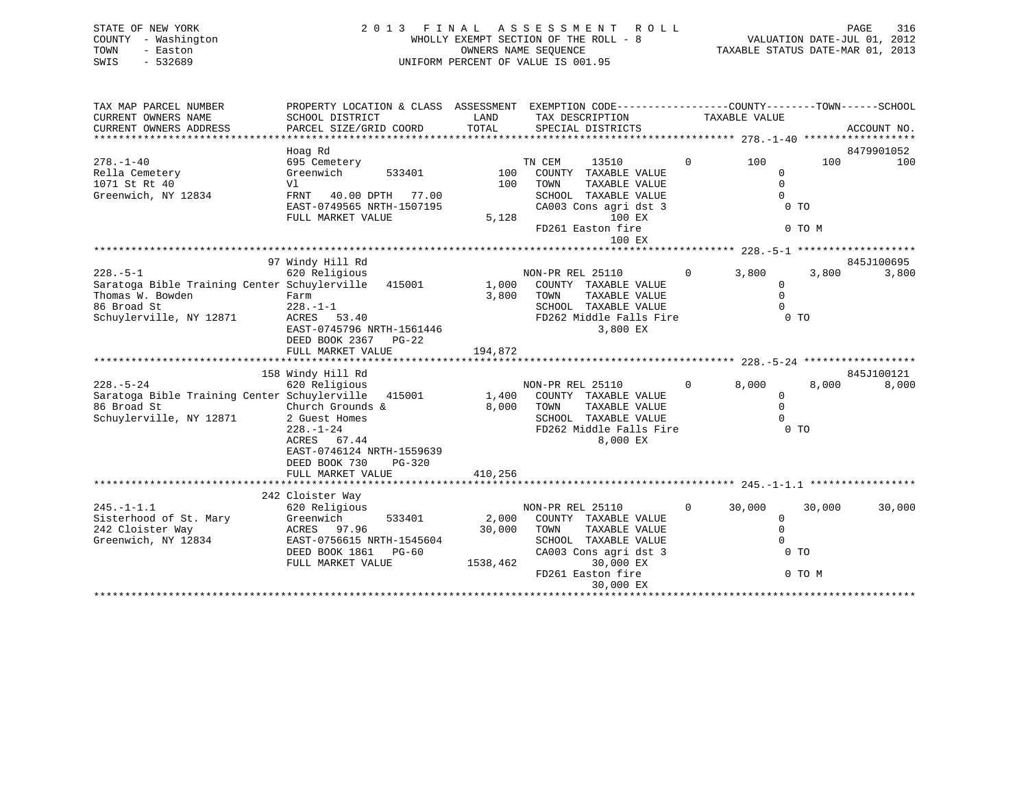| STATE OF NEW YORK<br>- Washington<br>COUNTY<br>TOWN<br>- Easton<br>SWIS<br>$-532689$ | 2 0 1 3                                                                                                   | FINAL | A S S E S S M E N T<br>ROLL ROLL<br>WHOLLY EXEMPT SECTION OF THE ROLL - 8<br>OWNERS NAME SEQUENCE<br>UNIFORM PERCENT OF VALUE IS 001.95 |                      | 316<br>PAGE<br>VALUATION DATE-JUL 01,<br>2012<br>TAXABLE STATUS DATE-MAR 01, 2013 |
|--------------------------------------------------------------------------------------|-----------------------------------------------------------------------------------------------------------|-------|-----------------------------------------------------------------------------------------------------------------------------------------|----------------------|-----------------------------------------------------------------------------------|
| TAX MAP PARCEL NUMBER<br>CURRENT OWNERS NAME<br>CURRENT OWNERS ADDRESS               | PROPERTY LOCATION & CLASS ASSESSMENT<br>SCHOOL DISTRICT<br>PARCEL SIZE/GRID COORD TOTAL SPECIAL DISTRICTS | LAND  | EXEMPTION CODE-----------------COUNTY-------TOWN------SCHOOL<br>TAX DESCRIPTION                                                         | TAXABLE VALUE        | ACCOUNT NO.                                                                       |
|                                                                                      | Hoag Rd                                                                                                   |       |                                                                                                                                         |                      | 8479901052                                                                        |
| $278. - 1 - 40$                                                                      | 695 Cemetery                                                                                              |       | TN CEM<br>13510                                                                                                                         | $\Omega$<br>100      | 100<br>100                                                                        |
| Rella Cemetery                                                                       | Greenwich<br>533401                                                                                       | 100   | COUNTY<br>TAXABLE VALUE                                                                                                                 | $\Omega$             |                                                                                   |
| 1071 St Rt 40                                                                        | Vl                                                                                                        | 100   | TOWN<br>TAXABLE VALUE                                                                                                                   |                      |                                                                                   |
| Greenwich, NY 12834                                                                  | 40.00 DPTH<br>77.00<br>FRNT                                                                               |       | SCHOOL<br>TAXABLE VALUE                                                                                                                 |                      |                                                                                   |
|                                                                                      | EAST-0749565 NRTH-1507195                                                                                 |       | CA003 Cons agri dst 3                                                                                                                   |                      | 0 <sub>T</sub>                                                                    |
|                                                                                      | FULL MARKET VALUE                                                                                         | 5,128 | 100 EX                                                                                                                                  |                      |                                                                                   |
|                                                                                      |                                                                                                           |       | FD261 Easton fire                                                                                                                       |                      | 0 TO M                                                                            |
|                                                                                      |                                                                                                           |       | 100 EX                                                                                                                                  |                      |                                                                                   |
|                                                                                      | 97 Windy Hill Rd                                                                                          |       |                                                                                                                                         |                      | 845J100695                                                                        |
| $228. - 5 - 1$                                                                       | 620 Religious                                                                                             |       | NON-PR REL 25110                                                                                                                        | $\mathbf 0$<br>3,800 | 3,800<br>3,800                                                                    |
| Saratoga Bible Training Center Schuylerville 415001                                  |                                                                                                           | 1,000 | COUNTY TAXABLE VALUE                                                                                                                    |                      |                                                                                   |
| Thomas W. Bowden                                                                     | Farm                                                                                                      | 3,800 | TAXABLE VALUE<br>TOWN                                                                                                                   |                      |                                                                                   |
| 86 Broad St                                                                          | $228. - 1 - 1$                                                                                            |       | TAXABLE VALUE<br>SCHOOL                                                                                                                 |                      |                                                                                   |

\*\*\*\*\*\*\*\*\*\*\*\*\*\*\*\*\*\*\*\*\*\*\*\*\*\*\*\*\*\*\*\*\*\*\*\*\*\*\*\*\*\*\*\*\*\*\*\*\*\*\*\*\*\*\*\*\*\*\*\*\*\*\*\*\*\*\*\*\*\*\*\*\*\*\*\*\*\*\*\*\*\*\*\*\*\*\*\*\*\*\*\*\*\*\*\*\*\*\*\*\*\*\* 228.-5-24 \*\*\*\*\*\*\*\*\*\*\*\*\*\*\*\*\*\*

228.-5-24 620 Religious NON-PR REL 25110 0 8,000 8,000 8,000

\*\*\*\*\*\*\*\*\*\*\*\*\*\*\*\*\*\*\*\*\*\*\*\*\*\*\*\*\*\*\*\*\*\*\*\*\*\*\*\*\*\*\*\*\*\*\*\*\*\*\*\*\*\*\*\*\*\*\*\*\*\*\*\*\*\*\*\*\*\*\*\*\*\*\*\*\*\*\*\*\*\*\*\*\*\*\*\*\*\*\*\*\*\*\*\*\*\*\*\*\*\*\* 245.-1-1.1 \*\*\*\*\*\*\*\*\*\*\*\*\*\*\*\*\*

245.-1-1.1 620 Religious NON-PR REL 25110 0 30,000 30,000 30,000

\*\*\*\*\*\*\*\*\*\*\*\*\*\*\*\*\*\*\*\*\*\*\*\*\*\*\*\*\*\*\*\*\*\*\*\*\*\*\*\*\*\*\*\*\*\*\*\*\*\*\*\*\*\*\*\*\*\*\*\*\*\*\*\*\*\*\*\*\*\*\*\*\*\*\*\*\*\*\*\*\*\*\*\*\*\*\*\*\*\*\*\*\*\*\*\*\*\*\*\*\*\*\*\*\*\*\*\*\*\*\*\*\*\*\*\*\*\*\*\*\*\*\*\*\*\*\*\*\*\*\*\*

158 Windy Hill Rd 845J100121

FD261 Easton fire 0 TO M

30,000 EX

228.-1-24 FD262 Middle Falls Fire 0 TO

DEED BOOK 1861 PG-60 CA003 Cons agri dst 3 0 TO

 $\overline{0}$ 

 DEED BOOK 2367 PG-22FULL MARKET VALUE 194,872

EAST-0746124 NRTH-1559639

FULL MARKET VALUE 410,256

DEED BOOK 730 PG-320

242 Cloister Way

Schuylerville, NY 12871 ACRES 53.40 **FD262 Middle Falls Fire** 0 TO EAST-0745796 NRTH-1561446 3,800 EX

Saratoga Bible Training Center Schuylerville 415001 1,400 COUNTY TAXABLE VALUE 0 86 Broad St Church Grounds & 8,000 TOWN TAXABLE VALUE 0 Schuylerville, NY 12871 2 Guest Homes SCHOOL TAXABLE VALUE 0

Sisterhood of St. Mary Greenwich 533401 2,000 COUNTY TAXABLE VALUE 0 242 Cloister Way ACRES 97.96 30,000 TOWN TAXABLE VALUE 0 Greenwich, NY 12834 EAST-0756615 NRTH-1545604 SCHOOL TAXABLE VALUE 0

ACRES 67.44 8,000 EX

FULL MARKET VALUE 1538,462 30,000 EX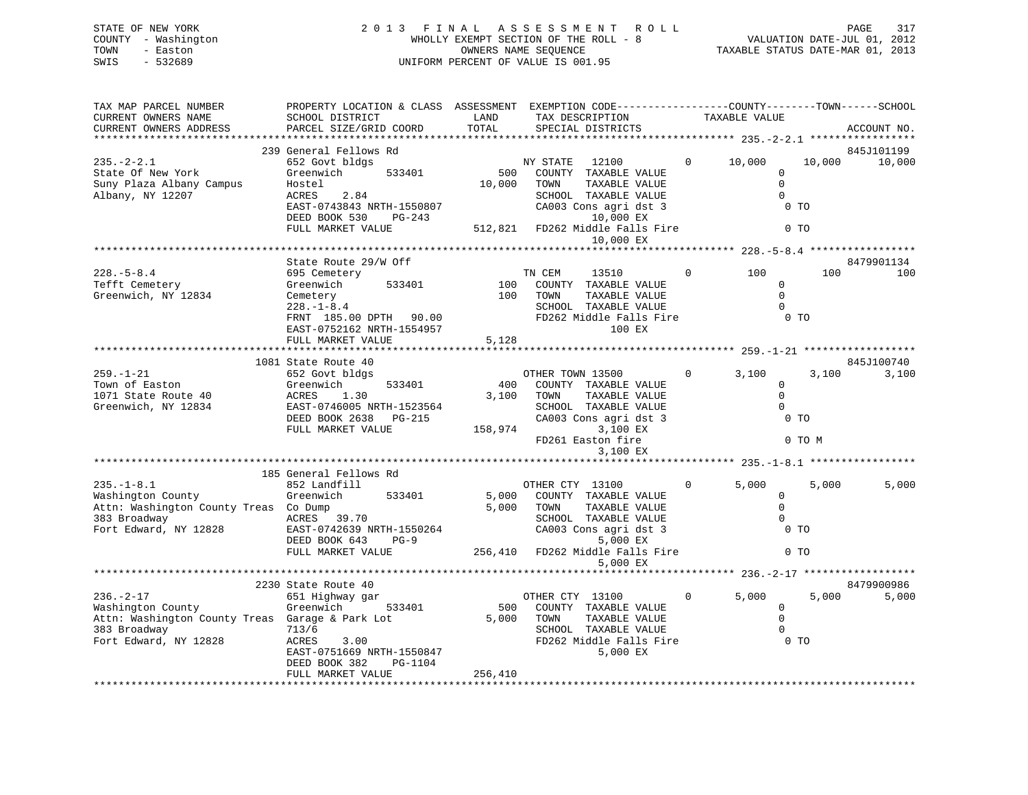## STATE OF NEW YORK 2 0 1 3 F I N A L A S S E S S M E N T R O L L PAGE 317 COUNTY - Washington WHOLLY EXEMPT SECTION OF THE ROLL - 8 VALUATION DATE-JUL 01, 2012 TOWN - Easton CONNERS NAME SEQUENCE TAXABLE STATUS DATE-MAR 01, 2013<br>SWIS - 532689 SWIS - 532689 UNIFORM PERCENT OF VALUE IS 001.95

| TAX MAP PARCEL NUMBER<br>CURRENT OWNERS NAME<br>CURRENT OWNERS ADDRESS<br>*************************                              | PROPERTY LOCATION & CLASS ASSESSMENT EXEMPTION CODE-----------------COUNTY-------TOWN------SCHOOL<br>SCHOOL DISTRICT<br>PARCEL SIZE/GRID COORD                                         | LAND<br>TOTAL                                                                      | TAX DESCRIPTION<br>SPECIAL DISTRICTS                                                                                                                                             |              | TAXABLE VALUE                                                                    |                 | ACCOUNT NO.          |
|----------------------------------------------------------------------------------------------------------------------------------|----------------------------------------------------------------------------------------------------------------------------------------------------------------------------------------|------------------------------------------------------------------------------------|----------------------------------------------------------------------------------------------------------------------------------------------------------------------------------|--------------|----------------------------------------------------------------------------------|-----------------|----------------------|
| $235. - 2 - 2.1$<br>State Of New York<br>Suny Plaza Albany Campus<br>Albany, NY 12207                                            | 239 General Fellows Rd<br>652 Govt bldgs<br>533401<br>Greenwich<br>Hostel<br>ACRES<br>2.84<br>EAST-0743843 NRTH-1550807<br>DEED BOOK 530<br>PG-243<br>FULL MARKET VALUE                | 500<br>10,000                                                                      | NY STATE<br>12100<br>COUNTY TAXABLE VALUE<br>TAXABLE VALUE<br>TOWN<br>SCHOOL TAXABLE VALUE<br>CA003 Cons agri dst 3<br>10,000 EX<br>512,821 FD262 Middle Falls Fire<br>10,000 EX | $\mathbf{0}$ | 10,000<br>$\Omega$<br>$\Omega$<br>$\Omega$<br>$0$ TO<br>0 <sub>T</sub>           | 10,000          | 845J101199<br>10,000 |
| $228. - 5 - 8.4$<br>Tefft Cemetery<br>Greenwich, NY 12834                                                                        | State Route 29/W Off<br>695 Cemetery<br>Greenwich<br>533401<br>Cemetery<br>$228. - 1 - 8.4$<br>FRNT 185.00 DPTH 90.00<br>EAST-0752162 NRTH-1554957<br>FULL MARKET VALUE                | $\begin{array}{c}\n\text{I} \\ \text{I} \\ \text{II}\n\end{array}$<br>100<br>5,128 | TN CEM<br>13510<br>COUNTY TAXABLE VALUE<br>NAHA MARABLE VALUE<br>SCHOOL TAXABLE VALUE<br>FD262 Middle Falls Fire 0 TO<br>100 EX                                                  | $\mathbf{0}$ | 100<br>$\Omega$<br>$\Omega$<br>$\bigcirc$                                        | 100             | 8479901134<br>100    |
| $259. - 1 - 21$<br>Town of Easton<br>1071 State Route 40<br>Greenwich, NY 12834                                                  | 1081 State Route 40<br>652 Govt bldgs<br>533401<br>Greenwich<br>ACRES 1.30<br>EAST-0746005 NRTH-1523564<br>DEED BOOK 2638 PG-215<br>FULL MARKET VALUE                                  | 400<br>3,100                                                                       | OTHER TOWN 13500<br>COUNTY TAXABLE VALUE<br>TOWN<br>TAXABLE VALUE<br>SCHOOL TAXABLE VALUE<br>CA003 Cons agri dst 3<br>158,974<br>3,100 EX<br>FD261 Easton fire<br>3,100 EX       | $\Omega$     | 3,100<br>$\overline{0}$<br>$\Omega$<br>$\Omega$<br>0 <sub>T</sub>                | 3,100<br>0 TO M | 845J100740<br>3,100  |
| $235. - 1 - 8.1$<br>Washington County<br>Attn: Washington County Treas Co Dump<br>383 Broadway<br>Fort Edward, NY 12828          | 185 General Fellows Rd<br>852 Landfill<br>Greenwich<br>533401<br>ACRES 39.70<br>EAST-0742639 NRTH-1550264<br>EAST-0742639 NRTH-1550264<br>DEED BOOK 643<br>$PG-9$<br>FULL MARKET VALUE | 5,000<br>5,000                                                                     | OTHER CTY 13100<br>COUNTY TAXABLE VALUE<br>TOWN<br>TAXABLE VALUE<br>SCHOOL TAXABLE VALUE<br>CA003 Cons agri dst 3<br>5,000 EX<br>256,410 FD262 Middle Falls Fire<br>5,000 EX     | $\Omega$     | 5,000<br>$\Omega$<br>$\mathbf 0$<br>$\Omega$<br>0 <sub>T</sub><br>0 <sub>T</sub> | 5,000           | 5,000                |
| $236. - 2 - 17$<br>Washington County<br>Attn: Washington County Treas Garage & Park Lot<br>383 Broadway<br>Fort Edward, NY 12828 | 2230 State Route 40<br>651 Highway gar<br>Greenwich<br>533401<br>713/6<br>ACRES<br>3.00<br>EAST-0751669 NRTH-1550847<br>DRED POOK 300<br>DEED BOOK 382<br>PG-1104<br>FULL MARKET VALUE | 500<br>256,410                                                                     | OTHER CTY 13100<br>COUNTY TAXABLE VALUE<br>5,000 TOWN<br>TAXABLE VALUE<br>SCHOOL TAXABLE VALUE<br>FD262 Middle Falls Fire<br>5,000 EX                                            | $\mathbf{0}$ | **************** 236.-2-17 **<br>5,000<br>$\Omega$<br>$\Omega$<br>0 <sub>T</sub> | 5,000           | 8479900986<br>5,000  |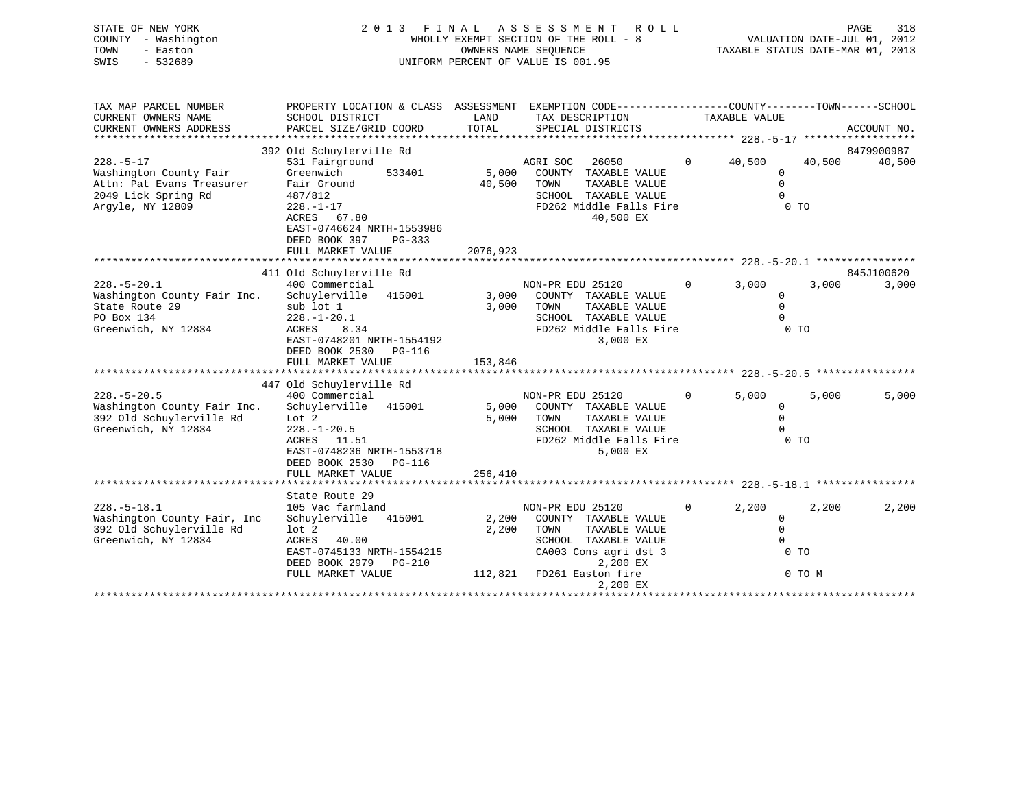| STATE OF NEW YORK   | 2013 FINAL ASSESSMENT ROLL            | 318<br>PAGE                      |
|---------------------|---------------------------------------|----------------------------------|
| COUNTY - Washington | WHOLLY EXEMPT SECTION OF THE ROLL - 8 | VALUATION DATE-JUL 01, 2012      |
| TOWN<br>- Easton    | OWNERS NAME SEOUENCE                  | TAXABLE STATUS DATE-MAR 01, 2013 |
| SWIS<br>- 532689    | UNIFORM PERCENT OF VALUE IS 001.95    |                                  |

 $\frac{318}{2012}$ <br>2013

| TAX MAP PARCEL NUMBER       | PROPERTY LOCATION & CLASS ASSESSMENT EXEMPTION CODE---------------COUNTY-------TOWN------SCHOOL |          |                            |                |                |        |             |
|-----------------------------|-------------------------------------------------------------------------------------------------|----------|----------------------------|----------------|----------------|--------|-------------|
| CURRENT OWNERS NAME         | SCHOOL DISTRICT                                                                                 | LAND     | TAX DESCRIPTION            |                | TAXABLE VALUE  |        |             |
| CURRENT OWNERS ADDRESS      | PARCEL SIZE/GRID COORD                                                                          | TOTAL    | SPECIAL DISTRICTS          |                |                |        | ACCOUNT NO. |
|                             |                                                                                                 |          |                            |                |                |        |             |
|                             | 392 Old Schuylerville Rd                                                                        |          |                            |                |                |        | 8479900987  |
| $228. - 5 - 17$             | 531 Fairground                                                                                  |          | AGRI SOC<br>26050          | $\overline{0}$ | 40,500         | 40,500 | 40,500      |
| Washington County Fair      | 533401<br>Greenwich                                                                             | 5,000    | COUNTY TAXABLE VALUE       |                | $\mathbf{0}$   |        |             |
| Attn: Pat Evans Treasurer   | Fair Ground                                                                                     | 40,500   | TOWN<br>TAXABLE VALUE      |                | $\Omega$       |        |             |
| 2049 Lick Spring Rd         | 487/812                                                                                         |          | SCHOOL TAXABLE VALUE       |                | $\Omega$       |        |             |
| Argyle, NY 12809            | $228. - 1 - 17$                                                                                 |          | FD262 Middle Falls Fire    |                | 0 <sub>T</sub> |        |             |
|                             | ACRES 67.80                                                                                     |          | 40,500 EX                  |                |                |        |             |
|                             | EAST-0746624 NRTH-1553986                                                                       |          |                            |                |                |        |             |
|                             | DEED BOOK 397<br>PG-333                                                                         |          |                            |                |                |        |             |
|                             | FULL MARKET VALUE                                                                               | 2076,923 |                            |                |                |        |             |
|                             |                                                                                                 |          |                            |                |                |        |             |
|                             | 411 Old Schuylerville Rd                                                                        |          |                            |                |                |        | 845J100620  |
| $228. - 5 - 20.1$           | 400 Commercial                                                                                  |          | NON-PR EDU 25120           | $\Omega$       | 3,000          | 3,000  | 3,000       |
| Washington County Fair Inc. | Schuylerville 415001                                                                            | 3,000    | COUNTY TAXABLE VALUE       |                | $\mathbf 0$    |        |             |
| State Route 29              | sub lot 1                                                                                       | 3,000    | TOWN<br>TAXABLE VALUE      |                | $\Omega$       |        |             |
| PO Box 134                  | $228. - 1 - 20.1$                                                                               |          | SCHOOL TAXABLE VALUE       |                | $\Omega$       |        |             |
| Greenwich, NY 12834         | ACRES<br>8.34                                                                                   |          | FD262 Middle Falls Fire    |                | 0 <sub>T</sub> |        |             |
|                             | EAST-0748201 NRTH-1554192                                                                       |          | 3,000 EX                   |                |                |        |             |
|                             | DEED BOOK 2530 PG-116                                                                           |          |                            |                |                |        |             |
|                             | FULL MARKET VALUE                                                                               | 153,846  |                            |                |                |        |             |
|                             |                                                                                                 |          |                            |                |                |        |             |
|                             | 447 Old Schuylerville Rd                                                                        |          |                            |                |                |        |             |
| $228. - 5 - 20.5$           | 400 Commercial                                                                                  |          | NON-PR EDU 25120           | $\overline{0}$ | 5,000          | 5,000  | 5,000       |
| Washington County Fair Inc. | Schuylerville 415001                                                                            |          | 5,000 COUNTY TAXABLE VALUE |                | $\mathbf 0$    |        |             |
| 392 Old Schuylerville Rd    | Lot 2                                                                                           | 5,000    | TOWN<br>TAXABLE VALUE      |                | $\Omega$       |        |             |
| Greenwich, NY 12834         | $228. - 1 - 20.5$                                                                               |          | SCHOOL TAXABLE VALUE       |                | $\Omega$       |        |             |
|                             | ACRES 11.51                                                                                     |          | FD262 Middle Falls Fire    |                | 0 TO           |        |             |
|                             | EAST-0748236 NRTH-1553718                                                                       |          | 5,000 EX                   |                |                |        |             |
|                             | DEED BOOK 2530<br>PG-116                                                                        |          |                            |                |                |        |             |
|                             | FULL MARKET VALUE                                                                               | 256,410  |                            |                |                |        |             |
|                             |                                                                                                 |          |                            |                |                |        |             |
|                             | State Route 29                                                                                  |          |                            |                |                |        |             |
| $228. - 5 - 18.1$           | 105 Vac farmland                                                                                |          | NON-PR EDU 25120           | $\Omega$       | 2,200          | 2,200  | 2,200       |
| Washington County Fair, Inc | Schuylerville<br>415001                                                                         | 2,200    | COUNTY TAXABLE VALUE       |                | $\mathbf{0}$   |        |             |
| 392 Old Schuylerville Rd    | lot <sub>2</sub>                                                                                | 2,200    | TOWN<br>TAXABLE VALUE      |                | $\mathbf{0}$   |        |             |
| Greenwich, NY 12834         | ACRES<br>40.00                                                                                  |          | SCHOOL TAXABLE VALUE       |                | $\Omega$       |        |             |
|                             | EAST-0745133 NRTH-1554215                                                                       |          | CA003 Cons agri dst 3      |                | $0$ TO         |        |             |
|                             | DEED BOOK 2979 PG-210                                                                           |          | 2,200 EX                   |                |                |        |             |
|                             | FULL MARKET VALUE                                                                               |          | 112,821 FD261 Easton fire  |                |                | 0 TO M |             |
|                             |                                                                                                 |          | 2,200 EX                   |                |                |        |             |
|                             |                                                                                                 |          |                            |                |                |        |             |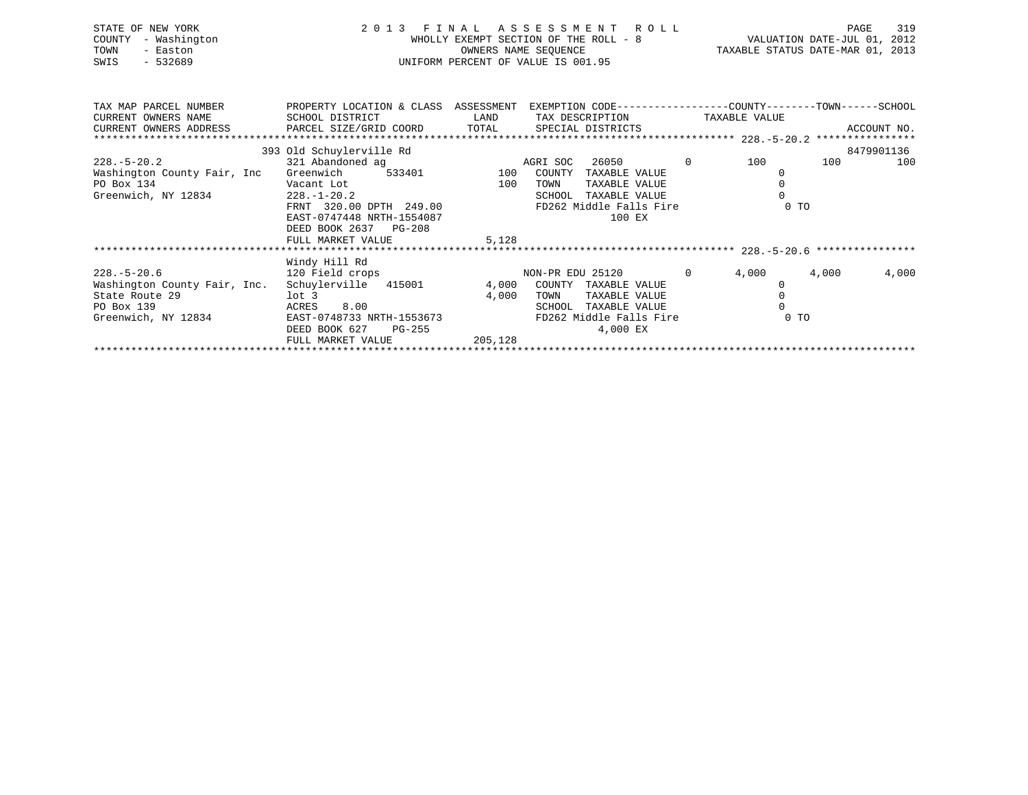| STATE OF NEW YORK<br>- Washington<br>COUNTY<br>TOWN<br>- Easton<br>SWIS<br>- 532689 |                                                                        | OWNERS NAME SEQUENCE        | 2013 FINAL ASSESSMENT ROLL<br>WHOLLY EXEMPT SECTION OF THE ROLL - 8<br>UNIFORM PERCENT OF VALUE IS 001.95 |              | TAXABLE STATUS DATE-MAR 01, 2013 | PAGE<br>VALUATION DATE-JUL 01, | 319<br>2012 |
|-------------------------------------------------------------------------------------|------------------------------------------------------------------------|-----------------------------|-----------------------------------------------------------------------------------------------------------|--------------|----------------------------------|--------------------------------|-------------|
| TAX MAP PARCEL NUMBER<br>CURRENT OWNERS NAME<br>CURRENT OWNERS ADDRESS              | PROPERTY LOCATION & CLASS<br>SCHOOL DISTRICT<br>PARCEL SIZE/GRID COORD | ASSESSMENT<br>LAND<br>TOTAL | EXEMPTION CODE-----------------COUNTY-------TOWN------SCHOOL<br>TAX DESCRIPTION<br>SPECIAL DISTRICTS      |              | TAXABLE VALUE                    |                                | ACCOUNT NO. |
|                                                                                     |                                                                        |                             |                                                                                                           |              |                                  |                                |             |
|                                                                                     | 393 Old Schuylerville Rd                                               |                             |                                                                                                           |              |                                  |                                | 8479901136  |
| 228.-5-20.2                                                                         | 321 Abandoned ag                                                       |                             | 26050<br>AGRI SOC                                                                                         | $\mathbf{0}$ | 100                              | 100                            | 100         |
| Washington County Fair, Inc                                                         | Greenwich<br>533401                                                    | 100                         | COUNTY<br>TAXABLE VALUE                                                                                   |              |                                  |                                |             |

FRNT 320.00 DPTH 249.00 FD262 Middle Falls Fire 0 TO

Washington County Fair, Inc. Schuylerville 415001 4,000 COUNTY TAXABLE VALUE 0<br>State Route 29 10t 3 1,000 TOWN TAXABLE VALUE 0  $1$ ot 3 4,000 TOWN TAXABLE VALUE 0 PO Box 139 ACRES 8.00 SCHOOL TAXABLE VALUE 0Greenwich, NY 12834 EAST-0748733 NRTH-1553673 FD262 Middle Falls Fire 0 TO DEED BOOK 627 PG-255 4,000 EX FULL MARKET VALUE 205,128

\*\*\*\*\*\*\*\*\*\*\*\*\*\*\*\*\*\*\*\*\*\*\*\*\*\*\*\*\*\*\*\*\*\*\*\*\*\*\*\*\*\*\*\*\*\*\*\*\*\*\*\*\*\*\*\*\*\*\*\*\*\*\*\*\*\*\*\*\*\*\*\*\*\*\*\*\*\*\*\*\*\*\*\*\*\*\*\*\*\*\*\*\*\*\*\*\*\*\*\*\*\*\* 228.-5-20.6 \*\*\*\*\*\*\*\*\*\*\*\*\*\*\*\*

228.-5-20.6 120 Field crops NON-PR EDU 25120 0 4,000 4,000 4,000

\*\*\*\*\*\*\*\*\*\*\*\*\*\*\*\*\*\*\*\*\*\*\*\*\*\*\*\*\*\*\*\*\*\*\*\*\*\*\*\*\*\*\*\*\*\*\*\*\*\*\*\*\*\*\*\*\*\*\*\*\*\*\*\*\*\*\*\*\*\*\*\*\*\*\*\*\*\*\*\*\*\*\*\*\*\*\*\*\*\*\*\*\*\*\*\*\*\*\*\*\*\*\*\*\*\*\*\*\*\*\*\*\*\*\*\*\*\*\*\*\*\*\*\*\*\*\*\*\*\*\*\*

PO Box 134 Cant Lot Vacant Lot 100 TOWN TAXABLE VALUE 0 Greenwich, NY 12834 228.-1-20.2 SCHOOL TAXABLE VALUE 0

DEED BOOK 2637 PG-208

Windy Hill Rd

FULL MARKET VALUE 5,128

EAST-0747448 NRTH-1554087 100 EX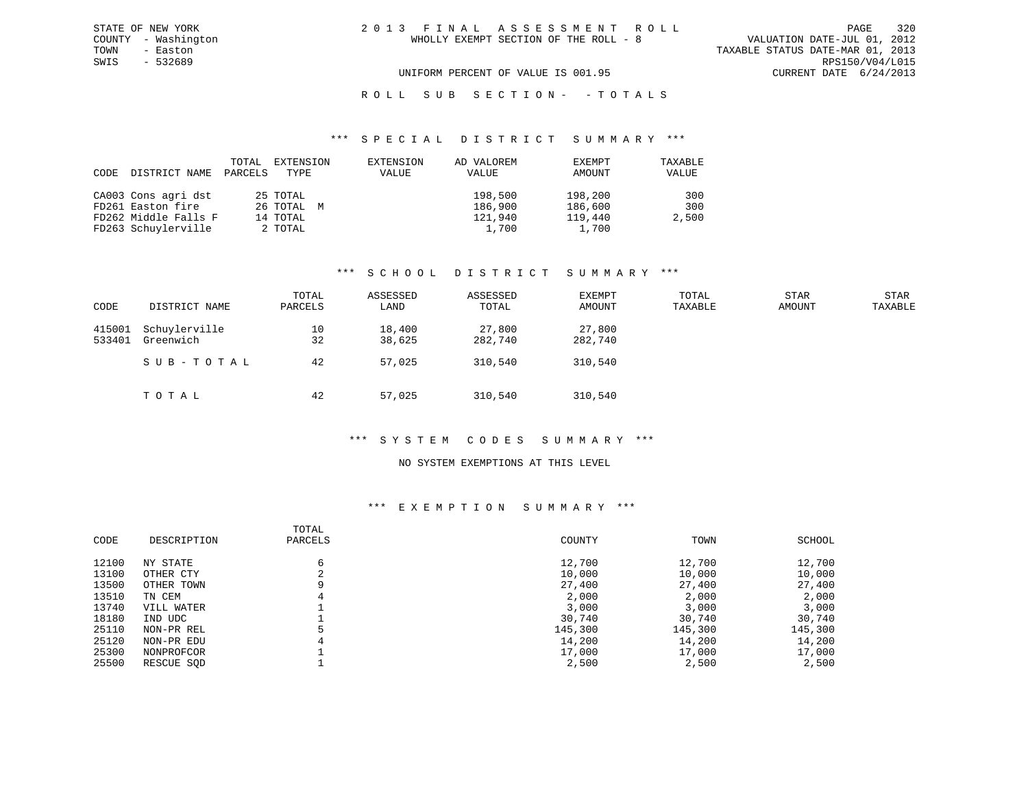### R O L L S U B S E C T I O N - - T O T A L S

#### \*\*\* S P E C I A L D I S T R I C T S U M M A R Y \*\*\*

| CODE | DISTRICT NAME        | TOTAL<br>PARCELS | EXTENSION<br>TYPE | EXTENSION<br>VALUE | AD VALOREM<br>VALUE | EXEMPT<br>AMOUNT | TAXABLE<br>VALUE |
|------|----------------------|------------------|-------------------|--------------------|---------------------|------------------|------------------|
|      | CA003 Cons agri dst  |                  | 25 TOTAL          |                    | 198,500             | 198,200          | 300              |
|      | FD261 Easton fire    |                  | 26 TOTAL M        |                    | 186,900             | 186,600          | 300              |
|      | FD262 Middle Falls F |                  | 14 TOTAL          |                    | 121,940             | 119,440          | 2,500            |
|      | FD263 Schuylerville  |                  | 2 TOTAL           |                    | 1,700               | 1,700            |                  |

#### \*\*\* S C H O O L D I S T R I C T S U M M A R Y \*\*\*

| CODE             | DISTRICT NAME              | TOTAL<br>PARCELS | ASSESSED<br>LAND | ASSESSED<br>TOTAL | EXEMPT<br>AMOUNT  | TOTAL<br>TAXABLE | <b>STAR</b><br>AMOUNT | STAR<br>TAXABLE |
|------------------|----------------------------|------------------|------------------|-------------------|-------------------|------------------|-----------------------|-----------------|
| 415001<br>533401 | Schuylerville<br>Greenwich | 10<br>32         | 18,400<br>38,625 | 27,800<br>282,740 | 27,800<br>282,740 |                  |                       |                 |
|                  | SUB-TOTAL                  | 42               | 57,025           | 310,540           | 310,540           |                  |                       |                 |
|                  | TOTAL                      | 42               | 57,025           | 310,540           | 310,540           |                  |                       |                 |

#### \*\*\* S Y S T E M C O D E S S U M M A R Y \*\*\*

#### NO SYSTEM EXEMPTIONS AT THIS LEVEL

### \*\*\* E X E M P T I O N S U M M A R Y \*\*\*

| CODE  | DESCRIPTION | TOTAL<br>PARCELS | COUNTY  | TOWN    | SCHOOL  |
|-------|-------------|------------------|---------|---------|---------|
| 12100 | NY STATE    | 6                | 12,700  | 12,700  | 12,700  |
| 13100 | OTHER CTY   |                  | 10,000  | 10,000  | 10,000  |
| 13500 | OTHER TOWN  |                  | 27,400  | 27,400  | 27,400  |
| 13510 | TN CEM      |                  | 2,000   | 2,000   | 2,000   |
| 13740 | VILL WATER  |                  | 3,000   | 3,000   | 3,000   |
| 18180 | IND UDC     |                  | 30,740  | 30,740  | 30,740  |
| 25110 | NON-PR REL  |                  | 145,300 | 145,300 | 145,300 |
| 25120 | NON-PR EDU  | 4                | 14,200  | 14,200  | 14,200  |
| 25300 | NONPROFCOR  |                  | 17,000  | 17,000  | 17,000  |
| 25500 | RESCUE SOD  |                  | 2,500   | 2,500   | 2,500   |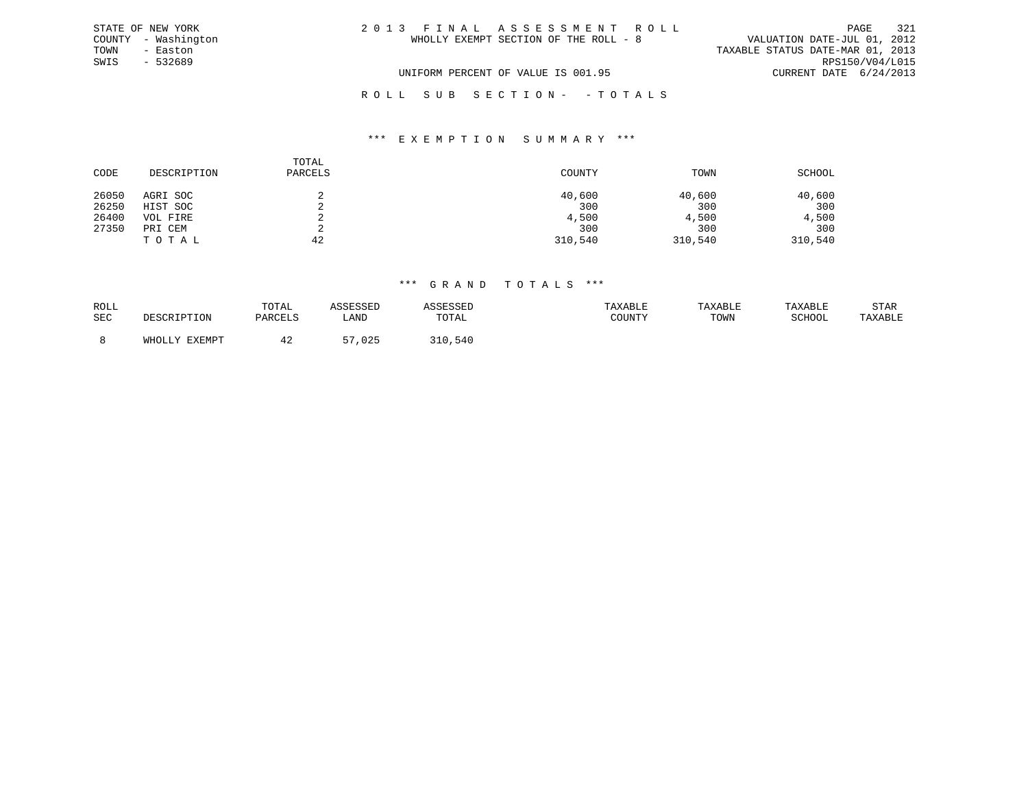|      | STATE OF NEW YORK   | 2013 FINAL ASSESSMENT ROLL            |                                  | 321<br>PAGE     |
|------|---------------------|---------------------------------------|----------------------------------|-----------------|
|      | COUNTY - Washington | WHOLLY EXEMPT SECTION OF THE ROLL - 8 | VALUATION DATE-JUL 01, 2012      |                 |
| TOWN | - Easton            |                                       | TAXABLE STATUS DATE-MAR 01, 2013 |                 |
| SWIS | - 532689            |                                       |                                  | RPS150/V04/L015 |
|      |                     | UNIFORM PERCENT OF VALUE IS 001.95    | CURRENT DATE 6/24/2013           |                 |
|      |                     | ROLL SUB SECTION- - TOTALS            |                                  |                 |

#### \*\*\* E X E M P T I O N S U M M A R Y \*\*\*

| CODE  | DESCRIPTION | TOTAL<br>PARCELS | COUNTY  | TOWN    | SCHOOL  |
|-------|-------------|------------------|---------|---------|---------|
| 26050 | AGRI SOC    | z.               | 40,600  | 40,600  | 40,600  |
| 26250 | HIST SOC    | ∠                | 300     | 300     | 300     |
| 26400 | VOL FIRE    | ৴                | 4,500   | 4,500   | 4,500   |
| 27350 | PRI CEM     |                  | 300     | 300     | 300     |
|       | TOTAL       | 42               | 310,540 | 310,540 | 310,540 |

| ROLL       |                                     | TOTAL   | 5550000     |       | TAXABLE                                           | <b>TAXABL</b> |        | STAR    |
|------------|-------------------------------------|---------|-------------|-------|---------------------------------------------------|---------------|--------|---------|
| <b>SEC</b> | 〜∽∽∽⊥⊥⊥⊥⊥∪⊥₩                        | PARCELS | LANI        | TOTAL | $C$ $C$ $T$ $T$ $T$ $T$ $T$ $T$ $T$ $T$<br>: בוטע | TOWN          | SCHOOL | TAXABLE |
|            |                                     |         |             |       |                                                   |               |        |         |
|            | <b>EVEMD</b><br>UUU<br>ــ عه الطلاع | 44      | ,025<br>- - | 1,540 |                                                   |               |        |         |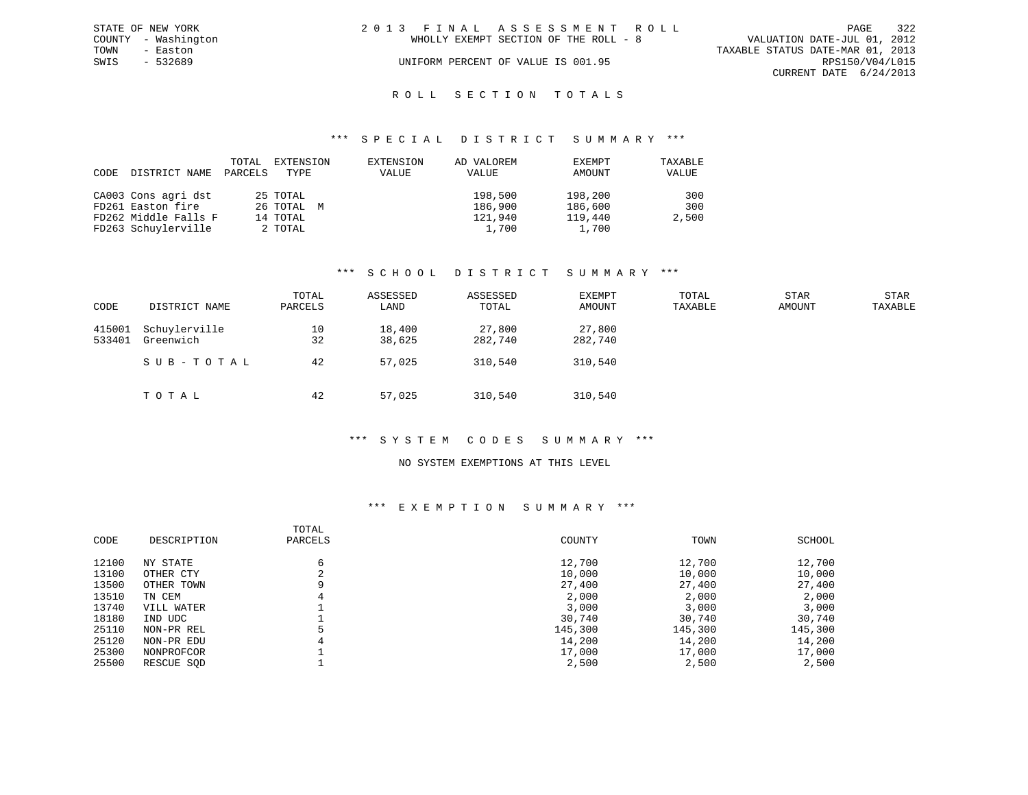|      | STATE OF NEW YORK   | 2013 FINAL ASSESSMENT ROLL |                                       |                                  | PAGE                   | 322 |
|------|---------------------|----------------------------|---------------------------------------|----------------------------------|------------------------|-----|
|      | COUNTY - Washington |                            | WHOLLY EXEMPT SECTION OF THE ROLL - 8 | VALUATION DATE-JUL 01, 2012      |                        |     |
| TOWN | - Easton            |                            |                                       | TAXABLE STATUS DATE-MAR 01, 2013 |                        |     |
| SWIS | $-532689$           |                            | UNIFORM PERCENT OF VALUE IS 001.95    |                                  | RPS150/V04/L015        |     |
|      |                     |                            |                                       |                                  | CURRENT DATE 6/24/2013 |     |
|      |                     |                            |                                       |                                  |                        |     |

### ROLL SECTION TOTALS

#### \*\*\* S P E C I A L D I S T R I C T S U M M A R Y \*\*\*

| CODE | DISTRICT NAME        | TOTAL<br>PARCELS | EXTENSION<br>TYPE | EXTENSION<br>VALUE | AD VALOREM<br>VALUE | EXEMPT<br>AMOUNT | TAXABLE<br>VALUE |
|------|----------------------|------------------|-------------------|--------------------|---------------------|------------------|------------------|
|      | CA003 Cons agri dst  |                  | 25 TOTAL          |                    | 198,500             | 198,200          | 300              |
|      | FD261 Easton fire    |                  | 26 TOTAL M        |                    | 186,900             | 186,600          | 300              |
|      | FD262 Middle Falls F |                  | 14 TOTAL          |                    | 121,940             | 119,440          | 2,500            |
|      | FD263 Schuylerville  |                  | 2 TOTAL           |                    | 1,700               | 1,700            |                  |

#### \*\*\* S C H O O L D I S T R I C T S U M M A R Y \*\*\*

| CODE             | DISTRICT NAME              | TOTAL<br>PARCELS | ASSESSED<br>LAND | ASSESSED<br>TOTAL | EXEMPT<br>AMOUNT  | TOTAL<br>TAXABLE | <b>STAR</b><br><b>AMOUNT</b> | <b>STAR</b><br>TAXABLE |
|------------------|----------------------------|------------------|------------------|-------------------|-------------------|------------------|------------------------------|------------------------|
| 415001<br>533401 | Schuylerville<br>Greenwich | 10<br>32         | 18,400<br>38,625 | 27,800<br>282,740 | 27,800<br>282,740 |                  |                              |                        |
|                  | SUB-TOTAL                  | 42               | 57,025           | 310,540           | 310,540           |                  |                              |                        |
|                  | TOTAL                      | 42               | 57,025           | 310,540           | 310,540           |                  |                              |                        |

#### \*\*\* S Y S T E M C O D E S S U M M A R Y \*\*\*

#### NO SYSTEM EXEMPTIONS AT THIS LEVEL

### \*\*\* E X E M P T I O N S U M M A R Y \*\*\*

|       |             | TOTAL       |         |         |         |
|-------|-------------|-------------|---------|---------|---------|
| CODE  | DESCRIPTION | PARCELS     | COUNTY  | TOWN    | SCHOOL  |
| 12100 | NY STATE    | 6           | 12,700  | 12,700  | 12,700  |
| 13100 | OTHER CTY   | $\sim$<br>4 | 10,000  | 10,000  | 10,000  |
| 13500 | OTHER TOWN  | 9           | 27,400  | 27,400  | 27,400  |
| 13510 | TN CEM      | 4           | 2,000   | 2,000   | 2,000   |
| 13740 | VILL WATER  |             | 3,000   | 3,000   | 3,000   |
| 18180 | IND UDC     |             | 30,740  | 30,740  | 30,740  |
| 25110 | NON-PR REL  |             | 145,300 | 145,300 | 145,300 |
| 25120 | NON-PR EDU  | 4           | 14,200  | 14,200  | 14,200  |
| 25300 | NONPROFCOR  |             | 17,000  | 17,000  | 17,000  |
| 25500 | RESCUE SOD  |             | 2,500   | 2,500   | 2,500   |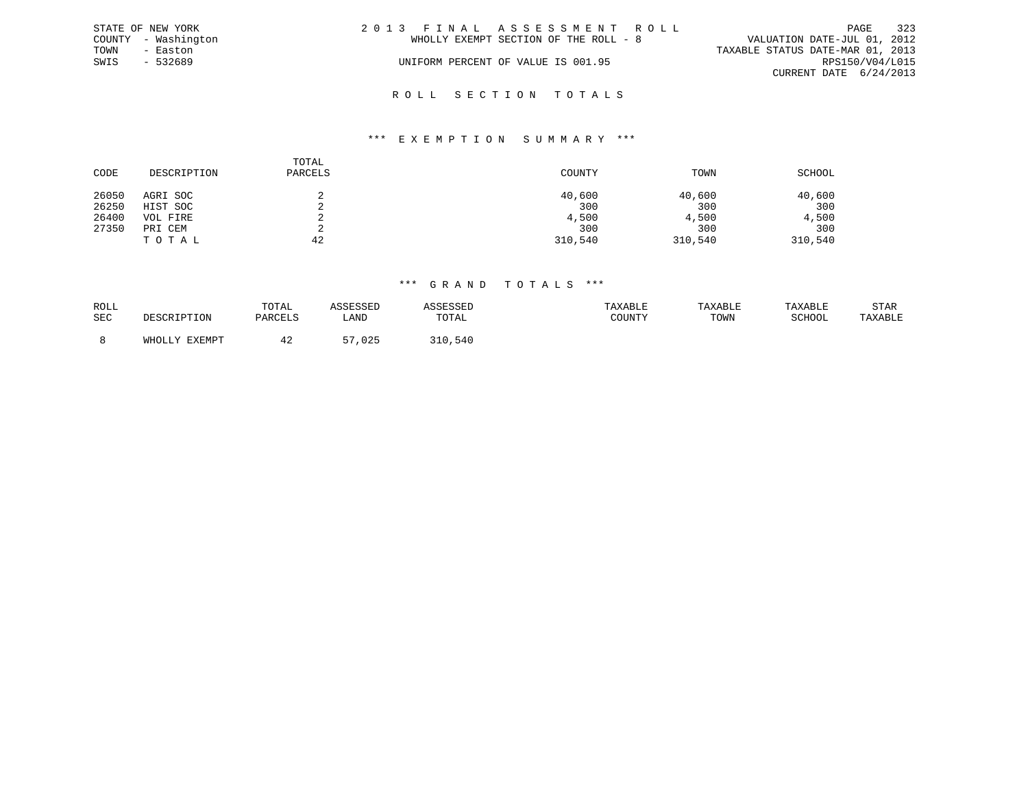|      | STATE OF NEW YORK   | 2013 FINAL ASSESSMENT ROLL            | 323<br>PAGE                      |
|------|---------------------|---------------------------------------|----------------------------------|
|      | COUNTY - Washington | WHOLLY EXEMPT SECTION OF THE ROLL - 8 | VALUATION DATE-JUL 01, 2012      |
| TOWN | - Easton            |                                       | TAXABLE STATUS DATE-MAR 01, 2013 |
| SWIS | $-532689$           | UNIFORM PERCENT OF VALUE IS 001.95    | RPS150/V04/L015                  |
|      |                     |                                       | CURRENT DATE 6/24/2013           |
|      |                     |                                       |                                  |

## R O L L S E C T I O N T O T A L S

#### \*\*\* E X E M P T I O N S U M M A R Y \*\*\*

| CODE  | DESCRIPTION | TOTAL<br>PARCELS | COUNTY  | TOWN    | SCHOOL  |
|-------|-------------|------------------|---------|---------|---------|
| 26050 | AGRI SOC    |                  | 40,600  | 40,600  | 40,600  |
| 26250 | HIST SOC    | ▵                | 300     | 300     | 300     |
| 26400 | VOL FIRE    | ▵                | 4,500   | 4,500   | 4,500   |
| 27350 | PRI CEM     |                  | 300     | 300     | 300     |
|       | TOTAL       | 42               | 310,540 | 310,540 | 310,540 |

| ROLL       | TOTAL   |            |       | TAXABLE | TAXABL. |        | STAR    |
|------------|---------|------------|-------|---------|---------|--------|---------|
| <b>SEC</b> | PARCELS | LANI       | TOTAL | : בוטע  | TOWN    | SCHOOL | TAXABLE |
|            |         |            |       |         |         |        |         |
|            | ≖ ∠     | 025<br>- - |       |         |         |        |         |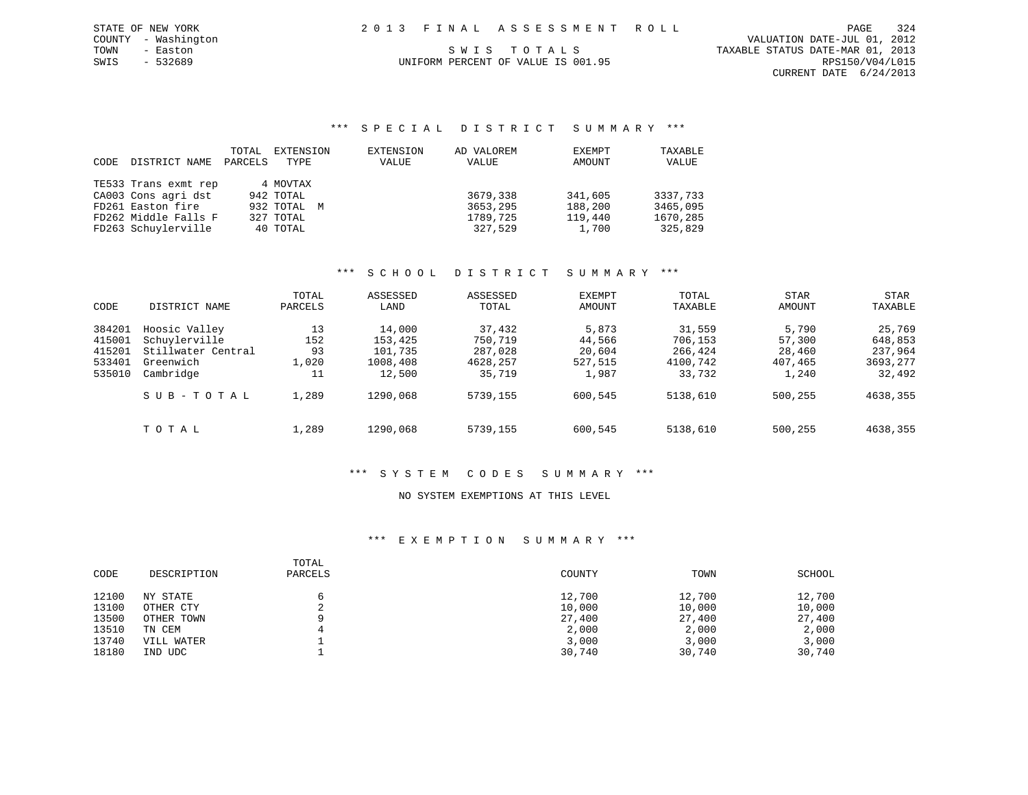|      | STATE OF NEW YORK   |  | 2013 FINAL ASSESSMENT ROLL | PAGE                             | 324 |
|------|---------------------|--|----------------------------|----------------------------------|-----|
|      | COUNTY - Washington |  |                            | VALUATION DATE-JUL 01, 2012      |     |
| TOWN | - Easton            |  | SWIS TOTALS                | TAXABLE STATUS DATE-MAR 01, 2013 |     |

CURRENT DATE 6/24/2013

COUNTY - Washington

SWIS - 532689 UNIFORM PERCENT OF VALUE IS 001.95 CHEMIC CHIEFORIS PERCENT OF VALUE OF VALUE IS 001.95

### \*\*\* S P E C I A L D I S T R I C T S U M M A R Y \*\*\*

|      |                      | TOTAL   | EXTENSION   | EXTENSION | AD VALOREM | EXEMPT  | TAXABLE  |
|------|----------------------|---------|-------------|-----------|------------|---------|----------|
| CODE | DISTRICT NAME        | PARCELS | TYPE        | VALUE     | VALUE      | AMOUNT  | VALUE    |
|      |                      |         |             |           |            |         |          |
|      | TE533 Trans exmt rep |         | 4 MOVTAX    |           |            |         |          |
|      | CA003 Cons agri dst  |         | 942 TOTAL   |           | 3679,338   | 341,605 | 3337,733 |
|      | FD261 Easton fire    |         | 932 TOTAL M |           | 3653,295   | 188,200 | 3465,095 |
|      | FD262 Middle Falls F |         | 327 TOTAL   |           | 1789,725   | 119,440 | 1670,285 |
|      | FD263 Schuylerville  |         | 40 TOTAL    |           | 327,529    | 1,700   | 325,829  |

#### \*\*\* S C H O O L D I S T R I C T S U M M A R Y \*\*\*

| CODE                                           | DISTRICT NAME                                                                  | TOTAL<br>PARCELS               | ASSESSED<br>LAND                                   | ASSESSED<br>TOTAL                                  | <b>EXEMPT</b><br>AMOUNT                       | TOTAL<br>TAXABLE                                   | <b>STAR</b><br>AMOUNT                         | STAR<br>TAXABLE                                    |
|------------------------------------------------|--------------------------------------------------------------------------------|--------------------------------|----------------------------------------------------|----------------------------------------------------|-----------------------------------------------|----------------------------------------------------|-----------------------------------------------|----------------------------------------------------|
| 384201<br>415001<br>415201<br>533401<br>535010 | Hoosic Valley<br>Schuylerville<br>Stillwater Central<br>Greenwich<br>Cambridge | 13<br>152<br>93<br>1,020<br>11 | 14,000<br>153,425<br>101,735<br>1008,408<br>12,500 | 37,432<br>750,719<br>287,028<br>4628,257<br>35,719 | 5,873<br>44,566<br>20,604<br>527,515<br>1,987 | 31,559<br>706,153<br>266,424<br>4100,742<br>33,732 | 5,790<br>57,300<br>28,460<br>407,465<br>1,240 | 25,769<br>648,853<br>237,964<br>3693,277<br>32,492 |
|                                                | SUB-TOTAL                                                                      | 1,289                          | 1290,068                                           | 5739,155                                           | 600,545                                       | 5138,610                                           | 500,255                                       | 4638,355                                           |
|                                                | TOTAL                                                                          | 1,289                          | 1290,068                                           | 5739,155                                           | 600,545                                       | 5138,610                                           | 500,255                                       | 4638,355                                           |

### \*\*\* S Y S T E M C O D E S S U M M A R Y \*\*\*

#### NO SYSTEM EXEMPTIONS AT THIS LEVEL

#### \*\*\* E X E M P T I O N S U M M A R Y \*\*\*

| CODE  | DESCRIPTION | TOTAL<br>PARCELS | COUNTY | TOWN   | SCHOOL |
|-------|-------------|------------------|--------|--------|--------|
| 12100 | NY STATE    |                  | 12,700 | 12,700 | 12,700 |
| 13100 | OTHER CTY   |                  | 10,000 | 10,000 | 10,000 |
| 13500 | OTHER TOWN  | $\Omega$         | 27,400 | 27,400 | 27,400 |
| 13510 | TN CEM      |                  | 2,000  | 2,000  | 2,000  |
| 13740 | VILL WATER  |                  | 3,000  | 3,000  | 3,000  |
| 18180 | IND UDC     |                  | 30,740 | 30,740 | 30,740 |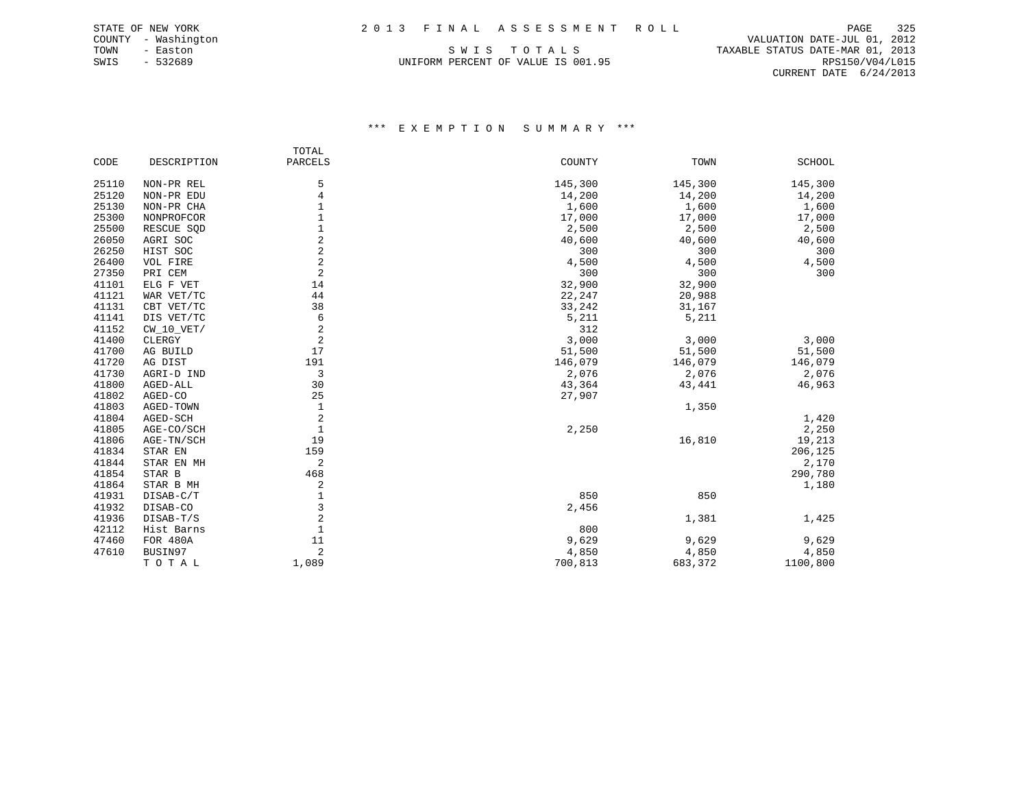COUNTY - Washington VALUATION DATE-JUL 01, 2012 TOWN - Easton SWIS TO TALS TO THE STATUS DATE-MAR 01, 2013<br>SWIS - 532689 SWIS - 532689 UNIFORM PERCENT OF VALUE IS 001.95 CURRENT DATE 6/24/2013

## \*\*\* E X E M P T I O N S U M M A R Y \*\*\*

|       |              | TOTAL                   |         |         |               |
|-------|--------------|-------------------------|---------|---------|---------------|
| CODE  | DESCRIPTION  | PARCELS                 | COUNTY  | TOWN    | <b>SCHOOL</b> |
| 25110 | NON-PR REL   | 5                       | 145,300 | 145,300 | 145,300       |
| 25120 | NON-PR EDU   | 4                       | 14,200  | 14,200  | 14,200        |
| 25130 | NON-PR CHA   |                         | 1,600   | 1,600   | 1,600         |
| 25300 | NONPROFCOR   |                         | 17,000  | 17,000  | 17,000        |
| 25500 | RESCUE SQD   | 1                       | 2,500   | 2,500   | 2,500         |
| 26050 | AGRI SOC     | 2                       | 40,600  | 40,600  | 40,600        |
| 26250 | HIST SOC     | $\overline{\mathbf{c}}$ | 300     | 300     | 300           |
| 26400 | VOL FIRE     | $\overline{c}$          | 4,500   | 4,500   | 4,500         |
| 27350 | PRI CEM      | 2                       | 300     | 300     | 300           |
| 41101 | ELG F VET    | 14                      | 32,900  | 32,900  |               |
| 41121 | WAR VET/TC   | 44                      | 22,247  | 20,988  |               |
| 41131 | CBT VET/TC   | 38                      | 33,242  | 31,167  |               |
| 41141 | DIS VET/TC   | 6                       | 5,211   | 5,211   |               |
| 41152 | $CW_10_VET/$ | 2                       | 312     |         |               |
| 41400 | CLERGY       | $\overline{2}$          | 3,000   | 3,000   | 3,000         |
| 41700 | AG BUILD     | 17                      | 51,500  | 51,500  | 51,500        |
| 41720 | AG DIST      | 191                     | 146,079 | 146,079 | 146,079       |
| 41730 | AGRI-D IND   | 3                       | 2,076   | 2,076   | 2,076         |
| 41800 | AGED-ALL     | 30                      | 43,364  | 43,441  | 46,963        |
| 41802 | AGED-CO      | 25                      | 27,907  |         |               |
| 41803 | AGED-TOWN    | $\mathbf{1}$            |         | 1,350   |               |
| 41804 | AGED-SCH     | 2                       |         |         | 1,420         |
| 41805 | AGE-CO/SCH   | $\mathbf{1}$            | 2,250   |         | 2,250         |
| 41806 | AGE-TN/SCH   | 19                      |         | 16,810  | 19,213        |
| 41834 | STAR EN      | 159                     |         |         | 206,125       |
| 41844 | STAR EN MH   | 2                       |         |         | 2,170         |
| 41854 | STAR B       | 468                     |         |         | 290,780       |
| 41864 | STAR B MH    | 2                       |         |         | 1,180         |
| 41931 | DISAB-C/T    | $\mathbf{1}$            | 850     | 850     |               |
| 41932 | DISAB-CO     | 3                       | 2,456   |         |               |
| 41936 | DISAB-T/S    | 2                       |         | 1,381   | 1,425         |
| 42112 | Hist Barns   | 1                       | 800     |         |               |
| 47460 | FOR 480A     | 11                      | 9,629   | 9,629   | 9,629         |
| 47610 | BUSIN97      | 2                       | 4,850   | 4,850   | 4,850         |
|       | TOTAL        | 1,089                   | 700,813 | 683,372 | 1100,800      |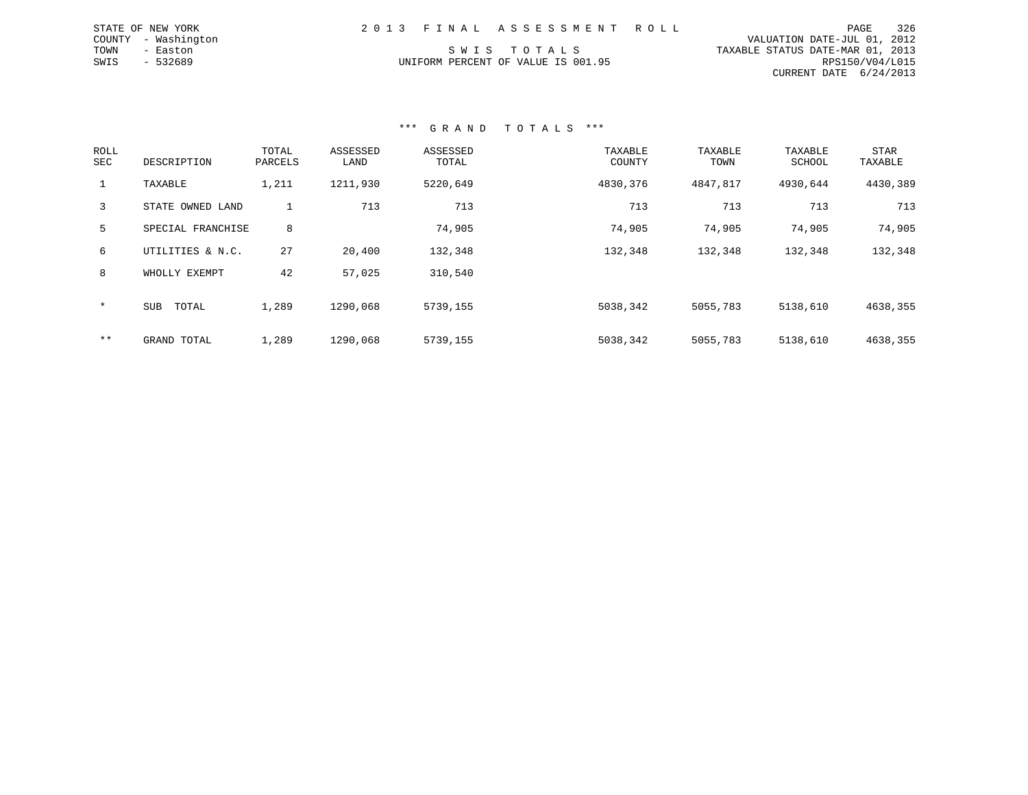|      | STATE OF NEW YORK   | 2013 FINAL ASSESSMENT ROLL         | PAGE                             | 326             |
|------|---------------------|------------------------------------|----------------------------------|-----------------|
|      | COUNTY - Washington |                                    | VALUATION DATE-JUL 01, 2012      |                 |
| TOWN | - Easton            | SWIS TOTALS                        | TAXABLE STATUS DATE-MAR 01, 2013 |                 |
| SWIS | $-532689$           | UNIFORM PERCENT OF VALUE IS 001.95 |                                  | RPS150/V04/L015 |
|      |                     |                                    | CURRENT DATE 6/24/2013           |                 |

### \*\*\* G R A N D T O T A L S \*\*\*

| ROLL<br>SEC  | DESCRIPTION         | TOTAL<br>PARCELS | ASSESSED<br>LAND | ASSESSED<br>TOTAL | TAXABLE<br>COUNTY | TAXABLE<br>TOWN | TAXABLE<br>SCHOOL | <b>STAR</b><br>TAXABLE |
|--------------|---------------------|------------------|------------------|-------------------|-------------------|-----------------|-------------------|------------------------|
| $\mathbf{1}$ | TAXABLE             | 1,211            | 1211,930         | 5220,649          | 4830,376          | 4847,817        | 4930,644          | 4430,389               |
| 3            | STATE OWNED LAND    |                  | 713              | 713               | 713               | 713             | 713               | 713                    |
| 5            | SPECIAL FRANCHISE   | 8                |                  | 74,905            | 74,905            | 74,905          | 74,905            | 74,905                 |
| 6            | UTILITIES & N.C.    | 27               | 20,400           | 132,348           | 132,348           | 132,348         | 132,348           | 132,348                |
| 8            | WHOLLY EXEMPT       | 42               | 57,025           | 310,540           |                   |                 |                   |                        |
| $\star$      | <b>SUB</b><br>TOTAL | 1,289            | 1290,068         | 5739,155          | 5038,342          | 5055,783        | 5138,610          | 4638,355               |
| $***$        | GRAND TOTAL         | 1,289            | 1290,068         | 5739,155          | 5038,342          | 5055,783        | 5138,610          | 4638,355               |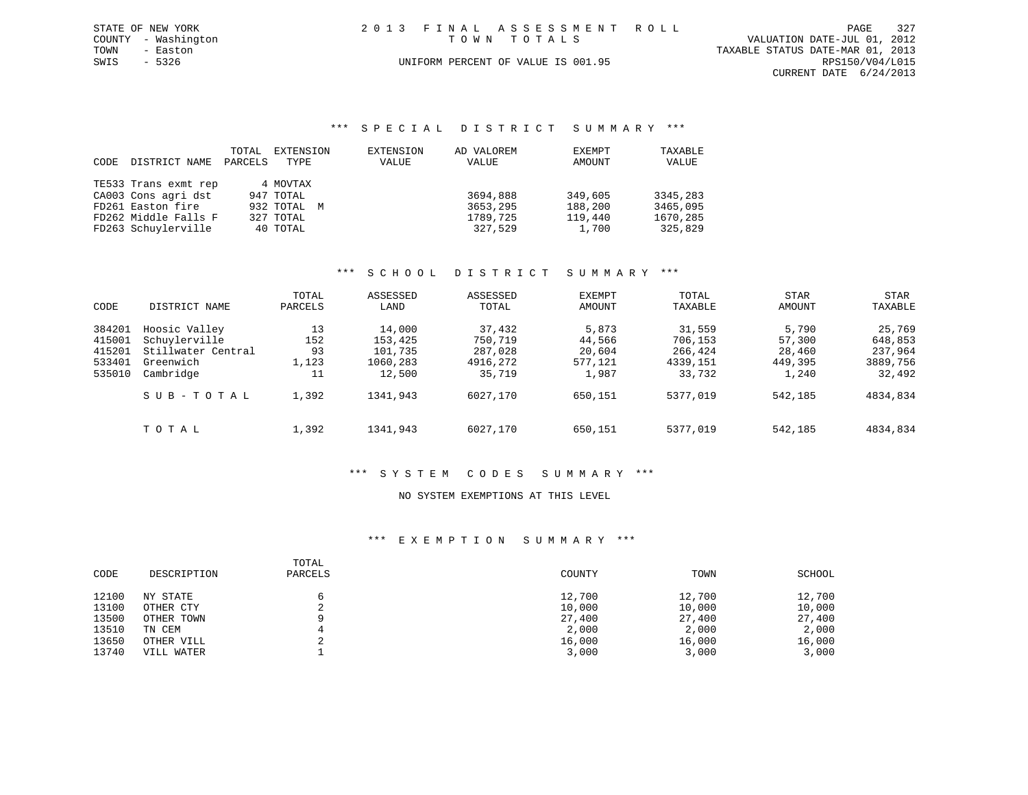|      | STATE OF NEW YORK   | 2013 FINAL ASSESSMENT ROLL                 | PAGE                   | 327 |
|------|---------------------|--------------------------------------------|------------------------|-----|
|      | COUNTY - Washington | VALUATION DATE-JUL 01, 2012<br>TOWN TOTALS |                        |     |
| TOWN | - Easton            | TAXABLE STATUS DATE-MAR 01, 2013           |                        |     |
| SWIS | - 5326              | UNIFORM PERCENT OF VALUE IS 001.95         | RPS150/V04/L015        |     |
|      |                     |                                            | CURRENT DATE 6/24/2013 |     |

### \*\*\* S P E C I A L D I S T R I C T S U M M A R Y \*\*\*

|      |                      | TOTAL   | EXTENSION   | EXTENSION | AD VALOREM | EXEMPT  | TAXABLE  |
|------|----------------------|---------|-------------|-----------|------------|---------|----------|
| CODE | DISTRICT NAME        | PARCELS | TYPE        | VALUE     | VALUE      | AMOUNT  | VALUE    |
|      |                      |         |             |           |            |         |          |
|      | TE533 Trans exmt rep |         | 4 MOVTAX    |           |            |         |          |
|      | CA003 Cons agri dst  |         | 947 TOTAL   |           | 3694,888   | 349,605 | 3345,283 |
|      | FD261 Easton fire    |         | 932 TOTAL M |           | 3653,295   | 188,200 | 3465,095 |
|      | FD262 Middle Falls F |         | 327 TOTAL   |           | 1789,725   | 119,440 | 1670,285 |
|      | FD263 Schuylerville  |         | 40 TOTAL    |           | 327,529    | 1,700   | 325,829  |

# \*\*\* S C H O O L D I S T R I C T S U M M A R Y \*\*\*

| CODE                                           | DISTRICT NAME                                                                  | TOTAL<br>PARCELS               | ASSESSED<br>LAND                                   | ASSESSED<br>TOTAL                                  | EXEMPT<br>AMOUNT                              | TOTAL<br>TAXABLE                                   | <b>STAR</b><br>AMOUNT                         | STAR<br>TAXABLE                                    |
|------------------------------------------------|--------------------------------------------------------------------------------|--------------------------------|----------------------------------------------------|----------------------------------------------------|-----------------------------------------------|----------------------------------------------------|-----------------------------------------------|----------------------------------------------------|
| 384201<br>415001<br>415201<br>533401<br>535010 | Hoosic Valley<br>Schuylerville<br>Stillwater Central<br>Greenwich<br>Cambridge | 13<br>152<br>93<br>1,123<br>11 | 14,000<br>153,425<br>101,735<br>1060,283<br>12,500 | 37,432<br>750,719<br>287,028<br>4916,272<br>35,719 | 5,873<br>44,566<br>20,604<br>577,121<br>1,987 | 31,559<br>706,153<br>266,424<br>4339,151<br>33,732 | 5,790<br>57,300<br>28,460<br>449,395<br>1,240 | 25,769<br>648,853<br>237,964<br>3889,756<br>32,492 |
|                                                | SUB-TOTAL                                                                      | 1,392                          | 1341,943                                           | 6027,170                                           | 650,151                                       | 5377,019                                           | 542,185                                       | 4834,834                                           |
|                                                | TOTAL                                                                          | 1,392                          | 1341,943                                           | 6027,170                                           | 650,151                                       | 5377,019                                           | 542,185                                       | 4834,834                                           |

## \*\*\* S Y S T E M C O D E S S U M M A R Y \*\*\*

### NO SYSTEM EXEMPTIONS AT THIS LEVEL

### \*\*\* E X E M P T I O N S U M M A R Y \*\*\*

| CODE  | DESCRIPTION | TOTAL<br>PARCELS | COUNTY | TOWN   | SCHOOL |
|-------|-------------|------------------|--------|--------|--------|
| 12100 | NY STATE    |                  | 12,700 | 12,700 | 12,700 |
| 13100 | OTHER CTY   | ▵                | 10,000 | 10,000 | 10,000 |
| 13500 | OTHER TOWN  |                  | 27,400 | 27,400 | 27,400 |
| 13510 | TN CEM      |                  | 2,000  | 2,000  | 2,000  |
| 13650 | OTHER VILL  |                  | 16,000 | 16,000 | 16,000 |
| 13740 | VILL WATER  |                  | 3,000  | 3,000  | 3,000  |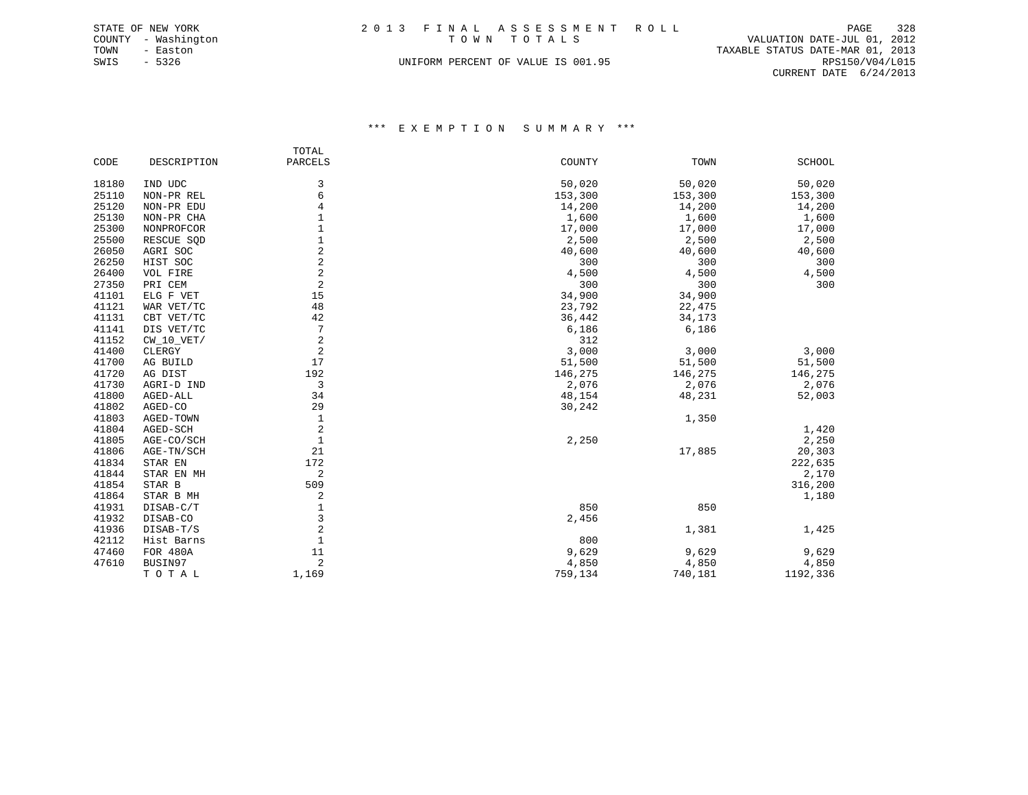|      | STATE OF NEW YORK   | 2013 FINAL ASSESSMENT ROLL         |                                  | PAGE | 328 |
|------|---------------------|------------------------------------|----------------------------------|------|-----|
|      | COUNTY - Washington | TOWN TOTALS                        | VALUATION DATE-JUL 01, 2012      |      |     |
| TOWN | - Easton            |                                    | TAXABLE STATUS DATE-MAR 01, 2013 |      |     |
| SWIS | - 5326              | UNIFORM PERCENT OF VALUE IS 001.95 | RPS150/V04/L015                  |      |     |
|      |                     |                                    | CURRENT DATE 6/24/2013           |      |     |

\*\*\* E X E M P T I O N S U M M A R Y \*\*\*

|       |              | TOTAL        |         |         |               |
|-------|--------------|--------------|---------|---------|---------------|
| CODE  | DESCRIPTION  | PARCELS      | COUNTY  | TOWN    | <b>SCHOOL</b> |
| 18180 | IND UDC      | 3            | 50,020  | 50,020  | 50,020        |
| 25110 | NON-PR REL   | 6            | 153,300 | 153,300 | 153,300       |
| 25120 | NON-PR EDU   | 4            | 14,200  | 14,200  | 14,200        |
| 25130 | NON-PR CHA   | 1            | 1,600   | 1,600   | 1,600         |
| 25300 | NONPROFCOR   | 1            | 17,000  | 17,000  | 17,000        |
| 25500 | RESCUE SQD   |              | 2,500   | 2,500   | 2,500         |
| 26050 | AGRI SOC     | 2            | 40,600  | 40,600  | 40,600        |
| 26250 | HIST SOC     | 2            | 300     | 300     | 300           |
| 26400 | VOL FIRE     | 2            | 4,500   | 4,500   | 4,500         |
| 27350 | PRI CEM      | 2            | 300     | 300     | 300           |
| 41101 | ELG F VET    | 15           | 34,900  | 34,900  |               |
| 41121 | WAR VET/TC   | 48           | 23,792  | 22,475  |               |
| 41131 | CBT VET/TC   | 42           | 36,442  | 34,173  |               |
| 41141 | DIS VET/TC   | 7            | 6,186   | 6,186   |               |
| 41152 | $CW_10_VET/$ | 2            | 312     |         |               |
| 41400 | CLERGY       | 2            | 3,000   | 3,000   | 3,000         |
| 41700 | AG BUILD     | 17           | 51,500  | 51,500  | 51,500        |
| 41720 | AG DIST      | 192          | 146,275 | 146,275 | 146,275       |
| 41730 | AGRI-D IND   | 3            | 2,076   | 2,076   | 2,076         |
| 41800 | AGED-ALL     | 34           | 48,154  | 48,231  | 52,003        |
| 41802 | AGED-CO      | 29           | 30,242  |         |               |
| 41803 | AGED-TOWN    | $1\,$        |         | 1,350   |               |
| 41804 | AGED-SCH     | 2            |         |         | 1,420         |
| 41805 | AGE-CO/SCH   | $\mathbf{1}$ | 2,250   |         | 2,250         |
| 41806 | AGE-TN/SCH   | 21           |         | 17,885  | 20,303        |
| 41834 | STAR EN      | 172          |         |         | 222,635       |
| 41844 | STAR EN MH   | 2            |         |         | 2,170         |
| 41854 | STAR B       | 509          |         |         | 316,200       |
| 41864 | STAR B MH    | 2            |         |         | 1,180         |
| 41931 | DISAB-C/T    | 1            | 850     | 850     |               |
| 41932 | DISAB-CO     | 3            | 2,456   |         |               |
| 41936 | DISAB-T/S    | 2            |         | 1,381   | 1,425         |
| 42112 | Hist Barns   | 1            | 800     |         |               |
| 47460 | FOR 480A     | 11           | 9,629   | 9,629   | 9,629         |
| 47610 | BUSIN97      | 2            | 4,850   | 4,850   | 4,850         |
|       | TOTAL        | 1,169        | 759,134 | 740,181 | 1192,336      |